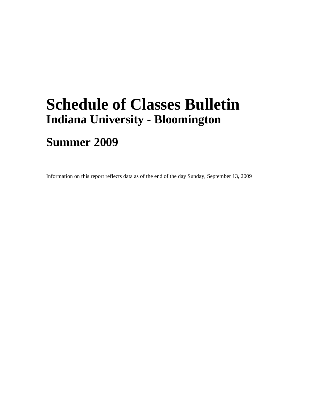## **Schedule of Classes Bulletin Indiana University - Bloomington**

## **Summer 2009**

Information on this report reflects data as of the end of the day Sunday, September 13, 2009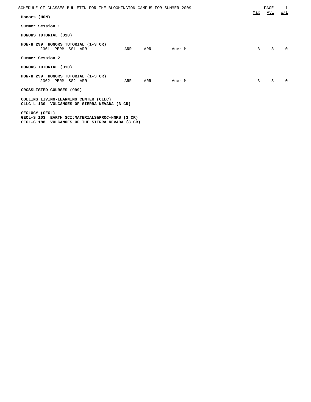| SCHEDULE OF CLASSES BULLETIN FOR THE BLOOMINGTON CAMPUS FOR SUMMER 2009                                               |     |        |     | PAGE           | 1        |
|-----------------------------------------------------------------------------------------------------------------------|-----|--------|-----|----------------|----------|
| Honors (HON)                                                                                                          |     |        | Max | <u>Avl</u>     | W/L      |
| Summer Session 1                                                                                                      |     |        |     |                |          |
| HONORS TUTORIAL (010)                                                                                                 |     |        |     |                |          |
| HON-H 299 HONORS TUTORIAL (1-3 CR)<br>2361 PERM SS1 ARR<br>ARR                                                        | ARR | Auer M | 3   | $\overline{3}$ | $\Omega$ |
| Summer Session 2                                                                                                      |     |        |     |                |          |
| HONORS TUTORIAL (010)                                                                                                 |     |        |     |                |          |
| HON-H 299 HONORS TUTORIAL (1-3 CR)<br>2362 PERM SS2 ARR<br>ARR                                                        | ARR | Auer M | 3   | $\mathbf{3}$   | $\Omega$ |
| CROSSLISTED COURSES (999)                                                                                             |     |        |     |                |          |
| COLLINS LIVING-LEARNING CENTER (CLLC)<br>CLLC-L 130 VOLCANOES OF SIERRA NEVADA (3 CR)                                 |     |        |     |                |          |
| GEOLOGY (GEOL)<br>GEOL-S 103 EARTH SCI:MATERIALS&PROC-HNRS (3 CR)<br>GEOL-G 188 VOLCANOES OF THE SIERRA NEVADA (3 CR) |     |        |     |                |          |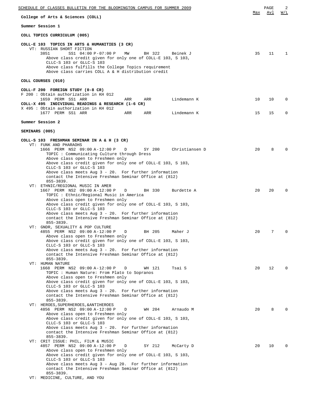| SCHEDULE OF CLASSES BULLETIN FOR THE BLOOMINGTON CAMPUS FOR SUMMER 2009                                                                                                                                                                                                                                                                                                                    |          | PAGE     | 2                    |
|--------------------------------------------------------------------------------------------------------------------------------------------------------------------------------------------------------------------------------------------------------------------------------------------------------------------------------------------------------------------------------------------|----------|----------|----------------------|
| College of Arts & Sciences (COLL)                                                                                                                                                                                                                                                                                                                                                          | Max      | Avl      | W/L                  |
| Summer Session 1                                                                                                                                                                                                                                                                                                                                                                           |          |          |                      |
| COLL TOPICS CURRICULUM (005)                                                                                                                                                                                                                                                                                                                                                               |          |          |                      |
| COLL-E 103 TOPICS IN ARTS & HUMANITIES (3 CR)<br>VT: RUSSIAN SHORT FICTION<br>3851<br>SS1 04:00 P-07:00 P<br>MW<br>BH 322<br>Beinek J<br>Above class credit given for only one of COLL-E 103, S 103,<br>CLLC-S 103 or GLLC-S 103<br>Above class fulfills the College Topics requirement<br>Above class carries COLL A & H distribution credit                                              | 35       | 11       | 1                    |
| COLL COURSES (010)                                                                                                                                                                                                                                                                                                                                                                         |          |          |                      |
| COLL-F 200 FOREIGN STUDY (0-8 CR)<br>F 200: Obtain authorization in KH 012<br>1659 PERM SS1 ARR<br>Lindemann K<br>ARR<br>ARR<br>COLL-X 495 INDIVIDUAL READINGS & RESEARCH (1-6 CR)<br>X 495 : Obtain authorization in KH 012<br>1677 PERM SS1 ARR<br>Lindemann K<br>ARR<br>ARR                                                                                                             | 10<br>15 | 10<br>15 | $\Omega$<br>$\Omega$ |
| Summer Session 2                                                                                                                                                                                                                                                                                                                                                                           |          |          |                      |
| SEMINARS (005)                                                                                                                                                                                                                                                                                                                                                                             |          |          |                      |
| COLL-S 103 FRESHMAN SEMINAR IN A & H (3 CR)                                                                                                                                                                                                                                                                                                                                                |          |          |                      |
| VT: FUNK AND PHARAOHS<br>1666 PERM NS2 09:00 A-12:00 P<br>SY 200<br>Christiansen D<br>D<br>TOPIC: Communicating Culture through Dress<br>Above class open to Freshmen only<br>Above class credit given for only one of COLL-E 103, S 103,                                                                                                                                                  | 20       | 8        | $\Omega$             |
| CLLC-S 103 or GLLC-S 103<br>Above class meets Aug $3 - 20$ . For further information<br>contact the Intensive Freshman Seminar Office at (812)<br>$855 - 3839.$<br>VT: ETHNIC/REGIONAL MUSIC IN AMER<br>1667 PERM NS2 09:00 A-12:00 P<br>D<br>BH 330<br>Burdette A<br>TOPIC : Ethnic/Regional Music in America                                                                             | 20       | 20       | $\Omega$             |
| Above class open to Freshmen only<br>Above class credit given for only one of COLL-E 103, S 103,<br>CLLC-S 103 or GLLC-S 103<br>Above class meets Aug $3 - 20$ . For further information<br>contact the Intensive Freshman Seminar Office at (812)<br>$855 - 3839.$                                                                                                                        |          |          |                      |
| VT: GNDR, SEXUALITY & POP CULTURE<br>BH 205<br>4855 PERM NS2 09:00 A-12:00 P<br>D<br>Maher J<br>Above class open to Freshmen only<br>Above class credit given for only one of COLL-E 103, S 103,<br>CLLC-S 103 or GLLC-S 103<br>Above class meets Aug $3 - 20$ . For further information<br>contact the Intensive Freshman Seminar Office at (812)<br>$855 - 3839.$                        | 20       | 7        | $\Omega$             |
| VT: HUMAN NATURE<br>1668 PERM NS2 09:00 A-12:00 P<br>WH 121<br>Tsai S<br>D<br>TOPIC : Human Nature: From Plato to Sopranos<br>Above class open to Freshmen only<br>Above class credit given for only one of COLL-E 103, S 103,<br>CLLC-S 103 or GLLC-S 103<br>Above class meets Aug $3 - 20$ . For further information<br>contact the Intensive Freshman Seminar Office at (812)           | 20       | 12       | $\Omega$             |
| $855 - 3839.$<br>VT: HEROES, SUPERHEROES, & ANTIHEROES<br>4856 PERM NS2 09:00 A-12:00 P<br>WH 204<br>D<br>Arnaudo M<br>Above class open to Freshmen only<br>Above class credit given for only one of COLL-E 103, S 103,<br>CLLC-S 103 or GLLC-S 103<br>Above class meets Aug $3 - 20$ . For further information<br>contact the Intensive Freshman Seminar Office at (812)<br>$855 - 3839.$ | 20       | 8        | $\Omega$             |
| VT: CRIT ISSUE: PHIL, FILM & MUSIC<br>4857 PERM NS2 09:00 A-12:00 P<br>D<br>SY 212<br>McCarty D<br>Above class open to Freshmen only<br>Above class credit given for only one of COLL-E 103, S 103,<br>CLLC-S 103 or GLLC-S 103<br>Above class meets Aug $3$ - Aug 20. For further information<br>contact the Intensive Freshman Seminar Office at (812)<br>$855 - 3839.$                  | 20       | 10       | $\Omega$             |
| VT: MEDICINE, CULTURE, AND YOU                                                                                                                                                                                                                                                                                                                                                             |          |          |                      |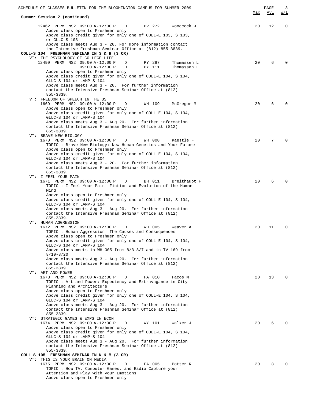| SCHEDULE OF CLASSES BULLETIN FOR THE BLOOMINGTON CAMPUS FOR SUMMER 2009                                                                                                                                                                                                                                                                                                                                                                                                            |     | PAGE | 3            |
|------------------------------------------------------------------------------------------------------------------------------------------------------------------------------------------------------------------------------------------------------------------------------------------------------------------------------------------------------------------------------------------------------------------------------------------------------------------------------------|-----|------|--------------|
| Summer Session 2 (continued)                                                                                                                                                                                                                                                                                                                                                                                                                                                       | Max | Avl  | <u>W/L</u>   |
| 12462 PERM NS2 09:00 A-12:00 P D<br>PV 272<br>Woodcock J<br>Above class open to Freshmen only<br>Above class credit given for only one of COLL-E 103, S 103,<br>or GLLC-S 103<br>Above class meets Aug 3 - 20. For more information contact                                                                                                                                                                                                                                        | 20  | 12   | $\mathbf 0$  |
| the Intensive Freshman Seminar Office at (812) 855-3839.<br>COLL-S 104 FRESHMAN SEMINAR IN S & H (3 CR)<br>VT: THE PSYCHOLOGY OF COLLEGE LIFE                                                                                                                                                                                                                                                                                                                                      |     |      |              |
| 12499 PERM NS2 09:00 A-12:00 P<br>PY 287<br>$\Box$<br>Thomassen L<br>$09:00 A-12:00 P$<br>D<br>PY 111<br>Thomassen L<br>Above class open to Freshmen only                                                                                                                                                                                                                                                                                                                          | 20  | 6    | $\Omega$     |
| Above class credit given for only one of COLL-E 104, S 104,<br>GLLC-S 104 or LAMP-S 104<br>Above class meets Aug 3 - 20. For further information<br>contact the Intensive Freshman Seminar Office at (812)<br>$855 - 3839.$                                                                                                                                                                                                                                                        |     |      |              |
| VT: FREEDOM OF SPEECH IN THE US<br>1669 PERM NS2 09:00 A-12:00 P<br>WH 109<br>McGregor M<br>D<br>Above class open to Freshmen only                                                                                                                                                                                                                                                                                                                                                 | 20  | 6    | $\Omega$     |
| Above class credit given for only one of COLL-E 104, S 104,<br>GLLC-S 104 or LAMP-S 104<br>Above class meets Aug 3 - Aug 20. For further information<br>contact the Intensive Freshman Seminar Office at (812)                                                                                                                                                                                                                                                                     |     |      |              |
| $855 - 3839.$<br>VT: BRAVE NEW BIOLOGY<br>1670 PERM NS2 09:00 A-12:00 P<br>D<br>WH 008<br>Kaestle F                                                                                                                                                                                                                                                                                                                                                                                | 20  | 7    | $\Omega$     |
| TOPIC : Brave New Biology: New Human Genetics and Your Future<br>Above class open to Freshmen only<br>Above class credit given for only one of COLL-E 104, S 104,<br>GLLC-S 104 or LAMP-S 104<br>Above class meets Aug $3 - 20$ . For further information<br>contact the Intensive Freshman Seminar Office at (812)                                                                                                                                                                |     |      |              |
| $855 - 3839.$<br>VT: I FEEL YOUR PAIN<br>1671 PERM NS2 09:00 A-12:00 P<br>$\mathbb{D}$<br>BH 011<br>Breithaupt F                                                                                                                                                                                                                                                                                                                                                                   | 20  | 6    | $\Omega$     |
| TOPIC : I Feel Your Pain: Fiction and Evolution of the Human<br>Mind<br>Above class open to Freshmen only<br>Above class credit given for only one of COLL-E 104, S 104,<br>GLLC-S 104 or LAMP-S 104<br>Above class meets Aug 3 - Aug 20. For further information<br>contact the Intensive Freshman Seminar Office at (812)<br>$855 - 3839.$                                                                                                                                       |     |      |              |
| VT: HUMAN AGGRESSION<br>1672 PERM NS2 09:00 A-12:00 P<br>WH 005<br>D<br>Weaver A<br>TOPIC : Human Aggression: The Causes and Consequences<br>Above class open to Freshmen only<br>Above class credit given for only one of COLL-E 104, S 104,<br>GLLC-S 104 or LAMP-S 104<br>Above class meets in WH 005 from $8/3-8/7$ and in TV 169 from<br>$8/10 - 8/20$<br>Above class meets Aug 3 - Aug 20. For further information<br>contact the Intensive Freshman Seminar Office at (812) | 20  | 11   | $\mathbf 0$  |
| 855-3839<br>VT: ART AND POWER<br>1673 PERM NS2 09:00 A-12:00 P<br>FA 010<br>D<br>Facos M                                                                                                                                                                                                                                                                                                                                                                                           | 20  | 13   | $\Omega$     |
| TOPIC : Art and Power: Expediency and Extravagance in City<br>Planning and Architecture<br>Above class open to Freshmen only<br>Above class credit given for only one of COLL-E 104, S 104,<br>GLLC-S 104 or LAMP-S 104<br>Above class meets Aug $3$ - Aug 20. For further information<br>contact the Intensive Freshman Seminar Office at (812)<br>$855 - 3839.$                                                                                                                  |     |      |              |
| VT: STRATEGIC GAMES & EXPS IN ECON<br>1674 PERM NS2 09:00 A-12:00 P<br>D<br>WY 101<br>Walker J<br>Above class open to Freshmen only<br>Above class credit given for only one of COLL-E 104, S 104,<br>GLLC-S 104 or LAMP-S 104<br>Above class meets Aug 3 - Aug 20. For further information<br>contact the Intensive Freshman Seminar Office at (812)<br>$855 - 3839.$                                                                                                             | 20  | 6    |              |
| COLL-S 105 FRESHMAN SEMINAR IN N & M (3 CR)<br>VT: THIS IS YOUR BRAIN ON MEDIA                                                                                                                                                                                                                                                                                                                                                                                                     |     |      |              |
| 1675 PERM NS2 09:00 A-12:00 P<br>FA 005<br>D<br>Potter R<br>TOPIC : How TV, Computer Games, and Radio Capture your<br>Attention and Play with your Emotions<br>Above class open to Freshmen only                                                                                                                                                                                                                                                                                   | 20  | 8    | <sup>n</sup> |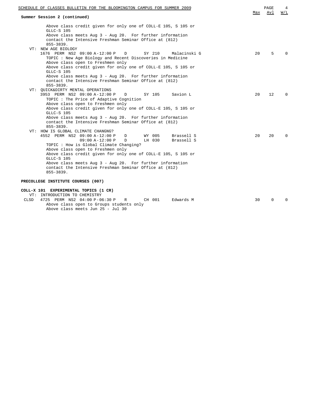| SCHEDULE OF CLASSES BULLETIN FOR THE BLOOMINGTON CAMPUS FOR SUMMER 2009<br>Summer Session 2 (continued)               | Max | PAGE<br>Avl  | 4<br>W/L |
|-----------------------------------------------------------------------------------------------------------------------|-----|--------------|----------|
| Above class credit given for only one of COLL-E 105, S 105 or                                                         |     |              |          |
| GLLC-S 105                                                                                                            |     |              |          |
| Above class meets Aug $3$ - Aug 20. For further information                                                           |     |              |          |
| contact the Intensive Freshman Seminar Office at (812)                                                                |     |              |          |
| $855 - 3839.$                                                                                                         |     |              |          |
| VT: NEW AGE BIOLOGY                                                                                                   |     |              |          |
| 1676 PERM NS2 09:00 A-12:00 P<br>SY 210<br>D<br>Malacinski G                                                          | 20  | 5            | $\Omega$ |
| TOPIC: New Age Biology and Recent Discoveries in Medicine                                                             |     |              |          |
| Above class open to Freshmen only<br>Above class credit given for only one of COLL-E 105, S 105 or                    |     |              |          |
| GLLC-S 105                                                                                                            |     |              |          |
| Above class meets Aug 3 - Aug 20. For further information                                                             |     |              |          |
| contact the Intensive Freshman Seminar Office at (812)                                                                |     |              |          |
| $855 - 3839.$                                                                                                         |     |              |          |
| VT: QUICK&DIRTY MENTAL OPERATIONS                                                                                     |     |              |          |
| 3953 PERM NS2 09:00 A-12:00 P<br>$\mathbb{D}$<br>SY 105<br>Savion L                                                   | 20  | $12^{\circ}$ | $\Omega$ |
| TOPIC : The Price of Adaptive Cognition                                                                               |     |              |          |
| Above class open to Freshmen only                                                                                     |     |              |          |
| Above class credit given for only one of COLL-E 105, S 105 or<br>GLLC-S 105                                           |     |              |          |
| Above class meets Aug $3$ - Aug 20. For further information                                                           |     |              |          |
| contact the Intensive Freshman Seminar Office at (812)                                                                |     |              |          |
| $855 - 3839.$                                                                                                         |     |              |          |
| VT: HOW IS GLOBAL CLIMATE CHANGNG?                                                                                    |     |              |          |
| WY 005<br>4552 PERM NS2 09:00 A-12:00 P<br>Brassell S<br>D                                                            | 20  | $20^{\circ}$ | $\Omega$ |
| $09:00 A-12:00 P$<br>D<br>LH 030<br>Brassell S                                                                        |     |              |          |
| TOPIC: How is Global Climate Changing?                                                                                |     |              |          |
| Above class open to Freshmen only                                                                                     |     |              |          |
| Above class credit given for only one of COLL-E 105, S 105 or                                                         |     |              |          |
| GLLC-S 105                                                                                                            |     |              |          |
| Above class meets Aug $3$ - Aug 20. For further information<br>contact the Intensive Freshman Seminar Office at (812) |     |              |          |
| $855 - 3839.$                                                                                                         |     |              |          |
|                                                                                                                       |     |              |          |
| PRECOLLEGE INSTITUTE COURSES (007)                                                                                    |     |              |          |
| COLL-X 101 EXPERIMENTAL TOPICS (1 CR)                                                                                 |     |              |          |
| VT: INTRODUCTION TO CHEMISTRY                                                                                         |     |              |          |
| <b>CLSD</b><br>4725 PERM NS2 04:00 P-06:30 P<br>CH 001<br>Edwards M<br>R                                              | 30  | $\Omega$     | $\Omega$ |
| Above class open to Groups students only                                                                              |     |              |          |

Above class meets Jun 25 - Jul 30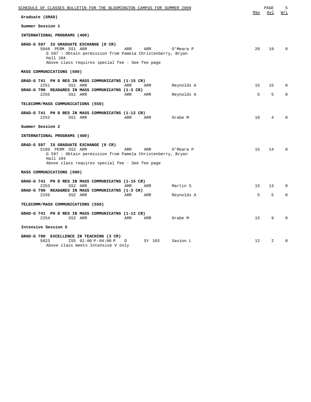| SCHEDULE OF CLASSES BULLETIN FOR THE BLOOMINGTON CAMPUS FOR SUMMER 2009                                                                                                                                             |              | PAGE    | 5                       |
|---------------------------------------------------------------------------------------------------------------------------------------------------------------------------------------------------------------------|--------------|---------|-------------------------|
| Graduate (GRAD)                                                                                                                                                                                                     | Max          | Avl     | W/L                     |
| Summer Session 1                                                                                                                                                                                                    |              |         |                         |
| INTERNATIONAL PROGRAMS (400)                                                                                                                                                                                        |              |         |                         |
| GRAD-G 597 IU GRADUATE EXCHANGE (0 CR)<br>5048 PERM SS1 ARR<br>ARR<br>ARR<br>O'Meara P<br>G 597 : Obtain permission from Pamela Christenberry, Bryan<br>Hall 104<br>Above class requires special fee - See fee page | 2.0          | 19      | $\Omega$                |
| MASS COMMUNICATIONS (500)                                                                                                                                                                                           |              |         |                         |
| GRAD-G 741 PH D RES IN MASS COMMUNICATNS (1-15 CR)<br>2251<br>SS1 ARR<br>Reynolds A<br>ARR<br>ARR<br>GRAD-G 790 READ&RES IN MASS COMMUNICATNS (1-3 CR)<br>2255<br>SS1 ARR<br>ARR<br>Reynolds A<br>ARR               | 15<br>5      | 15<br>5 | $\Omega$<br>$\mathbf 0$ |
| TELECOMM/MASS COMMUNICATIONS (550)                                                                                                                                                                                  |              |         |                         |
| GRAD-G 741 PH D RES IN MASS COMMUNICATNS (1-12 CR)<br>2252<br>SS1 ARR<br>ARR<br>ARR<br>Grabe M                                                                                                                      | 10           | 4       | 0                       |
| Summer Session 2                                                                                                                                                                                                    |              |         |                         |
| INTERNATIONAL PROGRAMS (400)                                                                                                                                                                                        |              |         |                         |
| GRAD-G 597 IU GRADUATE EXCHANGE (0 CR)<br>5189 PERM SS2 ARR<br>ARR<br>ARR<br>O'Meara P<br>G 597 : Obtain permission from Pamela Christenberry, Bryan<br>Hall 104<br>Above class requires special fee - See fee page | 15           | 14      | $\Omega$                |
| MASS COMMUNICATIONS (500)                                                                                                                                                                                           |              |         |                         |
| GRAD-G 741 PH D RES IN MASS COMMUNICATNS (1-15 CR)<br>2253<br>SS2 ARR<br>ARR<br>Martin S<br>ARR<br>GRAD-G 790 READ&RES IN MASS COMMUNICATNS (1-3 CR)<br>2256<br>SS2 ARR<br>ARR<br>ARR<br>Reynolds A                 | 15<br>5      | 13<br>5 | $\Omega$<br>$\mathbf 0$ |
| TELECOMM/MASS COMMUNICATIONS (550)                                                                                                                                                                                  |              |         |                         |
| GRAD-G 741 PH D RES IN MASS COMMUNICATNS (1-12 CR)                                                                                                                                                                  |              |         |                         |
| 2254<br>SS2 ARR<br>ARR<br>ARR<br>Grabe M                                                                                                                                                                            | 15           | 9       | $\Omega$                |
| Intensive Session 5                                                                                                                                                                                                 |              |         |                         |
| GRAD-G 700 EXCELLENCE IN TEACHING (3 CR)<br>5023<br>IS5 01:00 P-04:00 P<br>SY 103<br>Savion L<br>D<br>Above class meets Intensive V only                                                                            | $12^{\circ}$ | 2       | $\Omega$                |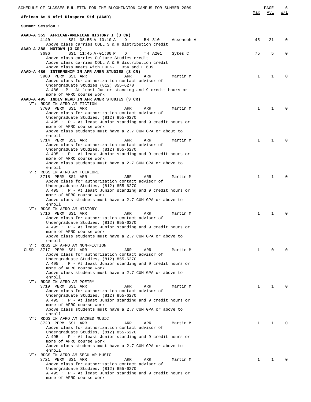| SCHEDULE OF CLASSES BULLETIN FOR THE BLOOMINGTON CAMPUS FOR SUMMER 2009 |                                                                |            |              | PAGE         | 6            |
|-------------------------------------------------------------------------|----------------------------------------------------------------|------------|--------------|--------------|--------------|
| African Am & Afri Diaspora Std (AAAD)                                   |                                                                |            | Max          | Avl          | W/L          |
| Summer Session 1                                                        |                                                                |            |              |              |              |
| AAAD-A 355 AFRICAN-AMERICAN HISTORY I (3 CR)                            |                                                                |            |              |              |              |
| 4140<br>SS1 08:55 A-10:10 A                                             | D<br>BH 310                                                    | Assensoh A | 45           | 21           | $\Omega$     |
|                                                                         | Above class carries COLL S & H distribution credit             |            |              |              |              |
| AAAD-A 388 MOTOWN (3 CR)<br>3696                                        | D                                                              |            | 75           | 5            | $\Omega$     |
| SS1 11:45 A-01:00 P<br>Above class carries Culture Studies credit       | TH A201                                                        | Sykes C    |              |              |              |
| Above class meets with FOLK-F 354 and F 609                             | Above class carries COLL A & H distribution credit             |            |              |              |              |
| AAAD-A 486 INTERNSHIP IN AFR AMER STUDIES (3 CR)                        |                                                                |            |              |              |              |
| 3900 PERM SS1 ARR                                                       | ARR<br>ARR                                                     | Martin M   | $\mathbf{1}$ | $\mathbf{1}$ | $\Omega$     |
|                                                                         | Above class for authorization contact advisor of               |            |              |              |              |
| Undergraduate Studies (812) 855-6270                                    | A 486 : P - At least Junior standing and 9 credit hours or     |            |              |              |              |
| more of AFRO course work                                                |                                                                |            |              |              |              |
| AAAD-A 495 INDIV READ IN AFR AMER STUDIES (3 CR)                        |                                                                |            |              |              |              |
| VT: RDGS IN AFRO AM FICTION                                             |                                                                |            |              |              |              |
| 3700 PERM SS1 ARR                                                       | ARR<br>ARR                                                     | Martin M   | $\mathbf{1}$ | $\mathbf{1}$ | <sup>0</sup> |
|                                                                         | Above class for authorization contact advisor of               |            |              |              |              |
| Undergraduate Studies, (812) 855-6270                                   | A 495: P - At least Junior standing and 9 credit hours or      |            |              |              |              |
| more of AFRO course work                                                |                                                                |            |              |              |              |
|                                                                         | Above class students must have a 2.7 CUM GPA or about to       |            |              |              |              |
| enroll                                                                  |                                                                |            |              |              |              |
| 3714 PERM SS1 ARR                                                       | ARR<br>ARR                                                     | Martin M   | $\mathbf{1}$ | 1            |              |
|                                                                         | Above class for authorization contact advisor of               |            |              |              |              |
| Undergraduate Studies, (812) 855-6270                                   | A 495 : P - At least Junior standing and 9 credit hours or     |            |              |              |              |
| more of AFRO course work                                                |                                                                |            |              |              |              |
|                                                                         | Above class students must have a 2.7 CUM GPA or above to       |            |              |              |              |
| enroll                                                                  |                                                                |            |              |              |              |
| VT: RDGS IN AFRO AM FOLKLORE                                            |                                                                |            |              |              |              |
| 3715 PERM SS1 ARR                                                       | ARR<br>ARR<br>Above class for authorization contact advisor of | Martin M   | $\mathbf{1}$ | 1            |              |
| Undergraduate Studies, (812) 855-6270                                   |                                                                |            |              |              |              |
|                                                                         | A 495 : P - At least Junior standing and 9 credit hours or     |            |              |              |              |
| more of AFRO course work                                                |                                                                |            |              |              |              |
|                                                                         | Above class studnets must have a 2.7 CUM GPA or above to       |            |              |              |              |
| enroll<br>VT: RDGS IN AFRO AM HISTORY                                   |                                                                |            |              |              |              |
| 3716 PERM SS1 ARR                                                       | ARR<br>ARR                                                     | Martin M   | $\mathbf{1}$ | 1            |              |
|                                                                         | Above class for authorization contact advisor of               |            |              |              |              |
| Undergraduate Studies, (812) 855-6270                                   |                                                                |            |              |              |              |
|                                                                         | A 495: P - At least Junior standing and 9 credit hours or      |            |              |              |              |
| more of AFRO course work                                                |                                                                |            |              |              |              |
| enroll                                                                  | Above class students must have a 2.7 CUM GPA or above to       |            |              |              |              |
| VT: RDGS IN AFRO AM NON-FICTION                                         |                                                                |            |              |              |              |
| 3717 PERM SS1 ARR<br>CLSD                                               | ARR<br>ARR                                                     | Martin M   | $\mathbf{1}$ | $\Omega$     | <sup>0</sup> |
|                                                                         | Above class for authorization contact advisor of               |            |              |              |              |
| Undergraduate Studies, (812) 855-6270                                   | A 495 : P - At least Junior standing and 9 credit hours or     |            |              |              |              |
| more of AFRO course work                                                |                                                                |            |              |              |              |
|                                                                         | Above class students must have a 2.7 CUM GPA or above to       |            |              |              |              |
| enroll                                                                  |                                                                |            |              |              |              |
| VT: RDGS IN AFRO AM POETRY                                              |                                                                |            |              |              |              |
| 3719 PERM SS1 ARR                                                       | ARR<br>ARR                                                     | Martin M   | $\mathbf{1}$ | $\mathbf{1}$ | $\Omega$     |
| Undergraduate Studies, (812) 855-6270                                   | Above class for authorization contact advisor of               |            |              |              |              |
|                                                                         | A 495: P - At least Junior standing and 9 credit hours or      |            |              |              |              |
| more of AFRO course work                                                |                                                                |            |              |              |              |
|                                                                         | Above class students must have a 2.7 CUM GPA or above to       |            |              |              |              |
| enroll                                                                  |                                                                |            |              |              |              |
| VT: RDGS IN AFRO AM SACRED MUSIC<br>3720 PERM SS1 ARR                   | ARR<br>ARR                                                     | Martin M   | $\mathbf{1}$ | $\mathbf{1}$ | $\Omega$     |
|                                                                         | Above class for authorization contact advisor of               |            |              |              |              |
| Undergraduate Studies, (812) 855-6270                                   |                                                                |            |              |              |              |
|                                                                         | A 495: P - At least Junior standing and 9 credit hours or      |            |              |              |              |
| more of AFRO course work                                                |                                                                |            |              |              |              |
| enroll                                                                  | Above class students must have a 2.7 CUM GPA or above to       |            |              |              |              |
| VT: RDGS IN AFRO AM SECULAR MUSIC                                       |                                                                |            |              |              |              |
| 3721 PERM SS1 ARR                                                       | ARR<br>ARR                                                     | Martin M   | $\mathbf{1}$ | 1            | $\Omega$     |
|                                                                         | Above class for authorization contact advisor of               |            |              |              |              |
| Undergraduate Studies, (812) 855-6270                                   |                                                                |            |              |              |              |
| more of AFRO course work                                                | A 495 : P - At least Junior standing and 9 credit hours or     |            |              |              |              |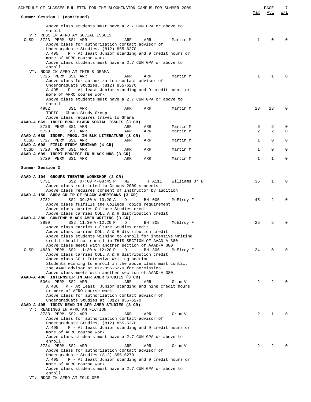| SCHEDULE OF CLASSES BULLETIN FOR THE BLOOMINGTON CAMPUS FOR SUMMER 2009                                                                                                      |                     | PAGE        | 7             |
|------------------------------------------------------------------------------------------------------------------------------------------------------------------------------|---------------------|-------------|---------------|
| Summer Session 1 (continued)                                                                                                                                                 | Max                 | Avl         | W/L           |
| Above class students must have a 2.7 CUM GPA or above to<br>enroll                                                                                                           |                     |             |               |
| VT: RDGS IN AFRO AM SOCIAL ISSUES<br>3723 PERM SS1 ARR<br>ARR<br>CLSD<br>ARR<br>Martin M<br>Above class for authorization contact advisor of                                 | 1                   | $\Omega$    |               |
| Undergraduate Studies, (812) 855-6270<br>A 495 : P - At least Junior standing and 9 credit hours or<br>more of AFRO course work                                              |                     |             |               |
| Above class students must have a 2.7 CUM GPA or above to<br>enroll<br>VT: RDGS IN AFRO AM THTR & DRAMA                                                                       |                     |             |               |
| 3725 PERM SS1 ARR<br>ARR<br>ARR<br>Martin M<br>Above class for authorization contact advisor of<br>Undergraduate Studies, (812) 855-6270                                     | $\mathbf{1}$        | $\mathbf 1$ |               |
| A 495 : P - At least Junior standing and 9 credit hours or<br>more of AFRO course work<br>Above class students must have a 2.7 CUM GPA or above to                           |                     |             |               |
| enroll<br>4982<br>ARR<br>ARR<br>SS1 ARR<br>Martin M                                                                                                                          | 23                  | 23          | $\Omega$      |
| TOPIC : Ghana Study Group<br>Above class requires travel to Ghana                                                                                                            |                     |             |               |
| AAAD-A 669 INDEP PROJ BLACK SOCIAL ISSUES (3 CR)<br>3726 PERM SS1 ARR<br>ARR<br>ARR<br>Martin M<br>5728<br>SS1 ARR<br>Martin M<br>ARR<br>ARR                                 | 6<br>$\overline{a}$ | 6<br>2      | 0<br>$\Omega$ |
| AAAD-A 689 INDEP. PROG. IN BLK LITERATURE (3 CR)<br>3727 PERM SS1 ARR<br>Martin M<br>CLSD<br>ARR<br>ARR                                                                      | $\mathbf 1$         | $\mathbf 0$ | 0             |
| AAAD-A 698 FIELD STUDY SEMINAR (4 CR)<br>3728 PERM SS1 ARR<br>Martin M<br>CLSD<br>ARR<br>ARR                                                                                 | $\mathbf 1$         | 0           | 0             |
| AAAD-A 699 INDPT PROJECT IN BLACK MUS (3 CR)<br>3729 PERM SS1 ARR<br>Martin M<br>ARR<br>ARR                                                                                  | $\mathbf{1}$        | 1           | 0             |
| Summer Session 2                                                                                                                                                             |                     |             |               |
| AAAD-A 104 GROUPS THEATRE WORKSHOP (2 CR)<br>3731<br>SS2 07:00 P-08:45 P<br>MM<br>TH A111<br>Williams Jr D<br>Above class restricted to Groups 2009 students                 | 35                  | 1           | $\Omega$      |
| Above class requires consent of instructor by audition<br>AAAD-A 150 SURV CULTR OF BLACK AMERICANS (3 CR)                                                                    |                     |             |               |
| 3732<br>SS2 09:30 A-10:20 A<br>BH 005<br>D<br>McElroy F<br>Above class fulfills the College Topics requirement                                                               | 45                  | 2           | 0             |
| Above class carries Culture Studies credit<br>Above class carries COLL A & H distribution credit<br>AAAD-A 380 CONTEMP BLACK AMER WRITING (3 CR)                             |                     |             |               |
| 3899<br>SS2 11:30 A-12:20 P<br>D<br>BH 305<br>McElroy F<br>Above class carries Culture Studies credit                                                                        | 25                  | 5           | $\Omega$      |
| Above class carries COLL A & H distribution credit<br>Above class students wishing to enroll for intensive writing<br>credit should not enroll in THIS SECTION OF AAAD-A 380 |                     |             |               |
| Above class meets with another section of AAAD-A 380<br>CLSD<br>4830 PERM SS2 11:30 A-12:20 P<br>BH 305<br>D<br>McElroy F                                                    | 24                  | $\Omega$    |               |
| Above class carries COLL A & H distribution credit<br>Above class COLL Intensive Writing section                                                                             |                     |             |               |
| Students wishing to enroll in the above class must contact<br>the AAAD advisor at 812-855-6270 for permission<br>Above class meets with another section of AAAD-A 380        |                     |             |               |
| AAAD-A 486 INTERNSHIP IN AFR AMER STUDIES (3 CR)<br>5064 PERM SS2 ARR<br>ARR<br>ARR<br>Grim V                                                                                | 2                   | 2           |               |
| A 486 : P - At least Junior standing and nine credit hours<br>or more of AFRO course work<br>Above class for authorization contact advisor of                                |                     |             |               |
| Undergraduate Studies at (812) 855-6270<br>AAAD-A 495 INDIV READ IN AFR AMER STUDIES (3 CR)                                                                                  |                     |             |               |
| VT: READINGS IN AFRO AM FICTION<br>3733 PERM SS2 ARR<br>ARR<br>ARR<br>Grim V                                                                                                 | 2                   | 1           |               |
| Above class for authorization contact advisor of<br>Undergraduate Studies, (812) 855-6270<br>A 495: P - At least Junior standing and 9 credit hours or                       |                     |             |               |
| more of AFRO course work<br>Above class students must have a 2.7 CUM GPA or above to<br>enroll                                                                               |                     |             |               |
| 3734 PERM SS2 ARR<br>ARR<br>ARR<br>Grim V<br>Above class for authorization contact advisor of                                                                                | 2                   | 2           |               |
| Undergraduate Studies (812) 855-6270<br>A 495: P - At least Junior standing and 9 credit hours or<br>more of AFRO course work                                                |                     |             |               |
| Above class students must have a 2.7 CUM GPA or above to<br>enroll                                                                                                           |                     |             |               |

VT: RDGS IN AFRO AM FOLKLORE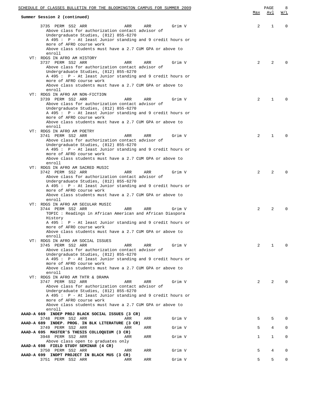| SCHEDULE OF CLASSES BULLETIN FOR THE BLOOMINGTON CAMPUS FOR SUMMER 2009                                                                                                                                                                         |     | PAGE         | 8           |
|-------------------------------------------------------------------------------------------------------------------------------------------------------------------------------------------------------------------------------------------------|-----|--------------|-------------|
| Summer Session 2 (continued)                                                                                                                                                                                                                    | Max | <u>Avl</u>   | W/L         |
| 3735 PERM SS2 ARR<br>ARR<br>ARR<br>Grim V<br>Above class for authorization contact advisor of<br>Undergraduate Studies, (812) 855-6270<br>A 495 : P - At least Junior standing and 9 credit hours or                                            | 2   | 1            | $\Omega$    |
| more of AFRO course work<br>Above class students must have a 2.7 CUM GPA or above to<br>enroll                                                                                                                                                  |     |              |             |
| VT: RDGS IN AFRO AM HISTORY<br>3737 PERM SS2 ARR<br>Grim V<br>ARR<br>ARR                                                                                                                                                                        | 2   | 2            | $\Omega$    |
| Above class for authorization contact advisor of<br>Undergraduate Studies, (812) 855-6270<br>A 495 : P - At least Junior standing and 9 credit hours or<br>more of AFRO course work<br>Above class students must have a 2.7 CUM GPA or above to |     |              |             |
| enroll<br>VT: RDGS IN AFRO AM NON-FICTION                                                                                                                                                                                                       |     |              |             |
| 3739 PERM SS2 ARR<br>Grim V<br>ARR<br>ARR<br>Above class for authorization contact advisor of<br>Undergraduate Studies, (812) 855-6270                                                                                                          | 2   | 1            | $\Omega$    |
| A 495 : P - At least Junior standing and 9 credit hours or<br>more of AFRO course work<br>Above class students must have a 2.7 CUM GPA or above to                                                                                              |     |              |             |
| enroll<br>VT: RDGS IN AFRO AM POETRY                                                                                                                                                                                                            |     |              |             |
| 3741 PERM SS2 ARR<br>ARR<br>ARR<br>Grim V                                                                                                                                                                                                       | 2   | $\mathbf{1}$ | $\Omega$    |
| Above class for authorization contact advisor of<br>Undergraduate Studies, (812) 855-6270<br>A 495 : P - At least Junior standing and 9 credit hours or                                                                                         |     |              |             |
| more of AFRO course work<br>Above class students must have a 2.7 CUM GPA or above to<br>enroll                                                                                                                                                  |     |              |             |
| VT: RDGS IN AFRO AM SACRED MUSIC<br>3742 PERM SS2 ARR<br>Grim V<br>ARR<br>ARR<br>Above class for authorization contact advisor of                                                                                                               | 2   | 2            | $\Omega$    |
| Undergraduate Studies, (812) 855-6270<br>A 495 : P - At least Junior standing and 9 credit hours or<br>more of AFRO course work<br>Above class students must have a 2.7 CUM GPA or above to<br>enroll                                           |     |              |             |
| VT: RDGS IN AFRO AM SECULAR MUSIC<br>3744 PERM SS2 ARR<br>ARR<br>ARR<br>Grim V                                                                                                                                                                  | 2   | 2            | $\Omega$    |
| TOPIC: Readings in African American and African Diaspora<br>History<br>A 495 : P - At least Junior standing and 9 credit hours or                                                                                                               |     |              |             |
| more of AFRO course work<br>Above class students must have a 2.7 CUM GPA or above to<br>enroll                                                                                                                                                  |     |              |             |
| VT: RDGS IN AFRO AM SOCIAL ISSUES<br>3745 PERM SS2 ARR<br>ARR<br>ARR<br>Grim V                                                                                                                                                                  | 2   | $\mathbf{1}$ | $\Omega$    |
| Above class for authorization contact advisor of<br>Undergraduate Studies, (812) 855-6270                                                                                                                                                       |     |              |             |
| A 495 : P - At least Junior standing and 9 credit hours or<br>more of AFRO course work<br>Above class students must have a 2.7 CUM GPA or above to                                                                                              |     |              |             |
| enroll<br>VT: RDGS IN AFRO AM THTR & DRAMA                                                                                                                                                                                                      |     |              |             |
| 3747 PERM SS2 ARR<br>ARR<br>ARR<br>Grim V<br>Above class for authorization contact advisor of                                                                                                                                                   | 2   | 2            | $\Omega$    |
| Undergraduate Studies, (812) 855-6270<br>A 495 : P - At least Junior standing and 9 credit hours or<br>more of AFRO course work                                                                                                                 |     |              |             |
| Above class students must have a 2.7 CUM GPA or above to<br>enroll                                                                                                                                                                              |     |              |             |
| AAAD-A 669 INDEP PROJ BLACK SOCIAL ISSUES (3 CR)<br>3748 PERM SS2 ARR<br>Grim V<br>ARR<br>ARR                                                                                                                                                   | 5   | 5            | $\Omega$    |
| AAAD-A 689 INDEP. PROG. IN BLK LITERATURE (3 CR)<br>3749 PERM SS2 ARR<br>Grim V<br>ARR<br>ARR                                                                                                                                                   | 5   | 4            | $\Omega$    |
| AAAD-A 695 MASTER'S THESIS COLLOQUIUM (3 CR)<br>3948 PERM SS2 ARR<br>Grim V<br>ARR<br>ARR                                                                                                                                                       | 1   | $\mathbf{1}$ | 0           |
| Above class open to graduates only<br>AAAD-A 698 FIELD STUDY SEMINAR (4 CR)                                                                                                                                                                     |     |              |             |
| 3750 PERM SS2 ARR<br>ARR<br>ARR<br>Grim V<br>AAAD-A 699 INDPT PROJECT IN BLACK MUS (3 CR)                                                                                                                                                       | 5   | 4            | $\mathbf 0$ |
| 3751 PERM SS2 ARR<br>Grim V<br>ARR<br>ARR                                                                                                                                                                                                       | 5   | 5            | 0           |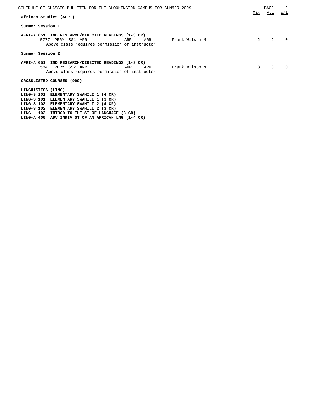| SCHEDULE OF CLASSES BULLETIN FOR THE BLOOMINGTON CAMPUS FOR SUMMER 2009                                                                                  |     | PAGE | 9        |
|----------------------------------------------------------------------------------------------------------------------------------------------------------|-----|------|----------|
| African Studies (AFRI)                                                                                                                                   | Max | Avl  | W/L      |
| Summer Session 1                                                                                                                                         |     |      |          |
| AFRI-A 651 IND RESEARCH/DIRECTED READINGS (1-3 CR)<br>Frank Wilson M<br>5777 PERM SS1 ARR<br>ARR<br>ARR<br>Above class requires permission of instructor | 2   | 2    | $\Omega$ |
| Summer Session 2                                                                                                                                         |     |      |          |
| AFRI-A 651 IND RESEARCH/DIRECTED READINGS (1-3 CR)                                                                                                       |     |      |          |
| 5841 PERM SS2 ARR<br>Frank Wilson M<br>ARR<br>ARR<br>Above class requires permission of instructor                                                       | 3   | 3    | $\Omega$ |
| CROSSLISTED COURSES (999)                                                                                                                                |     |      |          |
| LINGUISTICS (LING)<br>LING-S 101 ELEMENTARY SWAHILI 1 (4 CR)<br>LING-S 101 ELEMENTARY SWAHILI 1 (3 CR)                                                   |     |      |          |
| LING-S 102 ELEMENTARY SWAHILI 2 (4 CR)                                                                                                                   |     |      |          |

**LING-S 102 ELEMENTARY SWAHILI 2 (3 CR)**

**LING-L 103 INTROD TO THE ST OF LANGUAGE (3 CR) LING-A 400 ADV INDIV ST OF AN AFRICAN LNG (1-4 CR)**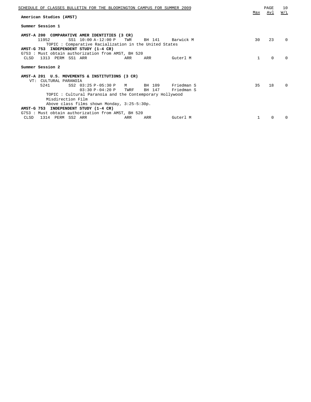| SCHEDULE OF CLASSES BULLETIN FOR THE BLOOMINGTON CAMPUS FOR SUMMER 2009<br>American Studies (AMST)                                                                                                            | Max | PAGE<br>Avl | 10<br>W/L    |
|---------------------------------------------------------------------------------------------------------------------------------------------------------------------------------------------------------------|-----|-------------|--------------|
| Summer Session 1                                                                                                                                                                                              |     |             |              |
| AMST-A 200 COMPARATIVE AMER IDENTITIES (3 CR)<br>SS1 10:00 A-12:00 P<br>11952<br>TWR<br>BH 141<br>Barwick M<br>TOPIC: Comparative Racialization in the United States<br>AMST-G 753 INDEPENDENT STUDY (1-4 CR) | 30  | 23          | 0            |
| G753: Must obtain authorization from AMST, BH 520<br>1313 PERM SS1 ARR<br>CLSD<br>ARR<br>ARR<br>Guterl M                                                                                                      | 1   | $\Omega$    | <sup>n</sup> |
| Summer Session 2                                                                                                                                                                                              |     |             |              |
| AMST-A 201 U.S. MOVEMENTS & INSTITUTIONS (3 CR)<br>CULTURAL PARANOIA<br>VT:                                                                                                                                   |     |             |              |
| SS2 03:25 P-05:30 P M<br>BH 109<br>5241<br>Friedman S<br>$03:30 P - 04:20 P$<br>BH 147<br>TWRF<br>Friedman S<br>TOPIC: Cultural Paranoia and the Contemporary Hollywood                                       | 35  | 18          | $\Omega$     |
| Misdirection Film<br>Above class films shown Monday, 3:25-5:30p.                                                                                                                                              |     |             |              |
| AMST-G 753 INDEPENDENT STUDY (1-4 CR)<br>G753: Must obtain authorization from AMST, BH 520                                                                                                                    |     |             |              |
| 1314 PERM SS2 ARR<br>CLSD<br>ARR<br>ARR<br>Guterl M                                                                                                                                                           |     | $\Omega$    | <sup>n</sup> |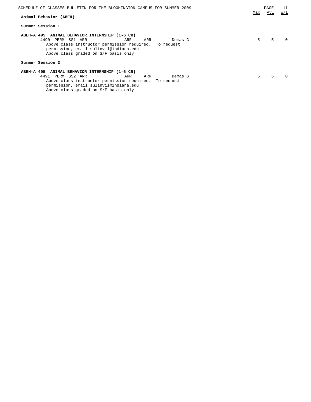| SCHEDULE OF CLASSES BULLETIN FOR THE BLOOMINGTON CAMPUS FOR SUMMER 2009                                                                                                                                                                  |     | PAGE | 11  |
|------------------------------------------------------------------------------------------------------------------------------------------------------------------------------------------------------------------------------------------|-----|------|-----|
| Animal Behavior (ABEH)                                                                                                                                                                                                                   | Max | Avl  | W/L |
| Summer Session 1                                                                                                                                                                                                                         |     |      |     |
| ABEH-A 495 ANIMAL BEHAVIOR INTERNSHIP (1-6 CR)<br>4490 PERM SS1 ARR<br>ARR<br>Demas G<br>ARR<br>Above class instructor permission required. To request<br>permission, email sulinvil@indiana.edu<br>Above class graded on S/F basis only | 5   | 5    |     |
| Summer Session 2                                                                                                                                                                                                                         |     |      |     |
| ABEH-A 495 ANIMAL BEHAVIOR INTERNSHIP (1-6 CR)<br>4491 PERM SS2 ARR<br>ARR<br>ARR<br>Demas G<br>Above class instructor permission required. To request<br>permission, email sulinvil@indiana.edu                                         | .5  | 5    |     |

Above class graded on S/F basis only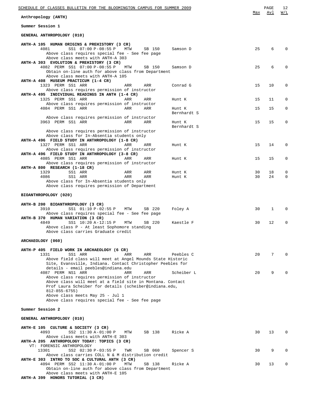| SCHEDULE OF CLASSES BULLETIN FOR THE BLOOMINGTON CAMPUS FOR SUMMER 2009                                          |          | PAGE     | 12       |
|------------------------------------------------------------------------------------------------------------------|----------|----------|----------|
| Anthropology (ANTH)                                                                                              | Max      | Avl      | W/L      |
| Summer Session 1                                                                                                 |          |          |          |
| GENERAL ANTHROPOLOGY (010)                                                                                       |          |          |          |
| ANTH-A 105 HUMAN ORIGINS & PREHISTORY (3 CR)                                                                     |          |          |          |
| 4081<br>SS1 07:00 P-08:55 P<br>MTW<br>SB 150<br>Samson D<br>Above class requires special fee - See fee page      | 25       | 6        | $\Omega$ |
| Above class meets with ANTH-A 303                                                                                |          |          |          |
| ANTH-A 303 EVOLUTION & PREHISTORY (3 CR)<br>4082 PERM SS1 07:00 P-08:55 P<br>MTW<br>SB 150<br>Samson D           | 25       | 6        | $\Omega$ |
| Obtain on-line auth for above class from Department<br>Above class meets with ANTH-A 105                         |          |          |          |
| ANTH-A 408 MUSEUM PRACTICUM (1-4 CR)                                                                             |          |          |          |
| 1323 PERM SS1 ARR<br>ARR<br>Conrad G<br>ARR<br>Above class requires permission of instructor                     | 15       | 10       | 0        |
| ANTH-A 495 INDIVIDUAL READINGS IN ANTH (1-4 CR)                                                                  |          |          |          |
| 1325 PERM SS1 ARR<br>ARR<br>ARR<br>Hunt K<br>Above class requires permission of instructor                       | 15       | 11       | $\Omega$ |
| 4084 PERM SS1 ARR<br>ARR<br>ARR<br>Hunt K<br>Bernhardt S                                                         | 15       | 15       | 0        |
| Above class requires permission of instructor                                                                    |          |          |          |
| 3963 PERM SS1 ARR<br>ARR<br>ARR<br>Hunt K<br>Bernhardt S                                                         | 15       | 15       | 0        |
| Above class requires permission of instructor                                                                    |          |          |          |
| Above class for In-Absentia students only<br>ANTH-A 496 FIELD STUDY IN ANTHROPOLOGY (1-8 CR)                     |          |          |          |
| 1327 PERM SS1 ARR<br>ARR<br>ARR<br>Hunt K                                                                        | 15       | 14       | 0        |
| Above class requires permission of instructor<br>ANTH-A 496 FIELD STUDY IN ANTHROPOLOGY (3-8 CR)                 |          |          |          |
| 4085 PERM SS1 ARR<br>ARR<br>ARR<br>Hunt K<br>Above class requires permission of instructor                       | 15       | 15       | 0        |
| ANTH-A 800 RESEARCH (1-18 CR)                                                                                    |          |          |          |
| SS1 ARR<br>1329<br>ARR<br>ARR<br>Hunt K<br>4086<br>SS1 ARR<br>ARR<br>ARR<br>Hunt K                               | 30<br>30 | 18<br>24 | 0<br>0   |
| Above class for In-Absentia students only<br>Above class requires permission of Department                       |          |          |          |
|                                                                                                                  |          |          |          |
| BIOANTHROPOLOGY (020)                                                                                            |          |          |          |
| ANTH-B 200 BIOANTHROPOLOGY (3 CR)<br>3910<br>SS1 01:10 P-02:55 P<br>MTW<br>SB 220<br>Foley A                     | 30       | 1        | $\Omega$ |
| Above class requires special fee - See fee page                                                                  |          |          |          |
| ANTH-B 370 HUMAN VARIATION (3 CR)<br>4849<br>SS1 10:20 A-12:15 P<br>MTW<br>SB 220<br>Kaestle F                   | 30       | 12       | 0        |
| Above class P - At least Sophomore standing<br>Above class carries Graduate credit                               |          |          |          |
|                                                                                                                  |          |          |          |
| ARCHAEOLOGY (060)                                                                                                |          |          |          |
| ANTH-P 405 FIELD WORK IN ARCHAEOLOGY (6 CR)<br>1331<br>SS1 ARR<br>ARR<br>ARR<br>Peebles C                        | 20       | 7        | $\Omega$ |
| Above field class will meet at Angel Mounds State Historic                                                       |          |          |          |
| Site, Evansville, Indiana. Contact Christopher Peebles for<br>details - email peebles@indiana.edu                |          |          |          |
| 4087 PERM NS1 ARR<br>Scheiber L<br>ARR<br>ARR<br>Above class requires permission of instructor                   | 20       | 9        | $\Omega$ |
| Above class will meet at a field site in Montana. Contact                                                        |          |          |          |
| Prof Laura Scheiber for details (scheiber@indiana.edu,<br>$812 - 855 - 6755$                                     |          |          |          |
| Above class meets May 25 - Jul 1                                                                                 |          |          |          |
| Above class requires special fee - See fee page                                                                  |          |          |          |
| Summer Session 2                                                                                                 |          |          |          |
| GENERAL ANTHROPOLOGY (010)                                                                                       |          |          |          |
| ANTH-E 105 CULTURE & SOCIETY (3 CR)                                                                              |          |          |          |
| 4093<br>SS2 11:30 A-01:00 P<br>SB 138<br>Ricke A<br>MTW<br>Above class meets with ANTH-E 303                     | 30       | 13       | $\Omega$ |
| ANTH-A 205 ANTHROPOLOGY TODAY: TOPICS (3 CR)<br>VT: FORENSIC ANTHROPOLOGY                                        |          |          |          |
| 13301<br>SS2 02:30 P-03:55 P<br>TWR<br>SB 060<br>Spencer S                                                       | 30       | 9        | $\Omega$ |
| Above class carries COLL N & M distribution credit<br>ANTH-E 303 INTRO TO SOC & CULTURAL ANTH (3 CR)             |          |          |          |
| 4094 PERM SS2 11:30 A-01:00 P<br>MTW<br>SB 138<br>Ricke A<br>Obtain on-line auth for above class from Department | 30       | 13       | 0        |
| Above class meets with ANTH-E 105                                                                                |          |          |          |
| ANTH-A 399 HONORS TUTORIAL (3 CR)                                                                                |          |          |          |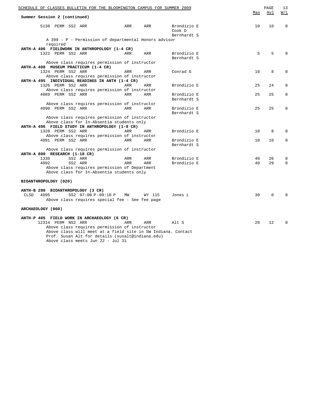| SCHEDULE OF CLASSES BULLETIN FOR THE BLOOMINGTON CAMPUS FOR SUMMER 2009                          |     |            |                                      | Max | PAGE<br>Avl | 13<br>W/L   |
|--------------------------------------------------------------------------------------------------|-----|------------|--------------------------------------|-----|-------------|-------------|
| Summer Session 2 (continued)                                                                     |     |            |                                      |     |             |             |
| 5138 PERM SS2 ARR                                                                                | ARR | ARR        | Brondizio E<br>Cook D<br>Bernhardt S | 10  | 10          | $\mathbf 0$ |
| A 399 : P - Permission of departmental Honors advisor                                            |     |            |                                      |     |             |             |
| required                                                                                         |     |            |                                      |     |             |             |
| ANTH-A 406 FIELDWORK IN ANTHROPOLOGY (1-4 CR)                                                    |     |            |                                      |     |             |             |
| 1322 PERM SS2 ARR                                                                                | ARR | ARR        | Brondizio E<br>Bernhardt S           | 5   | 5           | $\Omega$    |
| Above class requires permission of instructor                                                    |     |            |                                      |     |             |             |
| ANTH-A 408 MUSEUM PRACTICUM (1-4 CR)                                                             |     |            |                                      |     |             |             |
| 1324 PERM SS2 ARR                                                                                | ARR | ARR        | Conrad G                             | 10  | 8           | 0           |
| Above class requires permission of instructor<br>ANTH-A 495 INDIVIDUAL READINGS IN ANTH (1-4 CR) |     |            |                                      |     |             |             |
| 1326 PERM SS2 ARR                                                                                | ARR |            | Brondizio E                          | 25  | 24          | $\Omega$    |
| Above class requires permission of instructor                                                    |     | ARR        |                                      |     |             |             |
| 4089 PERM SS2 ARR                                                                                | ARR | ARR        | Brondizio E                          | 25  | 25          | $\Omega$    |
|                                                                                                  |     |            | Bernhardt S                          |     |             |             |
| Above class requires permission of instructor                                                    |     |            |                                      |     |             |             |
| 4090 PERM SS2 ARR                                                                                | ARR | <b>ARR</b> | Brondizio E                          | 25  | 25          | $\Omega$    |
|                                                                                                  |     |            | Bernhardt S                          |     |             |             |
| Above class requires permission of instructor                                                    |     |            |                                      |     |             |             |
| Above class for In-Absentia students only                                                        |     |            |                                      |     |             |             |
| ANTH-A 496 FIELD STUDY IN ANTHROPOLOGY (1-8 CR)                                                  |     |            |                                      |     |             |             |
| 1328 PERM SS2 ARR                                                                                | ARR | ARR        | Brondizio E                          | 10  | 8           | $\Omega$    |
| Above class requires permission of instructor                                                    |     |            |                                      |     |             |             |
| 4091 PERM SS2 ARR                                                                                | ARR | <b>ARR</b> | Brondizio E                          | 10  | 10          | $\Omega$    |
|                                                                                                  |     |            | Bernhardt S                          |     |             |             |
| Above class requires permission of instructor                                                    |     |            |                                      |     |             |             |
| ANTH-A 800 RESEARCH (1-18 CR)                                                                    |     |            |                                      |     |             |             |
| 1330<br>SS2 ARR                                                                                  | ARR | ARR        | Brondizio E                          | 40  | 26          | 0           |
| 4092<br>SS2 ARR                                                                                  | ARR | <b>ARR</b> | Brondizio E                          | 40  | 29          | $\Omega$    |
| Above class requires permission of Department                                                    |     |            |                                      |     |             |             |
| Above class for In-Absentia students only                                                        |     |            |                                      |     |             |             |
| BIOANTHROPOLOGY (020)                                                                            |     |            |                                      |     |             |             |
| ANTH-B 200 BIOANTHROPOLOGY (3 CR)                                                                |     |            |                                      |     |             |             |
| <b>CLSD</b><br>4095<br>SS2 07:00 P-09:10 P                                                       | MW  | WY 115     | Jones L                              | 30  | $\Omega$    | $\Omega$    |
| Above class requires special fee - See fee page                                                  |     |            |                                      |     |             |             |
| ARCHAEOLOGY (060)                                                                                |     |            |                                      |     |             |             |
| ANTH-P 405 FIELD WORK IN ARCHAEOLOGY (6 CR)                                                      |     |            |                                      |     |             |             |
| 12314 PERM NS2 ARR                                                                               | ARR | ARR        | Alt S                                | 20  | 12          | $\Omega$    |
| Above class requires permission of instructor                                                    |     |            |                                      |     |             |             |
| Above class will meet at a field site in SW Indiana. Contact                                     |     |            |                                      |     |             |             |
| Prof. Susan Alt for details (susalt@indiana.edu)                                                 |     |            |                                      |     |             |             |
| Above class meets Jun 22 - Jul 31                                                                |     |            |                                      |     |             |             |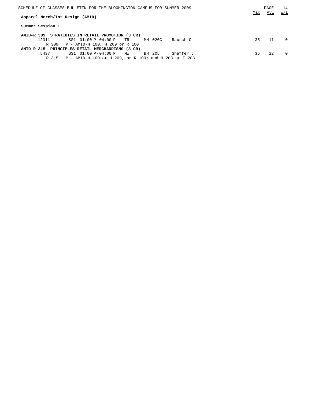| SCHEDULE OF CLASSES BULLETIN FOR THE BLOOMINGTON CAMPUS FOR SUMMER 2009 |     | PAGE | 14       |
|-------------------------------------------------------------------------|-----|------|----------|
|                                                                         | Max | Avl  | W/L      |
| Apparel Merch/Int Design (AMID)                                         |     |      |          |
| Summer Session 1                                                        |     |      |          |
| AMID-R 309 STRATEGIES IN RETAIL PROMOTION (3 CR)                        |     |      |          |
| SS1 01:00 P-04:00 P TR MM 020C<br>12311<br>Rausch C                     | 35  | 11   | $\Omega$ |
| R 309 : P - AMID-H 100, H 209 or R 100                                  |     |      |          |
| AMID-R 315 PRINCIPLES-RETAIL MERCHANDISNG (3 CR)                        |     |      |          |
| $SS1$ $01:00$ $P-04:00$ $P$ MW<br>5437<br>BH 205<br>Shaffer J           | 35  | 12.  | $\Omega$ |
| R 315: P - AMID-H 100 or H 209, or R 100; and H 203 or F 203            |     |      |          |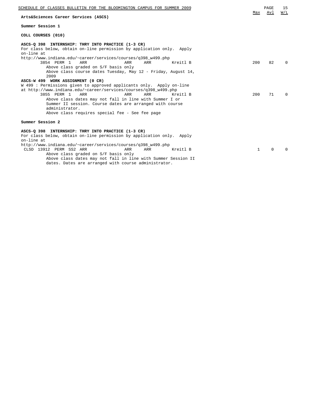| SCHEDULE OF CLASSES BULLETIN FOR THE BLOOMINGTON CAMPUS FOR SUMMER 2009                                                                                                                                                                                                                                                                                                                                                                                                                 | Max          | PAGE<br>Avl | 15<br>W/L |
|-----------------------------------------------------------------------------------------------------------------------------------------------------------------------------------------------------------------------------------------------------------------------------------------------------------------------------------------------------------------------------------------------------------------------------------------------------------------------------------------|--------------|-------------|-----------|
| Arts&Sciences Career Services (ASCS)                                                                                                                                                                                                                                                                                                                                                                                                                                                    |              |             |           |
| Summer Session 1                                                                                                                                                                                                                                                                                                                                                                                                                                                                        |              |             |           |
| COLL COURSES (010)                                                                                                                                                                                                                                                                                                                                                                                                                                                                      |              |             |           |
| ASCS-Q 398 INTERNSHIP: THRY INTO PRACTICE (1-3 CR)<br>For class below, obtain on-line permission by application only. Apply<br>on-line at<br>http://www.indiana.edu/~career/services/courses/q398_w499.php<br>3854 PERM 1<br>ARR<br>ARR<br>ARR<br>Kreitl B<br>Above class graded on S/F basis only<br>Above class course dates Tuesday, May 12 - Friday, August 14,<br>2009<br>ASCS-W 499 WORK ASSIGNMENT (0 CR)<br>W 499: Permissions given to approved applicants only. Apply on-line | 200          | 82          | $\Omega$  |
| at http://www.indiana.edu/~career/services/courses/q398_w499.php<br>3855 PERM 1<br><b>ARR</b><br><b>ARR</b><br>ARR<br>Kreitl B<br>Above class dates may not fall in line with Summer I or<br>Summer II session. Course dates are arranged with course<br>administrator.<br>Above class requires special fee - See fee page                                                                                                                                                              | 200          | 71          | $\Omega$  |
| Summer Session 2                                                                                                                                                                                                                                                                                                                                                                                                                                                                        |              |             |           |
| ASCS-Q 398 INTERNSHIP: THRY INTO PRACTICE (1-3 CR)<br>For class below, obtain on-line permission by application only. Apply<br>on-line at<br>http://www.indiana.edu/~career/services/courses/q398_w499.php<br>CLSD 13912 PERM SS2 ARR<br>ARR<br>Kreitl B<br>ARR<br>Above class graded on S/F basis only<br>Above class dates may not fall in line with Summer Session II<br>dates. Dates are arranged with course administrator.                                                        | $\mathbf{1}$ | $\Omega$    | 0         |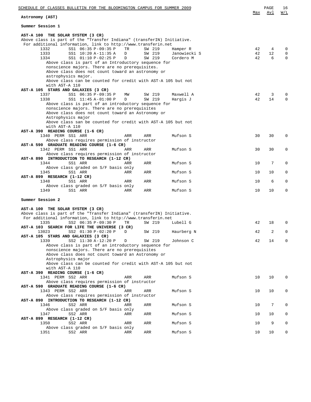| SCHEDULE OF CLASSES BULLETIN FOR THE BLOOMINGTON CAMPUS FOR SUMMER 2009                                                                                                                                                                                                                                                                                                                                                                                                                                                                          |              |                            |                                       | Max            | PAGE<br>Avl               | 16<br>W/L                |
|--------------------------------------------------------------------------------------------------------------------------------------------------------------------------------------------------------------------------------------------------------------------------------------------------------------------------------------------------------------------------------------------------------------------------------------------------------------------------------------------------------------------------------------------------|--------------|----------------------------|---------------------------------------|----------------|---------------------------|--------------------------|
| Astronomy (AST)                                                                                                                                                                                                                                                                                                                                                                                                                                                                                                                                  |              |                            |                                       |                |                           |                          |
| Summer Session 1                                                                                                                                                                                                                                                                                                                                                                                                                                                                                                                                 |              |                            |                                       |                |                           |                          |
| AST-A 100 THE SOLAR SYSTEM (3 CR)<br>Above class is part of the "Transfer Indiana" (transferIN) Initiative.<br>For additional information, link to http://www.transferin.net<br>SS1 06:35 P-09:35 P<br>1332<br>1333<br>SS1 10:20 A-11:35 A<br>1334<br>SS1 01:10 P-02:25 P<br>Above class is part of an Introductory sequence for<br>nonscience majors. There are no prerequisites.<br>Above class does not count toward an astronomy or<br>astrophysics major.<br>Above class can be counted for credit with AST-A 105 but not<br>with AST-A 110 | TR<br>D<br>D | SW 219<br>SW 219<br>SW 219 | Hamper R<br>Janowiecki S<br>Cordero M | 42<br>42<br>42 | $\overline{4}$<br>12<br>6 | 0<br>$\mathbf{0}$<br>0   |
| AST-A 105 STARS AND GALAXIES (3 CR)<br>1337<br>SS1 06:35 P-09:35 P<br>1338<br>SS1 11:45 A-01:00 P<br>Above class is part of an introductory sequence for<br>nonscience majors. There are no prerequisites<br>Above class does not count toward an Astronomy or<br>Astrophysics major<br>Above class san be counted for credit with AST-A 105 but not<br>with AST-A 110                                                                                                                                                                           | MW<br>D      | SW 219<br>SW 219           | Maxwell A<br>Hargis J                 | 42<br>42       | 3<br>14                   | $\Omega$<br>$\mathbf{0}$ |
| AST-A 390 READING COURSE (1-6 CR)<br>1340 PERM SS1 ARR                                                                                                                                                                                                                                                                                                                                                                                                                                                                                           | ARR          | ARR                        | Mufson S                              | 30             | 30                        | 0                        |
| Above class requires permission of instructor<br>AST-A 590 GRADUATE READING COURSE (1-6 CR)                                                                                                                                                                                                                                                                                                                                                                                                                                                      |              |                            |                                       |                |                           |                          |
| 1342 PERM SS1 ARR<br>Above class requires permission of instructor                                                                                                                                                                                                                                                                                                                                                                                                                                                                               | ARR          | ARR                        | Mufson S                              | 30             | 30                        | 0                        |
| AST-A 890 INTRODUCTION TO RESEARCH (1-12 CR)<br>1344<br>SS1 ARR                                                                                                                                                                                                                                                                                                                                                                                                                                                                                  | ARR          | ARR                        | Mufson S                              | 10             | 7                         | $\mathbf{0}$             |
| Above class graded on S/F basis only<br>1345<br>SS1 ARR                                                                                                                                                                                                                                                                                                                                                                                                                                                                                          | ARR          | ARR                        | Mufson S                              | 10             | 10                        | $\mathbf 0$              |
| AST-A 899 RESEARCH (1-12 CR)<br>1348<br>SS1 ARR                                                                                                                                                                                                                                                                                                                                                                                                                                                                                                  | ARR          | ARR                        | Mufson S                              | 10             | 6                         | $\mathbf{0}$             |
| Above class graded on S/F basis only<br>1349<br>SS1 ARR                                                                                                                                                                                                                                                                                                                                                                                                                                                                                          | ARR          | ARR                        | Mufson S                              | 10             | 10                        | $\mathbf{0}$             |
| Summer Session 2                                                                                                                                                                                                                                                                                                                                                                                                                                                                                                                                 |              |                            |                                       |                |                           |                          |
| AST-A 100 THE SOLAR SYSTEM (3 CR)<br>Above class is part of the "Transfer Indiana" (transferIN) Initiative.<br>For additional information, link to http://www.transferin.net<br>SS2 06:35 P-09:30 P<br>1335<br>AST-A 103 SEARCH FOR LIFE THE UNIVERSE (3 CR)                                                                                                                                                                                                                                                                                     | TR           | SW 219                     | Lubell G                              | 42             | 18                        | $\Omega$                 |
| 13023<br>SS2 01:30 P-02:20 P                                                                                                                                                                                                                                                                                                                                                                                                                                                                                                                     | D            | SW 219                     | Haurberg N                            | 42             | 2                         |                          |
| AST-A 105 STARS AND GALAXIES (3 CR)<br>SS2 11:30 A-12:20 P<br>1339<br>Above class is part of an introductory sequence for<br>nonscience majors. There are no prerequisites                                                                                                                                                                                                                                                                                                                                                                       | D            | SW 219                     | Johnson C                             | 42             | 14                        | $\Omega$                 |
| Above class does not count toward an Astronomy or<br>Astrophysics major<br>Above class can be counted for credit with AST-A 105 but not<br>with AST-A 110                                                                                                                                                                                                                                                                                                                                                                                        |              |                            |                                       |                |                           |                          |
| AST-A 390 READING COURSE (1-6 CR)<br>1341 PERM SS2 ARR<br>Above class requires permission of instructor                                                                                                                                                                                                                                                                                                                                                                                                                                          | ARR          | ARR                        | Mufson S                              | 10             | 10                        | 0                        |
| AST-A 590 GRADUATE READING COURSE (1-6 CR)<br>1343 PERM SS2 ARR<br>Above class requires permission of instructor                                                                                                                                                                                                                                                                                                                                                                                                                                 | ARR          | ARR                        | Mufson S                              | 10             | 10                        | 0                        |
| AST-A 890 INTRODUCTION TO RESEARCH (1-12 CR)<br>1346<br>SS2 ARR                                                                                                                                                                                                                                                                                                                                                                                                                                                                                  | ARR          | ARR                        | Mufson S                              | 10             | 7                         | $\Omega$                 |
| Above class graded on S/F basis only<br>SS2 ARR<br>1347                                                                                                                                                                                                                                                                                                                                                                                                                                                                                          | ARR          | ARR                        | Mufson S                              | 10             | 10                        | $\mathbf{0}$             |
| AST-A 899 RESEARCH (1-12 CR)<br>1350<br>SS2 ARR                                                                                                                                                                                                                                                                                                                                                                                                                                                                                                  | ARR          | ARR                        | Mufson S                              | 10             | 9                         | 0                        |
| Above class graded on S/F basis only                                                                                                                                                                                                                                                                                                                                                                                                                                                                                                             | ARR          |                            |                                       | 10             | 10                        | $\mathbf{0}$             |
| 1351<br>SS2 ARR                                                                                                                                                                                                                                                                                                                                                                                                                                                                                                                                  |              | ARR                        | Mufson S                              |                |                           |                          |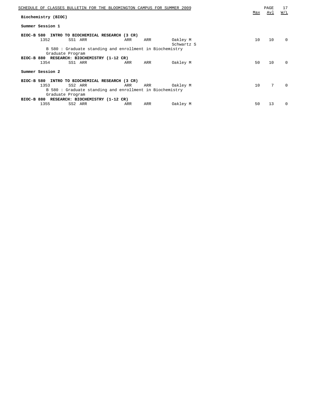| SCHEDULE OF CLASSES BULLETIN FOR THE BLOOMINGTON CAMPUS FOR SUMMER 2009      |     |     |                        | Max | PAGE<br>Avl | 17<br>W/L    |
|------------------------------------------------------------------------------|-----|-----|------------------------|-----|-------------|--------------|
| Biochemistry (BIOC)                                                          |     |     |                        |     |             |              |
| Summer Session 1                                                             |     |     |                        |     |             |              |
| BIOC-B 580<br>INTRO TO BIOCHEMICAL RESEARCH (3 CR)                           |     |     |                        |     |             |              |
| 1352<br>SS1 ARR                                                              | ARR | ARR | Oakley M<br>Schwartz S | 10  | 10          | $\Omega$     |
| B 580 : Graduate standing and enrollment in Biochemistry                     |     |     |                        |     |             |              |
| Graduate Program                                                             |     |     |                        |     |             |              |
| BIOC-B 880 RESEARCH: BIOCHEMISTRY (1-12 CR)<br>1354<br>SS1 ARR               | ARR | ARR | Oakley M               | 50  | 10          | <sup>0</sup> |
|                                                                              |     |     |                        |     |             |              |
| Summer Session 2                                                             |     |     |                        |     |             |              |
| BIOC-B 580<br>INTRO TO BIOCHEMICAL RESEARCH (3 CR)                           |     |     |                        |     |             |              |
| 1353<br>SS2 ARR                                                              | ARR | ARR | Oakley M               | 10  | 7           | $\Omega$     |
| B 580 : Graduate standing and enrollment in Biochemistry<br>Graduate Program |     |     |                        |     |             |              |
| BIOC-B 880 RESEARCH: BIOCHEMISTRY (1-12 CR)                                  |     |     |                        |     |             |              |
| 1355<br>SS2 ARR                                                              | ARR | ARR | Oakley M               | 50  | 13          | $\Omega$     |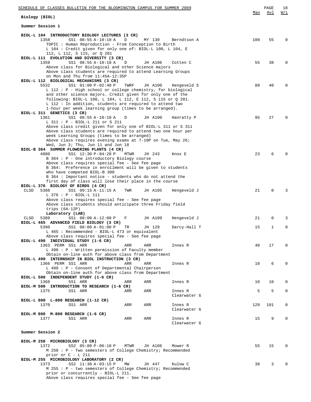| SCHEDULE OF CLASSES BULLETIN FOR THE BLOOMINGTON CAMPUS FOR SUMMER 2009                                                                                                          |     | PAGE        | 18       |
|----------------------------------------------------------------------------------------------------------------------------------------------------------------------------------|-----|-------------|----------|
| Biology (BIOL)                                                                                                                                                                   | Max | Avl         | W/L      |
| Summer Session 1                                                                                                                                                                 |     |             |          |
| BIOL-L 104 INTRODUCTORY BIOLOGY LECTURES (3 CR)                                                                                                                                  |     |             |          |
| 1358<br>SS1 08:55 A-10:10 A<br>MY 130<br>D<br>Berndtson A<br>TOPIC : Human Reproduction - From Conception to Birth<br>L 104 : Credit given for only one of: BIOL-L 100, L 104, E | 100 | 55          | 0        |
| 112, L 112, S 115, or Q 201<br>BIOL-L 111 EVOLUTION AND DIVERSITY (3 CR)                                                                                                         |     |             |          |
| 1359<br>SS1 08:55 A-10:10 A<br>D<br>JH A106<br>Cotten C                                                                                                                          | 55  | 38          | 0        |
| Above class for Biological and other Science majors                                                                                                                              |     |             |          |
| Above class students are required to attend Learning Groups<br>on Mon and Thu from 11:45A-12:35P                                                                                 |     |             |          |
| BIOL-L 112 BIOLOGICAL MECHANISMS (3 CR)                                                                                                                                          |     |             |          |
| 5532<br>SS1 01:00 P-02:40 P<br>TWRF<br>JH A100<br>Hengeveld S<br>L 112 : P - High school or college chemistry, for biological                                                    | 80  | 40          | 0        |
| and other science majors. Credit given for only one of the                                                                                                                       |     |             |          |
| following: BIOL-L 100, L 104, L 112, E 112, S 115 or Q 201.<br>L 112 : In addition, students are required to attend two                                                          |     |             |          |
| 1-hour per week learning group (times to be arranged).                                                                                                                           |     |             |          |
| BIOL-L 311 GENETICS (3 CR)<br>1361<br>SS1 08:55 A-10:10 A<br>JH A100<br>D<br>Hanratty P                                                                                          | 95  | 27          | O        |
| L 311 : P - BIOL-L 211 or S 211                                                                                                                                                  |     |             |          |
| Above class credit given for only one of BIOL-L 311 or S 311<br>Above class students are required to attend two one hour per                                                     |     |             |          |
| week Learning Groups (times to be arranged)                                                                                                                                      |     |             |          |
| Above class requires evening exams at 7-10P on Tue, May 26;<br>Wed, Jun 3; Thu, Jun 11 and Jun 18                                                                                |     |             |          |
| BIOL-B 364 SUMMER FLOWERING PLANTS (4 CR)                                                                                                                                        |     |             |          |
| 4080<br>SS1 12:30 P-04:20 P<br>MTWR<br>JH 243<br>Knox E                                                                                                                          | 23  | 6           |          |
| B 364 : P - One introductory Biology course<br>Above class requires special fee - See fee page                                                                                   |     |             |          |
| B 364: Preference in enrollment will be given to students                                                                                                                        |     |             |          |
| who have competed BIOL-B 300<br>B 364 : Important notice - students who do not attend the                                                                                        |     |             |          |
| first day of class will lose their place in the course                                                                                                                           |     |             |          |
| BIOL-L 376 BIOLOGY OF BIRDS (4 CR)<br>CLSD<br>5388<br>SS1 09:15 A-11:15 A<br>TWR<br>JH A105<br>Hengeveld J                                                                       | 21  | $\mathbf 0$ | 3        |
| $L$ 376 : P - BIOL-L 111                                                                                                                                                         |     |             |          |
| Above class requires special fee - See fee page<br>Above class students should anticipate three Friday field                                                                     |     |             |          |
| trips $(6A-12P)$                                                                                                                                                                 |     |             |          |
| Laboratory (LAB)<br>SS1 08:00 A-12:00 P<br>JH A109<br>5389<br>Hengeveld J<br>CLSD<br>F                                                                                           | 21  | 0           | 3        |
| BIOL-L 465 ADVANCED FIELD BIOLOGY (3 CR)                                                                                                                                         |     |             |          |
| 5390<br>SS1 08:00 A-01:00 P<br>TR<br>JH 129<br>Darcy-Hall T<br>L 465 : Recommended - BIOL-L 473 or equivalent                                                                    | 15  | 1           | 0        |
| Above class requires special fee - See fee page                                                                                                                                  |     |             |          |
| BIOL-L 490 INDIVIDUAL STUDY (1-6 CR)                                                                                                                                             |     |             | $\Omega$ |
| 1363 PERM SS1 ARR<br>ARR<br>ARR<br>Innes R<br>L 490 : P - Written permission of Faculty member                                                                                   | 40  | 17          |          |
| Obtain on-line auth for above class from Department                                                                                                                              |     |             |          |
| BIOL-L 499 INTERNSHIP IN BIOL INSTRUCTION (3 CR)<br>1366 PERM SS1 ARR<br>ARR<br>ARR<br>Innes R                                                                                   | 10  | 6           | 0        |
| L 499 : P - Consent of Departmental Chairperson                                                                                                                                  |     |             |          |
| Obtain on-line auth for above class from Department<br>BIOL-L 500 INDEPENDENT STUDY (1-6 CR)                                                                                     |     |             |          |
| 1368<br>SS1 ARR<br>ARR<br>ARR<br>Innes R                                                                                                                                         | 10  | 10          | 0        |
| BIOL-M 500 INTRODUCTION TO RESEARCH (1-6 CR)<br>1375<br>SS1 ARR<br>ARR<br>Innes R<br>ARR                                                                                         | 5   | 5           | 0        |
| Clearwater G                                                                                                                                                                     |     |             |          |
| BIOL-L 800 L-800 RESEARCH (1-12 CR)<br>1370<br>SS1 ARR<br>ARR<br>ARR<br>Innes R                                                                                                  | 120 | 101         | 0        |
| Clearwater G                                                                                                                                                                     |     |             |          |
| BIOL-M 800 M-800 RESEARCH (1-6 CR)<br>1377<br>SS1 ARR<br>ARR<br>ARR<br>Innes R                                                                                                   | 15  | 9           | 0        |
| Clearwater G                                                                                                                                                                     |     |             |          |
| Summer Session 2                                                                                                                                                                 |     |             |          |
|                                                                                                                                                                                  |     |             |          |
| BIOL-M 250 MICROBIOLOGY (3 CR)                                                                                                                                                   | 55  | 15          | U        |
| SS2 05:00 P-06:10 P<br>1372<br>MTWR<br>JH A106<br>Mower R<br>M 250 : P - Two semesters of College Chemistry; Recommended                                                         |     |             |          |
| prior or $C - L$ 211                                                                                                                                                             |     |             |          |
| BIOL-M 255 MICROBIOLOGY LABORATORY (2 CR)<br>SS2 11:30 A-03:15 P<br>1373<br>MM<br>JH 447<br>Kulow C                                                                              | 38  | 3           | U        |
| M 255 : P - two semesters of College Chemistry; Recommended                                                                                                                      |     |             |          |
| prior or concurrently - BIOL-L 211.<br>Above class requires special fee - See fee page                                                                                           |     |             |          |
|                                                                                                                                                                                  |     |             |          |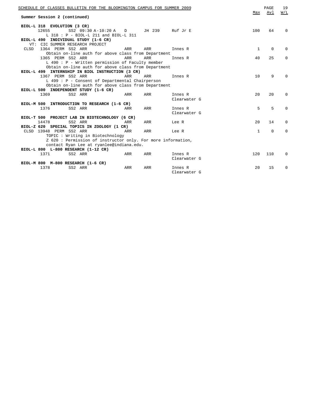| SCHEDULE OF CLASSES BULLETIN FOR THE BLOOMINGTON CAMPUS FOR SUMMER 2009 |             | PAGE        | 19       |
|-------------------------------------------------------------------------|-------------|-------------|----------|
|                                                                         | Max         | Avl         | W/L      |
| Summer Session 2 (continued)                                            |             |             |          |
|                                                                         |             |             |          |
| BIOL-L 318 EVOLUTION (3 CR)                                             |             |             |          |
| 12655<br>SS2 09:30 A-10:20 A D<br>JH 239<br>Ruf Jr E                    | 100         | 64          | $\Omega$ |
| L 318 : P - BIOL-L 211 and BIOL-L 311                                   |             |             |          |
| BIOL-L 490 INDIVIDUAL STUDY (1-6 CR)                                    |             |             |          |
| VT: CIC SUMMER RESEARCH PROJECT                                         |             |             |          |
| 1364 PERM SS2 ARR<br>ARR<br>ARR<br>CLSD<br>Innes R                      | 1           | $\mathbf 0$ | $\Omega$ |
| Obtain on-line auth for above class from Department                     |             |             |          |
| 1365 PERM SS2 ARR<br>ARR<br><b>ARR</b><br>Innes R                       | 40          | 25          | 0        |
| $L$ 490 : P - Written permission of Faculty member                      |             |             |          |
| Obtain on-line auth for above class from Department                     |             |             |          |
| BIOL-L 499 INTERNSHIP IN BIOL INSTRUCTION (3 CR)                        |             |             |          |
| 1367 PERM SS2 ARR<br><b>ARR</b><br>ARR<br>Innes R                       | 10          | 9           | $\Omega$ |
| L 499 : P - Consent of Departmental Chairperson                         |             |             |          |
| Obtain on-line auth for above class from Department                     |             |             |          |
| BIOL-L 500 INDEPENDENT STUDY (1-6 CR)                                   |             |             |          |
| 1369<br>SS2 ARR<br>ARR<br>ARR<br>Innes R                                | 20          | 20          | $\Omega$ |
| Clearwater G                                                            |             |             |          |
| BIOL-M 500 INTRODUCTION TO RESEARCH (1-6 CR)                            |             |             |          |
| 1376<br>SS2 ARR<br>ARR<br>ARR<br>Innes R                                | 5           | 5           | $\Omega$ |
| Clearwater G                                                            |             |             |          |
| BIOL-T 500 PROJECT LAB IN BIOTECHNOLOGY (6 CR)                          |             |             |          |
| 14478<br>SS2 ARR<br>ARR<br>ARR<br>Lee R                                 | $20 \Omega$ | 14          | $\Omega$ |
| BIOL-Z 620 SPECIAL TOPICS IN ZOOLOGY (1 CR)                             |             |             |          |
| CLSD 13948 PERM SS2 ARR<br>ARR<br>ARR<br>Lee R                          | 1           | $\mathbf 0$ | $\Omega$ |
| TOPIC: Writing in Biotechnology                                         |             |             |          |
| Z 620: Permission of instructor only. For more information,             |             |             |          |
| contact Ryan Lee at ryanlee@indiana.edu.                                |             |             |          |
| BIOL-L 800 L-800 RESEARCH (1-12 CR)                                     |             |             |          |
| 1371<br>SS2 ARR<br>ARR<br><b>ARR</b><br>Innes R                         | 120         | 110         | 0        |
| Clearwater G                                                            |             |             |          |
| BIOL-M 800 M-800 RESEARCH (1-6 CR)                                      |             |             |          |
| 1378<br>SS2 ARR<br>ARR<br>ARR<br>Innes R                                | 20          | 15          | $\Omega$ |
| Clearwater G                                                            |             |             |          |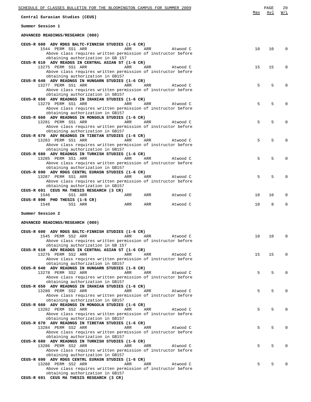| SCHEDULE OF CLASSES BULLETIN FOR THE BLOOMINGTON CAMPUS FOR SUMMER 2009                                      |     | PAGE | 20       |
|--------------------------------------------------------------------------------------------------------------|-----|------|----------|
| Central Eurasian Studies (CEUS)                                                                              | Max | Avl  | W/L      |
| Summer Session 1                                                                                             |     |      |          |
| ADVANCED READINGS/RESEARCH (080)                                                                             |     |      |          |
| CEUS-R 600 ADV RDGS BALTC-FINNISH STUDIES (1-6 CR)                                                           |     |      |          |
| 1544 PERM SS1 ARR<br>ARR<br>ARR<br>Atwood C<br>Above class requires written permission of instructor before  | 10  | 10   | $\Omega$ |
| obtaining authorization in GB 157                                                                            |     |      |          |
| CEUS-R 610 ADV READGS IN CENTRAL ASIAN ST (1-6 CR)<br>13275 PERM SS1 ARR<br>ARR<br>ARR<br>Atwood C           | 15  | 15   | $\Omega$ |
| Above class requires written permission of instructor before                                                 |     |      |          |
| obtaining authorization in GB157<br>CEUS-R 640 ADV READNGS IN HUNGARN STUDIES (1-6 CR)                       |     |      |          |
| 13277 PERM SS1 ARR<br>ARR<br>ARR<br>Atwood C                                                                 | 5   | 5    | $\Omega$ |
| Above class requires written permission of instructor before                                                 |     |      |          |
| obtaining authorization in GB157<br>CEUS-R 650 ADV READNGS IN IRANIAN STUDIES (1-6 CR)                       |     |      |          |
| 13279 PERM SS1 ARR<br>ARR<br>ARR<br>Atwood C                                                                 | 5   | 5    | $\Omega$ |
| Above class requires written permission of instructor before<br>obtaining authorization in GB157             |     |      |          |
| CEUS-R 660 ADV READNGS IN MONGOLN STUDIES (1-6 CR)                                                           |     |      |          |
| 13281 PERM SS1 ARR<br>ARR<br>ARR<br>Atwood C                                                                 | 5   | 5    | $\Omega$ |
| Above class requires written permission of instructor before<br>obtaining authorization in GB157             |     |      |          |
| CEUS-R 670 ADV READNGS IN TIBETAN STUDIES (1-6 CR)                                                           |     |      |          |
| 13283 PERM SS1 ARR<br>ARR<br>ARR<br>Atwood C<br>Above class requires written permission of instructor before | 5   | 5    | $\Omega$ |
| obtaining authorization in GB157                                                                             |     |      |          |
| CEUS-R 680 ADV READNGS IN TURKISH STUDIES (1-6 CR)<br>13285 PERM SS1 ARR<br>ARR<br>ARR<br>Atwood C           | 5   | 5    | $\Omega$ |
| Above class requires written permission of instructor before                                                 |     |      |          |
| obtaining authorization in GB157                                                                             |     |      |          |
| CEUS-R 690 ADV RDGS CENTRL EURASN STUDIES (1-6 CR)<br>13287 PERM SS1 ARR<br>ARR<br>ARR<br>Atwood C           | 5   | 5    | $\Omega$ |
| Above class requires written permission of instructor before                                                 |     |      |          |
| obtaining authorization in GB157<br>CEUS-R 691 CEUS MA THESIS RESEARCH (3 CR)                                |     |      |          |
| 1546<br>SS1 ARR<br>ARR<br>ARR<br>Atwood C                                                                    | 10  | 10   | 0        |
| CEUS-R 890 PHD THESIS (1-6 CR)<br>1548<br>SS1 ARR<br>ARR<br>ARR<br>Atwood C                                  | 10  | 8    | $\Omega$ |
| Summer Session 2                                                                                             |     |      |          |
| ADVANCED READINGS/RESEARCH (080)                                                                             |     |      |          |
|                                                                                                              |     |      |          |
| CEUS-R 600 ADV RDGS BALTC-FINNISH STUDIES (1-6 CR)<br>1545 PERM SS2 ARR<br>ARR<br>ARR<br>Atwood C            | 10  | 10   | 0        |
| Above class requires written permission of instructor before                                                 |     |      |          |
| obtaining authorization in GB 157<br>CEUS-R 610 ADV READGS IN CENTRAL ASIAN ST (1-6 CR)                      |     |      |          |
| 13276 PERM SS2 ARR<br>ARR<br>ARR<br>Atwood C                                                                 | 15  | 15   | $\Omega$ |
| Above class requires written permission of instructor before                                                 |     |      |          |
| obtaining authorization in GB157<br>CEUS-R 640 ADV READNGS IN HUNGARN STUDIES (1-6 CR)                       |     |      |          |
| 13278 PERM SS2 ARR<br>ARR<br>ARR<br>Atwood C                                                                 | 5   | 5    | $\Omega$ |
| Above class requires written permission of instructor before<br>obtaining authorization in GB157             |     |      |          |
| CEUS-R 650 ADV READNGS IN IRANIAN STUDIES (1-6 CR)                                                           |     |      |          |
| 13280 PERM SS2 ARR<br>ARR<br>ARR<br>Atwood C<br>Above class requires written permission of instructor before | 5   | 5    | $\Omega$ |
| obtaining authorization in GB157                                                                             |     |      |          |
| CEUS-R 660 ADV READNGS IN MONGOLN STUDIES (1-6 CR)<br>13282 PERM SS2 ARR<br>ARR<br>ARR<br>Atwood C           | 5   | 5    | $\Omega$ |
| Above class requires written permission of instructor before                                                 |     |      |          |
| obtaining authorization in GB157                                                                             |     |      |          |
| CEUS-R 670 ADV READNGS IN TIBETAN STUDIES (1-6 CR)<br>13284 PERM SS2 ARR<br>ARR<br>ARR<br>Atwood C           | 5   | 5    | $\Omega$ |
| Above class requires written permission of instructor before                                                 |     |      |          |
| obtaining authorization in GB157<br>CEUS-R 680 ADV READNGS IN TURKISH STUDIES (1-6 CR)                       |     |      |          |
| 13286 PERM SS2 ARR<br>ARR<br>ARR<br>Atwood C                                                                 | 5   | 5    | $\Omega$ |
| Above class requires written permission of instructor before                                                 |     |      |          |
| obtaining authorization in GB157<br>CEUS-R 690 ADV RDGS CENTRL EURASN STUDIES (1-6 CR)                       |     |      |          |
| 13288 PERM SS2 ARR<br>ARR<br>ARR<br>Atwood C                                                                 | 5   | 5    | $\Omega$ |
| Above class requires written permission of instructor before<br>obtaining authorization in GB157             |     |      |          |
|                                                                                                              |     |      |          |

**CEUS-R 691 CEUS MA THESIS RESEARCH (3 CR)**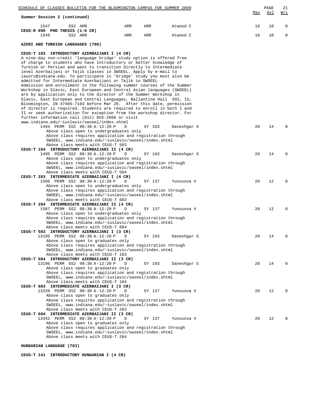| SCHEDULE OF CLASSES BULLETIN FOR THE BLOOMINGTON CAMPUS FOR SUMMER 2009<br>Summer Session 2 (continued)                                                                                                                                                                               |     |        |             | Max | PAGE<br><u>Avl</u> | 21<br>$\underline{W/L}$ |
|---------------------------------------------------------------------------------------------------------------------------------------------------------------------------------------------------------------------------------------------------------------------------------------|-----|--------|-------------|-----|--------------------|-------------------------|
| 1547<br>SS2 ARR                                                                                                                                                                                                                                                                       | ARR | ARR    | Atwood C    | 10  | 10                 | 0                       |
| CEUS-R 890 PHD THESIS (1-6 CR)<br>1549<br>SS2 ARR                                                                                                                                                                                                                                     | ARR | ARR    | Atwood C    | 10  | 10                 | 0                       |
| AZERI AND TURKISH LANGUAGES (780)                                                                                                                                                                                                                                                     |     |        |             |     |                    |                         |
| CEUS-T 183 INTRODUCTORY AZERBAIJANI I (4 CR)                                                                                                                                                                                                                                          |     |        |             |     |                    |                         |
| A nine-day non-credit 'language bridge' study option is offered free<br>of charge to students who have Introductory or better knowledge of<br>Turkish or Persian and want to transition directly to Intermediate<br>level Azerbaijani or Tajik classes in SWSEEL. Apply by e-mail to  |     |        |             |     |                    |                         |
| iaunrc@indiana.edu. To participate in 'bridge' study you must also be<br>admitted for Intermediate Azerbaijani or Tajik in SWSEEL<br>Admission and enrollment in the following summer courses of the Summer<br>Workshop in Slavic, East European and Central Asian languages (SWSEEL) |     |        |             |     |                    |                         |
| are by application only to the director of the Summer Workshop in<br>Slavic, East European and Central Languages, Ballantine Hall 502, IU,<br>Bloomington, IN 47405-7103 before Mar 20. After this date, permission                                                                   |     |        |             |     |                    |                         |
| of director is required. Students are required to enroll in both I and<br>II or seek authorization for exception from the workshop director. For                                                                                                                                      |     |        |             |     |                    |                         |
| further information call (812) 855-2608 or visit<br>www.indiana.edu/~iuslavic/swseel/index.shtml<br>1494 PERM SS2 08:30 A-12:20 P                                                                                                                                                     | D   | SY 103 | Daneshgar S | 20  | 14                 | 0                       |
| Above class open to undergraduates only<br>Above class requires application and registration through<br>SWSEEL, www.indiana.edu/~iuslavic/swseel/index.shtml                                                                                                                          |     |        |             |     |                    |                         |
| Above class meets with CEUS-T 583<br>CEUS-T 184 INTRODUCTORY AZERBAIJANI II (4 CR)<br>1495 PERM SS2 08:30 A-12:20 P                                                                                                                                                                   | D   | SY 103 | Daneshgar S | 20  | 14                 | $\Omega$                |
| Above class open to undergraduates only<br>Above class requires application and registration through<br>SWSEEL, www.indiana.edu/~iuslavic/swseel/index.shtml                                                                                                                          |     |        |             |     |                    |                         |
| Above class meets with CEUS-T 584<br>CEUS-T 283 INTERMEDIATE AZERBAIJANI I (4 CR)                                                                                                                                                                                                     |     |        |             |     |                    |                         |
| 1506 PERM SS2 08:30 A-12:20 P<br>Above class open to undergraduates only<br>Above class requires application and registration through                                                                                                                                                 | D   | SY 137 | Yunusova V  | 20  | 12                 | 0                       |
| SWSEEL, www.indiana.edu/~iuslavic/swseel/index.shtml<br>Above class meets with CEUS-T 683<br>CEUS-T 284 INTERMEDIATE AZERBAIJANI II (4 CR)                                                                                                                                            |     |        |             |     |                    |                         |
| 1507 PERM SS2 08:30 A-12:20 P<br>Above class open to undergraduates only<br>Above class requires application and registration through                                                                                                                                                 | D   | SY 137 | Yunusova V  | 20  | 12                 | $\Omega$                |
| SWSEEL, www.indiana.edu/~iuslavic/swseel/index.shtml<br>Above class meets with CEUS-T 684                                                                                                                                                                                             |     |        |             |     |                    |                         |
| CEUS-T 583 INTRODUCTORY AZERBAIJANI I (3 CR)<br>13195 PERM SS2 08:30 A-12:20 P<br>Above class open to graduates only                                                                                                                                                                  | D   | SY 103 | Daneshgar S | 20  | 14                 | O                       |
| Above class requires application and registration through<br>SWSEEL, www.indiana.edu/~iuslavic/swseel/index.shtml<br>Above class meets with CEUS-T 183                                                                                                                                |     |        |             |     |                    |                         |
| CEUS-T 584 INTRODUCTORY AZERBAIJANI II (3 CR)<br>13196 PERM SS2 08:30 A-12:20 P<br>Above class open to graduates only                                                                                                                                                                 | D   | SY 103 | Daneshgar S | 20  | 14                 | O                       |
| Above class requires application and registration through<br>SWSEEL, www.indiana.edu/~iuslavic/swseel/index.shtml<br>Above class meets with CEUS-T 184                                                                                                                                |     |        |             |     |                    |                         |
| CEUS-T 683 INTERMEDIATE AZERBAIJANI I (3 CR)<br>13339 PERM SS2 08:30 A-12:20 P<br>Above class open to graduates only                                                                                                                                                                  | D   | SY 137 | Yunusova V  | 20  | 12                 |                         |
| Above class requires application and registration through<br>SWSEEL, www.indiana.edu/~iuslavic/swseel/index.shtml                                                                                                                                                                     |     |        |             |     |                    |                         |
| Above class meets with CEUS-T 283<br>CEUS-T 684 INTERMEDIATE AZERBAIJANI II (3 CR)<br>13342 PERM SS2 08:30 A-12:20 P                                                                                                                                                                  | D   | SY 137 | Yunusova V  | 20  | 12                 |                         |
| Above class open to graduates only<br>Above class requires application and registration through<br>SWSEEL, www.indiana.edu/~iuslavic/swseel/index.shtml<br>Above class meets with CEUS-T 284                                                                                          |     |        |             |     |                    |                         |

**HUNGARIAN LANGUAGE (783)**

**CEUS-T 141 INTRODUCTORY HUNGARIAN I (4 CR)**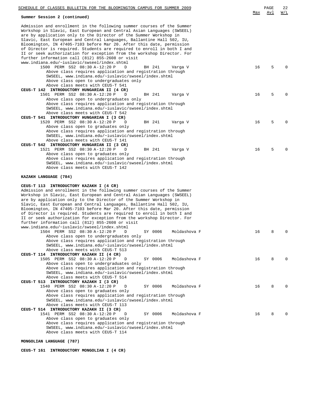| SCHEDULE OF CLASSES BULLETIN FOR THE BLOOMINGTON CAMPUS FOR SUMMER 2009                                                                                                                                               |     | PAGE | 22       |
|-----------------------------------------------------------------------------------------------------------------------------------------------------------------------------------------------------------------------|-----|------|----------|
| Summer Session 2 (continued)                                                                                                                                                                                          | Max | Avl  | W/L      |
| Admission and enrollment in the following summer courses of the Summer<br>Workshop in Slavic, East European and Central Asian Languages (SWSEEL)<br>are by application only to the Director of the Summer Workshop in |     |      |          |
| Slavic, East European and Central Languages, Ballantine Hall 502, IU,<br>Bloomington, IN 47405-7103 before Mar 20. After this date, permission                                                                        |     |      |          |
| of Director is required. Students are required to enroll in both I and<br>II or seek authorization for exception from the workshop Director. For<br>further information call (812) 855-2608 or visit                  |     |      |          |
| www.indiana.edu/~iuslavic/swseel/index.shtml<br>1500 PERM SS2 08:30 A-12:20 P<br>D<br>BH 241<br>Varga V<br>Above class requires application and registration through                                                  | 16  | 5    | $\Omega$ |
| SWSEEL, www.indiana.edu/~iuslavic/swseel/index.shtml<br>Above class open to undergraduates only<br>Above class meets with CEUS-T 541                                                                                  |     |      |          |
| CEUS-T 142 INTRODUCTORY HUNGARIAN II (4 CR)<br>1501 PERM SS2 08:30 A-12:20 P<br>D<br>BH 241<br>Varga V<br>Above class open to undergraduates only                                                                     | 16  | 5    | 0        |
| Above class requires application and registration through<br>SWSEEL, www.indiana.edu/~iuslavic/swseel/index.shtml<br>Above class meets with CEUS-T 542                                                                |     |      |          |
| CEUS-T 541 INTRODUCTORY HUNGARIAN I (3 CR)<br>1520 PERM SS2 08:30 A-12:20 P<br>BH 241<br>D<br>Varga V<br>Above class open to graduates only                                                                           | 16  | 5    | $\Omega$ |
| Above class requires application and registration through<br>SWSEEL, www.indiana.edu/~iuslavic/swseel/index.shtml<br>Above class meets with CEUS-T 141                                                                |     |      |          |
| CEUS-T 542 INTRODUCTORY HUNGARIAN II (3 CR)<br>1521 PERM SS2 08:30 A-12:20 P<br>BH 241<br>D<br>Varga V<br>Above class open to graduates only                                                                          | 16  | 5    | $\Omega$ |
| Above class requires application and registration through<br>SWSEEL, www.indiana.edu/~iuslavic/swseel/index.shtml<br>Above class meets with CEUS-T 142                                                                |     |      |          |
| KAZAKH LANGUAGE (784)                                                                                                                                                                                                 |     |      |          |
| CEUS-T 113 INTRODUCTORY KAZAKH I (4 CR)<br>Admission and enrollment in the following summer courses of the Summer<br>Workshop in Slavic, East European and Central Asian Languages (SWSEEL)                           |     |      |          |
| are by application only to the Director of the Summer Workshop in<br>Slavic, East European and Central Languages, Ballantine Hall 502, IU,<br>Bloomington, IN 47405-7103 before Mar 20. After this date, permission   |     |      |          |
| of Director is required. Students are required to enroll in both I and<br>II or seek authorization for exception from the workshop Director. For<br>further information call (812) 855-2608 or visit                  |     |      |          |
| www.indiana.edu/~iuslavic/swseel/index.shtml<br>1504 PERM SS2 08:30 A-12:20 P<br>SY 0006<br>Moldashova F<br>D<br>Above class open to undergraduates only                                                              | 16  | 8    | 0        |
| Above class requires application and registration through<br>SWSEEL, www.indiana.edu/~iuslavic/swseel/index.shtml<br>Above class meets with CEUS-T 513                                                                |     |      |          |
| CEUS-T 114 INTRODUCTORY KAZAKH II (4 CR)<br>1505 PERM SS2 08:30 A-12:20 P<br>SY 0006<br>Moldashova F<br>D<br>Above class open to undergraduates only                                                                  | 16  | 8    | $\Omega$ |
| Above class requires application and registration through<br>SWSEEL, www.indiana.edu/~iuslavic/swseel/index.shtml<br>Above class meets with CEUS-T 514                                                                |     |      |          |
| CEUS-T 513 INTRODUCTORY KAZAKH I (3 CR)<br>1540 PERM SS2 08:30 A-12:20 P<br>SY 0006<br>Moldashova F<br>D<br>Above class open to graduates only                                                                        | 16  | 8    | $\Omega$ |
| Above class requires application and registration through<br>SWSEEL, www.indiana.edu/~iuslavic/swseel/index.shtml<br>Above class meets with CEUS-T 113                                                                |     |      |          |
| CEUS-T 514 INTRODUCTORY KAZAKH II (3 CR)<br>1541 PERM SS2 08:30 A-12:20 P<br>SY 0006<br>Moldashova F<br>D<br>Above class open to graduates only                                                                       | 16  | 8    | $\Omega$ |
| Above class requires application and registration through<br>SWSEEL, www.indiana.edu/~iuslavic/swseel/index.shtml<br>Above class meets with CEUS-T 114                                                                |     |      |          |

**MONGOLIAN LANGUAGE (787)**

**CEUS-T 161 INTRODUCTORY MONGOLIAN I (4 CR)**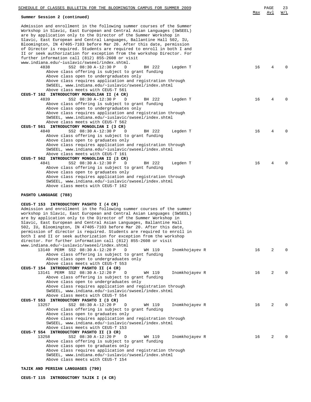| SCHEDULE OF CLASSES BULLETIN FOR THE BLOOMINGTON CAMPUS FOR SUMMER 2009                                                                                                                                                  |     | PAGE | 23           |
|--------------------------------------------------------------------------------------------------------------------------------------------------------------------------------------------------------------------------|-----|------|--------------|
| Summer Session 2 (continued)                                                                                                                                                                                             | Max | Avl  | W/L          |
| Admission and enrollment in the following summer courses of the Summer<br>Workshop in Slavic, East European and Central Asian Languages (SWSEEL)<br>are by application only to the Director of the Summer Workshop in    |     |      |              |
| Slavic, East European and Central Languages, Ballantine Hall 502, IU,<br>Bloomington, IN 47405-7103 before Mar 20. After this date, permission<br>of Director is required. Students are required to enroll in both I and |     |      |              |
| II or seek authorization for exception from the workshop Director. For<br>further information call (812) 855-2608 or visit                                                                                               |     |      |              |
| www.indiana.edu/~iuslavic/swseel/index.shtml.<br>4838<br>SS2 08:30 A-12:30 P<br>Legden T<br>D<br>BH 222<br>Above class offering is subject to grant funding                                                              | 16  | 4    |              |
| Above class open to undergraduates only<br>Above class requires application and registration through<br>SWSEEL, www.indiana.edu/~iuslavic/swseel/index.shtml                                                             |     |      |              |
| Above class meets with CEUS-T 561<br>CEUS-T 162 INTRODUCTORY MONGOLIAN II (4 CR)                                                                                                                                         |     |      |              |
| 4839<br>SS2 08:30 A-12:30 P<br>Legden T<br>D<br>BH 222<br>Above class offering is subject to grant funding                                                                                                               | 16  | 4    |              |
| Above class open to undergraduates only<br>Above class requires application and registration through<br>SWSEEL, www.indiana.edu/~iuslavic/swseel/index.shtml                                                             |     |      |              |
| Above class meets with CEUS-T 562<br>CEUS-T 561 INTRODUCTORY MONGOLIAN I (3 CR)                                                                                                                                          |     |      |              |
| 4840<br>SS2 08:30 A-12:30 P<br>Legden T<br>D<br>BH 222<br>Above class offering is subject to grant funding<br>Above class open to graduates only                                                                         | 16  | 4    | <sup>0</sup> |
| Above class requires application and registration through<br>SWSEEL, www.indiana.edu/~iuslavic/swseel/index.shtml<br>Above class meets with CEUS-T 161                                                                   |     |      |              |
| CEUS-T 562 INTRODUCTORY MONGOLIAN II (3 CR)<br>4841<br>SS2 08:30 A-12:30 P<br>Legden T<br>D<br>BH 222<br>Above class offering is subject to grant funding                                                                | 16  | 4    |              |
| Above class open to graduates only<br>Above class requires application and registration through<br>SWSEEL, www.indiana.edu/~iuslavic/swseel/index.shtml                                                                  |     |      |              |
| Above class meets with CEUS-T 162                                                                                                                                                                                        |     |      |              |
| PASHTO LANGUAGE (788)<br>CEUS-T 153 INTRODUCTORY PASHTO I (4 CR)                                                                                                                                                         |     |      |              |
| Admission and enrollment in the following summer courses of the summer<br>workshop in Slavic, East European and Central Asian Languages (SWSEEL)<br>are by application only to the Director of the Summer Workshop in    |     |      |              |
| Slavic, East European and Central Asian Languages, Ballantine Hall<br>502, IU, Bloomington, IN 47405-7103 before Mar 20. After this date,<br>permission of director is required. Students are required to enroll in      |     |      |              |
| both I and II or seek authorization for exception from the workshop<br>director. For further information call (812) 855-2608 or visit<br>www.indiana.edu/~iuslavic/swseel/index.shtml                                    |     |      |              |
| 13140 PERM SS2 08:30 A-12:20 P<br>WH 119<br>Inomkhojayev R<br>D<br>Above class offering is subject to grant funding<br>Above class open to undergraduates only                                                           | 16  | 2    | $\Omega$     |
| Above class meets with CEUS-T 553<br>CEUS-T 154 INTRODUCTORY PASHTO II (4 CR)                                                                                                                                            |     |      |              |
| 13141 PERM SS2 08:30 A-12:20 P<br>Inomkhojayev R<br>D<br>WH 119<br>Above class offering is subject to grant funding                                                                                                      | 16  | 2    | $\Omega$     |
| Above class open to undergraduates only<br>Above class requires application and registration through<br>SWSEEL, www.indiana.edu/~iuslavic/swseel/index.shtml<br>Above class meets with CEUS-T 554                        |     |      |              |
| CEUS-T 553 INTRODUCTORY PASHTO I (3 CR)<br>13257<br>SS2 08:30 A-12:20 P<br>D<br>Inomkhojayev R<br>WH 119                                                                                                                 | 16  | 2    |              |
| Above class offering is subject to grant funding<br>Above class open to graduates only<br>Above class requires application and registration through                                                                      |     |      |              |
| SWSEEL, www.indiana.edu/~iuslavic/swseel/index.shtml<br>Above class meets with CEUS-T 153<br>CEUS-T 554 INTRODUCTORY PASHTO II (3 CR)                                                                                    |     |      |              |
| 13258<br>SS2 08:30 A-12:20 P<br>Inomkhojayev R<br>D<br>WH 119<br>Above class offering is subject to grant funding                                                                                                        | 16  | 2    |              |
| Above class open to graduates only<br>Above class requires application and registration through<br>SWSEEL, www.indiana.edu/~iuslavic/swseel/index.shtml                                                                  |     |      |              |
| Above class meets with CEUS-T 154<br>TAJIK AND PERSIAN LANGUAGES (790)                                                                                                                                                   |     |      |              |

**CEUS-T 115 INTRODUCTORY TAJIK I (4 CR)**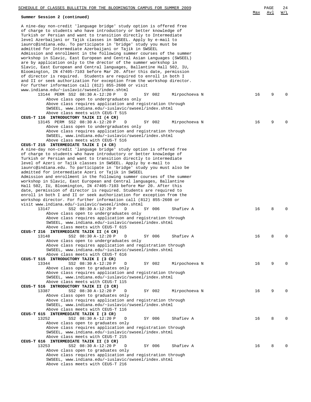| SCHEDULE OF CLASSES BULLETIN FOR THE BLOOMINGTON CAMPUS FOR SUMMER 2009                                                                                                                                                                                                              |     | PAGE | 24       |
|--------------------------------------------------------------------------------------------------------------------------------------------------------------------------------------------------------------------------------------------------------------------------------------|-----|------|----------|
| Summer Session 2 (continued)                                                                                                                                                                                                                                                         | Max | Avl  | W/L      |
| A nine-day non-credit 'language bridge' study option is offered free<br>of charge to students who have introductory or better knowledge of<br>Turkish or Persian and want to transition directly to Intermediate<br>level Azerbaijani or Tajik classes in SWSEEL. Apply by e-mail to |     |      |          |
| iaunrc@indiana.edu. To participate in 'bridge' study you must be                                                                                                                                                                                                                     |     |      |          |
| admitted for Intermediate Azerbaijani or Tajik in SWSEEL                                                                                                                                                                                                                             |     |      |          |
| Admission and enrollment in the following summer courses of the summer<br>workshop in Slavic, East European and Central Asian Languages (SWSEEL)<br>are by application only to the drector of the summer workshop in                                                                 |     |      |          |
| Slavic, East European and Central languages, Ballantine Hall 502, IU,                                                                                                                                                                                                                |     |      |          |
| Bloomington, IN 47405-7103 before Mar 20. After this date, permission<br>of director is required. Students are required to enroll in both I                                                                                                                                          |     |      |          |
| and II or seek authorization for exception from the workshop director.                                                                                                                                                                                                               |     |      |          |
| For further information call (812) 855-2608 or visit<br>www.indiana.edu/~iuslavic/swseel/index.shtml                                                                                                                                                                                 |     |      |          |
| 13144 PERM SS2 08:30 A-12:20 P<br>D<br>SY 002<br>Mirpochoeva N                                                                                                                                                                                                                       | 16  | 9    | $\Omega$ |
| Above class open to undergraduates only                                                                                                                                                                                                                                              |     |      |          |
| Above class requires application and registration through<br>SWSEEL, www.indiana.edu/~iuslavic/swseel/index.shtml                                                                                                                                                                    |     |      |          |
| Above class meets with CEUS-T 515<br>CEUS-T 116 INTRODUCTORY TAJIK II (4 CR)                                                                                                                                                                                                         |     |      |          |
| 13145 PERM SS2 08:30 A-12:20 P<br>D<br>SY 002<br>Mirpochoeva N                                                                                                                                                                                                                       | 16  | 9    | $\Omega$ |
| Above class open to undergraduates only                                                                                                                                                                                                                                              |     |      |          |
| Above class requires application and registration through<br>SWSEEL, www.indiana.edu/~iuslavic/swseel/index.shtml                                                                                                                                                                    |     |      |          |
| Above class meets with CEUS-T 516                                                                                                                                                                                                                                                    |     |      |          |
| CEUS-T 215 INTERMEDIATE TAJIK I (4 CR)<br>A nine-day non-credit 'language bridge' study option is offered free                                                                                                                                                                       |     |      |          |
| of charge to students who have introductory or better knowledge of                                                                                                                                                                                                                   |     |      |          |
| Turkish or Persian and want to transition directly to intermediate<br>level of Azeri or Tajik classes in SWSEEL. Apply by e-mail to                                                                                                                                                  |     |      |          |
| iaunrc@indiana.edu. To participate in 'bridge' study you must also be                                                                                                                                                                                                                |     |      |          |
| admitted for intermediate Azeri or Tajik in SWSEEL                                                                                                                                                                                                                                   |     |      |          |
| Admission and enrollment in the following summer courses of the summer<br>workshop in Slavic, East European and Central languages, Ballantine                                                                                                                                        |     |      |          |
| Hall 502, IU, Bloomington, IN 47405-7103 before Mar 20. After this                                                                                                                                                                                                                   |     |      |          |
| date, permission of director is required. Students are required to<br>enroll in both I and II or seek authorization for exception from the                                                                                                                                           |     |      |          |
| workshop director. For further information call (812) 855-2608 or                                                                                                                                                                                                                    |     |      |          |
| visit www.indiana.edu/~iuslavic/swseel/index.shtml<br>13147<br>SS2 08:30 A-12:20 P<br>Shafiev A<br>D<br>SY 006                                                                                                                                                                       | 16  | 8    | 0        |
| Above class open to undergraduates only                                                                                                                                                                                                                                              |     |      |          |
| Above class requires application and registration through                                                                                                                                                                                                                            |     |      |          |
| SWSEEL, www.indiana.edu/~iuslavic/swseel/index.shtml<br>Above class meets with CEUS-T 615                                                                                                                                                                                            |     |      |          |
| CEUS-T 216 INTERMEDIATE TAJIK II (4 CR)                                                                                                                                                                                                                                              |     |      |          |
| SS2 08:30 A-12:20 P<br>13148<br>SY 006<br>Shafiev A<br>D<br>Above class open to undergraduates only                                                                                                                                                                                  | 16  | 8    | 0        |
| Above class requires application and registration through                                                                                                                                                                                                                            |     |      |          |
| SWSEEL, www.indiana.edu/~iuslavic/swseel/index.shtml<br>Above class meets with CEUS-T 616                                                                                                                                                                                            |     |      |          |
| CEUS-T 515 INTRODUCTORY TAJIK I (3 CR)                                                                                                                                                                                                                                               |     |      |          |
| SS2 08:30 A-12:20 P<br>13344<br>D<br>SY 002<br>Mirpochoeva N                                                                                                                                                                                                                         | 16  | 9    | 0        |
| Above class open to graduates only<br>Above class requires application and registration through                                                                                                                                                                                      |     |      |          |
| SWSEEL, www.indiana.edu/~iuslavic/swseel/index.shtml                                                                                                                                                                                                                                 |     |      |          |
| Above class meets with CEUS-T 115<br>CEUS-T 516 INTRODUCTORY TAJIK II (3 CR)                                                                                                                                                                                                         |     |      |          |
| 13387<br>SS2 08:30 A-12:20 P<br>D<br>SY 002<br>Mirpochoeva N                                                                                                                                                                                                                         | 16  | 9    | 0        |
| Above class open to graduates only                                                                                                                                                                                                                                                   |     |      |          |
| Above class requires application and registration through<br>SWSEEL, www.indiana.edu/~iuslavic/swseel/index.shtml                                                                                                                                                                    |     |      |          |
| Above class meets with CEUS-T 116                                                                                                                                                                                                                                                    |     |      |          |
| CEUS-T 615 INTERMEDIATE TAJIK I (3 CR)<br>13252<br>SS2 08:30 A-12:20 P<br>D<br>SY 006<br>Shafiev A                                                                                                                                                                                   | 16  | 8    | 0        |
| Above class open to graduates only                                                                                                                                                                                                                                                   |     |      |          |
| Above class requires application and registration through<br>SWSEEL, www.indiana.edu/~iuslavic/swseel/index.shtml                                                                                                                                                                    |     |      |          |
| Above class meets with CEUS-T 215                                                                                                                                                                                                                                                    |     |      |          |
| CEUS-T 616 INTERMEDIATE TAJIK II (3 CR)<br>13253<br>D<br>Shafiev A                                                                                                                                                                                                                   |     | 8    | 0        |
| SS2 08:30 A-12:20 P<br>SY 006<br>Above class open to graduates only                                                                                                                                                                                                                  | 16  |      |          |
| Above class requires application and registration through                                                                                                                                                                                                                            |     |      |          |
| SWSEEL, www.indiana.edu/~iuslavic/swseel/index.shtml<br>Above class meets with CEUS-T 216                                                                                                                                                                                            |     |      |          |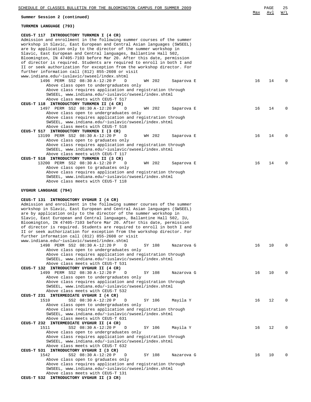| SCHEDULE OF CLASSES BULLETIN FOR THE BLOOMINGTON CAMPUS FOR SUMMER 2009                                                                                                                                                                                                                                                                                                                                                                                                                                                                                                                                                                                                                                                                                                                                      |     | PAGE | 25           |
|--------------------------------------------------------------------------------------------------------------------------------------------------------------------------------------------------------------------------------------------------------------------------------------------------------------------------------------------------------------------------------------------------------------------------------------------------------------------------------------------------------------------------------------------------------------------------------------------------------------------------------------------------------------------------------------------------------------------------------------------------------------------------------------------------------------|-----|------|--------------|
| Summer Session 2 (continued)                                                                                                                                                                                                                                                                                                                                                                                                                                                                                                                                                                                                                                                                                                                                                                                 | Max | Avl  | W/L          |
| TURKMEN LANGUAGE (793)                                                                                                                                                                                                                                                                                                                                                                                                                                                                                                                                                                                                                                                                                                                                                                                       |     |      |              |
| CEUS-T 117 INTRODUCTORY TURKMEN I (4 CR)<br>Admission and enrollment in the following summer courses of the summer<br>workshop in Slavic, East European and Central Asian languages (SWSEEL)<br>are by application only to the director of the summer workshop in<br>Slavic, East European and Central languages, Ballantine Hall 502,<br>Bloomington, IN 47405-7103 before Mar 20. After this date, permission<br>of director is required. Students are required to enroll in both I and<br>II or seek authorization for exception from the workshop director. For<br>further information call (812) 855-2608 or visit<br>www.indiana.edu/~iuslavic/swseel/index.shtml                                                                                                                                      |     |      |              |
| 1496 PERM SS2 08:30 A-12:20 P<br>WH 202<br>D<br>Saparova E<br>Above class open to undergraduates only<br>Above class requires application and registration through<br>SWSEEL, www.indiana.edu/~iuslavic/swseel/index.shtml<br>Above class meets with CEUS-T 517<br>CEUS-T 118 INTRODUCTORY TURKMEN II (4 CR)                                                                                                                                                                                                                                                                                                                                                                                                                                                                                                 | 16  | 14   |              |
| 1497 PERM SS2 08:30 A-12:20 P<br>WH 202<br>D<br>Saparova E<br>Above class open to undergraduates only<br>Above class requires application and registration through<br>SWSEEL, www.indiana.edu/~iuslavic/swseel/index.shtml<br>Above class meets with CEUS-T 518                                                                                                                                                                                                                                                                                                                                                                                                                                                                                                                                              | 16  | 14   | <sup>0</sup> |
| CEUS-T 517 INTRODUCTORY TURKMEN I (3 CR)<br>13199 PERM SS2 08:30 A-12:20 P<br>WH 202<br>D<br>Saparova E<br>Above class open to graduates only<br>Above class requires application and registration through<br>SWSEEL, www.indiana.edu/~iuslavic/swseel/index.shtml<br>Above class meets with CEUS-T 117<br>CEUS-T 518 INTRODUCTORY TURKMEN II (3 CR)                                                                                                                                                                                                                                                                                                                                                                                                                                                         | 16  | 14   | n            |
| 13200 PERM SS2 08:30 A-12:20 P<br>D<br>WH 202<br>Saparova E<br>Above class open to graduates only<br>Above class requires application and registration through<br>SWSEEL, www.indiana.edu/~iuslavic/swseel/index.shtml<br>Above class meets with CEUS-T 118                                                                                                                                                                                                                                                                                                                                                                                                                                                                                                                                                  | 16  | 14   | <sup>0</sup> |
| UYGHUR LANGUAGE (794)<br>CEUS-T 131 INTRODUCTORY UYGHUR I (4 CR)<br>Admission and enrollment in the following summer courses of the summer<br>workshop in Slavic, East European and Central Asian languages (SWSEEL)<br>are by application only to the director of the summer workshop in<br>Slavic, East European and Central languages, Ballantine Hall 502, IU,<br>Bloomington, IN 47405-7103 before Mar 20. After this date, permission<br>of director is required. Students are required to enroll in both I and<br>II or seek authorization for exception from the workshop director. For<br>further information call (812) 855-2608 or visit<br>www.indiana.edu/~iuslavic/swseel/index.shtml<br>1498 PERM SS2 08:30 A-12:20 P<br>SY 108<br>D<br>Nazarova G<br>Above class open to undergraduates only | 16  | 10   | n            |
| Above class requires application and registration through<br>SWSEEL, www.indiana.edu/~iuslavic/swseel/index.shtml<br>Above class meets with CEUS-T 531<br>CEUS-T 132 INTRODUCTORY UYGHUR II (4 CR)<br>1499 PERM SS2 08:30 A-12:20 P<br>SY 108<br>D<br>Nazarova G                                                                                                                                                                                                                                                                                                                                                                                                                                                                                                                                             | 16  | 10   | n            |
| Above class open to undergraduates only<br>Above class requires application and registration through<br>SWSEEL, www.indiana.edu/~iuslavic/swseel/index.shtml<br>Above class meets with CEUS-T 532<br>CEUS-T 231 INTERMEDIATE UYGHUR I (4 CR)                                                                                                                                                                                                                                                                                                                                                                                                                                                                                                                                                                 |     |      |              |
| 1510<br>SS2 08:30 A-12:20 P<br>D<br>SY 106<br>Mayila Y<br>Above class open to undergraduates only<br>Above class requires application and registration through<br>SWSEEL, www.indiana.edu/~iuslavic/swseel/index.shtml<br>Above class meets with CEUS-T 631                                                                                                                                                                                                                                                                                                                                                                                                                                                                                                                                                  | 16  | 12   | <sup>n</sup> |
| CEUS-T 232 INTERMEDIATE UYGHUR II (4 CR)<br>1511<br>SS2 08:30 A-12:20 P<br>SY 106<br>D<br>Mayila Y<br>Above class open to undergraduates only<br>Above class requires application and registration through<br>SWSEEL, www.indiana.edu/~iuslavic/swseel/index.shtml<br>Above class meets with CEUS-T 632                                                                                                                                                                                                                                                                                                                                                                                                                                                                                                      | 16  | 12   | n            |
| CEUS-T 531 INTRODUCTORY UYGHUR I (3 CR)<br>1542<br>SS2 08:30 A-12:20 P<br>D<br>SY 108<br>Nazarova G<br>Above class open to graduates only<br>Above class requires application and registration through<br>SWSEEL, www.indiana.edu/~iuslavic/swseel/index.shtml<br>Above class meets with CEUS-T 131                                                                                                                                                                                                                                                                                                                                                                                                                                                                                                          | 16  | 10   |              |
| CEUS-T 532 INTRODUCTORY UYGHUR II (3 CR)                                                                                                                                                                                                                                                                                                                                                                                                                                                                                                                                                                                                                                                                                                                                                                     |     |      |              |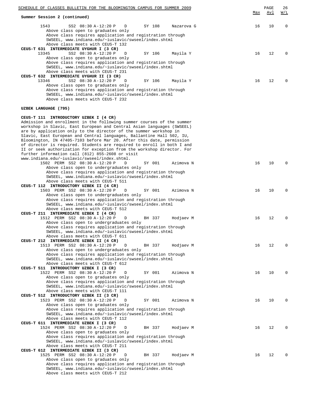| SCHEDULE OF CLASSES BULLETIN FOR THE BLOOMINGTON CAMPUS FOR SUMMER 2009                                                                                                                                                                                                                                                                                                                                                                                                                                                                                               |     | PAGE       | 26          |
|-----------------------------------------------------------------------------------------------------------------------------------------------------------------------------------------------------------------------------------------------------------------------------------------------------------------------------------------------------------------------------------------------------------------------------------------------------------------------------------------------------------------------------------------------------------------------|-----|------------|-------------|
| Summer Session 2 (continued)                                                                                                                                                                                                                                                                                                                                                                                                                                                                                                                                          | Max | <u>Avl</u> | W/L         |
| 1543<br>SS2 08:30 A-12:20 P<br>D<br>SY 108<br>Nazarova G<br>Above class open to graduates only                                                                                                                                                                                                                                                                                                                                                                                                                                                                        | 16  | 10         | $\mathbf 0$ |
| Above class requires application and registration through<br>SWSEEL, www.indiana.edu/~iuslavic/swseel/index.shtml                                                                                                                                                                                                                                                                                                                                                                                                                                                     |     |            |             |
| Above class meets with CEUS-T 132<br>CEUS-T 631 INTERMEDIATE UYGHUR I (3 CR)                                                                                                                                                                                                                                                                                                                                                                                                                                                                                          |     |            |             |
| SS2 08:30 A-12:20 P<br>13345<br>D<br>SY 106<br>Mayila Y<br>Above class open to graduates only                                                                                                                                                                                                                                                                                                                                                                                                                                                                         | 16  | 12         | 0           |
| Above class requires application and registration through<br>SWSEEL, www.indiana.edu/~iuslavic/swseel/index.shtml<br>Above class meets with CEUS-T 231                                                                                                                                                                                                                                                                                                                                                                                                                |     |            |             |
| CEUS-T 632 INTERMEDIATE UYGHUR II (3 CR)<br>13346<br>SS2 08:30 A-12:20 P<br>D<br>SY 106<br>Mayila Y                                                                                                                                                                                                                                                                                                                                                                                                                                                                   | 16  | 12         | $\Omega$    |
| Above class open to graduates only<br>Above class requires application and registration through<br>SWSEEL, www.indiana.edu/~iuslavic/swseel/index.shtml                                                                                                                                                                                                                                                                                                                                                                                                               |     |            |             |
| Above class meets with CEUS-T 232                                                                                                                                                                                                                                                                                                                                                                                                                                                                                                                                     |     |            |             |
| UZBEK LANGUAGE (795)                                                                                                                                                                                                                                                                                                                                                                                                                                                                                                                                                  |     |            |             |
| CEUS-T 111 INTRODUCTORY UZBEK I (4 CR)<br>Admission and enrollment in the following summer courses of the summer<br>workshop in Slavic, East European and Central Asian languages (SWSEEL)<br>are by application only to the director of the summer workshop in<br>Slavic, East European and Central languages, Ballantine Hall 502, IU,<br>Bloomington, IN 47405-7103 before Mar 20. After this date, permission<br>of director is required. Students are required to enroll in both I and<br>II or seek authorization for exception from the workshop director. For |     |            |             |
| further information call (812) 855-2608 or visit                                                                                                                                                                                                                                                                                                                                                                                                                                                                                                                      |     |            |             |
| www.indiana.edu/~iuslavic/swseel/index.shtml.<br>1502 PERM SS2 08:30 A-12:20 P<br>D<br>SY 001<br>Azimova N                                                                                                                                                                                                                                                                                                                                                                                                                                                            | 16  | 10         | 0           |
| Above class open to undergraduates only<br>Above class requires application and registration through                                                                                                                                                                                                                                                                                                                                                                                                                                                                  |     |            |             |
| SWSEEL, www.indiana.edu/~iuslavic/swseel/index.shtml                                                                                                                                                                                                                                                                                                                                                                                                                                                                                                                  |     |            |             |
| Above class meets with CEUS-T 511<br>CEUS-T 112 INTRODUCTORY UZBEK II (4 CR)                                                                                                                                                                                                                                                                                                                                                                                                                                                                                          |     |            |             |
| 1503 PERM SS2 08:30 A-12:20 P<br>SY 001<br>D<br>Azimova N                                                                                                                                                                                                                                                                                                                                                                                                                                                                                                             | 16  | 10         | $\Omega$    |
| Above class open to undergraduates only<br>Above class requires application and registration through                                                                                                                                                                                                                                                                                                                                                                                                                                                                  |     |            |             |
| SWSEEL, www.indiana.edu/~iuslavic/swseel/index.shtml                                                                                                                                                                                                                                                                                                                                                                                                                                                                                                                  |     |            |             |
| Above class meets with CEUS-T 512<br>CEUS-T 211 INTERMEDIATE UZBEK I (4 CR)                                                                                                                                                                                                                                                                                                                                                                                                                                                                                           |     |            |             |
| 1512 PERM SS2 08:30 A-12:20 P<br>D<br>BH 337<br>Hodjaev M                                                                                                                                                                                                                                                                                                                                                                                                                                                                                                             | 16  | 12         | 0           |
| Above class open to undergraduates only                                                                                                                                                                                                                                                                                                                                                                                                                                                                                                                               |     |            |             |
| Above class requires application and registration through<br>SWSEEL, www.indiana.edu/~iuslavic/swseel/index.shtml                                                                                                                                                                                                                                                                                                                                                                                                                                                     |     |            |             |
| Above class meets with CEUS-T 611                                                                                                                                                                                                                                                                                                                                                                                                                                                                                                                                     |     |            |             |
| CEUS-T 212 INTERMEDIATE UZBEK II (4 CR)<br>1513 PERM SS2 08:30 A-12:20 P<br>D<br>BH 337<br>Hodjaev M                                                                                                                                                                                                                                                                                                                                                                                                                                                                  | 16  | 12         | $\Omega$    |
| Above class open to undergraduates only                                                                                                                                                                                                                                                                                                                                                                                                                                                                                                                               |     |            |             |
| Above class requires application and registration through<br>SWSEEL, www.indiana.edu/~iuslavic/swseel/index.shtml                                                                                                                                                                                                                                                                                                                                                                                                                                                     |     |            |             |
| Above class meets with CEUS-T 612                                                                                                                                                                                                                                                                                                                                                                                                                                                                                                                                     |     |            |             |
| CEUS-T 511 INTRODUCTORY UZBEK I (3 CR)                                                                                                                                                                                                                                                                                                                                                                                                                                                                                                                                |     |            |             |
| 1522 PERM SS2 08:30 A-12:20 P<br>D<br>SY 001<br>Azimova N<br>Above class open to graduates only                                                                                                                                                                                                                                                                                                                                                                                                                                                                       | 16  | 10         | $\Omega$    |
| Above class requires application and registration through                                                                                                                                                                                                                                                                                                                                                                                                                                                                                                             |     |            |             |
| SWSEEL, www.indiana.edu/~iuslavic/swseel/index.shtml<br>Above class meets with CEUS-T 111                                                                                                                                                                                                                                                                                                                                                                                                                                                                             |     |            |             |
| CEUS-T 512 INTRODUCTORY UZBEK II (3 CR)                                                                                                                                                                                                                                                                                                                                                                                                                                                                                                                               |     |            |             |
| 1523 PERM SS2 08:30 A-12:20 P<br>D<br>SY 001<br>Azimova N                                                                                                                                                                                                                                                                                                                                                                                                                                                                                                             | 16  | 10         | 0           |
| Above class open to graduates only<br>Above class requires application and registration through<br>SWSEEL, www.indiana.edu/~iuslavic/swseel/index.shtml                                                                                                                                                                                                                                                                                                                                                                                                               |     |            |             |
| Above class meets with CEUS-T 112<br>CEUS-T 611 INTERMEDIATE UZBEK I (3 CR)                                                                                                                                                                                                                                                                                                                                                                                                                                                                                           |     |            |             |
| 1524 PERM SS2 08:30 A-12:20 P<br>D<br>BH 337<br>Hodjaev M                                                                                                                                                                                                                                                                                                                                                                                                                                                                                                             | 16  | 12         | $\Omega$    |
| Above class open to graduates only<br>Above class requires application and registration through                                                                                                                                                                                                                                                                                                                                                                                                                                                                       |     |            |             |
| SWSEEL, www.indiana.edu/~iuslavic/swseel/index.shtml                                                                                                                                                                                                                                                                                                                                                                                                                                                                                                                  |     |            |             |
| Above class meets with CEUS-T 211<br>CEUS-T 612 INTERMEDIATE UZBEK II (3 CR)                                                                                                                                                                                                                                                                                                                                                                                                                                                                                          |     |            |             |
| 1525 PERM SS2 08:30 A-12:20 P<br>D<br>BH 337<br>Hodjaev M                                                                                                                                                                                                                                                                                                                                                                                                                                                                                                             | 16  | 12         | 0           |
| Above class open to graduates only                                                                                                                                                                                                                                                                                                                                                                                                                                                                                                                                    |     |            |             |
| Above class requires application and registration through<br>SWSEEL, www.indiana.edu/~iuslavic/swseel/index.shtml                                                                                                                                                                                                                                                                                                                                                                                                                                                     |     |            |             |
| Above class meets with CEUS-T 212                                                                                                                                                                                                                                                                                                                                                                                                                                                                                                                                     |     |            |             |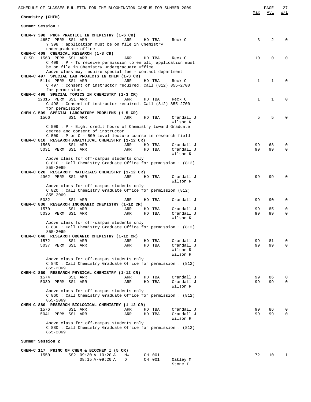| SCHEDULE OF CLASSES BULLETIN FOR THE BLOOMINGTON CAMPUS FOR SUMMER 2009                                                                                                                                            |            |    |                  |                                    |              | PAGE        | 27          |
|--------------------------------------------------------------------------------------------------------------------------------------------------------------------------------------------------------------------|------------|----|------------------|------------------------------------|--------------|-------------|-------------|
| Chemistry (CHEM)                                                                                                                                                                                                   |            |    |                  |                                    | Max          | Avl         | W/L         |
| Summer Session 1                                                                                                                                                                                                   |            |    |                  |                                    |              |             |             |
| CHEM-Y 398 PROF PRACTICE IN CHEMISTRY (1-6 CR)<br>4657 PERM SS1 ARR<br>Y 398 : application must be on file in Chemistry<br>undergraduate office                                                                    | ARR        |    | HD TBA           | Reck C                             | 3            | 2           | O           |
| CHEM-C 409 CHEMICAL RESEARCH (1-3 CR)<br>1563 PERM SS1 ARR<br>CLSD<br>C 409 : P - To receive permission to enroll, application must<br>be on file in Chemistry Undergraduate Office                                | ARR        |    | HD TBA           | Reck C                             | 10           | $\mathbf 0$ | 0           |
| Above class may require special fee - contact department<br>CHEM-C 497 SPECIAL LAB PROJECTS IN CHEM (1-3 CR)<br>5114 PERM SS1 ARR<br>C 497: Consent of instructor required. Call (812) 855-2700<br>for permission. | ARR        |    | HD TBA           | Reck C                             | 1            | 1           | 0           |
| CHEM-C 498 SPECIAL TOPICS IN CHEMISTRY (1-3 CR)<br>12315 PERM SS1 ARR<br>C 498 : Consent of instructor required. Call (812) 855-2700                                                                               | ARR        |    | HD TBA           | Reck C                             | $\mathbf{1}$ | 1           | $\Omega$    |
| for permission.<br>CHEM-C 509 SPECIAL LABORATORY PROBLEMS (1-5 CR)                                                                                                                                                 |            |    |                  |                                    |              |             |             |
| 1566<br>SS1 ARR                                                                                                                                                                                                    | ARR        |    | HD TBA           | Crandall J                         | 5            | 5           | 0           |
|                                                                                                                                                                                                                    |            |    |                  | Wilson R                           |              |             |             |
| C 509 : P - Eight credit hours of Chemistry toward Graduate<br>degree and consent of instructor<br>C 509 : P or C - 500 Level lecture course in research field                                                     |            |    |                  |                                    |              |             |             |
| CHEM-C 810 RESEARCH ANALYTICAL CHEMISTRY (1-12 CR)                                                                                                                                                                 |            |    |                  |                                    |              |             |             |
| 1568<br>SS1 ARR<br>5031 PERM SS1 ARR                                                                                                                                                                               | ARR<br>ARR |    | HD TBA<br>HD TBA | Crandall J<br>Crandall J           | 99<br>99     | 68<br>99    | 0<br>0      |
|                                                                                                                                                                                                                    |            |    |                  | Wilson R                           |              |             |             |
| Above class for off-campus students only<br>C 810 : Call Chemistry Graduate Office for permission : (812)<br>855-2069                                                                                              |            |    |                  |                                    |              |             |             |
| CHEM-C 820 RESEARCH: MATERIALS CHEMISTRY (1-12 CR)<br>4962 PERM SS1 ARR                                                                                                                                            | ARR        |    | HD TBA           | Crandall J                         | 99           | 99          | 0           |
|                                                                                                                                                                                                                    |            |    |                  | Wilson R                           |              |             |             |
| Above class for off campus students only<br>C 820: Call Chemistry Graduate Office for permission (812)<br>855-2069                                                                                                 |            |    |                  |                                    |              |             |             |
| 5032<br>SS1 ARR                                                                                                                                                                                                    | ARR        |    | HD TBA           | Crandall J                         | 99           | 90          | 0           |
| CHEM-C 830 RESEARCH INORGANIC CHEMISTRY (1-12 CR)                                                                                                                                                                  |            |    |                  |                                    |              |             |             |
| 1570<br>SS1 ARR                                                                                                                                                                                                    | ARR        |    | HD TBA           | Crandall J                         | 99           | 85          | 0           |
| 5035 PERM SS1 ARR                                                                                                                                                                                                  | ARR        |    | HD TBA           | Crandall J<br>Wilson R             | 99           | 99          | 0           |
| Above class for off-campus students only<br>C 830 : Call Chemistry Graduate Office for permission : (812)                                                                                                          |            |    |                  |                                    |              |             |             |
| 855-2069<br>CHEM-C 840 RESEARCH ORGANIC CHEMISTRY (1-12 CR)                                                                                                                                                        |            |    |                  |                                    |              |             |             |
| 1572<br>SS1 ARR                                                                                                                                                                                                    | ARR        | HD | TBA              | Crandall J                         | 99           | 81          | 0           |
| 5037 PERM SS1 ARR                                                                                                                                                                                                  | ARR        |    | HD TBA           | Crandall J<br>Wilson R<br>Wilson R | 99           | 99          | $\mathbf 0$ |
| Above class for off-campus students only                                                                                                                                                                           |            |    |                  |                                    |              |             |             |
| C 840 : Call Chemistry Graduate Office for permission : (812)<br>855-2069                                                                                                                                          |            |    |                  |                                    |              |             |             |
| CHEM-C 860 RESEARCH PHYSICAL CHEMISTRY (1-12 CR)                                                                                                                                                                   |            |    |                  |                                    |              |             |             |
| 1574<br>SS1 ARR                                                                                                                                                                                                    | ARR        | HD | TBA              | Crandall J                         | 99           | 86          | 0           |
| 5039 PERM SS1 ARR                                                                                                                                                                                                  | ARR        |    | HD TBA           | Crandall J<br>Wilson R             | 99           | 99          | $\mathbf 0$ |
| Above class for off-campus students only<br>C 860 : Call Chemistry Graduate Office for permission : (812)                                                                                                          |            |    |                  |                                    |              |             |             |
| 855-2069<br>CHEM-C 880 RESEARCH BIOLOGICAL CHEMISTRY (1-12 CR)                                                                                                                                                     |            |    |                  |                                    |              |             |             |
| SS1 ARR<br>1576                                                                                                                                                                                                    | ARR        |    | HD TBA           | Crandall J                         | 99           | 86          | 0           |
| 5041 PERM SS1 ARR                                                                                                                                                                                                  | ARR        |    | HD TBA           | Crandall J                         | 99           | 99          | 0           |
| Above class for off-campus students only<br>C 880 : Call Chemistry Graduate Office for permission : (812)                                                                                                          |            |    |                  | Wilson R                           |              |             |             |
| 855-2069                                                                                                                                                                                                           |            |    |                  |                                    |              |             |             |
| Summer Session 2                                                                                                                                                                                                   |            |    |                  |                                    |              |             |             |
| CHEM-C 117 PRINC OF CHEM & BIOCHEM I (5 CR)                                                                                                                                                                        |            |    |                  |                                    |              |             |             |
| 1550<br>SS2 09:30 A-10:20 A<br>08:15 A-09:20 A                                                                                                                                                                     | ΜW<br>D    |    | CH 001<br>CH 001 | Oakley M<br>Stone T                | 72           | 10          | 1           |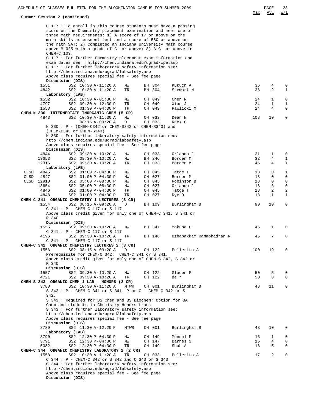|            | SCHEDULE OF CLASSES BULLETIN FOR THE BLOOMINGTON CAMPUS FOR SUMMER 2009<br>Summer Session 2 (continued)                                                                                                                                                                                                                                                                                                                                                                      |          |                  |                          | Max      | PAGE<br>Avl         | 28<br>W/L                   |
|------------|------------------------------------------------------------------------------------------------------------------------------------------------------------------------------------------------------------------------------------------------------------------------------------------------------------------------------------------------------------------------------------------------------------------------------------------------------------------------------|----------|------------------|--------------------------|----------|---------------------|-----------------------------|
|            | C 117 : To enroll in this course students must have a passing<br>score on the Chemistry placement examination and meet one of<br>three math requirements: 1) A score of 17 or above on the<br>math skills assessment test and a score of 580 or above on<br>the math SAT; 2) Completed an Indiana University Math course<br>above M 025 with a grade of $C$ - or above; 3) A $C$ - or above in<br>CHEM-C 103.<br>C 117: For further Chemistry placement exam information and |          |                  |                          |          |                     |                             |
|            | exam dates see: http://chem.indiana.edu/ugrad/cpe.asp<br>C 117 : For further laboratory safety information see:<br>http://chem.indiana.edu/ugrad/labsafety.asp<br>Above class requires special fee - See fee page                                                                                                                                                                                                                                                            |          |                  |                          |          |                     |                             |
|            | Discussion (DIS)                                                                                                                                                                                                                                                                                                                                                                                                                                                             |          |                  |                          |          |                     |                             |
|            | 1551<br>SS2 10:30 A-11:20 A<br>4842<br>SS2 10:30 A-11:20 A                                                                                                                                                                                                                                                                                                                                                                                                                   | MW<br>TR | BH 304<br>BH 304 | Kukuch A<br>Stewart N    | 36<br>36 | 4<br>2              | 0<br>$\mathbf{1}$           |
|            | Laboratory (LAB)                                                                                                                                                                                                                                                                                                                                                                                                                                                             |          |                  |                          |          |                     |                             |
|            | 1552<br>SS2 10:30 A-01:30 P<br>4797<br>SS2 09:30 A-12:30 P                                                                                                                                                                                                                                                                                                                                                                                                                   | MM<br>TR | CH 049<br>CH 049 | Chen R<br>Xiao J         | 24<br>24 | 1<br>1              | $\mathsf 0$<br>$\mathbf{1}$ |
|            | 1553<br>SS2 01:30 P-04:30 P                                                                                                                                                                                                                                                                                                                                                                                                                                                  | TR       | CH 049           | Pawlicki M               | 24       | 4                   | $\mathbf{0}$                |
|            | CHEM-N 330 INTERMEDIATE INORGANIC CHEM (5 CR)                                                                                                                                                                                                                                                                                                                                                                                                                                |          |                  |                          |          |                     |                             |
|            | 4843<br>SS2 10:30 A-11:30 A<br>$08:15 A-09:20 A$                                                                                                                                                                                                                                                                                                                                                                                                                             | MW<br>D  | CH 033<br>CH 033 | Dean N<br>Reck C         | 108      | 10                  | 0                           |
|            | $N$ 330: $P - (CHEM-C342 or CHEM-S342 or CHEM-R340)$ and<br>(CHEM-C343 or CHEM-S343)                                                                                                                                                                                                                                                                                                                                                                                         |          |                  |                          |          |                     |                             |
|            | N 330 : For further laboratory safety information see:<br>http://chem.indiana.edu/ugrad/labsafety.asp                                                                                                                                                                                                                                                                                                                                                                        |          |                  |                          |          |                     |                             |
|            | Above class requires special fee - See fee page                                                                                                                                                                                                                                                                                                                                                                                                                              |          |                  |                          |          |                     |                             |
|            | Discussion (DIS)<br>4844<br>SS2 09:30 A-10:20 A                                                                                                                                                                                                                                                                                                                                                                                                                              | MW       | CH 033           | Orlando J                | 31       | 1                   | 0                           |
|            | 13653<br>SS2 09:30 A-10:20 A                                                                                                                                                                                                                                                                                                                                                                                                                                                 | MW       | BH 246           | Borden M                 | 32       | $\overline{4}$      | $\mathbf{1}$                |
|            | 12316<br>SS2 09:30 A-10:20 A                                                                                                                                                                                                                                                                                                                                                                                                                                                 | TR       | CH 033           | Borden M                 | 45       | 4                   | $\mathbf{1}$                |
| CLSD       | Laboratory (LAB)<br>4845<br>SS2 01:00 P-04:30 P                                                                                                                                                                                                                                                                                                                                                                                                                              | MM       | CH 045           | Tatge T                  | 18       | 0                   | $\mathbf{1}$                |
| CLSD       | 4847<br>SS2 01:00 P-04:30 P                                                                                                                                                                                                                                                                                                                                                                                                                                                  | ΜW       | CH 027           | Borden M                 | 18       | $\mathbf 0$         | $\mathsf 0$                 |
| CLSD 12918 | SS2 05:00 P-08:30 P                                                                                                                                                                                                                                                                                                                                                                                                                                                          | ΜW       | CH 045           | Robinson B               | 18       | 0                   | $\mathsf 0$                 |
|            | 13654<br>SS2 05:00 P-08:30 P<br>4846<br>SS2 01:00 P-04:30 P                                                                                                                                                                                                                                                                                                                                                                                                                  | МW<br>TR | CH 027<br>CH 045 | Orlando J<br>Tatge T     | 18<br>18 | 6<br>2              | 0<br>2                      |
|            | 4848<br>SS2 01:00 P-04:30 P                                                                                                                                                                                                                                                                                                                                                                                                                                                  | TR       | CH 027           | Dye D                    | 18       | 1                   | $\mathbf{1}$                |
| CHEM-C 341 | ORGANIC CHEMISTRY 1 LECTURES (3 CR)                                                                                                                                                                                                                                                                                                                                                                                                                                          |          |                  |                          |          |                     |                             |
|            | 1554<br>SS2 08:15 A-09:20 A<br>C 341 : P - CHEM-C 117 or S 117                                                                                                                                                                                                                                                                                                                                                                                                               | D        | BH 109           | Burlingham B             | 90       | 10                  | 0                           |
|            | Above class credit given for only one of CHEM-C 341, S 341 or                                                                                                                                                                                                                                                                                                                                                                                                                |          |                  |                          |          |                     |                             |
|            | R 340<br>Discussion (DIS)                                                                                                                                                                                                                                                                                                                                                                                                                                                    |          |                  |                          |          |                     |                             |
|            | 1555<br>SS2 09:30 A-10:20 A                                                                                                                                                                                                                                                                                                                                                                                                                                                  | MW       | BH 347           | Mokube F                 | 45       | 1                   | 0                           |
|            | $C$ 341 : $P$ - CHEM-C 117 or S 117<br>4196                                                                                                                                                                                                                                                                                                                                                                                                                                  |          |                  |                          |          | 7                   | 0                           |
|            | SS2 09:30 A-10:20 A<br>C 341 : P - CHEM-C 117 or S 117                                                                                                                                                                                                                                                                                                                                                                                                                       | TR       | BH 146           | Ozhapakkam Ramabhadran R | 45       |                     |                             |
|            | CHEM-C 342 ORGANIC CHEMISTRY LECTURES 2 (3 CR)                                                                                                                                                                                                                                                                                                                                                                                                                               |          |                  |                          |          |                     |                             |
|            | 1556<br>SS2 08:15 A-09:20 A<br>Prerequisite for CHEM-C 342: CHEM-C 341 or S 341.                                                                                                                                                                                                                                                                                                                                                                                             | D        | CH 122           | Pellerito A              | 100      | 19                  | 0                           |
|            | Above class credit given for only one of CHEM-C 342, S 342 or                                                                                                                                                                                                                                                                                                                                                                                                                |          |                  |                          |          |                     |                             |
|            | R 340                                                                                                                                                                                                                                                                                                                                                                                                                                                                        |          |                  |                          |          |                     |                             |
|            | Discussion (DIS)<br>SS2 09:30 A-10:20 A<br>1557                                                                                                                                                                                                                                                                                                                                                                                                                              | MW       | CH 122           | Gladen P                 | 50       | 5                   | 0                           |
|            | 4721<br>SS2 09:30 A-10:20 A                                                                                                                                                                                                                                                                                                                                                                                                                                                  | TR       | CH 122           | de r                     | 50       | 8                   | 0                           |
|            | CHEM-S 343 ORGANIC CHEM 1 LAB - HONORS (2 CR)<br>3788                                                                                                                                                                                                                                                                                                                                                                                                                        | MTWR     |                  | Burlingham B             |          | 11                  | $\mathbf{0}$                |
|            | SS2 10:30 A-11:20 A<br>S 343 : P - CHEM-C 341 or S 341. P or C - CHEM-C 342 or S                                                                                                                                                                                                                                                                                                                                                                                             |          | CH 001           |                          | 48       |                     |                             |
|            | 342.                                                                                                                                                                                                                                                                                                                                                                                                                                                                         |          |                  |                          |          |                     |                             |
|            | S 343 : Required for BS Chem and BS Biochem; Option for BA<br>Chem and students in Chemistry Honors track                                                                                                                                                                                                                                                                                                                                                                    |          |                  |                          |          |                     |                             |
|            | S 343 : For further laboratory safety information see:                                                                                                                                                                                                                                                                                                                                                                                                                       |          |                  |                          |          |                     |                             |
|            | http://chem.indiana.edu/ugrad/labsafety.asp<br>Above class requires special fee - See fee page<br>Discussion (DIS)                                                                                                                                                                                                                                                                                                                                                           |          |                  |                          |          |                     |                             |
|            | SS2 11:30 A-12:20 P<br>3789                                                                                                                                                                                                                                                                                                                                                                                                                                                  | MTWR     | CH 001           | Burlingham B             | 48       | 10                  | 0                           |
|            | Laboratory (LAB)                                                                                                                                                                                                                                                                                                                                                                                                                                                             |          |                  |                          |          |                     |                             |
|            | 3790<br>SS2 12:30 P-04:30 P<br>3791<br>SS2 12:30 P-04:30 P                                                                                                                                                                                                                                                                                                                                                                                                                   | MW<br>MW | CH 149<br>CH 147 | Mondal P<br>Barnes S     | 16<br>16 | 1<br>$\overline{4}$ | 0<br>0                      |
|            | 5082<br>SS2 12:30 P-04:30 P                                                                                                                                                                                                                                                                                                                                                                                                                                                  | TR       | CH 149           | Shah A                   | 16       | 5                   | 0                           |
|            | CHEM-C 344 ORGANIC CHEMISTRY LABORATORY 2 (2 CR)                                                                                                                                                                                                                                                                                                                                                                                                                             |          |                  |                          |          | 2                   | 0                           |
|            | 1558<br>SS2 10:30 A-11:20 A<br>C 344 : P - CHEM-C 342 or S 342 and C 343 or S 343                                                                                                                                                                                                                                                                                                                                                                                            | TR       | CH 033           | Pellerito A              | 17       |                     |                             |
|            | C 344 : For further laboratory safety information see:                                                                                                                                                                                                                                                                                                                                                                                                                       |          |                  |                          |          |                     |                             |
|            | http://chem.indiana.edu/ugrad/labsafety.asp                                                                                                                                                                                                                                                                                                                                                                                                                                  |          |                  |                          |          |                     |                             |
|            | Above class requires special fee - See fee page<br>Discussion (DIS)                                                                                                                                                                                                                                                                                                                                                                                                          |          |                  |                          |          |                     |                             |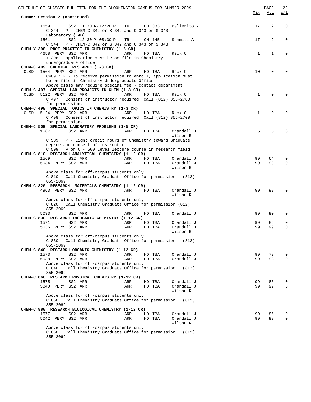|             | SCHEDULE OF CLASSES BULLETIN FOR THE BLOOMINGTON CAMPUS FOR SUMMER 2009                                    |     |        |                        |              | PAGE        | 29          |
|-------------|------------------------------------------------------------------------------------------------------------|-----|--------|------------------------|--------------|-------------|-------------|
|             | Summer Session 2 (continued)                                                                               |     |        |                        | Max          | Avl         | W/L         |
|             | 1559<br>SS2 11:30 A-12:20 P                                                                                | TR  | CH 033 | Pellerito A            | 17           | 2           | $\mathbf 0$ |
|             | C 344 : P - CHEM-C 342 or S 342 and C 343 or S 343<br>Laboratory (LAB)                                     |     |        |                        |              |             |             |
|             | 1561<br>SS2 12:30 P-05:30 P                                                                                | TR  | CH 145 | Schmitz A              | 17           | 2           | $\mathbf 0$ |
|             | C 344 : P - CHEM-C 342 or S 342 and C 343 or S 343                                                         |     |        |                        |              |             |             |
|             | CHEM-Y 398 PROF PRACTICE IN CHEMISTRY (1-6 CR)<br>4658 PERM SS2 ARR                                        | ARR | HD TBA | Reck C                 | 1            | $\mathbf 1$ | $\Omega$    |
|             | Y 398 : application must be on file in Chemistry                                                           |     |        |                        |              |             |             |
|             | undergraduate office                                                                                       |     |        |                        |              |             |             |
|             | CHEM-C 409 CHEMICAL RESEARCH (1-3 CR)                                                                      |     |        |                        |              |             |             |
| CLSD        | 1564 PERM SS2 ARR<br>$C409$ : P - To receive permission to enroll, application must                        | ARR | HD TBA | Reck C                 | 10           | 0           | $\Omega$    |
|             | be on file in Chemistry Undergraduate Office                                                               |     |        |                        |              |             |             |
|             | Above class may require special fee - contact department                                                   |     |        |                        |              |             |             |
| <b>CLSD</b> | CHEM-C 497 SPECIAL LAB PROJECTS IN CHEM (1-3 CR)<br>5122 PERM SS2 ARR                                      | ARR | HD TBA | Reck C                 | $\mathbf{1}$ | 0           | $\Omega$    |
|             | C 497 : Consent of instructor required. Call (812) 855-2700                                                |     |        |                        |              |             |             |
|             | for permission.                                                                                            |     |        |                        |              |             |             |
|             | CHEM-C 498 SPECIAL TOPICS IN CHEMISTRY (1-3 CR)                                                            |     |        |                        |              |             |             |
| CLSD        | 5124 PERM SS2 ARR                                                                                          | ARR | HD TBA | Reck C                 | 1            | 0           | $\Omega$    |
|             | C 498 : Consent of instructor required. Call (812) 855-2700<br>for permission.                             |     |        |                        |              |             |             |
|             | CHEM-C 509 SPECIAL LABORATORY PROBLEMS (1-5 CR)                                                            |     |        |                        |              |             |             |
|             | 1567<br>SS2 ARR                                                                                            | ARR | HD TBA | Crandall J             | 5            | 5           | $\Omega$    |
|             |                                                                                                            |     |        | Wilson R               |              |             |             |
|             | C 509 : P - Eight credit hours of Chemistry toward Graduate<br>degree and consent of instructor            |     |        |                        |              |             |             |
|             | C 509 : P or C - 500 Level lecture course in research field                                                |     |        |                        |              |             |             |
|             | CHEM-C 810 RESEARCH ANALYTICAL CHEMISTRY (1-12 CR)                                                         |     |        |                        |              |             |             |
|             | 1569<br>SS2 ARR                                                                                            | ARR | HD TBA | Crandall J             | 99           | 64          | 0           |
|             | 5034 PERM SS2 ARR                                                                                          | ARR | HD TBA | Crandall J<br>Wilson R | 99           | 99          | $\mathbf 0$ |
|             | Above class for off-campus students only                                                                   |     |        |                        |              |             |             |
|             | C 810 : Call Chemistry Graduate Office for permission : (812)                                              |     |        |                        |              |             |             |
|             | 855-2069                                                                                                   |     |        |                        |              |             |             |
|             | CHEM-C 820 RESEARCH: MATERIALS CHEMISTRY (1-12 CR)                                                         |     |        |                        |              |             |             |
|             | 4963 PERM SS2 ARR                                                                                          | ARR | HD TBA | Crandall J<br>Wilson R | 99           | 99          | $\Omega$    |
|             | Above class for off campus students only                                                                   |     |        |                        |              |             |             |
|             | C 820: Call Chemistry Graduate Office for permission (812)                                                 |     |        |                        |              |             |             |
|             | 855-2069                                                                                                   |     |        |                        |              |             |             |
|             | 5033<br>SS2 ARR<br>CHEM-C 830 RESEARCH INORGANIC CHEMISTRY (1-12 CR)                                       | ARR | HD TBA | Crandall J             | 99           | 90          | $\mathbf 0$ |
|             | 1571<br>SS2 ARR                                                                                            | ARR | HD TBA | Crandall J             | 99           | 86          | 0           |
|             | 5036 PERM SS2 ARR                                                                                          | ARR | HD TBA | Crandall J             | 99           | 99          | $\mathbf 0$ |
|             |                                                                                                            |     |        | Wilson R               |              |             |             |
|             | Above class for off-campus students only<br>C 830: Call Chemistry Graduate Office for permission: (812)    |     |        |                        |              |             |             |
|             | 855-2069                                                                                                   |     |        |                        |              |             |             |
|             | CHEM-C 840 RESEARCH ORGANIC CHEMISTRY (1-12 CR)                                                            |     |        |                        |              |             |             |
|             | 1573<br>SS2 ARR                                                                                            | ARR | HD TBA | Crandall J             | 99           | 79          | 0           |
|             | 5038 PERM SS2 ARR<br>Above class for off-campus students only                                              | ARR | HD TBA | Crandall J             | 99           | 98          | 0           |
|             | $C$ 840 : Call Chemistry Graduate Office for permission : $(812)$                                          |     |        |                        |              |             |             |
|             | 855-2069                                                                                                   |     |        |                        |              |             |             |
|             | CHEM-C 860 RESEARCH PHYSICAL CHEMISTRY (1-12 CR)                                                           |     |        |                        |              |             |             |
|             | SS2 ARR<br>1575                                                                                            | ARR | HD TBA | Crandall J             | 99           | 85          | 0           |
|             | 5040 PERM SS2 ARR                                                                                          | ARR | HD TBA | Crandall J<br>Wilson R | 99           | 99          | $\Omega$    |
|             | Above class for off-campus students only<br>$C 860$ : Call Chemistry Graduate Office for permission: (812) |     |        |                        |              |             |             |
|             | 855-2069                                                                                                   |     |        |                        |              |             |             |
|             | CHEM-C 880 RESEARCH BIOLOGICAL CHEMISTRY (1-12 CR)                                                         |     |        |                        |              |             |             |
|             | 1577<br>SS2 ARR                                                                                            | ARR | HD TBA | Crandall J             | 99           | 85          | 0           |
|             | 5042 PERM SS2 ARR                                                                                          | ARR | HD TBA | Crandall J<br>Wilson R | 99           | 99          | 0           |
|             | Above class for off-campus students only                                                                   |     |        |                        |              |             |             |
|             | C 860 : Call Chemistry Graduate Office for permission : (812)<br>855-2069                                  |     |        |                        |              |             |             |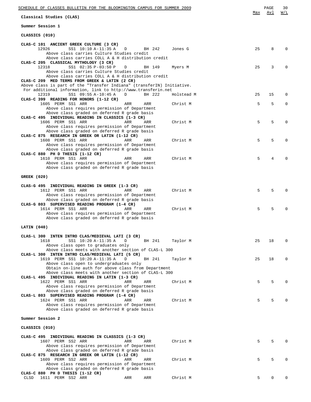| SCHEDULE OF CLASSES BULLETIN FOR THE BLOOMINGTON CAMPUS FOR SUMMER 2009                                                                                                        |     | 30<br>PAGE     |
|--------------------------------------------------------------------------------------------------------------------------------------------------------------------------------|-----|----------------|
| Classical Studies (CLAS)                                                                                                                                                       | Max | W/L<br>Avl     |
| Summer Session 1                                                                                                                                                               |     |                |
| CLASSICS (010)                                                                                                                                                                 |     |                |
| CLAS-C 101 ANCIENT GREEK CULTURE (3 CR)<br>12926<br>SS1 10:10 A-11:35 A<br>BH 242<br>Jones G<br>D                                                                              | 25  | 8<br>$\Omega$  |
| Above class carries Culture Studies credit<br>Above class carries COLL A & H distribution credit                                                                               |     |                |
| CLAS-C 205 CLASSICAL MYTHOLOGY (3 CR)<br>12318<br>SS1 02:35 P-03:50 P<br>BH 149<br>Myers M<br>D<br>Above class carries Culture Studies credit                                  | 25  | 3<br>$\Omega$  |
| Above class carries COLL A & H distribution credit<br>CLAS-C 209 MED TERMS FROM GREEK & LATIN (2 CR)<br>Above class is part of the "Transfer Indiana" (transferIN) Initiative. |     |                |
| For additional information, link to http://www.transferin.net                                                                                                                  |     |                |
| 12319<br>SS1 09:55 A-10:45 A<br>BH 222<br>Holstead M<br>D<br>CLAS-C 399 READING FOR HONORS (1-12 CR)                                                                           | 25  | 15<br>$\Omega$ |
| 1605 PERM SS1 ARR<br>Christ M<br>ARR<br>ARR<br>Above class requires permission of Department<br>Above class graded on deferred R grade basis                                   | 5   | 5<br>$\Omega$  |
| CLAS-C 495 INDIVIDUAL READING IN CLASSICS (1-3 CR)<br>1606 PERM SS1 ARR<br>ARR<br>ARR<br>Christ M                                                                              | 5   | 5<br>$\Omega$  |
| Above class requires permission of Department<br>Above class graded on deferred R grade basis                                                                                  |     |                |
| CLAS-C 875 RESEARCH IN GREEK OR LATIN (1-12 CR)<br>1608 PERM SS1 ARR<br>ARR<br>ARR<br>Christ M                                                                                 | 5   | 5<br>$\Omega$  |
| Above class requires permission of Department<br>Above class graded on deferred R grade basis                                                                                  |     |                |
| CLAS-C 880 PH D THESIS (1-12 CR)<br>1610 PERM SS1 ARR<br>ARR<br>ARR<br>Christ M                                                                                                | 5   | 4<br>$\Omega$  |
| Above class requires permission of Department<br>Above class graded on deferred R grade basis                                                                                  |     |                |
| GREEK (020)                                                                                                                                                                    |     |                |
| CLAS-G 495 INDIVIDUAL READING IN GREEK (1-3 CR)                                                                                                                                |     |                |
| 1612 PERM SS1 ARR<br>ARR<br>Christ M<br>ARR<br>Above class requires permission of Department<br>Above class graded on deferred R grade basis                                   | 5   | 5<br>$\Omega$  |
| CLAS-G 803 SUPERVISED READING PROGRAM (1-4 CR)<br>1614 PERM SS1 ARR<br>Christ M<br>ARR<br>ARR                                                                                  | 5   | 5<br>$\Omega$  |
| Above class requires permission of Department<br>Above class graded on deferred R grade basis                                                                                  |     |                |
| LATIN (040)                                                                                                                                                                    |     |                |
| CLAS-L 300 INTEN INTRO CLAS/MEDIEVAL LATI (3 CR)<br>1618                                                                                                                       |     | $\Omega$       |
| SS1 10:20 A-11:35 A<br>D<br>BH 241<br>Taylor M<br>Above class open to graduates only<br>Above class meets with another section of CLAS-L 300                                   | 25  | 18             |
| CLAS-L 300 INTEN INTRO CLAS/MEDIEVAL LATI (5 CR)<br>1619 PERM SS1 10:20 A-11:35 A<br>BH 241<br>Taylor M<br>D                                                                   | 25  | 18<br>$\Omega$ |
| Above class open to undergraduates only<br>Obtain on-line auth for above class from Department                                                                                 |     |                |
| Above class meets with another section of CLAS-L 300<br>CLAS-L 495 INDIVIDUAL READING IN LATIN (1-3 CR)                                                                        |     |                |
| 1622 PERM SS1 ARR<br>ARR<br>Christ M<br>ARR                                                                                                                                    | 5   | 5<br>$\Omega$  |
| Above class requires permission of Department<br>Above class graded on deferred R grade basis                                                                                  |     |                |
| CLAS-L 803 SUPERVISED READING PROGRAM (1-4 CR)<br>1624 PERM SS1 ARR<br>ARR<br>Christ M<br>ARR                                                                                  | 5   | 5<br>$\Omega$  |
| Above class requires permission of Department<br>Above class graded on deferred R grade basis                                                                                  |     |                |
| Summer Session 2                                                                                                                                                               |     |                |
| CLASSICS (010)                                                                                                                                                                 |     |                |
| CLAS-C 495 INDIVIDUAL READING IN CLASSICS (1-3 CR)                                                                                                                             |     |                |
| 1607 PERM SS2 ARR<br>Christ M<br>ARR<br>ARR<br>Above class requires permission of Department                                                                                   | 5   | 5<br>$\Omega$  |
| Above class graded on deferred R grade basis<br>CLAS-C 875 RESEARCH IN GREEK OR LATIN (1-12 CR)                                                                                |     |                |
| 1609 PERM SS2 ARR<br>Christ M<br>ARR<br>ARR<br>Above class requires permission of Department                                                                                   | 5   | 5<br>$\Omega$  |
| Above class graded on deferred R grade basis<br>CLAS-C 880 PH D THESIS (1-12 CR)                                                                                               |     |                |
| 1611 PERM SS2 ARR<br>ARR<br>Christ M<br>CLSD<br>ARR                                                                                                                            | 5   | 0<br>$\Omega$  |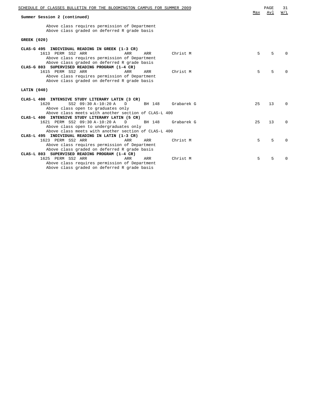| SCHEDULE OF CLASSES BULLETIN FOR THE BLOOMINGTON CAMPUS FOR SUMMER 2009                                                                                                                         | Max | PAGE<br>Avl | 31<br>W/L |
|-------------------------------------------------------------------------------------------------------------------------------------------------------------------------------------------------|-----|-------------|-----------|
| Summer Session 2 (continued)                                                                                                                                                                    |     |             |           |
| Above class requires permission of Department<br>Above class graded on deferred R grade basis                                                                                                   |     |             |           |
| <b>GREEK (020)</b>                                                                                                                                                                              |     |             |           |
|                                                                                                                                                                                                 |     |             |           |
| CLAS-G 495 INDIVIDUAL READING IN GREEK (1-3 CR)<br>1613 PERM SS2 ARR<br>Christ M<br>ARR<br>ARR<br>Above class requires permission of Department<br>Above class graded on deferred R grade basis | 5   | 5           |           |
| CLAS-G 803 SUPERVISED READING PROGRAM (1-4 CR)<br>1615 PERM SS2 ARR<br>ARR<br>Christ M<br>ARR<br>Above class requires permission of Department<br>Above class graded on deferred R grade basis  | 5   | 5           |           |
| LATIN (040)                                                                                                                                                                                     |     |             |           |
| $CLAS-L$ 400<br>INTENSIVE STUDY LITERARY LATIN (3 CR)                                                                                                                                           |     |             |           |
| 1620<br>SS2 09:30 A-10:20 A<br>Grabarek G<br>BH 148<br>D<br>Above class open to graduates only                                                                                                  | 25  | 13          | $\Omega$  |
| Above class meets with another section of CLAS-L 400<br>CLAS-L 400 INTENSIVE STUDY LITERARY LATIN (5 CR)                                                                                        |     |             |           |
| 1621 PERM SS2 09:30 A-10:20 A<br>Grabarek G<br>BH 148<br>D<br>Above class open to undergraduates only                                                                                           | 25  | 13          | $\Omega$  |
| Above class meets with another section of CLAS-L 400                                                                                                                                            |     |             |           |
| CLAS-L 495 INDIVIDUAL READING IN LATIN (1-3 CR)                                                                                                                                                 |     |             |           |
| 1623 PERM SS2 ARR<br>Christ M<br>ARR<br>ARR                                                                                                                                                     | 5   | 5           | ∩         |
| Above class requires permission of Department<br>Above class graded on deferred R grade basis                                                                                                   |     |             |           |
| CLAS-L 803 SUPERVISED READING PROGRAM (1-4 CR)                                                                                                                                                  |     |             |           |
| 1625 PERM SS2 ARR<br>ARR<br>ARR<br>Christ M                                                                                                                                                     | 5   | 5           |           |
| Above class requires permission of Department                                                                                                                                                   |     |             |           |

Above class graded on deferred R grade basis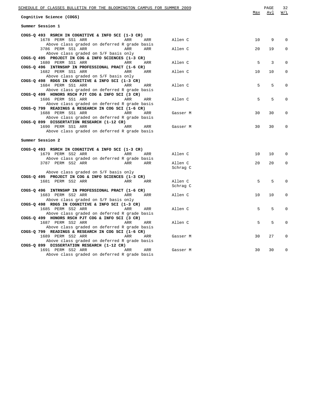| SCHEDULE OF CLASSES BULLETIN FOR THE BLOOMINGTON CAMPUS FOR SUMMER 2009                          |     |          |     | PAGE | 32          |
|--------------------------------------------------------------------------------------------------|-----|----------|-----|------|-------------|
| Cognitive Science (COGS)                                                                         |     |          | Max | Avl  | W/L         |
| Summer Session 1                                                                                 |     |          |     |      |             |
| COGS-Q 493 RSRCH IN COGNITIVE & INFO SCI (1-3 CR)                                                |     |          |     |      |             |
| 1678 PERM SS1 ARR<br>ARR<br>Above class graded on deferred R grade basis                         | ARR | Allen C  | 10  | 9    | 0           |
| 3786 PERM SS1 ARR<br>ARR                                                                         | ARR | Allen C  | 20  | 19   | $\Omega$    |
| Above class graded on S/F basis only                                                             |     |          |     |      |             |
| COGS-Q 495 PROJECT IN COG & INFO SCIENCES (1-3 CR)                                               |     |          |     |      |             |
| 1680 PERM SS1 ARR<br>ARR                                                                         | ARR | Allen C  | 5   | 3    | $\Omega$    |
| COGS-Q 496 INTRNSHP IN PROFESSIONAL PRACT (1-6 CR)                                               |     |          |     |      |             |
| 1682 PERM SS1 ARR<br>ARR                                                                         | ARR | Allen C  | 10  | 10   | 0           |
| Above class graded on S/F basis only                                                             |     |          |     |      |             |
| COGS-Q 498 RDGS IN COGNITIVE & INFO SCI (1-3 CR)                                                 |     |          |     |      |             |
| 1684 PERM SS1 ARR<br>ARR                                                                         | ARR | Allen C  | 5   | 5    | 0           |
| Above class graded on deferred R grade basis<br>COGS-Q 499 HONORS RSCH PJT COG & INFO SCI (3 CR) |     |          |     |      |             |
| 1686 PERM SS1 ARR<br>ARR                                                                         | ARR | Allen C  | 5   | 5    | $\mathbf 0$ |
| Above class graded on deferred R grade basis                                                     |     |          |     |      |             |
| COGS-Q 799 READINGS & RESEARCH IN COG SCI (1-6 CR)                                               |     |          |     |      |             |
| 1688 PERM SS1 ARR<br>ARR                                                                         | ARR | Gasser M | 30  | 30   | $\mathbf 0$ |
| Above class graded on deferred R grade basis                                                     |     |          |     |      |             |
| COGS-Q 899 DISSERTATION RESEARCH (1-12 CR)                                                       |     |          |     |      |             |
| 1690 PERM SS1 ARR<br>ARR                                                                         | ARR | Gasser M | 30  | 30   | $\mathbf 0$ |
| Above class graded on deferred R grade basis                                                     |     |          |     |      |             |
| Summer Session 2                                                                                 |     |          |     |      |             |
|                                                                                                  |     |          |     |      |             |
| COGS-Q 493 RSRCH IN COGNITIVE & INFO SCI (1-3 CR)                                                |     |          |     |      |             |
| 1679 PERM SS2 ARR<br>ARR                                                                         | ARR | Allen C  | 10  | 10   | 0           |
| Above class graded on deferred R grade basis<br>3787 PERM SS2 ARR<br>ARR                         | ARR | Allen C  | 20  | 20   | 0           |
|                                                                                                  |     | Schrag C |     |      |             |
| Above class graded on S/F basis only                                                             |     |          |     |      |             |
| COGS-Q 495 PROJECT IN COG & INFO SCIENCES (1-3 CR)                                               |     |          |     |      |             |
| 1681 PERM SS2 ARR<br>ARR                                                                         | ARR | Allen C  | 5   | 5    | $\Omega$    |
|                                                                                                  |     | Schrag C |     |      |             |
| COGS-Q 496 INTRNSHP IN PROFESSIONAL PRACT (1-6 CR)                                               |     |          |     |      |             |
| 1683 PERM SS2 ARR<br>ARR                                                                         | ARR | Allen C  | 10  | 10   | 0           |
| Above class graded on S/F basis only                                                             |     |          |     |      |             |
| COGS-Q 498 RDGS IN COGNITIVE & INFO SCI (1-3 CR)<br>1685 PERM SS2 ARR                            |     |          | 5   | 5    | $\Omega$    |
| ARR<br>Above class graded on deferred R grade basis                                              | ARR | Allen C  |     |      |             |
| COGS-Q 499 HONORS RSCH PJT COG & INFO SCI (3 CR)                                                 |     |          |     |      |             |
| 1687 PERM SS2 ARR<br>ARR                                                                         | ARR | Allen C  | 5   | 5    | $\Omega$    |
| Above class graded on deferred R grade basis                                                     |     |          |     |      |             |
| COGS-Q 799 READINGS & RESEARCH IN COG SCI (1-6 CR)                                               |     |          |     |      |             |
| 1689 PERM SS2 ARR<br>ARR                                                                         | ARR | Gasser M | 30  | 27   | $\Omega$    |
| Above class graded on deferred R grade basis                                                     |     |          |     |      |             |
| COGS-Q 899 DISSERTATION RESEARCH (1-12 CR)                                                       |     |          |     |      |             |
| 1691 PERM SS2 ARR<br>ARR                                                                         | ARR | Gasser M | 30  | 30   | 0           |
| Above class graded on deferred R grade basis                                                     |     |          |     |      |             |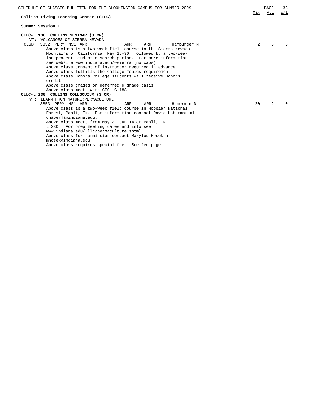| SCHEDULE OF CLASSES BULLETIN FOR THE BLOOMINGTON CAMPUS FOR SUMMER 2009<br>Collins Living-Learning Center (CLLC)                                                                                                                                                                                                                                                                                                                                                                                                                                                                                                    | Max            | PAGE<br>Avl    | 33<br>W/L |
|---------------------------------------------------------------------------------------------------------------------------------------------------------------------------------------------------------------------------------------------------------------------------------------------------------------------------------------------------------------------------------------------------------------------------------------------------------------------------------------------------------------------------------------------------------------------------------------------------------------------|----------------|----------------|-----------|
| Summer Session 1                                                                                                                                                                                                                                                                                                                                                                                                                                                                                                                                                                                                    |                |                |           |
| CLLC-L 130 COLLINS SEMINAR (3 CR)<br>VOLCANOES OF SIERRA NEVADA<br>VT:<br>3852 PERM NS1 ARR<br>CLSD<br>ARR<br>ARR<br>Hamburger M<br>Above class is a two-week field course in the Sierra Nevada<br>Mountains of California, May 16-30, followed by a two-week<br>independent student research period. For more information<br>see website www.indiana.edu/~sierra (no caps).<br>Above class consent of instructor required in advance<br>Above class fulfills the College Topics requirement<br>Above class Honors College students will receive Honors                                                             | $\overline{2}$ | $\Omega$       | $\cap$    |
| credit<br>Above class graded on deferred R grade basis<br>Above class meets with GEOL-G 188<br>CLLC-L 230 COLLINS COLLOQUIUM (3 CR)<br>LEARN FROM NATURE: PERMACULTURE<br>VT:<br>3853 PERM NS1 ARR<br>ARR<br>ARR<br>Haberman D<br>Above class is a two-week field course in Hoosier National<br>Forest, Paoli, IN. For information contact David Haberman at<br>dhaberma@indiana.edu.<br>Above class meets from May 31-Jun 14 at Paoli, IN<br>$L$ 230 : For prep meeting dates and info see<br>www.indiana.edu/~llc/permaculture.shtml<br>Above class for permission contact Marylou Hosek at<br>mhosek@indiana.edu | 20             | $\overline{2}$ |           |

Above class requires special fee - See fee page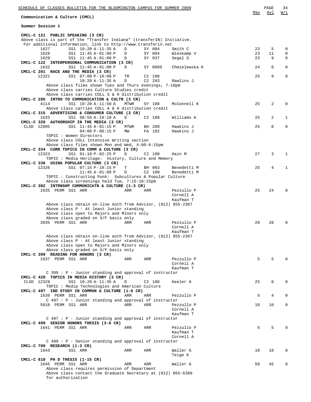| SCHEDULE OF CLASSES BULLETIN FOR THE BLOOMINGTON CAMPUS FOR SUMMER 2009<br>Communication & Culture (CMCL) |        |     |                  |                        | Max      | PAGE<br>Avl    | 34<br>W/L                  |
|-----------------------------------------------------------------------------------------------------------|--------|-----|------------------|------------------------|----------|----------------|----------------------------|
| Summer Session 1                                                                                          |        |     |                  |                        |          |                |                            |
| CMCL-C 121 PUBLIC SPEAKING (3 CR)                                                                         |        |     |                  |                        |          |                |                            |
| Above class is part of the "Transfer Indiana" (transferIN) Initiative.                                    |        |     |                  |                        |          |                |                            |
| For additional information, link to http://www.transferin.net                                             |        |     |                  |                        |          |                |                            |
| SS1 10:20 A-11:35 A<br>1627                                                                               | D      |     | SY 004           | Smith C                | 23       | 5              | $\mathbf 0$<br>$\mathbf 0$ |
| 1628<br>SS1 11:45 A-01:00 P<br>1629<br>SS1 11:45 A-01:00 P                                                | D<br>D |     | SY 004<br>SY 037 | Wieskamp V<br>Segal S  | 23<br>23 | 11<br>9        | $\mathbf 0$                |
| CMCL-C 122 INTERPERSONAL COMMUNICATION (3 CR)                                                             |        |     |                  |                        |          |                |                            |
| 1632<br>SS1 11:45 A-01:00 P                                                                               | D      |     | SY 0009          | Chmielewska K          | 24       | 6              | 0                          |
| CMCL-C 201 RACE AND THE MEDIA (3 CR)                                                                      |        |     |                  |                        |          |                |                            |
| 12321<br>SS1 07:00 P-10:00 P                                                                              | TR     |     | $C2$ 100         |                        | 25       | 9              | $\Omega$                   |
| $10:20 A-11:35 A$                                                                                         | D      |     | $C2$ 203         | Rawlins J              |          |                |                            |
| Above class films shown Tues and Thurs evenings, 7-10pm<br>Above class carries Culture Studies credit     |        |     |                  |                        |          |                |                            |
| Above class carries COLL S & H distribution credit                                                        |        |     |                  |                        |          |                |                            |
| CMCL-C 205 INTRO TO COMMUNICATION & CULTR (3 CR)                                                          |        |     |                  |                        |          |                |                            |
| SS1 10:20 A-11:50 A<br>4114                                                                               | MTWR   |     | SY 108           | McConnell K            | 25       | 2              | $\Omega$                   |
| Above class carries COLL A & H distribution credit                                                        |        |     |                  |                        |          |                |                            |
| CMCL-C 315 ADVERTISING & CONSUMER CULTURE (3 CR)                                                          |        |     |                  |                        |          |                |                            |
| SS1 08:55 A-10:10 A<br>1633                                                                               | D      |     | $C2$ 100         | Williams K             | 25       | 2              | 1                          |
| CMCL-C 326 AUTHORSHIP IN THE MEDIA (3 CR)<br>CLSD 12895<br>SS1 11:45 A-01:15 P                            | MTWR   |     | BH 209           | Hawkins J              | 25       | $\Omega$       | 0                          |
| $04:00 P-06:15 P$                                                                                         | МW     |     | FA 102           | Hawkins J              |          |                |                            |
| TOPIC : Women Directors                                                                                   |        |     |                  |                        |          |                |                            |
| Above class COLL Intensive Writing section                                                                |        |     |                  |                        |          |                |                            |
| Above class films shown Mon and Wed, 4:00-6:15pm                                                          |        |     |                  |                        |          |                |                            |
| CMCL-C 334 CURR TOPICS IN COMM & CULTURE (3 CR)                                                           |        |     |                  |                        |          |                |                            |
| SS1 01:10 P-02:25 P<br>12323                                                                              | D      |     | $C2$ 100         | Hain M                 | 27       | 3              | 1                          |
| TOPIC : Media Heritage: History, Culture and Memory<br>CMCL-C 336 USING POPULAR CULTURE (3 CR)            |        |     |                  |                        |          |                |                            |
| 12326<br>SS1 07:15 P-10:15 P                                                                              | т      |     | BH 003           | Benedetti M            | 25       | $\overline{4}$ | 1                          |
| $11:45 A-01:00 P$                                                                                         | D      |     | C2 100           | Benedetti M            |          |                |                            |
| TOPIC: Constructing Punk: Subcultures & Popular Culture                                                   |        |     |                  |                        |          |                |                            |
| Above class screenings held Tue, 7:15-10:15pm                                                             |        |     |                  |                        |          |                |                            |
| CMCL-C 382 INTRNSHP COMMUNICATN & CULTURE (1-3 CR)                                                        |        |     |                  |                        |          |                |                            |
| 1635 PERM SS1 ARR                                                                                         | ARR    | ARR |                  | Pezzullo P             | 25       | 24             | $\Omega$                   |
|                                                                                                           |        |     |                  | Cornell A<br>Kaufman T |          |                |                            |
| Above class obtain on-line Auth from Advisor, (812) 855-2367                                              |        |     |                  |                        |          |                |                            |
| Above class P - At least Junior standing                                                                  |        |     |                  |                        |          |                |                            |
| Above class open to Majors and Minors only                                                                |        |     |                  |                        |          |                |                            |
| Above class graded on S/F basis only                                                                      |        |     |                  |                        |          |                |                            |
| 3935 PERM SS1 ARR                                                                                         | ARR    | ARR |                  | Pezzullo P             | 20       | 20             | $\Omega$                   |
|                                                                                                           |        |     |                  | Cornell A              |          |                |                            |
|                                                                                                           |        |     |                  | Kaufman T              |          |                |                            |
| Above class obtain on-line auth from Advisor, (812) 855-2367<br>Above class P - At least Junior standing  |        |     |                  |                        |          |                |                            |
| Above class open to Majors and Minors only                                                                |        |     |                  |                        |          |                |                            |
| Above class graded on S/F basis only                                                                      |        |     |                  |                        |          |                |                            |
| CMCL-C 399 READING FOR HONORS (3 CR)                                                                      |        |     |                  |                        |          |                |                            |
| 1637 PERM SS1 ARR                                                                                         | ARR    | ARR |                  | Pezzullo P             | 5        | 5              | O                          |
|                                                                                                           |        |     |                  | Cornell A              |          |                |                            |
|                                                                                                           |        |     |                  | Kaufman T              |          |                |                            |
| $C$ 399 : $P$ - Junior standing and approval of instructor                                                |        |     |                  |                        |          |                |                            |
| CMCL-C 420 TOPICS IN MEDIA HISTORY (3 CR)<br>SS1 10:20 A-11:35 A<br>CLSD 12328                            | D      |     | C2 100           | Keeler A               | 25       | 0              | $\Omega$                   |
| TOPIC: Media Technologies and American Culture                                                            |        |     |                  |                        |          |                |                            |
| CMCL-C 497 IND STUDY IN COMMUN & CULTURE (1-6 CR)                                                         |        |     |                  |                        |          |                |                            |
| 1639 PERM SS1 ARR                                                                                         | ARR    | ARR |                  | Pezzullo P             | 5        | 4              | $\Omega$                   |
| $C$ 497 : $P$ - Junior standing and approval of instructor                                                |        |     |                  |                        |          |                |                            |
| 5810 PERM SS1 ARR                                                                                         | ARR    | ARR |                  | Pezzullo P             | 10       | 10             | $\Omega$                   |
|                                                                                                           |        |     |                  | Cornell A              |          |                |                            |
|                                                                                                           |        |     |                  | Kaufman T              |          |                |                            |
| $C$ 497 : $P$ - Junior standing and approval of instructor<br>CMCL-C 499 SENIOR HONORS THESIS (3-6 CR)    |        |     |                  |                        |          |                |                            |
| 1641 PERM SS1 ARR                                                                                         | ARR    | ARR |                  | Pezzullo P             | 5        | 5              | O                          |
|                                                                                                           |        |     |                  | Kaufman T              |          |                |                            |
|                                                                                                           |        |     |                  | Cornell A              |          |                |                            |
| $C$ 499 : $P$ - Senior standing and approval of instructor                                                |        |     |                  |                        |          |                |                            |
| CMCL-C 700 RESEARCH (1-3 CR)                                                                              |        |     |                  |                        |          |                |                            |
| 1643<br>SS1 ARR                                                                                           | ARR    | ARR |                  | Waller G               | 10       | 10             | 0                          |
|                                                                                                           |        |     |                  | Teige K                |          |                |                            |
| CMCL-C 810 PH D THESIS (1-15 CR)<br>1645 PERM SS1 ARR                                                     | ARR    | ARR |                  | Waller G               | 50       | 45             | 0                          |
| Above class requires permission of Department                                                             |        |     |                  |                        |          |                |                            |
| Above class contact the Graduate Secretary at (812) 855-6389                                              |        |     |                  |                        |          |                |                            |
| for authorization                                                                                         |        |     |                  |                        |          |                |                            |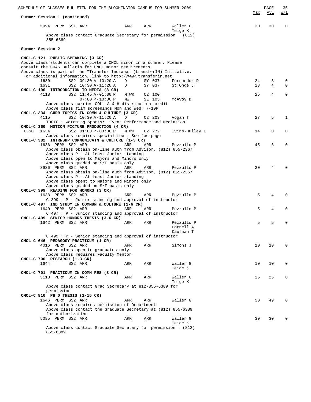| Summer Session 1 (continued)                                                                                                 |      |                    |                        | Max | Avl | <u>W/L</u>  |
|------------------------------------------------------------------------------------------------------------------------------|------|--------------------|------------------------|-----|-----|-------------|
| 5094 PERM SS1 ARR                                                                                                            | ARR  | ARR                | Waller G<br>Teige K    | 30  | 30  | $\Omega$    |
| Above class contact Graduate Secretary for permission : $(812)$<br>855-6389                                                  |      |                    |                        |     |     |             |
| Summer Session 2                                                                                                             |      |                    |                        |     |     |             |
| CMCL-C 121 PUBLIC SPEAKING (3 CR)                                                                                            |      |                    |                        |     |     |             |
| Above class students can complete a CMCL minor in a summer. Please<br>consult the COAS Bulletin for CMCL minor requirements. |      |                    |                        |     |     |             |
| Above class is part of the "Transfer Indiana" (transferIN) Initiative.                                                       |      |                    |                        |     |     |             |
| For additional information, link to http://www.transferin.net                                                                |      |                    |                        |     |     |             |
| SS2 09:30 A-10:20 A<br>1630                                                                                                  | D    | SY 037             | Fernandez D            | 24  | 3   | $\mathbf 0$ |
| SS2 10:30 A-11:20 A<br>1631                                                                                                  | D    | SY 037             | St.Onge J              | 23  | 4   | $\Omega$    |
| CMCL-C 190 INTRODUCTION TO MEDIA (3 CR)<br>4118<br>SS2 11:45 A-01:00 P                                                       | MTWR | $C2$ 100           |                        | 25  | 4   | $\Omega$    |
| $07:00 P-10:00 P$                                                                                                            | MW   | SE 105             | McAvoy D               |     |     |             |
| Above class carries COLL A & H distribution credit                                                                           |      |                    |                        |     |     |             |
| Above class film screenings Mon and Wed, 7-10P                                                                               |      |                    |                        |     |     |             |
| CMCL-C 334 CURR TOPICS IN COMM & CULTURE (3 CR)<br>SS2 $10:30 A-11:20 A$                                                     |      |                    |                        |     |     |             |
| 4115<br>TOPIC : Watching Sports: Event Performance and Mediation                                                             | D    | $C2$ 203           | Vogan T                | 27  | 5   | 1           |
| CMCL-C 360 MOTION PICTURE PRODUCTION (4 CR)                                                                                  |      |                    |                        |     |     |             |
| 1634<br>SS2 01:00 P-03:00 P<br>CLSD                                                                                          | MTWR | C <sub>2</sub> 272 | Ivins-Hulley L         | 14  | 0   | $\mathbf 0$ |
| Above class requires special fee - See fee page                                                                              |      |                    |                        |     |     |             |
| CMCL-C 382 INTRNSHP COMMUNICATN & CULTURE (1-3 CR)<br>1636 PERM SS2 ARR                                                      |      |                    |                        |     |     | 0           |
| Above class obtain on-line auth from Advisor, (812) 855-2367                                                                 | ARR  | ARR                | Pezzullo P             | 45  | 6   |             |
| Above class P - At least Junior standing                                                                                     |      |                    |                        |     |     |             |
| Above class open to Majors and Minors only                                                                                   |      |                    |                        |     |     |             |
| Above class graded on S/F basis only                                                                                         |      |                    |                        |     |     |             |
| 3936 PERM SS2 ARR                                                                                                            | ARR  | ARR                | Pezzullo P             | 20  | 4   |             |
| Above class obtain on-line auth from Advisor, (812) 855-2367<br>Above class P - At least Junior standing                     |      |                    |                        |     |     |             |
| Above class opent to Majors and Minors only                                                                                  |      |                    |                        |     |     |             |
| Above class graded on S/F basis only                                                                                         |      |                    |                        |     |     |             |
| CMCL-C 399 READING FOR HONORS (3 CR)                                                                                         |      |                    |                        |     |     |             |
| 1638 PERM SS2 ARR                                                                                                            | ARR  | ARR                | Pezzullo P             | 5   | 4   |             |
| $C$ 399 : P - Junior standing and approval of instructor<br>CMCL-C 497 IND STUDY IN COMMUN & CULTURE (1-6 CR)                |      |                    |                        |     |     |             |
| 1640 PERM SS2 ARR                                                                                                            | ARR  | ARR                | Pezzullo P             | 5   | 4   |             |
| $C$ 497 : P - Junior standing and approval of instructor                                                                     |      |                    |                        |     |     |             |
| CMCL-C 499 SENIOR HONORS THESIS (3-6 CR)                                                                                     |      |                    |                        |     |     |             |
| 1642 PERM SS2 ARR                                                                                                            | ARR  | ARR                | Pezzullo P             | 5   | 5   | O           |
|                                                                                                                              |      |                    | Cornell A<br>Kaufman T |     |     |             |
| C 499 : P - Senior standing and approval of instructor                                                                       |      |                    |                        |     |     |             |
| CMCL-C 646 PEDAGOGY PRACTICUM (1 CR)                                                                                         |      |                    |                        |     |     |             |
| 4016 PERM SS2 ARR                                                                                                            | ARR  | ARR                | Simons J               | 10  | 10  | $\Omega$    |
| Above class open to graduates only                                                                                           |      |                    |                        |     |     |             |
| Above class requires Faculty Mentor<br>CMCL-C 700 RESEARCH (1-3 CR)                                                          |      |                    |                        |     |     |             |
| 1644<br>SS2 ARR                                                                                                              | ARR  | ARR                | Waller G               | 10  | 10  | 0           |
|                                                                                                                              |      |                    | Teige K                |     |     |             |
| CMCL-C 701 PRACTICUM IN COMM RES (3 CR)                                                                                      |      |                    |                        |     |     |             |
| 5113 PERM SS2 ARR                                                                                                            | ARR  | ARR                | Waller G               | 25  | 25  | 0           |
| Above class contact Grad Secretary at 812-855-6389 for                                                                       |      |                    | Teige K                |     |     |             |
| permission                                                                                                                   |      |                    |                        |     |     |             |
| CMCL-C 810 PH D THESIS (1-15 CR)                                                                                             |      |                    |                        |     |     |             |
| 1646 PERM SS2 ARR                                                                                                            | ARR  | ARR                | Waller G               | 50  | 49  |             |
| Above class requires permission of Department                                                                                |      |                    |                        |     |     |             |
| Above class contact the Graduate Secretary at (812) 855-6389<br>for authorization                                            |      |                    |                        |     |     |             |
| 5095 PERM SS2 ARR                                                                                                            | ARR  | ARR                | Waller G               | 30  | 30  |             |
|                                                                                                                              |      |                    | Teige K                |     |     |             |
| Above class contact Graduate Secretary for permission : $(812)$                                                              |      |                    |                        |     |     |             |
| 855-6389                                                                                                                     |      |                    |                        |     |     |             |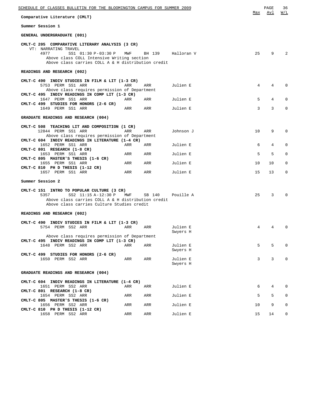| SCHEDULE OF CLASSES BULLETIN FOR THE BLOOMINGTON CAMPUS FOR SUMMER 2009                                                                                                                                    |     |        |                      | Max | PAGE<br>Avl | 36<br>W/L    |
|------------------------------------------------------------------------------------------------------------------------------------------------------------------------------------------------------------|-----|--------|----------------------|-----|-------------|--------------|
| Comparative Literature (CMLT)                                                                                                                                                                              |     |        |                      |     |             |              |
| Summer Session 1                                                                                                                                                                                           |     |        |                      |     |             |              |
| GENERAL UNDERGRADUATE (001)                                                                                                                                                                                |     |        |                      |     |             |              |
| CMLT-C 205 COMPARATIVE LITERARY ANALYSIS (3 CR)<br>VT: NARRATING TRAVEL<br>4977<br>SS1 01:30 P-03:30 P<br>Above class COLL Intensive Writing section<br>Above class carries COLL A & H distribution credit | MWF | BH 139 | Halloran V           | 25  | 9           | 2            |
| READINGS AND RESEARCH (002)                                                                                                                                                                                |     |        |                      |     |             |              |
| CMLT-C 490 INDIV STUDIES IN FILM & LIT (1-3 CR)<br>5753 PERM SS1 ARR<br>Above class requires permission of Department                                                                                      | ARR | ARR    | Julien E             | 4   | 4           | $\Omega$     |
| CMLT-C 495 INDIV READINGS IN COMP LIT (1-3 CR)<br>1647 PERM SS1 ARR                                                                                                                                        | ARR | ARR    | Julien E             | 5   | 4           | $\mathbf 0$  |
| CMLT-C 499 STUDIES FOR HONORS (2-6 CR)<br>1649 PERM SS1 ARR                                                                                                                                                | ARR | ARR    | Julien E             | 3   | 3           | $\mathbf 0$  |
| GRADUATE READINGS AND RESEARCH (004)                                                                                                                                                                       |     |        |                      |     |             |              |
| CMLT-C 508 TEACHING LIT AND COMPOSITION (1 CR)<br>12844 PERM SS1 ARR<br>Above class requires permission of Department                                                                                      | ARR | ARR    | Johnson J            | 10  | 9           | $\mathbf 0$  |
| CMLT-C 604 INDIV READINGS IN LITERATURE (1-4 CR)<br>1652 PERM SS1 ARR                                                                                                                                      | ARR | ARR    | Julien E             | 6   | 4           | $\mathbf 0$  |
| CMLT-C 801 RESEARCH (1-8 CR)<br>1653 PERM SS1 ARR<br>CMLT-C 805 MASTER'S THESIS (1-6 CR)                                                                                                                   | ARR | ARR    | Julien E             | 5   | 5           | $\mathbf 0$  |
| 1655 PERM SS1 ARR<br>CMLT-C 810 PH D THESIS (1-12 CR)                                                                                                                                                      | ARR | ARR    | Julien E             | 10  | 10          | 0            |
| 1657 PERM SS1 ARR                                                                                                                                                                                          | ARR | ARR    | Julien E             | 15  | 13          | $\mathbf 0$  |
| Summer Session 2                                                                                                                                                                                           |     |        |                      |     |             |              |
| CMLT-C 151 INTRO TO POPULAR CULTURE (3 CR)<br>5357<br>SS2 11:15 A-12:30 P<br>Above class carries COLL A & H distribution credit<br>Above class carries Culture Studies credit                              | MWF | SB 140 | Pouille A            | 25  | 3           | $\Omega$     |
| READINGS AND RESEARCH (002)                                                                                                                                                                                |     |        |                      |     |             |              |
| CMLT-C 490 INDIV STUDIES IN FILM & LIT (1-3 CR)<br>5754 PERM SS2 ARR                                                                                                                                       | ARR | ARR    | Julien E<br>Swyers H | 4   | 4           | 0            |
| Above class requires permission of Department<br>CMLT-C 495 INDIV READINGS IN COMP LIT (1-3 CR)                                                                                                            |     |        |                      |     |             |              |
| 1648 PERM SS2 ARR                                                                                                                                                                                          | ARR | ARR    | Julien E<br>Swyers H | 5   | 5           | $\mathbf 0$  |
| CMLT-C 499 STUDIES FOR HONORS (2-6 CR)<br>1650 PERM SS2 ARR                                                                                                                                                | ARR | ARR    | Julien E<br>Swyers H | 3   | 3           | $\mathbf{0}$ |
| GRADUATE READINGS AND RESEARCH (004)                                                                                                                                                                       |     |        |                      |     |             |              |
| CMLT-C 604 INDIV READINGS IN LITERATURE (1-4 CR)<br>1651 PERM SS2 ARR                                                                                                                                      | ARR | ARR    | Julien E             | 6   | 4           | $\Omega$     |
| CMLT-C 801 RESEARCH (1-8 CR)<br>1654 PERM SS2 ARR                                                                                                                                                          | ARR | ARR    | Julien E             | 5   | 5           | $\mathbf{0}$ |
| CMLT-C 805 MASTER'S THESIS (1-6 CR)<br>1656 PERM SS2 ARR<br>CMLT-C 810 PH D THESIS (1-12 CR)                                                                                                               | ARR | ARR    | Julien E             | 10  | 9           | $\mathbf 0$  |
| 1658 PERM SS2 ARR                                                                                                                                                                                          | ARR | ARR    | Julien E             | 15  | 14          | $\mathbf 0$  |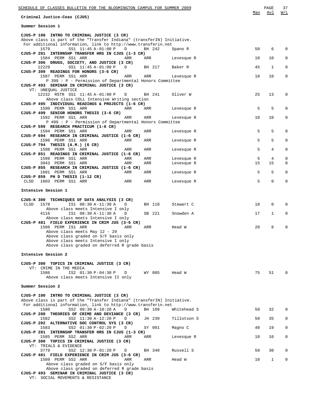| SCHEDULE OF CLASSES BULLETIN FOR THE BLOOMINGTON CAMPUS FOR SUMMER 2009<br>Criminal Justice-Coas (CJUS)                                                                                | Max    | PAGE<br>Avl   | 37<br>W/L    |
|----------------------------------------------------------------------------------------------------------------------------------------------------------------------------------------|--------|---------------|--------------|
|                                                                                                                                                                                        |        |               |              |
| Summer Session 1                                                                                                                                                                       |        |               |              |
| CJUS-P 100 INTRO TO CRIMINAL JUSTICE (3 CR)<br>Above class is part of the "Transfer Indiana" (transferIN) Initiative.<br>For additional information, link to http://www.transferin.net |        |               |              |
| 1579<br>SS1 11:45 A-01:00 P<br>D<br>BH 242<br>Spano R<br>CJUS-P 281 INTERNSHP TRANSFER HRS IN CJUS (1-3 CR)                                                                            | 50     | 6             | $\Omega$     |
| 1584 PERM SS1 ARR<br>ARR<br>ARR<br>Levesque R<br>CJUS-P 306 DRUGS, SOCIETY, AND JUSTICE (3 CR)                                                                                         | 10     | 10            | 0            |
| SS1 11:45 A-01:00 P<br>BH 217<br>12229<br>D<br>Baker R<br>CJUS-P 399 READINGS FOR HONORS (3-6 CR)                                                                                      | 45     | 1             | 0            |
| 1587 PERM SS1 ARR<br>ARR<br>ARR<br>Levesque R<br>P 399 : P - Permission of Departmental Honors Committee                                                                               | 10     | 10            | $\mathbf 0$  |
| CJUS-P 493 SEMINAR IN CRIMINAL JUSTICE (3 CR)<br>VT: UNEQUAL JUSTICE                                                                                                                   |        |               |              |
| 12232 RSTR SS1 11:45 A-01:00 P D<br>BH 241<br>Oliver W<br>Above class COLL Intensive Writing section                                                                                   | 25     | 13            | 0            |
| CJUS-P 495 INDIVIDUAL READINGS & PROJECTS (1-6 CR)<br>1590 PERM SS1 ARR<br>ARR<br>ARR<br>Levesque R                                                                                    | 5      | 5             | 0            |
| CJUS-P 499 SENIOR HONORS THESIS (3-6 CR)<br>1592 PERM SS1 ARR<br>ARR<br>ARR<br>Levesque R                                                                                              | 10     | 10            | 0            |
| P 499 : P - Permission of Departmental Honors Committee<br>CJUS-P 599 RESEARCH PRACTICUM (1-6 CR)                                                                                      |        |               |              |
| 1594 PERM SS1 ARR<br>ARR<br>ARR<br>Levesque R<br>CJUS-P 694 RESEARCH IN CRIMINAL JUSTICE (1-6 CR)                                                                                      | 5      | 5             | $\mathbf 0$  |
| 1596 PERM SS1 ARR<br>ARR<br>ARR<br>Levesque R<br>CJUS-P 794 THESIS (A.M.) (6 CR)                                                                                                       | 5      | 5             | 0            |
| 1598 PERM SS1 ARR<br>ARR<br>ARR<br>Levesque R                                                                                                                                          | 5      | 4             | $\mathbf 0$  |
| CJUS-P 851 READINGS IN CRIMINAL JUSTICE (1-6 CR)<br>1599 PERM SS1 ARR<br>ARR<br>ARR<br>Levesque R                                                                                      | 5      | 4             | $\mathbf 0$  |
| 3943 PERM SS1 ARR<br>ARR<br>ARR<br>Levesque R<br>CJUS-P 855 RESEARCH IN CRIMINAL JUSTICE (1-6 CR)                                                                                      | 15     | 15            | 0            |
| 1601 PERM SS1 ARR<br>ARR<br>ARR<br>Levesque R<br>CJUS-P 859 PH D THESIS (1-12 CR)                                                                                                      | 5<br>5 | 5<br>$\Omega$ | 0<br>0       |
| CLSD 1603 PERM SS1 ARR<br>ARR<br>ARR<br>Levesque R                                                                                                                                     |        |               |              |
| Intensive Session 1                                                                                                                                                                    |        |               |              |
| CJUS-K 300 TECHNIQUES OF DATA ANALYSIS (3 CR)<br>CLSD<br>1578<br>IS1 08:30 A-11:30 A<br>D<br>BH 118<br>Stewart C                                                                       | 18     | 0             | $\Omega$     |
| Above class meets Intensive I only<br>4116<br>IS1 08:30 A-11:30 A<br>SB 221<br>Snowden A<br>D                                                                                          | 17     | $\mathbf 1$   | 0            |
| Above class meets Intensive I only<br>CJUS-P 481 FIELD EXPERIENCE IN CRIM JUS (3-6 CR)                                                                                                 |        |               |              |
| 1588 PERM IS1 ARR<br>ARR<br>ARR<br>Head W<br>Above class meets May 12 - 29                                                                                                             | 20     | 8             | 0            |
| Above class graded on S/F basis only<br>Above class meets Intensive I only                                                                                                             |        |               |              |
| Above class graded on deferred R grade basis                                                                                                                                           |        |               |              |
| Intensive Session 2                                                                                                                                                                    |        |               |              |
| CJUS-P 300 TOPICS IN CRIMINAL JUSTICE (3 CR)                                                                                                                                           |        |               |              |
| VT: CRIME IN THE MEDIA<br>1586<br>IS2 01:30 P-04:30 P<br>WY 005<br>D<br>Head W                                                                                                         | 75     | 51            | <sup>0</sup> |
| Above class meets Intensive II only                                                                                                                                                    |        |               |              |
| Summer Session 2                                                                                                                                                                       |        |               |              |
| CJUS-P 100 INTRO TO CRIMINAL JUSTICE (3 CR)<br>Above class is part of the "Transfer Indiana" (transferIN) Initiative.                                                                  |        |               |              |
| For additional information, link to http://www.transferin.net<br>1580<br>SS2 09:30 A-10:20 A<br>BH 109<br>Whitehead S<br>D                                                             | 50     | 32            | 0            |
| CJUS-P 200 THEORIES OF CRIME AND DEVIANCE (3 CR)<br>SS2 11:30 A-12:20 P<br>1582<br>JH 239<br>Tillotson S<br>D                                                                          | 50     | 35            | 0            |
| CJUS-P 202 ALTERNATIVE SOC CONTROL SYS (3 CR)<br>SS2 01:30 P-02:20 P<br>1583<br>Magno C<br>D<br>SY 001                                                                                 | 40     | 19            | 0            |
| CJUS-P 281 INTERNSHP TRANSFER HRS IN CJUS (1-3 CR)<br>1585 PERM SS2 ARR<br>ARR<br>ARR<br>Levesque R                                                                                    | 10     | 10            | 0            |
| CJUS-P 300 TOPICS IN CRIMINAL JUSTICE (3 CR)<br>VT: TRIALS & EVIDENCE                                                                                                                  |        |               |              |
| 3779<br>SS2 12:30 P-01:20 P<br>BH 340<br>Russell S<br>D<br>CJUS-P 481 FIELD EXPERIENCE IN CRIM JUS (3-6 CR)                                                                            | 50     | 30            | $\Omega$     |
| 1589 PERM SS2 ARR<br>ARR<br>ARR<br>Head W                                                                                                                                              | 10     | 1             | $\mathbf 0$  |
| Above class graded on S/F basis only<br>Above class graded on deferred R grade basis<br>CJUS-P 493 SEMINAR IN CRIMINAL JUSTICE (3 CR)                                                  |        |               |              |

VT: SOCIAL MOVEMENTS & RESISTANCE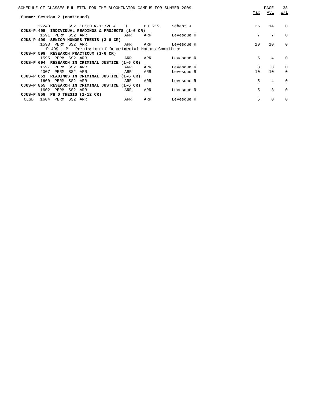|            |                                     |         | SCHEDULE OF CLASSES BULLETIN FOR THE BLOOMINGTON CAMPUS FOR SUMMER 2009 |                      |        |            | Max | PAGE<br>Avl | 38<br>W/L |
|------------|-------------------------------------|---------|-------------------------------------------------------------------------|----------------------|--------|------------|-----|-------------|-----------|
|            | Summer Session 2 (continued)        |         |                                                                         |                      |        |            |     |             |           |
|            | 12243                               |         | SS2 10:30 A-11:20 A D                                                   |                      | BH 219 | Schept J   | 25  | 14          | $\Omega$  |
| CJUS-P 495 |                                     |         | INDIVIDUAL READINGS & PROJECTS (1-6 CR)                                 |                      |        |            |     |             |           |
|            | 1591 PERM SS2 ARR                   |         |                                                                         | ARR                  | ARR    | Levesque R | 7   | 7           | $\Omega$  |
|            |                                     |         | CJUS-P 499 SENIOR HONORS THESIS (3-6 CR)                                |                      |        |            |     |             |           |
|            | 1593 PERM SS2 ARR                   |         |                                                                         | ARR                  | ARR    | Levesque R | 10  | 10          | $\Omega$  |
|            |                                     |         | P 499 : P - Permission of Departmental Honors Committee                 |                      |        |            |     |             |           |
|            |                                     |         | CJUS-P 599 RESEARCH PRACTICUM (1-6 CR)                                  |                      |        |            |     |             |           |
|            | 1595 PERM SS2 ARR                   |         |                                                                         | ARR                  | ARR    | Levesque R | 5   | 4           | $\Omega$  |
| CJUS-P 694 |                                     |         | RESEARCH IN CRIMINAL JUSTICE (1-6 CR)                                   |                      |        |            |     |             |           |
|            | PERM SS2<br>1597                    |         | ARR                                                                     | ARR                  | ARR    | Levesque R | 3   | 3           | $\Omega$  |
|            | 4007<br>PERM                        | SS2 ARR |                                                                         | ARR                  | ARR    | Levesque R | 10  | 10          | $\Omega$  |
|            |                                     |         | CJUS-P 851 READINGS IN CRIMINAL JUSTICE (1-6 CR)                        |                      |        |            |     |             |           |
|            | 1600<br>PERM SS2                    |         | ARR                                                                     | ARR                  | ARR    | Levesque R | 5   | 4           | $\Omega$  |
| CJUS-P 855 |                                     |         | RESEARCH IN CRIMINAL JUSTICE                                            | $(1-6 \, \text{CR})$ |        |            |     |             |           |
|            | 1602<br>PERM SS2                    |         | ARR                                                                     | ARR                  | ARR    | Levesque R | 5   | 3           | $\Omega$  |
|            | $CJUS-P$ 859 PH D THESIS $(1-12)CR$ |         |                                                                         |                      |        |            |     |             |           |
| CLSD       | 1604<br>PERM SS2                    |         | ARR                                                                     | ARR                  | ARR    | Levesque R | 5   | $\Omega$    | $\Omega$  |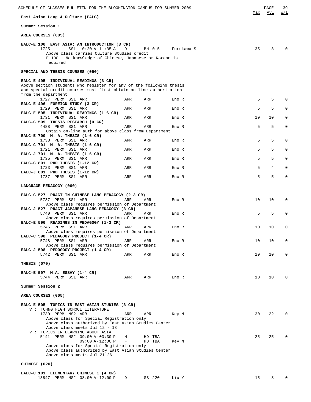| SCHEDULE OF CLASSES BULLETIN FOR THE BLOOMINGTON CAMPUS FOR SUMMER 2009                                                                                                                                   |        |                  |       |            | Max | PAGE<br>Avl | 39<br><u>W/L</u> |
|-----------------------------------------------------------------------------------------------------------------------------------------------------------------------------------------------------------|--------|------------------|-------|------------|-----|-------------|------------------|
| East Asian Lang & Culture (EALC)                                                                                                                                                                          |        |                  |       |            |     |             |                  |
| Summer Session 1                                                                                                                                                                                          |        |                  |       |            |     |             |                  |
| AREA COURSES (005)                                                                                                                                                                                        |        |                  |       |            |     |             |                  |
| EALC-E 100 EAST ASIA: AN INTRODUCTION (3 CR)<br>SS1 10:20 A-11:35 A<br>1725<br>Above class carries Culture Studies credit<br>E 100: No knowledge of Chinese, Japanese or Korean is<br>required            | D      | BH 015           |       | Furukawa S | 35  | 8           | $\Omega$         |
| SPECIAL AND THESIS COURSES (050)                                                                                                                                                                          |        |                  |       |            |     |             |                  |
| EALC-E 495 INDIVIDUAL READINGS (3 CR)<br>Above section students who register for any of the following thesis<br>and special credit courses must first obtain on-line authorization<br>from the department |        |                  |       |            |     |             |                  |
| 1727 PERM SS1 ARR<br>EALC-E 496 FOREIGN STUDY (3 CR)                                                                                                                                                      | ARR    | ARR              | Eno R |            | 5   | 5           | $\Omega$         |
| 1729 PERM SS1 ARR<br>EALC-E 595 INDIVIDUAL READINGS (1-6 CR)                                                                                                                                              | ARR    | ARR              | Eno R |            | 5   | 5           | $\mathbf 0$      |
| 1731 PERM SS1 ARR<br>EALC-G 599 THESIS RESEARCH (0 CR)                                                                                                                                                    | ARR    | ARR              | Eno R |            | 10  | 10          | 0                |
| 4488 PERM SS1 ARR<br>Obtain on-line auth for above class from Department                                                                                                                                  | ARR    | ARR              | Eno R |            | 5   | 5           | $\mathbf 0$      |
| EALC-E 700 M. A. THESIS (1-6 CR)                                                                                                                                                                          |        |                  |       |            | 5   | 5           | $\Omega$         |
| 1733 PERM SS1 ARR<br>EALC-C 701 M. A. THESIS (1-6 CR)                                                                                                                                                     | ARR    | ARR              | Eno R |            |     |             |                  |
| 1721 PERM SS1 ARR<br>EALC-J 701 M. A. THESIS (1-6 CR)                                                                                                                                                     | ARR    | ARR              | Eno R |            | 5   | 5           | 0                |
| 1735 PERM SS1 ARR<br>EALC-C 801 PHD THESIS (1-12 CR)                                                                                                                                                      | ARR    | ARR              | Eno R |            | 5   | 5           | $\mathbf 0$      |
| 1723 PERM SS1 ARR<br>EALC-J 801 PHD THESIS (1-12 CR)                                                                                                                                                      | ARR    | ARR              | Eno R |            | 5   | 4           | $\mathbf 0$      |
| 1737 PERM SS1 ARR                                                                                                                                                                                         | ARR    | ARR              | Eno R |            | 5   | 5           | $\mathbf 0$      |
| LANGUAGE PEDAGOGY (060)                                                                                                                                                                                   |        |                  |       |            |     |             |                  |
| EALC-C 527 PRACT IN CHINESE LANG PEDAGOGY (2-3 CR)<br>5737 PERM SS1 ARR<br>Above class requires permission of Department                                                                                  | ARR    | ARR              | Eno R |            | 10  | 10          | $\mathbf 0$      |
| EALC-J 527 PRACT JAPANESE LANG PEDAGOGY (3 CR)<br>5740 PERM SS1 ARR<br>Above class requires permission of Department                                                                                      | ARR    | ARR              | Eno R |            | 5   | 5           | $\mathbf 0$      |
| EALC-E 596 READINGS IN PEDAGOGY (1-3 CR)<br>5746 PERM SS1 ARR                                                                                                                                             | ARR    | ARR              | Eno R |            | 10  | 10          | 0                |
| Above class requires permission of Department<br>EALC-C 598 PEDAGOGY PROJECT (1-4 CR)                                                                                                                     |        |                  |       |            |     |             | 0                |
| 5748 PERM SS1 ARR<br>Above class requires permission of Department<br>EALC-J 598 PEDOGOGY PROJECT (1-4 CR)                                                                                                | ARR    | ARR              | Eno R |            | 10  | 10          |                  |
| 5742 PERM SS1 ARR                                                                                                                                                                                         | ARR    | ARR              | Eno R |            | 10  | 10          | 0                |
| THESIS (070)                                                                                                                                                                                              |        |                  |       |            |     |             |                  |
| EALC-E 597 M.A. ESSAY (1-4 CR)<br>5744 PERM SS1 ARR                                                                                                                                                       | ARR    | ARR              | Eno R |            | 10  | 10          | $\mathbf 0$      |
| Summer Session 2                                                                                                                                                                                          |        |                  |       |            |     |             |                  |
| AREA COURSES (005)                                                                                                                                                                                        |        |                  |       |            |     |             |                  |
| EALC-E 505 TOPICS IN EAST ASIAN STUDIES (3 CR)<br>VT: TCHNG HIGH SCHOOL LITERATURE<br>1730 PERM NS2 ARR                                                                                                   | ARR    | ARR              | Key M |            | 30  | 22          | 0                |
| Above class for Special Registration only<br>Above class authorized by East Asian Studies Center<br>Above class meets Jul 12 - 18                                                                         |        |                  |       |            |     |             |                  |
| VT: TOPICS IN LEARNING ABOUT ASIA<br>5141 PERM NS2 09:00 A-03:30 P<br>09:00 A-12:00 P                                                                                                                     | М<br>F | HD TBA<br>HD TBA | Key M |            | 25  | 25          | $\mathbf 0$      |
| Above class for Special Registration only<br>Above class authorized by East Asian Studies Center<br>Above class meets Jul 21-26                                                                           |        |                  |       |            |     |             |                  |
| CHINESE (020)                                                                                                                                                                                             |        |                  |       |            |     |             |                  |
| EALC-C 101 ELEMENTARY CHINESE 1 (4 CR)                                                                                                                                                                    |        |                  |       |            |     |             |                  |

13847 PERM NS2 08:00 A-12:00 P D SB 220 Liu Y 15 8 0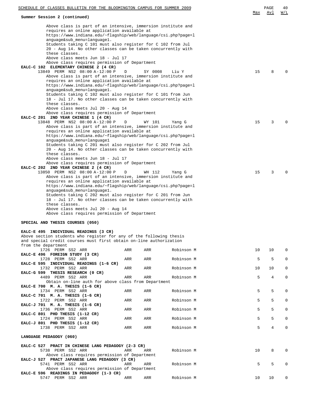| SCHEDULE OF CLASSES BULLETIN FOR THE BLOOMINGTON CAMPUS FOR SUMMER 2009                                                                                                                                                                                                                                                                 |     |         |            |     | PAGE | 40           |
|-----------------------------------------------------------------------------------------------------------------------------------------------------------------------------------------------------------------------------------------------------------------------------------------------------------------------------------------|-----|---------|------------|-----|------|--------------|
| Summer Session 2 (continued)                                                                                                                                                                                                                                                                                                            |     |         |            | Max | Avl  | W/L          |
| Above class is part of an intensive, immersion institute and<br>requires an online application available at<br>https://www.indiana.edu/~flagship/web/language/csi.php?page=1<br>anguage⊂_menu=language1.<br>Students taking C 101 must also register for C 102 from Jul<br>20 - Aug 14. No other classes can be taken concurrently with |     |         |            |     |      |              |
| these classes.                                                                                                                                                                                                                                                                                                                          |     |         |            |     |      |              |
| Above class meets Jun 18 - Jul 17<br>Above class requires permission of Department                                                                                                                                                                                                                                                      |     |         |            |     |      |              |
| EALC-C 102 ELEMENTARY CHINESE 2 (4 CR)                                                                                                                                                                                                                                                                                                  |     |         |            |     |      |              |
| 13849 PERM NS2 08:00 A-12:00 P<br>Above class is part of an intensive, immersion institute and                                                                                                                                                                                                                                          | D   | SY 0008 | Liu Y      | 15  | 8    |              |
| requires an online application available at                                                                                                                                                                                                                                                                                             |     |         |            |     |      |              |
| https://www.indiana.edu/~flagship/web/language/csi.php?page=1                                                                                                                                                                                                                                                                           |     |         |            |     |      |              |
| anguage⊂_menu=language1.<br>Students taking C 102 must also register for C 101 from Jun                                                                                                                                                                                                                                                 |     |         |            |     |      |              |
| 18 - Jul 17. No other classes can be taken concurrently with                                                                                                                                                                                                                                                                            |     |         |            |     |      |              |
| these classes.<br>Above class meets Jul 20 - Aug 14                                                                                                                                                                                                                                                                                     |     |         |            |     |      |              |
| Above class requires permission of Department                                                                                                                                                                                                                                                                                           |     |         |            |     |      |              |
| EALC-C 201 2ND YEAR CHINESE 1 (4 CR)<br>13848 PERM NS2 08:00 A-12:00 P                                                                                                                                                                                                                                                                  | D   | WY 101  | Yang G     | 15  | 3    | <sup>0</sup> |
| Above class is part of an intensive, immersion institute and                                                                                                                                                                                                                                                                            |     |         |            |     |      |              |
| requires an online application available at<br>https://www.indiana.edu/~flagship/web/language/csi.php?page=1                                                                                                                                                                                                                            |     |         |            |     |      |              |
| anguage⊂_menu=language1                                                                                                                                                                                                                                                                                                                 |     |         |            |     |      |              |
| Students taking C 201 must also register for C 202 from Jul<br>20 - Aug 14. No other classes can be taken concurrently with                                                                                                                                                                                                             |     |         |            |     |      |              |
| these classes.                                                                                                                                                                                                                                                                                                                          |     |         |            |     |      |              |
| Above class meets Jun 18 - Jul 17                                                                                                                                                                                                                                                                                                       |     |         |            |     |      |              |
| Above class requires permission of Department<br>EALC-C 202 2ND YEAR CHINESE 2 (4 CR)                                                                                                                                                                                                                                                   |     |         |            |     |      |              |
| 13850 PERM NS2 08:00 A-12:00 P                                                                                                                                                                                                                                                                                                          | D   | WH 112  | Yang G     | 15  | 3    |              |
| Above class is part of an intensive, immersion institute and<br>requires an online application available at                                                                                                                                                                                                                             |     |         |            |     |      |              |
| https://www.indiana.edu/~flagship/web/language/csi.php?page=1                                                                                                                                                                                                                                                                           |     |         |            |     |      |              |
| anguage⊂_menu=language1.<br>Students taking C 202 must also register for C 201 from Jun<br>18 - Jul 17. No other classes can be taken concurrently with<br>these classes.                                                                                                                                                               |     |         |            |     |      |              |
| Above class meets Jul 20 - Aug 14<br>Above class requires permission of Department                                                                                                                                                                                                                                                      |     |         |            |     |      |              |
|                                                                                                                                                                                                                                                                                                                                         |     |         |            |     |      |              |
| SPECIAL AND THESIS COURSES (050)                                                                                                                                                                                                                                                                                                        |     |         |            |     |      |              |
| EALC-E 495 INDIVIDUAL READINGS (3 CR)                                                                                                                                                                                                                                                                                                   |     |         |            |     |      |              |
| Above section students who register for any of the following thesis<br>and special credit courses must first obtain on-line authorization                                                                                                                                                                                               |     |         |            |     |      |              |
| from the department                                                                                                                                                                                                                                                                                                                     |     |         |            |     |      |              |
| 1726 PERM SS2 ARR<br>EALC-E 496 FOREIGN STUDY (3 CR)                                                                                                                                                                                                                                                                                    | ARR | ARR     | Robinson M | 10  | 10   | 0            |
| 1728 PERM SS2 ARR                                                                                                                                                                                                                                                                                                                       | ARR | ARR     | Robinson M | 5   | 5    | 0            |
| EALC-E 595 INDIVIDUAL READINGS (1-6 CR)<br>1732 PERM SS2 ARR                                                                                                                                                                                                                                                                            | ARR | ARR     | Robinson M | 10  | 10   | 0            |
| EALC-G 599 THESIS RESEARCH (0 CR)                                                                                                                                                                                                                                                                                                       |     |         |            |     |      |              |
| 4489 PERM SS2 ARR<br>Obtain on-line auth for above class from Department                                                                                                                                                                                                                                                                | ARR | ARR     | Robinson M | 5   | 4    | 0            |
| EALC-E 700 M. A. THESIS (1-6 CR)                                                                                                                                                                                                                                                                                                        |     |         |            |     |      |              |
| 1734 PERM SS2 ARR                                                                                                                                                                                                                                                                                                                       | ARR | ARR     | Robinson M | 5   | 5    | 0            |
| EALC-C 701 M. A. THESIS (1-6 CR)<br>1722 PERM SS2 ARR                                                                                                                                                                                                                                                                                   | ARR | ARR     | Robinson M | 5   | 5    | 0            |
| EALC-J 701 M. A. THESIS (1-6 CR)                                                                                                                                                                                                                                                                                                        |     |         |            |     |      |              |
| 1736 PERM SS2 ARR<br>EALC-C 801 PHD THESIS (1-12 CR)                                                                                                                                                                                                                                                                                    | ARR | ARR     | Robinson M | 5   | 5    | 0            |
| 1724 PERM SS2 ARR                                                                                                                                                                                                                                                                                                                       | ARR | ARR     | Robinson M | 5   | 5    | $\mathbf{0}$ |
| EALC-J 801 PHD THESIS (1-12 CR)<br>1738 PERM SS2 ARR                                                                                                                                                                                                                                                                                    | ARR | ARR     | Robinson M | 5   | 4    | 0            |
|                                                                                                                                                                                                                                                                                                                                         |     |         |            |     |      |              |
| LANGUAGE PEDAGOGY (060)                                                                                                                                                                                                                                                                                                                 |     |         |            |     |      |              |
| EALC-C 527 PRACT IN CHINESE LANG PEDAGOGY (2-3 CR)                                                                                                                                                                                                                                                                                      |     |         |            |     |      |              |
| 5738 PERM SS2 ARR<br>Above class requires permission of Department                                                                                                                                                                                                                                                                      | ARR | ARR     | Robinson M | 10  | 8    | 0            |
| EALC-J 527 PRACT JAPANESE LANG PEDAGOGY (3 CR)                                                                                                                                                                                                                                                                                          |     |         |            |     |      |              |
| 5741 PERM SS2 ARR<br>Above class requires permission of Department                                                                                                                                                                                                                                                                      | ARR | ARR     | Robinson M | 5   | 5    | 0            |
| EALC-E 596 READINGS IN PEDAGOGY (1-3 CR)                                                                                                                                                                                                                                                                                                |     |         |            |     |      |              |
| 5747 PERM SS2 ARR                                                                                                                                                                                                                                                                                                                       | ARR | ARR     | Robinson M | 10  | 10   | 0            |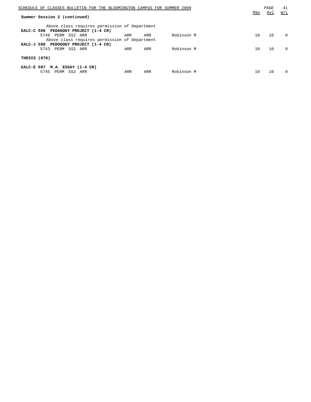| SCHEDULE OF CLASSES BULLETIN FOR THE BLOOMINGTON CAMPUS FOR SUMMER 2009 |     |     |            |     | PAGE | 41       |
|-------------------------------------------------------------------------|-----|-----|------------|-----|------|----------|
| Summer Session 2 (continued)                                            |     |     |            | Max | Avl  | W/L      |
| Above class requires permission of Department                           |     |     |            |     |      |          |
| EALC-C 598 PEDAGOGY PROJECT (1-4 CR)                                    |     |     |            |     |      |          |
| 5749 PERM SS2 ARR                                                       | ARR | ARR | Robinson M | 10  | 10   | $\Omega$ |
| Above class requires permission of Department                           |     |     |            |     |      |          |
| EALC-J 598 PEDOGOGY PROJECT (1-4 CR)                                    |     |     |            |     |      |          |
| 5743<br>PERM SS2 ARR                                                    | ARR | ARR | Robinson M | 10  | 10   | $\Omega$ |
|                                                                         |     |     |            |     |      |          |
| THESIS (070)                                                            |     |     |            |     |      |          |
| EALC-E 597 $M.A. ESSAY (1-4 CR)$                                        |     |     |            |     |      |          |
| PERM SS2 ARR<br>5745                                                    | ARR | ARR | Robinson M | 10  | 10   | $\Omega$ |
|                                                                         |     |     |            |     |      |          |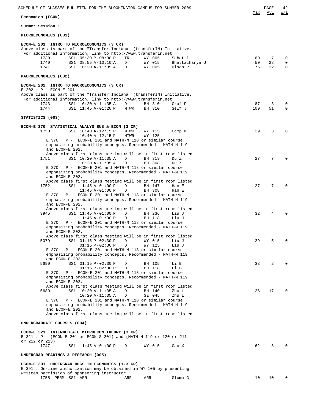| SCHEDULE OF CLASSES BULLETIN FOR THE BLOOMINGTON CAMPUS FOR SUMMER 2009                                                                                                                                                                                                                                                                                                      |                | PAGE          | 42                    |
|------------------------------------------------------------------------------------------------------------------------------------------------------------------------------------------------------------------------------------------------------------------------------------------------------------------------------------------------------------------------------|----------------|---------------|-----------------------|
| Economics (ECON)                                                                                                                                                                                                                                                                                                                                                             | Max            | Avl           | <u>W/L</u>            |
| Summer Session 1                                                                                                                                                                                                                                                                                                                                                             |                |               |                       |
| MICROECONOMICS (001)                                                                                                                                                                                                                                                                                                                                                         |                |               |                       |
| ECON-E 201 INTRO TO MICROECONOMICS (3 CR)<br>Above class is part of the "Transfer Indiana" (transferIN) Initiative.<br>For additional information, link to http://www.transferin.net<br>SS1 05:30 P-08:30 P<br>TR<br>Sabetti L<br>1739<br>WY 005<br>WY 015<br>1740<br>SS1 08:55 A-10:10 A<br>D<br>Bhattacharya U<br>1741<br>SS1 10:20 A-11:35 A<br>WY 005<br>Olson P<br>D    | 60<br>50<br>75 | 7<br>28<br>22 | $\mathbf 0$<br>0<br>0 |
| MACROECONOMICS (002)                                                                                                                                                                                                                                                                                                                                                         |                |               |                       |
| ECON-E 202 INTRO TO MACROECONOMICS (3 CR)<br>E 202 : P - ECON-E 201<br>Above class is part of the "Transfer Indiana" (transferIN) Initiative.<br>For additional information, link to http://www.transferin.net<br>1743<br>SS1 10:20 A-11:35 A<br>Graf P<br>D<br>BH 310<br>1744<br>SS1 11:45 A-01:20 P<br>BH 310<br>Self J<br>MTWR                                            | 87<br>100      | 3<br>51       | $\mathbf 0$<br>0      |
| STATISTICS (003)                                                                                                                                                                                                                                                                                                                                                             |                |               |                       |
| ECON-E 370 STATISTICAL ANALYS BUS & ECON (3 CR)<br>1750<br>SS1 10:40 A-12:15 P<br><b>MTWR</b><br>WY 115<br>Camp M<br>$10:40 A-12:15 P$<br><b>MTWR</b><br>WY 125<br>E 370 : P - ECON-E 201 and MATH-M 118 or similar course<br>emphasizing probability concepts. Recommended - MATH-M 119<br>and ECON-E 202.                                                                  | 29             | 3             | $\Omega$              |
| Above class first class meeting will be in first room listed<br>1751<br>SS1 10:20 A-11:35 A<br>BH 319<br>D<br>Du Z<br>$10:20 A-11:35 A$<br>D<br>BH 308<br>Du Z<br>E 370 : P - ECON-E 201 and MATH-M 118 or similar course<br>emphasizing probability concepts. Recommended - MATH-M 119                                                                                      | 27             | 7             | $\Omega$              |
| and ECON-E 202.<br>Above class first class meeting will be in first room listed<br>1752<br>SS1 11:45 A-01:00 P<br>BH 147<br>D<br>Han E<br>$11:45 A-01:00 P$<br>BH 308<br>Han E<br>D<br>E 370 : P - ECON-E 201 and MATH-M 118 or similar course<br>emphasizing probability concepts. Recommended - MATH-M 119                                                                 | 27             | 7             | $\Omega$              |
| and ECON-E 202.<br>Above class first class meeting will be in first room listed<br>SS1 11:45 A-01:00 P<br>BH 236<br>Liu J<br>3945<br>D<br>$11:45 A-01:00 P$<br>BH 118<br>D<br>Liu J<br>E 370 : P - ECON-E 201 and MATH-M 118 or similar course<br>emphasizing probability concepts. Recommended - MATH-M 119                                                                 | 32             | 4             | <sup>0</sup>          |
| and ECON-E 202.<br>Above class first class meeting will be in first room listed<br>5079<br>SS1 01:15 P-02:30 P<br>WY 015<br>D<br>Liu J<br>$01:15 P-02:30 P$<br>WY 125<br>Liu J<br>D<br>E 370 : P - ECON-E 201 and MATH-M 118 or similar course<br>emphasizing probability concepts. Recommended - MATH-M 119                                                                 | 29             | 5             | $\Omega$              |
| and ECON-E 202.<br>5690<br>SS1 01:15 P-02:30 P<br>BH 105<br>D<br>Li B<br>$01:15 P-02:30 P$<br>BH 118<br>Li B<br>D<br>E 370 : P - ECON-E 201 and MATH-M 118 or similar course<br>emphasizing probability concepts. Recommended - MATH-M 119<br>and ECON-E 202.                                                                                                                | 33             | 2             | $\Omega$              |
| Above class first class meeting will be in first room listed<br>5689<br>SS1 10:20 A-11:35 A<br>BH 140<br>Zhu L<br>D<br>$10:20 A-11:35 A$<br>D<br>SE 045<br>Zhu L<br>E 370 : P - ECON-E 201 and MATH-M 118 or similar course<br>emphasizing probability concepts. Recommended - MATH-M 119<br>and ECON-E 202.<br>Above class first class meeting will be in first room listed | 26             | 17            | $\Omega$              |
| UNDERGRADUATE COURSES (004)                                                                                                                                                                                                                                                                                                                                                  |                |               |                       |
| ECON-E 321 INTERMEDIATE MICROECON THEORY (3 CR)<br>E 321 : P - (ECON-E 201 or ECON-S 201) and (MATH-M 119 or 120 or 211<br>or 212 or 213)                                                                                                                                                                                                                                    |                |               |                       |
| 1747<br>SS1 11:45 A-01:00 P<br>Gao X<br>D<br>WY 015                                                                                                                                                                                                                                                                                                                          | 62             | 8             |                       |
| UNDERGRAD READINGS & RESEARCH (005)                                                                                                                                                                                                                                                                                                                                          |                |               |                       |
| ECON-E 391 UNDERGRAD RDGS IN ECONOMICS (1-3 CR)<br>E 391 : On-line authorization may be obtained in WY 105 by presenting                                                                                                                                                                                                                                                     |                |               |                       |
| written permission of sponsoring instructor<br>1755 PERM SS1 ARR<br>Glomm G<br>ARR<br>ARR                                                                                                                                                                                                                                                                                    | 10             | 10            | 0                     |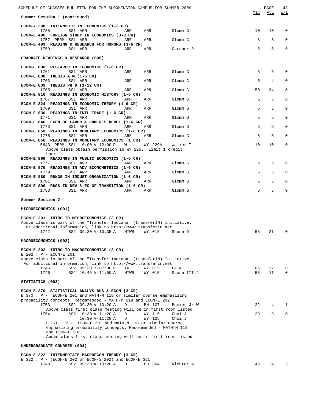| <u>SCHEDULE OF CLASSES BULLETIN FOR THE BLOOMINGTON CAMPUS FOR SUMMER 2009</u><br>Summer Session 1 (continued)                          | Max      | PAGE<br><u>Avl</u> | 43<br>W/L    |
|-----------------------------------------------------------------------------------------------------------------------------------------|----------|--------------------|--------------|
|                                                                                                                                         |          |                    |              |
| ECON-Y 398 INTERNSHIP IN ECONOMICS (1-3 CR)<br>1785<br>SS1 ARR<br>ARR<br>Glomm G<br>ARR                                                 | 10       | 10                 | 0            |
| ECON-E 496 FOREIGN STUDY IN ECONOMICS (3-8 CR)<br>1757 PERM SS1 ARR<br>ARR<br>Glomm G<br>ARR                                            | 3        | 3                  | 0            |
| ECON-E 499 READING & RESEARCH FOR HONORS (3-6 CR)<br>1759<br>SS1 ARR<br>ARR<br>ARR<br>Gardner R                                         | 5        | 5                  | $\mathbf 0$  |
| GRADUATE READINGS & RESEARCH (006)                                                                                                      |          |                    |              |
| ECON-E 800 RESEARCH IN ECONOMICS (1-6 CR)                                                                                               |          |                    |              |
| 1761<br>SS1 ARR<br>ARR<br>Glomm G<br>ARR<br>ECON-E 808 THESIS A M $(1-6$ CR)                                                            | 5        | 5                  | $\mathbf 0$  |
| 1763<br>SS1 ARR<br>ARR<br>Glomm G<br>ARR<br>ECON-E 809 THESIS PH D (1-12 CR)                                                            | 5        | 4                  | 0            |
| 1765<br>SS1 ARR<br>ARR<br>ARR<br>Glomm G<br>ECON-E 810 READINGS IN ECONOMIC HISTORY (1-6 CR)                                            | 50       | 34                 | 0            |
| 1767<br>SS1 ARR<br>ARR<br>Glomm G<br>ARR<br>ECON-E 824 READINGS IN ECONOMIC THEORY (1-6 CR)                                             | 5        | 5                  | $\mathbf 0$  |
| 1769<br>SS1 ARR<br>Glomm G<br>ARR<br>ARR                                                                                                | 5        | 5                  | $\mathbf 0$  |
| ECON-E 830 READINGS IN INTL TRADE (1-6 CR)<br>1771<br>SS1 ARR<br>Glomm G<br>ARR<br>ARR                                                  | 5        | 5                  | $\mathbf 0$  |
| ECON-E 840 ECON OF LABOR & HUM RES DEVEL (1-6 CR)<br>1773<br>SS1 ARR<br>ARR<br>Glomm G<br>ARR                                           | 5        | 5                  | $\mathbf 0$  |
| ECON-E 850 READINGS IN MONETARY ECONOMICS (1-6 CR)<br>SS1 ARR<br>1775<br>ARR<br>Glomm G<br>ARR                                          | 5        | 5                  | $\mathbf 0$  |
| ECON-E 850 READINGS IN MONETARY ECONOMICS (1 CR)<br>5643 PERM SS1 10:00 A-12:00 P<br>WY 229A<br>W<br>Walker T                           | 10       | 10                 | 0            |
| Above class obtain permission in WY 225. Limit 1 credit                                                                                 |          |                    |              |
| hour.<br>ECON-E 860 READINGS IN PUBLIC ECONOMICS (1-6 CR)                                                                               |          |                    |              |
| 1777<br>SS1 ARR<br>ARR<br>ARR<br>Glomm G<br>ECON-E 870 READINGS IN ADV ECONOMETRICS (1-6 CR)                                            | 5        | 5                  | 0            |
| 1779<br>SS1 ARR<br>ARR<br>ARR<br>Glomm G<br>ECON-E 880 RDNGS IN INDUST ORGANIZATION (1-6 CR)                                            | 5        | 5                  | 0            |
| 1781<br>SS1 ARR<br>Glomm G<br>ARR<br>ARR<br>ECON-E 890 RDGS IN DEV & EC OF TRANSITION (1-6 CR)                                          | 5        | 5                  | 0            |
| 1783<br>SS1 ARR<br>ARR<br>Glomm G<br>ARR                                                                                                | 5        | 5                  | 0            |
| Summer Session 2                                                                                                                        |          |                    |              |
| MICROECONOMICS (001)                                                                                                                    |          |                    |              |
| ECON-E 201 INTRO TO MICROECONOMICS (3 CR)<br>Above class is part of the "Transfer Indiana" (transferIN) Initiative.                     |          |                    |              |
| For additional information, link to http://www.transferin.net                                                                           |          |                    |              |
| 1742<br>SS2 09:30 A-10:35 A<br>WY 015<br>MTWR<br>Shane D                                                                                | 55       | 21                 | 0            |
| MACROECONOMICS (002)                                                                                                                    |          |                    |              |
| ECON-E 202 INTRO TO MACROECONOMICS (3 CR)<br>E 202 : P - ECON-E 201                                                                     |          |                    |              |
| Above class is part of the "Transfer Indiana" (transferIN) Initiative.<br>For additional information, link to http://www.transferin.net |          |                    |              |
| 1745<br>SS2 05:30 P-07:30 P<br>TR<br>WY 015<br>Le N<br>1746<br>SS2 10:45 A-11:50 A<br>MTWR<br>WY 015<br>Stone III J                     | 66<br>58 | 22<br>11           | 0<br>0       |
| STATISTICS (003)                                                                                                                        |          |                    |              |
|                                                                                                                                         |          |                    |              |
| ECON-E 370 STATISTICAL ANALYS BUS & ECON (3 CR)<br>E 370 : P - ECON-E 201 and MATH-M 118 or similar course emphasizing                  |          |                    |              |
| probability concepts. Recommended - MATH-M 119 and ECON-E 202.<br>1753<br>SS2 09:30 A-10:20 A<br>D<br>BH 107<br>Becker Jr W             | 22       | 4                  | $\mathbf{1}$ |
| Above class first class meeting will be in first room listed<br>1754<br>SS2 10:30 A-11:20 A<br>D<br>WY 115<br>Choi J                    | 29       | 9                  | $\mathbf 0$  |
| WY 125<br>$10:30 A-11:20 A$<br>Choi J<br>D<br>E 370 : P - ECON-E 201 and MATH-M 118 or similar course                                   |          |                    |              |
| emphasizing probability concepts. Recommended - MATH-M 119                                                                              |          |                    |              |
| and ECON-E 202.<br>Above class first class meeting will be in first room listed                                                         |          |                    |              |
| UNDERGRADUATE COURSES (004)                                                                                                             |          |                    |              |
| ECON-E 322 INTERMEDIATE MACROECON THEORY (3 CR)                                                                                         |          |                    |              |
| E 322 : P - (ECON-E 202 or ECON-S 202) and ECON-E 321<br>1748<br>SS2 09:30 A-10:20 A<br>BH 304<br>Richter A<br>D                        | 45       | $\overline{4}$     |              |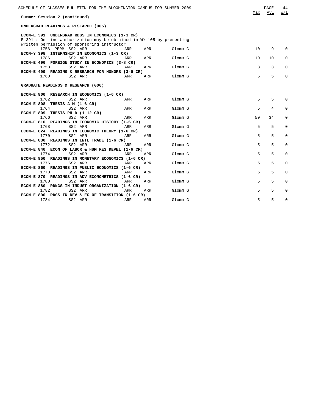| SCHEDULE OF CLASSES BULLETIN FOR THE BLOOMINGTON CAMPUS FOR SUMMER 2009 |            |     |         | Max | PAGE<br>Avl | 44<br>W/L   |
|-------------------------------------------------------------------------|------------|-----|---------|-----|-------------|-------------|
| Summer Session 2 (continued)                                            |            |     |         |     |             |             |
| UNDERGRAD READINGS & RESEARCH (005)                                     |            |     |         |     |             |             |
| ECON-E 391 UNDERGRAD RDGS IN ECONOMICS (1-3 CR)                         |            |     |         |     |             |             |
| E 391 : On-line authorization may be obtained in WY 105 by presenting   |            |     |         |     |             |             |
| written permission of sponsoring instructor                             |            |     |         |     |             |             |
| 1756 PERM SS2 ARR                                                       | ARR        | ARR | Glomm G | 10  | 9           | $\Omega$    |
| ECON-Y 398 INTERNSHIP IN ECONOMICS (1-3 CR)                             |            |     |         |     |             |             |
| 1786<br>SS2 ARR                                                         | ARR        | ARR | Glomm G | 10  | 10          | $\Omega$    |
| ECON-E 496 FOREIGN STUDY IN ECONOMICS (3-8 CR)                          |            |     |         |     |             |             |
| SS2 ARR<br>1758                                                         | <b>ARR</b> | ARR | Glomm G | 3   | 3           | $\Omega$    |
| ECON-E 499 READING & RESEARCH FOR HONORS (3-6 CR)                       |            |     |         |     |             |             |
| 1760<br>SS2 ARR                                                         | ARR        | ARR | Glomm G | 5   | 5           | $\Omega$    |
|                                                                         |            |     |         |     |             |             |
| GRADUATE READINGS & RESEARCH (006)                                      |            |     |         |     |             |             |
|                                                                         |            |     |         |     |             |             |
| ECON-E 800 RESEARCH IN ECONOMICS (1-6 CR)                               |            |     |         |     |             |             |
| 1762<br>SS2 ARR                                                         | ARR        | ARR | Glomm G | 5   | 5           | $\Omega$    |
| ECON-E 808 THESIS A M $(1-6$ CR)                                        |            |     |         |     |             |             |
| 1764<br>SS2 ARR                                                         | ARR        | ARR | Glomm G | 5   | 4           | $\Omega$    |
| ECON-E 809 THESIS PH D (1-12 CR)                                        |            |     |         |     |             |             |
| 1766<br>SS2 ARR                                                         | ARR        | ARR | Glomm G | 50  | 34          | $\Omega$    |
| ECON-E 810 READINGS IN ECONOMIC HISTORY (1-6 CR)                        |            |     |         |     |             |             |
| 1768<br>SS2 ARR                                                         | ARR        | ARR | Glomm G | 5   | 5           | $\Omega$    |
| ECON-E 824 READINGS IN ECONOMIC THEORY (1-6 CR)                         |            |     |         |     |             |             |
| 1770<br>SS2 ARR                                                         | ARR        | ARR | Glomm G | 5   | 5           | 0           |
| ECON-E 830 READINGS IN INTL TRADE (1-6 CR)                              |            |     |         |     |             |             |
| 1772<br>SS2 ARR                                                         | ARR        | ARR | Glomm G | 5   | 5           | 0           |
| ECON-E 840 ECON OF LABOR & HUM RES DEVEL (1-6 CR)                       |            |     |         |     |             |             |
| 1774<br>SS2 ARR                                                         | ARR        | ARR | Glomm G | 5   | 5           | $\Omega$    |
| ECON-E 850 READINGS IN MONETARY ECONOMICS (1-6 CR)                      |            |     |         |     |             |             |
| 1776<br>SS2 ARR                                                         | ARR        | ARR | Glomm G | 5   | 5           | 0           |
| ECON-E 860 READINGS IN PUBLIC ECONOMICS (1-6 CR)                        |            |     |         |     |             |             |
| 1778<br>SS2 ARR                                                         | ARR        | ARR | Glomm G | 5   | 5           | $\mathbf 0$ |
|                                                                         |            |     |         |     |             |             |
| ECON-E 870 READINGS IN ADV ECONOMETRICS (1-6 CR)                        |            |     |         |     |             |             |
| 1780<br>SS2 ARR                                                         | ARR        | ARR | Glomm G | 5   | 5           | $\Omega$    |
| ECON-E 880 RDNGS IN INDUST ORGANIZATION (1-6 CR)                        |            |     |         |     |             |             |
| 1782<br>SS2 ARR                                                         | ARR        | ARR | Glomm G | 5   | 5           | 0           |
| ECON-E 890 RDGS IN DEV & EC OF TRANSITION (1-6 CR)                      |            |     |         |     |             |             |
| 1784<br>SS2 ARR                                                         | ARR        | ARR | Glomm G | 5   | 5           | 0           |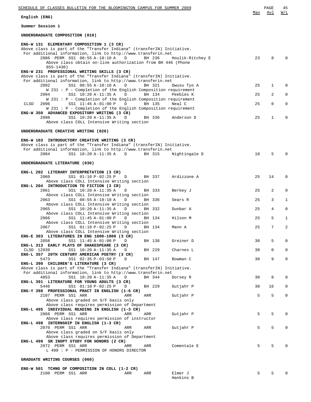| SCHEDULE OF CLASSES BULLETIN FOR THE BLOOMINGTON CAMPUS FOR SUMMER 2009                                                              |     | PAGE<br>Avl    | 45<br>W/L    |
|--------------------------------------------------------------------------------------------------------------------------------------|-----|----------------|--------------|
| English (ENG)                                                                                                                        | Max |                |              |
| Summer Session 1                                                                                                                     |     |                |              |
| UNDERGRADUATE COMPOSITION (010)                                                                                                      |     |                |              |
| ENG-W 131 ELEMENTARY COMPOSITION 1 (3 CR)                                                                                            |     |                |              |
| Above class is part of the "Transfer Indiana" (transferIN) Initiative.                                                               |     |                |              |
| For additional information, link to http://www.transferin.net<br>2086 PERM SS1 08:55 A-10:10 A<br>D<br>BH 236<br>Houlik-Ritchey E    | 23  | 8              | $\Omega$     |
| Above class obtain on-line authorization from BH 446 (Phone                                                                          |     |                |              |
| $855 - 1430)$<br>ENG-W 231 PROFESSIONAL WRITING SKILLS (3 CR)                                                                        |     |                |              |
| Above class is part of the "Transfer Indiana" (transferIN) Initiative.                                                               |     |                |              |
| For additional information, link to http://www.transferin.net                                                                        |     |                |              |
| SS1 08:55 A-10:10 A<br>2092<br>BH 321<br>D<br>Owusu Tyo A<br>W 231 : P - Completion of the English Composition requirement           | 25  | $\mathbf 1$    | $\Omega$     |
| SS1 10:20 A-11:35 A<br>2094<br>BH 134<br>Peebles K<br>D                                                                              | 25  | 2              | $\mathbf{0}$ |
| W 231 : P - Completion of the English Composition requirement                                                                        |     |                |              |
| SS1 11:45 A-01:00 P<br><b>CLSD</b><br>2096<br>D<br>BH 135<br>Neal C<br>W 231 : P - Completion of the English Composition requirement | 25  | $\mathbf 0$    | $\mathbf 0$  |
| ENG-W 350 ADVANCED EXPOSITORY WRITING (3 CR)                                                                                         |     |                |              |
| 2098<br>SS1 10:20 A-11:35 A<br>BH 336<br>D<br>Anderson D                                                                             | 25  | $\mathbf{1}$   | $\mathbf 0$  |
| Above class COLL Intensive Writing section                                                                                           |     |                |              |
| UNDERGRADUATE CREATIVE WRITING (020)                                                                                                 |     |                |              |
| ENG-W 103 INTRODUCTORY CREATIVE WRITING (3 CR)                                                                                       |     |                |              |
| Above class is part of the "Transfer Indiana" (transferIN) Initiative.                                                               |     |                |              |
| For additional information, link to http://www.transferin.net                                                                        |     |                |              |
| SS1 10:20 A-11:35 A D<br>2084<br>BH 315<br>Nightingale D                                                                             | 18  | 5              | $\Omega$     |
| UNDERGRADUATE LITERATURE (030)                                                                                                       |     |                |              |
| ENG-L 202 LITERARY INTERPRETATION (3 CR)                                                                                             |     |                |              |
| 2060<br>SS1 01:10 P-02:25 P<br>Ardizzone A<br>D<br>BH 337                                                                            | 25  | 14             | $\mathbf 0$  |
| Above class COLL Intensive Writing section                                                                                           |     |                |              |
| ENG-L 204 INTRODUCTION TO FICTION (3 CR)<br>SS1 10:20 A-11:35 A<br>2061<br>BH 333<br>Berkey J<br>D                                   | 25  | 2              | $\mathbf 0$  |
| Above class COLL Intensive Writing section                                                                                           |     |                |              |
| SS1 08:55 A-10:10 A<br>2063<br>BH 336<br>D<br>Sears R                                                                                | 25  | 3              | $\mathbf{1}$ |
| Above class COLL Intensive Writing section<br>SS1 10:20 A-11:35 A<br>2065<br>BH 332<br>D<br>Dunbar A                                 | 25  | $\overline{4}$ | $\mathbf 0$  |
| Above class COLL Intensive Writing section                                                                                           |     |                |              |
| SS1 11:45 A-01:00 P<br>2066<br>BH 134<br>Hilson M<br>D                                                                               | 25  | 5              | 1            |
| Above class COLL Intensive Writing section<br>SS1 01:10 P-02:25 P<br>2067<br>BH 134<br>D<br>Mann A                                   | 25  | $7^{\circ}$    | 2            |
| Above class COLL Intensive Writing section                                                                                           |     |                |              |
| ENG-E 303 LITERATURES IN ENG 1800-1900 (3 CR)<br>2058<br>SS1 11:45 A-01:00 P<br>BH 138<br>D                                          | 30  | 5              | $\mathbf 0$  |
| Greiner D<br>ENG-L 313 EARLY PLAYS OF SHAKESPEARE (3 CR)                                                                             |     |                |              |
| CLSD 12039<br>SS1 10:20 A-11:35 A<br>BH 229<br>Charnes L<br>D                                                                        | 30  | $\mathbf 0$    | $\mathbf 0$  |
| ENG-L 357 20TH CENTURY AMERICAN POETRY (3 CR)<br>5473<br>SS1 02:35 P-03:50 P<br>BH 147<br>Bowman C<br>D                              | 30  | 9              | $\mathbf 0$  |
| ENG-L 390 CHILDREN'S LITERATURE (3 CR)                                                                                               |     |                |              |
| Above class is part of the "Transfer Indiana" (transferIN) Initiative.                                                               |     |                |              |
| For additional information, link to http://www.transferin.net<br>4853<br>SS1 10:20 A-11:35 A<br>BH 344<br>Dorsey R<br>D              | 30  | 8              | $\mathbf 0$  |
| ENG-L 391 LITERATURE FOR YOUNG ADULTS (3 CR)                                                                                         |     |                |              |
| 5446<br>SS1 01:10 P-02:25 P<br>BH 229<br>Gutjahr P<br>D                                                                              | 30  | 16             | $\mathbf 0$  |
| ENG-Y 398 PROFESSIONAL PRACT IN ENGLISH (1-6 CR)<br>2107 PERM SS1 ARR<br>Gutjahr P<br>ARR<br>ARR                                     | 5   | 5              | $\mathbf 0$  |
| Above class graded on S/F basis only                                                                                                 |     |                |              |
| Above class requires permission of Department<br>ENG-L 495 INDIVIDUAL READING IN ENGLISH (1-3 CR)                                    |     |                |              |
| 2068 PERM SS1 ARR<br>ARR<br>Gutjahr P<br>ARR                                                                                         | 5   | 5              | $\mathbf 0$  |
| Above class requires permission of instructor                                                                                        |     |                |              |
| ENG-L 498 INTERNSHIP IN ENGLISH (1-3 CR)<br>2070 PERM SS1 ARR                                                                        | 5   | 5              | $\mathbf 0$  |
| Gutjahr P<br>ARR<br>ARR<br>Above class graded on S/F basis only                                                                      |     |                |              |
| Above class requires permission of Department                                                                                        |     |                |              |
| ENG-L 499 SR INDPT STUDY FOR HONORS (2 CR)<br>2072 PERM SS1 ARR<br>Comentale E<br>ARR<br>ARR                                         | 5   | 5              | $\mathbf 0$  |
| L 499 : P - PERMISSION OF HONORS DIRECTOR                                                                                            |     |                |              |
|                                                                                                                                      |     |                |              |
| GRADUATE WRITING COURSES (060)                                                                                                       |     |                |              |
| ENG-W 501 TCHNG OF COMPOSITION IN COLL (1-2 CR)                                                                                      |     |                |              |
| 2100 PERM SS1 ARR<br>Elmer J<br>ARR<br>ARR                                                                                           | 5   | 5              | $\mathbf 0$  |

Hankins B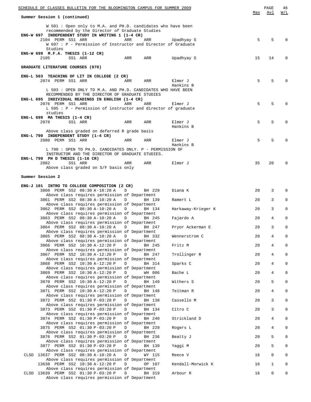| SCHEDULE OF CLASSES BULLETIN FOR THE BLOOMINGTON CAMPUS FOR SUMMER 2009<br>Summer Session 1 (continued)                                                                        | Max      | PAGE<br>Avl    | 46<br>W/L                  |
|--------------------------------------------------------------------------------------------------------------------------------------------------------------------------------|----------|----------------|----------------------------|
| W 501 : Open only to M.A. and PH.D. candidates who have been<br>recommended by the Director of Graduate Studies                                                                |          |                |                            |
| ENG-W 697 INDEPENDENT STUDY IN WRITING 1 (1-4 CR)<br>2104 PERM SS1 ARR<br>ARR<br>ARR<br>Upadhyay S<br>W 697 : P - Permission of Instructor and Director of Graduate            | 5        | 5              | 0                          |
| Studies<br>ENG-W $699$ M.F.A. THESIS $(1-12 \text{ CR})$                                                                                                                       |          |                |                            |
| 2105<br>SS1 ARR<br>ARR<br>ARR<br>Upadhyay S<br>GRADUATE LITERATURE COURSES (070)                                                                                               | 15       | 14             | 0                          |
| ENG-L 503 TEACHING OF LIT IN COLLEGE (2 CR)                                                                                                                                    |          |                |                            |
| 2074 PERM SS1 ARR<br>Elmer J<br>ARR<br>ARR<br>Hankins B                                                                                                                        | 5        | 5              |                            |
| L 503: OPEN ONLY TO M.A. AND PH.D. CANDIDATES WHO HAVE BEEN<br>RECOMMENDED BY THE DIRECTOR OF GRADUATE STUDIES<br>ENG-L 695 INDIVIDUAL READINGS IN ENGLISH (1-4 CR)            |          |                |                            |
| 2076 PERM SS1 ARR<br>ARR<br>ARR<br>Elmer J<br>L 595 : P - Permission of instructor and director of graduate                                                                    | 5        | 5              | O                          |
| studies<br>ENG-L 699 MA THESIS (1-4 CR)                                                                                                                                        |          |                |                            |
| SS1 ARR<br>Elmer J<br>2078<br>ARR<br>ARR<br>Hankins B<br>Above class graded on deferred R grade basis                                                                          | 5        | 5              | 0                          |
| ENG-L 790 INDEPENDENT STUDY (1-4 CR)<br>2080 PERM SS1 ARR<br>Elmer J<br>ARR<br>ARR                                                                                             | 5        | 5              | 0                          |
| Hankins B<br>L 790 : OPEN TO PH.D. CANDIDATES ONLY. P - PERMISSION OF                                                                                                          |          |                |                            |
| INSTRUCTOR AND THE DIRECTOR OF GRADUATE STUDIES.<br>ENG-L 799 PH D THESIS (1-16 CR)<br>2082<br>SS1 ARR<br>ARR<br>ARR<br>Elmer J                                                | 35       | 20             | 0                          |
| Above class graded on S/F basis only                                                                                                                                           |          |                |                            |
| Summer Session 2                                                                                                                                                               |          |                |                            |
| ENG-J 101 INTRO TO COLLEGE COMPOSITION (2 CR)<br>3860 PERM SS2 08:30 A-10:20 A<br>D<br>BH 229<br>Diana K                                                                       | 20       | 3              | $\Omega$                   |
| Above class requires permission of Department<br>3861 PERM SS2 08:30 A-10:20 A<br>D<br>BH 139<br>Ramert L<br>Above class requires permission of Department                     | 20       | 3              | $\mathbf 0$                |
| 3862 PERM SS2 08:30 A-10:20 A<br>D<br>Harkaway-Krieger K<br>BH 134<br>Above class requires permission of Department                                                            | 20       | 3              | $\mathbf 0$                |
| 3863 PERM SS2 08:30 A-10:20 A<br>D<br>BH 245<br>Fajardo A<br>Above class requires permission of Department<br>3864 PERM SS2 08:30 A-10:20 A<br>Pryor Ackerman E<br>D<br>BH 247 | 20<br>20 | 4<br>3         | $\mathbf 0$<br>$\mathbf 0$ |
| Above class requires permission of Department<br>3865 PERM SS2 08:30 A-10:20 A D<br>BH 332<br>Wennerstrom C                                                                    | 20       | 4              | 0                          |
| Above class requires permission of Department<br>Fritz M<br>3866 PERM SS2 10:30 A-12:20 P<br>D<br>BH 245                                                                       | 20       | 4              | $\mathsf 0$                |
| Above class requires permission of Department<br>Trollinger R<br>3867 PERM SS2 10:30 A-12:20 P<br>$\mathbf D$<br>BH 247<br>Above class requires permission of Department       | 20       | 4              | 0                          |
| Sparks C<br>3868 PERM SS2 10:30 A-12:20 P<br>D<br>BH 314<br>Above class requires permission of Department                                                                      | 20       | 4              | 0                          |
| 3869 PERM SS2 10:30 A-12:20 P<br>D<br>WH 006<br>Bache L<br>Above class requires permission of Department<br>Withers S<br>3870 PERM SS2 10:30 A-12:20 P                         | 20       | 4<br>5         | 0<br>$\mathbf 0$           |
| D<br>BH 149<br>Above class requires permission of Department<br>3871 PERM SS2 10:30 A-12:20 P<br>D<br>Teitman R<br>BH 148                                                      | 20<br>20 | $\overline{4}$ | 0                          |
| Above class requires permission of Department<br>Cassello M<br>3872 PERM SS2 01:30 P-03:20 P<br>$\Box$<br>BH 138                                                               | 20       | 3              | $\mathsf 0$                |
| Above class requires permission of Department<br>Citro C<br>3873 PERM SS2 01:30 P-03:20 P<br>D<br>BH 134<br>Above class requires permission of Department                      | 20       | 3              | 0                          |
| 3874 PERM SS2 01:30 P-03:20 P<br>D<br>Strickland D<br>BH 240<br>Above class requires permission of Department                                                                  | 20       | $\overline{4}$ | 0                          |
| 3875 PERM SS2 01:30 P-03:20 P<br>D<br>Rogers L<br>BH 229<br>Above class requires permission of Department                                                                      | 20       | 4              | 0                          |
| 3876 PERM SS2 01:30 P-03:20 P<br>D<br>Beatty J<br>BH 236<br>Above class requires permission of Department<br>D                                                                 | 20       | 5<br>5         | 0<br>0                     |
| 3877 PERM SS2 01:30 P-03:20 P<br>Yaqqi M<br>BH 139<br>Above class requires permission of Department<br>CLSD 13637 PERM SS2 08:30 A-10:20 A<br>Reece V<br>D<br>WY 115           | 20<br>16 | 0              | 0                          |
| Above class requires permission of Department<br>13638 PERM SS2 10:30 A-12:20 P<br>D<br>Kendall-Morwick K<br>OP 107                                                            | 16       | $\mathbf{1}$   | 0                          |
| Above class requires permission of Department<br>CLSD 13639 PERM SS2 01:30 P-03:20 P<br>D<br>Arbour R<br>BH 319<br>Above class requires permission of Department               | 16       | 0              | 0                          |
|                                                                                                                                                                                |          |                |                            |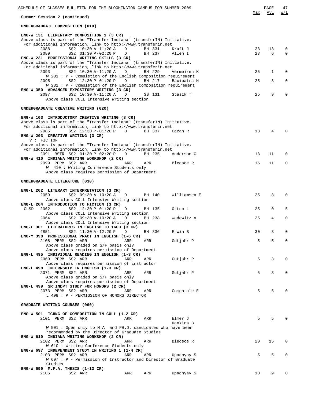| SCHEDULE OF CLASSES BULLETIN FOR THE BLOOMINGTON CAMPUS FOR SUMMER 2009                                                                                                                     |          | PAGE        | 47                      |
|---------------------------------------------------------------------------------------------------------------------------------------------------------------------------------------------|----------|-------------|-------------------------|
| Summer Session 2 (continued)                                                                                                                                                                | Max      | Avl         | W/L                     |
| UNDERGRADUATE COMPOSITION (010)                                                                                                                                                             |          |             |                         |
| ENG-W 131 ELEMENTARY COMPOSITION 1 (3 CR)<br>Above class is part of the "Transfer Indiana" (transferIN) Initiative.<br>For additional information, link to http://www.transferin.net        |          |             |                         |
| 2088<br>SS2 10:30 A-11:20 A<br>BH 331<br>D<br>Kraft J<br>2089<br>SS2 01:30 P-02:20 P<br>BH 237<br>Allen I<br>D                                                                              | 23<br>23 | 13<br>6     | $\mathbf 0$<br>$\Omega$ |
| ENG-W 231 PROFESSIONAL WRITING SKILLS (3 CR)<br>Above class is part of the "Transfer Indiana" (transferIN) Initiative.                                                                      |          |             |                         |
| For additional information, link to http://www.transferin.net<br>2093<br>SS2 10:30 A-11:20 A<br>BH 229<br>D<br>Vermeiren K                                                                  | 25       | 1           | $\Omega$                |
| W 231 : P - Completion of the English Composition requirement<br>2095<br>SS2 12:30 P-01:20 P<br>BH 217<br>D<br>Baxipatra M<br>W 231 : P - Completion of the English Composition requirement | 25       | 3           | $\mathbf 0$             |
| ENG-W 350 ADVANCED EXPOSITORY WRITING (3 CR)<br>2097<br>SS2 10:30 A-11:20 A<br>SB 131<br>D<br>Stasik T                                                                                      | 25       | 9           | $\Omega$                |
| Above class COLL Intensive Writing section                                                                                                                                                  |          |             |                         |
| UNDERGRADUATE CREATIVE WRITING (020)                                                                                                                                                        |          |             |                         |
| ENG-W 103 INTRODUCTORY CREATIVE WRITING (3 CR)<br>Above class is part of the "Transfer Indiana" (transferIN) Initiative.<br>For additional information, link to http://www.transferin.net   |          |             |                         |
| 2085<br>SS2 12:30 P-01:20 P<br>D<br>BH 337<br>Cazan R<br>ENG-W 203 CREATIVE WRITING (3 CR)<br>VT: FICTION                                                                                   | 18       | 4           | $\Omega$                |
| Above class is part of the "Transfer Indiana" (transferIN) Initiative.<br>For additional information, link to http://www.transferin.net                                                     |          |             |                         |
| 2091 RSTR SS2 01:30 P-02:20 P<br>BH 235<br>Anderson C<br>D<br>ENG-W 410 INDIANA WRITING WORKSHOP (2 CR)                                                                                     | 18       | 11          | $\Omega$                |
| 2099 PERM SS2 ARR<br>ARR<br>ARR<br>Bledsoe R<br>W 410 : Writing Conference Students only                                                                                                    | 15       | 11          | $\mathbf 0$             |
| Above class requires permission of Department<br>UNDERGRADUATE LITERATURE (030)                                                                                                             |          |             |                         |
| ENG-L 202 LITERARY INTERPRETATION (3 CR)                                                                                                                                                    |          |             |                         |
| 2059<br>SS2 09:30 A-10:20 A<br>BH 140<br>Williamsen E<br>$\Box$<br>Above class COLL Intensive Writing section<br>ENG-L 204 INTRODUCTION TO FICTION (3 CR)                                   | 25       | 8           | $\Omega$                |
| <b>CLSD</b><br>2062<br>SS2 12:30 P-01:20 P<br>BH 135<br>Ottum L<br>D<br>Above class COLL Intensive Writing section                                                                          | 25       | $\mathbf 0$ | 5                       |
| 2064<br>SS2 09:30 A-10:20 A<br>BH 238<br>Wadewitz A<br>D<br>Above class COLL Intensive Writing section                                                                                      | 25       | 4           | $\mathbf 0$             |
| ENG-E 301 LITERATURES IN ENGLISH TO 1600 (3 CR)<br>4851 SS2 11:30 A-12:20 P D<br>BH 336<br>Erwin B                                                                                          | 30       |             |                         |
| ENG-Y 398 PROFESSIONAL PRACT IN ENGLISH (1-6 CR)<br>2108 PERM SS2 ARR<br>ARR<br>ARR<br>Gutjahr P<br>Above class graded on S/F basis only                                                    | 5        | 5           | 0                       |
| Above class requires permission of Department<br>ENG-L 495 INDIVIDUAL READING IN ENGLISH (1-3 CR)                                                                                           |          |             |                         |
| 2069 PERM SS2 ARR<br>ARR<br>ARR<br>Gutjahr P<br>Above class requires permission of instructor                                                                                               | 5        | 3           | 0                       |
| ENG-L 498 INTERNSHIP IN ENGLISH (1-3 CR)<br>2071 PERM SS2 ARR<br>ARR<br>Gutjahr P<br>ARR<br>Above class graded on S/F basis only                                                            | 5        | 3           | $\Omega$                |
| Above class requires permission of Department<br>ENG-L 499 SR INDPT STUDY FOR HONORS (2 CR)                                                                                                 |          |             |                         |
| 2073 PERM SS2 ARR<br>Comentale E<br>ARR<br>ARR<br>L 499 : P - PERMISSION OF HONORS DIRECTOR                                                                                                 | 5        | 5           |                         |
| GRADUATE WRITING COURSES (060)                                                                                                                                                              |          |             |                         |
| ENG-W 501 TCHNG OF COMPOSITION IN COLL (1-2 CR)<br>2101 PERM SS2 ARR<br>ARR<br>Elmer J<br>ARR                                                                                               | 5        | 5           |                         |
| Hankins B<br>W 501 : Open only to M.A. and PH.D. candidates who have been<br>recommended by the Director of Graduate Studies                                                                |          |             |                         |
| ENG-W 610 INDIANA WRITING WORKSHOP (2 CR)<br>2102 PERM SS2 ARR<br>ARR<br>ARR<br>Bledsoe R<br>W 610 : Writing Conference Students only                                                       | 20       | 15          | 0                       |
| ENG-W 697 INDEPENDENT STUDY IN WRITING 1 (1-4 CR)<br>2103 PERM SS2 ARR<br>ARR<br>ARR<br>Upadhyay S                                                                                          | 5        | 5           |                         |
| W 697 : P - Permission of Instructor and Director of Graduate<br>Studies                                                                                                                    |          |             |                         |
| ENG-W 699 $M.F.A.$ THESIS (1-12 CR)<br>SS2 ARR<br>ARR<br>ARR<br>Upadhyay S<br>2106                                                                                                          | 10       | 9           |                         |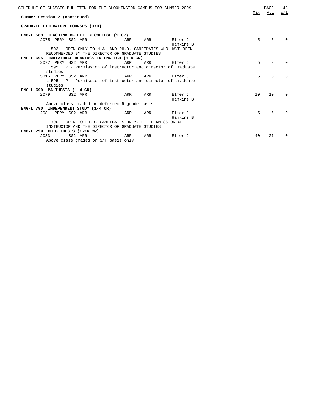| SCHEDULE OF CLASSES BULLETIN FOR THE BLOOMINGTON CAMPUS FOR SUMMER 2009                                        |     |     |                      | Max | PAGE<br>Avl | 48<br>W/L    |
|----------------------------------------------------------------------------------------------------------------|-----|-----|----------------------|-----|-------------|--------------|
| Summer Session 2 (continued)                                                                                   |     |     |                      |     |             |              |
| GRADUATE LITERATURE COURSES (070)                                                                              |     |     |                      |     |             |              |
| ENG-L 503 TEACHING OF LIT IN COLLEGE (2 CR)                                                                    |     |     |                      |     |             |              |
| 2075 PERM SS2 ARR                                                                                              | ARR | ARR | Elmer J<br>Hankins B | 5   | 5           | <sup>0</sup> |
| L 503: OPEN ONLY TO M.A. AND PH.D. CANDIDATES WHO HAVE BEEN<br>RECOMMENDED BY THE DIRECTOR OF GRADUATE STUDIES |     |     |                      |     |             |              |
| ENG-L 695 INDIVIDUAL READINGS IN ENGLISH (1-4 CR)                                                              |     |     |                      |     |             |              |
| 2077 PERM SS2 ARR                                                                                              | ARR | ARR | Elmer J              | 5   | 3           | $\Omega$     |
| L 595: P - Permission of instructor and director of graduate                                                   |     |     |                      |     |             |              |
| studies                                                                                                        |     |     |                      |     |             |              |
| 5815 PERM SS2 ARR                                                                                              | ARR | ARR | Elmer J              | 5   | 5           | $\Omega$     |
| L 595: P - Permission of instructor and director of graduate                                                   |     |     |                      |     |             |              |
| studies                                                                                                        |     |     |                      |     |             |              |
| ENG-L $699$ MA THESIS $(1-4$ CR)                                                                               |     |     |                      |     |             |              |
| 2079<br>SS2 ARR                                                                                                | ARR | ARR | Elmer J              | 10  | 10          | $\Omega$     |
|                                                                                                                |     |     | Hankins B            |     |             |              |
| Above class graded on deferred R grade basis                                                                   |     |     |                      |     |             |              |
| ENG-L 790 INDEPENDENT STUDY (1-4 CR)                                                                           |     |     |                      |     |             |              |
| 2081 PERM SS2 ARR                                                                                              | ARR | ARR | Elmer J              | 5   | 5           | <sup>0</sup> |
|                                                                                                                |     |     | Hankins B            |     |             |              |
| L 790 : OPEN TO PH.D. CANDIDATES ONLY. P - PERMISSION OF                                                       |     |     |                      |     |             |              |
| INSTRUCTOR AND THE DIRECTOR OF GRADUATE STUDIES.                                                               |     |     |                      |     |             |              |
| ENG-L 799 PH D THESIS (1-16 CR)                                                                                |     |     |                      |     |             |              |
| 2083<br>SS2 ARR                                                                                                | ARR | ARR | Elmer J              | 40  | 27          | <sup>0</sup> |
| Above class graded on S/F basis only                                                                           |     |     |                      |     |             |              |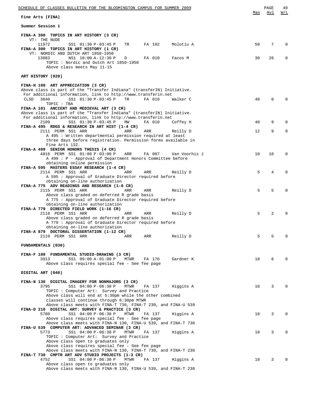| SCHEDULE OF CLASSES BULLETIN FOR THE BLOOMINGTON CAMPUS FOR SUMMER 2009                                                                                                               |     | PAGE     | 49       |
|---------------------------------------------------------------------------------------------------------------------------------------------------------------------------------------|-----|----------|----------|
| Fine Arts (FINA)                                                                                                                                                                      | Max | Avl      | W/L      |
| Summer Session 1                                                                                                                                                                      |     |          |          |
| FINA-A 300 TOPICS IN ART HISTORY (3 CR)<br>VT: THE NUDE                                                                                                                               |     |          |          |
| 11972<br>SS1 01:30 P-03:45 P<br>TR<br>FA 102<br>Molotiu A<br>FINA-A 300 TOPICS IN ART HISTORY (1 CR)<br>VT: NORDIC AND DUTCH ART 1850-1950                                            | 50  | 7        | $\Omega$ |
| 13083<br>NS1 10:00 A-12:30 P<br>FA 010<br>Facos M<br>D<br>TOPIC: Nordic and Dutch Art 1850-1950<br>Above class meets May 11-15                                                        | 30  | 26       | 0        |
| ART HISTORY (020)                                                                                                                                                                     |     |          |          |
| FINA-H 100 ART APPRECIATION (3 CR)<br>Above class is part of the "Transfer Indiana" (transferIN) Initiative.<br>For additional information, link to http://www.transferin.net         |     |          |          |
| SS1 01:30 P-03:45 P<br><b>CLSD</b><br>3840<br>FA 010<br>TR<br>Walker C<br>TOPIC : TBA                                                                                                 | 40  | $\Omega$ | $\Omega$ |
| FINA-A 101 ANCIENT AND MEDIEVAL ART (3 CR)<br>Above class is part of the "Transfer Indiana" (transferIN) Initiative.<br>For additional information, link to http://www.transferin.net |     |          |          |
| 2109<br>SS1 01:30 P-03:45 P<br>FA 010<br>ΜW<br>Coffey H<br>FINA-A 495 RDGS & RESEARCH IN ART HIST (1-4 CR)                                                                            | 40  | 9        | 0        |
| 2111 PERM SS1 ARR<br>ARR<br>ARR<br>Reilly D<br>A 495 : Written departmental permission required at least<br>three days before registration. Permission forms available in             | 12  | 9        | 0        |
| Fine Arts 132.<br>FINA-A 499 SENIOR HONORS THESIS (4 CR)                                                                                                                              |     |          |          |
| 4816 PERM SS1 01:00 P-03:00 P<br>ARR<br>FA 007<br>Van Voorhis J<br>A 499 : P - Approval of Department Honors Committee before<br>obtaining online permission                          | 10  | 10       | $\Omega$ |
| FINA-A 595 MASTERS ESSAY RESEARCH (1-4 CR)<br>2114 PERM SS1 ARR<br>ARR<br>ARR<br>Reilly D                                                                                             | 5   | 4        | $\Omega$ |
| A 595 : Approval of Graduate Director required before<br>obtaining on-line authorization                                                                                              |     |          |          |
| FINA-A 775 ADV READINGS AND RESEARCH (1-8 CR)<br>2115 PERM SS1 ARR<br>ARR<br>ARR<br>Reilly D<br>Above class graded on deferred R grade basis                                          | 5   | 5        | $\Omega$ |
| A 775 : Approval of Graduate Director required before<br>obtaining on-line authorization<br>FINA-A 779 DIRECTED FIELD WORK (1-16 CR)                                                  |     |          |          |
| 2118 PERM SS1 ARR<br>ARR<br>ARR<br>Reilly D<br>Above class graded on deferred R grade basis                                                                                           | 5   | 2        | 0        |
| A 779 : Approval of Graduate Director required before<br>obtaining on-line authorization<br>FINA-A 879 DOCTORAL DISSERTATION (1-12 CR)                                                |     |          |          |
| 2119 PERM SS1 ARR<br>ARR<br>Reilly D<br>ARR                                                                                                                                           | 5   | 5        | $\Omega$ |
| FUNDAMENTALS (030)                                                                                                                                                                    |     |          |          |
| FINA-F 100 FUNDAMENTAL STUDIO-DRAWING (3 CR)<br>3913<br>SS1 09:00 A-01:00 P<br>Gardner K<br>MTWR<br>FA 176<br>Above class requires special fee - See fee page                         | 18  | 6        | $\Omega$ |
| DIGITAL ART (040)                                                                                                                                                                     |     |          |          |
| FINA-N 130 DIGITAL IMAGERY FOR NONMAJORS (3 CR)<br>3795<br>SS1 04:00 P-06:30 P<br>MTWR<br>FA 137<br>Higgins A<br>TOPIC : Computer Art: Survey and Practice                            | 18  | 3        | $\Omega$ |
| Above class will end at 5:30pm while the other combined<br>classes will continue through 6:30pm MTWR                                                                                  |     |          |          |
| Above class meets with FINA-T 730, FINA-T 230, and FINA-U 539<br>FINA-D 210 DIGITAL ART: SURVEY & PRACTICE (3 CR)                                                                     |     |          |          |
| 5780<br>SS1 04:00 P-06:30 P<br>MTWR<br>FA 137<br>Higgins A<br>Above class requires special fee - See fee page<br>Above class meets with FINA-N 130, FINA-U 539, and FINA-T 730        | 18  | 3        | $\Omega$ |
| FINA-U 539 COMPUTER ART: ADVANCED SEMINAR (3 CR)<br>5773<br>SS1 04:00 P-06:30 P<br>MTWR<br>Higgins A<br>FA 137                                                                        | 18  | 3        | 0        |
| TOPIC: Computer Art: Survey and Practice<br>Above class open to graduates only<br>Above class requires special fee - See fee page                                                     |     |          |          |
| Above class meets with FINA-N 130, FINA-T 730, and FINA-T 230<br>FINA-T 730 CMPTR ART ADV STUDIO PROJECTS (1-3 CR)<br>4752                                                            |     | 3        | $\Omega$ |
| SS1 04:00 P-06:30 P<br>MTWR<br>FA 137<br>Higgins A<br>Above class open to graduates only<br>Above class meets with FINA-N 130, FINA-U 539, and FINA-T 230                             | 18  |          |          |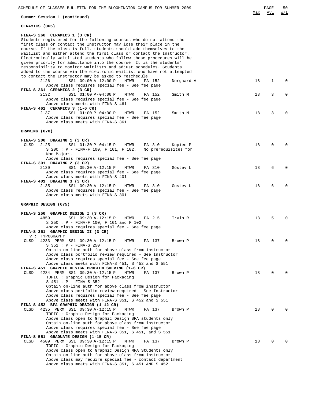| SCHEDULE OF CLASSES BULLETIN FOR THE BLOOMINGTON CAMPUS FOR SUMMER 2009                                                                                                                                                                                                                                                                                                                                                                                                                                                                                                                                                  |     | PAGE<br>Avl | 50<br>W/L    |
|--------------------------------------------------------------------------------------------------------------------------------------------------------------------------------------------------------------------------------------------------------------------------------------------------------------------------------------------------------------------------------------------------------------------------------------------------------------------------------------------------------------------------------------------------------------------------------------------------------------------------|-----|-------------|--------------|
| Summer Session 1 (continued)                                                                                                                                                                                                                                                                                                                                                                                                                                                                                                                                                                                             | Max |             |              |
| CERAMICS (065)                                                                                                                                                                                                                                                                                                                                                                                                                                                                                                                                                                                                           |     |             |              |
| FINA-S 260 CERAMICS 1 (3 CR)<br>Students registered for the following courses who do not attend the<br>first class or contact the Instructor may lose their place in the<br>course. If the class is full, students should add themselves to the<br>waitlist and either attend the first class or contact the Instructor.<br>Electronically waitlisted students who follow these procedures will be<br>given priority for admittance into the course. It is the students'<br>responsibility to monitor waitlists and adjust schedules. Students<br>added to the course via the electronic waitlist who have not attempted |     |             |              |
| to contact the Instructor may be asked to reschedule.<br>2126<br>SS1 09:00 A-12:00 P<br><b>MTWR</b><br>FA 152<br>Norgaard A<br>Above class requires special fee - See fee page                                                                                                                                                                                                                                                                                                                                                                                                                                           | 18  | 1           | 0            |
| FINA-S 361 CERAMICS 2 (3 CR)<br>2132<br>SS1 01:00 P-04:00 P<br>Smith M<br>MTWR<br>FA 152<br>Above class requires special fee - See fee page<br>Above class meets with FINA-S 461<br>FINA-S 461 CERAMICS 3 (1-6 CR)                                                                                                                                                                                                                                                                                                                                                                                                       | 18  | 3           | 0            |
| 2137<br>SS1 01:00 P-04:00 P<br>Smith M<br>MTWR<br>FA 152<br>Above class requires special fee - See fee page<br>Above class meets with FINA-S 361                                                                                                                                                                                                                                                                                                                                                                                                                                                                         | 18  | 3           | <sup>0</sup> |
| DRAWING (070)                                                                                                                                                                                                                                                                                                                                                                                                                                                                                                                                                                                                            |     |             |              |
| FINA-S 200 DRAWING 1 (3 CR)<br><b>CLSD</b><br>2125<br>SS1 01:30 P-04:15 P<br>MTWR<br>FA 310<br>Kupiec P<br>S 200 : P - FINA-F 100, F 101, F 102.<br>No prerequisites for<br>Non-Majors.<br>Above class requires special fee - See fee page                                                                                                                                                                                                                                                                                                                                                                               | 18  | $\Omega$    |              |
| FINA-S 301 DRAWING 2 (3 CR)<br>2130<br>SS1 09:30 A-12:15 P<br>MTWR<br>FA 310<br>Gostev L<br>Above class requires special fee - See fee page<br>Above class meets with FINA-S 401                                                                                                                                                                                                                                                                                                                                                                                                                                         | 18  | 6           | O            |
| FINA-S 401 DRAWING 3 (3 CR)<br>2135<br>SS1 09:30 A-12:15 P<br>MTWR<br>FA 310<br>Gostev L<br>Above class requires special fee - See fee page<br>Above class meets with FINA-S 301                                                                                                                                                                                                                                                                                                                                                                                                                                         | 18  | 6           | O            |
| GRAPHIC DESIGN (075)                                                                                                                                                                                                                                                                                                                                                                                                                                                                                                                                                                                                     |     |             |              |
| FINA-S 250 GRAPHIC DESIGN I (3 CR)<br>4859<br>SS1 09:30 A-12:15 P<br>MTWR<br>FA 215<br>Irvin R<br>S 250 : P - FINA-F 100, F 101 and F 102<br>Above class requires special fee - See fee page<br>FINA-S 351 GRAPHIC DESIGN II (3 CR)                                                                                                                                                                                                                                                                                                                                                                                      | 18  | 5           |              |
| VT:<br>TYPOGRAPHY<br>CLSD<br>4233 PERM SS1 09:30 A-12:15 P<br>FA 137<br>MTWR<br>Brown P<br>S 351 : P - FINA-S 250<br>Obtain on-line auth for above class from instructor<br>Above class portfolio review required - See Instructor<br>Above class requires special fee - See fee page                                                                                                                                                                                                                                                                                                                                    | 18  | 0           |              |
| Above class meets with FINA-S 451, S 452 and S 551<br>FINA-S 451 GRAPHIC DESIGN PROBLEM SOLVING (1-6 CR)<br>4234 PERM SS1 09:30 A-12:15 P<br>CLSD<br>MTWR<br>FA 137<br>Brown P<br>TOPIC: Graphic Design for Packaging<br>$S$ 451 : $P$ - FINA-S 352<br>Obtain on-line auth for above class from instructor                                                                                                                                                                                                                                                                                                               | 18  | 0           |              |
| Above class portfolio review required - See Instructor<br>Above class requires special fee - See fee page<br>Above class meets with FINA-S 351, S 452 and S 551<br>FINA-S 452 BFA GRAPHIC DESIGN (1-12 CR)<br>4235 PERM SS1 09:30 A-12:15 P<br>CLSD<br>MTWR<br>FA 137<br>Brown P                                                                                                                                                                                                                                                                                                                                         | 18  | 0           |              |
| TOPIC: Graphic Design for Packaging<br>Above class open to Graphic Design BFA students only<br>Obtain on-line auth for above class from instructor<br>Above class requires special fee - See fee page<br>Above class meets with FINA-S 351, S 451, and S 551                                                                                                                                                                                                                                                                                                                                                             |     |             |              |
| FINA-S 551 GRADUATE DESIGN (1-15 CR)<br>4509 PERM SS1 09:30 A-12:15 P<br>CLSD<br>MTWR<br>FA 137<br>Brown P<br>TOPIC : Graphic Design for Packaging<br>Above class open to Graphic Design MFA Students only<br>Obtain on-line auth for above class from instructor<br>Above class may require special fee - contact department<br>Above class meets with FINA-S 351, S 451 AND S 452                                                                                                                                                                                                                                      | 18  | 0           |              |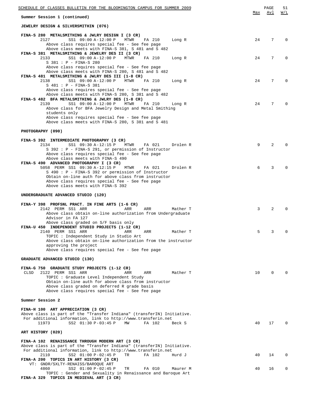| SCHEDULE OF CLASSES BULLETIN FOR THE BLOOMINGTON CAMPUS FOR SUMMER 2009                                                                                                                                                                                                                                                       |     | PAGE     | 51           |
|-------------------------------------------------------------------------------------------------------------------------------------------------------------------------------------------------------------------------------------------------------------------------------------------------------------------------------|-----|----------|--------------|
| Summer Session 1 (continued)                                                                                                                                                                                                                                                                                                  | Max | Avl      | W/L          |
| <b>JEWELRY DESIGN &amp; SILVERSMITHIN (076)</b>                                                                                                                                                                                                                                                                               |     |          |              |
| FINA-S 280 METALSMITHING & JWLRY DESIGN I (3 CR)<br>2127<br>SS1 09:00 A-12:00 P<br>MTWR<br>FA 210<br>Long R<br>Above class requires special fee - See fee page<br>Above class meets with FINA-S 381, S 481 and S 482                                                                                                          | 24  | 7        | $\Omega$     |
| FINA-S 381 METALSMITHING & JEWELRY DES II (3 CR)<br>2133<br>SS1 09:00 A-12:00 P<br>MTWR<br>FA 210<br>Long R<br>S 381 : P - FINA-S 280<br>Above class requires special fee - See fee page<br>Above class meets with FINA-S 280, S 481 and S 482                                                                                | 24  | 7        | 0            |
| FINA-S 481 METALSMITHING & JWLRY DES III (1-8 CR)<br>2138<br>SS1 09:00 A-12:00 P<br>MTWR<br>FA 210<br>Long R<br>S 481 : P - FINA-S 381<br>Above class requires special fee - See fee page<br>Above class meets with FINA-S 280, S 381 and S 482                                                                               | 24  | 7        | <sup>0</sup> |
| FINA-S 482 BFA METALSMITHING & JWLRY DES (1-8 CR)<br>2139<br>SS1 09:00 A-12:00 P<br>MTWR<br>FA 210<br>Long R<br>Above class for BFA Jewelry Design and Metal Smithing<br>students only<br>Above class requires special fee - See fee page                                                                                     | 24  | 7        |              |
| Above class meets with FINA-S 280, S 381 and S 481<br>PHOTOGRAPHY (090)                                                                                                                                                                                                                                                       |     |          |              |
|                                                                                                                                                                                                                                                                                                                               |     |          |              |
| FINA-S 392 INTERMEDIATE PHOTOGRAPHY (3 CR)<br>SS1 09:30 A-12:15 P<br>2134<br>MTWR<br>FA 021<br>Drolen R<br>S 392 : P - FINA-S 291, or permission of Instructor<br>Above class requires special fee - See fee page<br>Above class meets with FINA-S 490<br>FINA-S 490 ADVANCED PHOTOGRAPHY I (3 CR)                            | 9   | 2        |              |
| 5058 PERM SS1 09:30 A-12:15 P<br>Drolen R<br>MTWR<br>FA 021<br>S 490: P - FINA-S 392 or permission of Instructor<br>Obtain on-line auth for above class from instructor<br>Above class requires special fee - See fee page<br>Above class meets with FINA-S 392                                                               | 6   | 3        |              |
| UNDERGRADUATE ADVANCED STUDIO (120)                                                                                                                                                                                                                                                                                           |     |          |              |
| FINA-Y 398 PROFSNL PRACT. IN FINE ARTS (1-6 CR)<br>2142 PERM SS1 ARR<br>ARR<br>ARR<br>Mather T<br>Above class obtain on-line authorization from Undergraduate<br>Advisor in FA 127                                                                                                                                            | 3   | 2        |              |
| Above class graded on S/F basis only<br>FINA-U 450 INDEPENDENT STUDIO PROJECTS (1-12 CR)<br>2140 PERM SS1 ARR<br>Mather T<br>ARR<br>ARR<br>TOPIC: Independent Study in Studio Art<br>Above class obtain on-line authorization from the instructor<br>approving the project<br>Above class requires special fee - See fee page | 5   | 3        | 0            |
| GRADUATE ADVANCED STUDIO (130)                                                                                                                                                                                                                                                                                                |     |          |              |
| FINA-G 750 GRADUATE STUDY PROJECTS (1-12 CR)<br>CLSD<br>2122 PERM SS1 ARR<br>Mather T<br>ARR<br>ARR<br>TOPIC: Graduate Level Independent Study<br>Obtain on-line auth for above class from instructor<br>Above class graded on deferred R grade basis<br>Above class requires special fee - See fee page                      | 10  | $\Omega$ |              |
| Summer Session 2                                                                                                                                                                                                                                                                                                              |     |          |              |
| FINA-H 100 ART APPRECIATION (3 CR)<br>Above class is part of the "Transfer Indiana" (transferIN) Initiative.<br>For additional information, link to http://www.transferin.net<br>11973<br>SS2 01:30 P-03:45 P<br>MW<br>FA 102<br>Beck S                                                                                       | 40  | 17       |              |
| ART HISTORY (020)                                                                                                                                                                                                                                                                                                             |     |          |              |
| FINA-A 102 RENAISSANCE THROUGH MODERN ART (3 CR)<br>Above class is part of the "Transfer Indiana" (transferIN) Initiative.<br>For additional information, link to http://www.transferin.net<br>SS2 01:00 P-02:45 P<br>2110<br>TR<br>FA 102<br>Hurd J<br>FINA-A 200 TOPICS IN ART HISTORY (3 CR)                               | 40  | 14       | $\Omega$     |
| VT: GNDR/SXLTY-RENAISS/BAROQUE ART<br>4860<br>SS2 01:00 P-02:45 P<br>TR<br>FA 010<br>Maurer M                                                                                                                                                                                                                                 | 40  | 16       | 0            |
| TOPIC: Gender and Sexuality in Renaissance and Baroque Art<br>FINA-A 329 TOPICS IN MEDIEVAL ART (3 CR)                                                                                                                                                                                                                        |     |          |              |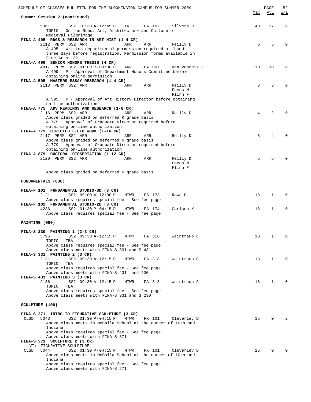| SCHEDULE OF CLASSES BULLETIN FOR THE BLOOMINGTON CAMPUS FOR SUMMER 2009                                             |        |               | Max | PAGE<br>Avl  | 52<br><u>W/L</u> |
|---------------------------------------------------------------------------------------------------------------------|--------|---------------|-----|--------------|------------------|
| Summer Session 2 (continued)                                                                                        |        |               |     |              |                  |
| 5361<br>SS2 10:30 A-12:45 P<br>TR<br>TOPIC : On the Road: Art, Architecture and Culture of<br>Medieval Pilgrimage   | FA 102 | Silvers H     | 40  | 27           | $\mathbf 0$      |
| FINA-A 495 RDGS & RESEARCH IN ART HIST (1-4 CR)<br>2112 PERM SS2 ARR<br>ARR                                         | ARR    |               | 6   | 5            | $\Omega$         |
| A 495 : Written departmental permission required at least                                                           |        | Reilly D      |     |              |                  |
| three days before registration. Permission forms available in                                                       |        |               |     |              |                  |
| Fine Arts 132.<br>FINA-A 499 SENIOR HONORS THESIS (4 CR)                                                            |        |               |     |              |                  |
| 4817 PERM SS2 01:00 P-03:00 P<br>ARR                                                                                | FA 007 | Van Voorhis J | 10  | 10           | 0                |
| A 499 : P - Approval of Department Honors Committee before                                                          |        |               |     |              |                  |
| obtaining online permission                                                                                         |        |               |     |              |                  |
| FINA-A 595 MASTERS ESSAY RESEARCH (1-4 CR)<br>2113 PERM SS2 ARR<br>ARR                                              | ARR    | Reilly D      | 3   | 3            | $\Omega$         |
|                                                                                                                     |        | Facos M       |     |              |                  |
|                                                                                                                     |        | Flinn F       |     |              |                  |
| A 595 : P - Approval of Art History Director before obtaining<br>on-line authorization                              |        |               |     |              |                  |
| FINA-A 775 ADV READINGS AND RESEARCH (1-8 CR)                                                                       |        |               |     |              |                  |
| 2116 PERM SS2 ARR<br>ARR                                                                                            | ARR    | Reilly D      | 4   | 2            |                  |
| Above class graded on deferred R grade basis                                                                        |        |               |     |              |                  |
| A 775 : Approval of Graduate Director required before<br>obtaining on-line authorization                            |        |               |     |              |                  |
| FINA-A 779 DIRECTED FIELD WORK (1-16 CR)                                                                            |        |               |     |              |                  |
| 2117 PERM SS2 ARR<br>ARR                                                                                            | ARR    | Reilly D      | 5   | 4            | <sup>0</sup>     |
| Above class graded on deferred R grade basis                                                                        |        |               |     |              |                  |
| A 779 : Approval of Graduate Director required before<br>obtaining on-line authorization                            |        |               |     |              |                  |
| FINA-A 879 DOCTORAL DISSERTATION (1-12 CR)                                                                          |        |               |     |              |                  |
| 2120 PERM SS2 ARR<br>ARR                                                                                            | ARR    | Reilly D      | 5   | 5            |                  |
|                                                                                                                     |        | Facos M       |     |              |                  |
| Above class graded on deferred R grade basis                                                                        |        | Flinn F       |     |              |                  |
|                                                                                                                     |        |               |     |              |                  |
| FUNDAMENTALS (030)                                                                                                  |        |               |     |              |                  |
| FINA-F 101 FUNDAMENTAL STUDIO-3D (3 CR)                                                                             |        |               |     |              |                  |
| 2121<br>SS2 09:00 A-12:00 P<br>MTWR                                                                                 | FA 173 | Rowe D        | 18  | $\mathbf 1$  | $\Omega$         |
| Above class requires special fee - See fee page                                                                     |        |               |     |              |                  |
| FINA-F 102 FUNDAMENTAL STUDIO-2D (3 CR)                                                                             |        |               |     |              |                  |
| 4236<br>SS2 01:30 P-04:15 P<br>MTWR<br>Above class requires special fee - See fee page                              | FA 174 | Carlson K     | 18  | $\mathbf{1}$ | $\mathbf 0$      |
|                                                                                                                     |        |               |     |              |                  |
| PAINTING (080)                                                                                                      |        |               |     |              |                  |
|                                                                                                                     |        |               |     |              |                  |
| FINA-S 230 PAINTING $1$ (2-3 CR)<br>3796<br>SS2 09:30 A-12:15 P<br>MTWR                                             | FA 318 | Weintraub C   | 18  | 1            | 0                |
| TOPIC : TBA                                                                                                         |        |               |     |              |                  |
| Above class requires special fee - See fee page                                                                     |        |               |     |              |                  |
| Above class meets with FINA-S 331 and S 431<br>FINA-S 331 PAINTING 2 (3 CR)                                         |        |               |     |              |                  |
| 2131<br>SS2 09:30 A-12:15 P<br>MTWR                                                                                 | FA 318 | Weintraub C   | 18  | 1            | $\Omega$         |
| TOPIC : TBA                                                                                                         |        |               |     |              |                  |
| Above class requires special fee - See fee page                                                                     |        |               |     |              |                  |
| Above class meets with FINA-S 431 and 230<br>FINA-S 431 PAINTING 3 (3 CR)                                           |        |               |     |              |                  |
| 2136<br>SS2 09:30 A-12:15 P<br>MTWR                                                                                 | FA 318 | Weintraub C   | 18  | 1            | $\Omega$         |
| TOPIC : TBA                                                                                                         |        |               |     |              |                  |
| Above class requires special fee - See fee page                                                                     |        |               |     |              |                  |
| Above class meets with FINA-S 331 and S 230                                                                         |        |               |     |              |                  |
| SCULPTURE (100)                                                                                                     |        |               |     |              |                  |
|                                                                                                                     |        |               |     |              |                  |
| FINA-S 271 INTRO TO FIGURATIVE SCULPTURE (3 CR)                                                                     |        |               |     |              |                  |
| <b>CLSD</b><br>5043<br>SS2 01:30 P-04:15 P<br>MTWR<br>Above class meets in McCalla School at the corner of 10th and | FX 101 | Cleverley D   | 15  | 0            | 2                |
| Indiana                                                                                                             |        |               |     |              |                  |
| Above class requires special fee - See fee page                                                                     |        |               |     |              |                  |
| Above class meets with FINA-S 371                                                                                   |        |               |     |              |                  |
| FINA-S 371 SCULPTURE 2 (3 CR)<br>VT: FIGURATIVE SCULPTURE                                                           |        |               |     |              |                  |
| CLSD<br>5044<br>SS2 01:30 P-04:15 P<br>MTWR                                                                         | FX 101 | Cleverley D   | 15  | 0            |                  |
| Above class meets in McCalla School at the corner of 10th and                                                       |        |               |     |              |                  |
| Indiana                                                                                                             |        |               |     |              |                  |
| Above class requires special fee - See fee page<br>Above class meets with FINA-S 271                                |        |               |     |              |                  |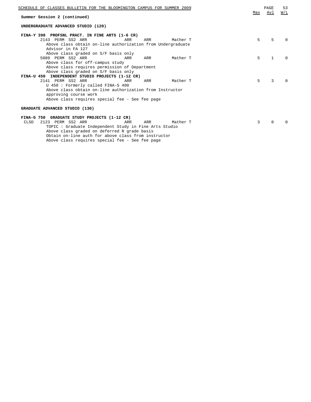| SCHEDULE OF CLASSES BULLETIN FOR THE BLOOMINGTON CAMPUS FOR SUMMER 2009 |     |          | Max | PAGE<br>Avl  | 53<br>W/L    |
|-------------------------------------------------------------------------|-----|----------|-----|--------------|--------------|
| Summer Session 2 (continued)                                            |     |          |     |              |              |
| UNDERGRADUATE ADVANCED STUDIO (120)                                     |     |          |     |              |              |
| FINA-Y 398 PROFSNL PRACT. IN FINE ARTS (1-6 CR)                         |     |          |     |              |              |
| 2143 PERM SS2 ARR<br>ARR                                                | ARR | Mather T | 5   | 5            | <sup>n</sup> |
| Above class obtain on-line authorization from Undergraduate             |     |          |     |              |              |
| Advisor in FA 127                                                       |     |          |     |              |              |
| Above class graded on S/F basis only                                    |     |          |     |              |              |
| 5089 PERM SS2 ARR<br>ARR                                                | ARR | Mather T | 5   | $\mathbf{1}$ | <sup>0</sup> |
| Above class for off-campus study                                        |     |          |     |              |              |
| Above class requires permission of Department                           |     |          |     |              |              |
| Above class graded on S/F basis only                                    |     |          |     |              |              |
| FINA-U 450 INDEPENDENT STUDIO PROJECTS (1-12 CR)                        |     |          |     |              |              |
| 2141 PERM SS2 ARR<br>ARR                                                | ARR | Mather T | 5   | 3            | <sup>0</sup> |
| U 450 : Formerly called FINA-S 400                                      |     |          |     |              |              |
| Above class obtain on-line authorization from Instructor                |     |          |     |              |              |
| approving course work                                                   |     |          |     |              |              |
| Above class requires special fee - See fee page                         |     |          |     |              |              |
| GRADUATE ADVANCED STUDIO (130)                                          |     |          |     |              |              |
| FINA-G 750 GRADUATE STUDY PROJECTS (1-12 CR)                            |     |          |     |              |              |
| 2123 PERM SS2 ARR<br>CLSD<br>ARR                                        | ARR | Mather T | 3   | $\Omega$     | U            |
| TOPIC: Graduate Independent Study in Fine Arts Studio                   |     |          |     |              |              |
| Above class graded on deferred R grade basis                            |     |          |     |              |              |
| Obtain on-line auth for above class from instructor                     |     |          |     |              |              |

Above class requires special fee - See fee page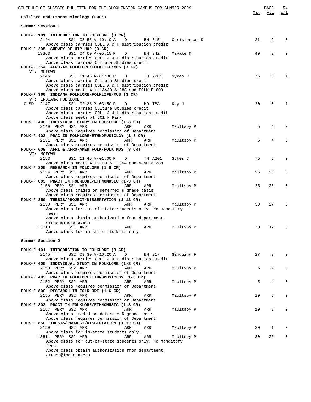| SCHEDULE OF CLASSES BULLETIN FOR THE BLOOMINGTON CAMPUS FOR SUMMER 2009                             |               | Max | PAGE<br>Avl | 54<br>W/L    |
|-----------------------------------------------------------------------------------------------------|---------------|-----|-------------|--------------|
| Folklore and Ethnomusicology (FOLK)                                                                 |               |     |             |              |
| Summer Session 1                                                                                    |               |     |             |              |
| FOLK-F 101 INTRODUCTION TO FOLKLORE (3 CR)                                                          |               |     |             |              |
| 2144<br>SS1 08:55 A-10:10 A<br>BH 315<br>D<br>Above class carries COLL A & H distribution credit    | Christensen D | 21  | 2           | O            |
| FOLK-F 295 SURVEY OF HIP HOP (3 CR)                                                                 |               |     |             |              |
| 13363<br>SS1 04:00 P-05:15 P<br>BH 242<br>D                                                         | Miyake M      | 40  | 3           | 0            |
| Above class carries COLL A & H distribution credit<br>Above class carries Culture Studies credit    |               |     |             |              |
| FOLK-F 354 AFRO-AM FOLKLORE/FOLKLIFE/MUS (3 CR)                                                     |               |     |             |              |
| VT: MOTOWN                                                                                          |               |     |             |              |
| 2146<br>SS1 11:45 A-01:00 P<br>TH A201<br>$\Box$                                                    | Sykes C       | 75  | 5           | $\mathbf{1}$ |
| Above class carries Culture Studies credit<br>Above class carries COLL A & H distribution credit    |               |     |             |              |
| Above class meets with AAAD-A 388 and FOLK-F 609                                                    |               |     |             |              |
| FOLK-F 360 INDIANA FOLKLORE/FOLKLIFE/MUS (3 CR)                                                     |               |     |             |              |
| VT: INDIANA FOLKLORE                                                                                |               |     |             |              |
| CLSD<br>2147<br>SS1 02:35 P-03:50 P<br>HD TBA<br>D                                                  | Kay J         | 20  | $\Omega$    | 1            |
| Above class carries Culture Studies credit<br>Above class carries COLL A & H distribution credit    |               |     |             |              |
| Above class meets at 501 N Park                                                                     |               |     |             |              |
| FOLK-F 400 INDIVIDUAL STUDY IN FOLKLORE (1-3 CR)                                                    |               |     |             |              |
| 2149 PERM SS1 ARR<br>ARR<br>ARR                                                                     | Maultsby P    | 5   | 4           |              |
| Above class requires permission of Department<br>FOLK-F 403 PRAC IN FOLKLORE/ETHNOMUSICLGY (1-3 CR) |               |     |             |              |
| 2151 PERM SS1 ARR<br>ARR<br>ARR                                                                     | Maultsby P    | 5   | 4           |              |
| Above class requires permission of Department                                                       |               |     |             |              |
| FOLK-F 609 AFRI & AFRO-AMER FOLK/FOLK MUS (3 CR)                                                    |               |     |             |              |
| VT: MOTOWN<br>2153<br>SS1 11:45 A-01:00 P<br>TH A201<br>$\Box$                                      | Sykes C       | 75  | 5           | $\Omega$     |
| Above class meets with FOLK-F 354 and AAAD-A 388                                                    |               |     |             |              |
| FOLK-F 800 RESEARCH IN FOLKLORE (1-6 CR)                                                            |               |     |             |              |
| 2154 PERM SS1 ARR<br>ARR<br>ARR                                                                     | Maultsby P    | 25  | 23          | 0            |
| Above class requires permission of Department                                                       |               |     |             |              |
| FOLK-F 803 PRACT IN FOLKLORE/ETHNOMUSIC (1-3 CR)<br>2156 PERM SS1 ARR<br>ARR<br>ARR                 | Maultsby P    | 25  | 25          | $\Omega$     |
| Above class graded on deferred R grade basis                                                        |               |     |             |              |
| Above class requires permission of Department                                                       |               |     |             |              |
| FOLK-F 850 THESIS/PROJECT/DISSERTATION (1-12 CR)                                                    |               |     |             |              |
| 2158 PERM SS1 ARR<br>ARR<br>ARR<br>Above class for out-of-state students only. No mandatory         | Maultsby P    | 30  | 27          | 0            |
| fees.                                                                                               |               |     |             |              |
| Above class obtain authorization from department,                                                   |               |     |             |              |
| croush@indiana.edu                                                                                  |               |     |             |              |
| 13610<br>SS1 ARR<br>ARR<br>ARR<br>Above class for in-state students only.                           | Maultsby P    | 30  | 17          | $\Omega$     |
|                                                                                                     |               |     |             |              |
| Summer Session 2                                                                                    |               |     |             |              |
|                                                                                                     |               |     |             |              |
| FOLK-F 101 INTRODUCTION TO FOLKLORE (3 CR)<br>2145<br>SS2 09:30 A-10:20 A<br>BH 317<br>D            | Gingging F    | 27  | 3           | $\Omega$     |
| Above class carries COLL A & H distribution credit                                                  |               |     |             |              |
| FOLK-F 400 INDIVIDUAL STUDY IN FOLKLORE (1-3 CR)                                                    |               |     |             |              |
| 2150 PERM SS2 ARR<br>ARR<br>ARR                                                                     | Maultsby P    | 5   | 4           | $\Omega$     |
| Above class requires permission of Department<br>FOLK-F 403 PRAC IN FOLKLORE/ETHNOMUSICLGY (1-3 CR) |               |     |             |              |
| 2152 PERM SS2 ARR<br>ARR<br>ARR                                                                     | Maultsby P    | 5   | 4           | 0            |
| Above class requires permission of Department                                                       |               |     |             |              |
| FOLK-F 800 RESEARCH IN FOLKLORE (1-6 CR)                                                            |               |     |             |              |
| 2155 PERM SS2 ARR<br>ARR<br>ARR<br>Above class requires permission of Department                    | Maultsby P    | 10  | 5           | 0            |
| FOLK-F 803 PRACT IN FOLKLORE/ETHNOMUSIC (1-3 CR)                                                    |               |     |             |              |
| 2157 PERM SS2 ARR<br>ARR<br>ARR                                                                     | Maultsby P    | 10  | 8           | 0            |
| Above class graded on deferred R grade basis                                                        |               |     |             |              |
| Above class requires permission of Department<br>FOLK-F 850 THESIS/PROJECT/DISSERTATION (1-12 CR)   |               |     |             |              |
| 2159<br>SS2 ARR<br>ARR<br>ARR                                                                       | Maultsby P    | 20  | 1           | 0            |
| Above class for in-state students only.                                                             |               |     |             |              |
| 13611 PERM SS2 ARR<br>ARR<br>ARR                                                                    | Maultsby P    | 30  | 26          | 0            |
| Above class for out-of-state students only. No mandatory<br>fees.                                   |               |     |             |              |
| Above class obtain authorization from department,                                                   |               |     |             |              |
| croush@indiana.edu                                                                                  |               |     |             |              |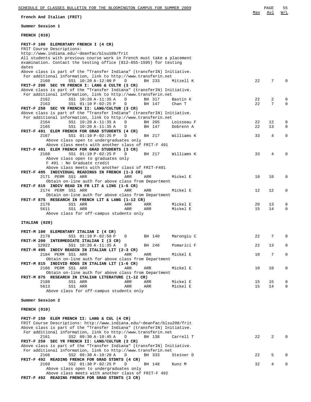**French And Italian (FRIT)**

**Summer Session 1**

| FRENCH (010)                                                                                                                                     |    |    |   |
|--------------------------------------------------------------------------------------------------------------------------------------------------|----|----|---|
| FRIT-F 100 ELEMENTARY FRENCH I (4 CR)                                                                                                            |    |    |   |
| FRIT Course Descriptions:<br>http://www.indiana.edu/~deanfac/blsu108/frit                                                                        |    |    |   |
| All students with previous course work in French must take a placement                                                                           |    |    |   |
| examination. Contact the testing office (812-855-1595) for testing<br>dates                                                                      |    |    |   |
| Above class is part of the "Transfer Indiana" (transferIN) Initiative.                                                                           |    |    |   |
| For additional information, link to http://www.transferin.net<br>SS1 10:20 A-12:00 P<br>BH 233<br>2160<br>D<br>Mitzell K                         | 22 | 7  |   |
| FRIT-F 200 SEC YR FRENCH I: LANG & CULTR (3 CR)                                                                                                  |    |    |   |
| Above class is part of the "Transfer Indiana" (transferIN) Initiative.<br>For additional information, link to http://www.transferin.net          |    |    |   |
| SS1 10:20 A-11:35 A<br>2162<br>D<br>BH 317<br>Bastin K                                                                                           | 22 | 2  | Ω |
| 2163<br>SS1 01:10 P-02:25 P<br>BH 147<br>Chan T<br>D                                                                                             | 22 | 7  | 0 |
| FRIT-F 250 SEC YR FRENCH II: LANG/CULTUR (3 CR)<br>Above class is part of the "Transfer Indiana" (transferIN) Initiative.                        |    |    |   |
| For additional information, link to http://www.transferin.net                                                                                    |    |    |   |
| 2164<br>SS1 10:20 A-11:35 A<br>Loisseau F<br>D<br>BH 205                                                                                         | 22 | 12 | 0 |
| 2165<br>SS1 10:20 A-11:35 A<br>BH 147<br>Dobrenn A<br>D<br>FRIT-F 491 ELEM FRENCH FOR GRAD STUDENTS (4 CR)                                       | 22 | 13 | 0 |
| 2167<br>SS1 01:10 P-02:25 P<br>D<br>BH 217<br>Williams K                                                                                         | 33 | 4  | 0 |
| Above class open to undergraduates only<br>Above class meets with another class of FRIT-F 491                                                    |    |    |   |
| FRIT-F 491 ELEM FRENCH FOR GRAD STUDENTS (3 CR)                                                                                                  |    |    |   |
| SS1 01:10 P-02:25 P<br>2168<br>D<br>BH 217<br>Williams K                                                                                         | 33 | 4  |   |
| Above class open to graduates only<br>F 491 : No Graduate credit                                                                                 |    |    |   |
| Above class meets with another class of FRIT-F491                                                                                                |    |    |   |
| FRIT-F 495 INDIVIDUAL READINGS IN FRENCH (1-3 CR)                                                                                                |    |    |   |
| 2171 PERM SS1 ARR<br>ARR<br>ARR<br>Mickel E<br>Obtain on-line auth for above class from Department                                               | 10 | 10 | 0 |
| FRIT-F 815 INDIV READ IN FR LIT & LING (1-6 CR)                                                                                                  |    |    |   |
| 2174 PERM SS1 ARR<br><b>ARR</b><br>ARR<br>Mickel E                                                                                               | 12 | 12 | 0 |
| Obtain on-line auth for above class from Department<br>FRIT-F 875 RESEARCH IN FRENCH LIT & LANG (1-12 CR)                                        |    |    |   |
| 2176<br>SS1 ARR<br>ARR<br>ARR<br>Mickel E                                                                                                        | 20 | 13 | 0 |
| 5611<br>ARR<br>Mickel E<br>SS1 ARR<br>ARR                                                                                                        | 15 | 14 | 0 |
| Above class for off-campus students only                                                                                                         |    |    |   |
| ITALIAN (020)                                                                                                                                    |    |    |   |
| FRIT-M 100 ELEMENTARY ITALIAN I (4 CR)                                                                                                           |    |    |   |
| 2178<br>SS1 01:10 P-02:50 P<br>D<br>BH 140<br>Marongiu C                                                                                         | 22 | 7  | O |
| FRIT-M 200 INTERMEDIATE ITALIAN I (3 CR)                                                                                                         |    |    |   |
| SS1 10:20 A-11:35 A<br>Pomarici F<br>12922<br>BH 246<br>D<br>FRIT-M 495 INDIV READIN IN ITALIAN LIT (2-3 CR)                                     | 22 | 13 | 0 |
| 2184 PERM SS1 ARR<br>ARR<br>ARR<br>Mickel E                                                                                                      | 10 | 7  | 0 |
| Obtain on-line auth for above class from Department                                                                                              |    |    |   |
| FRIT-M 815 INDIVID RDGS IN ITALIAN LIT (1-6 CR)<br>2186 PERM SS1 ARR<br>ARR<br>ARR<br>Mickel E                                                   | 10 | 10 | Ω |
| Obtain on-line auth for above class from Department                                                                                              |    |    |   |
| FRIT-M 875 RESEARCH IN ITALIAN LITERATURE (1-12 CR)<br>2188<br>SS1 ARR<br>Mickel E<br>ARR<br>ARR                                                 | 15 | 15 | 0 |
| 5613<br>ARR<br>Mickel E<br>SS1 ARR<br>ARR                                                                                                        | 15 | 14 | 0 |
| Above class for off-campus students only                                                                                                         |    |    |   |
| Summer Session 2                                                                                                                                 |    |    |   |
|                                                                                                                                                  |    |    |   |
| FRENCH (010)                                                                                                                                     |    |    |   |
| FRIT-F 150 ELEM FRENCH II: LANG & CUL (4 CR)                                                                                                     |    |    |   |
| FRIT Course Descriptions: http://www.indiana.edu/~deanfac/blsu208/frit<br>Above class is part of the "Transfer Indiana" (transferIN) Initiative. |    |    |   |
| For additional information, link to http://www.transferin.net                                                                                    |    |    |   |
| SS2 09:30 A-10:45 A<br>2161<br>D<br>BH 138<br>Carrell T                                                                                          | 22 | 2  |   |
| FRIT-F 250 SEC YR FRENCH II: LANG/CULTUR (3 CR)<br>Above class is part of the "Transfer Indiana" (transferIN) Initiative.                        |    |    |   |
| For additional information, link to http://www.transferin.net                                                                                    |    |    |   |
| SS2 09:30 A-10:20 A<br>2166<br>D<br>BH 333<br>Steiner D                                                                                          | 22 | 5  |   |
| FRIT-F 492 READING FRENCH FOR GRAD STDNTS (4 CR)<br>2169<br>SS2 01:30 P-02:25 P<br>D<br>BH 148<br>Kunz M                                         | 32 | 4  |   |
| Above class open to undergraduates only                                                                                                          |    |    |   |
| Above class meets with another class of FRIT-F 492                                                                                               |    |    |   |

**FRIT-F 492 READING FRENCH FOR GRAD STDNTS (3 CR)**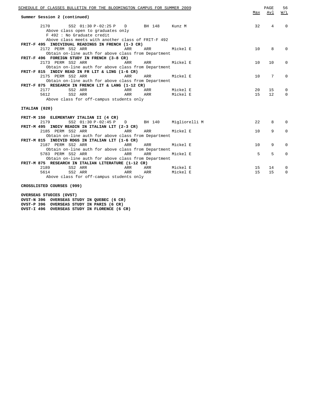| SCHEDULE OF CLASSES BULLETIN FOR THE BLOOMINGTON CAMPUS FOR SUMMER 2009<br>Summer Session 2 (continued) |     |     |          | Max | PAGE<br>Avl     | 56<br>W/L   |
|---------------------------------------------------------------------------------------------------------|-----|-----|----------|-----|-----------------|-------------|
|                                                                                                         |     |     |          |     |                 |             |
| 2170 SS2 01:30 P-02:25 P D BH 148 Kunz M                                                                |     |     |          | 32  | 4               | $\Omega$    |
| Above class open to graduates only                                                                      |     |     |          |     |                 |             |
| F 492 : No Graduate credit                                                                              |     |     |          |     |                 |             |
| Above class meets with another class of FRIT-F 492                                                      |     |     |          |     |                 |             |
| FRIT-F 495 INDIVIDUAL READINGS IN FRENCH (1-3 CR)                                                       |     |     |          |     |                 |             |
| 2172 PERM SS2 ARR                                                                                       | ARR | ARR | Mickel E | 10  | 8               | $\Omega$    |
| Obtain on-line auth for above class from Department                                                     |     |     |          |     |                 |             |
| FRIT-F 496 FOREIGN STUDY IN FRENCH (3-8 CR)                                                             |     |     |          |     |                 |             |
| 2173 PERM SS2 ARR                                                                                       | ARR | ARR | Mickel E | 10  | 10              | 0           |
| Obtain on-line auth for above class from Department                                                     |     |     |          |     |                 |             |
| FRIT-F 815 INDIV READ IN FR LIT & LING (1-6 CR)                                                         |     |     |          |     |                 |             |
| 2175 PERM SS2 ARR                                                                                       | ARR | ARR | Mickel E | 10  | $7\phantom{.0}$ | $\mathbf 0$ |
| Obtain on-line auth for above class from Department                                                     |     |     |          |     |                 |             |
| FRIT-F 875 RESEARCH IN FRENCH LIT & LANG (1-12 CR)                                                      |     |     |          |     |                 |             |
| SS2 ARR<br>2177                                                                                         | ARR | ARR | Mickel E | 20  | 15              | 0           |
| 5612<br>SS2 ARR                                                                                         | ARR | ARR | Mickel E | 15  | 12              | $\Omega$    |
| Above class for off-campus students only                                                                |     |     |          |     |                 |             |
|                                                                                                         |     |     |          |     |                 |             |
| ITALIAN (020)                                                                                           |     |     |          |     |                 |             |
|                                                                                                         |     |     |          |     |                 |             |
| FRIT-M 150 ELEMENTARY ITALIAN II (4 CR)                                                                 |     |     |          |     |                 |             |
| SS2 01:30 P-02:45 P D BH 140 Migliorelli M<br>2179                                                      |     |     |          | 22  | 8               | $\Omega$    |
| FRIT-M 495 INDIV READIN IN ITALIAN LIT (2-3 CR)                                                         |     |     |          |     |                 |             |
| 2185 PERM SS2 ARR                                                                                       | ARR | ARR | Mickel E | 10  | 9               | $\mathbf 0$ |
| Obtain on-line auth for above class from Department                                                     |     |     |          |     |                 |             |
| FRIT-M 815 INDIVID RDGS IN ITALIAN LIT (1-6 CR)                                                         |     |     |          |     |                 |             |
| 2187 PERM SS2 ARR                                                                                       | ARR | ARR | Mickel E | 10  | 9               | $\Omega$    |
| Obtain on-line auth for above class from Department                                                     |     |     |          |     |                 |             |
| 5783 PERM SS2 ARR                                                                                       | ARR | ARR | Mickel E | 5   | 5               | $\Omega$    |
| Obtain on-line auth for above class from Department                                                     |     |     |          |     |                 |             |
| FRIT-M 875 RESEARCH IN ITALIAN LITERATURE (1-12 CR)                                                     |     |     |          |     |                 |             |
| 2189<br>SS2 ARR                                                                                         | ARR | ARR | Mickel E | 15  | 14              | 0           |
| 5614<br>SS2 ARR                                                                                         | ARR | ARR | Mickel E | 15  | 15              | $\Omega$    |
| Above class for off-campus students only                                                                |     |     |          |     |                 |             |
|                                                                                                         |     |     |          |     |                 |             |
| CROSSLISTED COURSES (999)                                                                               |     |     |          |     |                 |             |

**OVERSEAS STUDIES (OVST)**

**OVST-N 396 OVERSEAS STUDY IN QUEBEC (6 CR) OVST-P 396 OVERSEAS STUDY IN PARIS (6 CR) OVST-I 496 OVERSEAS STUDY IN FLORENCE (6 CR)**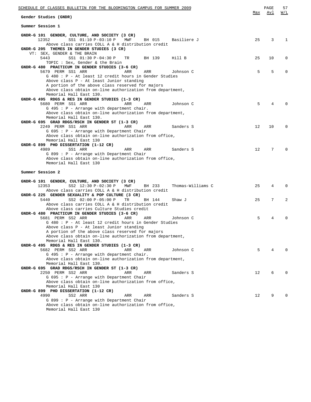| <u>SCHEDULE OF CLASSES BULLETIN FOR THE BLOOMINGTON CAMPUS FOR SUMMER 2009</u>                                     |     | PAGE | 57               |
|--------------------------------------------------------------------------------------------------------------------|-----|------|------------------|
| Gender Studies (GNDR)                                                                                              | Max | Avl  | $\overline{M/L}$ |
|                                                                                                                    |     |      |                  |
| Summer Session 1                                                                                                   |     |      |                  |
| GNDR-G 101 GENDER, CULTURE, AND SOCIETY (3 CR)                                                                     |     |      |                  |
| 12352<br>SS1 01:10 P-03:10 P<br>MWF<br>BH 015<br>Basiliere J<br>Above class carries COLL A & H distribution credit | 25  | 3    | 1                |
| GNDR-G 205 THEMES IN GENDER STUDIES (3 CR)                                                                         |     |      |                  |
| VT: SEX, GENDER & THE BRAIN                                                                                        |     |      |                  |
| 5443<br>SS1 01:30 P-04:30 P<br>TR<br>BH 139<br>Hill B                                                              | 25  | 10   | 0                |
| TOPIC : Sex, Gender & the Brain<br>GNDR-G 480 PRACTICUM IN GENDER STUDIES (3-6 CR)                                 |     |      |                  |
| 5679 PERM SS1 ARR<br>ARR<br>ARR<br>Johnson C                                                                       | 5   | 5    | 0                |
| G 480 : P - At least 12 credit hours in Gender Studies                                                             |     |      |                  |
| Above class P - At least Junior standing                                                                           |     |      |                  |
| A portion of the above class reserved for majors                                                                   |     |      |                  |
| Above class obtain on-line authorization from department,                                                          |     |      |                  |
| Memorial Hall East 130.<br>GNDR-G 495 RDGS & RES IN GENDER STUDIES (1-3 CR)                                        |     |      |                  |
| 5680 PERM SS1 ARR<br>ARR<br>ARR<br>Johnson C                                                                       | 5   | 4    |                  |
| $G$ 495 : P - Arrange with department chair.                                                                       |     |      |                  |
| Above class obtain on-line authorization from department,                                                          |     |      |                  |
| Memorial Hall East 130.                                                                                            |     |      |                  |
| GNDR-G 695 GRAD RDGS/RSCH IN GENDER ST (1-3 CR)<br>2249 PERM SS1 ARR<br>ARR<br>ARR<br>Sanders S                    | 12  | 10   | $\Omega$         |
| $G$ 695 : P - Arrange with Department Chair                                                                        |     |      |                  |
| Above class obtain on-line authorization from office,                                                              |     |      |                  |
| Memorial Hall East 130                                                                                             |     |      |                  |
| GNDR-G 899 PHD DISSERTATION (1-12 CR)                                                                              |     |      |                  |
| 4989<br>ARR<br>SS1 ARR<br>ARR<br>Sanders S                                                                         | 12  | 7    | $\Omega$         |
| G 899 : P - Arrange with Department Chair<br>Above class obtain on-line authorization from office,                 |     |      |                  |
| Memorial Hall East 130                                                                                             |     |      |                  |
|                                                                                                                    |     |      |                  |
| Summer Session 2                                                                                                   |     |      |                  |
| GNDR-G 101 GENDER, CULTURE, AND SOCIETY (3 CR)                                                                     |     |      |                  |
| 12353<br>SS2 12:30 P-02:30 P<br>MWF<br>Thomas-Williams C<br>BH 233                                                 | 25  | 4    | $\Omega$         |
| Above class carries COLL A & H distribution credit                                                                 |     |      |                  |
| GNDR-G 225 GENDER SEXUALITY & POP CULTURE (3 CR)                                                                   |     |      |                  |
| 5440<br>SS2 02:00 P-05:00 P<br>TR<br>BH 144<br>Shaw J<br>Above class carries COLL A & H distribution credit        | 25  | 7    | 2                |
| Above class carries Culture Studies credit                                                                         |     |      |                  |
| GNDR-G 480 PRACTICUM IN GENDER STUDIES (3-6 CR)                                                                    |     |      |                  |
| 5681 PERM SS2 ARR<br>ARR<br>ARR<br>Johnson C                                                                       | 5   | 4    | 0                |
| G 480 : P - At least 12 credit hours in Gender Studies                                                             |     |      |                  |
| Above class P - At least Junior standing                                                                           |     |      |                  |
| A portion of the above class reserved for majors<br>Above class obtain on-line authorization from department,      |     |      |                  |
| Memorial Hall East 130.                                                                                            |     |      |                  |
| GNDR-G 495 RDGS & RES IN GENDER STUDIES (1-3 CR)                                                                   |     |      |                  |
| 5682 PERM SS2 ARR<br>ARR<br>ARR<br>Johnson C                                                                       | 5   | 4    |                  |
| $G$ 495 : $P$ - Arrange with department chair.                                                                     |     |      |                  |
| Above class obtain on-line authorization from department,                                                          |     |      |                  |
| Memorial Hall East 130.<br>GNDR-G 695 GRAD RDGS/RSCH IN GENDER ST (1-3 CR)                                         |     |      |                  |
| 2250 PERM SS2 ARR<br>Sanders S<br>ARR<br>ARR                                                                       | 12  | 6    |                  |
| $G$ 695 : P - Arrange with Department Chair                                                                        |     |      |                  |
| Above class obtain on-line authorization from office,                                                              |     |      |                  |
| Memorial Hall East 130                                                                                             |     |      |                  |
| GNDR-G 899 PHD DISSERTATION (1-12 CR)                                                                              |     |      |                  |
| 4990<br>SS2 ARR<br>ARR<br>ARR<br>Sanders S<br>$G 899 : P - Arrange with Department Chair$                          | 12  | 9    |                  |
| Above class obtain on-line authorization from office,                                                              |     |      |                  |
| Memorial Hall East 130                                                                                             |     |      |                  |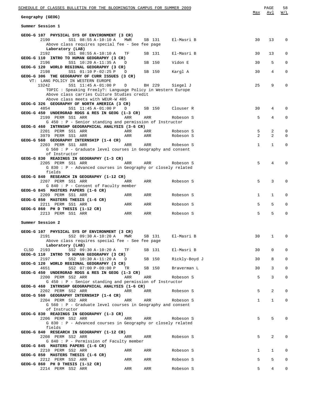| SCHEDULE OF CLASSES BULLETIN FOR THE BLOOMINGTON CAMPUS FOR SUMMER 2009                                                                                                        |             |        |        |                   | Max            | PAGE<br>Avl | 58<br>W/L |
|--------------------------------------------------------------------------------------------------------------------------------------------------------------------------------|-------------|--------|--------|-------------------|----------------|-------------|-----------|
| Geography (GEOG)                                                                                                                                                               |             |        |        |                   |                |             |           |
| Summer Session 1                                                                                                                                                               |             |        |        |                   |                |             |           |
| GEOG-G 107 PHYSICAL SYS OF ENVIRONMENT (3 CR)<br>2190<br>SS1 08:55 A-10:10 A<br>Above class requires special fee - See fee page                                                | MWR         |        |        | SB 131 El-Masri B | 30             | 13          | 0         |
| Laboratory (LAB)<br>2192<br>SS1 08:55 A-10:10 A                                                                                                                                | TF          |        | SB 131 | El-Masri B        | 30             | 13          | 0         |
| GEOG-G 110 INTRO TO HUMAN GEOGRAPHY (3 CR)<br>2196<br>SS1 10:20 A-11:35 A                                                                                                      | D           |        | SB 150 | Vidon E           | 30             | 5           | 0         |
| GEOG-G 120 WORLD REGIONAL GEOGRAPHY (3 CR)<br>2198<br>SS1 01:10 P-02:25 P                                                                                                      | D           | SB 150 |        | Kargl A           | 30             | 4           | 0         |
| GEOG-G 306 THE GEOGRAPHY OF CURR ISSUES (3 CR)<br>VT: LANG POLICY IN WESTERN EUROPE                                                                                            |             |        |        |                   |                |             |           |
| 13242<br>SS1 11:45 A-01:00 P<br>TOPIC : Speaking Freely?: Language Policy in Western Europe<br>Above class carries Culture Studies credit<br>Above class meets with WEUR-W 405 | BH 229<br>D |        |        | Siegel J          | 25             | 9           | $\Omega$  |
| GEOG-G 326 GEOGRAPHY OF NORTH AMERICA (3 CR)                                                                                                                                   |             |        |        |                   |                |             |           |
| 4854<br>SS1 11:45 A-01:00 P<br>$GEOG-G 450$ UNDERGRAD RDGS & RES IN GEOG $(1-3 \text{ CR})$                                                                                    | D           |        |        | SB 150 Clouser R  | 30             | 4           | $\Omega$  |
| 2199 PERM SS1 ARR<br>$G$ 450 : P - Senior standing and permission of Instructor                                                                                                | ARR         | ARR    |        | Robeson S         | 5              | 4           | 0         |
| GEOG-G 460 INTRNSHP GEOGRAPHICAL ANALYSIS (3-6 CR)<br>2201 PERM SS1 ARR                                                                                                        | ARR         | ARR    |        | Robeson S         | 5              | 2           | 0         |
| 3979 PERM SS1 ARR<br>GEOG-G 560 GEOGRAPHY INTERNSHIP (1-4 CR)                                                                                                                  | ARR         | ARR    |        | Robeson S         | $\overline{a}$ | 2           | 0         |
| 2203 PERM SS1 ARR                                                                                                                                                              | ARR         | ARR    |        | Robeson S         | $\mathbf{1}$   | $\mathbf 1$ | 0         |
| $G$ 560 : P - Graduate level courses in Geography and consent<br>of Instructor                                                                                                 |             |        |        |                   |                |             |           |
| GEOG-G 830 READINGS IN GEOGRAPHY (1-3 CR)<br>2205 PERM SS1 ARR                                                                                                                 | ARR         | ARR    |        | Robeson S         | 5              | 4           | 0         |
| G 830 : P - Advanced courses in Geography or closely related<br>fields                                                                                                         |             |        |        |                   |                |             |           |
| GEOG-G 840 RESEARCH IN GEOGRAPHY (1-12 CR)<br>2207 PERM SS1 ARR<br>$G 840 : P -$ Consent of Faculty member                                                                     | ARR         | ARR    |        | Robeson S         | 5              | 3           | 0         |
| GEOG-G 845 MASTERS PAPERS (1-6 CR)<br>2209 PERM SS1 ARR                                                                                                                        | ARR         | ARR    |        | Robeson S         | $\mathbf{1}$   | 1           | $\Omega$  |
| GEOG-G 850 MASTERS THESIS (1-6 CR)<br>2211 PERM SS1 ARR                                                                                                                        | ARR         | ARR    |        | Robeson S         | 5              | 5           | $\Omega$  |
| GEOG-G 860 PH D THESIS (1-12 CR)<br>2213 PERM SS1 ARR<br><b>Example 2</b> ARR                                                                                                  |             | ARR    |        | Robeson S         | 5              | 5           | 0         |
| Summer Session 2                                                                                                                                                               |             |        |        |                   |                |             |           |
| GEOG-G 107 PHYSICAL SYS OF ENVIRONMENT (3 CR)                                                                                                                                  |             |        |        |                   |                |             |           |
| 2191<br>SS2 09:30 A-10:20 A MWR<br>Above class requires special fee - See fee page                                                                                             |             |        | SB 131 | El-Masri B        | 30             | $\mathbf 1$ | 0         |
| Laboratory (LAB)<br>2193<br>SS2 09:30 A-10:20 A<br>CLSD                                                                                                                        | TF          |        | SB 131 | El-Masri B        | 30             | $\mathbf 0$ | 0         |
| GEOG-G 110 INTRO TO HUMAN GEOGRAPHY (3 CR)<br>SS2 10:30 A-11:20 A<br>2197                                                                                                      | D           |        | SB 150 | Rickly-Boyd J     | 30             | 8           | 0         |
| GEOG-G 120 WORLD REGIONAL GEOGRAPHY (3 CR)<br>4651<br>SS2 07:00 P-09:00 P                                                                                                      | TR          |        | SB 150 | Braverman L       | 30             | 3           | 0         |
| GEOG-G 450 UNDERGRAD RDGS & RES IN GEOG (1-3 CR)<br>2200 PERM SS2 ARR                                                                                                          | ARR         | ARR    |        | Robeson S         | 5              | 3           | 0         |
| $G$ 450: $P$ - Senior standing and permission of Instructor<br>GEOG-G 460 INTRNSHP GEOGRAPHICAL ANALYSIS (1-6 CR)                                                              |             |        |        |                   |                |             |           |
| 2202 PERM SS2 ARR<br>GEOG-G 560 GEOGRAPHY INTERNSHIP (1-4 CR)                                                                                                                  | ARR         | ARR    |        | Robeson S         | 5              | 2           | 0         |
| 2204 PERM SS2 ARR<br>G 560 : P - Graduate level courses in Geography and consent                                                                                               | ARR         | ARR    |        | Robeson S         | $\mathbf{1}$   | $\mathbf 1$ | 0         |
| of Instructor<br>GEOG-G 830 READINGS IN GEOGRAPHY (1-3 CR)                                                                                                                     |             |        |        |                   |                |             |           |
| 2206 PERM SS2 ARR<br>G 830 : P - Advanced courses in Geography or closely related<br>fields                                                                                    | ARR         | ARR    |        | Robeson S         | 5              | 5           | 0         |
| GEOG-G 840 RESEARCH IN GEOGRAPHY (1-12 CR)<br>2208 PERM SS2 ARR                                                                                                                | ARR         | ARR    |        | Robeson S         | 5              | 2           | 0         |
| $G 840 : P - Permission of Faculty member$<br>GEOG-G 845 MASTERS PAPERS (1-6 CR)                                                                                               |             |        |        |                   |                |             |           |
| 2210 PERM SS2 ARR<br>GEOG-G 850 MASTERS THESIS (1-6 CR)                                                                                                                        | ARR         | ARR    |        | Robeson S         | $\mathbf{1}$   | 1           | 0         |
| 2212 PERM SS2 ARR<br>GEOG-G 860 PH D THESIS (1-12 CR)                                                                                                                          | ARR         | ARR    |        | Robeson S         | 5              | 5           | 0         |
| 2214 PERM SS2 ARR                                                                                                                                                              | ARR         | ARR    |        | Robeson S         | 5              | 4           | 0         |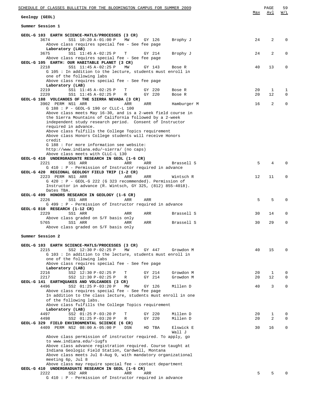| SCHEDULE OF CLASSES BULLETIN FOR THE BLOOMINGTON CAMPUS FOR SUMMER 2009                                              |                   | PAGE    | 59                         |
|----------------------------------------------------------------------------------------------------------------------|-------------------|---------|----------------------------|
| Geology (GEOL)                                                                                                       | Max               | Avl     | W/L                        |
| Summer Session 1                                                                                                     |                   |         |                            |
| GEOL-G 103 EARTH SCIENCE-MATLS/PROCESSES (3 CR)                                                                      |                   |         |                            |
| 3674<br>SS1 10:20 A-01:00 P<br>MW<br>GY 126<br>Brophy J<br>Above class requires special fee - See fee page           | 24                | 2       | $\mathbf 0$                |
| Laboratory (LAB)<br>SS1 11:45 A-02:25 P<br>3675<br>GY 214<br>Brophy J<br>Т                                           | 24                | 2       | $\mathbf 0$                |
| Above class requires special fee - See fee page<br>GEOL-G 105 EARTH: OUR HABITABLE PLANET (3 CR)                     |                   |         |                            |
| 2218<br>SS1 11:45 A-02:25 P<br>MW<br>GY 143<br>Bose R<br>G 105 : In addition to the lecture, students must enroll in | 40                | 13      | $\mathbf 0$                |
| one of the following labs<br>Above class requires special fee - See fee page<br>Laboratory (LAB)                     |                   |         |                            |
| SS1 11:45 A-02:25 P<br>2219<br>т<br>GY 220<br>Bose R<br>2220<br>SS1 11:45 A-02:25 P<br>GY 220<br>R<br>Bose R         | 20<br>20          | 1<br>12 | 1<br>$\mathbf 0$           |
| GEOL-G 188 VOLCANOES OF THE SIERRA NEVADA (3 CR)                                                                     |                   |         |                            |
| 3902 PERM NS1 ARR<br>ARR<br>ARR<br>Hamburger M<br>G 188 : P - GEOL-G 190 or CLLC-L 100                               | 16                | 2       | $\mathbf 0$                |
| Above class meets May 16-30, and is a 2-week field course in                                                         |                   |         |                            |
| the Sierra Mountains of California followed by a 2-week<br>independent study research period. Consent of Instructor  |                   |         |                            |
| required in advance.                                                                                                 |                   |         |                            |
| Above class fulfills the College Topics requirement<br>Above class Honors College students will receive Honors       |                   |         |                            |
| credit                                                                                                               |                   |         |                            |
| G 188 : For more information see website:<br>http://www.indiana.edu/~sierra/ (no caps)                               |                   |         |                            |
| Above class meets with CLLC-L 130                                                                                    |                   |         |                            |
| GEOL-G 410 UNDERGRADUATE RESEARCH IN GEOL (1-6 CR)<br>2221<br>ARR                                                    | 5                 | 4       | $\Omega$                   |
| SS1 ARR<br>ARR<br>Brassell S<br>G 410 : P - Permission of Instructor required in advance                             |                   |         |                            |
| GEOL-G 420 REGIONAL GEOLOGY FIELD TRIP (1-2 CR)                                                                      |                   |         |                            |
| 2223 PERM NS1 ARR<br>ARR<br>ARR<br>Wintsch R<br>$G$ 420 : P - GEOL-G 222 (G 323 recommended). Permission of          | $12 \overline{ }$ | 11      | $\mathbf 0$                |
| Instructor in advance (R. Wintsch, GY 325, (812) 855-4018).                                                          |                   |         |                            |
| Dates TBA.<br>GEOL-G 499 HONORS RESEARCH IN GEOLOGY (1-6 CR)                                                         |                   |         |                            |
| 2226<br>SS1 ARR<br>ARR<br>ARR                                                                                        | 5                 | 5       | $\mathbf 0$                |
| G 499 : P - Permission of Instructor required in advance<br>GEOL-G 810 RESEARCH (1-12 CR)                            |                   |         |                            |
| 2229<br>SS1 ARR<br>ARR<br>ARR<br>Brassell S                                                                          | 30                | 14      | $\mathbf 0$                |
| Above class graded on S/F basis only<br>5765<br>SS1 ARR<br>ARR<br>ARR<br>Brassell S                                  | 30                | 29      | 0                          |
| Above class graded on S/F basis only                                                                                 |                   |         |                            |
| Summer Session 2                                                                                                     |                   |         |                            |
|                                                                                                                      |                   |         |                            |
| GEOL-G 103 EARTH SCIENCE-MATLS/PROCESSES (3 CR)<br>2215<br>SS2 12:30 P-02:25 P<br>MW<br>GY 447<br>Growdon M          | 40                | 15      | $\Omega$                   |
| G 103: In addition to the lecture, students must enroll in                                                           |                   |         |                            |
| one of the following labs<br>Above class requires special fee - See fee page                                         |                   |         |                            |
| Laboratory (LAB)                                                                                                     |                   |         |                            |
| SS2 12:30 P-02:25 P<br>Growdon M<br>2216<br>Т<br>GY 214<br>2217<br>SS2 12:30 P-02:25 P<br>GY 214<br>Growdon M<br>R   | 20<br>20          | 1<br>12 | $\mathbf 0$<br>$\mathbf 0$ |
| GEOL-G 141 EARTHQUAKES AND VOLCANOES (3 CR)                                                                          |                   |         |                            |
| SS2 01:25 P-03:20 P<br>4496<br>GY 126<br>Millen D<br>MW                                                              | 40                | 3       | $\mathbf 0$                |
| Above class requires special fee - See fee page<br>In addition to the class lecture, students must enroll in one     |                   |         |                            |
| of the following labs.                                                                                               |                   |         |                            |
| Above class fulfills the College Topics requirement<br>Laboratory (LAB)                                              |                   |         |                            |
| 4497<br>SS2 01:25 P-03:20 P<br>GY 220<br>Т<br>Millen D                                                               | 20                | 1       | $\mathbf 0$                |
| GY 220<br>4498<br>SS2 01:25 P-03:20 P<br>Millen D<br>R<br>GEOL-G 329 FIELD ENVIRONMENTAL SCIENCE (6 CR)              | 20                | 2       | $\mathbf 0$                |
| 4409 PERM NS2 08:00 A-05:00 P<br>DSN<br>HD TBA<br>Elswick E                                                          | 30                | 16      | 0                          |
| Wall J<br>Above class permission of instructor required. To apply, go                                                |                   |         |                            |
| to www.indiana.edu/~iugfs                                                                                            |                   |         |                            |
| Above class advance registration required. Course taught at<br>Indiana Geologic Field Station, Cardwell, Montana     |                   |         |                            |
| Above class meets Jul 8-Aug 9, with mandatory organizational                                                         |                   |         |                            |
| meeting 6p, Jul 8                                                                                                    |                   |         |                            |
| Above class may require special fee - contact department<br>GEOL-G 410 UNDERGRADUATE RESEARCH IN GEOL (1-6 CR)       |                   |         |                            |
| 2222<br>SS2 ARR<br>ARR<br>ARR                                                                                        | 5                 | 5       | $\Omega$                   |
| $G$ 410 : P - Permission of Instructor required in advance                                                           |                   |         |                            |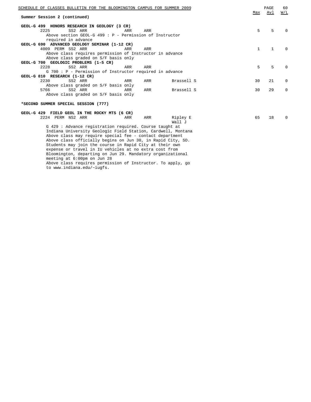| SCHEDULE OF CLASSES BULLETIN FOR THE BLOOMINGTON CAMPUS FOR SUMMER 2009                   |     |     |                    |              | PAGE         | 60           |
|-------------------------------------------------------------------------------------------|-----|-----|--------------------|--------------|--------------|--------------|
| Summer Session 2 (continued)                                                              |     |     |                    | Max          | Avl          | W/L          |
|                                                                                           |     |     |                    |              |              |              |
| GEOL-G 499 HONORS RESEARCH IN GEOLOGY (3 CR)                                              |     |     |                    |              |              |              |
| 2225<br>SS2 ARR                                                                           | ARR | ARR |                    | 5            | 5            | 0            |
| Above section GEOL-G 499 : $P$ - Permission of Instructor                                 |     |     |                    |              |              |              |
| required in advance                                                                       |     |     |                    |              |              |              |
| GEOL-G 690 ADVANCED GEOLOGY SEMINAR (1-12 CR)                                             |     |     |                    |              |              |              |
| 4009 PERM SS2 ARR                                                                         | ARR | ARR |                    | $\mathbf{1}$ | $\mathbf{1}$ | $\Omega$     |
| Above class requires permission of Instructor in advance                                  |     |     |                    |              |              |              |
| Above class graded on S/F basis only                                                      |     |     |                    |              |              |              |
| GEOL-G 700 GEOLOGIC PROBLEMS (1-5 CR)                                                     |     |     |                    |              |              |              |
| 2228<br>SS2 ARR                                                                           | ARR | ARR |                    | 5            | 5            | $\Omega$     |
| G 700 : P - Permission of Instructor required in advance<br>GEOL-G 810 RESEARCH (1-12 CR) |     |     |                    |              |              |              |
| 2230<br>SS2 ARR                                                                           | ARR | ARR | Brassell S         | 30           | 21           | 0            |
| Above class graded on S/F basis only                                                      |     |     |                    |              |              |              |
| SS2 ARR<br>5766                                                                           | ARR | ARR | Brassell S         | 30           | 29           | $\Omega$     |
| Above class graded on S/F basis only                                                      |     |     |                    |              |              |              |
|                                                                                           |     |     |                    |              |              |              |
| *SECOND SUMMER SPECIAL SESSION (777)                                                      |     |     |                    |              |              |              |
|                                                                                           |     |     |                    |              |              |              |
| GEOL-G 429 FIELD GEOL IN THE ROCKY MTS (6 CR)                                             |     |     |                    |              |              |              |
| 2224 PERM NS2 ARR                                                                         | ARR | ARR | Ripley E<br>Wall J | 65           | 18           | <sup>0</sup> |
| G 429 : Advance registration required. Course taught at                                   |     |     |                    |              |              |              |
| Indiana University Geologic Field Station, Cardwell, Montana                              |     |     |                    |              |              |              |
| Above class may require special fee - contact department                                  |     |     |                    |              |              |              |
| Above class officially begins on Jun 30, in Rapid City, SD.                               |     |     |                    |              |              |              |
| Students may join the course in Rapid City at their own                                   |     |     |                    |              |              |              |
| expense or travel in IU vehicles at no extra cost from                                    |     |     |                    |              |              |              |
| Bloomington, departing on Jun 29. Mandatory organizational                                |     |     |                    |              |              |              |
| meeting at 6:00pm on Jun 28                                                               |     |     |                    |              |              |              |

Above class requires permission of Instructor. To apply, go to www.indiana.edu/~iugfs.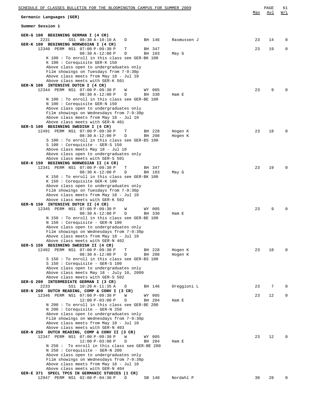| SCHEDULE OF CLASSES BULLETIN FOR THE BLOOMINGTON CAMPUS FOR SUMMER 2009                                       | Max | PAGE<br>Avl | 61<br>W/L |
|---------------------------------------------------------------------------------------------------------------|-----|-------------|-----------|
| Germanic Languages (GER)                                                                                      |     |             |           |
| Summer Session 1                                                                                              |     |             |           |
| GER-G 100 BEGINNING GERMAN I (4 CR)                                                                           |     |             |           |
| 2231<br>SS1 08:30 A-10:10 A<br>BH 146<br>Rasmussen J<br>D<br>GER-K 100 BEGINNING NORWEGIAN I (4 CR)           | 23  | 14          | $\Omega$  |
| 12340 PERM NS1 07:00 P-09:30 P<br>Т<br>BH 347                                                                 | 23  | 19          | 0         |
| 08:30 A-12:00 P<br>D<br>BH 103<br>May G<br>K 100: To enroll in this class see GER-BK 100                      |     |             |           |
| K 100: Corequisite GER-K 150                                                                                  |     |             |           |
| Above class open to undergraduates only<br>Film showings on Tuesdays from 7-9:30p                             |     |             |           |
| Above class meets from May 18 - Jul 10                                                                        |     |             |           |
| Above class meets with GER-K 501                                                                              |     |             |           |
| GER-N 100 INTENSIVE DUTCH I (4 CR)<br>12344 PERM NS1 07:00 P-09:30 P<br>W<br>WY 005                           | 23  | 9           |           |
| $08:30 A-12:00 P$<br>BH 330<br>D<br>Ham E                                                                     |     |             |           |
| N 100: To enroll in this class see GER-BE 100<br>N 100 : Corequisite GER-N 150                                |     |             |           |
| Above class open to undergraduates only                                                                       |     |             |           |
| Film showings on Wednesdays from 7-9:30p                                                                      |     |             |           |
| Above class meets from May 18 - Jul 10<br>Above class meets with GER-N 401                                    |     |             |           |
| GER-S 100 BEGINNING SWEDISH I (4 CR)                                                                          |     |             |           |
| 12491 PERM NS1 07:00 P-09:30 P<br>Т<br>BH 228<br>Hogen K<br>D<br>BH 208                                       | 23  | 18          | $\Omega$  |
| 08:30 A-12:00 P<br>Hogen K<br>S 100: To enroll in this class see GER-BS 100                                   |     |             |           |
| $S$ 100 : Corequisite - GER-S 150                                                                             |     |             |           |
| Above class meets May 18 - Jul 10<br>Above class open to undergraduates only                                  |     |             |           |
| Above class meets with GER-S 501                                                                              |     |             |           |
| GER-K 150 BEGINNING NORWEGIAN II (4 CR)<br>12341 PERM NS1 07:00 P-09:30 P<br>Т<br>BH 347                      | 23  | 19          | $\Omega$  |
| D<br>08:30 A-12:00 P<br>BH 103<br>May G                                                                       |     |             |           |
| K 150 : To enroll in this class see GER-BK 100                                                                |     |             |           |
| K 150 : Corequisite GER-K 100<br>Above class open to undergraduates only                                      |     |             |           |
| Film showings on Tuesdays from 7-9:30p                                                                        |     |             |           |
| Above class meets from May 18 - Jul 10<br>Above class meets with GER-K 502                                    |     |             |           |
| GER-N 150 INTENSIVE DUTCH II (4 CR)                                                                           |     |             |           |
| 12345 PERM NS1 07:00 P-09:30 P<br>W<br>WY 005                                                                 | 23  | 9           |           |
| D<br>08:30 A-12:00 P<br>BH 330<br>Ham E<br>N 150 : To enroll in this class see GER-BE 100                     |     |             |           |
| N 150 : Corequisite - GER-N 100                                                                               |     |             |           |
| Above class open to undergraduates only<br>Film showings on Wednesdays from 7-9:30p                           |     |             |           |
| Above class meets from May 18 - Jul 10                                                                        |     |             |           |
| Above class meets with GER-N 402                                                                              |     |             |           |
| GER-S 150 BEGINNING SWEDISH II (4 CR)<br>12492 PERM NS1 07:00 P-09:30 P<br>Т<br>BH 228<br>Hogen K             | 23  | 18          |           |
| D<br>BH 208<br>$08:30 A-12:00 P$<br>Hogen K                                                                   |     |             |           |
| S 150 : To enroll in this class see GER-BS 100<br>$S$ 150 : Corequisite - GER-S 100                           |     |             |           |
| Above class open to undergraduates only                                                                       |     |             |           |
| Above class meets May 18 - July 10, 2009                                                                      |     |             |           |
| Above class meets with GER-S 502<br>GER-G 200 INTERMEDIATE GERMAN I (3 CR)                                    |     |             |           |
| 2233<br>SS1 10:20 A-11:35 A<br>D<br>BH 146<br>Oreggioni L                                                     | 23  | 7           |           |
| DUTCH READING, COMP & CONV I (3 CR)<br>GER-N 200<br>12346 PERM NS1 07:00 P-09:30 P<br>W<br>WY 005             | 23  | 12          | $\Omega$  |
| Ham E<br>$12:00 P-03:00 P$<br>D<br>BH 204                                                                     |     |             |           |
| N 200: To enroll in this class see GER-BE 200                                                                 |     |             |           |
| N 200 : Corequisite - GER-N 250<br>Above class open to undergraduates only                                    |     |             |           |
| Film showings on Wednesdays from 7-9:30p                                                                      |     |             |           |
| Above class meets from May 18 - Jul 10<br>Above class meets with GER-N 403                                    |     |             |           |
| GER-N 250 DUTCH READING, COMP & CONV II (3 CR)                                                                |     |             |           |
| 12347 PERM NS1 07:00 P-09:30 P<br>W<br>WY 005                                                                 | 23  | 12          |           |
| $12:00 P-03:00 P$<br>D<br>BH 204<br>Ham E<br>N 250: To enroll in this class see GER-BE 200                    |     |             |           |
| N 250 : Corequisite - GER-N 200                                                                               |     |             |           |
| Above class open to undergraduates only<br>Film showings on Wednesdays from 7-9:30p                           |     |             |           |
| Above class meets from May 18 - Jul 10                                                                        |     |             |           |
| Above class meets with GER-N 404                                                                              |     |             |           |
| GER-E 371 SPECL TPCS IN GERMANIC STUDIES (1 CR)<br>Nordahl P<br>12947 PERM NS1 02:00 P-04:30 P<br>D<br>SB 140 | 30  | 28          |           |
|                                                                                                               |     |             |           |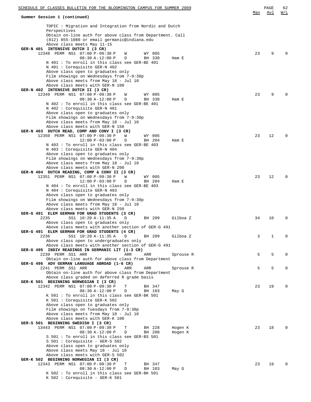| <u>SCHEDULE OF CLASSES BULLETIN FOR THE BLOOMINGTON CAMPUS FOR SUMMER 2009</u>                                                                                                                                                                                                                              |     | PAGE        | 62  |
|-------------------------------------------------------------------------------------------------------------------------------------------------------------------------------------------------------------------------------------------------------------------------------------------------------------|-----|-------------|-----|
| Summer Session 1 (continued)                                                                                                                                                                                                                                                                                | Max | Avl         | W/L |
| TOPIC: Migration and Integration from Nordic and Dutch<br>Perspectives<br>Obtain on-line auth for above class from Department. Call<br>(812) 855-1080 or email germanic@indiana.edu                                                                                                                         |     |             |     |
| Above class meets May 11-15<br>GER-N 401 INTENSIVE DUTCH I (3 CR)                                                                                                                                                                                                                                           |     |             |     |
| 12348 PERM NS1 07:00 P-09:30 P<br>W<br>WY 005<br>$08:30 A-12:00 P$<br>BH 330<br>D<br>Ham E<br>N 401 : To enroll in this class see GER-BE 401<br>N 401 : Corequisite GER-N 402                                                                                                                               | 23  | 9           |     |
| Above class open to graduates only<br>Film showings on Wednesdays from 7-9:30p<br>Above class meets from May 18 - Jul 10<br>Above class meets with GER-N 100<br>GER-N 402 INTENSIVE DUTCH II (3 CR)                                                                                                         |     |             |     |
| 12349 PERM NS1 07:00 P-09:30 P<br>W<br>WY 005<br>$08:30 A-12:00 P$<br>D<br>BH 330<br>Ham E<br>N 402: To enroll in this class see GER-BE 401                                                                                                                                                                 | 23  | 9           |     |
| N 402 : Corequisite GER-N 401<br>Above class open to graduates only<br>Film showings on Wednesdays from 7-9:30p<br>Above class meets from May 18 - Jul 10<br>Above class meets with GER-N 150<br>GER-N 403 DUTCH READ, COMP AND CONV I (3 CR)                                                               |     |             |     |
| 12350 PERM NS1 07:00 P-09:30 P<br>W<br>WY 005<br>$12:00 P-03:00 P$<br>D<br>BH 204<br>Ham E<br>N 403: To enroll in this class see GER-BE 403<br>N 403 : Corequisite GER-N 404<br>Above class open to graduates only                                                                                          | 23  | 12          | 0   |
| Film showings on Wednesdays from 7-9:30p<br>Above class meets from May 18 - Jul 10<br>Above class meets with GER-N 200<br>GER-N 404 DUTCH READING, COMP & CONV II (3 CR)<br>12351 PERM NS1 07:00 P-09:30 P<br>W<br>WY 005<br>$12:00 P-03:00 P$<br>D<br>BH 204<br>Ham E                                      | 23  | 12          | O   |
| N 404 : To enroll in this class see GER-BE 403<br>N 404 : Corequisite GER-N 403<br>Above class open to graduates only<br>Film showings on Wednesdays from 7-9:30p<br>Above class meets from May 18 - Jul 10<br>Above class meets with GER-N 250                                                             |     |             |     |
| GER-G 491 ELEM GERMAN FOR GRAD STUDENTS (3 CR)<br>2235<br>SS1 10:20 A-11:35 A<br>D<br>BH 209<br>Gilboa Z<br>Above class open to graduates only<br>Above class meets with another section of GER-G 491                                                                                                       | 34  | 10          | 0   |
| GER-G 491 ELEM GERMAN FOR GRAD STUDENTS (4 CR)<br>2236<br>SS1 10:20 A-11:35 A<br>D<br>BH 209<br>Gilboa Z<br>Above class open to undergraduates only<br>Above class meets with another section of GER-G 491                                                                                                  | 3   | $\mathbf 1$ | 0   |
| GER-G 495 INDIV READINGS IN GERMANIC LIT (1-3 CR)<br>2239 PERM SS1 ARR<br>ARR<br>ARR<br>Sprouse R<br>Obtain on-line auth for above class from Department                                                                                                                                                    | 5   | 5           | 0   |
| GER-G 496 ADV GERMAN LANGUAGE ABROAD (1-6 CR)<br>2241 PERM SS1 ARR<br>ARR<br>ARR<br>Sprouse R<br>Obtain on-line auth for above class from Department<br>Above class graded on deferred R grade basis                                                                                                        | 5   | 5           | 0   |
| GER-K 501 BEGINNING NORWEGIAN I (3 CR)<br>12342 PERM NS1 07:00 P-09:30 P<br>Т<br>BH 347<br>08:30 A-12:00 P<br>D<br>BH 103<br>May G<br>K 501: To enroll in this class see GER-BK 501                                                                                                                         | 23  | 19          |     |
| K 501 : Corequisite GER-K 502<br>Above class open to graduates only<br>Film showings on Tuesdays from 7-9:30p<br>Above class meets from May 18 - Jul 10<br>Above class meets with GER-K 100<br>GER-S 501 BEGINNING SWEDISH I (3 CR)                                                                         |     |             |     |
| 13443 PERM NS1 07:00 P-09:30 P<br>Т<br>BH 228<br>Hogen K<br>08:30 A-12:00 P<br>BH 208<br>D<br>Hogen K<br>S 501 : To enroll in this class see GER-BS 501<br>$S$ 501 : Corequisite - GER-S 502<br>Above class open to graduates only<br>Above class meets May 18 - Jul 10<br>Above class meets with GER-S 502 | 23  | 18          |     |
| GER-K 502 BEGINNING NORWEGIAN II (3 CR)<br>12343 PERM NS1 07:00 P-09:30 P<br>Т<br>BH 347<br>$08:30 A-12:00 P$<br>D<br>BH 103<br>May G<br>K 502 : To enroll in this class see GER-BK 501<br>K 502 : Corequisite - GER-K 501                                                                                  | 23  | 19          |     |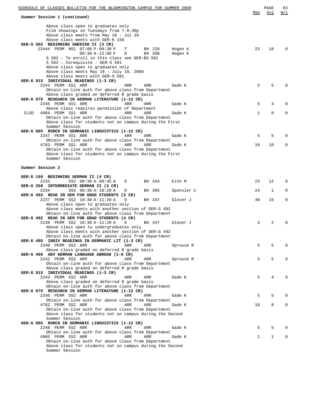| SCHEDULE OF CLASSES BULLETIN FOR THE BLOOMINGTON CAMPUS FOR SUMMER 2009                             |     | PAGE        | 63           |
|-----------------------------------------------------------------------------------------------------|-----|-------------|--------------|
| Summer Session 1 (continued)                                                                        | Max | Avl         | <u>W/L</u>   |
| Above class open to graduates only                                                                  |     |             |              |
| Film showings on Tuesdays from 7-9:30p                                                              |     |             |              |
| Above class meets from May 18 - Jul 10                                                              |     |             |              |
| Above class meets with GER-K 150                                                                    |     |             |              |
| GER-S 502 BEGINNING SWEDISH II (3 CR)<br>13444 PERM NS1 07:00 P-09:30 P<br>Т<br>BH 228<br>Hogen K   | 23  | 18          | $\Omega$     |
| $08:30 A-12:00 P$<br>BH 208<br>D<br>Hogen K                                                         |     |             |              |
| S 502: To enroll in this class see GER-BS 501                                                       |     |             |              |
| $S$ 502 : Corequisite - GER-S 501                                                                   |     |             |              |
| Above class open to graduates only                                                                  |     |             |              |
| Above class meets May 18 - July 10, 2009                                                            |     |             |              |
| Above class meets with GER-S 501                                                                    |     |             |              |
| GER-G 815 INDIVIDUAL READINGS (1-3 CR)                                                              |     |             |              |
| 2244 PERM SS1 ARR<br>ARR<br>ARR<br>Gade K                                                           | 5   | 5           | <sup>0</sup> |
| Obtain on-line auth for above class from Department                                                 |     |             |              |
| Above class graded on deferred R grade basis                                                        |     |             |              |
| GER-G 875 RESEARCH IN GERMAN LITERATURE (1-12 CR)                                                   |     |             | $\Omega$     |
| 2245 PERM SS1 ARR<br>ARR<br>ARR<br>Gade K<br>Above class requires permission of Department          | 5   | 4           |              |
| 4904 PERM SS1 ARR<br>ARR<br>CLSD<br>ARR<br>Gade K                                                   | 1   | $\mathbf 0$ | $\mathbf 0$  |
| Obtain on-line auth for above class from Department                                                 |     |             |              |
| Above class for students not on campus during the First                                             |     |             |              |
| Summer Session                                                                                      |     |             |              |
| GER-G 885 RSRCH IN GERMANIC LINGUISTICS (1-12 CR)                                                   |     |             |              |
| 2247 PERM SS1 ARR<br>ARR<br>ARR<br>Gade K                                                           | 5   | 5           | $\Omega$     |
| Obtain on-line auth for above class from Department                                                 |     |             |              |
| 4783 PERM SS1 ARR<br>ARR<br>ARR<br>Gade K                                                           | 10  | 10          | $\mathbf 0$  |
| Obtain on-line auth for above class from Department                                                 |     |             |              |
| Above class for students not on campus during the First                                             |     |             |              |
| Summer Session                                                                                      |     |             |              |
|                                                                                                     |     |             |              |
| Summer Session 2                                                                                    |     |             |              |
|                                                                                                     |     |             |              |
| GER-G 150 BEGINNING GERMAN II (4 CR)                                                                |     |             |              |
| 2232<br>SS2 08:30 A-09:45 A<br>BH 344<br>Eith M<br>D                                                | 23  | 12          | 0            |
| GER-G 250 INTERMEDIATE GERMAN II (3 CR)<br>2234<br>SS2 09:30 A-10:20 A<br>BH 305<br>Sponsler C<br>D | 24  | 1           | 0            |
| GER-G 492 READ IN GER FOR GRAD STUDENTS (3 CR)                                                      |     |             |              |
| 2237 PERM SS2 10:30 A-11:20 A<br>Glover J<br>D<br>BH 347                                            | 40  | 15          | $\mathbf 0$  |
| Above class open to graduates only                                                                  |     |             |              |
| Above class meets with another section of GER-G 492                                                 |     |             |              |
| Obtain on-line auth for above class from Department                                                 |     |             |              |
| GER-G 492 READ IN GER FOR GRAD STUDENTS (4 CR)                                                      |     |             |              |
| 2238 PERM SS2 10:30 A-11:20 A<br>D<br>BH 347<br>Glover J                                            | 3   | 2           | $\Omega$     |
| Above class open to undergraduates only                                                             |     |             |              |
| Above class meets with another section of GER-G 492                                                 |     |             |              |
| Obtain on-line auth for above class from Department                                                 |     |             |              |
| GER-G 495 INDIV READINGS IN GERMANIC LIT (1-3 CR)                                                   |     |             |              |
| 2240 PERM SS2 ARR<br>ARR<br>ARR<br>Sprouse R                                                        | 5   | 5           | $\Omega$     |
| Above class graded on deferred R grade basis                                                        |     |             |              |
| GER-G 496 ADV GERMAN LANGUAGE ABROAD (1-6 CR)                                                       |     |             |              |
| 2242 PERM SS2 ARR<br>ARR<br>ARR<br>Sprouse R                                                        | 5   | 5           | $\Omega$     |
| Obtain on-line auth for above class from Department                                                 |     |             |              |
| Above class graded on deferred R grade basis<br>GER-G 815 INDIVIDUAL READINGS (1-3 CR)              |     |             |              |
| 2243 PERM SS2 ARR                                                                                   |     | 4           | <sup>0</sup> |
| ARR<br>ARR<br>Gade K<br>Above class graded on deferred R grade basis                                | 5   |             |              |
| Obtain on-line auth for above class from Department                                                 |     |             |              |
| GER-G 875 RESEARCH IN GERMAN LITERATURE (1-12 CR)                                                   |     |             |              |
| 2246 PERM SS2 ARR<br>ARR<br>ARR<br>Gade K                                                           | 5   | 5           | $\Omega$     |
| Obtain on-line auth for above class from Department                                                 |     |             |              |
| 4782 PERM SS2 ARR<br>ARR<br>ARR<br>Gade K                                                           | 10  | 8           | 0            |
| Obtain on-line auth for above class from Department                                                 |     |             |              |
| Above class for students not on campus during the Second                                            |     |             |              |
| Summer Session                                                                                      |     |             |              |
| GER-G 885 RSRCH IN GERMANIC LINGUISTICS (1-12 CR)                                                   |     |             |              |
| 2248 PERM SS2 ARR<br>Gade K<br>ARR<br>ARR                                                           | 5   | 5           | 0            |
| Obtain on-line auth for above class from Department                                                 |     |             |              |
| 4905 PERM SS2 ARR<br>ARR<br>ARR<br>Gade K                                                           | 1   | 1           | 0            |
| Obtain on-line auth for above class from Department                                                 |     |             |              |
| Above class for students not on campus during the Second                                            |     |             |              |
| Summer Session                                                                                      |     |             |              |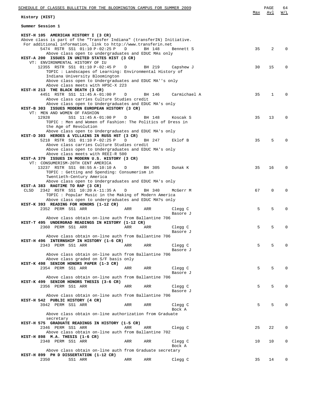| SCHEDULE OF CLASSES BULLETIN FOR THE BLOOMINGTON CAMPUS FOR SUMMER 2009                                   |     |        |                     | Max | PAGE<br>Avl | 64<br>W/L    |
|-----------------------------------------------------------------------------------------------------------|-----|--------|---------------------|-----|-------------|--------------|
| History (HIST)                                                                                            |     |        |                     |     |             |              |
| Summer Session 1                                                                                          |     |        |                     |     |             |              |
| HIST-H 105 AMERICAN HISTORY I (3 CR)                                                                      |     |        |                     |     |             |              |
| Above class is part of the "Transfer Indiana" (transferIN) Initiative.                                    |     |        |                     |     |             |              |
| For additional information, link to http://www.transferin.net<br>5474 RSTR SS1 01:10 P-02:25 P            | D   | BH 148 | Bennett S           | 35  | 2           |              |
| Above class open to undergraduates and EDUC MAs only                                                      |     |        |                     |     |             |              |
| HIST-A 200 ISSUES IN UNITED STATES HIST (3 CR)                                                            |     |        |                     |     |             |              |
| VT: ENVIRONMENTAL HISTORY OF IU                                                                           |     |        |                     |     |             |              |
| 12355 RSTR SS1 01:10 P-02:45 P                                                                            | D   | BH 219 | Capshew J           | 30  | 15          | 0            |
| TOPIC : Landscapes of Learning: Environmental History of                                                  |     |        |                     |     |             |              |
| Indiana University Bloomington<br>Above class open to Undergraduates and EDUC MA''s only                  |     |        |                     |     |             |              |
| Above class meets with HPSC-X 223                                                                         |     |        |                     |     |             |              |
| HIST-H 213 THE BLACK DEATH (3 CR)                                                                         |     |        |                     |     |             |              |
| 4451 RSTR SS1 11:45 A-01:00 P                                                                             | D   | BH 146 | Carmichael A        | 35  | 1           | <sup>0</sup> |
| Above class carries Culture Studies credit                                                                |     |        |                     |     |             |              |
| Above class open to Undergraduates and EDUC MA's only<br>HIST-B 303 ISSUES MODERN EUROPEAN HISTORY (3 CR) |     |        |                     |     |             |              |
| VT: MEN AND WOMEN OF FASHION                                                                              |     |        |                     |     |             |              |
| 12928<br>SS1 11:45 A-01:00 P                                                                              | D   | BH 148 | Koscak S            | 35  | 13          | $\Omega$     |
| TOPIC : Men and Women of Fashion: The Politics of Dress in                                                |     |        |                     |     |             |              |
| the Age of Revolution                                                                                     |     |        |                     |     |             |              |
| Above class open to Undergraduates and EDUC MA's only                                                     |     |        |                     |     |             |              |
| HIST-D 303 HEROES & VILLAINS IN RUSS HST (3 CR)<br>5218 RSTR SS1 01:10 P-02:25 P                          | D   | BH 247 | Eklof B             | 35  | 5           |              |
| Above class carries Culture Studies credit                                                                |     |        |                     |     |             |              |
| Above class open to Undergraduates and EDUC MA's only                                                     |     |        |                     |     |             |              |
| Above class meets with REEI-R 500                                                                         |     |        |                     |     |             |              |
| HIST-A 379 ISSUES IN MODERN U.S. HISTORY (3 CR)                                                           |     |        |                     |     |             |              |
| VT: CONSUMERISM-20TH CENT AMERICA                                                                         |     |        |                     |     |             |              |
| 13237 RSTR SS1 08:55 A-10:10 A<br>TOPIC: Getting and Spending: Consumerism in                             | D   | BH 305 | Dunak K             | 35  | 16          | $\Omega$     |
| Twentieth-Century America                                                                                 |     |        |                     |     |             |              |
| Above class open to Undergraduates and EDUC MA's only                                                     |     |        |                     |     |             |              |
| HIST-A 383 RAGTIME TO RAP (3 CR)                                                                          |     |        |                     |     |             |              |
| 2342 RSTR SS1 10:20 A-11:35 A<br>CLSD                                                                     | D   | BH 340 | McGerr M            | 67  | $\mathbf 0$ | 0            |
| TOPIC : Popular Music in the Making of Modern America                                                     |     |        |                     |     |             |              |
| Above class open to undergraduates and EDUC MA?s only<br>HIST-K 393 READING FOR HONORS (1-12 CR)          |     |        |                     |     |             |              |
| 2352 PERM SS1 ARR                                                                                         | ARR | ARR    | Clegg C             | 5   | 5           | 0            |
|                                                                                                           |     |        | Basore J            |     |             |              |
| Above class obtain on-line auth from Ballantine 706                                                       |     |        |                     |     |             |              |
| HIST-T 495 UNDERGRAD READINGS IN HISTORY (1-12 CR)                                                        |     |        |                     |     |             |              |
| 2360 PERM SS1 ARR                                                                                         | ARR | ARR    | Clegg C<br>Basore J | 5   | 5           | 0            |
| Above class obtain on-line auth from Ballantine 706                                                       |     |        |                     |     |             |              |
| HIST-H 496 INTERNSHIP IN HISTORY (1-6 CR)                                                                 |     |        |                     |     |             |              |
| 2343 PERM SS1 ARR                                                                                         | ARR | ARR    | Clegg C             | 5   | 5           |              |
|                                                                                                           |     |        | Basore J            |     |             |              |
| Above class obtain on-line auth from Ballantine 706                                                       |     |        |                     |     |             |              |
| Above class graded on S/F basis only<br>HIST-K 498 SENIOR HONORS PAPER (1-3 CR)                           |     |        |                     |     |             |              |
| 2354 PERM SS1 ARR                                                                                         | ARR | ARR    | Clegg C             | 5   | 5           |              |
|                                                                                                           |     |        | Basore J            |     |             |              |
| Above class obtain on-line auth from Ballantine 706                                                       |     |        |                     |     |             |              |
| HIST-K 499 SENIOR HONORS THESIS (3-6 CR)                                                                  |     |        |                     |     |             |              |
| 2356 PERM SS1 ARR                                                                                         | ARR | ARR    | Clegg C             | 5   | 5           |              |
| Above class obtain on-line auth from Ballantine 706                                                       |     |        | Basore J            |     |             |              |
| HIST-H 542 PUBLIC HISTORY (4 CR)                                                                          |     |        |                     |     |             |              |
| 3942 PERM SS1 ARR                                                                                         | ARR | ARR    | Clegg C             | 5   | 5           |              |
|                                                                                                           |     |        | Bock A              |     |             |              |
| Above class obtain on-line authorization from Graduate                                                    |     |        |                     |     |             |              |
| secretary                                                                                                 |     |        |                     |     |             |              |
| HIST-H 575 GRADUATE READINGS IN HISTORY (1-5 CR)                                                          |     |        |                     |     |             | $\Omega$     |
| 2346 PERM SS1 ARR<br>Above class obtain on-line auth from Ballantine 702                                  | ARR | ARR    | Clegg C             | 25  | 22          |              |
| HIST-H 898 M.A. THESIS (1-6 CR)                                                                           |     |        |                     |     |             |              |
| 2348 PERM SS1 ARR                                                                                         | ARR | ARR    | Clegg C             | 10  | 10          | 0            |
|                                                                                                           |     |        | Bock A              |     |             |              |
| Above class obtain on-line auth from Graduate secretary                                                   |     |        |                     |     |             |              |
| HIST-H 899 PH D DISSERTATION (1-12 CR)<br>2350<br>SS1 ARR                                                 | ARR | ARR    | Clegg C             | 35  | 14          | 0            |
|                                                                                                           |     |        |                     |     |             |              |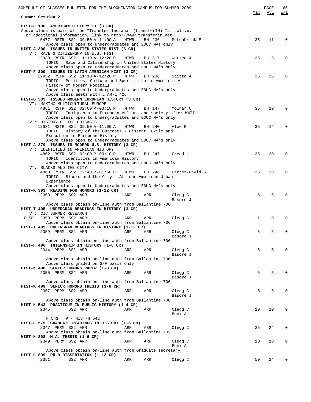| SCHEDULE OF CLASSES BULLETIN FOR THE BLOOMINGTON CAMPUS FOR SUMMER 2009                                |      |        |                     |              | PAGE | 65       |
|--------------------------------------------------------------------------------------------------------|------|--------|---------------------|--------------|------|----------|
| Summer Session 2                                                                                       |      |        |                     | Max          | Avl  | W/L      |
|                                                                                                        |      |        |                     |              |      |          |
| HIST-H 106 AMERICAN HISTORY II (3 CR)                                                                  |      |        |                     |              |      |          |
| Above class is part of the "Transfer Indiana" (transferIN) Initiative.                                 |      |        |                     |              |      |          |
| For additional information, link to http://www.transferin.net<br>5477 RSTR SS2 09:50 A-11:00 A         | MTWR | BH 236 | Petenbrink E        | 35           | 11   | $\Omega$ |
| Above class open to undergraduates and EDUC MAs only                                                   |      |        |                     |              |      |          |
| HIST-A 300 ISSUES IN UNITED STATES HIST (3 CR)                                                         |      |        |                     |              |      |          |
| VT: RACE & CITIZENSHP IN U.S. HIST                                                                     |      |        |                     |              |      |          |
| 12930 RSTR SS2 11:10 A-12:20 P                                                                         | MTWR | BH 317 | Warren J            | 35           | 3    | 0        |
| TOPIC: Race and Citizenship in United States History                                                   |      |        |                     |              |      |          |
| Above class open to Undergraduates and EDUC MA's only                                                  |      |        |                     |              |      |          |
| HIST-F 300 ISSUES IN LATIN AMERICAN HIST (3 CR)                                                        |      |        |                     |              |      |          |
| 12932 RSTR SS2 11:10 A-12:20 P<br>TOPIC : Politics, Culture and Sport in Latin America: A              | MTWR | BH 236 | Saitta A            | 35           | 25   | 0        |
| History of Modern Football                                                                             |      |        |                     |              |      |          |
| Above class open to Undergraduates and EDUC MA's only                                                  |      |        |                     |              |      |          |
| Above class meets with LTAM-L 426                                                                      |      |        |                     |              |      |          |
| HIST-B 303 ISSUES MODERN EUROPEAN HISTORY (3 CR)                                                       |      |        |                     |              |      |          |
| VT: MAKING MULTICULTURAL EUROPE                                                                        |      |        |                     |              |      |          |
| 4861 RSTR SS2 02:00 P-03:10 P                                                                          | MTWR | BH 147 | Molnar C            | 35           | 19   | 0        |
| TOPIC: Immigrants in European culture and society after WWII                                           |      |        |                     |              |      |          |
| Above class open to Undergraduates and EDUC MA's only<br>VT: HISTORY OF THE OUTCASTS                   |      |        |                     |              |      |          |
| 12931 RSTR SS2 09:50 A-11:00 A                                                                         | MTWR | BH 240 | Aloe R              | 35           | 14   | 0        |
| TOPIC: History of the Outcasts - Dissent, Exile and                                                    |      |        |                     |              |      |          |
| Execution in European History                                                                          |      |        |                     |              |      |          |
| Above class open to Undergraduates and EDUC MA's only                                                  |      |        |                     |              |      |          |
| HIST-A 379 ISSUES IN MODERN U.S. HISTORY (3 CR)                                                        |      |        |                     |              |      |          |
| VT: IDENTITIES IN AMERICAN HISTORY                                                                     |      |        |                     |              |      |          |
| 4862 RSTR SS2 02:00 P-03:10 P                                                                          | MTWR | BH 247 | Creed L             | 35           | 20   | $\Omega$ |
| TOPIC : Identities in American History                                                                 |      |        |                     |              |      |          |
| Above class open to Undergraduates and EDUC MA's only<br>VT: BLACKS AND THE CITY                       |      |        |                     |              |      |          |
| 4863 RSTR SS2 12:40 P-01:50 P                                                                          | MTWR | BH 246 | Carter-David S      | 35           | 28   | 0        |
| TOPIC : Blacks and the City - African American Urban                                                   |      |        |                     |              |      |          |
| Experience                                                                                             |      |        |                     |              |      |          |
| Above class open to Undergraduates and EDUC MA's only                                                  |      |        |                     |              |      |          |
| HIST-K 393 READING FOR HONORS (1-12 CR)                                                                |      |        |                     |              |      |          |
| 2353 PERM SS2 ARR                                                                                      | ARR  | ARR    | Clegg C             | 5            | 5    |          |
|                                                                                                        |      |        | Basore J            |              |      |          |
| Above class obtain on-line auth from Ballantine 706<br>HIST-T 495 UNDERGRAD READINGS IN HISTORY (3 CR) |      |        |                     |              |      |          |
| VT: CIC SUMMER RESEARCH                                                                                |      |        |                     |              |      |          |
| 2358 PERM SS2 ARR<br>CLSD                                                                              | ARR  | ARR    | Clegg C             | $\mathbf{1}$ | 0    | 0        |
| Above class obtain on-line auth from Ballantine 706                                                    |      |        |                     |              |      |          |
| HIST-T 495 UNDERGRAD READINGS IN HISTORY (1-12 CR)                                                     |      |        |                     |              |      |          |
| 2359 PERM SS2 ARR                                                                                      | ARR  | ARR    | Clegg C             | 5            | 5    | 0        |
|                                                                                                        |      |        | Basore J            |              |      |          |
| Above class obtain on-line auth from Ballantine 706                                                    |      |        |                     |              |      |          |
| HIST-H 496 INTERNSHIP IN HISTORY (1-6 CR)                                                              |      |        |                     |              |      |          |
| 2344 PERM SS2 ARR                                                                                      | ARR  | ARR    | Clegg C<br>Basore J | 5            | 5    |          |
| Above class obtain on-line auth from Ballantine 706                                                    |      |        |                     |              |      |          |
| Above class graded on S/F basis only                                                                   |      |        |                     |              |      |          |
| HIST-K 498 SENIOR HONORS PAPER (1-3 CR)                                                                |      |        |                     |              |      |          |
| 2355 PERM SS2 ARR                                                                                      | ARR  | ARR    | Clegg C             | 5            | 5    |          |
|                                                                                                        |      |        | Basore J            |              |      |          |
| Above class obtain on-line auth from Ballantine 706                                                    |      |        |                     |              |      |          |
| HIST-K 499 SENIOR HONORS THESIS (3-6 CR)                                                               |      |        |                     |              |      |          |
| 2357 PERM SS2 ARR                                                                                      | ARR  | ARR    | Clegg C             | 5            | 5    |          |
| Above class obtain on-line auth from Ballantine 706                                                    |      |        | Basore J            |              |      |          |
| HIST-H 543 PRACTICUM IN PUBLIC HISTORY (1-4 CR)                                                        |      |        |                     |              |      |          |
| 2345<br>SS2 ARR                                                                                        | ARR  | ARR    | Clegg C             | 10           | 10   | U        |
|                                                                                                        |      |        | Bock A              |              |      |          |
| H 543 : P - HIST-H 542                                                                                 |      |        |                     |              |      |          |
| HIST-H 575 GRADUATE READINGS IN HISTORY (1-5 CR)                                                       |      |        |                     |              |      |          |
| 2347 PERM SS2 ARR                                                                                      | ARR  | ARR    | Clegg C             | 25           | 24   | 0        |
| Above class obtain on-line auth from Ballantine 702                                                    |      |        |                     |              |      |          |
| HIST-H 898 M.A. THESIS (1-6 CR)                                                                        |      |        |                     |              |      |          |
| 2349 PERM SS2 ARR                                                                                      | ARR  | ARR    | Clegg C<br>Bock A   | 10           | 10   | 0        |
| Above class obtain on-line auth from Graduate secretary                                                |      |        |                     |              |      |          |
| HIST-H 899 PH D DISSERTATION (1-12 CR)                                                                 |      |        |                     |              |      |          |
| 2351<br>SS2 ARR                                                                                        | ARR  | ARR    | Clegg C             | 50           | 24   | 0        |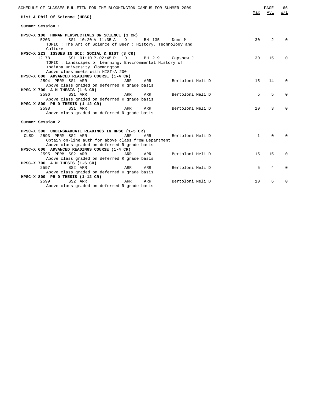| SCHEDULE OF CLASSES BULLETIN FOR THE BLOOMINGTON CAMPUS FOR SUMMER 2009<br>Hist & Phil Of Science (HPSC)           | Max          | PAGE<br>Avl    | 66<br>W/L |
|--------------------------------------------------------------------------------------------------------------------|--------------|----------------|-----------|
| Summer Session 1                                                                                                   |              |                |           |
| HPSC-X 100 HUMAN PERSPECTIVES ON SCIENCE (3 CR)                                                                    |              |                |           |
| 5203<br>SS1 10:20 A-11:35 A<br>BH 135<br>D<br>Dunn M<br>TOPIC: The Art of Science of Beer: History, Technology and | 30           | 2              | $\Omega$  |
| Culture                                                                                                            |              |                |           |
| HPSC-X 223 ISSUES IN SCI: SOCIAL & HIST (3 CR)                                                                     |              |                |           |
| SS1 01:10 P-02:45 P<br>12178<br>BH 219<br>D<br>Capshew J                                                           | 30           | 15             | $\Omega$  |
| TOPIC : Landscapes of Learning: Environmental History of                                                           |              |                |           |
| Indiana University Bloomington                                                                                     |              |                |           |
| Above class meets with HIST-A 200<br>HPSC-X 600 ADVANCED READINGS COURSE (1-4 CR)                                  |              |                |           |
| 2594 PERM SS1 ARR<br>Bertoloni Meli D<br>ARR<br>ARR                                                                | 15           | 14             | $\Omega$  |
| Above class graded on deferred R grade basis                                                                       |              |                |           |
| HPSC-X 700 A M THESIS (1-6 CR)                                                                                     |              |                |           |
| 2596<br>SS1 ARR<br>ARR<br>Bertoloni Meli D<br>ARR                                                                  | 5            | 5              | $\Omega$  |
| Above class graded on deferred R grade basis                                                                       |              |                |           |
| HPSC-X 800 PH D THESIS (1-12 CR)                                                                                   |              |                |           |
| 2598<br>SS1 ARR<br>ARR<br>Bertoloni Meli D<br>ARR                                                                  | 10           | 3              | $\Omega$  |
| Above class graded on deferred R grade basis                                                                       |              |                |           |
| Summer Session 2                                                                                                   |              |                |           |
| HPSC-X 300 UNDERGRADUATE READINGS IN HPSC (1-5 CR)                                                                 |              |                |           |
| 2593 PERM SS2 ARR<br>CLSD<br>ARR<br>ARR<br>Bertoloni Meli D                                                        | $\mathbf{1}$ | $\Omega$       | $\Omega$  |
| Obtain on-line auth for above class from Department                                                                |              |                |           |
| Above class graded on deferred R grade basis                                                                       |              |                |           |
| HPSC-X 600 ADVANCED READINGS COURSE (1-4 CR)                                                                       |              |                |           |
| 2595 PERM SS2 ARR<br>Bertoloni Meli D<br>ARR<br>ARR                                                                | 15           | 15             | $\Omega$  |
| Above class graded on deferred R grade basis                                                                       |              |                |           |
| HPSC-X 700 A M THESIS (1-6 CR)                                                                                     |              |                |           |
| 2597<br>SS2 ARR<br>Bertoloni Meli D<br>ARR<br>ARR                                                                  | 5            | $\overline{4}$ | $\Omega$  |
| Above class graded on deferred R grade basis                                                                       |              |                |           |
| HPSC-X 800 PH D THESIS (1-12 CR)                                                                                   |              |                |           |
| 2599<br>SS2 ARR<br>Bertoloni Meli D<br>ARR<br>ARR                                                                  | 10           | 6              | $\Omega$  |
| Above class graded on deferred R grade basis                                                                       |              |                |           |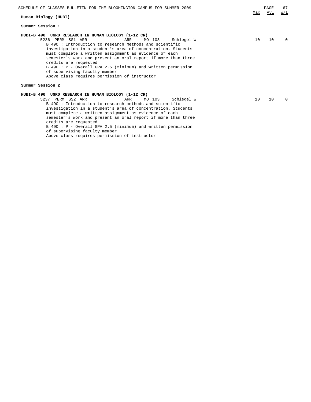| SCHEDULE OF CLASSES BULLETIN FOR THE BLOOMINGTON CAMPUS FOR SUMMER 2009                                                                                                                                                                                                                                                                                                                                                                                                                                                                | Max | PAGE<br><u>Avl</u> | 67<br>W/L |
|----------------------------------------------------------------------------------------------------------------------------------------------------------------------------------------------------------------------------------------------------------------------------------------------------------------------------------------------------------------------------------------------------------------------------------------------------------------------------------------------------------------------------------------|-----|--------------------|-----------|
| Human Biology (HUBI)                                                                                                                                                                                                                                                                                                                                                                                                                                                                                                                   |     |                    |           |
| Summer Session 1                                                                                                                                                                                                                                                                                                                                                                                                                                                                                                                       |     |                    |           |
| HUBI-B 490 UGRD RESEARCH IN HUMAN BIOLOGY (1-12 CR)<br>5236 PERM SS1 ARR<br>MO 103<br>Schlegel W<br>ARR<br>B 490: Introduction to research methods and scientific<br>investigation in a student's area of concentration. Students<br>must complete a written assignment as evidence of each<br>semester's work and present an oral report if more than three<br>credits are requested<br>B 490: P - Overall GPA 2.5 (minimum) and written permission<br>of supervising faculty member<br>Above class requires permission of instructor | 10  | 10                 | $\Omega$  |
| Summer Session 2                                                                                                                                                                                                                                                                                                                                                                                                                                                                                                                       |     |                    |           |
| HUBI-B 490 UGRD RESEARCH IN HUMAN BIOLOGY (1-12 CR)<br>5237 PERM SS2 ARR<br>ARR<br>MO 103<br>Schlegel W<br>B 490 : Introduction to research methods and scientific<br>investigation in a student's area of concentration. Students<br>must complete a written assignment as evidence of each<br>semester's work and present an oral report if more than three<br>credits are requested<br>B 490: P - Overall GPA 2.5 (minimum) and written permission                                                                                  | 10  | 10                 | $\Omega$  |

of supervising faculty member

Above class requires permission of instructor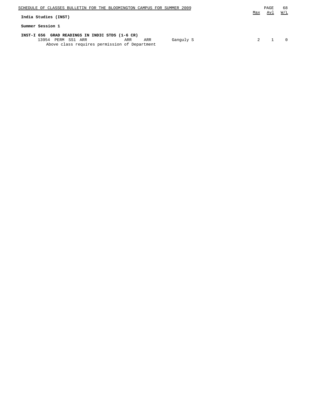| SCHEDULE OF CLASSES BULLETIN FOR THE BLOOMINGTON CAMPUS FOR SUMMER 2009<br>India Studies (INST)                                                      | Max | PAGE<br>Avl | 68<br>W/L |
|------------------------------------------------------------------------------------------------------------------------------------------------------|-----|-------------|-----------|
| Summer Session 1                                                                                                                                     |     |             |           |
| INST-I 656 GRAD READINGS IN INDIC STDS (1-6 CR)<br>13954<br>PERM SS1 ARR<br>Ganguly S<br>ARR<br>ARR<br>Above class requires permission of Department |     |             |           |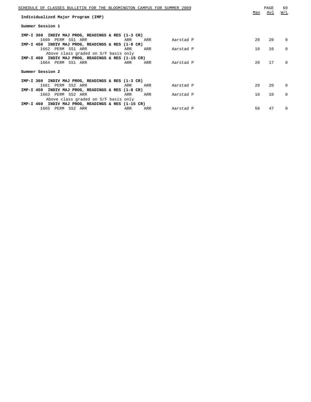| SCHEDULE OF CLASSES BULLETIN FOR THE BLOOMINGTON CAMPUS FOR SUMMER 2009<br>Individualized Major Program (IMP) | Max          | PAGE<br><u>Avl</u> | 69<br>W/L |
|---------------------------------------------------------------------------------------------------------------|--------------|--------------------|-----------|
| Summer Session 1                                                                                              |              |                    |           |
| IMP-I 360 INDIV MAJ PROG, READINGS & RES (1-3 CR)                                                             |              |                    |           |
| 1660 PERM SS1 ARR<br>Aarstad P<br>ARR<br>ARR                                                                  | $20^{\circ}$ | 20                 | $\Omega$  |
| IMP-I 450 INDIV MAJ PROG, READINGS & RES (1-8 CR)                                                             |              |                    |           |
| 1662 PERM SS1 ARR<br>ARR<br>ARR<br>Aarstad P                                                                  | 10           | 10                 | $\Omega$  |
| Above class graded on S/F basis only<br>IMP-I 460 INDIV MAJ PROG, READINGS & RES (1-15 CR)                    |              |                    |           |
| 1664 PERM SS1 ARR<br>ARR<br>ARR<br>Aarstad P                                                                  | 20           | 17                 | $\Omega$  |
| Summer Session 2                                                                                              |              |                    |           |
| IMP-I 360 INDIV MAJ PROG, READINGS & RES (1-3 CR)                                                             |              |                    |           |
| 1661 PERM SS2 ARR<br>Aarstad P<br>ARR<br>ARR                                                                  | 20           | 20                 | $\Omega$  |
| IMP-I 450 INDIV MAJ PROG, READINGS & RES (1-8 CR)                                                             |              |                    |           |
| 1663 PERM SS2 ARR<br>ARR<br>ARR<br>Aarstad P                                                                  | 10           | 10                 | $\Omega$  |
| Above class graded on S/F basis only                                                                          |              |                    |           |
| IMP-I 460 INDIV MAJ PROG, READINGS & RES (1-15 CR)                                                            |              |                    |           |
| 1665 PERM SS2 ARR<br>ARR<br>ARR<br>Aarstad P                                                                  | 50           | 47                 | $\Omega$  |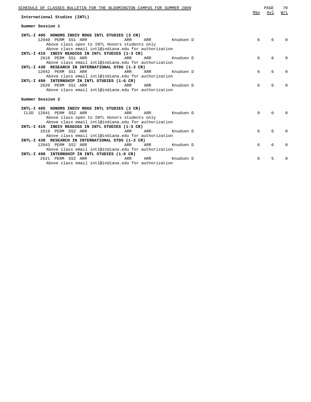| SCHEDULE OF CLASSES BULLETIN FOR THE BLOOMINGTON CAMPUS FOR SUMMER 2009<br>International Studies (INTL) | Max      | PAGE<br>Avl | 70<br>W/L    |
|---------------------------------------------------------------------------------------------------------|----------|-------------|--------------|
| Summer Session 1                                                                                        |          |             |              |
| INTL-I 405 HONORS INDIV RDGS INTL STUDIES (3 CR)                                                        |          |             |              |
| 12040 PERM SS1 ARR<br>ARR Knudsen D<br>ARR                                                              | 6        | 6           |              |
| Above class open to INTL Honors students only<br>Above class email intl@indiana.edu for authorization   |          |             |              |
| INTL-I 415 INDIV READIGS IN INTL STUDIES (1-3 CR)                                                       |          |             |              |
| 2618 PERM SS1 ARR<br>ARR<br>ARR<br>Knudsen D                                                            | 6        | 6           | 0            |
| Above class email intl@indiana.edu for authorization                                                    |          |             |              |
| INTL-I 430 RESEARCH IN INTERNATIONAL STDS (1-3 CR)                                                      |          |             |              |
| 12042 PERM SS1 ARR<br>ARR ARR<br>Knudsen D                                                              | 6        | 6           | <sup>n</sup> |
| Above class email intl@indiana.edu for authorization                                                    |          |             |              |
| INTL-I 498 INTERNSHIP IN INTL STUDIES (1-6 CR)                                                          |          |             |              |
| 2620 PERM SS1 ARR<br>ARR<br>ARR Knudsen D                                                               | 6        | 6           | ∩            |
| Above class email intl@indiana.edu for authorization                                                    |          |             |              |
| Summer Session 2                                                                                        |          |             |              |
|                                                                                                         |          |             |              |
| INTL-I 405 HONORS INDIV RDGS INTL STUDIES (3 CR)                                                        |          |             |              |
| CLSD 12041 PERM SS2 ARR<br>ARR<br>ARR Knudsen D                                                         | $\Omega$ | $\Omega$    |              |
| Above class open to INTL Honors students only                                                           |          |             |              |
| Above class email intl@indiana.edu for authorization                                                    |          |             |              |
| INTL-I 415 INDIV READIGS IN INTL STUDIES (1-3 CR)                                                       |          |             |              |
| 2619 PERM SS2 ARR<br>ARR<br>ARR<br>Knudsen D                                                            | 6        | 6           | 0            |
| Above class email intl@indiana.edu for authorization                                                    |          |             |              |
| INTL-I 430 RESEARCH IN INTERNATIONAL STDS (1-3 CR)                                                      |          |             |              |
| 12043 PERM SS2 ARR<br>ARR<br>ARR<br>Knudsen D                                                           | 6        | 6           | <sup>0</sup> |
| Above class email intl@indiana.edu for authorization                                                    |          |             |              |
| INTL-I 498 INTERNSHIP IN INTL STUDIES (1-6 CR)                                                          |          |             |              |
| 2621 PERM SS2 ARR<br>ARR<br>ARR<br>Knudsen D                                                            | 6        | 5           | <sup>0</sup> |
| Above class email intl@indiana.edu for authorization                                                    |          |             |              |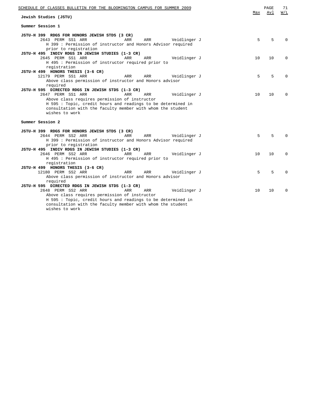| SCHEDULE OF CLASSES BULLETIN FOR THE BLOOMINGTON CAMPUS FOR SUMMER 2009   |     | PAGE | 71           |
|---------------------------------------------------------------------------|-----|------|--------------|
| Jewish Studies (JSTU)                                                     | Max | Avl  | W/L          |
| Summer Session 1                                                          |     |      |              |
| JSTU-H 399 RDGS FOR HONORS JEWISH STDS (3 CR)                             |     |      |              |
| 2643 PERM SS1 ARR<br>ARR<br>ARR<br>Veidlinger J                           | 5   | 5    | <sup>0</sup> |
| H 399 : Permission of instructor and Honors Advisor required              |     |      |              |
| prior to registration                                                     |     |      |              |
| JSTU-H 495 INDIV RDGS IN JEWISH STUDIES (1-3 CR)                          |     |      |              |
| 2645 PERM SS1 ARR<br>ARR<br>ARR<br>Veidlinger J                           | 10  | 10   | $\Omega$     |
| H 495 : Permission of instructor required prior to                        |     |      |              |
| registration<br>JSTU-H 499 HONORS THESIS (3-6 CR)                         |     |      |              |
| 12179 PERM SS1 ARR<br>ARR<br>ARR<br>Veidlinger J                          | 5   | 5    |              |
| Above class permission of instructor and Honors advisor                   |     |      |              |
| required                                                                  |     |      |              |
| JSTU-H 595 DIRECTED RDGS IN JEWISH STDS (1-3 CR)                          |     |      |              |
| 2647 PERM SS1 ARR<br>ARR<br>ARR<br>Veidlinger J                           | 10  | 10   | $\Omega$     |
| Above class requires permission of instructor                             |     |      |              |
| H 595 : Topic, credit hours and readings to be determined in              |     |      |              |
| consultation with the faculty member with whom the student                |     |      |              |
| wishes to work                                                            |     |      |              |
| Summer Session 2                                                          |     |      |              |
|                                                                           |     |      |              |
| JSTU-H 399 RDGS FOR HONORS JEWISH STDS (3 CR)                             |     |      |              |
| 2644 PERM SS2 ARR<br>ARR<br>ARR<br>Veidlinger J                           | 5   | 5    |              |
| H 399 : Permission of instructor and Honors Advisor required              |     |      |              |
| prior to registration<br>JSTU-H 495 INDIV RDGS IN JEWISH STUDIES (1-3 CR) |     |      |              |
| 2646 PERM SS2 ARR<br>ARR<br>ARR<br>Veidlinger J                           | 10  | 10   | $\Omega$     |
| H 495 : Permission of instructor required prior to                        |     |      |              |
| registration                                                              |     |      |              |
| JSTU-H 499 HONORS THESIS (3-6 CR)                                         |     |      |              |
| 12180 PERM SS2 ARR<br>ARR<br>ARR<br>Veidlinger J                          | 5   | 5    | $\Omega$     |
| Above class permission of instructor and Honors advisor                   |     |      |              |
| required                                                                  |     |      |              |
| JSTU-H 595 DIRECTED RDGS IN JEWISH STDS (1-3 CR)                          |     |      |              |
| 2648 PERM SS2 ARR<br>ARR<br>ARR<br>Veidlinger J                           | 10  | 10   | $\Omega$     |
| Above class requires permission of instructor                             |     |      |              |
| H 595 : Topic, credit hours and readings to be determined in              |     |      |              |
| consultation with the faculty member with whom the student                |     |      |              |
| wishes to work                                                            |     |      |              |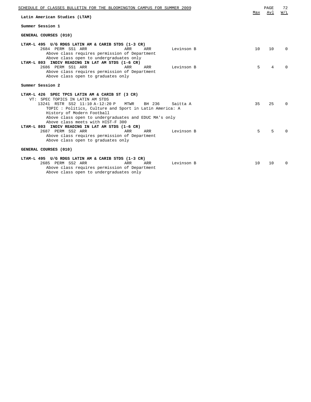| SCHEDULE OF CLASSES BULLETIN FOR THE BLOOMINGTON CAMPUS FOR SUMMER 2009                                                                                                                                        | Max | PAGE<br>Avl | 72<br>W/L |
|----------------------------------------------------------------------------------------------------------------------------------------------------------------------------------------------------------------|-----|-------------|-----------|
| Latin American Studies (LTAM)                                                                                                                                                                                  |     |             |           |
| Summer Session 1                                                                                                                                                                                               |     |             |           |
| GENERAL COURSES (010)                                                                                                                                                                                          |     |             |           |
| LTAM-L 495 U/G RDGS LATIN AM & CARIB STDS (1-3 CR)                                                                                                                                                             |     |             |           |
| 2684 PERM SS1 ARR<br><b>ARR</b><br>ARR<br>Levinson B<br>Above class requires permission of Department<br>Above class open to undergraduates only<br>LTAM-L 803 INDIV READING IN LAT AM STDS (1-6 CR)           | 10  | 10          | $\Omega$  |
| 2686 PERM SS1 ARR<br>ARR<br>ARR<br>Levinson B<br>Above class requires permission of Department<br>Above class open to graduates only                                                                           | 5.  | 4           | $\cap$    |
| Summer Session 2                                                                                                                                                                                               |     |             |           |
| LTAM-L 426 SPEC TPCS LATIN AM & CARIB ST (3 CR)<br>VT: SPEC TOPICS IN LATIN AM STDS                                                                                                                            |     |             |           |
| 13241 RSTR SS2 11:10 A-12:20 P<br>MTWR<br>BH 236<br>Saitta A<br>TOPIC : Politics, Culture and Sport in Latin America: A<br>History of Modern Football<br>Above class open to undergraduates and EDUC MA's only | 35  | 25          | $\Omega$  |
| Above class meets with HIST-F 300                                                                                                                                                                              |     |             |           |
| LTAM-L 803 INDIV READING IN LAT AM STDS (1-6 CR)<br>2687 PERM SS2 ARR<br>ARR<br>ARR<br>Levinson B<br>Above class requires permission of Department<br>Above class open to graduates only                       | 5   | 5           | $\Omega$  |
| GENERAL COURSES (010)                                                                                                                                                                                          |     |             |           |
| LTAM-L 495 U/G RDGS LATIN AM & CARIB STDS (1-3 CR)<br>2685 PERM SS2 ARR<br>ARR<br>ARR<br>Levinson B<br>Above class requires permission of Department                                                           | 10  | 10          | $\Omega$  |

Above class open to undergraduates only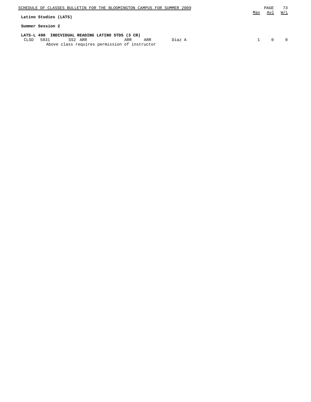| SCHEDULE OF CLASSES BULLETIN FOR THE BLOOMINGTON CAMPUS FOR SUMMER 2009                          | Max | PAGE<br>Avl | 73<br>W/L |
|--------------------------------------------------------------------------------------------------|-----|-------------|-----------|
| Latino Studies (LATS)                                                                            |     |             |           |
| Summer Session 2                                                                                 |     |             |           |
| LATS-L 490 INDIVIDUAL READING LATINO STDS (3 CR)                                                 |     |             |           |
| Diaz A<br>5831<br>SS2 ARR<br>CLSD<br>ARR<br>ARR<br>Above class requires permission of instructor |     | $\cap$      | $\Omega$  |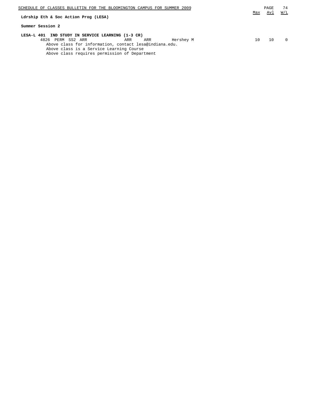| SCHEDULE OF CLASSES BULLETIN FOR THE BLOOMINGTON CAMPUS FOR SUMMER 2009<br>Ldrship Eth & Soc Action Prog (LESA) | Max | PAGE<br>Avl | 74<br>W/L |
|-----------------------------------------------------------------------------------------------------------------|-----|-------------|-----------|
| Summer Session 2                                                                                                |     |             |           |
| LESA-L 401 IND STUDY IN SERVICE LEARNING (1-3 CR)                                                               |     |             |           |
| 4826 PERM SS2 ARR<br>Hershey M<br>ARR<br>ARR                                                                    | 10  | 10          |           |
| Above class for information, contact lesa@indiana.edu.                                                          |     |             |           |
| Above class is a Service Learning Course                                                                        |     |             |           |
| Above class requires permission of Department                                                                   |     |             |           |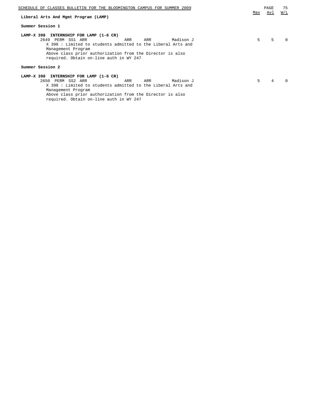| SCHEDULE OF CLASSES BULLETIN FOR THE BLOOMINGTON CAMPUS FOR SUMMER 2009 | Max | PAGE<br>Avl | 75<br>W/L |
|-------------------------------------------------------------------------|-----|-------------|-----------|
| Liberal Arts And Mgmt Program (LAMP)                                    |     |             |           |
| Summer Session 1                                                        |     |             |           |
| LAMP-X 398<br>INTERNSHIP FOR LAMP (1-6 CR)                              |     |             |           |
| 2649 PERM SS1 ARR<br>Madison J<br>ARR<br>ARR                            | 5   | 5           | 0         |
| X 398 : Limited to students admitted to the Liberal Arts and            |     |             |           |
| Management Program                                                      |     |             |           |
| Above class prior authorization from the Director is also               |     |             |           |
| required. Obtain on-line auth in WY 247                                 |     |             |           |
|                                                                         |     |             |           |
| Summer Session 2                                                        |     |             |           |
| LAMP-X 398                                                              |     |             |           |
| INTERNSHIP FOR LAMP (1-6 CR)                                            |     |             |           |
| 2650 PERM SS2 ARR<br>Madison J<br>ARR<br>ARR                            | 5.  | 4           | 0         |
| X 398 : Limited to students admitted to the Liberal Arts and            |     |             |           |
| Management Program                                                      |     |             |           |
| Above class prior authorization from the Director is also               |     |             |           |

required. Obtain on-line auth in WY 247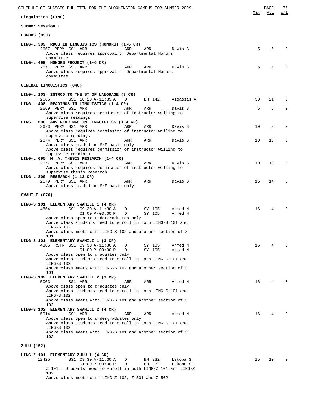| SCHEDULE OF CLASSES BULLETIN FOR THE BLOOMINGTON CAMPUS FOR SUMMER 2009                                                                                                                                         |     | PAGE | 76          |
|-----------------------------------------------------------------------------------------------------------------------------------------------------------------------------------------------------------------|-----|------|-------------|
| Linguistics (LING)                                                                                                                                                                                              | Max | Avl  | W/L         |
| Summer Session 1                                                                                                                                                                                                |     |      |             |
| HONORS (030)                                                                                                                                                                                                    |     |      |             |
| LING-L 399 RDGS IN LINGUISTICS (HONORS) (1-6 CR)<br>2667 PERM SS1 ARR<br>ARR<br>ARR<br>Davis S<br>Above class requires approval of Departmental Honors<br>committee                                             | 5   | 5    | O           |
| LING-L 499 HONORS PROJECT (1-6 CR)<br>2671 PERM SS1 ARR<br>ARR<br>ARR<br>Davis S<br>Above class requires approval of Departmental Honors<br>committee                                                           | 5   | 5    |             |
| GENERAL LINGUISTICS (040)                                                                                                                                                                                       |     |      |             |
| LING-L 103 INTROD TO THE ST OF LANGUAGE (3 CR)<br>2665<br>SS1 10:20 A-11:35 A<br>D<br>BH 142<br>Alqassas A                                                                                                      | 30  | 21   | 0           |
| LING-L 408 READINGS IN LINGUISTICS (1-4 CR)<br>2669 PERM SS1 ARR<br>ARR<br>ARR<br>Davis S<br>Above class requires permission of instructor willing to                                                           | 5   | 5    | $\mathbf 0$ |
| supervise readings<br>LING-L 690 ADV READINGS IN LINGUISTICS (1-4 CR)<br>2673 PERM SS1 ARR<br>ARR<br>ARR<br>Davis S<br>Above class requires permission of instructor willing to                                 | 10  | 9    | 0           |
| supervise readings<br>2674 PERM SS1 ARR<br>ARR<br>Davis S<br>ARR<br>Above class graded on S/F basis only<br>Above class requires permission of instructor willing to                                            | 10  | 10   | $\Omega$    |
| supervise readings<br>LING-L 695 M. A. THESIS RESEARCH (1-4 CR)<br>2677 PERM SS1 ARR<br>ARR<br>ARR<br>Davis S                                                                                                   | 10  | 10   | 0           |
| Above class requires permission of instructor willing to<br>supervise thesis research<br>LING-L 800 RESEARCH (1-12 CR)<br>2679 PERM SS1 ARR<br>ARR<br>ARR<br>Davis S                                            | 15  | 14   | 0           |
| Above class graded on S/F basis only                                                                                                                                                                            |     |      |             |
| SWAHILI (070)                                                                                                                                                                                                   |     |      |             |
| LING-S 101 ELEMENTARY SWAHILI 1 (4 CR)<br>4864<br>SS1 09:30 A-11:30 A<br>D<br>SY 105<br>Ahmed N<br>$01:00 P-03:00 P$<br>D<br>SY 105<br>Ahmed N<br>Above class open to undergraduates only                       | 16  | 4    |             |
| Above class students need to enroll in both LING-S 101 and<br>LING-S 102<br>Above class meets with LING-S 102 and another section of S<br>101                                                                   |     |      |             |
| LING-S 101 ELEMENTARY SWAHILI 1 (3 CR)<br>4865 RSTR SS1 09:30 A-11:30 A<br>D<br>SY 105<br>Ahmed N<br>$01:00 P-03:00 P$<br>$\mathbb D$<br>SY 105<br>Ahmed N<br>Above class open to graduates only                | 16  | 4    | $\Omega$    |
| Above class students need to enroll in both LING-S 101 and<br>LING-S 102<br>Above class meets with LING-S 102 and another section of S<br>101                                                                   |     |      |             |
| LING-S 102 ELEMENTARY SWAHILI 2 (3 CR)<br>5003<br>SS1 ARR<br>ARR<br>ARR<br>Ahmed N<br>Above class open to graduates only                                                                                        | 16  | 4    | $\Omega$    |
| Above class students need to enroll in both LING-S 101 and<br>LING-S 102<br>Above class meets with LING-S 101 and another section of S<br>102                                                                   |     |      |             |
| LING-S 102 ELEMENTARY SWAHILI 2 (4 CR)<br>5014<br>SS1 ARR<br>ARR<br>ARR<br>Ahmed N<br>Above class open to undergraduates only                                                                                   | 16  | 4    |             |
| Above class students need to enroll in both LING-S 101 and<br>LING-S 102<br>Above class meets with LING-S 101 and another section of S<br>102                                                                   |     |      |             |
| ZULU (152)                                                                                                                                                                                                      |     |      |             |
| LING-Z 101 ELEMENTARY ZULU I (4 CR)<br>12425<br>SS1 09:30 A-11:30 A<br>BH 232<br>Lekoba S<br>D<br>$01:00 P-03:00 P$<br>D<br>BH 232<br>Lekoba S<br>Z 101 : Students need to enroll in both LING-Z 101 and LING-Z | 15  | 10   | $\Omega$    |
| 102<br>Above class meets with LING-Z 102, Z 501 and Z 502                                                                                                                                                       |     |      |             |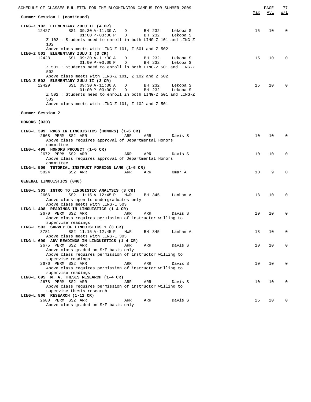| SCHEDULE OF CLASSES BULLETIN FOR THE BLOOMINGTON CAMPUS FOR SUMMER 2009                                      | Max    | PAGE       | 77               |
|--------------------------------------------------------------------------------------------------------------|--------|------------|------------------|
| Summer Session 1 (continued)                                                                                 |        | <u>Avl</u> | $\overline{M/L}$ |
| LING-Z 102 ELEMENTARY ZULU II (4 CR)                                                                         |        |            |                  |
| 12427<br>SS1 09:30 A-11:30 A<br>BH 232<br>Lekoba S<br>D                                                      | 15     | 10         | 0                |
| $01:00 P-03:00 P$<br>BH 232<br>D<br>Lekoba S<br>Z 102: Students need to enroll in both LING-Z 101 and LING-Z |        |            |                  |
| 102                                                                                                          |        |            |                  |
| Above class meets with LING-Z 101, Z 501 and Z 502                                                           |        |            |                  |
| LING-Z 501 ELEMENTARY ZULU I (3 CR)                                                                          |        |            |                  |
| 12428<br>SS1 09:30 A-11:30 A<br>BH 232<br>Lekoba S<br>D<br>$01:00 P-03:00 P$<br>BH 232<br>D<br>Lekoba S      | 15     | 10         | 0                |
| Z 501 : Students need to enroll in both LING-Z 501 and LING-Z                                                |        |            |                  |
| 502                                                                                                          |        |            |                  |
| Above class meets with LING-Z 101, Z 102 and Z 502                                                           |        |            |                  |
| LING-Z 502 ELEMENTARY ZULU II (3 CR)                                                                         |        |            |                  |
| 12429<br>SS1 09:30 A-11:30 A<br>BH 232<br>Lekoba S<br>D<br>$01:00 P-03:00 P$<br>BH 232<br>D<br>Lekoba S      | 15     | 10         | 0                |
| Z 502 : Students need to enroll in both LING-Z 501 and LING-Z                                                |        |            |                  |
| 502                                                                                                          |        |            |                  |
| Above class meets with LING-Z 101, Z 102 and Z 501                                                           |        |            |                  |
|                                                                                                              |        |            |                  |
| Summer Session 2                                                                                             |        |            |                  |
| HONORS (030)                                                                                                 |        |            |                  |
|                                                                                                              |        |            |                  |
| LING-L 399 RDGS IN LINGUISTICS (HONORS) (1-6 CR)                                                             |        |            |                  |
| 2668 PERM SS2 ARR<br>ARR<br>ARR<br>Davis S                                                                   | 10     | 10         | 0                |
| Above class requires approval of Departmental Honors<br>committee                                            |        |            |                  |
| LING-L 499 HONORS PROJECT (1-6 CR)                                                                           |        |            |                  |
| 2672 PERM SS2 ARR<br>ARR<br>ARR<br>Davis S                                                                   | 10     | 10         | $\mathbf 0$      |
| Above class requires approval of Departmental Honors                                                         |        |            |                  |
| committee                                                                                                    |        |            |                  |
| LING-L 506 TUTORIAL INSTRUCT FOREIGN LANG (1-6 CR)<br>5824<br>SS2 ARR<br>ARR<br>ARR<br>Omar A                | 10     | 9          | $\mathbf 0$      |
|                                                                                                              |        |            |                  |
| GENERAL LINGUISTICS (040)                                                                                    |        |            |                  |
|                                                                                                              |        |            |                  |
| LING-L 303 INTRO TO LINGUISTIC ANALYSIS (3 CR)<br>2666<br>SS2 11:15 A-12:45 P<br>MWR<br>BH 345<br>Lanham A   | 18     | 10         | 0                |
| Above class open to undergraduates only                                                                      |        |            |                  |
| Above class meets with LING-L 503                                                                            |        |            |                  |
| LING-L 408 READINGS IN LINGUISTICS (1-4 CR)                                                                  |        |            |                  |
| 2670 PERM SS2 ARR<br>ARR<br>ARR<br>Davis S                                                                   | 10     | 10         | 0                |
| Above class requires permission of instructor willing to<br>supervise readings                               |        |            |                  |
| LING-L 503 SURVEY OF LINGUISTICS 1 (3 CR)                                                                    |        |            |                  |
| BH 345<br>Lanham A<br>3781<br>SS2 11:15 A-12:45 P<br>MWR                                                     | $18\,$ | 10         | 0                |
| Above class meets with LING-L 303                                                                            |        |            |                  |
| LING-L 690 ADV READINGS IN LINGUISTICS (1-4 CR)                                                              |        |            |                  |
| 2675 PERM SS2 ARR<br>ARR<br>ARR<br>Davis S<br>Above class graded on S/F basis only                           | 10     | 10         | $\mathbf 0$      |
| Above class requires permission of instructor willing to                                                     |        |            |                  |
| supervise readings                                                                                           |        |            |                  |
| 2676 PERM SS2 ARR<br>ARR<br>ARR<br>Davis S                                                                   | 10     | 10         | 0                |
| Above class requires permission of instructor willing to                                                     |        |            |                  |
| supervise readings<br>LING-L 695 M. A. THESIS RESEARCH (1-4 CR)                                              |        |            |                  |
| 2678 PERM SS2 ARR<br>ARR<br>ARR<br>Davis S                                                                   | 10     | 10         | 0                |
| Above class requires permission of instructor willing to                                                     |        |            |                  |
| supervise thesis research                                                                                    |        |            |                  |
| LING-L 800 RESEARCH (1-12 CR)                                                                                | 25     | 20         | 0                |
| 2680 PERM SS2 ARR<br>ARR<br>ARR<br>Davis S<br>Above class graded on S/F basis only                           |        |            |                  |
|                                                                                                              |        |            |                  |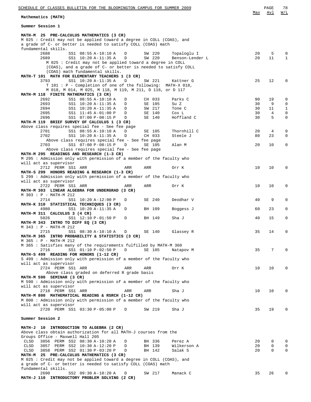| SCHEDULE OF CLASSES BULLETIN FOR THE BLOOMINGTON CAMPUS FOR SUMMER 2009                                                    |          | PAGE            | 78                         |
|----------------------------------------------------------------------------------------------------------------------------|----------|-----------------|----------------------------|
| Mathematics (MATH)                                                                                                         | Max      | Avl             | W/L                        |
| Summer Session 1                                                                                                           |          |                 |                            |
| MATH-M 25 PRE-CALCULUS MATHEMATICS (3 CR)                                                                                  |          |                 |                            |
| M 025 : Credit may not be applied toward a degree in COLL (COAS), and                                                      |          |                 |                            |
| a grade of C- or better is needed to satisfy COLL (COAS) math                                                              |          |                 |                            |
| fundamental skills.                                                                                                        |          |                 |                            |
| 2688<br>SS1 08:55 A-10:10 A<br>D<br>SW 220<br>Topaloglu I                                                                  | 20       | 5               | $\mathbf 0$                |
| 2689<br>SS1 10:20 A-11:35 A<br>SW 220<br>Benson-Lender L<br>D<br>M 025 : Credit may not be applied toward a degree in COLL | 20       | 11              | $\mathbf{1}$               |
| (COAS), and a grade of C- or better is needed to satisfy COLL                                                              |          |                 |                            |
| (COAS) math fundamental skills.                                                                                            |          |                 |                            |
| MATH-T 101 MATH FOR ELEMENTARY TEACHERS 1 (3 CR)                                                                           |          |                 |                            |
| 3793<br>SS1 10:20 A-11:35 A<br>D<br>SW 221<br>Kattner G                                                                    | 25       | 12              | $\mathbf 0$                |
| T 101 : P - Completion of one of the following: MATH-X 018,                                                                |          |                 |                            |
| M 018, M 014, M 025, M 118, M 119, M 211, D 116, or D 117                                                                  |          |                 |                            |
| MATH-M 118 FINITE MATHEMATICS (3 CR)                                                                                       |          |                 |                            |
| 2692<br>SS1 08:55 A-10:10 A<br>CH 033<br>D<br>Parks C                                                                      | 90       | 19              | 0                          |
| 2693<br>SS1 10:20 A-11:35 A<br>SE 105<br>Su Z<br>D                                                                         | 30       | 9               | $\mathbf 0$                |
| 2694<br>SW 217<br>SS1 10:20 A-11:35 A<br>Tone C<br>D                                                                       | 30       | 11              | $\mathbf{1}$               |
| 2695<br>SS1 11:45 A-01:00 P<br>SE 140<br>Cox L<br>D<br>2696<br>Hoffland C                                                  | 30<br>30 | 4<br>5          | $\mathbf 0$<br>$\mathbf 0$ |
| SS1 07:00 P-08:15 P<br>SE 140<br>D<br>MATH-M 119 BRIEF SURVEY OF CALCULUS 1 (3 CR)                                         |          |                 |                            |
| Above class requires special fee - See fee page                                                                            |          |                 |                            |
| SS1 08:55 A-10:10 A<br>2701<br>Thornhill C<br>D<br>SE 105                                                                  | 20       | 4               | 0                          |
| 2702<br>SS1 10:20 A-11:35 A<br>CH 033<br>Steele J<br>D                                                                     | 80       | 23              | $\mathbf 0$                |
| Above class requires special fee - See fee page                                                                            |          |                 |                            |
| SS1 07:00 P-08:15 P<br>2703<br>SE 105<br>Alan M<br>D                                                                       | 20       | 10              | $\mathbf 0$                |
| Above class requires special fee - See fee page                                                                            |          |                 |                            |
| MATH-M 295 READINGS AND RESEARCH (1-3 CR)                                                                                  |          |                 |                            |
| M 295 : Admission only with permission of a member of the faculty who                                                      |          |                 |                            |
| will act as supervisor                                                                                                     |          |                 |                            |
| 2712 PERM SS1 ARR<br>ARR<br>ARR<br>Orr K                                                                                   | 10       | 10              | 0                          |
| MATH-S 299 HONORS READING & RESEARCH (1-3 CR)                                                                              |          |                 |                            |
| S 299: Admission only with permission of a member of the faculty who                                                       |          |                 |                            |
| will act as supervisor<br>2722 PERM SS1 ARR<br>ARR<br>ARR                                                                  | 10       | 10              | $\mathbf 0$                |
| Orr K<br>MATH-M 303 LINEAR ALGEBRA FOR UNDERGRAD (3 CR)                                                                    |          |                 |                            |
| M 303 : P - MATH-M 212                                                                                                     |          |                 |                            |
| 2714<br>SS1 10:20 A-12:00 P<br>SE 240<br>Deodhar V<br>D                                                                    | 40       | 9               | $\mathbf 0$                |
| MATH-K 310 STATISTICAL TECHNIQUES (3 CR)                                                                                   |          |                 |                            |
| 4980<br>SS1 10:20 A-11:35 A<br>BH 109<br>Boggess J<br>D                                                                    | 60       | 23              | 0                          |
| MATH-M 311 CALCULUS 3 (4 CR)                                                                                               |          |                 |                            |
| 5026<br>SS1 12:10 P-01:50 P<br>D<br>BH 149<br>Sha J                                                                        | 40       | 15              | $\mathbf 0$                |
| MATH-M 343 INTRO TO DIFF EQ (3 CR)                                                                                         |          |                 |                            |
| M 343 : P - MATH-M 212                                                                                                     |          |                 |                            |
| 2715<br>SE 140<br>SS1 08:30 A-10:10 A<br>Glassey R<br>D                                                                    | 35       | 14              | 0                          |
| MATH-M 365 INTRO PROBABILITY & STATISTICS (3 CR)                                                                           |          |                 |                            |
| M 365 : P - MATH-M 212                                                                                                     |          |                 |                            |
| M 365 : Satisfies many of the requirements fulfilled by MATH-M 360                                                         |          |                 |                            |
| SS1 01:10 P-02:50 P<br>2716<br>D<br>SE 105<br>Natapov M                                                                    | 35       | $7\phantom{.0}$ | $\Omega$                   |
| MATH-S 499 READING FOR HONORS (1-12 CR)                                                                                    |          |                 |                            |
| S 499: Admission only with permission of a member of the faculty who<br>will act as supervisor                             |          |                 |                            |
| 2724 PERM SS1 ARR<br>ARR<br>ARR<br>Orr K                                                                                   | 10       | 10              | $\mathbf 0$                |
| Above class graded on deferred R grade basis                                                                               |          |                 |                            |
| MATH-M 590 SEMINAR (3 CR)                                                                                                  |          |                 |                            |
| M 590: Admission only with permission of a member of the faculty who                                                       |          |                 |                            |
| will act as supervisor                                                                                                     |          |                 |                            |
| 2718 PERM SS1 ARR<br>ARR<br>Sha J<br>ARR                                                                                   | 10       | 10              | 0                          |
| MATH-M 800 MATHEMATICAL READING & RSRCH (1-12 CR)                                                                          |          |                 |                            |
| M 800: Admission only with permission of a member of the faculty who                                                       |          |                 |                            |
| will act as supervisor                                                                                                     |          |                 |                            |
| 2720 PERM SS1 03:30 P-05:00 P<br>D<br>SW 219<br>Sha J                                                                      | 35       | 19              | $\mathbf 0$                |
|                                                                                                                            |          |                 |                            |
| Summer Session 2                                                                                                           |          |                 |                            |
|                                                                                                                            |          |                 |                            |
| MATH-J 10 INTRODUCTION TO ALGEBRA (2 CR)                                                                                   |          |                 |                            |
| Above class obtain authorization for all MATH-J courses from the                                                           |          |                 |                            |
| Groups Office - Maxwell Hall 205<br>CLSD<br>D                                                                              | 20       | $\mathbf 0$     | $\mathbf 0$                |
| 3856 PERM SS2 08:30 A-10:20 A<br>BH 336<br>Perez A<br>CLSD<br>3857 PERM SS2 10:30 A-12:20 P<br>BH 139<br>D<br>Wilkerson A  | 20       | $\mathbf 0$     | 0                          |
| CLSD<br>3858 PERM SS2 01:30 P-03:20 P<br>D<br>BH 142<br>Salak S                                                            | 20       | $\mathbf 0$     | $\mathbf 0$                |
| MATH-M 25 PRE-CALCULUS MATHEMATICS (3 CR)                                                                                  |          |                 |                            |
| M 025 : Credit may not be applied toward a degree in COLL (COAS), and                                                      |          |                 |                            |
| a grade of C- or better is needed to satisfy COLL (COAS) math                                                              |          |                 |                            |
| fundamental skills.                                                                                                        |          |                 |                            |
| 2690<br>SS2 09:30 A-10:20 A<br>D<br>SW 217<br>Manack C                                                                     | 35       | 26              | $\mathbf 0$                |
| MATH-J 110 INTRODUCTORY PROBLEM SOLVING (2 CR)                                                                             |          |                 |                            |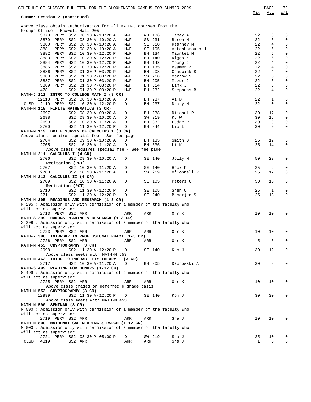**Summer Session 2 (continued)**

Above class obtain authorization for all MATH-J courses from the

| Groups Office - Maxwell Hall 205                                                |                       |     |     |        |                |    |              |             |
|---------------------------------------------------------------------------------|-----------------------|-----|-----|--------|----------------|----|--------------|-------------|
| 3878 PERM SS2 08:30 A-10:20 A                                                   |                       | MWF |     | WH 106 | Tapay A        | 22 | 3            | 0           |
| 3879 PERM SS2 08:30 A-10:20 A                                                   |                       | MWF |     | SB 231 | Baron M        | 22 | 3            | $\mathbf 0$ |
| 3880 PERM SS2 08:30 A-10:20 A                                                   |                       | MWF |     | SE 010 | Kearney M      | 22 | 4            | 0           |
| 3881 PERM SS2 08:30 A-10:20 A                                                   |                       | MWF |     | SE 105 | Attenborough H | 22 | 6            | $\mathsf 0$ |
| 3882 PERM SS2 10:30 A-12:20 P                                                   |                       | MWF |     | BH 134 | Mauntel M      | 22 | 5            | $\mathsf 0$ |
| 3883 PERM SS2 10:30 A-12:20 P                                                   |                       | MWF |     | BH 140 | Riggs K        | 22 | 6            | $\mathsf 0$ |
| 3884 PERM SS2 10:30 A-12:20 P                                                   |                       | MWF |     | BH 142 | Young J        | 22 | 4            | $\mathsf 0$ |
| 3885 PERM SS2 10:30 A-12:20 P                                                   |                       | MWF |     | BH 135 | Beamer Z       | 22 | 4            | $\mathsf 0$ |
| 3886 PERM SS2 01:30 P-03:20 P                                                   |                       | MWF |     | BH 208 | Chadwick S     | 22 | 4            | $\mathsf 0$ |
| 3888 PERM SS2 01:30 P-03:20 P                                                   |                       | MWF |     | SW 218 | Morrow S       | 22 | 5            | $\mathsf 0$ |
| 3887 PERM SS2 01:30 P-03:20 P                                                   |                       | MWF |     | BH 205 | Mazur J        | 22 | 3            | $\mathsf 0$ |
| 3889 PERM SS2 01:30 P-03:20 P                                                   |                       | MWF |     | BH 314 | Link J         | 22 | 3            | $\mathsf 0$ |
| 4781                                                                            | SS2 01:30 P-03:20 P   | MWF |     | BH 232 | Stephens B     | 22 | 4            | $\mathsf 0$ |
| MATH-J 111 INTRO TO COLLEGE MATH I (3 CR)                                       |                       |     |     |        |                |    |              |             |
| 12118 PERM SS2 08:30 A-10:20 A                                                  |                       | D   |     | BH 237 | Ai D           | 22 | $\mathbf 1$  | 0           |
| CLSD 12119 PERM SS2 10:30 A-12:20 P                                             |                       | D   |     | BH 237 | Drury M        | 22 | $\Omega$     | $\mathbf 0$ |
| MATH-M 118 FINITE MATHEMATICS (3 CR)                                            |                       |     |     |        |                |    |              |             |
| 2697                                                                            | SS2 08:30 A-09:20 A   | D   |     | BH 238 | Niichel R      | 30 | 17           | $\mathsf 0$ |
| 2698                                                                            | SS2 09:30 A-10:20 A   | D   |     | SW 219 | Ku W           | 30 | 16           | 0           |
| 2699                                                                            | SS2 10:30 A-11:20 A   | D   |     | BH 332 | Lodge R        | 30 | 9            | 0           |
| 2700                                                                            | SS2 11:30 A-12:20 P   | D   |     | BH 344 | Liu L          | 30 | 9            | $\mathbf 0$ |
| MATH-M 119 BRIEF SURVEY OF CALCULUS 1 (3 CR)                                    |                       |     |     |        |                |    |              |             |
| Above class requires special fee - See fee page                                 |                       |     |     |        |                |    |              |             |
| 2704                                                                            | SS2 09:30 A-10:20 A   | D   |     | BH 135 | Smith D        | 25 | 12           | 0           |
| 2705                                                                            | SS2 10:30 A-11:20 A   | D   |     | BH 336 | Li K           | 25 | 14           | $\mathsf 0$ |
| Above class requires special fee - See fee page<br>MATH-M 211 CALCULUS I (4 CR) |                       |     |     |        |                |    |              |             |
| 2706                                                                            |                       |     |     |        |                | 50 | 23           | 0           |
| Recitation (RCT)                                                                | SS2 09:30 A-10:20 A   | D   |     | SE 140 | Jolly M        |    |              |             |
| 2707                                                                            | SS2 10:30 A-11:20 A   | D   |     | SE 140 | Heck P         | 25 | 2            | 0           |
| 2708                                                                            | SS2 10:30 A-11:20 A   | D   |     | SW 219 | O'Connell R    | 25 | 17           | $\mathbf 0$ |
| MATH-M 212 CALCULUS II (4 CR)                                                   |                       |     |     |        |                |    |              |             |
| 2709                                                                            | SS2 10:30 A-11:20 A   | D   |     | SE 105 | Peters G       | 50 | 15           | 0           |
| Recitation (RCT)                                                                |                       |     |     |        |                |    |              |             |
| 2710                                                                            | SS2 11:30 A-12:20 P   | D   |     | SE 105 | Shen C         | 25 | $\mathbf{1}$ | 0           |
| 2711                                                                            | SS2 11:30 A-12:20 P   | D   |     | SE 240 | Banerjee S     | 25 | 13           | $\mathbf 0$ |
| MATH-M 295 READINGS AND RESEARCH (1-3 CR)                                       |                       |     |     |        |                |    |              |             |
| M 295: Admission only with permission of a member of the faculty who            |                       |     |     |        |                |    |              |             |
| will act as supervisor                                                          |                       |     |     |        |                |    |              |             |
| 2713 PERM SS2 ARR                                                               |                       | ARR | ARR |        | Orr K          | 10 | 10           | $\mathbf 0$ |
| MATH-S 299 HONORS READING & RESEARCH (1-3 CR)                                   |                       |     |     |        |                |    |              |             |
| S 299: Admission only with permission of a member of the faculty who            |                       |     |     |        |                |    |              |             |
| will act as supervisor                                                          |                       |     |     |        |                |    |              |             |
| 2723 PERM SS2 ARR                                                               |                       | ARR | ARR |        | Orr K          | 10 | 10           | $\mathbf 0$ |
| MATH-Y 398 INTRNSHP IN PROFESSIONAL PRACT (1-3 CR)                              |                       |     |     |        |                |    |              |             |
| 2726 PERM SS2 ARR                                                               |                       | ARR | ARR |        | Orr K          | 5  | 5            | $\mathbf 0$ |
| MATH-M 453 CRYPTOGRAPHY (3 CR)                                                  |                       |     |     |        |                |    |              |             |
| 12998                                                                           | SS2 11:30 A-12:20 P D |     |     | SE 140 | Koh J          | 30 | 12           | $\mathbf 0$ |
| Above class meets with MATH-M 553                                               |                       |     |     |        |                |    |              |             |
| MATH-M 463 INTRO TO PROBABILITY THEORY 1 (3 CR)                                 |                       |     |     |        |                |    |              |             |
| 2717                                                                            | SS2 10:30 A-11:20 A   | D   |     | BH 305 | Dabrowski A    | 30 | 8            | $\mathbf 0$ |
| MATH-S 499 READING FOR HONORS (1-12 CR)                                         |                       |     |     |        |                |    |              |             |
| S 499 : Admission only with permission of a member of the faculty who           |                       |     |     |        |                |    |              |             |
| will act as supervisor                                                          |                       |     |     |        |                |    |              |             |
| 2725 PERM SS2 ARR                                                               |                       | ARR | ARR |        | Orr K          | 10 | 10           | 0           |
| Above class graded on deferred R grade basis                                    |                       |     |     |        |                |    |              |             |
| MATH-M 553 CRYPTOGRAPHY (3 CR)                                                  |                       |     |     |        |                |    |              |             |
| 12999                                                                           | SS2 11:30 A-12:20 P   | D   |     | SE 140 | Koh J          | 30 | 30           | 0           |
| Above class meets with MATH-M 453                                               |                       |     |     |        |                |    |              |             |
| MATH-M 590 SEMINAR (3 CR)                                                       |                       |     |     |        |                |    |              |             |
| M 590: Admission only with permission of a member of the faculty who            |                       |     |     |        |                |    |              |             |
| will act as supervisor                                                          |                       |     |     |        |                |    |              |             |
|                                                                                 |                       |     |     |        |                |    |              |             |
| 2719 PERM SS2 ARR                                                               |                       | ARR | ARR |        | Sha J          | 10 | 10           | 0           |
| MATH-M 800 MATHEMATICAL READING & RSRCH (1-12 CR)                               |                       |     |     |        |                |    |              |             |
| M 800: Admission only with permission of a member of the faculty who            |                       |     |     |        |                |    |              |             |
| will act as supervisor                                                          |                       |     |     |        |                |    |              |             |
| 2721 PERM SS2 03:30 P-05:00 P                                                   |                       | D   |     | SW 219 | Sha J          | 25 | 10           | 0           |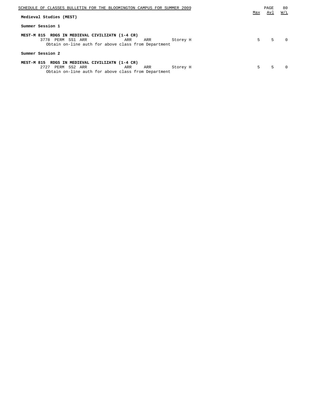| SCHEDULE OF CLASSES BULLETIN FOR THE BLOOMINGTON CAMPUS FOR SUMMER 2009                                                                                        |     | PAGE | 80  |
|----------------------------------------------------------------------------------------------------------------------------------------------------------------|-----|------|-----|
| Medieval Studies (MEST)                                                                                                                                        | Max | Avl  | W/L |
| Summer Session 1                                                                                                                                               |     |      |     |
| RDGS IN MEDIEVAL CIVILIZATN (1-4 CR)<br>MEST-M 815<br>SS1 ARR<br>3778 PERM<br>Storey H<br>ARR<br>ARR<br>Obtain on-line auth for above class from Department    | 5   | 5    |     |
| Summer Session 2                                                                                                                                               |     |      |     |
| RDGS IN MEDIEVAL CIVILIZATN (1-4 CR)<br>MEST-M 815<br>2727<br>SS2 ARR<br>PERM<br>ARR<br>ARR<br>Storey H<br>Obtain on-line auth for above class from Department | .5  | 5    | U   |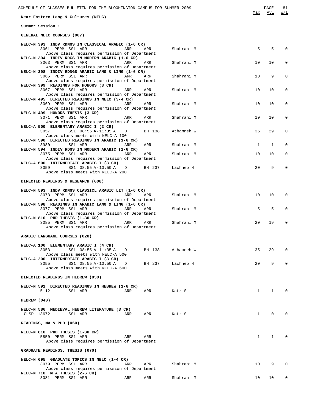| SCHEDULE OF CLASSES BULLETIN FOR THE BLOOMINGTON CAMPUS FOR SUMMER 2009<br>Near Eastern Lang & Cultures (NELC)                                       | Max          | PAGE<br>Avl  | 81<br>W/L   |
|------------------------------------------------------------------------------------------------------------------------------------------------------|--------------|--------------|-------------|
|                                                                                                                                                      |              |              |             |
| Summer Session 1                                                                                                                                     |              |              |             |
| GENERAL NELC COURSES (007)                                                                                                                           |              |              |             |
| NELC-N 393 INDV RDNGS IN CLASSICAL ARABIC (1-6 CR)<br>3061 PERM SS1 ARR<br>ARR<br>Shahrani M<br>ARR                                                  | 5            | 5            | $\Omega$    |
| Above class requires permission of Department<br>NELC-N 394 INDIV RDGS IN MODERN ARABIC (1-6 CR)<br>3063 PERM SS1 ARR<br>ARR<br>Shahrani M<br>ARR    | 10           | 10           | 0           |
| Above class requires permission of Department<br>NELC-N 398 INDIV RDNGS ARABIC LANG & LING (1-6 CR)<br>3065 PERM SS1 ARR<br>ARR<br>ARR<br>Shahrani M | 10           | 9            | 0           |
| Above class requires permission of Department<br>NELC-N 399 READINGS FOR HONORS (3 CR)                                                               |              |              |             |
| 3067 PERM SS1 ARR<br>Shahrani M<br>ARR<br>ARR<br>Above class requires permission of Department<br>NELC-N 495 DIRECTED READINGS IN NELC (3-4 CR)      | 10           | 10           | 0           |
| 3069 PERM SS1 ARR<br>Shahrani M<br>ARR<br>ARR<br>Above class requires permission of Department<br>NELC-N 499 HONORS THESIS (3 CR)                    | 10           | 10           | 0           |
| 3071 PERM SS1 ARR<br>ARR<br>Shahrani M<br>ARR<br>Above class requires permission of Department                                                       | 10           | 10           | 0           |
| NELC-A 500 ELEMENTARY ARABIC I (2 CR)<br>SS1 08:55 A-11:35 A<br>3057<br>BH 138<br>Athamneh W<br>D<br>Above class meets with NELC-A 100               | 35           | 29           | 0           |
| NELC-N 590 DIRECTED READINGS IN ARABIC (1-6 CR)<br>3980<br>SS1 ARR<br>ARR<br>Shahrani M<br>ARR                                                       | $\mathbf{1}$ | 1            | $\Omega$    |
| NELC-N 594 INDIV RDGS IN MODERN ARABIC (1-6 CR)                                                                                                      |              |              |             |
| 3075 PERM SS1 ARR<br>ARR<br>ARR<br>Shahrani M<br>Above class requires permission of Department<br>NELC-A 600 INTERMEDIATE ARABIC I (3 CR)            | 10           | 10           | 0           |
| 3059<br>SS1 08:55 A-10:50 A<br>BH 237<br>Lachheb H<br>D<br>Above class meets with NELC-A 200                                                         | 20           | 9            |             |
| DIRECTED READINGS & RESEARCH (008)                                                                                                                   |              |              |             |
| NELC-N 593 INDV RDNGS CLASSICL ARABIC LIT (1-6 CR)<br>3073 PERM SS1 ARR<br>ARR<br>ARR<br>Shahrani M<br>Above class requires permission of Department | 10           | 10           | $\Omega$    |
| NELC-N 598 READINGS IN ARABIC LANG & LING (1-6 CR)<br>3077 PERM SS1 ARR<br>ARR<br>ARR<br>Shahrani M                                                  | 5            | 5            | 0           |
| Above class requires permission of Department<br>NELC-N 810 PHD THESIS (1-30 CR)<br>3085 PERM SS1 ARR<br>ARR<br>Shahrani M<br>ARR                    | 20           | 19           |             |
| Above class requires permission of Department                                                                                                        |              |              |             |
| ARABIC LANGUAGE COURSES (020)                                                                                                                        |              |              |             |
| NELC-A 100 ELEMENTARY ARABIC I (4 CR)<br>SS1 08:55 A-11:35 A<br>BH 138<br>Athamneh W<br>3053<br>D<br>Above class meets with NELC-A 500               | 35           | 29           | 0           |
| NELC-A 200 INTERMEDIATE ARABIC I (3 CR)<br>3055<br>SS1 08:55 A-10:50 A<br>BH 237 Lachheb H<br>D                                                      | 20           | 9            | $\Omega$    |
| Above class meets with NELC-A 600                                                                                                                    |              |              |             |
| DIRECTED READINGS IN HEBREW (030)                                                                                                                    |              |              |             |
| NELC-N 591 DIRECTED READINGS IN HEBREW (1-6 CR)<br>SS1 ARR<br>5112<br>ARR<br>ARR<br>Katz S                                                           | $\mathbf{1}$ | $\mathbf{1}$ | $\mathbf 0$ |
| HEBREW (040)                                                                                                                                         |              |              |             |
| NELC-N 586 MEDIEVAL HEBREW LITERATURE (3 CR)<br>CLSD 13672<br>SS1 ARR<br>ARR<br>ARR<br>Katz S                                                        | $\mathbf{1}$ | 0            | $\Omega$    |
| READINGS, MA & PHD (060)                                                                                                                             |              |              |             |
| NELC-N 810 PHD THESIS (1-30 CR)<br>5850 PERM SS1 ARR<br>ARR<br>ARR<br>Above class requires permission of Department                                  | $\mathbf{1}$ | $\mathbf{1}$ | $\Omega$    |
| GRADUATE READINGS, THESIS (070)                                                                                                                      |              |              |             |
| NELC-N 695 GRADUATE TOPICS IN NELC (1-4 CR)<br>3079 PERM SS1 ARR<br>Shahrani M<br>ARR<br>ARR<br>Above class requires permission of Department        | 10           | 9            | $\Omega$    |
| NELC-N 710 M A THESIS (2-6 CR)                                                                                                                       |              |              |             |

3081 PERM SS1 ARR ARR ARR Shahrani M 10 10 0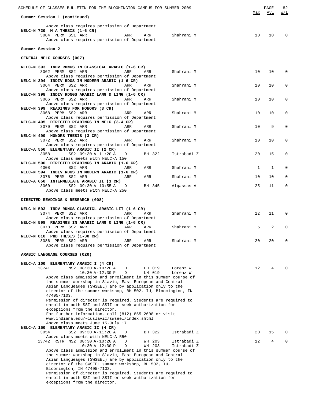| SCHEDULE OF CLASSES BULLETIN FOR THE BLOOMINGTON CAMPUS FOR SUMMER 2009                                                                                                                                                                                                                                                                                                                                                                                      |     | PAGE | 82          |
|--------------------------------------------------------------------------------------------------------------------------------------------------------------------------------------------------------------------------------------------------------------------------------------------------------------------------------------------------------------------------------------------------------------------------------------------------------------|-----|------|-------------|
| Summer Session 1 (continued)                                                                                                                                                                                                                                                                                                                                                                                                                                 | Max | Avl  | W/L         |
| Above class requires permission of Department<br>NELC-N 720 M A THESIS (1-6 CR)<br>3084 PERM SS1 ARR<br>Shahrani M<br>ARR<br>ARR                                                                                                                                                                                                                                                                                                                             | 10  | 10   | $\Omega$    |
| Above class requires permission of Department<br>Summer Session 2                                                                                                                                                                                                                                                                                                                                                                                            |     |      |             |
| GENERAL NELC COURSES (007)                                                                                                                                                                                                                                                                                                                                                                                                                                   |     |      |             |
| NELC-N 393 INDV RDNGS IN CLASSICAL ARABIC (1-6 CR)                                                                                                                                                                                                                                                                                                                                                                                                           |     |      |             |
| 3062 PERM SS2 ARR<br>Shahrani M<br>ARR<br>ARR<br>Above class requires permission of Department                                                                                                                                                                                                                                                                                                                                                               | 10  | 10   | 0           |
| NELC-N 394 INDIV RDGS IN MODERN ARABIC (1-6 CR)<br>3064 PERM SS2 ARR<br>ARR<br>Shahrani M<br>ARR<br>Above class requires permission of Department                                                                                                                                                                                                                                                                                                            | 10  | 10   | 0           |
| NELC-N 398 INDIV RDNGS ARABIC LANG & LING (1-6 CR)<br>3066 PERM SS2 ARR<br>ARR<br>Shahrani M<br>ARR                                                                                                                                                                                                                                                                                                                                                          | 10  | 10   | $\mathbf 0$ |
| Above class requires permission of Department<br>NELC-N 399 READINGS FOR HONORS (3 CR)<br>3068 PERM SS2 ARR<br>Shahrani M<br>ARR<br>ARR                                                                                                                                                                                                                                                                                                                      | 10  | 10   | $\Omega$    |
| Above class requires permission of Department<br>NELC-N 495 DIRECTED READINGS IN NELC (3-4 CR)                                                                                                                                                                                                                                                                                                                                                               |     |      |             |
| 3070 PERM SS2 ARR<br>ARR<br>Shahrani M<br>ARR<br>Above class requires permission of Department                                                                                                                                                                                                                                                                                                                                                               | 10  | 9    | $\mathbf 0$ |
| NELC-N 499 HONORS THESIS (3 CR)<br>3072 PERM SS2 ARR<br>Shahrani M<br>ARR<br>ARR<br>Above class requires permission of Department                                                                                                                                                                                                                                                                                                                            | 10  | 10   | $\mathbf 0$ |
| NELC-A 550 ELEMENTARY ARABIC II (2 CR)<br>SS2 09:30 A-11:20 A<br>3058<br>BH 322<br>Istrabadi Z<br>D                                                                                                                                                                                                                                                                                                                                                          | 20  | 15   | 0           |
| Above class meets with NELC-A 150<br>NELC-N 590 DIRECTED READINGS IN ARABIC (1-6 CR)<br>4008<br>SS2 ARR<br>Shahrani M<br>ARR<br>ARR                                                                                                                                                                                                                                                                                                                          | 1   | 1    | $\Omega$    |
| NELC-N 594 INDIV RDGS IN MODERN ARABIC (1-6 CR)<br>3076 PERM SS2 ARR<br>Shahrani M<br>ARR<br>ARR                                                                                                                                                                                                                                                                                                                                                             | 10  | 10   | $\Omega$    |
| NELC-A 650 INTERMEDIATE ARABIC II (3 CR)<br>SS2 09:30 A-10:55 A<br>3060<br>D<br>BH 345<br>Algassas A                                                                                                                                                                                                                                                                                                                                                         | 25  | 11   | $\Omega$    |
| Above class meets with NELC-A 250                                                                                                                                                                                                                                                                                                                                                                                                                            |     |      |             |
| DIRECTED READINGS & RESEARCH (008)                                                                                                                                                                                                                                                                                                                                                                                                                           |     |      |             |
| NELC-N 593 INDV RDNGS CLASSICL ARABIC LIT (1-6 CR)<br>3074 PERM SS2 ARR<br>ARR<br>ARR<br>Shahrani M<br>Above class requires permission of Department                                                                                                                                                                                                                                                                                                         | 12  | 11   | $\Omega$    |
| NELC-N 598 READINGS IN ARABIC LANG & LING (1-6 CR)<br>Shahrani M                                                                                                                                                                                                                                                                                                                                                                                             | 5   | 2    | 0           |
| Above class requires permission of Department<br>NELC-N 810 PHD THESIS (1-30 CR)                                                                                                                                                                                                                                                                                                                                                                             |     |      |             |
| 3086 PERM SS2 ARR<br>Shahrani M<br>ARR<br>ARR<br>Above class requires permission of Department                                                                                                                                                                                                                                                                                                                                                               | 20  | 20   | $\Omega$    |
| ARABIC LANGUAGE COURSES (020)                                                                                                                                                                                                                                                                                                                                                                                                                                |     |      |             |
| NELC-A 100 ELEMENTARY ARABIC I (4 CR)<br>13741<br>NS2 08:30 A-10:20 A<br>LH 019<br>D<br>Lorenz W                                                                                                                                                                                                                                                                                                                                                             | 12  | 4    | $\Omega$    |
| $10:30 A-12:30 P$<br>LH 019<br>D<br>Lorenz W<br>Above class admission and enrollment in this summer course of<br>the summer workshop in Slavic, East European and Central<br>Asian Langueages (SWSEEL) are by application only to the<br>director of the summer workshop, BH 502, IU, Bloomington, IN<br>47405-7103.<br>Permission of director is required. Students are required to                                                                         |     |      |             |
| enroll in both SSI and SSII or seek authorization for<br>exceptions from the director.<br>For further information, call (812) 855-2608 or visit<br>www.indiana.edu/~iuslavic/swseel/index.shtml<br>Above class meets June 15-July 17<br>NELC-A 150 ELEMENTARY ARABIC II (4 CR)                                                                                                                                                                               |     |      |             |
| 3054<br>SS2 09:30 A-11:20 A<br>Istrabadi Z<br>BH 322<br>D<br>Above class meets with NELC-A 550                                                                                                                                                                                                                                                                                                                                                               | 20  | 15   | 0           |
| 13742 RSTR NS2 08:30 A-10:20 A<br>WH 203<br>Istrabadi Z<br>D<br>10:30 A-12:30 P<br>D<br>WH 203<br>Istrabadi Z<br>Above class admission and enrollment in this summer course of<br>the summer workshop in Slavic, East European and Central<br>Asian Langueages (SWSEEL) are by application only to the<br>director of the SWSEEL summer workshop, BH 502, IU,<br>Bloomington, IN 47405-7103.<br>Permission of director is required. Students are required to | 12  | 4    | $\mathbf 0$ |
| enroll in both SSI and SSII or seek authorization for<br>exceptions from the director.                                                                                                                                                                                                                                                                                                                                                                       |     |      |             |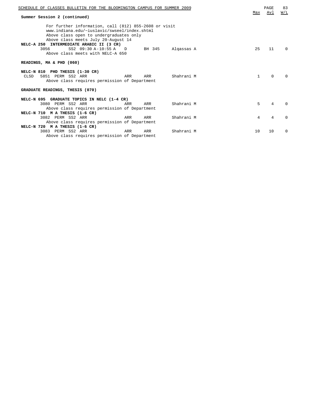| SCHEDULE OF CLASSES BULLETIN FOR THE BLOOMINGTON CAMPUS FOR SUMMER 2009<br>Summer Session 2 (continued)                                                                                                                                                                                                                        | Max | <b>PAGE</b><br>Avl | 83<br>W/L    |
|--------------------------------------------------------------------------------------------------------------------------------------------------------------------------------------------------------------------------------------------------------------------------------------------------------------------------------|-----|--------------------|--------------|
| For further information, call (812) 855-2608 or visit<br>www.indiana.edu/~iuslavic/swseel/index.shtml<br>Above class open to undergraduates only<br>Above class meets July 20-August 14<br>NELC-A 250 INTERMEDIATE ARABIC II (3 CR)<br>3056<br>SS2 09:30 A-10:55 A D<br>BH 345 Algassas A<br>Above class meets with NELC-A 650 | 25  | 11                 | <sup>0</sup> |
| READINGS, MA & PHD (060)                                                                                                                                                                                                                                                                                                       |     |                    |              |
| NELC-N 810 PHD THESIS (1-30 CR)<br>Shahrani M<br>5851 PERM SS2 ARR<br>ARR<br>ARR<br>CLSD<br>Above class requires permission of Department                                                                                                                                                                                      | 1   | $\Omega$           |              |
| GRADUATE READINGS, THESIS (070)                                                                                                                                                                                                                                                                                                |     |                    |              |
| NELC-N 695 GRADUATE TOPICS IN NELC (1-4 CR)<br>3080 PERM SS2 ARR<br>Shahrani M<br>ARR<br>ARR<br>Above class requires permission of Department<br>NELC-N 710 M A THESIS (1-6 CR)                                                                                                                                                | 5   | 4                  | <sup>n</sup> |
| Shahrani M<br>3082 PERM SS2 ARR<br>ARR<br>ARR                                                                                                                                                                                                                                                                                  | 4   | 4                  | $\Omega$     |
| Above class requires permission of Department<br>NELC-N 720 M A THESIS (1-6 CR)                                                                                                                                                                                                                                                |     |                    |              |
| 3083 PERM SS2 ARR<br>Shahrani M<br>ARR<br>ARR<br>Above class requires permission of Department                                                                                                                                                                                                                                 | 10  | 10                 | $\Omega$     |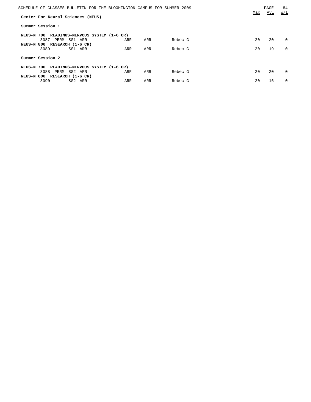| SCHEDULE OF CLASSES BULLETIN FOR THE BLOOMINGTON CAMPUS FOR SUMMER 2009 |     |     |         | Max | PAGE<br><u>Avl</u> | 84<br>W/L |
|-------------------------------------------------------------------------|-----|-----|---------|-----|--------------------|-----------|
| Center For Neural Sciences (NEUS)                                       |     |     |         |     |                    |           |
| Summer Session 1                                                        |     |     |         |     |                    |           |
| NEUS-N 700<br>READINGS-NERVOUS SYSTEM (1-6 CR)                          |     |     |         |     |                    |           |
| 3087<br>PERM SS1 ARR                                                    | ARR | ARR | Rebec G | 20  | 20                 | $\Omega$  |
| NEUS-N 800 RESEARCH (1-6 CR)                                            |     |     |         |     |                    |           |
| 3089<br>SS1 ARR                                                         | ARR | ARR | Rebec G | 20  | 19                 | $\Omega$  |
| Summer Session 2                                                        |     |     |         |     |                    |           |
| READINGS-NERVOUS SYSTEM (1-6 CR)<br>NEUS-N 700                          |     |     |         |     |                    |           |
| 3088<br>PERM SS2 ARR                                                    | ARR | ARR | Rebec G | 20  | 20                 | $\Omega$  |
| NEUS-N 800 RESEARCH (1-6 CR)                                            |     |     |         |     |                    |           |
| 3090<br>SS2 ARR                                                         | ARR | ARR | Rebec G | 20  | 16                 | $\Omega$  |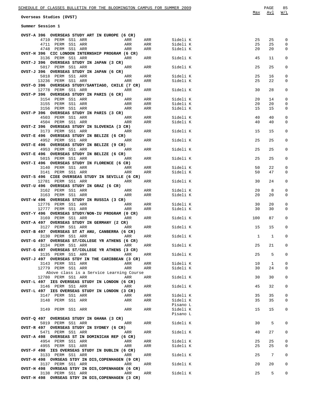**Overseas Studies (OVST)**

| Summer Session 1 |  |
|------------------|--|
|------------------|--|

|     | ---- |
|-----|------|
| Max | ATTI |

| ۰. | ×<br>۰.<br>۰. |
|----|---------------|
|    |               |

| OVST-A 396 OVERSEAS STUDY ART IN EUROPE (6 CR)                                |            |          |          |          |             |
|-------------------------------------------------------------------------------|------------|----------|----------|----------|-------------|
| 4710 PERM SS1 ARR<br>ARR                                                      | ARR        | Sideli K | 25       | 25       | 0           |
| 4711 PERM SS1 ARR<br>ARR<br>ARR                                               | ARR<br>ARR | Sideli K | 25<br>20 | 25<br>20 | 0<br>0      |
| 4748 PERM SS1 ARR<br>OVST-H 396 CIC LONDON INTERNSHIP PROGRAM (6 CR)          |            | Sideli K |          |          |             |
| 3136 PERM SS1 ARR<br>ARR                                                      | ARR        | Sideli K | 45       | 11       | 0           |
| OVST-J 396 OVERSEAS STUDY IN JAPAN (3 CR)                                     |            |          |          |          |             |
| 5017 PERM SS1 ARR<br>ARR                                                      | ARR        | Sideli K | 25       | 25       | $\mathbf 0$ |
| OVST-J 396 OVERSEAS STUDY IN JAPAN (6 CR)                                     |            |          |          |          |             |
| 5018 PERM SS1 ARR<br>ARR<br>ARR                                               | ARR        | Sideli K | 25       | 16       | 0           |
| 13236 PERM SS1 ARR<br>OVST-O 396 OVERSEAS STUDY/SANTIAGO, CHILE (7 CR)        | ARR        | Sideli K | 25       | 22       | 0           |
| 12778 PERM SS1 ARR<br>ARR                                                     | ARR        | Sideli K | 30       | 28       | 0           |
| OVST-P 396 OVERSEAS STUDY IN PARIS (6 CR)                                     |            |          |          |          |             |
| 3154 PERM SS1 ARR<br><b>Example 21 ARR</b>                                    | ARR        | Sideli K | 20       | 14       | 0           |
| 3155 PERM SS1 ARR<br>ARR                                                      | ARR        | Sideli K | 20       | 20       | 0           |
| 3156 PERM SS1 ARR<br>ARR                                                      | ARR        | Sideli K | 15       | 15       | 0           |
| OVST-P 396 OVERSEAS STUDY IN PARIS (3 CR)                                     |            |          |          |          |             |
| 4503 PERM SS1 ARR<br><b>Example 21 ARR</b>                                    | ARR        | Sideli K | 40       | 40       | 0           |
| 4504 PERM SS1 ARR<br>ARR                                                      | ARR        | Sideli K | 40       | 40       | 0           |
| OVST-Z 396 OVERSEAS STUDY IN SLOVENIA (3 CR)<br>3173 PERM SS1 ARR<br>ARR      | ARR        | Sideli K | 15       | 15       | 0           |
| OVST-E 496 OVERSEAS STUDY IN BELIZE (6 CR)                                    |            |          |          |          |             |
| 4952 PERM SS1 ARR<br>ARR                                                      | ARR        | Sideli K | 25       | 25       | 0           |
| OVST-E 496 OVERSEAS STUDY IN BELIZE (9 CR)                                    |            |          |          |          |             |
| 4953 PERM SS1 ARR<br>ARR                                                      | ARR        | Sideli K | 25       | 25       | 0           |
| OVST-E 496 OVERSEAS STUDY IN BELIZE (6 CR)                                    |            |          |          |          |             |
| 5015 PERM SS1 ARR<br><b>Example 2018</b> ARR                                  | ARR        | Sideli K | 25       | 25       | 0           |
| OVST-I 496 OVERSEAS STUDY IN FLORENCE (6 CR)                                  |            |          |          |          |             |
| 3140 PERM SS1 ARR<br>ARR<br>ARR                                               | ARR        | Sideli K | 50       | 22       | 0           |
| 3141 PERM SS1 ARR<br>OVST-S 496 CIEE OVERSEAS STUDY IN SEVILLE (6 CR)         | ARR        | Sideli K | 50       | 47       | 0           |
| 12781 PERM SS1 ARR<br>ARR                                                     | ARR        | Sideli K | 30       | 24       | 0           |
| OVST-U 496 OVERSEAS STUDY IN GRAZ (6 CR)                                      |            |          |          |          |             |
| 3162 PERM SS1 ARR<br><b>Example 2018</b> ARR                                  | ARR        | Sideli K | 20       | 8        | 0           |
| 3163 PERM SS1 ARR<br>ARR                                                      | ARR        | Sideli K | 20       | 20       | 0           |
| OVST-W 496 OVERSEAS STUDY IN RUSSIA (3 CR)                                    |            |          |          |          |             |
|                                                                               |            |          |          |          |             |
| 12776 PERM SS1 ARR<br><b>Example 2018</b> ARR                                 | ARR        | Sideli K | 30       | 20       | 0           |
| 12777 PERM SS1 ARR<br>ARR                                                     | ARR        | Sideli K | 30       | 30       | 0           |
| OVST-Y 496 OVERSEAS STUDY/NON-IU PROGRAM (0 CR)                               |            |          |          |          |             |
| <b>Example 21 ARR</b><br>3169 PERM SS1 ARR                                    | ARR        | Sideli K | 100      | 87       | 0           |
| OVST-A 497 OVERSEAS STUDY IN GERMANY (2 CR)                                   |            |          |          |          |             |
| 3127 PERM SS1 ARR<br><b>Example 2</b> ARR                                     | ARR        | Sideli K | 15       | 15       | $\mathbf 0$ |
| OVST-B 497 OVERSEAS ST AT ANU, CANBERRA (6 CR)<br>3130 PERM SS1 ARR<br>ARR    | ARR        | Sideli K | 1        | 1        | 0           |
| OVST-G 497 OVERSEAS ST/COLLEGE YR ATHENS (6 CR)                               |            |          |          |          |             |
| 3134 PERM SS1 ARR<br><b>Example 28 ARR</b>                                    | ARR        | Sideli K | 25       | 21       | 0           |
| OVST-G 497 OVERSEAS ST/COLLEGE YR ATHENS (3 CR)                               |            |          |          |          |             |
| 3135 PERM SS1 ARR<br><b>Example 2018</b> ARR                                  | ARR        | Sideli K | 25       | 5        | 0           |
| OVST-J 497 OVERSEAS STDY IN THE CARIBBEAN (3 CR)                              |            |          |          |          |             |
| 3143 PERM SS1 ARR<br>ARR                                                      | ARR        | Sideli K | 10       | -1       | 0           |
| 12779 PERM SS1 ARR<br>ARR                                                     | ARR        | Sideli K | 30       | 24       | 0           |
| Above class is a Service Learning Course<br>ARR                               | ARR        |          | 30       | 30       | 0           |
| 12780 PERM SS1 ARR<br>OVST-L 497 IES OVERSEAS STUDY IN LONDON (6 CR)          |            | Sideli K |          |          |             |
| 3146 PERM SS1 ARR<br>ARR                                                      | ARR        | Sideli K | 45       | 32       | 0           |
| OVST-L 497 IES OVERSEAS STUDY IN LONDON (3 CR)                                |            |          |          |          |             |
| 3147 PERM SS1 ARR<br>ARR                                                      | ARR        | Sideli K | 35       | 35       | 0           |
| 3148 PERM SS1 ARR<br>ARR                                                      | ARR        | Sideli K | 35       | 35       | 0           |
|                                                                               |            | Pisano L |          |          |             |
| 3149 PERM SS1 ARR<br>ARR                                                      | ARR        | Sideli K | 15       | 15       | 0           |
|                                                                               |            | Pisano L |          |          |             |
| OVST-Q 497 OVERSEAS STUDY IN GHANA (3 CR)<br>5019 PERM SS1 ARR<br>ARR         | ARR        | Sideli K | 30       | 5        | 0           |
| OVST-R 497 OVERSEAS STUDY IN SYDNEY (6 CR)                                    |            |          |          |          |             |
| 5471 PERM SS1 ARR<br>ARR                                                      | ARR        | Sideli K | 40       | 27       | 0           |
| OVST-A 498 OVERSEAS ST IN DOMINICAN REP (6 CR)                                |            |          |          |          |             |
| 4954 PERM SS1 ARR<br>ARR                                                      | ARR        | Sideli K | 25       | 25       | 0           |
| 4955 PERM SS1 ARR<br>ARR                                                      | ARR        | Sideli K | 25       | 25       | 0           |
| OVST-F 498 IES OVERSEAS STUDY IN DUBLIN (6 CR)                                |            |          |          |          |             |
| 3133 PERM SS1 ARR<br>ARR                                                      | ARR        | Sideli K | 25       | 7        | 0           |
| OVST-H 498 OVRSEAS STDY IN DIS, COPENHAGEN (9 CR)                             |            |          |          |          |             |
| 3137 PERM SS1 ARR<br>ARR                                                      | ARR        | Sideli K | 20       | 20       | 0           |
| OVST-H 498 OVRSEAS STDY IN DIS, COPENHAGEN (6 CR)<br>3138 PERM SS1 ARR<br>ARR | ARR        | Sideli K | 25       | 5        | 0           |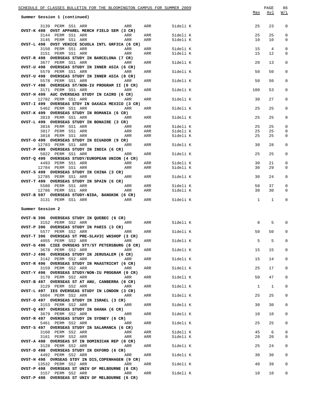| SCHEDULE OF CLASSES BULLETIN FOR THE BLOOMINGTON CAMPUS FOR SUMMER 2009           |              |                      |              | PAGE        | 86           |
|-----------------------------------------------------------------------------------|--------------|----------------------|--------------|-------------|--------------|
| Summer Session 1 (continued)                                                      |              |                      | Max          | Avl         | W/L          |
| 3139 PERM SS1 ARR<br>ARR<br>OVST-K 498 OVST APPAREL MERCH FIELD SEM (3 CR)        | ARR          | Sideli K             | 25           | 23          | 0            |
| 3144 PERM SS1 ARR<br>ARR                                                          | ARR          | Sideli K             | 25           | 25          | 0            |
| 3145 PERM SS1 ARR<br>ARR                                                          | ARR          | Sideli K             | 10           | 10          | 0            |
| OVST-L 498 OVST VENICE SCUOLA INTL GRFICA (6 CR)<br>3150 PERM SS1 ARR<br>ARR      | ARR          |                      | 15           | 4           | 0            |
| 3151 PERM SS1 ARR<br>ARR                                                          | ARR          | Sideli K<br>Sideli K | 15           | 12          | 0            |
| OVST-R 498 OVERSEAS STUDY IN BARCELONA (7 CR)                                     |              |                      |              |             |              |
| 3677 PERM SS1 ARR<br>ARR                                                          | ARR          | Sideli K             | 20           | 13          | 0            |
| OVST-U 498 OVERSEAS STUDY IN INNER ASIA (6 CR)<br>5579 PERM SS1 ARR<br>ARR        | ARR          | Sideli K             | 50           | 50          | 0            |
| OVST-U 498 OVERSEAS STUDY IN INNER ASIA (8 CR)                                    |              |                      |              |             |              |
| 5578 PERM SS1 ARR<br>ARR<br>OVST-Y 498 OVERSEAS ST/NON-IU PROGRAM II (0 CR)       | ARR          | Sideli K             | 50           | 50          | 0            |
| 3171 PERM SS1 ARR<br>ARR                                                          | ARR          | Sideli K             | 100          | 53          | 0            |
| OVST-H 499 AUC OVERSEAS STUDY IN CAIRO (6 CR)<br>12782 PERM SS1 ARR<br>ARR        | ARR          | Sideli K             | 30           | 27          | 0            |
| OVST-I 499 OVERSEAS STDY IN OAXACA MEXICO (3 CR)<br>5462 PERM SS1 ARR<br>ARR      | ARR          | Sideli K             | 25           | 25          | 0            |
| OVST-K 499 OVERSEAS STUDY IN ROMANIA (6 CR)<br>3819 PERM SS1 ARR<br>ARR           | ARR          | Sideli K             | 25           | 25          | 0            |
| OVST-L 499 OVERSEAS STUDY IN BONAIRE (3 CR)                                       |              |                      |              |             |              |
| 3816 PERM SS1 ARR<br>ARR<br>3817 PERM SS1 ARR<br>ARR                              | ARR<br>ARR   | Sideli K<br>Sideli K | 25<br>25     | 25<br>25    | 0<br>0       |
| 3818 PERM SS1 ARR<br>ARR                                                          | ARR          | Sideli K             | 25           | 25          | 0            |
| OVST-O 499 OVERSEAS STUDY IN ECUADOR (9 CR)                                       |              |                      |              |             |              |
| 12783 PERM SS1 ARR<br>ARR                                                         | ARR          | Sideli K             | 30           | 28          | 0            |
| OVST-P 499 OVERSEAS STUDY IN INDIA (6 CR)                                         |              |                      |              |             |              |
| 5022 PERM SS1 ARR<br>ARR                                                          | ARR          | Sideli K             | 25           | 25          | 0            |
| OVST-Q 499 OVERSEAS STUDY/EUROPEAN UNION (4 CR)<br>4493 PERM SS1 ARR<br>ARR       | ARR          | Sideli K             | 30           | 21          | 0            |
| 12784 PERM SS1 ARR<br>ARR                                                         | ARR          | Sideli K             | 30           | 29          | 0            |
| OVST-S 499 OVERSEAS STUDY IN CHINA (3 CR)<br>12785 PERM SS1 ARR<br>ARR            | ARR          | Sideli K             | 30           | 24          | 0            |
| OVST-T 499 OVERSEAS STUDY IN SPAIN (6 CR)                                         |              |                      |              |             |              |
| 5580 PERM SS1 ARR<br>ARR                                                          | ARR          | Sideli K             | 50           | 37          | 0            |
| 12786 PERM SS1 ARR<br>ARR                                                         | ARR          | Sideli K             | 30           | 30          | 0            |
| OVST-B 597 OVERSEAS STUDY-NIDA, BANGKOK (6 CR)<br><b>ARR</b><br>3131 PERM SS1 ARR | ARR          | Sideli K             | $\mathbf{1}$ | $\mathbf 1$ | 0            |
|                                                                                   |              |                      |              |             |              |
| Summer Session 2                                                                  |              |                      |              |             |              |
| OVST-N 396 OVERSEAS STUDY IN QUEBEC (6 CR)                                        |              |                      |              |             |              |
| 3152 PERM SS2 ARR<br>ARR                                                          | ARR Sideli K |                      | 8            | 5           | 0            |
| OVST-P 396 OVERSEAS STUDY IN PARIS (3 CR)<br>ARR<br>5577 PERM SS2 ARR             | ARR          | Sideli K             | 50           | 50          |              |
| OVST-T 396 OVERSEAS ST PRE-SLAVIC WKSHOP (3 CR)                                   |              |                      |              |             |              |
| 4055 PERM SS2 ARR<br>ARR<br>OVST-G 496 CIEE OVRSEAS STY/ST PETERSBURG (8 CR)      | ARR          | Sideli K             | 5            | 5           | 0            |
| 3678 PERM SS2 ARR<br>ARR                                                          | ARR          | Sideli K             | 15           | 15          | 0            |
| OVST-J 496 OVERSEAS STUDY IN JERUSALEM (6 CR)                                     |              |                      |              |             |              |
| 3142 PERM SS2 ARR<br>ARR<br>OVST-R 496 OVERSEAS STUDY IN MAASTRICHT (6 CR)        | ARR          | Sideli K             | 15           | 14          | 0            |
| 3159 PERM SS2 ARR<br>ARR<br>OVST-Y 496 OVERSEAS STUDY/NON-IU PROGRAM (0 CR)       | ARR          | Sideli K             | 25           | 17          | 0            |
| 3170 PERM SS2 ARR<br>ARR<br>OVST-B 497 OVERSEAS ST AT ANU, CANBERRA (8 CR)        | ARR          | Sideli K             | 50           | 47          | 0            |
| 3129 PERM SS2 ARR<br>ARR                                                          | ARR          | Sideli K             | 1            | $\mathbf 1$ | 0            |
| OVST-L 497 IES OVERSEAS STUDY IN LONDON (3 CR)<br>5604 PERM SS2 ARR<br>ARR        | ARR          | Sideli K             | 25           | 25          | 0            |
| OVST-O 497 OVERSEAS STUDY IN ISRAEL (3 CR)<br>3153 PERM SS2 ARR<br>ARR            | ARR          | Sideli K             | 30           | 30          | 0            |
| OVST-Q 497 OVERSEAS STUDY IN GHANA (6 CR)                                         |              |                      |              |             |              |
| 3679 PERM SS2 ARR<br>ARR<br>OVST-R 497 OVERSEAS STUDY IN SYDNEY (6 CR)            | ARR          | Sideli K             | 10           | 10          | 0            |
| 5461 PERM SS2 ARR<br>ARR<br>OVST-S 497 OVERSEAS STUDY IN SALAMANCA (6 CR)         | ARR          | Sideli K             | 25           | 25          | 0            |
| 3160 PERM SS2 ARR<br>ARR                                                          | ARR          | Sideli K             | 45           | 6           | 0            |
| 3161 PERM SS2 ARR<br>ARR<br>OVST-A 498 OVERSEAS ST IN DOMINICAN REP (8 CR)        | ARR          | Sideli K             | 20           | 20          | 0            |
| 3128 PERM SS2 ARR<br>ARR                                                          | ARR          | Sideli K             | 25           | 24          | 0            |
| OVST-D 498 OVERSEAS STUDY IN OXFORD (6 CR)<br>4492 PERM SS2 ARR<br>ARR            | ARR          | Sideli K             | 30           | 30          | 0            |
| OVST-H 498 OVRSEAS STDY IN DIS, COPENHAGEN (9 CR)<br>13532 PERM SS2 ARR<br>ARR    | ARR          | Sideli K             | 40           | 39          | $\mathsf{O}$ |
| OVST-P 498 OVERSEAS ST UNIV OF MELBOURNE (8 CR)                                   |              |                      |              |             |              |
| 3157 PERM SS2 ARR<br>ARR<br>OVST-P 498 OVERSEAS ST UNIV OF MELBOURNE (6 CR)       | ARR          | Sideli K             | 10           | 10          | 0            |
|                                                                                   |              |                      |              |             |              |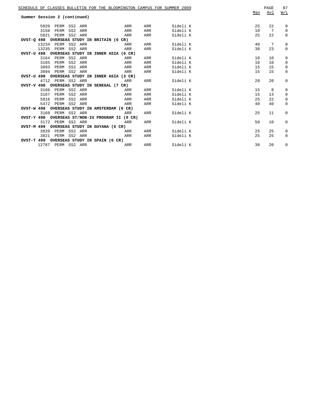| SCHEDULE OF CLASSES BULLETIN FOR THE BLOOMINGTON CAMPUS FOR SUMMER 2009<br>Summer Session 2 (continued) |                         |     |          | Max | PAGE<br>Avl | 87<br>W/L    |
|---------------------------------------------------------------------------------------------------------|-------------------------|-----|----------|-----|-------------|--------------|
|                                                                                                         |                         |     |          |     |             |              |
| 5020<br>PERM SS2 ARR                                                                                    | ARR                     | ARR | Sideli K | 25  | 22          | 0            |
| 3158<br>PERM<br>SS2 ARR                                                                                 | ARR                     | ARR | Sideli K | 10  | 7           | $\mathbf{0}$ |
| 5021<br>PERM SS2 ARR                                                                                    | ARR                     | ARR | Sideli K | 25  | 22          | $\mathbf 0$  |
| OVST-Q 498 OVERSEAS STUDY IN BRITAIN (6 CR)                                                             |                         |     |          |     |             |              |
| 13234 PERM SS2 ARR                                                                                      | <b>Example 2</b> ARR    | ARR | Sideli K | 40  | 7           | 0            |
| 13235 PERM SS2 ARR                                                                                      | ARR                     | ARR | Sideli K | 30  | 23          | $\mathbf{0}$ |
| OVST-U 498 OVERSEAS STUDY IN INNER ASIA (6 CR)                                                          |                         |     |          |     |             |              |
| 3164 PERM SS2 ARR                                                                                       | ARR                     | ARR | Sideli K | 10  | 10          | 0            |
| SS2 ARR<br>3165<br>PERM                                                                                 | ARR                     | ARR | Sideli K | 10  | 10          | $\mathbf 0$  |
| 3893<br>PERM<br>SS2 ARR                                                                                 | ARR                     | ARR | Sideli K | 15  | 15          | 0            |
| 3894 PERM<br>SS2 ARR                                                                                    | ARR                     | ARR | Sideli K | 15  | 15          | $\mathbf{0}$ |
| OVST-U 498 OVERSEAS STUDY IN INNER ASIA (3 CR)                                                          |                         |     |          |     |             |              |
| 4712 PERM SS2 ARR                                                                                       | ARR                     | ARR | Sideli K | 20  | 20          | 0            |
| OVST-V 498 OVERSEAS STUDY IN SENEGAL (7 CR)                                                             |                         |     |          |     |             |              |
| 3166<br>PERM SS2 ARR                                                                                    | ARR                     | ARR | Sideli K | 15  | 8           | 0            |
| 3167<br>PERM<br>SS2 ARR                                                                                 | ARR                     | ARR | Sideli K | 15  | 13          | $\mathbf{0}$ |
| 5016<br>PERM<br>SS2 ARR                                                                                 | ARR                     | ARR | Sideli K | 25  | 22          | 0            |
| PERM SS2 ARR<br>5472                                                                                    | ARR                     | ARR | Sideli K | 40  | 40          | $\mathbf{0}$ |
| OVST-W 498 OVERSEAS STUDY IN AMSTERDAM (6 CR)                                                           |                         |     |          |     |             |              |
| 3168 PERM SS2 ARR                                                                                       | ARR                     | ARR | Sideli K | 25  | 11          | $\mathbf{0}$ |
| OVST-Y 498 OVERSEAS ST/NON-IU PROGRAM II (0 CR)                                                         |                         |     |          |     |             |              |
| 3172 PERM SS2 ARR                                                                                       | ARR                     | ARR | Sideli K | 50  | 10          | 0            |
| OVST-M 499 OVERSEAS STUDY IN GUYANA (6 CR)                                                              |                         |     |          |     |             |              |
| PERM SS2 ARR<br>3820                                                                                    | <b>Example 2018</b> ARR | ARR | Sideli K | 25  | 25          | 0            |
| PERM SS2 ARR<br>3821                                                                                    | <b>Example 2018</b> ARR | ARR | Sideli K | 25  | 25          | $\mathbf{0}$ |
| OVST-T 499 OVERSEAS STUDY IN SPAIN (6 CR)                                                               |                         |     |          |     |             |              |
| 12787 PERM SS2 ARR                                                                                      | <b>Example 2018</b> ARR | ARR | Sideli K | 30  | 20          | 0            |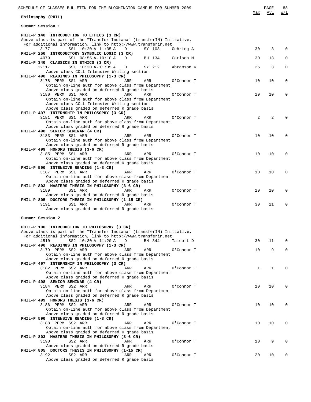| SCHEDULE OF CLASSES BULLETIN FOR THE BLOOMINGTON CAMPUS FOR SUMMER 2009                                                  |     | PAGE | 88          |
|--------------------------------------------------------------------------------------------------------------------------|-----|------|-------------|
| Philosophy (PHIL)                                                                                                        | Max | Avl  | W/L         |
| Summer Session 1                                                                                                         |     |      |             |
| PHIL-P 140 INTRODUCTION TO ETHICS (3 CR)                                                                                 |     |      |             |
| Above class is part of the "Transfer Indiana" (transferIN) Initiative.                                                   |     |      |             |
| For additional information, link to http://www.transferin.net<br>3177<br>SS1 10:20 A-11:35 A<br>D<br>SY 103<br>Gehring A | 30  | 3    | $\Omega$    |
| PHIL-P 250 INTRODUCTORY SYMBOLIC LOGIC (3 CR)                                                                            |     |      |             |
| 4079<br>SS1 08:55 A-10:10 A<br>Carlson M<br>D<br>BH 134                                                                  | 30  | 13   | $\Omega$    |
| PHIL-P 340 CLASSICS IN ETHICS (3 CR)<br>12117<br>SS1 10:20 A-11:35 A<br>D<br>SY 212<br>Abramson K                        | 25  | 3    | $\mathbf 0$ |
| Above class COLL Intensive Writing section                                                                               |     |      |             |
| PHIL-P 490 READINGS IN PHILOSOPHY (1-3 CR)                                                                               |     |      |             |
| 3178 PERM SS1 ARR<br>ARR<br>ARR<br>O'Connor T                                                                            | 10  | 10   | $\mathbf 0$ |
| Obtain on-line auth for above class from Department<br>Above class graded on deferred R grade basis                      |     |      |             |
| 3180 PERM SS1 ARR<br><b>ARR</b><br>ARR<br>O'Connor T                                                                     | 10  | 10   | $\Omega$    |
| Obtain on-line auth for above class from Department                                                                      |     |      |             |
| Above class COLL Intensive Writing section<br>Above class graded on deferred R grade basis                               |     |      |             |
| PHIL-P 497 INTERNSHIP IN PHILOSOPHY (3 CR)                                                                               |     |      |             |
| 3181 PERM SS1 ARR<br>ARR<br>ARR<br>O'Connor T                                                                            | 2   | 2    | $\Omega$    |
| Obtain on-line auth for above class from Department                                                                      |     |      |             |
| Above class graded on deferred R grade basis<br>PHIL-P 498 SENIOR SEMINAR (4 CR)                                         |     |      |             |
| 3183 PERM SS1 ARR<br>ARR<br>ARR<br>O'Connor T                                                                            | 10  | 10   | $\mathbf 0$ |
| Obtain on-line auth for above class from Department                                                                      |     |      |             |
| Above class graded on deferred R grade basis<br>PHIL-P 499 HONORS THESIS (3-6 CR)                                        |     |      |             |
| 3185 PERM SS1 ARR<br>ARR<br>ARR<br>O'Connor T                                                                            | 10  | 10   | $\Omega$    |
| Obtain on-line auth for above class from Department                                                                      |     |      |             |
| Above class graded on deferred R grade basis                                                                             |     |      |             |
| PHIL-P 590 INTENSIVE READING (1-3 CR)<br>3187 PERM SS1 ARR<br>O'Connor T<br>ARR<br>ARR                                   | 10  | 10   | $\mathbf 0$ |
| Obtain on-line auth for above class from Department                                                                      |     |      |             |
| Above class graded on deferred R grade basis                                                                             |     |      |             |
| PHIL-P 803 MASTERS THESIS IN PHILOSOPHY (3-6 CR)                                                                         |     |      |             |
| 3189<br>SS1 ARR<br>ARR<br>ARR<br>O'Connor T<br>Above class graded on deferred R grade basis                              | 10  | 10   | $\mathbf 0$ |
| PHIL-P 805 DOCTORS THESIS IN PHILOSOPHY (1-15 CR)                                                                        |     |      |             |
| 3191<br>SS1 ARR<br>ARR<br>ARR<br>O'Connor T                                                                              | 30  | 21   | $\mathbf 0$ |
| Above class graded on deferred R grade basis                                                                             |     |      |             |
| Summer Session 2                                                                                                         |     |      |             |
|                                                                                                                          |     |      |             |
| PHIL-P 100 INTRODUCTION TO PHILOSOPHY (3 CR)<br>Above class is part of the "Transfer Indiana" (transferIN) Initiative.   |     |      |             |
| For additional information, link to http://www.transferin.net                                                            |     |      |             |
| 4510<br>SS2 10:30 A-11:20 A<br>BH 344<br>D<br>Talcott D                                                                  | 30  | 11   | $\Omega$    |
| PHIL-P 490 READINGS IN PHILOSOPHY (1-3 CR)                                                                               |     |      |             |
| 3179 PERM SS2 ARR<br>ARR<br>O'Connor T<br>ARR<br>Obtain on-line auth for above class from Department                     | 10  | 9    | $\Omega$    |
| Above class graded on deferred R grade basis                                                                             |     |      |             |
| PHIL-P 497 INTERNSHIP IN PHILOSOPHY (3 CR)                                                                               |     |      |             |
| 3182 PERM SS2 ARR<br>ARR<br>ARR<br>O'Connor T<br>Obtain on-line auth for above class from Department                     | 1   | 1    | $\Omega$    |
| Above class graded on deferred R grade basis                                                                             |     |      |             |
| PHIL-P 498 SENIOR SEMINAR (4 CR)                                                                                         |     |      |             |
| 3184 PERM SS2 ARR<br>ARR<br>ARR<br>O'Connor T                                                                            | 10  | 10   | $\Omega$    |
| Obtain on-line auth for above class from Department<br>Above class graded on deferred R grade basis                      |     |      |             |
| PHIL-P 499 HONORS THESIS (3-6 CR)                                                                                        |     |      |             |
| 3186 PERM SS2 ARR<br>ARR<br>ARR<br>O'Connor T                                                                            | 10  | 10   | $\Omega$    |
| Obtain on-line auth for above class from Department                                                                      |     |      |             |
| Above class graded on deferred R grade basis<br>PHIL-P 590 INTENSIVE READING (1-3 CR)                                    |     |      |             |
| 3188 PERM SS2 ARR<br>ARR<br>ARR<br>O'Connor T                                                                            | 10  | 10   | $\Omega$    |
| Obtain on-line auth for above class from Department                                                                      |     |      |             |
| Above class graded on deferred R grade basis                                                                             |     |      |             |
| PHIL-P 803 MASTERS THESIS IN PHILOSOPHY (3-6 CR)<br>3190<br>SS2 ARR<br>ARR<br>ARR<br>O'Connor T                          | 10  | 9    | $\Omega$    |
| Above class graded on deferred R grade basis                                                                             |     |      |             |
| PHIL-P 805 DOCTORS THESIS IN PHILOSOPHY (1-15 CR)                                                                        |     |      |             |
| 3192<br>SS2 ARR<br>ARR<br>ARR<br>O'Connor T<br>Above class graded on deferred R grade basis                              | 20  | 10   | 0           |
|                                                                                                                          |     |      |             |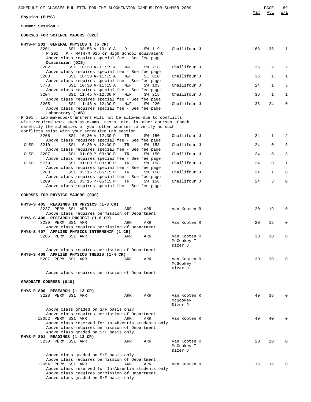| Physics | (PHYS) |
|---------|--------|
|---------|--------|

**Summer Session 1**

**COURSES FOR SCIENCE MAJORS (020)**

|             | COURSES FOR SCIENCE MAUORS (UZU)                                                      |     |        |                            |     |              |              |
|-------------|---------------------------------------------------------------------------------------|-----|--------|----------------------------|-----|--------------|--------------|
|             | PHYS-P 201 GENERAL PHYSICS 1 (5 CR)                                                   |     |        |                            |     |              |              |
|             | 3201<br>SS1 08:55 A-10:10 A                                                           | D   | SW 119 | Challifour J               | 168 | 36           | 1            |
|             | P 201 : P - MATH-M 026 or High School equivalent                                      |     |        |                            |     |              |              |
|             | Above class requires special fee - See fee page                                       |     |        |                            |     |              |              |
|             | Discussion (DIS)<br>SS1 10:30 A-11:15 A<br>3202                                       | MWF | SW 218 | Challifour J               | 36  | 2            | 2            |
|             | Above class requires special fee - See fee page                                       |     |        |                            |     |              |              |
|             | SS1 10:30 A-11:15 A<br>3203                                                           | MWF | SE 010 | Challifour J               | 36  | 1            | $\mathbf{1}$ |
|             | Above class requires special fee - See fee page                                       |     |        |                            |     |              |              |
|             | 5778<br>SS1 10:30 A-11:15 A                                                           | MWF | SW 103 | Challifour J               | 24  | $\mathbf{1}$ | 3            |
|             | Above class requires special fee - See fee page                                       |     |        |                            |     |              |              |
|             | SS1 11:45 A-12:30 P<br>3204                                                           | MWF | SW 218 | Challifour J               | 36  | 1            | $\mathbf{1}$ |
|             | Above class requires special fee - See fee page<br>3205<br>SS1 11:45 A-12:30 P        | MWF | SW 220 | Challifour J               | 36  | 24           | 0            |
|             | Above class requires special fee - See fee page                                       |     |        |                            |     |              |              |
|             | Laboratory (LAB)                                                                      |     |        |                            |     |              |              |
|             | P 201: Lab makeups/transfers will not be allowed due to conflicts                     |     |        |                            |     |              |              |
|             | with required work such as exams, tests, etc. in other courses. Check                 |     |        |                            |     |              |              |
|             | carefully the schedules of your other courses to verify no such                       |     |        |                            |     |              |              |
|             | conflicts exist with your scheduled Lab section.                                      |     |        |                            |     |              |              |
|             | 3206<br>SS1 10:30 A-12:30 P<br>Above class requires special fee - See fee page        | TR  | SW 150 | Challifour J               | 24  | 1            | 2            |
| CLSD        | SS1 10:30 A-12:30 P<br>3210                                                           | TR  | SW 158 | Challifour J               | 24  | 0            | 3            |
|             | Above class requires special fee - See fee page                                       |     |        |                            |     |              |              |
| <b>CLSD</b> | SS1 01:00 P-03:00 P<br>3207                                                           | TR  | SW 150 | Challifour J               | 24  | $\mathbf 0$  | 3            |
|             | Above class requires special fee - See fee page                                       |     |        |                            |     |              |              |
| CLSD        | 5779<br>SS1 01:00 P-03:00 P                                                           | TR  | SW 158 | Challifour J               | 24  | $\mathbf 0$  | 1            |
|             | Above class requires special fee - See fee page                                       |     |        |                            |     |              |              |
|             | SS1 03:15 P-05:15 P<br>3208<br>Above class requires special fee - See fee page        | TR  | SW 150 | Challifour J               | 24  | 1            | $\mathbf 0$  |
|             | 3209<br>SS1 03:15 P-05:15 P                                                           | TR  | SW 158 | Challifour J               | 24  | 3            | $\mathbf 0$  |
|             | Above class requires special fee - See fee page                                       |     |        |                            |     |              |              |
|             |                                                                                       |     |        |                            |     |              |              |
|             | COURSES FOR PHYSICS MAJORS (030)                                                      |     |        |                            |     |              |              |
|             |                                                                                       |     |        |                            |     |              |              |
|             | PHYS-S 405 READINGS IN PHYSICS (1-3 CR)<br>3237 PERM SS1 ARR                          | ARR | ARR    | Van Kooten R               | 20  | 19           | $\Omega$     |
|             | Above class requires permission of Department                                         |     |        |                            |     |              |              |
|             | PHYS-S 406 RESEARCH PROJECT (1-6 CR)                                                  |     |        |                            |     |              |              |
|             | 3239 PERM SS1 ARR                                                                     | ARR | ARR    | Van Kooten R               | 20  | 18           | 0            |
|             | Above class requires permission of Department                                         |     |        |                            |     |              |              |
|             | PHYS-S 407 APPLIED PHYSICS INTERNSHIP (1 CR)                                          |     |        |                            |     |              |              |
|             | 5205 PERM SS1 ARR                                                                     | ARR | ARR    | Van Kooten R               | 30  | 30           | 0            |
|             |                                                                                       |     |        | McGookey T<br>Dizer J      |     |              |              |
|             | Above class requires permission of Department                                         |     |        |                            |     |              |              |
|             | PHYS-S 409 APPLIED PHYSICS THESIS (1-4 CR)                                            |     |        |                            |     |              |              |
|             | 5207 PERM SS1 ARR                                                                     | ARR | ARR    | Van Kooten R               | 30  | 30           | 0            |
|             |                                                                                       |     |        | McGookey T                 |     |              |              |
|             |                                                                                       |     |        | Dizer J                    |     |              |              |
|             | Above class requires permission of Department                                         |     |        |                            |     |              |              |
|             | GRADUATE COURSES (040)                                                                |     |        |                            |     |              |              |
|             |                                                                                       |     |        |                            |     |              |              |
|             | PHYS-P 800 RESEARCH (1-12 CR)                                                         |     |        |                            |     |              |              |
|             | 3228 PERM SS1 ARR                                                                     | ARR | ARR    | Van Kooten R               | 40  | 38           | $\Omega$     |
|             |                                                                                       |     |        | McGookey T                 |     |              |              |
|             |                                                                                       |     |        | Dizer J                    |     |              |              |
|             | Above class graded on S/F basis only<br>Above class requires permission of Department |     |        |                            |     |              |              |
|             | 12052 PERM SS1 ARR                                                                    | ARR | ARR    | Van Kooten R               | 40  | 40           | $\Omega$     |
|             | Above class reserved for In-Absentia students only                                    |     |        |                            |     |              |              |
|             | Above class requires permission of Department                                         |     |        |                            |     |              |              |
|             | Above class graded on S/F basis only                                                  |     |        |                            |     |              |              |
|             | PHYS-P 801 READINGS (1-12 CR)                                                         |     |        |                            |     |              |              |
|             | 3230 PERM SS1 ARR                                                                     | ARR | ARR    | Van Kooten R<br>McGookey T | 20  | 20           | $\Omega$     |
|             |                                                                                       |     |        | Dizer J                    |     |              |              |
|             | Above class graded on S/F basis only                                                  |     |        |                            |     |              |              |
|             | Above class requires permission of Department                                         |     |        |                            |     |              |              |
|             | 12054 PERM SS1 ARR                                                                    | ARR | ARR    | Van Kooten R               | 15  | 15           | $\Omega$     |
|             | Above class reserved for In-Absentia students only                                    |     |        |                            |     |              |              |
|             | Above class requires permission of Department                                         |     |        |                            |     |              |              |

Above class graded on S/F basis only

Max Avl W/L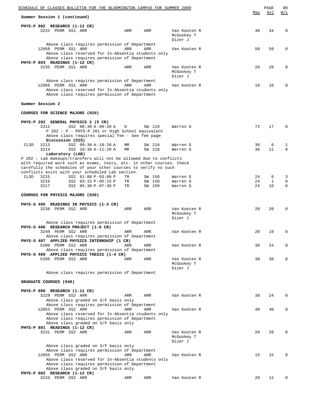|             | <u>SCHEDULE OF CLASSES BULLETIN FOR THE BLOOMINGTON CAMPUS FOR SUMMER 2009</u>                                                                                                               |   |          |                  |                                       | Max      | PAGE<br><u>Avl</u> | 90<br>$\overline{M/L}$ |
|-------------|----------------------------------------------------------------------------------------------------------------------------------------------------------------------------------------------|---|----------|------------------|---------------------------------------|----------|--------------------|------------------------|
|             | Summer Session 1 (continued)                                                                                                                                                                 |   |          |                  |                                       |          |                    |                        |
|             | PHYS-P 802 RESEARCH (1-12 CR)<br>3232 PERM SS1 ARR                                                                                                                                           |   | ARR      | ARR              | Van Kooten R<br>McGookey T<br>Dizer J | 40       | 34                 | 0                      |
|             | Above class requires permission of Department<br>12058 PERM SS1 ARR<br>Above class reserved for In-Absentia students only<br>Above class requires permission of Department                   |   | ARR      | ARR              | Van Kooten R                          | 50       | 50                 | 0                      |
|             | PHYS-P 803 READINGS (1-12 CR)<br>3235 PERM SS1 ARR                                                                                                                                           |   | ARR      | ARR              | Van Kooten R<br>McGookey T<br>Dizer J | 20       | 20                 | 0                      |
|             | Above class requires permission of Department<br>12069 PERM SS1 ARR<br>Above class reserved for In-Absentia students only<br>Above class requires permission of Department                   |   | ARR      | ARR              | Van Kooten R                          | 10       | 10                 | 0                      |
|             | Summer Session 2                                                                                                                                                                             |   |          |                  |                                       |          |                    |                        |
|             | COURSES FOR SCIENCE MAJORS (020)                                                                                                                                                             |   |          |                  |                                       |          |                    |                        |
|             | PHYS-P 202 GENERAL PHYSICS 2 (5 CR)<br>SS2 08:30 A-09:20 A<br>3212<br>P 202 : P - PHYS-P 201 or High School equivalent<br>Above class requires special fee - See fee page                    | D |          | SW 119           | Warren G                              | 72       | 17                 | $\Omega$               |
| CLSD        | Discussion (DIS)<br>SS2 09:30 A-10:20 A<br>3213                                                                                                                                              |   | MR       | SW 218           | Warren G                              | 36       | 0                  | 1                      |
|             | 3214<br>SS2 10:30 A-11:20 A<br>Laboratory (LAB)<br>P 202 : Lab makeups/transfers will not be allowed due to conflicts                                                                        |   | MR       | SW 218           | Warren G                              | 36       | 11                 | 0                      |
|             | with required work such as exams, tests, etc. in other courses. Check<br>carefully the schedules of your other courses to verify no such<br>conflicts exist with your scheduled Lab section. |   |          |                  |                                       |          |                    |                        |
| <b>CLSD</b> | 3215<br>SS2 01:00 P-03:00 P<br>3216<br>SS2 03:15 P-05:15 P                                                                                                                                   |   | TR<br>TR | SW 150<br>SW 150 | Warren G<br>Warren G                  | 24<br>24 | 0<br>$\mathbf{1}$  | 3<br>$\mathbf 0$       |
|             | 3217<br>SS2 05:30 P-07:30 P                                                                                                                                                                  |   | TR       | SW 150           | Warren G                              | 24       | 10                 | $\mathbf 0$            |
|             | COURSES FOR PHYSICS MAJORS (030)                                                                                                                                                             |   |          |                  |                                       |          |                    |                        |
|             | PHYS-S 405 READINGS IN PHYSICS (1-3 CR)<br>3238 PERM SS2 ARR                                                                                                                                 |   | ARR      | ARR              | Van Kooten R<br>McGookey T<br>Dizer J | 20       | 20                 | 0                      |
|             | Above class requires permission of Department<br>PHYS-S 406 RESEARCH PROJECT (1-6 CR)                                                                                                        |   |          |                  |                                       |          |                    |                        |
|             | 3240 PERM SS2 ARR<br>Above class requires permission of Department<br>PHYS-S 407 APPLIED PHYSICS INTERNSHIP (1 CR)                                                                           |   | ARR      | ARR              | Van Kooten R                          | 20       | 19                 |                        |
|             | 5206 PERM SS2 ARR<br>Above class requires permission of Department                                                                                                                           |   | ARR      | ARR              | Van Kooten R                          | 30       | 24                 | 0                      |
|             | PHYS-S 409 APPLIED PHYSICS THESIS (1-4 CR)<br>5208 PERM SS2 ARR                                                                                                                              |   | ARR      | ARR              | Van Kooten R<br>McGookey T<br>Dizer J | 30       | 30                 | 0                      |
|             | Above class requires permission of Department                                                                                                                                                |   |          |                  |                                       |          |                    |                        |
|             | GRADUATE COURSES (040)                                                                                                                                                                       |   |          |                  |                                       |          |                    |                        |
|             | PHYS-P 800 RESEARCH (1-12 CR)<br>3229 PERM SS2 ARR<br>Above class graded on S/F basis only                                                                                                   |   | ARR      | ARR              | Van Kooten R                          | 30       | 24                 | $\Omega$               |
|             | Above class requires permission of Department<br>12053 PERM SS2 ARR<br>Above class reserved for In-Absentia students only                                                                    |   | ARR      | ARR              | Van Kooten R                          | 40       | 40                 | 0                      |
|             | Above class requires permission of Department<br>Above class graded on S/F basis only<br>PHYS-P 801 READINGS (1-12 CR)<br>3231 PERM SS2 ARR                                                  |   |          |                  |                                       |          | 20                 | $\Omega$               |
|             | Above class graded on S/F basis only                                                                                                                                                         |   | ARR      | ARR              | Van Kooten R<br>McGookey T<br>Dizer J | 20       |                    |                        |
|             | Above class requires permission of Department<br>12055 PERM SS2 ARR<br>Above class reserved for In-Absentia students only<br>Above class requires permission of Department                   |   | ARR      | ARR              | Van Kooten R                          | 15       | 15                 | 0                      |
|             | Above class graded on S/F basis only<br>PHYS-P 802 RESEARCH (1-12 CR)<br>3233 PERM SS2 ARR                                                                                                   |   | ARR      | ARR              | Van Kooten R                          | 20       | 12                 | 0                      |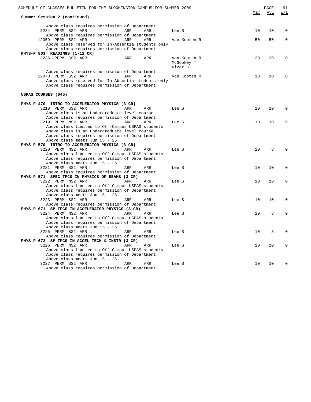| SCHEDULE OF CLASSES BULLETIN FOR THE BLOOMINGTON CAMPUS FOR SUMMER 2009                |              |      | PAGE | 91          |
|----------------------------------------------------------------------------------------|--------------|------|------|-------------|
| Summer Session 2 (continued)                                                           |              | Max  | Avl  | W/L         |
| Above class requires permission of Department<br>3234 PERM SS2 ARR<br>ARR<br>ARR       | Lee S        | 10   | 10   | 0           |
| Above class requires permission of Department                                          |              |      |      |             |
| 12059 PERM SS2 ARR<br>ARR<br>ARR<br>Above class reserved for In-Absentia students only | Van Kooten R | 50   | 50   | $\mathbf 0$ |
| Above class requires permission of Department                                          |              |      |      |             |
| PHYS-P 803 READINGS (1-12 CR)                                                          |              |      |      |             |
| 3236 PERM SS2 ARR<br>ARR<br>ARR                                                        | Van Kooten R | 20   | 20   | $\mathbf 0$ |
|                                                                                        | McGookey T   |      |      |             |
|                                                                                        | Dizer J      |      |      |             |
| Above class requires permission of Department                                          |              |      |      |             |
| 12070 PERM SS2 ARR<br>ARR<br>ARR                                                       | Van Kooten R | 10   | 10   | 0           |
| Above class reserved for In-Absentia students only                                     |              |      |      |             |
| Above class requires permission of Department                                          |              |      |      |             |
|                                                                                        |              |      |      |             |
| USPAS COURSES (045)                                                                    |              |      |      |             |
|                                                                                        |              |      |      |             |
| PHYS-P 470 INTRO TO ACCELERATOR PHYSICS (3 CR)                                         |              |      |      |             |
| 3218 PERM SS2 ARR<br>ARR<br>ARR                                                        | Lee S        | 10   | 10   | 0           |
| Above class is an Undergraduate level course                                           |              |      |      |             |
| Above class requires permission of Department                                          |              |      |      |             |
| 3219 PERM NS2 ARR<br>ARR<br>ARR                                                        | Lee S        | 10   | 10   | $\mathbf 0$ |
| Above class limited to Off-Campus USPAS students                                       |              |      |      |             |
| Above class is an Undergraduate level course                                           |              |      |      |             |
| Above class requires permission of Department                                          |              |      |      |             |
| Above class meets Jun 15 - 26                                                          |              |      |      |             |
| PHYS-P 570 INTRO TO ACCELERATOR PHYSICS (3 CR)                                         |              |      |      |             |
| 3220 PERM NS2 ARR<br>ARR<br>ARR                                                        | Lee S        | 10   | 8    | $\Omega$    |
| Above class limited to Off-Campus USPAS students                                       |              |      |      |             |
| Above class requires permission of Department<br>Above class meets Jun 15 - 26         |              |      |      |             |
| 3221 PERM SS2 ARR<br>ARR<br>ARR                                                        | Lee S        | 10   | 10   | 0           |
| Above class requires permission of Department                                          |              |      |      |             |
| PHYS-P 571 SPEC TPCS IN PHYSICS OF BEAMS (3 CR)                                        |              |      |      |             |
| 3222 PERM NS2 ARR<br>ARR<br>ARR                                                        | Lee S        | 10   | 10   | 0           |
| Above class limited to Off-Campus USPAS students                                       |              |      |      |             |
| Above class requires permission of Department                                          |              |      |      |             |
| Above class meets Jun 15 - 26                                                          |              |      |      |             |
| 3223 PERM SS2 ARR<br>ARR<br>ARR                                                        | Lee S        | 10   | 10   | 0           |
| Above class requires permission of Department                                          |              |      |      |             |
| PHYS-P 671 SP TPCS IN ACCELERATOR PHYSICS (3 CR)                                       |              |      |      |             |
| 3224 PERM NS2 ARR<br>ARR<br>ARR                                                        | Lee S        | 10   | 8    | 0           |
| Above class limited to Off-Campus USPAS students                                       |              |      |      |             |
| Above class requires permission of Department                                          |              |      |      |             |
| Above class meets Jun 15 - 26                                                          |              |      |      |             |
| 3225 PERM SS2 ARR<br>ARR<br>ARR                                                        | Lee S        | $10$ | 8    | 0           |
| Above class requires permission of Department                                          |              |      |      |             |
| PHYS-P 672 SP TPCS IN ACCEL TECH & INSTR (3 CR)                                        |              |      |      |             |
| 3226 PERM NS2 ARR<br>ARR<br><b>ARR</b>                                                 | Lee S        | 10   | 10   | 0           |
| Above class limited to Off-Campus USPAS students                                       |              |      |      |             |
| Above class requires permission of Department                                          |              |      |      |             |
| Above class meets Jun 15 - 26                                                          |              |      |      |             |
| 3227 PERM SS2 ARR<br><b>ARR</b><br>ARR                                                 | Lee S        | 10   | 10   | 0           |
| Above class requires permission of Department                                          |              |      |      |             |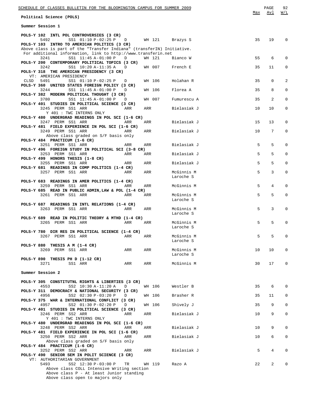| SCHEDULE OF CLASSES BULLETIN FOR THE BLOOMINGTON CAMPUS FOR SUMMER 2009                                                                 |        |                         | Max | PAGE<br>Avl     | 92<br>W/L    |
|-----------------------------------------------------------------------------------------------------------------------------------------|--------|-------------------------|-----|-----------------|--------------|
| Political Science (POLS)                                                                                                                |        |                         |     |                 |              |
| Summer Session 1                                                                                                                        |        |                         |     |                 |              |
| POLS-Y 102 INTL POL CONTROVERSIES (3 CR)<br>SS1 01:10 P-02:25 P D WH 121 Brazys S<br>5492                                               |        |                         | 35  | 19              | $\mathbf 0$  |
| POLS-Y 103 INTRO TO AMERICAN POLITICS (3 CR)                                                                                            |        |                         |     |                 |              |
| Above class is part of the "Transfer Indiana" (transferIN) Initiative.<br>For additional information, link to http://www.transferin.net | WH 121 |                         | 55  | 6               | $\Omega$     |
| SS1 11:45 A-01:00 P<br>3241<br>$\Box$<br>POLS-Y 200 CONTEMPORARY POLITICAL TOPICS (3 CR)                                                |        | Bianco W                |     |                 |              |
| SS1 10:20 A-11:35 A<br>3242<br>D<br>POLS-Y 318 THE AMERICAN PRESIDENCY (3 CR)                                                           | WH 007 | French E                | 35  | 11              | 0            |
| VT: AMERICAN PRESIDENCY<br>SS1 01:10 P-02:25 P<br>CLSD 5491<br>D<br>POLS-Y 360 UNITED STATES FOREIGN POLICY (3 CR)                      | WH 106 | Holahan R               | 35  | $\mathbf 0$     | 2            |
| SS1 11:45 A-01:00 P<br>3244<br>D                                                                                                        | WH 106 | Florea A                | 35  | 8               | $\mathbf 0$  |
| POLS-Y 382 MODERN POLITICAL THOUGHT (3 CR)<br>SS1 11:45 A-01:00 P<br>3780<br>$\Box$                                                     | WH 007 | Fumurescu A             | 35  | 2               | $\mathbf 0$  |
| POLS-Y 401 STUDIES IN POLITICAL SCIENCE (3 CR)<br>3245 PERM SS1 ARR<br>ARR                                                              | ARR    | Bielasiak J             | 10  | 10              | $\mathbf 0$  |
| Y 401 : TWC INTERNS ONLY<br>POLS-Y 480 UNDERGRAD READINGS IN POL SCI (1-6 CR)                                                           |        |                         |     |                 |              |
| 3247 PERM SS1 ARR<br>ARR<br>POLS-Y 481 FIELD EXPERIENCE IN POL SCI (1-6 CR)                                                             | ARR    | Bielasiak J             | 15  | 13              | 0            |
| 3249 PERM SS1 ARR<br>ARR<br>Above class graded on S/F basis only                                                                        | ARR    | Bielasiak J             | 10  | $7\overline{ }$ | $\mathbf 0$  |
| POLS-Y 484 PRACTICUM (1-6 CR)<br>3251 PERM SS1 ARR<br>ARR                                                                               | ARR    | Bielasiak J             | 5   | 5               | $\mathbf 0$  |
| POLS-Y 496 FOREIGN STUDY IN POLITICAL SCI (3-8 CR)<br>3253 PERM SS1 ARR<br>ARR                                                          | ARR    | Bielasiak J             | 5   | 5               | 0            |
| POLS-Y 499 HONORS THESIS (1-8 CR)                                                                                                       |        |                         |     |                 |              |
| 3255 PERM SS1 ARR<br>ARR<br>POLS-Y 681 READINGS IN COMP POLITICS (1-4 CR)                                                               | ARR    | Bielasiak J             | 5   | 5               | $\mathbf 0$  |
| 3257 PERM SS1 ARR<br>ARR                                                                                                                | ARR    | McGinnis M<br>Laroche S | 5   | 3               | 0            |
| POLS-Y 683 READINGS IN AMER POLITICS (1-4 CR)<br>3259 PERM SS1 ARR<br>ARR                                                               | ARR    | McGinnis M              | 5   | 4               | $\mathbf 0$  |
| POLS-Y 685 READ IN PUBLIC ADMIN, LAW & POL (1-4 CR)<br>3261 PERM SS1 ARR<br>ARR                                                         | ARR    | McGinnis M              | 5   | 5               | $\mathbf 0$  |
|                                                                                                                                         |        | Laroche S               |     |                 |              |
| POLS-Y 687 READINGS IN INTL RELATIONS (1-4 CR)<br>3263 PERM SS1 ARR<br>ARR                                                              | ARR    | McGinnis M<br>Laroche S | 5   | 3               | $\mathbf 0$  |
| POLS-Y 689 READ IN POLITIC THEORY & MTHD (1-4 CR)<br>3265 PERM SS1 ARR<br>ARR                                                           | ARR    | McGinnis M              | 5   | 5               | $\mathbf 0$  |
|                                                                                                                                         |        | Laroche S               |     |                 |              |
| POLS-Y 780 DIR RES IN POLITICAL SCIENCE (1-4 CR)<br>3267 PERM SS1 ARR<br>ARR                                                            | ARR    | McGinnis M              | 5   | 5               | 0            |
| POLS-Y 880 THESIS A M (1-4 CR)                                                                                                          |        | Laroche S               |     |                 |              |
| 3269 PERM SS1 ARR<br>ARR                                                                                                                | ARR    | McGinnis M              | 10  | 10 <sub>o</sub> | $\mathbf 0$  |
| POLS-Y 890 THESIS PH D (1-12 CR)                                                                                                        |        | Laroche S               |     |                 |              |
| 3271<br>SS1 ARR<br>ARR                                                                                                                  | ARR    | McGinnis M              | 30  | 17              | $\mathbf 0$  |
| Summer Session 2                                                                                                                        |        |                         |     |                 |              |
| POLS-Y 305 CONSTITUTNL RIGHTS & LIBERTIES (3 CR)                                                                                        |        |                         |     |                 |              |
| 4553<br>SS2 10:30 A-11:20 A<br>D<br>POLS-Y 311 DEMOCRACY & NATIONAL SECURITY (3 CR)                                                     | WH 106 | Westler B               | 35  | 6               | $\mathbf 0$  |
| 4956<br>SS2 02:30 P-03:20 P<br>D<br>POLS-Y 375 WAR & INTERNATIONAL CONFLICT (3 CR)                                                      | WH 106 | Brasher R               | 35  | 11              | 0            |
| SS2 01:30 P-02:20 P<br>4957<br>D<br>POLS-Y 401 STUDIES IN POLITICAL SCIENCE (3 CR)                                                      | WH 106 | Shively J               | 35  | 9               | $\mathbf{0}$ |
| 3246 PERM SS2 ARR<br>ARR<br>Y 401 : TWC INTERNS ONLY                                                                                    | ARR    | Bielasiak J             | 10  | 9               | $\mathbf 0$  |
| POLS-Y 480 UNDERGRAD READINGS IN POL SCI (1-6 CR)<br>3248 PERM SS2 ARR<br>ARR                                                           | ARR    | Bielasiak J             | 10  | 9               | $\mathbf 0$  |
| POLS-Y 481 FIELD EXPERIENCE IN POL SCI (1-6 CR)<br>3250 PERM SS2 ARR<br>ARR                                                             | ARR    | Bielasiak J             | 10  | 6               | 0            |
| Above class graded on S/F basis only<br>POLS-Y 484 PRACTICUM (1-6 CR)                                                                   |        |                         |     |                 |              |
| 3252 PERM SS2 ARR<br>ARR                                                                                                                | ARR    | Bielasiak J             | 5   | $\overline{4}$  | $\mathbf 0$  |
| POLS-Y 490 SENIOR SEM IN POLIT SCIENCE (3 CR)<br>VT: AUTHORITARIAN GOVERNMENT                                                           |        |                         | 22  | 2               | 0            |
| 5493<br>SS2 12:30 P-03:00 P TR WH 119<br>Above class COLL Intensive Writing section                                                     |        | Razo A                  |     |                 |              |
| Above class P - At least Junior standing<br>Above class open to majors only                                                             |        |                         |     |                 |              |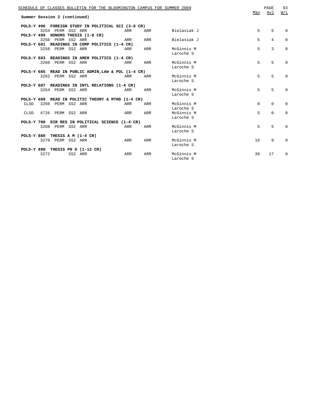|      | Summer Session 2 (continued)   | SCHEDULE OF CLASSES BULLETIN FOR THE BLOOMINGTON CAMPUS FOR SUMMER 2009 |     |     |             | Max         | PAGE<br>Avl    | 93<br>W/L   |
|------|--------------------------------|-------------------------------------------------------------------------|-----|-----|-------------|-------------|----------------|-------------|
|      |                                | POLS-Y 496 FOREIGN STUDY IN POLITICAL SCI (3-8 CR)                      |     |     |             |             |                |             |
|      | 3254 PERM SS2 ARR              |                                                                         | ARR | ARR | Bielasiak J | 5           | 5              | $\Omega$    |
|      |                                | POLS-Y 499 HONORS THESIS (1-8 CR)                                       |     |     |             |             |                |             |
|      | 3256 PERM SS2 ARR              |                                                                         | ARR | ARR | Bielasiak J | 5           | $\overline{4}$ | $\Omega$    |
|      |                                | POLS-Y 681 READINGS IN COMP POLITICS (1-4 CR)                           |     |     |             |             |                |             |
|      | 3258 PERM SS2 ARR              |                                                                         | ARR | ARR | McGinnis M  | 5           | 3              | $\Omega$    |
|      |                                |                                                                         |     |     | Laroche S   |             |                |             |
|      |                                | POLS-Y 683 READINGS IN AMER POLITICS (1-4 CR)                           |     |     |             |             |                |             |
|      |                                | 3260 PERM SS2 ARR ARR                                                   |     | ARR | McGinnis M  | $5^{\circ}$ | 5              | $\mathbf 0$ |
|      |                                |                                                                         |     |     | Laroche S   |             |                |             |
|      |                                | POLS-Y 685 READ IN PUBLIC ADMIN, LAW & POL (1-4 CR)                     |     |     |             |             |                |             |
|      | 3262 PERM SS2 ARR              |                                                                         | ARR | ARR | McGinnis M  | $5^{\circ}$ | 5              | $\Omega$    |
|      |                                |                                                                         |     |     | Laroche S   |             |                |             |
|      |                                | POLS-Y 687 READINGS IN INTL RELATIONS (1-4 CR)                          |     |     |             |             |                |             |
|      | 3264 PERM SS2 ARR              |                                                                         | ARR | ARR | McGinnis M  | 5           | 5              | $\Omega$    |
|      |                                |                                                                         |     |     | Laroche S   |             |                |             |
|      |                                | POLS-Y 689 READ IN POLITIC THEORY & MTHD (1-4 CR)                       |     |     |             |             |                |             |
|      | CLSD 3266 PERM SS2 ARR         |                                                                         | ARR | ARR | McGinnis M  | 8           | $\Omega$       | 0           |
|      |                                |                                                                         |     |     | Laroche S   |             |                |             |
| CLSD | 4726 PERM SS2 ARR              |                                                                         | ARR | ARR | McGinnis M  | 5           | $\Omega$       | $\Omega$    |
|      |                                |                                                                         |     |     | Laroche S   |             |                |             |
|      |                                | POLS-Y 780 DIR RES IN POLITICAL SCIENCE (1-4 CR)                        |     |     |             |             |                |             |
|      | 3268 PERM SS2 ARR              |                                                                         | ARR | ARR | McGinnis M  | 5           | 5              | $\Omega$    |
|      |                                |                                                                         |     |     | Laroche S   |             |                |             |
|      | POLS-Y 880 THESIS A M (1-4 CR) |                                                                         |     |     |             |             |                |             |
|      | 3270 PERM SS2 ARR              |                                                                         | ARR | ARR | McGinnis M  | 10          | 9              | $\Omega$    |
|      |                                |                                                                         |     |     | Laroche S   |             |                |             |
|      |                                | POLS-Y 890 THESIS PH D (1-12 CR)                                        |     |     |             |             |                |             |
|      | 3272                           | SS2 ARR                                                                 | ARR | ARR | McGinnis M  | 30          | 17             | $\Omega$    |
|      |                                |                                                                         |     |     | Laroche S   |             |                |             |
|      |                                |                                                                         |     |     |             |             |                |             |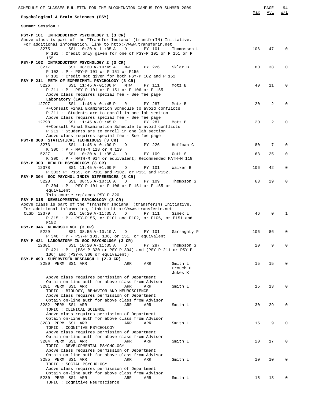| SCHEDULE OF CLASSES BULLETIN FOR THE BLOOMINGTON CAMPUS FOR SUMMER 2009                                                                 |                    | 94<br>PAGE        |
|-----------------------------------------------------------------------------------------------------------------------------------------|--------------------|-------------------|
| Psychological & Brain Sciences (PSY)                                                                                                    | Max                | W/L<br>Avl        |
| Summer Session 1                                                                                                                        |                    |                   |
| PSY-P 101 INTRODUCTORY PSYCHOLOGY 1 (3 CR)                                                                                              |                    |                   |
| Above class is part of the "Transfer Indiana" (transferIN) Initiative.<br>For additional information, link to http://www.transferin.net |                    |                   |
| 3275<br>SS1 10:20 A-11:35 A<br>PY 101<br>D                                                                                              | 106<br>Thomassen L | 47<br>$\Omega$    |
| P 101 : Credit only given for one of PSY-P 101 or P 151 or P                                                                            |                    |                   |
| 155                                                                                                                                     |                    |                   |
| PSY-P 102 INTRODUCTORY PSYCHOLOGY 2 (3 CR)<br>3277<br>SS1 08:30 A-10:45 A<br>PY 226<br>MWF<br>Sklar B                                   | 80                 | 38<br>$\mathbf 0$ |
| P 102 : P - PSY-P 101 or P 151 or P155                                                                                                  |                    |                   |
| P 102 : Credit not given for both PSY-P 102 and P 152                                                                                   |                    |                   |
| PSY-P 211 METH OF EXPERIMNTL PSYCHOLOGY (3 CR)<br>5226<br>SS1 11:45 A-01:00 P<br>MTW<br>PY 111<br>Motz B                                | 40                 | 11<br>$\Omega$    |
| P 211 : P - PSY-P 101 or P 151 or P 106 or P 155                                                                                        |                    |                   |
| Above class requires special fee - See fee page                                                                                         |                    |                   |
| Laboratory (LAB)                                                                                                                        |                    |                   |
| 12797<br>SS1 11:45 A-01:45 P<br>PY 287<br>R<br>Motz B<br>++Consult Final Examination Schedule to avoid conflicts                        | 20                 | 2<br>$\Omega$     |
| P 211: Students are to enroll in one lab section                                                                                        |                    |                   |
| Above class requires special fee - See fee page                                                                                         |                    |                   |
| 12798<br>SS1 11:45 A-01:45 P<br>PY 287<br>F<br>Motz B                                                                                   | 20                 | 2<br>$\Omega$     |
| ++Consult Final Examination Schedule to avoid conflicts<br>P 211 : Students are to enroll in one lab section                            |                    |                   |
| Above class requires special fee - See fee page                                                                                         |                    |                   |
| PSY-K 300 STATISTICAL TECHNIQUES (3 CR)                                                                                                 |                    |                   |
| 3273<br>SS1 11:45 A-01:00 P<br>PY 226<br>Hoffman C<br>D                                                                                 | 80                 | 7<br>$\Omega$     |
| K 300 : P - MATH-M 118 or M 119<br>SS1 10:20 A-11:35 A<br>PY 109<br>5227<br>D<br>Guth S                                                 | 63                 | 25<br>$\mathbf 0$ |
| K 300: P - MATH-M 014 or equivalent; Recommended MATH-M 118                                                                             |                    |                   |
| PSY-P 303 HEALTH PSYCHOLOGY (3 CR)                                                                                                      |                    |                   |
| 12378<br>SS1 11:45 A-01:00 P<br>D<br>PY 101<br>Walker B                                                                                 | 106                | 42<br>0           |
| P 303: P: P155, or P101 and P102, or P151 and P152.<br>PSY-P 304 SOC PSYCHOL INDIV DIFFERENCES (3 CR)                                   |                    |                   |
| SS1 08:55 A-10:10 A<br>5228<br>D<br>PY 109                                                                                              | 63<br>Thompson S   | 29<br>0           |
| P 304 : P - PSY-P 101 or P 106 or P 151 or P 155 or                                                                                     |                    |                   |
| equivalent                                                                                                                              |                    |                   |
| This course replaces PSY-P 320<br>PSY-P 315 DEVELOPMENTAL PSYCHOLOGY (3 CR)                                                             |                    |                   |
| Above class is part of the "Transfer Indiana" (transferIN) Initiative.                                                                  |                    |                   |
| For additional information, link to http://www.transferin.net                                                                           |                    |                   |
| CLSD 12379<br>SS1 10:20 A-11:35 A<br>PY 111<br>D<br>Sinex L<br>P 315 : P - PSY-P155, or P101 and P102, or P106, or P151 and             | 46                 | $\mathbf{0}$<br>1 |
| P152                                                                                                                                    |                    |                   |
| PSY-P 346 NEUROSCIENCE (3 CR)                                                                                                           |                    |                   |
| 5229 SS1 08:55 A-10:10 A D<br>PY 101<br>Garraghty P                                                                                     | 106                | 86                |
| P 346 : P - PSY-P 101, 106, or 151, or equivalent<br>PSY-P 421 LABORATORY IN SOC PSYCHOLOGY (3 CR)                                      |                    |                   |
| 12381<br>SS1 10:20 A-11:35 A<br>D<br>PY 287                                                                                             | 20<br>Thompson S   | 9<br>0            |
| P 421 : P - (PSY-P 320 or PSY-P 304) and (PSY-P 211 or PSY-P                                                                            |                    |                   |
| 106) and (PSY-K 300 or equivalent)                                                                                                      |                    |                   |
| PSY-P 493 SUPERVISED RESEARCH 1 (2-3 CR)<br>3280 PERM SS1 ARR<br>Smith L<br>ARR<br>ARR                                                  | 15                 | 15<br>0           |
| Crouch P                                                                                                                                |                    |                   |
| Jukes K                                                                                                                                 |                    |                   |
| Above class requires permission of Department<br>Obtain on-line auth for above class from Advisor                                       |                    |                   |
| 3281 PERM SS1 ARR<br>ARR<br>ARR<br>Smith L                                                                                              | 15                 | 13<br>0           |
| TOPIC : BIOLOGY, BEHAVIOR AND NEUROSCIENCE                                                                                              |                    |                   |
| Above class requires permission of Department                                                                                           |                    |                   |
| Obtain on-line auth for above class from Advisor<br>3282 PERM SS1 ARR<br>Smith L<br>ARR<br>ARR                                          | 30                 | 29<br>0           |
| TOPIC : CLINICAL SCIENCE                                                                                                                |                    |                   |
| Above class requires permission of Department                                                                                           |                    |                   |
| Obtain on-line auth for above class from Advisor                                                                                        |                    |                   |
| 3283 PERM SS1 ARR<br>ARR<br>Smith L<br>ARR<br>TOPIC : COGNITIVE PSYCHOLOGY                                                              | 15                 | 9<br>0            |
| Above class requires permission of Department                                                                                           |                    |                   |
| Obtain on-line auth for above class from Advisor                                                                                        |                    |                   |
| 3284 PERM SS1 ARR<br>ARR<br>ARR<br>Smith L                                                                                              | 20                 | 17<br>0           |
| TOPIC : DEVELOPMENTAL PSYCHOLOGY<br>Above class requires permission of Department                                                       |                    |                   |
| Obtain on-line auth for above class from Advisor                                                                                        |                    |                   |
| 3285 PERM SS1 ARR<br>ARR<br>ARR<br>Smith L                                                                                              | 10                 | 10<br>0           |
| TOPIC : SOCIAL PSYCHOLOGY                                                                                                               |                    |                   |
| Above class requires permission of Department<br>Obtain on-line auth for above class from Advisor                                       |                    |                   |
| 5230 PERM SS1 ARR<br>Smith L<br>ARR<br>ARR                                                                                              | 15                 | 13<br>0           |
| TOPIC : Cognitive Neuroscience                                                                                                          |                    |                   |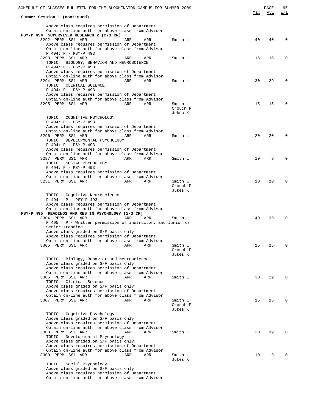| Summer Session 1 (continued)                                                                                                                                                              |     |                                | Max | Avl | W/L          |
|-------------------------------------------------------------------------------------------------------------------------------------------------------------------------------------------|-----|--------------------------------|-----|-----|--------------|
| Above class requires permission of Department<br>Obtain on-line auth for above class from Advisor<br>PSY-P 494 SUPERVISED RESEARCH 2 (2-3 CR)                                             |     |                                |     |     |              |
| 3292 PERM SS1 ARR<br>ARR<br>Above class requires permission of Department<br>Obtain on-line auth for above class from Advisor<br>P 494: P - PSY-P 493                                     | ARR | Smith L                        | 40  | 40  | 0            |
| 3293 PERM SS1 ARR<br>ARR<br>TOPIC : BIOLOGY, BEHAVIOR AND NEUROSCIENCE<br>P 494: P - PSY-P 493<br>Above class requires permission of Department                                           | ARR | Smith L                        | 15  | 15  | 0            |
| Obtain on-line auth for above class from Advisor<br>3294 PERM SS1 ARR<br>ARR<br>TOPIC : CLINICAL SCIENCE<br>P 494: P - PSY-P 493                                                          | ARR | Smith L                        | 30  | 29  | 0            |
| Above class requires permission of Department<br>Obtain on-line auth for above class from Advisor<br>3295 PERM SS1 ARR<br>ARR                                                             | ARR | Smith L<br>Crouch P<br>Jukes K | 15  | 15  | 0            |
| TOPIC : COGNITIVE PSYCHOLOGY<br>P 494: P - PSY-P 493                                                                                                                                      |     |                                |     |     |              |
| Above class requires permission of Department<br>Obtain on-line auth for above class from Advisor<br>3296 PERM SS1 ARR<br>ARR<br>TOPIC : DEVELOPMENTAL PSYCHOLOGY<br>P 494: P - PSY-P 493 | ARR | Smith L                        | 20  | 20  | <sup>0</sup> |
| Above class requires permission of Department<br>Obtain on-line auth for above class from Advisor<br>3297 PERM SS1 ARR<br>ARR<br>TOPIC : SOCIAL PSYCHOLOGY<br>P 494: P - PSY-P 493        | ARR | Smith L                        | 10  | 9   |              |
| Above class requires permission of Department<br>Obtain on-line auth for above class from Advisor<br>5231 PERM SS1 ARR<br>ARR                                                             | ARR | Smith L<br>Crouch P            | 10  | 10  |              |
| TOPIC: Cognitive Neuroscience                                                                                                                                                             |     | Jukes K                        |     |     |              |
| P 494 : P - PSY-P 493<br>Above class requires permission of Department                                                                                                                    |     |                                |     |     |              |
| Obtain on-line auth for above class from Advisor<br>PSY-P 495 READINGS AND RES IN PSYCHOLOGY (1-3 CR)<br>3304 PERM SS1 ARR<br>ARR                                                         | ARR | Smith L                        | 40  | 39  |              |
| P 495 : P - Written permission of instructor, and Junior or<br>Senior standing                                                                                                            |     |                                |     |     |              |
| Above class graded on S/F basis only<br>Above class requires permission of Department<br>Obtain on-line auth for above class from Advisor                                                 |     |                                |     |     |              |
| 3305 PERM SS1 ARR<br>ARR                                                                                                                                                                  | ARR | Smith L<br>Crouch P<br>Jukes K | 15  | 15  | U            |
| TOPIC: Biology, Behavior and Neuroscience<br>Above class graded on S/F basis only<br>Above class requires permission of Department<br>Obtain on-line auth for above class from Advisor    |     |                                |     |     |              |
| 3306 PERM SS1 ARR<br>ARR<br>TOPIC : Clinical Science<br>Above class graded on S/F basis only<br>Above class requires permission of Department                                             | ARR | Smith L                        | 30  | 29  |              |
| Obtain on-line auth for above class from Advisor<br>3307 PERM SS1 ARR<br>ARR                                                                                                              | ARR | Smith L<br>Crouch P<br>Jukes K | 15  | 15  | U            |
| TOPIC : Cognitive Psychology<br>Above class graded on S/F basis only<br>Above class requires permission of Department<br>Obtain on-line auth for above class from Advisor                 |     |                                |     |     |              |
| 3308 PERM SS1 ARR<br>ARR<br>TOPIC : Developmental Psychology<br>Above class graded on S/F basis only<br>Above class requires permission of Department                                     | ARR | Smith L                        | 20  | 19  | U            |
| Obtain on-line auth for above class from Advisor<br>3309 PERM SS1 ARR<br>ARR                                                                                                              | ARR | Smith L                        | 10  | 9   |              |
| TOPIC : Social Psychology<br>Above class graded on S/F basis only<br>Above class requires permission of Department                                                                        |     | Jukes K                        |     |     |              |

Obtain on-line auth for above class from Advisor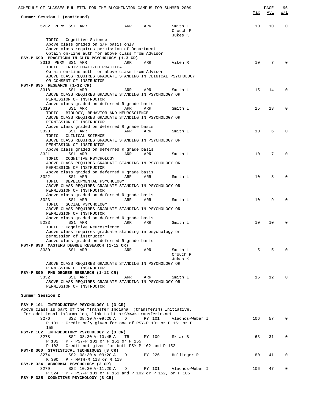|                  |                                      | SCHEDULE OF CLASSES BULLETIN FOR THE BLOOMINGTON CAMPUS FOR SUMMER 2009                                                 |     |        |                                | <u>Max</u> | PAGE<br><u>Avl</u> | 96<br><u>W/L</u> |
|------------------|--------------------------------------|-------------------------------------------------------------------------------------------------------------------------|-----|--------|--------------------------------|------------|--------------------|------------------|
|                  | Summer Session 1 (continued)         |                                                                                                                         |     |        |                                |            |                    |                  |
|                  | 5232 PERM SS1 ARR                    |                                                                                                                         | ARR | ARR    | Smith L<br>Crouch P<br>Jukes K | 10         | 10                 | $\mathbf 0$      |
|                  |                                      | TOPIC : Cognitive Science                                                                                               |     |        |                                |            |                    |                  |
|                  |                                      | Above class graded on S/F basis only<br>Above class requires permission of Department                                   |     |        |                                |            |                    |                  |
|                  |                                      | Obtain on-line auth for above class from Advisor                                                                        |     |        |                                |            |                    |                  |
|                  |                                      | PSY-P 690 PRACTICUM IN CLIN PSYCHOLOGY (1-3 CR)                                                                         |     |        |                                |            |                    |                  |
|                  | 3316 PERM SS1 ARR                    | TOPIC : INDIVIDUALIZED PRACTICA                                                                                         | ARR | ARR    | Viken R                        | 10         | 7                  | $\Omega$         |
|                  |                                      | Obtain on-line auth for above class from Advisor                                                                        |     |        |                                |            |                    |                  |
|                  |                                      | ABOVE CLASS REOUIRES GRADUATE STANDING IN CLINICAL PSYCHOLOGY                                                           |     |        |                                |            |                    |                  |
|                  |                                      | OR CONSENT OF INSTRUCTOR                                                                                                |     |        |                                |            |                    |                  |
|                  | PSY-P 895 RESEARCH (1-12 CR)<br>3318 | SS1 ARR                                                                                                                 | ARR | ARR    | Smith L                        | 15         | 14                 | $\Omega$         |
|                  |                                      | ABOVE CLASS REQUIRES GRADUATE STANDING IN PSYCHOLOGY OR                                                                 |     |        |                                |            |                    |                  |
|                  |                                      | PERMISSION OF INSTRUCTOR                                                                                                |     |        |                                |            |                    |                  |
|                  | 3319                                 | Above class graded on deferred R grade basis<br>SS1 ARR                                                                 | ARR | ARR    | Smith L                        | 15         | 13                 | $\Omega$         |
|                  |                                      | TOPIC : BIOLOGY, BEHAVIOR AND NEUROSCIENCE                                                                              |     |        |                                |            |                    |                  |
|                  |                                      | ABOVE CLASS REQUIRES GRADUATE STANDING IN PSYCHOLOGY OR<br>PERMISSION OF INSTRUCTOR                                     |     |        |                                |            |                    |                  |
|                  |                                      | Above class graded on deferred R grade basis                                                                            |     |        |                                |            |                    |                  |
|                  | 3320                                 | SS1 ARR<br>TOPIC : CLINICAL SCIENCE                                                                                     | ARR | ARR    | Smith L                        | 10         | 6                  | $\Omega$         |
|                  |                                      | ABOVE CLASS REQUIRES GRADUATE STANDING IN PSYCHOLOGY OR<br>PERMISSION OF INSTRUCTOR                                     |     |        |                                |            |                    |                  |
|                  |                                      | Above class graded on deferred R grade basis                                                                            |     |        |                                |            |                    |                  |
|                  | 3321                                 | SS1 ARR<br>TOPIC : COGNITIVE PSYCHOLOGY                                                                                 | ARR | ARR    | Smith L                        | 10         | 7                  | $\Omega$         |
|                  |                                      | ABOVE CLASS REQUIRES GRADUATE STANDING IN PSYCHOLOGY OR<br>PERMISSION OF INSTRUCTOR                                     |     |        |                                |            |                    |                  |
|                  |                                      | Above class graded on deferred R grade basis                                                                            |     |        |                                |            |                    |                  |
|                  | 3322                                 | SS1 ARR                                                                                                                 | ARR | ARR    | Smith L                        | 10         | 8                  | $\Omega$         |
|                  |                                      | TOPIC : DEVELOPMENTAL PSYCHOLOGY<br>ABOVE CLASS REQUIRES GRADUATE STANDING IN PSYCHOLOGY OR<br>PERMISSION OF INSTRUCTOR |     |        |                                |            |                    |                  |
|                  |                                      | Above class graded on deferred R grade basis                                                                            |     |        |                                |            |                    |                  |
|                  | 3323                                 | SS1 ARR<br>TOPIC : SOCIAL PSYCHOLOGY                                                                                    | ARR | ARR    | Smith L                        | 10         | 9                  | $\Omega$         |
|                  |                                      | ABOVE CLASS REQUIRES GRADUATE STANDING IN PSYCHOLOGY OR<br>PERMISSION OF INSTRUCTOR                                     |     |        |                                |            |                    |                  |
|                  |                                      | Above class graded on deferred R grade basis                                                                            |     |        |                                |            |                    |                  |
|                  | 5233                                 | SS1 ARR<br>TOPIC : Cognitive Neuroscience                                                                               | ARR | ARR    | Smith L                        | 10         | 10                 | $\mathbf 0$      |
|                  |                                      | Above class requires graduate standing in psychology or                                                                 |     |        |                                |            |                    |                  |
|                  |                                      | permission of instructor                                                                                                |     |        |                                |            |                    |                  |
|                  |                                      | Above class graded on deferred R grade basis                                                                            |     |        |                                |            |                    |                  |
|                  | 3330                                 | PSY-P 898 MASTERS DEGREE RESEARCH (1-12 CR)<br>SS1 ARR                                                                  | ARR | ARR    | Smith L                        | 5          | 5                  | $\Omega$         |
|                  |                                      |                                                                                                                         |     |        | Crouch P                       |            |                    |                  |
|                  |                                      |                                                                                                                         |     |        | Jukes K                        |            |                    |                  |
|                  |                                      | ABOVE CLASS REQUIRES GRADUATE STANDING IN PSYCHOLOGY OR                                                                 |     |        |                                |            |                    |                  |
|                  |                                      | PERMISSION OF INSTRUCTOR<br>PSY-P 899 PHD DEGREE RESEARCH (1-12 CR)                                                     |     |        |                                |            |                    |                  |
|                  | 3332                                 | SS1 ARR                                                                                                                 | ARR | ARR    | Smith L                        | 15         | 12 <sup>°</sup>    | $\Omega$         |
|                  |                                      | ABOVE CLASS REQUIRES GRADUATE STANDING IN PSYCHOLOGY OR<br>PERMISSION OF INSTRUCTOR                                     |     |        |                                |            |                    |                  |
| Summer Session 2 |                                      |                                                                                                                         |     |        |                                |            |                    |                  |
|                  |                                      | PSY-P 101 INTRODUCTORY PSYCHOLOGY 1 (3 CR)                                                                              |     |        |                                |            |                    |                  |
|                  |                                      | Above class is part of the "Transfer Indiana" (transferIN) Initiative.                                                  |     |        |                                |            |                    |                  |
|                  | 3276                                 | For additional information, link to http://www.transferin.net<br>SS2 08:30 A-09:20 A                                    | D   | PY 101 | Vlachos-Weber I                | 106        | 57                 | $\Omega$         |
|                  |                                      | P 101 : Credit only given for one of PSY-P 101 or P 151 or P                                                            |     |        |                                |            |                    |                  |
|                  | 155                                  |                                                                                                                         |     |        |                                |            |                    |                  |
|                  |                                      | PSY-P 102 INTRODUCTORY PSYCHOLOGY 2 (3 CR)                                                                              |     |        |                                |            |                    |                  |
|                  | 3278                                 | SS2 08:30 A-10:45 A<br>P 102 : P - PSY-P 101 or P 151 or P 155                                                          | TR  | PY 109 | Sklar B                        | 63         | 31                 | $\mathbf 0$      |
|                  |                                      | P 102 : Credit not given for both PSY-P 102 and P 152                                                                   |     |        |                                |            |                    |                  |
|                  |                                      | PSY-K 300 STATISTICAL TECHNIQUES (3 CR)                                                                                 |     |        |                                |            |                    |                  |
|                  | 3274                                 | SS2 08:30 A-09:20 A<br>K 300 : P - MATH-M 118 or M 119                                                                  | D   | PY 226 | Hullinger R                    | 80         | 41                 | 0                |
|                  |                                      | PSY-P 324 ABNORMAL PSYCHOLOGY (3 CR)                                                                                    |     |        |                                |            |                    |                  |
|                  | 3279                                 | SS2 10:30 A-11:20 A                                                                                                     | D   | PY 101 | Vlachos-Weber I                | 106        | 47                 | 0                |
|                  |                                      | P 324 : P - PSY-P 101 or P 151 and P 102 or P 152, or P 106                                                             |     |        |                                |            |                    |                  |
|                  |                                      | PSY-P 335 COGNITIVE PSYCHOLOGY (3 CR)                                                                                   |     |        |                                |            |                    |                  |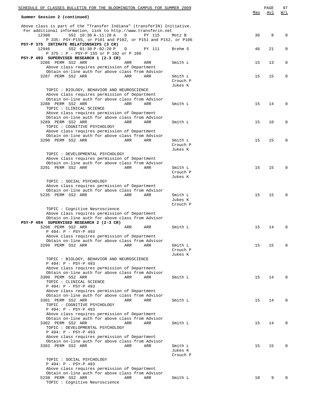| Summer Session 2 (continued)<br>Above class is part of the "Transfer Indiana" (transferIN) Initiative.<br>For additional information, link to http://www.transferin.net<br>8<br>12380<br>SS2 10:30 A-11:20 A<br>D<br>30<br>$\mathbf 0$<br>PY 115<br>Motz B<br>P 335: PSY-P155, or P101 and P102, or P151 and P152, or P106<br>PSY-P 375 INTIMATE RELATIONSHIPS (3 CR)<br>12946<br>SS2 01:30 P-02:20 P<br>46<br>21<br>0<br>D<br>PY 111<br>Brehm S<br>P 375 : P - PSY-P 155 or P 102 or P 106<br>PSY-P 493 SUPERVISED RESEARCH 1 (2-3 CR)<br>3286 PERM SS2 ARR<br>Smith L<br>15<br>13<br>0<br>ARR<br>ARR<br>Above class requires permission of Department<br>Obtain on-line auth for above class from Advisor<br>3287 PERM SS2 ARR<br>ARR<br>ARR<br>15<br>15<br>0<br>Smith L<br>Crouch P<br>Jukes K<br>TOPIC : BIOLOGY, BEHAVIOR AND NEUROSCIENCE<br>Above class requires permission of Department<br>Obtain on-line auth for above class from Advisor<br>3288 PERM SS2 ARR<br>ARR<br>ARR<br>15<br>14<br>$\Omega$<br>Smith L<br>TOPIC : CLINICAL SCIENCE<br>Above class requires permission of Department<br>Obtain on-line auth for above class from Advisor<br>3289 PERM SS2 ARR<br>ARR<br>ARR<br>Smith L<br>15<br>10<br>$\mathbf 0$<br>TOPIC : COGNITIVE PSYCHOLOGY<br>Above class requires permission of Department<br>Obtain on-line auth for above class from Advisor<br>3290 PERM SS2 ARR<br>ARR<br>Smith L<br>15<br>ARR<br>15<br>0<br>Crouch P<br>Jukes K<br>TOPIC : DEVELOPMENTAL PSYCHOLOGY<br>Above class requires permission of Department<br>Obtain on-line auth for above class from Advisor<br>3291 PERM SS2 ARR<br>ARR<br>15<br>15<br>ARR<br>Smith L<br>Crouch P<br>Jukes K<br>TOPIC : SOCIAL PSYCHOLOGY<br>Above class requires permission of Department<br>Obtain on-line auth for above class from Advisor<br>5235 PERM SS2 ARR<br>ARR<br>Smith L<br>15<br>15<br>ARR<br>0<br>Jukes K<br>Crouch P<br>TOPIC : Cognitive Neuroscience<br>Above class requires permission of Department<br>Obtain on-line auth for above class from Advisor<br>PSY-P 494 SUPERVISED RESEARCH 2 (2-3 CR)<br>Smith L<br>3298 PERM SS2 ARR<br>ARR<br>ARR<br>15<br>14<br>$\Omega$<br>P 494: P - PSY-P 493<br>Above class requires permission of Department<br>Obtain on-line auth for above class from Advisor<br>3299 PERM SS2 ARR<br>Smith L<br>ARR<br>ARR<br>15<br>15<br>$\Omega$<br>Crouch P<br>Jukes K<br>TOPIC : BIOLOGY, BEHAVIOR AND NEUROSCIENCE<br>P 494: P - PSY-P 493<br>Above class requires permission of Department<br>Obtain on-line auth for above class from Advisor<br>3300 PERM SS2 ARR<br>ARR<br>ARR<br>Smith L<br>15<br>14<br>$\Omega$<br>TOPIC : CLINICAL SCIENCE<br>P 494: P - PSY-P 493<br>Above class requires permission of Department<br>Obtain on-line auth for above class from Advisor<br>3301 PERM SS2 ARR<br>Smith L<br>15<br>ARR<br>ARR<br>14<br>$\Omega$<br>TOPIC : COGNITIVE PSYCHOLOGY<br>P 494: P - PSY-P 493<br>Above class requires permission of Department<br>Obtain on-line auth for above class from Advisor<br>3302 PERM SS2 ARR<br>15<br>ARR<br>ARR<br>Smith L<br>14<br>0<br>TOPIC : DEVELOPMENTAL PSYCHOLOGY<br>P 494: P - PSY-P 493<br>Above class requires permission of Department<br>Obtain on-line auth for above class from Advisor<br>3303 PERM SS2 ARR<br>Smith L<br>ARR<br>ARR<br>15<br>15<br>$\Omega$ | SCHEDULE OF CLASSES BULLETIN FOR THE BLOOMINGTON CAMPUS FOR SUMMER 2009 |  |         | Max | PAGE<br>Avl | 97<br>W/L |
|---------------------------------------------------------------------------------------------------------------------------------------------------------------------------------------------------------------------------------------------------------------------------------------------------------------------------------------------------------------------------------------------------------------------------------------------------------------------------------------------------------------------------------------------------------------------------------------------------------------------------------------------------------------------------------------------------------------------------------------------------------------------------------------------------------------------------------------------------------------------------------------------------------------------------------------------------------------------------------------------------------------------------------------------------------------------------------------------------------------------------------------------------------------------------------------------------------------------------------------------------------------------------------------------------------------------------------------------------------------------------------------------------------------------------------------------------------------------------------------------------------------------------------------------------------------------------------------------------------------------------------------------------------------------------------------------------------------------------------------------------------------------------------------------------------------------------------------------------------------------------------------------------------------------------------------------------------------------------------------------------------------------------------------------------------------------------------------------------------------------------------------------------------------------------------------------------------------------------------------------------------------------------------------------------------------------------------------------------------------------------------------------------------------------------------------------------------------------------------------------------------------------------------------------------------------------------------------------------------------------------------------------------------------------------------------------------------------------------------------------------------------------------------------------------------------------------------------------------------------------------------------------------------------------------------------------------------------------------------------------------------------------------------------------------------------------------------------------------------------------------------------------------------------------------------------------------------------------------------------------------------------------------------------------------------------------------------------------------------|-------------------------------------------------------------------------|--|---------|-----|-------------|-----------|
|                                                                                                                                                                                                                                                                                                                                                                                                                                                                                                                                                                                                                                                                                                                                                                                                                                                                                                                                                                                                                                                                                                                                                                                                                                                                                                                                                                                                                                                                                                                                                                                                                                                                                                                                                                                                                                                                                                                                                                                                                                                                                                                                                                                                                                                                                                                                                                                                                                                                                                                                                                                                                                                                                                                                                                                                                                                                                                                                                                                                                                                                                                                                                                                                                                                                                                                                                         |                                                                         |  |         |     |             |           |
|                                                                                                                                                                                                                                                                                                                                                                                                                                                                                                                                                                                                                                                                                                                                                                                                                                                                                                                                                                                                                                                                                                                                                                                                                                                                                                                                                                                                                                                                                                                                                                                                                                                                                                                                                                                                                                                                                                                                                                                                                                                                                                                                                                                                                                                                                                                                                                                                                                                                                                                                                                                                                                                                                                                                                                                                                                                                                                                                                                                                                                                                                                                                                                                                                                                                                                                                                         |                                                                         |  |         |     |             |           |
|                                                                                                                                                                                                                                                                                                                                                                                                                                                                                                                                                                                                                                                                                                                                                                                                                                                                                                                                                                                                                                                                                                                                                                                                                                                                                                                                                                                                                                                                                                                                                                                                                                                                                                                                                                                                                                                                                                                                                                                                                                                                                                                                                                                                                                                                                                                                                                                                                                                                                                                                                                                                                                                                                                                                                                                                                                                                                                                                                                                                                                                                                                                                                                                                                                                                                                                                                         |                                                                         |  |         |     |             |           |
|                                                                                                                                                                                                                                                                                                                                                                                                                                                                                                                                                                                                                                                                                                                                                                                                                                                                                                                                                                                                                                                                                                                                                                                                                                                                                                                                                                                                                                                                                                                                                                                                                                                                                                                                                                                                                                                                                                                                                                                                                                                                                                                                                                                                                                                                                                                                                                                                                                                                                                                                                                                                                                                                                                                                                                                                                                                                                                                                                                                                                                                                                                                                                                                                                                                                                                                                                         |                                                                         |  |         |     |             |           |
|                                                                                                                                                                                                                                                                                                                                                                                                                                                                                                                                                                                                                                                                                                                                                                                                                                                                                                                                                                                                                                                                                                                                                                                                                                                                                                                                                                                                                                                                                                                                                                                                                                                                                                                                                                                                                                                                                                                                                                                                                                                                                                                                                                                                                                                                                                                                                                                                                                                                                                                                                                                                                                                                                                                                                                                                                                                                                                                                                                                                                                                                                                                                                                                                                                                                                                                                                         |                                                                         |  |         |     |             |           |
|                                                                                                                                                                                                                                                                                                                                                                                                                                                                                                                                                                                                                                                                                                                                                                                                                                                                                                                                                                                                                                                                                                                                                                                                                                                                                                                                                                                                                                                                                                                                                                                                                                                                                                                                                                                                                                                                                                                                                                                                                                                                                                                                                                                                                                                                                                                                                                                                                                                                                                                                                                                                                                                                                                                                                                                                                                                                                                                                                                                                                                                                                                                                                                                                                                                                                                                                                         |                                                                         |  |         |     |             |           |
|                                                                                                                                                                                                                                                                                                                                                                                                                                                                                                                                                                                                                                                                                                                                                                                                                                                                                                                                                                                                                                                                                                                                                                                                                                                                                                                                                                                                                                                                                                                                                                                                                                                                                                                                                                                                                                                                                                                                                                                                                                                                                                                                                                                                                                                                                                                                                                                                                                                                                                                                                                                                                                                                                                                                                                                                                                                                                                                                                                                                                                                                                                                                                                                                                                                                                                                                                         |                                                                         |  |         |     |             |           |
|                                                                                                                                                                                                                                                                                                                                                                                                                                                                                                                                                                                                                                                                                                                                                                                                                                                                                                                                                                                                                                                                                                                                                                                                                                                                                                                                                                                                                                                                                                                                                                                                                                                                                                                                                                                                                                                                                                                                                                                                                                                                                                                                                                                                                                                                                                                                                                                                                                                                                                                                                                                                                                                                                                                                                                                                                                                                                                                                                                                                                                                                                                                                                                                                                                                                                                                                                         |                                                                         |  |         |     |             |           |
|                                                                                                                                                                                                                                                                                                                                                                                                                                                                                                                                                                                                                                                                                                                                                                                                                                                                                                                                                                                                                                                                                                                                                                                                                                                                                                                                                                                                                                                                                                                                                                                                                                                                                                                                                                                                                                                                                                                                                                                                                                                                                                                                                                                                                                                                                                                                                                                                                                                                                                                                                                                                                                                                                                                                                                                                                                                                                                                                                                                                                                                                                                                                                                                                                                                                                                                                                         |                                                                         |  |         |     |             |           |
|                                                                                                                                                                                                                                                                                                                                                                                                                                                                                                                                                                                                                                                                                                                                                                                                                                                                                                                                                                                                                                                                                                                                                                                                                                                                                                                                                                                                                                                                                                                                                                                                                                                                                                                                                                                                                                                                                                                                                                                                                                                                                                                                                                                                                                                                                                                                                                                                                                                                                                                                                                                                                                                                                                                                                                                                                                                                                                                                                                                                                                                                                                                                                                                                                                                                                                                                                         |                                                                         |  |         |     |             |           |
|                                                                                                                                                                                                                                                                                                                                                                                                                                                                                                                                                                                                                                                                                                                                                                                                                                                                                                                                                                                                                                                                                                                                                                                                                                                                                                                                                                                                                                                                                                                                                                                                                                                                                                                                                                                                                                                                                                                                                                                                                                                                                                                                                                                                                                                                                                                                                                                                                                                                                                                                                                                                                                                                                                                                                                                                                                                                                                                                                                                                                                                                                                                                                                                                                                                                                                                                                         |                                                                         |  |         |     |             |           |
|                                                                                                                                                                                                                                                                                                                                                                                                                                                                                                                                                                                                                                                                                                                                                                                                                                                                                                                                                                                                                                                                                                                                                                                                                                                                                                                                                                                                                                                                                                                                                                                                                                                                                                                                                                                                                                                                                                                                                                                                                                                                                                                                                                                                                                                                                                                                                                                                                                                                                                                                                                                                                                                                                                                                                                                                                                                                                                                                                                                                                                                                                                                                                                                                                                                                                                                                                         |                                                                         |  |         |     |             |           |
|                                                                                                                                                                                                                                                                                                                                                                                                                                                                                                                                                                                                                                                                                                                                                                                                                                                                                                                                                                                                                                                                                                                                                                                                                                                                                                                                                                                                                                                                                                                                                                                                                                                                                                                                                                                                                                                                                                                                                                                                                                                                                                                                                                                                                                                                                                                                                                                                                                                                                                                                                                                                                                                                                                                                                                                                                                                                                                                                                                                                                                                                                                                                                                                                                                                                                                                                                         |                                                                         |  |         |     |             |           |
|                                                                                                                                                                                                                                                                                                                                                                                                                                                                                                                                                                                                                                                                                                                                                                                                                                                                                                                                                                                                                                                                                                                                                                                                                                                                                                                                                                                                                                                                                                                                                                                                                                                                                                                                                                                                                                                                                                                                                                                                                                                                                                                                                                                                                                                                                                                                                                                                                                                                                                                                                                                                                                                                                                                                                                                                                                                                                                                                                                                                                                                                                                                                                                                                                                                                                                                                                         |                                                                         |  |         |     |             |           |
|                                                                                                                                                                                                                                                                                                                                                                                                                                                                                                                                                                                                                                                                                                                                                                                                                                                                                                                                                                                                                                                                                                                                                                                                                                                                                                                                                                                                                                                                                                                                                                                                                                                                                                                                                                                                                                                                                                                                                                                                                                                                                                                                                                                                                                                                                                                                                                                                                                                                                                                                                                                                                                                                                                                                                                                                                                                                                                                                                                                                                                                                                                                                                                                                                                                                                                                                                         |                                                                         |  |         |     |             |           |
|                                                                                                                                                                                                                                                                                                                                                                                                                                                                                                                                                                                                                                                                                                                                                                                                                                                                                                                                                                                                                                                                                                                                                                                                                                                                                                                                                                                                                                                                                                                                                                                                                                                                                                                                                                                                                                                                                                                                                                                                                                                                                                                                                                                                                                                                                                                                                                                                                                                                                                                                                                                                                                                                                                                                                                                                                                                                                                                                                                                                                                                                                                                                                                                                                                                                                                                                                         |                                                                         |  |         |     |             |           |
|                                                                                                                                                                                                                                                                                                                                                                                                                                                                                                                                                                                                                                                                                                                                                                                                                                                                                                                                                                                                                                                                                                                                                                                                                                                                                                                                                                                                                                                                                                                                                                                                                                                                                                                                                                                                                                                                                                                                                                                                                                                                                                                                                                                                                                                                                                                                                                                                                                                                                                                                                                                                                                                                                                                                                                                                                                                                                                                                                                                                                                                                                                                                                                                                                                                                                                                                                         |                                                                         |  |         |     |             |           |
|                                                                                                                                                                                                                                                                                                                                                                                                                                                                                                                                                                                                                                                                                                                                                                                                                                                                                                                                                                                                                                                                                                                                                                                                                                                                                                                                                                                                                                                                                                                                                                                                                                                                                                                                                                                                                                                                                                                                                                                                                                                                                                                                                                                                                                                                                                                                                                                                                                                                                                                                                                                                                                                                                                                                                                                                                                                                                                                                                                                                                                                                                                                                                                                                                                                                                                                                                         |                                                                         |  |         |     |             |           |
|                                                                                                                                                                                                                                                                                                                                                                                                                                                                                                                                                                                                                                                                                                                                                                                                                                                                                                                                                                                                                                                                                                                                                                                                                                                                                                                                                                                                                                                                                                                                                                                                                                                                                                                                                                                                                                                                                                                                                                                                                                                                                                                                                                                                                                                                                                                                                                                                                                                                                                                                                                                                                                                                                                                                                                                                                                                                                                                                                                                                                                                                                                                                                                                                                                                                                                                                                         |                                                                         |  |         |     |             |           |
|                                                                                                                                                                                                                                                                                                                                                                                                                                                                                                                                                                                                                                                                                                                                                                                                                                                                                                                                                                                                                                                                                                                                                                                                                                                                                                                                                                                                                                                                                                                                                                                                                                                                                                                                                                                                                                                                                                                                                                                                                                                                                                                                                                                                                                                                                                                                                                                                                                                                                                                                                                                                                                                                                                                                                                                                                                                                                                                                                                                                                                                                                                                                                                                                                                                                                                                                                         |                                                                         |  |         |     |             |           |
|                                                                                                                                                                                                                                                                                                                                                                                                                                                                                                                                                                                                                                                                                                                                                                                                                                                                                                                                                                                                                                                                                                                                                                                                                                                                                                                                                                                                                                                                                                                                                                                                                                                                                                                                                                                                                                                                                                                                                                                                                                                                                                                                                                                                                                                                                                                                                                                                                                                                                                                                                                                                                                                                                                                                                                                                                                                                                                                                                                                                                                                                                                                                                                                                                                                                                                                                                         |                                                                         |  |         |     |             |           |
|                                                                                                                                                                                                                                                                                                                                                                                                                                                                                                                                                                                                                                                                                                                                                                                                                                                                                                                                                                                                                                                                                                                                                                                                                                                                                                                                                                                                                                                                                                                                                                                                                                                                                                                                                                                                                                                                                                                                                                                                                                                                                                                                                                                                                                                                                                                                                                                                                                                                                                                                                                                                                                                                                                                                                                                                                                                                                                                                                                                                                                                                                                                                                                                                                                                                                                                                                         |                                                                         |  |         |     |             |           |
|                                                                                                                                                                                                                                                                                                                                                                                                                                                                                                                                                                                                                                                                                                                                                                                                                                                                                                                                                                                                                                                                                                                                                                                                                                                                                                                                                                                                                                                                                                                                                                                                                                                                                                                                                                                                                                                                                                                                                                                                                                                                                                                                                                                                                                                                                                                                                                                                                                                                                                                                                                                                                                                                                                                                                                                                                                                                                                                                                                                                                                                                                                                                                                                                                                                                                                                                                         |                                                                         |  |         |     |             |           |
|                                                                                                                                                                                                                                                                                                                                                                                                                                                                                                                                                                                                                                                                                                                                                                                                                                                                                                                                                                                                                                                                                                                                                                                                                                                                                                                                                                                                                                                                                                                                                                                                                                                                                                                                                                                                                                                                                                                                                                                                                                                                                                                                                                                                                                                                                                                                                                                                                                                                                                                                                                                                                                                                                                                                                                                                                                                                                                                                                                                                                                                                                                                                                                                                                                                                                                                                                         |                                                                         |  |         |     |             |           |
|                                                                                                                                                                                                                                                                                                                                                                                                                                                                                                                                                                                                                                                                                                                                                                                                                                                                                                                                                                                                                                                                                                                                                                                                                                                                                                                                                                                                                                                                                                                                                                                                                                                                                                                                                                                                                                                                                                                                                                                                                                                                                                                                                                                                                                                                                                                                                                                                                                                                                                                                                                                                                                                                                                                                                                                                                                                                                                                                                                                                                                                                                                                                                                                                                                                                                                                                                         |                                                                         |  |         |     |             |           |
|                                                                                                                                                                                                                                                                                                                                                                                                                                                                                                                                                                                                                                                                                                                                                                                                                                                                                                                                                                                                                                                                                                                                                                                                                                                                                                                                                                                                                                                                                                                                                                                                                                                                                                                                                                                                                                                                                                                                                                                                                                                                                                                                                                                                                                                                                                                                                                                                                                                                                                                                                                                                                                                                                                                                                                                                                                                                                                                                                                                                                                                                                                                                                                                                                                                                                                                                                         |                                                                         |  |         |     |             |           |
|                                                                                                                                                                                                                                                                                                                                                                                                                                                                                                                                                                                                                                                                                                                                                                                                                                                                                                                                                                                                                                                                                                                                                                                                                                                                                                                                                                                                                                                                                                                                                                                                                                                                                                                                                                                                                                                                                                                                                                                                                                                                                                                                                                                                                                                                                                                                                                                                                                                                                                                                                                                                                                                                                                                                                                                                                                                                                                                                                                                                                                                                                                                                                                                                                                                                                                                                                         |                                                                         |  |         |     |             |           |
|                                                                                                                                                                                                                                                                                                                                                                                                                                                                                                                                                                                                                                                                                                                                                                                                                                                                                                                                                                                                                                                                                                                                                                                                                                                                                                                                                                                                                                                                                                                                                                                                                                                                                                                                                                                                                                                                                                                                                                                                                                                                                                                                                                                                                                                                                                                                                                                                                                                                                                                                                                                                                                                                                                                                                                                                                                                                                                                                                                                                                                                                                                                                                                                                                                                                                                                                                         |                                                                         |  |         |     |             |           |
|                                                                                                                                                                                                                                                                                                                                                                                                                                                                                                                                                                                                                                                                                                                                                                                                                                                                                                                                                                                                                                                                                                                                                                                                                                                                                                                                                                                                                                                                                                                                                                                                                                                                                                                                                                                                                                                                                                                                                                                                                                                                                                                                                                                                                                                                                                                                                                                                                                                                                                                                                                                                                                                                                                                                                                                                                                                                                                                                                                                                                                                                                                                                                                                                                                                                                                                                                         |                                                                         |  |         |     |             |           |
|                                                                                                                                                                                                                                                                                                                                                                                                                                                                                                                                                                                                                                                                                                                                                                                                                                                                                                                                                                                                                                                                                                                                                                                                                                                                                                                                                                                                                                                                                                                                                                                                                                                                                                                                                                                                                                                                                                                                                                                                                                                                                                                                                                                                                                                                                                                                                                                                                                                                                                                                                                                                                                                                                                                                                                                                                                                                                                                                                                                                                                                                                                                                                                                                                                                                                                                                                         |                                                                         |  |         |     |             |           |
|                                                                                                                                                                                                                                                                                                                                                                                                                                                                                                                                                                                                                                                                                                                                                                                                                                                                                                                                                                                                                                                                                                                                                                                                                                                                                                                                                                                                                                                                                                                                                                                                                                                                                                                                                                                                                                                                                                                                                                                                                                                                                                                                                                                                                                                                                                                                                                                                                                                                                                                                                                                                                                                                                                                                                                                                                                                                                                                                                                                                                                                                                                                                                                                                                                                                                                                                                         |                                                                         |  |         |     |             |           |
|                                                                                                                                                                                                                                                                                                                                                                                                                                                                                                                                                                                                                                                                                                                                                                                                                                                                                                                                                                                                                                                                                                                                                                                                                                                                                                                                                                                                                                                                                                                                                                                                                                                                                                                                                                                                                                                                                                                                                                                                                                                                                                                                                                                                                                                                                                                                                                                                                                                                                                                                                                                                                                                                                                                                                                                                                                                                                                                                                                                                                                                                                                                                                                                                                                                                                                                                                         |                                                                         |  |         |     |             |           |
|                                                                                                                                                                                                                                                                                                                                                                                                                                                                                                                                                                                                                                                                                                                                                                                                                                                                                                                                                                                                                                                                                                                                                                                                                                                                                                                                                                                                                                                                                                                                                                                                                                                                                                                                                                                                                                                                                                                                                                                                                                                                                                                                                                                                                                                                                                                                                                                                                                                                                                                                                                                                                                                                                                                                                                                                                                                                                                                                                                                                                                                                                                                                                                                                                                                                                                                                                         |                                                                         |  |         |     |             |           |
|                                                                                                                                                                                                                                                                                                                                                                                                                                                                                                                                                                                                                                                                                                                                                                                                                                                                                                                                                                                                                                                                                                                                                                                                                                                                                                                                                                                                                                                                                                                                                                                                                                                                                                                                                                                                                                                                                                                                                                                                                                                                                                                                                                                                                                                                                                                                                                                                                                                                                                                                                                                                                                                                                                                                                                                                                                                                                                                                                                                                                                                                                                                                                                                                                                                                                                                                                         |                                                                         |  |         |     |             |           |
|                                                                                                                                                                                                                                                                                                                                                                                                                                                                                                                                                                                                                                                                                                                                                                                                                                                                                                                                                                                                                                                                                                                                                                                                                                                                                                                                                                                                                                                                                                                                                                                                                                                                                                                                                                                                                                                                                                                                                                                                                                                                                                                                                                                                                                                                                                                                                                                                                                                                                                                                                                                                                                                                                                                                                                                                                                                                                                                                                                                                                                                                                                                                                                                                                                                                                                                                                         |                                                                         |  | Jukes K |     |             |           |
| Crouch P                                                                                                                                                                                                                                                                                                                                                                                                                                                                                                                                                                                                                                                                                                                                                                                                                                                                                                                                                                                                                                                                                                                                                                                                                                                                                                                                                                                                                                                                                                                                                                                                                                                                                                                                                                                                                                                                                                                                                                                                                                                                                                                                                                                                                                                                                                                                                                                                                                                                                                                                                                                                                                                                                                                                                                                                                                                                                                                                                                                                                                                                                                                                                                                                                                                                                                                                                |                                                                         |  |         |     |             |           |
| TOPIC : SOCIAL PSYCHOLOGY<br>P 494: P - PSY-P 493                                                                                                                                                                                                                                                                                                                                                                                                                                                                                                                                                                                                                                                                                                                                                                                                                                                                                                                                                                                                                                                                                                                                                                                                                                                                                                                                                                                                                                                                                                                                                                                                                                                                                                                                                                                                                                                                                                                                                                                                                                                                                                                                                                                                                                                                                                                                                                                                                                                                                                                                                                                                                                                                                                                                                                                                                                                                                                                                                                                                                                                                                                                                                                                                                                                                                                       |                                                                         |  |         |     |             |           |
| Above class requires permission of Department                                                                                                                                                                                                                                                                                                                                                                                                                                                                                                                                                                                                                                                                                                                                                                                                                                                                                                                                                                                                                                                                                                                                                                                                                                                                                                                                                                                                                                                                                                                                                                                                                                                                                                                                                                                                                                                                                                                                                                                                                                                                                                                                                                                                                                                                                                                                                                                                                                                                                                                                                                                                                                                                                                                                                                                                                                                                                                                                                                                                                                                                                                                                                                                                                                                                                                           |                                                                         |  |         |     |             |           |
| Obtain on-line auth for above class from Advisor<br>5238 PERM SS2 ARR<br>9<br>ARR<br>ARR<br>Smith L<br>10<br>TOPIC : Cognitive Neuroscience                                                                                                                                                                                                                                                                                                                                                                                                                                                                                                                                                                                                                                                                                                                                                                                                                                                                                                                                                                                                                                                                                                                                                                                                                                                                                                                                                                                                                                                                                                                                                                                                                                                                                                                                                                                                                                                                                                                                                                                                                                                                                                                                                                                                                                                                                                                                                                                                                                                                                                                                                                                                                                                                                                                                                                                                                                                                                                                                                                                                                                                                                                                                                                                                             |                                                                         |  |         |     |             |           |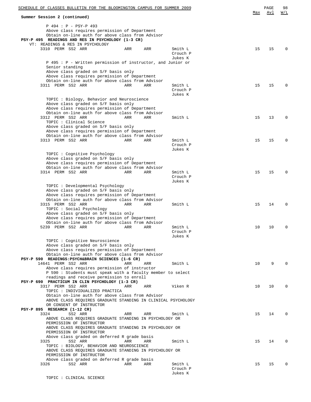| SCHEDULE OF CLASSES BULLETIN FOR THE BLOOMINGTON CAMPUS FOR SUMMER 2009                               |     |     |                     | Max | PAGE<br>Avl | 98<br>W/L    |
|-------------------------------------------------------------------------------------------------------|-----|-----|---------------------|-----|-------------|--------------|
| Summer Session 2 (continued)                                                                          |     |     |                     |     |             |              |
| P 494 : P - PSY-P 493                                                                                 |     |     |                     |     |             |              |
| Above class requires permission of Department                                                         |     |     |                     |     |             |              |
| Obtain on-line auth for above class from Advisor                                                      |     |     |                     |     |             |              |
| PSY-P 495 READINGS AND RES IN PSYCHOLOGY (1-3 CR)<br>VT: READINGS & RES IN PSYCHOLOGY                 |     |     |                     |     |             |              |
| 3310 PERM SS2 ARR                                                                                     | ARR | ARR | Smith L             | 15  | 15          | <sup>0</sup> |
|                                                                                                       |     |     | Crouch P            |     |             |              |
|                                                                                                       |     |     | Jukes K             |     |             |              |
| P 495 : P - Written permission of instructor, and Junior or                                           |     |     |                     |     |             |              |
| Senior standing                                                                                       |     |     |                     |     |             |              |
| Above class graded on S/F basis only<br>Above class requires permission of Department                 |     |     |                     |     |             |              |
| Obtain on-line auth for above class from Advisor                                                      |     |     |                     |     |             |              |
| 3311 PERM SS2 ARR                                                                                     | ARR | ARR | Smith L             | 15  | 15          | $\Omega$     |
|                                                                                                       |     |     | Crouch P            |     |             |              |
|                                                                                                       |     |     | Jukes K             |     |             |              |
| TOPIC: Biology, Behavior and Neuroscience                                                             |     |     |                     |     |             |              |
| Above class graded on S/F basis only                                                                  |     |     |                     |     |             |              |
| Above class requires permission of Department<br>Obtain on-line auth for above class from Advisor     |     |     |                     |     |             |              |
| 3312 PERM SS2 ARR                                                                                     | ARR | ARR | Smith L             | 15  | 13          | $\Omega$     |
| TOPIC : Clinical Science                                                                              |     |     |                     |     |             |              |
| Above class graded on S/F basis only                                                                  |     |     |                     |     |             |              |
| Above class requires permission of Department                                                         |     |     |                     |     |             |              |
| Obtain on-line auth for above class from Advisor                                                      |     |     |                     |     |             |              |
| 3313 PERM SS2 ARR                                                                                     | ARR | ARR | Smith L             | 15  | 15          | $\Omega$     |
|                                                                                                       |     |     | Crouch P            |     |             |              |
| TOPIC: Cognitive Psychology                                                                           |     |     | Jukes K             |     |             |              |
| Above class graded on S/F basis only                                                                  |     |     |                     |     |             |              |
| Above class requires permission of Department                                                         |     |     |                     |     |             |              |
| Obtain on-line auth for above class from Advisor                                                      |     |     |                     |     |             |              |
| 3314 PERM SS2 ARR                                                                                     | ARR | ARR | Smith L             | 15  | 15          | $\Omega$     |
|                                                                                                       |     |     | Crouch P            |     |             |              |
|                                                                                                       |     |     | Jukes K             |     |             |              |
| TOPIC : Developmental Psychology<br>Above class graded on S/F basis only                              |     |     |                     |     |             |              |
| Above class requires permission of Department                                                         |     |     |                     |     |             |              |
| Obtain on-line auth for above class from Advisor                                                      |     |     |                     |     |             |              |
| 3315 PERM SS2 ARR                                                                                     | ARR | ARR | Smith L             | 15  | 14          | $\Omega$     |
| TOPIC: Social Psychology                                                                              |     |     |                     |     |             |              |
| Above class graded on S/F basis only                                                                  |     |     |                     |     |             |              |
| Above class requires permission of Department<br>Obtain on-line auth for above class from Advisor     |     |     |                     |     |             |              |
| 5239 PERM SS2 ARR                                                                                     | ARR | ARR | Smith L             | 10  | 10          | $\Omega$     |
|                                                                                                       |     |     | Crouch P            |     |             |              |
|                                                                                                       |     |     | Jukes K             |     |             |              |
| TOPIC : Cognitive Neuroscience                                                                        |     |     |                     |     |             |              |
| Above class graded on S/F basis only                                                                  |     |     |                     |     |             |              |
| Above class requires permission of Department                                                         |     |     |                     |     |             |              |
| Obtain on-line auth for above class from Advisor<br>PSY-P 590 READINGS: PSYCH&BRAIN SCIENCES (1-6 CR) |     |     |                     |     |             |              |
| 14641 PERM SS2 ARR                                                                                    | ARR | ARR | Smith L             | 10  | 9           | 0            |
| Above class requires permission of instructor                                                         |     |     |                     |     |             |              |
| P 590: Students must speak with a faculty member to select                                            |     |     |                     |     |             |              |
| readings and receive permission to enroll                                                             |     |     |                     |     |             |              |
| PSY-P 690 PRACTICUM IN CLIN PSYCHOLOGY (1-3 CR)                                                       |     |     |                     |     |             |              |
| 3317 PERM SS2 ARR                                                                                     | ARR | ARR | Viken R             | 10  | 10          | $\Omega$     |
| TOPIC : INDIVIDUALIZED PRACTICA<br>Obtain on-line auth for above class from Advisor                   |     |     |                     |     |             |              |
| ABOVE CLASS REQUIRES GRADUATE STANDING IN CLINICAL PSYCHOLOGY                                         |     |     |                     |     |             |              |
| OR CONSENT OF INSTRUCTOR                                                                              |     |     |                     |     |             |              |
| PSY-P 895 RESEARCH (1-12 CR)                                                                          |     |     |                     |     |             |              |
| 3324<br>SS2 ARR                                                                                       | ARR | ARR | Smith L             | 15  | 14          | $\Omega$     |
| ABOVE CLASS REQUIRES GRADUATE STANDING IN PSYCHOLOGY OR                                               |     |     |                     |     |             |              |
| PERMISSION OF INSTRUCTOR                                                                              |     |     |                     |     |             |              |
| ABOVE CLASS REQUIRES GRADUATE STANDING IN PSYCHOLOGY OR                                               |     |     |                     |     |             |              |
| PERMISSION OF INSTRUCTOR<br>Above class graded on deferred R grade basis                              |     |     |                     |     |             |              |
| SS2 ARR<br>3325                                                                                       | ARR | ARR | Smith L             | 15  | 14          | $\Omega$     |
| TOPIC : BIOLOGY, BEHAVIOR AND NEUROSCIENCE                                                            |     |     |                     |     |             |              |
| ABOVE CLASS REQUIRES GRADUATE STANDING IN PSYCHOLOGY OR                                               |     |     |                     |     |             |              |
| PERMISSION OF INSTRUCTOR                                                                              |     |     |                     |     |             |              |
| Above class graded on deferred R grade basis                                                          |     |     |                     |     |             |              |
| 3326<br>SS2 ARR                                                                                       | ARR | ARR | Smith L             | 15  | 15          | $\Omega$     |
|                                                                                                       |     |     | Crouch P<br>Jukes K |     |             |              |
|                                                                                                       |     |     |                     |     |             |              |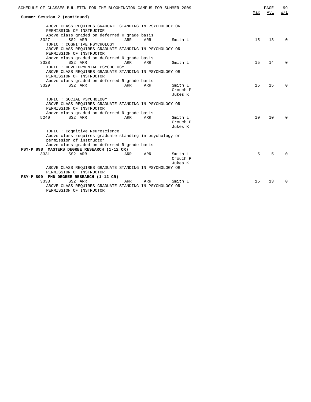| SCHEDULE OF CLASSES BULLETIN FOR THE BLOOMINGTON CAMPUS FOR SUMMER 2009                                                                                                    | Max | PAGE<br>Avl | 99<br>W/L |
|----------------------------------------------------------------------------------------------------------------------------------------------------------------------------|-----|-------------|-----------|
| Summer Session 2 (continued)                                                                                                                                               |     |             |           |
| ABOVE CLASS REOUIRES GRADUATE STANDING IN PSYCHOLOGY OR<br>PERMISSION OF INSTRUCTOR                                                                                        |     |             |           |
| Above class graded on deferred R grade basis<br>SS2 ARR<br>3327<br>ARR<br>ARR<br>Smith L<br>TOPIC : COGNITIVE PSYCHOLOGY                                                   | 15  | 13          | $\Omega$  |
| ABOVE CLASS REQUIRES GRADUATE STANDING IN PSYCHOLOGY OR<br>PERMISSION OF INSTRUCTOR<br>Above class graded on deferred R grade basis                                        |     |             |           |
| SS2 ARR<br><b>ARR</b><br>3328<br>ARR<br>Smith L<br>TOPIC : DEVELOPMENTAL PSYCHOLOGY                                                                                        | 15  | 14          | $\Omega$  |
| ABOVE CLASS REQUIRES GRADUATE STANDING IN PSYCHOLOGY OR<br>PERMISSION OF INSTRUCTOR                                                                                        |     |             |           |
| Above class graded on deferred R grade basis<br>SS2 ARR<br>3329<br>ARR<br>ARR<br>Smith L<br>Crouch P<br>Jukes K                                                            | 15  | 15          | $\Omega$  |
| TOPIC : SOCIAL PSYCHOLOGY<br>ABOVE CLASS REQUIRES GRADUATE STANDING IN PSYCHOLOGY OR<br>PERMISSION OF INSTRUCTOR                                                           |     |             |           |
| Above class graded on deferred R grade basis<br>5240<br>SS2 ARR<br>ARR<br>ARR<br>Smith L<br>Crouch P<br>Jukes K                                                            | 10  | 10          | $\Omega$  |
| TOPIC: Cognitive Neuroscience<br>Above class requires graduate standing in psychology or<br>permission of instructor                                                       |     |             |           |
| Above class graded on deferred R grade basis<br>PSY-P 898 MASTERS DEGREE RESEARCH (1-12 CR)                                                                                |     |             |           |
| 3331<br>SS2 ARR<br>Smith L<br>ARR<br>ARR<br>Crouch P<br>Jukes K                                                                                                            | 5   | 5           | $\Omega$  |
| ABOVE CLASS REQUIRES GRADUATE STANDING IN PSYCHOLOGY OR<br>PERMISSION OF INSTRUCTOR                                                                                        |     |             |           |
| PSY-P 899 PHD DEGREE RESEARCH (1-12 CR)<br>SS2 ARR<br>3333<br>Smith L<br>ARR<br>ARR<br>ABOVE CLASS REOUIRES GRADUATE STANDING IN PSYCHOLOGY OR<br>PERMISSION OF INSTRUCTOR | 15  | 13          | $\Omega$  |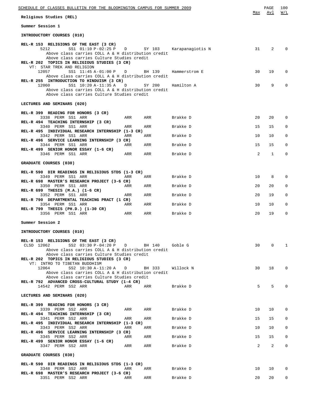| SCHEDULE OF CLASSES BULLETIN FOR THE BLOOMINGTON CAMPUS FOR SUMMER 2009                                                                                                                                                                          |     |        |                                      | Max | PAGE<br>Avl     | 100<br>W/L   |
|--------------------------------------------------------------------------------------------------------------------------------------------------------------------------------------------------------------------------------------------------|-----|--------|--------------------------------------|-----|-----------------|--------------|
| Religious Studies (REL)                                                                                                                                                                                                                          |     |        |                                      |     |                 |              |
| Summer Session 1                                                                                                                                                                                                                                 |     |        |                                      |     |                 |              |
| INTRODUCTORY COURSES (010)                                                                                                                                                                                                                       |     |        |                                      |     |                 |              |
| REL-R 153 RELIGIONS OF THE EAST (3 CR)<br>SS1 01:10 P-02:25 P<br>5212<br>Above class carries COLL A & H distribution credit<br>Above class carries Culture Studies credit<br>REL-R 202 TOPICS IN RELIGIOUS STUDIES (3 CR)                        |     |        | D      SY  103      Karapanagiotis N | 31  | 2               | $\mathbf 0$  |
| VT: STAR TREK AND RELIGION<br>12057<br>SS1 11:45 A-01:00 P D<br>Above class carries COLL A & H distribution credit                                                                                                                               |     | BH 139 | Hammerstrom E                        | 30  | 19              | $\mathbf 0$  |
| REL-R 255 INTRODUCTION TO HINDUISM (3 CR)<br>SS1 10:20 A-11:35 A<br>12060<br>Above class carries COLL A & H distribution credit<br>Above class carries Culture Studies credit                                                                    | D   | SY 200 | Hamilton A                           | 30  | 9               | $\Omega$     |
| LECTURES AND SEMINARS (020)                                                                                                                                                                                                                      |     |        |                                      |     |                 |              |
| REL-R 399 READING FOR HONORS (3 CR)<br>3338 PERM SS1 ARR<br>REL-R 494 TEACHING INTERNSHIP (3 CR)                                                                                                                                                 | ARR | ARR    | Brakke D                             | 20  | 20              | $\mathbf 0$  |
| 3340 PERM SS1 ARR<br>REL-R 495 INDIVIDUAL RESEARCH INTERNSHIP (1-3 CR)                                                                                                                                                                           | ARR | ARR    | Brakke D                             | 15  | 15              | $\mathbf 0$  |
| 3342 PERM SS1 ARR<br>REL-R 496 SERVICE LEARNING INTERNSHIP (3 CR)                                                                                                                                                                                | ARR | ARR    | Brakke D                             | 10  | 10              | 0            |
| 3344 PERM SS1 ARR<br>REL-R 499 SENIOR HONOR ESSAY (1-6 CR)                                                                                                                                                                                       | ARR | ARR    | Brakke D                             | 15  | 15              | $\mathbf 0$  |
| 3346 PERM SS1 ARR                                                                                                                                                                                                                                | ARR | ARR    | Brakke D                             | 2   | 1               | 0            |
| GRADUATE COURSES (030)                                                                                                                                                                                                                           |     |        |                                      |     |                 |              |
| REL-R 590 DIR READINGS IN RELIGIOUS STDS (1-3 CR)                                                                                                                                                                                                |     |        |                                      |     |                 |              |
| 3349 PERM SS1 ARR<br>REL-R 698 MASTER'S RESEARCH PROJECT (3-6 CR)                                                                                                                                                                                | ARR | ARR    | Brakke D                             | 10  | 8               | 0            |
| 3350 PERM SS1 ARR<br>REL-R 699 THESIS (M.A.) (1-6 CR)                                                                                                                                                                                            | ARR | ARR    | Brakke D                             | 20  | 20              | 0            |
| 3352 PERM SS1 ARR<br>REL-R 790 DEPARTMENTAL TEACHING PRACT (1 CR)                                                                                                                                                                                | ARR | ARR    | Brakke D                             | 20  | 19              | 0            |
| 3354 PERM SS1 ARR<br>REL-R 799 THESIS (PH.D.) (1-30 CR)                                                                                                                                                                                          | ARR | ARR    | Brakke D                             | 10  | 10              | 0            |
| 3356 PERM SS1 ARR                                                                                                                                                                                                                                | ARR | ARR    | Brakke D                             | 20  | 19              | $\mathbf 0$  |
| Summer Session 2                                                                                                                                                                                                                                 |     |        |                                      |     |                 |              |
| INTRODUCTORY COURSES (010)                                                                                                                                                                                                                       |     |        |                                      |     |                 |              |
| REL-R 153 RELIGIONS OF THE EAST (3 CR)<br>SS2 03:30 P-04:20 P D BH 140 Goble G<br>CLSD 12062<br>Above class carries COLL A & H distribution credit<br>Above class carries Culture Studies credit<br>REL-R 202 TOPICS IN RELIGIOUS STUDIES (3 CR) |     |        |                                      | 30  | $\mathbf{0}$    | 1            |
| VT: INTRO TO TIBETAN BUDDHISM<br>12064<br>SS2 10:30 A-11:20 A D BH 333<br>Above class carries COLL A & H distribution credit                                                                                                                     |     |        | Willock N                            | 30  | 18              | $\circ$      |
| Above class carries Culture Studies credit<br>REL-R 792 ADVANCED CROSS-CULTURAL STUDY (1-4 CR)<br>14542 PERM SS2 ARR                                                                                                                             | ARR | ARR    | Brakke D                             | 5   | 5               | $\Omega$     |
| LECTURES AND SEMINARS (020)                                                                                                                                                                                                                      |     |        |                                      |     |                 |              |
| REL-R 399 READING FOR HONORS (3 CR)                                                                                                                                                                                                              |     |        |                                      |     |                 |              |
| 3339 PERM SS2 ARR<br>REL-R 494 TEACHING INTERNSHIP (3 CR)                                                                                                                                                                                        | ARR | ARR    | Brakke D                             | 10  | 10              | $\circ$      |
| 3341 PERM SS2 ARR<br>REL-R 495 INDIVIDUAL RESEARCH INTERNSHIP (1-3 CR)                                                                                                                                                                           | ARR | ARR    | Brakke D                             | 15  | 15              | 0            |
| 3343 PERM SS2 ARR<br>REL-R 496 SERVICE LEARNING INTERNSHIP (3 CR)                                                                                                                                                                                | ARR | ARR    | Brakke D                             | 10  | 10 <sup>1</sup> | 0            |
| 3345 PERM SS2 ARR<br>REL-R 499 SENIOR HONOR ESSAY (1-6 CR)                                                                                                                                                                                       | ARR | ARR    | Brakke D                             | 15  | 15              | 0            |
| 3347 PERM SS2 ARR                                                                                                                                                                                                                                | ARR | ARR    | Brakke D                             | 2   | $\overline{2}$  | $\mathbf{0}$ |
| GRADUATE COURSES (030)                                                                                                                                                                                                                           |     |        |                                      |     |                 |              |
| REL-R 590 DIR READINGS IN RELIGIOUS STDS (1-3 CR)                                                                                                                                                                                                |     |        |                                      |     |                 |              |
| 3348 PERM SS2 ARR<br>REL-R 698 MASTER'S RESEARCH PROJECT (3-6 CR)                                                                                                                                                                                | ARR | ARR    | Brakke D                             | 10  | 10              | 0            |
| 3351 PERM SS2 ARR                                                                                                                                                                                                                                | ARR | ARR    | Brakke D                             | 20  | 20              | $\mathbf{0}$ |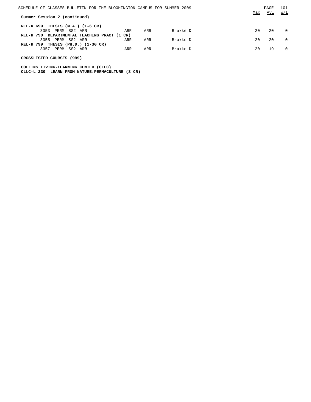|                              |                     |                              | SCHEDULE OF CLASSES BULLETIN FOR THE BLOOMINGTON CAMPUS FOR SUMMER 2009 |     |          |     | PAGE | 101               |
|------------------------------|---------------------|------------------------------|-------------------------------------------------------------------------|-----|----------|-----|------|-------------------|
| Summer Session 2 (continued) |                     |                              |                                                                         |     |          | Max | Avl  | $\underline{W/L}$ |
| <b>REL-R 699</b>             |                     | THESIS $(M.A.)$ $(1-6 CR)$   |                                                                         |     |          |     |      |                   |
|                              | 3353 PERM SS2 ARR   |                              | ARR                                                                     | ARR | Brakke D | 20  | 20   | $\Omega$          |
|                              |                     |                              | REL-R 790 DEPARTMENTAL TEACHING PRACT (1 CR)                            |     |          |     |      |                   |
|                              | 3355 PERM           | SS2 ARR                      | ARR                                                                     | ARR | Brakke D | 20  | 20   | $\Omega$          |
| <b>REL-R 799</b>             |                     | THESIS $(PH.D.)$ $(1-30 CR)$ |                                                                         |     |          |     |      |                   |
|                              | 3357<br><b>PERM</b> | SS2<br>ARR                   | ARR                                                                     | ARR | Brakke D | 20  | 19   | $\Omega$          |

## **CROSSLISTED COURSES (999)**

**COLLINS LIVING-LEARNING CENTER (CLLC) CLLC-L 230 LEARN FROM NATURE:PERMACULTURE (3 CR)**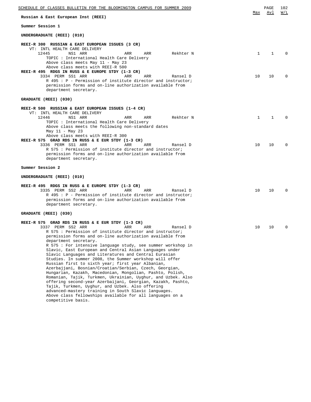| SCHEDULE OF CLASSES BULLETIN FOR THE BLOOMINGTON CAMPUS FOR SUMMER 2009                                                                                                                                                                                                                                                                                                                                                                                                                                                                                                                                                                                                                                                                               | Max          | PAGE<br>Avl  | 102<br>W/L   |  |  |
|-------------------------------------------------------------------------------------------------------------------------------------------------------------------------------------------------------------------------------------------------------------------------------------------------------------------------------------------------------------------------------------------------------------------------------------------------------------------------------------------------------------------------------------------------------------------------------------------------------------------------------------------------------------------------------------------------------------------------------------------------------|--------------|--------------|--------------|--|--|
| Russian & East European Inst (REEI)                                                                                                                                                                                                                                                                                                                                                                                                                                                                                                                                                                                                                                                                                                                   |              |              |              |  |  |
| Summer Session 1                                                                                                                                                                                                                                                                                                                                                                                                                                                                                                                                                                                                                                                                                                                                      |              |              |              |  |  |
| UNDERGRADUATE (REEI) (010)                                                                                                                                                                                                                                                                                                                                                                                                                                                                                                                                                                                                                                                                                                                            |              |              |              |  |  |
| REEI-R 300 RUSSIAN & EAST EUROPEAN ISSUES (3 CR)<br>VT: INTL HEALTH CARE DELIVERY<br>12445<br>NS1 ARR<br>ARR<br>ARR<br>Rekhter N<br>TOPIC : International Health Care Delivery<br>Above class meets May 11 - May 23<br>Above class meets with REEI-R 500<br>REEI-R 495 RDGS IN RUSS & E EUROPE STDY (1-3 CR)                                                                                                                                                                                                                                                                                                                                                                                                                                          | $\mathbf{1}$ | $\mathbf{1}$ |              |  |  |
| 3334 PERM SS1 ARR<br>ARR<br>ARR<br>Ransel D<br>R 495 : P - Permission of institute director and instructor;<br>permission forms and on-line authorization available from<br>department secretary.                                                                                                                                                                                                                                                                                                                                                                                                                                                                                                                                                     | 10           | 10           | <sup>0</sup> |  |  |
| GRADUATE (REEI) (030)                                                                                                                                                                                                                                                                                                                                                                                                                                                                                                                                                                                                                                                                                                                                 |              |              |              |  |  |
| REEI-R 500 RUSSIAN & EAST EUROPEAN ISSUES (1-4 CR)<br>VT: INTL HEALTH CARE DELIVERY<br>12446<br>NS1 ARR<br>ARR<br>ARR<br>Rekhter N<br>TOPIC: International Health Care Delivery<br>Above class meets the following non-standard dates<br>May 11 - May 23                                                                                                                                                                                                                                                                                                                                                                                                                                                                                              | $\mathbf{1}$ | 1            |              |  |  |
| Above class meets with REEI-R 300<br>REEI-R 575 GRAD RDS IN RUSS & E EUR STDY (1-3 CR)<br>3336 PERM SS1 ARR<br>ARR<br>ARR<br>Ransel D<br>R 575 : Permission of institute director and instructor;<br>permission forms and on-line authorization available from<br>department secretary.                                                                                                                                                                                                                                                                                                                                                                                                                                                               | 10           | 10           |              |  |  |
| Summer Session 2                                                                                                                                                                                                                                                                                                                                                                                                                                                                                                                                                                                                                                                                                                                                      |              |              |              |  |  |
| UNDERGRADUATE (REEI) (010)                                                                                                                                                                                                                                                                                                                                                                                                                                                                                                                                                                                                                                                                                                                            |              |              |              |  |  |
| REEI-R 495 RDGS IN RUSS & E EUROPE STDY (1-3 CR)<br>3335 PERM SS2 ARR<br>ARR<br>ARR<br>Ransel D<br>R 495 : P - Permission of institute director and instructor;<br>permission forms and on-line authorization available from<br>department secretary.                                                                                                                                                                                                                                                                                                                                                                                                                                                                                                 | 10           | 10           |              |  |  |
| GRADUATE (REEI) (030)                                                                                                                                                                                                                                                                                                                                                                                                                                                                                                                                                                                                                                                                                                                                 |              |              |              |  |  |
| REEI-R 575 GRAD RDS IN RUSS & E EUR STDY (1-3 CR)<br>3337 PERM SS2 ARR<br>ARR<br>ARR<br>Ransel D<br>R 575 : Permission of institute director and instructor;<br>permission forms and on-line authorization available from<br>department secretary.                                                                                                                                                                                                                                                                                                                                                                                                                                                                                                    | 10           | 10           | 0            |  |  |
| R 575 : For intensive language study, see summer workshop in<br>Slavic, East European and Central Asian Languages under<br>Slavic Languages and Literatures and Central Eurasian<br>Studies. In summer 2008, the Summer workshop will offer<br>Russian first to sixth year; first year Albanian,<br>Azerbajjani, Bosnian/Croatian/Serbian, Czech, Georgian,<br>Hungarian, Kazakh, Macedonian, Mongolian, Pashto, Polish,<br>Romanian, Tajik, Turkmen, Ukrainian, Uyghur, and Uzbek. Also<br>offering second-year Azerbaijani, Georgian, Kazakh, Pashto,<br>Tajik, Turkmen, Uyghur, and Uzbek. Also offering<br>advanced-mastery training in South Slavic languages.<br>Above class fellowships available for all languages on a<br>competitive basis. |              |              |              |  |  |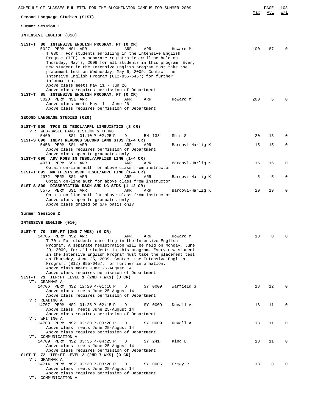| SCHEDULE OF CLASSES BULLETIN FOR THE BLOOMINGTON CAMPUS FOR SUMMER 2009                                                                                                                                                                                                                                                                                                                                                                                                                                                                                   |     | PAGE | 103      |  |  |
|-----------------------------------------------------------------------------------------------------------------------------------------------------------------------------------------------------------------------------------------------------------------------------------------------------------------------------------------------------------------------------------------------------------------------------------------------------------------------------------------------------------------------------------------------------------|-----|------|----------|--|--|
| Max<br>Second Language Studies (SLST)                                                                                                                                                                                                                                                                                                                                                                                                                                                                                                                     |     |      |          |  |  |
| Summer Session 1                                                                                                                                                                                                                                                                                                                                                                                                                                                                                                                                          |     |      |          |  |  |
| INTENSIVE ENGLISH (010)                                                                                                                                                                                                                                                                                                                                                                                                                                                                                                                                   |     |      |          |  |  |
| SLST-T 80 INTENSIVE ENGLISH PROGRAM, PT (0 CR)<br>5027 PERM NS1 ARR<br>ARR<br>ARR<br>Howard M<br>T 080 : For students enrolling in the Intensive English<br>Program (IEP). A separate registration will be held on<br>Thursday, May 7, 2009 for all students in this program. Every<br>new student in the Intensive English program must take the<br>placement test on Wednesday, May 6, 2009. Contact the<br>Intensive English Program (812-855-6457) for further<br>information.                                                                        | 100 | 87   | $\Omega$ |  |  |
| Above class meets May 11 - Jun 26<br>Above class requires permission of Department<br>SLST-T 85 INTENSIVE ENGLISH PROGRAM, FT (0 CR)<br>5028 PERM NS1 ARR<br>ARR<br>ARR<br>Howard M<br>Above class meets May 11 - June 26<br>Above class requires permission of Department                                                                                                                                                                                                                                                                                | 200 | 5    | $\Omega$ |  |  |
| SECOND LANGUAGE STUDIES (020)                                                                                                                                                                                                                                                                                                                                                                                                                                                                                                                             |     |      |          |  |  |
| SLST-T 500 TPCS IN TESOL/APPL LINGUISTICS (3 CR)<br>VT: WEB-BASED LANG TESTING & TCHNG<br>5460<br>SS1 01:10 P-02:25 P<br>Shin S<br>BH 138<br>D<br>SLST-S 690 INDPT READNGS SECOND LANG STDS (1-4 CR)                                                                                                                                                                                                                                                                                                                                                      | 20  | 13   | $\Omega$ |  |  |
| 5456 PERM SS1 ARR<br>ARR<br>ARR<br>Bardovi-Harlig K                                                                                                                                                                                                                                                                                                                                                                                                                                                                                                       | 15  | 15   | 0        |  |  |
| Above class requires permission of Department<br>Above class open to graduates only<br>SLST-T 690 ADV RDGS IN TESOL/APPLIED LING (1-4 CR)<br>4970 PERM SS1 ARR<br>ARR<br>ARR<br>Bardovi-Harlig K                                                                                                                                                                                                                                                                                                                                                          | 15  | 15   | 0        |  |  |
| Obtain on-line auth for above class from instructor<br>SLST-T 695 MA THESIS RSCH TESOL/APPL LING (1-4 CR)<br>4972 PERM SS1 ARR<br>ARR<br>ARR<br>Bardovi-Harlig K                                                                                                                                                                                                                                                                                                                                                                                          | 5   | 5    | 0        |  |  |
| Obtain on-line auth for above class from instructor<br>SLST-S 800 DISSERTATION RSCH SND LG STDS (1-12 CR)<br>5575 PERM SS1 ARR<br>ARR<br>ARR<br>Bardovi-Harlig K<br>Obtain on-line auth for above class from instructor<br>Above class open to graduates only<br>Above class graded on S/F basis only                                                                                                                                                                                                                                                     | 20  | 19   | 0        |  |  |
| Summer Session 2                                                                                                                                                                                                                                                                                                                                                                                                                                                                                                                                          |     |      |          |  |  |
| INTENSIVE ENGLISH (010)                                                                                                                                                                                                                                                                                                                                                                                                                                                                                                                                   |     |      |          |  |  |
| SLST-T 70 IEP:PT (2ND 7 WKS) (0 CR)<br>14705 PERM NS2 ARR<br>ARR<br>Howard M<br>ARR<br>T 70: For students enrolling in the Intensive English<br>Program. A separate registration will be held on Monday, June<br>29, 2009, for all students in this program. Every new student<br>in the Intensive English Program must take the placement test<br>on Thursday, June 25, 2009. Contact the Intensive English<br>Program, (812) 855-6457, for further information.<br>Above class meets June 25-August 14<br>Above class requires permission of Department | 18  | 8    | 0        |  |  |
| SLST-T 71 IEP: FT LEVEL 1 (2ND 7 WKS) (0 CR)<br>VT: GRAMMAR A<br>14706 PERM NS2 12:20 P-01:10 P<br>Warfield S<br>SY 0009<br>D<br>Above class meets June 25-August 14                                                                                                                                                                                                                                                                                                                                                                                      | 18  | 12   | 0        |  |  |
| Above class requires permission of Department<br>VT: READING A<br>14707 PERM NS2 01:25 P-02:15 P<br>D<br>SY 0009<br>Duvall A<br>Above class meets June 25-August 14                                                                                                                                                                                                                                                                                                                                                                                       | 18  | 11   | 0        |  |  |
| Above class requires permission of Department<br>VT: WRITING A<br>14708 PERM NS2 02:30 P-03:20 P<br>Duvall A<br>SY 0009<br>D                                                                                                                                                                                                                                                                                                                                                                                                                              | 18  | 11   | 0        |  |  |
| Above class meets June 25-August 14<br>Above class requires permission of Department<br>VT: COMMUNICATION A<br>14709 PERM NS2 03:35 P-04:25 P<br>D<br>SY 241<br>King L                                                                                                                                                                                                                                                                                                                                                                                    | 18  | 11   | 0        |  |  |
| Above class meets June 25-August 14<br>Above class requires permission of Department<br>SLST-T 72 IEP: FT LEVEL 2 (2ND 7 WKS) (0 CR)<br>VT: GRAMMAR A                                                                                                                                                                                                                                                                                                                                                                                                     |     |      |          |  |  |
| 14714 PERM NS2 02:30 P-03:20 P<br>SY 0006<br>Ermey P<br>D<br>Above class meets June 25-August 14<br>Above class requires permission of Department<br>VT: COMMUNICATION A                                                                                                                                                                                                                                                                                                                                                                                  | 18  | 8    | 0        |  |  |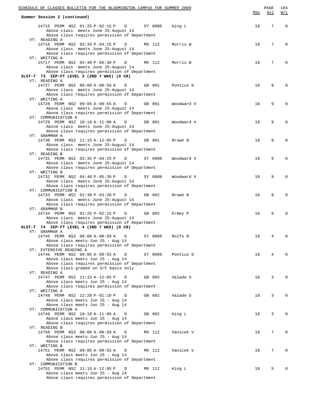| SCHEDULE OF CLASSES BULLETIN FOR THE BLOOMINGTON CAMPUS FOR SUMMER 2009                                                                            |         |            |     | PAGE            | 104         |
|----------------------------------------------------------------------------------------------------------------------------------------------------|---------|------------|-----|-----------------|-------------|
| Summer Session 2 (continued)                                                                                                                       |         |            | Max | Avl             | W/L         |
| 14715 PERM NS2 01:25 P-02:15 P D<br>Above class meets June 25-August 14<br>Above class requires permission of Department<br>VT: READING A          | SY 0006 | King L     | 18  | $7\phantom{.0}$ | $\mathbf 0$ |
| 14716 PERM NS2 03:35 P-04:25 P<br>D<br>Above class meets June 25-August 14<br>Above class requires permission of Department                        | MO 112  | Morris W   | 18  | $7\overline{ }$ | 0           |
| VT: WRITING A<br>14717 PERM NS2 04:40 P-05:30 P<br>D<br>Above class meets June 25-August 14<br>Above class requires permission of Department       | MO 112  | Morris W   | 18  | 7               | 0           |
| SLST-T 73 IEP:FT LEVEL 3 (2ND 7 WKS) (0 CR)<br>VT: READING A                                                                                       |         |            | 18  | 9               | $\Omega$    |
| 14727 PERM NS2 08:00 A-08:50 A<br>D<br>Above class meets June 25-August 14<br>Above class requires permission of Department<br>VT: WRITING A       | GB 001  | Pontius G  |     |                 |             |
| 14728 PERM NS2 09:05 A-09:55 A<br>D<br>Above class meets June 25-August 14<br>Above class requires permission of Department<br>VT: COMMUNICATION A | GB 001  | Woodward V | 18  | 9               | $\Omega$    |
| 14729 PERM NS2 10:10 A-11:00 A<br>D<br>Above class meets June 25-August 14<br>Above class requires permission of Department                        | GB 001  | Woodward V | 18  | 9               | $\Omega$    |
| VT: GRAMMAR A<br>14730 PERM NS2 11:15 A-12:05 P<br>D<br>Above class meets June 25-August 14<br>Above class requires permission of Department       | GB 001  | Brown N    | 18  | 9               | $\Omega$    |
| VT: READING B<br>14731 PERM NS2 03:35 P-04:25 P<br>D<br>Above class meets June 25-August 14<br>Above class requires permission of Department       | SY 0008 | Woodward V | 18  | 9               | $\mathbf 0$ |
| VT: WRITING B<br>14732 PERM NS2 04:40 P-05:30 P<br>D<br>Above class meets June 25-August 14<br>Above class requires permission of Department       | SY 0008 | Woodward V | 18  | 9               | $\Omega$    |
| VT: COMMUNICATION B<br>14733 PERM NS2 02:30 P-03:20 P<br>D<br>Above class meets June 25-August 14<br>Above class requires permission of Department | GB 002  | Brown N    | 18  | 9               | $\Omega$    |
| VT: GRAMMAR B<br>14734 PERM NS2 01:25 P-02:15 P<br>D<br>Above class meets June 25-August 14<br>Above class requires permission of Department       | GB 002  | Ermey P    | 18  | 9               | $\Omega$    |
| SLST-T 74 IEP:FT LEVEL 4 (2ND 7 WKS) (0 CR)                                                                                                        |         |            |     |                 |             |
| VT: GRAMMAR A<br>14745 PERM NS2 08:00 A-08:50 A<br>D<br>Above class meets Jun 25 - Aug 14<br>Above class requires permission of Department         | SY 0009 | Rolfs B    | 18  | 4               | 0           |
| VT: EXTENSIVE READING A<br>14746 PERM NS2 09:05 A-09:55 A<br>D<br>Above class meets Jun 25 - Aug 14                                                | SY 0009 | Pontius G  | 18  | 4               | 0           |
| Above class requires permission of Department<br>Above class graded on S/F basis only<br>VT: READING A                                             |         |            |     |                 |             |
| 14747 PERM NS2 11:15 A-12:05 P<br>D<br>Above class meets Jun 25 - Aug 14<br>Above class requires permission of Department                          | GB 002  | Valade S   | 18  | 3               | 0           |
| VT: WRITING A<br>14748 PERM NS2 12:20 P-01:10 P<br>D<br>Above class meets Jun 25 - Aug 14<br>Above class meets Jun 25 - Aug 14                     | GB 002  | Valade S   | 18  | 3               | 0           |
| VT: COMMUNICATION A<br>14749 PERM NS2 10:10 A-11:00 A<br>D<br>Above class meets Jun 25 - Aug 14<br>Above class requires permission of Department   | GB 002  | King L     | 18  | 3               | 0           |
| VT: READING B<br>14750 PERM NS2 08:00 A-08:50 A<br>D<br>Above class meets Jun 25 - Aug 14                                                          | MO 112  | Vanicek V  | 18  | 7               | 0           |
| Above class requires permission of Department<br>VT: WRITING B<br>14751 PERM NS2 09:05 A-09:55 A<br>D<br>Above class meets Jun 25 - Aug 14         | MO 112  | Vanicek V  | 18  | 7               | 0           |
| Above class requires permission of Department<br>VT: COMMUNICATION B<br>14752 PERM NS2 11:15 A-12:05 P<br>D<br>Above class meets Jun 25 - Aug 14   | MO 112  | King L     | 18  | 5               | $\mathbf 0$ |
| Above class requires permission of Department                                                                                                      |         |            |     |                 |             |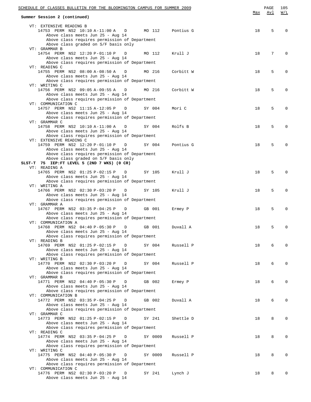| SCHEDULE OF CLASSES BULLETIN FOR THE BLOOMINGTON CAMPUS FOR SUMMER 2009                                                    |         |           |     | PAGE | 105      |
|----------------------------------------------------------------------------------------------------------------------------|---------|-----------|-----|------|----------|
| Summer Session 2 (continued)                                                                                               |         |           | Max | Avl  | W/L      |
| VT: EXTENSIVE READING B<br>14753 PERM NS2 10:10 A-11:00 A<br>$\Box$<br>Above class meets Jun 25 - Aug 14                   | MO 112  | Pontius G | 18  | 5    | $\Omega$ |
| Above class requires permission of Department<br>Above class graded on S/F basis only<br>VT: GRAMMAR B                     |         |           |     |      |          |
| 14754 PERM NS2 12:20 P-01:10 P<br>D<br>Above class meets Jun 25 - Aug 14                                                   | MO 112  | Krull J   | 18  | 7    | $\Omega$ |
| Above class requires permission of Department<br>VT: READING C                                                             |         |           |     |      |          |
| 14755 PERM NS2 08:00 A-08:50 A<br>D<br>Above class meets Jun 25 - Aug 14<br>Above class requires permission of Department  | MO 216  | Corbitt W | 18  | 5    | 0        |
| VT: WRITING C<br>14756 PERM NS2 09:05 A-09:55 A<br>D<br>Above class meets Jun 25 - Aug 14                                  | MO 216  | Corbitt W | 18  | 5    | 0        |
| Above class requires permission of Department<br>VT: COMMUNICATION C                                                       |         |           |     |      |          |
| 14757 PERM NS2 11:15 A-12:05 P<br>D<br>Above class meets Jun 25 - Aug 14<br>Above class requires permission of Department  | SY 004  | Mori C    | 18  | 5    | 0        |
| VT: GRAMMAR C                                                                                                              |         |           |     |      |          |
| 14758 PERM NS2 10:10 A-11:00 A<br>D<br>Above class meets Jun 25 - Aug 14<br>Above class requires permission of Department  | SY 004  | Rolfs B   | 18  | 5    | $\Omega$ |
| VT: EXTENSIVE READING C<br>14759 PERM NS2 12:20 P-01:10 P<br>D                                                             | SY 004  | Pontius G | 18  | 5    | $\Omega$ |
| Above class meets Jun 25 - Aug 14<br>Above class requires permission of Department<br>Above class graded on S/F basis only |         |           |     |      |          |
| SLST-T 75 IEP:FT LEVEL 5 (2ND 7 WKS) (0 CR)                                                                                |         |           |     |      |          |
| VT: READING A<br>14765 PERM NS2 01:25 P-02:15 P<br>$\Box$<br>Above class meets Jun 25 - Aug 14                             | SY 105  | Krull J   | 18  | 5    | $\Omega$ |
| Above class requires permission of Department<br>VT: WRITING A                                                             |         |           |     |      |          |
| 14766 PERM NS2 02:30 P-03:20 P<br>D<br>Above class meets Jun 25 - Aug 14<br>Above class requires permission of Department  | SY 105  | Krull J   | 18  | 5    | $\Omega$ |
| VT: GRAMMAR A<br>14767 PERM NS2 03:35 P-04:25 P<br>D                                                                       | GB 001  | Ermey P   | 18  | 5    | $\Omega$ |
| Above class meets Jun 25 - Aug 14<br>Above class requires permission of Department<br>VT: COMMUNICATION A                  |         |           |     |      |          |
| 14768 PERM NS2 04:40 P-05:30 P<br>D<br>Above class meets Jun 25 - Aug 14<br>Above class requires permission of Department  | GB 001  | Duvall A  | 18  | 5    | $\Omega$ |
| VT: READING B<br>14769 PERM NS2 01:25 P-02:15 P<br>D                                                                       | SY 004  |           | 18  | 6    | $\Omega$ |
| Above class meets Jun 25 - Aug 14<br>Above class requires permission of Department                                         |         | Russell P |     |      |          |
| VT: WRITING B<br>14770 PERM NS2 02:30 P-03:20 P<br>D<br>Above class meets Jun 25 - Aug 14                                  | SY 004  | Russell P | 18  | 6    | $\Omega$ |
| Above class requires permission of Department<br>VT: GRAMMAR B                                                             |         |           |     |      |          |
| 14771 PERM NS2 04:40 P-05:30 P<br>D<br>Above class meets Jun 25 - Aug 14                                                   | GB 002  | Ermey P   | 18  | 6    | $\Omega$ |
| Above class requires permission of Department<br>VT: COMMUNICATION B                                                       |         |           |     |      |          |
| 14772 PERM NS2 03:35 P-04:25 P<br>D<br>Above class meets Jun 25 - Aug 14<br>Above class requires permission of Department  | GB 002  | Duvall A  | 18  | 6    | $\Omega$ |
| VT: GRAMMAR C<br>14773 PERM NS2 01:25 P-02:15 P<br>D                                                                       | SY 241  | Shettle D | 18  | 8    | $\Omega$ |
| Above class meets Jun 25 - Aug 14<br>Above class requires permission of Department                                         |         |           |     |      |          |
| VT: READING C<br>14774 PERM NS2 03:35 P-04:25 P<br>D<br>Above class meets Jun 25 - Aug 14                                  | SY 0009 | Russell P | 18  | 8    | $\Omega$ |
| Above class requires permission of Department<br>VT: WRITING C                                                             |         |           |     |      |          |
| 14775 PERM NS2 04:40 P-05:30 P<br>D<br>Above class meets Jun 25 - Aug 14<br>Above class requires permission of Department  | SY 0009 | Russell P | 18  | 8    | $\Omega$ |
| VT: COMMUNICATION C<br>14776 PERM NS2 02:30 P-03:20 P<br>D                                                                 | SY 241  | Lynch J   | 18  | 8    | $\Omega$ |
| Above class meets Jun 25 - Aug 14                                                                                          |         |           |     |      |          |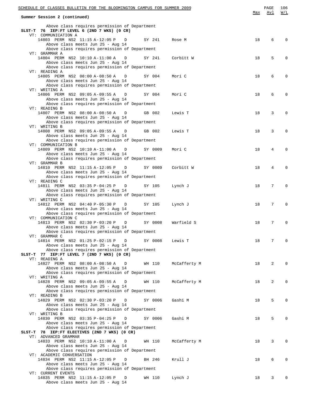| SCHEDULE OF CLASSES BULLETIN FOR THE BLOOMINGTON CAMPUS FOR SUMMER 2009                                                             |        |         |              | Max | PAGE<br>Avl | 106<br>W/L |
|-------------------------------------------------------------------------------------------------------------------------------------|--------|---------|--------------|-----|-------------|------------|
| Summer Session 2 (continued)                                                                                                        |        |         |              |     |             |            |
| Above class requires permission of Department<br>SLST-T 76 IEP: FT LEVEL 6 (2ND 7 WKS) (0 CR)<br>VT: COMMUNICATION A                |        |         |              |     |             |            |
| 14803 PERM NS2 11:15 A-12:05 P D<br>Above class meets Jun 25 - Aug 14                                                               | SY 241 |         | Rose M       | 18  | 6           | $\Omega$   |
| Above class requires permission of Department<br>VT: GRAMMAR A                                                                      |        |         |              |     |             |            |
| 14804 PERM NS2 10:10 A-11:00 A<br>$\Box$<br>Above class meets Jun 25 - Aug 14                                                       |        | SY 241  | Corbitt W    | 18  | 5           | $\Omega$   |
| Above class requires permission of Department<br>VT: READING A                                                                      |        |         |              |     |             |            |
| 14805 PERM NS2 08:00 A-08:50 A<br>$\Box$<br>Above class meets Jun 25 - Aug 14                                                       |        | SY 004  | Mori C       | 18  | 6           | $\Omega$   |
| Above class requires permission of Department<br>VT: WRITING A                                                                      |        |         |              |     |             |            |
| 14806 PERM NS2 09:05 A-09:55 A<br>$\mathbb{D}$<br>Above class meets Jun 25 - Aug 14                                                 |        | SY 004  | Mori C       | 18  | 6           | $\Omega$   |
| Above class requires permission of Department<br>VT: READING B                                                                      |        |         |              |     |             |            |
| 14807 PERM NS2 08:00 A-08:50 A<br>D<br>Above class meets Jun 25 - Aug 14                                                            |        | GB 002  | Lewis T      | 18  | 3           | $\Omega$   |
| Above class requires permission of Department<br>VT: WRITING B                                                                      |        |         |              |     |             | $\Omega$   |
| 14808 PERM NS2 09:05 A-09:55 A<br>D<br>Above class meets Jun 25 - Aug 14<br>Above class requires permission of Department           |        | GB 002  | Lewis T      | 18  | 3           |            |
| VT: COMMUNICATION B<br>14809 PERM NS2 10:10 A-11:00 A<br>$\mathbb{D}$                                                               |        | SY 0009 | Mori C       | 18  | 4           | $\Omega$   |
| Above class meets Jun 25 - Aug 14<br>Above class requires permission of Department                                                  |        |         |              |     |             |            |
| VT: GRAMMAR B<br>14810 PERM NS2 11:15 A-12:05 P<br>D                                                                                |        | SY 0009 | Corbitt W    | 18  | 4           | $\Omega$   |
| Above class meets Jun 25 - Aug 14<br>Above class requires permission of Department                                                  |        |         |              |     |             |            |
| VT: READING C<br>14811 PERM NS2 03:35 P-04:25 P<br>$\Box$                                                                           |        | SY 105  | Lynch J      | 18  | 7           | $\Omega$   |
| Above class meets Jun 25 - Aug 14<br>Above class requires permission of Department                                                  |        |         |              |     |             |            |
| VT: WRITING C<br>14812 PERM NS2 04:40 P-05:30 P<br>$\Box$                                                                           |        | SY 105  | Lynch J      | 18  | 7           | $\Omega$   |
| Above class meets Jun 25 - Aug 14<br>Above class requires permission of Department                                                  |        |         |              |     |             |            |
| VT: COMMUNICATION C<br>14813 PERM NS2 02:30 P-03:20 P<br>$\Box$                                                                     |        | SY 0008 | Warfield S   | 18  | 7           | $\Omega$   |
| Above class meets Jun 25 - Aug 14<br>Above class requires permission of Department                                                  |        |         |              |     |             |            |
| VT: GRAMMAR C<br>14814 PERM NS2 01:25 P-02:15 P D<br>Above class meets Jun 25 - Aug 14                                              |        | SY 0008 | Lewis T      | 18  | 7           | $\Omega$   |
| Above class requires permission of Department<br>SLST-T 77 IEP:FT LEVEL 7 (2ND 7 WKS) (0 CR)                                        |        |         |              |     |             |            |
| VT: READING A<br>14827 PERM NS2 08:00 A-08:50 A<br>D                                                                                |        | WH 110  | McCafferty M | 18  | 2           | $\Omega$   |
| Above class meets Jun 25 - Aug 14<br>Above class requires permission of Department                                                  |        |         |              |     |             |            |
| VT: WRITING A<br>14828 PERM NS2 09:05 A-09:55 A<br>D                                                                                |        | WH 110  | McCafferty M | 18  | 2           | $\Omega$   |
| Above class meets Jun 25 - Aug 14<br>Above class requires permission of Department                                                  |        |         |              |     |             |            |
| VT: READING B<br>14829 PERM NS2 02:30 P-03:20 P<br>D                                                                                |        | SY 0006 | Gashi M      | 18  | 5           | $\Omega$   |
| Above class meets Jun 25 - Aug 14<br>Above class requires permission of Department                                                  |        |         |              |     |             |            |
| VT: WRITING B<br>14830 PERM NS2 03:35 P-04:25 P<br>D                                                                                |        | SY 0006 | Gashi M      | 18  | 5           | $\Omega$   |
| Above class meets Jun 25 - Aug 14<br>Above class requires permission of Department<br>SLST-T 78 IEP:FT ELECTIVES (2ND 7 WKS) (0 CR) |        |         |              |     |             |            |
| VT: ADVANCED GRAMMAR<br>14833 PERM NS2 10:10 A-11:00 A<br>$\Box$                                                                    |        | WH 110  |              | 18  | 3           | $\Omega$   |
| Above class meets Jun 25 - Aug 14<br>Above class requires permission of Department                                                  |        |         | McCafferty M |     |             |            |
| VT: ACADEMIC CONVERSATION<br>14834 PERM NS2 11:15 A-12:05 P<br>$\Box$                                                               |        | BH 246  | Krull J      | 18  | 6           | $\Omega$   |
| Above class meets Jun 25 - Aug 14<br>Above class requires permission of Department                                                  |        |         |              |     |             |            |
| VT: CURRENT EVENTS<br>14835 PERM NS2 11:15 A-12:05 P D                                                                              |        | WH 110  | Lynch J      | 18  | 3           | $\Omega$   |
| Above class meets Jun 25 - Aug 14                                                                                                   |        |         |              |     |             |            |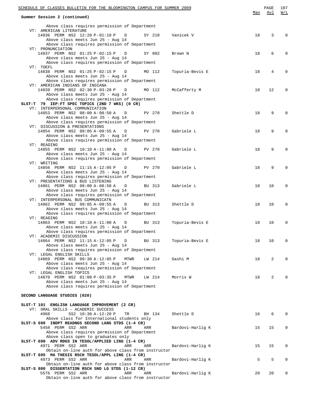| SCHEDULE OF CLASSES BULLETIN FOR THE BLOOMINGTON CAMPUS FOR SUMMER 2009 |                                                                                                                           |                 |                  | Max | PAGE<br>Avl | 107<br>W/L   |
|-------------------------------------------------------------------------|---------------------------------------------------------------------------------------------------------------------------|-----------------|------------------|-----|-------------|--------------|
|                                                                         | Summer Session 2 (continued)                                                                                              |                 |                  |     |             |              |
|                                                                         | Above class requires permission of Department<br>VT: AMERICAN LITERATURE                                                  |                 |                  |     |             |              |
|                                                                         | 14836 PERM NS2 12:20 P-01:10 P<br>D<br>Above class meets Jun 25 - Aug 14                                                  | SY 210          | Vanicek V        | 18  | 3           |              |
|                                                                         | Above class requires permission of Department<br>VT: PRONUNCIATION                                                        |                 |                  |     |             |              |
|                                                                         | 14837 PERM NS2 01:25 P-02:15 P<br>D<br>Above class meets Jun 25 - Aug 14                                                  | SY 002          | Brown N          | 18  | 6           |              |
|                                                                         | Above class requires permission of Department<br>VT: TOEFL                                                                |                 |                  |     |             |              |
|                                                                         | 14838 PERM NS2 01:25 P-02:15 P<br>D<br>Above class meets Jun 25 - Aug 14<br>Above class requires permission of Department | MO 112          | Topuria-Bevis E  | 18  | 4           |              |
|                                                                         | VT: AMERICAN INDIANS OF INDIANA<br>14839 PERM NS2 02:30 P-03:20 P<br>D<br>Above class meets Jun 25 - Aug 14               | MO 112          | McCafferty M     | 18  | 12          |              |
|                                                                         | Above class requires permission of Department                                                                             |                 |                  |     |             |              |
|                                                                         | SLST-T 79 IEP:FT SPEC TOPICS (2ND 7 WKS) (0 CR)<br>VT: INTERPERSONAL COMMUNICATION                                        |                 |                  |     |             |              |
|                                                                         | 14853 PERM NS2 08:00 A-08:50 A<br>D<br>Above class meets Jun 25 - Aug 14                                                  | PV 270          | Shettle D        | 18  | 9           |              |
|                                                                         | Above class requires permission of Department<br>VT: DISCUSSION & PRESENTATIONS                                           |                 |                  |     |             |              |
|                                                                         | 14854 PERM NS2 09:05 A-09:55 A<br>D<br>Above class meets Jun 25 - Aug 14                                                  | PV 270          | Gabriele L       | 18  | 9           |              |
|                                                                         | Above class requires permission of Department<br>VT: READING                                                              |                 |                  |     |             |              |
|                                                                         | 14855 PERM NS2 10:10 A-11:00 A<br>D                                                                                       | PV 270          | Gabriele L       | 18  | 9           |              |
|                                                                         | Above class meets Jun 25 - Aug 14<br>Above class requires permission of Department                                        |                 |                  |     |             |              |
|                                                                         | VT: WRITING<br>14856 PERM NS2 11:15 A-12:05 P<br>D                                                                        | PV 270          | Gabriele L       | 18  | 9           |              |
|                                                                         | Above class meets Jun 25 - Aug 14                                                                                         |                 |                  |     |             |              |
|                                                                         | Above class requires permission of Department<br>VT: PRESENTATIONS & BUS LISTENING                                        |                 |                  |     |             |              |
|                                                                         | 14861 PERM NS2 08:00 A-08:50 A<br>D<br>Above class meets Jun 25 - Aug 14                                                  | BU 313          | Gabriele L       | 18  | 10          |              |
|                                                                         | Above class requires permission of Department                                                                             |                 |                  |     |             |              |
|                                                                         | VT: INTERPERSONAL BUS COMMUNICATN<br>14862 PERM NS2 09:05 A-09:55 A<br>D                                                  | BU 313          | Shettle D        | 18  | 10          |              |
|                                                                         | Above class meets Jun 25 - Aug 14<br>Above class requires permission of Department                                        |                 |                  |     |             |              |
|                                                                         | VT: READING                                                                                                               |                 |                  |     |             |              |
|                                                                         | 14863 PERM NS2 10:10 A-11:00 A<br>D<br>Above class meets Jun 25 - Aug 14                                                  | BU 313          | Topuria-Bevis E  | 18  | 10          |              |
|                                                                         | Above class requires permission of Department<br>VT: ACADEMIC DISCUSSION                                                  |                 |                  |     |             |              |
|                                                                         | 14864 PERM NS2 11:15 A-12:05 P D BU 313<br>Above class meets Jun 25 - Aug 14                                              |                 | Topuria-Bevis E  | 18  | 10          |              |
|                                                                         | Above class requires permission of Department<br>VT: LEGAL ENGLISH SKILLS                                                 |                 |                  |     |             |              |
|                                                                         | 14869 PERM NS2 09:30 A-12:05 P<br>MTWR                                                                                    | LW 214          | Gashi M          | 18  | 2           |              |
|                                                                         | Above class meets Jun 25 - Aug 14<br>Above class requires permission of Department                                        |                 |                  |     |             |              |
|                                                                         | VT: LEGAL ENGLISH TOPICS<br>14870 PERM NS2 01:00 P-03:35 P<br>MTWR                                                        | LW 214 Morris W |                  | 18  | 2           |              |
|                                                                         | Above class meets Jun 25 - Aug 14<br>Above class requires permission of Department                                        |                 |                  |     |             |              |
|                                                                         | SECOND LANGUAGE STUDIES (020)                                                                                             |                 |                  |     |             |              |
|                                                                         | SLST-T 101 ENGLISH LANGUAGE IMPROVEMENT (2 CR)                                                                            |                 |                  |     |             |              |
|                                                                         | VT: ORAL SKILLS - ACADEMIC SUCCESS<br>SS2 10:30 A-12:20 P<br>4968                                                         |                 |                  | 16  | 6           |              |
|                                                                         | TR<br>Above class for International students only                                                                         | BH 134          | Shettle D        |     |             |              |
|                                                                         | SLST-S 690 INDPT READNGS SECOND LANG STDS (1-4 CR)<br>5458 PERM SS2 ARR<br>ARR                                            | ARR             | Bardovi-Harlig K | 15  | 15          |              |
|                                                                         | Above class requires permission of Department<br>Above class open to graduates only                                       |                 |                  |     |             |              |
|                                                                         | SLST-T 690 ADV RDGS IN TESOL/APPLIED LING (1-4 CR)                                                                        |                 |                  |     |             |              |
|                                                                         | 4971 PERM SS2 ARR<br>ARR<br>Obtain on-line auth for above class from instructor                                           | ARR             | Bardovi-Harlig K | 15  | 15          |              |
|                                                                         | SLST-T 695 MA THESIS RSCH TESOL/APPL LING (1-4 CR)<br>4973 PERM SS2 ARR<br>ARR                                            | ARR             | Bardovi-Harlig K | 5   | 5           |              |
|                                                                         | Obtain on-line auth for above class from instructor                                                                       |                 |                  |     |             |              |
|                                                                         | SLST-S 800 DISSERTATION RSCH SND LG STDS (1-12 CR)<br>5576 PERM SS2 ARR<br>ARR                                            | ARR             | Bardovi-Harlig K | 20  | 20          | $\mathbf{0}$ |
|                                                                         | Obtain on-line auth for above class from instructor                                                                       |                 |                  |     |             |              |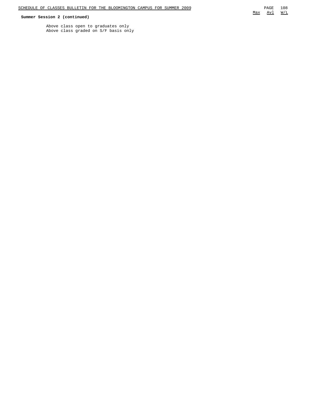## **Summer Session 2 (continued)**

Above class open to graduates only Above class graded on S/F basis only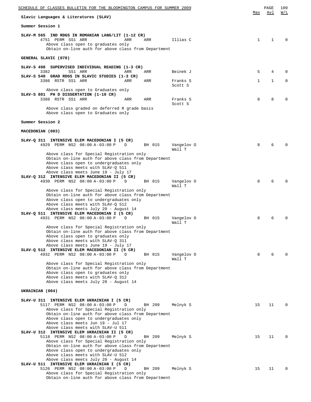| SCHEDULE OF CLASSES BULLETIN FOR THE BLOOMINGTON CAMPUS FOR SUMMER 2009                                                                                                                                                                                                                                                    |                      |              | PAGE         | 109      |
|----------------------------------------------------------------------------------------------------------------------------------------------------------------------------------------------------------------------------------------------------------------------------------------------------------------------------|----------------------|--------------|--------------|----------|
| Slavic Languages & Literatures (SLAV)                                                                                                                                                                                                                                                                                      |                      | Max          | Avl          | W/L      |
| Summer Session 1                                                                                                                                                                                                                                                                                                           |                      |              |              |          |
| SLAV-M 565 IND RDGS IN ROMANIAN LANG/LIT (1-12 CR)<br>4751 PERM SS1 ARR<br>ARR<br>ARR<br>Above class open to graduates only<br>Obtain on-line auth for above class from Department                                                                                                                                         | Illias C             | 1            | 1            |          |
| GENERAL SLAVIC (070)                                                                                                                                                                                                                                                                                                       |                      |              |              |          |
| SLAV-S 498 SUPERVISED INDIVIDUAL READING (1-3 CR)                                                                                                                                                                                                                                                                          |                      |              |              |          |
| 3382<br>SS1 ARR<br>ARR<br>ARR<br>SLAV-S 540 GRAD RDGS IN SLAVIC STUDIES (1-3 CR)                                                                                                                                                                                                                                           | Beinek J             | 5            | 4            |          |
| 3386 RSTR SS1 ARR<br>ARR<br>ARR                                                                                                                                                                                                                                                                                            | Franks S<br>Scott S  | $\mathbf{1}$ | $\mathbf{1}$ | $\Omega$ |
| Above class open to Graduates only<br>SLAV-S 801 PH D DISSERTATION (1-10 CR)                                                                                                                                                                                                                                               |                      |              |              |          |
| 3388 RSTR SS1 ARR<br>ARR<br>ARR                                                                                                                                                                                                                                                                                            | Franks S<br>Scott S  | 8            | 8            |          |
| Above class graded on deferred R grade basis<br>Above class open to Graduates only                                                                                                                                                                                                                                         |                      |              |              |          |
| Summer Session 2                                                                                                                                                                                                                                                                                                           |                      |              |              |          |
| MACEDONIAN (003)                                                                                                                                                                                                                                                                                                           |                      |              |              |          |
| SLAV-Q 311 INTENSIVE ELEM MACEDONIAN I (5 CR)<br>4929 PERM NS2 08:00 A-03:00 P<br>D<br>BH 015                                                                                                                                                                                                                              | Vangelov 0<br>Wall T | 8            | 6            |          |
| Above class for Special Registration only<br>Obtain on-line auth for above class from Department<br>Above class open to undergraduates only<br>Above class meets with SLAV-Q 511<br>Above class meets June 19 - July 17<br>SLAV-Q 312 INTENSIVE ELEM MACEDONIAN II (5 CR)                                                  |                      |              |              |          |
| 4930 PERM NS2 08:00 A-03:00 P<br>D<br>BH 015                                                                                                                                                                                                                                                                               | Vangelov 0<br>Wall T | 8            | 6            |          |
| Above class for Special Registration only<br>Obtain on-line auth for above class from Department<br>Above class open to undergraduates only<br>Above class meets with SLAV-Q 512<br>Above class meets July 20 - August 14                                                                                                  |                      |              |              |          |
| SLAV-Q 511 INTENSIVE ELEM MACEDONIAN I (5 CR)<br>4931 PERM NS2 08:00 A-03:00 P<br>D<br>BH 015                                                                                                                                                                                                                              | Vangelov 0<br>Wall T | 8            | 6            |          |
| Above class for Special Registration only<br>Obtain on-line auth for above class from Department<br>Above class open to graduates only<br>Above class meets with SLAV-Q 311<br>Above class meets June 19 - July 17<br>SLAV-Q 512 INTENSIVE ELEM MACEDONIAN II (5 CR)<br>4932 PERM NS2 08:00 A-03:00 P<br>D<br>BH 015       | Vangelov 0           | 8            | 6            |          |
| Above class for Special Registration only<br>Obtain on-line auth for above class from Department                                                                                                                                                                                                                           | Wall T               |              |              |          |
| Above class open to graduates only<br>Above class meets with SLAV-Q 312<br>Above class meets July 20 - August 14                                                                                                                                                                                                           |                      |              |              |          |
| UKRAINIAN (004)                                                                                                                                                                                                                                                                                                            |                      |              |              |          |
| SLAV-U 311 INTENSIVE ELEM UKRAINIAN I (5 CR)<br>5117 PERM NS2 08:00 A-03:00 P<br>D<br>BH 209<br>Above class for Special Registration only<br>Obtain on-line auth for above class from Department<br>Above class open to undergraduates only<br>Above class meets Jun 19 - Jul 17<br>Above class meets with SLAV-U 511      | Melnyk S             | 15           | 11           |          |
| SLAV-U 312 INTENSIVE ELEM UKRAINIAN II (5 CR)<br>5118 PERM NS2 08:00 A-03:00 P<br>D<br>BH 209<br>Above class for Special Registration only<br>Obtain on-line auth for above class from Department<br>Above class open to undergraduates only<br>Above class meets with SLAV-U 512<br>Above class meets July 20 - August 14 | Melnyk S             | 15           | 11           |          |
| SLAV-U 511 INTENSIVE ELEM UKRAINIAN I (5 CR)<br>5126 PERM NS2 08:00 A-03:00 P<br>D<br>BH 209<br>Above class for Special Registration only<br>Obtain on-line auth for above class from Department                                                                                                                           | Melnyk S             | 15           | 11           |          |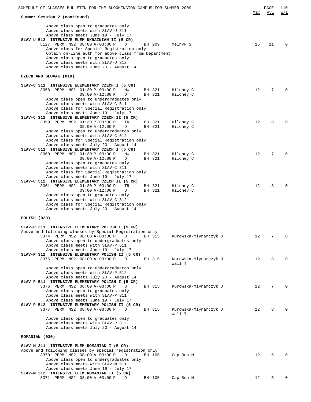| SCHEDULE OF CLASSES BULLETIN FOR THE BLOOMINGTON CAMPUS FOR SUMMER 2009                                                                                                                                                                                                                                                                         |                  |                       | Max | PAGE<br>Avl | 110<br>W/L  |
|-------------------------------------------------------------------------------------------------------------------------------------------------------------------------------------------------------------------------------------------------------------------------------------------------------------------------------------------------|------------------|-----------------------|-----|-------------|-------------|
| Summer Session 2 (continued)                                                                                                                                                                                                                                                                                                                    |                  |                       |     |             |             |
| Above class open to graduates only<br>Above class meets with SLAV-U 311<br>Above class meets June 19 - July 17<br>SLAV-U 512 INTENSIVE ELEM UKRAINIAN II (5 CR)<br>5127 PERM NS2 08:00 A-03:00 P<br>D<br>Above class for Special Registration only<br>Obtain on-line auth for above class from Department<br>Above class open to graduates only | BH 209           | Melnyk S              | 15  | 11          | $\Omega$    |
| Above class meets with SLAV-U 312                                                                                                                                                                                                                                                                                                               |                  |                       |     |             |             |
| Above class meets June 20 - August 14                                                                                                                                                                                                                                                                                                           |                  |                       |     |             |             |
| CZECH AND SLOVAK (010)                                                                                                                                                                                                                                                                                                                          |                  |                       |     |             |             |
|                                                                                                                                                                                                                                                                                                                                                 |                  |                       |     |             |             |
| SLAV-C 311 INTENSIVE ELEMENTARY CZECH I (5 CR)                                                                                                                                                                                                                                                                                                  |                  |                       |     |             |             |
| 3358 PERM NS2 01:30 P-03:00 P<br>MW                                                                                                                                                                                                                                                                                                             | BH 321<br>BH 321 | Hilchey C             | 12  | 7           |             |
| $09:00 A-12:00 P$<br>D<br>Above class open to undergraduates only                                                                                                                                                                                                                                                                               |                  | Hilchey C             |     |             |             |
| Above class meets with SLAV-C 511                                                                                                                                                                                                                                                                                                               |                  |                       |     |             |             |
| Above class for Special Registration only                                                                                                                                                                                                                                                                                                       |                  |                       |     |             |             |
| Above class meets June 19 - July 17                                                                                                                                                                                                                                                                                                             |                  |                       |     |             |             |
| SLAV-C 312 INTENSIVE ELEMENTARY CZECH II (5 CR)<br>3359 PERM NS2 01:30 P-03:00 P<br><b>TR</b>                                                                                                                                                                                                                                                   | BH 321           | Hilchey C             | 12  | 8           |             |
| $09:00 A-12:00 P$<br>D                                                                                                                                                                                                                                                                                                                          | BH 321           | Hilchey C             |     |             |             |
| Above class open to undergraduates only                                                                                                                                                                                                                                                                                                         |                  |                       |     |             |             |
| Above class meets with SLAV-C 512                                                                                                                                                                                                                                                                                                               |                  |                       |     |             |             |
| Above class for Special Registration only                                                                                                                                                                                                                                                                                                       |                  |                       |     |             |             |
| Above class meets July 20 - August 14<br>SLAV-C 511 INTENSIVE ELEMENTARY CZECH I (5 CR)                                                                                                                                                                                                                                                         |                  |                       |     |             |             |
| 3360 PERM NS2 01:30 P-03:00 P<br>MW                                                                                                                                                                                                                                                                                                             | BH 321           | Hilchey C             | 12  | 7           |             |
| $09:00 A-12:00 P$<br>D                                                                                                                                                                                                                                                                                                                          | BH 321           | Hilchey C             |     |             |             |
| Above class open to graduates only                                                                                                                                                                                                                                                                                                              |                  |                       |     |             |             |
| Above class meets with SLAV-C 311<br>Above class for Special Registration only                                                                                                                                                                                                                                                                  |                  |                       |     |             |             |
| Above class meets June 19 - July 17                                                                                                                                                                                                                                                                                                             |                  |                       |     |             |             |
| SLAV-C 512 INTENSIVE ELEMENTARY CZECH II (5 CR)                                                                                                                                                                                                                                                                                                 |                  |                       |     |             |             |
| 3361 PERM NS2 01:30 P-03:00 P<br><b>TR</b><br>$09:00 A-12:00 P$<br>D                                                                                                                                                                                                                                                                            | BH 321<br>BH 321 | Hilchey C             | 12  | 8           |             |
| Above class open to graduates only                                                                                                                                                                                                                                                                                                              |                  | Hilchey C             |     |             |             |
| Above class meets with SLAV-C 312                                                                                                                                                                                                                                                                                                               |                  |                       |     |             |             |
| Above class for Special Registration only                                                                                                                                                                                                                                                                                                       |                  |                       |     |             |             |
| Above class meets July 20 - August 14                                                                                                                                                                                                                                                                                                           |                  |                       |     |             |             |
| POLISH (020)                                                                                                                                                                                                                                                                                                                                    |                  |                       |     |             |             |
|                                                                                                                                                                                                                                                                                                                                                 |                  |                       |     |             |             |
| SLAV-P 311 INTENSIVE ELEMENTARY POLISH I (5 CR)                                                                                                                                                                                                                                                                                                 |                  |                       |     |             |             |
| Above and following classes by Special Registration only<br>3374 PERM NS2 08:00 A-03:00 P<br>D                                                                                                                                                                                                                                                  | BH 315           | Kurowska-Mlynarczyk J | 12  | 7           | $\mathbf 0$ |
| Above class open to undergraduates only                                                                                                                                                                                                                                                                                                         |                  |                       |     |             |             |
| Above class meets with SLAV-P 511                                                                                                                                                                                                                                                                                                               |                  |                       |     |             |             |
| Above class meets June 19 - July 17                                                                                                                                                                                                                                                                                                             |                  |                       |     |             |             |
| SLAV-P 312 INTENSIVE ELEMENTARY POLISH II (5 CR)<br>3375 PERM NS2 08:00 A-03:00 P<br>D                                                                                                                                                                                                                                                          | BH 315           | Kurowska-Mlynarczyk J | 12  | 8           | $\Omega$    |
|                                                                                                                                                                                                                                                                                                                                                 |                  | Wall T                |     |             |             |
| Above class open to undergraduates only                                                                                                                                                                                                                                                                                                         |                  |                       |     |             |             |
| Above class meets with SLAV-P 512                                                                                                                                                                                                                                                                                                               |                  |                       |     |             |             |
| Above class meets July 20 - August 14<br>SLAV-P 511 INTENSIVE ELEMENTARY POLISH I (5 CR)                                                                                                                                                                                                                                                        |                  |                       |     |             |             |
| 3376 PERM NS2 08:00 A-03:00 P<br>D                                                                                                                                                                                                                                                                                                              | BH 315           | Kurowska-Mlynarczyk J | 12  | 7           | $\Omega$    |
| Above class open to graduates only                                                                                                                                                                                                                                                                                                              |                  |                       |     |             |             |
| Above class meets with SLAV-P 311                                                                                                                                                                                                                                                                                                               |                  |                       |     |             |             |
| Above class meets June 19 - July 17<br>SLAV-P 512 INTENSIVE ELEMENTARY POLISH II (5 CR)                                                                                                                                                                                                                                                         |                  |                       |     |             |             |
| 3377 PERM NS2 08:00 A-03:00 P<br>D                                                                                                                                                                                                                                                                                                              | BH 315           | Kurowska-Mlynarczyk J | 12  | 8           | $\Omega$    |
|                                                                                                                                                                                                                                                                                                                                                 |                  | Wall T                |     |             |             |
| Above class open to graduates only                                                                                                                                                                                                                                                                                                              |                  |                       |     |             |             |
| Above class meets with SLAV-P 312<br>Above class meets July 20 - August 14                                                                                                                                                                                                                                                                      |                  |                       |     |             |             |
|                                                                                                                                                                                                                                                                                                                                                 |                  |                       |     |             |             |
| ROMANIAN (030)                                                                                                                                                                                                                                                                                                                                  |                  |                       |     |             |             |
| SLAV-M 311 INTENSIVE ELEM ROMANIAN I (5 CR)                                                                                                                                                                                                                                                                                                     |                  |                       |     |             |             |
| Above and following classes by special registration only                                                                                                                                                                                                                                                                                        |                  |                       |     |             |             |
| 3370 PERM NS2 08:00 A-03:00 P<br>D                                                                                                                                                                                                                                                                                                              | BH 105           | Cap Bun M             | 12  | 5           |             |
| Above class open to undergraduates only                                                                                                                                                                                                                                                                                                         |                  |                       |     |             |             |
| Above class meets with SLAV-M 511<br>Above class meets June 19 - July 17                                                                                                                                                                                                                                                                        |                  |                       |     |             |             |
| SLAV-M 312 INTENSIVE ELEM ROMANIAN II (5 CR)                                                                                                                                                                                                                                                                                                    |                  |                       |     |             |             |
| 3371 PERM NS2 08:00 A-03:00 P<br>D                                                                                                                                                                                                                                                                                                              | BH 105           | Cap Bun M             | 12  | 5           |             |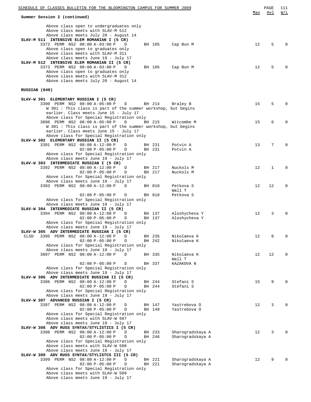| Summer Session 2 (continued)                                                                 |                  | Max               | Avl | W/L          |
|----------------------------------------------------------------------------------------------|------------------|-------------------|-----|--------------|
|                                                                                              |                  |                   |     |              |
| Above class open to undergraduates only<br>Above class meets with SLAV-M 512                 |                  |                   |     |              |
| Above class meets July 20 - August 14                                                        |                  |                   |     |              |
| SLAV-M 511 INTENSIVE ELEM ROMANIAN I (5 CR)                                                  |                  |                   |     |              |
| 3372 PERM NS2 08:00 A-03:00 P<br>BH 105<br>D<br>Above class open to graduates only           | Cap Bun M        | $12 \overline{ }$ | 5   | $\Omega$     |
| Above class meets with SLAV-M 311                                                            |                  |                   |     |              |
| Above class meets June 19 - July 17                                                          |                  |                   |     |              |
| SLAV-M 512 INTENSIVE ELEM ROMANIAN II (5 CR)<br>3373 PERM NS2 08:00 A-03:00 P<br>D<br>BH 105 | Cap Bun M        | 12                | 5   | $\Omega$     |
| Above class open to graduates only                                                           |                  |                   |     |              |
| Above class meets with SLAV-M 312                                                            |                  |                   |     |              |
| Above class meets July 20 - August 14                                                        |                  |                   |     |              |
| RUSSIAN (040)                                                                                |                  |                   |     |              |
| SLAV-W 301 ELEMENTARY RUSSIAN I (5 CR)                                                       |                  |                   |     |              |
| 3390 PERM NS2 08:00 A-05:00 P<br>D<br>BH 214                                                 | Braley B         | 15                | 5   | $\Omega$     |
| W 301: This class is part of the summer workshop, but begins                                 |                  |                   |     |              |
| earlier. Class meets June 15 - July 17<br>Above class for Special Registration only          |                  |                   |     |              |
| 3896 PERM NS2 08:00 A-05:00 P<br>BH 215<br>D                                                 | Witcombe M       | 15                | 6   | $\Omega$     |
| W 301: This class is part of the summer workshop, but begins                                 |                  |                   |     |              |
| earlier. Class meets June 15 - July 17                                                       |                  |                   |     |              |
| Above class for Special Registration only<br>SLAV-W 302 ELEMENTARY RUSSIAN II (5 CR)         |                  |                   |     |              |
| 3391 PERM NS2 08:00 A-12:00 P<br>D<br>BH 231                                                 | Potvin A         | 13                | 7   | $\Omega$     |
| $02:00 P - 05:00 P$<br>BH 231<br>D                                                           | Potvin A         |                   |     |              |
| Above class for Special Registration only                                                    |                  |                   |     |              |
| Above class meets June 19 - July 17<br>SLAV-W 303 INTERMEDIATE RUSSIAN I (5 CR)              |                  |                   |     |              |
| 3392 PERM NS2 08:00 A-12:00 P<br>D<br>BH 217                                                 | Nuckols M        | 12                | 1   | 0            |
| $02:00 P - 05:00 P$<br>BH 217<br>D                                                           | Nuckols M        |                   |     |              |
| Above class for Special Registration only                                                    |                  |                   |     |              |
| Above class meets June 19 - July 17<br>3393 PERM NS2 08:00 A-12:00 P<br>D<br>BH 018          | Petkova S        | 12                | 12  | 0            |
|                                                                                              | Wall T           |                   |     |              |
| $02:00 P - 05:00 P$<br>D<br>BH 018                                                           | Petkova S        |                   |     |              |
| Above class for Special Registration only                                                    |                  |                   |     |              |
| Above class meets June 19 - July 17<br>SLAV-W 304 INTERMEDIATE RUSSIAN II (5 CR)             |                  |                   |     |              |
| 3394 PERM NS2 08:00 A-12:00 P<br>D<br>BH 137                                                 | Aloshycheva Y    | 12                | 3   | $\Omega$     |
| $02:00 P - 05:00 P$<br>BH 137<br>D                                                           | Aloshycheva Y    |                   |     |              |
| Above class for Special Registration only<br>Above class meets June 19 - July 17             |                  |                   |     |              |
| SLAV-W 305 ADV INTERMEDIATE RUSSIAN I (5 CR)                                                 |                  |                   |     |              |
| BH 235<br>3395 PERM NS2 08:00 A-12:00 P<br>D<br>CLSD                                         | Nikolaeva K      | 12                | 0   | 0            |
| $02:00 P - 05:00 P$<br>BH 242<br>D                                                           | Nikolaeva K      |                   |     |              |
| Above class for Special Registration only<br>Above class meets June 19 - July 17             |                  |                   |     |              |
| 3897 PERM NS2 08:00 A-12:00 P<br>BH 335<br>D                                                 | Nikolaeva K      | 12                | 12  | $\mathbf 0$  |
|                                                                                              | Wall T           |                   |     |              |
| $02:00 P - 05:00 P$<br>BH 337<br>D                                                           | KAZAKOVA N       |                   |     |              |
| Above class for Special Registration only<br>Above class meets June 19 - July 17             |                  |                   |     |              |
| SLAV-W 306 ADV INTERMEDIATE RUSSIAN II (5 CR)                                                |                  |                   |     |              |
| 3396 PERM NS2 08:00 A-12:00 P<br>D<br>BH 244                                                 | Stefani S        | 15                | 9   | $\Omega$     |
| $02:00 P - 05:00 P$<br>D<br>BH 244                                                           | Stefani S        |                   |     |              |
| Above class for Special Registration only<br>Above class meets June 19 - July 17             |                  |                   |     |              |
| SLAV-W 307 ADVANCED RUSSIAN I (5 CR)                                                         |                  |                   |     |              |
| 3397 PERM NS2 08:00 A-12:00 P<br>D<br>BH 147                                                 | Yastrebova O     | 12                | 3   | $\Omega$     |
| $02:00 P - 05:00 P$<br>D<br>BH 149                                                           | Yastrebova O     |                   |     |              |
| Above class for Special Registration only<br>Above class meets with SLAV-W 507               |                  |                   |     |              |
| Above class meets June 19 - July 17                                                          |                  |                   |     |              |
| SLAV-W 308 ADV RUSS SYNTAX/STYLISTICS I (5 CR)                                               |                  |                   |     |              |
| 3398 PERM NS2 08:00 A-12:00 P<br>D<br>BH 233                                                 | Sharogradskaya A | 12                | 3   | $\Omega$     |
| $02:00 P - 05:00 P$<br>BH 246<br>D<br>Above class for Special Registration only              | Sharogradskaya A |                   |     |              |
| Above class meets with SLAV-W 508                                                            |                  |                   |     |              |
| Above class meets June 19 - July 17                                                          |                  |                   |     |              |
| SLAV-W 309 ADV RUSS SYNTAX/STYLISTCS III (5 CR)                                              |                  |                   |     |              |
| 3399 PERM NS2 08:00 A-12:00 P<br>BH 221<br>D<br>$02:00 P - 05:00 P$<br>BH 221<br>D           | Sharogradskaya A | 12                | 9   | <sup>0</sup> |
| Above class for Special Registration only                                                    | Sharogradskaya A |                   |     |              |
| Above class meets with SLAV-W 509                                                            |                  |                   |     |              |
| Above class meets June 19 - July 17                                                          |                  |                   |     |              |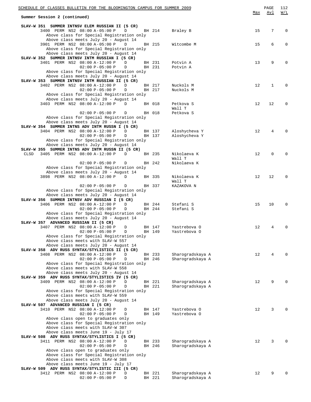| SCHEDULE OF CLASSES BULLETIN FOR THE BLOOMINGTON CAMPUS FOR SUMMER 2009<br>Summer Session 2 (continued)                               |                  |                                      | Max | PAGE<br>Avl | 112<br>W/L |
|---------------------------------------------------------------------------------------------------------------------------------------|------------------|--------------------------------------|-----|-------------|------------|
|                                                                                                                                       |                  |                                      |     |             |            |
| SLAV-W 351 SUMMER INTNSV ELEM RUSSIAN II (5 CR)<br>3400 PERM NS2 08:00 A-05:00 P<br>D<br>Above class for Special Registration only    | BH 214           | Braley B                             | 15  | 7           | 0          |
| Above class meets July 20 - August 14<br>3901 PERM NS2 08:00 A-05:00 P<br>D                                                           | BH 215           | Witcombe M                           | 15  | 6           | 0          |
| Above class for Special Registration only<br>Above class meets July 20 - August 14                                                    |                  |                                      |     |             |            |
| SLAV-W 352 SUMMER INTNSV INTM RUSSIAN I (5 CR)<br>3401 PERM NS2 08:00 A-12:00 P<br>D                                                  | BH 231           | Potvin A                             | 13  | 9           | $\Omega$   |
| $02:00 P - 05:00 P$<br>D<br>Above class for Special Registration only                                                                 | BH 231           | Potvin A                             |     |             |            |
| Above class meets July 20 - August 14<br>SLAV-W 353 SUMMER INTNSV INTM RUSSIAN II (5 CR)                                              |                  |                                      |     |             |            |
| 3402 PERM NS2 08:00 A-12:00 P<br>D<br>$02:00 P - 05:00 P$<br>D                                                                        | BH 217<br>BH 217 | Nuckols M<br>Nuckols M               | 12  | 1           | $\Omega$   |
| Above class for Special Registration only<br>Above class meets July 20 - August 14                                                    |                  |                                      |     |             |            |
| 3403 PERM NS2 08:00 A-12:00 P<br>D                                                                                                    | BH 018           | Petkova S                            | 12  | 12          | 0          |
| $02:00 P - 05:00 P$<br>D                                                                                                              | BH 018           | Wall T<br>Petkova S                  |     |             |            |
| Above class for Special Registration only<br>Above class meets July 20 - August 14<br>SLAV-W 354 SUMMER INTNS ADV INTM RUSSN I (5 CR) |                  |                                      |     |             |            |
| 3404 PERM NS2 08:00 A-12:00 P<br>D                                                                                                    | BH 137           | Aloshycheva Y                        | 12  | 4           | O          |
| $02:00 P - 05:00 P$<br>D<br>Above class for Special Registration only                                                                 | BH 137           | Aloshycheva Y                        |     |             |            |
| Above class meets July 20 - August 14                                                                                                 |                  |                                      |     |             |            |
| SLAV-W 355 SUMMER INTNS ADV INTM RUSSN II (5 CR)<br>3405 PERM NS2 08:00 A-12:00 P<br>CLSD<br>D                                        | BH 235           | Nikolaeva K                          | 12  | $\mathbf 0$ | 0          |
|                                                                                                                                       |                  | Wall T                               |     |             |            |
| $02:00 P - 05:00 P$<br>D<br>Above class for Special Registration only                                                                 | BH 242           | Nikolaeva K                          |     |             |            |
| Above class meets July 20 - August 14                                                                                                 |                  |                                      |     |             |            |
| 3898 PERM NS2 08:00 A-12:00 P<br>D                                                                                                    | BH 335           | Nikolaeva K<br>Wall T                | 12  | 12          | $\Omega$   |
| $02:00 P - 05:00 P$<br>D                                                                                                              | BH 337           | KAZAKOVA N                           |     |             |            |
| Above class for Special Registration only<br>Above class meets July 20 - August 14                                                    |                  |                                      |     |             |            |
| SLAV-W 356 SUMMER INTNSV ADV RUSSIAN I (5 CR)<br>D                                                                                    | BH 244           | Stefani S                            | 15  | 10          | $\Omega$   |
| 3406 PERM NS2 08:00 A-12:00 P<br>$02:00 P - 05:00 P$<br>D                                                                             | BH 244           | Stefani S                            |     |             |            |
| Above class for Special Registration only<br>Above class meets July 20 - August 14                                                    |                  |                                      |     |             |            |
| SLAV-W 357 ADVANCED RUSSIAN II (5 CR)                                                                                                 |                  |                                      |     |             |            |
| 3407 PERM NS2 08:00 A-12:00 P<br>D<br>D<br>$02:00 P - 05:00 P$                                                                        | BH 147<br>BH 149 | Yastrebova O<br>Yastrebova O         | 12  | 4           | $\Omega$   |
| Above class for Special Registration only                                                                                             |                  |                                      |     |             |            |
| Above class meets with SLAV-W 557<br>Above class meets July 20 - August 14                                                            |                  |                                      |     |             |            |
| SLAV-W 358 ADV RUSS SYNTAX/STYLISTICS II (5 CR)                                                                                       |                  |                                      |     |             |            |
| 3408 PERM NS2 08:00 A-12:00 P<br>D<br>$02:00 P - 05:00 P$<br>D                                                                        | BH 233<br>BH 246 | Sharogradskaya A<br>Sharogradskaya A | 12  | 4           |            |
| Above class for Special Registration only                                                                                             |                  |                                      |     |             |            |
| Above class meets with SLAV-W 558<br>Above class meets July 20 - August 14                                                            |                  |                                      |     |             |            |
| SLAV-W 359 ADV RUSS SYNTAX/STYLISTICS IV (5 CR)<br>3409 PERM NS2 08:00 A-12:00 P<br>D                                                 | BH 221           |                                      | 12  | 9           |            |
| $02:00 P - 05:00 P$<br>D                                                                                                              | BH 221           | Sharogradskaya A<br>Sharogradskaya A |     |             |            |
| Above class for Special Registration only<br>Above class meets with SLAV-W 559                                                        |                  |                                      |     |             |            |
| Above class meets July 20 - August 14                                                                                                 |                  |                                      |     |             |            |
| SLAV-W 507 ADVANCED RUSSIAN I (5 CR)<br>3410 PERM NS2 08:00 A-12:00 P<br>D                                                            | BH 147           | Yastrebova O                         | 12  | 3           |            |
| $02:00 P - 05:00 P$<br>D                                                                                                              | BH 149           | Yastrebova O                         |     |             |            |
| Above class open to graduates only<br>Above class for Special Registration only                                                       |                  |                                      |     |             |            |
| Above class meets with SLAV-W 307                                                                                                     |                  |                                      |     |             |            |
| Above class meets June 19 - July 17<br>SLAV-W 508 ADV RUSS SYNTAX/STYLISTICS I (5 CR)                                                 |                  |                                      |     |             |            |
| 3411 PERM NS2 08:00 A-12:00 P<br>D                                                                                                    | BH 233           | Sharogradskaya A                     | 12  | 3           |            |
| $02:00 P - 05:00 P$<br>D<br>Above class open to graduates only                                                                        | BH 246           | Sharogradskaya A                     |     |             |            |
| Above class for Special Registration only                                                                                             |                  |                                      |     |             |            |
| Above class meets with SLAV-W 308<br>Above class meets June 19 - July 17                                                              |                  |                                      |     |             |            |
| SLAV-W 509 ADV RUSS SYNTAX/STYLISTIC III (5 CR)                                                                                       |                  |                                      |     |             |            |
| 3412 PERM NS2 08:00 A-12:00 P<br>D<br>$02:00 P - 05:00 P$<br>D                                                                        | BH 221<br>BH 221 | Sharogradskaya A<br>Sharogradskaya A | 12  | 9           |            |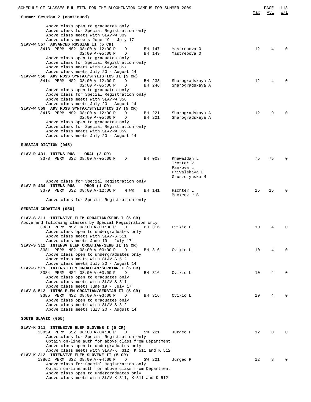| SCHEDULE OF CLASSES BULLETIN FOR THE BLOOMINGTON CAMPUS FOR SUMMER 2009                                                                                      |                  |                              |                  | Max | PAGE<br>Avl | 113<br>W/L   |
|--------------------------------------------------------------------------------------------------------------------------------------------------------------|------------------|------------------------------|------------------|-----|-------------|--------------|
| Summer Session 2 (continued)                                                                                                                                 |                  |                              |                  |     |             |              |
| Above class open to graduates only<br>Above class for Special Registration only<br>Above class meets with SLAV-W 309<br>Above class meeets June 19 - July 17 |                  |                              |                  |     |             |              |
| SLAV-W 557 ADVANCED RUSSIAN II (5 CR)                                                                                                                        |                  |                              |                  |     |             |              |
| 3413 PERM NS2 08:00 A-12:00 P<br>D<br>$02:00 P - 05:00 P$<br>D                                                                                               | BH 147<br>BH 149 | Yastrebova O<br>Yastrebova O |                  | 12  | 4           |              |
| Above class open to graduates only                                                                                                                           |                  |                              |                  |     |             |              |
| Above class for Special Registration only                                                                                                                    |                  |                              |                  |     |             |              |
| Above class meets with SLAV-W 357<br>Above class meets July 20 - August 14                                                                                   |                  |                              |                  |     |             |              |
| SLAV-W 558 ADV RUSS SYNTAX/STYLISTICS II (5 CR)                                                                                                              |                  |                              |                  |     |             |              |
| 3414 PERM NS2 08:00 A-12:00 P<br>D                                                                                                                           | BH 233           |                              | Sharogradskaya A | 12  | 4           |              |
| $02:00 P - 05:00 P$<br>D<br>Above class open to graduates only                                                                                               | BH 246           |                              | Sharogradskaya A |     |             |              |
| Above class for Special Registration only                                                                                                                    |                  |                              |                  |     |             |              |
| Above class meets with SLAV-W 358                                                                                                                            |                  |                              |                  |     |             |              |
| Above class meets July 20 - August 14<br>SLAV-W 559 ADV RUSS SYNTAX/STYLISTICS IV (5 CR)                                                                     |                  |                              |                  |     |             |              |
| 3415 PERM NS2 08:00 A-12:00 P<br>D                                                                                                                           | BH 221           |                              | Sharogradskaya A | 12  | 9           | <sup>0</sup> |
| $02:00 P - 05:00 P$<br>D                                                                                                                                     | BH 221           |                              | Sharogradskaya A |     |             |              |
| Above class open to graduates only                                                                                                                           |                  |                              |                  |     |             |              |
| Above class for Special Registration only<br>Above class meets with SLAV-W 359                                                                               |                  |                              |                  |     |             |              |
| Above class meets July 20 - August 14                                                                                                                        |                  |                              |                  |     |             |              |
|                                                                                                                                                              |                  |                              |                  |     |             |              |
| RUSSIAN DICTION (045)                                                                                                                                        |                  |                              |                  |     |             |              |
| SLAV-R 431 INTENS RUS -- ORAL (2 CR)                                                                                                                         |                  |                              |                  |     |             |              |
| 3378 PERM SS2 08:00 A-05:00 P<br>D                                                                                                                           | BH 003           | Khawaldah L                  |                  | 75  | 75          | O            |
|                                                                                                                                                              |                  | Trotter V<br>Pankova L       |                  |     |             |              |
|                                                                                                                                                              |                  |                              | Privalskaya L    |     |             |              |
|                                                                                                                                                              |                  |                              | Gruszczynska M   |     |             |              |
| Above class for Special Registration only<br>SLAV-R 434 INTENS RUS -- PHON (1 CR)                                                                            |                  |                              |                  |     |             |              |
| 3379 PERM SS2 08:00 A-12:00 P<br>MTWR                                                                                                                        | BH 141           | Richter L                    |                  | 15  | 15          | $\Omega$     |
|                                                                                                                                                              |                  | Mackenzie S                  |                  |     |             |              |
| Above class for Special Registration only                                                                                                                    |                  |                              |                  |     |             |              |
| SERBIAN CROATIAN (050)                                                                                                                                       |                  |                              |                  |     |             |              |
| SLAV-S 311 INTENSIVE ELEM CROATIAN/SERB I (5 CR)                                                                                                             |                  |                              |                  |     |             |              |
| Above and following classes by Special Registration only                                                                                                     |                  |                              |                  |     |             |              |
| 3380 PERM NS2 08:00 A-03:00 P<br>D                                                                                                                           | BH 316           | Cvikic L                     |                  | 10  | 4           | 0            |
| Above class open to undergraduates only<br>Above class meets with SLAV-S 511                                                                                 |                  |                              |                  |     |             |              |
| Above class meets June 19 - July 17                                                                                                                          |                  |                              |                  |     |             |              |
| SLAV-S 312 INTENSV ELEM CROATIAN/SERB II (5 CR)                                                                                                              |                  |                              |                  |     |             |              |
| 3381 PERM NS2 08:00 A-03:00 P<br>D<br>Above class open to undergraduates only                                                                                | BH 316           | Cvikic L                     |                  | 10  | 4           | <sup>0</sup> |
| Above class meets with SLAV-S 512                                                                                                                            |                  |                              |                  |     |             |              |
| Above class meets July 20 - August 14                                                                                                                        |                  |                              |                  |     |             |              |
| SLAV-S 511 INTENS ELEM CROATIAN/SERBIAN I (5 CR)<br>3384 PERM NS2 08:00 A-03:00 P<br>D                                                                       | BH 316           | Cvikic L                     |                  | 10  | 4           |              |
| Above class open to graduates only                                                                                                                           |                  |                              |                  |     |             |              |
| Above class meets with SLAV-S 311                                                                                                                            |                  |                              |                  |     |             |              |
| Above class meets June 19 - July 17                                                                                                                          |                  |                              |                  |     |             |              |
| SLAV-S 512 INTNS ELEM CROATIAN/SERBIAN II (5 CR)<br>3385 PERM NS2 08:00 A-03:00 P<br>D                                                                       | BH 316           | Cvikic L                     |                  | 10  | 4           |              |
| Above class open to graduates only                                                                                                                           |                  |                              |                  |     |             |              |
| Above class meets with SLAV-S 312                                                                                                                            |                  |                              |                  |     |             |              |
| Above class meets July 20 - August 14                                                                                                                        |                  |                              |                  |     |             |              |
| SOUTH SLAVIC (055)                                                                                                                                           |                  |                              |                  |     |             |              |
|                                                                                                                                                              |                  |                              |                  |     |             |              |
| SLAV-K 311 INTENSIVE ELEM SLOVENE I (5 CR)<br>13859 PERM SS2 08:00 A-04:00 P<br>D                                                                            | SW 221           | Jurgec P                     |                  | 12  | 8           |              |
| Above class for Special Registration only                                                                                                                    |                  |                              |                  |     |             |              |
| Obtain on-line auth for above class from Department                                                                                                          |                  |                              |                  |     |             |              |
| Above class open to undergraduates only<br>Above class meets with SLAV-K 312, K 511 and K 512                                                                |                  |                              |                  |     |             |              |
| SLAV-K 312 INTENSIVE ELEM SLOVENE II (5 CR)                                                                                                                  |                  |                              |                  |     |             |              |
| 13862 PERM SS2 08:00 A-04:00 P<br>D                                                                                                                          | SW 221           | Jurgec P                     |                  | 12  | 8           |              |
| Above class for Special Registration only<br>Obtain on-line auth for above class from Department                                                             |                  |                              |                  |     |             |              |
| Above class open to undergraduates only                                                                                                                      |                  |                              |                  |     |             |              |
| Above class meets with SLAV-K 311, K 511 and K 512                                                                                                           |                  |                              |                  |     |             |              |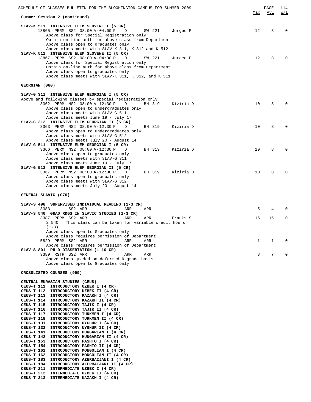| SCHEDULE OF CLASSES BULLETIN FOR THE BLOOMINGTON CAMPUS FOR SUMMER 2009                                                                                                                                                                                    |            | PAGE | 114         |
|------------------------------------------------------------------------------------------------------------------------------------------------------------------------------------------------------------------------------------------------------------|------------|------|-------------|
| Summer Session 2 (continued)                                                                                                                                                                                                                               | <u>Max</u> | Avl  | W/L         |
| SLAV-K 511 INTENSIVE ELEM SLOVENE I (5 CR)<br>13865 PERM SS2 08:00 A-04:00 P<br>SW 221<br>Jurgec P<br>D                                                                                                                                                    | 12         | 8    | $\Omega$    |
| Above class for Special Registration only<br>Obtain on-line auth for above class from Department<br>Above class open to graduates only<br>Above class meets with SLAV-K 311, K 312 and K 512<br>SLAV-K 512 INTENSIVE ELEM SLOVENE II (5 CR)                |            |      |             |
| 13867 PERM SS2 08:00 A-04:00 P<br>D<br>SW 221<br>Jurgec P<br>Above class for Special Registration only<br>Obtain on-line auth for above class from Department<br>Above class open to graduates only<br>Above class meets with SLAV-K 311, K 312, and K 511 | 12         | 8    |             |
| GEORGIAN (060)                                                                                                                                                                                                                                             |            |      |             |
| SLAV-G 311 INTENSIVE ELEM GEORGIAN I (5 CR)<br>Above and following classes by special registration only                                                                                                                                                    |            |      |             |
| 3362 PERM NS2 08:00 A-12:30 P<br>BH 319<br>D<br>Kiziria D<br>Above class open to undergraduates only<br>Above class meets with SLAV-G 511<br>Above class meets June 19 - July 17                                                                           | 10         | 8    | $\Omega$    |
| SLAV-G 312 INTENSIVE ELEM GEORGIAN II (5 CR)<br>3363 PERM NS2 08:00 A-12:30 P<br>D<br>BH 319<br>Kiziria D<br>Above class open to undergraduates only<br>Above class meets with SLAV-G 512                                                                  | 10         | 8    | $\Omega$    |
| Above class meets July 20 - August 14<br>SLAV-G 511 INTENSIVE ELEM GEORGIAN I (5 CR)<br>3366 PERM NS2 08:00 A-12:30 P<br>D<br>BH 319<br>Kiziria D                                                                                                          | 10         | 8    | $\Omega$    |
| Above class open to graduates only<br>Above class meets with SLAV-G 311<br>Above class meets June 19 - July 17<br>SLAV-G 512 INTENSIVE ELEM GEORGIAN II (5 CR)                                                                                             |            |      |             |
| 3367 PERM NS2 08:00 A-12:30 P<br>BH 319<br>D<br>Kiziria D<br>Above class open to graduates only<br>Above class meets with SLAV-G 312<br>Above class meets July 20 - August 14                                                                              | 10         | 8    | $\Omega$    |
| GENERAL SLAVIC (070)                                                                                                                                                                                                                                       |            |      |             |
| SLAV-S 498 SUPERVISED INDIVIDUAL READING (1-3 CR)                                                                                                                                                                                                          |            |      |             |
| 3383<br>SS2 ARR<br>ARR<br>ARR<br>SLAV-S 540 GRAD RDGS IN SLAVIC STUDIES (1-3 CR)                                                                                                                                                                           | 5          | 4    | $\Omega$    |
| 3387 PERM SS2 ARR<br>ARR<br>ARR<br>Franks S<br>S 540 : This class can be taken for variable credit hours<br>$(1-3)$<br>Above class open to Graduates only                                                                                                  | 15         | 15   | $\mathbf 0$ |
| Above class requires permission of Department<br>5829 PERM SS2 ARR<br>ARR<br>ARR                                                                                                                                                                           | 1          | 1    | 0           |
| Above class requires permission of Department<br>SLAV-S 801 PH D DISSERTATION (1-10 CR)<br>3389 RSTR SS2 ARR<br>ARR<br>ARR                                                                                                                                 | 8          | 7    | $\mathbf 0$ |
| Above class graded on deferred R grade basis<br>Above class open to Graduates only                                                                                                                                                                         |            |      |             |
| CROSSLISTED COURSES (999)                                                                                                                                                                                                                                  |            |      |             |
| CENTRAL EURASIAN STUDIES (CEUS)                                                                                                                                                                                                                            |            |      |             |
| CEUS-T 111 INTRODUCTORY UZBEK I (4 CR)<br>CEUS-T 112 INTRODUCTORY UZBEK II (4 CR)                                                                                                                                                                          |            |      |             |
| CEUS-T 113 INTRODUCTORY KAZAKH I (4 CR)                                                                                                                                                                                                                    |            |      |             |
| CEUS-T 114 INTRODUCTORY KAZAKH II (4 CR)<br>CEUS-T 115 INTRODUCTORY TAJIK I (4 CR)                                                                                                                                                                         |            |      |             |
| CEUS-T 116 INTRODUCTORY TAJIK II (4 CR)<br>CEUS-T 117 INTRODUCTORY TURKMEN I (4 CR)                                                                                                                                                                        |            |      |             |
| CEUS-T 118<br>INTRODUCTORY TURKMEN II (4 CR)                                                                                                                                                                                                               |            |      |             |
| CEUS-T 131<br>INTRODUCTORY UYGHUR I (4 CR)                                                                                                                                                                                                                 |            |      |             |
| INTRODUCTORY UYGHUR II (4 CR)<br>CEUS-T 132<br>CEUS-T 141<br>INTRODUCTORY HUNGARIAN I (4 CR)                                                                                                                                                               |            |      |             |
| CEUS-T 142 INTRODUCTORY HUNGARIAN II (4 CR)                                                                                                                                                                                                                |            |      |             |
| CEUS-T 153<br>INTRODUCTORY PASHTO I (4 CR)<br>CEUS-T 154 INTRODUCTORY PASHTO II (4 CR)                                                                                                                                                                     |            |      |             |
| CEUS-T 161<br>INTRODUCTORY MONGOLIAN I (4 CR)                                                                                                                                                                                                              |            |      |             |
| CEUS-T 162<br>INTRODUCTORY MONGOLIAN II (4 CR)<br>CEUS-T 183<br>INTRODUCTORY AZERBAIJANI I (4 CR)                                                                                                                                                          |            |      |             |
| CEUS-T 184 INTRODUCTORY AZERBAIJANI II (4 CR)                                                                                                                                                                                                              |            |      |             |
| CEUS-T 211 INTERMEDIATE UZBEK I (4 CR)<br>CEUS-T 212 INTERMEDIATE UZBEK II (4 CR)                                                                                                                                                                          |            |      |             |
| CEUS-T 213<br>INTERMEDIATE KAZAKH I (4 CR)                                                                                                                                                                                                                 |            |      |             |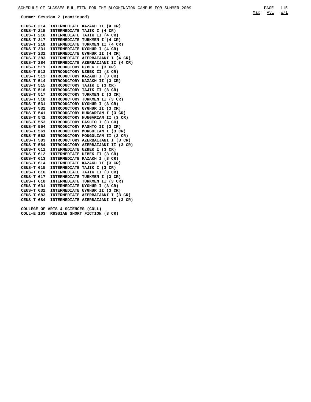**Summer Session 2 (continued)**

| CEUS-T 214        |                                   | INTERMEDIATE KAZAKH II (4 CR)      |
|-------------------|-----------------------------------|------------------------------------|
| CEUS-T 215        |                                   | INTERMEDIATE TAJIK I (4 CR)        |
| CEUS-T 216        |                                   | INTERMEDIATE TAJIK II (4 CR)       |
| CEUS-T 217        |                                   | INTERMEDIATE TURKMEN I (4 CR)      |
| CEUS-T 218        |                                   | INTERMEDIATE TURKMEN II (4 CR)     |
| CEUS-T 231        | <b>INTERMEDIATE</b>               | UYGHUR I (4 CR)                    |
| CEUS-T 232        | <b>INTERMEDIATE</b>               | UYGHUR II (4 CR)                   |
| CEUS-T 283        |                                   | INTERMEDIATE AZERBAIJANI I (4 CR)  |
| CEUS-T 284        |                                   | INTERMEDIATE AZERBAIJANI II (4 CR) |
| CEUS-T 511        | <b>INTRODUCTORY</b>               | UZBEK I (3 CR)                     |
| CEUS-T 512        | <b>INTRODUCTORY</b>               | UZBEK II (3 CR)                    |
| CEUS-T 513        | <b>INTRODUCTORY</b>               | KAZAKH I (3 CR)                    |
| CEUS-T 514        | <b>INTRODUCTORY</b>               | KAZAKH II (3 CR)                   |
| CEUS-T 515        | <b>INTRODUCTORY</b>               | TAJIK I (3 CR)                     |
| CEUS-T 516        | INTRODUCTORY                      | TAJIK II (3 CR)                    |
| CEUS-T 517        | <b>INTRODUCTORY</b>               | TURKMEN I (3 CR)                   |
| CEUS-T 518        | <b>INTRODUCTORY</b>               | TURKMEN II (3 CR)                  |
| CEUS-T 531        | <b>INTRODUCTORY</b>               | UYGHUR I (3 CR)                    |
| CEUS-T 532        | <b>INTRODUCTORY</b>               | UYGHUR II (3 CR)                   |
| CEUS-T 541        | <b>INTRODUCTORY</b>               | HUNGARIAN I (3 CR)                 |
| CEUS-T 542        | <b>INTRODUCTORY</b>               | HUNGARIAN II (3 CR)                |
| CEUS-T 553        | <b>INTRODUCTORY</b>               | PASHTO I (3 CR)                    |
| CEUS-T 554        | <b>INTRODUCTORY</b>               | PASHTO II (3 CR)                   |
| CEUS-T 561        | <b>INTRODUCTORY</b>               | MONGOLIAN I (3 CR)                 |
| CEUS-T 562        | <b>INTRODUCTORY</b>               | MONGOLIAN II (3 CR)                |
| CEUS-T 583        | <b>INTRODUCTORY</b>               | AZERBAIJANI I (3 CR)               |
| CEUS-T 584        | <b>INTRODUCTORY</b>               | AZERBAIJANI II (3 CR)              |
| CEUS-T 611        |                                   | INTERMEDIATE UZBEK I (3 CR)        |
| CEUS-T 612        |                                   | INTERMEDIATE UZBEK II (3 CR)       |
| CEUS-T 613        | <b>INTERMEDIATE</b>               | KAZAKH I (3 CR)                    |
| CEUS-T 614        | <b>INTERMEDIATE</b>               | KAZAKH II (3 CR)                   |
| CEUS-T 615        | <b>INTERMEDIATE</b>               | TAJIK I (3 CR)                     |
| CEUS-T 616        | <b>INTERMEDIATE</b>               | TAJIK II (3 CR)                    |
| CEUS-T 617        | <b>INTERMEDIATE</b>               | TURKMEN I (3 CR)                   |
| CEUS-T 618        | <b>INTERMEDIATE</b>               | TURKMEN II (3 CR)                  |
| CEUS-T 631        | <b>INTERMEDIATE</b>               | UYGHUR I (3 CR)                    |
| CEUS-T 632        | <b>INTERMEDIATE</b>               | UYGHUR II (3 CR)                   |
| CEUS-T 683        |                                   | INTERMEDIATE AZERBAIJANI I (3 CR)  |
| CEUS-T 684        |                                   | INTERMEDIATE AZERBAIJANI II (3 CR) |
|                   |                                   |                                    |
|                   | COLLEGE OF ARTS & SCIENCES (COLL) |                                    |
| <b>COLL-E 103</b> |                                   | RUSSIAN SHORT FICTION (3 CR)       |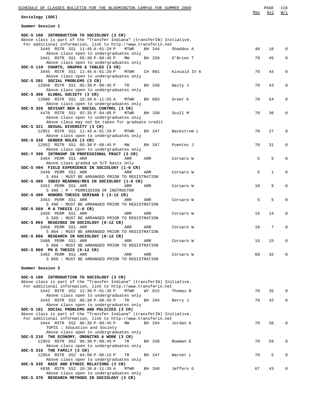| SCHEDULE OF CLASSES BULLETIN FOR THE BLOOMINGTON CAMPUS FOR SUMMER 2009                                                       | Max | PAGE<br>Avl  | 116<br>W/L   |
|-------------------------------------------------------------------------------------------------------------------------------|-----|--------------|--------------|
| Sociology (SOC)                                                                                                               |     |              |              |
| Summer Session 1                                                                                                              |     |              |              |
| SOC-S 100 INTRODUCTION TO SOCIOLOGY (3 CR)                                                                                    |     |              |              |
| Above class is part of the "Transfer Indiana" (transferIN) Initiative.                                                        |     |              |              |
| For additional information, link to http://www.transferin.net<br>3440 RSTR SS1 11:45 A-01:20 P<br>MTWR<br>BH 344<br>Shaddox A | 48  | 16           | 0            |
| Above class open to undergraduates only                                                                                       |     |              |              |
| 3441 RSTR SS1 05:30 P-08:45 P<br>MW<br>BH 330<br>O'Brien T                                                                    | 70  | 45           | $\mathbf{0}$ |
| Above class open to undergraduates only<br>SOC-S 110 CHARTS, GRAPHS & TABLES (3 CR)                                           |     |              |              |
| 3445 RSTR SS1 11:45 A-01:20 P MTWR<br>CH 001<br>Kincaid IV A                                                                  | 70  | 44           | 0            |
| Above class open to undergraduates only                                                                                       |     |              |              |
| SOC-S 201 SOCIAL PROBLEMS (3 CR)<br>12950 RSTR SS1 05:30 P-08:45 P<br>BH 330<br>Waity J<br>TR <sub>2</sub>                    | 70  | 43           | 0            |
| Above class open to undergraduates only                                                                                       |     |              |              |
| SOC-S 308 GLOBAL SOCIETY (3 CR)                                                                                               |     |              |              |
| 12080 RSTR SS1 10:20 A-11:55 A<br>BH 003<br>Greer K<br>MTWR<br>Above class open to undergraduates only                        | 70  | 54           | 0            |
| SOC-S 320 DEVIANT BEH & SOCIAL CONTROL (3 CR)                                                                                 |     |              |              |
| 4470 RSTR SS1 02:35 P-04:05 P<br>MTWR<br>Scull M<br>BH 330                                                                    | 70  | 36           | 0            |
| Above class open to undergraduates only<br>Above class may not be taken for graduate credit                                   |     |              |              |
| SOC-S 321 SEXUAL DIVERSITY (3 CR)                                                                                             |     |              |              |
| 12951 RSTR SS1 11:45 A-01:20 P<br>MTWR<br>BH 347<br>Backstrom L                                                               | 70  | 27           | 0            |
| Above class open to undergraduates only<br>SOC-S 338 GENDER ROLES (3 CR)                                                      |     |              |              |
| 12952 RSTR SS1 05:30 P-08:45 P<br>MW<br>BH 347<br>Puentes J                                                                   | 70  | 31           | 0            |
| Above class open to undergraduates only                                                                                       |     |              |              |
| SOC-Y 398 INTRNSHP IN PROFESSIONAL PRACT (3 CR)                                                                               |     |              |              |
| 3464 PERM SS1 ARR<br>ARR<br>ARR<br>Corsaro W<br>Above class graded on S/F basis only                                          | 5   | 5            | 0            |
| SOC-S 494 FIELD EXPERIENCE IN SOCIOLOGY (1-6 CR)                                                                              |     |              |              |
| 3449 PERM SS1 ARR<br>ARR<br>ARR<br>Corsaro W                                                                                  | 5   | $\mathbf{1}$ | 0            |
| S 494 : MUST BE ARRANGED PRIOR TO REGISTRATION<br>SOC-S 495 INDIV READNGS/RES IN SOCIOLOGY (1-6 CR)                           |     |              |              |
| 3451 PERM SS1 ARR<br>ARR<br>ARR<br>Corsaro W                                                                                  | 10  | 9            | 0            |
| S 495 : P - PERMISSION OF INSTRUCTOR                                                                                          |     |              |              |
| SOC-S 498 HONORS THESIS SEMINAR I (3-12 CR)<br>3453 PERM SS1 ARR<br>ARR<br>ARR<br>Corsaro W                                   | 5   | 5            | 0            |
| S 498 : MUST BE ARRANGED PRIOR TO REGISTRATION                                                                                |     |              |              |
| SOC-S 569 $M$ A THESIS (1-6 CR)                                                                                               |     |              |              |
| 3456 PERM SS1 ARR<br>ARR<br>ARR<br>Corsaro W<br>S 569 : MUST BE ARRANGED PRIOR TO REGISTRATION                                | 15  | 14           | 0            |
| SOC-S 864 READINGS IN SOCIOLOGY (0-12 CR)                                                                                     |     |              |              |
| 3458 PERM SS1 ARR<br>ARR<br>ARR<br>Corsaro W                                                                                  | 10  | 7            | 0            |
| S 864 : MUST BE ARRANGED PRIOR TO REGISTRATION                                                                                |     |              |              |
| SOC-S 866 RESEARCH IN SOCIOLOGY (0-12 CR)<br>3460 PERM SS1 ARR<br>ARR<br>ARR<br>Corsaro W                                     | 15  | 15           | 0            |
| S 866 : MUST BE ARRANGED PRIOR TO REGISTRATION                                                                                |     |              |              |
| SOC-S 869 PH $D$ THESIS (0-12 CR)                                                                                             |     |              |              |
| 3462 PERM SS1 ARR<br>Corsaro W<br>ARR<br>ARR<br>S 869 : MUST BE ARRANGED PRIOR TO REGISTRATION                                | 60  | 32           | 0            |
|                                                                                                                               |     |              |              |
| Summer Session 2                                                                                                              |     |              |              |
| SOC-S 100 INTRODUCTION TO SOCIOLOGY (3 CR)                                                                                    |     |              |              |
| Above class is part of the "Transfer Indiana" (transferIN) Initiative.                                                        |     |              |              |
| For additional information, link to http://www.transferin.net                                                                 |     |              |              |
| 3442 RSTR SS2 12:30 P-01:35 P<br>MTWR<br>WY 015<br>Thomas B<br>Above class open to undergraduates only                        | 70  | 35           | 0            |
| 3443 RSTR SS2 06:30 P-08:45 P<br>Berry J<br>TR<br>BH 204                                                                      | 70  | 42           | 0            |
| Above class open to undergraduates only                                                                                       |     |              |              |
| SOC-S 101 SOCIAL PROBLEMS AND POLICIES (3 CR)<br>Above class is part of the "Transfer Indiana" (transferIN) Initiative.       |     |              |              |
| For additional information, link to http://www.transferin.net                                                                 |     |              |              |
| 3444 RSTR SS2 06:30 P-08:45 P<br>MW<br>BH 204<br>Jordan K                                                                     | 70  | 56           | 0            |
| TOPIC : Education and Society<br>Above class open to undergraduates only                                                      |     |              |              |
| SOC-S 210 THE ECONOMY, ORGNZTNS & WORK (3 CR)                                                                                 |     |              |              |
| 12953 RSTR SS2 06:30 P-08:45 P<br>TR<br>BH 330<br>Bowman E                                                                    | 70  | 59           | 0            |
| Above class open to undergraduates only<br>SOC-S 316 THE FAMILY (3 CR)                                                        |     |              |              |
| 12954 RSTR SS2 04:00 P-06:15 P<br>TR<br>BH 347<br>Warner L                                                                    | 70  | 5            | 0            |
| Above class open to undergraduates only                                                                                       |     |              |              |
| SOC-S 335 RACE AND ETHNIC RELATIONS (3 CR)<br>4836 RSTR SS2 10:30 A-11:35 A<br><b>MTWR</b><br>Jeffers G<br>BH 340             | 67  | 43           |              |
| Above class open to undergraduates only                                                                                       |     |              |              |

## **SOC-S 370 RESEARCH METHODS IN SOCIOLOGY (3 CR)**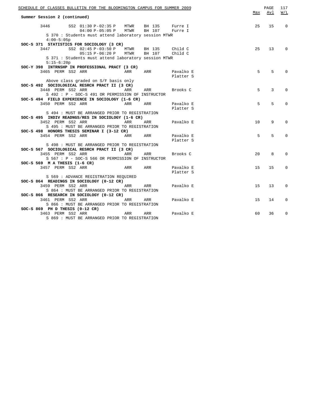| SCHEDULE OF CLASSES BULLETIN FOR THE BLOOMINGTON CAMPUS FOR SUMMER 2009                             |                            | Max | PAGE<br>Avl     | 117<br>W/L   |
|-----------------------------------------------------------------------------------------------------|----------------------------|-----|-----------------|--------------|
| Summer Session 2 (continued)                                                                        |                            |     |                 |              |
| 3446 SS2 01:30 P-02:35 P MTWR BH 135 Furre I                                                        |                            | 25  | 15              | $\Omega$     |
| 04:00 P-05:05 P MTWR BH 107 Furre I                                                                 |                            |     |                 |              |
| S 370 : Students must attend laboratory session MTWR                                                |                            |     |                 |              |
| $4:00-5:05p$                                                                                        |                            |     |                 |              |
| SOC-S 371 STATISTICS FOR SOCIOLOGY (3 CR)                                                           |                            |     |                 |              |
| 3447 SS2 02:45 P-03:50 P MTWR BH 135                                                                | Child C                    | 25  | 13              | $\Omega$     |
| 05:15 P-06:20 P MTWR BH 107 Child C                                                                 |                            |     |                 |              |
| S 371 : Students must attend laboratory session MTWR                                                |                            |     |                 |              |
| $5:15-6:20p$                                                                                        |                            |     |                 |              |
| SOC-Y 398 INTRNSHP IN PROFESSIONAL PRACT (3 CR)                                                     |                            |     |                 |              |
| 3465 PERM SS2 ARR<br>ARR                                                                            | ARR Pavalko E              | 5   | 5               | $\Omega$     |
|                                                                                                     | Platter S                  |     |                 |              |
| Above class graded on S/F basis only                                                                |                            |     |                 |              |
| SOC-S 492 SOCIOLOGICAL RESRCH PRACT II (3 CR)                                                       |                            |     |                 |              |
| 3448 PERM SS2 ARR<br>ARR                                                                            | ARR Brooks C               | 5   | 3               | $\Omega$     |
| S 492 : P - SOC-S 491 OR PERMISSION OF INSTRUCTOR                                                   |                            |     |                 |              |
| SOC-S 494 FIELD EXPERIENCE IN SOCIOLOGY (1-6 CR)                                                    |                            | 5   | 5               | $\Omega$     |
| <b>Example 2</b> ARR<br>3450 PERM SS2 ARR                                                           | ARR Pavalko E<br>Platter S |     |                 |              |
|                                                                                                     |                            |     |                 |              |
| S 494 : MUST BE ARRANGED PRIOR TO REGISTRATION<br>SOC-S 495 INDIV READNGS/RES IN SOCIOLOGY (1-6 CR) |                            |     |                 |              |
| 3452 PERM SS2 ARR<br>ARR                                                                            | ARR Pavalko E              | 10  | 9               | $\Omega$     |
| S 495 : MUST BE ARRANGED PRIOR TO REGISTRATION                                                      |                            |     |                 |              |
| SOC-S 498 HONORS THESIS SEMINAR I (3-12 CR)                                                         |                            |     |                 |              |
| 3454 PERM SS2 ARR ARR ARR ARR Pavalko E                                                             |                            | 5   | 5               | $\Omega$     |
|                                                                                                     | Platter S                  |     |                 |              |
| S 498 : MUST BE ARRANGED PRIOR TO REGISTRATION                                                      |                            |     |                 |              |
| SOC-S 567 SOCIOLOGICAL RESRCH PRACT II (3 CR)                                                       |                            |     |                 |              |
| 3455 PERM SS2 ARR<br><b>Example 28 ARR</b> ARR                                                      | Brooks C                   | 20  | 8               | $\Omega$     |
| S 567 : P - SOC-S 566 OR PERMISSION OF INSTRUCTOR                                                   |                            |     |                 |              |
| SOC-S 569 $M$ A THESIS (1-6 CR)                                                                     |                            |     |                 |              |
| ARR ARR Pavalko E<br>3457 PERM SS2 ARR                                                              |                            | 15  | 15              | 0            |
|                                                                                                     | Platter S                  |     |                 |              |
| S 569 : ADVANCE REGISTRATION REQUIRED                                                               |                            |     |                 |              |
| SOC-S 864 READINGS IN SOCIOLOGY (0-12 CR)                                                           |                            |     |                 |              |
| 3459 PERM SS2 ARR<br><b>Example 28 ARR</b>                                                          | ARR Pavalko E              | 1.5 | 13 <sup>°</sup> | $\Omega$     |
| S 864 : MUST BE ARRANGED PRIOR TO REGISTRATION                                                      |                            |     |                 |              |
| SOC-S 866 RESEARCH IN SOCIOLOGY (0-12 CR)                                                           |                            |     |                 |              |
| 3461 PERM SS2 ARR ARR ARR Pavalko E                                                                 |                            | 15  | 14              | $\mathbf{0}$ |
| S 866 : MUST BE ARRANGED PRIOR TO REGISTRATION                                                      |                            |     |                 |              |
| $SOC-S$ 869 PH D THESIS $(0-12 \text{ CR})$                                                         |                            |     |                 |              |
| <b>a</b><br>arr<br>3463 PERM SS2 ARR                                                                | ARR Pavalko E              | 60  | 36              | 0            |
| S 869 : MUST BE ARRANGED PRIOR TO REGISTRATION                                                      |                            |     |                 |              |
|                                                                                                     |                            |     |                 |              |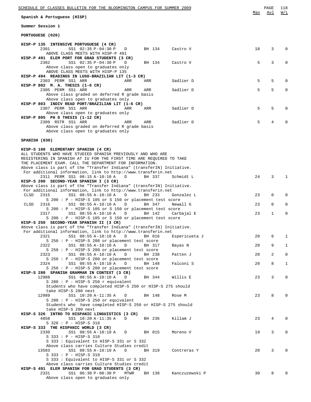| Spanish & Portuguese (HISP)<br>Summer Session 1<br>PORTUGUESE (020)<br>HISP-P 135 INTENSIVE PORTUGUESE (4 CR)<br>18<br>3<br>$\Omega$<br>2301<br>SS1 02:35 P-04:30 P<br>BH 134<br>Castro V<br>$\Box$<br>ABOVE CLASS MEETS WITH HISP-P 491<br>HISP-P 491 ELEM PORT FOR GRAD STUDENTS (3 CR)<br>5<br>3<br>2302<br>SS1 02:35 P-04:30 P<br>0<br>D<br>BH 134<br>Castro V<br>Above class open to graduates only<br>ABOVE CLASS MEETS WITH HISP-P 135<br>HISP-P 494 READINGS IN LUSO-BRAZILIAN LIT (1-3 CR)<br>5<br>5<br>2303 PERM SS1 ARR<br>Sadlier D<br>0<br>ARR<br>ARR<br>HISP-P 802 M. A. THESIS (1-6 CR)<br>5<br>5<br>2305 PERM SS1 ARR<br>Sadlier D<br>0<br>ARR<br>ARR<br>Above class graded on deferred R grade basis<br>Above class open to graduates only<br>HISP-P 803 INDIV READ PORT/BRAZILIAN LIT (1-6 CR)<br>5<br>5<br>2307 PERM SS1 ARR<br>$\mathbf 0$<br>ARR<br>ARR<br>Sadlier D<br>Above class open to graduates only<br>HISP-P 805 PH D THESIS (1-12 CR)<br>5<br>4<br>$\Omega$<br>2309 RSTR SS1 ARR<br>Sadlier D<br>ARR<br>ARR<br>Above class graded on deferred R grade basis<br>Above class open to graduates only<br>SPANISH (030)<br>HISP-S 100 ELEMENTARY SPANISH (4 CR)<br>ALL STUDENTS WHO HAVE STUDIED SPANISH PREVIOUSLY AND WHO ARE<br>REGISTERING IN SPANISH AT IU FOR THE FIRST TIME ARE REQUIRED TO TAKE<br>THE PLACEMENT EXAM. CALL THE DEPARTMENT FOR INFORMATION.<br>Above class is part of the "Transfer Indiana" (transferIN) Initiative.<br>For additional information, link to http://www.transferin.net<br>2311 PERM SS1 08:15 A-10:10 A<br>24<br>3<br>$\mathbf{1}$<br>D<br>BH 337<br>Schmidt L<br>HISP-S 200 SECOND-YEAR SPANISH I (3 CR)<br>Above class is part of the "Transfer Indiana" (transferIN) Initiative.<br>For additional information, link to http://www.transferin.net<br>SS1 08:55 A-10:10 A<br>23<br>0<br>0<br>CLSD<br>2315<br>D<br>BH 233<br>Gonzalez L<br>$S$ 200 : P - HISP-S 105 or S 150 or placement test score<br>0<br>0<br>CLSD<br>2316<br>SS1 08:55 A-10:10 A<br>D<br>BH 347<br>Newall G<br>23<br>S 200 : P - HISP-S 105 or S 150 or placement test score<br>$\mathbf{1}$<br>$\mathbf 0$<br>23<br>2317<br>SS1 08:55 A-10:10 A<br>D<br>BH 142<br>Carbajal E<br>S 200: P - HISP-S 105 or S 150 or placement test score<br>HISP-S 250 SECOND-YEAR SPANISH II (3 CR)<br>Above class is part of the "Transfer Indiana" (transferIN) Initiative.<br>For additional information, link to http://www.transferin.net<br>2321<br>SS1 08:55 A-10:10 A D<br>Espericueta J<br>20<br>6<br>BH 016<br>$\mathbf{1}$<br>S 250 : P - HISP-S 200 or placement test score<br>9<br>2322<br>SS1 08:55 A-10:10 A D<br>BH 317<br>Bayas N<br>20<br>$\mathbf{1}$<br>S 250 : P - HISP-S 200 or placement test score<br>$\overline{a}$<br>$\mathbf 0$<br>2323<br>SS1 08:55 A-10:10 A D<br>BH 238<br>Patten J<br>20<br>$S$ 250 : P - HISP-S 200 or placement test score<br>8<br>2324<br>SS1 08:55 A-10:10 A<br>$\Box$<br>BH 148<br>Falconi S<br>20<br>$\mathbf{1}$<br>$S$ 250 : P - HISP-S 200 or placement test score<br>HISP-S 280 SPANISH GRAMMAR IN CONTEXT (3 CR)<br>SS1 08:55 A-10:10 A<br>23<br>3<br>$\mathbf 0$<br>12988<br>BH 344<br>Willis E<br>D<br>S 280 : P - HISP-S 250 r equivalent<br>Students who have completed HISP-S 250 or HISP-S 275 should<br>take HISP-S 280 next<br>8<br>$\mathbf{0}$<br>12989<br>SS1 10:20 A-11:35 A<br>BH 148<br>23<br>$\Box$<br>Rose M<br>$S$ 280 : P - HISP-S 250 or equivalent<br>Students who have completed HISP-S 250 or HISP-S 275 should<br>take HISP-S 280 next<br>HISP-S 326 INTRO TO HISPANIC LINGUISTICS (3 CR)<br>4858<br>SS1 10:20 A-11:35 A D BH 236<br>Killam J<br>23<br>4<br>0<br>S 326 : P - HISP-S 310<br>HISP-S 333 THE HISPANIC WORLD (3 CR)<br>3<br>$\mathbf 0$<br>2330<br>SS1 08:55 A-10:10 A D BH 015<br>Moreno V<br>19<br>$S$ 333 : $P - HISP-S$ 310<br>S 333 : Equivalent to HISP-S 331 or S 332<br>Above class carries Culture Studies credit<br>20<br>3<br>$\mathbf 0$<br>13583<br>SS1 08:55 A-10:10 A<br>$\mathbf D$<br>BH 319<br>Contreras Y<br>S 333 : P - HISP-S 310<br>S 333 : Equivalent to HISP-S 331 or S 332 | SCHEDULE OF CLASSES BULLETIN FOR THE BLOOMINGTON CAMPUS FOR SUMMER 2009 |     | PAGE<br>Avl | 118<br>W/L |
|--------------------------------------------------------------------------------------------------------------------------------------------------------------------------------------------------------------------------------------------------------------------------------------------------------------------------------------------------------------------------------------------------------------------------------------------------------------------------------------------------------------------------------------------------------------------------------------------------------------------------------------------------------------------------------------------------------------------------------------------------------------------------------------------------------------------------------------------------------------------------------------------------------------------------------------------------------------------------------------------------------------------------------------------------------------------------------------------------------------------------------------------------------------------------------------------------------------------------------------------------------------------------------------------------------------------------------------------------------------------------------------------------------------------------------------------------------------------------------------------------------------------------------------------------------------------------------------------------------------------------------------------------------------------------------------------------------------------------------------------------------------------------------------------------------------------------------------------------------------------------------------------------------------------------------------------------------------------------------------------------------------------------------------------------------------------------------------------------------------------------------------------------------------------------------------------------------------------------------------------------------------------------------------------------------------------------------------------------------------------------------------------------------------------------------------------------------------------------------------------------------------------------------------------------------------------------------------------------------------------------------------------------------------------------------------------------------------------------------------------------------------------------------------------------------------------------------------------------------------------------------------------------------------------------------------------------------------------------------------------------------------------------------------------------------------------------------------------------------------------------------------------------------------------------------------------------------------------------------------------------------------------------------------------------------------------------------------------------------------------------------------------------------------------------------------------------------------------------------------------------------------------------------------------------------------------------------------------------------------------------------------------------------------------------------------------------------------------------------------------------------------------------------------------------------------------------------------------------------------------------------------------------------------------------------------------------------------------------------------------------------------------------------------------------------------------------------------------------------------------------|-------------------------------------------------------------------------|-----|-------------|------------|
|                                                                                                                                                                                                                                                                                                                                                                                                                                                                                                                                                                                                                                                                                                                                                                                                                                                                                                                                                                                                                                                                                                                                                                                                                                                                                                                                                                                                                                                                                                                                                                                                                                                                                                                                                                                                                                                                                                                                                                                                                                                                                                                                                                                                                                                                                                                                                                                                                                                                                                                                                                                                                                                                                                                                                                                                                                                                                                                                                                                                                                                                                                                                                                                                                                                                                                                                                                                                                                                                                                                                                                                                                                                                                                                                                                                                                                                                                                                                                                                                                                                                                                                          |                                                                         | Max |             |            |
|                                                                                                                                                                                                                                                                                                                                                                                                                                                                                                                                                                                                                                                                                                                                                                                                                                                                                                                                                                                                                                                                                                                                                                                                                                                                                                                                                                                                                                                                                                                                                                                                                                                                                                                                                                                                                                                                                                                                                                                                                                                                                                                                                                                                                                                                                                                                                                                                                                                                                                                                                                                                                                                                                                                                                                                                                                                                                                                                                                                                                                                                                                                                                                                                                                                                                                                                                                                                                                                                                                                                                                                                                                                                                                                                                                                                                                                                                                                                                                                                                                                                                                                          |                                                                         |     |             |            |
|                                                                                                                                                                                                                                                                                                                                                                                                                                                                                                                                                                                                                                                                                                                                                                                                                                                                                                                                                                                                                                                                                                                                                                                                                                                                                                                                                                                                                                                                                                                                                                                                                                                                                                                                                                                                                                                                                                                                                                                                                                                                                                                                                                                                                                                                                                                                                                                                                                                                                                                                                                                                                                                                                                                                                                                                                                                                                                                                                                                                                                                                                                                                                                                                                                                                                                                                                                                                                                                                                                                                                                                                                                                                                                                                                                                                                                                                                                                                                                                                                                                                                                                          |                                                                         |     |             |            |
|                                                                                                                                                                                                                                                                                                                                                                                                                                                                                                                                                                                                                                                                                                                                                                                                                                                                                                                                                                                                                                                                                                                                                                                                                                                                                                                                                                                                                                                                                                                                                                                                                                                                                                                                                                                                                                                                                                                                                                                                                                                                                                                                                                                                                                                                                                                                                                                                                                                                                                                                                                                                                                                                                                                                                                                                                                                                                                                                                                                                                                                                                                                                                                                                                                                                                                                                                                                                                                                                                                                                                                                                                                                                                                                                                                                                                                                                                                                                                                                                                                                                                                                          |                                                                         |     |             |            |
|                                                                                                                                                                                                                                                                                                                                                                                                                                                                                                                                                                                                                                                                                                                                                                                                                                                                                                                                                                                                                                                                                                                                                                                                                                                                                                                                                                                                                                                                                                                                                                                                                                                                                                                                                                                                                                                                                                                                                                                                                                                                                                                                                                                                                                                                                                                                                                                                                                                                                                                                                                                                                                                                                                                                                                                                                                                                                                                                                                                                                                                                                                                                                                                                                                                                                                                                                                                                                                                                                                                                                                                                                                                                                                                                                                                                                                                                                                                                                                                                                                                                                                                          |                                                                         |     |             |            |
|                                                                                                                                                                                                                                                                                                                                                                                                                                                                                                                                                                                                                                                                                                                                                                                                                                                                                                                                                                                                                                                                                                                                                                                                                                                                                                                                                                                                                                                                                                                                                                                                                                                                                                                                                                                                                                                                                                                                                                                                                                                                                                                                                                                                                                                                                                                                                                                                                                                                                                                                                                                                                                                                                                                                                                                                                                                                                                                                                                                                                                                                                                                                                                                                                                                                                                                                                                                                                                                                                                                                                                                                                                                                                                                                                                                                                                                                                                                                                                                                                                                                                                                          |                                                                         |     |             |            |
|                                                                                                                                                                                                                                                                                                                                                                                                                                                                                                                                                                                                                                                                                                                                                                                                                                                                                                                                                                                                                                                                                                                                                                                                                                                                                                                                                                                                                                                                                                                                                                                                                                                                                                                                                                                                                                                                                                                                                                                                                                                                                                                                                                                                                                                                                                                                                                                                                                                                                                                                                                                                                                                                                                                                                                                                                                                                                                                                                                                                                                                                                                                                                                                                                                                                                                                                                                                                                                                                                                                                                                                                                                                                                                                                                                                                                                                                                                                                                                                                                                                                                                                          |                                                                         |     |             |            |
|                                                                                                                                                                                                                                                                                                                                                                                                                                                                                                                                                                                                                                                                                                                                                                                                                                                                                                                                                                                                                                                                                                                                                                                                                                                                                                                                                                                                                                                                                                                                                                                                                                                                                                                                                                                                                                                                                                                                                                                                                                                                                                                                                                                                                                                                                                                                                                                                                                                                                                                                                                                                                                                                                                                                                                                                                                                                                                                                                                                                                                                                                                                                                                                                                                                                                                                                                                                                                                                                                                                                                                                                                                                                                                                                                                                                                                                                                                                                                                                                                                                                                                                          |                                                                         |     |             |            |
|                                                                                                                                                                                                                                                                                                                                                                                                                                                                                                                                                                                                                                                                                                                                                                                                                                                                                                                                                                                                                                                                                                                                                                                                                                                                                                                                                                                                                                                                                                                                                                                                                                                                                                                                                                                                                                                                                                                                                                                                                                                                                                                                                                                                                                                                                                                                                                                                                                                                                                                                                                                                                                                                                                                                                                                                                                                                                                                                                                                                                                                                                                                                                                                                                                                                                                                                                                                                                                                                                                                                                                                                                                                                                                                                                                                                                                                                                                                                                                                                                                                                                                                          |                                                                         |     |             |            |
|                                                                                                                                                                                                                                                                                                                                                                                                                                                                                                                                                                                                                                                                                                                                                                                                                                                                                                                                                                                                                                                                                                                                                                                                                                                                                                                                                                                                                                                                                                                                                                                                                                                                                                                                                                                                                                                                                                                                                                                                                                                                                                                                                                                                                                                                                                                                                                                                                                                                                                                                                                                                                                                                                                                                                                                                                                                                                                                                                                                                                                                                                                                                                                                                                                                                                                                                                                                                                                                                                                                                                                                                                                                                                                                                                                                                                                                                                                                                                                                                                                                                                                                          |                                                                         |     |             |            |
|                                                                                                                                                                                                                                                                                                                                                                                                                                                                                                                                                                                                                                                                                                                                                                                                                                                                                                                                                                                                                                                                                                                                                                                                                                                                                                                                                                                                                                                                                                                                                                                                                                                                                                                                                                                                                                                                                                                                                                                                                                                                                                                                                                                                                                                                                                                                                                                                                                                                                                                                                                                                                                                                                                                                                                                                                                                                                                                                                                                                                                                                                                                                                                                                                                                                                                                                                                                                                                                                                                                                                                                                                                                                                                                                                                                                                                                                                                                                                                                                                                                                                                                          |                                                                         |     |             |            |
|                                                                                                                                                                                                                                                                                                                                                                                                                                                                                                                                                                                                                                                                                                                                                                                                                                                                                                                                                                                                                                                                                                                                                                                                                                                                                                                                                                                                                                                                                                                                                                                                                                                                                                                                                                                                                                                                                                                                                                                                                                                                                                                                                                                                                                                                                                                                                                                                                                                                                                                                                                                                                                                                                                                                                                                                                                                                                                                                                                                                                                                                                                                                                                                                                                                                                                                                                                                                                                                                                                                                                                                                                                                                                                                                                                                                                                                                                                                                                                                                                                                                                                                          |                                                                         |     |             |            |
|                                                                                                                                                                                                                                                                                                                                                                                                                                                                                                                                                                                                                                                                                                                                                                                                                                                                                                                                                                                                                                                                                                                                                                                                                                                                                                                                                                                                                                                                                                                                                                                                                                                                                                                                                                                                                                                                                                                                                                                                                                                                                                                                                                                                                                                                                                                                                                                                                                                                                                                                                                                                                                                                                                                                                                                                                                                                                                                                                                                                                                                                                                                                                                                                                                                                                                                                                                                                                                                                                                                                                                                                                                                                                                                                                                                                                                                                                                                                                                                                                                                                                                                          |                                                                         |     |             |            |
|                                                                                                                                                                                                                                                                                                                                                                                                                                                                                                                                                                                                                                                                                                                                                                                                                                                                                                                                                                                                                                                                                                                                                                                                                                                                                                                                                                                                                                                                                                                                                                                                                                                                                                                                                                                                                                                                                                                                                                                                                                                                                                                                                                                                                                                                                                                                                                                                                                                                                                                                                                                                                                                                                                                                                                                                                                                                                                                                                                                                                                                                                                                                                                                                                                                                                                                                                                                                                                                                                                                                                                                                                                                                                                                                                                                                                                                                                                                                                                                                                                                                                                                          |                                                                         |     |             |            |
|                                                                                                                                                                                                                                                                                                                                                                                                                                                                                                                                                                                                                                                                                                                                                                                                                                                                                                                                                                                                                                                                                                                                                                                                                                                                                                                                                                                                                                                                                                                                                                                                                                                                                                                                                                                                                                                                                                                                                                                                                                                                                                                                                                                                                                                                                                                                                                                                                                                                                                                                                                                                                                                                                                                                                                                                                                                                                                                                                                                                                                                                                                                                                                                                                                                                                                                                                                                                                                                                                                                                                                                                                                                                                                                                                                                                                                                                                                                                                                                                                                                                                                                          |                                                                         |     |             |            |
|                                                                                                                                                                                                                                                                                                                                                                                                                                                                                                                                                                                                                                                                                                                                                                                                                                                                                                                                                                                                                                                                                                                                                                                                                                                                                                                                                                                                                                                                                                                                                                                                                                                                                                                                                                                                                                                                                                                                                                                                                                                                                                                                                                                                                                                                                                                                                                                                                                                                                                                                                                                                                                                                                                                                                                                                                                                                                                                                                                                                                                                                                                                                                                                                                                                                                                                                                                                                                                                                                                                                                                                                                                                                                                                                                                                                                                                                                                                                                                                                                                                                                                                          |                                                                         |     |             |            |
|                                                                                                                                                                                                                                                                                                                                                                                                                                                                                                                                                                                                                                                                                                                                                                                                                                                                                                                                                                                                                                                                                                                                                                                                                                                                                                                                                                                                                                                                                                                                                                                                                                                                                                                                                                                                                                                                                                                                                                                                                                                                                                                                                                                                                                                                                                                                                                                                                                                                                                                                                                                                                                                                                                                                                                                                                                                                                                                                                                                                                                                                                                                                                                                                                                                                                                                                                                                                                                                                                                                                                                                                                                                                                                                                                                                                                                                                                                                                                                                                                                                                                                                          |                                                                         |     |             |            |
|                                                                                                                                                                                                                                                                                                                                                                                                                                                                                                                                                                                                                                                                                                                                                                                                                                                                                                                                                                                                                                                                                                                                                                                                                                                                                                                                                                                                                                                                                                                                                                                                                                                                                                                                                                                                                                                                                                                                                                                                                                                                                                                                                                                                                                                                                                                                                                                                                                                                                                                                                                                                                                                                                                                                                                                                                                                                                                                                                                                                                                                                                                                                                                                                                                                                                                                                                                                                                                                                                                                                                                                                                                                                                                                                                                                                                                                                                                                                                                                                                                                                                                                          |                                                                         |     |             |            |
|                                                                                                                                                                                                                                                                                                                                                                                                                                                                                                                                                                                                                                                                                                                                                                                                                                                                                                                                                                                                                                                                                                                                                                                                                                                                                                                                                                                                                                                                                                                                                                                                                                                                                                                                                                                                                                                                                                                                                                                                                                                                                                                                                                                                                                                                                                                                                                                                                                                                                                                                                                                                                                                                                                                                                                                                                                                                                                                                                                                                                                                                                                                                                                                                                                                                                                                                                                                                                                                                                                                                                                                                                                                                                                                                                                                                                                                                                                                                                                                                                                                                                                                          |                                                                         |     |             |            |
|                                                                                                                                                                                                                                                                                                                                                                                                                                                                                                                                                                                                                                                                                                                                                                                                                                                                                                                                                                                                                                                                                                                                                                                                                                                                                                                                                                                                                                                                                                                                                                                                                                                                                                                                                                                                                                                                                                                                                                                                                                                                                                                                                                                                                                                                                                                                                                                                                                                                                                                                                                                                                                                                                                                                                                                                                                                                                                                                                                                                                                                                                                                                                                                                                                                                                                                                                                                                                                                                                                                                                                                                                                                                                                                                                                                                                                                                                                                                                                                                                                                                                                                          |                                                                         |     |             |            |
|                                                                                                                                                                                                                                                                                                                                                                                                                                                                                                                                                                                                                                                                                                                                                                                                                                                                                                                                                                                                                                                                                                                                                                                                                                                                                                                                                                                                                                                                                                                                                                                                                                                                                                                                                                                                                                                                                                                                                                                                                                                                                                                                                                                                                                                                                                                                                                                                                                                                                                                                                                                                                                                                                                                                                                                                                                                                                                                                                                                                                                                                                                                                                                                                                                                                                                                                                                                                                                                                                                                                                                                                                                                                                                                                                                                                                                                                                                                                                                                                                                                                                                                          |                                                                         |     |             |            |
|                                                                                                                                                                                                                                                                                                                                                                                                                                                                                                                                                                                                                                                                                                                                                                                                                                                                                                                                                                                                                                                                                                                                                                                                                                                                                                                                                                                                                                                                                                                                                                                                                                                                                                                                                                                                                                                                                                                                                                                                                                                                                                                                                                                                                                                                                                                                                                                                                                                                                                                                                                                                                                                                                                                                                                                                                                                                                                                                                                                                                                                                                                                                                                                                                                                                                                                                                                                                                                                                                                                                                                                                                                                                                                                                                                                                                                                                                                                                                                                                                                                                                                                          |                                                                         |     |             |            |
|                                                                                                                                                                                                                                                                                                                                                                                                                                                                                                                                                                                                                                                                                                                                                                                                                                                                                                                                                                                                                                                                                                                                                                                                                                                                                                                                                                                                                                                                                                                                                                                                                                                                                                                                                                                                                                                                                                                                                                                                                                                                                                                                                                                                                                                                                                                                                                                                                                                                                                                                                                                                                                                                                                                                                                                                                                                                                                                                                                                                                                                                                                                                                                                                                                                                                                                                                                                                                                                                                                                                                                                                                                                                                                                                                                                                                                                                                                                                                                                                                                                                                                                          |                                                                         |     |             |            |
|                                                                                                                                                                                                                                                                                                                                                                                                                                                                                                                                                                                                                                                                                                                                                                                                                                                                                                                                                                                                                                                                                                                                                                                                                                                                                                                                                                                                                                                                                                                                                                                                                                                                                                                                                                                                                                                                                                                                                                                                                                                                                                                                                                                                                                                                                                                                                                                                                                                                                                                                                                                                                                                                                                                                                                                                                                                                                                                                                                                                                                                                                                                                                                                                                                                                                                                                                                                                                                                                                                                                                                                                                                                                                                                                                                                                                                                                                                                                                                                                                                                                                                                          |                                                                         |     |             |            |
|                                                                                                                                                                                                                                                                                                                                                                                                                                                                                                                                                                                                                                                                                                                                                                                                                                                                                                                                                                                                                                                                                                                                                                                                                                                                                                                                                                                                                                                                                                                                                                                                                                                                                                                                                                                                                                                                                                                                                                                                                                                                                                                                                                                                                                                                                                                                                                                                                                                                                                                                                                                                                                                                                                                                                                                                                                                                                                                                                                                                                                                                                                                                                                                                                                                                                                                                                                                                                                                                                                                                                                                                                                                                                                                                                                                                                                                                                                                                                                                                                                                                                                                          |                                                                         |     |             |            |
|                                                                                                                                                                                                                                                                                                                                                                                                                                                                                                                                                                                                                                                                                                                                                                                                                                                                                                                                                                                                                                                                                                                                                                                                                                                                                                                                                                                                                                                                                                                                                                                                                                                                                                                                                                                                                                                                                                                                                                                                                                                                                                                                                                                                                                                                                                                                                                                                                                                                                                                                                                                                                                                                                                                                                                                                                                                                                                                                                                                                                                                                                                                                                                                                                                                                                                                                                                                                                                                                                                                                                                                                                                                                                                                                                                                                                                                                                                                                                                                                                                                                                                                          |                                                                         |     |             |            |
|                                                                                                                                                                                                                                                                                                                                                                                                                                                                                                                                                                                                                                                                                                                                                                                                                                                                                                                                                                                                                                                                                                                                                                                                                                                                                                                                                                                                                                                                                                                                                                                                                                                                                                                                                                                                                                                                                                                                                                                                                                                                                                                                                                                                                                                                                                                                                                                                                                                                                                                                                                                                                                                                                                                                                                                                                                                                                                                                                                                                                                                                                                                                                                                                                                                                                                                                                                                                                                                                                                                                                                                                                                                                                                                                                                                                                                                                                                                                                                                                                                                                                                                          |                                                                         |     |             |            |
|                                                                                                                                                                                                                                                                                                                                                                                                                                                                                                                                                                                                                                                                                                                                                                                                                                                                                                                                                                                                                                                                                                                                                                                                                                                                                                                                                                                                                                                                                                                                                                                                                                                                                                                                                                                                                                                                                                                                                                                                                                                                                                                                                                                                                                                                                                                                                                                                                                                                                                                                                                                                                                                                                                                                                                                                                                                                                                                                                                                                                                                                                                                                                                                                                                                                                                                                                                                                                                                                                                                                                                                                                                                                                                                                                                                                                                                                                                                                                                                                                                                                                                                          |                                                                         |     |             |            |
|                                                                                                                                                                                                                                                                                                                                                                                                                                                                                                                                                                                                                                                                                                                                                                                                                                                                                                                                                                                                                                                                                                                                                                                                                                                                                                                                                                                                                                                                                                                                                                                                                                                                                                                                                                                                                                                                                                                                                                                                                                                                                                                                                                                                                                                                                                                                                                                                                                                                                                                                                                                                                                                                                                                                                                                                                                                                                                                                                                                                                                                                                                                                                                                                                                                                                                                                                                                                                                                                                                                                                                                                                                                                                                                                                                                                                                                                                                                                                                                                                                                                                                                          |                                                                         |     |             |            |
|                                                                                                                                                                                                                                                                                                                                                                                                                                                                                                                                                                                                                                                                                                                                                                                                                                                                                                                                                                                                                                                                                                                                                                                                                                                                                                                                                                                                                                                                                                                                                                                                                                                                                                                                                                                                                                                                                                                                                                                                                                                                                                                                                                                                                                                                                                                                                                                                                                                                                                                                                                                                                                                                                                                                                                                                                                                                                                                                                                                                                                                                                                                                                                                                                                                                                                                                                                                                                                                                                                                                                                                                                                                                                                                                                                                                                                                                                                                                                                                                                                                                                                                          |                                                                         |     |             |            |
|                                                                                                                                                                                                                                                                                                                                                                                                                                                                                                                                                                                                                                                                                                                                                                                                                                                                                                                                                                                                                                                                                                                                                                                                                                                                                                                                                                                                                                                                                                                                                                                                                                                                                                                                                                                                                                                                                                                                                                                                                                                                                                                                                                                                                                                                                                                                                                                                                                                                                                                                                                                                                                                                                                                                                                                                                                                                                                                                                                                                                                                                                                                                                                                                                                                                                                                                                                                                                                                                                                                                                                                                                                                                                                                                                                                                                                                                                                                                                                                                                                                                                                                          |                                                                         |     |             |            |
|                                                                                                                                                                                                                                                                                                                                                                                                                                                                                                                                                                                                                                                                                                                                                                                                                                                                                                                                                                                                                                                                                                                                                                                                                                                                                                                                                                                                                                                                                                                                                                                                                                                                                                                                                                                                                                                                                                                                                                                                                                                                                                                                                                                                                                                                                                                                                                                                                                                                                                                                                                                                                                                                                                                                                                                                                                                                                                                                                                                                                                                                                                                                                                                                                                                                                                                                                                                                                                                                                                                                                                                                                                                                                                                                                                                                                                                                                                                                                                                                                                                                                                                          |                                                                         |     |             |            |
|                                                                                                                                                                                                                                                                                                                                                                                                                                                                                                                                                                                                                                                                                                                                                                                                                                                                                                                                                                                                                                                                                                                                                                                                                                                                                                                                                                                                                                                                                                                                                                                                                                                                                                                                                                                                                                                                                                                                                                                                                                                                                                                                                                                                                                                                                                                                                                                                                                                                                                                                                                                                                                                                                                                                                                                                                                                                                                                                                                                                                                                                                                                                                                                                                                                                                                                                                                                                                                                                                                                                                                                                                                                                                                                                                                                                                                                                                                                                                                                                                                                                                                                          |                                                                         |     |             |            |
|                                                                                                                                                                                                                                                                                                                                                                                                                                                                                                                                                                                                                                                                                                                                                                                                                                                                                                                                                                                                                                                                                                                                                                                                                                                                                                                                                                                                                                                                                                                                                                                                                                                                                                                                                                                                                                                                                                                                                                                                                                                                                                                                                                                                                                                                                                                                                                                                                                                                                                                                                                                                                                                                                                                                                                                                                                                                                                                                                                                                                                                                                                                                                                                                                                                                                                                                                                                                                                                                                                                                                                                                                                                                                                                                                                                                                                                                                                                                                                                                                                                                                                                          |                                                                         |     |             |            |
|                                                                                                                                                                                                                                                                                                                                                                                                                                                                                                                                                                                                                                                                                                                                                                                                                                                                                                                                                                                                                                                                                                                                                                                                                                                                                                                                                                                                                                                                                                                                                                                                                                                                                                                                                                                                                                                                                                                                                                                                                                                                                                                                                                                                                                                                                                                                                                                                                                                                                                                                                                                                                                                                                                                                                                                                                                                                                                                                                                                                                                                                                                                                                                                                                                                                                                                                                                                                                                                                                                                                                                                                                                                                                                                                                                                                                                                                                                                                                                                                                                                                                                                          |                                                                         |     |             |            |
|                                                                                                                                                                                                                                                                                                                                                                                                                                                                                                                                                                                                                                                                                                                                                                                                                                                                                                                                                                                                                                                                                                                                                                                                                                                                                                                                                                                                                                                                                                                                                                                                                                                                                                                                                                                                                                                                                                                                                                                                                                                                                                                                                                                                                                                                                                                                                                                                                                                                                                                                                                                                                                                                                                                                                                                                                                                                                                                                                                                                                                                                                                                                                                                                                                                                                                                                                                                                                                                                                                                                                                                                                                                                                                                                                                                                                                                                                                                                                                                                                                                                                                                          |                                                                         |     |             |            |
|                                                                                                                                                                                                                                                                                                                                                                                                                                                                                                                                                                                                                                                                                                                                                                                                                                                                                                                                                                                                                                                                                                                                                                                                                                                                                                                                                                                                                                                                                                                                                                                                                                                                                                                                                                                                                                                                                                                                                                                                                                                                                                                                                                                                                                                                                                                                                                                                                                                                                                                                                                                                                                                                                                                                                                                                                                                                                                                                                                                                                                                                                                                                                                                                                                                                                                                                                                                                                                                                                                                                                                                                                                                                                                                                                                                                                                                                                                                                                                                                                                                                                                                          |                                                                         |     |             |            |
|                                                                                                                                                                                                                                                                                                                                                                                                                                                                                                                                                                                                                                                                                                                                                                                                                                                                                                                                                                                                                                                                                                                                                                                                                                                                                                                                                                                                                                                                                                                                                                                                                                                                                                                                                                                                                                                                                                                                                                                                                                                                                                                                                                                                                                                                                                                                                                                                                                                                                                                                                                                                                                                                                                                                                                                                                                                                                                                                                                                                                                                                                                                                                                                                                                                                                                                                                                                                                                                                                                                                                                                                                                                                                                                                                                                                                                                                                                                                                                                                                                                                                                                          |                                                                         |     |             |            |
|                                                                                                                                                                                                                                                                                                                                                                                                                                                                                                                                                                                                                                                                                                                                                                                                                                                                                                                                                                                                                                                                                                                                                                                                                                                                                                                                                                                                                                                                                                                                                                                                                                                                                                                                                                                                                                                                                                                                                                                                                                                                                                                                                                                                                                                                                                                                                                                                                                                                                                                                                                                                                                                                                                                                                                                                                                                                                                                                                                                                                                                                                                                                                                                                                                                                                                                                                                                                                                                                                                                                                                                                                                                                                                                                                                                                                                                                                                                                                                                                                                                                                                                          |                                                                         |     |             |            |
|                                                                                                                                                                                                                                                                                                                                                                                                                                                                                                                                                                                                                                                                                                                                                                                                                                                                                                                                                                                                                                                                                                                                                                                                                                                                                                                                                                                                                                                                                                                                                                                                                                                                                                                                                                                                                                                                                                                                                                                                                                                                                                                                                                                                                                                                                                                                                                                                                                                                                                                                                                                                                                                                                                                                                                                                                                                                                                                                                                                                                                                                                                                                                                                                                                                                                                                                                                                                                                                                                                                                                                                                                                                                                                                                                                                                                                                                                                                                                                                                                                                                                                                          |                                                                         |     |             |            |
|                                                                                                                                                                                                                                                                                                                                                                                                                                                                                                                                                                                                                                                                                                                                                                                                                                                                                                                                                                                                                                                                                                                                                                                                                                                                                                                                                                                                                                                                                                                                                                                                                                                                                                                                                                                                                                                                                                                                                                                                                                                                                                                                                                                                                                                                                                                                                                                                                                                                                                                                                                                                                                                                                                                                                                                                                                                                                                                                                                                                                                                                                                                                                                                                                                                                                                                                                                                                                                                                                                                                                                                                                                                                                                                                                                                                                                                                                                                                                                                                                                                                                                                          |                                                                         |     |             |            |
|                                                                                                                                                                                                                                                                                                                                                                                                                                                                                                                                                                                                                                                                                                                                                                                                                                                                                                                                                                                                                                                                                                                                                                                                                                                                                                                                                                                                                                                                                                                                                                                                                                                                                                                                                                                                                                                                                                                                                                                                                                                                                                                                                                                                                                                                                                                                                                                                                                                                                                                                                                                                                                                                                                                                                                                                                                                                                                                                                                                                                                                                                                                                                                                                                                                                                                                                                                                                                                                                                                                                                                                                                                                                                                                                                                                                                                                                                                                                                                                                                                                                                                                          |                                                                         |     |             |            |
|                                                                                                                                                                                                                                                                                                                                                                                                                                                                                                                                                                                                                                                                                                                                                                                                                                                                                                                                                                                                                                                                                                                                                                                                                                                                                                                                                                                                                                                                                                                                                                                                                                                                                                                                                                                                                                                                                                                                                                                                                                                                                                                                                                                                                                                                                                                                                                                                                                                                                                                                                                                                                                                                                                                                                                                                                                                                                                                                                                                                                                                                                                                                                                                                                                                                                                                                                                                                                                                                                                                                                                                                                                                                                                                                                                                                                                                                                                                                                                                                                                                                                                                          |                                                                         |     |             |            |
| HISP-S 491 ELEM SPANISH FOR GRAD STUDENTS (3 CR)                                                                                                                                                                                                                                                                                                                                                                                                                                                                                                                                                                                                                                                                                                                                                                                                                                                                                                                                                                                                                                                                                                                                                                                                                                                                                                                                                                                                                                                                                                                                                                                                                                                                                                                                                                                                                                                                                                                                                                                                                                                                                                                                                                                                                                                                                                                                                                                                                                                                                                                                                                                                                                                                                                                                                                                                                                                                                                                                                                                                                                                                                                                                                                                                                                                                                                                                                                                                                                                                                                                                                                                                                                                                                                                                                                                                                                                                                                                                                                                                                                                                         | Above class carries Culture Studies credit                              |     |             |            |
| 8<br>$\mathbf 0$<br>2331<br>SS1 06:30 P-08:30 P MTWR<br>BH 138<br>Kanczuzewski P<br>30<br>Above class open to graduates only                                                                                                                                                                                                                                                                                                                                                                                                                                                                                                                                                                                                                                                                                                                                                                                                                                                                                                                                                                                                                                                                                                                                                                                                                                                                                                                                                                                                                                                                                                                                                                                                                                                                                                                                                                                                                                                                                                                                                                                                                                                                                                                                                                                                                                                                                                                                                                                                                                                                                                                                                                                                                                                                                                                                                                                                                                                                                                                                                                                                                                                                                                                                                                                                                                                                                                                                                                                                                                                                                                                                                                                                                                                                                                                                                                                                                                                                                                                                                                                             |                                                                         |     |             |            |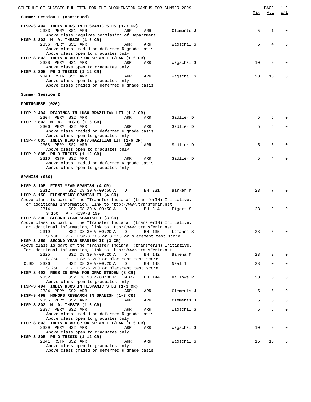| <u>SCHEDULE OF CLASSES BULLETIN FOR THE BLOOMINGTON CAMPUS FOR SUMMER 2009</u>                                                                                                                                   |     | PAGE | 119                             |
|------------------------------------------------------------------------------------------------------------------------------------------------------------------------------------------------------------------|-----|------|---------------------------------|
| Summer Session 1 (continued)                                                                                                                                                                                     | Max | Avl  | $\overline{M}$ / $\overline{L}$ |
| HISP-S 494 INDIV RDGS IN HISPANIC STDS (1-3 CR)<br>2333 PERM SS1 ARR<br>ARR<br>ARR<br>Clements J<br>Above class requires permission of Department                                                                | 5   | 1    | 0                               |
| HISP-S 802 M. A. THESIS (1-6 CR)<br>2336 PERM SS1 ARR<br>ARR<br>ARR<br>Wagschal S<br>Above class graded on deferred R grade basis<br>Above class open to graduates only                                          | 5   | 4    | $\Omega$                        |
| HISP-S 803 INDIV READ SP OR SP AM LIT/LAN (1-6 CR)<br>2338 PERM SS1 ARR<br>ARR<br>ARR<br>Wagschal S<br>Above class open to graduates only                                                                        | 10  | 9    | 0                               |
| HISP-S 805 PH D THESIS (1-12 CR)<br>2340 RSTR SS1 ARR<br>ARR<br>ARR<br>Wagschal S<br>Above class open to graduates only<br>Above class graded on deferred R grade basis                                          | 20  | 15   | 0                               |
| Summer Session 2                                                                                                                                                                                                 |     |      |                                 |
| PORTUGUESE (020)                                                                                                                                                                                                 |     |      |                                 |
| HISP-P 494 READINGS IN LUSO-BRAZILIAN LIT (1-3 CR)<br>Sadlier D<br>2304 PERM SS2 ARR<br>ARR<br>ARR<br>HISP-P 802 M. A. THESIS (1-6 CR)                                                                           | 5   | 5    | $\Omega$                        |
| 2306 PERM SS2 ARR<br>Sadlier D<br>ARR<br>ARR<br>Above class graded on deferred R grade basis<br>Above class open to graduates only                                                                               | 5   | 5    | $\mathbf 0$                     |
| HISP-P 803 INDIV READ PORT/BRAZILIAN LIT (1-6 CR)<br>2308 PERM SS2 ARR<br>Sadlier D<br>ARR<br>ARR<br>Above class open to graduates only                                                                          | 5   | 5    | $\Omega$                        |
| HISP-P 805 PH D THESIS (1-12 CR)<br>2310 RSTR SS2 ARR<br>Sadlier D<br>ARR<br>ARR<br>Above class graded on deferred R grade basis<br>Above class open to graduates only                                           | 5   | 4    | $\Omega$                        |
| SPANISH (030)                                                                                                                                                                                                    |     |      |                                 |
| HISP-S 105 FIRST YEAR SPANISH (4 CR)<br>2312<br>SS2 08:30 A-09:50 A<br>BH 331<br>Barker M<br>D<br>HISP-S 150 ELEMENTARY SPANISH II (4 CR)                                                                        | 23  | 7    | $\Omega$                        |
| Above class is part of the "Transfer Indiana" (transferIN) Initiative.<br>For additional information, link to http://www.transferin.net<br>SS2 08:30 A-09:50 A<br>2314<br>D<br>BH 314<br>Figert S                | 23  | 9    | $\Omega$                        |
| $S$ 150 : $P - HISP-S$ 100<br>HISP-S 200 SECOND-YEAR SPANISH I (3 CR)<br>Above class is part of the "Transfer Indiana" (transferIN) Initiative.<br>For additional information, link to http://www.transferin.net |     |      |                                 |
| 2319<br>SS2 08:30 A-09:20 A<br>D<br>BH 135<br>Lamanna S<br>S 200 : P - HISP-S 105 or S 150 or placement test score                                                                                               | 23  | 5    | 0                               |
| HISP-S 250 SECOND-YEAR SPANISH II (3 CR)<br>Above class is part of the "Transfer Indiana" (transferIN) Initiative.<br>For additional information, link to http://www.transferin.net                              |     |      |                                 |
| SS2 08:30 A-09:20 A<br>2325<br>D<br>BH 142<br>Bahena M<br>S 250 : P - HISP-S 200 or placement test score                                                                                                         | 23  | 2    | $\mathbf 0$                     |
| SS2 08:30 A-09:20 A<br>CLSD<br>2326<br>D<br>BH 148<br>Neal T<br>S 250: P - HISP-S 200 or placement test score                                                                                                    | 23  | 0    | 0                               |
| HISP-S 492 RDGS IN SPAN FOR GRAD STUDEN (3 CR)<br>2332<br>SS2 06:30 P-08:00 P<br>Hallows R<br>MTWR<br>BH 144<br>Above class open to graduates only<br>HISP-S 494 INDIV RDGS IN HISPANIC STDS (1-3 CR)            | 30  | 6    | 0                               |
| 2334 PERM SS2 ARR<br>Clements J<br>ARR<br>ARR<br>HISP-S 499 HONORS RESEARCH IN SPANISH (1-3 CR)                                                                                                                  | 5   | 5    | $\mathbf 0$                     |
| 2335 PERM SS2 ARR<br>Clements J<br>ARR<br>ARR<br>HISP-S 802 M. A. THESIS (1-6 CR)                                                                                                                                | 5   | 5    | 0                               |
| 2337 PERM SS2 ARR<br>ARR<br>Wagschal S<br>ARR<br>Above class graded on deferred R grade basis<br>Above class open to graduates only                                                                              | 5   | 5    | $\mathsf 0$                     |
| HISP-S 803 INDIV READ SP OR SP AM LIT/LAN (1-6 CR)<br>2339 PERM SS2 ARR<br>Wagschal S<br>ARR<br>ARR<br>Above class open to graduates only<br>HISP-S 805 PH D THESIS (1-12 CR)                                    | 10  | 9    | $\mathbf 0$                     |
| 2341 RSTR SS2 ARR<br>Wagschal S<br>ARR<br>ARR<br>Above class open to graduates only<br>Above class graded on deferred R grade basis                                                                              | 15  | 10   | 0                               |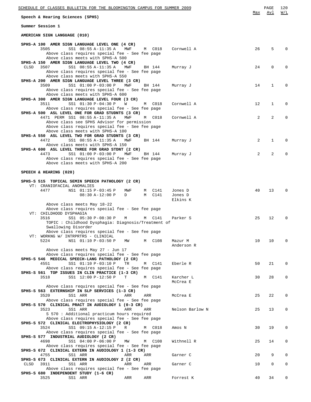| SCHEDULE OF CLASSES BULLETIN FOR THE BLOOMINGTON CAMPUS FOR SUMMER 2009 | PAGE | 120<br>$\sim$ |
|-------------------------------------------------------------------------|------|---------------|
|-------------------------------------------------------------------------|------|---------------|

**Speech & Hearing Sciences (SPHS)**

**Summer Session 1**

**AMERICAN SIGN LANGUAGE (010)**

| SPHS-A 100 AMER SIGN LANGUAGE LEVEL ONE (4 CR)                                                        |           |                     |    |             |             |
|-------------------------------------------------------------------------------------------------------|-----------|---------------------|----|-------------|-------------|
| 3505<br>SS1 08:55 A-11:35 A<br>MWF<br>Above class requires special fee - See fee page                 | M C018    | Cornwell A          | 26 | 5           | $\mathbf 0$ |
| Above class meets with SPHS-A 500                                                                     |           |                     |    |             |             |
| SPHS-A 150 AMER SIGN LANGUAGE LEVEL TWO (4 CR)                                                        |           |                     |    |             |             |
| 3507<br>SS1 08:55 A-11:35 A<br>CLSD<br>MWF<br>Above class requires special fee - See fee page         | BH 144    | Murray J            | 24 | 0           | $\mathbf 0$ |
| Above class meets with SPHS-A 550                                                                     |           |                     |    |             |             |
| SPHS-A 200 AMER SIGN LANGUAGE LEVEL THREE (3 CR)                                                      |           |                     |    |             |             |
| 3509<br>SS1 01:00 P-03:00 P<br>MWF<br>Above class requires special fee - See fee page                 | BH 144    | Murray J            | 14 | 1           | $\mathbf 0$ |
| Above class meets with SPHS-A 600                                                                     |           |                     |    |             |             |
| SPHS-A 300 AMER SIGN LANGUAGE LEVEL FOUR (3 CR)                                                       |           |                     |    |             |             |
| 3511<br>SS1 01:30 P-04:30 P<br>W<br>Above class requires special fee - See fee page                   | M C018    | Cornwell A          | 12 | $\mathbf 1$ | 0           |
| SPHS-A 500 ASL LEVEL ONE FOR GRAD STUDNTS (3 CR)                                                      |           |                     |    |             |             |
| 4471 PERM SS1 08:55 A-11:35 A<br>MWF                                                                  | M C018    | Cornwell A          | 2  | 2           | $\mathbf 0$ |
| Above class see SPHS Advisor for permission<br>Above class requires special fee - See fee page        |           |                     |    |             |             |
| Above class meets with SPHS-A 100                                                                     |           |                     |    |             |             |
| SPHS-A 550 ASL LEVEL TWO FOR GRAD STUDNTS (3 CR)                                                      |           |                     |    |             |             |
| 4472<br>SS1 08:55 A-11:35 A<br>MWF<br>Above class meets with SPHS-A 150                               | BH 144    | Murray J            | 2  | $\mathbf 1$ | $\mathbf 0$ |
| SPHS-A 600 ASL LEVEL THREE FOR GRAD STDNT (2 CR)                                                      |           |                     |    |             |             |
| SS1 01:00 P-03:00 P<br>4473<br>MWF                                                                    | BH 144    | Murray J            | 2  | 2           | 0           |
| Above class requires special fee - See fee page<br>Above class meets with SPHS-A 200                  |           |                     |    |             |             |
|                                                                                                       |           |                     |    |             |             |
| SPEECH & HEARING (020)                                                                                |           |                     |    |             |             |
| SPHS-S 515 TOPICAL SEMIN SPEECH PATHOLOGY (2 CR)                                                      |           |                     |    |             |             |
| VT: CRANIOFACIAL ANOMALIES                                                                            |           |                     |    |             |             |
| 4477<br>NS1 01:15 P-03:45 P<br>MWF                                                                    | C141<br>M | Jones D             | 40 | 13          | $\mathbf 0$ |
| $08:30 A-12:00 P$<br>D                                                                                | M C141    | Jones D<br>Elkins K |    |             |             |
| Above class meets May 18-22                                                                           |           |                     |    |             |             |
| Above class requires special fee - See fee page                                                       |           |                     |    |             |             |
| VT: CHILDHOOD DYSPHAGIA<br>SS1 05:30 P-08:30 P<br>3516<br>М                                           | C141<br>M | Parker S            | 25 | 12          | $\mathbf 0$ |
| TOPIC: Childhood Dysphagia: Diagnosis/Treatment of                                                    |           |                     |    |             |             |
| Swallowing Disorder                                                                                   |           |                     |    |             |             |
| Above class requires special fee - See fee page<br>VT: WORKNG W/ INTRPRTRS - CLINICAL                 |           |                     |    |             |             |
| 5224<br>NS1 01:10 P-03:50 P<br>MW                                                                     | M C108    | Mazur M             | 10 | 10          | $\mathbf 0$ |
|                                                                                                       |           | Anderson R          |    |             |             |
| Above class meets May 27 - Jun 17                                                                     |           |                     |    |             |             |
| Above class requires special fee - See fee page<br>SPHS-S 546 MEDICAL SPEECH-LANG PATHOLOGY (2 CR)    |           |                     |    |             |             |
| 4551<br>SS1 01:10 P-03:10 P<br>TR                                                                     | C141<br>М | Eberle R            | 50 | 21          | $\mathbf 0$ |
| Above class requires special fee - See fee page                                                       |           |                     |    |             |             |
| SPHS-S 561 TOP ISSUES IN CLIN PRACTICE (1-3 CR)<br>3518<br>SS1 12:00 P-12:50 P<br>т                   | M C141    | Karcher L           | 30 | 28          | 0           |
|                                                                                                       |           | McCrea E            |    |             |             |
| Above class requires special fee - See fee page<br>SPHS-S 563 EXTERNSHIP IN SLP SERVICES (1-3 CR)     |           |                     |    |             |             |
| SS1 ARR<br>3520<br>ARR                                                                                | ARR       | McCrea E            | 25 | 22          | 0           |
| Above class requires special fee - See fee page                                                       |           |                     |    |             |             |
| SPHS-S 570 CLINICAL PRACT IN AUDIOLOGY 1 (0-3 CR)                                                     |           |                     |    |             |             |
| 3523<br>SS1 ARR<br>ARR<br>S 570 : Additional practicum hours required                                 | ARR       | Nelson Barlow N     | 25 | 13          | 0           |
| Above class requires special fee - See fee page                                                       |           |                     |    |             |             |
| SPHS-S 572 CLINICAL ELECTROPHYSIOLOGY (2 CR)                                                          |           |                     |    |             |             |
| SS1 09:15 A-12:15 P<br>3524<br>R<br>Above class requires special fee - See fee page                   | M C018    | Amos N              | 30 | 19          | 0           |
| SPHS-S 577 INDUSTRIAL AUDIOLOGY (2 CR)                                                                |           |                     |    |             |             |
| 4698<br>SS1 04:00 P-06:00 P<br>MW                                                                     | C108<br>М | Withnell R          | 25 | 14          | 0           |
| Above class requires special fee - See fee page<br>SPHS-S 672 CLINICAL EXTERN IN AUDIOLOGY 1 (1-3 CR) |           |                     |    |             |             |
| 4755<br>SS1 ARR<br>ARR                                                                                | ARR       | Garner C            | 20 | 9           | $\mathbf 0$ |
| SPHS-S 673 CLINICAL EXTERN IN AUDIOLOGY 2 (2 CR)                                                      |           |                     |    |             |             |
| 3911<br>SS1 ARR<br>CLSD<br>ARR<br>Above class requires special fee - See fee page                     | ARR       | Garner C            | 10 | 0           | 0           |
| SPHS-S 680 INDEPENDENT STUDY (1-6 CR)                                                                 |           |                     |    |             |             |
| 3525<br>SS1 ARR<br>ARR                                                                                | ARR       | Forrest K           | 40 | 34          | 0           |

Max Avl W/L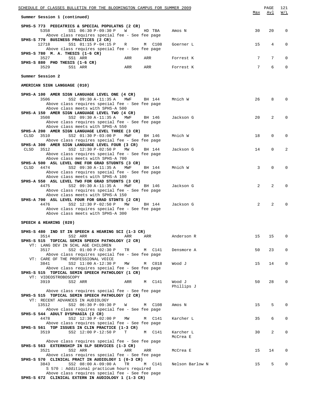| SCHEDULE OF CLASSES BULLETIN FOR THE BLOOMINGTON CAMPUS FOR SUMMER 2009                                                                 | Max            | PAGE<br>Avl     | 121<br>W/L  |
|-----------------------------------------------------------------------------------------------------------------------------------------|----------------|-----------------|-------------|
| Summer Session 1 (continued)                                                                                                            |                |                 |             |
| SPHS-S 773 PEDIATRICS & SPECIAL POPULATNS (2 CR)<br>5358<br>SS1 06:30 P-09:30 P<br>W<br>HD TBA<br>Amos N                                | 30             | 20              | $\mathbf 0$ |
| Above class requires special fee - See fee page<br>SPHS-S 779 BUSINESS PRACTICES (2 CR)                                                 |                |                 |             |
| 12718<br>SS1 01:15 P-04:15 P<br>M C108<br>R<br>Goerner L<br>Above class requires special fee - See fee page                             | 15             | 4               | 0           |
| SPHS-S 780 M. A. THESIS (1-6 CR)<br>3527<br>SS1 ARR<br>ARR<br>ARR<br>Forrest K                                                          | 7              | $7\overline{ }$ | $\Omega$    |
| SPHS-S 880 PHD THESIS (1-6 CR)<br>ARR<br>3529<br>SS1 ARR<br>ARR<br>Forrest K                                                            | 7              | 6               | $\mathbf 0$ |
| Summer Session 2                                                                                                                        |                |                 |             |
| AMERICAN SIGN LANGUAGE (010)                                                                                                            |                |                 |             |
| SPHS-A 100 AMER SIGN LANGUAGE LEVEL ONE (4 CR)<br>3506<br>SS2 09:30 A-11:35 A<br>Mnich W<br>MWF<br>BH 144                               | 26             | 8               | $\Omega$    |
| Above class requires special fee - See fee page<br>Above class meets with SPHS-A 500                                                    |                |                 |             |
| SPHS-A 150 AMER SIGN LANGUAGE LEVEL TWO (4 CR)<br>3508<br>SS2 09:30 A-11:35 A<br>MWF<br>Jackson G<br>BH 146                             | 20             | $\overline{a}$  | $\Omega$    |
| Above class requires special fee - See fee page                                                                                         |                |                 |             |
| Above class meets with SPHS-A 550<br>SPHS-A 200 AMER SIGN LANGUAGE LEVEL THREE (3 CR)                                                   |                |                 |             |
| CLSD<br>3510<br>SS2 01:30 P-03:00 P MWF<br>Mnich W<br>BH 146<br>Above class requires special fee - See fee page                         | 18             | $\mathbf 0$     | $\Omega$    |
| SPHS-A 300 AMER SIGN LANGUAGE LEVEL FOUR (3 CR)<br>CLSD<br>3512<br>SS2 12:30 P-02:50 P<br>Jackson G<br>MW<br>BH 144                     | 14             | $\mathbf 0$     | 2           |
| Above class requires special fee - See fee page<br>Above class meets with SPHS-A 700                                                    |                |                 |             |
| SPHS-A 500 ASL LEVEL ONE FOR GRAD STUDNTS (3 CR)<br>SS2 09:30 A-11:35 A<br>CLSD<br>4474<br>MWF<br>BH 144<br>Mnich W                     | 3              | $\mathbf 0$     | $\Omega$    |
| Above class requires special fee - See fee page<br>Above class meets with SPHS-A 100                                                    |                |                 |             |
| SPHS-A 550 ASL LEVEL TWO FOR GRAD STUDNTS (3 CR)<br>4475<br>SS2 09:30 A-11:35 A<br>MWF<br>BH 146<br>Jackson G                           | 2              | $\overline{a}$  | $\Omega$    |
| Above class requires special fee - See fee page<br>Above class meets with SPHS-A 150                                                    |                |                 |             |
| SPHS-A 700 ASL LEVEL FOUR FOR GRAD STDNTS (2 CR)                                                                                        |                |                 |             |
| 4476<br>SS2 12:30 P-02:50 P<br>Jackson G<br>MW<br>BH 144<br>Above class requires special fee - See fee page                             | $\overline{2}$ | $\overline{a}$  | $\Omega$    |
| Above class meets with SPHS-A 300                                                                                                       |                |                 |             |
| SPEECH & HEARING (020)                                                                                                                  |                |                 |             |
| SPHS-S 480 IND ST IN SPEECH & HEARING SCI $(1-3)$ CR)<br>3514<br>SS2 ARR<br>ARR<br>ARR<br>Anderson R                                    | 15             | 15              | $\Omega$    |
| SPHS-S 515 TOPICAL SEMIN SPEECH PATHOLOGY (2 CR)<br>VT: LANG DEV IN SCHL AGE CHILDREN                                                   |                |                 |             |
| 3517<br>SS2 01:00 P-02:30 P<br>TR<br>M C141<br>Densmore A<br>Above class requires special fee - See fee page                            | 50             | 23              | 0           |
| VT: CARE OF THE PROFESSIONAL VOICE<br>3841<br>SS2 11:00 A-12:30 P<br>Wood J<br>MW<br>M C018                                             | 15             | 14              | 0           |
| Above class requires special fee - See fee page<br>SPHS-S 515 TOPICAL SEMIN SPEECH PATHOLOGY (1 CR)                                     |                |                 |             |
| VT: VIDEOSTROBOSCOPY                                                                                                                    |                |                 |             |
| 3919<br>SS2 ARR<br>Wood J<br>ARR<br>M C141<br>Phillips J                                                                                | 50             | 28              | 0           |
| Above class requires special fee - See fee page<br>SPHS-S 515 TOPICAL SEMIN SPEECH PATHOLOGY (2 CR)<br>VT: RECENT ADVANCES IN AUDIOLOGY |                |                 |             |
| 13512<br>SS2 06:30 P-09:30 P<br>M C108<br>Amos N<br>W                                                                                   | 15             | 5               | $\Omega$    |
| Above class requires special fee - See fee page<br>SPHS-S 544 ADULT DYSPHAGIA (2 CR)                                                    |                |                 |             |
| 4478<br>SS2 12:30 P-02:00 P MW<br>M C141<br>Karcher L<br>Above class requires special fee - See fee page                                | 35             | 6               | 0           |
| SPHS-S 561 TOP ISSUES IN CLIN PRACTICE (1-3 CR)<br>3519<br>SS2 12:00 P-12:50 P<br>Karcher L<br>т<br>M C141                              | 30             | $\overline{a}$  | 0           |
| McCrea E<br>Above class requires special fee - See fee page                                                                             |                |                 |             |
| SPHS-S 563 EXTERNSHIP IN SLP SERVICES (1-3 CR)<br>3521<br>SS2 ARR<br>ARR<br>ARR<br>McCrea E                                             | 15             | 14              | 0           |
| Above class requires special fee - See fee page<br>SPHS-S 570 CLINICAL PRACT IN AUDIOLOGY 1 (0-3 CR)                                    |                |                 |             |
| 3843<br>SS2 08:00 A-09:00 A<br>M C141<br>Nelson Barlow N<br>TR<br>S 570 : Additional practicum hours required                           | 15             | 5               | 0           |
| Above class requires special fee - See fee page<br>SPHS-S 672 CLINICAL EXTERN IN AUDIOLOGY 1 (1-3 CR)                                   |                |                 |             |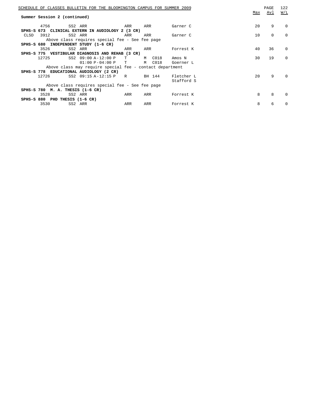|      | Summer Session 2 (continued)     | SCHEDULE OF CLASSES BULLETIN FOR THE BLOOMINGTON CAMPUS FOR SUMMER 2009 |              |           |            | Max | PAGE<br>Avl | 122<br>W/L |
|------|----------------------------------|-------------------------------------------------------------------------|--------------|-----------|------------|-----|-------------|------------|
|      | 4756                             | SS2 ARR                                                                 | ARR          | ARR       | Garner C   | 20  | 9           | $\Omega$   |
|      |                                  | SPHS-S 673 CLINICAL EXTERN IN AUDIOLOGY 2 (3 CR)                        |              |           |            |     |             |            |
| CLSD | 3912                             | SS2 ARR                                                                 | ARR          | ARR       | Garner C   | 10  | 0           | $\Omega$   |
|      |                                  | Above class requires special fee - See fee page                         |              |           |            |     |             |            |
|      |                                  | SPHS-S 680 INDEPENDENT STUDY (1-6 CR)                                   |              |           |            |     |             |            |
|      | 3526                             | SS2 ARR                                                                 | ARR          | ARR       | Forrest K  | 40  | 36          | $\Omega$   |
|      |                                  | SPHS-S 775 VESTIBULAR DIAGNOSIS AND REHAB (3 CR)                        |              |           |            |     |             |            |
|      | 12725                            | SS2 09:00 A-12:00 P                                                     | T            | M C018    | Amos N     | 30  | 19          | $\Omega$   |
|      |                                  | $01:00 P-04:00 P$                                                       | $\mathbf{T}$ | C018<br>M | Goerner L  |     |             |            |
|      |                                  | Above class may require special fee - contact department                |              |           |            |     |             |            |
|      |                                  | SPHS-S 778 EDUCATIONAL AUDIOLOGY (2 CR)                                 |              |           |            |     |             |            |
|      | 12726                            | SS2 09:15 A-12:15 P                                                     | R            | BH 144    | Fletcher L | 20  | 9           | $\Omega$   |
|      |                                  |                                                                         |              |           | Stafford S |     |             |            |
|      |                                  | Above class requires special fee - See fee page                         |              |           |            |     |             |            |
|      | SPHS-S 780 M. A. THESIS (1-6 CR) |                                                                         |              |           |            |     |             |            |
|      | 3528                             | SS2 ARR                                                                 | ARR          | ARR       | Forrest K  | 8   | 8           | $\Omega$   |
|      | SPHS-S 880 PHD THESIS (1-6 CR)   |                                                                         |              |           |            |     |             |            |
|      | 3530                             | SS2 ARR                                                                 | ARR          | ARR       | Forrest K  | 8   | 6           | $\Omega$   |
|      |                                  |                                                                         |              |           |            |     |             |            |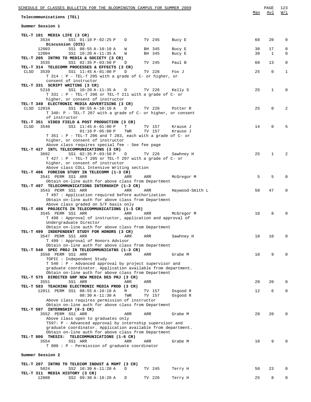| SCHEDULE OF CLASSES BULLETIN FOR THE BLOOMINGTON CAMPUS FOR SUMMER 2009                                                      |          | 123<br>PAGE                                      |
|------------------------------------------------------------------------------------------------------------------------------|----------|--------------------------------------------------|
| Telecommunications (TEL)                                                                                                     | Max      | W/L<br>Avl                                       |
| Summer Session 1                                                                                                             |          |                                                  |
| TEL-T 101 MEDIA LIFE (3 CR)                                                                                                  |          |                                                  |
| 3534<br>SS1 01:10 P-02:25 P<br>TV 245<br>D<br>Bucy E<br>Discussion (DIS)                                                     | 60       | 20<br>0                                          |
| 12003<br>SS1 08:55 A-10:10 A<br>BH 345<br>Bucy E<br>W<br>12004<br>SS1 10:20 A-11:35 A<br>BH 345<br>Bucy E<br>W               | 30<br>30 | 17<br>$\mathbf 0$<br>$\mathbf{1}$<br>$\mathbf 0$ |
| TEL-T 205 INTRO TO MEDIA & SOCIETY (3 CR)<br>3535<br>SS1 02:35 P-03:50 P<br>TV 245<br>Paul B<br>D                            | 60       | 0<br>13                                          |
| TEL-T 314 TELECOMM PROCESSES & EFFECTS (3 CR)                                                                                |          |                                                  |
| <b>CLSD</b><br>3539<br>SS1 11:45 A-01:00 P<br>TV 226<br>D<br>Fox J<br>T 314 : P - TEL-T 205 with a grade of C- or higher, or | 25       | $\mathbf 0$<br>$\mathbf{1}$                      |
| consent of instructor<br>TEL-T 331 SCRIPT WRITING (3 CR)                                                                     |          |                                                  |
| SS1 10:20 A-11:35 A<br>5210<br>TV 226<br>Kelly S<br>$\Box$                                                                   | 25       | 1<br>0                                           |
| T 331 : P - TEL-T 206 or TEL-T 211 with a grade of C- or<br>higher, or consent of instructor                                 |          |                                                  |
| TEL-T 340 ELECTRONIC MEDIA ADVERTISING (3 CR)<br>CLSD 12010<br>SS1 08:55 A-10:10 A<br>D<br>TV 226<br>Potter R                | 25       | $\mathbf 0$<br>2                                 |
| T 340: P - TEL-T 207 with a grade of C- or higher, or consent                                                                |          |                                                  |
| of instructor<br>TEL-T 351 VIDEO FIELD & POST PRODUCTION (3 CR)                                                              |          |                                                  |
| CLSD<br>3540<br>SS1 11:45 A-01:00 P<br>Т<br>TV 157<br>Krause J                                                               | 14       | $\mathbf 0$<br>5                                 |
| $01:10 P-05:00 P$<br>TWR<br>TV 157<br>Krause J<br>$T$ 351 : P - TEL-T 206 and T 283, each with a grade of C- or              |          |                                                  |
| higher, or consent of instructor<br>Above class requires special fee - See fee page                                          |          |                                                  |
| TEL-T 427 INTL TELECOMMUNICATIONS (3 CR)                                                                                     |          |                                                  |
| 3692<br>SS1 02:35 P-03:50 P<br>$\Box$<br>TV 226<br>Sawhney H<br>$T$ 427 : P - TEL-T 205 or TEL-T 207 with a grade of C- or   | 25       | $\mathbf{1}$<br>2                                |
| higher, or consent of instructor                                                                                             |          |                                                  |
| Above class COLL Intensive Writing section<br>TEL-T 496 FOREIGN STUDY IN TELECOMM (1-3 CR)                                   |          |                                                  |
| 3541 PERM SS1 ARR<br>ARR<br>ARR<br>McGregor M                                                                                | 5        | 5<br>0                                           |
| Obtain on-line auth for above class from Department<br>TEL-T 497 TELECOMMUNICATIONS INTERNSHIP (1-3 CR)                      |          |                                                  |
| 3543 PERM SS1 ARR<br>ARR<br>ARR<br>Haywood-Smith L                                                                           | 50       | 47<br>$\mathbf 0$                                |
| T 497 : Application required before authorization<br>Obtain on-line auth for above class from Department                     |          |                                                  |
| Above class graded on S/F basis only<br>TEL-T 498 PROJECTS IN TELECOMMUNICATIONS (1-3 CR)                                    |          |                                                  |
| 3545 PERM SS1 ARR<br>ARR<br>ARR<br>McGregor M                                                                                | 10       | 8<br>$\Omega$                                    |
| T 498 : Approval of instructor, application and approval of<br>Undergraduate Director                                        |          |                                                  |
| Obtain on-line auth for above class from Department                                                                          |          |                                                  |
| TEL-T 499 INDEPENDENT STUDY FOR HONORS (3 CR)<br>3547 PERM SS1 ARR<br>ARR<br>Sawhney H<br>ARR                                | 10       | 10<br>$\Omega$                                   |
| T 499 : Approval of Honors Advisor                                                                                           |          |                                                  |
| Obtain on-line auth for above class from Department<br>TEL-T 540 SPEC PROJ IN TELECOMMUNICATNS (1-3 CR)                      |          |                                                  |
| 3550 PERM SS1 ARR<br>ARR<br>ARR<br>Grabe M                                                                                   | 10       | 9<br>$\Omega$                                    |
| TOPIC : Independent Study<br>T 540 : P - Advanced approval by project supervisor and                                         |          |                                                  |
| graduate coordinator. Application available from department.<br>Obtain on-line auth for above class from Department          |          |                                                  |
| TEL-T 575 DIRECTED GRP NEW MEDIA DES PRJ (3 CR)                                                                              |          |                                                  |
| 3551<br>SS1 ARR<br>ARR<br>ARR<br>TEL-T 583 TEACHING ELECTRONIC MEDIA PROD (3 CR)                                             | 20       | 20<br>0                                          |
| 12011 PERM SS1 08:55 A-10:10 A<br>М<br>TV 157<br>Osgood R                                                                    | 12       | 6<br>0                                           |
| 08:30 A-11:30 A<br>TWR<br>TV 157<br>Osgood R<br>Above class requires permission of instructor                                |          |                                                  |
| Obtain on-line auth for above class from Department                                                                          |          |                                                  |
| TEL-T 597 INTERNSHIP (0-3 CR)<br>3552 PERM SS1 ARR<br>ARR<br>ARR<br>Grabe M                                                  | 20       | 20<br>0                                          |
| Above class open to graduates only<br>T597: P - Advanced approval by internship supervisor and                               |          |                                                  |
| graduate coordinator. Application available from department.                                                                 |          |                                                  |
| Obtain on-line auth for above class from Department<br>TEL-T 800 THESIS: TELECOMMUNICATIONS (1-6 CR)                         |          |                                                  |
| 3554<br>SS1 ARR<br>ARR<br>ARR<br>Grabe M                                                                                     | 10       | 9<br>$\Omega$                                    |
| T 800 : P - Permission of graduate coordinator                                                                               |          |                                                  |
| Summer Session 2                                                                                                             |          |                                                  |
| TEL-T 207 INTRO TO TELECOM INDUST & MGMT (3 CR)<br>5024<br>SS2 10:30 A-11:20 A<br>D<br>TV 245<br>Terry H                     | 50       | 23<br>0                                          |
| TEL-T 311 MEDIA HISTORY (3 CR)                                                                                               |          |                                                  |
| 12008<br>SS2 09:30 A-10:20 A<br>TV 226<br>D<br>Terry H                                                                       | 25       | 8<br>$\mathbf{0}$                                |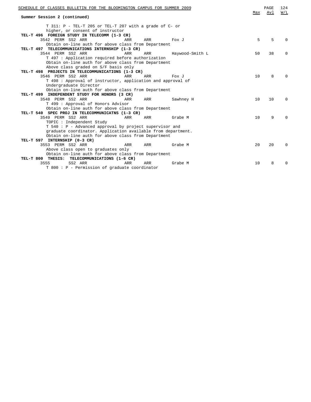| SCHEDULE OF CLASSES BULLETIN FOR THE BLOOMINGTON CAMPUS FOR SUMMER 2009 | Max | PAGE<br>Avl | 124<br>W/L   |
|-------------------------------------------------------------------------|-----|-------------|--------------|
| Summer Session 2 (continued)                                            |     |             |              |
| T 311: P - TEL-T 205 or TEL-T 207 with a grade of C- or                 |     |             |              |
| higher, or consent of instructor                                        |     |             |              |
| TEL-T 496 FOREIGN STUDY IN TELECOMM (1-3 CR)                            |     |             |              |
| 3542 PERM SS2 ARR<br>ARR<br>ARR<br>Fox J                                | 5   | 5           |              |
| Obtain on-line auth for above class from Department                     |     |             |              |
| TEL-T 497 TELECOMMUNICATIONS INTERNSHIP (1-3 CR)                        |     |             |              |
| 3544 PERM SS2 ARR<br>Haywood-Smith L<br>ARR<br>ARR                      | 50  | 38          | 0            |
| T 497 : Application required before authorization                       |     |             |              |
| Obtain on-line auth for above class from Department                     |     |             |              |
| Above class graded on S/F basis only                                    |     |             |              |
| TEL-T 498 PROJECTS IN TELECOMMUNICATIONS (1-3 CR)                       |     |             |              |
| 3546 PERM SS2 ARR<br>ARR<br>ARR<br>Fox J                                | 10  | 8           | U            |
| T 498 : Approval of instructor, application and approval of             |     |             |              |
| Undergraduate Director                                                  |     |             |              |
| Obtain on-line auth for above class from Department                     |     |             |              |
| TEL-T 499 INDEPENDENT STUDY FOR HONORS (3 CR)                           |     |             |              |
| 3548 PERM SS2 ARR<br>Sawhney H<br>ARR<br>ARR                            | 10  | 10          | 0            |
| T 499 : Approval of Honors Advisor                                      |     |             |              |
| Obtain on-line auth for above class from Department                     |     |             |              |
| TEL-T 540 SPEC PROJ IN TELECOMMUNICATNS (1-3 CR)                        |     |             |              |
| 3549 PERM SS2 ARR<br>ARR<br>ARR<br>Grabe M                              | 10  | 9           | U            |
| TOPIC : Independent Study                                               |     |             |              |
| T 540 : P - Advanced approval by project supervisor and                 |     |             |              |
| graduate coordinator. Application available from department.            |     |             |              |
| Obtain on-line auth for above class from Department                     |     |             |              |
| TEL-T 597 INTERNSHIP (0-3 CR)                                           |     |             |              |
| 3553 PERM SS2 ARR<br>ARR<br>Grabe M<br>ARR                              | 20  | 20          | <sup>0</sup> |
| Above class open to graduates only                                      |     |             |              |
| Obtain on-line auth for above class from Department                     |     |             |              |
| TEL-T 800 THESIS: TELECOMMUNICATIONS (1-6 CR)                           |     |             |              |
| SS2 ARR<br>3555<br>ARR<br>ARR<br>Grabe M                                | 10  | 8           | $\Omega$     |
| T 800 : P - Permission of graduate coordinator                          |     |             |              |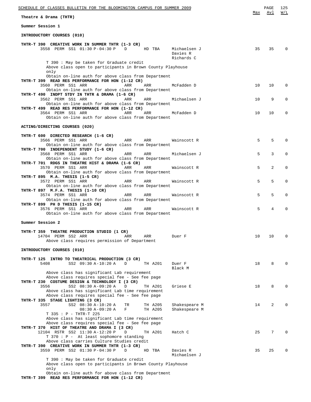| <u>SCHEDULE OF CLASSES BULLETIN FOR THE BLOOMINGTON CAMPUS FOR SUMMER 2009</u><br>Theatre & Drama (THTR)                                                       | Max | PAGE<br>Avl | 125<br>W/L   |
|----------------------------------------------------------------------------------------------------------------------------------------------------------------|-----|-------------|--------------|
|                                                                                                                                                                |     |             |              |
| Summer Session 1                                                                                                                                               |     |             |              |
| INTRODUCTORY COURSES (010)                                                                                                                                     |     |             |              |
| THTR-T 390 CREATIVE WORK IN SUMMER THTR (1-3 CR)<br>3558 PERM SS1 01:30 P-04:30 P<br>D<br>HD TBA<br>Michaelsen J<br>Davies R<br>Richards C                     | 35  | 35          |              |
| T 390 : May be taken for Graduate credit<br>Above class open to participants in Brown County Playhouse<br>only                                                 |     |             |              |
| Obtain on-line auth for above class from Department<br>THTR-T 399 READ RES PERFORMANCE FOR HON (1-12 CR)<br>3560 PERM SS1 ARR<br>ARR<br>ARR<br>McFadden D      | 10  | 10          | $\Omega$     |
| Obtain on-line auth for above class from Department<br>THTR-T 490 INDPT STDY IN THTR & DRAMA (1-6 CR)<br>3562 PERM SS1 ARR<br>Michaelsen J<br>ARR<br>ARR       | 10  | 9           | 0            |
| Obtain on-line auth for above class from Department<br>THTR-T 499 READ RES PERFORMANCE FOR HON (1-12 CR)<br>3564 PERM SS1 ARR<br>McFadden D<br>ARR<br>ARR      | 10  | 10          | $\Omega$     |
| Obtain on-line auth for above class from Department                                                                                                            |     |             |              |
| ACTING/DIRECTING COURSES (020)                                                                                                                                 |     |             |              |
| THTR-T 600 DIRECTED RESEARCH (1-6 CR)<br>3566 PERM SS1 ARR<br>ARR<br>ARR<br>Wainscott R<br>Obtain on-line auth for above class from Department                 | 5   | 5           |              |
| THTR-T 700 INDEPENDENT STUDY (1-6 CR)<br>3568 PERM SS1 ARR<br>Michaelsen J<br>ARR<br>ARR<br>Obtain on-line auth for above class from Department                | 5   | 3           | 0            |
| THTR-T 701 RDGS IN THEATRE HIST & DRAMA (1-6 CR)<br>3570 PERM SS1 ARR<br>ARR<br>ARR<br>Wainscott R<br>Obtain on-line auth for above class from Department      | 5   | 2           | $\Omega$     |
| THTR-T 895 M.A. THESIS (1-5 CR)<br>3572 PERM SS1 ARR<br>ARR<br>ARR<br>Wainscott R<br>Obtain on-line auth for above class from Department                       | 5   | 5           | 0            |
| THTR-T 897 M.F.A. THESIS (1-10 CR)<br>3574 PERM SS1 ARR<br>ARR<br>ARR<br>Wainscott R<br>Obtain on-line auth for above class from Department                    | 5   | 5           |              |
| THTR-T 899 PH D THESIS (1-15 CR)<br>3576 PERM SS1 ARR<br>ARR<br>ARR<br>Wainscott R<br>Obtain on-line auth for above class from Department                      | 5   | 4           |              |
| Summer Session 2                                                                                                                                               |     |             |              |
| THTR-T 359 THEATRE PRODUCTION STUDIO (1 CR)<br>14704 PERM SS2 ARR<br>ARR<br>ARR<br>Duer F<br>Above class requires permission of Department                     | 10  | 10          | 0            |
| INTRODUCTORY COURSES (010)                                                                                                                                     |     |             |              |
| THTR-T 125 INTRO TO THEATRICAL PRODUCTION (3 CR)<br>5408<br>SS2 09:30 A-10:20 A<br>TH A201<br>D<br>Duer F<br>Black M                                           | 18  | 8           | <sup>0</sup> |
| Above class has significant Lab requirement<br>Above class requires special fee - See fee page<br>THTR-T 230 COSTUME DESIGN & TECHNOLOGY I (3 CR)              |     |             |              |
| SS2 08:30 A-09:20 A<br>3556<br>Griese E<br>D<br>TH A201<br>Above class has significant Lab time requirement<br>Above class requires special fee - See fee page | 18  | 8           | ∩            |
| THTR-T 335 STAGE LIGHTING (3 CR)<br>3557<br>SS2 08:30 A-10:20 A<br>Shakespeare M<br>TR<br>TH A205<br>$08:30 A-09:20 A$<br>F<br>TH A205<br>Shakespeare M        | 14  | 2           | ∩            |
| T 335 : P - THTR-T 225<br>Above class has significant Lab time requirement<br>Above class requires special fee - See fee page                                  |     |             |              |
| THTR-T 370 HIST OF THEATRE AND DRAMA I (3 CR)<br>12104 RSTR SS2 11:30 A-12:20 P<br>D<br>TH A201<br>Hatch C<br>$T$ 370 : P - At least sophomore standing        | 25  | 7           |              |
| Above class carries Culture Studies credit<br>THTR-T 390 CREATIVE WORK IN SUMMER THTR (1-3 CR)<br>3559 PERM SS2 01:30 P-04:30 P<br>Davies R<br>D<br>HD TBA     | 35  | 25          |              |
| Michaelsen J<br>T 390 : May be taken for Graduate credit<br>Above class open to participants in Brown County Playhouse<br>only                                 |     |             |              |

Obtain on-line auth for above class from Department

**THTR-T 399 READ RES PERFORMANCE FOR HON (1-12 CR)**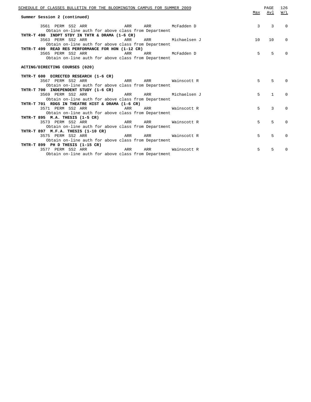| SCHEDULE OF CLASSES BULLETIN FOR THE BLOOMINGTON CAMPUS FOR SUMMER 2009<br>Summer Session 2 (continued) |    | PAGE<br>Max Avl                | 126<br>W/L  |
|---------------------------------------------------------------------------------------------------------|----|--------------------------------|-------------|
| 3561 PERM SS2 ARR ARR ARR McFadden D<br>Obtain on-line auth for above class from Department             |    | $\overline{3}$<br>$\mathbf{3}$ | $\Omega$    |
| THTR-T 490 INDPT STDY IN THTR & DRAMA (1-6 CR)                                                          |    |                                |             |
| 3563 PERM SS2 ARR<br>ARR Michaelsen J<br><b>Example 2018</b> ARR                                        | 10 | 10 <sup>1</sup>                | $\mathbf 0$ |
| Obtain on-line auth for above class from Department                                                     |    |                                |             |
| THTR-T 499 READ RES PERFORMANCE FOR HON (1-12 CR)                                                       |    |                                |             |
| 3565 PERM SS2 ARR ARR ARR McFadden D                                                                    | 5  | $\overline{5}$                 | $\Omega$    |
| Obtain on-line auth for above class from Department                                                     |    |                                |             |
| ACTING/DIRECTING COURSES (020)                                                                          |    |                                |             |
| THTR-T 600 DIRECTED RESEARCH (1-6 CR)                                                                   |    |                                |             |
| 3567 PERM SS2 ARR<br>ARR ARR Wainscott R                                                                | 5  | 5                              | $\Omega$    |
| Obtain on-line auth for above class from Department                                                     |    |                                |             |
| THTR-T 700 INDEPENDENT STUDY (1-6 CR)                                                                   | 5  | $\mathbf{1}$                   |             |
| ARR ARR Michaelsen J<br>3569 PERM SS2 ARR                                                               |    |                                | $\Omega$    |
| Obtain on-line auth for above class from Department<br>THTR-T 701 RDGS IN THEATRE HIST & DRAMA (1-6 CR) |    |                                |             |
| 3571 PERM SS2 ARR<br>ARR Wainscott R<br><b>Example 2018</b> ARR                                         | 5  | 3                              | $\Omega$    |
| Obtain on-line auth for above class from Department                                                     |    |                                |             |
| THTR-T 895 M.A. THESIS (1-5 CR)                                                                         |    |                                |             |
| <b>ARR</b><br>3573 PERM SS2 ARR<br>ARR Wainscott R                                                      | 5  | 5                              | $\Omega$    |
| Obtain on-line auth for above class from Department                                                     |    |                                |             |
| THTR-T 897 M.F.A. THESIS (1-10 CR)                                                                      |    |                                |             |
| ARR ARR Wainscott R<br>3575 PERM SS2 ARR                                                                | 5  | 5                              | $\Omega$    |
| Obtain on-line auth for above class from Department                                                     |    |                                |             |
| THTR-T 899 PH D THESIS (1-15 CR)                                                                        |    |                                |             |
| 3577 PERM SS2 ARR ARR ARR Mainscott R                                                                   | 5  | 5                              | $\Omega$    |
| Obtain on-line auth for above class from Department                                                     |    |                                |             |
|                                                                                                         |    |                                |             |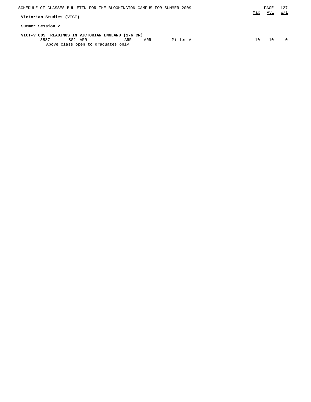| SCHEDULE OF CLASSES BULLETIN FOR THE BLOOMINGTON CAMPUS FOR SUMMER 2009 |            |          |     | PAGE | 127      |
|-------------------------------------------------------------------------|------------|----------|-----|------|----------|
| Victorian Studies (VICT)                                                |            |          | Max | Avl  | W/L      |
| Summer Session 2                                                        |            |          |     |      |          |
| VICT-V 805 READINGS IN VICTORIAN ENGLAND (1-6 CR)                       |            |          |     |      |          |
| 3587<br>SS2 ARR                                                         | ARR<br>ARR | Miller A | 10  | 10   | $\Omega$ |
| Above class open to graduates only                                      |            |          |     |      |          |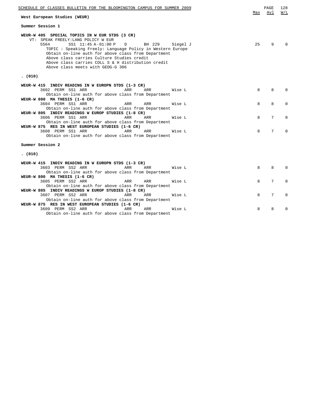| SCHEDULE OF CLASSES BULLETIN FOR THE BLOOMINGTON CAMPUS FOR SUMMER 2009                                                                                                                                                                                                                                                                                                                                    | Max | PAGE<br>Avl | 128<br>W/L   |
|------------------------------------------------------------------------------------------------------------------------------------------------------------------------------------------------------------------------------------------------------------------------------------------------------------------------------------------------------------------------------------------------------------|-----|-------------|--------------|
| West European Studies (WEUR)                                                                                                                                                                                                                                                                                                                                                                               |     |             |              |
| Summer Session 1                                                                                                                                                                                                                                                                                                                                                                                           |     |             |              |
| WEUR-W 405 SPECIAL TOPICS IN W EUR STDS (3 CR)<br>VT: SPEAK FREELY: LANG POLICY W EUR<br>5564<br>SS1 11:45 A-01:00 P<br>BH 229 Siegel J<br>D<br>TOPIC : Speaking Freely: Language Policy in Western Europe<br>Obtain on-line auth for above class from Department<br>Above class carries Culture Studies credit<br>Above class carries COLL S & H distribution credit<br>Above class meets with GEOG-G 306 | 25  | 9           |              |
| (010)                                                                                                                                                                                                                                                                                                                                                                                                      |     |             |              |
| WEUR-W 415 INDIV READING IN W EUROPN STDS (1-3 CR)<br>3602 PERM SS1 ARR<br>ARR<br>ARR<br>Wise L                                                                                                                                                                                                                                                                                                            | 8   | 8           | <sup>0</sup> |
| Obtain on-line auth for above class from Department<br>WEUR-W 800 MA THESIS (1-6 CR)                                                                                                                                                                                                                                                                                                                       |     |             |              |
| 3604 PERM SS1 ARR<br>ARR<br>ARR<br>Wise L<br>Obtain on-line auth for above class from Department                                                                                                                                                                                                                                                                                                           | 8   | 8           | 0            |
| WEUR-W 805 INDIV READINGS W EUROP STUDIES (1-8 CR)<br>3606 PERM SS1 ARR<br>ARR<br>ARR<br>Wise L<br>Obtain on-line auth for above class from Department                                                                                                                                                                                                                                                     | 8   | 7           | 0            |
| WEUR-W 875 RES IN WEST EUROPEAN STUDIES (1-6 CR)<br>3608 PERM SS1 ARR<br>ARR<br>ARR<br>Wise L<br>Obtain on-line auth for above class from Department                                                                                                                                                                                                                                                       | 8   | 7           | <sup>0</sup> |
| Summer Session 2                                                                                                                                                                                                                                                                                                                                                                                           |     |             |              |
| (010)                                                                                                                                                                                                                                                                                                                                                                                                      |     |             |              |
| WEUR-W 415 INDIV READING IN W EUROPN STDS (1-3 CR)<br>3603 PERM SS2 ARR<br>ARR<br>ARR<br>Wise L                                                                                                                                                                                                                                                                                                            | 8   | 8           |              |
| Obtain on-line auth for above class from Department<br>WEUR-W 800 MA THESIS (1-6 CR)                                                                                                                                                                                                                                                                                                                       |     |             |              |
| 3605 PERM SS2 ARR<br>ARR<br>ARR<br>Wise L<br>Obtain on-line auth for above class from Department                                                                                                                                                                                                                                                                                                           | 8   | 7           | <sup>0</sup> |
| WEUR-W 805 INDIV READINGS W EUROP STUDIES (1-8 CR)<br>3607 PERM SS2 ARR<br>ARR<br>ARR<br>Wise L                                                                                                                                                                                                                                                                                                            | 8   | 7           | 0            |
| Obtain on-line auth for above class from Department<br>WEUR-W 875 RES IN WEST EUROPEAN STUDIES (1-6 CR)                                                                                                                                                                                                                                                                                                    |     |             |              |
| 3609 PERM SS2 ARR<br>ARR<br>ARR<br>Wise L<br>Obtain on-line auth for above class from Department                                                                                                                                                                                                                                                                                                           | 8   | 8           | N            |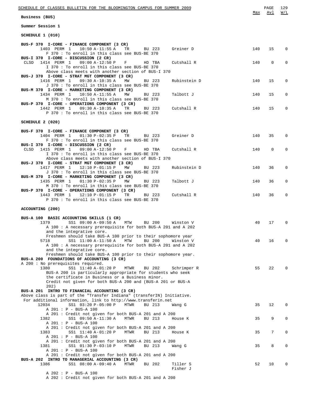| SCHEDULE OF CLASSES BULLETIN FOR THE BLOOMINGTON CAMPUS FOR SUMMER 2009                                                   |     | PAGE         | 129            |
|---------------------------------------------------------------------------------------------------------------------------|-----|--------------|----------------|
| Business (BUS)                                                                                                            | Max | Avl          | W/L            |
| Summer Session 1                                                                                                          |     |              |                |
| SCHEDULE 1 (010)                                                                                                          |     |              |                |
| BUS-F 370 I-CORE - FINANCE COMPONENT (3 CR)                                                                               |     |              |                |
| 1403 PERM 1<br>$10:50 A-11:55 A$<br>Greiner D<br>TR<br>BU 223                                                             | 140 | 15           | $\overline{0}$ |
| F 370 : To enroll in this class see BUS-BE 370<br>BUS-I 370 I-CORE - DISCUSSION (2 CR)                                    |     |              |                |
| 1414 PERM 1<br>CLSD<br>$09:00 A-12:50 P$<br>Cutshall R<br>F<br>HD TBA<br>I 370 : To enroll in this class see BUS-BE 370   | 140 | $\mathbf 0$  | 0              |
| Above class meets with another section of BUS-I 370                                                                       |     |              |                |
| BUS-J 370 I-CORE - STRAT MGT COMPONENT (3 CR)<br>1416 PERM 1<br>09:30 A-10:35 A<br>Rubinstein D<br>MW<br>BU 223           | 140 | 15           | 0              |
| J 370 : To enroll in this class see BUS-BE 370<br>BUS-M 370 I-CORE - MARKETING COMPONENT (3 CR)                           |     |              |                |
| 1434 PERM 1 10:50 A-11:55 A<br>Talbott J<br>MW<br>BU 223                                                                  | 140 | 15           | 0              |
| M 370 : To enroll in this class see BUS-BE 370<br>BUS-P 370 I-CORE - OPERATIONS COMPONENT (3 CR)                          |     |              |                |
| 1442 PERM 1 09:30 A-10:35 A<br>TR<br>Cutshall R<br>BU 223                                                                 | 140 | 15           | 0              |
| P 370: To enroll in this class see BUS-BE 370                                                                             |     |              |                |
| SCHEDULE 2 (020)                                                                                                          |     |              |                |
| BUS-F 370 I-CORE - FINANCE COMPONENT (3 CR)                                                                               |     |              |                |
| 1404 PERM 1<br>$01:30 P-02:35 P$<br>Greiner D<br>TR<br>BU 223<br>F 370: To enroll in this class see BUS-BE 370            | 140 | 35           | 0              |
| BUS-I 370 I-CORE - DISCUSSION (2 CR)<br>1415 PERM 1 09:00 A-12:50 P<br>$\mathbf{F}$<br>Cutshall R<br>CLSD                 | 140 | $\mathbf{0}$ | 0              |
| HD TBA<br>I 370 : To enroll in this class see BUS-BE 370                                                                  |     |              |                |
| Above class meets with another section of BUS-I 370<br>BUS-J 370 I-CORE - STRAT MGT COMPONENT (3 CR)                      |     |              |                |
| 1417 PERM 1 12:10 P-01:15 P<br>MW<br>Rubinstein D<br>BU 223                                                               | 140 | 36           | 0              |
| J 370 : To enroll in this class see BUS-BE 370<br>BUS-M 370 I-CORE - MARKETING COMPONENT (3 CR)                           |     |              |                |
| 1435 PERM 1<br>01:30 P-02:35 P<br>MW<br>Talbott J<br>BU 223<br>M 370 : To enroll in this class see BUS-BE 370             | 140 | 36           | 0              |
| BUS-P 370 I-CORE - OPERATIONS COMPONENT (3 CR)                                                                            |     |              |                |
| 1443 PERM 1 12:10 P-01:15 P<br>TR<br>BU 223<br>Cutshall R<br>P 370 : To enroll in this class see BUS-BE 370               | 140 | 36           | 0              |
| ACCOUNTING (200)                                                                                                          |     |              |                |
|                                                                                                                           |     |              |                |
| BUS-A 100 BASIC ACCOUNTING SKILLS (1 CR)<br>SS1 09:00 A-09:50 A MTW<br>1379<br>BU 200<br>Winston V                        | 40  | 17           | $\mathbf 0$    |
| A 100: A necessary prerequisite for both BUS-A 201 and A 202                                                              |     |              |                |
| and the integrative core.<br>Freshmen should take BUS-A 100 prior to their sophomore year                                 |     |              |                |
| SS1 11:00 A-11:50 A<br>BU 200<br>5718<br>MTW<br>Winston V<br>A 100: A necessary prerequisite for both BUS-A 201 and A 202 | 40  | 16           | 0              |
| and the integrative core.                                                                                                 |     |              |                |
| Freshmen should take BUS-A 100 prior to their sophomore year.<br>BUS-A 200 FOUNDATIONS OF ACCOUNTING (3 CR)               |     |              |                |
| A 200: No prerequisites required.<br>1380                                                                                 |     |              | $\Omega$       |
| SS1 11:40 A-01:20 P<br>BU 202<br>MTWR<br>Schrimper R<br>BUS-A 200 is particularly appropriate for students who seek       | 55  | 22           |                |
| the certificate in Business or a Business minor.<br>Credit not given for both BUS-A 200 and (BUS-A 201 or BUS-A           |     |              |                |
| 202)                                                                                                                      |     |              |                |
| BUS-A 201 INTRO TO FINANCIAL ACCOUNTING (3 CR)<br>Above class is part of the "Transfer Indiana" (transferIN) Initiative.  |     |              |                |
| For additional information, link to http://www.transferin.net<br>12034<br>SS1 03:20 P-05:00 P<br>MTWR<br>BU 213<br>Wang G | 35  | 12           | 0              |
| A 201 : P - BUS-A 100                                                                                                     |     |              |                |
| A 201: Credit not given for both BUS-A 201 and A 200<br>SS1 09:50 A-11:30 A<br>BU 213<br>1382<br>MTWR<br>House K          | 35  | 9            | 0              |
| A 201 : P - BUS-A 100<br>A 201: Credit not given for both BUS-A 201 and A 200                                             |     |              |                |
| SS1 11:40 A-01:20 P<br>BU 213<br>1383<br>MTWR<br>House K                                                                  | 35  | 7            | 0              |
| A 201 : P - BUS-A 100<br>A 201: Credit not given for both BUS-A 201 and A 200                                             |     |              |                |
| SS1 01:30 P-03:10 P<br>MTWR<br>1381<br>BU 213<br>Wang G                                                                   | 35  | 8            | 0              |
| A 201 : P - BUS-A 100<br>A 201: Credit not given for both BUS-A 201 and A 200                                             |     |              |                |
| BUS-A 202 INTRO TO MANAGERIAL ACCOUNTING (3 CR)<br>1386<br>SS1 08:00 A-09:40 A<br>Tiller S<br>MTWR<br>BU 202              | 52  | 10           | 0              |
| Fisher J                                                                                                                  |     |              |                |
| A 202 : P - BUS-A 100<br>A 202: Credit not given for both BUS-A 201 and A 200                                             |     |              |                |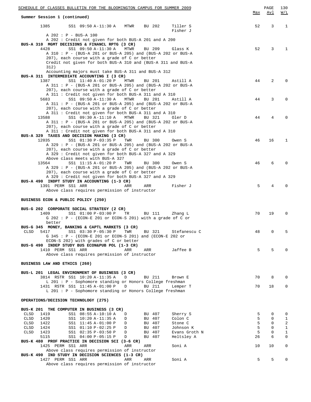| SCHEDULE OF CLASSES BULLETIN FOR THE BLOOMINGTON CAMPUS FOR SUMMER 2009                                                                |        | PAGE                       | 130                          |
|----------------------------------------------------------------------------------------------------------------------------------------|--------|----------------------------|------------------------------|
| Summer Session 1 (continued)                                                                                                           | Max    | Avl                        | W/L                          |
| 1385<br>SS1 09:50 A-11:30 A<br>BU 202<br>Tiller S<br>MTWR<br>Fisher J                                                                  | 52     | 3                          | 1                            |
| A 202 : P - BUS-A 100                                                                                                                  |        |                            |                              |
| A 202: Credit not given for both BUS-A 201 and A 200<br>BUS-A 310 MGMT DECISIONS & FINANCL RPTG (3 CR)                                 |        |                            |                              |
| SS1 09:50 A-11:30 A<br>4428<br>MTWR<br>BU 209<br>Glass K<br>A 310: $P - (BUS-A 201 or BUS-A 205)$ and (BUS-A 202 or BUS-A              | 52     | 3                          | 1                            |
| 207), each course with a grade of C or better                                                                                          |        |                            |                              |
| Credit not given for both BUS-A 310 and (BUS-A 311 and BUS-A<br>312)                                                                   |        |                            |                              |
| Accounting majors must take BUS-A 311 and BUS-A 312                                                                                    |        |                            |                              |
| BUS-A 311 INTERMEDIATE ACCOUNTING I (3 CR)<br>1387<br>BU 201<br>SS1 11:40 A-01:20 P<br>MTWR<br>Astill A                                | 44     | 2                          | $\Omega$                     |
| A 311 : P - (BUS-A 201 or BUS-A 205) and (BUS-A 202 or BUS-A                                                                           |        |                            |                              |
| 207), each course with a grade of C or better                                                                                          |        |                            |                              |
| A 311 : Credit not given for both BUS-A 311 and A 310<br>SS1 09:50 A-11:30 A<br>MTWR<br>BU 201<br>5683<br>Astill A                     | 44     | 3                          | $\Omega$                     |
| A 311 : P - (BUS-A 201 or BUS-A 205) and (BUS-A 202 or BUS-A                                                                           |        |                            |                              |
| 207), each course with a grade of C or better<br>A 311 : Credit not given for both BUS-A 311 and A 310                                 |        |                            |                              |
| 13588<br>SS1 09:30 A-11:10 A<br>MTWR<br>BU 321<br>Oler D                                                                               | 44     | 4                          | 0                            |
| A 311 : P - (BUS-A 201 or BUS-A 205) and (BUS-A 202 or BUS-A<br>207), each course with a grade of C or better                          |        |                            |                              |
| A 311 : Credit not given for both BUS-A 311 and A 310                                                                                  |        |                            |                              |
| BUS-A 329 TAXES AND DECISION MAKING (3 CR)<br>12035<br>BU 300<br>SS1 01:30 P-03:35 P<br>TWR<br>Owen S                                  | 46     | 16                         | $\mathbf{1}$                 |
| A 329 : P - (BUS-A 201 or BUS-A 205) and (BUS-A 202 or BUS-A                                                                           |        |                            |                              |
| 207), each course with a grade of C or better<br>A 329: Credit not given for both BUS-A 327 and A 329                                  |        |                            |                              |
| Above class meets with BUS-A 327                                                                                                       |        |                            |                              |
| 13564<br>SS1 11:15 A-01:20 P<br>TWR<br>BU 300<br>Owen S                                                                                | 46     | 6                          | $\Omega$                     |
| A 329 : P - (BUS-A 201 or BUS-A 205) and (BUS-A 202 or BUS-A<br>207), each course with a grade of C or better                          |        |                            |                              |
| A 329 : Credit not given for both BUS-A 327 and A 329                                                                                  |        |                            |                              |
| BUS-A 490 INDPT STUDY IN ACCOUNTING (1-3 CR)<br>1391 PERM SS1 ARR<br>Fisher J<br>ARR<br>ARR                                            | 5      | 4                          | $\Omega$                     |
| Above class requires permission of instructor                                                                                          |        |                            |                              |
| BUSINESS ECON & PUBLIC POLICY (250)                                                                                                    |        |                            |                              |
| BUS-G 202 CORPORATE SOCIAL STRATEGY (2 CR)                                                                                             |        |                            |                              |
| 1409<br>SS1 01:00 P-03:00 P<br>TR<br>BU 111<br>Zhang L<br>$G$ 202: P - (ECON-E 201 or ECON-S 201) with a grade of C or                 | 70     | 19                         | 0                            |
| better                                                                                                                                 |        |                            |                              |
| BUS-G 345 MONEY, BANKING & CAPTL MARKETS (3 CR)<br>5417<br>Stefanescu C<br>CLSD<br>TWR<br>BU 321                                       | 48     | 0                          | 5                            |
| SS1 03:30 P-05:30 P<br>G 345 : P - (ECON-E 201 or ECON-S 201) and (ECON-E 202 or                                                       |        |                            |                              |
| ECON-S 202) with grades of C or better                                                                                                 |        |                            |                              |
| BUS-G 490 INDEP STUDY BUS ECON&PUB POL (1-3 CR)<br>1410 PERM SS1 ARR<br>Jaffee B<br>ARR<br>ARR                                         | 5      | 5                          | $\Omega$                     |
| Above class requires permission of instructor                                                                                          |        |                            |                              |
| BUSINESS LAW AND ETHICS (260)                                                                                                          |        |                            |                              |
| BUS-L 201 LEGAL ENVIRONMENT OF BUSINESS (3 CR)                                                                                         |        |                            |                              |
| 3814 RSTR SS1 10:20 A-11:35 A<br>D<br>BU 211<br>Brown E<br>L 201 : P - Sophomore standing or Honors College freshman                   | 70     | 8                          | $\Omega$                     |
| 1431 RSTR SS1 11:45 A-01:00 P<br>BU 211<br>D<br>Lemper T                                                                               | 70     | 18                         | $\mathbf{0}$                 |
| L 201 : P - Sophomore standing or Honors College freshman                                                                              |        |                            |                              |
| OPERATIONS/DECISION TECHNOLOGY (275)                                                                                                   |        |                            |                              |
| BUS-K 201 THE COMPUTER IN BUSINESS (3 CR)<br>CLSD<br>1419<br>Sherry S<br>SS1 08:55 A-10:10 A<br>D<br>BU 407                            | 5      | 0                          | 0                            |
| CLSD<br>1420<br>Colon C<br>SS1 10:20 A-11:35 A<br>D<br>BU 407                                                                          | 5      | $\mathbf 0$                | $\mathbf{1}$                 |
| CLSD<br>1422<br>BU 407<br>Stone C<br>SS1 11:45 A-01:00 P<br>D                                                                          | 5<br>5 | $\mathbf 0$<br>$\mathbf 0$ | 2                            |
| CLSD<br>1424<br>Johnson K<br>SS1 01:10 P-02:25 P<br>D<br>BU 407<br>CLSD<br>1423<br>SS1 02:35 P-03:50 P<br>BU 407<br>Evans Groth N<br>D | 5      | $\mathbf 0$                | $\mathbf{1}$<br>$\mathbf{1}$ |
| 5115<br>SS1 04:00 P-05:15 P<br>D<br>BU 407<br>Heltsley A                                                                               | 26     | 6                          | $\mathbf{0}$                 |
| BUS-K 480 PROF PRACTICE IN DECISION SCI (3-6 CR)<br>1425 PERM SS1 ARR<br>ARR<br>Soni A<br>ARR                                          | 10     | 10                         | 0                            |
| Above class requires permission of instructor                                                                                          |        |                            |                              |
| BUS-K 490 IND STUDY IN DECISION SCIENCES (1-3 CR)<br>1427 PERM SS1 ARR<br>ARR<br>ARR<br>Soni A                                         | 5      | 5                          | 0                            |
| Above class requires permission of instructor                                                                                          |        |                            |                              |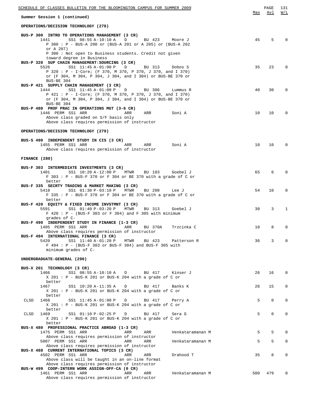| SCHEDULE OF CLASSES BULLETIN FOR THE BLOOMINGTON CAMPUS FOR SUMMER 2009                                                                                                                                                                                                                                                            |     | PAGE        | 131          |
|------------------------------------------------------------------------------------------------------------------------------------------------------------------------------------------------------------------------------------------------------------------------------------------------------------------------------------|-----|-------------|--------------|
| Summer Session 1 (continued)                                                                                                                                                                                                                                                                                                       | Max | Avl         | W/L          |
| OPERATIONS/DECISION TECHNOLOGY (278)                                                                                                                                                                                                                                                                                               |     |             |              |
| BUS-P 300 INTRO TO OPERATIONS MANAGEMENT (3 CR)<br>SS1 08:55 A-10:10 A<br>1441<br>D<br>BU 423<br>Moore J<br>P 300: P - BUS-A 200 or (BUS-A 201 or A 205) or (BUS-A 202<br>or A 207)                                                                                                                                                | 45  | -5          | $\Omega$     |
| P 300 : Not open to Business students. Credit not given<br>toward degree in Business<br>BUS-P 320 SUP CHAIN MANAGEMENT: SOURCING (3 CR)<br>SS1 11:45 A-01:00 P<br>5526<br>$\Box$<br>BU 313<br>Dobos S<br>P 320: P - I-Core; (F 370, M 370, P 370, J 370, and I 370)<br>or (F 304, M 304, P 304, J 304, and I 304) or BUS-BE 370 or | 35  | 23          | $\mathbf 0$  |
| BUS-BE 304<br>BUS-P 421 SUPPLY CHAIN MANAGEMENT (3 CR)<br>1444<br>SS1 11:45 A-01:00 P<br>BU 306<br>D<br>Lummus R<br>P 421 : P - I-Core; (F 370, M 370, P 370, J 370, and I 370)<br>or (F 304, M 304, P 304, J 304, and I 304) or BUS-BE 370 or                                                                                     | 40  | 30          | $\Omega$     |
| BUS-BE 304<br>BUS-P 480 PROF PRAC IN OPERATIONS MGT (3-6 CR)<br>1446 PERM SS1 ARR<br>ARR<br>ARR<br>Soni A<br>Above class graded on S/F basis only<br>Above class requires permission of instructor                                                                                                                                 | 10  | 10          | $\Omega$     |
| OPERATIONS/DECISION TECHNOLOGY (279)                                                                                                                                                                                                                                                                                               |     |             |              |
| BUS-S 490 INDEPENDENT STUDY IN CIS (3 CR)<br>1455 PERM SS1 ARR<br>Soni A<br>ARR<br>ARR<br>Above class requires permission of instructor                                                                                                                                                                                            | 10  | 10          | $\Omega$     |
| FINANCE (280)                                                                                                                                                                                                                                                                                                                      |     |             |              |
| BUS-F 303 INTERMEDIATE INVESTMENTS (3 CR)<br>MTWR<br>1401<br>SS1 10:20 A-12:00 P<br>BU 103<br>Goebel J<br>$F$ 303 : P - BUS-F 370 or F 304 or BE 370 with a grade of C or<br>better                                                                                                                                                | 65  | 6           | $\Omega$     |
| BUS-F 335 SECRTY TRADING & MARKET MAKING (3 CR)<br>5418<br>SS1 01:30 P-03:10 P<br>MTWR<br>BU 200<br>Lee J<br>$F$ 335 : P - BUS-F 370 or F 304 or BE 370 with a grade of C or<br>better                                                                                                                                             | 54  | 10          | 0            |
| BUS-F 420 EQUITY & FIXED INCOME INVSTMNT (3 CR)<br>BU 313<br>5591<br>SS1 01:40 P-03:20 P<br>MTWR<br>Goebel J<br>$F$ 420 : P - (BUS-F 303 or F 304) and F 305 with minimum<br>grades of C-                                                                                                                                          | 30  | 3           | $\mathbf{1}$ |
| BUS-F 490 INDEPENDENT STUDY IN FINANCE (1-3 CR)<br>BU 370A<br>1405 PERM SS1 ARR<br>ARR<br>Trzcinka C<br>Above class requires permission of instructor                                                                                                                                                                              | 10  | 8           | 0            |
| BUS-F 494 INTERNATIONAL FINANCE (3 CR)<br>5420<br>SS1 11:40 A-01:20 P<br>MTWR<br>BU 423<br>Patterson R<br>F 494 : P - (BUS-F 303 or BUS-F 304) and BUS-F 305 with<br>minimum grades of C-                                                                                                                                          | 36  | 3           | $\Omega$     |
| UNDERGRADUATE-GENERAL (290)                                                                                                                                                                                                                                                                                                        |     |             |              |
| BUS-X 201 TECHNOLOGY (3 CR)<br>1466<br>SS1 08:55 A-10:10 A D<br>BU 417<br>Kinser J<br>X 201 : P - BUS-K 201 or BUS-K 204 with a grade of C or                                                                                                                                                                                      | 26  | 16          | 0            |
| better<br>SS1 10:20 A-11:35 A<br>1467<br>D<br>BU 417<br>Banks K<br>$X$ 201 : P - BUS-K 201 or BUS-K 204 with a grade of C or                                                                                                                                                                                                       | 26  | 15          | 0            |
| better<br>CLSD<br>SS1 11:45 A-01:00 P<br>1468<br>D<br>BU 417<br>Perry A<br>$X$ 201: P - BUS-K 201 or BUS-K 204 with a grade of C or                                                                                                                                                                                                | 5   | 0           | 0            |
| better<br>1469<br>SS1 01:10 P-02:25 P<br>CLSD<br>D<br>BU 417<br>Sera G<br>$X$ 201 : P - BUS-K 201 or BUS-K 204 with a grade of C or<br>better                                                                                                                                                                                      | 5   | $\mathbf 0$ | 0            |
| BUS-X 480 PROFESSIONAL PRACTICE ABROAD (1-3 CR)<br>1475 PERM SS1 ARR<br>Venkataramanan M<br>ARR<br>ARR                                                                                                                                                                                                                             | 5   | 5           | $\Omega$     |
| Above class requires permission of instructor<br>5007 PERM SS1 ARR<br>ARR<br>Venkataramanan M<br>ARR<br>Above class requires permission of instructor                                                                                                                                                                              | 5   | 5           | 0            |
| BUS-X 488 CURRENT INTERNATIONAL TOPICS (3 CR)<br>4502 PERM SS1 ARR<br>ARR<br>Orahood T<br>ARR<br>Above class will be taught in an on-line format                                                                                                                                                                                   | 35  | 8           | 0            |
| Above class requires permission of instructor<br>BUS-W 499 COOP-INTERN WORK ASSIGN-OFF-CA (0 CR)<br>1461 PERM SS1 ARR<br>ARR<br>ARR<br>Venkataramanan M<br>Above class requires permission of instructor                                                                                                                           | 500 | 479         | $\Omega$     |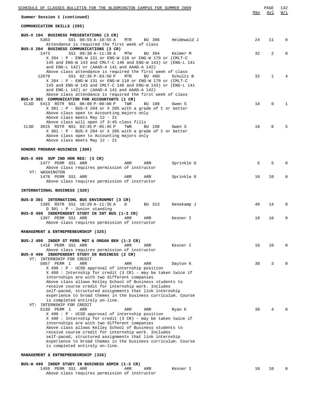| SCHEDULE OF CLASSES BULLETIN FOR THE BLOOMINGTON CAMPUS FOR SUMMER 2009                                         | Max | PAGE<br>Avl  | 132<br>W/L   |
|-----------------------------------------------------------------------------------------------------------------|-----|--------------|--------------|
| Summer Session 1 (continued)                                                                                    |     |              |              |
| COMMUNICATION SKILLS (295)                                                                                      |     |              |              |
| BUS-X 104 BUSINESS PRESENTATIONS (3 CR)                                                                         |     |              |              |
| 5363<br>SS1 08:55 A-10:55 A<br>Heidewald J<br>MTR<br>BU 306<br>Attendance is required the first week of class   | 24  | 11           | $\mathbf 0$  |
| BUS-X 204 BUSINESS COMMUNICATIONS (3 CR)                                                                        |     |              |              |
| SS1 09:30 A-11:30 A<br>1473<br>MTW<br>BU 304<br>Kelmer M                                                        | 32  | 2            | <sup>0</sup> |
| X 204 : P - ENG-W 131 or ENG-W 110 or ENG-W 170 or (CMLT-C                                                      |     |              |              |
| 145 and ENG-W 143 and CMLT-C 146 and ENG-W 143) or (ENG-L 141<br>and ENG-L 142) or (AAAD-A 141 and AAAD-A 142)  |     |              |              |
| Above class attendance is required the first week of class                                                      |     |              |              |
| SS1 02:35 P-03:50 P<br>BU 400<br>12679<br>MTR<br>Schultz B                                                      | 32  | $\mathbf{1}$ |              |
| X 204 : P - ENG-W 131 or ENG-W 110 or ENG-W 170 or (CMLT-C                                                      |     |              |              |
| 145 and ENG-W 143 and CMLT-C 146 and ENG-W 143) or (ENG-L 141<br>and ENG-L 142) or (AAAD-A 141 and AAAD-A 142)  |     |              |              |
| Above class attendance is required the first week of class                                                      |     |              |              |
| BUS-X 301 COMMUNICATION FOR ACCOUNTANTS (1 CR)                                                                  |     |              |              |
| 5413 RSTR NS1 06:00 P-08:00 P<br>CLSD<br>TWR<br>BU 108<br>Owen S                                                | 18  | $\Omega$     | 1            |
| X 301 : P - BUS-X 204 or X 205 with a grade of C or better                                                      |     |              |              |
| Above class open to Accounting majors only<br>Above class meets May 12 - 21                                     |     |              |              |
| Above class will open if 3:45 class fills                                                                       |     |              |              |
| 3815 RSTR NS1 03:45 P-05:45 P<br>TWR<br>BU 108<br>CLSD<br>Owen S                                                | 18  | $\mathbf 0$  |              |
| X 301 : P - BUS-X 204 or X 205 with a grade of C or better                                                      |     |              |              |
| Above class open to Accounting majors only                                                                      |     |              |              |
| Above class meets May 12 - 21                                                                                   |     |              |              |
| HONORS PROGRAM-BUSINESS (300)                                                                                   |     |              |              |
|                                                                                                                 |     |              |              |
| BUS-X 496 SUP IND HON RES: (3 CR)                                                                               |     | 5            | $\Omega$     |
| 1477 PERM SS1 ARR<br>Sprinkle G<br>ARR<br>ARR<br>Above class requires permission of instructor                  | 5   |              |              |
| VT: WASHINGTON                                                                                                  |     |              |              |
| 1478 PERM SS1 ARR<br>Sprinkle G<br>ARR<br>ARR                                                                   | 10  | 10           | $\Omega$     |
| Above class requires permission of instructor                                                                   |     |              |              |
| INTERNATIONAL BUSINESS (320)                                                                                    |     |              |              |
|                                                                                                                 |     |              |              |
| BUS-D 301 INTERNATIONL BUS ENVIRONMNT (3 CR)                                                                    |     |              |              |
| 1395 RSTR SS1 10:20 A-11:35 A<br>BU 313<br>Denekamp J<br>D<br>$D$ 301 : P - Junior standing                     | 40  | 14           | 0            |
| BUS-D 490 INDEPENDENT STUDY IN INT BUS (1-3 CR)                                                                 |     |              |              |
| 1397 PERM SS1 ARR<br>ARR<br>ARR<br>Kesner I                                                                     | 10  | 10           | $\Omega$     |
| Above class requires permission of instructor                                                                   |     |              |              |
| MANAGEMENT & ENTREPRENEURSHIP (325)                                                                             |     |              |              |
|                                                                                                                 |     |              |              |
| BUS-J 490 INDEP ST PERS MGT & ORGAN BEH (1-3 CR)                                                                |     |              |              |
| 1418 PERM SS1 ARR<br>ARR<br>ARR<br>Kesner I                                                                     | 10  | 10           | $\Omega$     |
| Above class requires permission of instructor                                                                   |     |              |              |
| BUS-X 490 INDEPENDENT STUDY IN BUSINESS (2 CR)<br>VT: INTERNSHIP FOR CREDIT                                     |     |              |              |
| 5057 PERM 1<br>ARR<br>ARR<br>ARR<br>Dayton K                                                                    | 30  | 3            | n            |
| $X$ 490 : P - UCSO approval of internship position                                                              |     |              |              |
| X 490 : Internship for credit (3 CR) - may be taken twice if                                                    |     |              |              |
| internships are with two different companies<br>Above class allows Kelley School of Business students to        |     |              |              |
| receive course credit for internship work. Includes                                                             |     |              |              |
| self-paced, structured assignments that link internship                                                         |     |              |              |
| experience to broad themes in the business curriculum. Course                                                   |     |              |              |
| is completed entirely on-line.                                                                                  |     |              |              |
| VT: INTERNSHIP FOR CREDIT<br>5130 PERM 1<br>ARR<br>ARR<br>ARR<br>Ryan K                                         | 30  | 4            |              |
| $X$ 490 : P - UCSO approval of internship position                                                              |     |              |              |
| X 490 : Internship for credit (3 CR) - may be taken twice if                                                    |     |              |              |
| internships are with two different companies                                                                    |     |              |              |
| Above class allows Kelley School of Business students to<br>receive course credit for internship work. Includes |     |              |              |
| self-paced, structured assignments that link internship                                                         |     |              |              |
| experience to broad themes in the business curriculum. Course                                                   |     |              |              |
| is completed entirely on-line.                                                                                  |     |              |              |
| MANAGEMENT & ENTREPRENEURSHIP (326)                                                                             |     |              |              |
|                                                                                                                 |     |              |              |
| <b>DIRECT TARTLE CL.</b>                                                                                        |     |              |              |

**BUS-W 490 INDEP STUDY IN BUSINESS ADMIN (1-3 CR)** 1459 PERM SS1 ARR ARR ARR Kesner I 10 10 0 Above class requires permission of instructor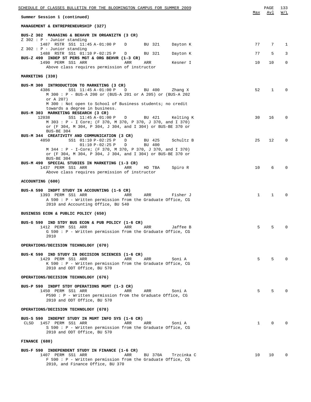| SCHEDULE OF CLASSES BULLETIN FOR THE BLOOMINGTON CAMPUS FOR SUMMER 2009                                                                                                                                                               |              | PAGE         | 133            |
|---------------------------------------------------------------------------------------------------------------------------------------------------------------------------------------------------------------------------------------|--------------|--------------|----------------|
| Summer Session 1 (continued)                                                                                                                                                                                                          | Max          | Avl          | W/L            |
| MANAGEMENT & ENTREPRENEURSHIP (327)                                                                                                                                                                                                   |              |              |                |
| BUS-Z 302 MANAGING & BEHAVR IN ORGANIZTN (3 CR)                                                                                                                                                                                       |              |              |                |
| $Z$ 302 : P - Junior standing<br>1487 RSTR SS1 11:45 A-01:00 P<br>BU 321<br>Dayton K<br>D                                                                                                                                             | 77           | 7            | $\mathbf{1}$   |
| $Z$ 302 : P - Junior standing<br>1488 RSTR SS1 01:10 P-02:25 P<br>BU 321<br>Dayton K<br>D                                                                                                                                             | 77           | 5            | $\mathbf{3}$   |
| BUS-Z 490 INDEP ST PERS MGT & ORG BEHVR (1-3 CR)<br>1490 PERM SS1 ARR<br>ARR<br>ARR<br>Kesner I                                                                                                                                       | 10           | 10           | $\mathbf{0}$   |
| Above class requires permission of instructor                                                                                                                                                                                         |              |              |                |
| MARKETING (330)                                                                                                                                                                                                                       |              |              |                |
| BUS-M 300 INTRODUCTION TO MARKETING (3 CR)<br>SS1 11:45 A-01:00 P<br>4386<br>$\mathbb{D}$<br>BU 400<br>Zhang X<br>M 300 : P - BUS-A 200 or (BUS-A 201 or A 205) or (BUS-A 202<br>or A 207)                                            | 52           | $\mathbf{1}$ | $\Omega$       |
| M 300: Not open to School of Business students; no credit<br>towards a degree in business.                                                                                                                                            |              |              |                |
| BUS-M 303 MARKETING RESEARCH (3 CR)<br>SS1 11:45 A-01:00 P<br>D BU 421 Kelting K<br>12038<br>M 303 : P - I Core; (F 370, M 370, P 370, J 370, and I 370)<br>or (F 304, M 304, P 304, J 304, and I 304) or BUS-BE 370 or<br>BUS-BE 304 | 30           | 16           | $\Omega$       |
| BUS-M 344 CREATIVITY AND COMMUNICATION (3 CR)<br>4850<br>SS1 01:10 P-02:25 P<br>BU 425<br>D<br>Schultz B<br>$01:10 P-02:25 P$<br>BU 400<br>D<br>M 344 : P - I-Core; (F 370, M 370, P 370, J 370, and I 370)                           | 25           | 12           | $\Omega$       |
| or (F 304, M 304, P 304, J 304, and I 304) or BUS-BE 370 or<br>BUS-BE 304<br>BUS-M 490 SPECIAL STUDIES IN MARKETING (1-3 CR)                                                                                                          |              |              |                |
| 1437 PERM SS1 ARR<br>ARR<br>HD TBA<br>Spiro R<br>Above class requires permission of instructor                                                                                                                                        | 10           | 6            | $\Omega$       |
| ACCOUNTING (600)                                                                                                                                                                                                                      |              |              |                |
| BUS-A 590 INDPT STUDY IN ACCOUNTING (1-6 CR)<br>1393 PERM SS1 ARR<br>ARR<br>ARR<br>Fisher J<br>A 590 : P - Written permission from the Graduate Office, CG                                                                            | $\mathbf{1}$ | $\mathbf{1}$ | $\Omega$       |
| 2010 and Accounting Office, BU 540                                                                                                                                                                                                    |              |              |                |
| BUSINESS ECON & PUBLIC POLICY (650)                                                                                                                                                                                                   |              |              |                |
| BUS-G 590 IND STDY BUS ECON & PUB POLICY (1-6 CR)<br>1412 PERM SS1 ARR<br>ARR<br>ARR<br>Jaffee B<br>G 590 : P - Written permission from the Graduate Office, CG<br>2010                                                               | 5            | 5            | $\Omega$       |
| OPERATIONS/DECISION TECHNOLOGY (670)                                                                                                                                                                                                  |              |              |                |
| BUS-K 590 IND STUDY IN DECISION SCIENCES (1-6 CR)<br>1429 PERM SS1 ARR<br>ARR<br>ARR<br>Soni A<br>$K$ 590 : P - Written permission from the Graduate Office, CG<br>2010 and ODT Office, BU 570                                        | 5            | 5            | $\Omega$       |
| OPERATIONS/DECISION TECHNOLOGY (676)                                                                                                                                                                                                  |              |              |                |
| BUS-P 590 INDPT STDY OPERATIONS MGMT (1-3 CR)<br>1450 PERM SS1 ARR<br>ARR<br>ARR<br>Soni A<br>P590: P - Written permission from the Graduate Office, CG<br>2010 and ODT Office, BU 570                                                | 5            | 5            | <sup>n</sup>   |
| OPERATIONS/DECISION TECHNOLOGY (678)                                                                                                                                                                                                  |              |              |                |
| BUS-S 590 INDEPNT STUDY IN MGMT INFO SYS (1-6 CR)<br>1457 PERM SS1 ARR<br>CLSD<br>ARR<br>ARR<br>Soni A<br>S 590 : P - Written permission from the Graduate Office, CG<br>2010 and ODT Office, BU 570                                  | $\mathbf 1$  | $\mathbf{0}$ | $\Omega$       |
| FINANCE (680)                                                                                                                                                                                                                         |              |              |                |
| BUS-F 590 INDEPENDENT STUDY IN FINANCE (1-6 CR)<br>1407 PERM SS1 ARR<br>ARR<br>BU 370A<br>Trzcinka C<br>F 590 : P - Written permission from the Graduate Office, CG<br>2010, and Finance Office, BU 370                               | 10           | 10           | $\overline{0}$ |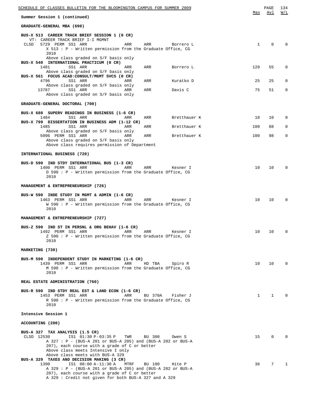| SCHEDULE OF CLASSES BULLETIN FOR THE BLOOMINGTON CAMPUS FOR SUMMER 2009                                                                                                                                                                                                |        |                  |              | PAGE            | 134         |
|------------------------------------------------------------------------------------------------------------------------------------------------------------------------------------------------------------------------------------------------------------------------|--------|------------------|--------------|-----------------|-------------|
| Summer Session 1 (continued)                                                                                                                                                                                                                                           |        |                  | Max          | Avl             | W/L         |
| GRADUATE-GENERAL MBA (690)                                                                                                                                                                                                                                             |        |                  |              |                 |             |
| BUS-X 513 CAREER TRACK BRIEF SESSION 1 (0 CR)<br>VT: CAREER TRACK BRIEF I-I MGMNT<br>CLSD<br>5729 PERM SS1 ARR<br>ARR                                                                                                                                                  | ARR    | Borrero L        | 1            | $\Omega$        |             |
| $X 513 : P - Written permission from the Graduate Office, CG$<br>2010<br>Above class graded on S/F basis only                                                                                                                                                          |        |                  |              |                 |             |
| BUS-X 540 INTERNATIONAL PRACTICUM (0 CR)<br>1481<br>SS1 ARR<br>ARR<br>Above class graded on S/F basis only                                                                                                                                                             | ARR    | Borrero L        | 120          | 55              | 0           |
| BUS-X 561 FOCUS ACAD: CONSULT/MGMT SVCS (0 CR)<br>4796<br>SS1 ARR<br>ARR                                                                                                                                                                                               | ARR    | Kuratko D        | 25           | 25              | $\mathbf 0$ |
| Above class graded on S/F basis only<br>13787<br>SS1 ARR<br>ARR<br>Above class graded on S/F basis only                                                                                                                                                                | ARR    | Davis C          | 75           | 51              | $\mathbf 0$ |
| GRADUATE-GENERAL DOCTORAL (700)                                                                                                                                                                                                                                        |        |                  |              |                 |             |
| BUS-X 680 SUPERV READINGS IN BUSINESS (1-6 CR)<br>SS1 ARR<br>1484<br>ARR                                                                                                                                                                                               | ARR    | Bretthauer K     | 10           | 10              | $\mathbf 0$ |
| BUS-X 799 DISSERTATION IN BUSINESS ADM (1-12 CR)<br>1485<br>SS1 ARR<br>ARR                                                                                                                                                                                             | ARR    | Bretthauer K     | 100          | 88              | 0           |
| Above class graded on S/F basis only<br>5096 PERM SS1 ARR<br>ARR                                                                                                                                                                                                       | ARR    | Bretthauer K     | 100          | 98              | $\mathbf 0$ |
| Above class graded on S/F basis only<br>Above class requires permission of Department                                                                                                                                                                                  |        |                  |              |                 |             |
| INTERNATIONAL BUSINESS (720)                                                                                                                                                                                                                                           |        |                  |              |                 |             |
| BUS-D 590 IND STDY INTERNATIONAL BUS (1-3 CR)<br>ARR<br>1400 PERM SS1 ARR<br>$D$ 590 : P - Written permission from the Graduate Office, CG<br>2010                                                                                                                     | ARR    | Kesner I         | 10           | 10              |             |
| MANAGEMENT & ENTREPRENEURSHIP (726)                                                                                                                                                                                                                                    |        |                  |              |                 |             |
| BUS-W 590 INDE STUDY IN MGMT & ADMIN (1-6 CR)<br>1463 PERM SS1 ARR<br>ARR<br>W 590 : P - Written permission from the Graduate Office, CG<br>2010                                                                                                                       | ARR    | Kesner I         | 10           | 10              |             |
| MANAGEMENT & ENTREPRENEURSHIP (727)                                                                                                                                                                                                                                    |        |                  |              |                 |             |
| BUS-Z 590 IND ST IN PERSNL & ORG BEHAV (1-6 CR)<br>1492 PERM SS1 ARR<br>ARR ARR<br>Z 590 : P - Written permission from the Graduate Office, CG<br>2010                                                                                                                 |        | Kesner I         |              | 10 10           |             |
| MARKETING (730)                                                                                                                                                                                                                                                        |        |                  |              |                 |             |
| BUS-M 590 INDEPENDENT STUDY IN MARKETING (1-6 CR)<br>1439 PERM SS1 ARR<br>ARR<br>M 590 : P - Written permission from the Graduate Office, CG<br>2010                                                                                                                   | HD TBA | Spiro R          | 10           | 10 <sup>°</sup> | 0           |
| REAL ESTATE ADMINISTRATION (760)                                                                                                                                                                                                                                       |        |                  |              |                 |             |
| BUS-R 590 IND STDY REAL EST & LAND ECON (1-6 CR)<br>1453 PERM SS1 ARR<br>ARR<br>R 590 : P - Written permission from the Graduate Office, CG<br>2010                                                                                                                    |        | BU 370A Fisher J | $\mathbf{1}$ | $\mathbf{1}$    |             |
| Intensive Session 1                                                                                                                                                                                                                                                    |        |                  |              |                 |             |
| ACCOUNTING (200)                                                                                                                                                                                                                                                       |        |                  |              |                 |             |
| BUS-A 327 TAX ANALYSIS (1.5 CR)<br>CLSD 12530<br>IS1 01:30 P-03:35 P<br>TWR<br>A 327 : P - (BUS-A 201 or BUS-A 205) and (BUS-A 202 or BUS-A<br>207), each course with a grade of C or better<br>Above class meets Intensive I only<br>Above class meets with BUS-A 329 | BU 300 | Owen S           | 15           | 0               |             |
| BUS-A 329 TAXES AND DECISION MAKING (3 CR)<br>MTRF<br>1390<br>IS1 08:00 A-11:30 A<br>A 329 : P - (BUS-A 201 or BUS-A 205) and (BUS-A 202 or BUS-A<br>207), each course with a grade of C or better                                                                     | BU 100 | Hite P           | 36           |                 | 7 1         |

A 329 : Credit not given for both BUS-A 327 and A 329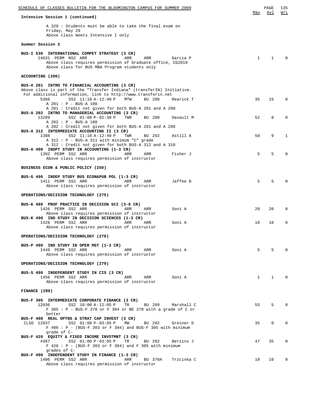| SCHEDULE OF CLASSES BULLETIN FOR THE BLOOMINGTON CAMPUS FOR SUMMER 2009                                                                                                                                                                                                         |              | PAGE         | 135         |
|---------------------------------------------------------------------------------------------------------------------------------------------------------------------------------------------------------------------------------------------------------------------------------|--------------|--------------|-------------|
| Intensive Session 1 (continued)                                                                                                                                                                                                                                                 | Max          | Avl          | W/L         |
| A 329: Students must be able to take the final exam on<br>Friday, May 29<br>Above class meets Intensive I only                                                                                                                                                                  |              |              |             |
| Summer Session 2                                                                                                                                                                                                                                                                |              |              |             |
| BUS-I 536 INTERNATIONAL COMPET STRATEGY (3 CR)<br>14631 PERM NS2 ARR<br>ARR<br>ARR<br>Garcia P<br>Above class requires permission of Graduate office, CG2010<br>Above class for BUS MBA Program students only                                                                   | $\mathbf{1}$ | $\mathbf{1}$ |             |
| ACCOUNTING (200)                                                                                                                                                                                                                                                                |              |              |             |
| BUS-A 201 INTRO TO FINANCIAL ACCOUNTING (3 CR)<br>Above class is part of the "Transfer Indiana" (transferIN) Initiative.<br>For additional information, link to http://www.transferin.net<br>5366<br>SS2 11:10 A-12:40 P<br>MTW<br>BU 200<br>Rearick T<br>A 201 : P - BUS-A 100 | 35           | 15           | $\Omega$    |
| A 201: Credit not given for both BUS-A 201 and A 200<br>BUS-A 202 INTRO TO MANAGERIAL ACCOUNTING (3 CR)                                                                                                                                                                         |              |              |             |
| 13289<br>SS2 01:00 P-02:30 P<br>Davault M<br>TWR<br>BU 200<br>A 202 : P - BUS-A 100                                                                                                                                                                                             | 52           | 8            | $\Omega$    |
| A 202: Credit not given for both BUS-A 201 and A 200<br>BUS-A 312 INTERMEDIATE ACCOUNTING II (3 CR)                                                                                                                                                                             |              |              |             |
| 1388<br>SS2 11:10 A-12:40 P<br>Astill A<br>TWR<br>BU 202<br>$A$ 312 : P - BUS-A 311 with minimum "C" grade                                                                                                                                                                      | 50           | 9            | 1           |
| A 312 : Credit not given for both BUS-A 312 and A 310<br>BUS-A 490 INDPT STUDY IN ACCOUNTING (1-3 CR)                                                                                                                                                                           |              |              |             |
| 1392 PERM SS2 ARR<br>Fisher J<br>ARR<br>ARR<br>Above class requires permission of instructor                                                                                                                                                                                    | 5            | 5            | $\Omega$    |
| BUSINESS ECON & PUBLIC POLICY (250)                                                                                                                                                                                                                                             |              |              |             |
| BUS-G 490 INDEP STUDY BUS ECON&PUB POL (1-3 CR)                                                                                                                                                                                                                                 |              |              |             |
| 1411 PERM SS2 ARR<br>ARR<br>Jaffee B<br>ARR<br>Above class requires permission of instructor                                                                                                                                                                                    | 5            | .5           |             |
| OPERATIONS/DECISION TECHNOLOGY (275)                                                                                                                                                                                                                                            |              |              |             |
| BUS-K 480 PROF PRACTICE IN DECISION SCI (3-6 CR)<br>1426 PERM SS2 ARR<br>ARR<br>ARR<br>Soni A<br>Above class requires permission of instructor                                                                                                                                  | 20           | 20           | $\Omega$    |
| BUS-K 490 IND STUDY IN DECISION SCIENCES (1-3 CR)<br>1428 PERM SS2 ARR<br>ARR<br>Soni A<br>ARR<br>Above class requires permission of instructor                                                                                                                                 | 10           | 10           | $\mathbf 0$ |
| OPERATIONS/DECISION TECHNOLOGY (278)                                                                                                                                                                                                                                            |              |              |             |
| BUS-P 490 IND STUDY IN OPER MGT (1-3 CR)<br>1449 PERM SS2 ARR<br>ARR ARR Soni <b>A</b><br>Above class requires permission of instructor                                                                                                                                         | 5            | 5            |             |
| OPERATIONS/DECISION TECHNOLOGY (279)                                                                                                                                                                                                                                            |              |              |             |
| BUS-S 490 INDEPENDENT STUDY IN CIS (3 CR)<br>1456 PERM SS2 ARR<br>ARR ARR Soni <b>A</b><br>Above class requires permission of instructor                                                                                                                                        | $\mathbf{1}$ | $\mathbf{1}$ |             |
| FINANCE (280)                                                                                                                                                                                                                                                                   |              |              |             |
| BUS-F 305 INTERMEDIATE CORPORATE FINANCE (3 CR)<br>TR BU 209 Marshall C<br>12036 SS2 10:00 A-12:05 P<br>F 305 : P - BUS-F 370 or F 304 or BE 370 with a grade of C or<br>better                                                                                                 | 55           | 5            | $\Omega$    |
| BUS-F 408 REAL OPTNS & STRAT CAP INVEST (3 CR)<br>CLSD 12037<br>SS2 01:00 P-03:05 P MW<br>BU 202 Greiner D<br>$F$ 408 : P - (BUS-F 303 or F 304) and BUS-F 305 with minimum<br>grade of C-                                                                                      | 35           | $\mathbf{0}$ | $\Omega$    |
| BUS-F 420 EQUITY & FIXED INCOME INVSTMNT (3 CR)<br>SS2 01:00 P-03:05 P TR<br>BU 202<br>4387<br>Berzins J<br>$F$ 420 : P - (BUS-F 303 or F 304) and F 305 with minimum<br>grades of C-                                                                                           | 47           | 35           | $\Omega$    |
| BUS-F 490 INDEPENDENT STUDY IN FINANCE (1-3 CR)<br>1406 PERM SS2 ARR<br>Trzcinka C<br>ARR<br>BU 370A<br>Above class requires permission of instructor                                                                                                                           | 10           | 10           | $\mathbf 0$ |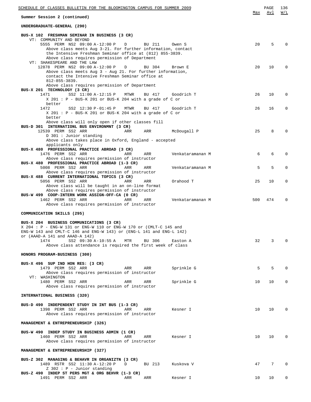| SCHEDULE OF CLASSES BULLETIN FOR THE BLOOMINGTON CAMPUS FOR SUMMER 2009                                                  |     | PAGE            | 136          |
|--------------------------------------------------------------------------------------------------------------------------|-----|-----------------|--------------|
| Summer Session 2 (continued)                                                                                             | Max | Avl             | W/L          |
| UNDERGRADUATE-GENERAL (290)                                                                                              |     |                 |              |
| BUS-X 102 FRESHMAN SEMINAR IN BUSINESS (3 CR)                                                                            |     |                 |              |
| VT: COMMUNITY AND BEYOND<br>5555 PERM NS2 09:00 A-12:00 P<br>D<br>BU 211<br>Owen S                                       | 20  | 5               | $\Omega$     |
| Above class meets Aug 3-21. For further information, contact                                                             |     |                 |              |
| the Intensive Freshman Seminar office at (812) 855-3839.                                                                 |     |                 |              |
| Above class requires permission of Department                                                                            |     |                 |              |
| VT: SHAKESPEARE AND THE LAW<br>12878 PERM NS2 09:00 A-12:00 P<br>D<br>BU 304<br>Brown E                                  | 20  | 10              | $\Omega$     |
| Above class meets Aug 3 - Aug 21. For further information,                                                               |     |                 |              |
| contact the Intensive Freshman Seminar office at                                                                         |     |                 |              |
| $812 - 855 - 3839.$                                                                                                      |     |                 |              |
| Above class requires permission of Department<br>BUS-X 201 TECHNOLOGY (3 CR)                                             |     |                 |              |
| SS2 11:00 A-12:15 P<br>1471<br>MTWR<br>BU 417<br>Goodrich T                                                              | 26  | 10              | $\Omega$     |
| $X$ 201 : P - BUS-K 201 or BUS-K 204 with a grade of C or                                                                |     |                 |              |
| better                                                                                                                   |     |                 |              |
| SS2 12:30 P-01:45 P<br>1472<br>MTWR<br>BU 417<br>Goodrich T<br>$X$ 201 : P - BUS-K 201 or BUS-K 204 with a grade of C or | 26  | 16              | 0            |
| better                                                                                                                   |     |                 |              |
| Above class will only open if other classes fill                                                                         |     |                 |              |
| BUS-D 301 INTERNATIONL BUS ENVIRONMNT (3 CR)                                                                             |     |                 |              |
| 12539 PERM SS2 ARR<br>McDougall P<br>ARR<br>ARR<br>D 301 : Junior standing                                               | 25  | 8               | $\Omega$     |
| Above class takes place in Oxford, England - accepted                                                                    |     |                 |              |
| applicants only                                                                                                          |     |                 |              |
| BUS-X 480 PROFESSIONAL PRACTICE ABROAD (3 CR)                                                                            |     |                 |              |
| 1476 PERM SS2 ARR<br>ARR<br>ARR<br>Venkataramanan M                                                                      | 6   | 6               | $\Omega$     |
| Above class requires permission of instructor<br>BUS-X 480 PROFESSIONAL PRACTICE ABROAD (1-3 CR)                         |     |                 |              |
| 5008 PERM SS2 ARR<br>ARR<br>ARR<br>Venkataramanan M                                                                      | 5   | 5               | $\Omega$     |
| Above class requires permission of instructor                                                                            |     |                 |              |
| BUS-X 488 CURRENT INTERNATIONAL TOPICS (3 CR)<br>ARR                                                                     | 25  | 10              | 0            |
| 5056 PERM SS2 ARR<br>Orahood T<br>ARR<br>Above class will be taught in an on-line format                                 |     |                 |              |
| Above class requires permission of instructor                                                                            |     |                 |              |
| BUS-W 499 COOP-INTERN WORK ASSIGN-OFF-CA (0 CR)                                                                          |     |                 |              |
| 1462 PERM SS2 ARR<br>ARR<br>ARR<br>Venkataramanan M                                                                      | 500 | 474             | $\Omega$     |
| Above class requires permission of instructor                                                                            |     |                 |              |
| COMMUNICATION SKILLS (295)                                                                                               |     |                 |              |
|                                                                                                                          |     |                 |              |
| BUS-X 204 BUSINESS COMMUNICATIONS (3 CR)<br>X 204 : P - ENG-W 131 or ENG-W 110 or ENG-W 170 or (CMLT-C 145 and           |     |                 |              |
| ENG-W 143 and CMLT-C 146 and ENG-W 143) or (ENG-L 141 and ENG-L 142)                                                     |     |                 |              |
| or (AAAD-A 141 and AAAD-A 142)                                                                                           |     |                 |              |
| 1474<br>SS2 09:30 A-10:55 A<br>MTR<br>BU 306<br>Easton A                                                                 | 32  | 3               | $\Omega$     |
| Above class attendance is required the first week of class                                                               |     |                 |              |
| HONORS PROGRAM-BUSINESS (300)                                                                                            |     |                 |              |
|                                                                                                                          |     |                 |              |
| BUS-X 496 SUP IND HON RES: (3 CR)                                                                                        |     |                 |              |
| 1479 PERM SS2 ARR<br>ARR<br>ARR<br>Sprinkle G<br>Above class requires permission of instructor                           | 5   | 5               | $\Omega$     |
| VT: WASHINGTON                                                                                                           |     |                 |              |
| 1480 PERM SS2 ARR<br>ARR<br>ARR<br>Sprinkle G                                                                            | 10  | 10 <sup>1</sup> | 0            |
| Above class requires permission of instructor                                                                            |     |                 |              |
| INTERNATIONAL BUSINESS (320)                                                                                             |     |                 |              |
|                                                                                                                          |     |                 |              |
| BUS-D 490 INDEPENDENT STUDY IN INT BUS (1-3 CR)                                                                          |     |                 |              |
| 1398 PERM SS2 ARR<br>Kesner I<br>ARR<br>ARR                                                                              | 10  | 10 <sup>°</sup> | $\Omega$     |
| Above class requires permission of instructor                                                                            |     |                 |              |
| MANAGEMENT & ENTREPRENEURSHIP (326)                                                                                      |     |                 |              |
|                                                                                                                          |     |                 |              |
| BUS-W 490 INDEP STUDY IN BUSINESS ADMIN (1 CR)                                                                           | 10  |                 | $\mathbf 0$  |
| 1460 PERM SS2 ARR<br>ARR<br>ARR<br>Kesner I<br>Above class requires permission of instructor                             |     | 10 <sub>1</sub> |              |
|                                                                                                                          |     |                 |              |
| MANAGEMENT & ENTREPRENEURSHIP (327)                                                                                      |     |                 |              |
|                                                                                                                          |     |                 |              |
| BUS-Z 302 MANAGING & BEHAVR IN ORGANIZTN (3 CR)<br>1489 RSTR SS2 11:30 A-12:20 P<br>BU 213<br>Kuskova V<br>D             | 47  | $7\overline{ }$ | $\Omega$     |
| $Z$ 302 : P - Junior standing                                                                                            |     |                 |              |
| BUS-Z 490 INDEP ST PERS MGT & ORG BEHVR (1-3 CR)                                                                         |     |                 |              |
| 1491 PERM SS2 ARR<br>Kesner I<br>ARR<br>ARR                                                                              | 10  | 10              | $\mathbf{0}$ |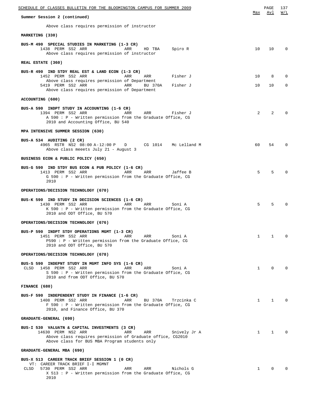| <u>SCHEDULE OF CLASSES BULLETIN FOR THE BLOOMINGTON CAMPUS FOR SUMMER 2009</u>                                                                                                                                                                                    |              | PAGE                 | 137<br>W/L                  |
|-------------------------------------------------------------------------------------------------------------------------------------------------------------------------------------------------------------------------------------------------------------------|--------------|----------------------|-----------------------------|
| Summer Session 2 (continued)                                                                                                                                                                                                                                      | Max          | Avl                  |                             |
| Above class requires permission of instructor                                                                                                                                                                                                                     |              |                      |                             |
| MARKETING (330)                                                                                                                                                                                                                                                   |              |                      |                             |
| BUS-M 490 SPECIAL STUDIES IN MARKETING (1-3 CR)<br>1438 PERM SS2 ARR<br>ARR<br>Spiro R<br>HD TBA<br>Above class requires permission of instructor                                                                                                                 | 10           | 10 <sup>1</sup>      | $\mathbf 0$                 |
| REAL ESTATE (360)                                                                                                                                                                                                                                                 |              |                      |                             |
| BUS-R 490 IND STDY REAL EST & LAND ECON (1-3 CR)<br>1452 PERM SS2 ARR<br>ARR<br>ARR<br>Fisher J<br>Above class requires permission of Department<br>5419 PERM SS2 ARR<br>ARR <sub>2</sub><br>BU 370A<br>Fisher J<br>Above class requires permission of Department | 10<br>10     | 8<br>10 <sub>1</sub> | $\mathbf 0$<br>$\mathbf{0}$ |
| ACCOUNTING (600)                                                                                                                                                                                                                                                  |              |                      |                             |
| BUS-A 590 INDPT STUDY IN ACCOUNTING (1-6 CR)<br>1394 PERM SS2 ARR<br>ARR<br>ARR<br>Fisher J<br>A 590 : P - Written permission from the Graduate Office, CG<br>2010 and Accounting Office, BU 540                                                                  | 2            | 2                    |                             |
| MPA INTENSIVE SUMMER SESSION (630)                                                                                                                                                                                                                                |              |                      |                             |
| BUS-A 534 AUDITING (2 CR)<br>4965 RSTR NS2 08:00 A-12:00 P<br>D CG 1014 Mc Lelland M<br>Above class meeets July 21 - August 3                                                                                                                                     | 60           | 54                   | $\Omega$                    |
| BUSINESS ECON & PUBLIC POLICY (650)                                                                                                                                                                                                                               |              |                      |                             |
| BUS-G 590 IND STDY BUS ECON & PUB POLICY (1-6 CR)<br>1413 PERM SS2 ARR<br>ARR<br>ARR<br>Jaffee B<br>G 590 : P - Written permission from the Graduate Office, CG<br>2010                                                                                           | 5            | 5                    |                             |
| OPERATIONS/DECISION TECHNOLOGY (670)                                                                                                                                                                                                                              |              |                      |                             |
| BUS-K 590 IND STUDY IN DECISION SCIENCES (1-6 CR)<br>1430 PERM SS2 ARR<br>ARR<br>ARR<br>Soni A<br>K 590 : P - Written permission from the Graduate Office, CG<br>2010 and ODT Office, BU 570                                                                      | 5            | 5                    |                             |
| OPERATIONS/DECISION TECHNOLOGY (676)                                                                                                                                                                                                                              |              |                      |                             |
| BUS-P 590 INDPT STDY OPERATIONS MGMT (1-3 CR)<br>1451 PERM SS2 ARR<br>ARR<br>ARR<br>Soni A<br>P590: P - Written permission from the Graduate Office, CG<br>2010 and ODT Office, BU 570                                                                            | $\mathbf{1}$ | 1                    | 0                           |
| OPERATIONS/DECISION TECHNOLOGY (678)                                                                                                                                                                                                                              |              |                      |                             |
| BUS-S 590 INDEPNT STUDY IN MGMT INFO SYS (1-6 CR)<br>1458 PERM SS2 ARR<br>CLSD<br>ARR<br>ARR<br>Soni A<br>S 590 : P - Written permission from the Graduate Office, CG<br>2010 and from ODT Office, BU 570                                                         | 1            | 0                    | $\Omega$                    |
| FINANCE (680)                                                                                                                                                                                                                                                     |              |                      |                             |
| BUS-F 590 INDEPENDENT STUDY IN FINANCE (1-6 CR)<br>1408 PERM SS2 ARR<br>ARR<br>BU 370A<br>Trzcinka C<br>F 590 : P - Written permission from the Graduate Office, CG<br>2010, and Finance Office, BU 370                                                           | $\mathbf{1}$ | $\mathbf{1}$         |                             |
| GRADUATE-GENERAL (690)                                                                                                                                                                                                                                            |              |                      |                             |
| BUS-I 530 VALUATN & CAPITAL INVESTMENTS (3 CR)<br>14630 PERM NS2 ARR<br>ARR<br>ARR<br>Snively Jr A<br>Above class requires permission of Graduate office, CG2010<br>Above class for BUS MBA Program students only                                                 | $\mathbf{1}$ | $\mathbf{1}$         |                             |
| GRADUATE-GENERAL MBA (690)                                                                                                                                                                                                                                        |              |                      |                             |
| BUS-X 513 CAREER TRACK BRIEF SESSION 1 (0 CR)<br>VT: CAREER TRACK BRIEF I-I MGMNT<br>5730 PERM SS2 ARR<br>CLSD<br>ARR<br>ARR<br>Nichols G<br>X 513 : P - Written permission from the Graduate Office, CG<br>2010                                                  | $\mathbf{1}$ | 0                    |                             |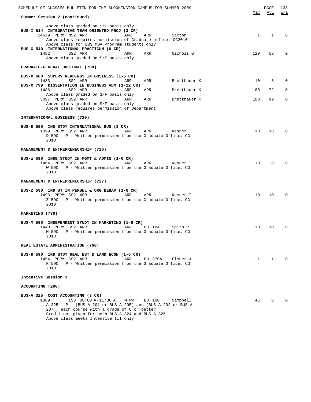| <u>SCHEDULE OF CLASSES BULLETIN FOR THE BLOOMINGTON CAMPUS FOR SUMMER 2009</u>                                                                                                                                                                                        | Max          | PAGE<br>Avl  | 138<br>W/L  |
|-----------------------------------------------------------------------------------------------------------------------------------------------------------------------------------------------------------------------------------------------------------------------|--------------|--------------|-------------|
| Summer Session 2 (continued)                                                                                                                                                                                                                                          |              |              |             |
| Above class graded on S/F basis only<br>BUS-I 514 INTEGRATIVE TEAM ORIENTED PROJ (3 CR)<br>14629 PERM NS2 ARR<br>ARR<br>ARR<br>Saxton T<br>Above class requires permission of Graduate office, CG2010<br>Above class for BUS MBA Program students only                | $\mathbf{1}$ | 1            | $\Omega$    |
| BUS-X 540 INTERNATIONAL PRACTICUM (0 CR)<br>1482<br>SS2 ARR<br>Nichols G<br>ARR<br>ARR<br>Above class graded on S/F basis only                                                                                                                                        | 120          | 53           | 0           |
| GRADUATE-GENERAL DOCTORAL (700)                                                                                                                                                                                                                                       |              |              |             |
| BUS-X 680 SUPERV READINGS IN BUSINESS (1-6 CR)<br>1483<br>SS2 ARR<br>ARR<br>Bretthauer K<br>ARR                                                                                                                                                                       | 10           | 8            | 0           |
| BUS-X 799 DISSERTATION IN BUSINESS ADM (1-12 CR)<br>1486<br>SS2 ARR<br>Bretthauer K<br>ARR<br>ARR                                                                                                                                                                     | 80           | 72           | 0           |
| Above class graded on S/F basis only<br>5097 PERM SS2 ARR<br>Bretthauer K<br>ARR<br>ARR<br>Above class graded on S/F basis only                                                                                                                                       | 100          | 99           | $\mathbf 0$ |
| Above class requires permission of Department                                                                                                                                                                                                                         |              |              |             |
| INTERNATIONAL BUSINESS (720)                                                                                                                                                                                                                                          |              |              |             |
| BUS-D 590 IND STDY INTERNATIONAL BUS (3 CR)<br>1399 PERM SS2 ARR<br>ARR<br>ARR<br>Kesner I<br>D 590 : P - Written permission from the Graduate Office, CG<br>2010                                                                                                     | 10           | 10           | $\Omega$    |
| <b>MANAGEMENT &amp; ENTREPRENEURSHIP (726)</b>                                                                                                                                                                                                                        |              |              |             |
| BUS-W 590 INDE STUDY IN MGMT & ADMIN (1-6 CR)<br>1464 PERM SS2 ARR<br>ARR<br>ARR<br>Kesner I<br>W 590 : P - Written permission from the Graduate Office, CG<br>2010                                                                                                   | 10           | 8            |             |
| MANAGEMENT & ENTREPRENEURSHIP (727)                                                                                                                                                                                                                                   |              |              |             |
| BUS-Z 590 IND ST IN PERSNL & ORG BEHAV (1-6 CR)<br>1493 PERM SS2 ARR<br>ARR<br>ARR<br>Kesner I<br>Z 590 : P - Written permission from the Graduate Office, CG<br>2010                                                                                                 | 10           | 10           | 0           |
| MARKETING (730)                                                                                                                                                                                                                                                       |              |              |             |
| BUS-M 590 INDEPENDENT STUDY IN MARKETING (1-6 CR)<br>1440 PERM SS2 ARR<br>ARR<br>Spiro R<br>HD TBA<br>M 590 : P - Written permission from the Graduate Office, CG<br>2010                                                                                             | 10           | 10           | 0           |
| REAL ESTATE ADMINISTRATION (760)                                                                                                                                                                                                                                      |              |              |             |
| BUS-R 590 IND STDY REAL EST & LAND ECON (1-6 CR)<br>1454 PERM SS2 ARR<br>ARR<br>BU 370A<br>Fisher J<br>R 590 : P - Written permission from the Graduate Office, CG<br>2010                                                                                            | $\mathbf{1}$ | $\mathbf{1}$ | $\Omega$    |
| Intensive Session 3                                                                                                                                                                                                                                                   |              |              |             |
| ACCOUNTING (200)                                                                                                                                                                                                                                                      |              |              |             |
| BUS-A 325 COST ACCOUNTING (3 CR)<br>1389<br>IS3 08:00 A-11:30 A<br>MTWR<br>BU 100<br>Campbell T<br>A 325 : P - (BUS-A 201 or BUS-A 205) and (BUS-A 202 or BUS-A<br>207), each course with a grade of C or better<br>Credit not given for both BUS-A 324 and BUS-A 325 | 45           | 8            |             |

Above class meets Intensive III only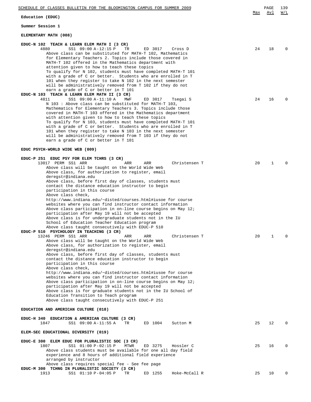## **ELEMENTARY MATH (008)**

| EDUC-N 102 TEACH & LEARN ELEM MATH I (3 CR)<br>4880<br>SS1 09:00 A-12:15 P<br>TR<br>ED 3017<br>Cross D                        | 24 | 18 | $\Omega$ |
|-------------------------------------------------------------------------------------------------------------------------------|----|----|----------|
| Above class can be substituted for MATH-T 102, Mathematics                                                                    |    |    |          |
| for Elementary Teachers 2. Topics include those covered in                                                                    |    |    |          |
| MATH-T 102 offered in the Mathematics department with<br>attention given to how to teach these topics                         |    |    |          |
| To qualify for N 102, students must have completed MATH-T 101                                                                 |    |    |          |
| with a grade of C or better. Students who are enrolled in T                                                                   |    |    |          |
| 101 when they register to take N 102 in the next semester<br>will be administratively removed from T 102 if they do not       |    |    |          |
| earn a grade of C or better in T 101                                                                                          |    |    |          |
| EDUC-N 103 TEACH & LEARN ELEM MATH II (3 CR)<br>4811<br>SS1 09:00 A-11:10 A<br>ED 3017<br>MWF<br>Tsegai S                     | 24 | 16 | $\Omega$ |
| N 103 : Above class can be substituted for MATH-T 103,                                                                        |    |    |          |
| Mathematics for Elementary Teachers 3. Topics include those                                                                   |    |    |          |
| covered in MATH-T 103 offered in the Mathematics department<br>with attention given to how to teach these topics              |    |    |          |
| To qualify for N 103, students must have completed MATH-T 101                                                                 |    |    |          |
| with a grade of C or better. Students who are enrolled in T                                                                   |    |    |          |
| 101 when they register to take N 103 in the next semester<br>will be administratively removed from T 103 if they do not       |    |    |          |
| earn a grade of C or better in T 101                                                                                          |    |    |          |
|                                                                                                                               |    |    |          |
| EDUC PSYCH-WORLD WIDE WEB (009)                                                                                               |    |    |          |
| EDUC-P 251 EDUC PSY FOR ELEM TCHRS (3 CR)                                                                                     |    |    |          |
| 13017 PERM SS1 ARR<br>ARR<br>ARR<br>Christensen T                                                                             | 20 | 1  | $\Omega$ |
| Above class will be taught on the World Wide Web<br>Above class, for authorization to register, email                         |    |    |          |
| deregstr@indiana.edu                                                                                                          |    |    |          |
| Above class, before first day of classes, students must                                                                       |    |    |          |
| contact the distance education instructor to begin<br>participation in this course                                            |    |    |          |
| Above class check,                                                                                                            |    |    |          |
| http://www.indiana.edu/~disted/courses.html#iusoe for course                                                                  |    |    |          |
| websites where you can find instructor contact information<br>Above class participation in on-line course begins on May $12i$ |    |    |          |
| participation after May 19 will not be accepted                                                                               |    |    |          |
| Above class is for undergraduate students not in the IU                                                                       |    |    |          |
| School of Education Teacher Education program                                                                                 |    |    |          |
| Above class taught consecutively with EDUC-P 510<br>EDUC-P 510 PSYCHOLOGY IN TEACHING (3 CR)                                  |    |    |          |
| 13246 PERM SS1 ARR<br>ARR<br>ARR<br>Christensen T                                                                             | 20 | 1  | $\Omega$ |
| Above class will be taught on the World Wide Web                                                                              |    |    |          |
| Above class, for authorization to register, email<br>deregstr@indiana.edu                                                     |    |    |          |
| Above class, before first day of classes, students must                                                                       |    |    |          |
| contact the distance education instructor to begin                                                                            |    |    |          |
| participation in this course<br>Above class check,                                                                            |    |    |          |
| http://www.indiana.edu/~disted/courses.html#iusoe for course                                                                  |    |    |          |
| websites where you can find instructor contact information                                                                    |    |    |          |
| Above class participation in on-line course begins on May $12i$<br>participation after May 19 will not be accepted            |    |    |          |
| Above class is for graduate students not in the IU School of                                                                  |    |    |          |
| Education Transition to Teach program                                                                                         |    |    |          |
| Above class taught consecutively with EDUC-P 251                                                                              |    |    |          |
| EDUCATION AND AMERICAN CULTURE (018)                                                                                          |    |    |          |
| EDUC-H 340 EDUCATION & AMERICAN CULTURE (3 CR)                                                                                |    |    |          |
| 1847<br>SS1 09:00 A-11:55 A<br>TR<br>ED 1004<br>Sutton M                                                                      | 25 | 12 | $\Omega$ |
|                                                                                                                               |    |    |          |
| ELEM-SEC EDUCATIONAL DIVERSITY (019)                                                                                          |    |    |          |
| EDUC-E 300 ELEM EDUC FOR PLURALISTIC SOC (3 CR)                                                                               |    |    |          |
| 1807<br>SS1 01:00 P-02:15 P<br>MTWR<br>ED 3275<br>Hossler C                                                                   | 25 | 16 | $\Omega$ |
| Above class students must be available for one all day field<br>experience and 8 hours of additional field experience         |    |    |          |
| arranged by instructor                                                                                                        |    |    |          |
| Above class requires special fee - See fee page                                                                               |    |    |          |
| EDUC-M 300 TCHNG IN PLURALISTIC SOCIETY (3 CR)<br>1913<br>SS1 01:10 P-04:05 P<br>TR<br>ED 1255<br>Hoke-McCall R               | 25 | 10 | 0        |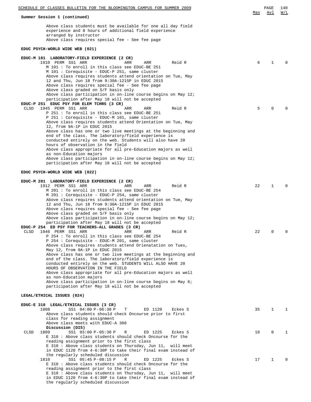| <u>SCHEDULE OF CLASSES BULLETIN FOR THE BLOOMINGTON CAMPUS FOR SUMMER 2009</u>                                                                                                                                                             |     | PAGE | 140                                               |
|--------------------------------------------------------------------------------------------------------------------------------------------------------------------------------------------------------------------------------------------|-----|------|---------------------------------------------------|
| Summer Session 1 (continued)                                                                                                                                                                                                               | Max | Avl  | $\overline{\texttt{W}}$ / $\overline{\texttt{L}}$ |
| Above class students must be available for one all day field<br>experience and 8 hours of additional field experience<br>arranged by instructor<br>Above class requires special fee - See fee page                                         |     |      |                                                   |
| EDUC PSYCH-WORLD WIDE WEB (021)                                                                                                                                                                                                            |     |      |                                                   |
| EDUC-M 101 LABORATORY-FIELD EXPERIENCE (2 CR)                                                                                                                                                                                              |     |      |                                                   |
| 1910 PERM SS1 ARR<br>Reid R<br>ARR<br>ARR<br>M 101 : To enroll in this class see EDUC-BE 251<br>M 101 : Corequisite - EDUC-P 251, same cluster<br>Above class requires students attend orientation on Tue, May                             | 6   | 1    | $\Omega$                                          |
| 12 and Thu, Jun 18 from 9:30A-1215P in EDUC 2015<br>Above class requires special fee - See fee page<br>Above class graded on S/F basis only<br>Above class participation in on-line course begins on May 12;                               |     |      |                                                   |
| participation after May 18 will not be accepted<br>EDUC-P 251 EDUC PSY FOR ELEM TCHRS (3 CR)                                                                                                                                               |     |      |                                                   |
| CLSD<br>1945 PERM SS1 ARR<br>ARR<br>Reid R<br>ARR<br>P 251 : To enroll in this class see EDUC-BE 251                                                                                                                                       | 5   | 0    |                                                   |
| P 251 : Corequisite - EDUC-M 101, same cluster<br>Above class requires students attend Orientation on Tue, May<br>12, from 9A-1P in EDUC 2015                                                                                              |     |      |                                                   |
| Above class has one or two live meetings at the beginning and<br>end of the class. The laboratory/field experience is<br>conducted entirely on the web. Students will also have 20                                                         |     |      |                                                   |
| hours of observation in the field<br>Above class appropriate for all pre-Education majors as well                                                                                                                                          |     |      |                                                   |
| as non-Education majors<br>Above class participation in on-line course begins on May 12;<br>participation after May 18 will not be accepted                                                                                                |     |      |                                                   |
| EDUC PSYCH-WORLD WIDE WEB (022)                                                                                                                                                                                                            |     |      |                                                   |
| EDUC-M 201 LABORATORY-FIELD EXPERIENCE (2 CR)                                                                                                                                                                                              |     |      |                                                   |
| 1912 PERM SS1 ARR<br>ARR<br>Reid R<br>ARR                                                                                                                                                                                                  | 22  | 1    | $\Omega$                                          |
| M 201 : To enroll in this class see EDUC-BE 254<br>M 201 : Corequisite - EDUC-P 254, same cluster                                                                                                                                          |     |      |                                                   |
| Above class requires students attend orientation on Tue, May<br>12 and Thu, Jun 18 from 9:30A-1215P in EDUC 2015                                                                                                                           |     |      |                                                   |
| Above class requires special fee - See fee page<br>Above class graded on S/F basis only<br>Above class participation in on-line course begins on May 12;                                                                                   |     |      |                                                   |
| participation after May 18 will not be accepted                                                                                                                                                                                            |     |      |                                                   |
| EDUC-P 254 ED PSY FOR TEACHERS-ALL GRADES (3 CR)<br>CLSD<br>1946 PERM SS1 ARR<br>Reid R<br>ARR<br>ARR<br>P 254 : To enroll in this class see EDUC-BE 254                                                                                   | 22  | 0    | $\Omega$                                          |
| P 254 : Corequisite - EDUC-M 201, same cluster<br>Above class requires students attend Orienatation on Tues,                                                                                                                               |     |      |                                                   |
| May 12, from 9A-1P in EDUC 2015<br>Above class has one or two live meetings at the beginning and<br>end of the class. The laboratory/field experience is                                                                                   |     |      |                                                   |
| conducted entirely on the web. STUDENTS WILL ALSO HAVE 20<br>HOURS OF OBSERVATION IN THE FIELD                                                                                                                                             |     |      |                                                   |
| Above class appropriate for all pre-Education majors as well<br>as non-Education majors                                                                                                                                                    |     |      |                                                   |
| Above class participation in on-line course begins on May 6;<br>participation after May 18 will not be accepted                                                                                                                            |     |      |                                                   |
| LEGAL/ETHICAL ISSUES (024)                                                                                                                                                                                                                 |     |      |                                                   |
| EDUC-E 310 LEGAL/ETHICAL ISSUES (3 CR)<br>1808<br>SS1 04:00 P-06:30 P<br>т<br>ED 1120<br>Eckes S                                                                                                                                           | 35  | 1    | 1                                                 |
| Above class students should check Oncourse prior to first<br>class for reading assignment<br>Above class meets with EDUC-A 308<br>Discussion (DIS)                                                                                         |     |      |                                                   |
| SS1 03:00 P-05:30 P<br>ED 1225<br>1809<br>R<br>Eckes S<br>CLSD<br>E 310 : Above class students should check Oncourse for the<br>reading assignment prior to the first class<br>E 310 : Above class students on Thursday, Jun 11, will meet | 18  | 0    | 1                                                 |
| in EDUC 1120 from 4-6:30P to take their final exam instead of<br>the regularly scheduled discussion<br>SS1 05:45 P-08:15 P<br>ED 1225<br>Eckes S<br>1810<br>R                                                                              | 17  | 1    | 0                                                 |
| E 310 : Above class students should check Oncourse for the<br>reading assignment prior to the first class<br>E 310 : Above class students on Thursday, Jun 11, will meet                                                                   |     |      |                                                   |
| in EDUC 1120 from 4-6:30P to take their final exam instead of<br>the regularly scheduled discussion                                                                                                                                        |     |      |                                                   |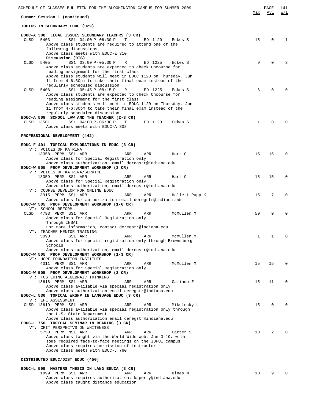| SCHEDULE OF CLASSES BULLETIN FOR THE BLOOMINGTON CAMPUS FOR SUMMER 2009                                                         |              | PAGE        | 141          |
|---------------------------------------------------------------------------------------------------------------------------------|--------------|-------------|--------------|
| Summer Session 1 (continued)                                                                                                    | Max          | Avl         | W/L          |
| TOPICS IN SECONDARY EDUC (029)                                                                                                  |              |             |              |
| EDUC-A 308 LEGAL ISSUES SECONDARY TEACHRS (3 CR)                                                                                |              |             |              |
| <b>CLSD</b><br>5403<br>SS1 04:00 P-06:30 P<br>Т<br>ED 1120<br>Eckes S<br>Above class students are required to attend one of the | 15           | 0           | $\mathbf{1}$ |
| following discussions<br>Above class meets with EDUC-E 310                                                                      |              |             |              |
| Discussion (DIS)                                                                                                                |              |             |              |
| 5405<br>SS1 03:00 P-05:30 P<br>ED 1225<br>CLSD<br>R<br>Eckes S<br>Above class students are expected to check Oncourse for       | 9            | $\Omega$    | 3            |
| reading assignment for the first class                                                                                          |              |             |              |
| Above class students will meet in EDUC 1120 on Thursday, Jun<br>11 from 4-6:30pm to take their final exam instead of the        |              |             |              |
| regularly scheduled discussion<br>5406<br>SS1 05:45 P-08:15 P<br>R<br>ED 1225<br>CLSD<br>Eckes S                                | 6            | $\Omega$    | $\Omega$     |
| Above class students are expected to check Oncourse for                                                                         |              |             |              |
| reading assignment for the first class<br>Above class students will meet in EDUC 1120 on Thursday, Jun                          |              |             |              |
| 11 from 4-6:30pm to take their final exam instead of the                                                                        |              |             |              |
| regularly scheduled discussion<br>EDUC-A 508 SCHOOL LAW AND THE TEACHER (2-3 CR)                                                |              |             |              |
| CLSD 13501<br>SS1 04:00 P-06:30 P<br>ED 1120<br>Т<br>Eckes S                                                                    | $\mathbf{1}$ | $\Omega$    | $\Omega$     |
| Above class meets with EDUC-A 308                                                                                               |              |             |              |
| PROFESSIONAL DEVELOPMENT (442)                                                                                                  |              |             |              |
| EDUC-F 401 TOPICAL EXPLORATIONS IN EDUC (3 CR)                                                                                  |              |             |              |
| VT: VOICES OF KATRINA<br>13358 PERM SS1 ARR<br>ARR<br>ARR<br>Hart C                                                             | 15           | 15          | $\Omega$     |
| Above class for Special Registration only                                                                                       |              |             |              |
| Above class authorization, email deregstr@indiana.edu<br>EDUC-W 505 PROF DEVELOPMENT WORKSHOP (3 CR)                            |              |             |              |
| VT: VOICES OF KATRINA/SERVICE                                                                                                   |              |             |              |
| 13359 PERM SS1 ARR<br>ARR<br>ARR<br>Hart C<br>Above class for Special Registration only                                         | 15           | 15          | $\Omega$     |
| Above class authorization, email deregstr@indiana.edu                                                                           |              |             |              |
| VT: COURSE DEVELOP FOR ONLINE EDUC<br>3915 PERM SS1 ARR<br>ARR<br>ARR<br>Hallett-Rupp K                                         | 15           | 7           | $\Omega$     |
| Above class for authorization email deregstr@indiana.edu<br>EDUC-W 505 PROF DEVELOPMENT WORKSHOP (1-6 CR)                       |              |             |              |
| VT: SCHOOL REFORM                                                                                                               |              |             |              |
| 4793 PERM SS1 ARR<br>McMullen M<br>CLSD<br>ARR<br>ARR<br>Above class for Special Registration only                              | 50           | $\mathbf 0$ | $\Omega$     |
| Through INSAI                                                                                                                   |              |             |              |
| For more information, contact deregstr@indiana.edu<br>VT: TEACHER MENTOR TRAINING                                               |              |             |              |
| ARR<br>5090<br>SS1 ARR<br>ARR<br>McMullen M                                                                                     | 1            | 1           | $\Omega$     |
| Above class for special registration only through Brownsburg                                                                    |              |             |              |
|                                                                                                                                 |              |             |              |
| Schools<br>Above class authorization, email deregstr@indiana.edu                                                                |              |             |              |
| EDUC-W 505 PROF DEVELOPMENT WORKSHOP (1-3 CR)<br>VT: HOPE FOUNDATION INSTITUTE                                                  |              |             |              |
| 4011 PERM SS1 ARR<br>ARR<br>ARR<br>McMullen M                                                                                   | 15           | 15          | $\Omega$     |
| Above class for Special Registration only<br>EDUC-W 505 PROF DEVELOPMENT WORKSHOP (3 CR)                                        |              |             |              |
| VT: FOSTERING ALGEBRAIC THINKING                                                                                                |              |             |              |
| 13618 PERM SS1 ARR<br>ARR<br>ARR<br>Galindo E<br>Above class available via special registration only                            | 15           | 11          | 0            |
| Above class authorization email deregstr@indiana.edu                                                                            |              |             |              |
| EDUC-L 530 TOPICAL WKSHP IN LANGUAGE EDUC (3 CR)<br>VT: EFL ASSESSMENT                                                          |              |             |              |
| CLSD 13619 PERM SS1 ARR<br>ARR<br>ARR<br>Mikulecky L                                                                            | 15           | 0           | $\Omega$     |
| Above class available via special registration only through<br>the U.S. State Department                                        |              |             |              |
| Above class authorization email deregstr@indiana.edu                                                                            |              |             |              |
| EDUC-L 750 TOPICAL SEMINAR IN READING (3 CR)<br>VT: CRIT PERSPECTVS ON WHITENESS                                                |              |             |              |
| 5758 PERM NS1 ARR<br>ARR<br>ARR<br>Carter S                                                                                     | 10           | 2           | $\Omega$     |
| Above class taught via the World Wide Web, Jun 3-19, with<br>some required face-to-face meetings on the IUPUI campus            |              |             |              |
| Above class requires permission of instructor<br>Above class meets with EDUC-J 760                                              |              |             |              |
| DISTRIBUTED EDUC/DIST EDUC (450)                                                                                                |              |             |              |
|                                                                                                                                 |              |             |              |
| EDUC-L 599 MASTERS THESIS IN LANG EDUCA (3 CR)<br>ARR<br>1899 PERM SS1 ARR<br>ARR<br>Hines M                                    | 10           | 9           | $\Omega$     |

Above class taught distance education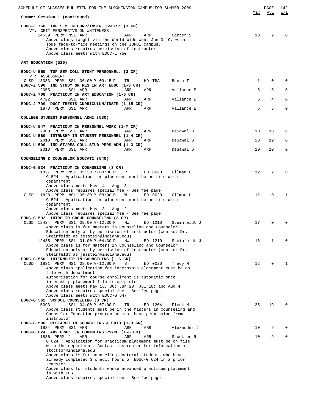| SCHEDULE OF CLASSES BULLETIN FOR THE BLOOMINGTON CAMPUS FOR SUMMER 2009                                                                                                                                                                                                                                                                   | Max          | PAGE<br>Avl | 142<br>W/L   |
|-------------------------------------------------------------------------------------------------------------------------------------------------------------------------------------------------------------------------------------------------------------------------------------------------------------------------------------------|--------------|-------------|--------------|
| Summer Session 1 (continued)                                                                                                                                                                                                                                                                                                              |              |             |              |
| EDUC-J 760 TOP SEM IN CURR/INSTR ISSUES: (3 CR)<br>VT: CRIT PERSPECTVS ON WHITENESS<br>14539 PERM NS1 ARR<br>ARR<br>ARR<br>Carter S<br>Above class taught via the World Wide Web, Jun 3-19, with<br>some face-to-face meetings on the IUPUI campus.<br>Above class requires permission of instructor<br>Above class meets with EDUC-L 750 | 10           | 2           |              |
| ART EDUCATION (520)                                                                                                                                                                                                                                                                                                                       |              |             |              |
|                                                                                                                                                                                                                                                                                                                                           |              |             |              |
| EDUC-U 550 TOP SEM COLL STDNT PERSONNEL: (3 CR)<br>VT: ASSESSMENT                                                                                                                                                                                                                                                                         |              |             |              |
| CLSD 13383 PERM SS1 06:00 P-09:15 P<br>TR<br>HD TBA<br>Banta T<br>EDUC-Z 590 IND STUDY OR RES IN ART EDUC (1-3 CR)                                                                                                                                                                                                                        | $\mathbf{1}$ | 0           | <sup>0</sup> |
| 2055<br>SS1 ARR<br>ARR<br>ARR<br>Vallance E                                                                                                                                                                                                                                                                                               | 5            | 5           | $\Omega$     |
| EDUC-Z 700 PRACTICUM IN ART EDUCATION (1-6 CR)<br>4722<br>SS1 ARR<br>Vallance E<br>ARR<br>ARR                                                                                                                                                                                                                                             | 5            | 4           | 0            |
| EDUC-J 799 DOCT THESIS-CURRICULUM/INSTR (1-15 CR)<br>1873 PERM SS1 ARR<br>Vallance E<br>ARR<br>ARR                                                                                                                                                                                                                                        | 5            | 5           | $\mathbf{0}$ |
| COLLEGE STUDENT PERSONNEL ADMI (530)                                                                                                                                                                                                                                                                                                      |              |             |              |
|                                                                                                                                                                                                                                                                                                                                           |              |             |              |
| EDUC-U 547 PRACTICUM IN PERSONNEL WORK (1-7 CR)<br>2008 PERM SS1 ARR<br>ARR<br>ARR<br>DeSawal D                                                                                                                                                                                                                                           | 10           | 10          | 0            |
| EDUC-U 560 INTRNSHP IN STUDENT PERSONNEL (1-4 CR)<br>2010 PERM SS1 ARR<br>DeSawal D<br>ARR<br>ARR                                                                                                                                                                                                                                         | 20           | 19          | 0            |
| EDUC-U 590 IND ST/RES COLL STUD PERS ADM (1-3 CR)<br>2013 PERM SS1 ARR<br>ARR<br>ARR<br>DeSawal D                                                                                                                                                                                                                                         | 10           | 10          | 0            |
| COUNSELING & COUNSELOR EDUCATI (540)                                                                                                                                                                                                                                                                                                      |              |             |              |
|                                                                                                                                                                                                                                                                                                                                           |              |             |              |
| EDUC-G 524 PRACTICUM IN COUNSELING (3 CR)<br>1827 PERM NS1 05:30 P-08:00 P<br>R<br>ED 0020<br>Gilman L<br>G 524 : Application for placement must be on file with                                                                                                                                                                          | 12           | 2           |              |
| department<br>Above class meets May 14 - Aug 13<br>Above class requires special fee - See fee page<br>1828 PERM NS1 05:30 P-08:00 P<br>ED 0020<br>CLSD<br>W<br>Gilman L                                                                                                                                                                   | 12           | $\Omega$    | 1            |
| G 524 : Application for placement must be on file with<br>department<br>Above class meets May 13 - Aug 12<br>Above class requires special fee - See fee page                                                                                                                                                                              |              |             |              |
| EDUC-G 532 INTRO TO GROUP COUNSELING (3 CR)<br>CLSD 12434 PERM SS1 09:00 A-12:30 P<br>ED 1210<br>MW<br>Steinfeldt J<br>Above class is for Masters in Counseling and Counselor                                                                                                                                                             | 17           | $\Omega$    |              |
| Education only or by permission of instructor (contact Dr.<br>Steinfeldt at jesstein@indiana.edu)<br>12435 PERM SS1 01:00 P-04:30 P<br>MW<br>ED 1210<br>Steinfeldt J                                                                                                                                                                      | 16           | 1           | O            |
| Above class is for Masters in Counseling and Counselor<br>Education only or by permission of instructor (contact Dr.<br>Steinfeldt at jesstein@indiana.edu)                                                                                                                                                                               |              |             |              |
| EDUC-G 550 INTERNSHIP IN COUNSELING (1-6 CR)<br>CLSD<br>1831 PERM NS1 08:00 A-12:00 P<br>ED 0020<br>S<br>Tracy M                                                                                                                                                                                                                          | 12           | $\mathbf 0$ | 1            |
| Above class application for internship placement must be on<br>file with department<br>Authorization for course enrollment is automatic once                                                                                                                                                                                              |              |             |              |
| internship placement file is complete                                                                                                                                                                                                                                                                                                     |              |             |              |
| Above class meets May 16, 30; Jun 20; Jul 18; and Aug 4<br>Above class requires special fee - See fee page                                                                                                                                                                                                                                |              |             |              |
| Above class meets with EDUC-G 647<br>EDUC-G 562 SCHOOL COUNSELING (3 CR)                                                                                                                                                                                                                                                                  |              |             |              |
| 5393<br>SS1 04:00 P-07:00 P<br>TR<br>ED 1204<br>Fleck M<br>Above class students must be in the Masters in Counseling and                                                                                                                                                                                                                  | 25           | 19          | <sup>0</sup> |
| Counselor Education program or must have permission from<br>instructor                                                                                                                                                                                                                                                                    |              |             |              |
| EDUC-G 590 RESEARCH IN COUNSELING & GUID (1-3 CR)<br>1834 PERM SS1 ARR<br>Alexander J<br>ARR<br>ARR                                                                                                                                                                                                                                       | 10           | 9           | 0            |
| EDUC-G 624 ADV PRACT IN COUNSELNG PSYCH (1-6 CR)<br>1836 PERM 1<br>ARR<br>ARR<br>ARR<br>Stockton R                                                                                                                                                                                                                                        | 10           | 9           | $\Omega$     |
| G 624 : Application for practicum placement must be on file<br>with the department. Contact instructor for information at<br>stocktor@indiana.edu<br>Above class is for counseling doctoral students who have                                                                                                                             |              |             |              |
| already completed 3 credit hours of EDUC-G 624 in a prior<br>semester                                                                                                                                                                                                                                                                     |              |             |              |
| Above class for students whose advanced practicum placement<br>is with CHG<br>Above class requires special fee - See fee page                                                                                                                                                                                                             |              |             |              |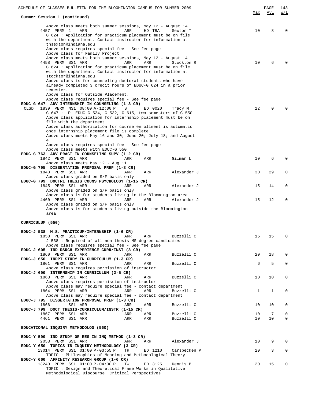| <u>SCHEDULE OF CLASSES BULLETIN FOR THE BLOOMINGTON CAMPUS FOR SUMMER 2009</u>                                                                                                                                                                                                                                                                                                                                                                                                                                                                                                        | Max      | PAGE<br>Avl | 143<br>W/L  |
|---------------------------------------------------------------------------------------------------------------------------------------------------------------------------------------------------------------------------------------------------------------------------------------------------------------------------------------------------------------------------------------------------------------------------------------------------------------------------------------------------------------------------------------------------------------------------------------|----------|-------------|-------------|
| Summer Session 1 (continued)                                                                                                                                                                                                                                                                                                                                                                                                                                                                                                                                                          |          |             |             |
| Above class meets both summer sessions, May 12 - August 14<br>4457 PERM 1<br>ARR<br>ARR<br>HD TBA<br>Sexton T<br>G 624 : Application for practicum placement must be on file<br>with the department. Contact instructor for information at<br>thsexton@indiana.edu                                                                                                                                                                                                                                                                                                                    | 10       | 8           | $\Omega$    |
| Above class requires special fee - See fee page<br>Above class for Family Project<br>Above class meets both summer sessions, May 12 - August 14<br>ARR<br>4458 PERM SS1 ARR<br>ARR<br>Stockton R<br>G 624 : Application for practicum placement must be on file<br>with the department. Contact instructor for information at<br>stocktor@indiana.edu<br>Above class is for counseling doctoral students who have<br>already completed 3 credit hours of EDUC-G 624 in a prior                                                                                                        | 10       | 6           | $\Omega$    |
| semester.<br>Above class for Outside Placement.<br>Above class requires special fee - See fee page<br>EDUC-G 647 ADV INTERNSHIP IN COUNSELING (1-3 CR)<br>CLSD<br>1839 PERM NS1 08:00 A-12:00 P<br>S<br>ED 0020<br>Tracy M<br>G 647 : P- EDUC-G 524, G 532, G 615, two semesters of G 550<br>Above class application for internship placement must be on<br>file with the department<br>Above class authorization for course enrollment is automatic<br>once internship placement file is complete<br>Above class meets May 16 and 30; June 20; July 18; and August<br>$\overline{4}$ | 12       | $\Omega$    | $\Omega$    |
| Above class requires special fee - See fee page                                                                                                                                                                                                                                                                                                                                                                                                                                                                                                                                       |          |             |             |
| Above class meets with EDUC-G 550<br>EDUC-G 763 ADV PRACT IN COUNSELING SUPV (1-2 CR)<br>1842 PERM SS1 ARR<br>Gilman L<br>ARR<br>ARR<br>Above class meets May 12 - Aug 11                                                                                                                                                                                                                                                                                                                                                                                                             | 10       | 6           | $\Omega$    |
| EDUC-G 795 DISSERTATION PROPOSAL PREP (1-3 CR)<br>1843 PERM SS1 ARR<br>ARR<br>Alexander J<br>ARR<br>Above class graded on S/F basis only                                                                                                                                                                                                                                                                                                                                                                                                                                              | 30       | 29          | 0           |
| EDUC-G 799 DOCTRL THESIS COUNS PSYCHOLOGY (1-15 CR)<br>1845 PERM SS1 ARR<br>ARR<br>Alexander J<br>ARR<br>Above class graded on S/F basis only                                                                                                                                                                                                                                                                                                                                                                                                                                         | 15       | 14          | $\mathbf 0$ |
| Above class is for students living in the Bloomington area<br>4460 PERM SS1 ARR<br>ARR<br>ARR<br>Alexander J<br>Above class graded on S/F basis only<br>Above class is for students living outside the Bloomington<br>area                                                                                                                                                                                                                                                                                                                                                            | 15       | 12          | $\Omega$    |
| CURRICULUM (550)                                                                                                                                                                                                                                                                                                                                                                                                                                                                                                                                                                      |          |             |             |
| EDUC-J 538 M.S. PRACTICUM/INTERNSHIP (1-6 CR)<br>1858 PERM SS1 ARR<br>Buzzelli C<br>ARR<br>ARR<br>J 538 : Required of all non-thesis MS degree candidates<br>Above class requires special fee - See fee page                                                                                                                                                                                                                                                                                                                                                                          | 15       | 15          | 0           |
| EDUC-J 605 IND RSRCH EXPERIENCE-CURR/INST (3 CR)<br>1860 PERM SS1 ARR<br>Buzzelli C<br>ARR<br>ARR<br>EDUC-J 650 INDPT STUDY IN CURRICULUM (1-3 CR)                                                                                                                                                                                                                                                                                                                                                                                                                                    | 20       | 18          | $\mathbf 0$ |
| 1861 PERM SS1 ARR<br>ARR<br>Buzzelli C<br>ARR<br>Above class requires permission of instructor                                                                                                                                                                                                                                                                                                                                                                                                                                                                                        | 6        | 5           | $\mathbf 0$ |
| EDUC-J 690 INTERNSHIP IN CURRICULUM (2-5 CR)<br>1863 PERM SS1 ARR<br>ARR<br>Buzzelli C<br>ARR<br>Above class requires permission of instructor                                                                                                                                                                                                                                                                                                                                                                                                                                        | 10       | 10          | 0           |
| Above class may require special fee - contact department<br>1864 PERM SS1 ARR<br>ARR<br>ARR<br>Buzzelli C                                                                                                                                                                                                                                                                                                                                                                                                                                                                             | 1        | 1           | $\mathbf 0$ |
| Above class may require special fee - contact department<br>EDUC-J 795 DISSERTATION PROPOSAL PREP (1-3 CR)                                                                                                                                                                                                                                                                                                                                                                                                                                                                            |          |             |             |
| 1866<br>SS1 ARR<br>Buzzelli C<br>ARR<br>ARR<br>EDUC-J 799 DOCT THESIS-CURRICULUM/INSTR (1-15 CR)                                                                                                                                                                                                                                                                                                                                                                                                                                                                                      | 10       | 10          | 0           |
| 1867 PERM SS1 ARR<br>ARR<br>Buzzelli C<br>ARR<br>4461 PERM SS1 ARR<br>ARR<br>Buzzelli C<br>ARR                                                                                                                                                                                                                                                                                                                                                                                                                                                                                        | 10<br>10 | 7<br>10     | 0<br>0      |
| EDUCATIONAL INQUIRY METHODOLOG (560)                                                                                                                                                                                                                                                                                                                                                                                                                                                                                                                                                  |          |             |             |
| EDUC-Y 590 IND STUDY OR RES IN INQ METHOD (1-3 CR)<br>2053 PERM SS1 ARR<br>ARR<br>Alexander J<br>ARR                                                                                                                                                                                                                                                                                                                                                                                                                                                                                  | 10       | 9           | 0           |
| EDUC-Y 650 TOPICS IN INQUIRY METHODOLOGY (3 CR)<br>13014 PERM SS1 01:00 P-03:55 P<br>TR<br>ED 1210<br>Carspecken P                                                                                                                                                                                                                                                                                                                                                                                                                                                                    | 20       | 3           | $\mathbf 0$ |
| TOPIC: Philosophies of Meaning and Methodological Theory<br>EDUC-Y 660 AFFINITY RESEARCH GROUP (1-6 CR)<br>13240 PERM SS1 01:00 P-04:00 P<br>ТW<br>ED 3125<br>Dennis B                                                                                                                                                                                                                                                                                                                                                                                                                | 20       | 15          | $\mathbf 0$ |
| TOPIC: Design and Theoretical Frame Works in Qualitative<br>Methodological Discourse: Critical Perspectives                                                                                                                                                                                                                                                                                                                                                                                                                                                                           |          |             |             |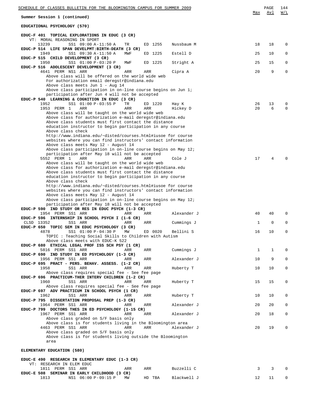| SCHEDULE OF CLASSES BULLETIN FOR THE BLOOMINGTON CAMPUS FOR SUMMER 2009                                           |              | PAGE        | 144           |
|-------------------------------------------------------------------------------------------------------------------|--------------|-------------|---------------|
| Summer Session 1 (continued)                                                                                      | Max          | Avl         | W/L           |
| EDUCATIONAL PSYCHOLOGY (570)                                                                                      |              |             |               |
| EDUC-F 401 TOPICAL EXPLORATIONS IN EDUC (3 CR)<br>VT: MORAL REASONING IN SPORT                                    |              |             |               |
| 13239<br>SS1 09:00 A-11:50 A<br>ED 1255<br>Nussbaum M<br>TR                                                       | 18           | 18          | $\Omega$      |
| EDUC-P 514 LIFE SPAN DEVELPMT:BIRTH-DEATH (3 CR)<br>1949<br>ED 1225<br>Estell D<br>SS1 09:30 A-11:50 A<br>MWF     | 25           | 10          | 0             |
| EDUC-P 515 CHILD DEVELOPMENT (3 CR)                                                                               |              |             |               |
| 1950<br>SS1 01:00 P-03:20 P<br>ED 1225<br>Stright A<br>MWF<br>EDUC-P 516 ADOLESCENT DEVELOPMENT (3 CR)            | 25           | 15          | 0             |
| 4641 PERM NS1 ARR<br>ARR<br><b>ARR</b><br>Cipra A                                                                 | 20           | 9           | 0             |
| Above class will be offered on the world wide web<br>For authorization email deregstr@indiana.edu                 |              |             |               |
| Above class meets Jun 1 - Aug 14                                                                                  |              |             |               |
| Above class participation in on-line course begins on Jun $1i$<br>participation after Jun 4 will not be accepted  |              |             |               |
| EDUC-P 540 LEARNING & COGNITION IN EDUC (3 CR)                                                                    |              |             |               |
| 1952<br>SS1 01:00 P-03:55 P<br>TR<br>ED 1220<br>Hay K<br>1953 PERM 1<br>ARR<br>ARR<br><b>ARR</b><br>Hickey D      | 26<br>20     | 13<br>6     | 0<br>$\Omega$ |
| Above class will be taught on the world wide web<br>Above class for authorization e-mail deregstr@indiana.edu     |              |             |               |
| Above class students must first contact the distance                                                              |              |             |               |
| education instructor to begin participation in any course<br>Above class check                                    |              |             |               |
| http://www.indiana.edu/~disted/courses.html#iusoe for course                                                      |              |             |               |
| websites where you can find instructors' contact information<br>Above class meets May 12 - August 14              |              |             |               |
| Above class participation in on-line course begins on May $12i$                                                   |              |             |               |
| participation after May 18 will not be accepted<br>5552 PERM 1<br>ARR<br>Cole J<br>ARR<br>ARR                     | 17           | 4           |               |
| Above class will be taught on the world wide web                                                                  |              |             |               |
| Above class for authorization e-mail deregstr@indiana.edu<br>Above class students must first contact the distance |              |             |               |
| education instructor to begin participation in any course                                                         |              |             |               |
| Above class check<br>http://www.indiana.edu/~disted/courses.html#iusoe for course                                 |              |             |               |
| websites where you can find instructors' contact information<br>Above class meets May 12 - August 14              |              |             |               |
| Above class participation in on-line course begins on May $12i$                                                   |              |             |               |
| participation after May 18 will not be accepted<br>EDUC-P 590 IND STUDY OR RES IN EDUC PSYCH (1-3 CR)             |              |             |               |
| 1954 PERM SS1 ARR<br>ARR<br>Alexander J<br>ARR                                                                    | 40           | 40          | 0             |
| EDUC-P 596 INTERNSHIP IN SCHOOL PSYCH I (1-6 CR)<br>CLSD 13352<br>SS1 ARR<br>ARR<br>ARR<br>Cummings J             | 1            | $\mathbf 0$ | 0             |
| EDUC-P 650 TOPIC SEM IN EDUC PSYCHOLOGY (3 CR)                                                                    |              |             |               |
| 4878<br>SS1 01:00 P-04:30 P MW<br>ED 0020<br>Bellini S<br>TOPIC: Teaching Social Skills to Children with Autism   | 16           | 10          | U             |
| Above class meets with EDUC-K 522<br>EDUC-P 680 ETHICAL LEGAL PROF ISS SCH PSY (1 CR)                             |              |             |               |
| 5816 PERM SS1 ARR<br>Cummings J<br>ARR<br>ARR                                                                     | $\mathbf{1}$ | $\mathbf 1$ | 0             |
| EDUC-P 690 IND STUDY IN ED PSYCHOLOGY (1-3 CR)<br>1956 PERM SS1 ARR<br>Alexander J<br>ARR<br>ARR                  | 10           | 9           | 0             |
| EDUC-P 695 PRACT - PERS. BEHAV. ASSESS. (1-2 CR)                                                                  |              |             |               |
| 1958<br>SS1 ARR<br>Huberty T<br>ARR<br>ARR<br>Above class requires special fee - See fee page                     | 10           | 10          | 0             |
| EDUC-P 696 PRACTICUM-THER INTERV CHILDREN (1-2 CR)                                                                |              |             |               |
| 1960<br>SS1 ARR<br>Huberty T<br>ARR<br>ARR<br>Above class requires special fee - See fee page                     | 15           | 15          | 0             |
| EDUC-P 697 ADV PRACTICUM IN SCHOOL PSYCH (1 CR)                                                                   |              |             |               |
| 1962<br>SS1 ARR<br>Huberty T<br>ARR<br>ARR<br>EDUC-P 795 DISSERTATION PROPOSAL PREP (1-3 CR)                      | 10           | 10          | 0             |
| 1964 PERM SS1 ARR<br>Alexander J<br>ARR<br>ARR                                                                    | 20           | 20          | 0             |
| EDUC-P 799 DOCTORS THES IN ED PSYCHOLOGY (1-15 CR)<br>1967 PERM SS1 ARR<br>ARR<br>Alexander J<br>ARR              | 20           | 18          | 0             |
| Above class graded on S/F basis only<br>Above class is for students living in the Bloomington area                |              |             |               |
| 4463 PERM SS1 ARR<br>ARR<br>ARR<br>Alexander J                                                                    | 20           | 19          | 0             |
| Above class graded on S/F basis only<br>Above class is for students living outside the Bloomington                |              |             |               |
| area                                                                                                              |              |             |               |
| ELEMENTARY EDUCATION (580)                                                                                        |              |             |               |
| EDUC-E 490 RESEARCH IN ELEMENTARY EDUC (1-3 CR)                                                                   |              |             |               |

VT: RESEARCH IN ELEM EDUC 1811 PERM SS1 ARR ARR ARR Buzzelli C 3 3 0 **EDUC-E 508 SEMINAR IN EARLY CHILDHOOD (3 CR)** 1813 NS1 06:00 P-09:15 P MW HD TBA Blackwell J 12 11 0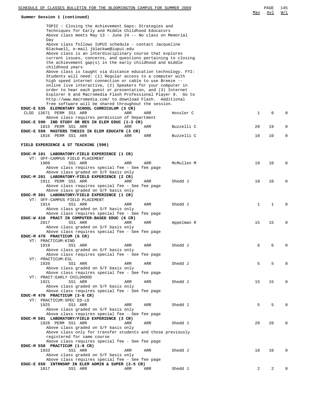## **Summer Session 1 (continued)**

|     | <b>PAGE</b> | 145 |
|-----|-------------|-----|
| Max | Av 1        | W/L |

|      | TOPIC: Closing the Achievement Gaps: Strategies and                                                |            |            |             |    |          |
|------|----------------------------------------------------------------------------------------------------|------------|------------|-------------|----|----------|
|      | Techniques for Early and Middle Childhood Educators                                                |            |            |             |    |          |
|      | Above class meets May 13 - June 24 -- No class on Memorial                                         |            |            |             |    |          |
| Day  |                                                                                                    |            |            |             |    |          |
|      | Above class follows IUPUI schedule - contact Jacqueline                                            |            |            |             |    |          |
|      | Blackwell, e-mail jblackwe@iupui.edu                                                               |            |            |             |    |          |
|      | Above class is an interdisciplinary course that explores                                           |            |            |             |    |          |
|      | current issues, concerns, and questions pertaining to closing                                      |            |            |             |    |          |
|      | the achievement gap(s) in the early childhood and middle<br>childhood years                        |            |            |             |    |          |
|      | Above class is taught via distance education technology. FYI:                                      |            |            |             |    |          |
|      | Students will need: (1) Regular access to a computer with                                          |            |            |             |    |          |
|      | high speed internet connection or cable to use Breeze --                                           |            |            |             |    |          |
|      | online live interactive, (2) Speakers for your computer in                                         |            |            |             |    |          |
|      | order to hear each guest or presentation, and (3) Internet                                         |            |            |             |    |          |
|      | Explorer 6 and Macromedia Flash Professional Player 9. Go to                                       |            |            |             |    |          |
|      | http://www.macromedia.com/ to download Flash. Additional                                           |            |            |             |    |          |
|      | free software will be shared throughout the session.                                               |            |            |             |    |          |
|      | EDUC-E 535 ELEMENTARY SCHOOL CURRICULUM (3 CR)                                                     |            |            |             |    |          |
|      | CLSD 13671 PERM SS1 ARR                                                                            | ARR<br>ARR | Hossler C  | $\mathbf 1$ | 0  | $\Omega$ |
|      | Above class requires permission of Department<br>EDUC-E 590 IND STUDY OR RES IN ELEM EDUC (1-3 CR) |            |            |             |    |          |
|      | 1815 PERM SS1 ARR                                                                                  | ARR<br>ARR | Buzzelli C | 20          | 19 | 0        |
|      | EDUC-E 599 MASTERS THESIS IN ELEM EDUCATN (3 CR)                                                   |            |            |             |    |          |
|      | 1816 PERM SS1 ARR                                                                                  | ARR<br>ARR | Buzzelli C | 10          | 10 | 0        |
|      |                                                                                                    |            |            |             |    |          |
|      | FIELD EXPERIENCE & ST TEACHING (590)                                                               |            |            |             |    |          |
|      |                                                                                                    |            |            |             |    |          |
|      | EDUC-M 101 LABORATORY-FIELD EXPERIENCE (1 CR)                                                      |            |            |             |    |          |
|      | VT: OFF-CAMPUS FIELD PLACEMENT                                                                     |            |            |             |    |          |
| 1908 | SS1 ARR                                                                                            | ARR<br>ARR | McMullen M | 10          | 10 | $\Omega$ |
|      | Above class requires special fee - See fee page<br>Above class graded on S/F basis only            |            |            |             |    |          |
|      | EDUC-M 201 LABORATORY-FIELD EXPERIENCE (2 CR)                                                      |            |            |             |    |          |
|      | 1911 PERM SS1 ARR                                                                                  | ARR<br>ARR | Shedd J    | 10          | 10 | 0        |
|      | Above class requires special fee - See fee page                                                    |            |            |             |    |          |
|      | Above class graded on S/F basis only                                                               |            |            |             |    |          |
|      | EDUC-M 301 LABORATORY/FIELD EXPERIENCE (1 CR)                                                      |            |            |             |    |          |
|      | VT: OFF-CAMPUS FIELD PLACEMENT                                                                     |            |            |             |    |          |
| 1914 | SS1 ARR                                                                                            | ARR<br>ARR | Shedd J    | $\mathbf 1$ | 1  | $\Omega$ |
|      | Above class graded on S/F basis only                                                               |            |            |             |    |          |
|      | Above class requires special fee - See fee page<br>EDUC-W 410 PRACT IN COMPUTER-BASED EDUC (6 CR)  |            |            |             |    |          |
| 2017 | SS1 ARR                                                                                            | ARR<br>ARR | Appelman R | 15          | 15 | 0        |
|      | Above class graded on S/F basis only                                                               |            |            |             |    |          |
|      | Above class requires special fee - See fee page                                                    |            |            |             |    |          |
|      | EDUC-M 470 PRACTICUM (6 CR)                                                                        |            |            |             |    |          |
|      | VT: PRACTICUM: KIND                                                                                |            |            |             |    |          |
| 1919 | SS1 ARR                                                                                            | ARR<br>ARR | Shedd J    | 6           | 6  | 0        |
|      | Above class graded on S/F basis only                                                               |            |            |             |    |          |
|      | Above class requires special fee - See fee page                                                    |            |            |             |    |          |
| 1920 | VT: PRACTICUM: ESL<br>SS1 ARR                                                                      | ARR<br>ARR | Shedd J    | 5           | 5  |          |
|      | Above class graded on S/F basis only                                                               |            |            |             |    |          |
|      | Above class requires special fee - See fee page                                                    |            |            |             |    |          |
|      | VT: PRACT: EARLY CHILDHOOD                                                                         |            |            |             |    |          |
| 1921 | SS1 ARR                                                                                            | ARR<br>ARR | Shedd J    | 15          | 15 | $\Omega$ |
|      | Above class graded on S/F basis only                                                               |            |            |             |    |          |
|      | Above class requires special fee - See fee page                                                    |            |            |             |    |          |
|      | EDUC-M 470 PRACTICUM (3-8 CR)                                                                      |            |            |             |    |          |
|      | VT: PRACTICUM: SPEC ED-LD                                                                          |            |            |             |    |          |
| 1925 | SS1 ARR<br>Above class graded on S/F basis only                                                    | ARR<br>ARR | Shedd J    | 5           | 5  | $\Omega$ |
|      | Above class requires special fee - See fee page                                                    |            |            |             |    |          |
|      | EDUC-M 501 LABORATORY/FIELD EXPERIENCE (3 CR)                                                      |            |            |             |    |          |
|      | 1928 PERM SS1 ARR                                                                                  | ARR<br>ARR | Shedd J    | 20          | 20 | $\Omega$ |
|      | Above class graded on S/F basis only                                                               |            |            |             |    |          |
|      | Above class only for transfer students and those previously                                        |            |            |             |    |          |
|      | registered for same course                                                                         |            |            |             |    |          |
|      | Above class requires special fee - See fee page                                                    |            |            |             |    |          |
|      | EDUC-M 550 PRACTICUM (1-8 CR)                                                                      |            |            |             |    |          |
| 1933 | SS1 ARR                                                                                            | ARR<br>ARR | Shedd J    | 10          | 10 | $\Omega$ |
|      | Above class graded on S/F basis only<br>Above class requires special fee - See fee page            |            |            |             |    |          |
|      | EDUC-E 650 INTRNSHP IN ELEM ADMIN & SUPER (2-5 CR)                                                 |            |            |             |    |          |
| 1817 | SS1 ARR                                                                                            | ARR<br>ARR | Shedd J    | 2           | 2  |          |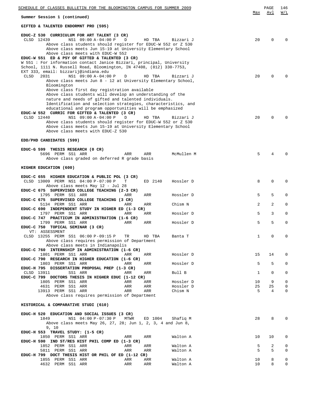| SCHEDULE OF CLASSES BULLETIN FOR THE BLOOMINGTON CAMPUS FOR SUMMER 2009                                                     |            |                        |          | PAGE           | 146         |
|-----------------------------------------------------------------------------------------------------------------------------|------------|------------------------|----------|----------------|-------------|
| Summer Session 1 (continued)                                                                                                |            |                        | Max      | Avl            | W/L         |
| GIFTED & TALENTED ENDORMNT PRO (595)                                                                                        |            |                        |          |                |             |
| EDUC-Z 530 CURRICULUM FOR ART TALENT (3 CR)                                                                                 |            |                        |          |                |             |
| CLSD 12439<br>NS1 09:00 A-04:00 P<br>D<br>Above class students should register for EDUC-W 552 or Z 530                      | HD TBA     | Bizzari J              | 20       | $\Omega$       | $\Omega$    |
| Above class meets Jun 15-19 at University Elementary School                                                                 |            |                        |          |                |             |
| Above class meets with EDUC-W 552                                                                                           |            |                        |          |                |             |
| EDUC-W 551 ED & PSY OF GIFTED & TALENTED (3 CR)<br>W 551 : For information contact Janice Bizzari, principal, University    |            |                        |          |                |             |
| School, 1111 N. Russell Road, Bloomington, IN 47408, (812) 330-7753,                                                        |            |                        |          |                |             |
| EXT 333, email: bizzarij@indiana.edu                                                                                        |            |                        |          |                |             |
| CLSD<br>2031<br>NS1 09:00 A-04:00 P<br>D<br>Above class meets Jun 8 - 12 at University Elementary School,                   | HD TBA     | Bizzari J              | 20       | 0              |             |
| Bloomington                                                                                                                 |            |                        |          |                |             |
| Above class first day registration available                                                                                |            |                        |          |                |             |
| Above class students will develop an understanding of the                                                                   |            |                        |          |                |             |
| nature and needs of gifted and talented individuals.<br>Identification and selection strategies, characteristics, and       |            |                        |          |                |             |
| educational and program opportunities will be emphasized                                                                    |            |                        |          |                |             |
| EDUC-W 552 CURRIC FOR GIFTED & TALENTED (3 CR)                                                                              |            |                        |          |                |             |
| CLSD 12440<br>NS1 09:00 A-04:00 P<br>D                                                                                      | HD TBA     | Bizzari J              | 20       | $\Omega$       | $\Omega$    |
| Above class students should register for EDUC-W 552 or Z 530<br>Above class meets Jun 15-19 at University Elementary School |            |                        |          |                |             |
| Above class meets with EDUC-Z 530                                                                                           |            |                        |          |                |             |
|                                                                                                                             |            |                        |          |                |             |
| EDD/PHD CANDIDATES (599)                                                                                                    |            |                        |          |                |             |
| EDUC-G 599 THESIS RESEARCH (0 CR)                                                                                           |            |                        |          |                |             |
| 5696 PERM SS1 ARR<br>ARR                                                                                                    | ARR        | McMullen M             | 5        | 4              | $\Omega$    |
| Above class graded on deferred R grade basis                                                                                |            |                        |          |                |             |
| HIGHER EDUCATION (600)                                                                                                      |            |                        |          |                |             |
|                                                                                                                             |            |                        |          |                |             |
| EDUC-C 655 HIGHER EDUCATION & PUBLIC POL (3 CR)<br>CLSD 13009 PERM NS1 04:00 P-07:00 P<br>Т                                 | ED 2140    | Hossler D              | 8        | 0              | $\Omega$    |
| Above class meets May 12 - Jul 28                                                                                           |            |                        |          |                |             |
| EDUC-C 675 SUPERVISED COLLEGE TEACHING (2-3 CR)                                                                             |            |                        |          |                |             |
| 1795 PERM SS1 ARR<br>ARR                                                                                                    | ARR        | Hossler D              | 5        | 5              | 0           |
| EDUC-C 675 SUPERVISED COLLEGE TEACHING (3 CR)<br>5134 PERM SS1 ARR<br>ARR                                                   | ARR        | Chism N                | 2        | $\overline{a}$ | $\mathbf 0$ |
| EDUC-C 690 INDEPENDENT STUDY IN HIGHER ED (1-3 CR)                                                                          |            |                        |          |                |             |
| 1797 PERM SS1 ARR<br>ARR                                                                                                    | ARR        | Hossler D              | 5        | 3              | $\mathbf 0$ |
| EDUC-C 747 PRACTICUM IN ADMINISTRATION (1-6 CR)                                                                             |            | Hossler D              | 5        | 5              | $\mathbf 0$ |
| 1799 PERM SS1 ARR<br>ARR<br>EDUC-C 750 TOPICAL SEMINAR (3 CR)                                                               | ARR        |                        |          |                |             |
| VT: ASSESSMENT                                                                                                              |            |                        |          |                |             |
| CLSD 13255 PERM SS1 06:00 P-09:15 P<br>TR                                                                                   | HD TBA     | Banta T                | 1        | 0              | 0           |
| Above class requires permission of Department<br>Above class meets in Indianapolis                                          |            |                        |          |                |             |
| EDUC-C 760 INTERNSHIP IN ADMINISTRATION (1-6 CR)                                                                            |            |                        |          |                |             |
| 1801 PERM SS1 ARR<br>ARR                                                                                                    | ARR        | Hossler D              | 15       | 14             | $\mathbf 0$ |
| EDUC-C 790 RESEARCH IN HIGHER EDUCATION (1-6 CR)                                                                            | ARR        | Hossler D              | 5        | 5              | $\mathbf 0$ |
| 1803 PERM SS1 ARR<br>ARR<br>EDUC-H 795 DISSERTATION PROPOSAL PREP (1-3 CR)                                                  |            |                        |          |                |             |
| CLSD 13911<br>SS1 ARR<br>ARR                                                                                                | ARR        | Bull B                 | 1        | $\mathbf 0$    | $\mathbf 0$ |
| EDUC-C 799 DOCTORS THESIS IN HIGHER EDUC (1-12 CR)                                                                          |            |                        |          |                |             |
| 1805 PERM SS1 ARR<br>ARR<br>4631 PERM SS1 ARR<br>ARR                                                                        | ARR<br>ARR | Hossler D<br>Hossler D | 10<br>25 | 9<br>25        | 0<br>0      |
| 13913 PERM SS1 ARR<br>ARR                                                                                                   | ARR        | Chism N                | 5        | 4              | 0           |
| Above class requires permission of Department                                                                               |            |                        |          |                |             |
|                                                                                                                             |            |                        |          |                |             |
| HISTORICAL & COMPARATIVE STUDI (610)                                                                                        |            |                        |          |                |             |
| EDUC-H 520 EDUCATION AND SOCIAL ISSUES (3 CR)                                                                               |            |                        |          |                |             |
| NS1 04:00 P-07:30 P<br>MTWR<br>1849                                                                                         | ED 1004    | Shafiq M               | 28       | 8              | $\mathbf 0$ |
| Above class meets May 26, 27, 28; Jun 1, 2, 3, 4 and Jun 8,                                                                 |            |                        |          |                |             |
| 9, 10<br>EDUC-H 553 TRAVEL STUDY: (1-5 CR)                                                                                  |            |                        |          |                |             |
| 1850 PERM SS1 ARR<br>ARR                                                                                                    | ARR        | Walton A               | 10       | 10             | 0           |
| EDUC-H 590 IND ST/RES HIST PHIL COMP ED (1-3 CR)                                                                            |            |                        |          |                |             |
| 1852 PERM SS1 ARR<br>ARR<br>5811 PERM SS1 ARR<br>ARR                                                                        | ARR<br>ARR | Walton A<br>Walton A   | 5<br>5   | 2<br>5         | 0<br>0      |
| EDUC-H 799 DOCT THESIS HIST OR PHIL OF ED (1-12 CR)                                                                         |            |                        |          |                |             |
| 1855 PERM SS1 ARR<br>ARR                                                                                                    | ARR        | Walton A               | 10       | 8              | 0           |
| 4632 PERM SS1 ARR<br>ARR                                                                                                    | ARR        | Walton A               | 10       | 8              | 0           |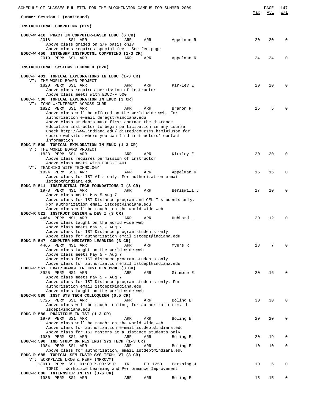| SCHEDULE OF CLASSES BULLETIN FOR THE BLOOMINGTON CAMPUS FOR SUMMER 2009                                                |     |         |             |     | PAGE | 147         |
|------------------------------------------------------------------------------------------------------------------------|-----|---------|-------------|-----|------|-------------|
| Summer Session 1 (continued)                                                                                           |     |         |             | Max | Avl  | W/L         |
| INSTRUCTIONAL COMPUTING (615)                                                                                          |     |         |             |     |      |             |
| EDUC-W 410 PRACT IN COMPUTER-BASED EDUC (6 CR)                                                                         |     |         |             |     |      |             |
| 2018<br>SS1 ARR<br>Above class graded on S/F basis only                                                                | ARR | ARR     | Appelman R  | 20  | 20   | $\Omega$    |
| Above class requires special fee - See fee page<br>EDUC-W 450 INTRNSHP INSTRUCTNL COMPUTING (1-3 CR)                   |     |         |             |     |      |             |
| 2019 PERM SS1 ARR                                                                                                      | ARR | ARR     | Appelman R  | 24  | 24   | $\Omega$    |
| INSTRUCTIONAL SYSTEMS TECHNOLO (620)                                                                                   |     |         |             |     |      |             |
|                                                                                                                        |     |         |             |     |      |             |
| EDUC-F 401 TOPICAL EXPLORATIONS IN EDUC (1-3 CR)<br>VT: THE WORLD BOARD PROJECT                                        |     |         |             |     |      |             |
| 1820 PERM SS1 ARR                                                                                                      | ARR | ARR     | Kirkley E   | 20  | 20   | $\Omega$    |
| Above class requires permission of instructor<br>Above class meets with EDUC-F 500                                     |     |         |             |     |      |             |
| EDUC-F 500 TOPICAL EXPLORATION IN EDUC (3 CR)                                                                          |     |         |             |     |      |             |
| VT: TCHG W/INTERNET ACROSS CURR<br>1822 PERM SS1 ARR                                                                   | ARR | ARR     | Branon R    | 15  | 5    |             |
| Above class will be offered on the world wide web. For                                                                 |     |         |             |     |      |             |
| authorization e-mail deregstr@indiana.edu<br>Above class students must first contact the distance                      |     |         |             |     |      |             |
| education instructor to begin participation in any course                                                              |     |         |             |     |      |             |
| Check http://www.indiana.edu/~disted/courses.html#iusoe for<br>course websites where you can find instructors' contact |     |         |             |     |      |             |
| information                                                                                                            |     |         |             |     |      |             |
| EDUC-F 500 TOPICAL EXPLORATION IN EDUC (1-3 CR)<br>VT: THE WORLD BOARD PROJECT                                         |     |         |             |     |      |             |
| 1823 PERM SS1 ARR                                                                                                      | ARR | ARR     | Kirkley E   | 20  | 20   | $\Omega$    |
| Above class requires permission of instructor<br>Above class meets with EDUC-F 401                                     |     |         |             |     |      |             |
| VT: TEACHING WITH TECHNOLOGY                                                                                           |     |         |             |     |      |             |
| 1824 PERM SS1 ARR<br>Above class for IST AI's only. For authorization e-mail                                           | ARR | ARR     | Appelman R  | 15  | 15   | $\mathbf 0$ |
| istdept@indiana.edu                                                                                                    |     |         |             |     |      |             |
| EDUC-R 511 INSTRUCTNAL TECH FOUNDATIONS I (3 CR)<br>1978 PERM NS1 ARR                                                  | ARR | ARR     | Beriswill J | 17  | 10   | $\mathbf 0$ |
| Above class meets May 5-Aug 7                                                                                          |     |         |             |     |      |             |
| Above class for IST Distance program and CEL-T students only.<br>For authorization email istdept@indiana.edu           |     |         |             |     |      |             |
| Above class will be taught on the world wide web<br>EDUC-R 521 INSTRUCT DESIGN & DEV I (3 CR)                          |     |         |             |     |      |             |
| 4464 PERM NS1 ARR                                                                                                      | ARR | ARR     | Hubbard L   | 20  | 12   | $\Omega$    |
| Above class taught on the world wide web                                                                               |     |         |             |     |      |             |
| Above class meets May 5 - Aug 7<br>Above class for IST Distance program students only                                  |     |         |             |     |      |             |
| Above class for authorization email istdept@indiana.edu<br>EDUC-R 547 COMPUTER MEDIATED LEARNING (3 CR)                |     |         |             |     |      |             |
| 4465 PERM NS1 ARR                                                                                                      | ARR | ARR     | Myers R     | 18  | 7    | $\Omega$    |
| Above class taught on the world wide web<br>Above class meets May 5 - Aug 7                                            |     |         |             |     |      |             |
| Above class for IST distance program students only                                                                     |     |         |             |     |      |             |
| Above class for authorization email istdept@indiana.edu<br>EDUC-R 561 EVAL/CHANGE IN INST DEV PROC (3 CR)              |     |         |             |     |      |             |
| 3925 PERM NS1 ARR                                                                                                      | ARR | ARR     | Gilmore E   | 20  | 16   | $\Omega$    |
| Above class meets May 5 - Aug 7<br>Above class for IST Distance program students only. For                             |     |         |             |     |      |             |
| authorization email istdept@indiana.edu                                                                                |     |         |             |     |      |             |
| Above class taught on the world wide web<br>EDUC-R 580 INST SYS TECH COLLOQUIUM (0.5 CR)                               |     |         |             |     |      |             |
| 5725 PERM SS1 ARR                                                                                                      | ARR | ARR     | Boling E    | 30  | 30   | $\mathbf 0$ |
| Above class will be taught online; for authorization email<br>isdept@indiana.edu                                       |     |         |             |     |      |             |
| EDUC-R 586 PRACTICUM IN IST (1-3 CR)                                                                                   |     |         |             |     |      |             |
| 1979 PERM SS1 ARR<br>Above class will be taught on the world wide web                                                  | ARR | ARR     | Boling E    | 20  | 20   | $\mathbf 0$ |
| Above class for authorization e-mail istdept@indiana.edu                                                               |     |         |             |     |      |             |
| Above class for IST Masters at a Distance students only<br>1980 PERM SS1 ARR                                           | ARR | ARR     | Boling E    | 20  | 19   | 0           |
| EDUC-R 590 IND STUDY OR RES INST SYS TECH (1-3 CR)                                                                     |     |         |             |     |      |             |
| 1984 PERM SS1 ARR<br>Above class for authorization, email istdept@indiana.edu                                          | ARR | ARR     | Boling E    | 10  | 10   | 0           |
| EDUC-R 685 TOPICAL SEM INSTR SYS TECH: VT (3 CR)                                                                       |     |         |             |     |      |             |
| VT: WORKPLACE LRNG & PERF IMPROVMT<br>13013 PERM SS1 01:00 P-03:55 P                                                   | TR  | ED 1250 | Pershing J  | 10  | 6    | 0           |
| TOPIC: Workplace Learning and Performance Improvement                                                                  |     |         |             |     |      |             |
| EDUC-R 686 INTERNSHIP IN IST (3-6 CR)<br>1986 PERM SS1 ARR                                                             | ARR | ARR     | Boling E    | 15  | 15   | 0           |
|                                                                                                                        |     |         |             |     |      |             |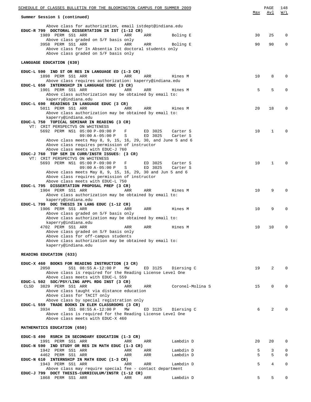| SCHEDULE OF CLASSES BULLETIN FOR THE BLOOMINGTON CAMPUS FOR SUMMER 2009                                                                                      | Max | PAGE<br>Avl  | 148<br>W/L |
|--------------------------------------------------------------------------------------------------------------------------------------------------------------|-----|--------------|------------|
| Summer Session 1 (continued)                                                                                                                                 |     |              |            |
| Above class for authorization, email istdept@indiana.edu<br>EDUC-R 799 DOCTORAL DISSERTATION IN IST (1-12 CR)<br>1989 PERM SS1 ARR<br>Boling E<br>ARR<br>ARR | 30  | 25           | 0          |
| Above class graded on S/F basis only                                                                                                                         |     |              |            |
| 3958 PERM SS1 ARR<br>ARR<br>ARR<br>Boling E<br>Above class for In Absentia Ist doctoral students only                                                        | 90  | 90           | 0          |
| Above class graded on S/F basis only                                                                                                                         |     |              |            |
| LANGUAGE EDUCATION (630)                                                                                                                                     |     |              |            |
| EDUC-L 590 IND ST OR RES IN LANGUAGE ED (1-3 CR)                                                                                                             |     |              |            |
| 1898 PERM SS1 ARR<br>ARR<br>ARR<br>Hines M<br>Above class requires authorization: kaperry@indiana.edu                                                        | 10  | 8            | 0          |
| EDUC-L 650 INTERNSHIP IN LANGUAGE EDUC (3 CR)                                                                                                                |     |              |            |
| 1901 PERM SS1 ARR<br>ARR<br>ARR<br>Hines M<br>Above class authorization may be obtained by email to:                                                         | 5   | 5            | 0          |
| kaperry@indiana.edu                                                                                                                                          |     |              |            |
| EDUC-L 690 READINGS IN LANGUAGE EDUC (3 CR)<br>5011 PERM SS1 ARR<br>ARR<br>ARR<br>Hines M                                                                    | 20  | 18           | 0          |
| Above class authorization may be obtained by email to:                                                                                                       |     |              |            |
| kaperry@indiana.edu<br>EDUC-L 750 TOPICAL SEMINAR IN READING (3 CR)                                                                                          |     |              |            |
| VT: CRIT PERSPECTVS ON WHITENESS                                                                                                                             |     |              |            |
| 5692 PERM NS1 05:00 P-09:00 P<br>F<br>ED 3025<br>Carter S                                                                                                    | 10  | $\mathbf{1}$ | 0          |
| ED 3025<br>$09:00 A-05:00 P$<br>S<br>Carter S<br>Above class meets May 8, 9, 15, 16, 29, 30, and June 5 and 6                                                |     |              |            |
| Above class requires permission of instructor                                                                                                                |     |              |            |
| Above class meets with EDUC-J 760<br>EDUC-J 760 TOP SEM IN CURR/INSTR ISSUES: (3 CR)                                                                         |     |              |            |
| VT: CRIT PERSPECTVS ON WHITENESS                                                                                                                             |     |              |            |
| 5693 PERM NS1 05:00 P-09:00 P<br>F<br>ED 3025<br>Carter S<br>$09:00 A-05:00 P$<br>$\mathbf S$<br>ED 3025<br>Carter S                                         | 10  | 1            | $\Omega$   |
| Above class meets May 8, 9, 15, 16, 29, 30 and Jun 5 and 6                                                                                                   |     |              |            |
| Above class requires permission of instructor<br>Above class meets with EDUC-L 750                                                                           |     |              |            |
| EDUC-L 795 DISSERTATION PROPOSAL PREP (3 CR)                                                                                                                 |     |              |            |
| 1904 PERM SS1 ARR<br>ARR<br>ARR<br>Hines M<br>Above class authorization may be obtained by email to:                                                         | 10  | 9            | 0          |
| kaperry@indiana.edu                                                                                                                                          |     |              |            |
| EDUC-L 799 DOC THESIS IN LANG EDUC (1-12 CR)                                                                                                                 |     |              |            |
| 1906 PERM SS1 ARR<br>ARR<br>ARR<br>Hines M<br>Above class graded on S/F basis only                                                                           | 10  | 9            | 0          |
| Above class authorization may be obtained by email to:                                                                                                       |     |              |            |
| kaperry@indiana.edu<br>4702 PERM SS1 ARR<br>ARR<br>ARR<br>Hines M                                                                                            | 10  | 10           | 0          |
| Above class graded on S/F basis only                                                                                                                         |     |              |            |
| Above class for off-campus students<br>Above class authorization may be obtained by email to:                                                                |     |              |            |
| kaperry@indiana.edu                                                                                                                                          |     |              |            |
| READING EDUCATION (633)                                                                                                                                      |     |              |            |
| EDUC-X 460 BOOKS FOR READING INSTRUCTION (3 CR)                                                                                                              |     |              |            |
| 2050<br>SS1 08:55 A-12:00 P<br>ΜW<br>ED 3125<br>Diersing C<br>Above class is required for the Reading License Level One                                      | 19  | 2            |            |
| Above class meets with EDUC-L 559                                                                                                                            |     |              |            |
| EDUC-L 502 SOC/PSY/LING APPL RDG INST (3 CR)<br>3829 PERM SS1 ARR<br>Coronel-Molina S<br>CLSD<br>ARR                                                         | 15  | $\Omega$     |            |
| ARR<br>Above class taught via distance education                                                                                                             |     |              |            |
| Above class for TACIT only                                                                                                                                   |     |              |            |
| Above class by special registration only<br>EDUC-L 559 TRADE BOOKS IN ELEM CLASSROOMS (3 CR)                                                                 |     |              |            |
| 3934<br>SS1 08:55 A-12:00 P<br>ED 3125<br>MW<br>Diersing C                                                                                                   | 6   | 2            |            |
| Above class is required for the Reading License Level One<br>Above class meets with EDUC-X 460                                                               |     |              |            |
| MATHEMATICS EDUCATION (650)                                                                                                                                  |     |              |            |
| EDUC-S 490 RSRCH IN SECONDARY EDUCATION (1-3 CR)                                                                                                             | 20  |              | $\Omega$   |
| 1991 PERM SS1 ARR<br>Lambdin D<br>ARR<br>ARR<br>EDUC-N 590 IND STUDY OR RES IN MATH EDUC (1-3 CR)                                                            |     | 20           |            |
| 1942 PERM SS1 ARR<br>Lambdin D<br>ARR<br>ARR                                                                                                                 | 5   | 3            | 0          |
| 4462 PERM SS1 ARR<br>ARR<br>ARR<br>Lambdin D<br>EDUC-N 610 INTERNSHIP IN MATH EDUC (1-3 CR)                                                                  | 5   | 5            | $\Omega$   |
| 1943 PERM SS1 ARR<br>Lambdin D<br>ARR<br>ARR                                                                                                                 | 5   | 4            | 0          |
| Above class may require special fee - contact department<br>EDUC-J 799 DOCT THESIS-CURRICULUM/INSTR (1-12 CR)                                                |     |              |            |
| 1868 PERM SS1 ARR<br>Lambdin D<br>ARR<br>ARR                                                                                                                 | 5   | 5            | 0          |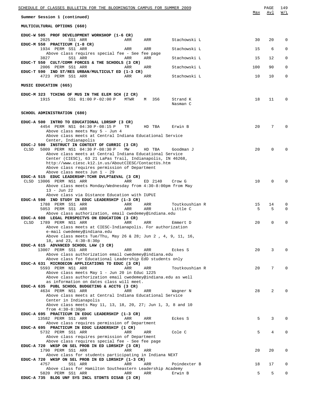| SCHEDULE OF CLASSES BULLETIN FOR THE BLOOMINGTON CAMPUS FOR SUMMER 2009                                       |      |          |                      |              | PAGE<br>Avl | 149          |
|---------------------------------------------------------------------------------------------------------------|------|----------|----------------------|--------------|-------------|--------------|
| Summer Session 1 (continued)                                                                                  |      |          |                      | Max          |             | W/L          |
| MULTICULTURAL OPTIONS (660)                                                                                   |      |          |                      |              |             |              |
| EDUC-W 505 PROF DEVELOPMENT WORKSHOP (1-6 CR)<br>2025<br>SS1 ARR                                              | ARR  | ARR      | Stachowski L         | 30           | 20          | 0            |
| EDUC-M 550 PRACTICUM (1-8 CR)<br>1934 PERM SS1 ARR                                                            | ARR  | ARR      | Stachowski L         | 15           | 6           | 0            |
| Above class requires special fee - See fee page<br>3827<br>SS1 ARR                                            | ARR  | ARR      | Stachowski L         | 15           | 12          | $\mathbf 0$  |
| EDUC-T 550 CULT/COMM FORCES & THE SCHOOLS (3 CR)<br>2006 PERM SS1 ARR                                         | ARR  | ARR      | Stachowski L         | 100          | 90          | $\mathbf{0}$ |
| EDUC-T 590 IND ST/RES URBAN/MULTICULT ED (1-3 CR)<br>4723 PERM SS1 ARR                                        | ARR  | ARR      | Stachowski L         | 10           | 10          | $\mathbf 0$  |
| MUSIC EDUCATION (665)                                                                                         |      |          |                      |              |             |              |
| EDUC-M 323 TCHING OF MUS IN THE ELEM SCH (2 CR)                                                               |      |          |                      |              |             |              |
| 1915<br>SS1 01:00 P-02:00 P                                                                                   | MTWR | 356<br>M | Strand K<br>Nasman C | 18           | 11          | $\Omega$     |
| SCHOOL ADMINISTRATION (680)                                                                                   |      |          |                      |              |             |              |
| EDUC-A 500 INTRO TO EDUCATIONAL LDRSHP (3 CR)<br>4454 PERM NS1 04:30 P-08:15 P                                | TR   | HD TBA   | Erwin B              | $20^{\circ}$ | 7           | $\Omega$     |
| Above class meets May 5 - Jun 4<br>Above class meets at Central Indiana Educational Service                   |      |          |                      |              |             |              |
| Center, Indianapolis<br>EDUC-J 500 INSTRUCT IN CONTEXT OF CURRIC (3 CR)                                       |      |          |                      |              |             |              |
| 5009 PERM NS1 04:30 P-08:30 P<br>CLSD<br>Above class meets at Central Indiana Educational Service             | МW   | HD TBA   | Goodman J            | 20           | $\Omega$    |              |
| Center (CIESC), 63 21 LaPas Trail, Indianapolis, IN 46268,                                                    |      |          |                      |              |             |              |
| http://www.ciesc.k12.in.us/AboutCIESC/ContactUs.htm<br>Above class requires permission of Department          |      |          |                      |              |             |              |
| Above class meets Jun 1 - 29                                                                                  |      |          |                      |              |             |              |
| EDUC-A 515 EDUC LEADERSHP: TCHR DVLPT&EVAL (3 CR)<br>CLSD 13006 PERM NS1 ARR                                  | ARR  | ED 2140  | Crow G               | 10           | $\mathbf 0$ |              |
| Above class meets Monday/Wednesday from 4:30-8:00pm from May<br>$13 - Jun 22$                                 |      |          |                      |              |             |              |
| Above class via Distance Education with IUPUI                                                                 |      |          |                      |              |             |              |
| EDUC-A 590 IND STUDY IN EDUC LEADERSHIP (1-3 CR)<br>1788 PERM SS1 ARR                                         | ARR  | ARR      | Toutkoushian R       | 15           | 14          | 0            |
| 5053 PERM SS1 ARR<br>Above class authorization, email cwedemey@indiana.edu                                    | ARR  | ARR      | Little C             | 5            | 5           | $\Omega$     |
| EDUC-A 608 LEGAL PERSPECTVS ON EDUCATION (3 CR)                                                               |      |          |                      |              |             |              |
| <b>CLSD</b><br>1789 PERM NS1 ARR<br>Above class meets at CIESC-Indianapolis. For authorization                | ARR  | ARR      | Emmert D             | 20           | $\mathbf 0$ | 0            |
| e-mail cwedemey@indiana.edu<br>Above class meets Tue/Thu, May 26 & 28; Jun 2, 4, 9, 11, 16,                   |      |          |                      |              |             |              |
| 18, and 23, 4:30-8:30p                                                                                        |      |          |                      |              |             |              |
| EDUC-A 615 ADVANCED SCHOOL LAW (3 CR)<br>13007 PERM SS1 ARR                                                   | ARR  | ARR      | Eckes S              | 20           | 3           |              |
| Above class authorization email cwedemey@indiana.edu                                                          |      |          |                      |              |             |              |
| Above class for Educational Leadership EdD students only<br>EDUC-A 631 MICROECON APPLICATIONS TO EDUC (3 CR)  |      |          |                      |              |             |              |
| 5593 PERM NS1 ARR                                                                                             | ARR  | ARR      | Toutkoushian R       | 20           | 7           |              |
| Above class meets May 1 - Jun 20 in Educ 1225<br>Above class authorization email cwedemey@indiana.edu as well |      |          |                      |              |             |              |
| as information on dates class will meet.<br>EDUC-A 635 PUBL SCHOOL BUDGETING & ACCTG (3 CR)                   |      |          |                      |              |             |              |
| 4634 PERM NS1 ARR                                                                                             | ARR  | ARR      | Wagner N             | 28           | 2           |              |
| Above class meets at Central Indiana Educational Service<br>Center in Indianapolis                            |      |          |                      |              |             |              |
| Above class meets May 11, 13, 18, 20, 27; Jun 1, 3, 8 and 10                                                  |      |          |                      |              |             |              |
| from $4:30-8:30$ pm<br>EDUC-A 695 PRACTICUM IN EDUC LEADERSHIP (1-3 CR)                                       |      |          |                      |              |             |              |
| 13582 PERM SS1 ARR<br>Above class requires permission of Department                                           | ARR  | ARR      | Eckes S              | 5            | 3           | 0            |
| EDUC-A 695 PRACTICUM IN EDUC LEADERSHIP (1 CR)                                                                |      |          |                      |              |             |              |
| 5732 PERM SS1 ARR<br>Above class requires permission of Department                                            | ARR  | ARR      | Cole C               | 5            | 4           |              |
| Above class requires special fee - See fee page                                                               |      |          |                      |              |             |              |
| EDUC-A 720 WKSP ON SEL PROB IN ED LDRSHIP (3 CR)<br>1790 PERM SS1 ARR                                         | ARR  | ARR      |                      | 20           | 20          | 0            |
| Above class for students participating in Indiana NEXT<br>EDUC-A 720 WKSP ON SEL PROB IN ED LDRSHIP (1-3 CR)  |      |          |                      |              |             |              |
| 4757<br>SS1 ARR                                                                                               | ARR  | ARR      | Poindexter B         | 18           | 17          | 0            |
| Above class for Hamilton Southeastern Leadership Academy<br>5820 PERM SS1 ARR                                 | ARR  | ARR      | Erwin B              | 5            | 5           | 0            |
| EDUC-A 735 BLDG UNF SYS INCL STDNTS DISAB (3 CR)                                                              |      |          |                      |              |             |              |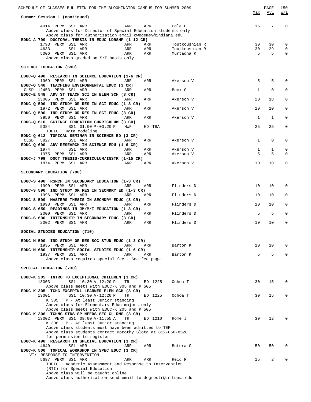| SCHEDULE OF CLASSES BULLETIN FOR THE BLOOMINGTON CAMPUS FOR SUMMER 2009                                           |              | PAGE        | 150         |
|-------------------------------------------------------------------------------------------------------------------|--------------|-------------|-------------|
| Summer Session 1 (continued)                                                                                      | Max          | Avl         | W/L         |
| 4014 PERM SS1 ARR<br>ARR<br>ARR<br>Cole C                                                                         | 15           | 7           | $\mathbf 0$ |
| Above class for Director of Special Education students only                                                       |              |             |             |
| Above class for authorization email cwedemey@indiana.edu<br>EDUC-A 799 DOCTORAL THESIS IN EDUC LDRSHP (1-12 CR)   |              |             |             |
| 1793 PERM SS1 ARR<br>ARR<br>ARR<br>Toutkoushian R                                                                 | 30           | 30          | 0           |
| 4633<br>SS1 ARR<br>ARR<br>ARR<br>Toutkoushian R                                                                   | 30           | 29          | 0           |
| 5006 PERM SS1 ARR<br>ARR<br>ARR<br>Murtadha K<br>Above class graded on S/F basis only                             | 5            | 5           | 0           |
| <b>SCIENCE EDUCATION (690)</b>                                                                                    |              |             |             |
| EDUC-Q 490 RESEARCH IN SCIENCE EDUCATION (1-6 CR)                                                                 |              |             |             |
| 1969 PERM SS1 ARR<br>ARR<br>ARR<br>Akerson V                                                                      | 5            | 5           | $\Omega$    |
| EDUC-Q 540 TEACHING ENVIRONMENTAL EDUC (3 CR)                                                                     |              |             |             |
| CLSD 12453 PERM SS1 ARR<br>ARR<br>ARR<br>Buck G<br>EDUC-E 548 ADV ST TEACH SCI IN ELEM SCH (3 CR)                 | 1            | $\mathbf 0$ | 0           |
| 13005 PERM SS1 ARR<br>ARR<br>Akerson V<br>ARR                                                                     | 20           | 18          | 0           |
| EDUC-Q 590 IND STUDY OR RES IN SCI EDUC (1-3 CR)<br>1972 PERM SS1 ARR<br>ARR<br>ARR<br>Akerson V                  | 10           | 10          | 0           |
| EDUC-Q 590 IND STUDY OR RES IN SCI EDUC (3 CR)                                                                    |              |             |             |
| 3950 PERM SS1 ARR<br>ARR<br>ARR<br>Akerson V                                                                      | 1            | 1           | $\mathbf 0$ |
| EDUC-Q 610 SCIENCE EDUCATION CURRICULUM (3 CR)<br>SS1 01:00 P-03:20 P<br>5384<br>MWF<br>HD TBA                    | 25           | 25          | 0           |
| TOPIC : Data Modeling                                                                                             |              |             |             |
| EDUC-Q 612 TOPICAL SEMINAR IN SCIENCE ED (3 CR)                                                                   |              |             |             |
| CLSD<br>5827<br>SS1 ARR<br>ARR<br>ARR<br>Akerson V<br>EDUC-Q 690 ADV RESEARCH IN SCIENCE EDU (1-6 CR)             | $\mathbf{1}$ | $\mathbf 0$ | 0           |
| SS1 ARR<br>1974<br>ARR<br>ARR<br>Akerson V                                                                        | $\mathbf{1}$ | 1           | 0           |
| 1975 PERM SS1 ARR<br>ARR<br>ARR<br>Akerson V<br>EDUC-J 799 DOCT THESIS-CURRICULUM/INSTR (1-15 CR)                 | 5            | 5           | $\Omega$    |
| 1874 PERM SS1 ARR<br>ARR<br>ARR<br>Akerson V                                                                      | 10           | 10          | 0           |
|                                                                                                                   |              |             |             |
| SECONDARY EDUCATION (700)                                                                                         |              |             |             |
| EDUC-S 490 RSRCH IN SECONDARY EDUCATION (1-3 CR)                                                                  |              |             |             |
| 1990 PERM SS1 ARR<br>ARR<br>ARR<br>Flinders D<br>EDUC-S 590 IND STUDY OR RES IN SECNDRY ED (1-3 CR)               | 10           | 10          | 0           |
| 1996 PERM SS1 ARR<br>ARR<br>ARR<br>Flinders D                                                                     | 10           | 10          | 0           |
| EDUC-S 599 MASTERS THESIS IN SECNDRY EDUC (3 CR)                                                                  |              |             |             |
| 1998 PERM SS1 ARR<br>ARR<br>Flinders D<br>ARR<br>EDUC-S 650 READINGS IN JM/M/I EDUCATION (1-3 CR)                 | 10           | 10          | 0           |
| 2000 PERM SS1 ARR<br>ARR<br>ARR<br>Flinders D                                                                     | 5            | 5           | 0           |
| EDUC-S 690 INTERNSHIP IN SECONDARY EDUC (3 CR)                                                                    |              |             |             |
| 2002 PERM SS1 ARR<br>ARR<br>ARR<br>Flinders D                                                                     | 10           | 10          | 0           |
| SOCIAL STUDIES EDUCATION (710)                                                                                    |              |             |             |
| EDUC-M 590 IND STUDY OR RES SOC STUD EDUC (1-3 CR)                                                                |              |             |             |
| 1935 PERM SS1 ARR<br>ARR<br>ARR<br>Barton K<br>EDUC-M 680 INTERNSHIP SOCIAL STUDIES EDUC (1-6 CR)                 | 10           | 10          | $\Omega$    |
| 1937 PERM SS1 ARR<br>ARR<br>ARR<br>Barton K                                                                       | 5            | 5           | $\Omega$    |
| Above class requires special fee - See fee page                                                                   |              |             |             |
| SPECIAL EDUCATION (730)                                                                                           |              |             |             |
|                                                                                                                   |              |             |             |
| EDUC-K 205 INTRO TO EXCEPTIONAL CHILDREN (3 CR)<br>13003<br>SS1 10:30 A-12:20 P<br>ED 1225<br>TR<br>Ochoa T       | 30           | 15          | 0           |
| Above class meets with EDUC-K 305 and K 505                                                                       |              |             |             |
| EDUC-K 305 TCHG EXCEPTNL LEARNER-ELEM SCH (3 CR)                                                                  |              |             |             |
| 13001<br>SS1 10:30 A-12:20 P<br><b>TR</b><br>ED 1225<br>Ochoa T<br>$K$ 305 : P - At least Junior standing         | 30           | 15          | 0           |
| Above class for Elementary Educ majors only                                                                       |              |             |             |
| Above class meets with EDUC-K 205 and K 505                                                                       |              |             |             |
| EDUC-K 306 TCHNG STDS SP NEEDS SEC CL RMS (3 CR)<br>13002 PERM SS1 09:00 A-11:55 A<br>TR<br>ED 1210<br>Rome J     | 30           | 12          | $\Omega$    |
| $K$ 306 : P - At least Junior standing                                                                            |              |             |             |
| Above class students must have been admitted to TEP<br>Above class students contact Dorothy Slota at 812-856-8528 |              |             |             |
| for permission to register                                                                                        |              |             |             |
| EDUC-K 490 RESEARCH IN SPECIAL EDUCATION (3 CR)                                                                   |              |             |             |
| 4640<br>SS1 ARR<br>ARR<br>ARR<br>Butera G                                                                         | 50           | 50          | $\Omega$    |
| EDUC-K 500 TOPICAL WORKSHOP IN SPEC EDUC (3 CR)<br>VT: RESPONSE TO INTERVENTION                                   |              |             |             |
| 5697 PERM SS1 ARR<br>ARR<br>ARR<br>Reid R                                                                         | 15           | 2           | $\Omega$    |
| TOPIC : Academic Assessment and Response to Intervention                                                          |              |             |             |
| (RTI) for Special Education<br>Above class will be taught online                                                  |              |             |             |
| Above class authorization send email to degrestr@indiana.edu                                                      |              |             |             |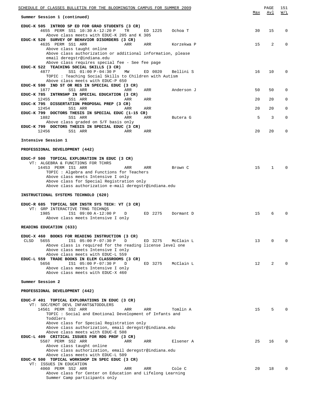| SCHEDULE OF CLASSES BULLETIN FOR THE BLOOMINGTON CAMPUS FOR SUMMER 2009                                                                                                                              |     | PAGE           | 151      |
|------------------------------------------------------------------------------------------------------------------------------------------------------------------------------------------------------|-----|----------------|----------|
| Summer Session 1 (continued)                                                                                                                                                                         | Max | Avl            | W/L      |
| EDUC-K 505 INTROD SP ED FOR GRAD STUDENTS (3 CR)<br>4655 PERM SS1 10:30 A-12:20 P<br>TR<br>ED 1225<br>Ochoa T<br>Above class meets with EDUC-K 205 and K 305                                         | 30  | 15             | 0        |
| EDUC-K 520 SURVEY OF BEHAVIOR DISORDERS (3 CR)<br>4635 PERM SS1 ARR<br>ARR<br>ARR<br>Korzekwa P                                                                                                      | 15  | $\overline{2}$ | 0        |
| Above class taught online<br>Above class authorization or additional information, please                                                                                                             |     |                |          |
| email deregstr@indiana.edu<br>Above class requires special fee - See fee page                                                                                                                        |     |                |          |
| EDUC-K 522 TEACHING SOCIAL SKILLS (3 CR)<br>SS1 01:00 P-04:30 P<br>4877<br>МW<br>ED 0020<br>Bellini S<br>TOPIC : Teaching Social Skills to Children with Autism<br>Above class meets with EDUC-P 650 | 16  | 10             | 0        |
| EDUC-K 590 IND ST OR RES IN SPECIAL EDUC (3 CR)<br>1877<br>SS1 ARR<br>ARR<br>ARR<br>Anderson J                                                                                                       | 50  | 50             | 0        |
| EDUC-K 785 INTRNSHP IN SPECIAL EDUCATION (3 CR)                                                                                                                                                      |     |                |          |
| 12455<br>SS1 ARR<br>ARR<br>ARR<br>EDUC-K 795 DISSERTATION PROPOSAL PREP (3 CR)                                                                                                                       | 20  | 20             | 0        |
| 12454<br>SS1 ARR<br>ARR<br>ARR<br>EDUC-K 799 DOCTORS THESIS IN SPECIAL EDUC (1-15 CR)                                                                                                                | 20  | 20             | 0        |
| 1882<br>SS1 ARR<br>ARR<br>Butera G<br>ARR<br>Above class graded on S/F basis only<br>EDUC-K 799 DOCTORS THESIS IN SPECIAL EDUC (3 CR)                                                                | 5   | 3              | 0        |
| 12456<br>SS1 ARR<br>ARR<br>ARR                                                                                                                                                                       | 20  | 20             | 0        |
| Intensive Session 1                                                                                                                                                                                  |     |                |          |
| PROFESSIONAL DEVELOPMENT (442)                                                                                                                                                                       |     |                |          |
| EDUC-F 500 TOPICAL EXPLORATION IN EDUC (3 CR)                                                                                                                                                        |     |                |          |
| VT: ALGEBRA & FUNCTIONS FOR TCHRS<br>14453 PERM IS1 ARR<br>ARR<br>ARR<br>Brown C<br>TOPIC: Algebra and Functions for Teachers<br>Above class meets Intensive I only                                  | 15  | $\mathbf{1}$   | $\Omega$ |
| Above class for Special Registration only<br>Above class authorization e-mail deregstr@indiana.edu                                                                                                   |     |                |          |
| INSTRUCTIONAL SYSTEMS TECHNOLO (620)                                                                                                                                                                 |     |                |          |
| EDUC-R 685 TOPICAL SEM INSTR SYS TECH: VT (3 CR)                                                                                                                                                     |     |                |          |
| VT: GRP INTERACTIVE TRNG TECHNQS<br>1985<br>IS1 09:00 A-12:00 P<br>ED 2275<br>D<br>Dormant D<br>Above class meets Intensive I only                                                                   | 15  | 6              |          |
| READING EDUCATION (633)                                                                                                                                                                              |     |                |          |
|                                                                                                                                                                                                      |     |                |          |
| EDUC-X 460 BOOKS FOR READING INSTRUCTION (3 CR)<br><b>CLSD</b><br>5655<br>IS1 05:00 P-07:30 P<br>D<br>ED 3275<br>McClain L<br>Above class is required for the reading license level one              | 13  | 0              | $\Omega$ |
| Above class meets Intensive I only<br>Above class meets with EDUC-L 559<br>EDUC-L 559 TRADE BOOKS IN ELEM CLASSROOMS (3 CR)                                                                          |     |                |          |
| 5656<br>IS1 05:00 P-07:30 P<br>ED 3275<br>McClain L<br>D<br>Above class meets Intensive I only                                                                                                       | 12  | $\overline{2}$ | $\Omega$ |
| Above class meets with EDUC-X 460                                                                                                                                                                    |     |                |          |
| Summer Session 2                                                                                                                                                                                     |     |                |          |
| PROFESSIONAL DEVELOPMENT (442)                                                                                                                                                                       |     |                |          |
| EDUC-F 401 TOPICAL EXPLORATIONS IN EDUC (3 CR)                                                                                                                                                       |     |                |          |
| VT: SOC/EMOT DEVL INFANTS&TODDLERS<br>14561 PERM SS2 ARR<br>ARR<br>ARR<br>Tomlin A<br>TOPIC : Social and Emotional Development of Infants and                                                        | 15  | 5              |          |
| Toddlers<br>Above class for Special Registration only                                                                                                                                                |     |                |          |
| Above class authorization, email deregstr@indiana.edu<br>Above class meets with EDUC-E 508                                                                                                           |     |                |          |
| EDUC-L 409 CRITICAL ISSUES FOR RDG PROF (3 CR)<br>5587 PERM SS2 ARR<br>ARR<br>ARR<br>Elsener A                                                                                                       | 25  | 16             | $\Omega$ |
| Above class taught online<br>Above class authorization, email deregstr@indiana.edu                                                                                                                   |     |                |          |
| Above class meets with EDUC-L 509<br>EDUC-K 500 TOPICAL WORKSHOP IN SPEC EDUC (3 CR)                                                                                                                 |     |                |          |
| VT: ISSUES IN EDUCATION                                                                                                                                                                              |     |                |          |
| 4060 PERM SS2 ARR<br>Cole C<br>ARR<br>ARR<br>Above class for Center on Education and Lifelong Learning<br>Summer Camp participants only                                                              | 20  | 18             | $\Omega$ |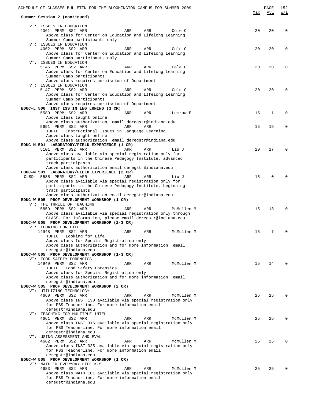|      | SCHEDULE OF CLASSES BULLETIN FOR THE BLOOMINGTON CAMPUS FOR SUMMER 2009                             |     |            |     | PAGE        | 152         |
|------|-----------------------------------------------------------------------------------------------------|-----|------------|-----|-------------|-------------|
|      | Summer Session 2 (continued)                                                                        |     |            | Max | Avl         | W/L         |
|      |                                                                                                     |     |            |     |             |             |
|      | VT: ISSUES IN EDUCATION                                                                             |     |            |     |             |             |
|      | 4061 PERM SS2 ARR<br>ARR                                                                            | ARR | Cole C     | 20  | 20          | $\Omega$    |
|      | Above class for Center on Education and Lifelong Learning                                           |     |            |     |             |             |
|      | Summer Camp participants only<br>VT: ISSUES IN EDUCATION                                            |     |            |     |             |             |
|      | 4062 PERM SS2 ARR<br>ARR                                                                            | ARR | Cole C     | 20  | 20          | $\Omega$    |
|      | Above class for Center on Education and Lifelong Learning                                           |     |            |     |             |             |
|      | Summer Camp participants only                                                                       |     |            |     |             |             |
|      | VT: ISSUES IN EDUCATION                                                                             |     |            |     |             |             |
|      | 5146 PERM SS2 ARR<br>ARR                                                                            | ARR | Cole C     | 20  | 20          | $\Omega$    |
|      | Above class for Center on Education and Lifelong Learning<br>Summer Camp participants               |     |            |     |             |             |
|      | Above class requires permission of Department                                                       |     |            |     |             |             |
|      | VT: ISSUES IN EDUCATION                                                                             |     |            |     |             |             |
|      | 5147 PERM SS2 ARR<br>ARR                                                                            | ARR | Cole C     | 20  | 20          | $\Omega$    |
|      | Above class for Center on Education and LIfelong Learning                                           |     |            |     |             |             |
|      | Summer Camp participants<br>Above class requires permission of Department                           |     |            |     |             |             |
|      | EDUC-L 500 INST ISS IN LNG LRNING (3 CR)                                                            |     |            |     |             |             |
|      | 5589 PERM SS2 ARR<br>ARR                                                                            | ARR | Lemrow E   | 15  | $\mathbf 1$ | $\Omega$    |
|      | Above class taught online                                                                           |     |            |     |             |             |
|      | Above class authorization, email deregstr@indiana.edu                                               |     |            |     |             |             |
|      | 5691 PERM SS2 ARR<br>ARR                                                                            | ARR |            | 15  | 15          | $\mathbf 0$ |
|      | TOPIC : Instructional Issues in Language Learning<br>Above class taught online                      |     |            |     |             |             |
|      | Above class authorization, email deregstr@indiana.edu                                               |     |            |     |             |             |
|      | EDUC-M 501 LABORATORY/FIELD EXPERIENCE (1 CR)                                                       |     |            |     |             |             |
|      | 5101 PERM SS2 ARR<br>ARR                                                                            | ARR | Liu J      | 20  | 17          | $\Omega$    |
|      | Above class available via special registration only for                                             |     |            |     |             |             |
|      | participants in the Chinese Pedagogy Institute, advanced                                            |     |            |     |             |             |
|      | track participants<br>Above class authorization email deregstr@indiana.edu                          |     |            |     |             |             |
|      | EDUC-M 501 LABORATORY/FIELD EXPERIENCE (2 CR)                                                       |     |            |     |             |             |
| CLSD | 5585 PERM SS2 ARR<br>ARR                                                                            | ARR | Liu J      | 15  | $\Omega$    | $\Omega$    |
|      | Above class available via special registration only for                                             |     |            |     |             |             |
|      | participants in the Chinese Pedagogy Institute, beginning                                           |     |            |     |             |             |
|      | track participants                                                                                  |     |            |     |             |             |
|      | Above class authorization email deregstr@indiana.edu<br>EDUC-W 505 PROF DEVELOPMENT WORKSHOP (1 CR) |     |            |     |             |             |
|      | VT: THE THRILL OF TEACHING                                                                          |     |            |     |             |             |
|      | 5859 PERM SS2 ARR<br>ARR                                                                            | ARR | McMullen M | 15  | 13          | $\Omega$    |
|      | Above class available via special registration only through                                         |     |            |     |             |             |
|      | CLASS. For information, please email deregstr@indiana.edu                                           |     |            |     |             |             |
|      | EDUC-W 505 PROF DEVELOPMENT WORKSHOP (2-3 CR)<br>VT: LOOKING FOR LIFE                               |     |            |     |             |             |
|      | 14948 PERM SS2 ARR<br>ARR                                                                           | ARR | McMullen M | 15  | 7           | 0           |
|      | TOPIC : Looking for Life                                                                            |     |            |     |             |             |
|      | Above class for Special Registration only                                                           |     |            |     |             |             |
|      | Above class authorization and for more information, email                                           |     |            |     |             |             |
|      | deregstr@indiana.edu<br>EDUC-W 505 PROF DEVELOPMENT WORKSHOP (1-3 CR)                               |     |            |     |             |             |
|      | VT: FOOD SAFETY FORENSICS                                                                           |     |            |     |             |             |
|      | 14949 PERM SS2 ARR<br>ARR                                                                           | ARR | McMullen M | 15  | 14          | $\Omega$    |
|      | TOPIC: Food Safety Forensics                                                                        |     |            |     |             |             |
|      | Above class for Special Registration only                                                           |     |            |     |             |             |
|      | Above class authorization and for more information, email<br>deregstr@indiana.edu                   |     |            |     |             |             |
|      | EDUC-W 505 PROF DEVELOPMENT WORKSHOP (2 CR)                                                         |     |            |     |             |             |
|      | VT: UTILIZING TECHNOLOGY                                                                            |     |            |     |             |             |
|      | 4660 PERM SS2 ARR<br>ARR                                                                            | ARR | McMullen M | 25  | 25          | $\Omega$    |
|      | Above class INST 130 available via special registration only                                        |     |            |     |             |             |
|      | for PBS Teacherline. For more information email                                                     |     |            |     |             |             |
|      | deregstr@indiana.edu<br>VT: TEACHING FOR MULTIPLE INTELL                                            |     |            |     |             |             |
|      | 4661 PERM SS2 ARR<br>ARR                                                                            | ARR | McMullen M | 25  | 25          | $\Omega$    |
|      | Above class INST 315 available via special registration only                                        |     |            |     |             |             |
|      | for PBS Teacherline. For more information email                                                     |     |            |     |             |             |
|      | deregstr@indiana.edu                                                                                |     |            |     |             |             |
|      | VT: USING ASSESSMENT AND EVAL<br>4662 PERM SS2 ARR<br>ARR                                           | ARR | McMullen M | 25  | 25          | $\Omega$    |
|      | Above class INST 325 available via special registration only                                        |     |            |     |             |             |
|      | for PBS Teacherline. For more information email                                                     |     |            |     |             |             |
|      | deregstr@indiana.edu                                                                                |     |            |     |             |             |
|      | EDUC-W 505 PROF DEVELOPMENT WORKSHOP (1 CR)                                                         |     |            |     |             |             |
|      | VT: MATH IN EVERYDAY LIFE K-5<br>4683 PERM SS2 ARR<br>ARR                                           | ARR | McMullen M | 25  | 25          | $\Omega$    |
|      | Above class MATH 181 available via special registration only                                        |     |            |     |             |             |
|      | for PBS Teacherline. For more information email                                                     |     |            |     |             |             |
|      | deregstr@indiana.edu                                                                                |     |            |     |             |             |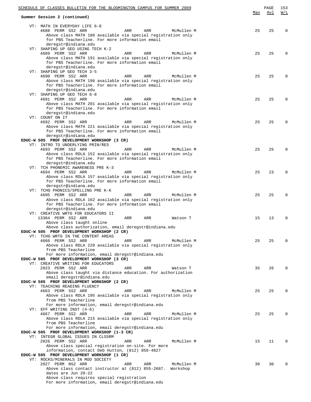| SCHEDULE OF CLASSES BULLETIN FOR THE BLOOMINGTON CAMPUS FOR SUMMER 2009                                         |     | PAGE | 153      |
|-----------------------------------------------------------------------------------------------------------------|-----|------|----------|
| Summer Session 2 (continued)                                                                                    | Max | Avl  | W/L      |
|                                                                                                                 |     |      |          |
| VT: MATH IN EVERYDAY LIFE 6-8                                                                                   |     |      |          |
| 4688 PERM SS2 ARR<br>ARR<br>ARR<br>McMullen M<br>Above class MATH 186 available via special registration only   | 25  | 25   | $\Omega$ |
| for PBS Teacherline. For more information email                                                                 |     |      |          |
| deregstr@indiana.edu                                                                                            |     |      |          |
| VT: SHAPING UP GEO USING TECH K-2                                                                               |     |      |          |
| 4689 PERM SS2 ARR<br>ARR<br>ARR<br>McMullen M                                                                   | 25  | 25   | $\Omega$ |
| Above class MATH 191 available via special registration only                                                    |     |      |          |
| for PBS Teacherline. For more information email<br>deregstr@indiana.edu                                         |     |      |          |
| VT: SHAPING UP GEO TECH 3-5                                                                                     |     |      |          |
| 4690 PERM SS2 ARR<br>ARR<br>ARR<br>McMullen M                                                                   | 25  | 25   | $\Omega$ |
| Above class MATH 196 available via special registration only                                                    |     |      |          |
| for PBS Teacherline. For more information email                                                                 |     |      |          |
| deregstr@indiana.edu                                                                                            |     |      |          |
| VT: SHAPING UP GEO TECH 6-8<br>4691 PERM SS2 ARR<br>ARR<br>ARR<br>McMullen M                                    | 25  | 25   | $\Omega$ |
| Above class MATH 201 available via special registration only                                                    |     |      |          |
| for PBS Teacherline. For more information email                                                                 |     |      |          |
| deregstr@indiana.edu                                                                                            |     |      |          |
| VT: COUNT ON IT                                                                                                 |     |      |          |
| 4692 PERM SS2 ARR<br>ARR<br>ARR<br>McMullen M<br>Above class MATH 221 available via special registration only   | 25  | 25   | $\Omega$ |
| for PBS Teacherline. For more information email                                                                 |     |      |          |
| deregstr@indiana.edu                                                                                            |     |      |          |
| EDUC-W 505 PROF DEVELOPMENT WORKSHOP (3 CR)                                                                     |     |      |          |
| VT: INTRO TO UNDERLYING PRIN/RES                                                                                |     |      |          |
| 4693 PERM SS2 ARR<br>ARR<br>ARR<br>McMullen M                                                                   | 25  | 25   | $\Omega$ |
| Above class RDLA 152 available via special registration only<br>for PBS Teacherline. For more information email |     |      |          |
| deregstr@indiana.edu                                                                                            |     |      |          |
| VT: TCH PHONEMIC AWARENESS PRE K-3                                                                              |     |      |          |
| 4694 PERM SS2 ARR<br>ARR<br>ARR<br>McMullen M                                                                   | 25  | 23   | $\Omega$ |
| Above class RDLA 157 available via special registration only                                                    |     |      |          |
| for PBS Teacherline. For more information email<br>deregstr@indiana.edu                                         |     |      |          |
| VT: TCHG PHONICS/SPELLING PRE K-K                                                                               |     |      |          |
| 4695 PERM SS2 ARR<br>ARR<br>ARR<br>McMullen M                                                                   | 25  | 25   | $\Omega$ |
| Above class RDLA 162 available via special registration only                                                    |     |      |          |
| for PBS Teacherline. For more information email                                                                 |     |      |          |
| deregstr@indiana.edu<br>VT: CREATIVE WRTG FOR EDUCATORS II                                                      |     |      |          |
| 13384 PERM SS2 ARR<br>ARR<br>ARR<br>Watson T                                                                    | 15  | 13   | $\Omega$ |
| Above class taught online                                                                                       |     |      |          |
| Above class authorization, email deregstr@indiana.edu                                                           |     |      |          |
| EDUC-W 505 PROF DEVELOPMENT WORKSHOP (2 CR)                                                                     |     |      |          |
| VT: TCHG WRTG IN THE CONTENT AREAS<br>4666 PERM SS2 ARR<br>ARR<br>ARR<br>McMullen M                             | 25  | 25   | $\Omega$ |
| Above class RDLA 220 available via special registration only                                                    |     |      |          |
| from PBS Teacherline                                                                                            |     |      |          |
| For more information, email deregstr@indiana.edu                                                                |     |      |          |
| EDUC-W 505 PROF DEVELOPMENT WORKSHOP (3 CR)                                                                     |     |      |          |
| VT: CREATIVE WRITING FOR EDUCATORS<br>2023 PERM SS2 ARR<br>ARR<br>ARR<br>Watson T                               | 35  | 26   | $\Omega$ |
| Above class taught via distance education. For authorization                                                    |     |      |          |
| email deregstr@indiana.edu                                                                                      |     |      |          |
| EDUC-W 505 PROF DEVELOPMENT WORKSHOP (2 CR)                                                                     |     |      |          |
| VT: TEACHING READING FLUENCY                                                                                    |     |      |          |
| 4663 PERM SS2 ARR<br>McMullen M<br>ARR<br>ARR<br>Above class RDLA 195 available via special registration only   | 25  | 25   | $\Omega$ |
| from PBS Teacherline                                                                                            |     |      |          |
| For more information, email deregstr@indiana.edu                                                                |     |      |          |
| VT: EFF WRITING INST (4-6)                                                                                      |     |      |          |
| 4667 PERM SS2 ARR<br>McMullen M<br>ARR<br>ARR                                                                   | 25  | 25   | $\Omega$ |
| Above class RDLA 215 available via special registration only<br>from PBS Teacherline                            |     |      |          |
| For more information, email deregstr@indiana.edu                                                                |     |      |          |
| EDUC-W 505 PROF DEVELOPMENT WORKSHOP (1-3 CR)                                                                   |     |      |          |
| VT: INTEGR GLOBAL ISSUES IN CLSSRM                                                                              |     |      |          |
| 2026 PERM SS2 ARR<br>McMullen M<br>ARR<br>ARR                                                                   | 15  | 11   | $\Omega$ |
| Above class special registration on-site. For more<br>information, contact Deb Hutton, (812) 856-4827           |     |      |          |
| EDUC-W 505 PROF DEVELOPMENT WORKSHOP (1 CR)                                                                     |     |      |          |
| VT: ROCKS/MINERALS IN MOD SOCIETY                                                                               |     |      |          |
| 2027 PERM NS2 ARR<br>McMullen M<br>ARR<br>ARR                                                                   | 30  | 30   | $\Omega$ |
| Above class contact instructor at (812) 855-2687.<br>Workshop                                                   |     |      |          |
| dates are Jun 20-22<br>Above class requires special registration                                                |     |      |          |
| For more information, email deregstr@indiana.edu                                                                |     |      |          |
|                                                                                                                 |     |      |          |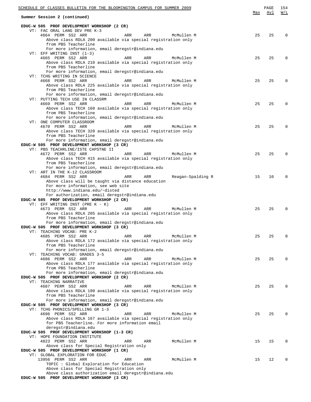| SCHEDULE OF CLASSES BULLETIN FOR THE BLOOMINGTON CAMPUS FOR SUMMER 2009                                       |     | PAGE | 154         |
|---------------------------------------------------------------------------------------------------------------|-----|------|-------------|
| Summer Session 2 (continued)                                                                                  | Max | Avl  | W/L         |
| EDUC-W 505 PROF DEVELOPMENT WORKSHOP (2 CR)                                                                   |     |      |             |
| VT: FAC ORAL LANG DEV PRE K-3<br>4664 PERM SS2 ARR<br>ARR<br>ARR<br>McMullen M                                | 25  | 25   | $\Omega$    |
| Above class RDLA 200 available via special registration only                                                  |     |      |             |
| from PBS Teacherline                                                                                          |     |      |             |
| For more information, email deregstr@indiana.edu<br>VT: EFF WRITING INST $(1-3)$                              |     |      |             |
| 4665 PERM SS2 ARR<br>McMullen M<br>ARR<br>ARR                                                                 | 25  | 25   | $\Omega$    |
| Above class RDLA 210 available via special registration only<br>from PBS Teacherline                          |     |      |             |
| For more information, email deregstr@indiana.edu                                                              |     |      |             |
| VT: TCHG WRITING IN SCIENCE                                                                                   |     |      |             |
| 4668 PERM SS2 ARR<br>McMullen M<br>ARR<br>ARR<br>Above class RDLA 225 available via special registration only | 25  | 25   | 0           |
| from PBS Teacherline                                                                                          |     |      |             |
| For more information, email deregstr@indiana.edu<br>VT: PUTTING TECH USE IN CLASSRM                           |     |      |             |
| 4669 PERM SS2 ARR<br>ARR<br>McMullen M<br>ARR                                                                 | 25  | 25   | 0           |
| Above class TECH 160 available via special registration only                                                  |     |      |             |
| from PBS Teacherline<br>For more information, email deregstr@indiana.edu                                      |     |      |             |
| VT: ONE COMPUTER CLASSROOM                                                                                    |     |      |             |
| 4670 PERM SS2 ARR<br>ARR<br>ARR<br>McMullen M<br>Above class TECH 320 available via special registration only | 25  | 25   | $\mathbf 0$ |
| from PBS Teacherline                                                                                          |     |      |             |
| For more information, email deregstr@indiana.edu                                                              |     |      |             |
| EDUC-W 505 PROF DEVELOPMENT WORKSHOP (3 CR)<br>VT: PBS TEACHRLINE/ISTE CAPSTNE II                             |     |      |             |
| 4672 PERM SS2 ARR<br>ARR<br>ARR<br>McMullen M                                                                 | 25  | 25   | $\Omega$    |
| Above class TECH 415 available via special registration only                                                  |     |      |             |
| from PBS Teacherline<br>For more information, email deregstr@indiana.edu                                      |     |      |             |
| VT: ART IN THE K-12 CLASSROOM                                                                                 |     |      |             |
| 4684 PERM SS2 ARR<br>ARR<br>Reagan-Spalding R<br>ARR<br>Above class will be taught via distance education     | 15  | 10   | $\mathbf 0$ |
| For more information, see web site                                                                            |     |      |             |
| http://www.indiana.edu/~disted                                                                                |     |      |             |
| For authorization, email deregstr@indiana.edu<br>EDUC-W 505 PROF DEVELOPMENT WORKSHOP (2 CR)                  |     |      |             |
| VT: EFF WRITING INST (PRE $K - K$ )                                                                           |     |      |             |
| 4673 PERM SS2 ARR<br>ARR<br>ARR<br>McMullen M<br>Above class RDLA 205 available via special registration only | 25  | 25   | $\Omega$    |
| from PBS Teacherline                                                                                          |     |      |             |
| For more information, email deregstr@indiana.edu                                                              |     |      |             |
| EDUC-W 505 PROF DEVELOPMENT WORKSHOP (3 CR)<br>VT: TEACHING VOCAB: PRE K-2                                    |     |      |             |
| 4685 PERM SS2 ARR<br>ARR<br>ARR<br>McMullen M                                                                 | 25  | 25   | 0           |
| Above class RDLA 172 available via special registration only<br>from PBS Teacherline                          |     |      |             |
| For more information, email deregstr@indiana.edu                                                              |     |      |             |
| VT: TEACHING VOCAB: GRADES 3-5                                                                                |     |      |             |
| 4686 PERM SS2 ARR<br>ARR<br>ARR<br>McMullen M<br>Above class RDLA 177 available via special registration only | 25  | 25   | $\Omega$    |
| from PBS Teacherline                                                                                          |     |      |             |
| For more information, email deregstr@indiana.edu<br>EDUC-W 505 PROF DEVELOPMENT WORKSHOP (2 CR)               |     |      |             |
| VT: TEACHING NARRATIVE                                                                                        |     |      |             |
| 4687 PERM SS2 ARR<br>ARR<br>ARR<br>McMullen M                                                                 | 25  | 25   | $\Omega$    |
| Above class RDLA 190 available via special registration only<br>from PBS Teacherline                          |     |      |             |
| For more information, email deregstr@indiana.edu                                                              |     |      |             |
| EDUC-W 505 PROF DEVELOPMENT WORKSHOP (3 CR)<br>VT: TCHG PHONICS/SPELLING GR 1-3                               |     |      |             |
| 4696 PERM SS2 ARR<br>McMullen M<br>ARR<br>ARR                                                                 | 25  | 25   | $\Omega$    |
| Above class RDLA 167 available via special registration only                                                  |     |      |             |
| for PBS Teacherline. For more information email<br>deregstr@indiana.edu                                       |     |      |             |
| EDUC-W 505 PROF DEVELOPMENT WORKSHOP (1-3 CR)                                                                 |     |      |             |
| VT: HOPE FOUNDATION INSTITUTE<br>4823 PERM SS2 ARR<br>McMullen M<br>ARR<br>ARR                                | 15  | 15   | $\Omega$    |
| Above class for Special Registration only                                                                     |     |      |             |
| EDUC-W 505 PROF DEVELOPMENT WORKSHOP (1 CR)                                                                   |     |      |             |
| VT: GLOBAL EXPLORATION FOR EDUC<br>13956 PERM SS2 ARR<br>McMullen M<br>ARR<br>ARR                             | 15  | 12   | $\mathbf 0$ |
| TOPIC: Global Exploration for Education                                                                       |     |      |             |
| Above class for Special Registration only<br>Above class authorization email deregstr@indiana.edu             |     |      |             |
| EDUC-W 505 PROF DEVELOPMENT WORKSHOP (3 CR)                                                                   |     |      |             |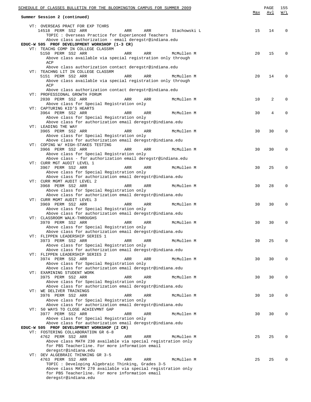| SCHEDULE OF CLASSES BULLETIN FOR THE BLOOMINGTON CAMPUS FOR SUMMER 2009                                                                                                                                      | Max | PAGE<br>Avl | 155<br>W/L  |
|--------------------------------------------------------------------------------------------------------------------------------------------------------------------------------------------------------------|-----|-------------|-------------|
| Summer Session 2 (continued)                                                                                                                                                                                 |     |             |             |
| VT: OVERSEAS PRACT FOR EXP TCHRS<br>14518 PERM SS2 ARR<br>ARR<br>Stachowski L<br>ARR<br>TOPIC : Overseas Practice for Experienced Teachers                                                                   | 15  | 14          | $\Omega$    |
| Above class authorization - email deregstr@indiana.edu<br>EDUC-W 505 PROF DEVELOPMENT WORKSHOP (1-3 CR)<br>VT: TEACHG COMP IN COLLEGE CLASSRM                                                                |     |             |             |
| 5150 PERM SS2 ARR<br>ARR<br>ARR<br>McMullen M<br>Above class available via special registration only through<br>ACP                                                                                          | 20  | 15          | $\Omega$    |
| Above class authorization contact deregstr@indiana.edu<br>VT: TEACHNG LIT IN COLLEGE CLASSRM<br>5151 PERM SS2 ARR<br>ARR<br>ARR<br>McMullen M<br>Above class available via special registration only through | 20  | 14          | $\Omega$    |
| ACP<br>Above class authorization contact deregstr@indiana.edu<br>VT: PROFESSIONAL GROWTH FORUM<br>2030 PERM SS2 ARR<br>ARR<br>ARR<br>McMullen M                                                              | 10  | 2           | $\mathbf 0$ |
| Above class for Special Registration only<br>VT: CAPTURING KID'S HEARTS<br>3964 PERM SS2 ARR<br>ARR<br>McMullen M<br>ARR                                                                                     | 30  | 4           | $\mathbf 0$ |
| Above class for Special Registration only<br>Above class for authorization email deregstr@indiana.edu<br>VT: LEADING THE WAY                                                                                 |     |             |             |
| 3965 PERM SS2 ARR<br>ARR<br>ARR<br>McMullen M<br>Above class for Special Registration only<br>Above class for authorization email deregstr@indiana.edu                                                       | 30  | 30          | $\mathbf 0$ |
| VT: COPING W/ HIGH-STAKES TESTING<br>3966 PERM SS2 ARR<br>ARR<br>ARR<br>McMullen M<br>Above class for Special Registration only<br>Above class - for authorization email deregstr@indiana.edu                | 30  | 30          | $\mathbf 0$ |
| VT: CURR MGT AUDIT LEVEL 1<br>3967 PERM SS2 ARR<br>ARR<br>ARR<br>McMullen M<br>Above class for Special Registration only                                                                                     | 30  | 25          | $\Omega$    |
| Above class for authorization email deregstr@indiana.edu<br>VT: CURR MGMT AUDIT LEVEL 2<br>3968 PERM SS2 ARR<br>McMullen M<br>ARR<br>ARR                                                                     | 30  | 28          | $\Omega$    |
| Above class for Special Registration only<br>Above class for authorization email deregstr@indiana.edu<br>VT: CURR MGMT AUDIT LEVEL 3                                                                         |     |             |             |
| 3969 PERM SS2 ARR<br>McMullen M<br>ARR<br>ARR<br>Above class for Special Registration only<br>Above class for authorization email deregstr@indiana.edu                                                       | 30  | 30          | $\Omega$    |
| VT: CLASSROOM WALK-THROUGHS<br>3970 PERM SS2 ARR<br>ARR<br>McMullen M<br>ARR<br>Above class for Special Registration only<br>Above class for authorization email deregstr@indiana.edu                        | 30  | 30          | $\Omega$    |
| VT: FLIPPEN LEADERSHIP SERIES 1<br>3973 PERM SS2 ARR<br>ARR<br>ARR<br>McMullen M<br>Above class for Special Registration only                                                                                | 30  | 25          | $\mathbf 0$ |
| Above class for authorization email deregstr@indiana.edu<br>VT: FLIPPEN LEADERSHIP SERIES 2<br>3974 PERM SS2 ARR<br>ARR<br>McMullen M<br>ARR                                                                 | 30  | 30          | $\mathbf 0$ |
| Above class for Special Registration only<br>Above class for authorization email deregstr@indiana.edu<br>VT: EXAMINING STUDENT WORK                                                                          |     |             |             |
| 3975 PERM SS2 ARR<br>ARR<br>ARR<br>McMullen M<br>Above class for Special Registration only<br>Above class for authorization email deregstr@indiana.edu                                                       | 30  | 30          | 0           |
| VT: WE DELIVER TRAININGS<br>3976 PERM SS2 ARR<br>ARR<br>ARR<br>McMullen M<br>Above class for Special Registration only                                                                                       | 30  | 10          | $\mathbf 0$ |
| Above class for authorization email deregstr@indiana.edu<br>VT: 50 WAYS TO CLOSE ACHIEVMNT GAP<br>3977 PERM SS2 ARR<br>ARR<br>ARR<br>McMullen M                                                              | 30  | 30          | $\mathbf 0$ |
| Above class for Special Registration only<br>Above class for authorization email deregstr@indiana.edu<br>EDUC-W 505 PROF DEVELOPMENT WORKSHOP (2 CR)                                                         |     |             |             |
| VT: FOSTERING COLLABORATION GR 6-8<br>4762 PERM SS2 ARR<br>ARR<br>ARR<br>McMullen M<br>Above class MATH 230 available via special registration only<br>for PBS Teacherline. For more information email       | 25  | 25          | 0           |
| deregstr@indiana.edu<br>VT: DEV ALGEBRAIC THINKING GR 3-5<br>4763 PERM SS2 ARR<br>ARR<br>ARR<br>McMullen M<br>TOPIC : Developing Algebraic Thinking, Grades 3-5                                              | 25  | 25          | $\Omega$    |
| Above class MATH 270 available via special registration only<br>for PBS Teacherline. For more information email<br>deregstr@indiana.edu                                                                      |     |             |             |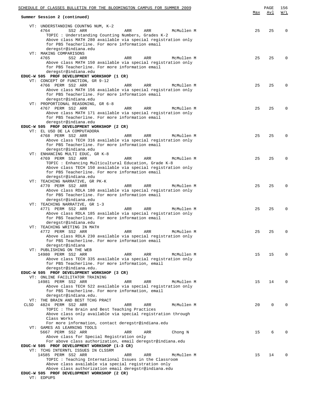|      | SCHEDULE OF CLASSES BULLETIN FOR THE BLOOMINGTON CAMPUS FOR SUMMER 2009                                          | Max | PAGE<br>Avl | 156<br>W/L |
|------|------------------------------------------------------------------------------------------------------------------|-----|-------------|------------|
|      | Summer Session 2 (continued)                                                                                     |     |             |            |
|      | VT: UNDERSTANDING COUNTNG NUM, K-2                                                                               |     |             |            |
|      | 4764<br>SS2 ARR<br>ARR<br>ARR<br>McMullen M<br>TOPIC: Understanding Counting Numbers, Grades K-2                 | 25  | 25          | $\Omega$   |
|      | Above class MATH 280 available via special registration only                                                     |     |             |            |
|      | for PBS Teacherline. For more information email                                                                  |     |             |            |
|      | deregstr@indiana.edu<br>VT: MAKING COMPARISONS                                                                   |     |             |            |
|      | 4765<br>SS2 ARR<br>ARR<br>ARR<br>McMullen M                                                                      | 25  | 25          | $\Omega$   |
|      | Above class MATH 150 available via special registration only                                                     |     |             |            |
|      | for PBS Teacherline. For more information email<br>deregstr@indiana.edu                                          |     |             |            |
|      | EDUC-W 505 PROF DEVELOPMENT WORKSHOP (1 CR)                                                                      |     |             |            |
|      | VT: CONCEPT OF FUNCTION, GR 9-12                                                                                 |     |             |            |
|      | 4766 PERM SS2 ARR<br>ARR<br>ARR<br>McMullen M                                                                    | 25  | 25          | $\Omega$   |
|      | Above class MATH 156 available via special registration only<br>for PBS Teacherline. For more information email  |     |             |            |
|      | deregstr@indiana.edu                                                                                             |     |             |            |
|      | VT: PROPORTIONAL REASONING, GR 6-8                                                                               |     |             |            |
|      | 4767 PERM SS2 ARR<br>ARR<br>ARR<br>McMullen M<br>Above class MATH 171 available via special registration only    | 25  | 25          | $\Omega$   |
|      | for PBS Teacherline. For more information email                                                                  |     |             |            |
|      | deregstr@indiana.edu                                                                                             |     |             |            |
|      | EDUC-W 505 PROF DEVELOPMENT WORKSHOP (2 CR)<br>VT: EL USO DE LA COMPUTADORA                                      |     |             |            |
|      | 4768 PERM SS2 ARR<br>ARR<br>ARR<br>McMullen M                                                                    | 25  | 25          | $\Omega$   |
|      | Above class TECH 316 available via special registration only                                                     |     |             |            |
|      | for PBS Teacherline. For more information email                                                                  |     |             |            |
|      | deregstr@indiana.edu<br>VT: ENHANCING MULTI EDUC, GR K-8                                                         |     |             |            |
|      | 4769 PERM SS2 ARR<br>ARR<br>ARR<br>McMullen M                                                                    | 25  | 25          | $\Omega$   |
|      | TOPIC : Enhancing Multicultural Education, Grade K-8                                                             |     |             |            |
|      | Above class TECH 150 available via special registration only<br>for PBS Teacherline. For more information email  |     |             |            |
|      | deregstr@indiana.edu                                                                                             |     |             |            |
|      | VT: TEACHING NARRATIVE, GR PK-K                                                                                  |     |             |            |
|      | 4770 PERM SS2 ARR<br>ARR<br>ARR<br>McMullen M                                                                    | 25  | 25          | $\Omega$   |
|      | Above class RDLA 180 available via special registration only<br>for PBS Teacherline. For more information email  |     |             |            |
|      | deregstr@indiana.edu                                                                                             |     |             |            |
|      | VT: TEACHING NARRATIVE, GR 1-3                                                                                   |     |             |            |
|      | 4771 PERM SS2 ARR<br>ARR<br>ARR<br>McMullen M<br>Above class RDLA 185 available via special registration only    | 25  | 25          | $\Omega$   |
|      | for PBS Teacherline. For more information email                                                                  |     |             |            |
|      | deregstr@indiana.edu                                                                                             |     |             |            |
|      | VT: TEACHING WRITING IN MATH<br>McMullen M<br>4772 PERM SS2 ARR<br>ARR<br>ARR                                    | 25  | 25          | $\Omega$   |
|      | Above class RDLA 230 available via special registration only                                                     |     |             |            |
|      | for PBS Teacherline. For more information email                                                                  |     |             |            |
|      | deregstr@indiana                                                                                                 |     |             |            |
|      | VT: PUBLISHING ON THE WEB<br>14980 PERM SS2 ARR<br>ARR<br>ARR<br>McMullen M                                      | 15  | 15          | $\Omega$   |
|      | Above class TECH 335 available via special registration only                                                     |     |             |            |
|      | for PBS Teacherline. For more information, email                                                                 |     |             |            |
|      | deregstr@indiana.edu.<br>EDUC-W 505 PROF DEVELOPMENT WORKSHOP (3 CR)                                             |     |             |            |
|      | VT: ONLINE FACILITATOR TRAINING                                                                                  |     |             |            |
|      | 14981 PERM SS2 ARR<br>ARR<br>ARR<br>McMullen M                                                                   | 15  | 14          | $\Omega$   |
|      | Above class TECH 522 available via special registration only<br>for PBS Teacherline. For more information, email |     |             |            |
|      | deregstr@indiana.edu.                                                                                            |     |             |            |
|      | VT: THE BRAIN AND BEST TCHG PRACT                                                                                |     |             |            |
| CLSD | 4824 PERM SS2 ARR<br>ARR<br>ARR<br>McMullen M                                                                    | 20  | $\mathbf 0$ | $\Omega$   |
|      | TOPIC: The Brain and Best Teaching Practices<br>Above class only available via special registration through      |     |             |            |
|      | Class Works                                                                                                      |     |             |            |
|      | For more information, contact deregstr@indiana.edu                                                               |     |             |            |
|      | VT: GAMES AS LEARNING TOOLS                                                                                      |     | 6           | $\Omega$   |
|      | 5667 PERM SS2 ARR<br>ARR<br>ARR<br>Chong N<br>Above class for Special Registration only                          | 15  |             |            |
|      | For above class authorization, email deregstr@indiana.edu                                                        |     |             |            |
|      | EDUC-W 505 PROF DEVELOPMENT WORKSHOP (1-3 CR)                                                                    |     |             |            |
|      | VT: TCHG INTERNTL ISSUES IN CLSSRM<br>14585 PERM SS2 ARR<br>ARR<br>McMullen M<br>ARR                             | 15  | 14          | $\Omega$   |
|      | TOPIC: Teaching International Issues in the Classroom                                                            |     |             |            |
|      | Above class available via special registration only                                                              |     |             |            |
|      | Above class authorization email deregstr@indiana.edu<br>EDUC-W 505 PROF DEVELOPMENT WORKSHOP (2 CR)              |     |             |            |
|      | VT: EDPUPS                                                                                                       |     |             |            |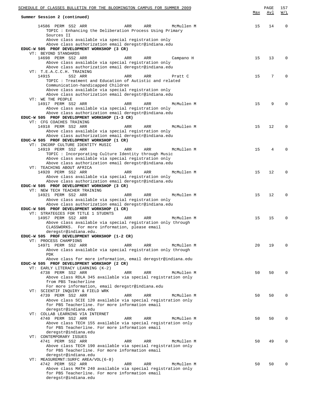| SCHEDULE OF CLASSES BULLETIN FOR THE BLOOMINGTON CAMPUS FOR SUMMER 2009                                                                  |            | PAGE | 157      |
|------------------------------------------------------------------------------------------------------------------------------------------|------------|------|----------|
| Summer Session 2 (continued)                                                                                                             | <u>Max</u> | Avl  | W/L      |
| 14586 PERM SS2 ARR<br>ARR<br>McMullen M<br>ARR<br>TOPIC : Enhancing the Deliberation Process Using Primary<br>Sources II                 | 15         | 14   | $\Omega$ |
| Above class available via special registration only                                                                                      |            |      |          |
| Above class authorization email deregstr@indiana.edu<br>EDUC-W 505 PROF DEVELOPMENT WORKSHOP (3 CR)                                      |            |      |          |
| VT: BEYOND STANDARDS                                                                                                                     |            |      |          |
| 14698 PERM SS2 ARR<br>ARR<br>ARR<br>Campano H                                                                                            | 15         | 13   | $\Omega$ |
| Above class available via special registration only<br>Above class authorization email deregstr@indiana.edu                              |            |      |          |
| VT: T.E.A.C.C.H. TRAINING                                                                                                                |            |      |          |
| SS2 ARR<br>14915<br>ARR<br>ARR<br>Pratt C<br>TOPIC : Treatment and Education of Autistic and related                                     | 15         | 7    | $\Omega$ |
| Communication-handicapped Children<br>Above class available via special registration only                                                |            |      |          |
| Above class authorization email deregstr@indiana.edu                                                                                     |            |      |          |
| VT: WE THE PEOPLE<br>14917 PERM SS2 ARR<br>ARR<br>McMullen M<br>ARR                                                                      | 15         | 9    |          |
| Above class available via special registration only                                                                                      |            |      |          |
| Above class authorization email deregstr@indiana.edu                                                                                     |            |      |          |
| EDUC-W 505 PROF DEVELOPMENT WORKSHOP (1-3 CR)<br>VT: CFG COACHES TRAINING                                                                |            |      |          |
| 14918 PERM SS2 ARR<br>McMullen M<br>ARR<br>ARR                                                                                           | 15         | 12   | $\Omega$ |
| Above class available via special registration only                                                                                      |            |      |          |
| Above class authorization email deregstr@indiana.edu<br>EDUC-W 505 PROF DEVELOPMENT WORKSHOP (1 CR)                                      |            |      |          |
| VT: INCORP CULTURE IDENTITY MUSIC                                                                                                        |            |      |          |
| 14919 PERM SS2 ARR<br>ARR<br>ARR<br>McMullen M                                                                                           | 15         | 4    | $\Omega$ |
| TOPIC : Incorporating Culture Identity through Music                                                                                     |            |      |          |
| Above class available via special registration only<br>Above class authorization email deregstr@indiana.edu<br>VT: TEACHING ABOUT AFRICA |            |      |          |
| 14920 PERM SS2 ARR<br>McMullen M<br>ARR<br>ARR                                                                                           | 15         | 12   | $\Omega$ |
| Above class available via special registration only                                                                                      |            |      |          |
| Above class authorization email deregstr@indiana.edu<br>EDUC-W 505 PROF DEVELOPMENT WORKSHOP (3 CR)                                      |            |      |          |
| VT: NEW TECH TEACHER TRAINING                                                                                                            |            |      |          |
| 14921 PERM SS2 ARR<br>ARR<br>ARR<br>McMullen M                                                                                           | 15         | 12   | $\Omega$ |
| Above class available via special registration only<br>Above class authorization email deregstr@indiana.edu                              |            |      |          |
| EDUC-W 505 PROF DEVELOPMENT WORKSHOP (1 CR)                                                                                              |            |      |          |
| VT: STRATEGIES FOR TITLE 1 STUDNTS                                                                                                       |            |      |          |
| 14957 PERM SS2 ARR<br>ARR<br>McMullen M<br>ARR                                                                                           | 15         | 15   | $\Omega$ |
| Above class available via special registration only through<br>CLASSWORKS. For more information, please email                            |            |      |          |
| deregstr@indiana.edu.                                                                                                                    |            |      |          |
| EDUC-W 505 PROF DEVELOPMENT WORKSHOP (1-2 CR)                                                                                            |            |      |          |
| VT: PROCESS CHAMPIONS<br>14971 PERM SS2 ARR<br>ARR<br>ARR<br>McMullen M                                                                  | 20         | 19   | $\Omega$ |
| Above class available via special registration only through                                                                              |            |      |          |
| <b>PDK</b>                                                                                                                               |            |      |          |
| Above class for more information, email deregstr@indiana.edu<br>EDUC-W 505 PROF DEVELOPMENT WORKSHOP (2 CR)                              |            |      |          |
| VT: EARLY LITERACY LEARNING (K-2)                                                                                                        |            |      |          |
| 4738 PERM SS2 ARR<br>ARR<br>ARR<br>McMullen M                                                                                            | 50         | 50   | $\Omega$ |
| Above class RDLA 345 available via special registration only                                                                             |            |      |          |
| from PBS Teacherline<br>For more information, email deregstr@indiana.edu                                                                 |            |      |          |
| VT: SCIENTIF INQUIRY & FIELD WRK                                                                                                         |            |      |          |
| 4739 PERM SS2 ARR<br>ARR<br>ARR<br>McMullen M                                                                                            | 50         | 50   | $\Omega$ |
| Above class SCIE 120 available via special registration only<br>for PBS Teacherline. For more information email                          |            |      |          |
| deregstr@indiana.edu                                                                                                                     |            |      |          |
| VT: COLLAB LEARNING VIA INTERNET                                                                                                         |            |      |          |
| 4740 PERM SS2 ARR<br>ARR<br>ARR<br>McMullen M<br>Above class TECH 155 available via special registration only                            | 50         | 50   | $\Omega$ |
| for PBS Teacherline. For more information email                                                                                          |            |      |          |
| deregstr@indiana.edu                                                                                                                     |            |      |          |
| VT: CONTEMPORARY ISSUES<br>4741 PERM SS2 ARR<br>ARR<br>ARR<br>McMullen M                                                                 | 50         | 49   | $\Omega$ |
| Above class TECH 190 available via special registration only                                                                             |            |      |          |
| for PBS Teacherline. For more information email                                                                                          |            |      |          |
| deregstr@indiana.edu<br>VT: MEASUREMNT: SURFC AREA/VOL(6-8)                                                                              |            |      |          |
| 4742 PERM SS2 ARR<br>ARR<br>ARR<br>McMullen M                                                                                            | 50         | 50   | $\Omega$ |
| Above class MATH 240 available via special registration only                                                                             |            |      |          |
| for PBS Teacherline. For more information email<br>deregstr@indiana.edu                                                                  |            |      |          |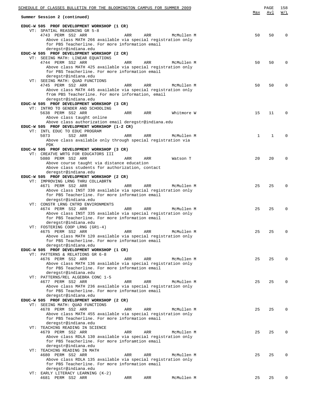| SCHEDULE OF CLASSES BULLETIN FOR THE BLOOMINGTON CAMPUS FOR SUMMER 2009                                       |             | PAGE        | 158      |
|---------------------------------------------------------------------------------------------------------------|-------------|-------------|----------|
| Summer Session 2 (continued)                                                                                  | Max         | Avl         | W/L      |
| EDUC-W 505 PROF DEVELOPMENT WORKSHOP (1 CR)<br>VT: SPATIAL REASONING GR 5-8                                   |             |             |          |
| 4743 PERM SS2 ARR<br>ARR<br>ARR<br>McMullen M                                                                 | 50          | 50          | $\Omega$ |
| Above class MATH 266 available via special registration only                                                  |             |             |          |
| for PBS Teacherline. For more information email                                                               |             |             |          |
| deregstr@indiana.edu                                                                                          |             |             |          |
| EDUC-W 505 PROF DEVELOPMENT WORKSHOP (2 CR)                                                                   |             |             |          |
| VT: SEEING MATH: LINEAR EQUATIONS<br>McMullen M                                                               | 50          | 50          | $\Omega$ |
| 4744 PERM SS2 ARR<br>ARR<br>ARR<br>Above class MATH 425 available via special registration only               |             |             |          |
| for PBS Teacherline. For more information email                                                               |             |             |          |
| deregstr@indiana.edu                                                                                          |             |             |          |
| VT: SEEING MATH: QUAD FUNCTIONS                                                                               |             |             |          |
| 4745 PERM SS2 ARR<br>ARR<br>ARR<br>McMullen M                                                                 | 50          | 50          | $\Omega$ |
| Above class MATH 445 available via special registration only                                                  |             |             |          |
| from PBS Teacherline. For more information, email                                                             |             |             |          |
| deregstr@indiana.edu<br>EDUC-W 505 PROF DEVELOPMENT WORKSHOP (3 CR)                                           |             |             |          |
| VT: INTRO TO GENDER AND SCHOOLING                                                                             |             |             |          |
| 5638 PERM SS2 ARR<br>ARR<br>ARR<br>Whitmore W                                                                 | 15          | 11          | $\Omega$ |
| Above class taught online                                                                                     |             |             |          |
| Above class authorization email deregstr@indiana.edu                                                          |             |             |          |
| EDUC-W 505 PROF DEVELOPMENT WORKSHOP (1-2 CR)                                                                 |             |             |          |
| VT: INTL EDUC TO EDUC PROGRAM                                                                                 |             |             | $\Omega$ |
| 5073<br>SS2 ARR<br>ARR<br>ARR<br>McMullen M<br>Above class available only through special registration via    | $\mathbf 1$ | $\mathbf 1$ |          |
| <b>PDK</b>                                                                                                    |             |             |          |
| EDUC-W 505 PROF DEVELOPMENT WORKSHOP (3 CR)                                                                   |             |             |          |
| VT: CREATVE WRTG FOR EDUCATORS III                                                                            |             |             |          |
| 5080 PERM SS2 ARR<br>ARR<br>ARR<br>Watson T                                                                   | 20          | 20          | $\Omega$ |
| Above course taught via distance education                                                                    |             |             |          |
| Above class students for authorization, contact                                                               |             |             |          |
| deregstr@indiana.edu<br>EDUC-W 505 PROF DEVELOPMENT WORKSHOP (2 CR)                                           |             |             |          |
| VT: IMPROVING LRNG THRU COLLABRTN                                                                             |             |             |          |
| 4671 PERM SS2 ARR<br>ARR<br>ARR<br>McMullen M                                                                 | 25          | 25          | $\Omega$ |
| Above class INST 330 available via special registration only                                                  |             |             |          |
| for PBS Teacherline. For more information email                                                               |             |             |          |
| deregstr@indiana.edu                                                                                          |             |             |          |
| VT: CONSTR LRNG CNTRD ENVIRONMENTS<br>4674 PERM SS2 ARR                                                       | 25          | 25          | $\Omega$ |
| ARR<br>ARR<br>McMullen M<br>Above class INST 335 available via special registration only                      |             |             |          |
| for PBS Teacherline. For more information email                                                               |             |             |          |
| deregstr@indiana.edu                                                                                          |             |             |          |
| VT: FOSTERING COOP LRNG (GR1-4)                                                                               |             |             |          |
| McMullen M<br>4675 PERM SS2 ARR<br>ARR<br>ARR                                                                 | 25          | 25          | $\Omega$ |
| Above class MATH 120 available via special registration only                                                  |             |             |          |
| for PBS Teacherline. For more information email                                                               |             |             |          |
| deregstr@indiana.edu<br>EDUC-W 505 PROF DEVELOPMENT WORKSHOP (1 CR)                                           |             |             |          |
| VT: PATTERNS & RELATIONS GR 6-8                                                                               |             |             |          |
| 4676 PERM SS2 ARR<br>ARR<br>ARR<br>McMullen M                                                                 | 25          | 25          | $\Omega$ |
| Above class MATH 136 available via special registration only                                                  |             |             |          |
| for PBS Teacherline. For more information email                                                               |             |             |          |
| deregstr@indiana.edu                                                                                          |             |             |          |
| VT: PATTERNS/REL ALGEBRA CONC 1-5<br>McMullen M                                                               |             |             | $\Omega$ |
| 4677 PERM SS2 ARR<br>ARR<br>ARR<br>Above class MATH 236 available via special registration only               | 25          | 25          |          |
| for PBS Teacherline. For more information email                                                               |             |             |          |
| deregstr@indiana.edu                                                                                          |             |             |          |
| EDUC-W 505 PROF DEVELOPMENT WORKSHOP (2 CR)                                                                   |             |             |          |
| VT: SEEING MATH: QUAD FUNCTIONS                                                                               |             |             |          |
| 4678 PERM SS2 ARR<br>ARR<br>ARR<br>McMullen M                                                                 | 25          | 25          | $\Omega$ |
| Above class MATH 455 available via special registration only                                                  |             |             |          |
| for PBS Teacherline. For more information email<br>deregstr@indiana.edu                                       |             |             |          |
| VT: TEACHING READING IN SCIENCE                                                                               |             |             |          |
| 4679 PERM SS2 ARR<br>ARR<br>ARR<br>McMullen M                                                                 | 25          | 25          | 0        |
| Above class RDLA 130 available via special registration only                                                  |             |             |          |
| for PBS Teacherline. For more inforamtion email                                                               |             |             |          |
| deregstr@indiana.edu                                                                                          |             |             |          |
| VT: TEACHING READING IN MATH                                                                                  |             |             |          |
| 4680 PERM SS2 ARR<br>ARR<br>ARR<br>McMullen M<br>Above class RDLA 135 available via special registration only | 25          | 25          | $\Omega$ |
| for PBS Teacherline. For more information email                                                               |             |             |          |
| deregstr@indiana.edu                                                                                          |             |             |          |
| VT: EARLY LITERACY LEARNING (K-2)                                                                             |             |             |          |
| 4681 PERM SS2 ARR<br>McMullen M<br>ARR<br>ARR                                                                 | 25          | 25          | 0        |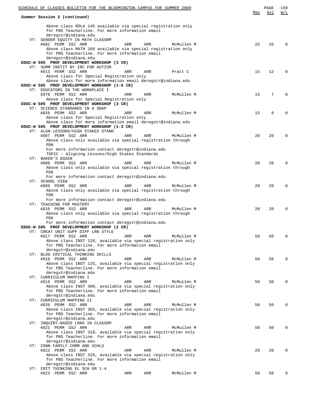| SCHEDULE OF CLASSES BULLETIN FOR THE BLOOMINGTON CAMPUS FOR SUMMER 2009                                                                 |     |            | Max | PAGE<br>Avl     | 159<br>W/L   |
|-----------------------------------------------------------------------------------------------------------------------------------------|-----|------------|-----|-----------------|--------------|
| Summer Session 2 (continued)                                                                                                            |     |            |     |                 |              |
| Above class RDLA 145 available via special registration only<br>for PBS Teacherline. For more information email<br>deregstr@indiana.edu |     |            |     |                 |              |
| VT: GENDER EQUITY IN MATH CLASSRM                                                                                                       |     |            |     |                 |              |
| 4682 PERM SS2 ARR<br>ARR<br>Above class MATH 160 available via special registration only                                                | ARR | McMullen M | 25  | 25              | $\Omega$     |
| for PBS Teacherline. For more information email                                                                                         |     |            |     |                 |              |
| deregstr@indiana.edu                                                                                                                    |     |            |     |                 |              |
| EDUC-W 505 PROF DEVELOPMENT WORKSHOP (3 CR)<br>VT: SUMM INSTIT BY IRC FOR AUTISM                                                        |     |            |     |                 |              |
| 4013 PERM SS2 ARR<br>ARR                                                                                                                | ARR | Pratt C    | 15  | 12              | $\Omega$     |
| Above class for Special Registration only                                                                                               |     |            |     |                 |              |
| Above class for more information email deregstr@indiana.edu                                                                             |     |            |     |                 |              |
| EDUC-W 505 PROF DEVELOPMENT WORKSHOP (1-6 CR)<br>VT: EDUCATORS IN THE WORKPLACE I                                                       |     |            |     |                 |              |
| 3978 PERM SS2 ARR<br>ARR                                                                                                                | ARR | McMullen M | 15  | $7\overline{ }$ | $\Omega$     |
| Above class for Special Registration only                                                                                               |     |            |     |                 |              |
| EDUC-W 505 PROF DEVELOPMENT WORKSHOP (3 CR)<br>VT: SCIENCE STANDARDS IN A SNAP                                                          |     |            |     |                 |              |
| 4028 PERM SS2 ARR<br>ARR                                                                                                                | ARR | McMullen M | 15  | 9               | $\Omega$     |
| Above class for Special Registration only                                                                                               |     |            |     |                 |              |
| Above class for more information email deregstr@indiana.edu<br>EDUC-W 505 PROF DEVELOPMENT WORKSHOP (1-3 CR)                            |     |            |     |                 |              |
| VT: ALGN LESSONS/HIGH STAKES STAND                                                                                                      |     |            |     |                 |              |
| 4807 PERM SS2 ARR<br>ARR                                                                                                                | ARR | McMullen M | 20  | 20              | $\Omega$     |
| Above class only available via special registration through<br>PDK                                                                      |     |            |     |                 |              |
| For more information contact deregstr@indiana.edu<br>TOPIC : Aligning Lessons/High Stakes Standards<br>VT: BAKER'S DOZEN                |     |            |     |                 |              |
| 4808 PERM SS2 ARR<br>ARR                                                                                                                | ARR | McMullen M | 20  | 20              | $\Omega$     |
| Above class only available via speical registration through                                                                             |     |            |     |                 |              |
| PDK<br>For more information contact deregstr@indiana.edu                                                                                |     |            |     |                 |              |
| VT: SCHOOL VIEW                                                                                                                         |     |            |     |                 |              |
| 4809 PERM SS2 ARR<br>ARR                                                                                                                | ARR | McMullen M | 20  | 20              | $\Omega$     |
| Above class only available via special registration through<br>PDK                                                                      |     |            |     |                 |              |
| For more information contact deregstr@indiana.edu                                                                                       |     |            |     |                 |              |
| VT: TEACHING FOR MASTERY                                                                                                                |     |            |     |                 |              |
| 4810 PERM SS2 ARR<br>ARR                                                                                                                | ARR | McMullen M | 20  | 20              | $\Omega$     |
| Above class only available via special registration through<br><b>PDK</b>                                                               |     |            |     |                 |              |
| For more information contact deregstr@indiana.edu                                                                                       |     |            |     |                 |              |
| EDUC-W 505 PROF DEVELOPMENT WORKSHOP (2 CR)                                                                                             |     |            |     |                 |              |
| VT: CREAT UNIT SUPP DIFF LRN STYLE<br>4017 PERM SS2 ARR<br>ARR                                                                          | ARR | McMullen M | 50  | 50              | $\Omega$     |
| Above class INST 120, available via special registration only                                                                           |     |            |     |                 |              |
| for PBS Teacherline. For more information email                                                                                         |     |            |     |                 |              |
| deregstr@indiana.edu<br>VT: BLDG CRITICAL THINKING SKILLS                                                                               |     |            |     |                 |              |
| 4018 PERM SS2 ARR<br>ARR                                                                                                                | ARR | McMullen M | 50  | 50              | $\Omega$     |
| Above class INST 125, available via special registration only                                                                           |     |            |     |                 |              |
| for PBS Teacherline. For more information email<br>deregstr@indiana.edu                                                                 |     |            |     |                 |              |
| VT: CURRICULUM MAPPING I                                                                                                                |     |            |     |                 |              |
| 4019 PERM SS2 ARR<br>ARR                                                                                                                | ARR | McMullen M | 50  | 50              | $\Omega$     |
| Above class INST 300, available via special registration only<br>for PBS Teacherline. For more information email                        |     |            |     |                 |              |
| deregstr@indiana.edu                                                                                                                    |     |            |     |                 |              |
| VT: CURRICULUM MAPPING II                                                                                                               |     |            |     |                 |              |
| 4020 PERM SS2 ARR<br>ARR<br>Above class INST 305, available via special registration only                                               | ARR | McMullen M | 50  | 50              | $\Omega$     |
| for PBS Teacherline. For more information email                                                                                         |     |            |     |                 |              |
| deregstr@indiana.edu                                                                                                                    |     |            |     |                 |              |
| VT: INQUIRY-BASED LRNG IN CLASSRM                                                                                                       |     |            |     |                 | $\Omega$     |
| 4021 PERM SS2 ARR<br>ARR<br>Above class INST 310, available via special registration only                                               | ARR | McMullen M | 50  | 50              |              |
| for PBS Teacherline. For more information email                                                                                         |     |            |     |                 |              |
| deregstr@indiana.edu                                                                                                                    |     |            |     |                 |              |
| VT: CONN FAMILY COMM AND SCHLS<br>4022 PERM SS2 ARR<br>ARR                                                                              | ARR | McMullen M | 20  | 20              | 0            |
| Above class INST 320, available via special registration only                                                                           |     |            |     |                 |              |
| for PBS Teacherline. For more information email                                                                                         |     |            |     |                 |              |
| deregstr@indiana.edu<br>VT: CRIT THINKING EL SCH GR 1-4                                                                                 |     |            |     |                 |              |
| 4023 PERM SS2 ARR<br>ARR                                                                                                                | ARR | McMullen M | 50  | 50              | $\mathbf{0}$ |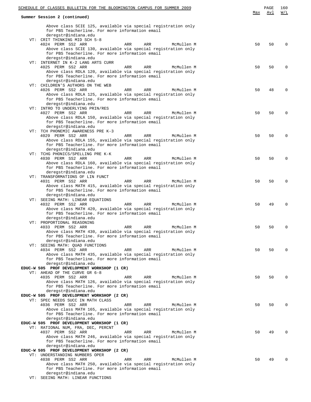| SCHEDULE OF CLASSES BULLETIN FOR THE BLOOMINGTON CAMPUS FOR SUMMER 2009            |     | PAGE | 160         |
|------------------------------------------------------------------------------------|-----|------|-------------|
|                                                                                    | Max | Avl  | W/L         |
| Summer Session 2 (continued)                                                       |     |      |             |
| Above class SCIE 125, available via special registration only                      |     |      |             |
| for PBS Teacherline. For more information email                                    |     |      |             |
| deregstr@indiana.edu                                                               |     |      |             |
| VT: CRIT THINKING MID SCH 5-8                                                      |     |      |             |
| 4024 PERM SS2 ARR<br>ARR<br>ARR<br>McMullen M                                      | 50  | 50   | $\Omega$    |
| Above class SCIE 130, available via special registration only                      |     |      |             |
| for PBS Teacherline. For more information email                                    |     |      |             |
| deregstr@indiana.edu                                                               |     |      |             |
| VT: INTERNET IN K-2 LANG ARTS CURR                                                 |     |      |             |
| 4025 PERM SS2 ARR<br>ARR<br>ARR<br>McMullen M                                      | 50  | 50   | $\Omega$    |
| Above class RDLA 120, available via special registration only                      |     |      |             |
| for PBS Teacherline. For more information email                                    |     |      |             |
| deregstr@indiana.edu                                                               |     |      |             |
| VT: CHILDREN'S AUTHORS ON THE WEB<br>ARR<br>ARR<br>McMullen M                      | 50  | 48   | $\Omega$    |
| 4026 PERM SS2 ARR<br>Above class RDLA 125, available via special registration only |     |      |             |
| for PBS Teacherline. For more information email                                    |     |      |             |
| deregstr@indiana.edu                                                               |     |      |             |
| VT: INTRO TO UNDERLYING PRIN/RES                                                   |     |      |             |
| 4027 PERM SS2 ARR<br>ARR<br>ARR<br>McMullen M                                      | 50  | 50   | $\Omega$    |
| Above class RDLA 150, available via special registration only                      |     |      |             |
| for PBS Teacherline. For more information email                                    |     |      |             |
| deregstr@indiana.edu                                                               |     |      |             |
| VT: TCH PHONEMIC AWARENESS PRE K-3                                                 |     |      |             |
| 4029 PERM SS2 ARR<br>ARR<br>ARR<br>McMullen M                                      | 50  | 50   | $\Omega$    |
| Above class RDLA 155, available via special registration only                      |     |      |             |
| for PBS Teacherline. For more information email                                    |     |      |             |
| deregstr@indiana.edu                                                               |     |      |             |
| VT: TCHG PHONICS/SPELLING PRE K-K                                                  |     |      |             |
| 4030 PERM SS2 ARR<br>ARR<br>ARR<br>McMullen M                                      | 50  | 50   | $\mathbf 0$ |
| Above class RDLA 160, available via special registration only                      |     |      |             |
| for PBS Teacherline. For more information email                                    |     |      |             |
| deregstr@indiana.edu                                                               |     |      |             |
| VT: TRANSFORMATIONS OF LIN FUNCT                                                   |     |      |             |
| 4031 PERM SS2 ARR<br>ARR<br>ARR<br>McMullen M                                      | 50  | 50   | $\Omega$    |
| Above class MATH 415, available via special registration only                      |     |      |             |
| for PBS Teacherline. For more information email<br>deregstr@indiana.edu            |     |      |             |
| VT: SEEING MATH: LINEAR EQUATIONS                                                  |     |      |             |
| 4032 PERM SS2 ARR<br>ARR<br>ARR<br>McMullen M                                      | 50  | 49   | $\Omega$    |
| Above class MATH 420, available via special registration only                      |     |      |             |
| for PBS Teacherline. For more information email                                    |     |      |             |
| deregstr@indiana.edu                                                               |     |      |             |
| VT: PROPORTIONAL REASONING                                                         |     |      |             |
| 4033 PERM SS2 ARR<br>McMullen M<br>ARR<br>ARR                                      | 50  | 50   | $\Omega$    |
| Above class MATH 430, available via special registration only                      |     |      |             |
| for PBS Teacherline. For more information email                                    |     |      |             |
| deregstr@indiana.edu                                                               |     |      |             |
| VT: SEEING MATH: QUAD FUNCTIONS                                                    |     |      |             |
| 4034 PERM SS2 ARR<br>ARR<br>ARR<br>McMullen M                                      | 50  | 50   | $\Omega$    |
| Above class MATH 435, available via special registration only                      |     |      |             |
| for PBS Teacherline. For more information email                                    |     |      |             |
| deregstr@indiana.edu                                                               |     |      |             |
| EDUC-W 505 PROF DEVELOPMENT WORKSHOP (1 CR)                                        |     |      |             |
| VT: AHEAD OF THE CURVE GR 6-8                                                      |     |      |             |
| 4035 PERM SS2 ARR<br>ARR<br>McMullen M<br>ARR                                      | 50  | 50   | $\Omega$    |
| Above class MATH 126, available via special registration only                      |     |      |             |
| for PBS Teacherline. For more information email<br>deregstr@indiana.edu            |     |      |             |
| EDUC-W 505 PROF DEVELOPMENT WORKSHOP (2 CR)                                        |     |      |             |
| VT: SPEC NEEDS SUCC IN MATH CLASS                                                  |     |      |             |
| 4036 PERM SS2 ARR<br>ARR<br>ARR<br>McMullen M                                      | 50  | 50   | $\Omega$    |
| Above class MATH 165, available via special registration only                      |     |      |             |
| for PBS Teacherline. For more information email                                    |     |      |             |
| deregstr@indiana.edu                                                               |     |      |             |
| EDUC-W 505 PROF DEVELOPMENT WORKSHOP (1 CR)                                        |     |      |             |
| VT: RATIONAL NUM, FRA, DEC, PERCNT                                                 |     |      |             |
| 4037 PERM SS2 ARR<br>McMullen M<br>ARR<br>ARR                                      | 50  | 49   | $\Omega$    |
| Above class MATH 246, available via special registration only                      |     |      |             |
| for PBS Teacherline. For more information email                                    |     |      |             |
| deregstr@indiana.edu                                                               |     |      |             |
| EDUC-W 505 PROF DEVELOPMENT WORKSHOP (2 CR)                                        |     |      |             |
| VT: UNDERSTANDING NUMBERS OPER                                                     |     |      |             |
| 4038 PERM SS2 ARR<br>ARR<br>ARR<br>McMullen M                                      | 50  | 49   | $\Omega$    |
| Above class MATH 250, available via special registration only                      |     |      |             |
| for PBS Teacherline. For more information email                                    |     |      |             |
| deregstr@indiana.edu<br>VT: SEEING MATH: LINEAR FUNCTIONS                          |     |      |             |
|                                                                                    |     |      |             |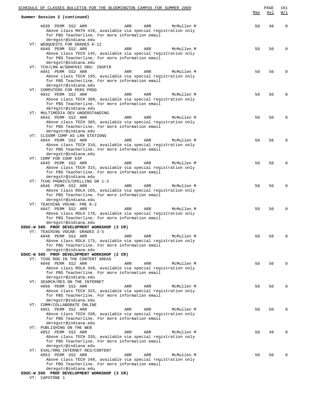| SCHEDULE OF CLASSES BULLETIN FOR THE BLOOMINGTON CAMPUS FOR SUMMER 2009                                          | Max | PAGE<br>Avl | 161<br>W/L  |
|------------------------------------------------------------------------------------------------------------------|-----|-------------|-------------|
| Summer Session 2 (continued)                                                                                     |     |             |             |
| 4039 PERM SS2 ARR<br>ARR<br>McMullen M<br>ARR<br>Above class MATH 410, available via special registration only   | 50  | 48          | $\mathbf 0$ |
| for PBS Teacherline. For more information email                                                                  |     |             |             |
| deregstr@indiana.edu<br>VT: WEBQUESTS FOR GRADES K-12                                                            |     |             |             |
| 4040 PERM SS2 ARR<br>ARR<br>ARR<br>McMullen M                                                                    | 50  | 50          | $\mathbf 0$ |
| Above class TECH 145, available via special registration only<br>for PBS Teacherline. For more information email |     |             |             |
| deregstr@indiana.edu                                                                                             |     |             |             |
| VT: TCH/LRN W/GRAPHIC ORG: INSPIR<br>4041 PERM SS2 ARR<br>ARR<br>ARR<br>McMullen M                               | 50  | 50          | $\Omega$    |
| Above class TECH 195, available via special registration only<br>for PBS Teacherline. For more information email |     |             |             |
| deregstr@indiana.edu                                                                                             |     |             |             |
| VT: COMPUTERS FOR PERS PROD<br>4042 PERM SS2 ARR<br>ARR<br>ARR<br>McMullen M                                     | 50  | 50          | $\Omega$    |
| Above class TECH 300, available via special registration only                                                    |     |             |             |
| for PBS Teacherline. For more information email<br>deregstr@indiana.edu                                          |     |             |             |
| VT: MULTIMEDIA DEV UNDERSTANDING                                                                                 |     |             |             |
| 4043 PERM SS2 ARR<br>ARR<br>ARR<br>McMullen M<br>Above class TECH 305, available via special registration only   | 50  | 50          | $\Omega$    |
| for PBS Teacherline. For more information email                                                                  |     |             |             |
| deregstr@indiana.edu<br>VT: CLSSRM COMP AS LRN STATIONS                                                          |     |             |             |
| 4044 PERM SS2 ARR<br>ARR<br>ARR<br>McMullen M<br>Above class TECH 310, available via special registration only   | 50  | 50          | $\mathbf 0$ |
| for PBS Teacherline. For more information email                                                                  |     |             |             |
| deregstr@indiana.edu<br>VT: COMP FOR COOP EXP                                                                    |     |             |             |
| 4045 PERM SS2 ARR<br>ARR<br>McMullen M<br>ARR                                                                    | 50  | 50          | $\Omega$    |
| Above class TECH 315, available via special registration only<br>for PBS Teacherline. For more information email |     |             |             |
| deregstr@indiana.edu                                                                                             |     |             |             |
| VT: TCHG PHONICS/SPELLING GR 1-3<br>4046 PERM SS2 ARR<br>ARR<br>ARR<br>McMullen M                                | 50  | 50          | 0           |
| Above class RDLA 165, available via special registration only                                                    |     |             |             |
| for PBS Teacherline. For more information email<br>deregstr@indiana.edu                                          |     |             |             |
| VT: TEACHING VOCAB: PRE K-2<br>4047 PERM SS2 ARR<br>ARR<br>ARR<br>McMullen M                                     | 50  | 50          | $\Omega$    |
| Above class RDLA 170, available via special registration only                                                    |     |             |             |
| for PBS Teacherline. For more information email<br>deregstr@indiana.edu                                          |     |             |             |
| EDUC-W 505 PROF DEVELOPMENT WORKSHOP (3 CR)                                                                      |     |             |             |
| VT: TEACHING VOCAB: GRADES 3-5<br>4048 PERM SS2 ARR<br>ARR<br>ARR<br>McMullen M                                  | 50  | 50          | $\Omega$    |
| Above class RDLA 175, available via special registration only<br>for PBS Teacherline. For more information email |     |             |             |
| deregstr@indiana.edu                                                                                             |     |             |             |
| EDUC-W 505 PROF DEVELOPMENT WORKSHOP (2 CR)<br>VT: TCHG RDG IN THE CONTENT AREAS                                 |     |             |             |
| 4049 PERM SS2 ARR<br>ARR<br>ARR<br>McMullen M                                                                    | 50  | 50          | $\Omega$    |
| Above class RDLA 340, available via special registration only<br>for PBS Teacherline. For more information email |     |             |             |
| deregstr@indiana.edu                                                                                             |     |             |             |
| VT: SEARCH/RES ON THE INTERNET<br>4050 PERM SS2 ARR<br>ARR<br>ARR<br>McMullen M                                  | 50  | 50          | $\Omega$    |
| Above class TECH 325, available via special registration only<br>for PBS Teacherline. For more information email |     |             |             |
| deregstr@indiana.edu                                                                                             |     |             |             |
| VT: COMM/COLLABORATE ONLINE<br>4051 PERM SS2 ARR<br>McMullen M<br>ARR<br>ARR                                     | 50  | 50          | $\Omega$    |
| Above class TECH 330, available via special registration only                                                    |     |             |             |
| for PBS Teacherline. For more information email<br>deregstr@indiana.edu                                          |     |             |             |
| VT: PUBLISHING ON THE WEB                                                                                        |     |             |             |
| 4052 PERM SS2 ARR<br>ARR<br>McMullen M<br>ARR<br>Above class TECH 335, available via special registration only   | 50  | 49          | $\mathbf 0$ |
| for PBS Teacherline. For more information email                                                                  |     |             |             |
| deregstr@indiana.edu<br>VT: EVAL/ORG INTERNET RES/CONTENT                                                        |     |             |             |
| 4053 PERM SS2 ARR<br>ARR<br>ARR<br>McMullen M<br>Above class TECH 340, available via special registration only   | 50  | 50          | $\Omega$    |
| for PBS Teacherline. For more information email                                                                  |     |             |             |
| deregstr@indiana.edu<br>EDUC-W 505 PROF DEVELOPMENT WORKSHOP (3 CR)                                              |     |             |             |
| VT: CAPSTONE 1                                                                                                   |     |             |             |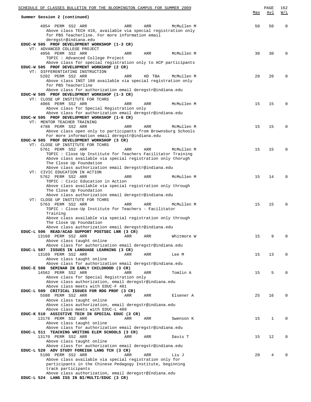| SCHEDULE OF CLASSES BULLETIN FOR THE BLOOMINGTON CAMPUS FOR SUMMER 2009                                                                                       |     |        |            |     | PAGE        | 162      |
|---------------------------------------------------------------------------------------------------------------------------------------------------------------|-----|--------|------------|-----|-------------|----------|
| Summer Session 2 (continued)                                                                                                                                  |     |        |            | Max | Avl         | W/L      |
| 4054 PERM SS2 ARR<br>Above class TECH 410, available via special registration only<br>for PBS Teacherline. For more information email<br>deregstr@indiana.edu | ARR | ARR    | McMullen M | 50  | 50          | 0        |
| EDUC-W 505 PROF DEVELOPMENT WORKSHOP (1-3 CR)<br>VT: ADVANCED COLLEGE PROJECT                                                                                 |     |        |            |     |             |          |
| 4056 PERM SS2 ARR<br>TOPIC : Advanced College Project                                                                                                         | ARR | ARR    | McMullen M | 30  | 30          | $\Omega$ |
| Above class for special registration only to ACP participants<br>EDUC-W 505 PROF DEVELOPMENT WORKSHOP (2 CR)                                                  |     |        |            |     |             |          |
| VT: DIFFERENTIATING INSTRUCTION<br>5202 PERM SS2 ARR<br>Above class INST 180 available via special registration only                                          | ARR | HD TBA | McMullen M | 20  | 20          | $\Omega$ |
| for PBS Teacherline<br>Above class for authorization email deregstr@indiana.edu                                                                               |     |        |            |     |             |          |
| EDUC-W 505 PROF DEVELOPMENT WORKSHOP (1-3 CR)<br>VT: CLOSE UP INSTITUTE FOR TCHRS                                                                             |     |        |            |     |             |          |
| 4066 PERM SS2 ARR<br>Above class for Special Registration only                                                                                                | ARR | ARR    | McMullen M | 15  | 15          | $\Omega$ |
| Above class for authorization email deregstr@indiana.edu<br>EDUC-W 505 PROF DEVELOPMENT WORKSHOP (1-6 CR)                                                     |     |        |            |     |             |          |
| VT: MENTOR TEACHER TRAINING<br>4788 PERM SS2 ARR                                                                                                              | ARR | ARR    | McMullen M | 15  | 15          | $\Omega$ |
| Above class open only to participants from Brownsburg Schools<br>For more information email deregstr@indiana.edu                                              |     |        |            |     |             |          |
| EDUC-W 505 PROF DEVELOPMENT WORKSHOP (3 CR)<br>VT: CLOSE UP INSTITUTE FOR TCHRS                                                                               |     |        |            |     |             |          |
| 5761 PERM SS2 ARR<br>TOPIC : Close Up Institute for Teachers Facilitator Training                                                                             | ARR | ARR    | McMullen M | 15  | 15          | 0        |
| Above class available via special registration only thorugh<br>The Close Up Foundation                                                                        |     |        |            |     |             |          |
| Above class authorization email deregstr@indiana.edu<br>VT: CIVIC EDUCATION IN ACTION                                                                         |     |        |            |     |             |          |
| 5762 PERM SS2 ARR<br>TOPIC : Civic Education in Action                                                                                                        | ARR | ARR    | McMullen M | 15  | 14          | $\Omega$ |
| Above class available via special registration only through<br>The Close Up Foundation                                                                        |     |        |            |     |             |          |
| Above class authorization email deregstr@indiana.edu<br>VT: CLOSE UP INSTITUTE FOR TCHRS                                                                      |     |        |            |     |             |          |
| 5763 PERM SS2 ARR<br>TOPIC : Close-Up Institute for Teachers - Facilitator                                                                                    | ARR | ARR    | McMullen M | 15  | 15          | $\Omega$ |
| Training<br>Above class available via special registration only through                                                                                       |     |        |            |     |             |          |
| The Close Up Foundation<br>Above class authorization email deregstr@indiana.edu                                                                               |     |        |            |     |             |          |
| EDUC-L 506 READ/ACAD SUPPORT POSTSEC LNR (3 CR)<br>13168 PERM SS2 ARR                                                                                         |     |        |            | 15  | 9           | 0        |
| Above class taught online                                                                                                                                     | ARR | ARR    | Whitmore W |     |             |          |
| Above class for authorization email deregstr@indiana.edu<br>EDUC-L 507 ISSUES IN LANGUAGE LEARNING (3 CR)                                                     |     |        |            |     |             |          |
| 13169 PERM SS2 ARR<br>Above class taught online                                                                                                               | ARR | ARR    | Lee M      | 15  | 13          | $\Omega$ |
| Above class for authorization email deregstr@indiana.edu<br>EDUC-E 508 SEMINAR IN EARLY CHILDHOOD (3 CR)                                                      |     |        |            |     |             |          |
| 14562 PERM SS2 ARR<br>Above class for Special Registration only                                                                                               | ARR | ARR    | Tomlin A   | 15  | 5           | $\Omega$ |
| Above class authorization, email deregstr@indiana.edu<br>Above class meets with EDUC-F 401                                                                    |     |        |            |     |             |          |
| EDUC-L 509 CRITICAL ISSUES FOR RDG PROF (3 CR)                                                                                                                |     |        |            |     |             |          |
| 5588 PERM SS2 ARR<br>Above class taught online                                                                                                                | ARR | ARR    | Elsener A  | 25  | 16          | $\Omega$ |
| Above class authorization, email deregstr@indiana.edu<br>Above class meets with EDUC-L 409                                                                    |     |        |            |     |             |          |
| EDUC-K 510 ASSISTIVE TECH IN SPECIAL EDUC (3 CR)<br>13176 PERM SS2 ARR                                                                                        | ARR | ARR    | Swenson K  | 15  | $\mathbf 1$ | $\Omega$ |
| Above class taught online<br>Above class for authorization email deregstr@indiana.edu                                                                         |     |        |            |     |             |          |
| EDUC-L 511 TEACHING WRITING ELEM SCHOOLS (3 CR)<br>13170 PERM SS2 ARR                                                                                         | ARR | ARR    | Davis T    | 15  | 12          | $\Omega$ |
| Above class taught online<br>Above class for authorization email deregstr@indiana.edu                                                                         |     |        |            |     |             |          |
| EDUC-L 520 ADV STUDY FOREIGN LANG TCH (3 CR)<br>5100 PERM SS2 ARR                                                                                             | ARR | ARR    | Liu J      | 20  | 4           | $\Omega$ |
| Above class available via special registration only for<br>participants in the Chinese Pedagogy Institute, beginning                                          |     |        |            |     |             |          |
| track participants<br>Above class authorization, email deregstr@Indiana.edu                                                                                   |     |        |            |     |             |          |
| EDUC-L 524 LANG ISS IN BI/MULTI/EDUC (3 CR)                                                                                                                   |     |        |            |     |             |          |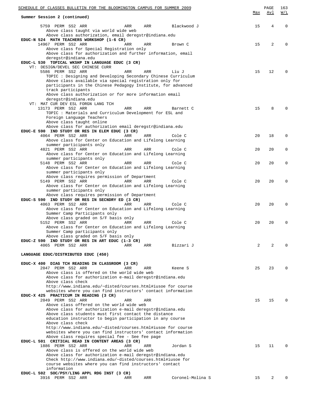| <u>Max</u><br>Summer Session 2 (continued)<br>5759 PERM SS2 ARR<br>Blackwood J<br>15<br>4<br>$\Omega$<br>ARR<br>ARR<br>Above class taught via world wide web<br>Above class authorization, email deregstr@indiana.edu<br>EDUC-N 524 MATH TEACHERS WORKSHOP (1-6 CR)<br>14967 PERM SS2 ARR<br>2<br>15<br>$\Omega$<br>ARR<br>ARR<br>Brown C<br>Above class for Special Registration only<br>Above class for authorization and further information, email<br>deregstr@indiana.edu<br>EDUC-L 530 TOPICAL WKSHP IN LANGUAGE EDUC (3 CR)<br>VT: DESIGN/DEVEL SEC CHINESE CURR<br>5586 PERM SS2 ARR<br>ARR<br>15<br>12<br>ARR<br>Liu J<br>$\Omega$<br>TOPIC : Designing and Developing Secondary Chinese Curriculum<br>Above class available via special registration only for<br>participants in the Chinese Pedagogy Institute, for advanced<br>track participants<br>Above class authorization or for more information email<br>deregstr@indiana.edu<br>VT: MAT CUR DEV ESL FORGN LANG TCH<br>8<br>13173 PERM SS2 ARR<br>15<br>ARR<br>ARR<br>Barnett C<br>TOPIC : Materials and Curriculum Development for ESL and<br>Foreign Language Teachers<br>Above class taught online<br>Above class for authorization email deregstr@indiana.edu<br>EDUC-E 590 IND STUDY OR RES IN ELEM EDUC (3 CR)<br>4064 PERM SS2 ARR<br>ARR<br>Cole C<br>20<br>18<br>$\Omega$<br>ARR<br>Above class for Center on Education and Lifelong Learning<br>summer participants only<br>4821 PERM SS2 ARR<br>20<br>20<br>$\mathbf 0$<br>ARR<br>ARR<br>Cole C<br>Above class for Center on Education and Lifelong Learning<br>summer participants only<br>5148 PERM SS2 ARR<br>20<br>20<br>$\mathbf 0$<br>ARR<br>ARR<br>Cole C<br>Above class for Center on Education and Lifelong Learning<br>summer participants only<br>Above class requires permission of Department<br>5149 PERM SS2 ARR<br>ARR<br>Cole C<br>20<br>20<br>$\mathbf 0$<br>ARR<br>Above class for Center on Education and Lifelong Learning<br>summer participants only<br>Above class requires permission of Department<br>EDUC-S 590 IND STUDY OR RES IN SECNDRY ED (3 CR)<br>4063 PERM SS2 ARR<br>ARR<br>20<br>20<br>$\Omega$<br>ARR<br>Cole C<br>Above class for Center on Education and Lifelong Learning<br>Summer Camp Participants only<br>Above class graded on S/F basis only<br>5152 PERM SS2 ARR<br>ARR<br>20<br>$\mathbf 0$<br>ARR<br>Cole C<br>20<br>Above class for Center on Education and Lifelong Learning<br>Summer Camp participants only<br>Above class graded on S/F basis only<br>EDUC-Z 590 IND STUDY OR RES IN ART EDUC (1-3 CR)<br>2<br>4065 PERM SS2 ARR<br>ARR<br>ARR<br>Bizzari J<br>2<br>0<br>LANGUAGE EDUC/DISTRIBUTED EDUC (450)<br>EDUC-X 400 DIAG TCH READING IN CLASSROOM (3 CR)<br>2047 PERM SS2 ARR<br>ARR<br>ARR<br>Keene S<br>25<br>23<br>0<br>Above class is offered on the world wide web<br>Above class for authorization e-mail deregstr@indiana.edu<br>Above class check<br>http://www.indiana.edu/~disted/courses.html#iusoe for course<br>websites where you can find instructors' contact information<br>EDUC-X 425 PRACTICUM IN READING (3 CR)<br>2049 PERM SS2 ARR<br>ARR<br>ARR<br>15<br>15<br>$\Omega$<br>Above class offered on the world wide web<br>Above class for authorization e-mail deregstr@indiana.edu<br>Above class students must first contact the distance<br>education instructor to begin participation in any course<br>Above class check<br>http://www.indiana.edu/~disted/courses.html#iusoe for course<br>websites where you can find instructors' contact information<br>Above class requires special fee - See fee page<br>EDUC-L 501 CRITICAL READ IN CONTENT AREAS (3 CR)<br>1886 PERM SS2 ARR<br>ARR<br>ARR<br>Jordan S<br>15<br>11<br>0<br>Above class is offered on the world wide web<br>Above class for authorization e-mail deregstr@indiana.edu<br>Check $http://www.indiana.edu/~disted/courses.html#iusoe for$<br>course websites where you can find instructors' contact<br>information<br>EDUC-L 502 SOC/PSY/LING APPL RDG INST (3 CR)<br>3916 PERM SS2 ARR<br>ARR<br>Coronel-Molina S<br>15<br>2<br>ARR<br>0 | SCHEDULE OF CLASSES BULLETIN FOR THE BLOOMINGTON CAMPUS FOR SUMMER 2009 |  |  | PAGE | 163 |
|---------------------------------------------------------------------------------------------------------------------------------------------------------------------------------------------------------------------------------------------------------------------------------------------------------------------------------------------------------------------------------------------------------------------------------------------------------------------------------------------------------------------------------------------------------------------------------------------------------------------------------------------------------------------------------------------------------------------------------------------------------------------------------------------------------------------------------------------------------------------------------------------------------------------------------------------------------------------------------------------------------------------------------------------------------------------------------------------------------------------------------------------------------------------------------------------------------------------------------------------------------------------------------------------------------------------------------------------------------------------------------------------------------------------------------------------------------------------------------------------------------------------------------------------------------------------------------------------------------------------------------------------------------------------------------------------------------------------------------------------------------------------------------------------------------------------------------------------------------------------------------------------------------------------------------------------------------------------------------------------------------------------------------------------------------------------------------------------------------------------------------------------------------------------------------------------------------------------------------------------------------------------------------------------------------------------------------------------------------------------------------------------------------------------------------------------------------------------------------------------------------------------------------------------------------------------------------------------------------------------------------------------------------------------------------------------------------------------------------------------------------------------------------------------------------------------------------------------------------------------------------------------------------------------------------------------------------------------------------------------------------------------------------------------------------------------------------------------------------------------------------------------------------------------------------------------------------------------------------------------------------------------------------------------------------------------------------------------------------------------------------------------------------------------------------------------------------------------------------------------------------------------------------------------------------------------------------------------------------------------------------------------------------------------------------------------------------------------------------------------------------------------------------------------------------------------------------------------------------------------------------------------------------------------------------------------------------------------------------------------------------------------------------------------------------------------------------------------------------------------------------------|-------------------------------------------------------------------------|--|--|------|-----|
|                                                                                                                                                                                                                                                                                                                                                                                                                                                                                                                                                                                                                                                                                                                                                                                                                                                                                                                                                                                                                                                                                                                                                                                                                                                                                                                                                                                                                                                                                                                                                                                                                                                                                                                                                                                                                                                                                                                                                                                                                                                                                                                                                                                                                                                                                                                                                                                                                                                                                                                                                                                                                                                                                                                                                                                                                                                                                                                                                                                                                                                                                                                                                                                                                                                                                                                                                                                                                                                                                                                                                                                                                                                                                                                                                                                                                                                                                                                                                                                                                                                                                                                                       |                                                                         |  |  | Avl  | W/L |
|                                                                                                                                                                                                                                                                                                                                                                                                                                                                                                                                                                                                                                                                                                                                                                                                                                                                                                                                                                                                                                                                                                                                                                                                                                                                                                                                                                                                                                                                                                                                                                                                                                                                                                                                                                                                                                                                                                                                                                                                                                                                                                                                                                                                                                                                                                                                                                                                                                                                                                                                                                                                                                                                                                                                                                                                                                                                                                                                                                                                                                                                                                                                                                                                                                                                                                                                                                                                                                                                                                                                                                                                                                                                                                                                                                                                                                                                                                                                                                                                                                                                                                                                       |                                                                         |  |  |      |     |
|                                                                                                                                                                                                                                                                                                                                                                                                                                                                                                                                                                                                                                                                                                                                                                                                                                                                                                                                                                                                                                                                                                                                                                                                                                                                                                                                                                                                                                                                                                                                                                                                                                                                                                                                                                                                                                                                                                                                                                                                                                                                                                                                                                                                                                                                                                                                                                                                                                                                                                                                                                                                                                                                                                                                                                                                                                                                                                                                                                                                                                                                                                                                                                                                                                                                                                                                                                                                                                                                                                                                                                                                                                                                                                                                                                                                                                                                                                                                                                                                                                                                                                                                       |                                                                         |  |  |      |     |
|                                                                                                                                                                                                                                                                                                                                                                                                                                                                                                                                                                                                                                                                                                                                                                                                                                                                                                                                                                                                                                                                                                                                                                                                                                                                                                                                                                                                                                                                                                                                                                                                                                                                                                                                                                                                                                                                                                                                                                                                                                                                                                                                                                                                                                                                                                                                                                                                                                                                                                                                                                                                                                                                                                                                                                                                                                                                                                                                                                                                                                                                                                                                                                                                                                                                                                                                                                                                                                                                                                                                                                                                                                                                                                                                                                                                                                                                                                                                                                                                                                                                                                                                       |                                                                         |  |  |      |     |
|                                                                                                                                                                                                                                                                                                                                                                                                                                                                                                                                                                                                                                                                                                                                                                                                                                                                                                                                                                                                                                                                                                                                                                                                                                                                                                                                                                                                                                                                                                                                                                                                                                                                                                                                                                                                                                                                                                                                                                                                                                                                                                                                                                                                                                                                                                                                                                                                                                                                                                                                                                                                                                                                                                                                                                                                                                                                                                                                                                                                                                                                                                                                                                                                                                                                                                                                                                                                                                                                                                                                                                                                                                                                                                                                                                                                                                                                                                                                                                                                                                                                                                                                       |                                                                         |  |  |      |     |
|                                                                                                                                                                                                                                                                                                                                                                                                                                                                                                                                                                                                                                                                                                                                                                                                                                                                                                                                                                                                                                                                                                                                                                                                                                                                                                                                                                                                                                                                                                                                                                                                                                                                                                                                                                                                                                                                                                                                                                                                                                                                                                                                                                                                                                                                                                                                                                                                                                                                                                                                                                                                                                                                                                                                                                                                                                                                                                                                                                                                                                                                                                                                                                                                                                                                                                                                                                                                                                                                                                                                                                                                                                                                                                                                                                                                                                                                                                                                                                                                                                                                                                                                       |                                                                         |  |  |      |     |
|                                                                                                                                                                                                                                                                                                                                                                                                                                                                                                                                                                                                                                                                                                                                                                                                                                                                                                                                                                                                                                                                                                                                                                                                                                                                                                                                                                                                                                                                                                                                                                                                                                                                                                                                                                                                                                                                                                                                                                                                                                                                                                                                                                                                                                                                                                                                                                                                                                                                                                                                                                                                                                                                                                                                                                                                                                                                                                                                                                                                                                                                                                                                                                                                                                                                                                                                                                                                                                                                                                                                                                                                                                                                                                                                                                                                                                                                                                                                                                                                                                                                                                                                       |                                                                         |  |  |      |     |
|                                                                                                                                                                                                                                                                                                                                                                                                                                                                                                                                                                                                                                                                                                                                                                                                                                                                                                                                                                                                                                                                                                                                                                                                                                                                                                                                                                                                                                                                                                                                                                                                                                                                                                                                                                                                                                                                                                                                                                                                                                                                                                                                                                                                                                                                                                                                                                                                                                                                                                                                                                                                                                                                                                                                                                                                                                                                                                                                                                                                                                                                                                                                                                                                                                                                                                                                                                                                                                                                                                                                                                                                                                                                                                                                                                                                                                                                                                                                                                                                                                                                                                                                       |                                                                         |  |  |      |     |
|                                                                                                                                                                                                                                                                                                                                                                                                                                                                                                                                                                                                                                                                                                                                                                                                                                                                                                                                                                                                                                                                                                                                                                                                                                                                                                                                                                                                                                                                                                                                                                                                                                                                                                                                                                                                                                                                                                                                                                                                                                                                                                                                                                                                                                                                                                                                                                                                                                                                                                                                                                                                                                                                                                                                                                                                                                                                                                                                                                                                                                                                                                                                                                                                                                                                                                                                                                                                                                                                                                                                                                                                                                                                                                                                                                                                                                                                                                                                                                                                                                                                                                                                       |                                                                         |  |  |      |     |
|                                                                                                                                                                                                                                                                                                                                                                                                                                                                                                                                                                                                                                                                                                                                                                                                                                                                                                                                                                                                                                                                                                                                                                                                                                                                                                                                                                                                                                                                                                                                                                                                                                                                                                                                                                                                                                                                                                                                                                                                                                                                                                                                                                                                                                                                                                                                                                                                                                                                                                                                                                                                                                                                                                                                                                                                                                                                                                                                                                                                                                                                                                                                                                                                                                                                                                                                                                                                                                                                                                                                                                                                                                                                                                                                                                                                                                                                                                                                                                                                                                                                                                                                       |                                                                         |  |  |      |     |
|                                                                                                                                                                                                                                                                                                                                                                                                                                                                                                                                                                                                                                                                                                                                                                                                                                                                                                                                                                                                                                                                                                                                                                                                                                                                                                                                                                                                                                                                                                                                                                                                                                                                                                                                                                                                                                                                                                                                                                                                                                                                                                                                                                                                                                                                                                                                                                                                                                                                                                                                                                                                                                                                                                                                                                                                                                                                                                                                                                                                                                                                                                                                                                                                                                                                                                                                                                                                                                                                                                                                                                                                                                                                                                                                                                                                                                                                                                                                                                                                                                                                                                                                       |                                                                         |  |  |      |     |
|                                                                                                                                                                                                                                                                                                                                                                                                                                                                                                                                                                                                                                                                                                                                                                                                                                                                                                                                                                                                                                                                                                                                                                                                                                                                                                                                                                                                                                                                                                                                                                                                                                                                                                                                                                                                                                                                                                                                                                                                                                                                                                                                                                                                                                                                                                                                                                                                                                                                                                                                                                                                                                                                                                                                                                                                                                                                                                                                                                                                                                                                                                                                                                                                                                                                                                                                                                                                                                                                                                                                                                                                                                                                                                                                                                                                                                                                                                                                                                                                                                                                                                                                       |                                                                         |  |  |      |     |
|                                                                                                                                                                                                                                                                                                                                                                                                                                                                                                                                                                                                                                                                                                                                                                                                                                                                                                                                                                                                                                                                                                                                                                                                                                                                                                                                                                                                                                                                                                                                                                                                                                                                                                                                                                                                                                                                                                                                                                                                                                                                                                                                                                                                                                                                                                                                                                                                                                                                                                                                                                                                                                                                                                                                                                                                                                                                                                                                                                                                                                                                                                                                                                                                                                                                                                                                                                                                                                                                                                                                                                                                                                                                                                                                                                                                                                                                                                                                                                                                                                                                                                                                       |                                                                         |  |  |      |     |
|                                                                                                                                                                                                                                                                                                                                                                                                                                                                                                                                                                                                                                                                                                                                                                                                                                                                                                                                                                                                                                                                                                                                                                                                                                                                                                                                                                                                                                                                                                                                                                                                                                                                                                                                                                                                                                                                                                                                                                                                                                                                                                                                                                                                                                                                                                                                                                                                                                                                                                                                                                                                                                                                                                                                                                                                                                                                                                                                                                                                                                                                                                                                                                                                                                                                                                                                                                                                                                                                                                                                                                                                                                                                                                                                                                                                                                                                                                                                                                                                                                                                                                                                       |                                                                         |  |  |      |     |
|                                                                                                                                                                                                                                                                                                                                                                                                                                                                                                                                                                                                                                                                                                                                                                                                                                                                                                                                                                                                                                                                                                                                                                                                                                                                                                                                                                                                                                                                                                                                                                                                                                                                                                                                                                                                                                                                                                                                                                                                                                                                                                                                                                                                                                                                                                                                                                                                                                                                                                                                                                                                                                                                                                                                                                                                                                                                                                                                                                                                                                                                                                                                                                                                                                                                                                                                                                                                                                                                                                                                                                                                                                                                                                                                                                                                                                                                                                                                                                                                                                                                                                                                       |                                                                         |  |  |      |     |
|                                                                                                                                                                                                                                                                                                                                                                                                                                                                                                                                                                                                                                                                                                                                                                                                                                                                                                                                                                                                                                                                                                                                                                                                                                                                                                                                                                                                                                                                                                                                                                                                                                                                                                                                                                                                                                                                                                                                                                                                                                                                                                                                                                                                                                                                                                                                                                                                                                                                                                                                                                                                                                                                                                                                                                                                                                                                                                                                                                                                                                                                                                                                                                                                                                                                                                                                                                                                                                                                                                                                                                                                                                                                                                                                                                                                                                                                                                                                                                                                                                                                                                                                       |                                                                         |  |  |      |     |
|                                                                                                                                                                                                                                                                                                                                                                                                                                                                                                                                                                                                                                                                                                                                                                                                                                                                                                                                                                                                                                                                                                                                                                                                                                                                                                                                                                                                                                                                                                                                                                                                                                                                                                                                                                                                                                                                                                                                                                                                                                                                                                                                                                                                                                                                                                                                                                                                                                                                                                                                                                                                                                                                                                                                                                                                                                                                                                                                                                                                                                                                                                                                                                                                                                                                                                                                                                                                                                                                                                                                                                                                                                                                                                                                                                                                                                                                                                                                                                                                                                                                                                                                       |                                                                         |  |  |      |     |
|                                                                                                                                                                                                                                                                                                                                                                                                                                                                                                                                                                                                                                                                                                                                                                                                                                                                                                                                                                                                                                                                                                                                                                                                                                                                                                                                                                                                                                                                                                                                                                                                                                                                                                                                                                                                                                                                                                                                                                                                                                                                                                                                                                                                                                                                                                                                                                                                                                                                                                                                                                                                                                                                                                                                                                                                                                                                                                                                                                                                                                                                                                                                                                                                                                                                                                                                                                                                                                                                                                                                                                                                                                                                                                                                                                                                                                                                                                                                                                                                                                                                                                                                       |                                                                         |  |  |      |     |
|                                                                                                                                                                                                                                                                                                                                                                                                                                                                                                                                                                                                                                                                                                                                                                                                                                                                                                                                                                                                                                                                                                                                                                                                                                                                                                                                                                                                                                                                                                                                                                                                                                                                                                                                                                                                                                                                                                                                                                                                                                                                                                                                                                                                                                                                                                                                                                                                                                                                                                                                                                                                                                                                                                                                                                                                                                                                                                                                                                                                                                                                                                                                                                                                                                                                                                                                                                                                                                                                                                                                                                                                                                                                                                                                                                                                                                                                                                                                                                                                                                                                                                                                       |                                                                         |  |  |      |     |
|                                                                                                                                                                                                                                                                                                                                                                                                                                                                                                                                                                                                                                                                                                                                                                                                                                                                                                                                                                                                                                                                                                                                                                                                                                                                                                                                                                                                                                                                                                                                                                                                                                                                                                                                                                                                                                                                                                                                                                                                                                                                                                                                                                                                                                                                                                                                                                                                                                                                                                                                                                                                                                                                                                                                                                                                                                                                                                                                                                                                                                                                                                                                                                                                                                                                                                                                                                                                                                                                                                                                                                                                                                                                                                                                                                                                                                                                                                                                                                                                                                                                                                                                       |                                                                         |  |  |      |     |
|                                                                                                                                                                                                                                                                                                                                                                                                                                                                                                                                                                                                                                                                                                                                                                                                                                                                                                                                                                                                                                                                                                                                                                                                                                                                                                                                                                                                                                                                                                                                                                                                                                                                                                                                                                                                                                                                                                                                                                                                                                                                                                                                                                                                                                                                                                                                                                                                                                                                                                                                                                                                                                                                                                                                                                                                                                                                                                                                                                                                                                                                                                                                                                                                                                                                                                                                                                                                                                                                                                                                                                                                                                                                                                                                                                                                                                                                                                                                                                                                                                                                                                                                       |                                                                         |  |  |      |     |
|                                                                                                                                                                                                                                                                                                                                                                                                                                                                                                                                                                                                                                                                                                                                                                                                                                                                                                                                                                                                                                                                                                                                                                                                                                                                                                                                                                                                                                                                                                                                                                                                                                                                                                                                                                                                                                                                                                                                                                                                                                                                                                                                                                                                                                                                                                                                                                                                                                                                                                                                                                                                                                                                                                                                                                                                                                                                                                                                                                                                                                                                                                                                                                                                                                                                                                                                                                                                                                                                                                                                                                                                                                                                                                                                                                                                                                                                                                                                                                                                                                                                                                                                       |                                                                         |  |  |      |     |
|                                                                                                                                                                                                                                                                                                                                                                                                                                                                                                                                                                                                                                                                                                                                                                                                                                                                                                                                                                                                                                                                                                                                                                                                                                                                                                                                                                                                                                                                                                                                                                                                                                                                                                                                                                                                                                                                                                                                                                                                                                                                                                                                                                                                                                                                                                                                                                                                                                                                                                                                                                                                                                                                                                                                                                                                                                                                                                                                                                                                                                                                                                                                                                                                                                                                                                                                                                                                                                                                                                                                                                                                                                                                                                                                                                                                                                                                                                                                                                                                                                                                                                                                       |                                                                         |  |  |      |     |
|                                                                                                                                                                                                                                                                                                                                                                                                                                                                                                                                                                                                                                                                                                                                                                                                                                                                                                                                                                                                                                                                                                                                                                                                                                                                                                                                                                                                                                                                                                                                                                                                                                                                                                                                                                                                                                                                                                                                                                                                                                                                                                                                                                                                                                                                                                                                                                                                                                                                                                                                                                                                                                                                                                                                                                                                                                                                                                                                                                                                                                                                                                                                                                                                                                                                                                                                                                                                                                                                                                                                                                                                                                                                                                                                                                                                                                                                                                                                                                                                                                                                                                                                       |                                                                         |  |  |      |     |
|                                                                                                                                                                                                                                                                                                                                                                                                                                                                                                                                                                                                                                                                                                                                                                                                                                                                                                                                                                                                                                                                                                                                                                                                                                                                                                                                                                                                                                                                                                                                                                                                                                                                                                                                                                                                                                                                                                                                                                                                                                                                                                                                                                                                                                                                                                                                                                                                                                                                                                                                                                                                                                                                                                                                                                                                                                                                                                                                                                                                                                                                                                                                                                                                                                                                                                                                                                                                                                                                                                                                                                                                                                                                                                                                                                                                                                                                                                                                                                                                                                                                                                                                       |                                                                         |  |  |      |     |
|                                                                                                                                                                                                                                                                                                                                                                                                                                                                                                                                                                                                                                                                                                                                                                                                                                                                                                                                                                                                                                                                                                                                                                                                                                                                                                                                                                                                                                                                                                                                                                                                                                                                                                                                                                                                                                                                                                                                                                                                                                                                                                                                                                                                                                                                                                                                                                                                                                                                                                                                                                                                                                                                                                                                                                                                                                                                                                                                                                                                                                                                                                                                                                                                                                                                                                                                                                                                                                                                                                                                                                                                                                                                                                                                                                                                                                                                                                                                                                                                                                                                                                                                       |                                                                         |  |  |      |     |
|                                                                                                                                                                                                                                                                                                                                                                                                                                                                                                                                                                                                                                                                                                                                                                                                                                                                                                                                                                                                                                                                                                                                                                                                                                                                                                                                                                                                                                                                                                                                                                                                                                                                                                                                                                                                                                                                                                                                                                                                                                                                                                                                                                                                                                                                                                                                                                                                                                                                                                                                                                                                                                                                                                                                                                                                                                                                                                                                                                                                                                                                                                                                                                                                                                                                                                                                                                                                                                                                                                                                                                                                                                                                                                                                                                                                                                                                                                                                                                                                                                                                                                                                       |                                                                         |  |  |      |     |
|                                                                                                                                                                                                                                                                                                                                                                                                                                                                                                                                                                                                                                                                                                                                                                                                                                                                                                                                                                                                                                                                                                                                                                                                                                                                                                                                                                                                                                                                                                                                                                                                                                                                                                                                                                                                                                                                                                                                                                                                                                                                                                                                                                                                                                                                                                                                                                                                                                                                                                                                                                                                                                                                                                                                                                                                                                                                                                                                                                                                                                                                                                                                                                                                                                                                                                                                                                                                                                                                                                                                                                                                                                                                                                                                                                                                                                                                                                                                                                                                                                                                                                                                       |                                                                         |  |  |      |     |
|                                                                                                                                                                                                                                                                                                                                                                                                                                                                                                                                                                                                                                                                                                                                                                                                                                                                                                                                                                                                                                                                                                                                                                                                                                                                                                                                                                                                                                                                                                                                                                                                                                                                                                                                                                                                                                                                                                                                                                                                                                                                                                                                                                                                                                                                                                                                                                                                                                                                                                                                                                                                                                                                                                                                                                                                                                                                                                                                                                                                                                                                                                                                                                                                                                                                                                                                                                                                                                                                                                                                                                                                                                                                                                                                                                                                                                                                                                                                                                                                                                                                                                                                       |                                                                         |  |  |      |     |
|                                                                                                                                                                                                                                                                                                                                                                                                                                                                                                                                                                                                                                                                                                                                                                                                                                                                                                                                                                                                                                                                                                                                                                                                                                                                                                                                                                                                                                                                                                                                                                                                                                                                                                                                                                                                                                                                                                                                                                                                                                                                                                                                                                                                                                                                                                                                                                                                                                                                                                                                                                                                                                                                                                                                                                                                                                                                                                                                                                                                                                                                                                                                                                                                                                                                                                                                                                                                                                                                                                                                                                                                                                                                                                                                                                                                                                                                                                                                                                                                                                                                                                                                       |                                                                         |  |  |      |     |
|                                                                                                                                                                                                                                                                                                                                                                                                                                                                                                                                                                                                                                                                                                                                                                                                                                                                                                                                                                                                                                                                                                                                                                                                                                                                                                                                                                                                                                                                                                                                                                                                                                                                                                                                                                                                                                                                                                                                                                                                                                                                                                                                                                                                                                                                                                                                                                                                                                                                                                                                                                                                                                                                                                                                                                                                                                                                                                                                                                                                                                                                                                                                                                                                                                                                                                                                                                                                                                                                                                                                                                                                                                                                                                                                                                                                                                                                                                                                                                                                                                                                                                                                       |                                                                         |  |  |      |     |
|                                                                                                                                                                                                                                                                                                                                                                                                                                                                                                                                                                                                                                                                                                                                                                                                                                                                                                                                                                                                                                                                                                                                                                                                                                                                                                                                                                                                                                                                                                                                                                                                                                                                                                                                                                                                                                                                                                                                                                                                                                                                                                                                                                                                                                                                                                                                                                                                                                                                                                                                                                                                                                                                                                                                                                                                                                                                                                                                                                                                                                                                                                                                                                                                                                                                                                                                                                                                                                                                                                                                                                                                                                                                                                                                                                                                                                                                                                                                                                                                                                                                                                                                       |                                                                         |  |  |      |     |
|                                                                                                                                                                                                                                                                                                                                                                                                                                                                                                                                                                                                                                                                                                                                                                                                                                                                                                                                                                                                                                                                                                                                                                                                                                                                                                                                                                                                                                                                                                                                                                                                                                                                                                                                                                                                                                                                                                                                                                                                                                                                                                                                                                                                                                                                                                                                                                                                                                                                                                                                                                                                                                                                                                                                                                                                                                                                                                                                                                                                                                                                                                                                                                                                                                                                                                                                                                                                                                                                                                                                                                                                                                                                                                                                                                                                                                                                                                                                                                                                                                                                                                                                       |                                                                         |  |  |      |     |
|                                                                                                                                                                                                                                                                                                                                                                                                                                                                                                                                                                                                                                                                                                                                                                                                                                                                                                                                                                                                                                                                                                                                                                                                                                                                                                                                                                                                                                                                                                                                                                                                                                                                                                                                                                                                                                                                                                                                                                                                                                                                                                                                                                                                                                                                                                                                                                                                                                                                                                                                                                                                                                                                                                                                                                                                                                                                                                                                                                                                                                                                                                                                                                                                                                                                                                                                                                                                                                                                                                                                                                                                                                                                                                                                                                                                                                                                                                                                                                                                                                                                                                                                       |                                                                         |  |  |      |     |
|                                                                                                                                                                                                                                                                                                                                                                                                                                                                                                                                                                                                                                                                                                                                                                                                                                                                                                                                                                                                                                                                                                                                                                                                                                                                                                                                                                                                                                                                                                                                                                                                                                                                                                                                                                                                                                                                                                                                                                                                                                                                                                                                                                                                                                                                                                                                                                                                                                                                                                                                                                                                                                                                                                                                                                                                                                                                                                                                                                                                                                                                                                                                                                                                                                                                                                                                                                                                                                                                                                                                                                                                                                                                                                                                                                                                                                                                                                                                                                                                                                                                                                                                       |                                                                         |  |  |      |     |
|                                                                                                                                                                                                                                                                                                                                                                                                                                                                                                                                                                                                                                                                                                                                                                                                                                                                                                                                                                                                                                                                                                                                                                                                                                                                                                                                                                                                                                                                                                                                                                                                                                                                                                                                                                                                                                                                                                                                                                                                                                                                                                                                                                                                                                                                                                                                                                                                                                                                                                                                                                                                                                                                                                                                                                                                                                                                                                                                                                                                                                                                                                                                                                                                                                                                                                                                                                                                                                                                                                                                                                                                                                                                                                                                                                                                                                                                                                                                                                                                                                                                                                                                       |                                                                         |  |  |      |     |
|                                                                                                                                                                                                                                                                                                                                                                                                                                                                                                                                                                                                                                                                                                                                                                                                                                                                                                                                                                                                                                                                                                                                                                                                                                                                                                                                                                                                                                                                                                                                                                                                                                                                                                                                                                                                                                                                                                                                                                                                                                                                                                                                                                                                                                                                                                                                                                                                                                                                                                                                                                                                                                                                                                                                                                                                                                                                                                                                                                                                                                                                                                                                                                                                                                                                                                                                                                                                                                                                                                                                                                                                                                                                                                                                                                                                                                                                                                                                                                                                                                                                                                                                       |                                                                         |  |  |      |     |
|                                                                                                                                                                                                                                                                                                                                                                                                                                                                                                                                                                                                                                                                                                                                                                                                                                                                                                                                                                                                                                                                                                                                                                                                                                                                                                                                                                                                                                                                                                                                                                                                                                                                                                                                                                                                                                                                                                                                                                                                                                                                                                                                                                                                                                                                                                                                                                                                                                                                                                                                                                                                                                                                                                                                                                                                                                                                                                                                                                                                                                                                                                                                                                                                                                                                                                                                                                                                                                                                                                                                                                                                                                                                                                                                                                                                                                                                                                                                                                                                                                                                                                                                       |                                                                         |  |  |      |     |
|                                                                                                                                                                                                                                                                                                                                                                                                                                                                                                                                                                                                                                                                                                                                                                                                                                                                                                                                                                                                                                                                                                                                                                                                                                                                                                                                                                                                                                                                                                                                                                                                                                                                                                                                                                                                                                                                                                                                                                                                                                                                                                                                                                                                                                                                                                                                                                                                                                                                                                                                                                                                                                                                                                                                                                                                                                                                                                                                                                                                                                                                                                                                                                                                                                                                                                                                                                                                                                                                                                                                                                                                                                                                                                                                                                                                                                                                                                                                                                                                                                                                                                                                       |                                                                         |  |  |      |     |
|                                                                                                                                                                                                                                                                                                                                                                                                                                                                                                                                                                                                                                                                                                                                                                                                                                                                                                                                                                                                                                                                                                                                                                                                                                                                                                                                                                                                                                                                                                                                                                                                                                                                                                                                                                                                                                                                                                                                                                                                                                                                                                                                                                                                                                                                                                                                                                                                                                                                                                                                                                                                                                                                                                                                                                                                                                                                                                                                                                                                                                                                                                                                                                                                                                                                                                                                                                                                                                                                                                                                                                                                                                                                                                                                                                                                                                                                                                                                                                                                                                                                                                                                       |                                                                         |  |  |      |     |
|                                                                                                                                                                                                                                                                                                                                                                                                                                                                                                                                                                                                                                                                                                                                                                                                                                                                                                                                                                                                                                                                                                                                                                                                                                                                                                                                                                                                                                                                                                                                                                                                                                                                                                                                                                                                                                                                                                                                                                                                                                                                                                                                                                                                                                                                                                                                                                                                                                                                                                                                                                                                                                                                                                                                                                                                                                                                                                                                                                                                                                                                                                                                                                                                                                                                                                                                                                                                                                                                                                                                                                                                                                                                                                                                                                                                                                                                                                                                                                                                                                                                                                                                       |                                                                         |  |  |      |     |
|                                                                                                                                                                                                                                                                                                                                                                                                                                                                                                                                                                                                                                                                                                                                                                                                                                                                                                                                                                                                                                                                                                                                                                                                                                                                                                                                                                                                                                                                                                                                                                                                                                                                                                                                                                                                                                                                                                                                                                                                                                                                                                                                                                                                                                                                                                                                                                                                                                                                                                                                                                                                                                                                                                                                                                                                                                                                                                                                                                                                                                                                                                                                                                                                                                                                                                                                                                                                                                                                                                                                                                                                                                                                                                                                                                                                                                                                                                                                                                                                                                                                                                                                       |                                                                         |  |  |      |     |
|                                                                                                                                                                                                                                                                                                                                                                                                                                                                                                                                                                                                                                                                                                                                                                                                                                                                                                                                                                                                                                                                                                                                                                                                                                                                                                                                                                                                                                                                                                                                                                                                                                                                                                                                                                                                                                                                                                                                                                                                                                                                                                                                                                                                                                                                                                                                                                                                                                                                                                                                                                                                                                                                                                                                                                                                                                                                                                                                                                                                                                                                                                                                                                                                                                                                                                                                                                                                                                                                                                                                                                                                                                                                                                                                                                                                                                                                                                                                                                                                                                                                                                                                       |                                                                         |  |  |      |     |
|                                                                                                                                                                                                                                                                                                                                                                                                                                                                                                                                                                                                                                                                                                                                                                                                                                                                                                                                                                                                                                                                                                                                                                                                                                                                                                                                                                                                                                                                                                                                                                                                                                                                                                                                                                                                                                                                                                                                                                                                                                                                                                                                                                                                                                                                                                                                                                                                                                                                                                                                                                                                                                                                                                                                                                                                                                                                                                                                                                                                                                                                                                                                                                                                                                                                                                                                                                                                                                                                                                                                                                                                                                                                                                                                                                                                                                                                                                                                                                                                                                                                                                                                       |                                                                         |  |  |      |     |
|                                                                                                                                                                                                                                                                                                                                                                                                                                                                                                                                                                                                                                                                                                                                                                                                                                                                                                                                                                                                                                                                                                                                                                                                                                                                                                                                                                                                                                                                                                                                                                                                                                                                                                                                                                                                                                                                                                                                                                                                                                                                                                                                                                                                                                                                                                                                                                                                                                                                                                                                                                                                                                                                                                                                                                                                                                                                                                                                                                                                                                                                                                                                                                                                                                                                                                                                                                                                                                                                                                                                                                                                                                                                                                                                                                                                                                                                                                                                                                                                                                                                                                                                       |                                                                         |  |  |      |     |
|                                                                                                                                                                                                                                                                                                                                                                                                                                                                                                                                                                                                                                                                                                                                                                                                                                                                                                                                                                                                                                                                                                                                                                                                                                                                                                                                                                                                                                                                                                                                                                                                                                                                                                                                                                                                                                                                                                                                                                                                                                                                                                                                                                                                                                                                                                                                                                                                                                                                                                                                                                                                                                                                                                                                                                                                                                                                                                                                                                                                                                                                                                                                                                                                                                                                                                                                                                                                                                                                                                                                                                                                                                                                                                                                                                                                                                                                                                                                                                                                                                                                                                                                       |                                                                         |  |  |      |     |
|                                                                                                                                                                                                                                                                                                                                                                                                                                                                                                                                                                                                                                                                                                                                                                                                                                                                                                                                                                                                                                                                                                                                                                                                                                                                                                                                                                                                                                                                                                                                                                                                                                                                                                                                                                                                                                                                                                                                                                                                                                                                                                                                                                                                                                                                                                                                                                                                                                                                                                                                                                                                                                                                                                                                                                                                                                                                                                                                                                                                                                                                                                                                                                                                                                                                                                                                                                                                                                                                                                                                                                                                                                                                                                                                                                                                                                                                                                                                                                                                                                                                                                                                       |                                                                         |  |  |      |     |
|                                                                                                                                                                                                                                                                                                                                                                                                                                                                                                                                                                                                                                                                                                                                                                                                                                                                                                                                                                                                                                                                                                                                                                                                                                                                                                                                                                                                                                                                                                                                                                                                                                                                                                                                                                                                                                                                                                                                                                                                                                                                                                                                                                                                                                                                                                                                                                                                                                                                                                                                                                                                                                                                                                                                                                                                                                                                                                                                                                                                                                                                                                                                                                                                                                                                                                                                                                                                                                                                                                                                                                                                                                                                                                                                                                                                                                                                                                                                                                                                                                                                                                                                       |                                                                         |  |  |      |     |
|                                                                                                                                                                                                                                                                                                                                                                                                                                                                                                                                                                                                                                                                                                                                                                                                                                                                                                                                                                                                                                                                                                                                                                                                                                                                                                                                                                                                                                                                                                                                                                                                                                                                                                                                                                                                                                                                                                                                                                                                                                                                                                                                                                                                                                                                                                                                                                                                                                                                                                                                                                                                                                                                                                                                                                                                                                                                                                                                                                                                                                                                                                                                                                                                                                                                                                                                                                                                                                                                                                                                                                                                                                                                                                                                                                                                                                                                                                                                                                                                                                                                                                                                       |                                                                         |  |  |      |     |
|                                                                                                                                                                                                                                                                                                                                                                                                                                                                                                                                                                                                                                                                                                                                                                                                                                                                                                                                                                                                                                                                                                                                                                                                                                                                                                                                                                                                                                                                                                                                                                                                                                                                                                                                                                                                                                                                                                                                                                                                                                                                                                                                                                                                                                                                                                                                                                                                                                                                                                                                                                                                                                                                                                                                                                                                                                                                                                                                                                                                                                                                                                                                                                                                                                                                                                                                                                                                                                                                                                                                                                                                                                                                                                                                                                                                                                                                                                                                                                                                                                                                                                                                       |                                                                         |  |  |      |     |
|                                                                                                                                                                                                                                                                                                                                                                                                                                                                                                                                                                                                                                                                                                                                                                                                                                                                                                                                                                                                                                                                                                                                                                                                                                                                                                                                                                                                                                                                                                                                                                                                                                                                                                                                                                                                                                                                                                                                                                                                                                                                                                                                                                                                                                                                                                                                                                                                                                                                                                                                                                                                                                                                                                                                                                                                                                                                                                                                                                                                                                                                                                                                                                                                                                                                                                                                                                                                                                                                                                                                                                                                                                                                                                                                                                                                                                                                                                                                                                                                                                                                                                                                       |                                                                         |  |  |      |     |
|                                                                                                                                                                                                                                                                                                                                                                                                                                                                                                                                                                                                                                                                                                                                                                                                                                                                                                                                                                                                                                                                                                                                                                                                                                                                                                                                                                                                                                                                                                                                                                                                                                                                                                                                                                                                                                                                                                                                                                                                                                                                                                                                                                                                                                                                                                                                                                                                                                                                                                                                                                                                                                                                                                                                                                                                                                                                                                                                                                                                                                                                                                                                                                                                                                                                                                                                                                                                                                                                                                                                                                                                                                                                                                                                                                                                                                                                                                                                                                                                                                                                                                                                       |                                                                         |  |  |      |     |
|                                                                                                                                                                                                                                                                                                                                                                                                                                                                                                                                                                                                                                                                                                                                                                                                                                                                                                                                                                                                                                                                                                                                                                                                                                                                                                                                                                                                                                                                                                                                                                                                                                                                                                                                                                                                                                                                                                                                                                                                                                                                                                                                                                                                                                                                                                                                                                                                                                                                                                                                                                                                                                                                                                                                                                                                                                                                                                                                                                                                                                                                                                                                                                                                                                                                                                                                                                                                                                                                                                                                                                                                                                                                                                                                                                                                                                                                                                                                                                                                                                                                                                                                       |                                                                         |  |  |      |     |
|                                                                                                                                                                                                                                                                                                                                                                                                                                                                                                                                                                                                                                                                                                                                                                                                                                                                                                                                                                                                                                                                                                                                                                                                                                                                                                                                                                                                                                                                                                                                                                                                                                                                                                                                                                                                                                                                                                                                                                                                                                                                                                                                                                                                                                                                                                                                                                                                                                                                                                                                                                                                                                                                                                                                                                                                                                                                                                                                                                                                                                                                                                                                                                                                                                                                                                                                                                                                                                                                                                                                                                                                                                                                                                                                                                                                                                                                                                                                                                                                                                                                                                                                       |                                                                         |  |  |      |     |
|                                                                                                                                                                                                                                                                                                                                                                                                                                                                                                                                                                                                                                                                                                                                                                                                                                                                                                                                                                                                                                                                                                                                                                                                                                                                                                                                                                                                                                                                                                                                                                                                                                                                                                                                                                                                                                                                                                                                                                                                                                                                                                                                                                                                                                                                                                                                                                                                                                                                                                                                                                                                                                                                                                                                                                                                                                                                                                                                                                                                                                                                                                                                                                                                                                                                                                                                                                                                                                                                                                                                                                                                                                                                                                                                                                                                                                                                                                                                                                                                                                                                                                                                       |                                                                         |  |  |      |     |
|                                                                                                                                                                                                                                                                                                                                                                                                                                                                                                                                                                                                                                                                                                                                                                                                                                                                                                                                                                                                                                                                                                                                                                                                                                                                                                                                                                                                                                                                                                                                                                                                                                                                                                                                                                                                                                                                                                                                                                                                                                                                                                                                                                                                                                                                                                                                                                                                                                                                                                                                                                                                                                                                                                                                                                                                                                                                                                                                                                                                                                                                                                                                                                                                                                                                                                                                                                                                                                                                                                                                                                                                                                                                                                                                                                                                                                                                                                                                                                                                                                                                                                                                       |                                                                         |  |  |      |     |
|                                                                                                                                                                                                                                                                                                                                                                                                                                                                                                                                                                                                                                                                                                                                                                                                                                                                                                                                                                                                                                                                                                                                                                                                                                                                                                                                                                                                                                                                                                                                                                                                                                                                                                                                                                                                                                                                                                                                                                                                                                                                                                                                                                                                                                                                                                                                                                                                                                                                                                                                                                                                                                                                                                                                                                                                                                                                                                                                                                                                                                                                                                                                                                                                                                                                                                                                                                                                                                                                                                                                                                                                                                                                                                                                                                                                                                                                                                                                                                                                                                                                                                                                       |                                                                         |  |  |      |     |
|                                                                                                                                                                                                                                                                                                                                                                                                                                                                                                                                                                                                                                                                                                                                                                                                                                                                                                                                                                                                                                                                                                                                                                                                                                                                                                                                                                                                                                                                                                                                                                                                                                                                                                                                                                                                                                                                                                                                                                                                                                                                                                                                                                                                                                                                                                                                                                                                                                                                                                                                                                                                                                                                                                                                                                                                                                                                                                                                                                                                                                                                                                                                                                                                                                                                                                                                                                                                                                                                                                                                                                                                                                                                                                                                                                                                                                                                                                                                                                                                                                                                                                                                       |                                                                         |  |  |      |     |
|                                                                                                                                                                                                                                                                                                                                                                                                                                                                                                                                                                                                                                                                                                                                                                                                                                                                                                                                                                                                                                                                                                                                                                                                                                                                                                                                                                                                                                                                                                                                                                                                                                                                                                                                                                                                                                                                                                                                                                                                                                                                                                                                                                                                                                                                                                                                                                                                                                                                                                                                                                                                                                                                                                                                                                                                                                                                                                                                                                                                                                                                                                                                                                                                                                                                                                                                                                                                                                                                                                                                                                                                                                                                                                                                                                                                                                                                                                                                                                                                                                                                                                                                       |                                                                         |  |  |      |     |
|                                                                                                                                                                                                                                                                                                                                                                                                                                                                                                                                                                                                                                                                                                                                                                                                                                                                                                                                                                                                                                                                                                                                                                                                                                                                                                                                                                                                                                                                                                                                                                                                                                                                                                                                                                                                                                                                                                                                                                                                                                                                                                                                                                                                                                                                                                                                                                                                                                                                                                                                                                                                                                                                                                                                                                                                                                                                                                                                                                                                                                                                                                                                                                                                                                                                                                                                                                                                                                                                                                                                                                                                                                                                                                                                                                                                                                                                                                                                                                                                                                                                                                                                       |                                                                         |  |  |      |     |
|                                                                                                                                                                                                                                                                                                                                                                                                                                                                                                                                                                                                                                                                                                                                                                                                                                                                                                                                                                                                                                                                                                                                                                                                                                                                                                                                                                                                                                                                                                                                                                                                                                                                                                                                                                                                                                                                                                                                                                                                                                                                                                                                                                                                                                                                                                                                                                                                                                                                                                                                                                                                                                                                                                                                                                                                                                                                                                                                                                                                                                                                                                                                                                                                                                                                                                                                                                                                                                                                                                                                                                                                                                                                                                                                                                                                                                                                                                                                                                                                                                                                                                                                       |                                                                         |  |  |      |     |
|                                                                                                                                                                                                                                                                                                                                                                                                                                                                                                                                                                                                                                                                                                                                                                                                                                                                                                                                                                                                                                                                                                                                                                                                                                                                                                                                                                                                                                                                                                                                                                                                                                                                                                                                                                                                                                                                                                                                                                                                                                                                                                                                                                                                                                                                                                                                                                                                                                                                                                                                                                                                                                                                                                                                                                                                                                                                                                                                                                                                                                                                                                                                                                                                                                                                                                                                                                                                                                                                                                                                                                                                                                                                                                                                                                                                                                                                                                                                                                                                                                                                                                                                       |                                                                         |  |  |      |     |
|                                                                                                                                                                                                                                                                                                                                                                                                                                                                                                                                                                                                                                                                                                                                                                                                                                                                                                                                                                                                                                                                                                                                                                                                                                                                                                                                                                                                                                                                                                                                                                                                                                                                                                                                                                                                                                                                                                                                                                                                                                                                                                                                                                                                                                                                                                                                                                                                                                                                                                                                                                                                                                                                                                                                                                                                                                                                                                                                                                                                                                                                                                                                                                                                                                                                                                                                                                                                                                                                                                                                                                                                                                                                                                                                                                                                                                                                                                                                                                                                                                                                                                                                       |                                                                         |  |  |      |     |
|                                                                                                                                                                                                                                                                                                                                                                                                                                                                                                                                                                                                                                                                                                                                                                                                                                                                                                                                                                                                                                                                                                                                                                                                                                                                                                                                                                                                                                                                                                                                                                                                                                                                                                                                                                                                                                                                                                                                                                                                                                                                                                                                                                                                                                                                                                                                                                                                                                                                                                                                                                                                                                                                                                                                                                                                                                                                                                                                                                                                                                                                                                                                                                                                                                                                                                                                                                                                                                                                                                                                                                                                                                                                                                                                                                                                                                                                                                                                                                                                                                                                                                                                       |                                                                         |  |  |      |     |
|                                                                                                                                                                                                                                                                                                                                                                                                                                                                                                                                                                                                                                                                                                                                                                                                                                                                                                                                                                                                                                                                                                                                                                                                                                                                                                                                                                                                                                                                                                                                                                                                                                                                                                                                                                                                                                                                                                                                                                                                                                                                                                                                                                                                                                                                                                                                                                                                                                                                                                                                                                                                                                                                                                                                                                                                                                                                                                                                                                                                                                                                                                                                                                                                                                                                                                                                                                                                                                                                                                                                                                                                                                                                                                                                                                                                                                                                                                                                                                                                                                                                                                                                       |                                                                         |  |  |      |     |
|                                                                                                                                                                                                                                                                                                                                                                                                                                                                                                                                                                                                                                                                                                                                                                                                                                                                                                                                                                                                                                                                                                                                                                                                                                                                                                                                                                                                                                                                                                                                                                                                                                                                                                                                                                                                                                                                                                                                                                                                                                                                                                                                                                                                                                                                                                                                                                                                                                                                                                                                                                                                                                                                                                                                                                                                                                                                                                                                                                                                                                                                                                                                                                                                                                                                                                                                                                                                                                                                                                                                                                                                                                                                                                                                                                                                                                                                                                                                                                                                                                                                                                                                       |                                                                         |  |  |      |     |
|                                                                                                                                                                                                                                                                                                                                                                                                                                                                                                                                                                                                                                                                                                                                                                                                                                                                                                                                                                                                                                                                                                                                                                                                                                                                                                                                                                                                                                                                                                                                                                                                                                                                                                                                                                                                                                                                                                                                                                                                                                                                                                                                                                                                                                                                                                                                                                                                                                                                                                                                                                                                                                                                                                                                                                                                                                                                                                                                                                                                                                                                                                                                                                                                                                                                                                                                                                                                                                                                                                                                                                                                                                                                                                                                                                                                                                                                                                                                                                                                                                                                                                                                       |                                                                         |  |  |      |     |
|                                                                                                                                                                                                                                                                                                                                                                                                                                                                                                                                                                                                                                                                                                                                                                                                                                                                                                                                                                                                                                                                                                                                                                                                                                                                                                                                                                                                                                                                                                                                                                                                                                                                                                                                                                                                                                                                                                                                                                                                                                                                                                                                                                                                                                                                                                                                                                                                                                                                                                                                                                                                                                                                                                                                                                                                                                                                                                                                                                                                                                                                                                                                                                                                                                                                                                                                                                                                                                                                                                                                                                                                                                                                                                                                                                                                                                                                                                                                                                                                                                                                                                                                       |                                                                         |  |  |      |     |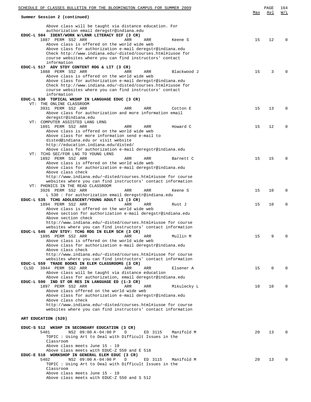| SCHEDULE OF CLASSES BULLETIN FOR THE BLOOMINGTON CAMPUS FOR SUMMER 2009                                                                                |     |         |             | Max | PAGE<br>Avl | 164<br>W/L   |
|--------------------------------------------------------------------------------------------------------------------------------------------------------|-----|---------|-------------|-----|-------------|--------------|
| Summer Session 2 (continued)                                                                                                                           |     |         |             |     |             |              |
| Above class will be taught via distance education. For<br>authorization email deregstr@indiana.edu<br>EDUC-L 504 IDENT/WORK W/LRNR LITERACY DIF (3 CR) |     |         |             |     |             |              |
| 1887 PERM SS2 ARR                                                                                                                                      | ARR | ARR     | Keene S     | 15  | 12          | 0            |
| Above class is offered on the world wide web                                                                                                           |     |         |             |     |             |              |
| Above class for authorization e-mail deregstr@indiana.edu                                                                                              |     |         |             |     |             |              |
| Check http://www.indiana.edu/~disted/courses.html#iusoe for                                                                                            |     |         |             |     |             |              |
| course websites where you can find instructors' contact<br>information                                                                                 |     |         |             |     |             |              |
| EDUC-L 517 ADV STDY CONTENT RDG & LIT (3 CR)                                                                                                           |     |         |             |     |             |              |
| 1888 PERM SS2 ARR                                                                                                                                      | ARR | ARR     | Blackwood J | 15  | 3           | O            |
| Above class is offered on the world wide web                                                                                                           |     |         |             |     |             |              |
| Above class for authorization e-mail deregstr@indiana.edu                                                                                              |     |         |             |     |             |              |
| Check http://www.indiana.edu/~disted/courses.html#iusoe for                                                                                            |     |         |             |     |             |              |
| course websites where you can find instructors' contact                                                                                                |     |         |             |     |             |              |
| information                                                                                                                                            |     |         |             |     |             |              |
| EDUC-L 530 TOPICAL WKSHP IN LANGUAGE EDUC (3 CR)                                                                                                       |     |         |             |     |             |              |
| VT: THE ONLINE CLASSROOM                                                                                                                               |     |         |             |     |             |              |
| 3931 PERM SS2 ARR                                                                                                                                      | ARR | ARR     | Cotton E    | 15  | 13          | $\Omega$     |
| Above class for authorization and more information email                                                                                               |     |         |             |     |             |              |
| deregstr@indiana.edu                                                                                                                                   |     |         |             |     |             |              |
| VT: COMPUTER ASSISTED LANG LRNG                                                                                                                        |     |         |             |     |             |              |
| 1891 PERM SS2 ARR                                                                                                                                      | ARR | ARR     | Howard C    | 15  | 12          | 0            |
| Above class is offered on the world wide web                                                                                                           |     |         |             |     |             |              |
| Above class for more information send e-mail to                                                                                                        |     |         |             |     |             |              |
| disted@indiana.edu or visit website                                                                                                                    |     |         |             |     |             |              |
| http://education.indiana.edu/disted/<br>Above class for authorization e-mail deregstr@indiana.edu                                                      |     |         |             |     |             |              |
| VT: TCHG SEC/FOR LNG TO YOUNG LRNS                                                                                                                     |     |         |             |     |             |              |
| 1892 PERM SS2 ARR                                                                                                                                      | ARR | ARR     | Barnett C   | 15  | 15          | 0            |
| Above class is offered on the world wide web                                                                                                           |     |         |             |     |             |              |
| Above class for authorization e-mail deregstr@indiana.edu                                                                                              |     |         |             |     |             |              |
| Above class check                                                                                                                                      |     |         |             |     |             |              |
| http://www.indiana.edu/~disted/courses.html#iusoe for course                                                                                           |     |         |             |     |             |              |
| websites where you can find instructors' contact information                                                                                           |     |         |             |     |             |              |
| VT: PHONICS IN THE READ CLASSROOM                                                                                                                      |     |         |             |     |             |              |
| 3926 PERM SS2 ARR                                                                                                                                      | ARR | ARR     | Keene S     | 15  | 10          | $\Omega$     |
| L 530 : For authorization email deregstr@indiana.edu                                                                                                   |     |         |             |     |             |              |
| EDUC-L 535 TCHG ADOLESCENT/YOUNG ADULT LI (3 CR)                                                                                                       |     |         |             |     |             |              |
| 1894 PERM SS2 ARR                                                                                                                                      | ARR | ARR     | Rust J      | 15  | 10          | 0            |
| Above class is offered on the world wide web                                                                                                           |     |         |             |     |             |              |
| Above section for authorization e-mail deregstr@indiana.edu                                                                                            |     |         |             |     |             |              |
| Above section check                                                                                                                                    |     |         |             |     |             |              |
| http://www.indiana.edu/~disted/courses.html#iusoe for course                                                                                           |     |         |             |     |             |              |
| websites where you can find instructors' contact information                                                                                           |     |         |             |     |             |              |
| EDUC-L 545 ADV STDY: TCHG RDG IN ELEM SCH (3 CR)                                                                                                       |     |         |             |     |             |              |
| 1895 PERM SS2 ARR                                                                                                                                      | ARR | ARR     | Mullin M    | 15  | 9           | $\Omega$     |
| Above class is offered on the world wide web                                                                                                           |     |         |             |     |             |              |
| Above class for authorization e-mail deregstr@indiana.edu<br>Above class check                                                                         |     |         |             |     |             |              |
| http://www.indiana.edu/~disted/courses.html#iusoe for course                                                                                           |     |         |             |     |             |              |
| websites where you can find instructors' contact information                                                                                           |     |         |             |     |             |              |
| EDUC-L 559 TRADE BOOKS IN ELEM CLASSROOMS (3 CR)                                                                                                       |     |         |             |     |             |              |
| 3944 PERM SS2 ARR<br>CLSD                                                                                                                              | ARR | ARR     | Elsener A   | 15  | $\Omega$    |              |
| Above class will be taught via distance education                                                                                                      |     |         |             |     |             |              |
| Above class for authorization, email deregstr@indiana.edu                                                                                              |     |         |             |     |             |              |
| EDUC-L 590 IND ST OR RES IN LANGUAGE ED (1-3 CR)                                                                                                       |     |         |             |     |             |              |
| 1897 PERM SS2 ARR                                                                                                                                      | ARR | ARR     | Mikulecky L | 10  | 10          | U            |
| Above class offered on the world wide web                                                                                                              |     |         |             |     |             |              |
| Above class for authorization e-mail deregstr@indiana.edu                                                                                              |     |         |             |     |             |              |
| Above class check                                                                                                                                      |     |         |             |     |             |              |
| http://www.indiana.edu/~disted/courses.html#iusoe for course                                                                                           |     |         |             |     |             |              |
| websites where you can find instructors' contact information                                                                                           |     |         |             |     |             |              |
|                                                                                                                                                        |     |         |             |     |             |              |
| ART EDUCATION (520)                                                                                                                                    |     |         |             |     |             |              |
|                                                                                                                                                        |     |         |             |     |             |              |
| EDUC-S 512 WKSHP IN SECONDARY EDUCATION (3 CR)                                                                                                         |     |         |             |     |             |              |
| NS2 09:00 A-04:00 P<br>5401                                                                                                                            | D   | ED 3115 | Manifold M  | 20  | 13          | <sup>0</sup> |
| TOPIC: Using Art to Deal with Difficult Issues in the                                                                                                  |     |         |             |     |             |              |
| Classroom                                                                                                                                              |     |         |             |     |             |              |
| Above class meets June 15 - 19                                                                                                                         |     |         |             |     |             |              |
| Above class meets with EDUC-Z 550 and E 518                                                                                                            |     |         |             |     |             |              |
| EDUC-E 518 WORKSHOP IN GENERAL ELEM EDUC (3 CR)<br>5402                                                                                                |     |         |             |     |             | U            |
| NS2 09:00 A-04:00 P                                                                                                                                    | D   | ED 3115 | Manifold M  | 20  | 13          |              |
| TOPIC: Using Art to Deal with Difficult Issues in the<br>Classroom                                                                                     |     |         |             |     |             |              |
| Above class meets June 15 - 19                                                                                                                         |     |         |             |     |             |              |
| Above class meets with EDUC-Z 550 and S 512                                                                                                            |     |         |             |     |             |              |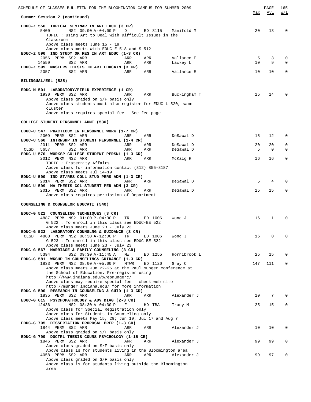| SCHEDULE OF CLASSES BULLETIN FOR THE BLOOMINGTON CAMPUS FOR SUMMER 2009                                                                                                                                                              |             |            |                        |          | PAGE         | 165                        |
|--------------------------------------------------------------------------------------------------------------------------------------------------------------------------------------------------------------------------------------|-------------|------------|------------------------|----------|--------------|----------------------------|
| Summer Session 2 (continued)                                                                                                                                                                                                         |             |            |                        | Max      | Avl          | W/L                        |
| EDUC-Z 550 TOPICAL SEMINAR IN ART EDUC (3 CR)<br>5400<br>NS2 09:00 A-04:00 P<br>TOPIC : Using Art to Deal with Difficult Issues in the<br>Classroom<br>Above class meets June 15 - 19<br>Above class meets with EDUC-E 518 and S 512 | D           |            | ED 3115 Manifold M     | 20       | 13           | $\mathbf 0$                |
| EDUC-Z 590 IND STUDY OR RES IN ART EDUC (1-3 CR)<br>2056 PERM SS2 ARR                                                                                                                                                                | ARR         | ARR        | Vallance E             | 5        | 3            | 0                          |
| 14559<br>SS2 ARR<br>EDUC-Z 599 MASTERS THESIS IN ART EDUCATN (3 CR)<br>2057<br>SS2 ARR                                                                                                                                               | ARR<br>ARR  | ARR<br>ARR | Lackey L<br>Vallance E | 10<br>10 | 9<br>10      | $\Omega$<br>$\mathbf 0$    |
| BILINGUAL/ESL (525)                                                                                                                                                                                                                  |             |            |                        |          |              |                            |
| EDUC-M 501 LABORATORY/FIELD EXPERIENCE (1 CR)                                                                                                                                                                                        |             |            |                        |          |              |                            |
| 1930 PERM SS2 ARR<br>Above class graded on S/F basis only<br>Above class students must also register for EDUC-L 520, same                                                                                                            | ARR         |            | ARR Buckingham T       | 15       | 14           | $\Omega$                   |
| cluster<br>Above class requires special fee - See fee page                                                                                                                                                                           |             |            |                        |          |              |                            |
| COLLEGE STUDENT PERSONNEL ADMI (530)                                                                                                                                                                                                 |             |            |                        |          |              |                            |
| EDUC-U 547 PRACTICUM IN PERSONNEL WORK (1-7 CR)                                                                                                                                                                                      |             |            |                        |          |              |                            |
| 2009 PERM SS2 ARR<br>EDUC-U 560 INTRNSHP IN STUDENT PERSONNEL (1-4 CR)                                                                                                                                                               | ARR         | ARR        | DeSawal D              | 15       | 12           | $\mathbf 0$                |
| 2011 PERM SS2 ARR<br>5657<br>SS2 ARR<br>CLSD                                                                                                                                                                                         | ARR<br>ARR  | ARR<br>ARR | DeSawal D<br>DeSawal D | 20<br>5  | 20<br>0      | $\mathbf 0$<br>$\mathbf 0$ |
| EDUC-U 570 WORKSP-COLLEGE STUDENT PERSNL (1-3 CR)<br>2012 PERM NS2 ARR                                                                                                                                                               | ARR         | ARR        |                        | 16       | 16           | $\mathbf 0$                |
| TOPIC: Fraternity Affairs                                                                                                                                                                                                            |             |            | McKaig R               |          |              |                            |
| Above class for information contact (812) 855-8187<br>Above class meets Jul 14-19                                                                                                                                                    |             |            |                        |          |              |                            |
| EDUC-U 590 IND ST/RES COLL STUD PERS ADM (1-3 CR)<br>2014 PERM SS2 ARR                                                                                                                                                               | ARR         | ARR        | DeSawal D              | 5        | 4            | $\Omega$                   |
| EDUC-U 599 MA THESIS COL STUDENT PER ADM (3 CR)<br>2015 PERM SS2 ARR                                                                                                                                                                 | ARR         | ARR        | DeSawal D              | 15       | 15           | 0                          |
| Above class requires permission of Department                                                                                                                                                                                        |             |            |                        |          |              |                            |
| COUNSELING & COUNSELOR EDUCATI (540)                                                                                                                                                                                                 |             |            |                        |          |              |                            |
| EDUC-G 522 COUNSELING TECHNIQUES (3 CR)                                                                                                                                                                                              |             |            |                        |          |              |                            |
| 4887 PERM NS2 01:00 P-04:30 P<br>G 522 : To enroll in this class see EDUC-BE 522<br>Above class meets June 23 - July 23                                                                                                              | TR          | ED 1006    | Wong J                 | 16       | $\mathbf{1}$ | $\Omega$                   |
| EDUC-G 523 LABORATORY COUNSLNG & GUIDANCE (3 CR)                                                                                                                                                                                     |             |            |                        |          |              |                            |
| 4888 PERM NS2 08:30 A-12:00 P<br>CLSD<br>G 523 : To enroll in this class see EDUC-BE 522<br>Above class meets June 23 - July 23                                                                                                      | TR          | ED 1006    | Wong J                 | 16       | 0            | 0                          |
| EDUC-G 567 MARRIAGE & FAMILY COUNSELING (3 CR)                                                                                                                                                                                       |             |            |                        |          |              |                            |
| 5394<br>SS2 09:30 A-11:45 A<br>EDUC-G 581 WKSHP IN COUNSELING& GUIDANCE (1-3 CR)                                                                                                                                                     | MW          | ED 1255    | Hornibrook L           | 25       | 15           | 0                          |
| 1833 PERM NS2 08:00 A-05:00 P<br>Above class meets Jun 22-25 at the Paul Munger conference at                                                                                                                                        | <b>MTWR</b> | ED 1120    | Gray C                 | 147      | 111          | $\mathbf 0$                |
| the School of Education. Pre-register using                                                                                                                                                                                          |             |            |                        |          |              |                            |
| http://www.indiana.edu/%7epmungerc/<br>Above class may require special fee - check web site                                                                                                                                          |             |            |                        |          |              |                            |
| http://munger.indiana.edu/ for more information<br>EDUC-G 590 RESEARCH IN COUNSELING & GUID (1-3 CR)                                                                                                                                 |             |            |                        |          |              |                            |
| 1835 PERM SS2 ARR                                                                                                                                                                                                                    | ARR         | ARR        | Alexander J            | 10       | 7            | $\mathbf 0$                |
| EDUC-G 615 PSYCHOPATHOLOGY & ADV DIAG (2-3 CR)<br>12436<br>NS2 08:30 A-04:30 P                                                                                                                                                       | F           | HD TBA     | Tracy M                | 25       | 15           | 0                          |
| Above class for Special Registration only<br>Above class for Students in Counseling only                                                                                                                                             |             |            |                        |          |              |                            |
| Above class meets May 15, 29; Jun 19; Jul 17 and Aug 7                                                                                                                                                                               |             |            |                        |          |              |                            |
| EDUC-G 795 DISSERTATION PROPOSAL PREP (1-3 CR)<br>1844 PERM SS2 ARR                                                                                                                                                                  | ARR         | ARR        | Alexander J            | 10       | 10           | 0                          |
| Above class graded on S/F basis only                                                                                                                                                                                                 |             |            |                        |          |              |                            |
| EDUC-G 799 DOCTRL THESIS COUNS PSYCHOLOGY (1-15 CR)<br>1846 PERM SS2 ARR                                                                                                                                                             | ARR         | ARR        | Alexander J            | 99       | 99           | $\mathbf 0$                |
| Above class graded on S/F basis only<br>Above class is for students living in the Bloomington area                                                                                                                                   |             |            |                        |          |              |                            |
| 4058 PERM SS2 ARR                                                                                                                                                                                                                    | ARR         | ARR        | Alexander J            | 99       | 97           | $\mathbf 0$                |
| Above class graded on S/F basis only<br>Above class is for students living outside the Bloomington                                                                                                                                   |             |            |                        |          |              |                            |
| area                                                                                                                                                                                                                                 |             |            |                        |          |              |                            |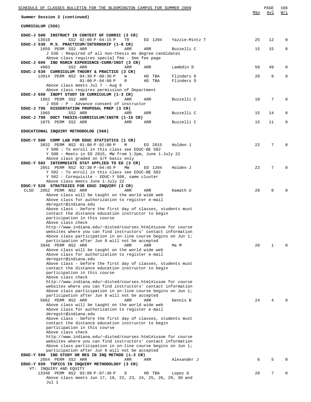| <u>SCHEDULE OF CLASSES BULLETIN FOR THE BLOOMINGTON CAMPUS FOR SUMMER 2009</u>                                               |                  |                          | Max | PAGE<br>Avl | 166<br>W/L |
|------------------------------------------------------------------------------------------------------------------------------|------------------|--------------------------|-----|-------------|------------|
| Summer Session 2 (continued)                                                                                                 |                  |                          |     |             |            |
| CURRICULUM (550)                                                                                                             |                  |                          |     |             |            |
| EDUC-J 500 INSTRUCT IN CONTEXT OF CURRIC (3 CR)<br>13010<br>SS2 02:00 P-04:15 P<br>TR                                        | ED 1204          | Yazzie-Mintz T           | 25  | 12          | 0          |
| EDUC-J 538 M.S. PRACTICUM/INTERNSHIP (1-6 CR)<br>1859 PERM SS2 ARR<br>ARR                                                    | ARR              | Buzzelli C               | 15  | 15          | 0          |
| J 538 : Required of all non-thesis ms degree candidates                                                                      |                  |                          |     |             |            |
| Above class requires special fee - See fee page<br>EDUC-J 605 IND RSRCH EXPERIENCE-CURR/INST (3 CR)                          |                  |                          |     |             |            |
| 4803<br>SS2 ARR<br>ARR<br>EDUC-J 630 CURRICULUM THEORY & PRACTICE (3 CR)                                                     | ARR              | Lambdin D                | 50  | 49          | 0          |
| 13914 PERM NS2 04:30 P-08:30 P<br>W<br>$01:00 P-04:00 P$<br>R                                                                | HD TBA<br>HD TBA | Flinders D<br>Flinders D | 20  | 8           | 0          |
| Above class meets Jul 7 - Aug 6<br>Above class requires permission of Department                                             |                  |                          |     |             |            |
| EDUC-J 650 INDPT STUDY IN CURRICULUM (1-3 CR)<br>1862 PERM SS2 ARR<br>ARR                                                    | ARR              | Buzzelli C               | 10  | 7           | 0          |
| J 650 : P - Advance consent of instructor<br>EDUC-J 795 DISSERTATION PROPOSAL PREP (3 CR)                                    |                  |                          |     |             |            |
| 1865<br>SS2 ARR<br>ARR                                                                                                       | ARR              | Buzzelli C               | 15  | 14          | 0          |
| EDUC-J 799 DOCT THESIS-CURRICULUM/INSTR (1-15 CR)<br>1875 PERM SS2 ARR<br>ARR                                                | ARR              | Buzzelli C               | 15  | 11          | 0          |
| EDUCATIONAL INQUIRY METHODOLOG (560)                                                                                         |                  |                          |     |             |            |
| EDUC-Y 500 COMP LAB FOR EDUC STATISTICS (1 CR)                                                                               |                  |                          |     |             |            |
| 3832 PERM NS2 01:00 P-02:00 P<br>M<br>Y 500: To enroll in this class see EDUC-BE 502                                         | ED 2015          | Holden J                 | 22  | 7           | $\Omega$   |
| Y 500: Meets in ED 2015, MW from 1-2pm, June 1-July 22<br>Above class graded on S/F basis only                               |                  |                          |     |             |            |
| EDUC-Y 502 INTERMDIATE STAT APPLIED TO ED (3 CR)<br>2051 PERM NS2 02:30 P-04:45 P<br>MW                                      | ED 1204          | Holden J                 | 22  | 7           | $\Omega$   |
| Y 502 : To enroll in this class see EDUC-BE 502                                                                              |                  |                          |     |             |            |
| Y 502 : Corequisite - EDUC-Y 500, same cluster<br>Above class meets June 1-July 22                                           |                  |                          |     |             |            |
| EDUC-Y 520 STRATEGIES FOR EDUC INQUIRY (3 CR)<br>2052 PERM NS2 ARR<br><b>CLSD</b><br>ARR                                     | ARR              | Kamath U                 | 20  | 0           |            |
| Above class will be taught on the world wide web<br>Above class for authorization to register e-mail                         |                  |                          |     |             |            |
| deregstr@indiana.edu<br>Above class - before the first day of classes, students must                                         |                  |                          |     |             |            |
| contact the distance education instructor to begin<br>participation in this course                                           |                  |                          |     |             |            |
| Above class check<br>http://www.indiana.edu/~disted/courses.html#iusoe for course                                            |                  |                          |     |             |            |
| websites where you can find instructors' contact information                                                                 |                  |                          |     |             |            |
| Above class participation in on-line course begins on Jun 1;<br>participation after Jun 8 will not be accepted               |                  |                          |     |             |            |
| 3946 PERM NS2 ARR<br>ARR<br>Above class will be taught on the world wide web                                                 | ARR              | Ma M                     | 20  | 1           | U          |
| Above class for authorization to register e-mail<br>deregstr@indiana.edu                                                     |                  |                          |     |             |            |
| Above class - before the first day of classes, students must<br>contact the distance education instructor to begin           |                  |                          |     |             |            |
| participation in this course<br>Above class check                                                                            |                  |                          |     |             |            |
| http://www.indiana.edu/~disted/courses.html#iusoe for course                                                                 |                  |                          |     |             |            |
| websites where you can find instructors' contact information<br>Above class participation in on-line course begins on Jun 1; |                  |                          |     |             |            |
| participation after Jun 8 will not be accepted<br>5662 PERM NS2 ARR<br>ARR                                                   | ARR              | Dennis B                 | 24  | 4           |            |
| Above class will be taught on the world wide web<br>Above class for authorization to register e-mail                         |                  |                          |     |             |            |
| deregstr@indiana.edu<br>Above class - before the first day of classes, students must                                         |                  |                          |     |             |            |
| contact the distance education instructor to begin<br>participation in this course                                           |                  |                          |     |             |            |
| Above class check<br>http://www.indiana.edu/~disted/courses.html#iusoe for course                                            |                  |                          |     |             |            |
| websites where you can find instructors' contact information<br>Above class participation in on-line course begins on Jun 1; |                  |                          |     |             |            |
| participation after Jun 8 will not be accepted<br>EDUC-Y 590 IND STUDY OR RES IN INQ METHOD (1-3 CR)                         |                  |                          |     |             |            |
| 2054 PERM SS2 ARR<br>ARR<br>EDUC-Y 650 TOPICS IN INQUIRY METHODOLOGY (3 CR)                                                  | ARR              | Alexander J              | 6   | 5           |            |
| VT: INQUIRY AND EQUITY<br>13340 PERM NS2 03:00 P-07:30 P<br>D                                                                | HD TBA           | Lopez G                  | 20  | 7           | 0          |
| Above class meets Jun 17, 18, 22, 23, 24, 25, 26, 29, 30 and<br>Jul 1                                                        |                  |                          |     |             |            |
|                                                                                                                              |                  |                          |     |             |            |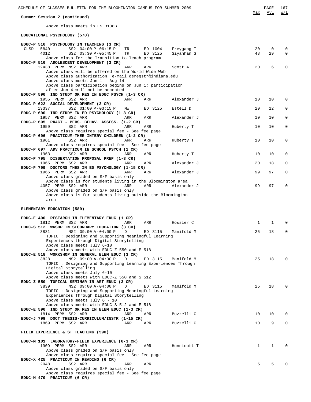|             | SCHEDULE OF CLASSES BULLETIN FOR THE BLOOMINGTON CAMPUS FOR SUMMER 2009                                     |            |                    |                          |          | PAGE              | 167                  |
|-------------|-------------------------------------------------------------------------------------------------------------|------------|--------------------|--------------------------|----------|-------------------|----------------------|
|             | Summer Session 2 (continued)                                                                                |            |                    |                          | Max      | Avl               | W/L                  |
|             | Above class meets in ES 3138B                                                                               |            |                    |                          |          |                   |                      |
|             | EDUCATIONAL PSYCHOLOGY (570)                                                                                |            |                    |                          |          |                   |                      |
|             | EDUC-P 510 PSYCHOLOGY IN TEACHING (3 CR)                                                                    |            |                    |                          |          |                   |                      |
| <b>CLSD</b> | 5840<br>SS2 04:00 P-06:15 P<br>4012<br>SS2 03:30 P-05:45 P                                                  | TR<br>TR   | ED 1004<br>ED 3125 | Freygang T<br>Siyahhan S | 20<br>48 | $\mathbf 0$<br>29 | $\Omega$<br>$\Omega$ |
|             | Above class for the Transition to Teach program<br>EDUC-P 516 ADOLESCENT DEVELOPMENT (3 CR)                 |            |                    |                          |          |                   |                      |
|             | 12438 PERM NS2 ARR                                                                                          | ARR        | ARR                | Scott A                  | 20       | 6                 | $\Omega$             |
|             | Above class will be offered on the World Wide Web<br>Above class authorization, e-mail deregstr@indiana.edu |            |                    |                          |          |                   |                      |
|             | Above class meets Jun 1 - Aug 14                                                                            |            |                    |                          |          |                   |                      |
|             | Above class participation begins on Jun 1; participation<br>after Jun 4 will not be accepted                |            |                    |                          |          |                   |                      |
|             | EDUC-P 590 IND STUDY OR RES IN EDUC PSYCH (1-3 CR)<br>1955 PERM SS2 ARR                                     | ARR        | ARR                | Alexander J              | 10       | 10                | $\Omega$             |
|             | EDUC-P 622 SOCIAL DEVELOPMENT (3 CR)                                                                        |            |                    |                          |          |                   |                      |
|             | SS2 01:00 P-03:15 P<br>13337<br>EDUC-P 690 IND STUDY IN ED PSYCHOLOGY (1-3 CR)                              | MM         | ED 3125            | Estell D                 | 20       | 12                | 0                    |
|             | 1957 PERM SS2 ARR<br>EDUC-P 695 PRACT - PERS. BEHAV. ASSESS. (1-2 CR)                                       | ARR        | ARR                | Alexander J              | 10       | 10                | $\Omega$             |
|             | 1959<br>SS2 ARR                                                                                             | ARR        | ARR                | Huberty T                | 10       | 10                | $\mathbf 0$          |
|             | Above class requires special fee - See fee page<br>EDUC-P 696 PRACTICUM-THER INTERV CHILDREN (1-2 CR)       |            |                    |                          |          |                   |                      |
|             | 1961<br>SS2 ARR                                                                                             | <b>ARR</b> | ARR                | Huberty T                | 10       | 10                | $\mathbf 0$          |
|             | Above class requires special fee - See fee page<br>EDUC-P 697 ADV PRACTICUM IN SCHOOL PSYCH (1 CR)          |            |                    |                          |          |                   |                      |
|             | 1963<br>SS2 ARR                                                                                             | ARR        | ARR                | Huberty T                | 10       | 10                | 0                    |
|             | EDUC-P 795 DISSERTATION PROPOSAL PREP (1-3 CR)<br>1965 PERM SS2 ARR                                         | ARR        | ARR                | Alexander J              | 20       | 18                | 0                    |
|             | EDUC-P 799 DOCTORS THES IN ED PSYCHOLOGY (1-15 CR)<br>1966 PERM SS2 ARR                                     | ARR        | ARR                | Alexander J              | 99       | 97                | $\mathbf 0$          |
|             | Above class graded on S/F basis only                                                                        |            |                    |                          |          |                   |                      |
|             | Above class is for students living in the Bloomington area<br>4057 PERM SS2 ARR                             | ARR        | ARR                | Alexander J              | 99       | 97                | $\mathbf 0$          |
|             | Above class graded on S/F basis only                                                                        |            |                    |                          |          |                   |                      |
|             | Above class is for students living outside the Bloomington<br>area                                          |            |                    |                          |          |                   |                      |
|             | ELEMENTARY EDUCATION (580)                                                                                  |            |                    |                          |          |                   |                      |
|             | EDUC-E 490 RESEARCH IN ELEMENTARY EDUC (1 CR)                                                               |            |                    |                          |          |                   |                      |
|             | 1812 PERM SS2 ARR                                                                                           | ARR        | ARR                | Hossler C                | 1        | 1                 | $\Omega$             |
|             | EDUC-S 512 WKSHP IN SECONDARY EDUCATION (3 CR)<br>3831 NS2 09:00 A-04:00 P D                                |            | ED 3115            | Manifold M               | 25       | 18                |                      |
|             | TOPIC: Designing and Supporting Meaningful Learning                                                         |            |                    |                          |          |                   |                      |
|             | Experiences through Digital Storytelling<br>Above class meets July 6-10                                     |            |                    |                          |          |                   |                      |
|             | Above class meets with EDUC-Z 550 and E 518<br>EDUC-E 518 WORKSHOP IN GENERAL ELEM EDUC (3 CR)              |            |                    |                          |          |                   |                      |
|             | 3828<br>NS2 09:00 A-04:00 P                                                                                 | D          | ED 3115            | Manifold M               | 25       | 18                | $\Omega$             |
|             | TOPIC: Designing and Supporting Learning Experiences Through<br>Digital Storytelling                        |            |                    |                          |          |                   |                      |
|             | Above class meets July 6-10                                                                                 |            |                    |                          |          |                   |                      |
|             | Above class meets with EDUC-Z 550 and S 512<br>EDUC-Z 550 TOPICAL SEMINAR IN ART EDUC (3 CR)                |            |                    |                          |          |                   |                      |
|             | 3839<br>NS2 09:00 A-04:00 P                                                                                 | D          | ED 3115            | Manifold M               | 25       | 18                | 0                    |
|             | TOPIC: Designing and Supporting Meaningful Learning<br>Experiences Through Digital Storytelling             |            |                    |                          |          |                   |                      |
|             | Above class meets July 6 - 10<br>Above class meets with EDUC-S 512 and E 518                                |            |                    |                          |          |                   |                      |
|             | EDUC-E 590 IND STUDY OR RES IN ELEM EDUC (1-3 CR)                                                           |            |                    |                          |          |                   |                      |
|             | 1814 PERM SS2 ARR<br>EDUC-J 799 DOCT THESIS-CURRICULUM/INSTR (1-15 CR)                                      | ARR        | ARR                | Buzzelli C               | 10       | 10                | 0                    |
|             | 1869 PERM SS2 ARR                                                                                           | ARR        | ARR                | Buzzelli C               | 10       | 9                 | $\mathbf 0$          |
|             | FIELD EXPERIENCE & ST TEACHING (590)                                                                        |            |                    |                          |          |                   |                      |
|             | EDUC-M 101 LABORATORY-FIELD EXPERIENCE (0-3 CR)                                                             |            |                    |                          |          |                   |                      |
|             | 1909 PERM SS2 ARR<br>Above class graded on S/F basis only                                                   | ARR        | ARR                | Hunnicutt T              | 1        | 1                 | 0                    |
|             | Above class requires special fee - See fee page                                                             |            |                    |                          |          |                   |                      |
|             | EDUC-X 425 PRACTICUM IN READING (6 CR)<br>2048<br>SS2 ARR                                                   | ARR        | ARR                |                          | 5        | 5                 | 0                    |
|             | Above class graded on S/F basis only                                                                        |            |                    |                          |          |                   |                      |
|             | Above class requires special fee - See fee page<br>EDUC-M 470 PRACTICUM (6 CR)                              |            |                    |                          |          |                   |                      |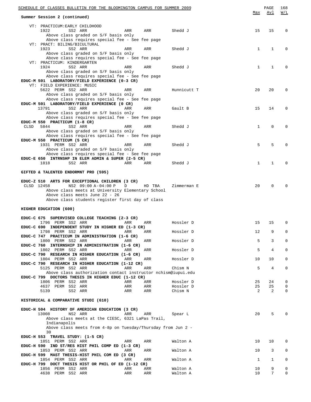| SCHEDULE OF CLASSES BULLETIN FOR THE BLOOMINGTON CAMPUS FOR SUMMER 2009                                                                                                                                                                                       |              | PAGE                 | 168               |
|---------------------------------------------------------------------------------------------------------------------------------------------------------------------------------------------------------------------------------------------------------------|--------------|----------------------|-------------------|
| Summer Session 2 (continued)                                                                                                                                                                                                                                  | Max          | Avl                  | W/L               |
| VT: PRACTICUM: EARLY CHILDHOOD<br>1922<br>SS2 ARR<br>ARR<br>ARR<br>Shedd J                                                                                                                                                                                    | 15           | 15                   | 0                 |
| Above class graded on S/F basis only<br>Above class requires special fee - See fee page<br>VT: PRACT: BILING/BICULTURAL                                                                                                                                       |              |                      |                   |
| 1923<br>SS2 ARR<br>ARR<br>ARR<br>Shedd J<br>Above class graded on S/F basis only                                                                                                                                                                              | $\mathbf{1}$ | 1                    | 0                 |
| Above class requires special fee - See fee page<br>VT: PRACTICUM: KINDERGARTEN                                                                                                                                                                                |              |                      |                   |
| 1924<br>SS2 ARR<br>ARR<br>ARR<br>Shedd J<br>Above class graded on S/F basis only<br>Above class requires special fee - See fee page                                                                                                                           | $\mathbf{1}$ | 1                    | 0                 |
| EDUC-M 501 LABORATORY/FIELD EXPERIENCE (0-3 CR)<br>VT: FIELD EXPERIENCE: MUSIC                                                                                                                                                                                |              |                      |                   |
| 5622 PERM SS2 ARR<br>ARR<br>ARR<br>Hunnicutt T<br>Above class graded on S/F basis only<br>Above class requires special fee - See fee page                                                                                                                     | 20           | 20                   | $\mathbf 0$       |
| EDUC-M 501 LABORATORY/FIELD EXPERIENCE (0 CR)<br>13791<br>SS2 ARR<br>ARR<br>ARR<br>Gault B                                                                                                                                                                    | 15           | 14                   | $\mathbf 0$       |
| Above class graded on S/F basis only<br>Above class requires special fee - See fee page<br>EDUC-M 550 PRACTICUM (1-8 CR)                                                                                                                                      |              |                      |                   |
| 5844<br>CLSD<br>SS2 ARR<br>ARR<br>ARR<br>Shedd J<br>Above class graded on S/F basis only                                                                                                                                                                      | 1            | 0                    | $\mathbf 0$       |
| Above class requires special fee - See fee page<br>EDUC-M 550 PRACTICUM (5 CR)<br>1931 PERM SS2 ARR<br>ARR<br>ARR<br>Shedd J                                                                                                                                  | 5            | 5                    | $\mathbf 0$       |
| Above class graded on S/F basis only<br>Above class requires special fee - See fee page                                                                                                                                                                       |              |                      |                   |
| EDUC-E 650 INTRNSHP IN ELEM ADMIN & SUPER $(2-5 \text{ CR})$<br>1818<br>SS2 ARR<br>ARR<br>ARR<br>Shedd J                                                                                                                                                      | $\mathbf 1$  | 1                    | $\mathbf 0$       |
| GIFTED & TALENTED ENDORMNT PRO (595)                                                                                                                                                                                                                          |              |                      |                   |
| EDUC-Z 510 ARTS FOR EXCEPTIONAL CHILDREN (3 CR)<br>NS2 09:00 A-04:00 P<br>CLSD 12458<br>D<br>HD TBA<br>Zimmerman E<br>Above class meets at University Elementary School<br>Above class meets June 22 - 26<br>Above class students register first day of class | 20           | 0                    | $\mathbf 0$       |
| HIGHER EDUCATION (600)                                                                                                                                                                                                                                        |              |                      |                   |
| EDUC-C 675 SUPERVISED COLLEGE TEACHING (2-3 CR)<br>1796 PERM SS2 ARR<br>ARR<br>Hossler D<br>ARR                                                                                                                                                               | 15           | 15                   | 0                 |
| EDUC-C 690 INDEPENDENT STUDY IN HIGHER ED (1-3 CR)<br>1798 PERM SS2 ARR<br>Hossler D<br>ARR<br>ARR<br>EDUC-C 747 PRACTICUM IN ADMINISTRATION (1-6 CR)                                                                                                         | 12           | 9                    | $\Omega$          |
| 1800 PERM SS2 ARR<br>ARR<br>ARR<br>Hossler D<br>EDUC-C 760 INTERNSHIP IN ADMINISTRATION (1-6 CR)                                                                                                                                                              | 5            | 3                    | 0                 |
| 1802 PERM SS2 ARR<br>Hossler D<br>ARR<br>ARR<br>EDUC-C 790 RESEARCH IN HIGHER EDUCATION (1-6 CR)<br>1804 PERM SS2 ARR<br>Hossler D<br>ARR<br>ARR                                                                                                              | 5<br>10      | $\overline{4}$<br>10 | $\mathbf{0}$<br>0 |
| EDUC-C 790 RESEARCH IN HIGHER EDUCATION (1-12 CR)<br>5125 PERM SS2 ARR<br>ARR<br>Chism N<br>ARR                                                                                                                                                               | 5            | $\overline{4}$       | 0                 |
| Above class authorization contact instructor nchism@iupui.edu<br>EDUC-C 799 DOCTORS THESIS IN HIGHER EDUC (1-12 CR)<br>1806 PERM SS2 ARR<br>Hossler D<br>ARR<br>ARR                                                                                           | 25           | 24                   | 0                 |
| 4637 PERM SS2 ARR<br>ARR<br>ARR<br>Hossler D<br>5139<br>SS2 ARR<br>Chism N<br>ARR<br>ARR                                                                                                                                                                      | 25<br>2      | 25<br>2              | 0<br>0            |
| HISTORICAL & COMPARATIVE STUDI (610)                                                                                                                                                                                                                          |              |                      |                   |
| EDUC-H 504 HISTORY OF AMERICAN EDUCATION (3 CR)<br>NS2 ARR<br>ARR<br>13008<br>ARR<br>Spear L                                                                                                                                                                  | 20           | 5                    | $\mathbf{0}$      |
| Above class meets at the CIESC, 6321 LaPas Trail,<br>Indianapolis<br>Above class meets from 4-8p on Tuesday/Thursday from Jun 2 -<br>30                                                                                                                       |              |                      |                   |
| EDUC-H 553 TRAVEL STUDY: (1-5 CR)<br>1851 PERM SS2 ARR<br>ARR<br>Walton A<br>ARR                                                                                                                                                                              | 10           | 10                   | 0                 |
| EDUC-H 590 IND ST/RES HIST PHIL COMP ED (1-3 CR)<br>1853 PERM SS2 ARR<br>Walton A<br>ARR<br>ARR                                                                                                                                                               | 10           | 3                    | 0                 |
| EDUC-H 599 MAST THESIS-HIST PHIL COM ED (3 CR)<br>1854 PERM SS2 ARR<br>ARR<br>Walton A<br>ARR<br>EDUC-H 799 DOCT THESIS HIST OR PHIL OF ED (1-12 CR)                                                                                                          | 1            | $\mathbf 1$          | 0                 |
| 1856 PERM SS2 ARR<br>ARR<br>ARR<br>Walton A<br>4638 PERM SS2 ARR<br>ARR<br>ARR<br>Walton A                                                                                                                                                                    | 10<br>10     | 9<br>$7\overline{ }$ | 0<br>$\mathbf 0$  |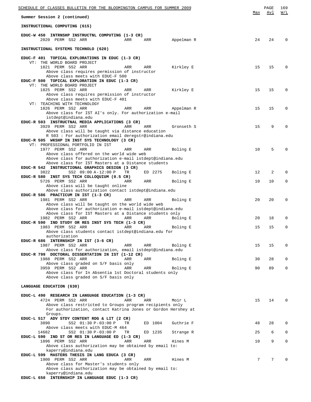| SCHEDULE OF CLASSES BULLETIN FOR THE BLOOMINGTON CAMPUS FOR SUMMER 2009                                             |     |         |            |     | PAGE            | 169         |
|---------------------------------------------------------------------------------------------------------------------|-----|---------|------------|-----|-----------------|-------------|
| Summer Session 2 (continued)                                                                                        |     |         |            | Max | Avl             | W/L         |
| INSTRUCTIONAL COMPUTING (615)                                                                                       |     |         |            |     |                 |             |
| EDUC-W 450 INTRNSHP INSTRUCTNL COMPUTING (1-3 CR)                                                                   |     |         |            |     |                 |             |
| 2020 PERM SS2 ARR                                                                                                   | ARR | ARR     | Appelman R | 24  | 24              | $\Omega$    |
| INSTRUCTIONAL SYSTEMS TECHNOLO (620)                                                                                |     |         |            |     |                 |             |
| EDUC-F 401 TOPICAL EXPLORATIONS IN EDUC (1-3 CR)                                                                    |     |         |            |     |                 |             |
| VT: THE WORLD BOARD PROJECT                                                                                         |     |         |            |     |                 |             |
| 1821 PERM SS2 ARR                                                                                                   | ARR | ARR     | Kirkley E  | 15  | 15              | $\Omega$    |
| Above class requires permission of instructor                                                                       |     |         |            |     |                 |             |
| Above class meets with EDUC-F 500<br>EDUC-F 500 TOPICAL EXPLORATION IN EDUC (1-3 CR)                                |     |         |            |     |                 |             |
| VT: THE WORLD BOARD PROJECT                                                                                         |     |         |            |     |                 |             |
| 1825 PERM SS2 ARR                                                                                                   | ARR | ARR     | Kirkley E  | 15  | 15              | $\Omega$    |
| Above class requires permission of instructor                                                                       |     |         |            |     |                 |             |
| Above class meets with EDUC-F 401<br>VT: TEACHING WITH TECHNOLOGY                                                   |     |         |            |     |                 |             |
| 1826 PERM SS2 ARR                                                                                                   | ARR | ARR     | Appelman R | 15  | 15              | $\Omega$    |
| Above class for IST AI's only. For authorization e-mail                                                             |     |         |            |     |                 |             |
| istdept@indiana.edu<br>EDUC-R 503 INSTRUCTNAL MEDIA APPLICATIONS (3 CR)                                             |     |         |            |     |                 |             |
| 3929 PERM SS2 ARR                                                                                                   | ARR | ARR     | Gronseth S | 15  | 9               | $\Omega$    |
| Above class will be taught via distance education                                                                   |     |         |            |     |                 |             |
| R 503 : For authorization email deregstr@indiana.edu                                                                |     |         |            |     |                 |             |
| EDUC-R 505 WKSHP IN INST SYS TECHNOLOGY (3 CR)                                                                      |     |         |            |     |                 |             |
| VT: PROFESSIONAL PORTFOLIO IN IST<br>1977 PERM SS2 ARR                                                              | ARR | ARR     | Boling E   | 10  | 5               | $\Omega$    |
| Above class offered on the world wide web                                                                           |     |         |            |     |                 |             |
| Above class for authorization e-mail istdept@indiana.edu                                                            |     |         |            |     |                 |             |
| Above class for IST Masters at a Distance students<br>EDUC-R 542 INSTRUCTIONAL GRAPHICS DESIGN (3 CR)               |     |         |            |     |                 |             |
| 3822<br>SS2 09:00 A-12:00 P                                                                                         | TR  | ED 2275 | Boling E   | 12  | 2               | $\Omega$    |
| EDUC-R 580 INST SYS TECH COLLOQUIUM (0.5 CR)                                                                        |     |         |            |     |                 |             |
| 5726 PERM SS2 ARR                                                                                                   | ARR | ARR     | Boling E   | 10  | 10              | 0           |
| Above class will be taught online<br>Above class authorization contact istdept@indiana.edu                          |     |         |            |     |                 |             |
| EDUC-R 586 PRACTICUM IN IST (1-3 CR)                                                                                |     |         |            |     |                 |             |
| 1981 PERM SS2 ARR                                                                                                   | ARR | ARR     | Boling E   | 20  | 20              | 0           |
| Above class will be taught on the world wide web                                                                    |     |         |            |     |                 |             |
| Above class for authorization e-mail istdept@indiana.edu<br>Above class for IST Masters at a Distance students only |     |         |            |     |                 |             |
| 1982 PERM SS2 ARR                                                                                                   | ARR | ARR     | Boling E   | 20  | 18              | $\Omega$    |
| EDUC-R 590 IND STUDY OR RES INST SYS TECH (1-3 CR)                                                                  |     |         |            |     |                 |             |
| 1983 PERM SS2 ARR                                                                                                   | ARR | ARR     | Boling E   | 15  | 15              | $\mathbf 0$ |
| Above class students contact istdept@indiana.edu for<br>authorization                                               |     |         |            |     |                 |             |
| EDUC-R 686 INTERNSHIP IN IST (3-6 CR)                                                                               |     |         |            |     |                 |             |
| 1987 PERM SS2 ARR                                                                                                   | ARR | ARR     | Boling E   | 15  | 15              | $\mathbf 0$ |
| Above class for authorization, email istdept@indiana.edu<br>EDUC-R 799 DOCTORAL DISSERTATION IN IST (1-12 CR)       |     |         |            |     |                 |             |
| 1988 PERM SS2 ARR                                                                                                   | ARR | ARR     | Boling E   | 30  | 28              | $\mathbf 0$ |
| Above class graded on S/F basis only                                                                                |     |         |            |     |                 |             |
| 3959 PERM SS2 ARR                                                                                                   | ARR | ARR     | Boling E   | 90  | 89              | $\mathbf 0$ |
| Above class for In Absentia 1st Doctoral students only<br>Above class graded on S/F basis only                      |     |         |            |     |                 |             |
|                                                                                                                     |     |         |            |     |                 |             |
| LANGUAGE EDUCATION (630)                                                                                            |     |         |            |     |                 |             |
|                                                                                                                     |     |         |            |     |                 |             |
| EDUC-L 490 RESEARCH IN LANGUAGE EDUCATION (1-3 CR)<br>4724 PERM SS2 ARR                                             | ARR | ARR     | Moir L     | 15  | 14              | 0           |
| Above class restricted to Groups program recipients only                                                            |     |         |            |     |                 |             |
| For authorization, contact Katrina Jones or Gordon Hershey at                                                       |     |         |            |     |                 |             |
| Groups.<br>EDUC-L 517 ADV STDY CONTENT RDG & LIT (2 CR)                                                             |     |         |            |     |                 |             |
| 3890<br>SS2 01:30 P-03:00 P                                                                                         | TR  | ED 1004 | Guthrie F  | 48  | 28              | $\mathbf 0$ |
| Above class meets with EDUC-M 464                                                                                   |     |         |            |     |                 |             |
| 14682<br>SS2 01:30 P-03:00 P                                                                                        | TR  | ED 1235 | Strange R  | 25  | 6               | $\mathbf 0$ |
| EDUC-L 590 IND ST OR RES IN LANGUAGE ED (1-3 CR)<br>1896 PERM SS2 ARR                                               | ARR | ARR     | Hines M    | 10  | 9               | $\mathbf 0$ |
| Above class authorization may be obtained by email to:                                                              |     |         |            |     |                 |             |
| kaperry@indiana.edu                                                                                                 |     |         |            |     |                 |             |
| EDUC-L 599 MASTERS THESIS IN LANG EDUCA (3 CR)<br>1900 PERM SS2 ARR                                                 | ARR | ARR     | Hines M    | 7   | $7\overline{ }$ | $\Omega$    |
| Above class for Master's students only                                                                              |     |         |            |     |                 |             |
| Above class authorization may be obtained by email to:                                                              |     |         |            |     |                 |             |
| kaperry@indiana.edu                                                                                                 |     |         |            |     |                 |             |
| EDUC-L 650 INTERNSHIP IN LANGUAGE EDUC (1-3 CR)                                                                     |     |         |            |     |                 |             |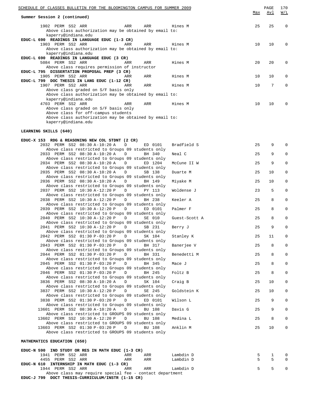|                              | SCHEDULE OF CLASSES BULLETIN FOR THE BLOOMINGTON CAMPUS FOR SUMMER 2009                            |     |     |         | Max | PAGE<br>Avl | 170<br>W/L |
|------------------------------|----------------------------------------------------------------------------------------------------|-----|-----|---------|-----|-------------|------------|
| Summer Session 2 (continued) |                                                                                                    |     |     |         |     |             |            |
|                              | 1902 PERM SS2 ARR<br>Above class authorization may be obtained by email to:                        | ARR | ARR | Hines M | 25  | 25          | $\Omega$   |
|                              | kaperry@indiana.edu<br>EDUC-L 690 READINGS IN LANGUAGE EDUC (1-3 CR)                               |     |     |         |     |             |            |
|                              | 1903 PERM SS2 ARR<br>Above class authorization may be obtained by email to:<br>kaperry@indiana.edu | ARR | ARR | Hines M | 10  | 10          | $\Omega$   |
|                              | EDUC-L 690 READINGS IN LANGUAGE EDUC (3 CR)                                                        |     |     |         |     |             |            |
|                              | 5084 PERM SS2 ARR                                                                                  | ARR | ARR | Hines M | 20  | 20          | $\Omega$   |
|                              | Above class requires permission of instructor                                                      |     |     |         |     |             |            |
|                              | EDUC-L 795 DISSERTATION PROPOSAL PREP (3 CR)                                                       |     |     |         |     |             |            |
|                              | 1905 PERM SS2 ARR                                                                                  | ARR | ARR | Hines M | 10  | 10          | $\Omega$   |
|                              | EDUC-L 799 DOC THESIS IN LANG EDUC (1-12 CR)                                                       |     |     |         |     |             |            |
|                              | 1907 PERM SS2 ARR                                                                                  | ARR | ARR | Hines M | 10  | 7           | $\Omega$   |
|                              | Above class graded on S/F basis only                                                               |     |     |         |     |             |            |
|                              | Above class authorization may be obtained by email to:                                             |     |     |         |     |             |            |
|                              | kaperry@indiana.edu<br>4703 PERM SS2 ARR                                                           |     |     |         |     |             | $\Omega$   |
|                              |                                                                                                    | ARR | ARR | Hines M | 10  | 10          |            |
|                              | Above class graded on S/F basis only<br>Above class for off-campus students                        |     |     |         |     |             |            |
|                              | Above class authorization may be obtained by email to:                                             |     |     |         |     |             |            |
|                              | kaperry@indiana.edu                                                                                |     |     |         |     |             |            |
|                              |                                                                                                    |     |     |         |     |             |            |

## **LEARNING SKILLS (640)**

# **EDUC-X 153 RDG & REASONING NEW COL STDNT (2 CR)**

| 2032 PERM SS2 08:30 A-10:20 A<br>$\Box$           | ED 0101 | Bradfield S   | 25 | 9  | $\mathbf 0$ |
|---------------------------------------------------|---------|---------------|----|----|-------------|
| Above class restricted to Groups 09 students only |         |               |    |    |             |
| 2033 PERM SS2 08:30 A-10:20 A<br>$\Box$           | BH 340  | Neal C        | 25 | 9  | $\mathbf 0$ |
| Above class restricted to Groups 09 students only |         |               |    |    |             |
| 2034 PERM SS2 08:30 A-10:20 A<br>$\mathbb{D}$     | ED 1204 | McCune II W   | 25 | 9  | $\mathbf 0$ |
| Above class restricted to Groups 09 students only |         |               |    |    |             |
| 2035 PERM SS2 08:30 A-10:20 A D                   | SB 138  | Duarte M      | 25 | 10 | 0           |
| Above class restricted to Groups 09 students only |         |               |    |    |             |
| 2036 PERM SS2 08:30 A-10:20 A<br>D                | BH 149  | Miyake M      | 25 | 10 | 0           |
| Above class restricted to Groups 09 students only |         |               |    |    |             |
| 2037 PERM SS2 10:30 A-12:20 P<br>D                | PY 113  | Woldense J    | 23 | 5  | $\mathsf 0$ |
| Above class restricted to Groups 09 students only |         |               |    |    |             |
| 2038 PERM SS2 10:30 A-12:20 P<br>$\Box$           | BH 238  | Keeler A      | 25 | 8  | $\mathbf 0$ |
| Above class restricted to Groups 09 students only |         |               |    |    |             |
| 2039 PERM SS2 10:30 A-12:20 P<br>D                | ED 0101 | Palmer F      | 25 | 8  | $\mathbf 0$ |
| Above class restricted to Groups 09 students only |         |               |    |    |             |
| 2040 PERM SS2 10:30 A-12:20 P<br>D                | SE 010  | Guest-Scott A | 25 | 8  | $\mathbf 0$ |
| Above class restricted to Groups 09 students only |         |               |    |    |             |
| 2041 PERM SS2 10:30 A-12:20 P<br>$\Box$           | SB 231  | Berry J       | 25 | 9  | $\mathbf 0$ |
| Above class restricted to Groups 09 students only |         |               |    |    |             |
| 2042 PERM SS2 01:30 P-03:20 P<br>D                | SK 104  | Stanley K     | 25 | 11 | 0           |
| Above class restricted to Groups 09 students only |         |               |    |    |             |
| 2043 PERM SS2 01:30 P-03:20 P D                   | BH 317  | Banerjee V    | 25 | 8  | $\mathsf 0$ |
| Above class restricted to Groups 09 students only |         |               |    |    |             |
| 2044 PERM SS2 01:30 P-03:20 P<br>D                | BH 331  | Benedetti M   | 25 | 8  | $\mathsf 0$ |
| Above class restricted to Groups 09 students only |         |               |    |    |             |
| 2045 PERM SS2 01:30 P-03:20 P<br>D                | BH 345  | Mace J        | 25 | 8  | $\mathbf 0$ |
| Above class restricted to Groups 09 students only |         |               |    |    |             |
| 2046 PERM SS2 01:30 P-03:20 P<br>D                | BH 245  | Foltz B       | 25 | 8  | $\mathbf 0$ |
| Above class restricted to Groups 09 students only |         |               |    |    |             |
| 3836 PERM SS2 08:30 A-10:20 A<br>D                | SK 104  | Craig B       | 25 | 10 | $\mathbf 0$ |
| Above class restricted to Groups 09 students only |         |               |    |    |             |
| 3837 PERM SS2 10:30 A-12:20 P<br>$\Box$           | SE 245  | Goldstein K   | 25 | 10 | $\mathbf 0$ |
| Above class restricted to Groups 09 students only |         |               |    |    |             |
| 3838 PERM SS2 01:30 P-03:20 P<br>D                | ED 0101 | Wilson L      | 25 | 9  | $\mathbf 0$ |
| Above class restricted to Groups 09 students only |         |               |    |    |             |
| 13601 PERM SS2 08:30 A-10:20 A<br>D               | BU 108  | Davis G       | 25 | 9  | $\mathsf 0$ |
| Above class restricted to GROUPS 09 students only |         |               |    |    |             |
| 13602 PERM SS2 10:30 A-12:20 P<br>D               | BU 108  | Medina L      | 25 | 8  | $\mathsf 0$ |
| Above class restricted to GROUPS 09 students only |         |               |    |    |             |
| 13603 PERM SS2 01:30 P-03:20 P<br>D               | BU 108  | Anklin M      | 25 | 10 | 0           |
| Above class restricted to GROUPS 09 students only |         |               |    |    |             |
|                                                   |         |               |    |    |             |
| MATHEMATICS EDUCATION (650)                       |         |               |    |    |             |
|                                                   |         |               |    |    |             |

| EDUC-N 590 IND STUDY OR RES IN MATH EDUC (1-3 CR)        |     |     |           |             |            |
|----------------------------------------------------------|-----|-----|-----------|-------------|------------|
| 1941 PERM SS2 ARR                                        | ARR | ARR | Lambdin D | 5 1         | $\bigcirc$ |
| 4455 PERM SS2 ARR                                        | ARR | ARR | Lambdin D | $5 \quad 5$ | $\bigcirc$ |
| EDUC-N 610 INTERNSHIP IN MATH EDUC (1-3 CR)              |     |     |           |             |            |
| 1944 PERM SS2 ARR                                        | ARR | ARR | Lambdin D | 5 5         | $\bigcirc$ |
| Above class may require special fee - contact department |     |     |           |             |            |

**EDUC-J 799 DOCT THESIS-CURRICULUM/INSTR (1-15 CR)**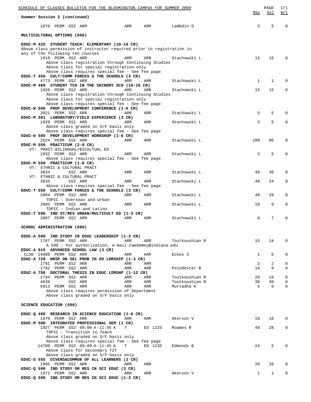| <u>SCHEDULE OF CLASSES BULLETIN FOR THE BLOOMINGTON CAMPUS FOR SUMMER 2009</u>                                            |            |            |                                  |              |              | 171              |
|---------------------------------------------------------------------------------------------------------------------------|------------|------------|----------------------------------|--------------|--------------|------------------|
| Summer Session 2 (continued)                                                                                              | Max        | Avl        | W/L                              |              |              |                  |
| 1870 PERM SS2 ARR                                                                                                         | ARR        | ARR        | Lambdin D                        | 5            | 5            | $\mathbf 0$      |
| MULTICULTURAL OPTIONS (660)                                                                                               |            |            |                                  |              |              |                  |
| EDUC-M 425 STUDENT TEACH: ELEMENTARY (10-16 CR)<br>Above class permission of instructor required prior to registration in |            |            |                                  |              |              |                  |
| any of the following ten courses                                                                                          |            |            |                                  |              |              |                  |
| 1918 PERM SS2 ARR<br>Above class registration through Continuing Studies                                                  | ARR        | ARR        | Stachowski L                     | 15           | 15           | $\Omega$         |
| Above class for special registration only                                                                                 |            |            |                                  |              |              |                  |
| Above class requires special fee - See fee page<br>EDUC-T 450 CULT/COMM FORCES & THE SCHOOLS (3 CR)                       |            |            |                                  |              |              |                  |
| 4773 PERM SS2 ARR                                                                                                         | ARR        | ARR        | Stachowski L                     | $\mathbf{1}$ | $\mathbf{1}$ | $\Omega$         |
| EDUC-M 480 STUDENT TCH IN THE SECNDRY SCH (10-16 CR)<br>1926 PERM SS2 ARR                                                 | ARR        | ARR        | Stachowski L                     | 15           | 15           | $\mathbf 0$      |
| Above class registration through Continuing Studies                                                                       |            |            |                                  |              |              |                  |
| Above class for special registration only<br>Above class requires special fee - See fee page                              |            |            |                                  |              |              |                  |
| EDUC-W 500 PROF DEVELOPMENT CONFERENCE (1-6 CR)                                                                           |            |            |                                  |              |              |                  |
| 2021 PERM SS2 ARR<br>EDUC-M 501 LABORATORY/FIELD EXPERIENCE (3 CR)                                                        | ARR        | ARR        | Stachowski L                     | 5            | 5            | $\Omega$         |
| 1929 PERM SS2 ARR                                                                                                         | ARR        | ARR        | Stachowski L                     | 5            | 5            | $\mathbf 0$      |
| Above class graded on S/F basis only                                                                                      |            |            |                                  |              |              |                  |
| Above class requires special fee - See fee page<br>EDUC-W 505 PROF DEVELOPMENT WORKSHOP (1-6 CR)                          |            |            |                                  |              |              |                  |
| 2024 PERM SS2 ARR                                                                                                         | ARR        | ARR        | Stachowski L                     | 100          | 86           | 0                |
| EDUC-M 550 PRACTICUM (2-8 CR)<br>VT: PRACT: BILINGUAL/BICULTUAL ED                                                        |            |            |                                  |              |              |                  |
| 1932 PERM SS2 ARR                                                                                                         | ARR        | ARR        | Stachowski L                     | 5            | 5            | $\Omega$         |
| Above class requires special fee - See fee page                                                                           |            |            |                                  |              |              |                  |
| EDUC-M 550 PRACTICUM (1-8 CR)<br>VT: ETHNIC & CULTURAL PRACT                                                              |            |            |                                  |              |              |                  |
| 3834<br>SS2 ARR                                                                                                           | ARR        | ARR        | Stachowski L                     | 40           | 36           | 0                |
| VT: ETHNIC & CULTURAL PRACT<br>3835<br>SS2 ARR                                                                            | ARR        | ARR        | Stachowski L                     | 40           | 24           | 0                |
| Above class requires special fee - See fee page                                                                           |            |            |                                  |              |              |                  |
| EDUC-T 550 CULT/COMM FORCES & THE SCHOOLS (3 CR)<br>2004 PERM SS2 ARR                                                     | ARR        | ARR        | Stachowski L                     | 40           | 29           | 0                |
| TOPIC: Overseas and Urban                                                                                                 |            |            |                                  |              |              |                  |
| 2005 PERM SS2 ARR                                                                                                         | ARR        | ARR        | Stachowski L                     | 10           | 9            | 0                |
| TOPIC: Indian and Latino<br>EDUC-T 590 IND ST/RES URBAN/MULTICULT ED (1-3 CR)                                             |            |            |                                  |              |              |                  |
| 2007 PERM SS2 ARR                                                                                                         | ARR        | ARR        | Stachowski L                     | 8            | 7            | $\Omega$         |
| SCHOOL ADMINISTRATION (680)                                                                                               |            |            |                                  |              |              |                  |
| EDUC-A 590 IND STUDY IN EDUC LEADERSHIP (1-3 CR)                                                                          |            |            |                                  |              |              |                  |
| 1787 PERM SS2 ARR                                                                                                         | ARR        | ARR        | Toutkoushian R                   | 15           | 14           | $\mathbf 0$      |
| A 590 : For authorization, e-mail cwedemey@indiana.edu<br>EDUC-A 615 ADVANCED SCHOOL LAW (3 CR)                           |            |            |                                  |              |              |                  |
| CLSD 14988 PERM SS2 ARR                                                                                                   | ARR        | ARR        | Eckes S                          | $\mathbf{1}$ | $\mathbf 0$  | 0                |
| EDUC-A 720 WKSP ON SEL PROB IN ED LDRSHIP (1-3 CR)<br>1791 PERM SS2 ARR                                                   | ARR        | ARR        |                                  | 2            | 2            | $\mathbf 0$      |
| 1792 PERM SS2 ARR                                                                                                         | ARR        | ARR        | Poindexter B                     | 10           | 9            | $\mathbf 0$      |
| EDUC-A 799 DOCTORAL THESIS IN EDUC LDRSHP (1-12 CR)                                                                       |            |            |                                  |              |              |                  |
| 1794 PERM SS2 ARR<br>4639<br>SS2 ARR                                                                                      | ARR<br>ARR | ARR<br>ARR | Toutkoushian R<br>Toutkoushian R | 20<br>30     | 19<br>30     | $\mathbf 0$<br>0 |
| 5013 PERM SS2 ARR                                                                                                         | ARR        | ARR        | Murtadha K                       | 5            | 5            | $\mathbf 0$      |
| Above class requires permission of Department<br>Above class graded on S/F basis only                                     |            |            |                                  |              |              |                  |
| <b>SCIENCE EDUCATION (690)</b>                                                                                            |            |            |                                  |              |              |                  |
|                                                                                                                           |            |            |                                  |              |              |                  |
| EDUC-Q 490 RESEARCH IN SCIENCE EDUCATION (1-6 CR)<br>1970 PERM SS2 ARR                                                    | ARR        | ARR        | Akerson V                        | 10           | 10           | 0                |
| EDUC-M 500 INTEGRATED PROFESSIONAL SEM (1 CR)                                                                             |            |            |                                  |              |              |                  |
| 1927 PERM SS2 09:00 A-11:45 A<br>TOPIC : Transition to Teach                                                              | T          | ED 1225    | Roames R                         | 48           | 28           | $\mathbf 0$      |
| Above class graded on S/F basis only                                                                                      |            |            |                                  |              |              |                  |
| Above class requires special fee - See fee page<br>14700 PERM SS2 09:00 A-11:45 A                                         | T.         | ED 1235    | Edmonds B                        | 24           | 5            | $\mathbf 0$      |
| Above class for Secondary T2T                                                                                             |            |            |                                  |              |              |                  |
| Above class graded on S/F basis only                                                                                      |            |            |                                  |              |              |                  |
| EDUC-S 555 DIVERS&COMMUN OF ALL LEARNERS (2 CR)<br>1995 PERM SS2 ARR                                                      | ARR        | ARR        |                                  | 26           | 26           | 0                |
| EDUC-Q 590 IND STUDY OR RES IN SCI EDUC (3 CR)                                                                            |            |            |                                  |              |              |                  |
| 1971 PERM SS2 ARR<br>EDUC-Q 590 IND STUDY OR RES IN SCI EDUC (1-3 CR)                                                     | ARR        | ARR        | Akerson V                        | 1            | $\mathbf{1}$ | $\mathbf 0$      |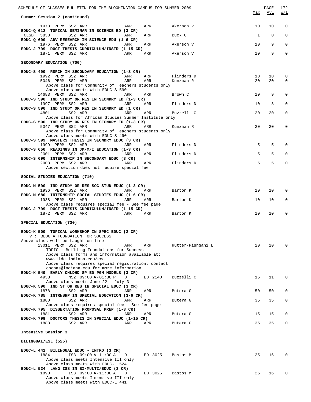| SCHEDULE OF CLASSES BULLETIN FOR THE BLOOMINGTON CAMPUS FOR SUMMER 2009                          |            |                         |              | PAGE        | 172          |
|--------------------------------------------------------------------------------------------------|------------|-------------------------|--------------|-------------|--------------|
| Summer Session 2 (continued)                                                                     |            |                         | Max          | <u>Avl</u>  | <u>W/L</u>   |
| 1973 PERM SS2 ARR<br>ARR<br>EDUC-Q 612 TOPICAL SEMINAR IN SCIENCE ED (3 CR)                      | ARR        | Akerson V               | 10           | 10          | $\mathbf 0$  |
| CLSD 5838<br>SS2 ARR<br>ARR<br>EDUC-Q 690 ADV RESEARCH IN SCIENCE EDU (1-6 CR)                   | ARR        | Buck G                  | $\mathbf{1}$ | $\mathbf 0$ | $\mathbf 0$  |
| 1976 PERM SS2 ARR<br>ARR<br>EDUC-J 799 DOCT THESIS-CURRICULUM/INSTR (1-15 CR)                    | ARR        | Akerson V               | 10           | 9           | $\mathbf{0}$ |
| 1871 PERM SS2 ARR<br>ARR                                                                         | ARR        | Akerson V               | 10           | 9           | $\mathbf 0$  |
| SECONDARY EDUCATION (700)                                                                        |            |                         |              |             |              |
| EDUC-S 490 RSRCH IN SECONDARY EDUCATION (1-3 CR)<br>1992 PERM SS2 ARR                            |            |                         |              |             |              |
| ARR<br>5046 PERM SS2 ARR<br>ARR                                                                  | ARR<br>ARR | Flinders D<br>Kunzman R | 10<br>20     | 10<br>20    | 0<br>0       |
| Above class for Community of Teachers students only<br>Above class meets with EDUC-S 590         |            |                         |              |             |              |
| 14683 PERM SS2 ARR<br>ARR<br>EDUC-S 590 IND STUDY OR RES IN SECNDRY ED (1-3 CR)                  | ARR        | Brown C                 | 10           | 9           | $\mathbf 0$  |
| 1997 PERM SS2 ARR<br>ARR                                                                         | ARR        | Flinders D              | 10           | 8           | 0            |
| EDUC-S 590 IND STUDY OR RES IN SECNDRY ED (1 CR)<br>4801<br>SS2 ARR<br>ARR                       | ARR        | Buzzelli C              | 20           | 20          | $\mathbf 0$  |
| Above class for African Studies Summer Institute only                                            |            |                         |              |             |              |
| EDUC-S 590 IND STUDY OR RES IN SECNDRY ED (1-3 CR)<br>5047 PERM SS2 ARR<br>ARR                   | ARR        | Kunzman R               | 20           | 20          | 0            |
| Above class for Community of Teachers students only                                              |            |                         |              |             |              |
| Above class meets with EDUC-S 490<br>EDUC-S 599 MASTERS THESIS IN SECNDRY EDUC (3 CR)            |            |                         |              |             |              |
| 1999 PERM SS2 ARR<br><b>Example 2018</b> ARR<br>EDUC-S 650 READINGS IN JM/M/I EDUCATION (1-3 CR) | ARR        | Flinders D              | 5            | 5           | $\Omega$     |
| 2001 PERM SS2 ARR<br>ARR                                                                         | ARR        | Flinders D              | 5            | 5           | $\Omega$     |
| EDUC-S 690 INTERNSHIP IN SECONDARY EDUC (3 CR)<br>2003 PERM SS2 ARR<br><b>Example 2018</b> ARR   | ARR        | Flinders D              | 5            | 5           | $\mathbf 0$  |
| Above section does not require special fee                                                       |            |                         |              |             |              |
| SOCIAL STUDIES EDUCATION (710)                                                                   |            |                         |              |             |              |
| EDUC-M 590 IND STUDY OR RES SOC STUD EDUC (1-3 CR)                                               |            |                         |              |             |              |
| 1936 PERM SS2 ARR<br>ARR<br>EDUC-M 680 INTERNSHIP SOCIAL STUDIES EDUC (1-6 CR)                   | ARR        | Barton K                | 10           | 10          | $\mathbf{0}$ |
| 1938 PERM SS2 ARR<br>ARR<br>Above class requires special fee - See fee page                      | ARR        | Barton K                | 10           | 10          | 0            |
| EDUC-J 799 DOCT THESIS-CURRICULUM/INSTR (1-15 CR)<br>1872 PERM SS2 ARR<br><b>Example 20</b> ARR  | ARR        | Barton K                | 10           | 10          | $\mathbf 0$  |
| SPECIAL EDUCATION (730)                                                                          |            |                         |              |             |              |
| EDUC-K 500 TOPICAL WORKSHOP IN SPEC EDUC (2 CR)<br>VT: BLDG A FOUNDATION FOR SUCCESS             |            |                         |              |             |              |
| Above class will be taught on-line<br>13011 PERM SS2 ARR<br>ARR                                  | ARR        | Hutter-Pishgahi L       | 20           | 20          | $\Omega$     |
| TOPIC: Building Foundations for Success<br>Above class forms and information available at:       |            |                         |              |             |              |
| www.iidc.indiana.edu/ecc<br>Above class requires special registration; contact                   |            |                         |              |             |              |
| cnonas@indiana.edu for more information<br>EDUC-K 549 EARLY CHLDHD SP ED PGM MODELS (3 CR)       |            |                         |              |             |              |
| 4933<br>NS2 09:00 A-01:30 P<br>D<br>Above class meets June 22 - July 3                           | ED 2140    | Buzzelli C              | 15           | 11          | 0            |
| EDUC-K 590 IND ST OR RES IN SPECIAL EDUC (3 CR)                                                  |            |                         |              |             |              |
| 1878<br>SS2 ARR<br>ARR<br>EDUC-K 785 INTRNSHP IN SPECIAL EDUCATION (3-6 CR)                      | ARR        | Butera G                | 50           | 50          | 0            |
| 1880<br>SS2 ARR<br>ARR<br>Above class requires special fee - See fee page                        | ARR        | Butera G                | 35           | 35          | 0            |
| EDUC-K 795 DISSERTATION PROPOSAL PREP (1-3 CR)<br>1881<br>SS2 ARR<br>ARR                         | ARR        | Butera G                | 15           | 15          | 0            |
| EDUC-K 799 DOCTORS THESIS IN SPECIAL EDUC (1-15 CR)<br>1883<br>SS2 ARR<br>ARR                    | ARR        | Butera G                | 35           | 35          | $\mathbf{0}$ |
| Intensive Session 3                                                                              |            |                         |              |             |              |
| BILINGUAL/ESL (525)                                                                              |            |                         |              |             |              |
| EDUC-L 441 BILINGUAL EDUC - INTRO (3 CR)                                                         |            |                         |              |             |              |
| 1884<br>IS3 09:00 A-11:00 A<br>D<br>Above class meets Intensive III only                         | ED 3025    | Bastos M                | 25           | 16          | 0            |
| Above class meets with EDUC-L 524<br>EDUC-L 524 LANG ISS IN BI/MULTI/EDUC (3 CR)                 |            |                         |              |             |              |
| 1890<br>IS3 09:00 A-11:00 A<br>D<br>Above class meets Intensive III only                         | ED 3025    | Bastos M                | 25           | 16          | 0            |
| Above class meets with EDUC-L 441                                                                |            |                         |              |             |              |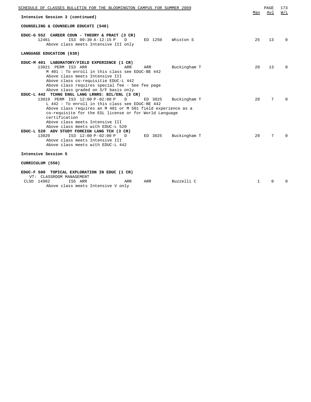| SCHEDULE OF CLASSES BULLETIN FOR THE BLOOMINGTON CAMPUS FOR SUMMER 2009                                                                                                                                                                                                                                                                                 |              | PAGE   | 173<br>W/L |
|---------------------------------------------------------------------------------------------------------------------------------------------------------------------------------------------------------------------------------------------------------------------------------------------------------------------------------------------------------|--------------|--------|------------|
| Intensive Session 3 (continued)                                                                                                                                                                                                                                                                                                                         | Max          | Avl    |            |
| COUNSELING & COUNSELOR EDUCATI (540)                                                                                                                                                                                                                                                                                                                    |              |        |            |
| EDUC-G 552 CAREER COUN - THEORY & PRACT (3 CR)<br>12461<br>IS3 09:30 A-12:15 P<br>ED 1250<br>Whiston S<br>$\Box$<br>Above class meets Intensive III only                                                                                                                                                                                                | 2.5          | 13     | $\Omega$   |
| LANGUAGE EDUCATION (630)                                                                                                                                                                                                                                                                                                                                |              |        |            |
| EDUC-M 401 LABORATORY/FIELD EXPERIENCE (1 CR)<br>13021 PERM IS3 ARR<br>ARR<br>Buckingham T<br>ARR<br>M 401: To enroll in this class see EDUC-BE 442<br>Above class meets Intensive III<br>Above class co-requisitie EDUC-L 442<br>Above class requires special fee - See fee page                                                                       | $20^{\circ}$ | 13     | $\Omega$   |
| Above class graded on S/F basis only<br>EDUC-L 442 TCHNG ENGL LANG LRNRS: BIL/ENL (3 CR)<br>13019 PERM IS3 12:00 P-02:00 P<br>ED 3025<br>D<br>Buckingham T<br>L 442: To enroll in this class see EDUC-BE 442<br>Above class requires an M 401 or M 501 field experience as a<br>co-requisite for the ESL license or for World Language<br>certification | 20           | 7      | $\Omega$   |
| Above class meets Intensive III<br>Above class meets with EDUC-L 520<br>EDUC-L 520 ADV STUDY FOREIGN LANG TCH (3 CR)<br>IS3 12:00 P-02:00 P<br>13020<br>ED 3025<br>Buckingham T<br>$\Box$<br>Above class meets Intensive III<br>Above class meets with EDUC-L 442                                                                                       | 20           | 7      | $\Omega$   |
| Intensive Session 5                                                                                                                                                                                                                                                                                                                                     |              |        |            |
| CURRICULUM (550)                                                                                                                                                                                                                                                                                                                                        |              |        |            |
| EDUC-F 500 TOPICAL EXPLORATION IN EDUC (1 CR)<br>VT: CLASSROOM MANAGEMENT<br>$GFAD = 14000$ $TGF = 3DP$<br>$\mathbf{z}$<br>$B = -111$<br>$\overline{z}$                                                                                                                                                                                                 |              | $\sim$ |            |

| CLSD 14982 | IS5 ARR | ARR                                | ARR | Buzzelli C |  |  |
|------------|---------|------------------------------------|-----|------------|--|--|
|            |         | Above class meets Intensive V only |     |            |  |  |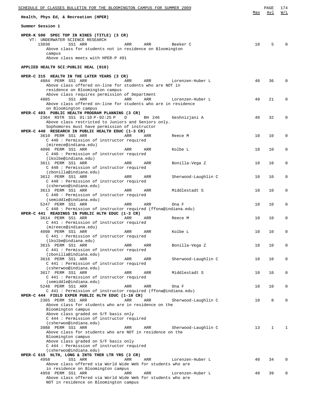| SCHEDULE OF CLASSES BULLETIN FOR THE BLOOMINGTON CAMPUS FOR SUMMER 2009                                              |    |    |              |  |  |
|----------------------------------------------------------------------------------------------------------------------|----|----|--------------|--|--|
| Health, Phys Ed, & Recreation (HPER)                                                                                 |    |    |              |  |  |
| Summer Session 1                                                                                                     |    |    |              |  |  |
| HPER-K 500 SPEC TOP IN KINES (TITLE) (3 CR)<br>VT: UNDERWATER SCIENCE RESEARCH                                       |    |    |              |  |  |
| 13030<br>SS1 ARR<br>ARR<br>Beeker C<br>ARR                                                                           | 10 | 5  | $\Omega$     |  |  |
| Above class for students not in residence on Bloomington<br>campus                                                   |    |    |              |  |  |
| Above class meets with HPER-P 491                                                                                    |    |    |              |  |  |
| APPLIED HEALTH SCI: PUBLIC HEAL (010)                                                                                |    |    |              |  |  |
| HPER-C 315 HEALTH IN THE LATER YEARS (3 CR)                                                                          |    |    |              |  |  |
| 4884 PERM SS1 ARR<br>ARR<br>Lorenzen-Huber L<br>ARR<br>Above class offered on-line for students who are NOT in       | 40 | 36 | $\Omega$     |  |  |
| residence on Bloomington campus                                                                                      |    |    |              |  |  |
| Above class requires permission of Department<br>4885<br>SS1 ARR<br>ARR<br>ARR<br>Lorenzen-Huber L                   | 40 | 21 | $\Omega$     |  |  |
| Above class offered on-line for students who are in residence<br>on Bloomington campus                               |    |    |              |  |  |
| HPER-C 403 PUBLIC HEALTH PROGRAM PLANNING (3 CR)                                                                     |    |    |              |  |  |
| 2364 RSTR SS1 01:10 P-02:25 P<br>D<br>BH 246<br>Geshnizjani A<br>Above class restricted to Juniors and Seniors only. | 40 | 32 | $\Omega$     |  |  |
| Sophomores must have permission of instructor                                                                        |    |    |              |  |  |
| HPER-C 440 RESEARCH IN PUBLIC HEALTH EDUC (1-3 CR)<br>3610 PERM SS1 ARR<br>ARR<br>ARR<br>Reece M                     | 10 | 10 | 0            |  |  |
| C 440: Permission of instructor required<br>(mireece@indiana.edu)                                                    |    |    |              |  |  |
| 4096 PERM SS1 ARR<br>Kolbe L<br>ARR<br>ARR                                                                           | 10 | 10 | 0            |  |  |
| C 440 : Permission of instructor required<br>(lkolbe@indiana.edu)                                                    |    |    |              |  |  |
| 3611 PERM SS1 ARR<br>ARR<br>ARR<br>Bonilla-Vega Z                                                                    | 10 | 10 | 0            |  |  |
| C 440 : Permission of instructor required<br>(zbonilla@indiana.edu)                                                  |    |    |              |  |  |
| 3612 PERM SS1 ARR<br>ARR<br>Sherwood-Laughlin C<br>ARR<br>C 440: Permission of instructor required                   | 10 | 10 | 0            |  |  |
| (csherwoo@indiana.edu)                                                                                               |    |    |              |  |  |
| 3613 PERM SS1 ARR<br>ARR<br>Middlestadt S<br>ARR<br>C 440: Permission of instructor required                         | 10 | 10 | 0            |  |  |
| (semiddle@indiana.edu)                                                                                               |    |    |              |  |  |
| 5247 PERM SS1 ARR<br>ARR<br>ARR<br>Ona F<br>C 440: Permission of instructor required (ffona@indiana.edu)             | 10 | 10 | $\mathbf 0$  |  |  |
| HPER-C 441 READINGS IN PUBLIC HLTH EDUC (1-3 CR)<br>3614 PERM SS1 ARR<br>ARR<br>ARR<br>Reece M                       | 10 | 10 | 0            |  |  |
| C 441 : Permission of instructor required                                                                            |    |    |              |  |  |
| (mireece@indiana.edu)<br>4098 PERM SS1 ARR<br>ARR<br>ARR<br>Kolbe L                                                  | 10 | 10 | <sup>n</sup> |  |  |
| C 441 : Permission of instructor required<br>(lkolbe@indiana.edu)                                                    |    |    |              |  |  |
| 3615 PERM SS1 ARR<br>Bonilla-Vega Z<br>ARR<br>ARR                                                                    | 10 | 10 | 0            |  |  |
| C 441 : Permission of instructor required<br>(zbonilla@indiana.edu)                                                  |    |    |              |  |  |
| 3616 PERM SS1 ARR<br>Sherwood-Laughlin C<br>ARR<br>ARR                                                               | 10 | 10 | 0            |  |  |
| C 441 : Permission of instructor required<br>(csherwoo@indiana.edu)                                                  |    |    |              |  |  |
| 3617 PERM SS1 ARR<br>Middlestadt S<br>ARR<br>ARR<br>C 441 : Permission of instructor required                        | 10 | 10 | 0            |  |  |
| (semiddle@indiana.edu)                                                                                               |    |    |              |  |  |
| 5248 PERM SS1 ARR<br>ARR<br>ARR<br>Ona F<br>C 441 : Permission of instructor required (ffona@indiana.edu)            | 10 | 10 | 0            |  |  |
| HPER-C 444 FIELD EXPER PUBLIC HLTH EDUC (1-10 CR)                                                                    |    |    |              |  |  |
| 2365 PERM SS1 ARR<br>ARR<br>Sherwood-Laughlin C<br>ARR<br>Above class for students who are in residence on the       | 10 | 8  | 0            |  |  |
| Bloomington campus<br>Above class graded on S/F basis only                                                           |    |    |              |  |  |
| C 444 : Permission of instructor required                                                                            |    |    |              |  |  |
| (csherwoo@indiana.edu)<br>3988 PERM SS1 ARR<br>Sherwood-Laughlin C<br>ARR<br>ARR                                     | 13 | 1  | 1            |  |  |
| Above class for students who are NOT in residence on the                                                             |    |    |              |  |  |
| Bloomington campus<br>Above class graded on S/F basis only                                                           |    |    |              |  |  |
| C 444 : Permission of instructor required<br>(csherwoo@indiana.edu)                                                  |    |    |              |  |  |
| HPER-C 615 HLTH, LONG & INTG THER LTR YRS (3 CR)                                                                     |    |    |              |  |  |
| 4958<br>SS1 ARR<br>ARR<br>ARR<br>Lorenzen-Huber L<br>Above class offered via World Wide Web for students who are     | 40 | 34 | 0            |  |  |
| in residence on Bloomington campus                                                                                   |    |    |              |  |  |
| 4959 PERM SS1 ARR<br>Lorenzen-Huber L<br>ARR<br>ARR<br>Above class offered via World Wide Web for students who are   | 40 | 39 | 0            |  |  |
| NOT in residence on Bloomington campus                                                                               |    |    |              |  |  |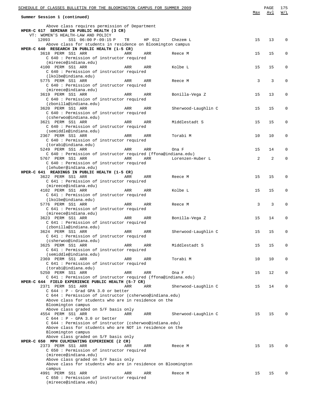| SCHEDULE OF CLASSES BULLETIN FOR THE BLOOMINGTON CAMPUS FOR SUMMER 2009                                                                                                                                                                                  | Max | PAGE<br>Avl    | 175<br>W/L |  |  |  |
|----------------------------------------------------------------------------------------------------------------------------------------------------------------------------------------------------------------------------------------------------------|-----|----------------|------------|--|--|--|
| Summer Session 1 (continued)                                                                                                                                                                                                                             |     |                |            |  |  |  |
| Above class requires permission of Department<br>HPER-C 617 SEMINAR IN PUBLIC HEALTH (3 CR)                                                                                                                                                              |     |                |            |  |  |  |
| VT: WOMEN'S HEALTH-LAW AND POLICY<br>12093<br>SS1 06:00 P-09:15 P<br>HP 012<br>TR<br>Chezem L<br>Above class for students in residence on Bloomington campus                                                                                             | 15  | 13             | 0          |  |  |  |
| HPER-C 640 RESEARCH IN PUBLIC HEALTH (1-5 CR)<br>3618 PERM SS1 ARR<br>ARR<br>ARR<br>Reece M<br>C 640 : Permission of instructor required                                                                                                                 | 15  | 15             | 0          |  |  |  |
| (mireece@indiana.edu)<br>4100 PERM SS1 ARR<br>Kolbe L<br>ARR<br>ARR<br>C 640 : Permission of instructor required                                                                                                                                         | 15  | 15             | 0          |  |  |  |
| (lkolbe@indiana.edu)<br>5775 PERM SS1 ARR<br>ARR<br>ARR<br>Reece M<br>C 640 : Permission of instructor required                                                                                                                                          | 3   | 3              | 0          |  |  |  |
| (mireece@indiana.edu)<br>3619 PERM SS1 ARR<br>ARR<br>ARR<br>Bonilla-Vega Z<br>C 640 : Permission of instructor required                                                                                                                                  | 15  | 13             | 0          |  |  |  |
| (zbonilla@indiana.edu)<br>3620 PERM SS1 ARR<br>Sherwood-Laughlin C<br>ARR<br>ARR<br>C 640 : Permission of instructor required                                                                                                                            | 15  | 15             | 0          |  |  |  |
| (csherwoo@indiana.edu)<br>3621 PERM SS1 ARR<br>Middlestadt S<br>ARR<br>ARR                                                                                                                                                                               | 15  | 15             | 0          |  |  |  |
| C 640 : Permission of instructor required<br>(semiddle@indiana.edu)<br>2367 PERM SS1 ARR<br>Torabi M<br>ARR<br>ARR                                                                                                                                       | 10  | 10             | 0          |  |  |  |
| C 640 : Permission of instructor required<br>(torabi@indiana.edu)<br>5249 PERM SS1 ARR<br>ARR<br>ARR<br>Ona F                                                                                                                                            | 15  | 14             | 0          |  |  |  |
| C 640: Permission of instructor required (ffona@indiana.edu)<br>5767 PERM SS1 ARR<br>ARR<br>Lorenzen-Huber L<br>ARR<br>C 640 : Permission of instructor required                                                                                         | 2   | $\overline{a}$ | 0          |  |  |  |
| (lehuber@indiana.edu)<br>HPER-C 641 READINGS IN PUBLIC HEALTH (1-5 CR)<br>3622 PERM SS1 ARR<br>ARR<br>ARR<br>Reece M                                                                                                                                     | 15  | 15             | 0          |  |  |  |
| C 641 : Permission of instructor required<br>(mireece@indiana.edu)<br>4102 PERM SS1 ARR<br>Kolbe L<br>ARR<br>ARR                                                                                                                                         | 15  | 15             | 0          |  |  |  |
| C 641 : Permission of instructor required<br>(lkolbe@indiana.edu)<br>5776 PERM SS1 ARR<br>ARR<br>ARR<br>Reece M                                                                                                                                          | 3   | 3              | 0          |  |  |  |
| C 641 : Permission of instructor required<br>(mireece@indiana.edu)<br>3623 PERM SS1 ARR<br>Bonilla-Vega Z<br>ARR<br>ARR                                                                                                                                  | 15  | 14             | 0          |  |  |  |
| C 641 : Permission of instructor required<br>(zbonilla@indiana.edu)<br>3624 PERM SS1 ARR<br>ARR<br>ARR<br>Sherwood-Laughlin C                                                                                                                            | 15  | 15             |            |  |  |  |
| C 641 : Permission of instructor required<br>(csherwoo@indiana.edu)<br>3625 PERM SS1 ARR<br>Middlestadt S<br>ARR<br>ARR                                                                                                                                  | 15  | 15             | 0          |  |  |  |
| C 641 : Permission of instructor required<br>(semiddle@indiana.edu)<br>2369 PERM SS1 ARR<br>Torabi M<br>ARR<br>ARR                                                                                                                                       | 10  | 10             | 0          |  |  |  |
| C 641 : Permission of instructor required<br>(torabi@indiana.edu)<br>5250 PERM SS1 ARR<br>ARR<br>ARR<br>Ona F                                                                                                                                            | 15  | 12             | 0          |  |  |  |
| C 641 : Permission of instructor required (ffona@indiana.edu)<br>HPER-C 644 FIELD EXPERIENCE PUBLIC HEALTH (5-7 CR)<br>2371 PERM SS1 ARR<br>Sherwood-Laughlin C<br>ARR<br>ARR                                                                            | 15  | 14             | 0          |  |  |  |
| $C$ 644 : P - Grad GPA 3.0 or better<br>C 644 : Permission of instructor (csherwoo@indiana.edu)<br>Above class for students who are in residence on the<br>Bloomington campus                                                                            |     |                |            |  |  |  |
| Above class graded on S/F basis only<br>4554 PERM SS1 ARR<br>Sherwood-Laughlin C<br>ARR<br>ARR<br>$C$ 644 : P - GPA 3.0 or better<br>C 644 : Permission of instructor (csherwoo@indiana.edu)<br>Above class for students who are NOT in residence on the | 15  | 15             | 0          |  |  |  |
| Bloomington campus<br>Above class graded on S/F basis only<br>HPER-C 650 MPH CULMINATING EXPERIENCE (2 CR)<br>2373 PERM SS1 ARR<br>ARR<br>ARR<br>Reece M                                                                                                 | 15  | 15             | 0          |  |  |  |
| C 650: Permission of instructor required<br>(mireece@indiana.edu)<br>Above class graded on S/F basis only<br>Above class for students who are in residence on Bloomington                                                                                |     |                |            |  |  |  |
| campus<br>4991 PERM SS1 ARR<br>ARR<br>ARR<br>Reece M<br>C 650 : Permission of instructor required<br>(mireece@indiana.edu)                                                                                                                               | 15  | 15             | 0          |  |  |  |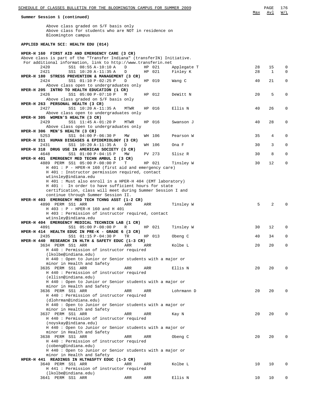#### **Summer Session 1 (continued)**

Above class graded on S/F basis only Above class for students who are NOT in residence on Bloomington campus

### **APPLIED HEALTH SCI: HEALTH EDU (014)**

| HPER-H 160 FIRST AID AND EMERGENCY CARE (3 CR)                                                                    |        |     |                  |                         |          |         |                            |
|-------------------------------------------------------------------------------------------------------------------|--------|-----|------------------|-------------------------|----------|---------|----------------------------|
| Above class is part of the "Transfer Indiana" (transferIN) Initiative.                                            |        |     |                  |                         |          |         |                            |
| For additional information, link to http://www.transferin.net                                                     |        |     |                  |                         |          |         |                            |
| 2420<br>SS1 08:55 A-10:10 A<br>2421<br>SS1 10:20 A-11:35 A                                                        | D<br>D |     | HP 021<br>HP 021 | Applegate T<br>Finley K | 28<br>28 | 15<br>1 | $\mathbf 0$<br>$\mathbf 0$ |
| HPER-H 180 STRESS PREVENTION & MANAGEMENT (3 CR)                                                                  |        |     |                  |                         |          |         |                            |
| 2424<br>SS1 01:10 P-02:25 P                                                                                       | D      |     | HP 019           | Wang C                  | 40       | 21      | 0                          |
| Above class open to undergraduates only                                                                           |        |     |                  |                         |          |         |                            |
| HPER-H 205 INTRO TO HEALTH EDUCATION (1 CR)                                                                       |        |     |                  |                         |          |         |                            |
| SS1 05:00 P-07:10 P<br>2426                                                                                       | М      |     | HP 012           | DeWitt N                | 20       | 5       | $\mathbf 0$                |
| Above class graded on S/F basis only                                                                              |        |     |                  |                         |          |         |                            |
| HPER-H 263 PERSONAL HEALTH (3 CR)<br>2427                                                                         |        |     | HP 016           |                         | 40       |         | 0                          |
| SS1 10:20 A-11:35 A<br>Above class open to undergraduates only                                                    | MTWR   |     |                  | Ellis N                 |          | 26      |                            |
| HPER-H 305 WOMEN'S HEALTH (3 CR)                                                                                  |        |     |                  |                         |          |         |                            |
| 2429<br>SS1 11:45 A-01:20 P                                                                                       | MTWR   |     | HP 016           | Swanson J               | 40       | 28      | 0                          |
| Above class open to undergraduates only                                                                           |        |     |                  |                         |          |         |                            |
| HPER-H 306 MEN'S HEALTH (3 CR)                                                                                    |        |     |                  |                         |          |         |                            |
| 5253<br>SS1 04:00 P-06:30 P                                                                                       | MM     |     | WH 106           | Pearson W               | 35       | 4       | 0                          |
| HPER-H 311 HUMAN DISEASES & EPIDEMIOLOGY (3 CR)                                                                   |        |     |                  |                         |          |         |                            |
| 2431<br>SS1 10:20 A-11:35 A                                                                                       | D      |     | WH 106           | Ona F                   | 30       | 3       | 0                          |
| HPER-H 318 DRUG USE IN AMERICAN SOCIETY (3 CR)<br>4648<br>SS1 01:00 P-04:15 P                                     | MW     |     | PV 273           | Slisz R                 | 30       | 8       | $\mathbf 0$                |
| HPER-H 401 EMERGENCY MED TECHN AMBUL I (3 CR)                                                                     |        |     |                  |                         |          |         |                            |
| 4889 PERM SS1 05:00 P-08:00 P                                                                                     | т      |     | HP 021           | Tinsley W               | 30       | 12      | $\mathbf 0$                |
| H 401 : P - HPER-H 160 (first aid and emergency care)                                                             |        |     |                  |                         |          |         |                            |
| H 401 : Instructor permission required, contact                                                                   |        |     |                  |                         |          |         |                            |
| wtinsley@indiana.edu                                                                                              |        |     |                  |                         |          |         |                            |
| H 401 : Must also enroll in a HPER-H 404 (EMT laboratory)                                                         |        |     |                  |                         |          |         |                            |
| H 401 : In order to have sufficient hours for state<br>certification, class will meet during Summer Session I and |        |     |                  |                         |          |         |                            |
| continue through Summer Session II.                                                                               |        |     |                  |                         |          |         |                            |
| HPER-H 403 EMERGENCY MED TECH TCHNG ASST (1-2 CR)                                                                 |        |     |                  |                         |          |         |                            |
| 4890 PERM SS1 ARR                                                                                                 | ARR    | ARR |                  | Tinsley W               | 5        | 2       |                            |
| H 403 : P - HPER-H 160 and H 401                                                                                  |        |     |                  |                         |          |         |                            |
| H 403 : Permission of instructor required, contact                                                                |        |     |                  |                         |          |         |                            |
| wtinsley@indiana.edu                                                                                              |        |     |                  |                         |          |         |                            |
| HPER-H 404 EMERGENCY MEDICAL TECHNICN LAB (1 CR)                                                                  |        |     |                  |                         | 30       |         | 0                          |
| SS1 05:00 P-08:00 P<br>4891<br>HPER-H 414 HEALTH EDUC IN PRE-K - GRADE 6 (3 CR)                                   | R      |     | HP 021           | Tinsley W               |          | 12      |                            |
| 2435<br>SS1 01:15 P-04:30 P                                                                                       | TR     |     | HP 013           | Obeng C                 | 40       | 34      | 0                          |
| HPER-H 440 RESEARCH IN HLTH & SAFETY EDUC (1-3 CR)                                                                |        |     |                  |                         |          |         |                            |
| 3634 PERM SS1 ARR                                                                                                 | ARR    | ARR |                  | Kolbe L                 | 20       | 20      | 0                          |
| H 440 : Permission of instructor required                                                                         |        |     |                  |                         |          |         |                            |
| (lkolbe@indiana.edu)                                                                                              |        |     |                  |                         |          |         |                            |
| H 440 : Open to Junior or Senior students with a major or                                                         |        |     |                  |                         |          |         |                            |
| minor in Health and Safety<br>3635 PERM SS1 ARR                                                                   | ARR    | ARR |                  | Ellis N                 | 20       | 20      | 0                          |
| H 440 : Permission of instructor required                                                                         |        |     |                  |                         |          |         |                            |
| (ellisn@indiana.edu)                                                                                              |        |     |                  |                         |          |         |                            |
| H 440: Open to Junior or Senior students with a major or                                                          |        |     |                  |                         |          |         |                            |
| minor in Health and Safety                                                                                        |        |     |                  |                         |          |         |                            |
| 3636 PERM SS1 ARR                                                                                                 | ARR    | ARR |                  | Lohrmann D              | 20       | 20      | 0                          |
| H 440 : Permission of instructor required                                                                         |        |     |                  |                         |          |         |                            |
| (dlohrman@indiana.edu)                                                                                            |        |     |                  |                         |          |         |                            |
| H 440 : Open to Junior or Senior students with a major or<br>minor in Health and Safety                           |        |     |                  |                         |          |         |                            |
| 3637 PERM SS1 ARR                                                                                                 | ARR    | ARR |                  | Kay N                   | 20       | 20      | $\Omega$                   |
| H 440 : Permission of instructor required                                                                         |        |     |                  |                         |          |         |                            |
| (noyskay@indiana.edu)                                                                                             |        |     |                  |                         |          |         |                            |
| H 440 : Open to Junior or Senior students with a major or                                                         |        |     |                  |                         |          |         |                            |
| minor in Health and Safety                                                                                        |        |     |                  |                         |          |         |                            |
| 3638 PERM SS1 ARR                                                                                                 | ARR    | ARR |                  | Obeng C                 | 20       | 20      | $\Omega$                   |
| H 440 : Permission of instructor required                                                                         |        |     |                  |                         |          |         |                            |
| (cobeng@indiana.edu)                                                                                              |        |     |                  |                         |          |         |                            |
| H 440 : Open to Junior or Senior students with a major or<br>minor in Health and Safety                           |        |     |                  |                         |          |         |                            |
| HPER-H 441 READINGS IN HLTH&SFTY EDUC (1-3 CR)                                                                    |        |     |                  |                         |          |         |                            |
| 3640 PERM SS1 ARR                                                                                                 | ARR    | ARR |                  | Kolbe L                 | 10       | 10      | 0                          |
| H 441 : Permission of instructor required                                                                         |        |     |                  |                         |          |         |                            |
| (lkolbe@indiana.edu)                                                                                              |        |     |                  |                         |          |         |                            |
| 3641 PERM SS1 ARR                                                                                                 | ARR    | ARR |                  | Ellis N                 | 10       | 10      | 0                          |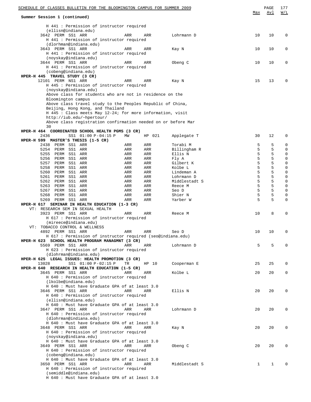| SCHEDULE OF CLASSES BULLETIN FOR THE BLOOMINGTON CAMPUS FOR SUMMER 2009                                         |            |            |                          | Max          | PAGE<br><u>Avl</u> | 177<br>W/L                 |
|-----------------------------------------------------------------------------------------------------------------|------------|------------|--------------------------|--------------|--------------------|----------------------------|
| Summer Session 1 (continued)                                                                                    |            |            |                          |              |                    |                            |
| H 441 : Permission of instructor required<br>(ellisn@indiana.edu)                                               |            |            |                          |              |                    |                            |
| 3642 PERM SS1 ARR<br>H 441 : Permission of instructor required                                                  | ARR        | ARR        | Lohrmann D               | 10           | 10                 | 0                          |
| (dlorhman@indiana.edu)<br>3643 PERM SS1 ARR                                                                     | ARR        | ARR        | Kay N                    | 10           | 10                 | 0                          |
| H 441 : Permission of instructor required<br>(noyskay@indiana.edu)                                              |            |            |                          |              |                    |                            |
| 3644 PERM SS1 ARR                                                                                               | ARR        | ARR        | Obeng C                  | 10           | 10                 | 0                          |
| H 441 : Permission of instructor required<br>(cobeng@indiana.edu)                                               |            |            |                          |              |                    |                            |
| HPER-H 445 TRAVEL STUDY (3 CR)                                                                                  |            |            |                          |              |                    |                            |
| 12101 PERM NS1 ARR<br>H 445 : Permission of instructor required                                                 | ARR        | ARR        | Kay N                    | 15           | 13                 | 0                          |
| (noyskay@indiana.edu)<br>Above class for students who are not in residence on the                               |            |            |                          |              |                    |                            |
| Bloomington campus                                                                                              |            |            |                          |              |                    |                            |
| Above class travel study to the Peoples Republic of China,<br>Beijing, Hong Kong, and Thailand                  |            |            |                          |              |                    |                            |
| $H$ 445 : Class meets May 12-24; for more information, visit                                                    |            |            |                          |              |                    |                            |
| http://iub.edu/~hpertour/<br>Above class registration confirmation needed on or before Mar                      |            |            |                          |              |                    |                            |
| 30                                                                                                              |            |            |                          |              |                    |                            |
| HPER-H 464 COORDINATED SCHOOL HEALTH PGMS (3 CR)<br>SS1 01:00 P-04:15 P<br>2436                                 | MW         | HP 021     | Applegate T              | 30           | 12                 | 0                          |
| HPER-H 599 MASTER'S THESIS (1-5 CR)<br>PERM SS1 ARR<br>2438                                                     | ARR        | ARR        | Torabi M                 | 5            | 5                  | $\mathbf 0$                |
| 5254 PERM SS1 ARR                                                                                               | ARR        | ARR        | Billingham R             | 5            | 5                  | $\mathbf 0$                |
| 5255 PERM SS1 ARR<br>5256 PERM SS1 ARR                                                                          | ARR<br>ARR | ARR<br>ARR | Ellis N<br>Fly A         | 5<br>5       | 5<br>5             | $\mathbf 0$<br>$\mathbf 0$ |
| 5257<br>PERM<br>SS1 ARR                                                                                         | ARR        | ARR        | Gilbert K                | 5            | 5                  | $\mathbf 0$                |
| 5258<br>PERM<br>SS1 ARR                                                                                         | ARR        | ARR        | Kolbe L                  | 5            | 5                  | $\mathbf 0$                |
| 5260<br>PERM<br>SS1 ARR<br>5261 PERM SS1 ARR                                                                    | ARR<br>ARR | ARR<br>ARR | Lindeman A<br>Lohrmann D | 5<br>5       | 5<br>5             | $\mathbf 0$<br>$\mathbf 0$ |
| 5262<br>PERM<br>SS1 ARR                                                                                         | ARR        | ARR        | Middlestadt S            | 5            | 5                  | $\mathbf 0$                |
| 5263<br>PERM SS1 ARR<br>5267<br>PERM SS1 ARR                                                                    | ARR<br>ARR | ARR<br>ARR | Reece M<br>Seo D         | 5<br>5       | 5<br>5             | $\mathbf 0$<br>$\mathbf 0$ |
| 5268<br>PERM SS1 ARR                                                                                            | ARR        | ARR        | Shier N                  | 5            | 5                  | 0                          |
| 5269 PERM SS1 ARR<br>HPER-H 617 SEMINAR IN HEALTH EDUCATION (1-3 CR)                                            | ARR        | ARR        | Yarber W                 | 5            | 5                  | $\mathbf 0$                |
| VT: RESEARCH SEM IN SEXUAL HEALTH                                                                               |            |            |                          |              |                    |                            |
| 3923 PERM SS1 ARR<br>$H$ 617 : Permission of instructor required                                                | ARR        | ARR        | Reece M                  | 10           | 8                  | 0                          |
| (mireece@indiana.edu)<br>VT: TOBACCO CONTROL & WELLNESS                                                         |            |            |                          |              |                    |                            |
| 4892 PERM SS1 ARR                                                                                               | ARR        | ARR        | Seo D                    | 10           | 10                 | 0                          |
| H 617 : Permission of instructor required (seo@indiana.edu)<br>HPER-H 623 SCHOOL HEALTH PROGRAM MANAGMNT (3 CR) |            |            |                          |              |                    |                            |
| 5569 PERM SS1 ARR                                                                                               | ARR        | ARR        | Lohrmann D               | 5            | 5                  | 0                          |
| H 623 : Permission of instructor required<br>(dlohrman@indiana.edu)                                             |            |            |                          |              |                    |                            |
| HPER-H 625 LEGAL ISSUES: HEALTH PROMOTION (3 CR)                                                                |            |            |                          |              |                    |                            |
| SS1 01:00 P-02:15 P<br>13028<br>HPER-H 640 RESEARCH IN HEALTH EDUCATION (1-5 CR)                                | TR         | HP 10      | Cooperman E              | 25           | 25                 | 0                          |
| 3645 PERM SS1 ARR                                                                                               | ARR        | ARR        | Kolbe L                  | 20           | 20                 | 0                          |
| H 640 : Permission of instructor required<br>(lkolbe@indiana.edu)                                               |            |            |                          |              |                    |                            |
| H 640 : Must have Graduate GPA of at least 3.0                                                                  |            |            |                          |              |                    |                            |
| 3646 PERM SS1 ARR<br>H 640 : Permission of instructor required                                                  | ARR        | <b>ARR</b> | Ellis N                  | 20           | 20                 | 0                          |
| (ellisn@indiana.edu)                                                                                            |            |            |                          |              |                    |                            |
| H 640 : Must have Graduate GPA of at least 3.0<br>3647 PERM SS1 ARR                                             | ARR        | ARR        | Lohrmann D               | 20           | 20                 | 0                          |
| H 640 : Permission of instructor required                                                                       |            |            |                          |              |                    |                            |
| (dlohrman@indiana.edu)<br>H 640 : Must have Graduate GPA of at least 3.0                                        |            |            |                          |              |                    |                            |
| 3648 PERM SS1 ARR                                                                                               | ARR        | ARR        | Kay N                    | 20           | 20                 | 0                          |
| H 640 : Permission of instructor required<br>(noyskay@indiana.edu)                                              |            |            |                          |              |                    |                            |
| H 640 : Must have Graduate GPA of at least 3.0                                                                  |            |            |                          |              |                    |                            |
| 3649 PERM SS1 ARR<br>H 640 : Permission of instructor required                                                  | ARR        | ARR        | Obeng C                  | 20           | 20                 | 0                          |
| (cobeng@indiana.edu)                                                                                            |            |            |                          |              |                    |                            |
| H 640 : Must have Graduate GPA of at least 3.0<br>3650 PERM SS1 ARR                                             | ARR        | <b>ARR</b> | Middlestadt S            | $\mathbf{1}$ | $\mathbf{1}$       | $\Omega$                   |
| H 640 : Permission of instructor required                                                                       |            |            |                          |              |                    |                            |
| (semiddle@indiana.edu)<br>H 640 : Must have Graduate GPA of at least 3.0                                        |            |            |                          |              |                    |                            |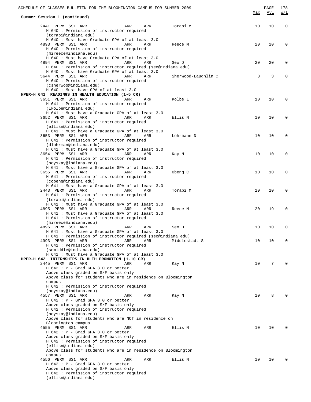| SCHEDULE OF CLASSES BULLETIN FOR THE BLOOMINGTON CAMPUS FOR SUMMER 2009                                                                                                                                              | Max | PAGE<br><u>Avl</u> | 178<br>W/L  |
|----------------------------------------------------------------------------------------------------------------------------------------------------------------------------------------------------------------------|-----|--------------------|-------------|
| Summer Session 1 (continued)                                                                                                                                                                                         |     |                    |             |
| 2441 PERM SS1 ARR<br>ARR<br>ARR<br>Torabi M<br>H 640 : Permission of instructor required                                                                                                                             | 10  | 10                 | $\mathbf 0$ |
| (torabi@indiana.edu)<br>H 640 : Must have Graduate GPA of at least 3.0<br>4893 PERM SS1 ARR<br>ARR<br>ARR<br>Reece M<br>H 640 : Permission of instructor required                                                    | 20  | 20                 | $\mathbf 0$ |
| (mireece@indiana.edu)<br>H 640 : Must have Graduate GPA of at least 3.0<br>4894 PERM SS1 ARR<br>ARR<br>ARR<br>Seo D                                                                                                  | 20  | 20                 | $\mathbf 0$ |
| H 640 : Permission of instructor required (seo@indiana.edu)<br>H 640 : Must have Graduate GPA of at least 3.0<br>5644 PERM SS1 ARR<br>ARR<br>ARR<br>Sherwood-Laughlin C<br>H 640 : Permission of instructor required | 3   | 3                  | 0           |
| (csherwoo@indiana.edu)<br>H 640 : Must have GPA of at least 3.0<br>HPER-H 641 READINGS IN HEALTH EDUCATION (1-5 CR)                                                                                                  |     |                    |             |
| 3651 PERM SS1 ARR<br>ARR<br>ARR<br>Kolbe L<br>H 641 : Permission of instructor required<br>(lkolbe@indiana.edu)                                                                                                      | 10  | 10                 | $\mathbf 0$ |
| H 641 : Must have a Graduate GPA of at least 3.0<br>3652 PERM SS1 ARR<br>ARR<br>ARR<br>Ellis N<br>H 641 : Permission of instructor required                                                                          | 10  | 10                 | $\mathbf 0$ |
| (ellisn@indiana.edu)<br>H 641 : Must have a Graduate GPA of at least 3.0<br>3653 PERM SS1 ARR<br>ARR<br>ARR<br>Lohrmann D<br>H 641 : Permission of instructor required                                               | 10  | 10                 | $\mathbf 0$ |
| (dlohrman@indiana.edu)<br>H 641 : Must have a Graduate GPA of at least 3.0<br>3654 PERM SS1 ARR<br>ARR<br>ARR<br>Kay N<br>H 641 : Permission of instructor required                                                  | 10  | 10                 | $\mathbf 0$ |
| (noyskay@indiana.edu)<br>H 641 : Must have a Graduate GPA of at least 3.0<br>3655 PERM SS1 ARR<br>ARR<br>ARR<br>Obeng C<br>H 641 : Permission of instructor required                                                 | 10  | 10                 | $\mathbf 0$ |
| (cobeng@indiana.edu)<br>H 641 : Must have a Graduate GPA of at least 3.0<br>2443 PERM SS1 ARR<br>ARR<br>ARR<br>Torabi M                                                                                              | 10  | 10                 | $\mathbf 0$ |
| H 641 : Permission of instructor required<br>(torabi@indiana.edu)<br>H 641 : Must have a Graduate GPA of at least 3.0<br>4895 PERM SS1 ARR<br>ARR<br>ARR<br>Reece M                                                  | 20  | 19                 | $\mathbf 0$ |
| H 641 : Must have a Graduate GPA of at least 3.0<br>H 641 : Permission of instructor required<br>(mireece@indiana.edu)                                                                                               |     |                    |             |
| 4896 PERM SS1 ARR<br>ARR<br>ARR<br>Seo D<br>H 641 : Must have a Graduate GPA of at least 3.0                                                                                                                         | 10  | 10                 | $\mathbf 0$ |
| H 641 : Permission of instructor required (seo@indiana.edu)<br>4993 PERM SS1 ARR<br>ARR<br>Middlestadt S<br>ARR<br>H 641 : Permission of instructor required                                                         | 10  | 10                 | 0           |
| (semiddle@indiana.edu)<br>H 641 : Must have a Graduate GPA of at least 3.0<br>HPER-H 642 INTERNSHIPS IN HLTH PROMOTION (1-10 CR)<br>2445 PERM SS1 ARR<br>ARR<br>ARR<br>Kay N                                         | 10  | 7                  | $\Omega$    |
| H 642 : P - Grad GPA 3.0 or better<br>Above class graded on S/F basis only<br>Above class for students who are in residence on Bloomington                                                                           |     |                    |             |
| campus<br>H 642 : Permission of instructor required<br>(noyskay@indiana.edu)                                                                                                                                         |     |                    |             |
| 4557 PERM SS1 ARR<br>ARR<br>Kay N<br>ARR<br>$H$ 642 : P - Grad GPA 3.0 or better<br>Above class graded on S/F basis only<br>H 642 : Permission of instructor required                                                | 10  | 8                  | $\mathbf 0$ |
| (noyskay@indiana.edu)<br>Above class for students who are NOT in residence on<br>Bloomington campus                                                                                                                  |     |                    |             |
| 4555 PERM SS1 ARR<br>Ellis N<br>ARR<br>ARR<br>$H$ 642 : P - Grad GPA 3.0 or better<br>Above class graded on S/F basis only<br>H 642 : Permission of instructor required<br>(ellisn@indiana.edu)                      | 10  | 10                 | $\mathbf 0$ |
| Above class for students who are in residence on Bloomington<br>campus                                                                                                                                               |     |                    |             |
| 4556 PERM SS1 ARR<br>ARR<br>Ellis N<br>ARR<br>$H$ 642 : P - Grad GPA 3.0 or better<br>Above class graded on S/F basis only<br>H 642 : Permission of instructor required<br>(ellisn@indiana.edu)                      | 10  | 10                 | 0           |
|                                                                                                                                                                                                                      |     |                    |             |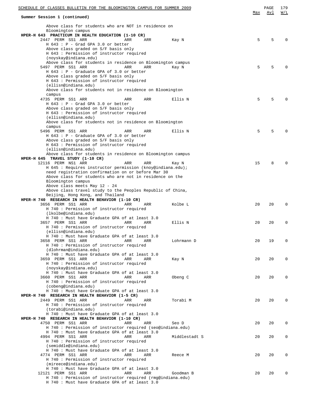| SCHEDULE OF CLASSES BULLETIN FOR THE BLOOMINGTON CAMPUS FOR SUMMER 2009                            | <u>Max</u> | PAGE<br>Avl | 179<br>W/L   |
|----------------------------------------------------------------------------------------------------|------------|-------------|--------------|
| Summer Session 1 (continued)                                                                       |            |             |              |
| Above class for students who are NOT in residence on<br>Bloomington campus                         |            |             |              |
| HPER-H 643 PRACTICUM IN HEALTH EDUCATION (1-10 CR)                                                 |            |             |              |
| 2447 PERM SS1 ARR<br>ARR<br>ARR<br>Kay N                                                           | 5          | 5           | $\Omega$     |
| $H$ 643 : P - Grad GPA 3.0 or better<br>Above class graded on S/F basis only                       |            |             |              |
| H 643 : Permission of instructor required                                                          |            |             |              |
| (noyskay@indiana.edu)                                                                              |            |             |              |
| Above class for students in residence on Bloomington campus                                        |            |             |              |
| 5497 PERM SS1 ARR<br>ARR<br>ARR<br>Kay N<br>H 643 : P - Graduate GPA of 3.0 or better              | 5          | 5           | <sup>0</sup> |
| Above class graded on S/F basis only                                                               |            |             |              |
| H 643 : Permission of instructor required                                                          |            |             |              |
| (ellisn@indiana.edu)                                                                               |            |             |              |
| Above class for students not in residence on Bloomington<br>campus                                 |            |             |              |
| 4735 PERM SS1 ARR<br>Ellis N<br>ARR<br>ARR                                                         | 5          | 5           | $\Omega$     |
| H 643 : P - Grad GPA 3.0 or better                                                                 |            |             |              |
| Above class graded on S/F basis only                                                               |            |             |              |
| H 643 : Permission of instructor required<br>(ellisn@indiana.edu)                                  |            |             |              |
| Above class for students not in residence on Bloomington                                           |            |             |              |
| campus                                                                                             |            |             |              |
| 5496 PERM SS1 ARR<br>ARR<br>ARR<br>Ellis N                                                         | 5          | 5           | $\Omega$     |
| $H$ 643 : P - Graduate GPA of 3.0 or better<br>Above class graded on S/F basis only                |            |             |              |
| H 643 : Permission of instructor required                                                          |            |             |              |
| (ellisn@indiana.edu)                                                                               |            |             |              |
| Above class for students in residence on Bloomington campus                                        |            |             |              |
| HPER-H 645 TRAVEL STUDY (1-10 CR)<br>12116 PERM NS1 ARR<br>ARR<br>ARR<br>Kay N                     | 15         | 8           | $\Omega$     |
| H 645 : Requires instructor permission (knoy@indiana.edu);                                         |            |             |              |
| need registration confirmation on or before Mar 30                                                 |            |             |              |
| Above class for students who are not in residence on the                                           |            |             |              |
| Bloomington campus<br>Above class meets May 12 - 24                                                |            |             |              |
| Above class travel study to the Peoples Republic of China,                                         |            |             |              |
| Beijing, Hong Kong, and Thailand                                                                   |            |             |              |
| HPER-H 740 RESEARCH IN HEALTH BEHAVIOR (1-10 CR)                                                   |            |             |              |
| 3656 PERM SS1 ARR<br>ARR<br>Kolbe L<br>ARR<br>H 740 : Permission of instructor required            | 20         | 20          | $\Omega$     |
| (lkolbe@indiana.edu)                                                                               |            |             |              |
| H 740 : Must have Graduate GPA of at least 3.0                                                     |            |             |              |
| 3657 PERM SS1 ARR<br>ARR<br>ARR<br>Ellis N                                                         | 20         | 20          | 0            |
| H 740 : Permission of instructor required<br>(ellisn@indiana.edu)                                  |            |             |              |
| H 740 : Must have Graduate GPA of at least 3.0                                                     |            |             |              |
| 3658 PERM SS1 ARR<br>Lohrmann D<br>ARR<br>ARR                                                      | 20         | 19          | 0            |
| H 740 : Permission of instructor required<br>(dlohrman@indiana.edu)                                |            |             |              |
| H 740 : Must have Graduate GPA of at least 3.0                                                     |            |             |              |
| 3659 PERM SS1 ARR<br>ARR<br>ARR<br>Kay N                                                           | 20         | 20          | 0            |
| H 740 : Permission of instructor required                                                          |            |             |              |
| (noyskay@indiana.edu)<br>H 740 : Must have Graduate GPA of at least 3.0                            |            |             |              |
| 3660 PERM SS1 ARR<br>ARR<br>Obeng C<br>ARR                                                         | 20         | 20          | $\Omega$     |
| H 740 : Permission of instructor required                                                          |            |             |              |
| (cobeng@indiana.edu)                                                                               |            |             |              |
| H 740 : Must have Graduate GPA of at least 3.0<br>HPER-H 740 RESEARCH IN HEALTH BEHAVIOR (1-5 CR)  |            |             |              |
| 2449 PERM SS1 ARR<br>Torabi M<br>ARR<br>ARR                                                        | 20         | 20          | $\Omega$     |
| H 740 : Permission of instructor required                                                          |            |             |              |
| (torabi@indiana.edu)                                                                               |            |             |              |
| H 740 : Must have Graduate GPA of at least 3.0<br>HPER-H 740 RESEARCH IN HEALTH BEHAVIOR (1-10 CR) |            |             |              |
| 4750 PERM SS1 ARR<br>ARR<br>ARR<br>Seo D                                                           | 20         | 20          | 0            |
| H 740 : Permission of instructor required (seo@indiana.edu)                                        |            |             |              |
| H 740 : Must have Graduate GPA of at least 3.0                                                     |            |             |              |
| 4994 PERM SS1 ARR<br>Middlestadt S<br>ARR<br>ARR<br>H 740 : Permission of instructor required      | 20         | 20          | 0            |
| (semiddle@indiana.edu)                                                                             |            |             |              |
| H 740 : Must have Graduate GPA of at least 3.0                                                     |            |             |              |
| 4774 PERM SS1 ARR<br>ARR<br>ARR<br>Reece M                                                         | 20         | 20          | 0            |
| H 740 : Permission of instructor required<br>(mireece@indiana.edu)                                 |            |             |              |
| H 740 : Must have Graduate GPA of at least 3.0                                                     |            |             |              |
| 12121 PERM SS1 ARR<br>ARR<br>ARR<br>Goodman B                                                      | 20         | 20          | 0            |
| H 740 : Permission of instructor required (rmg@indiana.edu)                                        |            |             |              |
| H 740 : Must have Graduate GPA of at least 3.0                                                     |            |             |              |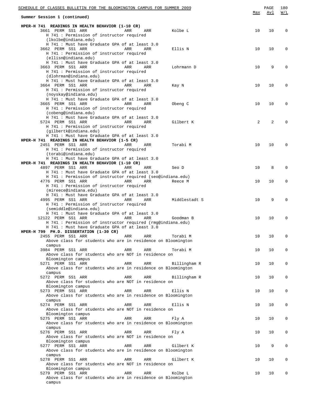| SCHEDULE OF CLASSES BULLETIN FOR THE BLOOMINGTON CAMPUS FOR SUMMER 2009 |     | PAGE           | 180         |
|-------------------------------------------------------------------------|-----|----------------|-------------|
| Summer Session 1 (continued)                                            | Max | Avl            | W/L         |
| HPER-H 741 READINGS IN HEALTH BEHAVIOR (1-10 CR)                        |     |                |             |
| 3661 PERM SS1 ARR<br>Kolbe L<br>ARR<br>ARR                              | 10  | 10             | $\mathbf 0$ |
| H 741 : Permission of instructor required                               |     |                |             |
| (lkolbe@indiana.edu)                                                    |     |                |             |
| H 741 : Must have Graduate GPA of at least 3.0                          |     |                |             |
| 3662 PERM SS1 ARR<br>Ellis N<br>ARR<br>ARR                              | 10  | 10             | $\mathbf 0$ |
| H 741 : Permission of instructor required                               |     |                |             |
| (ellisn@indiana.edu)                                                    |     |                |             |
| H 741 : Must have Graduate GPA of at least 3.0                          |     |                |             |
| 3663 PERM SS1 ARR<br>ARR<br>ARR<br>Lohrmann D                           | 10  | 9              | $\mathbf 0$ |
| H 741 : Permission of instructor required                               |     |                |             |
| (dlohrman@indiana.edu)                                                  |     |                |             |
| H 741 : Must have Graduate GPA of at least 3.0                          |     |                |             |
| 3664 PERM SS1 ARR<br>ARR<br>ARR<br>Kay N                                | 10  | 10             | $\mathbf 0$ |
| H 741 : Permission of instructor required                               |     |                |             |
| (noyskay@indiana.edu)                                                   |     |                |             |
| H 741 : Must have Graduate GPA of at least 3.0                          |     |                |             |
| 3665 PERM SS1 ARR<br>Obeng C<br>ARR<br>ARR                              | 10  | 10             | $\mathbf 0$ |
| H 741 : Permission of instructor required                               |     |                |             |
| (cobeng@indiana.edu)                                                    |     |                |             |
| H 741 : Must have Graduate GPA of at least 3.0                          |     |                |             |
| 5724 PERM SS1 ARR<br>ARR<br>Gilbert K<br>ARR                            | 2   | $\overline{a}$ | $\Omega$    |
| H 741 : Permission of instructor required                               |     |                |             |
| (gilbertk@indiana.edu)                                                  |     |                |             |
| H 741 : Must have Graduate GPA of at least 3.0                          |     |                |             |
| HPER-H 741 READINGS IN HEALTH BEHAVIOR (1-5 CR)                         |     |                |             |
| 2451 PERM SS1 ARR<br>Torabi M<br>ARR<br>ARR                             | 10  | 10             | $\mathbf 0$ |
| H 741 : Permission of instructor required                               |     |                |             |
| (torabi@indiana.edu)                                                    |     |                |             |
| H 741 : Must have Graduate GPA of at least 3.0                          |     |                |             |
| HPER-H 741 READINGS IN HEALTH BEHAVIOR (1-10 CR)                        |     |                |             |
| 4897 PERM SS1 ARR<br>Seo D<br>ARR<br>ARR                                | 10  | 8              | $\mathbf 0$ |
| H 741 : Must have Graduate GPA of at least 3.0                          |     |                |             |
| H 741 : Permission of instructor required (seo@indiana.edu)             |     |                |             |
| 4776 PERM SS1 ARR<br>ARR<br>ARR<br>Reece M                              | 10  | 10             | $\mathbf 0$ |
| H 741 : Permission of instructor required                               |     |                |             |
| (mireece@indiana.edu)                                                   |     |                |             |
| H 741 : Must have Graduate GPA of at least 3.0                          |     |                |             |
| 4995 PERM SS1 ARR<br>ARR<br>Middlestadt S<br>ARR                        | 10  | 9              | $\mathbf 0$ |
| H 741 : Permission of instructor required                               |     |                |             |
| (semiddle@indiana.edu)                                                  |     |                |             |
| H 741 : Must have Graduate GPA of at least 3.0                          |     |                |             |
| 12122 PERM SS1 ARR<br>ARR<br>ARR<br>Goodman B                           | 10  | 10             | $\mathbf 0$ |
| H 741 : Permission of instructor required (rmg@indiana.edu)             |     |                |             |
| H 741 : Must have Graduate GPA of at least 3.0                          |     |                |             |
| HPER-H 799 PH.D. DISSERTATION (1-30 CR)                                 |     |                |             |
| 2455 PERM SS1 ARR<br>ARR<br>ARR<br>Torabi M                             | 10  | 10             | 0           |
| Above class for students who are in residence on Bloomington            |     |                |             |
| campus                                                                  |     |                |             |
| 3984 PERM SS1 ARR<br>ARR<br>Torabi M<br>ARR                             | 10  | 10             | $\mathbf 0$ |
| Above class for students who are NOT in residence on                    |     |                |             |
| Bloomington campus                                                      |     |                |             |
| 5271 PERM SS1 ARR<br>ARR<br>ARR<br>Billingham R                         | 10  | 10             | $\mathbf 0$ |
| Above class for students who are in residence on Bloomington            |     |                |             |
| campus                                                                  |     |                |             |
| 5272 PERM SS1 ARR<br>ARR<br>ARR<br>Billingham R                         | 10  | 10             | $\mathbf 0$ |
| Above class for students who are NOT in residence on                    |     |                |             |
| Bloomington campus                                                      |     |                |             |
| 5273 PERM SS1 ARR<br>ARR<br>ARR<br>Ellis N                              | 10  | 10             | $\mathbf 0$ |
| Above class for students who are in residence on Bloomington            |     |                |             |
| campus                                                                  |     |                |             |
| 5274 PERM SS1 ARR<br>ARR<br>Ellis N<br>ARR                              | 10  | 10             | $\mathbf 0$ |
| Above class for students who are NOT in residence on                    |     |                |             |
| Bloomington campus                                                      |     |                |             |
| 5275 PERM SS1 ARR<br>ARR<br>ARR<br>Fly A                                | 10  | 10             | $\mathbf 0$ |
| Above class for students who are in residence on Bloomington            |     |                |             |
| campus                                                                  |     |                |             |
| 5276 PERM SS1 ARR<br>ARR<br>ARR<br>Fly A                                | 10  | 10             | $\mathbf 0$ |
| Above class for students who are NOT in residence on                    |     |                |             |
| Bloomington campus                                                      |     |                |             |
| 5277 PERM SS1 ARR<br>ARR<br>ARR<br>Gilbert K                            | 10  | 9              | $\mathbf 0$ |
| Above class for students who are in residence on Bloomington            |     |                |             |
| campus                                                                  |     |                |             |
| 5278 PERM SS1 ARR<br>ARR<br>ARR<br>Gilbert K                            | 10  | 10             | $\mathbf 0$ |
| Above class for students who are NOT in residence on                    |     |                |             |
| Bloomington campus                                                      |     |                |             |
| 5279 PERM SS1 ARR<br>ARR<br>ARR<br>Kolbe L                              | 10  | 10             | 0           |
| Above class for students who are in residence on Bloomington            |     |                |             |
| campus                                                                  |     |                |             |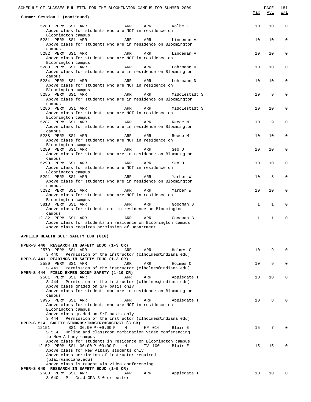| SCHEDULE OF CLASSES BULLETIN FOR THE BLOOMINGTON CAMPUS FOR SUMMER 2009                                                                                                                                |              | PAGE            | 181         |
|--------------------------------------------------------------------------------------------------------------------------------------------------------------------------------------------------------|--------------|-----------------|-------------|
| Summer Session 1 (continued)                                                                                                                                                                           | Max          | Avl             | W/L         |
| 5280 PERM SS1 ARR<br>ARR<br>ARR<br>Kolbe L<br>Above class for students who are NOT in residence on<br>Bloomington campus                                                                               | 10           | 10              | $\mathbf 0$ |
| 5281 PERM SS1 ARR<br>ARR<br>ARR<br>Lindeman A<br>Above class for students who are in residence on Bloomington<br>campus                                                                                | 10           | 10              | 0           |
| 5282 PERM SS1 ARR<br>ARR<br>ARR<br>Lindeman A<br>Above class for students who are NOT in residence on<br>Bloomington campus                                                                            | 10           | 10              | 0           |
| 5283 PERM SS1 ARR<br>ARR<br>ARR<br>Lohrmann D<br>Above class for students who are in residence on Bloomington<br>campus                                                                                | 10           | 10              | 0           |
| 5284 PERM SS1 ARR<br>ARR<br>ARR<br>Lohrmann D<br>Above class for students who are NOT in residence on<br>Bloomington campus                                                                            | 10           | 10              | 0           |
| 5285 PERM SS1 ARR<br>ARR<br>ARR<br>Middlestadt S<br>Above class for students who are in residence on Bloomington<br>campus                                                                             | 10           | 9               | 0           |
| 5286 PERM SS1 ARR<br>ARR<br>ARR<br>Middlestadt S<br>Above class for students who are NOT in residence on<br>Bloomington campus                                                                         | 10           | 10              | 0           |
| 5287 PERM SS1 ARR<br>ARR<br>ARR<br>Reece M<br>Above class for students who are in residence on Bloomington<br>campus                                                                                   | 10           | 9               | 0           |
| 5288 PERM SS1 ARR<br>ARR<br>ARR<br>Reece M<br>Above class for students who are NOT in residence on<br>Bloomington campus<br>5289 PERM SS1 ARR                                                          | 10<br>10     | 10<br>10        | 0<br>0      |
| ARR<br>ARR<br>Seo D<br>Above class for students who are in residence on Bloomington<br>campus<br>5290 PERM SS1 ARR<br>ARR<br>ARR<br>Seo D                                                              | 10           | 10              | 0           |
| Above class for students who are NOT in residence on<br>Bloomington campus<br>5291 PERM SS1 ARR<br>ARR<br>ARR<br>Yarber W                                                                              | 10           | 8               | 0           |
| Above class for students who are in residence on Bloomington<br>campus<br>5292 PERM SS1 ARR<br>ARR<br>ARR<br>Yarber W                                                                                  | 10           | 10              | 0           |
| Above class for students who are NOT in residence on<br>Bloomington campus<br>5813 PERM SS1 ARR<br>ARR<br>ARR<br>Goodman B                                                                             | $\mathbf{1}$ | $\mathbf{1}$    | 0           |
| Above class for students not in residence on Bloomington<br>campus<br>12132 PERM SS1 ARR<br>ARR<br>ARR<br>Goodman B                                                                                    | $\mathbf{1}$ | $\mathbf{1}$    | 0           |
| Above class for students in residence on Bloomington campus<br>Above class requires permission of Department                                                                                           |              |                 |             |
| APPLIED HEALTH SCI: SAFETY EDU (016)                                                                                                                                                                   |              |                 |             |
| HPER-S 440 RESEARCH IN SAFETY EDUC (1-3 CR)<br>2579 PERM SS1 ARR<br>ARR<br>ARR<br>Holmes C<br>S 440: Permission of the instructor (clholmes@indiana.edu)                                               | 10           | 9               | $\Omega$    |
| HPER-S 441 READINGS IN SAFETY EDUC (1-3 CR)<br>2580 PERM SS1 ARR<br>Holmes C<br>ARR<br>ARR<br>S 441: Permission of the instructor (clholmes@indiana.edu)                                               | 10           | 9               | 0           |
| HPER-S 444 FIELD EXPER OCCUP SAFETY (1-10 CR)<br>2581 PERM SS1 ARR<br>ARR<br>Applegate T<br>ARR<br>S 444 : Permission of the instructor (clholmes@indiana.edu)<br>Above class graded on S/F basis only | 10           | 10              | 0           |
| Above class for students who are in residence on Bloomington<br>campus<br>3995 PERM SS1 ARR<br>ARR<br>ARR<br>Applegate T                                                                               | 10           | 8               | 0           |
| Above class for students who are NOT in residence on<br>Bloomington campus<br>Above class graded on S/F basis only<br>S 444 : Permission of the instructor (clholmes@indiana.edu)                      |              |                 |             |
| HPER-S 514 SAFETY STNDRDS: INDSTRY&CNSTRCT (3 CR)<br>12151<br>SS1 06:00 P-09:00 P<br>HP 016<br>Blair E<br>М<br>S 514 : Online and classroom combination video conferencing<br>to New Albany campus     | 15           | 7               | $\Omega$    |
| Above class for students in residence on Bloomington campus<br>12152 PERM SS1 06:00 P-09:00 P<br>TV 100<br>Blair E<br>М<br>Above class for New Albany students only                                    | 15           | 15              | $\Omega$    |
| Above class permission of instructor required<br>(blair@indiana.edu)<br>Above class is taught via video conferencing                                                                                   |              |                 |             |
| HPER-S 640 RESEARCH IN SAFETY EDUC (1-5 CR)<br>2583 PERM SS1 ARR<br>Applegate T<br>ARR<br>ARR<br>$S$ 640 : P - Grad GPA 3.0 or better                                                                  | 10           | 10 <sup>°</sup> | 0           |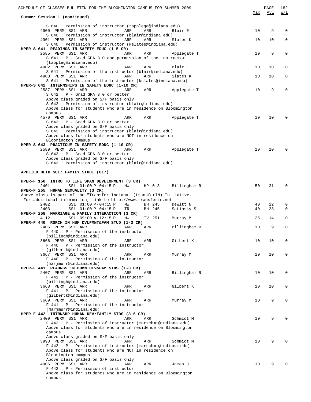| SCHEDULE OF CLASSES BULLETIN FOR THE BLOOMINGTON CAMPUS FOR SUMMER 2009                                                                 | Max             | PAGE<br>Avl | 182<br>W/L   |
|-----------------------------------------------------------------------------------------------------------------------------------------|-----------------|-------------|--------------|
| Summer Session 1 (continued)                                                                                                            |                 |             |              |
| S 640 : Permission of instructor (tapplega@indiana.edu)<br>4900 PERM SS1 ARR<br>ARR<br>ARR<br>Blair E                                   | 10              | 9           | $\Omega$     |
| S 640 : Permission of instructor (blair@indiana.edu)                                                                                    |                 |             |              |
| 4901 PERM SS1 ARR<br>ARR<br>ARR<br>Slates K                                                                                             | 10              | 10          | 0            |
| S 640 : Permission of instructor (kslates@indiana.edu)                                                                                  |                 |             |              |
| HPER-S 641 READINGS IN SAFETY EDUC (1-5 CR)<br>2585 PERM SS1 ARR<br>ARR<br>ARR<br>Applegate T                                           | 10              | 9           | 0            |
| $S$ 641 : P - Grad GPA 3.0 and permission of the instructor                                                                             |                 |             |              |
| (tappleg@indiana.edu)                                                                                                                   |                 |             |              |
| 4902 PERM SS1 ARR<br>ARR<br>ARR<br>Blair E<br>S 641 : Permission of the instructor (blair@indiana.edu)                                  | 10              | 10          | 0            |
| 4903 PERM SS1 ARR<br>ARR<br>ARR<br>Slates K                                                                                             | 10              | 10          | 0            |
| S 641 : Permission of the instructor (kslates@indiana.edu)                                                                              |                 |             |              |
| HPER-S 642 INTERNSHIPS IN SAFETY EDUC (1-10 CR)<br>2587 PERM SS1 ARR<br>ARR<br>ARR<br>Applegate T                                       | 10              | 9           | 0            |
| $S$ 642 : P - Grad GPA 3.0 or better                                                                                                    |                 |             |              |
| Above class graded on S/F basis only                                                                                                    |                 |             |              |
| S 642 : Permission of instructor (blair@indiana.edu)                                                                                    |                 |             |              |
| Above class for students who are in residence on Bloomington<br>campus                                                                  |                 |             |              |
| 4570 PERM SS1 ARR<br>ARR<br>Applegate T<br>ARR                                                                                          | 10 <sup>°</sup> | 10          | $\Omega$     |
| $S$ 642 : P - Grad GPA 3.0 or better                                                                                                    |                 |             |              |
| Above class graded on S/F basis only                                                                                                    |                 |             |              |
| S 642 : Permission of instructor (blair@indiana.edu)<br>Above class for students who are NOT in residence on                            |                 |             |              |
| Bloomington campus                                                                                                                      |                 |             |              |
| HPER-S 643 PRACTICUM IN SAFETY EDUC (1-10 CR)                                                                                           |                 |             |              |
| 2589 PERM SS1 ARR<br>ARR<br>Applegate T<br>ARR<br>$S$ 643 : P - Grad GPA 3.0 or better                                                  | 10              | 10          | $\Omega$     |
| Above class graded on S/F basis only                                                                                                    |                 |             |              |
| S 643 : Permission of instructor (blair@indiana.edu)                                                                                    |                 |             |              |
|                                                                                                                                         |                 |             |              |
| APPLIED HLTH SCI: FAMILY STUDI (017)                                                                                                    |                 |             |              |
| HPER-F 150 INTRO TO LIFE SPAN DEVELOPMENT (3 CR)                                                                                        |                 |             |              |
| 2401<br>SS1 01:00 P-04:15 P<br>MW<br>HP 013<br>Billingham R                                                                             | 50              | 31          | $\mathbf{0}$ |
| HPER-F 255 HUMAN SEXUALITY (3 CR)                                                                                                       |                 |             |              |
| Above class is part of the "Transfer Indiana" (transferIN) Initiative.<br>For additional information, link to http://www.transferin.net |                 |             |              |
| 2402<br>SS1 01:00 P-04:15 P<br>МW<br>BH 245<br>DeWitt N                                                                                 | 40              | 22          | 0            |
| 2403<br>SS1 01:00 P-04:15 P<br>BH 245<br>Satinsky S<br>TR                                                                               | 40              | 28          | $\mathbf 0$  |
| HPER-F 258 MARRIAGE & FAMILY INTERACTION (3 CR)<br>4112<br>SS1 09:00 A-12:15 P<br>TV 251<br>MW                                          | 25              | 14          | $\mathbf 0$  |
| Murray M<br>HPER-F 440 RSRCH IN HUM DVLPMNT&FAM STUD (1-3 CR)                                                                           |                 |             |              |
| 2405 PERM SS1 ARR<br>Billingham R<br>ARR<br>ARR                                                                                         | 10              | 9           | $\mathbf 0$  |
| $F$ 440 : $P$ - Permission of the instructor                                                                                            |                 |             |              |
| (billingh@indiana.edu)<br>3666 PERM SS1 ARR<br>Gilbert K<br>ARR<br>ARR                                                                  | 10              | 10          | 0            |
| $F$ 440 : P - Permission of the instructor                                                                                              |                 |             |              |
| (gilbertk@indiana.edu)                                                                                                                  |                 |             |              |
| 3667 PERM SS1 ARR<br>ARR<br>ARR<br>Murray M                                                                                             | 10              | 10          | 0            |
| $F$ 440 : P - Permission of the instructor<br>(marjmurr@indiana.edu)                                                                    |                 |             |              |
| HPER-F 441 READNGS IN HUMN DEV&FAM STDS (1-3 CR)                                                                                        |                 |             |              |
| 2407 PERM SS1 ARR<br>ARR<br>ARR<br>Billingham R                                                                                         | 10              | 10          | 0            |
| $F$ 441 : P - Permission of the instructor<br>(billingh@indiana.edu)                                                                    |                 |             |              |
| 3668 PERM SS1 ARR<br>Gilbert K<br>ARR<br>ARR                                                                                            | 10              | 10          | 0            |
| $F$ 441 : P - Permission of the instructor                                                                                              |                 |             |              |
| (gilbertk@indiana.edu)                                                                                                                  |                 |             |              |
| 3669 PERM SS1 ARR<br>ARR<br>ARR<br>Murray M<br>$F$ 441 : $P$ - Permission of the instructor                                             | 10              | 9           | 0            |
| (marjmurr@indiana.edu)                                                                                                                  |                 |             |              |
| HPER-F 442 INTRNSHP HUMAN DEV/FAMILY STDS (3-6 CR)                                                                                      |                 |             |              |
| 2409 PERM SS1 ARR<br>ARR<br>ARR<br>Schmidt M                                                                                            | 10              | 9           | $\Omega$     |
| F 442 : P - Permission of instructor (marschmi@indiana.edu)<br>Above class for students who are in residence on Bloomington             |                 |             |              |
| campus                                                                                                                                  |                 |             |              |
| Above class graded on S/F basis only                                                                                                    |                 |             |              |
| 3993 PERM SS1 ARR<br>ARR<br>ARR<br>Schmidt M<br>F 442 : P - Permission of instructor (marschmi@indiana.edu)                             | 10              | 9           | $\Omega$     |
| Above class for students who are NOT in residence on                                                                                    |                 |             |              |
| Bloomington campus                                                                                                                      |                 |             |              |
| Above class graded on S/F basis only                                                                                                    |                 |             |              |
| 4906 PERM SS1 ARR<br>ARR<br>ARR<br>James J<br>F 442 : P - Permission of instructor                                                      | 10              | 9           | O            |
| Above class for students who are in residence on Bloomington                                                                            |                 |             |              |
| campus                                                                                                                                  |                 |             |              |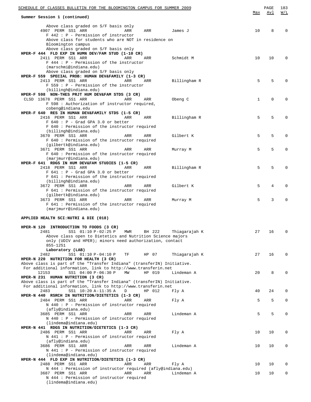| SCHEDULE OF CLASSES BULLETIN FOR THE BLOOMINGTON CAMPUS FOR SUMMER 2009                                                                 |                         |     | PAGE        | 183         |
|-----------------------------------------------------------------------------------------------------------------------------------------|-------------------------|-----|-------------|-------------|
| Summer Session 1 (continued)                                                                                                            |                         | Max | Avl         | W/L         |
|                                                                                                                                         |                         |     |             |             |
| Above class graded on S/F basis only<br>4907 PERM SS1 ARR<br>ARR<br>ARR                                                                 | James J                 | 10  | 8           | 0           |
| F 442 : P - Permission of instructor                                                                                                    |                         |     |             |             |
| Above class for students who are NOT in residence on                                                                                    |                         |     |             |             |
| Bloomington campus<br>Above class graded on S/F basis only                                                                              |                         |     |             |             |
| HPER-F 444 FLD EXP IN HUMN DEV/FAM STUD (1-10 CR)                                                                                       |                         |     |             |             |
| 2411 PERM SS1 ARR<br>ARR<br>ARR                                                                                                         | Schmidt M               | 10  | 10          | 0           |
| $F$ 444 : P - Permission of the instructor                                                                                              |                         |     |             |             |
| (marschmi@indiana.edu)<br>Above class graded on S/F basis only                                                                          |                         |     |             |             |
| HPER-F 559 SPECIAL PROB: HUMAN DEV&FAMILY (1-3 CR)                                                                                      |                         |     |             |             |
| 2413 PERM SS1 ARR<br>ARR<br>ARR                                                                                                         | Billingham R            | 5   | 5           | $\mathbf 0$ |
| $F 559 : P - Permission of the instructor$                                                                                              |                         |     |             |             |
| (billingh@indiana.edu)<br>HPER-F 598 NON-THES PRJT HUM DEV&FAM STDS (3 CR)                                                              |                         |     |             |             |
| CLSD 13678 PERM SS1 ARR<br>ARR<br>ARR                                                                                                   | Obeng C                 | 1   | $\mathbf 0$ | $\mathbf 0$ |
| F 598 : Authorization of instructor required,                                                                                           |                         |     |             |             |
| cobeng@indiana.edu                                                                                                                      |                         |     |             |             |
| HPER-F 640 RES IN HUMAN DEV&FAMILY STDS (1-5 CR)                                                                                        |                         |     |             |             |
| 2416 PERM SS1 ARR<br>ARR<br>ARR<br>$F$ 640 : P - Grad GPA 3.0 or better                                                                 | Billingham R            | 5   | 5           | $\mathbf 0$ |
| F 640: Permission of the instructor required                                                                                            |                         |     |             |             |
| (billingh@indiana.edu)                                                                                                                  |                         |     |             |             |
| 3670 PERM SS1 ARR<br>ARR<br>ARR                                                                                                         | Gilbert K               | 5   | 5           | $\mathbf 0$ |
| F 640 : Permission of the instructor required                                                                                           |                         |     |             |             |
| (gilbertk@indiana.edu)<br>3671 PERM SS1 ARR<br>ARR<br>ARR                                                                               | Murray M                | 5   | 5           | $\mathbf 0$ |
| F 640 : Permission of the instructor required                                                                                           |                         |     |             |             |
| (marjmurr@indiana.edu)                                                                                                                  |                         |     |             |             |
| HPER-F 641 RDGS IN HUM DEV&FAM STUDIES (1-5 CR)                                                                                         |                         |     |             |             |
| 2418 PERM SS1 ARR<br>ARR<br>ARR<br>$F$ 641 : P - Grad GPA 3.0 or better                                                                 | Billingham R            | 5   | 5           | $\mathbf 0$ |
| F 641 : Permission of the instructor required                                                                                           |                         |     |             |             |
| (billingh@indiana.edu)                                                                                                                  |                         |     |             |             |
| 3672 PERM SS1 ARR<br>ARR<br>ARR                                                                                                         | Gilbert K               | 5   | 4           | 0           |
| F 641 : Permission of the instructor required                                                                                           |                         |     |             |             |
| (gilbertk@indiana.edu)<br>3673 PERM SS1 ARR<br>ARR<br>ARR                                                                               | Murray M                | 5   | 3           | $\mathbf 0$ |
| F 641 : Permission of the instructor required                                                                                           |                         |     |             |             |
| (marjmurr@indiana.edu)                                                                                                                  |                         |     |             |             |
| APPLIED HEALTH SCI:NUTRI & DIE (018)                                                                                                    |                         |     |             |             |
|                                                                                                                                         |                         |     |             |             |
| HPER-N 120<br>INTRODUCTION TO FOODS (3 CR)                                                                                              |                         |     |             |             |
| 2481<br>SS1 01:10 P-02:25 P<br><b>MWR</b>                                                                                               | BH 222<br>Thiagarajah K | 27  | 16          | 0           |
| Above class open to Dietetics and Nutrition Science majors<br>only (UDIV and HPER); minors need authorization, contact                  |                         |     |             |             |
| 855-1251                                                                                                                                |                         |     |             |             |
| Laboratory (LAB)                                                                                                                        |                         |     |             |             |
| 2482<br>SS1 01:10 P-04:10 P<br>ТF                                                                                                       | HP 07<br>Thiagarajah K  | 27  | 16          | 0           |
| HPER-N 220 NUTRITION FOR HEALTH (3 CR)<br>Above class is part of the "Transfer Indiana" (transferIN) Initiative.                        |                         |     |             |             |
| For additional information, link to http://www.transferin.net                                                                           |                         |     |             |             |
| SS1 04:00 P-06:30 P<br>12153<br>MW                                                                                                      | HP 019<br>Lindeman A    | 20  | 8           | 0           |
| HPER-N 231 HUMAN NUTRITION (3 CR)                                                                                                       |                         |     |             |             |
| Above class is part of the "Transfer Indiana" (transferIN) Initiative.<br>For additional information, link to http://www.transferin.net |                         |     |             |             |
| 2483<br>SS1 10:20 A-11:35 A<br>D                                                                                                        | HP 012<br>Fly A         | 40  | 24          | 0           |
| HPER-N 440 RSRCH IN NUTRITION/DIETETICS (1-3 CR)                                                                                        |                         |     |             |             |
| 2484 PERM SS1 ARR<br>ARR<br>ARR                                                                                                         | Fly A                   | 5   | 5           | $\mathbf 0$ |
| N 440 : P - Permission of instructor required                                                                                           |                         |     |             |             |
| (afly@indiana.edu)<br>3685 PERM SS1 ARR<br>ARR<br>ARR                                                                                   | Lindeman A              | 5   | 5           | $\mathbf 0$ |
| N 440 : P - Permission of instructor required                                                                                           |                         |     |             |             |
| (lindema@indiana.edu)                                                                                                                   |                         |     |             |             |
| HPER-N 441 RDGS IN NUTRITION/DIETETICS (1-3 CR)                                                                                         |                         |     |             |             |
| 2486 PERM SS1 ARR<br>ARR<br>ARR<br>N 441 : P - Permission of instructor required                                                        | Fly A                   | 10  | 10          | 0           |
| (afly@indiana.edu)                                                                                                                      |                         |     |             |             |
| 3686 PERM SS1 ARR<br>ARR<br>ARR                                                                                                         | Lindeman A              | 10  | 10          | 0           |
| N 441 : P - Permission of instructor required                                                                                           |                         |     |             |             |
| (lindema@indiana.edu)<br>HPER-N 444 FLD EXP IN NUTRITION/DIETETICS (1-3 CR)                                                             |                         |     |             |             |
| 2488 PERM SS1 ARR<br>ARR<br>ARR                                                                                                         | Fly A                   | 10  | 10          | 0           |
| N 444 : Permission of instructor required (afly@indiana.edu)                                                                            |                         |     |             |             |
| 3687 PERM SS1 ARR<br>ARR<br>ARR                                                                                                         | Lindeman A              | 10  | 10          | 0           |
| N 444 : Permission of instructor required<br>(lindema@indiana.edu)                                                                      |                         |     |             |             |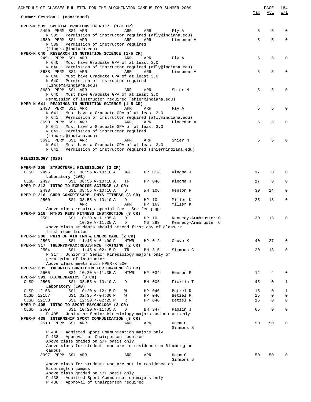| SCHEDULE OF CLASSES BULLETIN FOR THE BLOOMINGTON CAMPUS FOR SUMMER 2009                                                         |          | PAGE                       | 184              |
|---------------------------------------------------------------------------------------------------------------------------------|----------|----------------------------|------------------|
| Summer Session 1 (continued)                                                                                                    | Max      | Avl                        | W/L              |
| HPER-N 539 SPECIAL PROBLEMS IN NUTRI (1-3 CR)                                                                                   |          |                            |                  |
| 2490 PERM SS1 ARR<br>ARR<br>ARR<br>Fly A                                                                                        | 5        | 5                          | $\Omega$         |
| N 539 : Permission of instructor required (afly@indiana.edu)<br>4580 PERM SS1 ARR<br>ARR<br>ARR<br>Lindeman A                   | 5        | 5                          | $\mathbf 0$      |
| N 539 : Permission of instructor required                                                                                       |          |                            |                  |
| (lindema@indiana.edu)                                                                                                           |          |                            |                  |
| HPER-N 640 RESEARCH IN NUTRITION SCIENCE (1-5 CR)<br>2491 PERM SS1 ARR<br>ARR                                                   | 5        | 5                          | $\Omega$         |
| Fly A<br>ARR<br>N 640 : Must have Graduate GPA of at least 3.0                                                                  |          |                            |                  |
| N 640 : Permission of instructor required (afly@indiana.edu)                                                                    |          |                            |                  |
| 3688 PERM SS1 ARR<br>ARR<br>ARR<br>Lindeman A                                                                                   | 5        | 5                          | $\Omega$         |
| N 640 : Must have Graduate GPA of at least 3.0                                                                                  |          |                            |                  |
| N 640 : Permission of instructor required<br>(lindema@indiana.edu)                                                              |          |                            |                  |
| 3689 PERM SS1 ARR<br>Shier N<br>ARR<br>ARR                                                                                      | 5        | 5                          | 0                |
| N 640 : Must have Graduate GPA of at least 3.0                                                                                  |          |                            |                  |
| Permission of instructor required (shier@indiana.edu)                                                                           |          |                            |                  |
| HPER-N 641 READINGS IN NUTRITION SCIENCE (1-5 CR)<br>2493 PERM SS1 ARR<br>ARR<br>ARR<br>Fly A                                   | 5        | 5                          | 0                |
| N 641 : Must have a Graduate GPA of at least 3.0                                                                                |          |                            |                  |
| N 641 : Permission of instructor required (afly@indiana.edu)                                                                    |          |                            |                  |
| 3690 PERM SS1 ARR<br>ARR<br>ARR<br>Lindeman A                                                                                   | 5        | 5                          | $\Omega$         |
| N 641 : Must have a Graduate GPA of at least 3.0<br>N 641 : Permission of instructor required                                   |          |                            |                  |
| (lindema@indiana.edu)                                                                                                           |          |                            |                  |
| 3691 PERM SS1 ARR<br>Shier N<br>ARR<br>ARR                                                                                      | 5        | 5                          |                  |
| N 641 : Must have a Graduate GPA of at least 3.0                                                                                |          |                            |                  |
| N 641 : Permission of instructor required (shier@indiana.edu)                                                                   |          |                            |                  |
| KINESIOLOGY (020)                                                                                                               |          |                            |                  |
|                                                                                                                                 |          |                            |                  |
| HPER-P 205 STRUCTURAL KINESIOLOGY (3 CR)                                                                                        |          |                            |                  |
| <b>CLSD</b><br>2496<br>SS1 08:55 A-10:10 A<br>HP 012<br>Kingma J<br>MWF<br>Laboratory (LAB)                                     | 17       | 0                          | 0                |
| 2497<br>SS1 08:55 A-10:10 A<br>HP 046<br>Kingma J<br>CLSD<br>TR                                                                 | 17       | $\mathbf 0$                | $\mathbf 0$      |
| HPER-P 212 INTRO TO EXERCISE SCIENCE (3 CR)                                                                                     |          |                            |                  |
| 2498<br>SS1 08:55 A-10:10 A<br>WH 106<br>D<br>Henson P                                                                          | 30       | 14                         | 0                |
| HPER-P 216 CURR CONCPTS&APPL-PHYS FITNESS (3 CR)                                                                                |          |                            |                  |
| SS1 08:55 A-10:10 A<br>2500<br>D<br>HP 10<br>Miller K<br>ARR<br>ARR<br>HP 163<br>Miller K                                       | 25       | 18                         | 0                |
| Above class requires special fee - See fee page                                                                                 |          |                            |                  |
| HPER-P 218 MTHDS PERS FITNESS INSTRUCTION (3 CR)                                                                                |          |                            |                  |
| 2501<br>SS1 10:20 A-11:35 A<br>D<br>HP 10<br>Kennedy-Armbruster C                                                               | 30       | 13                         | 0                |
| $10:20 A-11:35 A$<br>MG 293<br>Kennedy-Armbruster C<br>D<br>Above class students should attend first day of class in            |          |                            |                  |
| first room listed                                                                                                               |          |                            |                  |
| HPER-P 280 PRIN OF ATH TRN & EMERG CARE (2 CR)                                                                                  |          |                            |                  |
| 2503<br>SS1 11:45 A-01:00 P<br><b>MTWR</b><br>HP 012<br>Grove K                                                                 | 40       | 27                         | 0                |
| $HPER-P 317$<br>THEORY&PRAC:RESISTNCE TRAINING (2 CR)<br>2504<br>SS1 11:45 A-02:15 P<br>TR<br>Simmons G<br>BH 315               | 20       | 13                         | 0                |
| P 317 : Junior or Senior Kinesiology majors only or                                                                             |          |                            |                  |
| permission of instructor                                                                                                        |          |                            |                  |
| Above class meets with HPER-K 500                                                                                               |          |                            |                  |
| HPER-P 335 THEORIES CONDITION FOR COACHNG (3 CR)<br>2505<br>SS1 10:20 A-11:35 A<br>HP 034<br>Henson P<br>MTWR                   | 12       | 4                          | 0                |
| HPER-P 391 BIOMECHANICS (3 CR)                                                                                                  |          |                            |                  |
| 2506<br>SS1 08:55 A-10:10 A<br>BH 006<br>Ficklin T<br>CLSD<br>D                                                                 | 45       | 0                          | 1                |
| Laboratory (LAB)                                                                                                                |          |                            |                  |
| CLSD 12156<br>SS1 10:20 A-12:15 P<br>046<br>Betzel R<br>W<br>HP                                                                 | 15       | $\mathbf 0$<br>$\mathbf 0$ | 1<br>$\mathsf 0$ |
| CLSD 12157<br>SS1 02:35 P-04:30 P<br>046<br>Betzel R<br>W<br>HP<br>CLSD 12158<br>SS1 12:30 P-02:25 P<br>HP 048<br>Betzel R<br>R | 15<br>15 | $\mathbf 0$                | 0                |
| HPER-P 405 INTRO TO SPORT PSYCHOLOGY (3 CR)                                                                                     |          |                            |                  |
| 2509<br><b>CLSD</b><br>SS1 10:20 A-11:35 A<br>BH 347<br>D<br>Raglin J                                                           | 65       | $\mathbf 0$                | 0                |
| P 405 : Junior or Senior Kinesiology majors and minors only                                                                     |          |                            |                  |
| HPER-P 438 INTERNSHIP SPORT COMMUNICATION (3 CR)<br>2510 PERM SS1 ARR<br>ARR<br>ARR<br>Hamm G                                   | 50       | 50                         | 0                |
| Simmons S                                                                                                                       |          |                            |                  |
| P 438 : Admitted Sport Communication majors only                                                                                |          |                            |                  |
| P 438 : Approval of Chairperson required                                                                                        |          |                            |                  |
| Above class graded on S/F basis only<br>Above class for students who are in residence on Bloomington                            |          |                            |                  |
| campus                                                                                                                          |          |                            |                  |
| 3997 PERM SS1 ARR<br>Hamm G<br>ARR<br>ARR                                                                                       | 50       | 50                         | $\Omega$         |
| Simmons S                                                                                                                       |          |                            |                  |
| Above class for students who are NOT in residence on<br>Bloomington campus                                                      |          |                            |                  |
| Above class graded on S/F basis only                                                                                            |          |                            |                  |
| P 438 : Admitted Sport Communication majors only                                                                                |          |                            |                  |
| P 438 : Approval of Chairperson required                                                                                        |          |                            |                  |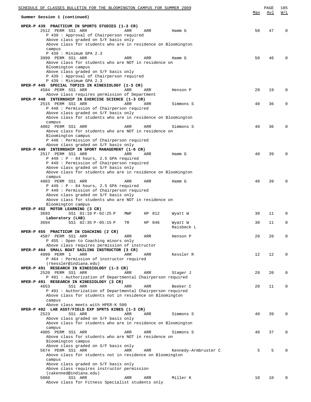| SCHEDULE OF CLASSES BULLETIN FOR THE BLOOMINGTON CAMPUS FOR SUMMER 2009                                |     | PAGE | 185         |
|--------------------------------------------------------------------------------------------------------|-----|------|-------------|
| Summer Session 1 (continued)                                                                           | Max | Avl  | W/L         |
|                                                                                                        |     |      |             |
| HPER-P 439 PRACTICUM IN SPORTS STUDIES (1-3 CR)                                                        |     |      |             |
| 2512 PERM SS1 ARR<br>ARR<br>ARR<br>Hamm G                                                              | 50  | 47   | $\Omega$    |
| P 439 : Approval of Chairperson required                                                               |     |      |             |
| Above class graded on S/F basis only<br>Above class for students who are in residence on Bloomington   |     |      |             |
| campus                                                                                                 |     |      |             |
| P 439 : Minimum GPA 2.3                                                                                |     |      |             |
| 3999 PERM SS1 ARR<br>ARR<br>ARR<br>Hamm G                                                              | 50  | 46   | $\Omega$    |
| Above class for students who are NOT in residence on                                                   |     |      |             |
| Bloomington campus<br>Above class graded on S/F basis only                                             |     |      |             |
| P 439 : Approval of Chairperson required                                                               |     |      |             |
| P 439 : Minimum GPA 2.3                                                                                |     |      |             |
| HPER-P 445 SPECIAL TOPICS IN KINESIOLOGY (1-3 CR)                                                      |     |      |             |
| 4584 PERM SS1 ARR<br>ARR<br>ARR<br>Henson P                                                            | 20  | 19   | 0           |
| Above class requires permission of Department                                                          |     |      |             |
| HPER-P 448 INTERNSHIP IN EXERCISE SCIENCE (1-3 CR)<br>2515 PERM SS1 ARR<br>ARR<br>ARR<br>Simmons S     | 40  | 36   | 0           |
| P 448 : Permission of Chairperson required                                                             |     |      |             |
| Above class graded on S/F basis only                                                                   |     |      |             |
| Above class for students who are in residence on Bloomington                                           |     |      |             |
| campus                                                                                                 |     |      |             |
| 4002 PERM SS1 ARR<br>ARR<br>ARR<br>Simmons S                                                           | 40  | 36   | $\mathbf 0$ |
| Above class for students who are NOT in residence on<br>Bloomington campus                             |     |      |             |
| P 448 : Permission of Chairperson required                                                             |     |      |             |
| Above class graded on S/F basis only                                                                   |     |      |             |
| HPER-P 449 INTERNSHIP IN SPORT MANAGEMENT (1-6 CR)                                                     |     |      |             |
| 2517 PERM SS1 ARR<br>ARR<br>ARR<br>Hamm G                                                              | 40  | 39   | $\Omega$    |
| $P$ 449 : $P$ - 84 hours, 2.5 GPA required                                                             |     |      |             |
| P 449 : Permission of Chairperson required<br>Above class graded on S/F basis only                     |     |      |             |
| Above class for students who are in residence on Bloomington                                           |     |      |             |
| campus                                                                                                 |     |      |             |
| 4003 PERM SS1 ARR<br>ARR<br>ARR<br>Hamm G                                                              | 40  | 39   | $\Omega$    |
| $P$ 449 : $P$ - 84 hours, 2.5 GPA required                                                             |     |      |             |
| P 449 : Permission of Chairperson required<br>Above class graded on S/F basis only                     |     |      |             |
| Above class for students who are NOT in residence on                                                   |     |      |             |
| Bloomington campus                                                                                     |     |      |             |
| HPER-P 452 MOTOR LEARNING (3 CR)                                                                       |     |      |             |
| 3693<br>SS1 01:10 P-02:25 P<br>012<br>MWF<br>ΗP<br>Wyatt W                                             | 30  | 11   | 0           |
| Laboratory (LAB)                                                                                       |     |      |             |
| 3694<br>SS1 02:35 P-05:15 P<br>TR<br>HP 046<br>Wyatt W<br>Raisbeck L                                   | 30  | 11   | 0           |
| HPER-P 455 PRACTICUM IN COACHING (2 CR)                                                                |     |      |             |
| 4587 PERM SS1 ARR<br>ARR<br>ARR<br>Henson P                                                            | 20  | 20   | 0           |
| P 455: Open to Coaching minors only                                                                    |     |      |             |
| Above class requires permission of instructor                                                          |     |      |             |
| HPER-P 464 SMALL BOAT SAILING INSTRUCTOR (3 CR)<br>4999 PERM 1<br>ARR<br>ARR<br>ARR<br>Kessler R       | 12  | 12   | 0           |
| P 464 : Permission of instructor required                                                              |     |      |             |
| (rkessler@indiana.edu)                                                                                 |     |      |             |
| HPER-P 491 RESEARCH IN KINESIOLOGY (1-3 CR)                                                            |     |      |             |
| 2520 PERM SS1 ARR<br>ARR<br>ARR<br>Stager J                                                            | 20  | 20   | 0           |
| P 491: Authorization of Departmental Chairperson required<br>HPER-P 491 RESEARCH IN KINESIOLOGY (3 CR) |     |      |             |
| 4653<br>SS1 ARR<br>Beeker C<br>ARR<br>ARR                                                              | 20  | 11   | 0           |
| P 491: Authorization of Departmental Chairperson required                                              |     |      |             |
| Above class for students not in residence on Bloomington                                               |     |      |             |
| campus                                                                                                 |     |      |             |
| Above class meets with HPER-K 500                                                                      |     |      |             |
| HPER-P 492 LAB ASST/FIELD EXP SPRTS KINES (1-3 CR)<br>2523<br>SS1 ARR<br>ARR<br>ARR<br>Simmons S       | 40  | 39   | 0           |
| Above class graded on S/F basis only                                                                   |     |      |             |
| Above class for students who are in residence on Bloomington                                           |     |      |             |
| campus                                                                                                 |     |      |             |
| 4005 PERM SS1 ARR<br>ARR<br>ARR<br>Simmons S                                                           | 40  | 37   | 0           |
| Above class for students who are NOT in residence on                                                   |     |      |             |
| Bloomington campus<br>Above class graded on S/F basis only                                             |     |      |             |
| 5674 PERM SS1 ARR<br>Kennedy-Armbruster C<br>ARR<br>ARR                                                | 5   | 5    | $\Omega$    |
| Above class for students not in residence on Bloomington                                               |     |      |             |
| campus                                                                                                 |     |      |             |
| Above class graded on S/F basis only                                                                   |     |      |             |
| Above class requires instructor permission<br>(cakenned@indiana.edu)                                   |     |      |             |
| 5060<br>SS1 ARR<br>Miller K<br>ARR<br>ARR                                                              | 10  | 10   | $\Omega$    |
| Above class for Fitness Specialist students only                                                       |     |      |             |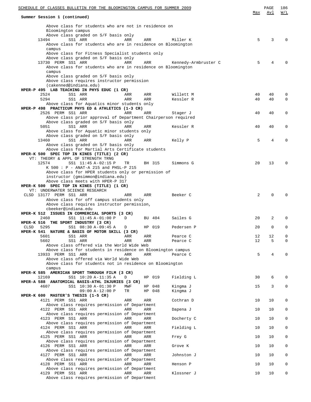| <u>SCHEDULE OF CLASSES BULLETIN FOR THE BLOOMINGTON CAMPUS FOR SUMMER 2009</u>                             |          | PAGE<br>Avl | 186<br>W/L   |
|------------------------------------------------------------------------------------------------------------|----------|-------------|--------------|
| Summer Session 1 (continued)                                                                               | Max      |             |              |
| Above class for students who are not in residence on                                                       |          |             |              |
| Bloomington campus                                                                                         |          |             |              |
| Above class graded on S/F basis only<br>13494<br>SS1 ARR<br>Miller K<br>ARR<br>ARR                         | 5        | 3           | U            |
| Above class for students who are in residence on Bloomington                                               |          |             |              |
| campus                                                                                                     |          |             |              |
| Above class for Fitness Specialist students only<br>Above class graded on S/F basis only                   |          |             |              |
| 13730 PERM SS1 ARR<br>ARR<br>ARR<br>Kennedy-Armbruster C                                                   | 5        | 4           |              |
| Above class for students who are in residence on Bloomington<br>campus                                     |          |             |              |
| Above class graded on S/F basis only                                                                       |          |             |              |
| Above class requires instructor permission                                                                 |          |             |              |
| (cakenned@indiana.edu)<br>HPER-P 495 LAB TEACHING IN PHYS EDUC (1 CR)                                      |          |             |              |
| 2524<br>SS1 ARR<br>Willett M<br>ARR<br>ARR                                                                 | 40       | 40          | 0            |
| 5294<br>SS1 ARR<br>ARR<br>ARR<br>Kessler R<br>Above class for Aquatics minor students only                 | 40       | 40          | $\mathbf 0$  |
| HPER-P 498 PRACTICUM PHYS ED & ATHLETICS (1-3 CR)                                                          |          |             |              |
| 2526 PERM SS1 ARR<br>ARR<br>ARR<br>Stager J                                                                | 40       | 40          | 0            |
| Above class prior approval of Department Chairperson required<br>Above class graded on S/F basis only      |          |             |              |
| 5051<br>SS1 ARR<br>ARR<br>ARR<br>Kessler R                                                                 | 40       | 40          | 0            |
| Above class for Aquatic minor students only                                                                |          |             |              |
| Above class graded on S/F basis only<br>13460<br>SS1 ARR<br>ARR<br>ARR<br>Kelly P                          | 5        | 4           | U            |
| Above class graded on S/F basis only                                                                       |          |             |              |
| Above class for Martial Arts Certificate students<br>HPER-K 500 SPEC TOP IN KINES (TITLE) (2 CR)           |          |             |              |
| VT: THEORY & APPL OF STRENGTH TRNG                                                                         |          |             |              |
| 12574<br>SS1 11:45 A-02:15 P<br>BH 315<br>Simmons G<br>TR                                                  | 20       | 13          | 0            |
| K 500 : P - ANAT-A 215 and PHSL-P 215<br>Above class for HPER students only or permission of               |          |             |              |
| instructor (gmsimmon@indiana.edu)                                                                          |          |             |              |
| Above class meets with HPER-P 317                                                                          |          |             |              |
| HPER-K 500 SPEC TOP IN KINES (TITLE) (1 CR)<br>VT: UNDERWATER SCIENCE RESEARCH                             |          |             |              |
| CLSD 13177 PERM SS1 ARR<br>ARR<br>ARR<br>Beeker C                                                          | 2        | ∩           |              |
| Above class for off campus students only                                                                   |          |             |              |
| Above class requires instructor permission,<br>cbeeker@indiana.edu                                         |          |             |              |
| HPER-K 512 ISSUES IN COMMERCIAL SPORTS (3 CR)                                                              |          |             |              |
| 2460<br>SS1 11:45 A-01:00 P<br>Sailes G<br>D<br>BU 404<br>HPER-K 516                                       | 20       | 2           | 0            |
| THE SPORT INDUSTRY (3 CR)<br>5295<br>CLSD<br>SS1 08:30 A-09:45 A<br>HP 019<br>Pedersen P<br>D              | 20       | $\Omega$    | 0            |
| HPER-K 541 NATURE & BASIS OF MOTOR SKILL (3 CR)                                                            |          |             |              |
| 5601<br>SS1 ARR<br>ARR<br>ARR<br>Pearce C<br>ARR<br>5602<br>SS1 ARR<br>ARR<br>Pearce C                     | 12<br>12 | 12<br>5     | 0<br>0       |
| Above class offered via the World Wide Web                                                                 |          |             |              |
| Above class for students in residence on Bloomington campus                                                |          |             |              |
| 13933 PERM SS1 ARR<br>ARR<br>ARR<br>Pearce C<br>Above class offered via World Wide Web                     | 5        | 4           | 0            |
| Above class for students not in residence on Bloomington                                                   |          |             |              |
| campus                                                                                                     |          |             |              |
| HPER-K 585 AMERICAN SPORT THROUGH FILM (3 CR)<br>12169<br>SS1 10:20 A-11:35 A<br>HP 019<br>Fielding L<br>D | 30       | 6           | 0            |
| HPER-A 588 ANATOMICAL BASIS-ATHL INJURIES (3 CR)                                                           |          |             |              |
| 4607<br>SS1 10:30 A-01:30 P<br>MWF<br>HP 048<br>Kingma J                                                   | 15       | 3           | $\mathbf{0}$ |
| $09:00 A-12:00 P$<br>HP 048<br>Kingma J<br>TR<br>HPER-K 600 MASTER'S THESIS (1-5 CR)                       |          |             |              |
| 4121 PERM SS1 ARR<br>ARR<br>ARR<br>Cothran D                                                               | 10       | 10          | 0            |
| Above class requires permission of Department<br>4122 PERM SS1 ARR<br>ARR<br>ARR<br>Dapena J               | 10       | 10          | 0            |
| Above class requires permission of Department                                                              |          |             |              |
| 4123 PERM SS1 ARR<br>ARR<br>ARR<br>Docherty C                                                              | 10       | 10          | 0            |
| Above class requires permission of Department<br>4124 PERM SS1 ARR<br>ARR<br>ARR<br>Fielding L             | 10       | 10          | 0            |
| Above class requires permission of Department                                                              |          |             |              |
| 4125 PERM SS1 ARR<br>ARR<br>ARR<br>Frey G                                                                  | 10       | 10          | 0            |
| Above class requires permission of Department<br>4126 PERM SS1 ARR<br>ARR<br>ARR<br>Grove K                | 10       | 10          | 0            |
| Above class requires permission of Department                                                              |          |             |              |
| 4127 PERM SS1 ARR<br>ARR<br>ARR<br>Johnston J                                                              | 10       | 10          | 0            |
| Above class requires permission of Department<br>4128 PERM SS1 ARR<br>ARR<br>ARR<br>Henson P               | 10       | 10          | 0            |
| Above class requires permission of Department                                                              |          |             |              |
| 4129 PERM SS1 ARR<br>ARR<br>ARR<br>Klossner J<br>Above class requires permission of Department             | 10       | 10          | 0            |
|                                                                                                            |          |             |              |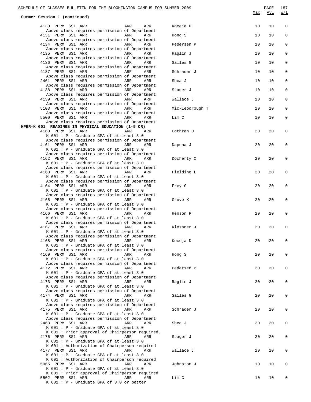| Summer Session 1 (continued)<br>$\mathbf 0$<br>4130 PERM SS1 ARR<br>ARR<br>ARR<br>Koceja D<br>10<br>10<br>Above class requires permission of Department<br>4131 PERM SS1 ARR<br>ARR<br>ARR<br>10<br>10<br>0<br>Hong S<br>Above class requires permission of Department<br>4134 PERM SS1 ARR<br>ARR<br>$\mathbf{0}$<br>ARR<br>10<br>10<br>Pedersen P<br>Above class requires permission of Department<br>4135 PERM SS1 ARR<br>ARR<br>ARR<br>Raglin J<br>10<br>10<br>0<br>Above class requires permission of Department<br>4136 PERM SS1 ARR<br>$\mathbf{0}$<br>ARR<br>ARR<br>Sailes G<br>10<br>10<br>Above class requires permission of Department<br>4137 PERM SS1 ARR<br>ARR<br>ARR<br>Schrader J<br>10<br>10<br>0<br>Above class requires permission of Department<br>2461 PERM SS1 ARR<br>$\mathbf{0}$<br>ARR<br>ARR<br>Shea J<br>10<br>10<br>Above class requires permission of Department<br>4138 PERM SS1 ARR<br>ARR<br>ARR<br>10<br>10<br>0<br>Stager J<br>Above class requires permission of Department<br>4139 PERM SS1 ARR<br>$\mathbf{0}$<br>ARR<br>ARR<br>Wallace J<br>10<br>10<br>Above class requires permission of Department<br>5103 PERM SS1 ARR<br>ARR<br>ARR<br>Mickleborough T<br>10<br>10<br>0<br>Above class requires permission of Department<br>5500 PERM SS1 ARR<br>0<br>ARR<br>ARR<br>Lim C<br>10<br>10<br>Above class requires permission of Department<br>HPER-K 601 READINGS IN PHYSICAL EDUCATION (1-5 CR)<br>20<br>20<br>4160 PERM SS1 ARR<br>ARR<br>Cothran D<br>0<br>ARR<br>$K$ 601 : P - Graduate GPA of at least 3.0<br>Above class requires permission of Department<br>4161 PERM SS1 ARR<br>20<br><b>Example 2</b> ARR<br>ARR<br>Dapena J<br>20<br>0<br>K 601 : P - Graduate GPA of at least 3.0<br>Above class requires permission of Department<br>4162 PERM SS1 ARR<br>ARR<br>$\mathbf 0$<br>ARR<br>20<br>20<br>Docherty C<br>K 601 : P - Graduate GPA of at least 3.0<br>Above class requires permission of Department<br>20<br>20<br>4163 PERM SS1 ARR<br>ARR<br>ARR<br>Fielding L<br>0<br>K 601 : P - Graduate GPA of at least 3.0<br>Above class requires permission of Department<br>4164 PERM SS1 ARR<br>ARR<br>Frey G<br>20<br>20<br>0<br>ARR<br>$K$ 601 : P - Graduate GPA of at least 3.0<br>Above class requires permission of Department<br>4165 PERM SS1 ARR<br>ARR<br>ARR<br>20<br>20<br>0<br>Grove K<br>K 601 : P - Graduate GPA of at least 3.0<br>Above class requires permission of Department<br>4166 PERM SS1 ARR<br>ARR<br>20<br>0<br>ARR<br>20<br>Henson P<br>K 601 : P - Graduate GPA of at least 3.0<br>Above class requires permission of Department<br>4167 PERM SS1 ARR<br>ARR<br>20<br>20<br>0<br>ARR<br>Klossner J<br>K 601 : P - Graduate GPA of at least 3.0<br>Above class requires permission of Department<br>4168 PERM SS1 ARR<br>ARR<br>Koceja D<br>20<br>20<br>0<br>ARR<br>K 601 : P - Graduate GPA of at least 3.0<br>Above class requires permission of Department<br>4169 PERM SS1 ARR<br>ARR<br>20<br>20<br>ARR<br>Hong S<br>0<br>K 601 : P - Graduate GPA of at least 3.0<br>Above class requires permission of Department<br>4172 PERM SS1 ARR<br>ARR<br>Pedersen P<br>20<br>20<br>0<br>ARR<br>K 601 : P - Graduate GPA of at least 3.0<br>Above class requires permission of Department<br>4173 PERM SS1 ARR<br>20<br>ARR<br>ARR<br>Raglin J<br>20<br>0<br>K 601 : P - Graduate GPA of at least 3.0<br>Above class requires permission of Department<br>4174 PERM SS1 ARR<br>ARR<br>ARR<br>Sailes G<br>20<br>20<br>0<br>K 601 : P - Graduate GPA of at least 3.0 | SCHEDULE OF CLASSES BULLETIN FOR THE BLOOMINGTON CAMPUS FOR SUMMER 2009 |     | PAGE       | 187 |
|-----------------------------------------------------------------------------------------------------------------------------------------------------------------------------------------------------------------------------------------------------------------------------------------------------------------------------------------------------------------------------------------------------------------------------------------------------------------------------------------------------------------------------------------------------------------------------------------------------------------------------------------------------------------------------------------------------------------------------------------------------------------------------------------------------------------------------------------------------------------------------------------------------------------------------------------------------------------------------------------------------------------------------------------------------------------------------------------------------------------------------------------------------------------------------------------------------------------------------------------------------------------------------------------------------------------------------------------------------------------------------------------------------------------------------------------------------------------------------------------------------------------------------------------------------------------------------------------------------------------------------------------------------------------------------------------------------------------------------------------------------------------------------------------------------------------------------------------------------------------------------------------------------------------------------------------------------------------------------------------------------------------------------------------------------------------------------------------------------------------------------------------------------------------------------------------------------------------------------------------------------------------------------------------------------------------------------------------------------------------------------------------------------------------------------------------------------------------------------------------------------------------------------------------------------------------------------------------------------------------------------------------------------------------------------------------------------------------------------------------------------------------------------------------------------------------------------------------------------------------------------------------------------------------------------------------------------------------------------------------------------------------------------------------------------------------------------------------------------------------------------------------------------------------------------------------------------------------------------------------------------------------------------------------------------------------------------------------------------------------------------------------------------------------------------------------------------------------------------------------------------------------------------------------------------|-------------------------------------------------------------------------|-----|------------|-----|
|                                                                                                                                                                                                                                                                                                                                                                                                                                                                                                                                                                                                                                                                                                                                                                                                                                                                                                                                                                                                                                                                                                                                                                                                                                                                                                                                                                                                                                                                                                                                                                                                                                                                                                                                                                                                                                                                                                                                                                                                                                                                                                                                                                                                                                                                                                                                                                                                                                                                                                                                                                                                                                                                                                                                                                                                                                                                                                                                                                                                                                                                                                                                                                                                                                                                                                                                                                                                                                                                                                                                                     |                                                                         | Max | <u>Avl</u> | W/L |
|                                                                                                                                                                                                                                                                                                                                                                                                                                                                                                                                                                                                                                                                                                                                                                                                                                                                                                                                                                                                                                                                                                                                                                                                                                                                                                                                                                                                                                                                                                                                                                                                                                                                                                                                                                                                                                                                                                                                                                                                                                                                                                                                                                                                                                                                                                                                                                                                                                                                                                                                                                                                                                                                                                                                                                                                                                                                                                                                                                                                                                                                                                                                                                                                                                                                                                                                                                                                                                                                                                                                                     |                                                                         |     |            |     |
|                                                                                                                                                                                                                                                                                                                                                                                                                                                                                                                                                                                                                                                                                                                                                                                                                                                                                                                                                                                                                                                                                                                                                                                                                                                                                                                                                                                                                                                                                                                                                                                                                                                                                                                                                                                                                                                                                                                                                                                                                                                                                                                                                                                                                                                                                                                                                                                                                                                                                                                                                                                                                                                                                                                                                                                                                                                                                                                                                                                                                                                                                                                                                                                                                                                                                                                                                                                                                                                                                                                                                     |                                                                         |     |            |     |
|                                                                                                                                                                                                                                                                                                                                                                                                                                                                                                                                                                                                                                                                                                                                                                                                                                                                                                                                                                                                                                                                                                                                                                                                                                                                                                                                                                                                                                                                                                                                                                                                                                                                                                                                                                                                                                                                                                                                                                                                                                                                                                                                                                                                                                                                                                                                                                                                                                                                                                                                                                                                                                                                                                                                                                                                                                                                                                                                                                                                                                                                                                                                                                                                                                                                                                                                                                                                                                                                                                                                                     |                                                                         |     |            |     |
|                                                                                                                                                                                                                                                                                                                                                                                                                                                                                                                                                                                                                                                                                                                                                                                                                                                                                                                                                                                                                                                                                                                                                                                                                                                                                                                                                                                                                                                                                                                                                                                                                                                                                                                                                                                                                                                                                                                                                                                                                                                                                                                                                                                                                                                                                                                                                                                                                                                                                                                                                                                                                                                                                                                                                                                                                                                                                                                                                                                                                                                                                                                                                                                                                                                                                                                                                                                                                                                                                                                                                     |                                                                         |     |            |     |
|                                                                                                                                                                                                                                                                                                                                                                                                                                                                                                                                                                                                                                                                                                                                                                                                                                                                                                                                                                                                                                                                                                                                                                                                                                                                                                                                                                                                                                                                                                                                                                                                                                                                                                                                                                                                                                                                                                                                                                                                                                                                                                                                                                                                                                                                                                                                                                                                                                                                                                                                                                                                                                                                                                                                                                                                                                                                                                                                                                                                                                                                                                                                                                                                                                                                                                                                                                                                                                                                                                                                                     |                                                                         |     |            |     |
|                                                                                                                                                                                                                                                                                                                                                                                                                                                                                                                                                                                                                                                                                                                                                                                                                                                                                                                                                                                                                                                                                                                                                                                                                                                                                                                                                                                                                                                                                                                                                                                                                                                                                                                                                                                                                                                                                                                                                                                                                                                                                                                                                                                                                                                                                                                                                                                                                                                                                                                                                                                                                                                                                                                                                                                                                                                                                                                                                                                                                                                                                                                                                                                                                                                                                                                                                                                                                                                                                                                                                     |                                                                         |     |            |     |
|                                                                                                                                                                                                                                                                                                                                                                                                                                                                                                                                                                                                                                                                                                                                                                                                                                                                                                                                                                                                                                                                                                                                                                                                                                                                                                                                                                                                                                                                                                                                                                                                                                                                                                                                                                                                                                                                                                                                                                                                                                                                                                                                                                                                                                                                                                                                                                                                                                                                                                                                                                                                                                                                                                                                                                                                                                                                                                                                                                                                                                                                                                                                                                                                                                                                                                                                                                                                                                                                                                                                                     |                                                                         |     |            |     |
|                                                                                                                                                                                                                                                                                                                                                                                                                                                                                                                                                                                                                                                                                                                                                                                                                                                                                                                                                                                                                                                                                                                                                                                                                                                                                                                                                                                                                                                                                                                                                                                                                                                                                                                                                                                                                                                                                                                                                                                                                                                                                                                                                                                                                                                                                                                                                                                                                                                                                                                                                                                                                                                                                                                                                                                                                                                                                                                                                                                                                                                                                                                                                                                                                                                                                                                                                                                                                                                                                                                                                     |                                                                         |     |            |     |
|                                                                                                                                                                                                                                                                                                                                                                                                                                                                                                                                                                                                                                                                                                                                                                                                                                                                                                                                                                                                                                                                                                                                                                                                                                                                                                                                                                                                                                                                                                                                                                                                                                                                                                                                                                                                                                                                                                                                                                                                                                                                                                                                                                                                                                                                                                                                                                                                                                                                                                                                                                                                                                                                                                                                                                                                                                                                                                                                                                                                                                                                                                                                                                                                                                                                                                                                                                                                                                                                                                                                                     |                                                                         |     |            |     |
|                                                                                                                                                                                                                                                                                                                                                                                                                                                                                                                                                                                                                                                                                                                                                                                                                                                                                                                                                                                                                                                                                                                                                                                                                                                                                                                                                                                                                                                                                                                                                                                                                                                                                                                                                                                                                                                                                                                                                                                                                                                                                                                                                                                                                                                                                                                                                                                                                                                                                                                                                                                                                                                                                                                                                                                                                                                                                                                                                                                                                                                                                                                                                                                                                                                                                                                                                                                                                                                                                                                                                     |                                                                         |     |            |     |
|                                                                                                                                                                                                                                                                                                                                                                                                                                                                                                                                                                                                                                                                                                                                                                                                                                                                                                                                                                                                                                                                                                                                                                                                                                                                                                                                                                                                                                                                                                                                                                                                                                                                                                                                                                                                                                                                                                                                                                                                                                                                                                                                                                                                                                                                                                                                                                                                                                                                                                                                                                                                                                                                                                                                                                                                                                                                                                                                                                                                                                                                                                                                                                                                                                                                                                                                                                                                                                                                                                                                                     |                                                                         |     |            |     |
|                                                                                                                                                                                                                                                                                                                                                                                                                                                                                                                                                                                                                                                                                                                                                                                                                                                                                                                                                                                                                                                                                                                                                                                                                                                                                                                                                                                                                                                                                                                                                                                                                                                                                                                                                                                                                                                                                                                                                                                                                                                                                                                                                                                                                                                                                                                                                                                                                                                                                                                                                                                                                                                                                                                                                                                                                                                                                                                                                                                                                                                                                                                                                                                                                                                                                                                                                                                                                                                                                                                                                     |                                                                         |     |            |     |
|                                                                                                                                                                                                                                                                                                                                                                                                                                                                                                                                                                                                                                                                                                                                                                                                                                                                                                                                                                                                                                                                                                                                                                                                                                                                                                                                                                                                                                                                                                                                                                                                                                                                                                                                                                                                                                                                                                                                                                                                                                                                                                                                                                                                                                                                                                                                                                                                                                                                                                                                                                                                                                                                                                                                                                                                                                                                                                                                                                                                                                                                                                                                                                                                                                                                                                                                                                                                                                                                                                                                                     |                                                                         |     |            |     |
|                                                                                                                                                                                                                                                                                                                                                                                                                                                                                                                                                                                                                                                                                                                                                                                                                                                                                                                                                                                                                                                                                                                                                                                                                                                                                                                                                                                                                                                                                                                                                                                                                                                                                                                                                                                                                                                                                                                                                                                                                                                                                                                                                                                                                                                                                                                                                                                                                                                                                                                                                                                                                                                                                                                                                                                                                                                                                                                                                                                                                                                                                                                                                                                                                                                                                                                                                                                                                                                                                                                                                     |                                                                         |     |            |     |
|                                                                                                                                                                                                                                                                                                                                                                                                                                                                                                                                                                                                                                                                                                                                                                                                                                                                                                                                                                                                                                                                                                                                                                                                                                                                                                                                                                                                                                                                                                                                                                                                                                                                                                                                                                                                                                                                                                                                                                                                                                                                                                                                                                                                                                                                                                                                                                                                                                                                                                                                                                                                                                                                                                                                                                                                                                                                                                                                                                                                                                                                                                                                                                                                                                                                                                                                                                                                                                                                                                                                                     |                                                                         |     |            |     |
|                                                                                                                                                                                                                                                                                                                                                                                                                                                                                                                                                                                                                                                                                                                                                                                                                                                                                                                                                                                                                                                                                                                                                                                                                                                                                                                                                                                                                                                                                                                                                                                                                                                                                                                                                                                                                                                                                                                                                                                                                                                                                                                                                                                                                                                                                                                                                                                                                                                                                                                                                                                                                                                                                                                                                                                                                                                                                                                                                                                                                                                                                                                                                                                                                                                                                                                                                                                                                                                                                                                                                     |                                                                         |     |            |     |
|                                                                                                                                                                                                                                                                                                                                                                                                                                                                                                                                                                                                                                                                                                                                                                                                                                                                                                                                                                                                                                                                                                                                                                                                                                                                                                                                                                                                                                                                                                                                                                                                                                                                                                                                                                                                                                                                                                                                                                                                                                                                                                                                                                                                                                                                                                                                                                                                                                                                                                                                                                                                                                                                                                                                                                                                                                                                                                                                                                                                                                                                                                                                                                                                                                                                                                                                                                                                                                                                                                                                                     |                                                                         |     |            |     |
|                                                                                                                                                                                                                                                                                                                                                                                                                                                                                                                                                                                                                                                                                                                                                                                                                                                                                                                                                                                                                                                                                                                                                                                                                                                                                                                                                                                                                                                                                                                                                                                                                                                                                                                                                                                                                                                                                                                                                                                                                                                                                                                                                                                                                                                                                                                                                                                                                                                                                                                                                                                                                                                                                                                                                                                                                                                                                                                                                                                                                                                                                                                                                                                                                                                                                                                                                                                                                                                                                                                                                     |                                                                         |     |            |     |
|                                                                                                                                                                                                                                                                                                                                                                                                                                                                                                                                                                                                                                                                                                                                                                                                                                                                                                                                                                                                                                                                                                                                                                                                                                                                                                                                                                                                                                                                                                                                                                                                                                                                                                                                                                                                                                                                                                                                                                                                                                                                                                                                                                                                                                                                                                                                                                                                                                                                                                                                                                                                                                                                                                                                                                                                                                                                                                                                                                                                                                                                                                                                                                                                                                                                                                                                                                                                                                                                                                                                                     |                                                                         |     |            |     |
|                                                                                                                                                                                                                                                                                                                                                                                                                                                                                                                                                                                                                                                                                                                                                                                                                                                                                                                                                                                                                                                                                                                                                                                                                                                                                                                                                                                                                                                                                                                                                                                                                                                                                                                                                                                                                                                                                                                                                                                                                                                                                                                                                                                                                                                                                                                                                                                                                                                                                                                                                                                                                                                                                                                                                                                                                                                                                                                                                                                                                                                                                                                                                                                                                                                                                                                                                                                                                                                                                                                                                     |                                                                         |     |            |     |
|                                                                                                                                                                                                                                                                                                                                                                                                                                                                                                                                                                                                                                                                                                                                                                                                                                                                                                                                                                                                                                                                                                                                                                                                                                                                                                                                                                                                                                                                                                                                                                                                                                                                                                                                                                                                                                                                                                                                                                                                                                                                                                                                                                                                                                                                                                                                                                                                                                                                                                                                                                                                                                                                                                                                                                                                                                                                                                                                                                                                                                                                                                                                                                                                                                                                                                                                                                                                                                                                                                                                                     |                                                                         |     |            |     |
|                                                                                                                                                                                                                                                                                                                                                                                                                                                                                                                                                                                                                                                                                                                                                                                                                                                                                                                                                                                                                                                                                                                                                                                                                                                                                                                                                                                                                                                                                                                                                                                                                                                                                                                                                                                                                                                                                                                                                                                                                                                                                                                                                                                                                                                                                                                                                                                                                                                                                                                                                                                                                                                                                                                                                                                                                                                                                                                                                                                                                                                                                                                                                                                                                                                                                                                                                                                                                                                                                                                                                     |                                                                         |     |            |     |
|                                                                                                                                                                                                                                                                                                                                                                                                                                                                                                                                                                                                                                                                                                                                                                                                                                                                                                                                                                                                                                                                                                                                                                                                                                                                                                                                                                                                                                                                                                                                                                                                                                                                                                                                                                                                                                                                                                                                                                                                                                                                                                                                                                                                                                                                                                                                                                                                                                                                                                                                                                                                                                                                                                                                                                                                                                                                                                                                                                                                                                                                                                                                                                                                                                                                                                                                                                                                                                                                                                                                                     |                                                                         |     |            |     |
|                                                                                                                                                                                                                                                                                                                                                                                                                                                                                                                                                                                                                                                                                                                                                                                                                                                                                                                                                                                                                                                                                                                                                                                                                                                                                                                                                                                                                                                                                                                                                                                                                                                                                                                                                                                                                                                                                                                                                                                                                                                                                                                                                                                                                                                                                                                                                                                                                                                                                                                                                                                                                                                                                                                                                                                                                                                                                                                                                                                                                                                                                                                                                                                                                                                                                                                                                                                                                                                                                                                                                     |                                                                         |     |            |     |
|                                                                                                                                                                                                                                                                                                                                                                                                                                                                                                                                                                                                                                                                                                                                                                                                                                                                                                                                                                                                                                                                                                                                                                                                                                                                                                                                                                                                                                                                                                                                                                                                                                                                                                                                                                                                                                                                                                                                                                                                                                                                                                                                                                                                                                                                                                                                                                                                                                                                                                                                                                                                                                                                                                                                                                                                                                                                                                                                                                                                                                                                                                                                                                                                                                                                                                                                                                                                                                                                                                                                                     |                                                                         |     |            |     |
|                                                                                                                                                                                                                                                                                                                                                                                                                                                                                                                                                                                                                                                                                                                                                                                                                                                                                                                                                                                                                                                                                                                                                                                                                                                                                                                                                                                                                                                                                                                                                                                                                                                                                                                                                                                                                                                                                                                                                                                                                                                                                                                                                                                                                                                                                                                                                                                                                                                                                                                                                                                                                                                                                                                                                                                                                                                                                                                                                                                                                                                                                                                                                                                                                                                                                                                                                                                                                                                                                                                                                     |                                                                         |     |            |     |
|                                                                                                                                                                                                                                                                                                                                                                                                                                                                                                                                                                                                                                                                                                                                                                                                                                                                                                                                                                                                                                                                                                                                                                                                                                                                                                                                                                                                                                                                                                                                                                                                                                                                                                                                                                                                                                                                                                                                                                                                                                                                                                                                                                                                                                                                                                                                                                                                                                                                                                                                                                                                                                                                                                                                                                                                                                                                                                                                                                                                                                                                                                                                                                                                                                                                                                                                                                                                                                                                                                                                                     |                                                                         |     |            |     |
|                                                                                                                                                                                                                                                                                                                                                                                                                                                                                                                                                                                                                                                                                                                                                                                                                                                                                                                                                                                                                                                                                                                                                                                                                                                                                                                                                                                                                                                                                                                                                                                                                                                                                                                                                                                                                                                                                                                                                                                                                                                                                                                                                                                                                                                                                                                                                                                                                                                                                                                                                                                                                                                                                                                                                                                                                                                                                                                                                                                                                                                                                                                                                                                                                                                                                                                                                                                                                                                                                                                                                     |                                                                         |     |            |     |
|                                                                                                                                                                                                                                                                                                                                                                                                                                                                                                                                                                                                                                                                                                                                                                                                                                                                                                                                                                                                                                                                                                                                                                                                                                                                                                                                                                                                                                                                                                                                                                                                                                                                                                                                                                                                                                                                                                                                                                                                                                                                                                                                                                                                                                                                                                                                                                                                                                                                                                                                                                                                                                                                                                                                                                                                                                                                                                                                                                                                                                                                                                                                                                                                                                                                                                                                                                                                                                                                                                                                                     |                                                                         |     |            |     |
|                                                                                                                                                                                                                                                                                                                                                                                                                                                                                                                                                                                                                                                                                                                                                                                                                                                                                                                                                                                                                                                                                                                                                                                                                                                                                                                                                                                                                                                                                                                                                                                                                                                                                                                                                                                                                                                                                                                                                                                                                                                                                                                                                                                                                                                                                                                                                                                                                                                                                                                                                                                                                                                                                                                                                                                                                                                                                                                                                                                                                                                                                                                                                                                                                                                                                                                                                                                                                                                                                                                                                     |                                                                         |     |            |     |
|                                                                                                                                                                                                                                                                                                                                                                                                                                                                                                                                                                                                                                                                                                                                                                                                                                                                                                                                                                                                                                                                                                                                                                                                                                                                                                                                                                                                                                                                                                                                                                                                                                                                                                                                                                                                                                                                                                                                                                                                                                                                                                                                                                                                                                                                                                                                                                                                                                                                                                                                                                                                                                                                                                                                                                                                                                                                                                                                                                                                                                                                                                                                                                                                                                                                                                                                                                                                                                                                                                                                                     |                                                                         |     |            |     |
|                                                                                                                                                                                                                                                                                                                                                                                                                                                                                                                                                                                                                                                                                                                                                                                                                                                                                                                                                                                                                                                                                                                                                                                                                                                                                                                                                                                                                                                                                                                                                                                                                                                                                                                                                                                                                                                                                                                                                                                                                                                                                                                                                                                                                                                                                                                                                                                                                                                                                                                                                                                                                                                                                                                                                                                                                                                                                                                                                                                                                                                                                                                                                                                                                                                                                                                                                                                                                                                                                                                                                     |                                                                         |     |            |     |
| Above class requires permission of Department<br>4175 PERM SS1 ARR<br>ARR<br>ARR<br>Schrader J<br>20<br>20<br>0                                                                                                                                                                                                                                                                                                                                                                                                                                                                                                                                                                                                                                                                                                                                                                                                                                                                                                                                                                                                                                                                                                                                                                                                                                                                                                                                                                                                                                                                                                                                                                                                                                                                                                                                                                                                                                                                                                                                                                                                                                                                                                                                                                                                                                                                                                                                                                                                                                                                                                                                                                                                                                                                                                                                                                                                                                                                                                                                                                                                                                                                                                                                                                                                                                                                                                                                                                                                                                     |                                                                         |     |            |     |
| K 601 : P - Graduate GPA of at least 3.0<br>Above class requires permission of Department                                                                                                                                                                                                                                                                                                                                                                                                                                                                                                                                                                                                                                                                                                                                                                                                                                                                                                                                                                                                                                                                                                                                                                                                                                                                                                                                                                                                                                                                                                                                                                                                                                                                                                                                                                                                                                                                                                                                                                                                                                                                                                                                                                                                                                                                                                                                                                                                                                                                                                                                                                                                                                                                                                                                                                                                                                                                                                                                                                                                                                                                                                                                                                                                                                                                                                                                                                                                                                                           |                                                                         |     |            |     |
| 2463 PERM SS1 ARR<br>ARR<br>Shea J<br>20<br>20<br>0<br>ARR<br>$K$ 601 : P - Graduate GPA of at least 3.0                                                                                                                                                                                                                                                                                                                                                                                                                                                                                                                                                                                                                                                                                                                                                                                                                                                                                                                                                                                                                                                                                                                                                                                                                                                                                                                                                                                                                                                                                                                                                                                                                                                                                                                                                                                                                                                                                                                                                                                                                                                                                                                                                                                                                                                                                                                                                                                                                                                                                                                                                                                                                                                                                                                                                                                                                                                                                                                                                                                                                                                                                                                                                                                                                                                                                                                                                                                                                                            |                                                                         |     |            |     |
| K 601 : Prior approval of Chairperson required.<br>4176 PERM SS1 ARR<br>20<br>ARR<br>Stager J<br>20<br>0<br>ARR                                                                                                                                                                                                                                                                                                                                                                                                                                                                                                                                                                                                                                                                                                                                                                                                                                                                                                                                                                                                                                                                                                                                                                                                                                                                                                                                                                                                                                                                                                                                                                                                                                                                                                                                                                                                                                                                                                                                                                                                                                                                                                                                                                                                                                                                                                                                                                                                                                                                                                                                                                                                                                                                                                                                                                                                                                                                                                                                                                                                                                                                                                                                                                                                                                                                                                                                                                                                                                     |                                                                         |     |            |     |
| K 601 : P - Graduate GPA of at least 3.0<br>K 601 : Authorization of Chairperson required                                                                                                                                                                                                                                                                                                                                                                                                                                                                                                                                                                                                                                                                                                                                                                                                                                                                                                                                                                                                                                                                                                                                                                                                                                                                                                                                                                                                                                                                                                                                                                                                                                                                                                                                                                                                                                                                                                                                                                                                                                                                                                                                                                                                                                                                                                                                                                                                                                                                                                                                                                                                                                                                                                                                                                                                                                                                                                                                                                                                                                                                                                                                                                                                                                                                                                                                                                                                                                                           |                                                                         |     |            |     |
| 4177 PERM SS1 ARR<br>ARR<br>Wallace J<br>20<br>20<br>0<br>ARR<br>K 601 : P - Graduate GPA of at least 3.0                                                                                                                                                                                                                                                                                                                                                                                                                                                                                                                                                                                                                                                                                                                                                                                                                                                                                                                                                                                                                                                                                                                                                                                                                                                                                                                                                                                                                                                                                                                                                                                                                                                                                                                                                                                                                                                                                                                                                                                                                                                                                                                                                                                                                                                                                                                                                                                                                                                                                                                                                                                                                                                                                                                                                                                                                                                                                                                                                                                                                                                                                                                                                                                                                                                                                                                                                                                                                                           |                                                                         |     |            |     |
| K 601 : Authorization of Chairperson required<br>5065 PERM SS1 ARR<br>ARR<br>ARR<br>Johnston J<br>10<br>10<br>0                                                                                                                                                                                                                                                                                                                                                                                                                                                                                                                                                                                                                                                                                                                                                                                                                                                                                                                                                                                                                                                                                                                                                                                                                                                                                                                                                                                                                                                                                                                                                                                                                                                                                                                                                                                                                                                                                                                                                                                                                                                                                                                                                                                                                                                                                                                                                                                                                                                                                                                                                                                                                                                                                                                                                                                                                                                                                                                                                                                                                                                                                                                                                                                                                                                                                                                                                                                                                                     |                                                                         |     |            |     |
| K 601 : P - Graduate GPA of at least 3.0<br>K 601 : Prior approval of Chairperson required                                                                                                                                                                                                                                                                                                                                                                                                                                                                                                                                                                                                                                                                                                                                                                                                                                                                                                                                                                                                                                                                                                                                                                                                                                                                                                                                                                                                                                                                                                                                                                                                                                                                                                                                                                                                                                                                                                                                                                                                                                                                                                                                                                                                                                                                                                                                                                                                                                                                                                                                                                                                                                                                                                                                                                                                                                                                                                                                                                                                                                                                                                                                                                                                                                                                                                                                                                                                                                                          |                                                                         |     |            |     |
| 5502 PERM SS1 ARR<br>Lim C<br>ARR<br>ARR<br>10<br>10<br>0                                                                                                                                                                                                                                                                                                                                                                                                                                                                                                                                                                                                                                                                                                                                                                                                                                                                                                                                                                                                                                                                                                                                                                                                                                                                                                                                                                                                                                                                                                                                                                                                                                                                                                                                                                                                                                                                                                                                                                                                                                                                                                                                                                                                                                                                                                                                                                                                                                                                                                                                                                                                                                                                                                                                                                                                                                                                                                                                                                                                                                                                                                                                                                                                                                                                                                                                                                                                                                                                                           | K 601 : P - Graduate GPA of 3.0 or better                               |     |            |     |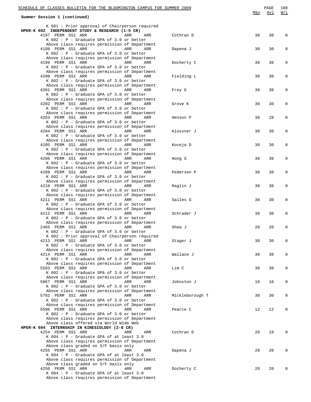| SCHEDULE OF CLASSES BULLETIN FOR THE BLOOMINGTON CAMPUS FOR SUMMER 2009                              |                 |     | PAGE<br>Avl | 188<br>W/L  |
|------------------------------------------------------------------------------------------------------|-----------------|-----|-------------|-------------|
| Summer Session 1 (continued)                                                                         |                 | Max |             |             |
| K 601 : Prior approval of Chairperson required                                                       |                 |     |             |             |
| HPER-K 602 INDEPENDENT STUDY & RESEARCH (1-5 CR)<br>4197 PERM SS1 ARR<br>ARR<br>ARR                  | Cothran D       | 30  | 30          | $\mathbf 0$ |
| $K$ 602 : P - Graduate GPA of 3.0 or better                                                          |                 |     |             |             |
| Above class requires permission of Department<br>4198 PERM SS1 ARR<br><b>Example 2018</b> ARR<br>ARR | Dapena J        | 30  | 30          | 0           |
| K 602 : P - Graduate GPA of 3.0 or better<br>Above class requires permission of Department           |                 |     |             |             |
| 4199 PERM SS1 ARR<br>ARR<br>ARR                                                                      | Docherty C      | 30  | 30          | 0           |
| K 602 : P - Graduate GPA of 3.0 or better<br>Above class requires permission of Department           |                 |     |             |             |
| 4200 PERM SS1 ARR<br>ARR<br>ARR                                                                      | Fielding L      | 30  | 30          | 0           |
| K 602 : P - Graduate GPA of 3.0 or better<br>Above class requires permission of Department           |                 |     |             |             |
| 4201 PERM SS1 ARR<br>ARR<br>ARR                                                                      | Frey G          | 30  | 30          | 0           |
| K 602 : P - Graduate GPA of 3.0 or better<br>Above class requires permission of Department           |                 |     |             |             |
| 4202 PERM SS1 ARR<br><b>Example 2018</b> ARR<br>ARR                                                  | Grove K         | 30  | 30          | 0           |
| K 602 : P - Graduate GPA of 3.0 or better<br>Above class requires permission of Department           |                 |     |             |             |
| 4203 PERM SS1 ARR<br>ARR<br>ARR                                                                      | Henson P        | 30  | 28          | 0           |
| K 602 : P - Graduate GPA of 3.0 or better<br>Above class requires permission of Department           |                 |     |             |             |
| 4204 PERM SS1 ARR<br>ARR<br>ARR                                                                      | Klossner J      | 30  | 30          | 0           |
| K 602 : P - Graduate GPA of 3.0 or better<br>Above class requires permission of Department           |                 |     |             |             |
| 4205 PERM SS1 ARR<br>ARR<br>ARR<br>K 602 : P - Graduate GPA of 3.0 or better                         | Koceja D        | 30  | 30          | 0           |
| Above class requires permission of Department                                                        |                 |     |             |             |
| 4206 PERM SS1 ARR<br>ARR<br>ARR<br>K 602 : P - Graduate GPA of 3.0 or better                         | Hong S          | 30  | 30          | 0           |
| Above class requires permission of Department                                                        |                 |     |             |             |
| 4209 PERM SS1 ARR<br>ARR<br>ARR<br>K 602 : P - Graduate GPA of 3.0 or better                         | Pedersen P      | 30  | 30          | 0           |
| Above class requires permission of Department                                                        |                 |     |             |             |
| 4210 PERM SS1 ARR<br>ARR<br>ARR<br>K 602 : P - Graduate GPA of 3.0 or better                         | Raglin J        | 30  | 30          | 0           |
| Above class requires permission of Department                                                        |                 |     |             |             |
| 4211 PERM SS1 ARR<br>ARR<br>ARR<br>$K$ 602 : P - Graduate GPA of 3.0 or better                       | Sailes G        | 30  | 30          | 0           |
| Above class requires permission of Department<br>ARR                                                 |                 |     |             |             |
| 4212 PERM SS1 ARR<br>ARR<br>K 602 : P - Graduate GPA of 3.0 or better                                | Schrader J      | 30  | 30          | 0           |
| Above class requires permission of Department<br>2465 PERM SS1 ARR<br>ARR<br>ARR                     | Shea J          | 20  | 20          | 0           |
| $K$ 602 : P - Graduate GPA of 3.0 or better                                                          |                 |     |             |             |
| K 602 : Prior approval of Chairperson required<br>4213 PERM SS1 ARR<br>ARR<br>ARR                    | Stager J        | 30  | 30          | 0           |
| K 602 : P - Graduate GPA of 3.0 or better                                                            |                 |     |             |             |
| Above class requires permission of Department<br>4214 PERM SS1 ARR<br>ARR<br>ARR                     | Wallace J       | 30  | 30          | 0           |
| $K$ 602 : P - Graduate GPA of 3.0 or better                                                          |                 |     |             |             |
| Above class requires permission of Department<br>5503 PERM SS1 ARR<br>ARR<br>ARR                     | Lim C           | 30  | 30          | 0           |
| K 602 : P - Graduate GPA of 3.0 or better                                                            |                 |     |             |             |
| Above class requires permission of Department<br>5067 PERM SS1 ARR<br>ARR<br>ARR                     | Johnston J      | 10  | 10          | 0           |
| $K$ 602 : P - Graduate GPA of 3.0 or better                                                          |                 |     |             |             |
| Above class requires permission of Department<br>5702 PERM SS1 ARR<br>ARR<br>ARR                     | Mickleborough T | 30  | 30          | 0           |
| K 602 : P - Graduate GPA of 3.0 or better                                                            |                 |     |             |             |
| Above class requires permission of Department<br>5596 PERM SS1 ARR<br>ARR<br>ARR                     | Pearce C        | 12  | 12          | 0           |
| K 602 : P - Graduate GPA of 3.0 or better                                                            |                 |     |             |             |
| Above class requires permission of Department<br>Above class offered via World Wide Web              |                 |     |             |             |
| HPER-K 604 INTERNSHIP IN KINESIOLOGY (2-8 CR)                                                        |                 |     |             |             |
| 4254 PERM SS1 ARR<br>ARR<br>ARR<br>$K$ 604 : P - Graduate GPA of at least 3.0                        | Cothran D       | 20  | 19          | 0           |
| Above class requires permission of Department                                                        |                 |     |             |             |
| Above class graded on S/F basis only<br>4255 PERM SS1 ARR<br>ARR<br>ARR                              | Dapena J        | 20  | 20          | 0           |
| K 604 : P - Graduate GPA of at least 3.0                                                             |                 |     |             |             |
| Above class requires permission of Department<br>Above class graded on S/F basis only                |                 |     |             |             |
| 4256 PERM SS1 ARR<br>ARR<br>ARR<br>K 604 : P - Graduate GPA of at least 3.0                          | Docherty C      | 20  | 20          | 0           |
| Above class requires permission of Department                                                        |                 |     |             |             |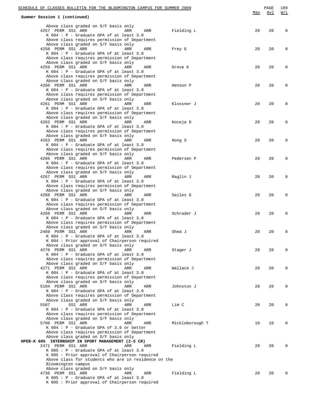| SCHEDULE OF CLASSES BULLETIN FOR THE BLOOMINGTON CAMPUS FOR SUMMER 2009                        |                 | Max    | PAGE<br><u>Avl</u> | 189<br>W/L |
|------------------------------------------------------------------------------------------------|-----------------|--------|--------------------|------------|
| Summer Session 1 (continued)                                                                   |                 |        |                    |            |
| Above class graded on S/F basis only                                                           |                 |        |                    |            |
| 4257 PERM SS1 ARR<br>ARR<br>ARR<br>$K$ 604 : P - Graduate GPA of at least 3.0                  | Fielding L      | 20     | 20                 | 0          |
| Above class requires permission of Department                                                  |                 |        |                    |            |
| Above class graded on S/F basis only<br>4258 PERM SS1 ARR<br>ARR<br>ARR                        | Frey G          | 20     | 20                 | 0          |
| K $604$ : P - Graduate GPA of at least 3.0                                                     |                 |        |                    |            |
| Above class requires permission of Department                                                  |                 |        |                    |            |
| Above class graded on S/F basis only<br>4259 PERM SS1 ARR<br>ARR<br>ARR                        | Grove K         | 20     | 20                 | 0          |
| K $604$ : P - Graduate GPA of at least 3.0                                                     |                 |        |                    |            |
| Above class requires permission of Department<br>Above class graded on S/F basis only          |                 |        |                    |            |
| 4260 PERM SS1 ARR<br>ARR<br>ARR                                                                | Henson P        | 20     | 20                 | 0          |
| K 604 : P - Graduate GPA of at least 3.0<br>Above class requires permission of Department      |                 |        |                    |            |
| Above class graded on S/F basis only                                                           |                 |        |                    |            |
| 4261 PERM SS1 ARR<br>ARR<br>ARR<br>K 604 : P - Graduate GPA of at least 3.0                    | Klossner J      | 20     | 20                 | 0          |
| Above class requires permission of Department                                                  |                 |        |                    |            |
| Above class graded on S/F basis only<br>4262 PERM SS1 ARR<br>ARR<br>ARR                        | Koceja D        | 20     | 20                 | 0          |
| K 604 : P - Graduate GPA of at least 3.0                                                       |                 |        |                    |            |
| Above class requires permission of Department                                                  |                 |        |                    |            |
| Above class graded on S/F basis only<br>4263 PERM SS1 ARR<br>ARR<br>ARR                        | Hong S          | 20     | 20                 | 0          |
| K 604 : P - Graduate GPA of at least 3.0                                                       |                 |        |                    |            |
| Above class requires permission of Department<br>Above class graded on S/F basis only          |                 |        |                    |            |
| 4266 PERM SS1 ARR<br>ARR<br>ARR                                                                | Pedersen P      | 20     | 20                 | 0          |
| K 604 : P - Graduate GPA of at least 3.0<br>Above class requires permission of Department      |                 |        |                    |            |
| Above class graded on S/F basis only                                                           |                 |        |                    |            |
| 4267 PERM SS1 ARR<br>ARR<br>ARR<br>K 604 : P - Graduate GPA of at least 3.0                    | Raglin J        | 20     | 20                 | 0          |
| Above class requires permission of Department                                                  |                 |        |                    |            |
| Above class graded on S/F basis only<br>4268 PERM SS1 ARR<br>ARR                               |                 |        | 20                 |            |
| ARR<br>K 604 : P - Graduate GPA of at least 3.0                                                | Sailes G        | 20     |                    | 0          |
| Above class requires permission of Department                                                  |                 |        |                    |            |
| Above class graded on S/F basis only<br>4269 PERM SS1 ARR<br>ARR<br>ARR                        | Schrader J      | 20     | 20                 | 0          |
| K 604 : P - Graduate GPA of at least 3.0                                                       |                 |        |                    |            |
| Above class requires permission of Department<br>Above class graded on S/F basis only          |                 |        |                    |            |
| 2469 PERM SS1 ARR ARR ARR<br>ARR                                                               | Shea J          | $20\,$ | 20                 |            |
| $K$ 604 : $P$ - Graduate GPA of at least 3.0<br>K 604 : Prior approval of Chairperson required |                 |        |                    |            |
| Above class graded on S/F basis only                                                           |                 |        |                    |            |
| 4270 PERM SS1 ARR<br>ARR<br>ARR<br>K 604 : P - Graduate GPA of at least 3.0                    | Stager J        | 20     | 20                 | 0          |
| Above class requires permission of Department                                                  |                 |        |                    |            |
| Above class graded on S/F basis only<br>4271 PERM SS1 ARR<br>ARR<br>ARR                        | Wallace J       | 20     | 20                 | 0          |
| K 604 : P - Graduate GPA of at least 3.0                                                       |                 |        |                    |            |
| Above class requires permission of Department                                                  |                 |        |                    |            |
| Above class graded on S/F basis only<br>5104 PERM SS1 ARR<br>ARR<br>ARR                        | Johnston J      | 20     | 20                 | 0          |
| K 604 : P - Graduate GPA of at least 3.0                                                       |                 |        |                    |            |
| Above class requires permission of Department<br>Above class graded on S/F basis only          |                 |        |                    |            |
| 5507<br>SS1 ARR<br>ARR<br>ARR                                                                  | Lim C           | 20     | 20                 | 0          |
| $K$ 604 : P - Graduate GPA of at least 3.0<br>Above class requires permission of Department    |                 |        |                    |            |
| Above class graded on S/F basis only                                                           |                 |        |                    |            |
| 5706 PERM SS1 ARR<br>ARR<br>ARR<br>$K$ 604 : P - Graduate GPA of 3.0 or better                 | Mickleborough T | 10     | 10                 | 0          |
| Above class requires permission of Department                                                  |                 |        |                    |            |
| Above class graded on S/F basis only<br>HPER-K 605 INTERNSHIP IN SPORT MANAGEMENT (2-5 CR)     |                 |        |                    |            |
| 2471 PERM SS1 ARR<br>ARR<br>ARR                                                                | Fielding L      | 20     | 20                 | 0          |
| $K$ 605 : P - Graduate GPA of at least 3.0<br>K 605 : Prior approval of Chairperson required   |                 |        |                    |            |
| Above class for students who are in residence on the                                           |                 |        |                    |            |
| Bloomington campus                                                                             |                 |        |                    |            |
| Above class graded on S/F basis only<br>4736 PERM SS1 ARR<br>ARR<br>ARR                        | Fielding L      | 20     | 20                 |            |
| $K$ 605 : P - Graduate GPA of at least 3.0                                                     |                 |        |                    |            |
| K 605 : Prior approval of Chairperson required                                                 |                 |        |                    |            |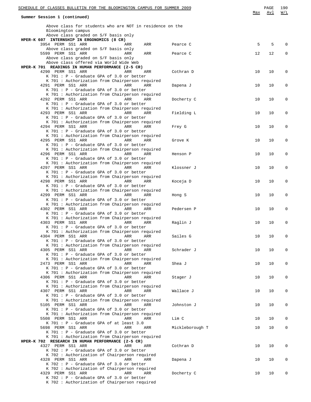| SCHEDULE OF CLASSES BULLETIN FOR THE BLOOMINGTON CAMPUS FOR SUMMER 2009                              | Max | PAGE<br>Avl | 190<br>W/L   |
|------------------------------------------------------------------------------------------------------|-----|-------------|--------------|
| Summer Session 1 (continued)                                                                         |     |             |              |
| Above class for students who are NOT in residence on the                                             |     |             |              |
| Bloomington campus<br>Above class graded on S/F basis only                                           |     |             |              |
| HPER-K 607 INTERNSHIP IN ERGONOMICS (8 CR)                                                           |     |             |              |
| 3954 PERM SS1 ARR<br>ARR<br>Pearce C<br>ARR                                                          | 5   | 5           | $\Omega$     |
| Above class graded on S/F basis only                                                                 |     |             |              |
| 5599 PERM SS1 ARR<br>ARR<br>ARR<br>Pearce C<br>Above class graded on S/F basis only                  | 12  | 12          | $\mathbf{0}$ |
| Above class offered via World Wide Web                                                               |     |             |              |
| HPER-K 701 READINGS IN HUMAN PERFORMANCE (2-5 CR)                                                    |     |             |              |
| 4290 PERM SS1 ARR<br>ARR<br>Cothran D<br>ARR                                                         | 10  | 10          | $\mathbf{0}$ |
| K 701 : P - Graduate GPA of 3.0 or better<br>K 701 : Authorization from Chairperson required         |     |             |              |
| 4291 PERM SS1 ARR<br>ARR<br>Dapena J<br>ARR                                                          | 10  | 10          | 0            |
| K 701 : P - Graduate GPA of 3.0 or better                                                            |     |             |              |
| K 701 : Authorization from Chairperson required                                                      |     |             |              |
| 4292 PERM SS1 ARR<br>ARR<br>ARR<br>Docherty C                                                        | 10  | 10          | 0            |
| K 701 : P - Graduate GPA of 3.0 or better<br>K 701 : Authorization from Chairperson required         |     |             |              |
| 4293 PERM SS1 ARR<br>ARR<br>ARR<br>Fielding L                                                        | 10  | 10          | 0            |
| K 701 : P - Graduate GPA of 3.0 or better                                                            |     |             |              |
| K 701 : Authorization from Chairperson required                                                      |     |             |              |
| 4294 PERM SS1 ARR<br>ARR<br>Frey G<br>ARR<br>K 701 : P - Graduate GPA of 3.0 or better               | 10  | 10          | 0            |
| K 701 : Authorization from Chairperson required                                                      |     |             |              |
| 4295 PERM SS1 ARR<br>ARR<br>ARR<br>Grove K                                                           | 10  | 10          | 0            |
| K 701 : P - Graduate GPA of 3.0 or better                                                            |     |             |              |
| K 701 : Authorization from Chairperson required                                                      |     |             |              |
| 4296 PERM SS1 ARR<br>ARR<br>ARR<br>Henson P<br>K 701 : P - Graduate GPA of 3.0 or better             | 10  | 10          | 0            |
| K 701 : Authorization from Chairperson required                                                      |     |             |              |
| 4297 PERM SS1 ARR<br>ARR<br>ARR<br>Klossner J                                                        | 10  | 10          | 0            |
| K 701 : P - Graduate GPA of 3.0 or better                                                            |     |             |              |
| K 701 : Authorization from Chairperson required<br>4298 PERM SS1 ARR<br>ARR<br>ARR                   | 10  | 10          | 0            |
| Koceja D<br>K 701 : P - Graduate GPA of 3.0 or better                                                |     |             |              |
| K 701 : Authorization from Chairperson required                                                      |     |             |              |
| 4299 PERM SS1 ARR<br>ARR<br>ARR<br>Hong S                                                            | 10  | 10          | 0            |
| K 701 : P - Graduate GPA of 3.0 or better                                                            |     |             |              |
| K 701 : Authorization from Chairperson required<br>4302 PERM SS1 ARR<br>ARR<br>ARR<br>Pedersen P     | 10  | 10          | 0            |
| K 701 : P - Graduate GPA of 3.0 or better                                                            |     |             |              |
| K 701 : Authorization from Chairperson required                                                      |     |             |              |
| 4303 PERM SS1 ARR<br>ARR<br>ARR<br>Raglin J                                                          | 10  | 10          | 0            |
| $K$ 701 : P - Graduate GPA of 3.0 or better                                                          |     |             |              |
| K 701 : Authorization from Chairperson required<br>4304 PERM SS1 ARR<br>Sailes G<br>ARR<br>ARR       | 10  | 10          | 0            |
| $K$ 701 : P - Graduate GPA of 3.0 or better                                                          |     |             |              |
| K 701 : Authorization from Chairperson required                                                      |     |             |              |
| 4305 PERM SS1 ARR<br>ARR<br>ARR<br>Schrader J                                                        | 10  | 10          | 0            |
| K 701 : P - Graduate GPA of 3.0 or better                                                            |     |             |              |
| K 701 : Authorization from Chairperson required<br>2473 PERM SS1 ARR<br>ARR<br>Shea J<br>ARR         | 10  | 10          | 0            |
| K 701 : P - Graduate GPA of 3.0 or better                                                            |     |             |              |
| K 701 : Authorization from Chairperson required                                                      |     |             |              |
| 4306 PERM SS1 ARR<br>ARR<br>ARR<br>Stager J                                                          | 10  | 10          | 0            |
| K 701 : P - Graduate GPA of 3.0 or better                                                            |     |             |              |
| K 701 : Authorization from Chairperson required<br>4307 PERM SS1 ARR<br>ARR<br>ARR<br>Wallace J      | 10  | 10          | 0            |
| K 701 : P - Graduate GPA of 3.0 or better                                                            |     |             |              |
| K 701 : Authorization from Chairperson required                                                      |     |             |              |
| 5105 PERM SS1 ARR<br>ARR<br>ARR<br>Johnston J                                                        | 10  | 10          | 0            |
| K 701 : P - Graduate GPA of 3.0 or better                                                            |     |             |              |
| K 701 : Authorization from Chairperson required<br>5508 PERM SS1 ARR<br>Lim C<br>ARR<br>ARR          | 10  | 10          | 0            |
| K 701 : P - Graduate GPA of at least 3.0                                                             |     |             |              |
| 5698 PERM SS1 ARR<br>ARR<br>Mickleborough T<br>ARR                                                   | 10  | 10          | 0            |
| K 701 : P - Graduate GPA of 3.0 or better                                                            |     |             |              |
| K 701 : Authorization from Chairperson required<br>HPER-K 702 RESEARCH IN HUMAN PERFORMANCE (2-5 CR) |     |             |              |
| 4327 PERM SS1 ARR<br>Cothran D<br>ARR<br>ARR                                                         | 10  | 10          | 0            |
| K 702 : P - Graduate GPA of 3.0 or better                                                            |     |             |              |
| K 702 : Authorization of Chairperson required                                                        |     |             |              |
| 4328 PERM SS1 ARR<br>ARR<br>Dapena J<br>ARR                                                          | 10  | 10          | 0            |
| K 702 : P - Graduate GPA of 3.0 or better<br>K 702 : Authorization of Chairperson required           |     |             |              |
| 4329 PERM SS1 ARR<br>Docherty C<br>ARR<br>ARR                                                        | 10  | 10          | 0            |
| K 702 : P - Graduate GPA of 3.0 or better                                                            |     |             |              |
| K 702 : Authorization of Chairperson required                                                        |     |             |              |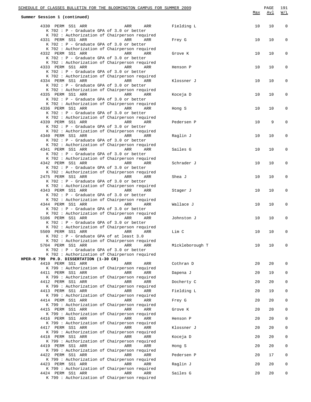|                                                                                                                     | SCHEDULE OF CLASSES BULLETIN FOR THE BLOOMINGTON CAMPUS FOR SUMMER 2009 |                 | Max | PAGE<br><u>Avl</u> | 191<br>W/L  |
|---------------------------------------------------------------------------------------------------------------------|-------------------------------------------------------------------------|-----------------|-----|--------------------|-------------|
| Summer Session 1 (continued)                                                                                        |                                                                         |                 |     |                    |             |
| 4330 PERM SS1 ARR<br>K 702 : P - Graduate GPA of 3.0 or better                                                      | ARR<br>ARR                                                              | Fielding L      | 10  | 10                 | $\mathbf 0$ |
| K 702 : Authorization of Chairperson required<br>4331 PERM SS1 ARR<br>K 702 : P - Graduate GPA of 3.0 or better     | ARR<br>ARR                                                              | Frey G          | 10  | 10                 | $\mathbf 0$ |
| K 702 : Authorization of Chairperson required<br>4332 PERM SS1 ARR<br>K 702 : P - Graduate GPA of 3.0 or better     | ARR<br>ARR                                                              | Grove K         | 10  | 10                 | $\mathbf 0$ |
| K 702 : Authorization of Chairperson required<br>4333 PERM SS1 ARR<br>K 702 : P - Graduate GPA of 3.0 or better     | ARR<br>ARR                                                              | Henson P        | 10  | 10                 | 0           |
| K 702 : Authorization of Chairperson required<br>4334 PERM SS1 ARR<br>K 702 : P - Graduate GPA of 3.0 or better     | ARR<br>ARR                                                              | Klossner J      | 10  | 10                 | $\mathbf 0$ |
| K 702 : Authorization of Chairperson required<br>4335 PERM SS1 ARR<br>K 702 : P - Graduate GPA of 3.0 or better     | ARR<br>ARR                                                              | Koceja D        | 10  | 10                 | $\mathbf 0$ |
| K 702 : Authorization of Chairperson required<br>4336 PERM SS1 ARR<br>K 702 : P - Graduate GPA of 3.0 or better     | ARR<br>ARR                                                              | Hong S          | 10  | 10                 | $\mathbf 0$ |
| K 702 : Authorization of Chairperson required<br>4339 PERM SS1 ARR<br>K 702 : P - Graduate GPA of 3.0 or better     | ARR<br>ARR                                                              | Pedersen P      | 10  | 9                  | $\mathbf 0$ |
| K 702 : Authorization of Chairperson required<br>4340 PERM SS1 ARR<br>K 702 : P - Graduate GPA of 3.0 or better     | <b>ARR</b><br>ARR                                                       | Raglin J        | 10  | 10                 | 0           |
| K 702 : Authorization of Chairperson required<br>4341 PERM SS1 ARR<br>K 702 : P - Graduate GPA of 3.0 or better     | ARR<br>ARR                                                              | Sailes G        | 10  | 10                 | $\mathbf 0$ |
| K 702 : Authorization of Chairperson required<br>4342 PERM SS1 ARR<br>K 702 : P - Graduate GPA of 3.0 or better     | ARR<br>ARR                                                              | Schrader J      | 10  | 10                 | 0           |
| K 702 : Authorization of Chairperson required<br>2475 PERM SS1 ARR<br>K 702 : P - Graduate GPA of 3.0 or better     | ARR<br>ARR                                                              | Shea J          | 10  | 10                 | $\mathbf 0$ |
| K 702 : Authorization of Chairperson required<br>4343 PERM SS1 ARR<br>K 702 : P - Graduate GPA of 3.0 or better     | <b>ARR</b><br>ARR                                                       | Stager J        | 10  | 10                 | $\mathsf 0$ |
| K 702 : Authorization of Chairperson required<br>4344 PERM SS1 ARR<br>K 702 : P - Graduate GPA of 3.0 or better     | ARR<br>ARR                                                              | Wallace J       | 10  | 10                 | 0           |
| K 702 : Authorization of Chairperson required<br>5106 PERM SS1 ARR<br>K 702 : P - Graduate GPA of 3.0 or better     | ARR<br>ARR                                                              | Johnston J      | 10  | 10                 | $\mathsf 0$ |
| K 702 : Authorization of Chairperson required<br>5509 PERM SS1 ARR<br>$K$ 702 : P - Graduate GPA of at least 3.0    | ARR<br>ARR                                                              | Lim C           | 10  | 10                 | U           |
| K 702 : Authorization of Chairperson required<br>5704 PERM SS1 ARR<br>K 702 : P - Graduate GPA of 3.0 or better     | ARR<br>ARR                                                              | Mickleborough T | 10  | 10                 | $\mathbf 0$ |
| K 702 : Authorization of Chairperson required<br>HPER-K 799 PH.D. DISSERTATION (1-30 CR)                            |                                                                         |                 |     |                    |             |
| 4410 PERM SS1 ARR<br>K 799 : Authorization of Chairperson required                                                  | ARR<br>ARR                                                              | Cothran D       | 20  | 20                 | 0           |
| 4411 PERM SS1 ARR<br>K 799 : Authorization of Chairperson required                                                  | ARR<br>ARR                                                              | Dapena J        | 20  | 19                 | 0           |
| 4412 PERM SS1 ARR<br>K 799 : Authorization of Chairperson required                                                  | ARR<br>ARR                                                              | Docherty C      | 20  | 20                 | 0           |
| 4413 PERM SS1 ARR<br>K 799 : Authorization of Chairperson required                                                  | ARR<br>ARR                                                              | Fielding L      | 20  | 19                 | 0           |
| 4414 PERM SS1 ARR<br>K 799 : Authorization of Chairperson required                                                  | ARR<br>ARR                                                              | Frey G          | 20  | 20                 | 0           |
| 4415 PERM SS1 ARR                                                                                                   | ARR<br>ARR                                                              | Grove K         | 20  | 20                 | 0           |
| K 799 : Authorization of Chairperson required<br>4416 PERM SS1 ARR                                                  | ARR<br>ARR                                                              | Henson P        | 20  | 20                 | 0           |
| K 799 : Authorization of Chairperson required<br>4417 PERM SS1 ARR                                                  | ARR<br>ARR                                                              | Klossner J      | 20  | 20                 | 0           |
| K 799 : Authorization of Chairperson required<br>4418 PERM SS1 ARR<br>K 799 : Authorization of Chairperson required | ARR<br>ARR                                                              | Koceja D        | 20  | 20                 | 0           |
| 4419 PERM SS1 ARR                                                                                                   | ARR<br>ARR                                                              | Hong S          | 20  | 20                 | 0           |
| K 799 : Authorization of Chairperson required<br>4422 PERM SS1 ARR<br>K 799 : Authorization of Chairperson required | ARR<br>ARR                                                              | Pedersen P      | 20  | 17                 | 0           |
| 4423 PERM SS1 ARR<br>K 799 : Authorization of Chairperson required                                                  | ARR<br>ARR                                                              | Raglin J        | 20  | 20                 | 0           |
| 4424 PERM SS1 ARR<br>K 799 : Authorization of Chairperson required                                                  | ARR<br>ARR                                                              | Sailes G        | 20  | 20                 | 0           |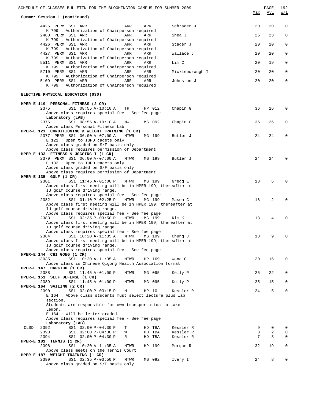| SCHEDULE OF CLASSES BULLETIN FOR THE BLOOMINGTON CAMPUS FOR SUMMER 2009                             |                        |        | PAGE                | 192          |
|-----------------------------------------------------------------------------------------------------|------------------------|--------|---------------------|--------------|
| Summer Session 1 (continued)                                                                        |                        | Max    | Avl                 | W/L          |
| 4425 PERM SS1 ARR<br>ARR<br>ARR<br>K 799 : Authorization of Chairperson required                    | Schrader J             | 20     | 20                  | $\mathbf 0$  |
| 2480 PERM SS1 ARR<br>ARR<br>ARR<br>K 799 : Authorization of Chairperson required                    | Shea J                 | 25     | 23                  | $\mathbf 0$  |
| 4426 PERM SS1 ARR<br>ARR<br>ARR<br>K 799 : Authorization of Chairperson required                    | Stager J               | 20     | 20                  | $\mathbf 0$  |
| 4427 PERM SS1 ARR<br>ARR<br>ARR<br>K 799 : Authorization of Chairperson required                    | Wallace J              | 20     | 20                  | $\mathbf{0}$ |
| 5511 PERM SS1 ARR<br>ARR<br>ARR<br>K 799 : Authorization of Chairperson required                    | Lim C                  | 20     | 19                  | $\mathbf 0$  |
| 5710 PERM SS1 ARR<br>ARR<br>ARR<br>K 799 : Authorization of Chairperson required                    | Mickleborough T        | 20     | 20                  | $\mathbf 0$  |
| 5109 PERM SS1 ARR<br>ARR<br>ARR<br>K 799 : Authorization of Chairperson required                    | Johnston J             | 20     | 20                  | $\mathbf 0$  |
| ELECTIVE PHYSICAL EDUCATION (030)                                                                   |                        |        |                     |              |
| HPER-E 119 PERSONAL FITNESS (2 CR)                                                                  |                        |        |                     |              |
| 2375<br>SS1 08:55 A-10:10 A<br>HP 012<br>TR<br>Above class requires special fee - See fee page      | Chapin G               | 36     | 26                  | 0            |
| Laboratory (LAB)<br>SS1 08:55 A-10:10 A<br>2376<br>MG 092<br>MM                                     | Chapin G               | 36     | 26                  | 0            |
| Above class Personal Fitness Lab                                                                    |                        |        |                     |              |
| HPER-E 121 CONDITIONING & WEIGHT TRAINING (1 CR)<br>2377 PERM SS1 06:00 A-07:00 A<br>MTWR<br>MG 199 | Butler J               | 24     | 24                  | 0            |
| E 121 : Open to IUPD cadets only<br>Above class graded on S/F basis only                            |                        |        |                     |              |
| Above class requires permission of Department<br>HPER-E 133 FITNESS & JOGGING I (1 CR)              |                        |        |                     |              |
| 2379 PERM SS1 06:00 A-07:00 A<br>MG 199<br>MTWR                                                     | Butler J               | 24     | 24                  | $\Omega$     |
| E 133 : Open to IUPD cadets only<br>Above class graded on S/F basis only                            |                        |        |                     |              |
| Above class requires permission of Department                                                       |                        |        |                     |              |
| HPER-E 135 GOLF (1 CR)<br>2381<br>SS1 11:45 A-01:00 P<br>MTWR<br>MG 199                             | Gregg E                | 18     | 6                   | $\Omega$     |
| Above class first meeting will be in HPER 199; thereafter at<br>IU golf course driving range.       |                        |        |                     |              |
| Above class requires special fee - See fee page<br>2382<br>SS1 01:10 P-02:25 P<br>MTWR<br>MG 199    | Mason C                | 18     | 2                   | $\Omega$     |
| Above class first meeting will be in HPER 199; thereafter at<br>IU golf course driving range.       |                        |        |                     |              |
| Above class requires special fee - See fee page<br>SS1 02:35 P-03:50 P<br>2383<br>MTWR<br>MG 199    | Kim K                  | 18     | 4                   | O            |
| Above class first meeting will be in HPER 199; thereafter at                                        |                        |        |                     |              |
| IU golf course driving range.<br>Above class requires special fee - See fee page                    |                        |        |                     |              |
| SS1 10:20 A-11:35 A<br>2384<br>MTWR<br>MG 199                                                       | Chung J                | 18     | 9                   | $\Omega$     |
| Above class first meeting will be in HPER 199; thereafter at<br>IU golf course driving range.       |                        |        |                     |              |
| Above class requires special fee - See fee page                                                     |                        |        |                     |              |
| HPER-E 144 CHI GONG (1 CR)<br>13035<br>SS1 10:20 A-11:35 A<br>MTWR<br>HP 169                        | Wang C                 | 20     | 15                  | $\Omega$     |
| Above class is Chinese Qigong Health Association format<br>HPER-E 147 HAPKIDO (1 CR)                |                        |        |                     |              |
| 2388<br>SS1 11:45 A-01:00 P<br>MG 095<br>MTWR                                                       | Kelly P                | 25     | 22                  | 0            |
| HPER-E 151 SELF DEFENSE (1 CR)<br>2389<br>SS1 11:45 A-01:00 P<br>MG 095<br>MTWR                     | Kelly P                | 25     | 15                  | 0            |
| HPER-E 164 SAILING (2 CR)<br>2390<br>SS1 02:00 P-03:15 P<br>HP 10<br>М                              | Kessler R              | 24     | 5                   | 0            |
| E 164 : Above class students must select lecture plus lab<br>section.                               |                        |        |                     |              |
| Students are responsible for own transportation to Lake                                             |                        |        |                     |              |
| Lemon.<br>E 164 : Will be letter graded                                                             |                        |        |                     |              |
| Above class requires special fee - See fee page<br>Laboratory (LAB)                                 |                        |        |                     |              |
| 2392<br>SS1 02:00 P-04:30 P<br>CLSD<br>HD TBA<br>т                                                  | Kessler R              | 9      | 0                   | 0            |
| 2393<br>SS1 02:00 P-04:30 P<br>HD TBA<br>W<br>2394<br>SS1 02:00 P-04:30 P<br>HD TBA<br>R            | Kessler R<br>Kessler R | 8<br>7 | $\overline{c}$<br>3 | 0<br>0       |
| HPER-E $181$ TENNIS $(1 \text{ CR})$                                                                |                        |        |                     |              |
| 2398<br>SS1 10:20 A-11:35 A<br>MTWR<br>HP 199<br>Above class meets on the Tennis Court              | Morgan R               | 32     | 19                  | 0            |
| HPER-E 187 WEIGHT TRAINING (1 CR)<br>2399<br>SS1 02:35 P-03:50 P<br>MG 092<br>MTWR                  | Ivery I                | 24     | 8                   | $\Omega$     |
| Above class graded on S/F basis only                                                                |                        |        |                     |              |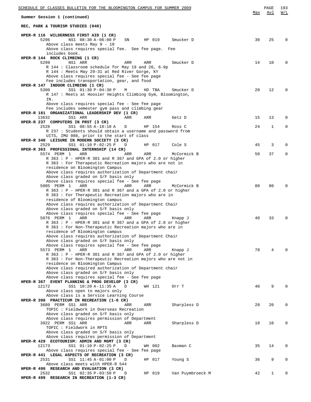| SCHEDULE OF CLASSES BULLETIN FOR THE BLOOMINGTON CAMPUS FOR SUMMER 2009                              |     |        |                  |     | PAGE | 193      |
|------------------------------------------------------------------------------------------------------|-----|--------|------------------|-----|------|----------|
| Summer Session 1 (continued)                                                                         |     |        |                  | Max | Avl  | W/L      |
| REC, PARK & TOURISM STUDIES (040)                                                                    |     |        |                  |     |      |          |
| HPER-R 116 WILDERNESS FIRST AID (1 CR)                                                               |     |        |                  |     |      |          |
| 5296<br>NS1 08:30 A-06:00 P                                                                          | SN  | HP 019 | Smucker D        | 30  | 25   | 0        |
| Above class meets May 9 - 10<br>Above class requires special fee. See fee page. Fee                  |     |        |                  |     |      |          |
| includes book.                                                                                       |     |        |                  |     |      |          |
| HPER-R 144 ROCK CLIMBING (1 CR)                                                                      |     |        |                  |     |      |          |
| 5299<br>NS1 ARR                                                                                      | ARR | ARR    | Smucker D        | 14  | 10   | 0        |
| R 144 : Classroom schedule for May 19 and 26, 6-9p<br>R 144 : Meets May 29-31 at Red River Gorge, KY |     |        |                  |     |      |          |
| Above class requires special fee - See fee page                                                      |     |        |                  |     |      |          |
| Fee includes transportation, gear, and food                                                          |     |        |                  |     |      |          |
| HPER-R 147 INDOOR CLIMBING (1 CR)                                                                    |     |        |                  |     |      |          |
| SS1 01:30 P-04:30 P<br>5300                                                                          | М   | HD TBA | Smucker D        | 20  | 12   | 0        |
| R 147 : Meets at Hoosier Heights Climbing Gym, Bloomington,                                          |     |        |                  |     |      |          |
| IN.<br>Above class requires special fee - See fee page                                               |     |        |                  |     |      |          |
| Fee includes semester gym pass and climbing gear                                                     |     |        |                  |     |      |          |
| HPER-R 181 ORGANIZATIONAL LEADERSHIP DEV (1 CR)                                                      |     |        |                  |     |      |          |
| 13632<br>SS1 ARR                                                                                     | ARR | ARR    | Getz D           | 15  | 13   | $\Omega$ |
| HPER-R 237 COMPUTERS IN PRST (3 CR)                                                                  |     |        |                  |     |      |          |
| 2528<br>SS1 08:55 A-10:10 A<br>R 237: Students should obtain a username and password from            | D   | HP 154 | Ross C           | 24  | 1    | 0        |
| UITS, IMU 088, prior to the start of class                                                           |     |        |                  |     |      |          |
| HPER-R 340 LEISURE IN MODERN SOCIETY (3 CR)                                                          |     |        |                  |     |      |          |
| 2529<br>SS1 01:10 P-02:25 P                                                                          | D   | HP 017 | Cole S           | 45  | 3    | 0        |
| HPER-R 363 PROFESSIONAL INTERNSHIP (14 CR)                                                           |     |        |                  |     |      |          |
| 5574 PERM 1<br>ARR<br>R $363 : P - HPER-R 301$ and R $367$ and GPA of 2.0 or higher                  | ARR | ARR    | McCormick B      | 50  | 37   | 0        |
| R 363 : For Therapeutic Recreation majors who are not in                                             |     |        |                  |     |      |          |
| residence on Bloomington Campus                                                                      |     |        |                  |     |      |          |
| Above class requires authorization of Department chair                                               |     |        |                  |     |      |          |
| Above class graded on S/F basis only                                                                 |     |        |                  |     |      |          |
| Above class requires special fee - See fee page<br>5005 PERM 1<br>ARR                                | ARR | ARR    | McCormick B      | 80  | 80   |          |
| R 363 : P - HPER-R 301 and R 367 and a GPA of 2.0 or higher                                          |     |        |                  |     |      |          |
| R 363 : For Therapeutic Recreation majors who are in                                                 |     |        |                  |     |      |          |
| residence of Bloomington campus                                                                      |     |        |                  |     |      |          |
| Above class requires authorization of Department Chair                                               |     |        |                  |     |      |          |
| Above class graded on S/F basis only<br>Above class requires special fee - See fee page              |     |        |                  |     |      |          |
| 5076 PERM 1<br>ARR                                                                                   | ARR | ARR    | Knapp J          | 40  | 33   | 0        |
| R 363 : P - HPER-R 301 and R 367 and a GPA of 2.0 or higher                                          |     |        |                  |     |      |          |
| R 363 : For Non-Therapeutic Recreation majors who are in                                             |     |        |                  |     |      |          |
| residence of Bloomington campus                                                                      |     |        |                  |     |      |          |
| Above class requires authorization of Department Chair<br>Above class graded on S/F basis only       |     |        |                  |     |      |          |
| Above class requires special fee - See fee page                                                      |     |        |                  |     |      |          |
| 5573 PERM 1<br>ARR                                                                                   | ARR | ARR    | Knapp J          | 78  | 4    |          |
| R 363 : P - HPER-R 301 and R 367 and GPA of 2.0 or higher                                            |     |        |                  |     |      |          |
| R 363 : For Non-Therapeutic Recreation majors who are not in                                         |     |        |                  |     |      |          |
| residence on Bloomington Campus<br>Above class required authorization of Department chair            |     |        |                  |     |      |          |
| Above class graded on S/F basis only                                                                 |     |        |                  |     |      |          |
| Above class requires special fee - See fee page                                                      |     |        |                  |     |      |          |
| HPER-R 367 EVENT PLANNING & PROG DEVELOP (3 CR)                                                      |     |        |                  |     |      |          |
| 12172<br>SS1 10:20 A-11:35 A                                                                         | D   | WH 121 | Orr T            | 40  | 9    | U        |
| Above class open to majors only<br>Above class is a Service Learning Course                          |     |        |                  |     |      |          |
| HPER-R 398 PRACTICUM IN RECREATION (1-6 CR)                                                          |     |        |                  |     |      |          |
| 3680 PERM SS1 ARR                                                                                    | ARR | ARR    | Sharpless D      | 20  | 20   | 0        |
| TOPIC : Fieldwork in Overseas Recreation                                                             |     |        |                  |     |      |          |
| Above class graded on S/F basis only                                                                 |     |        |                  |     |      |          |
| Above class requires permission of Department<br>3922 PERM SS1 ARR                                   | ARR | ARR    | Sharpless D      | 10  | 10   | 0        |
| TOPIC : Fieldwork in RPTS                                                                            |     |        |                  |     |      |          |
| Above class graded on S/F basis only                                                                 |     |        |                  |     |      |          |
| Above class requires permission of Department                                                        |     |        |                  |     |      |          |
| HPER-R 429 ECOTOURISM: ADMIN AND MGMT (3 CR)<br>12173<br>SS1 01:10 P-02:25 P                         |     | WH 002 | Basman C         | 35  | 14   | 0        |
| Above class requires special fee - See fee page                                                      | D   |        |                  |     |      |          |
| HPER-R 441 LEGAL ASPECTS OF RECREATION (3 CR)                                                        |     |        |                  |     |      |          |
| 2531<br>SS1 11:45 A-01:00 P                                                                          | D   | HP 017 | Young S          | 36  | 9    | 0        |
| Above class meets with HPER-R 544                                                                    |     |        |                  |     |      |          |
| HPER-R 490 RESEARCH AND EVALUATION (3 CR)<br>SS1 02:35 P-03:50 P<br>2532                             | D   | HP 019 | Van Puymbroeck M | 42  | 1    | 0        |
| HPER-R 499 RESEARCH IN RECREATION (1-3 CR)                                                           |     |        |                  |     |      |          |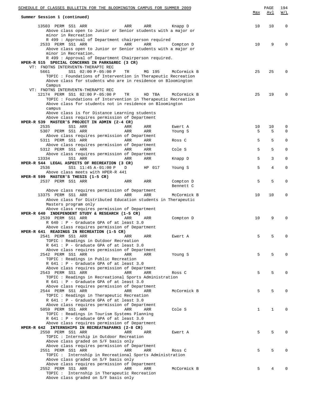| <u>SCHEDULE OF CLASSES BULLETIN FOR THE BLOOMINGTON CAMPUS FOR SUMMER 2009</u>                                                                                                                       |     | PAGE | 194         |
|------------------------------------------------------------------------------------------------------------------------------------------------------------------------------------------------------|-----|------|-------------|
| Summer Session 1 (continued)                                                                                                                                                                         | Max | Avl  | W/L         |
| 13503 PERM SS1 ARR<br>ARR<br>ARR<br>Knapp D<br>Above class open to Junior or Senior students with a major or<br>minor in Recreation                                                                  | 10  | 10   | $\mathbf 0$ |
| R 499 : Approval of Department chairperson required<br>2533 PERM SS1 ARR<br>ARR<br>ARR<br>Compton D                                                                                                  | 10  | 9    | $\Omega$    |
| Above class open to Junior or Senior students with a major or<br>minor in Recreation.<br>R 499 : Approval of Department Chairperson required.                                                        |     |      |             |
| HPER-R 515 SPECIAL CONCERNS IN PARKS&REC (3 CR)<br>VT: FNDTNS INTERVENTN-THERAPTC REC                                                                                                                |     |      |             |
| 5661<br>SS1 02:00 P-05:00 P<br>MG 195<br>TR<br>McCormick B<br>TOPIC: Foundations of Intervention in Therapeutic Recreation<br>Above class for students who are in residence on Bloomington<br>Campus | 25  | 25   | $\Omega$    |
| VT: FNDTNS INTERVENTN-THERAPTC REC<br>12174 PERM SS1 02:00 P-05:00 P<br>TR<br>HD TBA<br>McCormick B<br>TOPIC: Foundations of Intervention in Therapeutic Recreation                                  | 25  | 19   | $\Omega$    |
| Above class for students not in residence on Bloomington<br>campus                                                                                                                                   |     |      |             |
| Above class is for Distance Learning students<br>Above class requires permission of Department                                                                                                       |     |      |             |
| HPER-R 539 MASTER'S PROJECT IN ADMIN (2-4 CR)<br>2535<br>SS1 ARR<br>ARR<br>ARR<br>Ewert A                                                                                                            | 10  | 10   | 0           |
| 5307 PERM SS1 ARR<br>ARR<br>ARR<br>Young S<br>Above class requires permission of Department                                                                                                          | 5   | 5    | $\Omega$    |
| 5311 PERM SS1 ARR<br>ARR<br>ARR<br>Ross C<br>Above class requires permission of Department                                                                                                           | 5   | 5    | $\mathbf 0$ |
| 5312 PERM SS1 ARR<br>ARR<br>Cole S<br>ARR<br>Above class requires permission of Department                                                                                                           | 5   | 5    | 0           |
| 13334<br>SS1 ARR<br>ARR<br>ARR<br>Knapp D<br>HPER-R 544 LEGAL ASPECTS OF RECREATION (3 CR)                                                                                                           | 5   | 3    | $\mathbf 0$ |
| 2536<br>SS1 11:45 A-01:00 P<br>D<br>HP 017<br>Young S<br>Above class meets with HPER-R 441<br>HPER-R 599 MASTER'S THESIS (1-5 CR)                                                                    | 5   | 4    | 0           |
| 2537 PERM SS1 ARR<br>ARR<br>ARR<br>Compton D<br>Bennett C                                                                                                                                            | 5   | 5    | $\mathbf 0$ |
| Above class requires permission of Department<br>13375 PERM SS1 ARR<br>ARR<br>McCormick B<br>ARR                                                                                                     | 10  | 10   | 0           |
| Above class for Distributed Education students in Therapeutic<br>Masters program only<br>Above class requires permission of Department                                                               |     |      |             |
| HPER-R 640 INDEPENDENT STUDY & RESEARCH (1-5 CR)<br>2539 PERM SS1 ARR<br>ARR<br>ARR<br>Compton D<br>R 640 : P - Graduate GPA of at least 3.0                                                         | 10  | 9    | $\Omega$    |
| Above class requires permission of Department<br>HPER-R 641 READINGS IN RECREATION (1-5 CR)                                                                                                          |     |      |             |
| 2541 PERM SS1 ARR<br>ARR<br>ARR<br>Ewert A<br>TOPIC: Readings in Outdoor Recreation                                                                                                                  | 5   | 5    | 0           |
| R 641 : P - Graduate GPA of at least 3.0<br>Above class requires permission of Department<br>2542 PERM SS1 ARR<br><b>ARR</b><br>ARR<br>Young S                                                       | 5   | 5    | 0           |
| TOPIC: Readings in Public Recreation<br>R 641 : P - Graduate GPA of at least 3.0                                                                                                                     |     |      |             |
| Above class requires permission of Department                                                                                                                                                        |     |      |             |
| 2543 PERM SS1 ARR<br>ARR<br>ARR<br>Ross C<br>TOPIC: Readings in Recreational Sports Administration<br>R 641 : P - Graduate GPA of at least 3.0                                                       | 5   | 5    | $\Omega$    |
| Above class requires permission of Department                                                                                                                                                        |     |      |             |
| 2544 PERM SS1 ARR<br><b>ARR</b><br>McCormick B<br>ARR<br>TOPIC: Readings in Therapeutic Recreation<br>R 641 : P - Graduate GPA of at least 3.0                                                       | 5   | 5    | $\Omega$    |
| Above class requires permission of Department<br>5059 PERM SS1 ARR<br>ARR<br>Cole S<br>ARR                                                                                                           | 1   | 1    | 0           |
| TOPIC: Readings in Tourism Systems Planning<br>R 641 : P - Graduate GPA of at least 3.0<br>Above class requires permission of Department<br>HPER-R 642 INTERNSHIPS IN RECREATN&PARKS (2-8 CR)        |     |      |             |
| 2550 PERM SS1 ARR<br>ARR<br>ARR<br>Ewert A<br>TOPIC: Internship in Outdoor Recreation<br>Above class graded on S/F basis only                                                                        | 5   | 5    | $\Omega$    |
| Above class requires permission of Department<br>2551 PERM SS1 ARR<br>ARR<br>ARR<br>Ross C<br>TOPIC : Internship in Recreational Sports Administration                                               | 5   | 5    | $\Omega$    |
| Above class graded on S/F basis only<br>Above class requires permission of Department                                                                                                                |     |      |             |
| 2552 PERM SS1 ARR<br>McCormick B<br>ARR<br>ARR                                                                                                                                                       | 5   | 4    | $\Omega$    |
| TOPIC: Internship in Therapeutic Recreation<br>Above class graded on S/F basis only                                                                                                                  |     |      |             |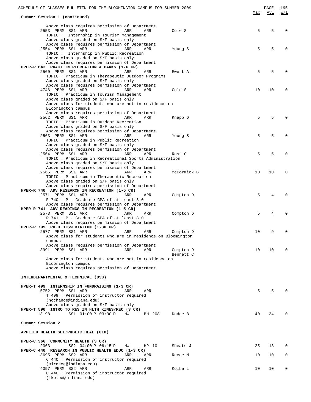| SCHEDULE OF CLASSES BULLETIN FOR THE BLOOMINGTON CAMPUS FOR SUMMER 2009                          |     | PAGE | 195         |
|--------------------------------------------------------------------------------------------------|-----|------|-------------|
| Summer Session 1 (continued)                                                                     | Max | Avl  | W/L         |
|                                                                                                  |     |      |             |
| Above class requires permission of Department<br>2553 PERM SS1 ARR<br>ARR<br>Cole S<br>ARR       | 5   | 5    | $\Omega$    |
| TOPIC: Internship in Tourism Management                                                          |     |      |             |
| Above class graded on S/F basis only                                                             |     |      |             |
| Above class requires permission of Department<br>2554 PERM SS1 ARR<br>ARR<br>ARR<br>Young S      | 5   | 5    | $\Omega$    |
| TOPIC: Internship in Public Recreation                                                           |     |      |             |
| Above class graded on S/F basis only                                                             |     |      |             |
| Above class requires permission of Department<br>HPER-R 643 PRACT IN RECREATION & PARKS (1-6 CR) |     |      |             |
| 2560 PERM SS1 ARR<br>ARR<br>ARR<br>Ewert A                                                       | 5   | 5    | $\Omega$    |
| TOPIC: Practicum in Therapeutic Outdoor Programs                                                 |     |      |             |
| Above class graded on S/F basis only                                                             |     |      |             |
| Above class requires permission of Department<br>4746 PERM SS1 ARR<br>Cole S<br>ARR<br>ARR       | 10  | 10   | 0           |
| TOPIC : Practicum in Tourism Management                                                          |     |      |             |
| Above class graded on S/F basis only                                                             |     |      |             |
| Above class for students who are not in residence on<br>Bloomington campus                       |     |      |             |
| Above class requires permission of Department                                                    |     |      |             |
| 2562 PERM SS1 ARR<br>ARR<br>ARR<br>Knapp D                                                       | 5   | 5    | $\Omega$    |
| TOPIC: Practicum in Outdoor Recreation                                                           |     |      |             |
| Above class graded on S/F basis only<br>Above class requires permission of Department            |     |      |             |
| 2563 PERM SS1 ARR<br>ARR<br>ARR<br>Young S                                                       | 5   | 5    | $\mathbf 0$ |
| TOPIC: Practicum in Public Recreation                                                            |     |      |             |
| Above class graded on S/F basis only                                                             |     |      |             |
| Above class requires permission of Department<br>2564 PERM SS1 ARR<br>ARR<br>ARR<br>Ross C       | 5   | 5    | $\mathbf 0$ |
| TOPIC: Practicum in Recreational Sports Administration                                           |     |      |             |
| Above class graded on S/F basis only                                                             |     |      |             |
| Above class requires permission of Department                                                    |     |      |             |
| 2565 PERM SS1 ARR<br>McCormick B<br>ARR<br>ARR<br>TOPIC: Practicum in Therapeutic Recreation     | 10  | 10   | $\mathbf 0$ |
| Above class graded on S/F basis only                                                             |     |      |             |
| Above class requires permission of Department                                                    |     |      |             |
| HPER-R 740 ADV RESEARCH IN RECREATION (1-5 CR)                                                   |     |      |             |
| 2571 PERM SS1 ARR<br>ARR<br>ARR<br>Compton D<br>R 740 : P - Graduate GPA of at least 3.0         | 5   | 4    | $\Omega$    |
| Above class requires permission of Department                                                    |     |      |             |
| HPER-R 741 ADV READINGS IN RECREATION (1-5 CR)                                                   |     |      |             |
| 2573 PERM SS1 ARR<br>ARR<br>ARR<br>Compton D                                                     | 5   | 4    | $\Omega$    |
| R 741 : P - Graduate GPA of at least 3.0<br>Above class requires permission of Department        |     |      |             |
| HPER-R 799 PH.D.DISSERTATION (1-30 CR)                                                           |     |      |             |
| 2577 PERM SS1 ARR<br>ARR<br>ARR<br>Compton D                                                     | 10  | 9    | $\Omega$    |
| Above class for students who are in residence on Bloomington                                     |     |      |             |
| campus<br>Above class requires permission of Department                                          |     |      |             |
| 3991 PERM SS1 ARR<br>ARR<br>ARR<br>Compton D                                                     | 10  | 10   | $\Omega$    |
| Bennett C                                                                                        |     |      |             |
| Above class for students who are not in residence on                                             |     |      |             |
| Bloomington campus<br>Above class requires permission of Department                              |     |      |             |
|                                                                                                  |     |      |             |
| INTERDEPARTMENTAL & TECHNICAL (050)                                                              |     |      |             |
| HPER-T 499 INTERNSHIP IN FUNDRAISING (1-3 CR)                                                    |     |      |             |
| 5752 PERM SS1 ARR<br>ARR<br>ARR                                                                  | 5   | 5    | $\Omega$    |
| T 499 : Permission of instructor required                                                        |     |      |             |
| (hcchance@indiana.edu)                                                                           |     |      |             |
| Above class graded on S/F basis only<br>HPER-T 590 INTRO TO RES IN HLTH KINES/REC (3 CR)         |     |      |             |
| 13198<br>SS1 01:00 P-03:30 P<br>ΜW<br>BH 208<br>Dodge B                                          | 40  | 24   | $\Omega$    |
|                                                                                                  |     |      |             |
| Summer Session 2                                                                                 |     |      |             |
| APPLIED HEALTH SCI:PUBLIC HEAL (010)                                                             |     |      |             |
| HPER-C 366 COMMUNITY HEALTH (3 CR)                                                               |     |      |             |
| 2363<br>SS2 04:00 P-06:15 P<br>Sheats J<br>ΜW<br>HP 10                                           | 25  | 13   | 0           |
| HPER-C 440 RESEARCH IN PUBLIC HEALTH EDUC (1-3 CR)                                               |     |      |             |
| 3695 PERM SS2 ARR<br>ARR<br>ARR<br>Reece M<br>C 440 : Permission of instructor required          | 10  | 10   | 0           |
| (mireece@indiana.edu)                                                                            |     |      |             |
| 4097 PERM SS2 ARR<br>ARR<br>Kolbe L<br>ARR                                                       | 10  | 10   | 0           |
| C 440 : Permission of instructor required<br>(lkolbe@indiana.edu)                                |     |      |             |
|                                                                                                  |     |      |             |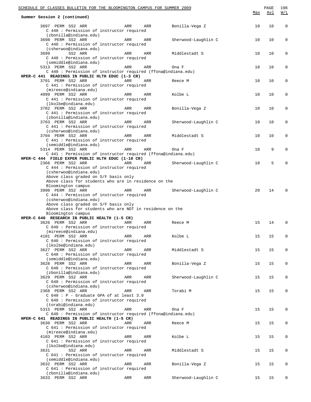| SCHEDULE OF CLASSES BULLETIN FOR THE BLOOMINGTON CAMPUS FOR SUMMER 2009<br>Summer Session 2 (continued)                                     |     |     |                     | Max | $\mathop{\mathtt{PAGE}}$<br><u>Avl</u> | 196<br>W/L  |
|---------------------------------------------------------------------------------------------------------------------------------------------|-----|-----|---------------------|-----|----------------------------------------|-------------|
| 3697 PERM SS2 ARR<br>C 440 : Permission of instructor required                                                                              | ARR | ARR | Bonilla-Vega Z      | 10  | 10                                     | $\mathbf 0$ |
| (zbonilla@indiana.edu)<br>3698 PERM SS2 ARR<br>C 440 : Permission of instructor required                                                    | ARR | ARR | Sherwood-Laughlin C | 10  | 10                                     | 0           |
| (csherwoo@indiana.edu)<br>SS2 ARR<br>3699<br>C 440 : Permission of instructor required                                                      | ARR | ARR | Middlestadt S       | 10  | 10                                     | 0           |
| (semiddle@indiana.edu)<br>5313 PERM SS2 ARR<br>C 440: Permission of instructor required (ffona@indiana.edu)                                 | ARR | ARR | Ona F               | 10  | 10                                     | 0           |
| HPER-C 441 READINGS IN PUBLIC HLTH EDUC (1-3 CR)<br>3701 PERM SS2 ARR<br>C 441 : Permission of instructor required<br>(mireece@indiana.edu) | ARR | ARR | Reece M             | 10  | 10                                     | 0           |
| 4099 PERM SS2 ARR<br>C 441 : Permission of instructor required                                                                              | ARR | ARR | Kolbe L             | 10  | 10                                     | 0           |
| (lkolbe@indiana.edu)<br>3702 PERM SS2 ARR<br>C 441 : Permission of instructor required                                                      | ARR | ARR | Bonilla-Vega Z      | 10  | 10                                     | 0           |
| (zbonilla@indiana.edu)<br>3703 PERM SS2 ARR<br>C 441 : Permission of instructor required<br>(csherwoo@indiana.edu)                          | ARR | ARR | Sherwood-Laughlin C | 10  | 10                                     | 0           |
| 3704 PERM SS2 ARR<br>C 441 : Permission of instructor required<br>(semiddle@indiana.edu)                                                    | ARR | ARR | Middlestadt S       | 10  | 10                                     | 0           |
| 5314 PERM SS2 ARR<br>C 441 : Permission of instructor required (ffona@indiana.edu)<br>HPER-C 444 FIELD EXPER PUBLIC HLTH EDUC (1-10 CR)     | ARR | ARR | Ona F               | 10  | 9                                      | 0           |
| 2366 PERM SS2 ARR<br>C 444 : Permission of instructor required<br>(csherwoo@indiana.edu)                                                    | ARR | ARR | Sherwood-Laughlin C | 10  | 5                                      | 0           |
| Above class graded on S/F basis only<br>Above class for students who are in residence on the<br>Bloomington campus                          |     |     |                     |     |                                        | $\Omega$    |
| 3990 PERM SS2 ARR<br>C 444 : Permission of instructor required<br>(csherwoo@indiana.edu)<br>Above class graded on S/F basis only            | ARR | ARR | Sherwood-Laughlin C | 20  | 14                                     |             |
| Above class for students who are NOT in residence on the<br>Bloomington campus<br>HPER-C 640 RESEARCH IN PUBLIC HEALTH (1-5 CR)             |     |     |                     |     |                                        |             |
| 3626 PERM SS2 ARR<br>C 640 : Permission of instructor required<br>(mireece@indiana.edu)                                                     | ARR | ARR | Reece M             | 15  | 14                                     | $\mathbf 0$ |
| 4101 PERM SS2 ARR<br>C 640 : Permission of instructor required<br>(lkolbe@indiana.edu)                                                      | ARR | ARR | Kolbe L             | 15  | 15                                     | 0           |
| 3627 PERM SS2 ARR<br>C 640 : Permission of instructor required<br>(semiddle@indiana.edu)                                                    | ARR | ARR | Middlestadt S       | 15  | 15                                     | 0           |
| 3628 PERM SS2 ARR<br>C 640 : Permission of instructor required<br>(zbonilla@indiana.edu)                                                    | ARR | ARR | Bonilla-Vega Z      | 15  | 15                                     | 0           |
| 3629 PERM SS2 ARR<br>C 640 : Permission of instructor required<br>(csherwoo@indiana.edu)                                                    | ARR | ARR | Sherwood-Laughlin C | 15  | 15                                     | 0           |
| 2368 PERM SS2 ARR<br>$C$ 640 : P - Graduate GPA of at least 3.0<br>C 640 : Permission of instructor required<br>(torabi@indiana.edu)        | ARR | ARR | Torabi M            | 15  | 15                                     | 0           |
| 5315 PERM SS2 ARR<br>C 640 : Permission of instructor required (ffona@indiana.edu)<br>HPER-C 641 READINGS IN PUBLIC HEALTH (1-5 CR)         | ARR | ARR | Ona F               | 15  | 15                                     | 0           |
| 3630 PERM SS2 ARR<br>C 641 : Permission of instructor required<br>(mireece@indiana.edu)                                                     | ARR | ARR | Reece M             | 15  | 15                                     | 0           |
| 4103 PERM SS2 ARR<br>C 641 : Permission of instructor required<br>(lkolbe@indiana.edu)                                                      | ARR | ARR | Kolbe L             | 15  | 15                                     | 0           |
| 3631<br>SS2 ARR<br>C 641 : Permission of instructor required<br>(semiddle@indiana.edu)                                                      | ARR | ARR | Middlestadt S       | 15  | 15                                     | 0           |
| 3632 PERM SS2 ARR<br>C 641 : Permission of instructor required<br>(zbonilla@indiana.edu)                                                    | ARR | ARR | Bonilla-Vega Z      | 15  | 15                                     | 0           |
| 3633 PERM SS2 ARR                                                                                                                           | ARR | ARR | Sherwood-Laughlin C | 15  | 15                                     | 0           |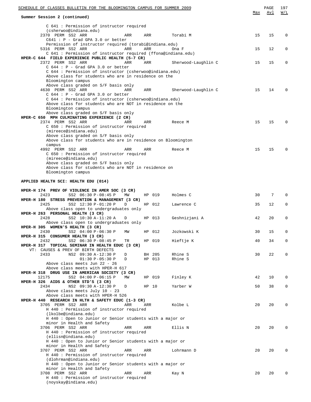| SCHEDULE OF CLASSES BULLETIN FOR THE BLOOMINGTON CAMPUS FOR SUMMER 2009                                             |     |        |                     |     | PAGE | 197      |
|---------------------------------------------------------------------------------------------------------------------|-----|--------|---------------------|-----|------|----------|
| Summer Session 2 (continued)                                                                                        |     |        |                     | Max | Avl  | W/L      |
|                                                                                                                     |     |        |                     |     |      |          |
| C 641 : Permission of instructor required                                                                           |     |        |                     |     |      |          |
| (csherwoo@indiana.edu)<br>2370 PERM SS2 ARR                                                                         | ARR | ARR    | Torabi M            | 15  | 15   | 0        |
| $C641 : P - Grad GPA 3.0 or better$                                                                                 |     |        |                     |     |      |          |
| Permission of instructor required (torabi@indiana.edu)                                                              |     |        |                     |     |      |          |
| 5316 PERM SS2 ARR                                                                                                   | ARR | ARR    | Ona F               | 15  | 12   | 0        |
| C 641 : Permission of instructor required (ffona@indiana.edu)<br>HPER-C 644 FIELD EXPERIENCE PUBLIC HEALTH (5-7 CR) |     |        |                     |     |      |          |
| 2372 PERM SS2 ARR                                                                                                   | ARR | ARR    | Sherwood-Laughlin C | 15  | 15   | 0        |
| $C$ 644 : $P$ - Grad GPA 3.0 or better                                                                              |     |        |                     |     |      |          |
| C 644 : Permission of instructor (csherwoo@indiana.edu)                                                             |     |        |                     |     |      |          |
| Above class for students who are in residence on the<br>Bloomington campus                                          |     |        |                     |     |      |          |
| Above class graded on S/F basis only                                                                                |     |        |                     |     |      |          |
| 4630 PERM SS2 ARR                                                                                                   | ARR | ARR    | Sherwood-Laughlin C | 15  | 14   | 0        |
| $C$ 644 : P - Grad GPA 3.0 or better                                                                                |     |        |                     |     |      |          |
| C 644 : Permission of instructor (csherwoo@indiana.edu)<br>Above class for students who are NOT in residence on the |     |        |                     |     |      |          |
| Bloomington campus                                                                                                  |     |        |                     |     |      |          |
| Above class graded on S/F basis only                                                                                |     |        |                     |     |      |          |
| HPER-C 650 MPH CULMINATING EXPERIENCE (2 CR)                                                                        |     |        |                     |     |      |          |
| 2374 PERM SS2 ARR<br>C 650 : Permission of instructor required                                                      | ARR | ARR    | Reece M             | 15  | 15   | 0        |
| (mireece@indiana.edu)                                                                                               |     |        |                     |     |      |          |
| Above class graded on S/F basis only                                                                                |     |        |                     |     |      |          |
| Above class for students who are in residence on Bloomington                                                        |     |        |                     |     |      |          |
| campus                                                                                                              |     |        |                     | 15  | 15   | 0        |
| 4992 PERM SS2 ARR<br>C 650: Permission of instructor required                                                       | ARR | ARR    | Reece M             |     |      |          |
| (mireece@indiana.edu)                                                                                               |     |        |                     |     |      |          |
| Above class graded on S/F basis only                                                                                |     |        |                     |     |      |          |
| Above class for students who are NOT in residence on                                                                |     |        |                     |     |      |          |
| Bloomington campus                                                                                                  |     |        |                     |     |      |          |
| APPLIED HEALTH SCI: HEALTH EDU (014)                                                                                |     |        |                     |     |      |          |
|                                                                                                                     |     |        |                     |     |      |          |
| HPER-H 174 PREV OF VIOLENCE IN AMER SOC (3 CR)                                                                      |     |        | Holmes C            | 30  | 7    | $\Omega$ |
| 2423<br>SS2 06:30 P-08:45 P<br>HPER-H 180 STRESS PREVENTION & MANAGEMENT (3 CR)                                     | ΜW  | HP 019 |                     |     |      |          |
| SS2 12:30 P-01:20 P<br>2425                                                                                         | D   | HP 012 | Lawrence C          | 35  | 12   | 0        |
| Above class open to undergraduates only                                                                             |     |        |                     |     |      |          |
| HPER-H 263 PERSONAL HEALTH (3 CR)                                                                                   |     |        |                     |     |      |          |
| 2428<br>SS2 10:30 A-11:20 A<br>Above class open to undergraduates only                                              | D   | HP 013 | Geshnizjani A       | 42  | 20   | 0        |
| HPER-H 305 WOMEN'S HEALTH (3 CR)                                                                                    |     |        |                     |     |      |          |
| 2430<br>SS2 04:00 P-06:30 P                                                                                         | ΜW  | HP 012 | Jozkowski K         | 30  | 15   | 0        |
| HPER-H 315 CONSUMER HEALTH (3 CR)                                                                                   |     |        |                     |     |      |          |
| SS2 06:30 P-08:45 P<br>2432<br>HPER-H 317 TOPICAL SEMINAR IN HEALTH EDUC (3 CR)                                     | TR  | HP 019 | Hieftje K           | 40  | 34   | 0        |
| VT: CAUSES & PREV OF BIRTH DEFECTS                                                                                  |     |        |                     |     |      |          |
| 2433<br>NS2 09:30 A-12:30 P                                                                                         | D   | BH 205 | Rhine S             | 30  | 22   | 0        |
| $01:30 P - 05:30 P$                                                                                                 | D   | HP 013 | Rhine S             |     |      |          |
| Above class meets Jun 22 - 26<br>Above class meets with HPER-H 617                                                  |     |        |                     |     |      |          |
| HPER-H 318 DRUG USE IN AMERICAN SOCIETY (3 CR)                                                                      |     |        |                     |     |      |          |
| 12175<br>SS2 04:00 P-06:15 P                                                                                        | ΜW  | HP 019 | Finley K            | 42  | 10   | 0        |
| HPER-H 326 AIDS & OTHER STD'S (3 CR)                                                                                |     |        |                     |     |      |          |
| 2434<br>NS2 09:30 A-12:30 P                                                                                         | D   | HP 10  | Yarber W            | 50  | 38   | 0        |
| Above class meets July 10 - 23<br>Above class meets with HPER-H 526                                                 |     |        |                     |     |      |          |
| HPER-H 440 RESEARCH IN HLTH & SAFETY EDUC $(1-3 \text{ CR})$                                                        |     |        |                     |     |      |          |
| 3705 PERM SS2 ARR                                                                                                   | ARR | ARR    | Kolbe L             | 20  | 20   | 0        |
| H 440 : Permission of instructor required                                                                           |     |        |                     |     |      |          |
| (lkolbe@indiana.edu)                                                                                                |     |        |                     |     |      |          |
| H 440 : Open to Junior or Senior students with a major or<br>minor in Health and Safety                             |     |        |                     |     |      |          |
| 3706 PERM SS2 ARR                                                                                                   | ARR | ARR    | Ellis N             | 20  | 20   | $\Omega$ |
| H 440 : Permission of instructor required                                                                           |     |        |                     |     |      |          |
| (ellisn@indiana.edu)                                                                                                |     |        |                     |     |      |          |
| H 440 : Open to Junior or Senior students with a major or<br>minor in Health and Safety                             |     |        |                     |     |      |          |
| 3707 PERM SS2 ARR                                                                                                   | ARR | ARR    | Lohrmann D          | 20  | 20   | 0        |
| H 440 : Permission of instructor required                                                                           |     |        |                     |     |      |          |
| (dlohrman@indiana.edu)                                                                                              |     |        |                     |     |      |          |
| H 440 : Open to Junior or Senior students with a major or                                                           |     |        |                     |     |      |          |
| minor in Health and Safety<br>3708 PERM SS2 ARR                                                                     | ARR | ARR    | Kay N               | 20  | 20   | 0        |
| H 440 : Permission of instructor required                                                                           |     |        |                     |     |      |          |
| (noyskay@indiana.edu)                                                                                               |     |        |                     |     |      |          |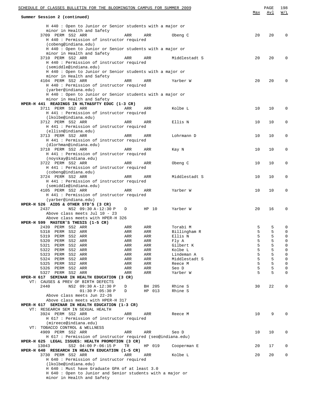| SCHEDULE OF CLASSES BULLETIN FOR THE BLOOMINGTON CAMPUS FOR SUMMER 2009                                         |            |            |                    | Max    | $\mathop{\mathtt{PAGE}}$<br>Avl | 198<br>W/L  |
|-----------------------------------------------------------------------------------------------------------------|------------|------------|--------------------|--------|---------------------------------|-------------|
| Summer Session 2 (continued)                                                                                    |            |            |                    |        |                                 |             |
| H 440 : Open to Junior or Senior students with a major or<br>minor in Health and Safety                         |            |            |                    |        |                                 |             |
| 3709 PERM SS2 ARR<br>H 440 : Permission of instructor required<br>(cobeng@indiana.edu)                          | ARR        | ARR        | Obeng C            | 20     | 20                              | $\mathbf 0$ |
| H 440 : Open to Junior or Senior students with a major or<br>minor in Health and Safety                         |            |            |                    |        |                                 |             |
| 3710 PERM SS2 ARR<br>H 440 : Permission of instructor required                                                  | ARR        | ARR        | Middlestadt S      | 20     | 20                              | 0           |
| (semiddle@indiana.edu)<br>H 440 : Open to Junior or Senior students with a major or                             |            |            |                    |        |                                 |             |
| minor in Health and Safety<br>4104 PERM SS2 ARR<br>H 440 : Permission of instructor required                    | ARR        | ARR        | Yarber W           | 20     | 20                              | $\mathbf 0$ |
| (yarber@indiana.edu)<br>H 440 : Open to Junior or Senior students with a major or                               |            |            |                    |        |                                 |             |
| minor in Health and Safety<br>HPER-H 441 READINGS IN HLTH&SFTY EDUC (1-3 CR)                                    |            |            |                    |        |                                 |             |
| 3711 PERM SS2 ARR                                                                                               | ARR        | ARR        | Kolbe L            | 10     | 10                              | 0           |
| H 441 : Permission of instructor required                                                                       |            |            |                    |        |                                 |             |
| (lkolbe@indiana.edu)<br>3712 PERM SS2 ARR<br>H 441 : Permission of instructor required                          | ARR        | ARR        | Ellis N            | 10     | 10                              | $\mathbf 0$ |
| (ellisn@indiana.edu)                                                                                            |            |            |                    |        |                                 |             |
| 3713 PERM SS2 ARR<br>H 441 : Permission of instructor required                                                  | ARR        | ARR        | Lohrmann D         | 10     | 10                              | $\mathbf 0$ |
| (dlorhman@indiana.edu)<br>3718 PERM SS2 ARR<br>H 441 : Permission of instructor required                        | ARR        | ARR        | Kay N              | 10     | 10                              | 0           |
| (noyskay@indiana.edu)                                                                                           |            |            |                    |        |                                 |             |
| 3722 PERM SS2 ARR<br>H 441 : Permission of instructor required                                                  | ARR        | ARR        | Obeng C            | 10     | 10                              | 0           |
| (cobeng@indiana.edu)<br>3724 PERM SS2 ARR                                                                       | ARR        | ARR        | Middlestadt S      | 10     | 10                              | 0           |
| H 441 : Permission of instructor required                                                                       |            |            |                    |        |                                 |             |
| (semiddle@indiana.edu)<br>4105 PERM SS2 ARR                                                                     | ARR        | ARR        | Yarber W           | 10     | 10                              | $\mathbf 0$ |
| H 441 : Permission of instructor required<br>(yarber@indiana.edu)                                               |            |            |                    |        |                                 |             |
| HPER-H 526 AIDS & OTHER STD'S (3 CR)<br>2437<br>NS2 09:30 A-12:30 P                                             | D          | HP 10      | Yarber W           | 20     | 16                              | 0           |
| Above class meets Jul 10 - 23<br>Above class meets with HPER-H 326                                              |            |            |                    |        |                                 |             |
| HPER-H 599 MASTER'S THESIS (1-5 CR)<br>2439 PERM SS2 ARR                                                        | ARR        | ARR        | Torabi M           | 5      | 5                               | 0           |
| 5318 PERM SS2 ARR                                                                                               | ARR        | ARR        | Billingham R       | 5      | 5                               | $\mathbf 0$ |
| 5319 PERM<br>SS2 ARR                                                                                            | ARR        | ARR        | Ellis N            | 5<br>5 | 5                               | 0           |
| 5320<br>PERM<br>SS2 ARR<br>SS2 ARR<br>5321<br>PERM                                                              | ARR<br>ARR | ARR<br>ARR | Fly A<br>Gilbert K | 5      | 5<br>5                          | 0<br>0      |
| 5322<br>PERM<br>SS2 ARR                                                                                         | ARR        | ARR        | Kolbe L            | 5      | 5                               | 0           |
| PERM SS2 ARR<br>5323                                                                                            | ARR        | ARR        | Lindeman A         | 5      | 5                               | 0           |
| 5324<br>PERM<br>SS2 ARR                                                                                         | ARR        | ARR        | Middlestadt S      | 5      | 5                               | 0           |
| PERM SS2 ARR<br>5325                                                                                            | ARR        | ARR        | Reece M<br>Seo D   | 5<br>5 | 5                               | 0           |
| 5326 PERM SS2 ARR<br>5327 PERM SS2 ARR                                                                          | ARR<br>ARR | ARR<br>ARR | Yarber W           | 5      | 5<br>5                          | 0<br>0      |
| HPER-H 617 SEMINAR IN HEALTH EDUCATION (3 CR)<br>VT: CAUSES & PREV OF BIRTH DEFECTS                             |            |            |                    |        |                                 |             |
| 2440<br>NS2 09:30 A-12:30 P                                                                                     | D          | BH 205     | Rhine S            | 30     | 22                              | 0           |
| $01:30 P - 05:30 P$<br>Above class meets Jun 22-26                                                              | D          | HP 013     | Rhine S            |        |                                 |             |
| Above class meets with HPER-H 317<br>HPER-H 617 SEMINAR IN HEALTH EDUCATION (1-3 CR)                            |            |            |                    |        |                                 |             |
| VT: RESEARCH SEM IN SEXUAL HEALTH                                                                               |            |            |                    |        |                                 |             |
| 3924 PERM SS2 ARR                                                                                               | ARR        | ARR        | Reece M            | 10     | 9                               | 0           |
| H 617 : Permission of instructor required<br>(mireece@indiana.edu)                                              |            |            |                    |        |                                 |             |
| VT: TOBACCO CONTROL & WELLNESS<br>4909 PERM SS2 ARR                                                             | ARR        | ARR        | Seo D              | 10     | 10                              | 0           |
| H 617 : Permission of instructor required (seo@indiana.edu)<br>HPER-H 625 LEGAL ISSUES: HEALTH PROMOTION (3 CR) |            |            |                    |        |                                 |             |
| 13043<br>SS2 04:00 P-06:15 P<br>HPER-H 640 RESEARCH IN HEALTH EDUCATION (1-5 CR)                                | TR         | HP 019     | Cooperman E        | 20     | 17                              | 0           |
| 3730 PERM SS2 ARR<br>H 640 : Permission of instructor required                                                  | ARR        | ARR        | Kolbe L            | 20     | 20                              | 0           |
| (lkolbe@indiana.edu)<br>H 640 : Must have Graduate GPA of at least 3.0                                          |            |            |                    |        |                                 |             |
| H 640 : Open to Junior and Senior students with a major or<br>minor in Health and Safety                        |            |            |                    |        |                                 |             |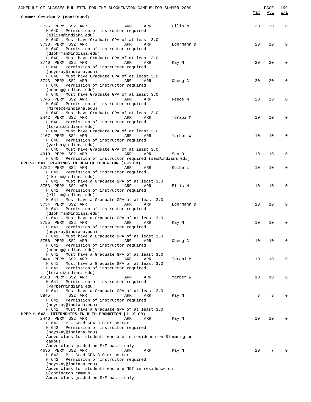| SCHEDULE OF CLASSES BULLETIN FOR THE BLOOMINGTON CAMPUS FOR SUMMER 2009                                                                                                                                                  |     | PAGE       | 199         |
|--------------------------------------------------------------------------------------------------------------------------------------------------------------------------------------------------------------------------|-----|------------|-------------|
| Summer Session 2 (continued)                                                                                                                                                                                             | Max | <u>Avl</u> | W/L         |
| 3736 PERM SS2 ARR<br>ARR<br>ARR<br>Ellis N<br>H 640 : Permission of instructor required                                                                                                                                  | 20  | 20         | $\mathbf 0$ |
| (ellisn@indiana.edu)<br>H 640 : Must have Graduate GPA of at least 3.0<br>3738 PERM SS2 ARR<br>ARR<br>ARR<br>Lohrmann D<br>H 640 : Permission of instructor required<br>(dlohrman@indiana.edu)                           | 20  | 20         | 0           |
| H 640 : Must have Graduate GPA of at least 3.0<br>3740 PERM SS2 ARR<br>ARR<br>ARR<br>Kay N<br>H 640 : Permission of instructor required                                                                                  | 20  | 20         | 0           |
| (noyskay@indiana.edu)<br>H 640 : Must have Graduate GPA of at least 3.0<br>3743 PERM SS2 ARR<br>Obeng C<br>ARR<br>ARR<br>H 640 : Permission of instructor required                                                       | 20  | 20         | $\mathbf 0$ |
| (cobeng@indiana.edu)<br>H 640 : Must have Graduate GPA of at least 3.0<br>3746 PERM SS2 ARR<br>ARR<br>ARR<br>Reece M<br>H 640 : Permission of instructor required                                                        | 20  | 20         | 0           |
| (mireece@indiana.edu)<br>H 640 : Must have Graduate GPA of at least 3.0<br>2442 PERM SS2 ARR<br>ARR<br>ARR<br>Torabi M<br>H 640 : Permission of instructor required                                                      | 10  | 10         | 0           |
| (torabi@indiana.edu)<br>H 640 : Must have Graduate GPA of at least 3.0<br>4107 PERM SS2 ARR<br>ARR<br>ARR<br>Yarber W<br>H 640 : Permission of instructor required                                                       | 10  | 10         | $\mathbf 0$ |
| (yarber@indiana.edu)<br>H 640 : Must have Graduate GPA of at least 3.0<br>4910 PERM SS2 ARR<br>ARR<br>ARR<br>Seo D<br>H 640 : Permission of instructor required (seo@indiana.edu)                                        | 10  | 10         | 0           |
| HPER-H 641 READINGS IN HEALTH EDUCATION (1-5 CR)<br>3752 PERM SS2 ARR<br>ARR<br>ARR<br>Kolbe L<br>H 641 : Permission of instructor required                                                                              | 10  | 10         | $\mathbf 0$ |
| (lkolbe@indiana.edu)<br>H 641 : Must have a Graduate GPA of at least 3.0<br>3753 PERM SS2 ARR<br>Ellis N<br>ARR<br>ARR<br>H 641 : Permission of instructor required<br>(ellisn@indiana.edu)                              | 10  | 10         | $\mathbf 0$ |
| H 641 : Must have a Graduate GPA of at least 3.0<br>3754 PERM SS2 ARR<br>ARR<br>ARR<br>Lohrmann D<br>H 641 : Permission of instructor required<br>(dlohrman@indiana.edu)                                                 | 10  | 10         | $\mathbf 0$ |
| H 641 : Must have a Graduate GPA of at least 3.0<br>3755 PERM SS2 ARR<br>ARR<br>ARR<br>Kay N<br>H 641 : Permission of instructor required                                                                                | 10  | 10         | $\mathbf 0$ |
| (noyskay@indiana.edu)<br>H 641 : Must have a Graduate GPA of at least 3.0<br>3756 PERM SS2 ARR<br>ARR<br>ARR<br>Obeng C<br>H 641 : Permission of instructor required                                                     | 10  | 10         | 0           |
| (cobeng@indiana.edu)<br>H 641 : Must have a Graduate GPA of at least 3.0<br>2444 PERM SS2 ARR<br>ARR<br>ARR<br>Torabi M<br>H 641 : Must have a Graduate GPA of at least 3.0<br>H 641 : Permission of instructor required | 10  | 10         | 0           |
| (torabi@indiana.edu)<br>4108 PERM SS2 ARR<br>ARR<br>ARR<br>Yarber W<br>H 641 : Permission of instructor required                                                                                                         | 10  | 10         | 0           |
| (yarber@indiana.edu)<br>H 641 : Must have a Graduate GPA of at least 3.0<br>5845<br>SS2 ARR<br>ARR<br>ARR<br>Kay N<br>H 641 : Permission of instructor required<br>(noyskay@indiana.edu)                                 | 3   | 3          | 0           |
| H 641 : Must have a Graduate GPA of at least 3.0<br>HPER-H 642 INTERNSHIPS IN HLTH PROMOTION (1-10 CR)<br>2446 PERM SS2 ARR<br>ARR<br>ARR<br>Kay N<br>$H$ 642 : P - Grad GPA 3.0 or better                               | 10  | 10         | 0           |
| H 642 : Permission of instructor required<br>(noyskay@indiana.edu)<br>Above class for students who are in residence on Bloomington<br>campus                                                                             |     |            |             |
| Above class graded on S/F basis only<br>4636 PERM SS2 ARR<br>ARR<br>ARR<br>Kay N<br>$H$ 642 : P - Grad GPA 3.0 or better<br>H 642 : Permission of instructor required                                                    | 10  | 7          | $\Omega$    |
| (noyskay@indiana.edu)<br>Above class for students who are NOT in residence on<br>Bloomington campus<br>Above class graded on S/F basis only                                                                              |     |            |             |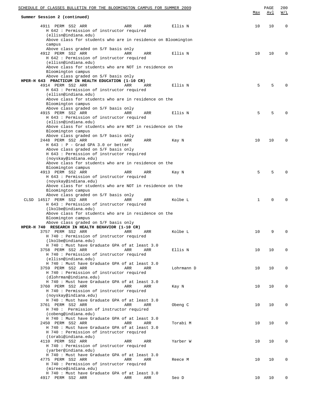| SCHEDULE OF CLASSES BULLETIN FOR THE BLOOMINGTON CAMPUS FOR SUMMER 2009<br>Summer Session 2 (continued)                           |            | <u>Max</u> | PAGE<br><u>Avl</u> | 200<br>W/L  |
|-----------------------------------------------------------------------------------------------------------------------------------|------------|------------|--------------------|-------------|
| 4911 PERM SS2 ARR<br>ARR<br>ARR                                                                                                   | Ellis N    | 10         | 10                 | $\mathbf 0$ |
| H 642 : Permission of instructor required<br>(ellisn@indiana.edu)<br>Above class for students who are in residence on Bloomington |            |            |                    |             |
| campus                                                                                                                            |            |            |                    |             |
| Above class graded on S/F basis only<br>4912 PERM SS2 ARR<br>ARR<br>ARR                                                           | Ellis N    | 10         | 10                 | $\mathbf 0$ |
| H 642 : Permission of instructor required<br>(ellisn@indiana.edu)<br>Above class for students who are NOT in residence on         |            |            |                    |             |
| Bloomington campus                                                                                                                |            |            |                    |             |
| Above class graded on S/F basis only<br>HPER-H 643 PRACTICUM IN HEALTH EDUCATION (1-10 CR)                                        |            |            |                    |             |
| 4914 PERM SS2 ARR<br>ARR<br>ARR                                                                                                   | Ellis N    | 5          | 5                  | $\Omega$    |
| H 643 : Permission of instructor required<br>(ellisn@indiana.edu)                                                                 |            |            |                    |             |
| Above class for students who are in residence on the<br>Bloomington campus                                                        |            |            |                    |             |
| Above class graded on S/F basis only                                                                                              |            |            |                    |             |
| 4915 PERM SS2 ARR<br>ARR<br>ARR<br>H 643 : Permission of instructor required                                                      | Ellis N    | 5          | 5                  | $\Omega$    |
| (ellisn@indiana.edu)                                                                                                              |            |            |                    |             |
| Above class for students who are NOT in residence on the                                                                          |            |            |                    |             |
| Bloomington campus<br>Above class graded on S/F basis only                                                                        |            |            |                    |             |
| 2448 PERM SS2 ARR<br>ARR<br>ARR                                                                                                   | Kay N      | 10         | 10                 | $\mathbf 0$ |
| $H$ 643 : P - Grad GPA 3.0 or better<br>Above class graded on S/F basis only                                                      |            |            |                    |             |
| H 643 : Permission of instructor required                                                                                         |            |            |                    |             |
| (noyskay@indiana.edu)                                                                                                             |            |            |                    |             |
| Above class for students who are in residence on the<br>Bloomington campus                                                        |            |            |                    |             |
| 4913 PERM SS2 ARR<br>ARR<br>ARR                                                                                                   | Kay N      | 5          | 5                  | $\Omega$    |
| H 643 : Permission of instructor required                                                                                         |            |            |                    |             |
| (noyskay@indiana.edu)<br>Above class for students who are NOT in residence on the                                                 |            |            |                    |             |
| Bloomington campus                                                                                                                |            |            |                    |             |
| Above class graded on S/F basis only<br>CLSD 14517 PERM SS2 ARR<br>ARR<br>ARR                                                     | Kolbe L    | 1          | $\mathbf 0$        | $\Omega$    |
| H 643 : Permission of instructor required                                                                                         |            |            |                    |             |
| (lkolbe@indiana.edu)<br>Above class for students who are in residence on the                                                      |            |            |                    |             |
| Bloomington campus                                                                                                                |            |            |                    |             |
| Above class graded on S/F basis only                                                                                              |            |            |                    |             |
| HPER-H 740 RESEARCH IN HEALTH BEHAVIOR (1-10 CR)<br>3757 PERM SS2 ARR<br>ARR<br>ARR                                               | Kolbe L    | 10         | 9                  | 0           |
| H 740 : Permission of instructor required                                                                                         |            |            |                    |             |
| (lkolbe@indiana.edu)<br>H 740 : Must have Graduate GPA of at least 3.0                                                            |            |            |                    |             |
| 3758 PERM SS2 ARR<br>ARR<br>ARR                                                                                                   | Ellis N    | 10         | 10                 | $\mathbf 0$ |
| H 740 : Permission of instructor required                                                                                         |            |            |                    |             |
| (ellisn@indiana.edu)<br>H 740 : Must have Graduate GPA of at least 3.0                                                            |            |            |                    |             |
| 3759 PERM SS2 ARR<br>ARR<br>ARR                                                                                                   | Lohrmann D | 10         | 10                 | $\mathbf 0$ |
| H 740 : Permission of instructor required<br>(dlohrman@indiana.edu)                                                               |            |            |                    |             |
| H 740 : Must have Graduate GPA of at least 3.0                                                                                    |            |            |                    |             |
| 3760 PERM SS2 ARR<br>ARR<br>ARR                                                                                                   | Kay N      | 10         | 10                 | 0           |
| H 740 : Permission of instructor required<br>(noyskay@indiana.edu)                                                                |            |            |                    |             |
| H 740 : Must have Graduate GPA of at least 3.0                                                                                    |            |            |                    |             |
| 3761 PERM SS2 ARR<br>ARR<br>ARR<br>H 740 : Permission of instructor required                                                      | Obeng C    | 10         | 10                 | $\mathbf 0$ |
| (cobeng@indiana.edu)                                                                                                              |            |            |                    |             |
| H 740 : Must have Graduate GPA of at least 3.0                                                                                    |            |            |                    |             |
| 2450 PERM SS2 ARR<br>ARR<br>ARR<br>H 740 : Must have Graduate GPA of at least 3.0                                                 | Torabi M   | 10         | 10                 | $\mathbf 0$ |
| H 740 : Permission of instructor required                                                                                         |            |            |                    |             |
| (torabi@indiana.edu)                                                                                                              |            |            |                    |             |
| 4110 PERM SS2 ARR<br>ARR<br>ARR<br>H 740 : Permission of instructor required                                                      | Yarber W   | 10         | 10                 | $\mathbf 0$ |
| (yarber@indiana.edu)                                                                                                              |            |            |                    |             |
| H 740 : Must have Graduate GPA of at least 3.0<br>4775 PERM SS2 ARR<br>ARR<br>ARR                                                 | Reece M    | 10         | 10                 | 0           |
| H 740 : Permission of instructor required                                                                                         |            |            |                    |             |
| (mireece@indiana.edu)                                                                                                             |            |            |                    |             |
| H 740 : Must have Graduate GPA of at least 3.0<br>4917 PERM SS2 ARR<br>ARR<br>ARR                                                 | Seo D      | 10         | 10                 | 0           |
|                                                                                                                                   |            |            |                    |             |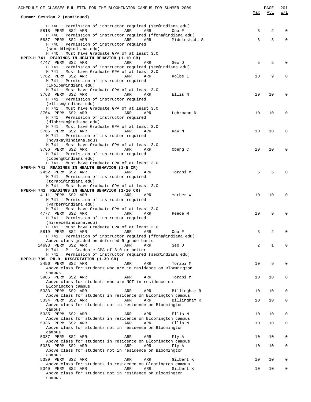| SCHEDULE OF CLASSES BULLETIN FOR THE BLOOMINGTON CAMPUS FOR SUMMER 2009                                          | Max | PAGE<br>Avl | 201<br><u>W/L</u> |
|------------------------------------------------------------------------------------------------------------------|-----|-------------|-------------------|
| Summer Session 2 (continued)                                                                                     |     |             |                   |
| H 740 : Permission of instructor required (seo@indiana.edu)                                                      |     |             |                   |
| 5818 PERM SS2 ARR<br>ARR<br><b>ARR</b><br>Ona F<br>H 740 : Permission of instructor required (ffona@indiana.edu) | 3   | 2           | 0                 |
| 5837 PERM SS2 ARR<br>ARR<br>ARR<br>Middlestadt S                                                                 | 3   | 3           | $\mathbf 0$       |
| H 740 : Permission of instructor required                                                                        |     |             |                   |
| (semiddle@indiana.edu)                                                                                           |     |             |                   |
| H 740 : Must have Graduate GPA of at least 3.0<br>HPER-H 741 READINGS IN HEALTH BEHAVIOR (1-10 CR)               |     |             |                   |
| 4747 PERM SS2 ARR<br>ARR<br>ARR<br>Seo D                                                                         | 5   | 5           | 0                 |
| H 741 : Permission of instructor required (seo@indiana.edu)                                                      |     |             |                   |
| H 741 : Must have Graduate GPA of at least 3.0                                                                   |     |             |                   |
| 3762 PERM SS2 ARR<br>ARR<br>Kolbe L<br>ARR<br>H 741 : Permission of instructor required                          | 10  | 9           | 0                 |
| (lkolbe@indiana.edu)                                                                                             |     |             |                   |
| H 741 : Must have Graduate GPA of at least 3.0                                                                   |     |             |                   |
| 3763 PERM SS2 ARR<br>ARR<br>Ellis N<br>ARR                                                                       | 10  | 10          | 0                 |
| H 741 : Permission of instructor required                                                                        |     |             |                   |
| (ellisn@indiana.edu)<br>H 741 : Must have Graduate GPA of at least 3.0                                           |     |             |                   |
| 3764 PERM SS2 ARR<br>ARR<br>Lohrmann D<br>ARR                                                                    | 10  | 10          | 0                 |
| H 741 : Permission of instructor required                                                                        |     |             |                   |
| (dlohrman@indiana.edu)                                                                                           |     |             |                   |
| H 741 : Must have Graduate GPA of at least 3.0                                                                   |     |             |                   |
| 3765 PERM SS2 ARR<br>ARR<br>ARR<br>Kay N<br>H 741 : Permission of instructor required                            | 10  | 10          | $\mathbf 0$       |
| (noyskay@indiana.edu)                                                                                            |     |             |                   |
| H 741 : Must have Graduate GPA of at least 3.0                                                                   |     |             |                   |
| 3766 PERM SS2 ARR<br>ARR<br>Obeng C<br>ARR                                                                       | 10  | 10          | 0                 |
| H 741 : Permission of instructor required                                                                        |     |             |                   |
| (cobeng@indiana.edu)<br>H 741 : Must have Graduate GPA of at least 3.0                                           |     |             |                   |
| HPER-H 741 READINGS IN HEALTH BEHAVIOR (1-5 CR)                                                                  |     |             |                   |
| 2452 PERM SS2 ARR<br>ARR<br>Torabi M<br>ARR                                                                      | 5   | 5           | $\Omega$          |
| H 741 : Permission of instructor required                                                                        |     |             |                   |
| (torabi@indiana.edu)                                                                                             |     |             |                   |
| H 741 : Must have Graduate GPA of at least 3.0<br>HPER-H 741 READINGS IN HEALTH BEHAVIOR (1-10 CR)               |     |             |                   |
| 4111 PERM SS2 ARR<br>ARR<br>Yarber W<br>ARR                                                                      | 10  | 10          | $\mathbf 0$       |
| H 741 : Permission of instructor required                                                                        |     |             |                   |
| (yarber@indiana.edu)                                                                                             |     |             |                   |
| H 741 : Must have Graduate GPA of at least 3.0<br>4777 PERM SS2 ARR<br>ARR                                       | 10  | 9           | $\Omega$          |
| <b>ARR</b><br>Reece M<br>H 741 : Permission of instructor required                                               |     |             |                   |
| (mireece@indiana.edu)                                                                                            |     |             |                   |
| H 741 : Must have Graduate GPA of at least 3.0                                                                   |     |             |                   |
| 5819 PERM SS2 ARR<br>Ona F<br>ARR<br>ARR                                                                         | 3   | 2           | 0                 |
| H 741 : Permission of instructor required (ffona@indiana.edu)                                                    |     |             |                   |
| Above class graded on deferred R grade basis<br>14693 PERM SS2 ARR<br>ARR<br>ARR<br>Seo D                        | 2   | 1           | $\Omega$          |
| H 741 : P - Graduate GPA of 3.0 or better                                                                        |     |             |                   |
| H 741 : Permission of instructor required (seo@indiana.edu)                                                      |     |             |                   |
| HPER-H 799 PH.D. DISSERTATION (1-30 CR)                                                                          |     |             |                   |
| 2456 PERM SS2 ARR<br>ARR<br>ARR<br>Torabi M<br>Above class for students who are in residence on Bloomington      | 10  | 9           | 0                 |
| campus                                                                                                           |     |             |                   |
| 3985 PERM SS2 ARR<br>ARR<br>ARR<br>Torabi M                                                                      | 10  | 10          | 0                 |
| Above class for students who are NOT in residence on                                                             |     |             |                   |
| Bloomington campus                                                                                               |     |             |                   |
| 5333 PERM SS2 ARR<br>ARR<br>ARR<br>Billingham R                                                                  | 10  | 10          | 0                 |
| Above class for students in residence on Bloomington campus<br>5334 PERM SS2 ARR<br>ARR<br>ARR<br>Billingham R   | 10  | 10          | 0                 |
| Above class for students not in residence on Bloomington                                                         |     |             |                   |
| campus                                                                                                           |     |             |                   |
| 5335 PERM SS2 ARR<br>ARR<br>ARR<br>Ellis N                                                                       | 10  | 10          | 0                 |
| Above class for students in residence on Bloomington campus                                                      |     |             |                   |
| 5336 PERM SS2 ARR<br>ARR<br>ARR<br>Ellis N<br>Above class for students not in residence on Bloomington           | 10  | 10          | 0                 |
| campus                                                                                                           |     |             |                   |
| 5337 PERM SS2 ARR<br>ARR<br>ARR<br>Fly A                                                                         | 10  | 10          | 0                 |
| Above class for students in residence on Bloomington campus                                                      |     |             |                   |
| 5338 PERM SS2 ARR<br>ARR<br>ARR<br>Fly A                                                                         | 10  | 10          | 0                 |
| Above class for students not in residence on Bloomington                                                         |     |             |                   |
| campus<br>5339 PERM SS2 ARR<br>ARR<br>ARR<br>Gilbert K                                                           | 10  | 10          | 0                 |
| Above class for students in residence on Bloomington campus                                                      |     |             |                   |
| 5340 PERM SS2 ARR<br>ARR<br>ARR<br>Gilbert K                                                                     | 10  | 10          | $\mathbf 0$       |
| Above class for students not in residence on Bloomington                                                         |     |             |                   |
| campus                                                                                                           |     |             |                   |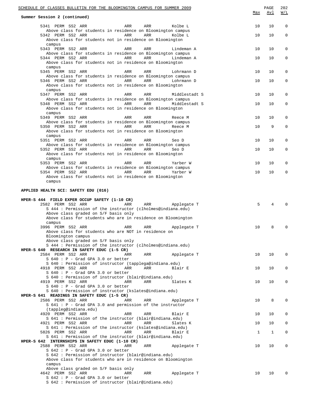| SCHEDULE OF CLASSES BULLETIN FOR THE BLOOMINGTON CAMPUS FOR SUMMER 2009                                                                                               | Max          | PAGE<br>Avl    | 202<br>W/L   |
|-----------------------------------------------------------------------------------------------------------------------------------------------------------------------|--------------|----------------|--------------|
| Summer Session 2 (continued)                                                                                                                                          |              |                |              |
| 5341 PERM SS2 ARR<br>ARR<br>ARR<br>Kolbe L                                                                                                                            | 10           | 10             | $\mathbf 0$  |
| Above class for students in residence on Bloomington campus<br>5342 PERM SS2 ARR<br>ARR<br>ARR<br>Kolbe L<br>Above class for students not in residence on Bloomington | 10           | 10             | $\mathbf{0}$ |
| campus<br>5343 PERM SS2 ARR<br>ARR<br>ARR<br>Lindeman A                                                                                                               | 10           | 10             | $\mathbf 0$  |
| Above class for students in residence on Bloomington campus<br>5344 PERM SS2 ARR<br>ARR<br>ARR<br>Lindeman A                                                          | 10           | 10             | $\mathbf 0$  |
| Above class for students not in residence on Bloomington<br>campus                                                                                                    |              |                |              |
| 5345 PERM SS2 ARR<br>ARR<br>ARR<br>Lohrmann D<br>Above class for students in residence on Bloomington campus                                                          | 10           | 10             | $\mathbf 0$  |
| 5346 PERM SS2 ARR<br>ARR<br>ARR<br>Lohrmann D<br>Above class for students not in residence on Bloomington<br>campus                                                   | 10           | 10             | $\mathbf 0$  |
| 5347 PERM SS2 ARR<br>ARR<br>ARR<br>Middlestadt S                                                                                                                      | 10           | 10             | $\mathbf 0$  |
| Above class for students in residence on Bloomington campus<br>5348 PERM SS2 ARR<br>ARR<br>ARR<br>Middlestadt S                                                       | 10           | 10             | 0            |
| Above class for students not in residence on Bloomington<br>campus                                                                                                    |              |                |              |
| 5349 PERM SS2 ARR<br>ARR<br>ARR<br>Reece M<br>Above class for students in residence on Bloomington campus                                                             | 10           | 10             | $\mathbf 0$  |
| 5350 PERM SS2 ARR<br>ARR<br>ARR<br>Reece M<br>Above class for students not in residence on Bloomington                                                                | 10           | 9              | $\mathbf 0$  |
| campus                                                                                                                                                                |              |                |              |
| 5351 PERM SS2 ARR<br>ARR<br>ARR<br>Seo D<br>Above class for students in residence on Bloomington campus                                                               | 10           | 10             | 0            |
| 5352 PERM SS2 ARR<br>ARR<br>ARR<br>Seo D<br>Above class for students not in residence on Bloomington                                                                  | 10           | 10             | $\mathbf 0$  |
| campus<br>5353 PERM SS2 ARR<br>ARR<br>ARR<br>Yarber W                                                                                                                 | 10           | 10             | $\mathbf 0$  |
| Above class for students in residence on Bloomington campus<br>5354 PERM SS2 ARR<br>ARR<br>ARR<br>Yarber W                                                            | 10           | 10             | $\mathbf 0$  |
| Above class for students not in residence on Bloomington<br>campus                                                                                                    |              |                |              |
| APPLIED HEALTH SCI: SAFETY EDU (016)                                                                                                                                  |              |                |              |
| HPER-S 444 FIELD EXPER OCCUP SAFETY (1-10 CR)                                                                                                                         |              |                |              |
| 2582 PERM SS2 ARR<br>ARR<br>ARR<br>Applegate T<br>S 444 : Permission of the instructor (clholmes@indiana.edu)<br>Above class graded on S/F basis only                 | 5            | $\overline{4}$ | $\Omega$     |
| Above class for students who are in residence on Bloomington<br>campus                                                                                                |              |                |              |
| 3996 PERM SS2 ARR<br>ARR<br>ARR<br>Applegate T<br>Above class for students who are NOT in residence on                                                                | 10           | 8              | $\mathbf 0$  |
| Bloomington campus<br>Above class graded on S/F basis only                                                                                                            |              |                |              |
| S 444: Permission of the instructor (clholmes@indiana.edu)<br>HPER-S 640 RESEARCH IN SAFETY EDUC (1-5 CR)                                                             |              |                |              |
| 2584 PERM SS2 ARR<br>Applegate T<br>ARR<br>ARR<br>$S$ 640 : P - Grad GPA 3.0 or better                                                                                | 10           | 10             | 0            |
| S 640 : Permission of instructor (tapplega@indiana.edu)<br>4918 PERM SS2 ARR<br>ARR<br>ARR<br>Blair E                                                                 | 10           | 10             | 0            |
| $S$ 640 : P - Grad GPA 3.0 or better<br>S 640 : Permission of instructor (blair@indiana.edu)                                                                          |              |                |              |
| 4919 PERM SS2 ARR<br>ARR<br>ARR<br>Slates K                                                                                                                           | 10           | 10             | 0            |
| $S$ 640 : P - Grad GPA 3.0 or better<br>S 640 : Permission of instructor (kslates@indiana.edu)                                                                        |              |                |              |
| HPER-S 641 READINGS IN SAFETY EDUC (1-5 CR)<br>2586 PERM SS2 ARR<br>ARR<br>ARR<br>Applegate T                                                                         | 10           | 8              | $\mathsf 0$  |
| S 641 : P - Grad GPA 3.0 and permission of the instructor                                                                                                             |              |                |              |
| (tappleg@indiana.edu)<br>4920 PERM SS2 ARR<br>ARR<br>ARR<br>Blair E<br>S 641 : Permission of the instructor (blair@indiana.edu)                                       | 10           | 10             | $\mathbf 0$  |
| 4921 PERM SS2 ARR<br>ARR<br>ARR<br>Slates K                                                                                                                           | 10           | 10             | 0            |
| S 641 : Permission of the instructor (kslates@indiana.edu)<br>5826 PERM SS2 ARR<br>ARR<br>ARR<br>Blair E                                                              | $\mathbf{1}$ | 1              | 0            |
| S 641 : Permission of the instructor (blair@indiana.edu)<br>HPER-S 642 INTERNSHIPS IN SAFETY EDUC (1-10 CR)                                                           |              |                |              |
| 2588 PERM SS2 ARR<br>ARR<br>ARR<br>Applegate T<br>$S$ 642 : P - Grad GPA 3.0 or better                                                                                | 10           | 10             | 0            |
| S 642 : Permission of instructor (blair@indiana.edu)<br>Above class for students who are in residence on Bloomington                                                  |              |                |              |
| campus<br>Above class graded on S/F basis only                                                                                                                        |              |                |              |
| 4642 PERM SS2 ARR<br>ARR<br>ARR<br>Applegate T<br>$S$ 642 : P - Grad GPA 3.0 or better                                                                                | 10           | 10             | $\mathbf 0$  |
| S 642 : Permission of instructor (blair@indiana.edu)                                                                                                                  |              |                |              |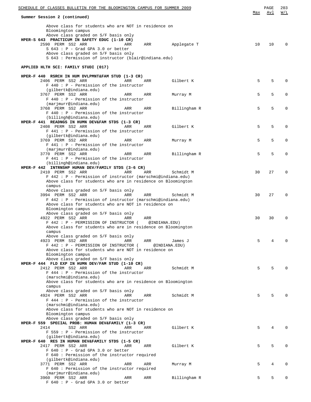| SCHEDULE OF CLASSES BULLETIN FOR THE BLOOMINGTON CAMPUS FOR SUMMER 2009                                                                                                                |     | PAGE | 203          |
|----------------------------------------------------------------------------------------------------------------------------------------------------------------------------------------|-----|------|--------------|
| Summer Session 2 (continued)                                                                                                                                                           | Max | Avl  | W/L          |
| Above class for students who are NOT in residence on<br>Bloomington campus<br>Above class graded on S/F basis only<br>HPER-S 643 PRACTICUM IN SAFETY EDUC (1-10 CR)                    |     |      |              |
| 2590 PERM SS2 ARR<br>ARR<br>ARR<br>Applegate T<br>$S$ 643 : P - Grad GPA 3.0 or better<br>Above class graded on S/F basis only<br>S 643 : Permission of instructor (blair@indiana.edu) | 10  | 10   | $\Omega$     |
| APPLIED HLTH SCI: FAMILY STUDI (017)                                                                                                                                                   |     |      |              |
| HPER-F 440 RSRCH IN HUM DVLPMNT&FAM STUD (1-3 CR)<br>2406 PERM SS2 ARR<br>ARR<br>ARR<br>Gilbert K                                                                                      | 5   | 5    | $\Omega$     |
| $F$ 440 : P - Permission of the instructor<br>(gilbertk@indiana.edu)                                                                                                                   |     |      |              |
| 3767 PERM SS2 ARR<br>ARR<br>ARR<br>Murray M<br>$F$ 440 : P - Permission of the instructor                                                                                              | 5   | 5    | $\Omega$     |
| (marjmurr@indiana.edu)<br>3768 PERM SS2 ARR<br>ARR<br>ARR<br>Billingham R<br>$F$ 440 : $P$ - Permission of the instructor                                                              | 5   | 5    | 0            |
| (billingh@indiana.edu)<br>HPER-F 441 READNGS IN HUMN DEV&FAM STDS (1-3 CR)<br>2408 PERM SS2 ARR<br>Gilbert K<br>ARR<br>ARR                                                             | 5   | 5    | 0            |
| $F$ 441 : P - Permission of the instructor<br>(gilbertk@indiana.edu)                                                                                                                   |     |      |              |
| 3769 PERM SS2 ARR<br>ARR<br>ARR<br>Murray M<br>$F$ 441 : P - Permission of the instructor                                                                                              | 5   | 5    | $\Omega$     |
| (marjmurr@indiana.edu)<br>3770 PERM SS2 ARR<br>Billingham R<br>ARR<br>ARR<br>$F$ 441 : P - Permission of the instructor                                                                | 5   | 5    | 0            |
| (billingh@indiana.edu)<br>HPER-F 442 INTRNSHP HUMAN DEV/FAMILY STDS (3-6 CR)                                                                                                           |     |      |              |
| 2410 PERM SS2 ARR<br>ARR<br>ARR<br>Schmidt M<br>F 442 : P - Permission of instructor (marschmi@indiana.edu)<br>Above class for students who are in residence on Bloomington<br>campus  | 30  | 27   | $\Omega$     |
| Above class graded on S/F basis only<br>3994 PERM SS2 ARR<br>ARR<br>ARR<br>Schmidt M<br>F 442 : P - Permission of instructor (marschmi@indiana.edu)                                    | 30  | 27   | $\Omega$     |
| Above class for students who are NOT in residence on<br>Bloomington campus<br>Above class graded on S/F basis only<br>4922 PERM SS2 ARR<br>ARR<br>ARR                                  | 30  | 30   | 0            |
| F 442 : P - PERMISSION OF INSTRUCTOR (<br>@INDIANA.EDU)<br>Above class for students who are in residence on Bloomington<br>campus                                                      |     |      |              |
| Above class graded on S/F basis only<br>4923 PERM SS2 ARR<br>ARR<br>ARR<br>James J<br>F 442 : P - PERMISSION OF INSTRUCTOR (<br>@INDIANA.EDU)                                          | 5   |      |              |
| Above class for students who are NOT in residence on<br>Bloomington campus<br>Above class graded on S/F basis only                                                                     |     |      |              |
| HPER-F 444 FLD EXP IN HUMN DEV/FAM STUD (1-10 CR)<br>2412 PERM SS2 ARR<br>ARR<br>Schmidt M<br>ARR<br>$F$ 444 : $P$ - Permission of the instructor                                      | 5   | 5    |              |
| (marschmi@indiana.edu)<br>Above class for students who are in residence on Bloomington<br>campus                                                                                       |     |      |              |
| Above class graded on S/F basis only<br>4924 PERM SS2 ARR<br>ARR<br>Schmidt M<br>ARR<br>$F$ 444 : $P$ - Permission of the instructor                                                   | 5   | 5    |              |
| (marschmi@indiana.edu)<br>Above class for students who are NOT in residence on<br>Bloomington campus                                                                                   |     |      |              |
| Above class graded on S/F basis only<br>HPER-F 559 SPECIAL PROB: HUMAN DEV&FAMILY (1-3 CR)<br>2414<br>SS2 ARR<br>Gilbert K<br>ARR<br>ARR<br>F 559 : P - Permission of the instructor   | 5   | 4    |              |
| (gilbertk@indiana.edu)<br>HPER-F 640 RES IN HUMAN DEV&FAMILY STDS (1-5 CR)<br>2417 PERM SS2 ARR<br>Gilbert K<br>ARR<br>ARR<br>$F$ 640 : P - Grad GPA 3.0 or better                     | 5   | 5    | <sup>0</sup> |
| F 640 : Permission of the instructor required<br>(gilbertk@indiana.edu)<br>3771 PERM SS2 ARR<br>ARR<br>ARR<br>Murray M                                                                 | 5   | 4    | 0            |
| F 640 : Permission of the instructor required<br>(marjmurr@indiana.edu)<br>3960 PERM SS2 ARR<br>ARR<br>ARR<br>Billingham R                                                             | 5   | 5    | $\Omega$     |
| $F$ 640 : P - Grad GPA 3.0 or better                                                                                                                                                   |     |      |              |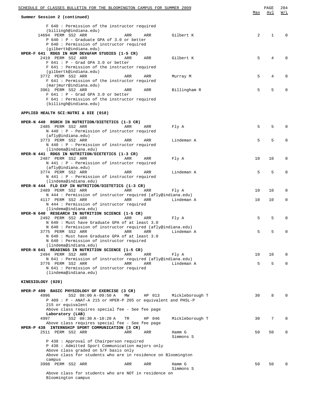| SCHEDULE OF CLASSES BULLETIN FOR THE BLOOMINGTON CAMPUS FOR SUMMER 2009                                                                                                                                                                          |     |     |              |
|--------------------------------------------------------------------------------------------------------------------------------------------------------------------------------------------------------------------------------------------------|-----|-----|--------------|
| Summer Session 2 (continued)                                                                                                                                                                                                                     | Max | Avl | W/L          |
| F 640 : Permission of the instructor required<br>(billingh@indiana.edu)<br>14694 PERM SS2 ARR<br>Gilbert K<br>ARR<br>ARR<br>$P$ 640 : $P$ - Graduate GPA of 3.0 or better<br>P 640 : Permission of instructor required<br>(gilbertk@indiana.edu) | 2   | 1   | <sup>0</sup> |
| HPER-F 641 RDGS IN HUM DEV&FAM STUDIES (1-5 CR)<br>2419 PERM SS2 ARR<br>Gilbert K<br>ARR<br>ARR<br>$F$ 641 : P - Grad GPA 3.0 or better<br>F 641 : Permission of the instructor required                                                         | 5   | 4   | O            |
| (gilbertk@indiana.edu)<br>3772 PERM SS2 ARR<br>ARR<br>ARR<br>Murray M<br>F 641 : Permission of the instructor required                                                                                                                           | 5   | 4   | 0            |
| (marjmurr@indiana.edu)<br>3961 PERM SS2 ARR<br>ARR<br>ARR<br>Billingham R<br>$F$ 641 : P - Grad GPA 3.0 or better<br>F 641 : Permission of the instructor required<br>(billingh@indiana.edu)                                                     | 5   | 5   |              |
| APPLIED HEALTH SCI:NUTRI & DIE (018)                                                                                                                                                                                                             |     |     |              |
| HPER-N 440 RSRCH IN NUTRITION/DIETETICS (1-3 CR)<br>2485 PERM SS2 ARR<br>Fly A<br>ARR<br>ARR<br>N 440 : P - Permission of instructor required<br>(afly@indiana.edu)                                                                              | 5   | 5   | 0            |
| 3773 PERM SS2 ARR<br>Lindeman A<br>ARR<br>ARR<br>N 440 : P - Permission of instructor required<br>(lindema@indiana.edu)                                                                                                                          | 5   | 5   | 0            |
| HPER-N 441 RDGS IN NUTRITION/DIETETICS (1-3 CR)<br>2487 PERM SS2 ARR<br>Fly A<br>ARR<br>ARR<br>N 441 : P - Permission of instructor required                                                                                                     | 10  | 10  | 0            |
| (afly@indiana.edu)<br>3774 PERM SS2 ARR<br>Lindeman A<br>ARR<br>ARR<br>N 441 : P - Permission of instructor required<br>(lindema@indiana.edu)                                                                                                    | 5   | 5   | $\Omega$     |
| HPER-N 444 FLD EXP IN NUTRITION/DIETETICS (1-3 CR)<br>2489 PERM SS2 ARR<br>ARR<br>ARR<br>Fly A<br>N 444 : Permission of instructor required (afly@indiana.edu)                                                                                   | 10  | 10  | $\Omega$     |
| 4117 PERM SS2 ARR<br>ARR<br>Lindeman A<br>ARR<br>N 444 : Permission of instructor required<br>(lindema@indiana.edu)                                                                                                                              | 10  | 10  | $\mathbf 0$  |
| HPER-N 640 RESEARCH IN NUTRITION SCIENCE (1-5 CR)<br>2492 PERM SS2 ARR<br>ARR<br>ARR<br>Fly A<br>N 640 : Must have Graduate GPA of at least 3.0                                                                                                  | 5   | 5   | 0            |
| N 640 : Permission of instructor required (afly@indiana.edu)<br>3775 PERM SS2 ARR               ARR     ARR     Lindeman A<br>N 640 : Must have Graduate GPA of at least 3.0<br>N 640 : Permission of instructor required                        | 5   |     |              |
| (lindema@indiana.edu)<br>HPER-N 641 READINGS IN NUTRITION SCIENCE (1-5 CR)<br>2494 PERM SS2 ARR<br>ARR<br>ARR<br>Fly A                                                                                                                           | 10  | 10  | 0            |
| N 641 : Permission of instructor required (afly@indiana.edu)<br>3776 PERM SS2 ARR<br>ARR<br>ARR<br>Lindeman A<br>N 641 : Permission of instructor required<br>(lindema@indiana.edu)                                                              | 5   | 5   | $\Omega$     |
| KINESIOLOGY (020)                                                                                                                                                                                                                                |     |     |              |
| HPER-P 409 BASIC PHYSIOLOGY OF EXERCISE (3 CR)                                                                                                                                                                                                   |     |     |              |
| 4996<br>SS2 08:00 A-09:50 A<br>MW<br>HP 013<br>Mickleborough T<br>P 409 : P - ANAT-A 215 or HPER-P 205 or equivalent and PHSL-P<br>215 or equivalent<br>Above class requires special fee - See fee page                                          | 30  | 8   |              |
| Laboratory (LAB)<br>4997<br>SS2 08:30 A-10:20 A<br>Mickleborough T<br>TR<br>HP 046<br>Above class requires special fee - See fee page                                                                                                            | 30  | 7   | $\Omega$     |
| HPER-P 438 INTERNSHIP SPORT COMMUNICATION (3 CR)<br>2511 PERM SS2 ARR<br>Hamm G<br>ARR<br>ARR<br>Simmons S                                                                                                                                       | 50  | 50  | 0            |
| P 438 : Approval of Chairperson required<br>P 438 : Admitted Sport Communication majors only<br>Above class graded on S/F basis only<br>Above class for students who are in residence on Bloomington<br>campus                                   |     |     |              |
| 3998 PERM SS2 ARR<br>Hamm G<br>ARR<br>ARR<br>Simmons S                                                                                                                                                                                           | 50  | 50  |              |
| Above class for students who are NOT in residence on<br>Bloomington campus                                                                                                                                                                       |     |     |              |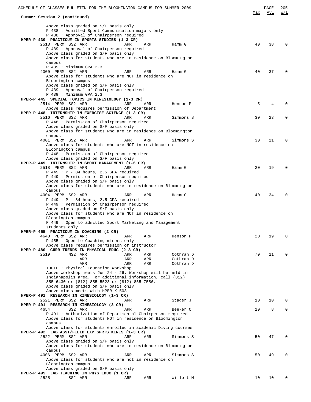| Summer Session 2 (continued)                                                                                           |     |     |           | Max | Avl | W/L         |
|------------------------------------------------------------------------------------------------------------------------|-----|-----|-----------|-----|-----|-------------|
| Above class graded on S/F basis only                                                                                   |     |     |           |     |     |             |
| P 438 : Admitted Sport Communication majors only                                                                       |     |     |           |     |     |             |
| P 438 : Approval of Chairperson required                                                                               |     |     |           |     |     |             |
| HPER-P 439 PRACTICUM IN SPORTS STUDIES (1-3 CR)                                                                        |     |     |           |     |     |             |
| 2513 PERM SS2 ARR<br>P 439 : Approval of Chairperson required                                                          | ARR | ARR | Hamm G    | 40  | 38  | $\Omega$    |
| Above class graded on S/F basis only                                                                                   |     |     |           |     |     |             |
| Above class for students who are in residence on Bloomington                                                           |     |     |           |     |     |             |
| campus                                                                                                                 |     |     |           |     |     |             |
| P 439 : Minimum GPA 2.3<br>4000 PERM SS2 ARR                                                                           | ARR | ARR |           |     | 37  | $\Omega$    |
| Above class for students who are NOT in residence on                                                                   |     |     | Hamm G    | 40  |     |             |
| Bloomington campus                                                                                                     |     |     |           |     |     |             |
| Above class graded on S/F basis only                                                                                   |     |     |           |     |     |             |
| P 439 : Approval of Chairperson required                                                                               |     |     |           |     |     |             |
| P 439 : Minimum GPA 2.3<br>HPER-P 445 SPECIAL TOPICS IN KINESIOLOGY (1-3 CR)                                           |     |     |           |     |     |             |
| 2514 PERM SS2 ARR                                                                                                      | ARR | ARR | Henson P  | 5   | 4   | $\Omega$    |
| Above class requires permission of Department                                                                          |     |     |           |     |     |             |
| HPER-P 448 INTERNSHIP IN EXERCISE SCIENCE (1-3 CR)                                                                     |     |     |           |     |     |             |
| 2516 PERM SS2 ARR                                                                                                      | ARR | ARR | Simmons S | 30  | 23  | $\mathbf 0$ |
| P 448 : Permission of Chairperson required<br>Above class graded on S/F basis only                                     |     |     |           |     |     |             |
| Above class for students who are in residence on Bloomington                                                           |     |     |           |     |     |             |
| campus                                                                                                                 |     |     |           |     |     |             |
| 4001 PERM SS2 ARR                                                                                                      | ARR | ARR | Simmons S | 30  | 21  | $\Omega$    |
| Above class for students who are NOT in residence on<br>Bloomington campus                                             |     |     |           |     |     |             |
| P 448 : Permission of Chairperson required                                                                             |     |     |           |     |     |             |
| Above class graded on S/F basis only                                                                                   |     |     |           |     |     |             |
| HPER-P 449 INTERNSHIP IN SPORT MANAGEMENT (1-6 CR)                                                                     |     |     |           |     |     |             |
| 2518 PERM SS2 ARR<br>$P$ 449 : $P$ - 84 hours, 2.5 GPA required                                                        | ARR | ARR | Hamm G    | 20  | 19  | $\Omega$    |
| P 449 : Permission of Chairperson required                                                                             |     |     |           |     |     |             |
| Above class graded on S/F basis only                                                                                   |     |     |           |     |     |             |
| Above class for students who are in residence on Bloomington                                                           |     |     |           |     |     |             |
| campus<br>4004 PERM SS2 ARR                                                                                            | ARR | ARR | Hamm G    | 40  | 34  | $\Omega$    |
| $P$ 449 : $P$ - 84 hours, 2.5 GPA required                                                                             |     |     |           |     |     |             |
| P 449 : Permission of Chairperson required                                                                             |     |     |           |     |     |             |
| Above class graded on S/F basis only                                                                                   |     |     |           |     |     |             |
| Above class for students who are NOT in residence on<br>Bloomington campus                                             |     |     |           |     |     |             |
| P 449 : Open to admitted Sport Marketing and Management                                                                |     |     |           |     |     |             |
| students only                                                                                                          |     |     |           |     |     |             |
| HPER-P 455 PRACTICUM IN COACHING (2 CR)                                                                                |     |     |           |     |     |             |
| 4643 PERM SS2 ARR<br>P 455: Open to Coaching minors only                                                               | ARR | ARR | Henson P  | 20  | 19  | $\mathbf 0$ |
| Above class requires permission of instructor                                                                          |     |     |           |     |     |             |
| HPER-P 480 CURR TRENDS IN PHYSICAL EDUC (2-3 CR)                                                                       |     |     |           |     |     |             |
| 2519<br>NS2 ARR                                                                                                        | ARR | ARR | Cothran D | 70  | 11  | 0           |
| ARR                                                                                                                    | ARR | ARR | Cothran D |     |     |             |
| ARR<br>TOPIC: Physical Education Workshop                                                                              | ARR | ARR | Cothran D |     |     |             |
| Above workshop meets Jun 24 - 26. Workshop will be held in                                                             |     |     |           |     |     |             |
| Indianapolis area. For additional information, call (812)                                                              |     |     |           |     |     |             |
| 855-6430 or (812) 855-5523 or (812) 855-7556.                                                                          |     |     |           |     |     |             |
| Above class graded on S/F basis only<br>Above class meets with HPER-K 503                                              |     |     |           |     |     |             |
| HPER-P 491 RESEARCH IN KINESIOLOGY (1-3 CR)                                                                            |     |     |           |     |     |             |
| 2521 PERM SS2 ARR                                                                                                      | ARR | ARR | Stager J  | 10  | 10  | 0           |
| HPER-P 491 RESEARCH IN KINESIOLOGY (3 CR)                                                                              |     |     |           |     |     |             |
| 4654<br>SS2 ARR                                                                                                        | ARR | ARR | Beeker C  | 10  | 8   | $\mathbf 0$ |
| P 491 : Authorization of Departmental Chairperson required<br>Above class for students NOT in residence on Bloomington |     |     |           |     |     |             |
| campus                                                                                                                 |     |     |           |     |     |             |
| Above class for students enrolled in academic Diving courses                                                           |     |     |           |     |     |             |
| HPER-P 492 LAB ASST/FIELD EXP SPRTS KINES (1-3 CR)                                                                     |     |     |           |     |     |             |
| 2522 PERM SS2 ARR                                                                                                      | ARR | ARR | Simmons S | 50  | 47  | $\mathbf 0$ |
| Above class graded on S/F basis only<br>Above class for students who are in residence on Bloomington                   |     |     |           |     |     |             |
| campus                                                                                                                 |     |     |           |     |     |             |
| 4006 PERM SS2 ARR                                                                                                      | ARR | ARR | Simmons S | 50  | 49  | 0           |
| Above class for students who are not in residence on                                                                   |     |     |           |     |     |             |
| Bloomington campus                                                                                                     |     |     |           |     |     |             |
| Above class graded on S/F basis only<br>HPER-P 495 LAB TEACHING IN PHYS EDUC (1 CR)                                    |     |     |           |     |     |             |
| 2525<br>SS2 ARR                                                                                                        | ARR | ARR | Willett M | 10  | 10  | 0           |
|                                                                                                                        |     |     |           |     |     |             |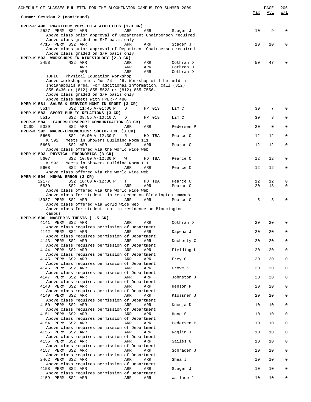|      | SCHEDULE OF CLASSES BULLETIN FOR THE BLOOMINGTON CAMPUS FOR SUMMER 2009<br>Summer Session 2 (continued) |            |            |                        | Max | PAGE<br>Avl | 206<br>W/L   |
|------|---------------------------------------------------------------------------------------------------------|------------|------------|------------------------|-----|-------------|--------------|
|      |                                                                                                         |            |            |                        |     |             |              |
|      | HPER-P 498 PRACTICUM PHYS ED & ATHLETICS (1-3 CR)                                                       |            |            |                        |     |             |              |
|      | 2527 PERM SS2 ARR<br>Above class prior approval of Department Chairperson required                      | ARR        | ARR        | Stager J               | 10  | 9           | $\Omega$     |
|      | Above class graded on S/F basis only                                                                    |            |            |                        |     |             |              |
|      | 4715 PERM SS2 ARR                                                                                       | ARR        | ARR        | Stager J               | 10  | 10          | 0            |
|      | Above class prior approval of Department Chairperson required<br>Above class graded on S/F basis only   |            |            |                        |     |             |              |
|      | HPER-K 503 WORKSHOPS IN KINESIOLOGY (2-3 CR)                                                            |            |            |                        |     |             |              |
|      | 2458<br>NS2 ARR                                                                                         | ARR        | ARR        | Cothran D              | 50  | 47          |              |
|      | ARR<br>ARR                                                                                              | ARR<br>ARR | ARR<br>ARR | Cothran D<br>Cothran D |     |             |              |
|      | TOPIC : Physical Education Workshop                                                                     |            |            |                        |     |             |              |
|      | Above workshop meets Jun 24 - 26. Workshop will be held in                                              |            |            |                        |     |             |              |
|      | Indianapolis area. For additional information, call (812)                                               |            |            |                        |     |             |              |
|      | 855-6430 or (812) 855-5523 or (812) 855-7556.<br>Above class graded on S/F basis only                   |            |            |                        |     |             |              |
|      | Above class meets with HPER-P 480                                                                       |            |            |                        |     |             |              |
|      | HPER-K 581 SALES & SERVICE MGMT IN SPORT (3 CR)                                                         |            |            |                        |     |             |              |
|      | 5514<br>SS2 11:45 A-01:00 P<br>HPER-K 583 SPORT PUBLIC RELATIONS (3 CR)                                 | D          | HP 019     | Lim C                  | 30  | 7           | $\Omega$     |
|      | 5515<br>SS2 08:55 A-10:10 A                                                                             | D          | HP 019     | Lim C                  | 30  | 3           | 0            |
|      | HPER-K 584 LEADERSHIP&SPORT COMMUNICATION (3 CR)                                                        |            |            |                        |     |             |              |
| CLSD | 5329<br>SS2 ARR                                                                                         | ARR        | ARR        | Pedersen P             | 20  | $\mathbf 0$ | 0            |
|      | HPER-K 592 MACRO-ERGONOMICS: SOCIO-TECH (3 CR)<br>5605<br>SS2 10:00 A-12:30 P                           | R          | HD TBA     | Pearce C               | 12  | 12          | 0            |
|      | K 592 : Meets in Showers Building Room 111                                                              |            |            |                        |     |             |              |
|      | 5606<br>SS2 ARR                                                                                         | ARR        | ARR        | Pearce C               | 12  | 12          | 0            |
|      | Above class offered via the world wide web                                                              |            |            |                        |     |             |              |
|      | HPER-K 593 PHYSICAL ERGONOMICS (3 CR)<br>5607<br>SS2 10:00 A-12:30 P                                    | W          | HD TBA     | Pearce C               | 12  | 12          | 0            |
|      | K 593 : Meets in Showers Building Room 111                                                              |            |            |                        |     |             |              |
|      | 5608<br>SS2 ARR                                                                                         | ARR        | ARR        | Pearce C               | 12  | 12          | 0            |
|      | Above class offered via the world wide web<br>HPER-K 594 HUMAN ERROR (3 CR)                             |            |            |                        |     |             |              |
|      | SS2 10:00 A-12:30 P<br>12177                                                                            | т          | HD TBA     | Pearce C               | 12  | 12          | 0            |
|      | SS2 ARR<br>5830                                                                                         | ARR        | ARR        | Pearce C               | 20  | 18          | 0            |
|      | Above class offered via the World Wide Web                                                              |            |            |                        |     |             |              |
|      | Above class for students in residence on Bloomington campus<br>13937 PERM SS2 ARR                       | ARR        | ARR        | Pearce C               | 5   | 3           |              |
|      | Above class offered via World Wide Web                                                                  |            |            |                        |     |             |              |
|      | Above class for students not in residence on Bloomington                                                |            |            |                        |     |             |              |
|      | campus<br>HPER-K 600 MASTER'S THESIS (1-5 CR)                                                           |            |            |                        |     |             |              |
|      | 4141 PERM SS2 ARR                                                                                       | ARR        | ARR        | Cothran D              | 20  | 20          | 0            |
|      | Above class requires permission of Department                                                           |            |            |                        |     |             |              |
|      | 4142 PERM SS2 ARR<br><b>Example 28 ARR</b> ARR                                                          |            |            | Dapena J               | 20  | 20          | $\Omega$     |
|      | Above class requires permission of Department<br>4143 PERM SS2 ARR                                      | ARR        | ARR        | Docherty C             | 20  | 20          | 0            |
|      | Above class requires permission of Department                                                           |            |            |                        |     |             |              |
|      | 4144 PERM SS2 ARR                                                                                       | ARR        | ARR        | Fielding L             | 20  | 20          | $\mathbf 0$  |
|      | Above class requires permission of Department<br>4145 PERM SS2 ARR                                      | ARR        | ARR        | Frey G                 | 20  | 20          | 0            |
|      | Above class requires permission of Department                                                           |            |            |                        |     |             |              |
|      | 4146 PERM SS2 ARR                                                                                       | ARR        | ARR        | Grove K                | 20  | 20          | $\mathbf 0$  |
|      | Above class requires permission of Department                                                           |            |            |                        |     |             |              |
|      | 4147 PERM SS2 ARR<br>Above class requires permission of Department                                      | ARR        | ARR        | Johnston J             | 20  | 20          | 0            |
|      | 4148 PERM SS2 ARR                                                                                       | ARR        | ARR        | Henson P               | 20  | 20          | $\mathbf{0}$ |
|      | Above class requires permission of Department                                                           |            |            |                        |     |             |              |
|      | 4149 PERM SS2 ARR<br>Above class requires permission of Department                                      | ARR        | ARR        | Klossner J             | 20  | 20          | 0            |
|      | 4150 PERM SS2 ARR                                                                                       | ARR        | ARR        | Koceja D               | 10  | 10          | $\mathbf{0}$ |
|      | Above class requires permission of Department                                                           |            |            |                        |     |             |              |
|      | 4151 PERM SS2 ARR                                                                                       | ARR        | ARR        | Hong S                 | 10  | 10          | 0            |
|      | Above class requires permission of Department<br>4154 PERM SS2 ARR                                      | ARR        | ARR        | Pedersen P             | 10  | 10          | $\mathbf{0}$ |
|      | Above class requires permission of Department                                                           |            |            |                        |     |             |              |
|      | 4155 PERM SS2 ARR                                                                                       | ARR        | ARR        | Raglin J               | 10  | 10          | 0            |
|      | Above class requires permission of Department<br>4156 PERM SS2 ARR                                      | ARR        | ARR        | Sailes G               | 10  | 10          | $\mathbf{0}$ |
|      | Above class requires permission of Department                                                           |            |            |                        |     |             |              |
|      | 4157 PERM SS2 ARR                                                                                       | ARR        | ARR        | Schrader J             | 10  | 10          | 0            |
|      | Above class requires permission of Department                                                           | ARR        | ARR        |                        |     | 10          | 0            |
|      | 2462 PERM SS2 ARR<br>Above class requires permission of Department                                      |            |            | Shea J                 | 10  |             |              |
|      | 4158 PERM SS2 ARR                                                                                       | ARR        | ARR        | Stager J               | 10  | 10          | 0            |
|      | Above class requires permission of Department                                                           |            |            |                        |     |             |              |
|      | 4159 PERM SS2 ARR                                                                                       | ARR        | ARR        | Wallace J              | 10  | 10          | 0            |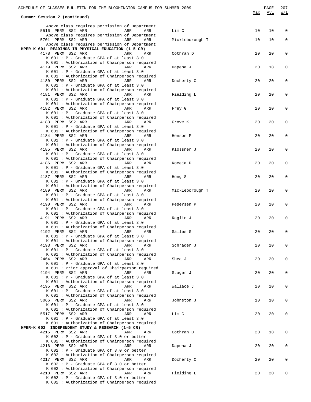| SCHEDULE OF CLASSES BULLETIN FOR THE BLOOMINGTON CAMPUS FOR SUMMER 2009 |  |                                                                       |     |     | PAGE            | 207 |            |                   |
|-------------------------------------------------------------------------|--|-----------------------------------------------------------------------|-----|-----|-----------------|-----|------------|-------------------|
| Summer Session 2 (continued)                                            |  |                                                                       |     |     |                 | Max | <u>Avl</u> | $\underline{W/L}$ |
|                                                                         |  | Above class requires permission of Department                         |     |     |                 |     |            |                   |
|                                                                         |  | 5516 PERM SS2 ARR                                                     | ARR | ARR | Lim C           | 10  | 10         | 0                 |
|                                                                         |  | Above class requires permission of Department                         |     |     |                 |     |            |                   |
|                                                                         |  | 5701 PERM SS2 ARR                                                     | ARR | ARR | Mickleborough T | 10  | 10         | 0                 |
|                                                                         |  | Above class requires permission of Department                         |     |     |                 |     |            |                   |
|                                                                         |  | HPER-K 601 READINGS IN PHYSICAL EDUCATION (1-5 CR)                    |     |     |                 |     |            |                   |
|                                                                         |  | 4178 PERM SS2 ARR                                                     | ARR | ARR | Cothran D       | 20  | 20         | 0                 |
|                                                                         |  | $K$ 601 : P - Graduate GPA of at least 3.0                            |     |     |                 |     |            |                   |
|                                                                         |  | K 601 : Authorization of Chairperson required<br>4179 PERM SS2 ARR    | ARR | ARR | Dapena J        | 20  | 18         | 0                 |
|                                                                         |  | K 601 : P - Graduate GPA of at least 3.0                              |     |     |                 |     |            |                   |
|                                                                         |  | K 601 : Authorization of Chairperson required                         |     |     |                 |     |            |                   |
|                                                                         |  | 4180 PERM SS2 ARR                                                     | ARR | ARR | Docherty C      | 20  | 20         | 0                 |
|                                                                         |  | K 601 : P - Graduate GPA of at least 3.0                              |     |     |                 |     |            |                   |
|                                                                         |  | K 601 : Authorization of Chairperson required                         |     |     |                 |     |            |                   |
|                                                                         |  | 4181 PERM SS2 ARR                                                     | ARR | ARR | Fielding L      | 20  | 20         | 0                 |
|                                                                         |  | K 601 : P - Graduate GPA of at least 3.0                              |     |     |                 |     |            |                   |
|                                                                         |  | K 601: Authorization of Chairperson required<br>4182 PERM SS2 ARR     | ARR | ARR | Frey G          | 20  | 20         | 0                 |
|                                                                         |  | $K$ 601 : P - Graduate GPA of at least 3.0                            |     |     |                 |     |            |                   |
|                                                                         |  | K 601 : Authorization of Chairperson required                         |     |     |                 |     |            |                   |
|                                                                         |  | 4183 PERM SS2 ARR                                                     | ARR | ARR | Grove K         | 20  | 20         | 0                 |
|                                                                         |  | K 601 : P - Graduate GPA of at least 3.0                              |     |     |                 |     |            |                   |
|                                                                         |  | K 601 : Authorization of Chairperson required                         |     |     |                 |     |            |                   |
|                                                                         |  | 4184 PERM SS2 ARR                                                     | ARR | ARR | Henson P        | 20  | 20         | $\mathbf 0$       |
|                                                                         |  | K 601 : P - Graduate GPA of at least 3.0                              |     |     |                 |     |            |                   |
|                                                                         |  | K 601 : Authorization of Chairperson required                         |     |     |                 |     |            |                   |
|                                                                         |  | 4185 PERM SS2 ARR<br>K 601 : P - Graduate GPA of at least 3.0         | ARR | ARR | Klossner J      | 20  | 20         | 0                 |
|                                                                         |  | K 601 : Authorization of Chairperson required                         |     |     |                 |     |            |                   |
|                                                                         |  | 4186 PERM SS2 ARR                                                     | ARR | ARR | Koceja D        | 20  | 20         | 0                 |
|                                                                         |  | $K$ 601 : P - Graduate GPA of at least 3.0                            |     |     |                 |     |            |                   |
|                                                                         |  | K 601 : Authorization of Chairperson required                         |     |     |                 |     |            |                   |
|                                                                         |  | 4187 PERM SS2 ARR                                                     | ARR | ARR | Hong S          | 20  | 20         | 0                 |
|                                                                         |  | K 601 : P - Graduate GPA of at least 3.0                              |     |     |                 |     |            |                   |
|                                                                         |  | K 601 : Authorization of Chairperson required                         |     |     |                 |     |            |                   |
|                                                                         |  | 4189 PERM SS2 ARR                                                     | ARR | ARR | Mickleborough T | 20  | 20         | 0                 |
|                                                                         |  | K 601 : P - Graduate GPA of at least 3.0                              |     |     |                 |     |            |                   |
|                                                                         |  | K 601 : Authorization of Chairperson required<br>4190 PERM SS2 ARR    | ARR | ARR | Pedersen P      | 20  | 20         | 0                 |
|                                                                         |  | K 601 : P - Graduate GPA of at least 3.0                              |     |     |                 |     |            |                   |
|                                                                         |  | K 601: Authorization of Chairperson required                          |     |     |                 |     |            |                   |
|                                                                         |  | 4191 PERM SS2 ARR                                                     | ARR | ARR | Raglin J        | 20  | 20         | 0                 |
|                                                                         |  | $K$ 601 : P - Graduate GPA of at least 3.0                            |     |     |                 |     |            |                   |
|                                                                         |  | K 601 : Authorization of Chairperson required                         |     |     |                 |     |            |                   |
|                                                                         |  | 4192 PERM SS2 ARR ARR ARR ARR                                         |     |     | Sailes G        | 20  | 20         | 0                 |
|                                                                         |  | $K$ 601 : P - Graduate GPA of at least 3.0                            |     |     |                 |     |            |                   |
|                                                                         |  | K 601 : Authorization of Chairperson required<br>4193 PERM SS2 ARR    | ARR | ARR | Schrader J      | 20  | 20         | 0                 |
|                                                                         |  | $K$ 601 : P - Graduate GPA of at least 3.0                            |     |     |                 |     |            |                   |
|                                                                         |  | K 601 : Authorization of Chairperson required                         |     |     |                 |     |            |                   |
|                                                                         |  | 2464 PERM SS2 ARR                                                     | ARR | ARR | Shea J          | 20  | 20         | 0                 |
|                                                                         |  | K 601 : P - Graduate GPA of at least 3.0                              |     |     |                 |     |            |                   |
|                                                                         |  | K 601 : Prior approval of Chairperson required                        |     |     |                 |     |            |                   |
|                                                                         |  | 4194 PERM SS2 ARR                                                     | ARR | ARR | Stager J        | 20  | 20         | 0                 |
|                                                                         |  | $K$ 601 : P - Graduate GPA of at least 3.0                            |     |     |                 |     |            |                   |
|                                                                         |  | K 601 : Authorization of Chairperson required                         | ARR |     |                 |     |            |                   |
|                                                                         |  | 4195 PERM SS2 ARR<br>K 601 : P - Graduate GPA of at least 3.0         |     | ARR | Wallace J       | 20  | 20         | 0                 |
|                                                                         |  | K 601 : Authorization of Chairperson required                         |     |     |                 |     |            |                   |
|                                                                         |  | 5066 PERM SS2 ARR                                                     | ARR | ARR | Johnston J      | 10  | 10         | 0                 |
|                                                                         |  | $K$ 601 : P - Graduate GPA of at least 3.0                            |     |     |                 |     |            |                   |
|                                                                         |  | K 601 : Authorization of Chairperson required                         |     |     |                 |     |            |                   |
|                                                                         |  | 5517 PERM SS2 ARR                                                     | ARR | ARR | Lim C           | 20  | 20         | 0                 |
|                                                                         |  | K 601 : P - Graduate GPA of at least 3.0                              |     |     |                 |     |            |                   |
|                                                                         |  | K 601 : Authorization of Chairperson required                         |     |     |                 |     |            |                   |
|                                                                         |  | HPER-K 602 INDEPENDENT STUDY & RESEARCH (1-5 CR)<br>4215 PERM SS2 ARR |     |     |                 | 20  |            |                   |
|                                                                         |  | $K$ 602 : P - Graduate GPA of 3.0 or better                           | ARR | ARR | Cothran D       |     | 18         | 0                 |
|                                                                         |  | K 602 : Authorization of Chairperson required                         |     |     |                 |     |            |                   |
|                                                                         |  | 4216 PERM SS2 ARR                                                     | ARR | ARR | Dapena J        | 20  | 20         | 0                 |
|                                                                         |  | $K$ 602 : P - Graduate GPA of 3.0 or better                           |     |     |                 |     |            |                   |
|                                                                         |  | K 602 : Authorization of Chairperson required                         |     |     |                 |     |            |                   |
|                                                                         |  | 4217 PERM SS2 ARR                                                     | ARR | ARR | Docherty C      | 20  | 20         | 0                 |
|                                                                         |  | $K$ 602 : P - Graduate GPA of 3.0 or better                           |     |     |                 |     |            |                   |
|                                                                         |  | K 602 : Authorization of Chairperson required                         |     |     |                 |     |            |                   |
|                                                                         |  | 4218 PERM SS2 ARR<br>$K$ 602 : P - Graduate GPA of 3.0 or better      | ARR | ARR | Fielding L      | 20  | 20         | 0                 |
|                                                                         |  | K 602 : Authorization of Chairperson required                         |     |     |                 |     |            |                   |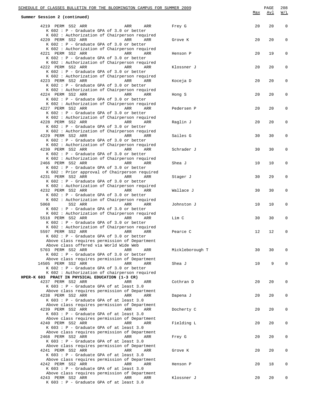| SCHEDULE OF CLASSES BULLETIN FOR THE BLOOMINGTON CAMPUS FOR SUMMER 2009                                                                                                                                       |            |            |             |
|---------------------------------------------------------------------------------------------------------------------------------------------------------------------------------------------------------------|------------|------------|-------------|
| Summer Session 2 (continued)                                                                                                                                                                                  | <u>Max</u> | <u>Avl</u> | W/L         |
| 4219 PERM SS2 ARR<br>ARR<br>ARR<br>Frey G<br>K 602 : P - Graduate GPA of 3.0 or better                                                                                                                        | 20         | 20         | $\mathbf 0$ |
| K 602 : Authorization of Chairperson required<br>4220 PERM SS2 ARR<br>ARR<br>ARR<br>Grove K<br>K 602 : P - Graduate GPA of 3.0 or better                                                                      | 20         | 20         | 0           |
| K 602 : Authorization of Chairperson required<br>4221 PERM SS2 ARR<br>ARR<br>ARR<br>Henson P<br>K 602 : P - Graduate GPA of 3.0 or better                                                                     | 20         | 19         | 0           |
| K 602 : Authorization of Chairperson required<br>4222 PERM SS2 ARR<br>ARR<br>ARR<br>Klossner J<br>K 602 : P - Graduate GPA of 3.0 or better                                                                   | 20         | 20         | 0           |
| K 602 : Authorization of Chairperson required<br>4223 PERM SS2 ARR<br><b>ARR</b><br>ARR<br>Koceja D<br>K 602 : P - Graduate GPA of 3.0 or better                                                              | 20         | 20         | 0           |
| K 602 : Authorization of Chairperson required<br>4224 PERM SS2 ARR<br>ARR<br>ARR<br>Hong S<br>K 602 : P - Graduate GPA of 3.0 or better                                                                       | 20         | 20         | 0           |
| K 602 : Authorization of Chairperson required<br>4227 PERM SS2 ARR<br>ARR<br>ARR<br>Pedersen P<br>K 602 : P - Graduate GPA of 3.0 or better                                                                   | 20         | 20         | 0           |
| K 602 : Authorization of Chairperson required<br>4228 PERM SS2 ARR<br>ARR<br>ARR<br>Raglin J<br>K 602 : P - Graduate GPA of 3.0 or better                                                                     | 20         | 20         | 0           |
| K 602 : Authorization of Chairperson required<br>4229 PERM SS2 ARR<br><b>ARR</b><br>ARR<br>Sailes G<br>K 602 : P - Graduate GPA of 3.0 or better                                                              | 30         | 30         | 0           |
| K 602 : Authorization of Chairperson required<br>4230 PERM SS2 ARR<br>ARR<br>ARR<br>Schrader J<br>K 602 : P - Graduate GPA of 3.0 or better                                                                   | 30         | 30         | 0           |
| K 602 : Authorization of Chairperson required<br>2466 PERM SS2 ARR<br>ARR<br>ARR<br>Shea J<br>K 602 : P - Graduate GPA of 3.0 or better                                                                       | 10         | 10         | $\mathbf 0$ |
| K 602 : Prior approval of Chairperson required<br>4231 PERM SS2 ARR<br>ARR<br>ARR<br>Stager J<br>K 602 : P - Graduate GPA of 3.0 or better                                                                    | 30         | 29         | 0           |
| K 602 : Authorization of Chairperson required<br>4232 PERM SS2 ARR<br><b>ARR</b><br>ARR<br>Wallace J<br>K 602 : P - Graduate GPA of 3.0 or better                                                             | 30         | 30         | 0           |
| K 602 : Authorization of Chairperson required<br>SS2 ARR<br>5068<br>ARR<br>ARR<br>Johnston J<br>K 602 : P - Graduate GPA of 3.0 or better                                                                     | 10         | 10         | 0           |
| K 602 : Authorization of Chairperson required<br>5518 PERM SS2 ARR<br>ARR<br>ARR<br>Lim C<br>K 602 : P - Graduate GPA of 3.0 or better                                                                        | 30         | 30         | 0           |
| K 602 : Authorization of Chairperson required<br>5597 PERM SS2 ARR<br><b>Example 2</b> ARR<br>ARR<br>Pearce C<br>$K$ 602 : P - Graduate GPA of 3.0 or better<br>Above class requires permission of Department | 12         | 12         |             |
| Above class offered via World Wide Web<br>5703 PERM SS2 ARR<br>Mickleborough T<br>ARR<br>ARR<br>$K$ 602 : P - Graduate GPA of 3.0 or better                                                                   | 30         | 30         | 0           |
| Above class requires permission of Department<br>14505 PERM SS2 ARR<br>ARR<br>Shea J<br>ARR<br>K 602 : P - Graduate GPA of 3.0 or better                                                                      | 10         | 9          | 0           |
| K 602 : Authorization of chairperson required<br>HPER-K 603 PRACT IN PHYSICAL EDUCATION (1-3 CR)                                                                                                              |            |            |             |
| 4237 PERM SS2 ARR<br>ARR<br>Cothran D<br>ARR<br>K 603 : P - Graduate GPA of at least 3.0<br>Above class requires permission of Department                                                                     | 20         | 20         | 0           |
| 4238 PERM SS2 ARR<br>ARR<br>ARR<br>Dapena J<br>K 603 : P - Graduate GPA of at least 3.0<br>Above class requires permission of Department                                                                      | 20         | 20         | 0           |
| 4239 PERM SS2 ARR<br>ARR<br>Docherty C<br>ARR<br>K 603 : P - Graduate GPA of at least 3.0<br>Above class requires permission of Department                                                                    | 20         | 20         | 0           |
| 4240 PERM SS2 ARR<br>ARR<br>ARR<br>Fielding L<br>$K$ 603 : P - Graduate GPA of at least 3.0                                                                                                                   | 20         | 20         | 0           |
| Above class requires permission of Department<br>2468 PERM SS2 ARR<br>ARR<br>ARR<br>Frey G<br>K 603 : P - Graduate GPA of at least 3.0                                                                        | 20         | 20         | 0           |
| Above class requires permission of Department<br>4241 PERM SS2 ARR<br>ARR<br>Grove K<br>ARR<br>$K$ 603 : P - Graduate GPA of at least 3.0                                                                     | 20         | 20         | 0           |
| Above class requires permission of Department<br>4242 PERM SS2 ARR<br>ARR<br>ARR<br>Henson P<br>K 603 : P - Graduate GPA of at least 3.0                                                                      | 20         | 18         | 0           |
| Above class requires permission of Department<br>4243 PERM SS2 ARR<br>ARR<br>ARR<br>Klossner J<br>K 603 : P - Graduate GPA of at least 3.0                                                                    | 20         | 20         | 0           |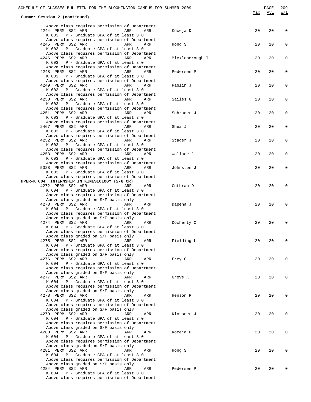| SCHEDULE OF CLASSES BULLETIN FOR THE BLOOMINGTON CAMPUS FOR SUMMER 2009                                                                                                              |     |            |              |
|--------------------------------------------------------------------------------------------------------------------------------------------------------------------------------------|-----|------------|--------------|
| Summer Session 2 (continued)                                                                                                                                                         | Max | <u>Avl</u> | W/L          |
| Above class requires permission of Department<br>4244 PERM SS2 ARR<br>ARR<br>ARR<br>Koceja D<br>K 603 : P - Graduate GPA of at least 3.0                                             | 20  | 20         | $\mathbf 0$  |
| Above class requires permission of Department<br>4245 PERM SS2 ARR<br>ARR<br>ARR<br>Hong S<br>K 603 : P - Graduate GPA of at least 3.0                                               | 20  | 20         | 0            |
| Above class requires permission of Department<br>4246 PERM SS2 ARR<br>ARR<br>ARR<br>Mickleborough T<br>K 603 : P - Graduate GPA of at least 3.0                                      | 20  | 20         | 0            |
| Above class requires permission of Department<br>4248 PERM SS2 ARR<br><b>Example 20</b> ARR<br>ARR<br>Pedersen P<br>K 603 : P - Graduate GPA of at least 3.0                         | 20  | 20         | 0            |
| Above class requires permission of Department<br>4249 PERM SS2 ARR<br>ARR<br>ARR<br>Raglin J<br>K 603 : P - Graduate GPA of at least 3.0                                             | 20  | 20         | 0            |
| Above class requires permission of Department<br>4250 PERM SS2 ARR<br>ARR<br>ARR<br>Sailes G<br>K 603 : P - Graduate GPA of at least 3.0                                             | 20  | 20         | 0            |
| Above class requires permission of Department<br>4251 PERM SS2 ARR<br>ARR<br>Schrader J<br>ARR<br>K 603 : P - Graduate GPA of at least 3.0                                           | 20  | 20         | 0            |
| Above class requires permission of Department<br>2467 PERM SS2 ARR<br>ARR<br>ARR<br>Shea J<br>K 603 : P - Graduate GPA of at least 3.0                                               | 20  | 20         | 0            |
| Above class requires permission of Department<br>4252 PERM SS2 ARR<br>ARR<br>ARR<br>Stager J<br>K 603 : P - Graduate GPA of at least 3.0                                             | 20  | 20         | 0            |
| Above class requires permission of Department<br>4253 PERM SS2 ARR<br>ARR<br>ARR<br>Wallace J<br>K 603 : P - Graduate GPA of at least 3.0                                            | 20  | 20         | 0            |
| Above class requires permission of Department<br>5328 PERM SS2 ARR<br>ARR<br>ARR<br>Johnston J<br>K 603 : P - Graduate GPA of at least 3.0                                           | 20  | 20         | 0            |
| Above class requires permission of Department<br>HPER-K 604 INTERNSHIP IN KINESIOLOGY (2-8 CR)                                                                                       |     |            |              |
| 4272 PERM SS2 ARR<br>ARR<br>ARR<br>Cothran D<br>K 604 : P - Graduate GPA of at least 3.0<br>Above class requires permission of Department                                            | 20  | 20         | 0            |
| Above class graded on S/F basis only<br>4273 PERM SS2 ARR<br>ARR<br>ARR<br>Dapena J<br>K 604 : P - Graduate GPA of at least 3.0                                                      | 20  | 20         | 0            |
| Above class requires permission of Department<br>Above class graded on S/F basis only<br>4274 PERM SS2 ARR<br>ARR<br>ARR<br>Docherty C                                               | 20  | 20         | $\mathbf 0$  |
| K 604 : P - Graduate GPA of at least 3.0<br>Above class requires permission of Department<br>Above class graded on S/F basis only                                                    |     |            |              |
| 4275 PERM SS2 ARR<br>ARR<br>ARR<br>Fielding L<br>K $604$ : P - Graduate GPA of at least 3.0<br>Above class requires permission of Department                                         | 20  | 20         | 0            |
| Above class graded on S/F basis only<br>4276 PERM SS2 ARR<br>ARR<br>Frey G<br>ARR<br>K 604 : P - Graduate GPA of at least 3.0                                                        | 20  | 20         | $\mathbf{0}$ |
| Above class requires permission of Department<br>Above class graded on S/F basis only<br>4277 PERM SS2 ARR<br>ARR<br>Grove K<br>ARR<br>K $604$ : P - Graduate GPA of at least 3.0    | 20  | 20         | $\mathbf{0}$ |
| Above class requires permission of Department<br>Above class graded on S/F basis only<br>4278 PERM SS2 ARR<br>ARR<br>Henson P<br>ARR                                                 | 20  | 20         | $\mathbf{0}$ |
| K $604$ : P - Graduate GPA of at least 3.0<br>Above class requires permission of Department<br>Above class graded on S/F basis only                                                  |     |            |              |
| 4279 PERM SS2 ARR<br>ARR<br>Klossner J<br>ARR<br>K 604 : P - Graduate GPA of at least 3.0<br>Above class requires permission of Department                                           | 20  | 20         | $\mathbf{0}$ |
| Above class graded on S/F basis only<br>4280 PERM SS2 ARR<br>ARR<br>Koceja D<br>ARR<br>K $604$ : P - Graduate GPA of at least 3.0<br>Above class requires permission of Department   | 20  | 20         | $\mathbf{0}$ |
| Above class graded on S/F basis only<br>4281 PERM SS2 ARR<br>ARR<br>Hong S<br>ARR<br>K $604$ : P - Graduate GPA of at least 3.0                                                      | 20  | 20         | $\mathbf{0}$ |
| Above class requires permission of Department<br>Above class graded on S/F basis only<br>4284 PERM SS2 ARR<br>ARR<br>Pedersen P<br>ARR<br>K $604$ : P - Graduate GPA of at least 3.0 | 20  | 20         | 0            |
| Above class requires permission of Department                                                                                                                                        |     |            |              |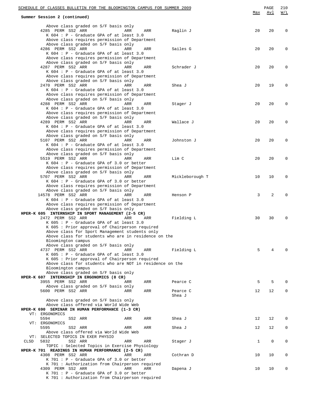| SCHEDULE OF CLASSES BULLETIN FOR THE BLOOMINGTON CAMPUS FOR SUMMER 2009                                                                                                                                                                   |            | PAGE     | 210         |
|-------------------------------------------------------------------------------------------------------------------------------------------------------------------------------------------------------------------------------------------|------------|----------|-------------|
| Summer Session 2 (continued)                                                                                                                                                                                                              | <u>Max</u> | Avl      | W/L         |
| Above class graded on S/F basis only<br>4285 PERM SS2 ARR<br>Raglin J<br>ARR<br>ARR<br>K 604 : P - Graduate GPA of at least 3.0                                                                                                           | 20         | 20       | 0           |
| Above class requires permission of Department<br>Above class graded on S/F basis only<br>4286 PERM SS2 ARR<br>Sailes G<br>ARR<br>ARR<br>$K$ 604 : P - Graduate GPA of at least 3.0                                                        | 20         | 20       | 0           |
| Above class requires permission of Department<br>Above class graded on S/F basis only<br>4287 PERM SS2 ARR<br>ARR<br>ARR<br>Schrader J<br>K $604$ : P - Graduate GPA of at least 3.0                                                      | 20         | 20       | 0           |
| Above class requires permission of Department<br>Above class graded on S/F basis only<br>2470 PERM SS2 ARR<br>ARR<br>ARR<br>Shea J<br>K 604 : P - Graduate GPA of at least 3.0                                                            | 20         | 19       | 0           |
| Above class requires permission of Department<br>Above class graded on S/F basis only<br>4288 PERM SS2 ARR<br>ARR<br>ARR<br>Stager J<br>K 604 : P - Graduate GPA of at least 3.0<br>Above class requires permission of Department         | 20         | 20       | 0           |
| Above class graded on S/F basis only<br>4289 PERM SS2 ARR<br>ARR<br>ARR<br>Wallace J<br>K 604 : P - Graduate GPA of at least 3.0<br>Above class requires permission of Department                                                         | 20         | 20       | 0           |
| Above class graded on S/F basis only<br>5107 PERM SS2 ARR<br>ARR<br>ARR<br>Johnston J<br>K 604 : P - Graduate GPA of at least 3.0                                                                                                         | 20         | 20       | 0           |
| Above class requires permission of Department<br>Above class graded on S/F basis only<br>5519 PERM SS2 ARR<br>Lim C<br>ARR<br>ARR<br>K 604 : P - Graduate GPA of 3.0 or better                                                            | 20         | 20       | 0           |
| Above class requires permission of Department<br>Above class graded on S/F basis only<br>5707 PERM SS2 ARR<br>ARR<br>ARR<br>Mickleborough T<br>K 604 : P - Graduate GPA of 3.0 or better<br>Above class requires permission of Department | 10         | 10       | 0           |
| Above class graded on S/F basis only<br>14578 PERM SS2 ARR<br>ARR<br>ARR<br>Henson P<br>$K$ 604 : P - Graduate GPA of at least 3.0<br>Above class requires permission of Department                                                       | 3          | 2        | $\mathbf 0$ |
| Above class graded on S/F basis only<br>HPER-K 605 INTERNSHIP IN SPORT MANAGEMENT (2-5 CR)<br>2472 PERM SS2 ARR<br>ARR<br>ARR<br>Fielding L<br>K 605 : P - Graduate GPA of at least 3.0                                                   | 30         | 30       | $\mathbf 0$ |
| K 605 : Prior approval of Chairperson required<br>Above class for Sport Management students only<br>Above class for students who are in residence on the<br>Bloomington campus                                                            |            |          |             |
| Above class graded on S/F basis only<br>4737 PERM SS2 ARR<br>Fielding L<br>ARR<br>ARR<br>$K$ 605 : P - Graduate GPA of at least 3.0<br>K 605 : Prior approval of Chairperson required                                                     | 5          | 4        | 0           |
| Above class for students who are NOT in residence on the<br>Bloomington campus<br>Above class graded on S/F basis only                                                                                                                    |            |          |             |
| HPER-K 607 INTERNSHIP IN ERGONOMICS (8 CR)<br>3955 PERM SS2 ARR<br>ARR<br>Pearce C<br>ARR<br>Above class graded on S/F basis only                                                                                                         | 5          | 5        | 0           |
| 5600 PERM SS2 ARR<br>ARR<br>Pearce C<br>ARR<br>Shea J<br>Above class graded on S/F basis only                                                                                                                                             | 12         | 12       | 0           |
| Above class offered via World Wide Web<br>HPER-K 690 SEMINAR IN HUMAN PERFORMANCE (1-3 CR)<br>VT: ERGONOMICS                                                                                                                              | 12         |          | 0           |
| 5594<br>SS2 ARR<br>ARR<br>ARR<br>Shea J<br>VT: ERGONOMICS<br>5595<br>SS2 ARR<br>ARR<br>ARR<br>Shea J                                                                                                                                      | 12         | 12<br>12 | 0           |
| Above class offered via World Wide Web<br>VT: SELECTED TOPICS IN EXER PHYSIO<br>5832<br>CLSD<br>SS2 ARR<br>ARR<br>ARR<br>Stager J<br>TOPIC : Selected Topics in Exercise Physiology                                                       | 1          | 0        | 0           |
| HPER-K 701 READINGS IN HUMAN PERFORMANCE (2-5 CR)<br>4308 PERM SS2 ARR<br>ARR<br>ARR<br>Cothran D<br>K 701 : P - Graduate GPA of 3.0 or better                                                                                            | 10         | 10       | 0           |
| K 701 : Authorization from Chairperson required<br>4309 PERM SS2 ARR<br>ARR<br>Dapena J<br>ARR<br>$K$ 701 : P - Graduate GPA of 3.0 or better<br>K 701 : Authorization from Chairperson required                                          | 10         | 10       | 0           |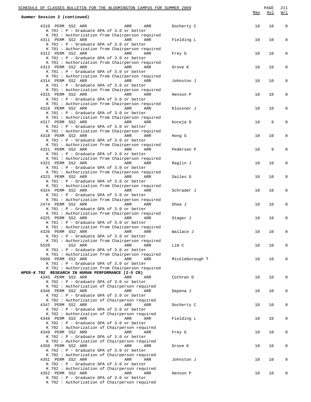|                              | SCHEDULE OF CLASSES BULLETIN FOR THE BLOOMINGTON CAMPUS FOR SUMMER 2009                              |                 | Max | PAGE<br><u>Avl</u> | 211<br><u>W/L</u> |
|------------------------------|------------------------------------------------------------------------------------------------------|-----------------|-----|--------------------|-------------------|
| Summer Session 2 (continued) |                                                                                                      |                 |     |                    |                   |
|                              | 4310 PERM SS2 ARR<br>ARR<br>ARR                                                                      | Docherty C      | 10  | 10                 | $\mathbf 0$       |
|                              | K 701 : P - Graduate GPA of 3.0 or better                                                            |                 |     |                    |                   |
|                              | K 701 : Authorization from Chairperson required<br>4311 PERM SS2 ARR<br>ARR<br>ARR                   | Fielding L      | 10  | 10                 | $\mathbf 0$       |
|                              | K 701 : P - Graduate GPA of 3.0 or better                                                            |                 |     |                    |                   |
|                              | K 701 : Authorization from Chairperson required                                                      |                 |     |                    |                   |
|                              | 4312 PERM SS2 ARR<br>ARR<br>ARR<br>K 701 : P - Graduate GPA of 3.0 or better                         | Frey G          | 10  | 10                 | $\mathbf 0$       |
|                              | K 701 : Authorization from Chairperson required                                                      |                 |     |                    |                   |
|                              | 4313 PERM SS2 ARR<br>ARR<br>ARR                                                                      | Grove K         | 10  | 10                 | 0                 |
|                              | K 701 : P - Graduate GPA of 3.0 or better<br>K 701 : Authorization from Chairperson required         |                 |     |                    |                   |
|                              | 4314 PERM SS2 ARR<br>ARR<br>ARR                                                                      | Johnston J      | 10  | 10                 | 0                 |
|                              | K 701 : P - Graduate GPA of 3.0 or better                                                            |                 |     |                    |                   |
|                              | K 701 : Authorization from Chairperson required<br>4315 PERM SS2 ARR<br>ARR<br>ARR                   | Henson P        | 10  | 10                 | 0                 |
|                              | K 701 : P - Graduate GPA of 3.0 or better                                                            |                 |     |                    |                   |
|                              | K 701 : Authorization from Chairperson required                                                      |                 |     |                    |                   |
|                              | 4316 PERM SS2 ARR<br>ARR<br>ARR                                                                      | Klossner J      | 10  | 10                 | $\mathbf 0$       |
|                              | K 701 : P - Graduate GPA of 3.0 or better<br>K 701 : Authorization from Chairperson required         |                 |     |                    |                   |
|                              | 4317 PERM SS2 ARR<br>ARR<br>ARR                                                                      | Koceja D        | 10  | 9                  | $\mathbf 0$       |
|                              | K 701 : P - Graduate GPA of 3.0 or better                                                            |                 |     |                    |                   |
|                              | K 701 : Authorization from Chairperson required<br>4318 PERM SS2 ARR<br>ARR<br>ARR                   | Hong S          | 10  | 10                 | 0                 |
|                              | K 701 : P - Graduate GPA of 3.0 or better                                                            |                 |     |                    |                   |
|                              | K 701 : Authorization from Chairperson required                                                      |                 |     |                    |                   |
|                              | 4321 PERM SS2 ARR<br>ARR<br>ARR<br>K 701 : P - Graduate GPA of 3.0 or better                         | Pedersen P      | 10  | 9                  | 0                 |
|                              | K 701 : Authorization from Chairperson required                                                      |                 |     |                    |                   |
|                              | 4322 PERM SS2 ARR<br>ARR<br>ARR                                                                      | Raglin J        | 10  | 10                 | $\mathbf 0$       |
|                              | K 701 : P - Graduate GPA of 3.0 or better<br>K 701 : Authorization from Chairperson required         |                 |     |                    |                   |
|                              | 4323 PERM SS2 ARR<br>ARR<br>ARR                                                                      | Sailes G        | 10  | 10                 | 0                 |
|                              | K 701 : P - Graduate GPA of 3.0 or better                                                            |                 |     |                    |                   |
|                              | K 701 : Authorization from Chairperson required                                                      |                 |     |                    |                   |
|                              | 4324 PERM SS2 ARR<br>ARR<br>ARR<br>K 701 : P - Graduate GPA of 3.0 or better                         | Schrader J      | 10  | 10                 | 0                 |
|                              | K 701 : Authorization from Chairperson required                                                      |                 |     |                    |                   |
|                              | 2474 PERM SS2 ARR<br>ARR<br>ARR                                                                      | Shea J          | 10  | 10                 | 0                 |
|                              | K 701 : P - Graduate GPA of 3.0 or better<br>K 701 : Authorization from Chairperson required         |                 |     |                    |                   |
|                              | 4325 PERM SS2 ARR<br>ARR<br>ARR                                                                      | Stager J        | 10  | 10                 | $\mathbf 0$       |
|                              | $K$ 701 : P - Graduate GPA of 3.0 or better                                                          |                 |     |                    |                   |
|                              | K 701 : Authorization from Chairperson required<br>4326 PERM SS2 ARR ARR ARR ARR                     | Wallace J       | 10  | 10                 | 0                 |
|                              | K 701 : P - Graduate GPA of 3.0 or better                                                            |                 |     |                    |                   |
|                              | K 701 : Authorization from Chairperson required                                                      |                 |     |                    |                   |
| 5520                         | SS2 ARR<br>ARR<br>ARR<br>$K$ 701 : P - Graduate GPA of 3.0 or better                                 | Lim C           | 10  | 10                 | 0                 |
|                              | K 701 : Authorization from Chairperson required                                                      |                 |     |                    |                   |
|                              | 5699 PERM SS2 ARR<br>ARR<br>ARR                                                                      | Mickleborough T | 10  | 10                 | 0                 |
|                              | K 701 : P - Graduate GPA of 3.0 or better                                                            |                 |     |                    |                   |
|                              | K 701 : Authorization from Chairperson required<br>HPER-K 702 RESEARCH IN HUMAN PERFORMANCE (2-5 CR) |                 |     |                    |                   |
|                              | 4345 PERM SS2 ARR<br>ARR<br>ARR                                                                      | Cothran D       | 10  | 10                 | 0                 |
|                              | K 702 : P - Graduate GPA of 3.0 or better                                                            |                 |     |                    |                   |
|                              | K 702 : Authorization of Chairperson required<br>4346 PERM SS2 ARR<br>ARR<br>ARR                     | Dapena J        | 10  | 10                 | 0                 |
|                              | K 702 : P - Graduate GPA of 3.0 or better                                                            |                 |     |                    |                   |
|                              | K 702 : Authorization of Chairperson required                                                        |                 |     |                    |                   |
|                              | 4347 PERM SS2 ARR<br>ARR<br>ARR<br>K 702 : P - Graduate GPA of 3.0 or better                         | Docherty C      | 10  | 10                 | 0                 |
|                              | K 702 : Authorization of Chairperson required                                                        |                 |     |                    |                   |
|                              | 4348 PERM SS2 ARR<br>ARR<br>ARR                                                                      | Fielding L      | 10  | 10                 | 0                 |
|                              | K 702 : P - Graduate GPA of 3.0 or better<br>K 702 : Authorization of Chairperson required           |                 |     |                    |                   |
|                              | 4349 PERM SS2 ARR<br>ARR<br>ARR                                                                      | Frey G          | 10  | 10                 | 0                 |
|                              | K 702 : P - Graduate GPA of 3.0 or better                                                            |                 |     |                    |                   |
|                              | K 702 : Authorization of Chairperson required<br>4350 PERM SS2 ARR<br>ARR<br>ARR                     |                 | 10  |                    |                   |
|                              | K 702 : P - Graduate GPA of 3.0 or better                                                            | Grove K         |     | 10                 | 0                 |
|                              | K 702 : Authorization of Chairperson required                                                        |                 |     |                    |                   |
|                              | 4351 PERM SS2 ARR<br>ARR<br>ARR                                                                      | Johnston J      | 10  | 10                 | 0                 |
|                              | K 702 : P - Graduate GPA of 3.0 or better<br>K 702 : Authorization of Chairperson required           |                 |     |                    |                   |
|                              | 4352 PERM SS2 ARR<br>ARR<br>ARR                                                                      | Henson P        | 10  | 10                 | 0                 |
|                              | K 702 : P - Graduate GPA of 3.0 or better                                                            |                 |     |                    |                   |
|                              | K 702 : Authorization of Chairperson required                                                        |                 |     |                    |                   |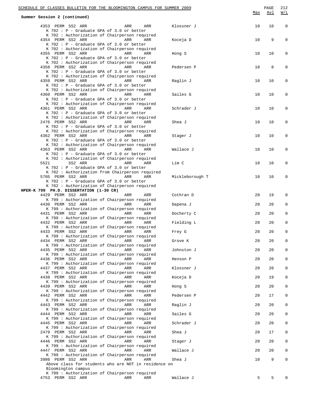|      | SCHEDULE OF CLASSES BULLETIN FOR THE BLOOMINGTON CAMPUS FOR SUMMER 2009<br>Summer Session 2 (continued)                                                          |            |     |                 | Max | PAGE<br><u>Avl</u> | 212<br>W/L |
|------|------------------------------------------------------------------------------------------------------------------------------------------------------------------|------------|-----|-----------------|-----|--------------------|------------|
|      | 4353 PERM SS2 ARR<br>K 702 : P - Graduate GPA of 3.0 or better                                                                                                   | ARR        | ARR | Klossner J      | 10  | 10                 | 0          |
|      | K 702 : Authorization of Chairperson required<br>4354 PERM SS2 ARR<br>K 702 : P - Graduate GPA of 3.0 or better                                                  | ARR        | ARR | Koceja D        | 10  | 9                  | 0          |
|      | K 702 : Authorization of Chairperson required<br>4355 PERM SS2 ARR<br>K 702 : P - Graduate GPA of 3.0 or better<br>K 702 : Authorization of Chairperson required | ARR        | ARR | Hong S          | 10  | 10                 | 0          |
|      | 4358 PERM SS2 ARR<br>K 702 : P - Graduate GPA of 3.0 or better                                                                                                   | <b>ARR</b> | ARR | Pedersen P      | 10  | 8                  | 0          |
|      | K 702 : Authorization of Chairperson required<br>4359 PERM SS2 ARR<br>K 702 : P - Graduate GPA of 3.0 or better                                                  | ARR        | ARR | Raglin J        | 10  | 10                 | 0          |
|      | K 702 : Authorization of Chairperson required<br>4360 PERM SS2 ARR<br>K 702 : P - Graduate GPA of 3.0 or better                                                  | ARR        | ARR | Sailes G        | 10  | 10                 | 0          |
|      | K 702 : Authorization of Chairperson required<br>4361 PERM SS2 ARR<br>K 702 : P - Graduate GPA of 3.0 or better                                                  | ARR        | ARR | Schrader J      | 10  | 10                 | 0          |
|      | K 702 : Authorization of Chairperson required<br>2476 PERM SS2 ARR<br>K 702 : P - Graduate GPA of 3.0 or better                                                  | <b>ARR</b> | ARR | Shea J          | 10  | 10                 | 0          |
|      | K 702 : Authorization of Chairperson required<br>4362 PERM SS2 ARR<br>K 702 : P - Graduate GPA of 3.0 or better                                                  | ARR        | ARR | Stager J        | 10  | 10                 | 0          |
|      | K 702 : Authorization of Chairperson required<br>4363 PERM SS2 ARR<br>K 702 : P - Graduate GPA of 3.0 or better                                                  | ARR        | ARR | Wallace J       | 10  | 10                 | 0          |
| 5521 | K 702 : Authorization of Chairperson required<br>SS2 ARR                                                                                                         | ARR        | ARR | Lim C           | 10  | 10                 | 0          |
|      | K 702 : P - Graduate GPA of 3.0 or better<br>K 702 : Authorization from Chairperson required<br>5705 PERM SS2 ARR<br>K 702 : P - Graduate GPA of 3.0 or better   | <b>ARR</b> | ARR | Mickleborough T | 10  | 10                 | 0          |
|      | K 702 : Authorization of Chairperson required<br>HPER-K 799 PH.D. DISSERTATION (1-30 CR)                                                                         |            |     |                 |     |                    |            |
|      | 4429 PERM SS2 ARR<br>K 799 : Authorization of Chairperson required                                                                                               | ARR        | ARR | Cothran D       | 20  | 19                 | 0          |
|      | 4430 PERM SS2 ARR<br>K 799 : Authorization of Chairperson required                                                                                               | ARR        | ARR | Dapena J        | 20  | 20                 | 0          |
|      | 4431 PERM SS2 ARR                                                                                                                                                | ARR        | ARR | Docherty C      | 20  | 20                 | 0          |
|      | K 799 : Authorization of Chairperson required<br>4432 PERM SS2 ARR                                                                                               | ARR        | ARR | Fielding L      | 20  | 20                 | 0          |
|      | K 799 : Authorization of Chairperson required<br>4433 PERM SS2 ARR                                                                                               | ARR        | ARR | Frey G          | 20  | 20                 | 0          |
|      | K 799 : Authorization of Chairperson required                                                                                                                    |            |     |                 |     |                    |            |
|      | 4434 PERM SS2 ARR<br>K 799 : Authorization of Chairperson required                                                                                               | ARR        | ARR | Grove K         | 20  | 20                 | 0          |
|      | 4435 PERM SS2 ARR<br>K 799 : Authorization of Chairperson required                                                                                               | ARR        | ARR | Johnston J      | 20  | 20                 | 0          |
|      | 4436 PERM SS2 ARR                                                                                                                                                | ARR        | ARR | Henson P        | 20  | 20                 | 0          |
|      | K 799 : Authorization of Chairperson required<br>4437 PERM SS2 ARR                                                                                               | ARR        | ARR | Klossner J      | 20  | 20                 | 0          |
|      | K 799 : Authorization of Chairperson required                                                                                                                    |            |     |                 |     |                    |            |
|      | 4438 PERM SS2 ARR<br>K 799 : Authorization of Chairperson required                                                                                               | ARR        | ARR | Koceja D        | 20  | 19                 | 0          |
|      | 4439 PERM SS2 ARR                                                                                                                                                | ARR        | ARR | Hong S          | 20  | 20                 | 0          |
|      | K 799 : Authorization of Chairperson required<br>4442 PERM SS2 ARR                                                                                               | ARR        | ARR | Pedersen P      | 20  | 17                 | 0          |
|      | K 799 : Authorization of Chairperson required                                                                                                                    |            |     |                 |     |                    |            |
|      | 4443 PERM SS2 ARR<br>K 799 : Authorization of Chairperson required                                                                                               | ARR        | ARR | Raglin J        | 20  | 20                 | 0          |
|      | 4444 PERM SS2 ARR                                                                                                                                                | ARR        | ARR | Sailes G        | 20  | 20                 | 0          |
|      | K 799 : Authorization of Chairperson required<br>4445 PERM SS2 ARR                                                                                               | ARR        | ARR | Schrader J      | 20  | 20                 | 0          |
|      | K 799 : Authorization of Chairperson required                                                                                                                    |            |     |                 |     |                    |            |
|      | 2479 PERM SS2 ARR<br>K 799 : Authorization of Chairperson required                                                                                               | ARR        | ARR | Shea J          | 20  | 17                 | 0          |
|      | 4446 PERM SS2 ARR                                                                                                                                                | ARR        | ARR | Stager J        | 20  | 20                 | 0          |
|      | K 799 : Authorization of Chairperson required<br>4447 PERM SS2 ARR                                                                                               | ARR        | ARR | Wallace J       | 20  | 20                 | 0          |
|      | K 799 : Authorization of Chairperson required                                                                                                                    |            |     |                 |     |                    |            |
|      | 3986 PERM SS2 ARR<br>Above class for students who are NOT in residence on<br>Bloomington campus                                                                  | ARR        | ARR | Shea J          | 10  | 9                  | 0          |
|      | K 799 : Authorization of Chairperson required                                                                                                                    |            |     |                 |     |                    |            |
|      | 4753 PERM SS2 ARR                                                                                                                                                | ARR        | ARR | Wallace J       | 5   | 5                  |            |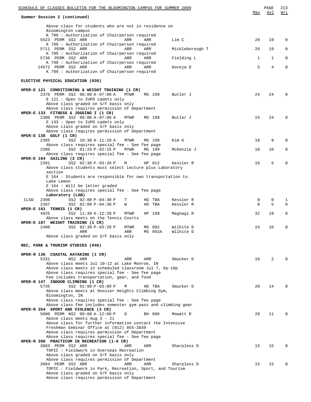| SCHEDULE OF CLASSES BULLETIN FOR THE BLOOMINGTON CAMPUS FOR SUMMER 2009                                                                        | Max    | PAGE<br>Avl | 213<br>W/L |
|------------------------------------------------------------------------------------------------------------------------------------------------|--------|-------------|------------|
| Summer Session 2 (continued)                                                                                                                   |        |             |            |
| Above class for students who are not in residence on<br>Bloomington campus                                                                     |        |             |            |
| K 799 : Authorization of Chairperson required<br>5523 PERM SS2 ARR<br>Lim C<br>ARR<br>ARR                                                      | 20     | 19          | 0          |
| K 799 : Authorization of Chairperson required<br>5711 PERM SS2 ARR<br>Mickleborough T<br>ARR<br>ARR                                            | 20     | 19          | 0          |
| K 799 : Authorization of Chairperson required<br>5736 PERM SS2 ARR<br>Fielding L<br>ARR<br>ARR                                                 | 1      | 1           | 0          |
| K 799 : Authorization of Chairperson required<br>14572 PERM SS2 ARR<br>ARR<br>ARR<br>Koceja D<br>K 799 : Authorization of Chairperson required | 5      | 4           | 0          |
| ELECTIVE PHYSICAL EDUCATION (030)                                                                                                              |        |             |            |
| HPER-E 121 CONDITIONING & WEIGHT TRAINING (1 CR)                                                                                               | 24     | 24          | 0          |
| 2378 PERM SS2 06:00 A-07:00 A<br>MTWR<br>MG 199<br>Butler J<br>E 121 : Open to IUPD cadets only<br>Above class graded on S/F basis only        |        |             |            |
| Above class requires permission of Department<br>HPER-E 133 FITNESS & JOGGING I (1 CR)                                                         |        |             |            |
| 2380 PERM SS2 06:00 A-07:00 A<br>Butler J<br>MTWR<br>MG 199<br>E 133 : Open to IUPD cadets only                                                | 24     | 24          | 0          |
| Above class graded on S/F basis only<br>Above class requires permission of Department                                                          |        |             |            |
| HPER-E $135$ GOLF $(1 \text{ CR})$<br>2385<br>SS2 10:30 A-11:20 A<br>Kim K<br>MTWR<br>MG 199                                                   | 18     | 9           | $\Omega$   |
| Above class requires special fee - See fee page                                                                                                |        |             |            |
| 2386<br>SS2 01:25 P-02:15 P<br>McKenzie J<br>MTWR<br>MG 199<br>Above class requires special fee - See fee page<br>HPER-E 164 SAILING (2 CR)    | 18     | 10          | 0          |
| 2391<br>SS2 02:30 P-03:20 P<br>HP 012<br>Kessler R<br>М                                                                                        | 16     | 5           | 0          |
| Above class students must select Lecture plus Laboratory<br>section                                                                            |        |             |            |
| E 164 : Students are responsible for own transportation to<br>Lake Lemon                                                                       |        |             |            |
| E 164 : Will be letter graded                                                                                                                  |        |             |            |
| Above class requires special fee - See fee page<br>Laboratory (LAB)                                                                            |        |             |            |
| 2396<br>SS2 02:00 P-04:30 P<br>Kessler R<br>CLSD<br>т<br>HD TBA<br>2397<br>SS2 02:00 P-04:30 P<br>Kessler R<br>W<br>HD<br>TBA                  | 8<br>8 | 0<br>5      | 1<br>0     |
| HPER-E 181 TENNIS (1 CR)<br>4925<br>SS2 11:30 A-12:20 P<br>MTWR<br>HP 199<br>Magnagi R                                                         | 32     | 19          | 0          |
| Above class meets on the Tennis Courts<br>HPER-E 187 WEIGHT TRAINING (1 CR)                                                                    |        |             |            |
| 2400<br>SS2 02:30 P-03:20 P<br>MG 092<br>MTWR<br>Wilhite D<br>Wilhite D<br>MG 092A<br>ARR<br>ARR                                               | 24     | 10          | 0          |
| Above class graded on S/F basis only                                                                                                           |        |             |            |
| REC, PARK & TOURISM STUDIES (040)                                                                                                              |        |             |            |
| HPER-R 136 COASTAL KAYAKING (1 CR)                                                                                                             |        |             |            |
| 5331<br>NS2 ARR<br>ARR<br>ARR<br>Smucker D<br>Above class meets Jul 10-12 at Lake Monroe, IN                                                   | 10     | 2           | U          |
| Above class meets in scheduled classroom Jul 7, 6p-10p<br>Above class requires special fee - See fee page                                      |        |             |            |
| Fee includes transportation, gear, and food                                                                                                    |        |             |            |
| HPER-R 147 INDOOR CLIMBING (1 CR)<br>5735<br>SS2 01:00 P-03:00 P<br>Smucker D<br>М<br>HD TBA                                                   | 20     | 14          | U          |
| Above class meets at Hoosier Heights Climbing Gym,                                                                                             |        |             |            |
| Bloomington, IN<br>Above class requires special fee - See fee page                                                                             |        |             |            |
| Above class fee includes semester gym pass and climbing gear<br>HPER-R 354 SPORT AND VIOLENCE (3 CR)                                           |        |             |            |
| 5000 PERM NS2 09:00 A-12:00 P<br>D<br>BH 006<br>Mowatt R                                                                                       | 20     | 11          | U          |
| Above class meets Aug 3 - 21<br>Above class for further information contact the Intensive                                                      |        |             |            |
| Freshman Seminar Office at (812) 855-3839<br>Above class requires permission of Department                                                     |        |             |            |
| Above class requires special fee - See fee page                                                                                                |        |             |            |
| HPER-R 398 PRACTICUM IN RECREATION (1-6 CR)<br>3683 PERM SS2 ARR<br>ARR<br>Sharpless D<br>ARR                                                  | 15     | 15          | U          |
| TOPIC: Fieldwork in Overseas Recreation                                                                                                        |        |             |            |
| Above class graded on S/F basis only<br>Above class requires permission of Department                                                          |        |             |            |
| 3684 PERM SS2 ARR<br>ARR<br>ARR<br>Sharpless D<br>TOPIC : Fieldwork in Park, Recreation, Sport, and Tourism                                    | 15     | 15          | 0          |
| Above class graded on S/F basis only                                                                                                           |        |             |            |
| Above class requires permission of Department                                                                                                  |        |             |            |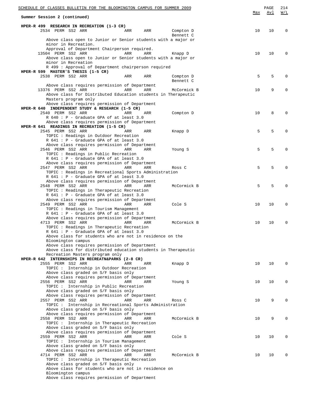| SCHEDULE OF CLASSES BULLETIN FOR THE BLOOMINGTON CAMPUS FOR SUMMER 2009                                          | Max | PAGE<br>Avl | 214<br>W/L  |
|------------------------------------------------------------------------------------------------------------------|-----|-------------|-------------|
| Summer Session 2 (continued)                                                                                     |     |             |             |
| HPER-R 499 RESEARCH IN RECREATION (1-3 CR)                                                                       |     |             |             |
| 2534 PERM SS2 ARR<br>ARR<br>ARR<br>Compton D<br>Bennett C                                                        | 10  | 10          | $\Omega$    |
| Above class open to Junior or Senior students with a major or                                                    |     |             |             |
| minor in Recreation.<br>Approval of Department Chairperson required.                                             |     |             |             |
| 13504 PERM SS2 ARR<br>ARR<br>ARR<br>Knapp D                                                                      | 10  | 10          | $\Omega$    |
| Above class open to Junior or Senior students with a major or<br>minor in Recreation                             |     |             |             |
| R 499 : Approval of Department chairperson required                                                              |     |             |             |
| HPER-R 599 MASTER'S THESIS (1-5 CR)<br>2538 PERM SS2 ARR<br>ARR<br>ARR<br>Compton D                              | 5   | 5           | $\Omega$    |
| Bennett C                                                                                                        |     |             |             |
| Above class requires permission of Department                                                                    |     | 9           | $\Omega$    |
| 13376 PERM SS2 ARR<br>ARR<br>ARR<br>McCormick B<br>Above class for Distributed Education students in Therapeutic | 10  |             |             |
| Masters program only                                                                                             |     |             |             |
| Above class requires permission of Department<br>HPER-R 640 INDEPENDENT STUDY & RESEARCH (1-5 CR)                |     |             |             |
| 2540 PERM SS2 ARR<br>Compton D<br>ARR<br>ARR                                                                     | 10  | 8           | $\Omega$    |
| R 640 : P - Graduate GPA of at least 3.0                                                                         |     |             |             |
| Above class requires permission of Department<br>HPER-R 641 READINGS IN RECREATION (1-5 CR)                      |     |             |             |
| 2545 PERM SS2 ARR<br>ARR<br>ARR<br>Knapp D                                                                       | 5   | 5           | $\Omega$    |
| TOPIC: Readings in Outdoor Recreation<br>R 641 : P - Graduate GPA of at least 3.0                                |     |             |             |
| Above class requires permission of Department                                                                    |     |             |             |
| 2546 PERM SS2 ARR<br>ARR<br>Young S<br>ARR                                                                       | 5   | 5           | $\Omega$    |
| TOPIC: Readings in Public Recreation<br>R 641 : P - Graduate GPA of at least 3.0                                 |     |             |             |
| Above class requires permission of Department                                                                    |     |             |             |
| 2547 PERM SS2 ARR<br>ARR<br>ARR<br>Ross C<br>TOPIC: Readings in Recreational Sports Administration               | 5   | 5           | $\Omega$    |
| R 641 : P - Graduate GPA of at least 3.0                                                                         |     |             |             |
| Above class requires permission of Department                                                                    |     |             |             |
| 2548 PERM SS2 ARR<br>ARR<br>McCormick B<br>ARR<br>TOPIC: Readings in Therapeutic Recreation                      | 5   | 5           | $\Omega$    |
| R 641 : P - Graduate GPA of at least 3.0                                                                         |     |             |             |
| Above class requires permission of Department<br>2549 PERM SS2 ARR<br>ARR<br>Cole S<br>ARR                       | 10  | 10          | $\Omega$    |
| TOPIC: Readings in Tourism Management                                                                            |     |             |             |
| R 641 : P - Graduate GPA of at least 3.0                                                                         |     |             |             |
| Above class requires permission of Department<br>4713 PERM SS2 ARR<br>McCormick B<br>ARR<br>ARR                  | 10  | 10          | $\mathbf 0$ |
| TOPIC: Readings in Therapeutic Recreation                                                                        |     |             |             |
| R 641 : P - Graduate GPA of at least 3.0                                                                         |     |             |             |
| Above class for students who are not in residence on the<br>Bloomington campus                                   |     |             |             |
| Above class requires permission of Department                                                                    |     |             |             |
| Above class for distributed education students in Therapeutic<br>Recreation Masters program only                 |     |             |             |
| HPER-R 642 INTERNSHIPS IN RECREATN&PARKS (2-8 CR)                                                                |     |             |             |
| 2555 PERM SS2 ARR<br>ARR<br>Knapp D<br>ARR<br>TOPIC: Internship in Outdoor Recreation                            | 10  | 10          | $\Omega$    |
| Above class graded on S/F basis only                                                                             |     |             |             |
| Above class requires permission of Department                                                                    |     |             |             |
| 2556 PERM SS2 ARR<br>ARR<br>Young S<br>ARR<br>TOPIC : Internship in Public Recreation                            | 10  | 10          | $\Omega$    |
| Above class graded on S/F basis only                                                                             |     |             |             |
| Above class requires permission of Department<br>ARR                                                             |     | 9           | $\Omega$    |
| 2557 PERM SS2 ARR<br>ARR<br>Ross C<br>TOPIC : Internship in Recreational Sports Administration                   | 10  |             |             |
| Above class graded on S/F basis only                                                                             |     |             |             |
| Above class requires permission of Department<br>2558 PERM SS2 ARR<br>ARR<br>McCormick B<br>ARR                  | 10  | 9           | $\Omega$    |
| TOPIC: Internship in Therapeutic Recreation                                                                      |     |             |             |
| Above class graded on S/F basis only                                                                             |     |             |             |
| Above class requires permission of Department<br>2559 PERM SS2 ARR<br>ARR<br>Cole S<br>ARR                       | 10  | 10          | 0           |
| TOPIC: Internship in Tourism Management                                                                          |     |             |             |
| Above class graded on S/F basis only<br>Above class requires permission of Department                            |     |             |             |
| 4714 PERM SS2 ARR<br>ARR<br>ARR<br>McCormick B                                                                   | 10  | 10          | $\Omega$    |
| TOPIC: Internship in Therapeutic Recreation                                                                      |     |             |             |
| Above class graded on S/F basis only<br>Above class for students who are not in residence on                     |     |             |             |
| Bloomington campus                                                                                               |     |             |             |
| Above class requires permission of Department                                                                    |     |             |             |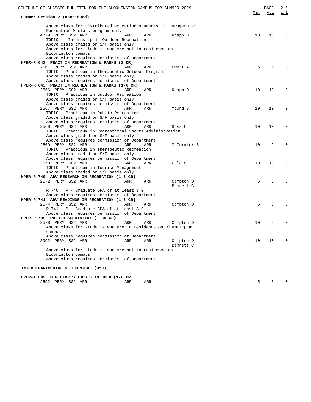| <u>SCHEDULE OF CLASSES BULLETIN FOR THE BLOOMINGTON CAMPUS FOR SUMMER 2009</u> |     |     |             |     | PAGE | 215         |
|--------------------------------------------------------------------------------|-----|-----|-------------|-----|------|-------------|
| Summer Session 2 (continued)                                                   |     |     |             | Max | Avl  | W/L         |
| Above class for distributed education students in Therapeutic                  |     |     |             |     |      |             |
| Recreation Masters program only                                                |     |     |             |     |      |             |
| 4779 PERM SS2 ARR                                                              | ARR | ARR | Knapp D     | 10  | 10   | $\Omega$    |
| TOPIC: Internship in Outdoor Recreation                                        |     |     |             |     |      |             |
| Above class graded on S/F basis only                                           |     |     |             |     |      |             |
| Above class for students who are not in residence on                           |     |     |             |     |      |             |
| Bloomington campus                                                             |     |     |             |     |      |             |
| Above class requires permission of Department                                  |     |     |             |     |      |             |
| HPER-R 643 PRACT IN RECREATION & PARKS (3 CR)                                  |     |     |             |     |      |             |
| 2561 PERM SS2 ARR                                                              | ARR | ARR | Ewert A     | 5   | 5    | $\Omega$    |
| TOPIC : Practicum in Therapeutic Outdoor Programs                              |     |     |             |     |      |             |
| Above class graded on S/F basis only                                           |     |     |             |     |      |             |
| Above class requires permission of Department                                  |     |     |             |     |      |             |
| HPER-R 643 PRACT IN RECREATION & PARKS (1-6 CR)                                |     |     |             |     |      |             |
| 2566 PERM SS2 ARR                                                              | ARR | ARR |             | 10  | 10   | $\Omega$    |
|                                                                                |     |     | Knapp D     |     |      |             |
| TOPIC : Practicum in Outdoor Recreation                                        |     |     |             |     |      |             |
| Above class graded on S/F basis only                                           |     |     |             |     |      |             |
| Above class requires permission of Department                                  |     |     |             |     |      |             |
| 2567 PERM SS2 ARR                                                              | ARR | ARR | Young S     | 10  | 10   | 0           |
| TOPIC : Practicum in Public Recreation                                         |     |     |             |     |      |             |
| Above class graded on S/F basis only                                           |     |     |             |     |      |             |
| Above class requires permission of Department                                  |     |     |             |     |      |             |
| 2568 PERM SS2 ARR                                                              | ARR | ARR | Ross C      | 10  | 10   | $\Omega$    |
| TOPIC : Practicum in Recreational Sports Administration                        |     |     |             |     |      |             |
| Above class graded on S/F basis only                                           |     |     |             |     |      |             |
| Above class requires permission of Department                                  |     |     |             |     |      |             |
| 2569 PERM SS2 ARR                                                              | ARR | ARR | McCormick B | 10  | 9    | $\Omega$    |
| TOPIC: Practicum in Therapeutic Recreation                                     |     |     |             |     |      |             |
| Above class graded on S/F basis only                                           |     |     |             |     |      |             |
| Above class requires permission of Department                                  |     |     |             |     |      |             |
| 2570 PERM SS2 ARR                                                              | ARR | ARR | Cole S      | 10  | 10   | 0           |
| TOPIC : Practicum in Tourism Management                                        |     |     |             |     |      |             |
| Above class graded on S/F basis only                                           |     |     |             |     |      |             |
| HPER-R 740 ADV RESEARCH IN RECREATION (1-5 CR)                                 |     |     |             |     |      |             |
| 2572 PERM SS2 ARR                                                              | ARR | ARR | Compton D   | 5   | 5    | $\Omega$    |
|                                                                                |     |     | Bennett C   |     |      |             |
| R 740 : P - Graduate GPA of at least 3.0                                       |     |     |             |     |      |             |
| Above class requires permission of Department                                  |     |     |             |     |      |             |
| HPER-R 741 ADV READINGS IN RECREATION (1-5 CR)                                 |     |     |             |     |      |             |
| 2574 PERM SS2 ARR                                                              | ARR | ARR |             | 5   | 3    | $\Omega$    |
| R 741 : P - Graduate GPA of at least 3.0                                       |     |     | Compton D   |     |      |             |
|                                                                                |     |     |             |     |      |             |
| Above class requires permission of Department                                  |     |     |             |     |      |             |
| HPER-R 799 PH.D.DISSERTATION (1-30 CR)                                         |     |     |             |     |      |             |
| 2578 PERM SS2 ARR                                                              | ARR | ARR | Compton D   | 10  | 8    | 0           |
| Above class for students who are in residence on Bloomington                   |     |     |             |     |      |             |
|                                                                                |     |     |             |     |      |             |
| Above class requires permission of Department                                  |     |     |             |     |      |             |
| 3992 PERM SS2 ARR                                                              | ARR | ARR | Compton D   | 10  | 10   | $\mathbf 0$ |
|                                                                                |     |     | Bennett C   |     |      |             |
| Above class for students who are not in residence on                           |     |     |             |     |      |             |
| Bloomington campus                                                             |     |     |             |     |      |             |
| Above class requires permission of Department                                  |     |     |             |     |      |             |
|                                                                                |     |     |             |     |      |             |
| INTERDEPARTMENTAL & TECHNICAL (050)                                            |     |     |             |     |      |             |
| HPER-T 699 DIRECTOR'S THESIS IN HPER (1-8 CR)                                  |     |     |             |     |      |             |
| 2592 PERM SS2 ARR                                                              | ARR | ARR |             | 5   | 5    | 0           |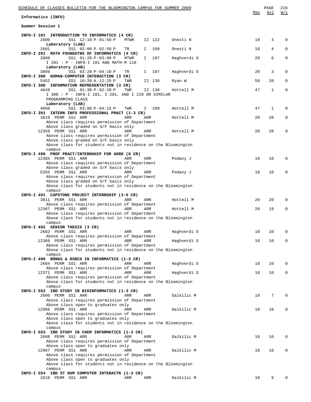| SCHEDULE OF CLASSES BULLETIN FOR THE BLOOMINGTON CAMPUS FOR SUMMER 2009<br>Informatics (INFO)                 |      |     |        |             | Max | PAGE<br>Avl  | 216<br>W/L   |
|---------------------------------------------------------------------------------------------------------------|------|-----|--------|-------------|-----|--------------|--------------|
| Summer Session 1                                                                                              |      |     |        |             |     |              |              |
|                                                                                                               |      |     |        |             |     |              |              |
| INFO-I 101 INTRODUCTION TO INFORMATICS (4 CR)<br>2600<br>SS1 12:10 P-01:50 P                                  | MTWR |     | I2 122 | Onesti N    | 18  | 4            | 0            |
| Laboratory (LAB)<br>2601<br>SS1 02:00 P-02:50 P                                                               | TR   | I.  | 109    | Onesti N    | 18  | 4            | 0            |
| INFO-I 201 MATH FOUNDATNS OF INFORMATICS (4 CR)<br>3808<br>SS1 01:20 P-03:00 P                                | MTWR | I.  | 107    | Haghverdi E | 20  | 6            | 0            |
| I 201 : P - INFO-I 101 AND MATH-M 118                                                                         |      |     |        |             |     |              |              |
| Laboratory (LAB)<br>3809<br>SS1 03:20 P-04:10 P                                                               | TR   | I.  | 107    | Haghverdi E | 20  | 3            | 0            |
| INFO-I 300 HUMAN-COMPUTER INTERACTION (3 CR)<br>5452<br>SS1 10:20 A-12:25 P                                   | TWR  |     | I2 130 | Ryan W      | 50  | 20           | 0            |
| INFO-I 308 INFORMATION REPRESENTATION (3 CR)<br>4649<br>SS1 01:30 P-02:20 P                                   | TWR  |     | I2 130 | Hottell M   | 47  | $\mathbf{1}$ | $\mathbf{0}$ |
| I 308 : P - INFO-I 101, I 201, AND I 210 OR SIMILAR<br>PROGRAMMING CLASS                                      |      |     |        |             |     |              |              |
| Laboratory (LAB)                                                                                              |      |     |        |             |     |              |              |
| 4650<br>SS1 03:00 P-04:15 P                                                                                   | TWR  |     | I 109  | Hottell M   | 47  | $\mathbf{1}$ | 0            |
| INFO-I 391 INTERN INFO PROFESSIONAL PRACT (1-3 CR)<br>3810 PERM SS1 ARR                                       | ARR  | ARR |        | Hottell M   | 20  | 20           | 0            |
| Above class requires permission of Department<br>Above class graded on S/F basis only                         |      |     |        |             |     |              |              |
| 12359 PERM SS1 ARR                                                                                            | ARR  | ARR |        | Hottell M   | 20  | 20           | 0            |
| Above class requires permission of Department<br>Above class graded on S/F basis only                         |      |     |        |             |     |              |              |
| Above class for students not in residence on the Bloomington                                                  |      |     |        |             |     |              |              |
| campus<br>INFO-I 490 PROF PRACT/INTERNSHIP FOR UGRD (0 CR)                                                    |      |     |        |             |     |              |              |
| 12365 PERM SS1 ARR                                                                                            | ARR  | ARR |        | Podany J    | 10  | 10           | 0            |
| Above class requires permission of Department<br>Above class graded on S/F basis only                         |      |     |        |             |     |              |              |
| 5355 PERM SS1 ARR<br>Above class requires permission of Department                                            | ARR  | ARR |        | Podany J    | 10  | 10           | 0            |
| Above class graded on S/F basis only                                                                          |      |     |        |             |     |              |              |
| Above class for students not in residence on the Bloomington<br>campus                                        |      |     |        |             |     |              |              |
| INFO-I 491 CAPSTONE PROJECT INTERNSHIP (3-6 CR)<br>3811 PERM SS1 ARR                                          | ARR  | ARR |        | Hottell M   | 20  | 20           | 0            |
| Above class requires permission of Department                                                                 |      |     |        |             |     |              |              |
| 12367 PERM SS1 ARR<br>Above class requires permission of Department                                           | ARR  | ARR |        | Hottell M   | 20  | 19           | 0            |
| Above class for students not in residence on the Bloomington<br>campus                                        |      |     |        |             |     |              |              |
| INFO-I 492 SENIOR THESIS (3 CR)                                                                               |      |     |        |             |     |              |              |
| 2602 PERM SS1 ARR<br>Above class requires permission of Department                                            | ARR  | ARR |        | Haghverdi E | 10  | 10           | 0            |
| 12369 PERM SS1 ARR<br>Above class requires permission of Department                                           | ARR  | ARR |        | Haghverdi E | 10  | 10           | $\Omega$     |
| Above class for students not in residence on the Bloomington                                                  |      |     |        |             |     |              |              |
| campus<br>INFO-I 499 RDNGS & RSRCH IN INFORMATICS (1-3 CR)                                                    |      |     |        |             |     |              |              |
| 2604 PERM SS1 ARR<br>Above class requires permission of Department                                            | ARR  | ARR |        | Haghverdi E | 10  | 10           | 0            |
| 12371 PERM SS1 ARR                                                                                            | ARR  | ARR |        | Haghverdi E | 10  | 10           | 0            |
| Above class requires permission of Department<br>Above class for students not in residence on the Bloomington |      |     |        |             |     |              |              |
| campus                                                                                                        |      |     |        |             |     |              |              |
| INFO-I 552 IND STUDY IN BIOINFORMATICS (1-3 CR)<br>2606 PERM SS1 ARR                                          | ARR  | ARR |        | Dalkilic M  | 10  | 7            | $\Omega$     |
| Above class requires permission of Department<br>Above class open to graduates only                           |      |     |        |             |     |              |              |
| 12966 PERM SS1 ARR                                                                                            | ARR  | ARR |        | Dalkilic M  | 10  | 10           | 0            |
| Above class requires permission of Department<br>Above class open to graduates only                           |      |     |        |             |     |              |              |
| Above class for students not in residence on the Bloomington<br>campus                                        |      |     |        |             |     |              |              |
| INFO-I 553 IND STUDY IN CHEM INFORMATICS (1-3 CR)                                                             |      |     |        |             |     |              |              |
| 2608 PERM SS1 ARR<br>Above class requires permission of Department                                            | ARR  | ARR |        | Dalkilic M  | 10  | 10           | 0            |
| Above class open to graduates only<br>12967 PERM SS1 ARR                                                      | ARR  | ARR |        | Dalkilic M  | 10  | 10           | $\Omega$     |
| Above class requires permission of Department                                                                 |      |     |        |             |     |              |              |
| Above class open to graduates only<br>Above class for students not in residence on the Bloomington            |      |     |        |             |     |              |              |
| campus                                                                                                        |      |     |        |             |     |              |              |
| INFO-I 554 IND ST HUM COMPUTER INTERACTN (1-3 CR)<br>2610 PERM SS1 ARR                                        | ARR  | ARR |        | Dalkilic M  | 10  | 9            | O            |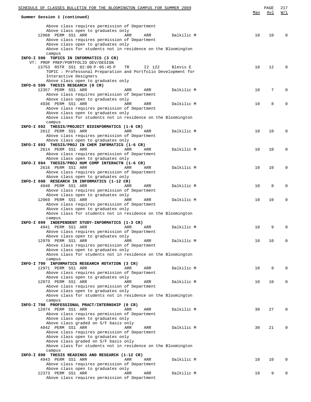| SCHEDULE OF CLASSES BULLETIN FOR THE BLOOMINGTON CAMPUS FOR SUMMER 2009                              |     | PAGE | 217         |
|------------------------------------------------------------------------------------------------------|-----|------|-------------|
| Summer Session 1 (continued)                                                                         | Max | Avl  | W/L         |
|                                                                                                      |     |      |             |
| Above class requires permission of Department<br>Above class open to graduates only                  |     |      |             |
| 12968 PERM SS1 ARR<br>ARR<br>ARR<br>Dalkilic M                                                       | 10  | 10   | 0           |
| Above class requires permission of Department                                                        |     |      |             |
| Above class open to graduates only                                                                   |     |      |             |
| Above class for students not in residence on the Bloomington                                         |     |      |             |
| campus<br>INFO-I 590 TOPICS IN INFORMATICS (3 CR)                                                    |     |      |             |
| VT: PROF PREP/PORTFOLIO DEV/DESIGN                                                                   |     |      |             |
| 13753 RSTR SS1 02:00 P-05:45 P<br>TR<br>I2 122<br>Blevis E                                           | 18  | 12   | $\Omega$    |
| TOPIC: Professonal Preparation and Portfolio Development for                                         |     |      |             |
| Interactive Designers<br>Above class open to graduates only                                          |     |      |             |
| INFO-G 599 THESIS RESEARCH (0 CR)                                                                    |     |      |             |
| 12357 PERM SS1 ARR<br>ARR<br>ARR<br>Dalkilic M                                                       | 10  | 7    | $\mathbf 0$ |
| Above class requires permission of Department                                                        |     |      |             |
| Above class open to graduates only<br>4936 PERM SS1 ARR<br>ARR<br>ARR<br>Dalkilic M                  | 10  | 8    | $\mathbf 0$ |
| Above class requires permission of Department                                                        |     |      |             |
| Above class open to graduates only                                                                   |     |      |             |
| Above class for students not in residence on the Bloomington                                         |     |      |             |
| campus                                                                                               |     |      |             |
| INFO-I 692 THESIS/PROJECT BIOINFORMATICS (1-6 CR)<br>2612 PERM SS1 ARR<br>ARR<br>Dalkilic M<br>ARR   | 10  | 10   | $\mathbf 0$ |
| Above class requires permission of Department                                                        |     |      |             |
| Above class open to graduates only                                                                   |     |      |             |
| INFO-I 693 THESIS/PROJ IN CHEM INFRMATICS (1-6 CR)                                                   |     |      |             |
| 2614 PERM SS1 ARR<br>ARR<br>ARR<br>Dalkilic M                                                        | 10  | 10   | $\mathbf 0$ |
| Above class requires permission of Department<br>Above class open to graduates only                  |     |      |             |
| INFO-I 694 THESIS/PROJ HUM COMP INTERACTN (1-6 CR)                                                   |     |      |             |
| 2616 PERM SS1 ARR<br>Dalkilic M<br>ARR<br>ARR                                                        | 10  | 10   | $\mathbf 0$ |
| Above class requires permission of Department                                                        |     |      |             |
| Above class open to graduates only                                                                   |     |      |             |
| INFO-I 698 RESEARCH IN INFORMATICS (1-12 CR)<br>4940 PERM SS1 ARR<br>ARR<br>Dalkilic M<br>ARR        | 10  | 8    | $\mathbf 0$ |
| Above class requires permission of Department                                                        |     |      |             |
| Above class open to graduates only                                                                   |     |      |             |
| 12969 PERM SS1 ARR<br>ARR<br>ARR<br>Dalkilic M                                                       | 10  | 10   | $\mathbf 0$ |
| Above class requires permission of Department                                                        |     |      |             |
| Above class open to graduates only<br>Above class for students not in residence on the Bloomington   |     |      |             |
| campus                                                                                               |     |      |             |
| INFO-I 699 INDEPENDENT STUDY-INFORMATICS (1-3 CR)                                                    |     |      |             |
| 4941 PERM SS1 ARR<br>ARR<br>ARR<br>Dalkilic M                                                        | 10  | 9    | 0           |
| Above class requires permission of Department<br>Above class open to graduates only                  |     |      |             |
| 12970 PERM SS1 ARR<br>Dalkilic M<br>ARR<br>ARR                                                       | 10  | 10   | 0           |
| Above class requires permission of Department                                                        |     |      |             |
| Above class open to graduates only                                                                   |     |      |             |
| Above class for students not in residence on the Bloomington                                         |     |      |             |
| campus<br>INFO-I 790 INFORMATICS RESEARCH ROTATION (3 CR)                                            |     |      |             |
| 12971 PERM SS1 ARR<br>ARR<br>Dalkilic M<br>ARR                                                       | 10  | 9    | $\Omega$    |
| Above class requires permission of Department                                                        |     |      |             |
| Above class open to graduates only                                                                   |     |      |             |
| 12973 PERM SS1 ARR<br>ARR<br>Dalkilic M<br>ARR                                                       | 10  | 10   | 0           |
| Above class requires permission of Department<br>Above class open to graduates only                  |     |      |             |
| Above class for students not in residence on the Bloomington                                         |     |      |             |
| campus                                                                                               |     |      |             |
| INFO-I 798 PROFESSIONAL PRACT/INTERNSHIP (0 CR)                                                      |     |      |             |
| 12974 PERM SS1 ARR<br>ARR<br>ARR<br>Dalkilic M                                                       | 30  | 27   | $\Omega$    |
| Above class requires permission of Department<br>Above class open to graduates only                  |     |      |             |
| Above class graded on S/F basis only                                                                 |     |      |             |
| 4942 PERM SS1 ARR<br>ARR<br>ARR<br>Dalkilic M                                                        | 30  | 21   | $\Omega$    |
| Above class requires permission of Department                                                        |     |      |             |
| Above class open to graduates only                                                                   |     |      |             |
| Above class graded on S/F basis only<br>Above class for students not in residence on the Bloomington |     |      |             |
| campus                                                                                               |     |      |             |
| INFO-I 890 THESIS READINGS AND RESEARCH (1-12 CR)                                                    |     |      |             |
| 4943 PERM SS1 ARR<br>ARR<br>Dalkilic M<br>ARR                                                        | 10  | 10   | 0           |
| Above class requires permission of Department                                                        |     |      |             |
| Above class open to graduates only<br>12373 PERM SS1 ARR<br>Dalkilic M<br>ARR<br>ARR                 | 10  | 9    | $\mathbf 0$ |
| Above class requires permission of Department                                                        |     |      |             |
|                                                                                                      |     |      |             |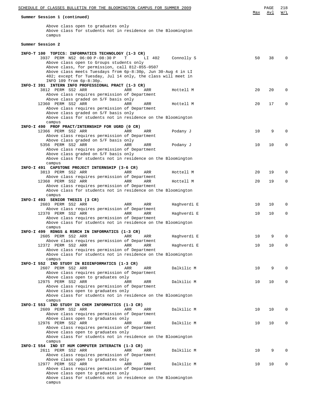| SCHEDULE OF CLASSES BULLETIN FOR THE BLOOMINGTON CAMPUS FOR SUMMER 2009                                                                                                                                   |     | PAGE | 218         |
|-----------------------------------------------------------------------------------------------------------------------------------------------------------------------------------------------------------|-----|------|-------------|
| Summer Session 1 (continued)                                                                                                                                                                              | Max | Avl  | W/L         |
| Above class open to graduates only<br>Above class for students not in residence on the Bloomington<br>campus                                                                                              |     |      |             |
| Summer Session 2                                                                                                                                                                                          |     |      |             |
| INFO-T 100 TOPICS: INFORMATICS TECHNOLOGY (1-3 CR)<br>3937 PERM NS2 06:00 P-08:30 P<br>T<br>LI 402<br>Connolly S<br>Above class open to Groups students only                                              | 50  | 38   | $\Omega$    |
| Above class, for permission, call 812-855-0507<br>Above class meets Tuesdays from 6p-8:30p, Jun 30-Aug 4 in LI<br>402; except for Tuesday, Jul 14 only, the class will meet in<br>INFO 109 from 6p-8:30p. |     |      |             |
| INFO-I 391 INTERN INFO PROFESSIONAL PRACT (1-3 CR)<br>3812 PERM SS2 ARR<br>ARR<br>ARR<br>Hottell M<br>Above class requires permission of Department                                                       | 20  | 20   | $\Omega$    |
| Above class graded on S/F basis only<br>12360 PERM SS2 ARR<br>ARR<br>ARR<br>Hottell M<br>Above class requires permission of Department<br>Above class graded on S/F basis only                            | 20  | 17   | $\Omega$    |
| Above class for students not in residence on the Bloomington<br>campus                                                                                                                                    |     |      |             |
| INFO-I 490 PROF PRACT/INTERNSHIP FOR UGRD (0 CR)<br>12366 PERM SS2 ARR<br>ARR<br>ARR<br>Podany J                                                                                                          | 10  | 9    | $\Omega$    |
| Above class requires permission of Department<br>Above class graded on S/F basis only<br>5356 PERM SS2 ARR<br>ARR<br>Podany J<br>ARR                                                                      | 10  | 10   | $\Omega$    |
| Above class requires permission of Department<br>Above class graded on S/F basis only<br>Above class for students not in residence on the Bloomington                                                     |     |      |             |
| campus                                                                                                                                                                                                    |     |      |             |
| INFO-I 491 CAPSTONE PROJECT INTERNSHIP (3-6 CR)<br>3813 PERM SS2 ARR<br>ARR<br>ARR<br>Hottell M                                                                                                           | 20  | 19   | $\Omega$    |
| Above class requires permission of Department<br>12368 PERM SS2 ARR<br>ARR<br>ARR<br>Hottell M<br>Above class requires permission of Department                                                           | 20  | 19   | 0           |
| Above class for students not in residence on the Bloomington<br>campus                                                                                                                                    |     |      |             |
| INFO-I 493 SENIOR THESIS (3 CR)<br>2603 PERM SS2 ARR<br>Haghverdi E<br>ARR<br>ARR                                                                                                                         | 10  | 10   | $\Omega$    |
| Above class requires permission of Department<br>12370 PERM SS2 ARR<br>ARR<br>ARR<br>Haghverdi E                                                                                                          | 10  | 10   | $\mathbf 0$ |
| Above class requires permission of Department<br>Above class for students not in residence on the Bloomington<br>campus                                                                                   |     |      |             |
| INFO-I 499 RDNGS & RSRCH IN INFORMATICS (1-3 CR)                                                                                                                                                          |     |      |             |
| 2605 PERM SS2 ARR<br>Haghverdi E<br>ARR<br>ARR<br>Above class requires permission of Department                                                                                                           | 10  | 9    | $\Omega$    |
| 12372 PERM SS2 ARR<br>ARR<br>ARR<br>Haghverdi E<br>Above class requires permission of Department<br>Above class for students not in residence on the Bloomington                                          | 10  | 10   | $\Omega$    |
| campus                                                                                                                                                                                                    |     |      |             |
| INFO-I 552 IND STUDY IN BIOINFORMATICS (1-3 CR)<br>2607 PERM SS2 ARR<br>ARR<br>ARR<br>Dalkilic M                                                                                                          | 10  | 9    | $\Omega$    |
| Above class requires permission of Department<br>Above class open to graduates only<br>12975 PERM SS2 ARR<br>Dalkilic M<br>ARR<br>ARR                                                                     | 10  | 10   | $\Omega$    |
| Above class requires permission of Department<br>Above class open to graduates only                                                                                                                       |     |      |             |
| Above class for students not in residence on the Bloomington                                                                                                                                              |     |      |             |
| campus<br>INFO-I 553 IND STUDY IN CHEM INFORMATICS (1-3 CR)                                                                                                                                               |     |      |             |
| 2609 PERM SS2 ARR<br>ARR<br>Dalkilic M<br>ARR<br>Above class requires permission of Department                                                                                                            | 10  | 10   | $\Omega$    |
| Above class open to graduates only<br>12976 PERM SS2 ARR<br>Dalkilic M<br>ARR<br>ARR                                                                                                                      | 10  | 10   | $\Omega$    |
| Above class requires permission of Department<br>Above class open to graduates only<br>Above class for students not in residence on the Bloomington<br>campus                                             |     |      |             |
| INFO-I 554 IND ST HUM COMPUTER INTERACTN (1-3 CR)                                                                                                                                                         |     |      | $\Omega$    |
| 2611 PERM SS2 ARR<br>ARR<br>Dalkilic M<br>ARR<br>Above class requires permission of Department<br>Above class open to graduates only                                                                      | 10  | 9    |             |
| 12977 PERM SS2 ARR<br>Dalkilic M<br>ARR<br>ARR<br>Above class requires permission of Department                                                                                                           | 10  | 10   | $\Omega$    |
| Above class open to graduates only<br>Above class for students not in residence on the Bloomington<br>campus                                                                                              |     |      |             |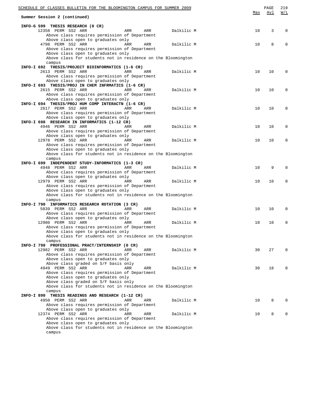| SCHEDULE OF CLASSES BULLETIN FOR THE BLOOMINGTON CAMPUS FOR SUMMER 2009                              |     | PAGE | 219         |
|------------------------------------------------------------------------------------------------------|-----|------|-------------|
| Summer Session 2 (continued)                                                                         | Max | Avl  | W/L         |
| INFO-G 599 THESIS RESEARCH (0 CR)                                                                    |     |      |             |
| 12358 PERM SS2 ARR<br>ARR<br>ARR<br>Dalkilic M                                                       | 10  | 3    | $\Omega$    |
| Above class requires permission of Department                                                        |     |      |             |
| Above class open to graduates only                                                                   |     |      | $\Omega$    |
| 4798 PERM SS2 ARR<br>ARR<br>ARR<br>Dalkilic M<br>Above class requires permission of Department       | 10  | 8    |             |
| Above class open to graduates only                                                                   |     |      |             |
| Above class for students not in residence on the Bloomington                                         |     |      |             |
| campus                                                                                               |     |      |             |
| INFO-I 692 THESIS/PROJECT BIOINFORMATICS (1-6 CR)<br>2613 PERM SS2 ARR                               |     | 10   | $\Omega$    |
| ARR<br>ARR<br>Dalkilic M<br>Above class requires permission of Department                            | 10  |      |             |
| Above class open to graduates only                                                                   |     |      |             |
| INFO-I 693 THESIS/PROJ IN CHEM INFRMATICS (1-6 CR)                                                   |     |      |             |
| 2615 PERM SS2 ARR<br>ARR<br>ARR<br>Dalkilic M                                                        | 10  | 10   | $\Omega$    |
| Above class requires permission of Department                                                        |     |      |             |
| Above class open to graduates only<br>INFO-I 694 THESIS/PROJ HUM COMP INTERACTN (1-6 CR)             |     |      |             |
| 2617 PERM SS2 ARR<br>ARR<br>ARR<br>Dalkilic M                                                        | 10  | 10   | $\Omega$    |
| Above class requires permission of Department                                                        |     |      |             |
| Above class open to graduates only                                                                   |     |      |             |
| INFO-I 698 RESEARCH IN INFORMATICS (1-12 CR)<br>4946 PERM SS2 ARR<br>ARR<br>ARR<br>Dalkilic M        | 10  | 10   | $\mathbf 0$ |
| Above class requires permission of Department                                                        |     |      |             |
| Above class open to graduates only                                                                   |     |      |             |
| 12978 PERM SS2 ARR<br>ARR<br>Dalkilic M<br>ARR                                                       | 10  | 10   | $\Omega$    |
| Above class requires permission of Department                                                        |     |      |             |
| Above class open to graduates only<br>Above class for students not in residence on the Bloomington   |     |      |             |
| campus                                                                                               |     |      |             |
| INFO-I 699 INDEPENDENT STUDY-INFORMATICS (1-3 CR)                                                    |     |      |             |
| 4948 PERM SS2 ARR<br>ARR<br>ARR<br>Dalkilic M                                                        | 10  | 9    | $\Omega$    |
| Above class requires permission of Department                                                        |     |      |             |
| Above class open to graduates only<br>12979 PERM SS2 ARR<br><b>ARR</b><br>ARR<br>Dalkilic M          | 10  | 10   | $\Omega$    |
| Above class requires permission of Department                                                        |     |      |             |
| Above class open to graduates only                                                                   |     |      |             |
| Above class for students not in residence on the Bloomington                                         |     |      |             |
| campus<br>INFO-I 790 INFORMATICS RESEARCH ROTATION (3 CR)                                            |     |      |             |
| 5839 PERM SS2 ARR<br>ARR<br>ARR<br>Dalkilic M                                                        | 10  | 10   | $\Omega$    |
| Above class requires permission of Department                                                        |     |      |             |
| Above class open to graduates only                                                                   |     |      |             |
| 12980 PERM SS2 ARR<br>Dalkilic M<br>ARR<br>ARR                                                       | 10  | 10   | $\mathbf 0$ |
| Above class requires permission of Department                                                        |     |      |             |
| Above class open to graduates only<br>Above class for students not in residence on the Bloomington   |     |      |             |
| campus                                                                                               |     |      |             |
| INFO-I 798 PROFESSIONAL PRACT/INTERNSHIP (0 CR)                                                      |     |      |             |
| 12982 PERM SS2 ARR<br><b>ARR</b><br>ARR<br>Dalkilic M                                                | 30  | 27   | 0           |
| Above class requires permission of Department<br>Above class open to graduates only                  |     |      |             |
| Above class graded on S/F basis only                                                                 |     |      |             |
| 4949 PERM SS2 ARR<br><b>ARR</b><br>Dalkilic M<br>ARR                                                 | 30  | 18   | 0           |
| Above class requires permission of Department                                                        |     |      |             |
| Above class open to graduates only                                                                   |     |      |             |
| Above class graded on S/F basis only<br>Above class for students not in residence on the Bloomington |     |      |             |
| campus                                                                                               |     |      |             |
| INFO-I 890 THESIS READINGS AND RESEARCH (1-12 CR)                                                    |     |      |             |
| 4950 PERM SS2 ARR<br>ARR<br>Dalkilic M<br>ARR                                                        | 10  | 8    | 0           |
| Above class requires permission of Department<br>Above class open to graduates only                  |     |      |             |
| 12374 PERM SS2 ARR<br>ARR<br>Dalkilic M<br>ARR                                                       | 10  | 8    | 0           |
| Above class requires permission of Department                                                        |     |      |             |
| Above class open to graduates only                                                                   |     |      |             |
| Above class for students not in residence on the Bloomington<br>campus                               |     |      |             |
|                                                                                                      |     |      |             |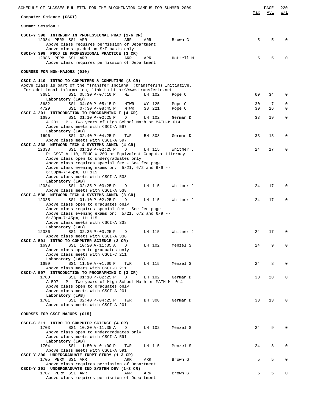| SCHEDULE OF CLASSES BULLETIN FOR THE BLOOMINGTON CAMPUS FOR SUMMER 2009                                                                                                                                                                      |          | PAGE<br>Avl | 220<br>W/L                 |
|----------------------------------------------------------------------------------------------------------------------------------------------------------------------------------------------------------------------------------------------|----------|-------------|----------------------------|
| Computer Science (CSCI)                                                                                                                                                                                                                      | Max      |             |                            |
| Summer Session 1                                                                                                                                                                                                                             |          |             |                            |
| CSCI-Y 398 INTRNSHP IN PROFESSIONAL PRAC (1-6 CR)<br>12984 PERM SS1 ARR<br>ARR<br>ARR<br>Brown G<br>Above class requires permission of Department<br>Above class graded on S/F basis only<br>CSCI-Y 399 PROJ IN PROFESSIONAL PRACTICE (3 CR) | 5        | 5           | $\Omega$                   |
| 12986 PERM SS1 ARR<br>ARR<br>ARR<br>Hottell M<br>Above class requires permission of Department                                                                                                                                               | 5        | 5           | $\Omega$                   |
| COURSES FOR NON-MAJORS (010)                                                                                                                                                                                                                 |          |             |                            |
| CSCI-A 110 INTRO TO COMPUTERS & COMPUTING (3 CR)<br>Above class is part of the "Transfer Indiana" (transferIN) Initiative.                                                                                                                   |          |             |                            |
| For additional information, link to http://www.transferin.net<br>3681<br>SS1 05:30 P-07:10 P<br>МW<br>LH 102<br>Pope C<br>Laboratory (LAB)                                                                                                   | 60       | 34          | $\mathbf 0$                |
| 3682<br>SS1 04:00 P-05:15 P MTWR<br>WY 125<br>Pope C<br>4729<br>SS1 07:30 P-08:45 P<br>MTWR<br>SB 221<br>Pope C                                                                                                                              | 30<br>30 | 7<br>26     | $\mathbf 0$<br>$\mathbf 0$ |
| CSCI-A 201 INTRODUCTION TO PROGRAMMING I (4 CR)<br>1695<br>SS1 01:10 P-02:25 P<br>D<br>LH 102<br>German D<br>A 201 : P - Two years of High School Math or MATH-M 014<br>Above class meets with CSCI-A 597                                    | 33       | 19          | 0                          |
| Laboratory (LAB)<br>1696<br>SS1 02:40 P-04:25 P<br>TWR<br>BH 308<br>German D<br>Above class meets with CSCI-A 597                                                                                                                            | 33       | 13          | $\mathbf 0$                |
| CSCI-A 338 NETWORK TECH & SYSTEMS ADMIN (4 CR)<br>12333<br>SS1 01:10 P-02:25 P<br>LH 115<br>Whitmer J<br>D<br>P: CSCI-A 110, EDUC-W 200 or Equivalent Computer Literacy                                                                      | 24       | 17          | $\mathbf 0$                |
| Above class open to undergraduates only<br>Above class requires special fee - See fee page<br>Above class evening exams on: $5/21$ , $6/2$ and $6/9$ --<br>$6:30$ pm-7:45pm, LH 115                                                          |          |             |                            |
| Above class meets with CSCI-A 538<br>Laboratory (LAB)<br>SS1 02:35 P-03:25 P<br>LH 115<br>12334<br>D<br>Whitmer J<br>Above class meets with CSCI-A 538                                                                                       | 24       | 17          | $\mathbf 0$                |
| CSCI-A 538 NETWORK TECH & SYSTEMS ADMIN (3 CR)<br>12335<br>SS1 01:10 P-02:25 P<br>LH 115<br>D<br>Whitmer J<br>Above class open to graduates only                                                                                             | 24       | 17          | $\mathbf 0$                |
| Above class requires special fee - See fee page<br>Above class evening exams on: $5/21$ , $6/2$ and $6/9$ --<br>$6:30$ pm-7:45pm, LH 115<br>Above class meets with CSCI-A 338                                                                |          |             |                            |
| Laboratory (LAB)<br>SS1 02:35 P-03:25 P<br>Whitmer J<br>12336<br>LH 115<br>D<br>Above class meets with CSCI-A 338                                                                                                                            | 24       | 17          | 0                          |
| CSCI-A 591 INTRO TO COMPUTER SCIENCE (3 CR)<br>1698<br>SS1 10:20 A-11:35 A<br>LH 102<br>D<br>Menzel S<br>Above class open to graduates only                                                                                                  | 24       | 9           | $\mathbf 0$                |
| Above class meets with CSCI-C 211<br>Laboratory (LAB)<br>1699<br>SS1 11:50 A-01:00 P<br>TWR<br>LH 115<br>Menzel S                                                                                                                            | 24       | 8           | $\mathbf 0$                |
| Above class meets with CSCI-C 211<br>CSCI-A 597 INTRODUCTION TO PROGRAMMING I (3 CR)<br>1700<br>SS1 01:10 P-02:25 P<br>D<br>LH 102<br>German D                                                                                               | 33       | 28          | $\mathbf 0$                |
| A 597 : P - Two years of High School Math or MATH-M 014<br>Above class open to graduates only<br>Above class meets with CSCI-A 201<br>Laboratory (LAB)                                                                                       |          |             |                            |
| SS1 02:40 P-04:25 P<br>TWR<br>BH 308<br>1701<br>German D<br>Above class meets with CSCI-A 201                                                                                                                                                | 33       | 13          | $\mathbf 0$                |
| COURSES FOR CSCI MAJORS (015)                                                                                                                                                                                                                |          |             |                            |
| CSCI-C 211 INTRO TO COMPUTER SCIENCE (4 CR)<br>1703<br>SS1 10:20 A-11:35 A<br>LH 102<br>Menzel S<br>D<br>Above class open to undergraduates only<br>Above class meets with CSCI-A 591                                                        | 24       | 9           | $\Omega$                   |
| Laboratory (LAB)<br>1704<br>SS1 11:50 A-01:00 P<br>LH 115<br>Menzel S<br>TWR<br>Above class meets with CSCI-A 591                                                                                                                            | 24       | 8           | $\mathbf 0$                |
| CSCI-Y 390 UNDERGRADUATE INDPT STUDY (1-3 CR)<br>1705 PERM SS1 ARR<br>Brown G<br>ARR<br>ARR<br>Above class requires permission of Department                                                                                                 | 5        | 5           | $\mathbf 0$                |
| CSCI-Y 391 UNDERGRADUATE IND SYSTEM DEV (1-3 CR)<br>1707 PERM SS1 ARR<br>ARR<br>ARR<br>Brown G<br>Above class requires permission of Department                                                                                              | 5        | 5           | $\mathbf 0$                |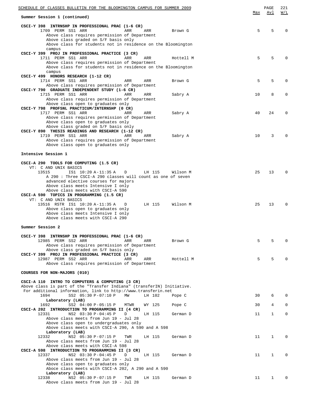| SCHEDULE OF CLASSES BULLETIN FOR THE BLOOMINGTON CAMPUS FOR SUMMER 2009                                                |     | PAGE         | 221         |
|------------------------------------------------------------------------------------------------------------------------|-----|--------------|-------------|
| Summer Session 1 (continued)                                                                                           | Max | Avl          | W/L         |
| CSCI-Y 398 INTRNSHP IN PROFESSIONAL PRAC (1-6 CR)<br>1709 PERM SS1 ARR<br>ARR                                          | 5   | 5            | $\Omega$    |
| ARR<br>Brown G<br>Above class requires permission of Department                                                        |     |              |             |
| Above class graded on S/F basis only                                                                                   |     |              |             |
| Above class for students not in residence on the Bloomington                                                           |     |              |             |
| campus<br>CSCI-Y 399 PROJ IN PROFESSIONAL PRACTICE (3 CR)                                                              |     |              |             |
| 1711 PERM SS1 ARR<br>ARR<br>ARR<br>Hottell M                                                                           | 5   | 5            | $\Omega$    |
| Above class requires permission of Department                                                                          |     |              |             |
| Above class for students not in residence on the Bloomington                                                           |     |              |             |
| campus<br>CSCI-Y 499 HONORS RESEARCH (1-12 CR)                                                                         |     |              |             |
| 1714 PERM SS1 ARR<br>ARR<br>ARR<br>Brown G                                                                             | 5   | 5            | $\Omega$    |
| Above class requires permission of Department                                                                          |     |              |             |
| CSCI-Y 790 GRADUATE INDEPENDENT STUDY (1-6 CR)<br>1715 PERM SS1 ARR<br>ARR<br>ARR<br>Sabry A                           | 10  | 8            | $\Omega$    |
| Above class requires permission of Department                                                                          |     |              |             |
| Above class open to graduates only                                                                                     |     |              |             |
| CSCI-Y 798 PROFSNL PRACTICUM/INTERNSHP (0 CR)                                                                          |     |              |             |
| 1717 PERM SS1 ARR<br>ARR<br>ARR<br>Sabry A<br>Above class requires permission of Department                            | 40  | 24           | $\Omega$    |
| Above class open to graduates only                                                                                     |     |              |             |
| Above class graded on S/F basis only                                                                                   |     |              |             |
| CSCI-Y 890 THESIS READINGS AND RESEARCH (1-12 CR)                                                                      |     |              |             |
| 1719 PERM SS1 ARR<br>ARR<br>ARR<br>Sabry A<br>Above class requires permission of Department                            | 10  | 3            | $\Omega$    |
| Above class open to graduates only                                                                                     |     |              |             |
|                                                                                                                        |     |              |             |
| Intensive Session 1                                                                                                    |     |              |             |
| CSCI-A 290 TOOLS FOR COMPUTING (1.5 CR)                                                                                |     |              |             |
| VT: C AND UNIX BASICS                                                                                                  |     |              |             |
| 13515<br>IS1 10:20 A-11:35 A<br>D<br>LH 115<br>Wilson M                                                                | 25  | 13           | $\Omega$    |
| A 290: Three CSCI-A 290 classes will count as one of seven<br>advanced elective courses for majors                     |     |              |             |
| Above class meets Intensive I only                                                                                     |     |              |             |
| Above class meets with CSCI-A 590                                                                                      |     |              |             |
| CSCI-A 590 TOPICS IN PROGRAMMING (1.5 CR)                                                                              |     |              |             |
| VT: C AND UNIX BASICS<br>13516 RSTR IS1 10:20 A-11:35 A<br>D<br>LH 115<br>Wilson M                                     | 25  | 13           | $\Omega$    |
| Above class open to graduates only                                                                                     |     |              |             |
| Above class meets Intensive I only                                                                                     |     |              |             |
| Above class meets with CSCI-A 290                                                                                      |     |              |             |
| Summer Session 2                                                                                                       |     |              |             |
| CSCI-Y 398 INTRNSHP IN PROFESSIONAL PRAC (1-6 CR)                                                                      |     |              |             |
| 12985 PERM SS2 ARR<br><b>ARR</b><br>ARR<br>Brown G                                                                     | 5   | 5            | $\Omega$    |
| Above class requires permission of Department                                                                          |     |              |             |
| Above class graded on S/F basis only<br>CSCI-Y 399 PROJ IN PROFESSIONAL PRACTICE (3 CR)                                |     |              |             |
| 12987 PERM SS2 ARR<br>ARR<br>ARR<br>Hottell M                                                                          | 5   | 5            | $\Omega$    |
| Above class requires permission of Department                                                                          |     |              |             |
| COURSES FOR NON-MAJORS (010)                                                                                           |     |              |             |
|                                                                                                                        |     |              |             |
| CSCI-A 110 INTRO TO COMPUTERS & COMPUTING (3 CR)                                                                       |     |              |             |
| Above class is part of the "Transfer Indiana" (transferIN) Initiative.                                                 |     |              |             |
| For additional information, link to http://www.transferin.net<br>1694<br>SS2 05:30 P-07:10 P<br>MW<br>LH 102<br>Pope C | 30  | 6            | $\Omega$    |
| Laboratory (LAB)                                                                                                       |     |              |             |
| 1692<br>SS2 04:00 P-05:15 P<br>MTWR<br>WY 125<br>Pope C                                                                | 30  | 4            | $\mathbf 0$ |
| CSCI-A 202 INTRODUCTION TO PROGRAMMING II (4 CR)                                                                       |     |              |             |
| 12331<br>NS2 03:30 P-04:45 P<br>D<br>LH 115<br>German D<br>Above class meets from Jun 19 - Jul 28                      | 11  | 1            | 0           |
| Above class open to undergraduates only                                                                                |     |              |             |
| Above class meets with CSCI-A 290, A 590 and A 598                                                                     |     |              |             |
| Laboratory (LAB)<br>NS2 05:30 P-07:15 P<br>12332<br>TWR<br>LH 115<br>German D                                          | 11  | 1            | 0           |
| Above class meets from Jun 19 - Jul 28                                                                                 |     |              |             |
| Above class meets with CSCI-A 598                                                                                      |     |              |             |
| CSCI-A 598 INTRODUCTION TO PROGRAMMING II (3 CR)                                                                       |     |              |             |
| 12337<br>NS2 03:30 P-04:45 P<br>D<br>LH 115<br>German D<br>Above class meets from Jun 19 - Jul 28                      | 11  | 1            | 0           |
| Above class open to graduates only                                                                                     |     |              |             |
| Aboce class meets with CSCI-A 202, A 290 and A 590                                                                     |     |              |             |
| Laboratory (LAB)                                                                                                       |     |              |             |
| NS2 05:30 P-07:15 P<br>12338<br>TWR<br>LH 115<br>German D<br>Above class meets from Jun 19 - Jul 28                    | 11  | $\mathbf{1}$ | $\Omega$    |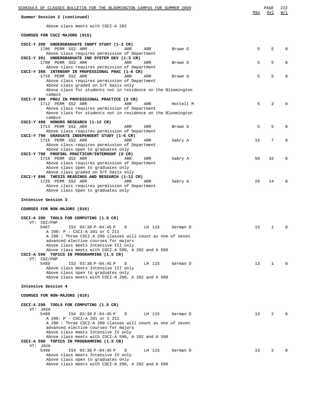| SCHEDULE OF CLASSES BULLETIN FOR THE BLOOMINGTON CAMPUS FOR SUMMER 2009                                       |     | PAGE         | 222         |
|---------------------------------------------------------------------------------------------------------------|-----|--------------|-------------|
| Summer Session 2 (continued)                                                                                  | Max | Avl          | W/L         |
| Above class meets with CSCI-A 202                                                                             |     |              |             |
| COURSES FOR CSCI MAJORS (015)                                                                                 |     |              |             |
| CSCI-Y 390 UNDERGRADUATE INDPT STUDY (1-3 CR)                                                                 |     |              |             |
| 1706 PERM SS2 ARR<br>ARR<br>ARR<br>Brown G<br>Above class requires permission of Department                   | 5   | 5            | $\Omega$    |
| CSCI-Y 391 UNDERGRADUATE IND SYSTEM DEV (1-3 CR)<br>1708 PERM SS2 ARR<br>ARR<br>ARR<br>Brown G                | 5   | 5            | $\mathbf 0$ |
| Above class requires permission of Department<br>CSCI-Y 398 INTRNSHP IN PROFESSIONAL PRAC (1-6 CR)            |     |              |             |
| 1710 PERM SS2 ARR<br>ARR<br>ARR<br>Brown G<br>Above class requires permission of Department                   | 5   | 5            | $\Omega$    |
| Above class graded on S/F basis only<br>Above class for students not in residence on the Bloomington          |     |              |             |
| campus                                                                                                        |     |              |             |
| CSCI-Y 399 PROJ IN PROFESSIONAL PRACTICE (3 CR)<br>1712 PERM SS2 ARR<br><b>ARR</b><br>ARR<br>Hottell M        | 5   | 2            |             |
| Above class requires permission of Department<br>Above class for students not in residence on the Bloomington |     |              |             |
| campus<br>CSCI-Y 499 HONORS RESEARCH (1-12 CR)                                                                |     |              |             |
| 1713 PERM SS2 ARR<br>ARR<br>ARR<br>Brown G                                                                    | 5   | 5            | $\Omega$    |
| Above class requires permission of Department<br>CSCI-Y 790 GRADUATE INDEPENDENT STUDY (1-6 CR)               |     |              |             |
| 1716 PERM SS2 ARR<br>ARR<br>ARR<br>Sabry A<br>Above class requires permission of Department                   | 15  | 7            | $\Omega$    |
| Above class open to graduates only<br>CSCI-Y 798 PROFSNL PRACTICUM/INTERNSHP (0 CR)                           |     |              |             |
| 1718 PERM SS2 ARR<br>ARR<br>ARR<br>Sabry A                                                                    | 50  | 32           | $\mathbf 0$ |
| Above class requires permission of Department<br>Above class open to graduates only                           |     |              |             |
| Above class graded on S/F basis only<br>CSCI-Y 890 THESIS READINGS AND RESEARCH (1-12 CR)                     |     |              |             |
| 1720 PERM SS2 ARR<br>ARR<br>ARR<br>Sabry A<br>Above class requires permission of Department                   | 2.0 | 14           | 0           |
| Above class open to graduates only                                                                            |     |              |             |
| Intensive Session 3                                                                                           |     |              |             |
| COURSES FOR NON-MAJORS (010)                                                                                  |     |              |             |
| CSCI-A 290 TOOLS FOR COMPUTING (1.5 CR)                                                                       |     |              |             |
| VT: CGI/PHP<br>5487<br>IS3 03:30 P-04:45 P<br>D<br>LH 115<br>German D                                         | 13  | $\mathbf{1}$ |             |
| A 290: P - CSCI-A 201 or C 211<br>A 290: Three CSCI-A 290 classes will count as one of seven                  |     |              |             |
| advanced elective courses for majors                                                                          |     |              |             |
| Above class meets Intensive III only<br>Above class meets with CSCI-A 590, A 202 and A 598                    |     |              |             |
| CSCI-A 590 TOPICS IN PROGRAMMING (1.5 CR)<br>VT: CGI/PHP                                                      |     |              |             |
| 5489<br>IS3 03:30 P-04:45 P<br>D<br>LH 115<br>German D<br>Above class meets Intensive III only                | 13  | $\mathbf{1}$ | $\Omega$    |
| Above class open to graduates only<br>Above class meets with CSCI-A 290, A 202 and A 590                      |     |              |             |
|                                                                                                               |     |              |             |
| Intensive Session 4                                                                                           |     |              |             |
| COURSES FOR NON-MAJORS (010)                                                                                  |     |              |             |
| CSCI-A 290 TOOLS FOR COMPUTING (1.5 CR)<br>VT: JAVA                                                           |     |              |             |
| IS4 03:30 P-04:45 P<br>5488<br>LH 115<br>German D<br>D<br>A 290: P - CSCI-A 201 or C 211                      | 13  | 2            | $\Omega$    |
| A 290 : Three CSCI-A 290 classes will count as one of seven                                                   |     |              |             |
| advanced elective courses for majors<br>Above class meets Intensive IV only                                   |     |              |             |
| Above class meets with CSCI-A 590, A 202 and A 598<br>CSCI-A 590 TOPICS IN PROGRAMMING (1.5 CR)               |     |              |             |
| VT: JAVA<br>5490<br>IS4 03:30 P-04:45 P<br>LH 115<br>German D<br>$\Box$                                       | 13  | 2            | $\Omega$    |
| Above class meets Intensive IV only                                                                           |     |              |             |
| Above class open to graduates only<br>Above class meets with CSCI-A 290, A 202 and A 598                      |     |              |             |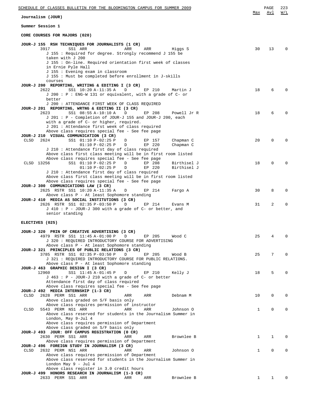| SCHEDULE OF CLASSES BULLETIN FOR THE BLOOMINGTON CAMPUS FOR SUMMER 2009                                         |              | PAGE         | 223      |
|-----------------------------------------------------------------------------------------------------------------|--------------|--------------|----------|
| Journalism (JOUR)                                                                                               | Max          | Avl          | W/L      |
| Summer Session 1                                                                                                |              |              |          |
| CORE COURSES FOR MAJORS (020)                                                                                   |              |              |          |
|                                                                                                                 |              |              |          |
| JOUR-J 155 RSH TECHNIQUES FOR JOURNALISTS (1 CR)<br>3917<br>SS1 ARR<br>ARR<br>ARR<br>Higgs S                    | 30           | 13           | $\Omega$ |
| J 155 : Required for degree. Strongly recommend J 155 be                                                        |              |              |          |
| taken with J 200                                                                                                |              |              |          |
| J 155 : On-line. Required orientation first week of classes<br>in Ernie Pyle Hall                               |              |              |          |
| J 155 : Evening exam in classroom                                                                               |              |              |          |
| J 155 : Must be completed before enrollment in J-skills                                                         |              |              |          |
| courses<br>JOUR-J 200 REPORTING, WRITING & EDITING I (3 CR)                                                     |              |              |          |
| SS1 10:20 A-11:35 A<br>D<br>EP 210<br>2622<br>Martin J                                                          | 18           | 6            | $\Omega$ |
| $J$ 200 : P : ENG-W 131 or equivalent, with a grade of C- or                                                    |              |              |          |
| better<br>J 200 : ATTENDANCE FIRST WEEK OF CLASS REQUIRED                                                       |              |              |          |
| JOUR-J 201 REPORTING, WRTNG & EDITING II (3 CR)                                                                 |              |              |          |
| 2623<br>SS1 08:55 A-10:10 A<br>EP 208<br>Powell Jr R<br>D                                                       | 18           | 6            | $\Omega$ |
| J 201 : P - Completion of JOUR-J 155 and JOUR-J 200, each<br>with a grade of C- or higher, required.            |              |              |          |
| J 201: Attendance first week of class required                                                                  |              |              |          |
| Above class requires special fee - See fee page                                                                 |              |              |          |
| JOUR-J 210 VISUAL COMMUNICATION (3 CR)<br>CLSD<br>2624<br>SS1 01:10 P-02:25 P<br>Chapman C<br>D<br>EP 157       | 20           | $\Omega$     | $\Omega$ |
| $01:10 P-02:25 P$<br>D<br>EP 220<br>Chapman C                                                                   |              |              |          |
| J 210 : Attendance first day of class required                                                                  |              |              |          |
| Above class first class meeting will be in first room listed<br>Above class requires special fee - See fee page |              |              |          |
| CLSD 13256<br>SS1 01:10 P-02:25 P<br>D<br>EP 208<br>Birthisel J                                                 | 18           | 0            | $\Omega$ |
| $01:10 P-02:25 P$<br>EP 220<br>Birthisel J<br>D                                                                 |              |              |          |
| J 210: Attendance first day of class required<br>Above class first class meeting will be in first room listed   |              |              |          |
| Above class requires special fee - See fee page                                                                 |              |              |          |
| JOUR-J 300 COMMUNICATIONS LAW (3 CR)                                                                            |              |              |          |
| 2625 RSTR SS1 10:20 A-11:35 A<br>D<br>EP 214<br>Fargo A                                                         | 30           | 8            | $\Omega$ |
| Above class P - At least Sophomore standing<br>JOUR-J 410 MEDIA AS SOCIAL INSTITUTIONS (3 CR)                   |              |              |          |
| 2626 RSTR SS1 02:35 P-03:50 P<br>D<br>EP 214<br>Evans M                                                         | 31           | 2            | 0        |
| J 410 : P - JOUR-J 300 with a grade of C- or better, and<br>senior standing                                     |              |              |          |
|                                                                                                                 |              |              |          |
| ELECTIVES (025)                                                                                                 |              |              |          |
| JOUR-J 320 PRIN OF CREATIVE ADVERTISING (3 CR)                                                                  |              |              |          |
| 4979 RSTR SS1 11:45 A-01:00 P<br>D<br>EP 205<br>Wood C                                                          | 25           |              | $\Omega$ |
| J 320 : REQUIRED INTRODUCTORY COURSE FOR ADVERTISING                                                            |              |              |          |
| Above class P - At least Sophomore standing<br>JOUR-J 321 PRINCIPLES OF PUBLIC RELATIONS (3 CR)                 |              |              |          |
| 3785 RSTR SS1 02:35 P-03:50 P<br>D<br>EP 205<br>Wood B                                                          | 25           | 7            | $\Omega$ |
| J 321 : REOUIRED INTRODUCTORY COURSE FOR PUBLIC RELATIONS.                                                      |              |              |          |
| Above class P - At least Sophomore standing<br>JOUR-J 463 GRAPHIC DESIGN I (3 CR)                               |              |              |          |
| 12960<br>SS1 11:45 A-01:45 P<br>D<br>EP 210<br>Kelly J                                                          | 18           | 5            | $\Omega$ |
| $J$ 463 : P - JOUR-J 210 with a grade of C- or better                                                           |              |              |          |
| Attendance first day of class required<br>Above class requires special fee - See fee page                       |              |              |          |
| JOUR-J 492 MEDIA INTERNSHIP (1-3 CR)                                                                            |              |              |          |
| CLSD<br>2628 PERM SS1 ARR<br>ARR<br>ARR<br>Debnam M                                                             | 10           | 0            | $\Omega$ |
| Above class graded on S/F basis only<br>Above class requires permission of instructor                           |              |              |          |
| 5543 PERM NS1 ARR<br>ARR<br>ARR<br>Johnson 0<br>CLSD                                                            | $\mathbf{1}$ | $\Omega$     | $\Omega$ |
| Above class reserved for students in the Journalism Summer in                                                   |              |              |          |
| London, May 9-Jul 4<br>Above class requires permission of Department                                            |              |              |          |
| Above class graded on S/F basis only                                                                            |              |              |          |
| JOUR-J 493 JOUR: OFF CAMPUS REGISTRATION (0 CR)                                                                 |              |              |          |
| 2630 PERM SS1 ARR<br>Brownlee B<br>ARR<br>ARR<br>Above class requires permission of Department                  | $\mathbf 1$  | 1            | $\Omega$ |
| JOUR-J 496 FOREIGN STUDY IN JOURNALISM (3 CR)                                                                   |              |              |          |
| CLSD<br>2632 PERM NS1 ARR<br>ARR<br>ARR<br>Johnson 0                                                            | 1            | 0            | $\Omega$ |
| Above class requires permission of Department<br>Above class reserved for students in the Journalism Summer in  |              |              |          |
| London May 9 - Jul 4                                                                                            |              |              |          |
| Above class register in 3.0 credit hours                                                                        |              |              |          |
| JOUR-J 499 HONORS RESEARCH IN JOURNALISM (1-3 CR)<br>2633 PERM SS1 ARR<br>Brownlee B<br>ARR<br>ARR              | 1            | $\mathbf{1}$ | $\Omega$ |
|                                                                                                                 |              |              |          |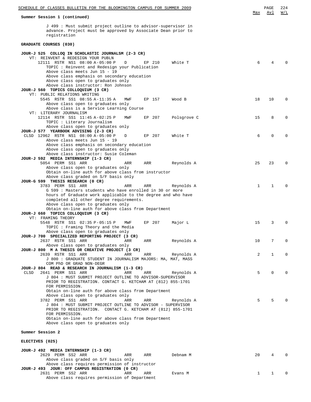| SCHEDULE OF CLASSES BULLETIN FOR THE BLOOMINGTON CAMPUS FOR SUMMER 2009                                                                      |              | PAGE         | 224         |
|----------------------------------------------------------------------------------------------------------------------------------------------|--------------|--------------|-------------|
| Summer Session 1 (continued)                                                                                                                 | Max          | Avl          | W/L         |
| J 499 : Must submit project outline to advisor-supervisor in<br>advance. Project must be approved by Associate Dean prior to<br>registration |              |              |             |
| GRADUATE COURSES (030)                                                                                                                       |              |              |             |
| JOUR-J 525 COLLOQ IN SCHOLASTIC JOURNALSM (2-3 CR)<br>VT: REINVENT & REDESIGN YOUR PUBLN                                                     |              |              |             |
| 12111 RSTR NS1 08:00 A-05:00 P<br>EP 210<br>White T<br>D<br>TOPIC: Reinvent and Redesign your Publication<br>Above class meets Jun 15 - 19   | 6            | 4            |             |
| Above class emphasis on secondary education<br>Above class open to graduates only<br>Above class instructor: Ron Johnson                     |              |              |             |
| JOUR-J 560 TOPICS COLLOQUIUM (3 CR)<br>VT: PUBLIC RELATIONS WRITING                                                                          |              |              |             |
| 5545 RSTR SS1 08:55 A-11:35 A<br>EP 157<br>Wood B<br>MWF<br>Above class open to graduates only<br>Above class is a Service Learning Course   | 18           | 10           | 0           |
| VT: LITERARY JOURNALISM<br>12114 RSTR SS1 11:45 A-02:25 P<br>EP 207<br>Polsgrove C<br>MWF                                                    | 15           | 8            | 0           |
| TOPIC : Literary Journalism<br>Above class open to graduates only                                                                            |              |              |             |
| JOUR-J 577 YEARBOOK ADVISING (2-3 CR)<br>CLSD 12962 RSTR NS1 08:00 A-05:00 P<br>EP 207<br>White T<br>D                                       | 6            | 0            | 0           |
| Above class meets Jun 15 - 19<br>Above class emphasis on secondary education<br>Above class open to graduates only                           |              |              |             |
| Above class instructor: Susie Coleman                                                                                                        |              |              |             |
| JOUR-J 592 MEDIA INTERNSHIP (1-3 CR)<br>5054 PERM SS1 ARR<br>ARR<br>Reynolds A<br>ARR                                                        | 25           | 23           | $\Omega$    |
| Above class open to graduates only<br>Obtain on-line auth for above class from instructor<br>Above class graded on S/F basis only            |              |              |             |
| JOUR-G 599 THESIS RESEARCH (0 CR)                                                                                                            |              |              |             |
| 3783 PERM SS1 ARR<br>ARR<br>ARR<br>Reynolds A<br>G 599 : Masters students who have enrolled in 30 or more                                    | 1            | $\mathbf 1$  | $\Omega$    |
| hours of Graduate work applicable to the degree and who have<br>completed all other degree requirements.                                     |              |              |             |
| Above class open to graduates only                                                                                                           |              |              |             |
| Obtain on-line auth for above class from Department<br>JOUR-J 660 TOPICS COLLOQUIUM (3 CR)                                                   |              |              |             |
| VT: FRAMING THEORY<br>5548 RSTR SS1 02:35 P-05:15 P<br>EP 207<br>Major L<br>MWF                                                              | 15           | 3            | 0           |
| TOPIC: Framing Theory and the Media<br>Above class open to graduates only                                                                    |              |              |             |
| JOUR-J 700 SPECIALIZED REPORTING PROJECT (3 CR)                                                                                              |              |              |             |
| 2637 RSTR SS1 ARR<br>ARR<br>ARR<br>Reynolds A<br>Above class open to graduates only                                                          | 10           | 7            | $\mathbf 0$ |
| JOUR-J 800 M A THESIS OR CREATIVE PROJECT (3 CR)<br>2639 RSTR SS1 ARR<br>ARR<br>ARR<br>Reynolds A                                            | 2            | $\mathbf 1$  | 0           |
| J 800 : GRADUATE STUDENT IN JOURNALISM MAJORS: MA, MAT, MASS<br>COM PhD OR GRAD NON-DEGR                                                     |              |              |             |
| JOUR-J 804 READ & RESEARCH IN JOURNALISM (1-3 CR)<br>CLSD<br>2641 PERM SS1 ARR<br>ARR<br>ARR<br>Reynolds A                                   | 5            | 0            | $\Omega$    |
| J 804 : MUST SUBMIT PROJECT OUTLINE TO ADVISOR-SUPERVISOR<br>PRIOR TO REGISTRATION. CONTACT G. KETCHAM AT (812) 855-1701<br>FOR PERMISSION.  |              |              |             |
| Obtain on-line auth for above class from Department<br>Above class open to graduates only                                                    |              |              |             |
| 3782 PERM SS1 ARR<br>ARR<br>ARR<br>Reynolds A<br>J 804 : MUST SUBMIT PROJECT OUTLINE TO ADVISOR - SUPERVISOR                                 | 5            | 5            |             |
| PRIOR TO REGISTRATION. CONTACT G. KETCHAM AT (812) 855-1701<br>FOR PERMISSION.<br>Obtain on-line auth for above class from Department        |              |              |             |
| Above class open to graduates only                                                                                                           |              |              |             |
| Summer Session 2                                                                                                                             |              |              |             |
| ELECTIVES (025)                                                                                                                              |              |              |             |
| JOUR-J 492 MEDIA INTERNSHIP (1-3 CR)<br>2629 PERM SS2 ARR<br>ARR<br>ARR<br>Debnam M                                                          | 20           | 4            | $\Omega$    |
| Above class graded on S/F basis only<br>Above class requires permission of instructor                                                        |              |              |             |
| JOUR-J 493 JOUR: OFF CAMPUS REGISTRATION (0 CR)<br>2631 PERM SS2 ARR<br>ARR<br>ARR<br>Evans M                                                | $\mathbf{1}$ | $\mathbf{1}$ | 0           |
| Above class requires permission of Department                                                                                                |              |              |             |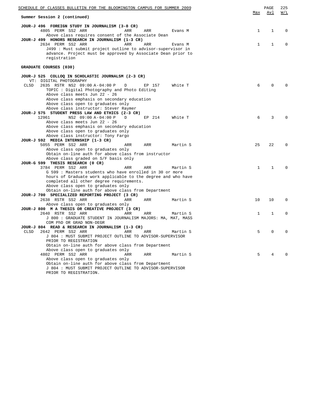| <u>SCHEDULE OF CLASSES BULLETIN FOR THE BLOOMINGTON CAMPUS FOR SUMMER 2009</u>                                                                                                                                                                                                                |              | PAGE     | 225              |
|-----------------------------------------------------------------------------------------------------------------------------------------------------------------------------------------------------------------------------------------------------------------------------------------------|--------------|----------|------------------|
| Summer Session 2 (continued)                                                                                                                                                                                                                                                                  | Max          | Avl      | $\overline{M/L}$ |
| JOUR-J 496 FOREIGN STUDY IN JOURNALISM (3-8 CR)<br>4805 PERM SS2 ARR<br>ARR<br>ARR<br>Evans M<br>Above class requires consent of the Associate Dean                                                                                                                                           | $\mathbf{1}$ | 1        | 0                |
| JOUR-J 499 HONORS RESEARCH IN JOURNALISM (1-3 CR)<br>2634 PERM SS2 ARR<br>ARR<br>ARR<br>Evans M<br>J499 : Must submit project outline to advisor-supervisor in<br>advance. Project must be approved by Associate Dean prior to<br>registration                                                | $\mathbf{1}$ | 1        | $\Omega$         |
| GRADUATE COURSES (030)                                                                                                                                                                                                                                                                        |              |          |                  |
| JOUR-J 525 COLLOQ IN SCHOLASTIC JOURNALSM (2-3 CR)<br>VT: DIGITAL PHOTOGRAPHY                                                                                                                                                                                                                 |              |          |                  |
| <b>CLSD</b><br>2635 RSTR NS2 09:00 A-04:00 P<br>White T<br>D<br>EP 157<br>TOPIC: Digital Photography and Photo Editing<br>Above class meets Jun 22 - 26<br>Above class emphasis on secondary education<br>Above class open to graduates only<br>Above class instructor: Stever Raymer         | 6            | $\Omega$ |                  |
| JOUR-J 575 STUDENT PRESS LAW AND ETHICS (2-3 CR)<br>12961<br>NS2 09:00 A-04:00 P<br>EP 214<br>D<br>White T<br>Above class meets Jun 22 - 26<br>Above class emphasis on secondary education<br>Above class open to graduates only                                                              | 6            | 3        | <sup>0</sup>     |
| Above class instructor: Tony Fargo<br>JOUR-J 592 MEDIA INTERNSHIP (1-3 CR)<br>5055 PERM SS2 ARR<br>ARR<br>ARR<br>Martin S<br>Above class open to graduates only<br>Obtain on-line auth for above class from instructor<br>Above class graded on S/F basis only                                | 25           | 22       | $\Omega$         |
| JOUR-G 599 THESIS RESEARCH (0 CR)<br>3784 PERM SS2 ARR<br>ARR<br>ARR<br>Martin S<br>G 599: Masters students who have enrolled in 30 or more<br>hours of Graduate work applicable to the degree and who have<br>completed all other degree requirements.<br>Above class open to graduates only | 1            | 1        | $\Omega$         |
| Obtain on-line auth for above class from Department<br>JOUR-J 700 SPECIALIZED REPORTING PROJECT (3 CR)                                                                                                                                                                                        |              |          |                  |
| 2638 RSTR SS2 ARR<br>ARR<br>ARR<br>Martin S<br>Above class open to graduates only<br>JOUR-J 800 M A THESIS OR CREATIVE PROJECT (3 CR)                                                                                                                                                         | 10           | 10       | $\Omega$         |
| 2640 RSTR SS2 ARR<br>ARR<br>ARR<br>Martin S<br>J 800 : GRADUATE STUDENT IN JOURNALISM MAJORS: MA, MAT, MASS<br>COM PhD OR GRAD NON-DEGR                                                                                                                                                       | 1            | 1        | $\Omega$         |
| JOUR-J 804 READ & RESEARCH IN JOURNALISM (1-3 CR)<br>CLSD<br>2642 PERM SS2 ARR<br>ARR<br>ARR<br>Martin S<br>J 804 : MUST SUBMIT PROJECT OUTLINE TO ADVISOR-SUPERVISOR<br>PRIOR TO REGISTRATION<br>Obtain on-line auth for above class from Department                                         |              |          |                  |
| Above class open to graduates only<br>4802 PERM SS2 ARR<br>ARR<br>ARR<br>Martin S<br>Above class open to graduates only<br>Obtain on-line auth for above class from Department<br>J 804 : MUST SUBMIT PROJECT OUTLINE TO ADVISOR-SUPERVISOR<br>PRIOR TO REGISTRATION.                         | 5            | 4        | $\Omega$         |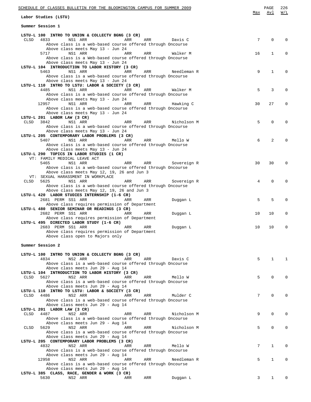| SCHEDULE OF CLASSES BULLETIN FOR THE BLOOMINGTON CAMPUS FOR SUMMER 2009                                            | Max             | PAGE<br>Avl | 226<br>W/L   |
|--------------------------------------------------------------------------------------------------------------------|-----------------|-------------|--------------|
| Labor Studies (LSTU)                                                                                               |                 |             |              |
| Summer Session 1                                                                                                   |                 |             |              |
| LSTU-L 100 INTRO TO UNION & COLLECTV BGNG (3 CR)                                                                   |                 |             |              |
| <b>CLSD</b><br>4833<br>NS1 ARR<br>ARR<br>ARR<br>Davis C                                                            | 7               | 0           | 0            |
| Above class is a web-based course offered through Oncourse<br>Above class meets May 13 - Jun 24                    |                 |             |              |
| 5717<br>NS1 ARR<br>ARR<br>ARR<br>Walker M                                                                          | 16              | 1           | 0            |
| Above class is a Web-based course offered through Oncourse                                                         |                 |             |              |
| Above class meets May 13 - Jun 24                                                                                  |                 |             |              |
| LSTU-L 104 INTRODUCTION TO LABOR HISTORY (3 CR)<br>5463<br>NS1 ARR<br>ARR<br>ARR<br>Needleman R                    | 9               | 1           | 0            |
| Above class is a web-based course offered through Oncourse                                                         |                 |             |              |
| Above class meets May 13 - Jun 24                                                                                  |                 |             |              |
| LSTU-L 110 INTRO TO LSTU: LABOR & SOCIETY (3 CR)<br>4485<br>NS1 ARR<br>ARR<br>ARR<br>Walker M                      | 5               | 3           | 0            |
| Above class is a web-based course offered through Oncourse                                                         |                 |             |              |
| Above class meets May 13 - Jun 24                                                                                  |                 |             |              |
| 12957<br>NS1 ARR<br>ARR<br>ARR<br>Hawking C                                                                        | 30              | 27          | $\Omega$     |
| Above class is a web-based course offered through Oncourse<br>Above class meets May 13 - Jun 24                    |                 |             |              |
| LSTU-L 201 LABOR LAW (3 CR)                                                                                        |                 |             |              |
| CLSD<br>3842<br>NS1 ARR<br>ARR<br>ARR<br>Nicholson M                                                               | 5               | $\Omega$    |              |
| Above class is a web-based course offered through Oncourse                                                         |                 |             |              |
| Above class meets May 13 - Jun 24<br>LSTU-L 205 CONTEMPORARY LABOR PROBLEMS (3 CR)                                 |                 |             |              |
| 5407<br>NS1 ARR<br>ARR<br>ARR<br>Mello W                                                                           | 6               | 2           |              |
| Above class is a web-based course offered through Oncourse                                                         |                 |             |              |
| Above class meets May 13 - Jun 24                                                                                  |                 |             |              |
| LSTU-L 290 TOPICS IN LABOR STUDIES (1 CR)                                                                          |                 |             |              |
| VT: FAMILY MEDICAL LEAVE ACT<br>5465<br>NS1 ARR<br>ARR<br>ARR<br>Sovereign R                                       | 30              | 30          |              |
| Above class is a web-based course offered through Oncourse                                                         |                 |             |              |
| Above class meets May 12, 19, 26 and Jun 3                                                                         |                 |             |              |
| VT: SEXUAL HARASSMENT IN WORKPLACE<br>NS1 ARR                                                                      |                 | $\Omega$    |              |
| 5625<br>CLSD<br>ARR<br>ARR<br>Sovereign R<br>Above class is a web-based course offered through Oncourse            | 4               |             |              |
| Above class meets May 12, 19, 26 and Jun 3                                                                         |                 |             |              |
| LSTU-L 420 LABOR STUDIES INTERNSHIP (1-6 CR)                                                                       |                 |             |              |
| 2681 PERM SS1 ARR<br>ARR<br>ARR<br>Duggan L                                                                        | 5               | 5           | 0            |
| Above class requires permission of Department<br>LSTU-L 480 SENIOR SEMINAR OR READINGS (3 CR)                      |                 |             |              |
| 2682 PERM SS1 ARR<br>ARR<br>ARR<br>Duggan L                                                                        | 10              | 10          | 0            |
| Above class requires permission of Department                                                                      |                 |             |              |
| LSTU-L 495 DIRECTED LABOR STUDY (1-6 CR)                                                                           |                 |             |              |
| 2683 PERM SS1 ARR<br>ARR<br>ARR<br>Duggan L<br>Above class requires permission of Department                       | 10              | 10          | 0            |
| Above class open to Majors only                                                                                    |                 |             |              |
|                                                                                                                    |                 |             |              |
| Summer Session 2                                                                                                   |                 |             |              |
| LSTU-L 100 INTRO TO UNION & COLLECTV BGNG (3 CR)                                                                   |                 |             |              |
| 4834<br>NS2 ARR<br>ARR<br>Davis C<br>ARR                                                                           | 5               | 1           | $\mathbf{1}$ |
| Above class is a web-based course offered through Oncourse                                                         |                 |             |              |
| Above class meets Jun 29 - Aug 14<br>LSTU-L 104 INTRODUCTION TO LABOR HISTORY (3 CR)                               |                 |             |              |
| CLSD<br>5627<br>NS2 ARR<br>ARR<br>ARR<br>Mello W                                                                   | 5               | $\Omega$    | $\Omega$     |
| Above class is a web-based course offered through Oncourse                                                         |                 |             |              |
| Above class meets Jun 29 - Aug 14                                                                                  |                 |             |              |
| LSTU-L 110 INTRO TO LSTU: LABOR & SOCIETY (3 CR)<br>CLSD<br>4486<br>NS2 ARR<br>ARR<br>ARR<br>Mulder C              | 7               | $\Omega$    | $\Omega$     |
| Above class is a web-based course offered through Oncourse                                                         |                 |             |              |
| Above class meets Jun 29 - Aug 14                                                                                  |                 |             |              |
| LSTU-L 201 LABOR LAW (3 CR)                                                                                        |                 |             |              |
| CLSD<br>4487<br>NS2 ARR<br>ARR<br>ARR<br>Nicholson M<br>Above class is a web-based course offered through Oncourse | 9               | $\mathbf 0$ | $\Omega$     |
| Above class meets Jun 29 - Aug 14                                                                                  |                 |             |              |
| 5629<br>NS2 ARR<br>ARR<br>Nicholson M<br>CLSD<br>ARR                                                               | 5               | $\mathbf 0$ | $\Omega$     |
| Above class is a web-based course offered through Oncourse                                                         |                 |             |              |
| Above class meets Jun 29 - Aug 14<br>LSTU-L 205 CONTEMPORARY LABOR PROBLEMS (3 CR)                                 |                 |             |              |
| 4832<br>NS2 ARR<br>ARR<br>ARR<br>Mello W                                                                           | $7\overline{ }$ | $\mathbf 1$ | $\Omega$     |
| Above class is a web-based course offered through Oncourse                                                         |                 |             |              |
| Above class meets Jun 29 - Aug 14                                                                                  |                 |             |              |
| 12958<br>NS2 ARR<br>ARR<br>ARR<br>Needleman R<br>Above class is a web-based course offered through Oncourse        | 5               | 1           | $\Omega$     |
| Above class meets Jun 29 - Aug 14                                                                                  |                 |             |              |
| LSTU-L 385 CLASS, RACE, GENDER & WORK (3 CR)                                                                       |                 |             |              |
| 5630<br>NS2 ARR<br>Duggan L<br>ARR<br>ARR                                                                          | 3               | $1 \quad$   | $\Omega$     |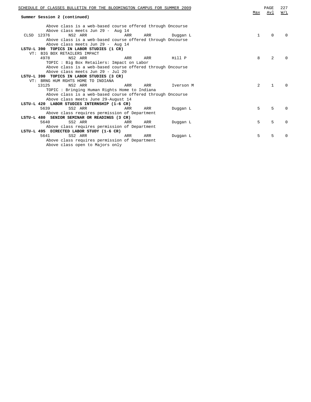|            | SCHEDULE OF CLASSES BULLETIN FOR THE BLOOMINGTON CAMPUS FOR SUMMER 2009                     | Max | PAGE<br>Avl    | 227<br>W/L   |
|------------|---------------------------------------------------------------------------------------------|-----|----------------|--------------|
|            | Summer Session 2 (continued)                                                                |     |                |              |
|            |                                                                                             |     |                |              |
|            | Above class is a web-based course offered through Oncourse                                  |     |                |              |
| CLSD 12376 | Above class meets Jun 29 - Aug 14<br>NS2 ARR<br>ARR<br>ARR<br>Duggan L                      | 1   | $\Omega$       |              |
|            | Above class is a web-based course offered through Oncourse                                  |     |                |              |
|            | Above class meets Jun 29 - Aug 14                                                           |     |                |              |
|            | LSTU-L 390 TOPICS IN LABOR STUDIES (1 CR)                                                   |     |                |              |
|            | VT: BIG BOX RETAILERS IMPACT                                                                |     |                |              |
|            | NS2 ARR<br>4978<br>ARR<br>Hill P<br>ARR                                                     | 8   | $\overline{a}$ |              |
|            | TOPIC : Big Box Retailers: Impact on Labor                                                  |     |                |              |
|            | Above class is a web-based course offered through Oncourse                                  |     |                |              |
|            | Above class meets Jun 29 - Jul 20                                                           |     |                |              |
|            | LSTU-L 390 TOPICS IN LABOR STUDIES (3 CR)                                                   |     |                |              |
|            | VT: BRNG HUM RGHTS HOME TO INDIANA                                                          |     |                |              |
|            | 13125<br>NS2 ARR<br>ARR<br>ARR<br>Iverson M<br>TOPIC: Bringing Human Rights Home to Indiana | 2   | $\mathbf{1}$   |              |
|            | Above class is a web-based course offered through Oncourse                                  |     |                |              |
|            | Above class meets June 29-August 14                                                         |     |                |              |
|            | LSTU-L 420 LABOR STUDIES INTERNSHIP (1-6 CR)                                                |     |                |              |
|            | 5639<br>SS2 ARR<br>ARR<br>ARR<br>Duqqan L                                                   | 5   | 5              |              |
|            | Above class requires permission of Department                                               |     |                |              |
|            | LSTU-L 480 SENIOR SEMINAR OR READINGS (3 CR)                                                |     |                |              |
|            | 5640<br>SS2 ARR<br>ARR<br>ARR<br>Duqqan L                                                   | 5   | 5              | <sup>0</sup> |
|            | Above class requires permission of Department                                               |     |                |              |
|            | LSTU-L 495 DIRECTED LABOR STUDY (1-6 CR)                                                    |     |                |              |
|            | 5641<br>SS2 ARR<br>ARR<br>ARR<br>Duqqan L                                                   | 5   | 5              |              |
|            | Above class requires permission of Department                                               |     |                |              |
|            | Above class open to Majors only                                                             |     |                |              |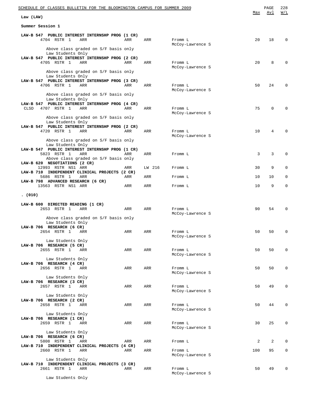| <u>SCHEDULE OF CLASSES BULLETIN FOR THE BLOOMINGTON CAMPUS FOR SUMMER 2009</u>                                                     |     |        |                             | Max | PAGE<br>Avl | 228<br>W/L |
|------------------------------------------------------------------------------------------------------------------------------------|-----|--------|-----------------------------|-----|-------------|------------|
| Law (LAW)                                                                                                                          |     |        |                             |     |             |            |
| Summer Session 1                                                                                                                   |     |        |                             |     |             |            |
| LAW-B 547 PUBLIC INTEREST INTERNSHP PROG (1 CR)<br>4704 RSTR 1<br>ARR                                                              | ARR | ARR    | Fromm L<br>McCoy-Lawrence S | 20  | 18          | 0          |
| Above class graded on S/F basis only<br>Law Students Only<br>LAW-B 547 PUBLIC INTEREST INTERNSHP PROG (2 CR)                       |     |        |                             |     |             |            |
| 4705 RSTR 1<br>ARR<br>Above class graded on S/F basis only                                                                         | ARR | ARR    | Fromm L<br>McCoy-Lawrence S | 20  | 8           |            |
| Law Students Only<br>LAW-B 547 PUBLIC INTEREST INTERNSHP PROG (3 CR)<br>4706 RSTR 1<br>ARR                                         | ARR | ARR    | Fromm L                     | 50  | 24          | 0          |
| Above class graded on S/F basis only<br>Law Students Only                                                                          |     |        | McCoy-Lawrence S            |     |             |            |
| LAW-B 547 PUBLIC INTEREST INTERNSHP PROG (4 CR)<br>4707 RSTR 1<br>CLSD<br>ARR                                                      | ARR | ARR    | Fromm L<br>McCoy-Lawrence S | 75  | 0           |            |
| Above class graded on S/F basis only<br>Law Students Only<br>LAW-B 547 PUBLIC INTEREST INTERNSHP PROG (2 CR)                       |     |        |                             |     |             |            |
| 4720 RSTR 1<br>ARR<br>Above class graded on S/F basis only                                                                         | ARR | ARR    | Fromm L<br>McCoy-Lawrence S | 10  | 4           | 0          |
| Law Students Only<br>LAW-B 547 PUBLIC INTEREST INTERNSHP PROG (1 CR)<br>5823 RSTR 1<br>ARR<br>Above class graded on S/F basis only | ARR | ARR    | Fromm L                     | 3   | 3           | $\Omega$   |
| LAW-B 620 NEGOTIATIONS (2 CR)<br>12993 RSTR NS1 ARR                                                                                | ARR | LW 216 | Fromm L                     | 30  | 9           | 0          |
| LAW-B 710 INDEPENDENT CLINICAL PROJECTS (2 CR)<br>5686 RSTR 1<br>ARR                                                               | ARR | ARR    | Fromm L                     | 10  | 10          | 0          |
| LAW-B 798 ADVANCED RESEARCH (6 CR)<br>13563 RSTR NS1 ARR                                                                           | ARR | ARR    | Fromm L                     | 10  | 9           | 0          |
| (010)                                                                                                                              |     |        |                             |     |             |            |
| LAW-B 600 DIRECTED READING (1 CR)<br>2653 RSTR 1<br>ARR                                                                            | ARR | ARR    | Fromm L<br>McCoy-Lawrence S | 90  | 54          |            |
| Above class graded on S/F basis only<br>Law Students Only<br>LAW-B 706 RESEARCH (6 CR)                                             |     |        |                             |     |             |            |
| 2654 RSTR 1 ARR<br>Law Students Only                                                                                               | ARR | ARR    | Fromm L<br>McCoy-Lawrence S | 50  | 50          |            |
| LAW-B 706 RESEARCH (5 CR)<br>2655 RSTR 1<br>ARR                                                                                    | ARR | ARR    | Fromm L<br>McCoy-Lawrence S | 50  | 50          | 0          |
| Law Students Only<br>LAW-B 706 RESEARCH (4 CR)<br>2656 RSTR 1<br>ARR                                                               | ARR | ARR    | Fromm L                     | 50  | 50          | 0          |
| Law Students Only<br>LAW-B 706 RESEARCH (3 CR)                                                                                     |     |        | McCoy-Lawrence S            |     |             |            |
| 2657 RSTR 1<br>ARR<br>Law Students Only                                                                                            | ARR | ARR    | Fromm L<br>McCoy-Lawrence S | 50  | 49          | 0          |
| LAW-B 706 RESEARCH (2 CR)<br>2658 RSTR 1<br>ARR                                                                                    | ARR | ARR    | Fromm L<br>McCoy-Lawrence S | 50  | 44          | 0          |
| Law Students Only<br>LAW-B 706 RESEARCH (1 CR)<br>2659 RSTR 1<br>ARR<br>Law Students Only                                          | ARR | ARR    | Fromm L<br>McCoy-Lawrence S | 30  | 25          | 0          |
| LAW-B 706 RESEARCH (6 CR)<br>5808 RSTR 1<br>ARR                                                                                    | ARR | ARR    | Fromm L                     | 2   | 2           | 0          |
| LAW-B 710 INDEPENDENT CLINICAL PROJECTS (4 CR)<br>2660 RSTR 1<br>ARR                                                               | ARR | ARR    | Fromm L<br>McCoy-Lawrence S | 100 | 95          | 0          |
| Law Students Only<br>LAW-B 710 INDEPENDENT CLINICAL PROJECTS (3 CR)<br>2661 RSTR 1<br>ARR                                          | ARR | ARR    | Fromm L<br>McCoy-Lawrence S | 50  | 49          | 0          |
|                                                                                                                                    |     |        |                             |     |             |            |

Law Students Only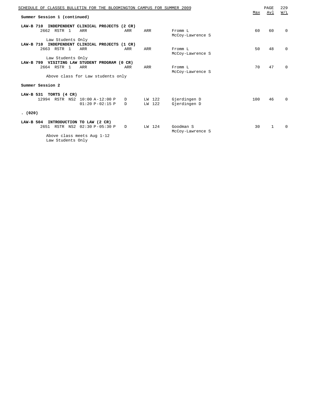| SCHEDULE OF CLASSES BULLETIN FOR THE BLOOMINGTON CAMPUS FOR SUMMER 2009 |     |           |                  |     | PAGE | 229          |
|-------------------------------------------------------------------------|-----|-----------|------------------|-----|------|--------------|
| Summer Session 1 (continued)                                            |     |           |                  | Max | Avl  | W/L          |
|                                                                         |     |           |                  |     |      |              |
| LAW-B 710<br>INDEPENDENT CLINICAL PROJECTS (2 CR)                       |     |           |                  |     |      |              |
| 2662 RSTR 1<br>ARR                                                      | ARR | ARR       | Fromm L          | 60  | 60   | $\Omega$     |
|                                                                         |     |           | McCoy-Lawrence S |     |      |              |
| Law Students Only                                                       |     |           |                  |     |      |              |
| INDEPENDENT CLINICAL PROJECTS (1 CR)<br>LAW-B 710                       |     |           |                  |     |      |              |
| 2663 RSTR 1<br>ARR                                                      | ARR | ARR       | Fromm L          | 50  | 48   | $\Omega$     |
|                                                                         |     |           | McCoy-Lawrence S |     |      |              |
| Law Students Only                                                       |     |           |                  |     |      |              |
| VISITING LAW STUDENT PROGRAM (0 CR)<br>LAW-B 799                        |     |           |                  |     |      |              |
| 2664 RSTR 1<br>ARR                                                      | ARR | ARR       | Fromm L          | 70  | 47   | <sup>0</sup> |
|                                                                         |     |           | McCoy-Lawrence S |     |      |              |
| Above class for Law students only                                       |     |           |                  |     |      |              |
| Summer Session 2                                                        |     |           |                  |     |      |              |
| LAW-B 531 TORTS (4 CR)                                                  |     |           |                  |     |      |              |
| 12994 RSTR NS2<br>$10:00 A-12:00 P$                                     | D   | 122<br>LW | Gjerdingen D     | 100 | 46   | $\Omega$     |
| $01:20 P - 02:15 P$                                                     | D   | 122<br>LW | Gjerdingen D     |     |      |              |
|                                                                         |     |           |                  |     |      |              |
| (020)                                                                   |     |           |                  |     |      |              |
| LAW-B 504<br>INTRODUCTION TO LAW (2 CR)                                 |     |           |                  |     |      |              |
| 2651 RSTR NS2 02:30 P-05:30 P                                           | D   | LW 124    | Goodman S        | 30  | 1    | <sup>0</sup> |
|                                                                         |     |           | McCoy-Lawrence S |     |      |              |
| Above class meets Aug 1-12                                              |     |           |                  |     |      |              |
| Law Students Only                                                       |     |           |                  |     |      |              |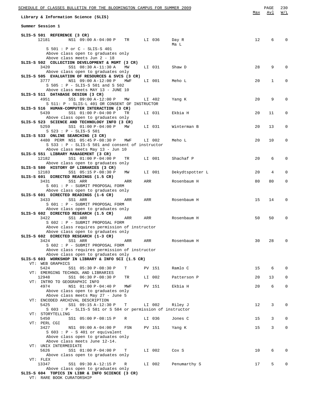| SCHEDULE OF CLASSES BULLETIN FOR THE BLOOMINGTON CAMPUS FOR SUMMER 2009                                    |     | PAGE | 230          |
|------------------------------------------------------------------------------------------------------------|-----|------|--------------|
| Library & Information Science (SLIS)                                                                       | Max | Avl  | W/L          |
| Summer Session 1                                                                                           |     |      |              |
| SLIS-S 501 REFERENCE (3 CR)                                                                                |     |      |              |
| 12181<br>NS1 09:00 A-04:00 P TR<br>LI 036<br>Day R                                                         | 12  | 6    |              |
| Ma L<br>S 501 : P or C - SLIS-S 401                                                                        |     |      |              |
| Above class open to graduates only                                                                         |     |      |              |
| Above class meets Jun 2 - 18<br>SLIS-S 502 COLLECTION DEVELOPMENT & MGMT (3 CR)                            |     |      |              |
| 3420<br>SS1 08:30 A-11:30 A<br>MW<br>LI 031<br>Shaw D                                                      | 28  | 9    | $\Omega$     |
| Above class open to graduates only                                                                         |     |      |              |
| SLIS-S 505 EVALUATION OF RESOURCES & SVCS (3 CR)<br>3777<br>NS1 09:00 A-12:00 P<br>MWF<br>LI 001<br>Meho L | 20  | 1    | 0            |
| S 505 : P - SLIS-S 501 and S 502                                                                           |     |      |              |
| Above class meets MAY 13 - JUNE 10                                                                         |     |      |              |
| SLIS-S 511 DATABASE DESIGN (3 CR)<br>4951<br>SS1 09:00 A-12:00 P<br>MM<br>LI 402<br>Yang K                 | 20  | 9    | $\Omega$     |
| S 511: P - SLIS-L 401 OR CONSENT OF INSTRUCTOR                                                             |     |      |              |
| SLIS-S 516 HUMAN-COMPUTER INTERACTION (3 CR)                                                               |     |      |              |
| SS1 01:00 P-04:00 P<br>5439<br>LI 031<br>Ekbia H<br>TR<br>Above class open to graduates only               | 20  | 11   | 0            |
| SLIS-S 523 SCIENCE AND TECHNOLOGY INFO (3 CR)                                                              |     |      |              |
| 5259<br>SS1 01:00 P-04:00 P<br>MW<br>LI 031<br>Winterman B                                                 | 20  | 13   | 0            |
| S 523 : P - SLIS-S 501<br>SLIS-S 533 ONLINE SEARCHING (3 CR)                                               |     |      |              |
| 4480 PERM NS1 05:45 P-08:30 P<br>Meho L<br>MWF<br>LI 002                                                   | 20  | 10   | 0            |
| S 533 : P - SLIS-S 501 and consent of instructor                                                           |     |      |              |
| Above class meets May 13 - Jun 10<br>SLIS-S 551 LIBRARY MANAGEMENT (3 CR)                                  |     |      |              |
| 12182<br>SS1 01:00 P-04:00 P<br>TR<br>LI 001<br>Shachaf P                                                  | 20  | 6    | $\Omega$     |
| Above class open to graduates only<br>SLIS-S 580 HISTORY OF LIBRARIES (3 CR)                               |     |      |              |
| 12183<br>SS1 05:15 P-08:30 P<br>LI 001<br>MM<br>Dekydtspotter L                                            | 20  | 4    | $\Omega$     |
| SLIS-S 601 DIRECTED READINGS (1.5 CR)                                                                      |     |      |              |
| 3431<br>SS1 ARR<br>Rosenbaum H<br>ARR<br>ARR<br>S 601 : P - SUBMIT PROPOSAL FORM                           | 80  | 80   | 0            |
| Above class open to graduates only                                                                         |     |      |              |
| SLIS-S 601 DIRECTED READINGS (1-6 CR)                                                                      |     |      |              |
| 3433<br>SS1 ARR<br>Rosenbaum H<br>ARR<br>ARR<br>S 601 : P - SUBMIT PROPOSAL FORM                           | 15  | 14   | $\Omega$     |
| Above class open to graduates only                                                                         |     |      |              |
| SLIS-S 602 DIRECTED RESEARCH (1.5 CR)<br>3422                                                              |     | 50   | $\Omega$     |
| SS1 ARR<br>Rosenbaum H<br>ARR<br>ARR<br>S 602 : P - SUBMIT PROPOSAL FORM                                   | 50  |      |              |
| Above class requires permission of instructor                                                              |     |      |              |
| Above class open to graduates only<br>SLIS-S 602 DIRECTED RESEARCH (1-3 CR)                                |     |      |              |
| 3424<br>SS1 ARR<br>ARR<br>Rosenbaum H<br>ARR                                                               | 30  | 28   | $\Omega$     |
| S 602 : P - SUBMIT PROPOSAL FORM                                                                           |     |      |              |
| Above class requires permission of instructor<br>Above class open to graduates only                        |     |      |              |
| SLIS-S 603 WORKSHOP IN LIBRARY & INFO SCI (1.5 CR)                                                         |     |      |              |
| VT: WEB GRAPHICS                                                                                           |     |      |              |
| 5424<br>SS1 05:30 P-08:30 P<br>Ramlo C<br>Т<br>PV 151<br>VT: EMERGING TECHNOL AND LIBRARIES                | 15  | 6    | $\Omega$     |
| 12948<br>SS1 06:30 P-08:30 P<br>LI 002<br>TR<br>Patterson P                                                | 20  | 13   | $\mathbf{0}$ |
| VT: INTRO TO GEOGRAPHIC INFO<br>4974<br>NS1 01:00 P-04:40 P<br>MWF<br>PV 151<br>Ekbia H                    | 20  | 6    | $\mathbf 0$  |
| Above class open to graduates only                                                                         |     |      |              |
| Above class meets May 27 - June 5                                                                          |     |      |              |
| VT: ENCODED ARCHIVAL DESCRIPTION<br>5425<br>SS1 09:15 A-12:30 P<br>T<br>LI 002<br>Riley J                  | 12  | 3    | $\mathbf{0}$ |
| S 603 : P - SLIS-S 581 or S 584 or permission of instructor                                                |     |      |              |
| VT: STORYTELLING                                                                                           |     |      |              |
| 5450<br>SS1 05:00 P-08:15 P<br>LI 036<br>R<br>Jones C<br>VT: PERL CGI                                      | 15  | 3    | 0            |
| 3427<br>NS1 09:00 A-04:00 P<br>FSN<br>PV 151<br>Yang K                                                     | 15  | 3    | $\mathbf 0$  |
| $S$ 603 : P - S 401 or equivalent                                                                          |     |      |              |
| Above class open to graduates only<br>Above class meets June 12-14.                                        |     |      |              |
| VT: UNIX INTERMEDIATE                                                                                      |     |      |              |
| 5626<br>SS1 01:00 P-04:00 P<br>Т<br>LI 002<br>Cox S<br>Above class open to graduates only                  | 10  | 6    | $\Omega$     |
| VT: FLEX                                                                                                   |     |      |              |
| 13347<br>SS1 09:30 A-12:15 P<br>LI 002<br>Penumarthy S<br>R                                                | 17  | 5    | $\Omega$     |
| Above class open to graduates only<br>SLIS-S 604 TOPICS IN LIBR & INFO SCIENCE (3 CR)                      |     |      |              |
| VT: RARE BOOK CURATORSHIP                                                                                  |     |      |              |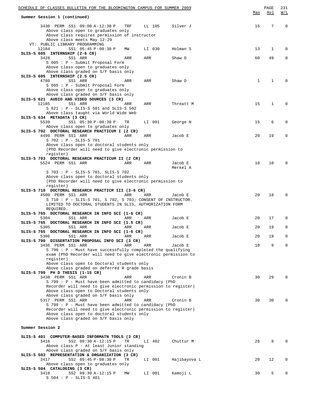| SCHEDULE OF CLASSES BULLETIN FOR THE BLOOMINGTON CAMPUS FOR SUMMER 2009                                     |           |        |                     |              | PAGE       | 231         |
|-------------------------------------------------------------------------------------------------------------|-----------|--------|---------------------|--------------|------------|-------------|
| Summer Session 1 (continued)                                                                                |           |        |                     | Max          | <u>Avl</u> | W/L         |
| 3430 PERM SS1 09:00 A-12:30 P                                                                               | TRF       | LL 105 | Silver J            | 15           | 7          | $\mathbf 0$ |
| Above class open to graduates only                                                                          |           |        |                     |              |            |             |
| Above class requires permission of instructor<br>Above class meets May 12-29                                |           |        |                     |              |            |             |
| VT: PUBLIC LIBRARY PROGRAMMING                                                                              |           |        |                     |              |            |             |
| 12184<br>SS1 05:45 P-08:30 P                                                                                | MW        | LI 030 | Holman S            | 13           | 1          | $\Omega$    |
| SLIS-S 605 INTERNSHIP (2-6 CR)                                                                              |           |        |                     |              |            |             |
| 3428<br>SS1 ARR                                                                                             | ARR       | ARR    | Shaw D              | 60           | 49         | $\Omega$    |
| S 605 : P - Submit Proposal Form<br>Above class open to graduates only                                      |           |        |                     |              |            |             |
| Above class graded on S/F basis only                                                                        |           |        |                     |              |            |             |
| SLIS-S 605 INTERNSHIP (2.5 CR)                                                                              |           |        |                     |              |            |             |
| 4780<br>SS1 ARR                                                                                             | ARR       | ARR    | Shaw D              | $\mathbf{1}$ | 1          | $\Omega$    |
| S 605 : P - Submit Proposal Form<br>Above class open to graduates only                                      |           |        |                     |              |            |             |
| Above class graded on S/F basis only                                                                        |           |        |                     |              |            |             |
| SLIS-S 621 AUDIO AND VIDEO SOURCES (3 CR)                                                                   |           |        |                     |              |            |             |
| 12185<br>SS1 ARR                                                                                            | ARR       | ARR    | Threatt M           | 15           | 1          | $\Omega$    |
| $S$ 621 : P - SLIS-S 501 and SLIS-S 502                                                                     |           |        |                     |              |            |             |
| Above class taught via World Wide Web<br>SLIS-S 634 METADATA (3 CR)                                         |           |        |                     |              |            |             |
| 5539<br>SS1 05:30 P-08:30 P                                                                                 | TR        | LI 001 | George N            | 15           | 6          | 0           |
| Above class open to graduates only                                                                          |           |        |                     |              |            |             |
| SLIS-S 702 DOCTORAL RESEARCH PRACTICUM I (2 CR)                                                             |           |        |                     |              |            |             |
| 4499 PERM SS1 ARR<br>S 702 : P - SLIS-S 701                                                                 | ARR       | ARR    | Jacob E             | 20           | 19         | 0           |
| Above class open to doctoral students only                                                                  |           |        |                     |              |            |             |
| (PhD Recorder will need to give electronic permission to                                                    |           |        |                     |              |            |             |
| register)                                                                                                   |           |        |                     |              |            |             |
| SLIS-S 703 DOCTORAL RESEARCH PRACTICUM II (2 CR)                                                            |           |        |                     |              |            |             |
| 5524 PERM SS1 ARR                                                                                           | ARR       | ARR    | Jacob E<br>Merkel A | 10           | 10         | 0           |
| S 703 : P - SLIS-S 701, SLIS-S 702                                                                          |           |        |                     |              |            |             |
| Above class open to doctoral students only                                                                  |           |        |                     |              |            |             |
| (PhD Recorder will need to give electronic permission to                                                    |           |        |                     |              |            |             |
| register)<br>SLIS-S 710 DOCTORAL RESEARCH PRACTICM III (3-6 CR)                                             |           |        |                     |              |            |             |
| 4500 PERM SS1 ARR                                                                                           | ARR       | ARR    | Jacob E             | 20           | 18         | $\Omega$    |
| $S$ 710 : P - SLIS-S 701, S 702, S 703; CONSENT OF INSTRUCTOR.                                              |           |        |                     |              |            |             |
| LIMITED TO DOCTORAL STUDENTS IN SLIS, AUTHORIZATION FORM                                                    |           |        |                     |              |            |             |
| REQUIRED.                                                                                                   |           |        |                     |              |            |             |
| SLIS-S 765 DOCTORAL RESEARCH IN INFO SCI (1-6 CR)<br>5304<br>SS1 ARR                                        | ARR       | ARR    | Jacob E             | 20           | 17         | $\Omega$    |
| SLIS-S 765 DOCTORAL RESEARCH IN INFO SCI (1.5 CR)                                                           |           |        |                     |              |            |             |
| 5305<br>SS1 ARR                                                                                             | ARR       | ARR    | Jacob E             | 20           | 19         | $\mathbf 0$ |
| SLIS-S 765 DOCTORAL RESEARCH IN INFO SCI (1-6 CR)                                                           |           |        |                     |              |            |             |
| 5306<br>SS1 ARR<br>SLIS-S 790 DISSERTATION PROPOSAL INFO SCI (3 CR)                                         | ARR       | ARR    | Jacob E             | 20           | 19         | 0           |
| 3436 PERM SS1 ARR                                                                                           | ARR       | ARR    | Jacob E             | 10           | 9          | 0           |
| S 790 : P - Must have successfully completed the qualifying                                                 |           |        |                     |              |            |             |
| exam (PhD Recorder will need to give electronic permission to                                               |           |        |                     |              |            |             |
| register)                                                                                                   |           |        |                     |              |            |             |
| Above class open to Doctoral students only<br>Above class graded on deferred R grade basis                  |           |        |                     |              |            |             |
| SLIS-S 799 PH D THESIS (1-15 CR)                                                                            |           |        |                     |              |            |             |
| 3438 PERM SS1 ARR                                                                                           | ARR       | ARR    | Cronin B            | 30           | 29         | O           |
| S 799 : P - Must have been admitted to candidacy (PhD                                                       |           |        |                     |              |            |             |
| Recorder will need to give electronic permission to register)<br>Above class open to Doctoral students only |           |        |                     |              |            |             |
| Above class graded on S/F basis only                                                                        |           |        |                     |              |            |             |
| 5317 PERM SS1 ARR                                                                                           | ARR       | ARR    | Cronin B            | 30           | 30         | 0           |
| S 799 : P - Must have been admitted to candidacy (PhD                                                       |           |        |                     |              |            |             |
| Recorder will need to give electronic permission to register)                                               |           |        |                     |              |            |             |
| Above class open to doctoral students only<br>Above class graded on S/F basis only                          |           |        |                     |              |            |             |
|                                                                                                             |           |        |                     |              |            |             |
| Summer Session 2                                                                                            |           |        |                     |              |            |             |
| SLIS-S 401 COMPUTER-BASED INFORMATN TOOLS (3 CR)                                                            |           |        |                     |              |            |             |
| 3416<br>SS2 09:30 A-12:15 P                                                                                 | <b>TR</b> | LI 402 | Chuttur M           | 26           | 8          |             |
| Above class P - At least Junior standing                                                                    |           |        |                     |              |            |             |
| Above class graded on S/F basis only                                                                        |           |        |                     |              |            |             |
| SLIS-S 503 REPRESENTATION & ORGANIZATION (3 CR)                                                             |           |        |                     |              |            |             |
| 3417<br>SS2 05:45 P-08:30 P<br>Above class open to graduates only                                           | TR        | LI 001 | Hajibayova L        | 20           | 12         | 0           |
| SLIS-S 504 CATALOGING (3 CR)                                                                                |           |        |                     |              |            |             |
| 3418<br>SS2 09:30 A-12:15 P                                                                                 | MW        | LI 001 | Kamoji L            | 30           | 5          | 0           |
| $S$ 504 : P - SLIS-S 401                                                                                    |           |        |                     |              |            |             |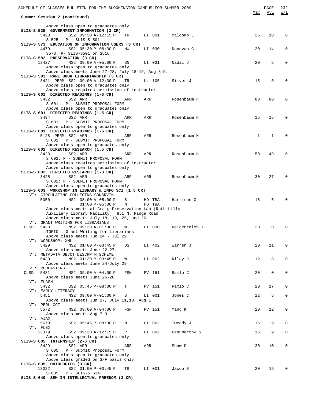|      | SCHEDULE OF CLASSES BULLETIN FOR THE BLOOMINGTON CAMPUS FOR SUMMER 2009                         |     |        |               |              | PAGE         | 232         |
|------|-------------------------------------------------------------------------------------------------|-----|--------|---------------|--------------|--------------|-------------|
|      | Summer Session 2 (continued)                                                                    |     |        |               | Max          | Avl          | W/L         |
|      | Above class open to graduates only                                                              |     |        |               |              |              |             |
|      | SLIS-S 525 GOVERNMENT INFORMATION (3 CR)<br>5423<br>SS2 09:30 A-12:15 P<br>TR                   |     | LI 001 | Malcomb L     | 26           | 10           | 0           |
|      | $S 525 : P - SLIS-S 501$                                                                        |     |        |               |              |              |             |
|      | SLIS-S 573 EDUCATION OF INFORMATION USERS (3 CR)<br>SS2 05:30 P-08:30 P<br>MW<br>4479           |     | LI 030 | Donovan C     | 20           | 14           | 0           |
|      | S573: P- SLIS-S501 or S516                                                                      |     |        |               |              |              |             |
|      | SLIS-S 582 PRESERVATION (3 CR)<br>13427<br>NS2 09:00 A-05:00 P<br>SN                            |     | LI 031 | Nadal J       | 20           | 5            | 0           |
|      | Above class open to graduates only                                                              |     |        |               |              |              |             |
|      | Above class meets June 27-28; July 18-19; Aug 8-9.<br>SLIS-S 583 RARE BOOK LIBRARIANSHIP (3 CR) |     |        |               |              |              |             |
|      | 3421 PERM SS2 09:00 A-12:30 P<br>TR                                                             |     | LL 105 | Silver J      | 15           | 6            | $\Omega$    |
|      | Above class open to graduates only                                                              |     |        |               |              |              |             |
|      | Above class requires permission of instructor<br>SLIS-S 601 DIRECTED READINGS (1-6 CR)          |     |        |               |              |              |             |
|      | 3432<br>SS2 ARR<br>ARR                                                                          | ARR |        | Rosenbaum H   | 80           | 80           | 0           |
|      | S 601 : P - SUBMIT PROPOSAL FORM<br>Above class open to graduates only                          |     |        |               |              |              |             |
|      | SLIS-S 601 DIRECTED READINGS (1.5 CR)                                                           |     |        |               |              |              |             |
|      | 3434<br>SS2 ARR<br>ARR<br>S 601 : P - SUBMIT PROPOSAL FORM                                      | ARR |        | Rosenbaum H   | 15           | 15           | $\Omega$    |
|      | Above class open to graduates only                                                              |     |        |               |              |              |             |
|      | SLIS-S 601 DIRECTED READINGS (1-6 CR)                                                           |     |        |               |              |              | $\Omega$    |
|      | 5128 PERM SS2 ARR<br>ARR<br>S 601 : P - SUBMIT PROPOSAL FORM                                    | ARR |        | Rosenbaum H   | $\mathbf{1}$ | $\mathbf{1}$ |             |
|      | Above class open to graduates only                                                              |     |        |               |              |              |             |
|      | SLIS-S 602 DIRECTED RESEARCH (1.5 CR)<br>3423<br>SS2 ARR<br>ARR                                 | ARR |        | Rosenbaum H   | 50           | 49           | $\Omega$    |
|      | S 602: P - SUBMIT PROPOSAL FORM                                                                 |     |        |               |              |              |             |
|      | Above class requires permission of instructor<br>Above class open to graduates only             |     |        |               |              |              |             |
|      | SLIS-S 602 DIRECTED RESEARCH (1-3 CR)                                                           |     |        |               |              |              |             |
|      | 3425<br>SS2 ARR<br>ARR                                                                          | ARR |        | Rosenbaum H   | 30           | 27           | 0           |
|      | S 602: P - SUBMIT PROPOSAL FORM<br>Above class open to graduates only                           |     |        |               |              |              |             |
|      | SLIS-S 603 WORKSHOP IN LIBRARY & INFO SCI (1.5 CR)                                              |     |        |               |              |              |             |
|      | VT: CIRCULATING COLLECTNS CONSRVTN<br>5050<br>NS2 08:00 A-05:00 P<br>S                          |     | HD TBA | Harrison G    | 15           | 5            | $\Omega$    |
|      | $01:00 P-05:00 P$<br>N                                                                          |     | HD TBA |               |              |              |             |
|      | Above class meets at Craig Preservation Lab (Ruth Lilly                                         |     |        |               |              |              |             |
|      | Auxiliary Library Facility), 851 N. Range Road<br>Above class meets July 18, 19, 25, and 26     |     |        |               |              |              |             |
|      | VT: GRANT WRITING FOR LIBRARIANS                                                                |     |        |               |              |              |             |
| CLSD | 5428<br>NS2 09:30 A-01:00 P<br>W<br>TOPIC: Grant Writing for Librarians                         |     | LI 030 | Heidenreich T | 20           | 0            | 0           |
|      | Above class meets Jun 24 - Jul 29                                                               |     |        |               |              |              |             |
|      | VT: WORKSHOP: XML<br>5429<br>NS2 01:00 P-03:45 P<br>DS                                          |     | LI 402 | Warren J      | 20           | 11           | 0           |
|      | Above class meets June 22-27.                                                                   |     |        |               |              |              |             |
|      | VT: METADATA OBJCT DESCRPTN SCHEME                                                              |     |        |               |              |              |             |
|      | 5430<br>NS2 01:30 P-03:45 P<br>W<br>Above class meets June 24-July 29                           |     | LI 002 | Riley J       | 12           | 8            | 0           |
|      | VT: PODCASTING                                                                                  |     |        |               |              |              |             |
| CLSD | 5431<br>NS2 09:00 A-04:00 P<br>FSN<br>Above class meets June 26-28                              |     | PV 151 | Ramlo C       | 20           | $\mathsf{O}$ | 0           |
|      | VT: FLASH                                                                                       |     |        |               |              |              |             |
|      | 5432<br>SS2 05:45 P-08:30 P<br>Т<br>VT: EARLY LITERACY                                          |     | PV 151 | Ramlo C       | 20           | 17           | 0           |
|      | 5451<br>NS2 09:00 A-01:30 P<br>S                                                                |     | LI 001 | Jones C       | 12           | 5            | $\mathbf 0$ |
|      | Above class meets Jun 27, July 11,18, Aug 1                                                     |     |        |               |              |              |             |
|      | VT: PERL CGI<br>5572<br>NS2 09:00 A-04:00 P<br>FSN                                              |     | PV 151 | Yang K        | 20           | 12           | 0           |
|      | Above class meets Aug 7-9                                                                       |     |        |               |              |              |             |
|      | VT: AJAX<br>5670<br>SS2 05:45 P-08:30 P<br>М                                                    |     | LI 002 | Tweedy J      | 15           | 9            | 0           |
|      | VT: FLEX                                                                                        |     |        |               |              |              |             |
|      | 13379<br>SS2 09:30 A-12:15 P<br>R                                                               |     | LI 002 | Penumarthy S  | 15           | 9            | $\mathbf 0$ |
|      | Above class open to graduates only<br>SLIS-S 605 INTERNSHIP (2-6 CR)                            |     |        |               |              |              |             |
|      | 3429<br>SS2 ARR<br>ARR                                                                          | ARR |        | Shaw D        | 30           | 10           | $\mathbf 0$ |
|      | S 605 : P - Submit Proposal Form<br>Above class open to graduates only                          |     |        |               |              |              |             |
|      | Above class graded on S/F basis only                                                            |     |        |               |              |              |             |
|      | SLIS-S 635 ONTOLOGIES (3 CR)<br>13022                                                           |     |        |               | 20           | 16           | 0           |
|      | SS2 01:00 P-03:45 P<br>TR<br>S 635 : P - SLIS-S 634                                             |     | LI 001 | Jacob E       |              |              |             |
|      | SLIS-S 640 SEM IN INTELLECTUAL FREEDOM (3 CR)                                                   |     |        |               |              |              |             |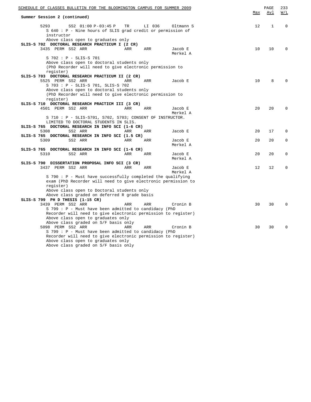| <u>SCHEDULE OF CLASSES BULLETIN FOR THE BLOOMINGTON CAMPUS FOR SUMMER 2009</u>                                         |            |        |                     |     |              | 233         |
|------------------------------------------------------------------------------------------------------------------------|------------|--------|---------------------|-----|--------------|-------------|
| Summer Session 2 (continued)                                                                                           | Max        | Avl    | W/L                 |     |              |             |
| 5293<br>SS2 01:00 P-03:45 P<br>S 640 : P - Nine hours of SLIS grad credit or permission of<br>instructor               | TR         | LI 036 | Oltmann S           | 12  | $\mathbf{1}$ | $\mathbf 0$ |
| Above class open to graduates only                                                                                     |            |        |                     |     |              |             |
| SLIS-S 702 DOCTORAL RESEARCH PRACTICUM I (2 CR)                                                                        |            |        |                     |     |              |             |
| 3435 PERM SS2 ARR                                                                                                      | ARR        | ARR    | Jacob E<br>Merkel A | 10  | 10           | $\Omega$    |
| S 702 : P - SLIS-S 701                                                                                                 |            |        |                     |     |              |             |
| Above class open to doctoral students only                                                                             |            |        |                     |     |              |             |
| (PhD Recorder will need to give electronic permission to                                                               |            |        |                     |     |              |             |
| register)                                                                                                              |            |        |                     |     |              |             |
| SLIS-S 703 DOCTORAL RESEARCH PRACTICUM II (2 CR)<br>5525 PERM SS2 ARR                                                  | <b>ARR</b> | ARR    | Jacob E             | 10  | 8            | O           |
| S 703 : P - SLIS-S 701, SLIS-S 702                                                                                     |            |        |                     |     |              |             |
| Above class open to doctoral students only                                                                             |            |        |                     |     |              |             |
| (PhD Recorder will need to give electronic permission to                                                               |            |        |                     |     |              |             |
| register)                                                                                                              |            |        |                     |     |              |             |
| SLIS-S 710 DOCTORAL RESEARCH PRACTICM III (3 CR)                                                                       |            |        |                     |     |              |             |
| 4501 PERM SS2 ARR                                                                                                      | ARR        | ARR    | Jacob E             | 20  | 20           | $\Omega$    |
|                                                                                                                        |            |        | Merkel A            |     |              |             |
| $S$ 710 : P - SLIS-S701, S702, S703; CONSENT OF INSTRUCTOR.                                                            |            |        |                     |     |              |             |
| LIMITED TO DOCTORAL STUDENTS IN SLIS.                                                                                  |            |        |                     |     |              |             |
| SLIS-S 765 DOCTORAL RESEARCH IN INFO SCI (1-6 CR)                                                                      |            |        |                     |     |              |             |
| 5308<br>SS2 ARR                                                                                                        | ARR        | ARR    | Jacob E             | 20  | 17           | $\Omega$    |
| SLIS-S 765 DOCTORAL RESEARCH IN INFO SCI (1.5 CR)                                                                      |            |        |                     |     |              |             |
| 5309<br>SS2 ARR                                                                                                        | ARR        | ARR    | Jacob E<br>Merkel A | 20  | 20           | 0           |
| SLIS-S 765 DOCTORAL RESEARCH IN INFO SCI (1-6 CR)                                                                      |            |        |                     |     |              |             |
| 5310<br>SS2 ARR                                                                                                        | ARR        | ARR    | Jacob E             | 2.0 | 20           | $\Omega$    |
|                                                                                                                        |            |        | Merkel A            |     |              |             |
| SLIS-S 790 DISSERTATION PROPOSAL INFO SCI (3 CR)                                                                       |            |        |                     |     |              |             |
| 3437 PERM SS2 ARR                                                                                                      | ARR        | ARR    | Jacob E             | 12  | 12           | $\Omega$    |
|                                                                                                                        |            |        | Merkel A            |     |              |             |
| S 790 : P - Must have successfully completed the qualifying                                                            |            |        |                     |     |              |             |
| exam (PhD Recorder will need to give electronic permission to<br>register)                                             |            |        |                     |     |              |             |
| Above class open to Doctoral students only                                                                             |            |        |                     |     |              |             |
| Above class graded on deferred R grade basis                                                                           |            |        |                     |     |              |             |
| SLIS-S 799 PH D THESIS (1-15 CR)                                                                                       |            |        |                     |     |              |             |
| 3439 PERM SS2 ARR                                                                                                      | ARR        | ARR    | Cronin B            | 30  | 30           | $\Omega$    |
| S 799 : P - Must have been admitted to candidacy (PhD                                                                  |            |        |                     |     |              |             |
| Recorder will need to give electronic permission to register)                                                          |            |        |                     |     |              |             |
| Above class open to graduates only                                                                                     |            |        |                     |     |              |             |
| Above class graded on S/F basis only                                                                                   |            |        |                     |     |              |             |
| 5098 PERM SS2 ARR                                                                                                      | ARR        | ARR    | Cronin B            | 30  | 30           | $\Omega$    |
| S 799 : P - Must have been admitted to candidacy (PhD<br>Recorder will need to give electronic permission to register) |            |        |                     |     |              |             |
| Above class open to graduates only                                                                                     |            |        |                     |     |              |             |
| Above class graded on S/F basis only                                                                                   |            |        |                     |     |              |             |
|                                                                                                                        |            |        |                     |     |              |             |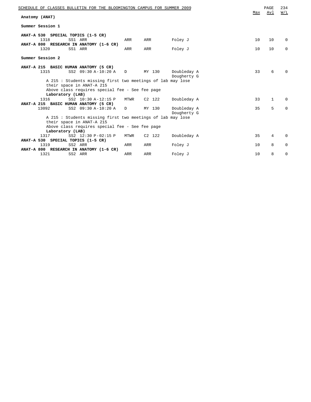|                   |                  | SCHEDULE OF CLASSES BULLETIN FOR THE BLOOMINGTON CAMPUS FOR SUMMER 2009 |      |          |                            | Max | PAGE<br>Avl | 234<br>W/L  |
|-------------------|------------------|-------------------------------------------------------------------------|------|----------|----------------------------|-----|-------------|-------------|
| Anatomy (ANAT)    |                  |                                                                         |      |          |                            |     |             |             |
|                   | Summer Session 1 |                                                                         |      |          |                            |     |             |             |
|                   |                  | ANAT-A 530 SPECIAL TOPICS (1-5 CR)                                      |      |          |                            |     |             |             |
|                   | 1318             | SS1 ARR<br>ANAT-A 800 RESEARCH IN ANATOMY (1-6 CR)                      | ARR  | ARR      | Foley J                    | 10  | 10          | 0           |
|                   | 1320             | SS1 ARR                                                                 | ARR  | ARR      | Foley J                    | 10  | 10          | $\mathbf 0$ |
|                   | Summer Session 2 |                                                                         |      |          |                            |     |             |             |
|                   |                  | ANAT-A 215 BASIC HUMAN ANATOMY (5 CR)                                   |      |          |                            |     |             |             |
|                   | 1315             | SS2 09:30 A-10:20 A                                                     | D    | MY 130   | Doubleday A<br>Dougherty G | 33  | 6           | $\Omega$    |
|                   |                  | A 215: Students missing first two meetings of lab may lose              |      |          |                            |     |             |             |
|                   |                  | their space in ANAT-A 215                                               |      |          |                            |     |             |             |
|                   |                  | Above class requires special fee - See fee page                         |      |          |                            |     |             |             |
|                   | Laboratory (LAB) |                                                                         |      |          |                            |     |             |             |
|                   | 1316             | SS2 10:30 A-12:15 P                                                     | MTWR | C2 122   | Doubleday A                | 33  | 1           | 0           |
|                   | 13092            | ANAT-A 215 BASIC HUMAN ANATOMY (5 CR)<br>SS2 09:30 A-10:20 A            | D    | MY 130   | Doubleday A                | 35  | 5           | $\mathbf 0$ |
|                   |                  |                                                                         |      |          | Dougherty G                |     |             |             |
|                   |                  | A 215 : Students missing first two meetings of lab may lose             |      |          |                            |     |             |             |
|                   |                  | their space in ANAT-A 215                                               |      |          |                            |     |             |             |
|                   | Laboratory (LAB) | Above class requires special fee - See fee page                         |      |          |                            |     |             |             |
|                   | 1317             | SS2 12:30 P-02:15 P                                                     | MTWR | $C2$ 122 | Doubleday A                | 35  | 4           | $\Omega$    |
|                   |                  | ANAT-A 530 SPECIAL TOPICS (1-5 CR)                                      |      |          |                            |     |             |             |
|                   | 1319             | SS2 ARR                                                                 | ARR  | ARR      | Foley J                    | 10  | 8           | 0           |
| <b>ANAT-A 800</b> |                  | RESEARCH IN ANATOMY (1-6 CR)                                            |      |          |                            |     |             |             |
|                   | 1321             | SS2 ARR                                                                 | ARR  | ARR      | Foley J                    | 10  | 8           | 0           |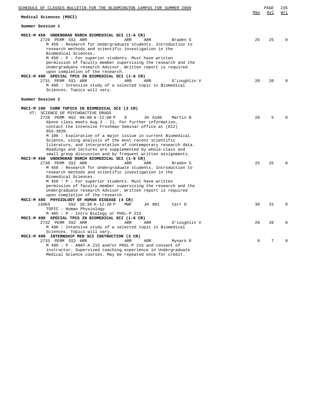| SCHEDULE OF CLASSES BULLETIN FOR THE BLOOMINGTON CAMPUS FOR SUMMER 2009                                                                                                                                                                                                                                                                                                                                                                                                                                                                                                                                                                                                                                |     | PAGE | 235      |
|--------------------------------------------------------------------------------------------------------------------------------------------------------------------------------------------------------------------------------------------------------------------------------------------------------------------------------------------------------------------------------------------------------------------------------------------------------------------------------------------------------------------------------------------------------------------------------------------------------------------------------------------------------------------------------------------------------|-----|------|----------|
| Medical Sciences (MSCI)                                                                                                                                                                                                                                                                                                                                                                                                                                                                                                                                                                                                                                                                                | Max | Avl  | W/L      |
| Summer Session 1                                                                                                                                                                                                                                                                                                                                                                                                                                                                                                                                                                                                                                                                                       |     |      |          |
| MSCI-M 450 UNDERGRAD RSRCH BIOMEDICAL SCI (1-6 CR)<br>2729 PERM SS1 ARR<br>ARR<br>ARR<br>Braden S<br>M 450 : Research for Undergraduate students. Introduction to<br>research methods and scientific investigation in the<br>Biomedical Sciences.<br>M 450 : P - For superior students. Must have written                                                                                                                                                                                                                                                                                                                                                                                              | 25  | 25   | $\Omega$ |
| permission of faculty member supervising the research and the<br>Undergraduate research Advisor. Written report is required<br>upon completion of the research.<br>MSCI-M 490 SPECIAL TPCS IN BIOMEDICAL SCI (1-6 CR)<br>2731 PERM SS1 ARR<br>ARR<br>ARR<br>O'Loughlin V<br>M 490 : Intensive study of a selected topic in Biomedical<br>Sciences. Topics will vary.                                                                                                                                                                                                                                                                                                                                   | 20  | 20   | $\Omega$ |
| Summer Session 2                                                                                                                                                                                                                                                                                                                                                                                                                                                                                                                                                                                                                                                                                       |     |      |          |
| MSCI-M 100 CURR TOPICS IN BIOMEDICAL SCI (3 CR)<br>VT: SCIENCE OF PSYCHOACTIVE DRUGS<br>2728 PERM NS2 09:00 A-12:00 P<br>D<br>JH A106<br>Martin B<br>Above class meets Aug $3 - 21$ . For further information,<br>contact the Intensive Freshman Seminar office at (812)<br>$855 - 3839.$                                                                                                                                                                                                                                                                                                                                                                                                              | 20  | 5    |          |
| M 100 : Exploration of a major issiue in current Biomedical<br>Science, using analysis of the most recent scientific<br>literature, and interpretation of contemporary research data.<br>Readings and lectures are supplemented by whole-class and<br>small group discussion and by frequent written assignments.<br>MSCI-M 450 UNDERGRAD RSRCH BIOMEDICAL SCI (1-6 CR)<br>2730 PERM SS2 ARR<br><b>ARR</b><br>ARR<br>Braden S<br>M 450 : Research for Undergraduate students. Introduction to<br>research methods and scientific investigation in the<br>Biomedical Sciences.<br>M 450 : P - For superior students. Must have written<br>permission of faculty member supervising the research and the | 25  | 25   | $\cap$   |
| Undergraduate research Advisor. Written report is required<br>upon completion of the research.                                                                                                                                                                                                                                                                                                                                                                                                                                                                                                                                                                                                         |     |      |          |
| MSCI-M 485 PHYSIOLOGY OF HUMAN DISEASE (4 CR)<br>SS2 10:30 A-12:20 P<br>13064<br>MWF<br>JH 001<br>Carr D<br>TOPIC: Human Physiology                                                                                                                                                                                                                                                                                                                                                                                                                                                                                                                                                                    | 30  | 2.2  | $\Omega$ |
| M 485 : P - Intro Biology or PHSL-P 215<br>MSCI-M 490 SPECIAL TPCS IN BIOMEDICAL SCI (1-6 CR)<br>2732 PERM SS2 ARR<br>ARR<br>ARR<br>O'Loughlin V<br>M 490 : Intensive study of a selected topic in Biomedical                                                                                                                                                                                                                                                                                                                                                                                                                                                                                          | 20  | 20   | $\Omega$ |
| Sciences. Topics will vary.<br>MSCI-M 499 INTERNSHIP MED SCI INSTRUCTION (3 CR)<br>2733 PERM SS2 ARR<br>ARR<br>ARR<br>Mynark R<br>M 499 : P - ANAT-A 215 and/or PHSL-P 215 and consent of<br>instructor. Supervised teaching experience in Undergraduate<br>Medical Science courses. May be repeated once for credit.                                                                                                                                                                                                                                                                                                                                                                                  | 8   | 7    | $\Omega$ |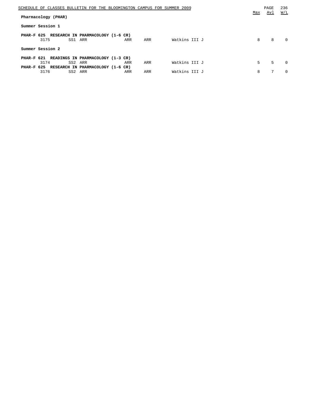| SCHEDULE OF CLASSES BULLETIN FOR THE BLOOMINGTON CAMPUS FOR SUMMER 2009                                                                        |            | PAGE       | 236<br>W/L |
|------------------------------------------------------------------------------------------------------------------------------------------------|------------|------------|------------|
| Pharmacology (PHAR)                                                                                                                            | <u>Max</u> | <u>Avl</u> |            |
| Summer Session 1                                                                                                                               |            |            |            |
| PHAR-F 625 RESEARCH IN PHARMACOLOGY (1-6 CR)<br>Watkins III J<br>SS1 ARR<br>3175<br>ARR<br>ARR                                                 | 8          | 8          | $\Omega$   |
| Summer Session 2                                                                                                                               |            |            |            |
| PHAR-F 621 READINGS IN PHARMACOLOGY (1-3 CR)<br>Watkins III J<br>SS2 ARR<br>3174<br>ARR<br>ARR<br>PHAR-F 625 RESEARCH IN PHARMACOLOGY (1-6 CR) | 5          | .5         | $\Omega$   |
| Watkins III J<br>3176<br>SS2 ARR<br>ARR<br><b>ARR</b>                                                                                          | 8          | 7          | $\Omega$   |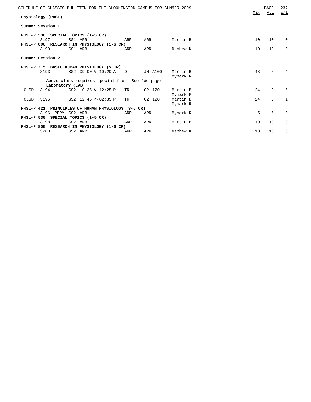|                  |                   |         | SCHEDULE OF CLASSES BULLETIN FOR THE BLOOMINGTON CAMPUS FOR SUMMER 2009 |           |          |          |     | PAGE        | 237          |
|------------------|-------------------|---------|-------------------------------------------------------------------------|-----------|----------|----------|-----|-------------|--------------|
|                  | Physiology (PHSL) |         |                                                                         |           |          |          | Max | Avl         | W/L          |
| Summer Session 1 |                   |         |                                                                         |           |          |          |     |             |              |
|                  |                   |         |                                                                         |           |          |          |     |             |              |
|                  |                   |         | PHSL-P 530 SPECIAL TOPICS (1-5 CR)                                      |           |          |          |     |             |              |
|                  | 3197              | SS1 ARR |                                                                         | ARR       | ARR      | Martin B | 10  | 10          | $\mathbf 0$  |
|                  |                   |         | PHSL-P 800 RESEARCH IN PHYSIOLOGY (1-6 CR)                              |           |          |          |     |             |              |
|                  | 3199              | SS1 ARR |                                                                         | ARR       | ARR      | Nephew K | 10  | 10          | $\mathbf 0$  |
| Summer Session 2 |                   |         |                                                                         |           |          |          |     |             |              |
|                  |                   |         |                                                                         |           |          |          |     |             |              |
|                  |                   |         | PHSL-P 215 BASIC HUMAN PHYSIOLOGY (5 CR)                                |           |          |          |     |             |              |
|                  | 3193              |         | SS2 09:00 A-10:20 A D                                                   |           | JH A100  | Martin B | 48  | 6           | 4            |
|                  |                   |         |                                                                         |           |          | Mynark R |     |             |              |
|                  |                   |         | Above class requires special fee - See fee page                         |           |          |          |     |             |              |
|                  | Laboratory (LAB)  |         |                                                                         |           |          |          |     |             |              |
| CLSD             | 3194              |         | SS2 10:35 A-12:25 P                                                     | TR        | $C2$ 120 | Martin B | 24  | $\mathbf 0$ | 5            |
|                  |                   |         |                                                                         |           |          | Mynark R |     |             |              |
| CLSD             | 3195              |         | SS2 12:45 P-02:35 P                                                     | <b>TR</b> | $C2$ 120 | Martin B | 24  | $\mathbf 0$ | $\mathbf{1}$ |
|                  |                   |         |                                                                         |           |          | Mynark R |     |             |              |
|                  |                   |         | PHSL-P 421 PRINCIPLES OF HUMAN PHYSIOLOGY (3-5 CR)                      |           |          |          |     |             |              |
|                  | 3196 PERM SS2 ARR |         |                                                                         | ARR       | ARR      | Mynark R | 5   | 5           | $\mathbf 0$  |
|                  |                   |         | PHSL-P 530 SPECIAL TOPICS (1-5 CR)                                      |           |          |          |     |             |              |
|                  | 3198              | SS2 ARR |                                                                         | ARR       | ARR      | Martin B | 10  | 10          | $\mathbf 0$  |
|                  |                   |         | PHSL-P 800 RESEARCH IN PHYSIOLOGY (1-6 CR)                              |           |          |          |     |             |              |
|                  | 3200              | SS2 ARR |                                                                         | ARR       | ARR      | Nephew K | 10  | 10          | $\mathbf 0$  |
|                  |                   |         |                                                                         |           |          |          |     |             |              |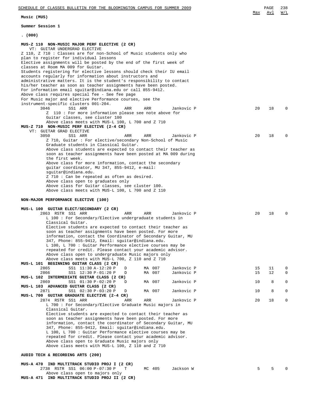Above class open to majors only **MUS-A 471 IND MULTITRACK STUDIO PROJ II (2 CR)**

**Music (MUS)**

**Summer Session 1**

**. (000)**

| MUS-Z 110 NON-MUSIC MAJOR PERF ELECTIVE (2 CR)                                                                                    |          |          |          |
|-----------------------------------------------------------------------------------------------------------------------------------|----------|----------|----------|
| VT: GUITAR UNDERGRAD ELECTIVE<br>Z 110, Z 710 : Classes are for non-School of Music students only who                             |          |          |          |
| plan to register for individual lessons<br>Elective assignments will be posted by the end of the first week of                    |          |          |          |
| classes at Room MA 009 for Guitar.                                                                                                |          |          |          |
| Students registering for elective lessons should check their IU email<br>accounts regularly for information about instructors and |          |          |          |
| administrative matters. It is the student's responsibility to contact                                                             |          |          |          |
| his/her teacher as soon as teacher assignments have been posted.<br>For information email sguitar@indiana.edu or call 855-9412.   |          |          |          |
| Above class requires special fee - See fee page<br>For Music major and elective Performance courses, see the                      |          |          |          |
| instrument-specific clusters 001-204.                                                                                             |          |          |          |
| 3046<br>Jankovic P<br>SS1 ARR<br>ARR<br>ARR<br>Z 110: For more information please see note above for                              | 20       | 18       | O        |
| Guitar classes, see cluster 100                                                                                                   |          |          |          |
| Above class meets with MUS-L 100, L 700 and Z 710<br>MUS-Z 710 NON-MUSIC PERF ELECTIVE (2-4 CR)                                   |          |          |          |
| VT: GUITAR GRAD ELECTIVE                                                                                                          | 20       |          |          |
| 3050<br>SS1 ARR<br>ARR<br>ARR<br>Jankovic P<br>Z 710, Guitar: For elective/secondary Non-School of Music                          |          | 18       |          |
| Graduate students in Classical Guitar.<br>Above class students are expected to contact their teacher as                           |          |          |          |
| soon as teacher assignments have been posted at MA 009 during                                                                     |          |          |          |
| the first week.<br>Above class for more information, contact the secondary                                                        |          |          |          |
| guitar coordinator, MU 347, 855-9412, e-mail:                                                                                     |          |          |          |
| squitar@indiana.edu.<br>Z 710 : Can be repeated as often as desired.                                                              |          |          |          |
| Above class open to graduates only                                                                                                |          |          |          |
| Above class for Guitar classes, see cluster 100.<br>Above class meets with MUS-L 100, L 700 and Z 110                             |          |          |          |
| NON-MAJOR PERFORMANCE ELECTIVE (100)                                                                                              |          |          |          |
| MUS-L 100 GUITAR ELECT/SECONDARY (2 CR)                                                                                           |          |          |          |
| 2863 RSTR SS1 ARR<br>ARR<br>ARR<br>Jankovic P                                                                                     | 20       | 18       | U        |
| $L$ 100 : For Secondary/Elective undergraduate students in<br>Classical Guitar.                                                   |          |          |          |
| Elective students are expected to contact their teacher as                                                                        |          |          |          |
| soon as teacher assignments have been posted. For more<br>information, contact the Coordinator of Secondary Guitar, MU            |          |          |          |
| 347, Phone: 855-9412, Email: sguitar@indiana.edu.<br>L 100, L 700 : Guitar Performance elective courses may be                    |          |          |          |
| repeated for credit. Please contact your academic advisor.                                                                        |          |          |          |
| Above class open to undergraduate Music majors only<br>Above class meets with MUS-L 700, Z 110 and Z 710                          |          |          |          |
| MUS-L 101 BEGINNING GUITAR CLASS (2 CR)                                                                                           |          |          |          |
| SS1 11:30 A-12:20 P<br>D<br>MA 007<br>Jankovic P<br>2865<br>MA 007<br>Jankovic P<br>2866<br>SS1 12:30 P-01:20 P<br>D              | 15<br>15 | 11<br>12 | 0<br>0   |
| MUS-L 102 INTERMEDIATE GUITAR CLASS (2 CR)                                                                                        |          |          |          |
| 2869<br>SS1 01:30 P-02:20 P<br>MA 007<br>Jankovic P<br>D<br>MUS-L 103 ADVANCED GUITAR CLASS (2 CR)                                | 10       | 8        | $\Omega$ |
| SS1 02:30 P-03:20 P<br>MA 007<br>Jankovic P<br>2871<br>D<br>MUS-L 700 GUITAR GRADUATE ELECTIVE (2-4 CR)                           | 10       | 8        | 0        |
| 2874 RSTR SS1 ARR<br>Jankovic P<br>ARR<br>ARR                                                                                     | 20       | 18       | 0        |
| L 700: For Secondary/Elective Graduate Music majors in<br>Classical Guitar.                                                       |          |          |          |
| Elective students are expected to contact their teacher as                                                                        |          |          |          |
| soon as teacher assignments have been posted. For more<br>information, contact the coordinator of Secondary Guitar, MU            |          |          |          |
| 347, Phone: 855-9412, Email: squitar@indiana.edu.                                                                                 |          |          |          |
| L 100, L 700 : Guitar Performance elective courses may be                                                                         |          |          |          |
| repeated for credit. Please contact your academic advisor.                                                                        |          |          |          |
| Above class open to Graduate Music majors only                                                                                    |          |          |          |
| Above class meets with MUS-L 100, Z 110 and Z 710                                                                                 |          |          |          |
| AUDIO TECH & RECORDING ARTS (200)                                                                                                 |          |          |          |
| MUS-A 470 IND MULTITRACK STUDIO PROJ I (2 CR)<br>2738 RSTR SS1 06:00 P-07:30 P<br>Jackson W<br>MC 405<br>Т                        | 5        | 5        |          |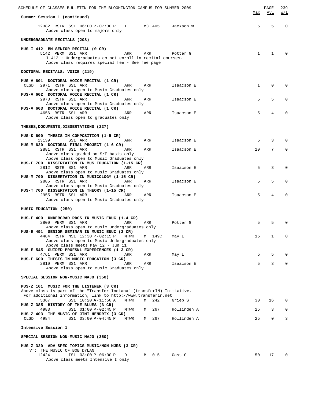| SCHEDULE OF CLASSES BULLETIN FOR THE BLOOMINGTON CAMPUS FOR SUMMER 2009                                                                                                                          |              | PAGE         | 239                                           |
|--------------------------------------------------------------------------------------------------------------------------------------------------------------------------------------------------|--------------|--------------|-----------------------------------------------|
| Summer Session 1 (continued)                                                                                                                                                                     | Max          | <u>Avl</u>   | $\overline{\text{W}}$ / $\overline{\text{L}}$ |
| 12382 RSTR SS1 06:00 P-07:30 P T<br>MC 405<br>Jackson W<br>Above class open to majors only                                                                                                       | 5            | 5            | $\mathbf 0$                                   |
| UNDERGRADUATE RECITALS (208)                                                                                                                                                                     |              |              |                                               |
| MUS-I 412 BM SENIOR RECITAL (0 CR)<br>5142 PERM SS1 ARR<br>ARR<br>ARR<br>Potter G<br>I 412 : Undergraduates do not enroll in recital courses.<br>Above class requires special fee - See fee page | 1            | $\mathbf{1}$ | $\Omega$                                      |
| DOCTORAL RECITALS: VOICE (219)                                                                                                                                                                   |              |              |                                               |
| MUS-V 601 DOCTORAL VOICE RECITAL (1 CR)<br>2971 RSTR SS1 ARR<br>CLSD<br>Isaacson E<br>ARR<br>ARR<br>Above class open to Music Graduates only                                                     | $\mathbf{1}$ | 0            | $\Omega$                                      |
| MUS-V 602 DOCTORAL VOICE RECITAL (1 CR)<br>2973 RSTR SS1 ARR<br>ARR<br>ARR<br>Isaacson E                                                                                                         | 5            | 5            | $\Omega$                                      |
| Above class open to Music Graduates only<br>MUS-V 603 DOCTORAL VOICE RECITAL (1 CR)<br>4656 RSTR SS1 ARR<br>ARR<br>ARR<br>Isaacson E                                                             | 5            | 4            | 0                                             |
| Above class open to graduates only                                                                                                                                                               |              |              |                                               |
| THESES, DOCUMENTS, DISSERTATIONS (227)                                                                                                                                                           |              |              |                                               |
| MUS-K 600 THESIS IN COMPOSITION (1-5 CR)<br>13139<br>SS1 ARR<br>ARR<br>ARR<br>Isaacson E                                                                                                         | 5            | 3            | $\Omega$                                      |
| MUS-M 620 DOCTORAL FINAL PROJECT (1-6 CR)<br>2881 RSTR SS1 ARR<br>ARR<br>Isaacson E<br>ARR<br>Above class graded on S/F basis only                                                               | 10           | 7            | $\mathbf{0}$                                  |
| Above class open to Music Graduates only<br>MUS-E 700 DISSERTATION IN MUS EDUCATION (1-15 CR)<br>2812 RSTR SS1 ARR<br>ARR<br>ARR<br>Isaacson E                                                   | 5            | 3            | 0                                             |
| Above class open to Music Graduates only<br>MUS-M 700 DISSERTATION IN MUSICOLOGY (1-15 CR)                                                                                                       |              |              |                                               |
| 2885 RSTR SS1 ARR<br>ARR<br>ARR<br>Isaacson E<br>Above class open to Music Graduates only                                                                                                        | 5            | 5            | $\Omega$                                      |
| MUS-T 700 DISSERTATION IN THEORY (1-15 CR)<br>2955 RSTR SS1 ARR<br>ARR<br>ARR<br>Isaacson E<br>Above class open to Music Graduates only                                                          | 5            | 4            | 0                                             |
| MUSIC EDUCATION (250)                                                                                                                                                                            |              |              |                                               |
| MUS-E 400 UNDERGRAD RDGS IN MUSIC EDUC (1-4 CR)<br>2800 PERM SS1 ARR<br>ARR<br>ARR<br>Potter G<br>Above class open to Music Undergraduates only                                                  | 5            | 5            | $\Omega$                                      |
| MUS-E 491 SENIOR SEMINAR IN MUSIC EDUC (3 CR)<br>4484 RSTR NS1 12:30 P-02:15 P MTWR<br>M 149C<br>May L<br>Above class open to Music Undergraduates only                                          | 15           | 1            | $\mathbf{0}$                                  |
| Above class meets May 12 - Jun 11<br>MUS-E 545 GUIDED PROFSNL EXPERIENCES (1-3 CR)                                                                                                               |              |              |                                               |
| 4761 PERM SS1 ARR<br>May L<br>ARR<br>ARR<br>MUS-E 600 THESIS IN MUSIC EDUCATION (3 CR)                                                                                                           | 5            | 5            | $\mathbf{0}$                                  |
| 2810 PERM SS1 ARR<br>ARR<br>Isaacson E<br>ARR<br>Above class open to Music Graduates only                                                                                                        | 5            | 3            | $\mathbf{0}$                                  |
| SPECIAL SESSION NON-MUSIC MAJO (350)                                                                                                                                                             |              |              |                                               |
| MUS-Z 101 MUSIC FOR THE LISTENER (3 CR)                                                                                                                                                          |              |              |                                               |
| Above class is part of the "Transfer Indiana" (transferIN) Initiative.<br>For additional information, link to http://www.transferin.net                                                          |              |              |                                               |
| SS1 10:20 A-11:50 A<br>242<br>Grieb S<br>5367<br>MTWR<br>M<br>MUS-Z 385 HISTORY OF THE BLUES (3 CR)                                                                                              | 30           | 16           | 0                                             |
| 4983<br>SS1 01:00 P-02:45 P<br>267<br>Hollinden A<br>MTWR<br>M<br>MUS-Z 403 THE MUSIC OF JIMI HENDRIX (3 CR)<br>SS1 03:00 P-04:45 P<br>267<br>CLSD<br>4984<br>MTWR<br>Hollinden A<br>M           | 25<br>25     | 3<br>0       | $\mathbf{0}$<br>3                             |
| Intensive Session 1                                                                                                                                                                              |              |              |                                               |
| SPECIAL SESSION NON-MUSIC MAJO (350)                                                                                                                                                             |              |              |                                               |
| MUS-Z 320 ADV SPEC TOPICS MUSIC/NON-MJRS (3 CR)                                                                                                                                                  |              |              |                                               |
| VT: THE MUSIC OF BOB DYLAN<br>IS1 03:00 P-06:00 P<br>12424<br>M 015<br>Gass G<br>D<br>Above class meets Intensive I only                                                                         | 50           | 17           | $\mathbf 0$                                   |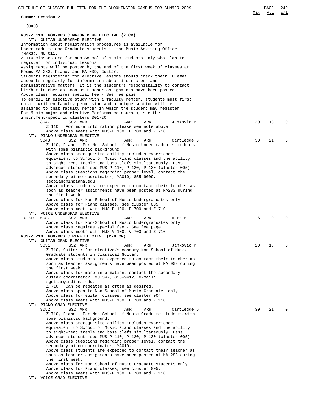**Summer Session 2**

| (000)                                                                                                                                                                                                         |    |    |          |
|---------------------------------------------------------------------------------------------------------------------------------------------------------------------------------------------------------------|----|----|----------|
| MUS-Z 110 NON-MUSIC MAJOR PERF ELECTIVE (2 CR)<br>VT: GUITAR UNDERGRAD ELECTIVE                                                                                                                               |    |    |          |
| Information about registration procedures is available for<br>Undergraduate and Graduate students in the Music Advising Office<br>(MARS), MU 011.                                                             |    |    |          |
| Z 110 classes are for non-School of Music students only who plan to<br>register for individual lessons                                                                                                        |    |    |          |
| Assignments will be posted by the end of the first week of classes at<br>Rooms MA 283, Piano, and MA 009, Guitar.                                                                                             |    |    |          |
| Students registering for elective lessons should check their IU email                                                                                                                                         |    |    |          |
| accounts regularly for information about instructors and<br>administrative matters. It is the student's responsibility to contact                                                                             |    |    |          |
| his/her teacher as soon as teacher assignments have been posted.<br>Above class requires special fee - See fee page                                                                                           |    |    |          |
| To enroll in elective study with a faculty member, students must first<br>obtain written faculty permission and a unique section will be<br>assigned to that faculty member in which the student may register |    |    |          |
| For Music major and elective Performance courses, see the                                                                                                                                                     |    |    |          |
| instrument-specific clusters 001-204<br>3047<br>SS2 ARR<br>ARR<br>ARR<br>Jankovic P                                                                                                                           | 20 | 18 | $\Omega$ |
| Z 110 : For more intormation please see note above<br>Above class meets with MUS-L 100, L 700 and Z 710<br>VT: PIANO UNDERGRAD ELECTIVE                                                                       |    |    |          |
| 3048<br>SS2 ARR<br>ARR<br>ARR<br>Cartledge D<br>Z 110, Piano: For Non-School of Music Undergraduate students                                                                                                  | 30 | 21 | $\Omega$ |
| with some pianistic background                                                                                                                                                                                |    |    |          |
| Above class prerequisite ability includes experience<br>equivalent to School of Music Piano classes and the ability                                                                                           |    |    |          |
| to sight-read treble and bass clefs simultaneously. Less<br>advanced students see MUS-P 110, P 120, P 130 (cluster 005).                                                                                      |    |    |          |
| Above class questions regarding proper level, contact the                                                                                                                                                     |    |    |          |
| secondary piano coordinator, MA010, 855-9009,<br>secpiano@indiana.edu                                                                                                                                         |    |    |          |
| Above class students are expected to contact their teacher as                                                                                                                                                 |    |    |          |
| soon as teacher assignments have been posted at MA283 during<br>the first week                                                                                                                                |    |    |          |
| Above class for Non-School of Music Undergraduates only                                                                                                                                                       |    |    |          |
| Above class for Piano classes, see cluster 005<br>Above class meets with MUS-P 100, P 700 and Z 710                                                                                                           |    |    |          |
| VT: VOICE UNDERGRAD ELECTIVE                                                                                                                                                                                  |    |    | U        |
| 5087<br>CLSD<br>SS2 ARR<br>ARR<br>ARR<br>Hart M<br>Above class for Non-School of Music Undergraduates only                                                                                                    | 6  | 0  |          |
| Above class requires special fee - See fee page                                                                                                                                                               |    |    |          |
| Above class meets with MUS-V 100, V 700 and Z 710<br>MUS-Z 710 NON-MUSIC PERF ELECTIVE (2-4 CR)                                                                                                               |    |    |          |
| VT: GUITAR GRAD ELECTIVE<br>3051<br>SS2 ARR<br>ARR<br>Jankovic P<br>ARR                                                                                                                                       | 20 | 18 | 0        |
| Z 710, Guitar: For elective/secondary Non-School of Music                                                                                                                                                     |    |    |          |
| Graduate students in Classical Guitar.<br>Above class students are expected to contact their teacher as                                                                                                       |    |    |          |
| soon as teacher assignments have been posted at MA 009 during                                                                                                                                                 |    |    |          |
| the first week.<br>Above class for more information, contact the secondary                                                                                                                                    |    |    |          |
| guitar coordinator, MU 347, 855-9412, e-mail:                                                                                                                                                                 |    |    |          |
| squitar@indiana.edu.<br>Z 710 : Can be repeated as often as desired.                                                                                                                                          |    |    |          |
| Above class open to Non-School of Music Graduates only                                                                                                                                                        |    |    |          |
| Above class for Guitar classes, see cluster 004.<br>Above class meets with MUS-L 100, L 700 and Z 110                                                                                                         |    |    |          |
| VT: PIANO GRAD ELECTIVE                                                                                                                                                                                       |    |    |          |
| 3052<br>SS2 ARR<br>ARR<br>Cartledge D<br>ARR<br>Z 710, Piano : For Non-School of Music Graduate students with                                                                                                 | 30 | 21 |          |
| some pianistic background.                                                                                                                                                                                    |    |    |          |
| Above class prerequisite ability includes experience<br>equivalent to School of Music Piano classes and the ability                                                                                           |    |    |          |
| to sight-read treble and bass clefs simultaneously. Less                                                                                                                                                      |    |    |          |
| advanced students see MUS-P 110, P 120, P 130 (cluster 005).<br>Above class questions regarding proper level, contact the                                                                                     |    |    |          |
| secondary piano coordinator, MA010.                                                                                                                                                                           |    |    |          |
| Above class students are expected to contact their teacher as<br>soon as teacher assignments have been posted at MA 283 during                                                                                |    |    |          |
| the first week.                                                                                                                                                                                               |    |    |          |
| Above class for Non-School of Music Graduate students only<br>Above class for Piano classes, see cluster 005.                                                                                                 |    |    |          |
| Above class meets with MUS-P 100, P 700 and Z 110<br>VT: VOICE GRAD ELECTIVE                                                                                                                                  |    |    |          |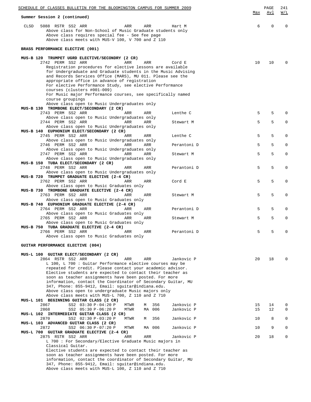| SCHEDULE OF CLASSES BULLETIN FOR THE BLOOMINGTON CAMPUS FOR SUMMER 2009<br>Summer Session 2 (continued)                                                                                                                                                                                                                                                                                                                                                                      | Max | PAGE<br>Avl | 241<br>W/L   |
|------------------------------------------------------------------------------------------------------------------------------------------------------------------------------------------------------------------------------------------------------------------------------------------------------------------------------------------------------------------------------------------------------------------------------------------------------------------------------|-----|-------------|--------------|
| 5088 RSTR SS2 ARR<br>CLSD<br>ARR<br>ARR<br>Hart M<br>Above class for Non-School of Music Graduate students only<br>Above class requires special fee - See fee page<br>Above class meets with MUS-V 100, V 700 and Z 110                                                                                                                                                                                                                                                      | 6   | $\mathbf 0$ | $\Omega$     |
| BRASS PERFORMANCE ELECTIVE (001)                                                                                                                                                                                                                                                                                                                                                                                                                                             |     |             |              |
| MUS-B 120 TRUMPET UGRD ELECTIVE/SECONDRY (2 CR)<br>2742 PERM SS2 ARR<br>ARR<br>ARR<br>Cord E<br>Registration procedures for elective lessons are available<br>for Undergraduate and Graduate students in the Music Advising<br>and Records Services Office (MARS), MU 011. Please see the<br>appropriate office in advance of registration<br>For elective Performance Study, see elective Performance                                                                       | 10  | 10          | <sup>0</sup> |
| courses (clusters #001-009)<br>For Music major Performance courses, see specifically named                                                                                                                                                                                                                                                                                                                                                                                   |     |             |              |
| course groupings<br>Above class open to Music Undergraduates only                                                                                                                                                                                                                                                                                                                                                                                                            |     |             |              |
| MUS-B 130 TROMBONE ELECT/SECONDARY (2 CR)<br>2743 PERM SS2 ARR<br>Lenthe C<br>ARR<br>ARR                                                                                                                                                                                                                                                                                                                                                                                     | 5   | 5           | 0            |
| Above class open to Music Undergraduates only                                                                                                                                                                                                                                                                                                                                                                                                                                |     |             |              |
| 2744 PERM SS2 ARR<br>ARR<br>ARR<br>Stewart M<br>Above class open to Music Undergraduates only                                                                                                                                                                                                                                                                                                                                                                                | 5   | 5           | 0            |
| MUS-B 140 EUPHONIUM ELECT/SECONDARY (2 CR)<br>2745 PERM SS2 ARR<br>Lenthe C<br>ARR<br>ARR                                                                                                                                                                                                                                                                                                                                                                                    | 5   | 5           | 0            |
| Above class open to Music Undergraduates only                                                                                                                                                                                                                                                                                                                                                                                                                                |     |             |              |
| 2746 PERM SS2 ARR<br>ARR<br>ARR<br>Perantoni D<br>Above class open to Music Undergraduates only                                                                                                                                                                                                                                                                                                                                                                              | 5   | 5           | 0            |
| 2747 PERM SS2 ARR<br>ARR<br>ARR<br>Stewart M                                                                                                                                                                                                                                                                                                                                                                                                                                 | 5   | 5           | 0            |
| Above class open to Music Undergraduates only<br>MUS-B 150 TUBA ELECT/SECONDARY (2 CR)                                                                                                                                                                                                                                                                                                                                                                                       |     |             |              |
| 2748 PERM SS2 ARR<br>ARR<br>Perantoni D<br>ARR                                                                                                                                                                                                                                                                                                                                                                                                                               | 5   | 5           | 0            |
| Above class open to Music Undergraduates only<br>MUS-B 720 TRUMPET GRADUATE ELECTIVE (2-4 CR)                                                                                                                                                                                                                                                                                                                                                                                |     |             |              |
| 2762 PERM SS2 ARR<br>ARR<br>ARR<br>Cord E<br>Above class open to Music Graduates only                                                                                                                                                                                                                                                                                                                                                                                        | 5   | 5           | 0            |
| MUS-B 730 TROMBONE GRADUATE ELECTIVE (2-4 CR)                                                                                                                                                                                                                                                                                                                                                                                                                                |     |             |              |
| 2763 PERM SS2 ARR<br>ARR<br>ARR<br>Stewart M<br>Above class open to Music Graduates only                                                                                                                                                                                                                                                                                                                                                                                     | 5   | 5           | 0            |
| MUS-B 740 EUPHONIUM GRADUATE ELECTIVE (2-4 CR)                                                                                                                                                                                                                                                                                                                                                                                                                               |     |             |              |
| 2764 PERM SS2 ARR<br>ARR<br>ARR<br>Perantoni D<br>Above class open to Music Graduates only                                                                                                                                                                                                                                                                                                                                                                                   | 5   | 5           | $\Omega$     |
| 2765 PERM SS2 ARR<br>ARR<br>ARR<br>Stewart M                                                                                                                                                                                                                                                                                                                                                                                                                                 | 5   | 5           | 0            |
| Above class open to Music Graduates only<br>MUS-B 750 TUBA GRADUATE ELECTIVE (2-4 CR)                                                                                                                                                                                                                                                                                                                                                                                        |     |             |              |
| 2766 PERM SS2 ARR<br>Perantoni D<br>ARR<br>ARR<br>Above class open to Music Graduates only                                                                                                                                                                                                                                                                                                                                                                                   | 5   | 5           | 0            |
|                                                                                                                                                                                                                                                                                                                                                                                                                                                                              |     |             |              |
| GUITAR PERFORMANCE ELECTIVE (004)                                                                                                                                                                                                                                                                                                                                                                                                                                            |     |             |              |
| MUS-L 100 GUITAR ELECT/SECONDARY (2 CR)                                                                                                                                                                                                                                                                                                                                                                                                                                      |     |             |              |
| 2864 RSTR SS2 ARR<br>Jankovic P<br>ARR<br>ARR<br>L 100, L 700 : Guitar Performance elective courses may be<br>repeated for credit. Please contact your academic advisor.<br>Elective students are expected to contact their teacher as<br>soon as teacher assignments have been posted. For more<br>information, contact the Coordinator of Secondary Guitar, MU<br>347, Phone: 855-9412, Email: squitar@indiana.edu.<br>Above class open to undergraduate Music majors only | 20  | 18          |              |
| Above class meets with MUS-L 700, Z 110 and Z 710                                                                                                                                                                                                                                                                                                                                                                                                                            |     |             |              |
| MUS-L 101 BEGINNING GUITAR CLASS (2 CR)<br>2867<br>SS2 03:30 P-04:20 P<br>356<br>Jankovic P<br>MTWR<br>М                                                                                                                                                                                                                                                                                                                                                                     | 15  | 14          | 0            |
| 2868<br>MTWR<br>MA 006<br>Jankovic P<br>SS2 05:30 P-06:20 P<br>MUS-L 102 INTERMEDIATE GUITAR CLASS (2 CR)                                                                                                                                                                                                                                                                                                                                                                    | 15  | 12          | 0            |
| SS2 02:30 P-03:20 P<br>356<br>Jankovic P<br>2870<br>MTWR<br>М                                                                                                                                                                                                                                                                                                                                                                                                                | 10  | 8           | 0            |
| MUS-L 103 ADVANCED GUITAR CLASS (2 CR)<br>2872<br>SS2 06:30 P-07:20 P<br>Jankovic P<br>MTWR<br>MA 006                                                                                                                                                                                                                                                                                                                                                                        | 10  | 9           | 0            |
| MUS-L 700 GUITAR GRADUATE ELECTIVE (2-4 CR)                                                                                                                                                                                                                                                                                                                                                                                                                                  |     |             |              |
| Jankovic P<br>2875 RSTR SS2 ARR<br>ARR<br>ARR<br>L 700 : For Secondary/Elective Graduate Music majors in                                                                                                                                                                                                                                                                                                                                                                     | 20  | 18          | 0            |
| Classical Guitar.<br>Elective students are expected to contact their teacher as                                                                                                                                                                                                                                                                                                                                                                                              |     |             |              |
| soon as teacher assignments have been posted. For more                                                                                                                                                                                                                                                                                                                                                                                                                       |     |             |              |
| information, contact the coordinator of Secondary Guitar, MU<br>347, Phone: 855-9412, Email: squitar@indiana.edu.                                                                                                                                                                                                                                                                                                                                                            |     |             |              |
| Above class meets with MUS-L 100, Z 110 and Z 710                                                                                                                                                                                                                                                                                                                                                                                                                            |     |             |              |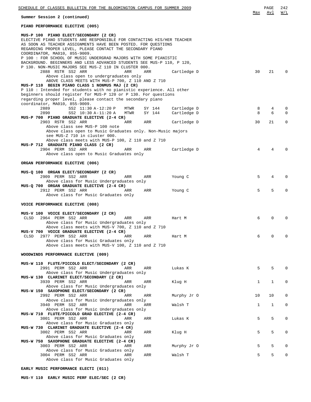| SCHEDULE OF CLASSES BULLETIN FOR THE BLOOMINGTON CAMPUS FOR SUMMER 2009                                                                                                                                                                                                                                                                                                                                                        |             |     | PAGE        | 242         |
|--------------------------------------------------------------------------------------------------------------------------------------------------------------------------------------------------------------------------------------------------------------------------------------------------------------------------------------------------------------------------------------------------------------------------------|-------------|-----|-------------|-------------|
| Summer Session 2 (continued)                                                                                                                                                                                                                                                                                                                                                                                                   |             | Max | Avl         | W/L         |
| PIANO PERFORMANCE ELECTIVE (005)                                                                                                                                                                                                                                                                                                                                                                                               |             |     |             |             |
| MUS-P 100 PIANO ELECT/SECONDARY (2 CR)<br>ELECTIVE PIANO STUDENTS ARE RESPONSIBLE FOR CONTACTING HIS/HER TEACHER<br>AS SOON AS TEACHER ASSIGNMENTS HAVE BEEN POSTED. FOR QUESTIONS<br>REGARDING PROPER LEVEL, PLEASE CONTACT THE SECONDARY PIANO<br>COORDINATOR, MA010, 855-9009.<br>P 100: FOR SCHOOL OF MUSIC UNDERGRAD MAJORS WITH SOME PIANISTIC<br>BACKGROUND. BEGINNERS AND LESS ADVANCED STUDENTS SEE MUS-P 110, P 120, |             |     |             |             |
| P 130. NON-MUSIC MAJORS SEE MUS-Z 110 IN CLUSTER 000.<br>2888 RSTR SS2 ARR<br>ARR<br>ARR                                                                                                                                                                                                                                                                                                                                       | Cartledge D | 30  | 21          | $\Omega$    |
| Above class open to undergraduates only<br>ABOVE CLASS MEETS WITH MUS-P 700, Z 110 AND Z 710<br>MUS-P 110 BEGIN PIANO CLASS 1 NONMUS MAJ (2 CR)<br>P 110: Intended for students with no pianistic experience. All other<br>beginners should register for MUS-P 120 or P 130. For questions<br>regarding proper level, please contact the secondary piano<br>coordinator, MA010, 855-9009.                                      |             |     |             |             |
| 2889<br>SS2 11:30 A-12:20 P<br>MTWR<br>SY 144                                                                                                                                                                                                                                                                                                                                                                                  | Cartledge D | 8   | 4           | 0           |
| 2890<br>SS2 10:30 A-11:20 A<br>MTWR<br>SY 144<br>MUS-P 700 PIANO GRADUATE ELECTIVE (2-4 CR)                                                                                                                                                                                                                                                                                                                                    | Cartledge D | 8   | 6           | $\Omega$    |
| 2903 RSTR SS2 ARR<br>ARR<br>ARR<br>Above class see MUS-P 100 note                                                                                                                                                                                                                                                                                                                                                              | Cartledge D | 30  | 21          | $\mathbf 0$ |
| Above class open to Music Graduates only. Non-Music majors<br>see MUS-Z 710 in cluster 000.<br>Above class meets with MUS-P 100, Z 110 and Z 710<br>MUS-P 712 GRADUATE PIANO CLASS (2 CR)                                                                                                                                                                                                                                      |             |     |             |             |
| 2904 PERM SS2 ARR<br>ARR<br>ARR<br>Above class open to Music Graduates only                                                                                                                                                                                                                                                                                                                                                    | Cartledge D | 4   | 4           | $\Omega$    |
| ORGAN PERFORMANCE ELECTIVE (006)                                                                                                                                                                                                                                                                                                                                                                                               |             |     |             |             |
| MUS-Q 100 ORGAN ELECT/SECONDARY (2 CR)<br>2909 PERM SS2 ARR<br>ARR<br>ARR<br>Above class for Music Undergraduates only                                                                                                                                                                                                                                                                                                         | Young C     | 5   | 4           | $\Omega$    |
| MUS-Q 700 ORGAN GRADUATE ELECTIVE (2-4 CR)<br>2912 PERM SS2 ARR<br>ARR<br>ARR<br>Above class for Music Graduates only                                                                                                                                                                                                                                                                                                          | Young C     | 5   | 5           | $\Omega$    |
| VOICE PERFORMANCE ELECTIVE (008)                                                                                                                                                                                                                                                                                                                                                                                               |             |     |             |             |
| MUS-V 100 VOICE ELECT/SECONDARY (2 CR)<br><b>CLSD</b><br>2964 PERM SS2 ARR<br>ARR<br>ARR<br>Above class for Music Undergraduates only<br>Above class meets with MUS-V 700, Z 110 and Z 710                                                                                                                                                                                                                                     | Hart M      | 6   | $\mathbf 0$ | $\Omega$    |
| MUS-V 700 VOICE GRADUATE ELECTIVE (2-4 CR)<br>2977 PERM SS2 ARR<br>CLSD<br>ARR<br>ARR                                                                                                                                                                                                                                                                                                                                          | Hart M      | 6   | $\mathbf 0$ | $\Omega$    |
| Above class for Music Graduates only<br>Above class meets with MUS-V 100, Z 110 and Z 710                                                                                                                                                                                                                                                                                                                                      |             |     |             |             |
| WOODWINDS PERFORMANCE ELECTIVE (009)                                                                                                                                                                                                                                                                                                                                                                                           |             |     |             |             |
| MUS-W 110 FLUTE/PICCOLO ELECT/SECONDARY (2 CR)<br>2991 PERM SS2 ARR<br>ARR<br>ARR<br>Above class for Music Undergraduates only                                                                                                                                                                                                                                                                                                 | Lukas K     | 5   | 5           | $\Omega$    |
| MUS-W 130 CLARINET ELECT/SECONDARY (2 CR)<br>3939 PERM SS2 ARR<br>ARR<br>ARR<br>Above class for Music Undergraduates only                                                                                                                                                                                                                                                                                                      | Klug H      | 1   | 1           | 0           |
| MUS-W 150 SAXOPHONE ELECT/SECONDARY (2 CR)<br>2992 PERM SS2 ARR<br>ARR<br>ARR                                                                                                                                                                                                                                                                                                                                                  | Murphy Jr O | 10  | 10          | $\Omega$    |
| Above class for Music Undergraduates only                                                                                                                                                                                                                                                                                                                                                                                      |             |     |             |             |
| 3940 PERM SS2 ARR<br>ARR<br>ARR<br>Above class for Music Undergraduates only<br>MUS-W 710 FLUTE/PICCOLO GRAD ELECTIVE (2-4 CR)                                                                                                                                                                                                                                                                                                 | Walsh T     | 1   | 1           | 0           |
| 3001 PERM SS2 ARR<br>ARR<br>ARR<br>Above class for Music Graduates only                                                                                                                                                                                                                                                                                                                                                        | Lukas K     | 5   | 5           | $\mathbf 0$ |
| MUS-W 730 CLARINET GRADUATE ELECTIVE (2-4 CR)<br>3002 PERM SS2 ARR<br>ARR<br>ARR<br>Above class for Music Graduates only                                                                                                                                                                                                                                                                                                       | Klug H      | 5   | 5           | 0           |
| MUS-W 750 SAXOPHONE GRADUATE ELECTIVE (2-4 CR)<br>3003 PERM SS2 ARR<br>ARR<br>ARR                                                                                                                                                                                                                                                                                                                                              | Murphy Jr O | 5   | 5           | 0           |
| Above class for Music Graduates only<br>3004 PERM SS2 ARR<br>ARR<br>ARR<br>Above class for Music Graduates only                                                                                                                                                                                                                                                                                                                | Walsh T     | 5   | 5           | 0           |
|                                                                                                                                                                                                                                                                                                                                                                                                                                |             |     |             |             |

## **EARLY MUSIC PERFORMANCE ELECTI (011)**

## **MUS-Y 110 EARLY MUSIC PERF ELEC/SEC (2 CR)**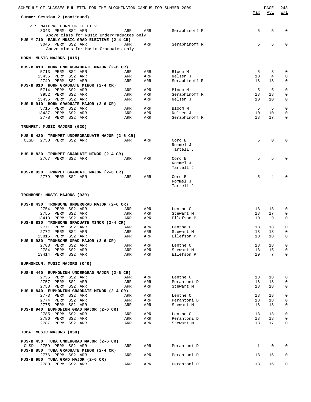|             | SCHEDULE OF CLASSES BULLETIN FOR THE BLOOMINGTON CAMPUS FOR SUMMER 2009<br>Summer Session 2 (continued) |            |            |                          | Max          | PAGE<br>Avl     | 243<br>W/L                 |
|-------------|---------------------------------------------------------------------------------------------------------|------------|------------|--------------------------|--------------|-----------------|----------------------------|
|             |                                                                                                         |            |            |                          |              |                 |                            |
|             | VT: NATURAL HORN UG ELECTIVE<br>3043 PERM SS2 ARR                                                       | ARR        | ARR        | Seraphinoff R            | 5            | 5               | $\mathbf 0$                |
|             | Above class for Music Undergraduates only                                                               |            |            |                          |              |                 |                            |
|             | MUS-Y 710 EARLY MUSIC GRAD ELECTIVE (2-4 CR)                                                            |            |            |                          |              |                 |                            |
|             | 3045 PERM SS2 ARR<br>Above class for Music Graduates only                                               | ARR        | ARR        | Seraphinoff R            | 5            | 5               | 0                          |
|             | HORN: MUSIC MAJORS (015)                                                                                |            |            |                          |              |                 |                            |
|             | MUS-B 410 HORN UNDERGRADUATE MAJOR (2-6 CR)                                                             |            |            |                          |              |                 |                            |
|             | 5713 PERM SS2 ARR                                                                                       | ARR        | ARR        | Bloom M                  | 5            | 3               | 0                          |
|             | 13435 PERM SS2 ARR                                                                                      | ARR        | ARR        | Nelsen J                 | 10           | 4               | $\mathbf 0$                |
|             | 2749 PERM SS2 ARR<br>MUS-B 810 HORN GRADUATE MINOR (2-4 CR)                                             | ARR        | ARR        | Seraphinoff R            | 18           | 18              | $\mathbf 0$                |
|             | 5714 PERM SS2 ARR                                                                                       | ARR        | ARR        | Bloom M                  | 5            | 5               | 0                          |
|             | 3952 PERM SS2 ARR                                                                                       | ARR        | ARR        | Seraphinoff R            | 18           | 18              | 0                          |
|             | 13436 PERM SS2 ARR                                                                                      | ARR        | ARR        | Nelsen J                 | 10           | 10              | 0                          |
|             | MUS-B 910 HORN GRADUATE MAJOR (2-6 CR)                                                                  |            |            |                          |              |                 |                            |
|             | 5715 PERM SS2 ARR<br>13437<br>PERM SS2 ARR                                                              | ARR<br>ARR | ARR<br>ARR | Bloom M<br>Nelsen J      | 5<br>10      | 5<br>10         | $\mathbf 0$<br>$\mathbf 0$ |
|             | 2778 PERM SS2 ARR                                                                                       | ARR        | ARR        | Seraphinoff R            | 18           | 17              | $\mathbf 0$                |
|             |                                                                                                         |            |            |                          |              |                 |                            |
|             | TRUMPET: MUSIC MAJORS (020)                                                                             |            |            |                          |              |                 |                            |
|             | MUS-B 420 TRUMPET UNDERGRADUATE MAJOR (2-6 CR)                                                          |            |            |                          |              |                 |                            |
| CLSD        | 2750 PERM SS2 ARR                                                                                       | ARR        | ARR        | Cord E                   | 5            | $\mathbf 0$     | $\mathbf 0$                |
|             |                                                                                                         |            |            | Rommel J<br>Tartell J    |              |                 |                            |
|             | MUS-B 820 TRUMPET GRADUATE MINOR (2-4 CR)                                                               |            |            |                          |              |                 |                            |
|             | 2767 PERM SS2 ARR                                                                                       | ARR        | ARR        | Cord E                   | 5            | 5               | $\mathbf 0$                |
|             |                                                                                                         |            |            | Rommel J                 |              |                 |                            |
|             | MUS-B 920 TRUMPET GRADUATE MAJOR (2-6 CR)                                                               |            |            | Tartell J                |              |                 |                            |
|             | 2779 PERM SS2 ARR                                                                                       | ARR        | ARR        | Cord E                   | 5            | 4               | 0                          |
|             |                                                                                                         |            |            | Rommel J                 |              |                 |                            |
|             |                                                                                                         |            |            | Tartell J                |              |                 |                            |
|             | TROMBONE: MUSIC MAJORS (030)                                                                            |            |            |                          |              |                 |                            |
|             | MUS-B 430 TROMBONE UNDERGRAD MAJOR (2-6 CR)                                                             |            |            |                          |              |                 |                            |
|             | 2754 PERM SS2 ARR                                                                                       | ARR        | ARR        | Lenthe C                 | 18           | 18              | 0                          |
|             | PERM SS2 ARR<br>2755                                                                                    | ARR        | ARR        | Stewart M                | 18           | 17              | 0                          |
|             | 13413 PERM SS2 ARR                                                                                      | ARR        | ARR        | Ellefson P               | 10           | 9               | 0                          |
|             | MUS-B 830 TROMBONE GRADUATE MINOR (2-4 CR)                                                              |            |            |                          |              |                 |                            |
|             | 2771 PERM SS2 ARR<br>2772 PERM SS2 ARR                                                                  | ARR<br>ARR | ARR<br>ARR | Lenthe C<br>Stewart M    | 18<br>18     | 18<br>18        | 0<br>$\mathbf 0$           |
|             | 13815 PERM SS2 ARR                                                                                      | ARR        | ARR        | Ellefson P               | 10           | 10              | 0                          |
|             | MUS-B 930 TROMBONE GRAD MAJOR (2-6 CR)                                                                  |            |            |                          |              |                 |                            |
|             | 2783 PERM SS2 ARR                                                                                       | ARR        | ARR        | Lenthe C                 | 18           | 18              | 0                          |
|             | 2784 PERM SS2 ARR                                                                                       | ARR        | ARR        | Stewart M                | 18           | 15              | $\mathbf 0$                |
|             | 13414 PERM SS2 ARR                                                                                      | ARR        | ARR        | Ellefson P               | 10           | $7\phantom{.0}$ | 0                          |
|             | EUPHONIUM: MUSIC MAJORS (040)                                                                           |            |            |                          |              |                 |                            |
|             | MUS-B 440 EUPHONIUM UNDERGRAD MAJOR (2-6 CR)                                                            |            |            |                          |              |                 |                            |
|             | 2756 PERM SS2 ARR                                                                                       | ARR        | ARR        | Lenthe C                 | 18           | 18              | 0                          |
|             | 2757 PERM SS2 ARR<br>2758 PERM SS2 ARR                                                                  | ARR<br>ARR | ARR<br>ARR | Perantoni D<br>Stewart M | 18<br>18     | 18<br>18        | 0<br>0                     |
|             | MUS-B 840 EUPHONIUM GRADUATE MINOR (2-4 CR)                                                             |            |            |                          |              |                 |                            |
|             | 2773 PERM SS2 ARR                                                                                       | ARR        | ARR        | Lenthe C                 | 18           | 18              | $\mathsf 0$                |
|             | 2774 PERM SS2 ARR                                                                                       | ARR        | ARR        | Perantoni D              | 18           | 18              | 0                          |
|             | 2775 PERM SS2 ARR                                                                                       | ARR        | ARR        | Stewart M                | 18           | 18              | 0                          |
|             | MUS-B 940 EUPHONIUM GRAD MAJOR (2-6 CR)<br>2785 PERM SS2 ARR                                            | ARR        | ARR        | Lenthe C                 | 18           | 18              | 0                          |
|             | 2786 PERM SS2 ARR                                                                                       | ARR        | ARR        | Perantoni D              | 18           | 18              | 0                          |
|             | 2787 PERM SS2 ARR                                                                                       | ARR        | ARR        | Stewart M                | 18           | 17              | 0                          |
|             | TUBA: MUSIC MAJORS (050)                                                                                |            |            |                          |              |                 |                            |
|             | MUS-B 450 TUBA UNDERGRAD MAJOR (2-6 CR)                                                                 |            |            |                          |              |                 |                            |
| <b>CLSD</b> | 2759 PERM SS2 ARR                                                                                       | ARR        | ARR        | Perantoni D              | $\mathbf{1}$ | $\mathbf 0$     | $\mathbf 0$                |
|             | MUS-B 850 TUBA GRADUATE MINOR (2-4 CR)                                                                  |            |            |                          |              |                 |                            |
|             | 2776 PERM SS2 ARR<br>MUS-B 950 TUBA GRAD MAJOR (2-6 CR)                                                 | ARR        | ARR        | Perantoni D              | 18           | 16              | 0                          |
|             | 2788 PERM SS2 ARR                                                                                       | ARR        | ARR        | Perantoni D              | 18           | 16              | 0                          |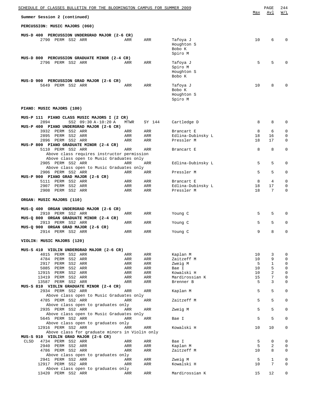| SCHEDULE OF CLASSES BULLETIN FOR THE BLOOMINGTON CAMPUS FOR SUMMER 2009                                                |                   |                   |                                               | Max           | PAGE<br>Avl   | 244<br>W/L                      |
|------------------------------------------------------------------------------------------------------------------------|-------------------|-------------------|-----------------------------------------------|---------------|---------------|---------------------------------|
| Summer Session 2 (continued)                                                                                           |                   |                   |                                               |               |               |                                 |
| PERCUSSION: MUSIC MAJORS (060)                                                                                         |                   |                   |                                               |               |               |                                 |
| MUS-D 400 PERCUSSION UNDERGRAD MAJOR (2-6 CR)<br>2790 PERM SS2 ARR                                                     | ARR               | ARR               | Tafoya J<br>Houghton S<br>Bobo K<br>Spiro M   | 10            | 6             | $\Omega$                        |
| MUS-D 800 PERCUSSION GRADUATE MINOR (2-4 CR)<br>2796 PERM SS2 ARR                                                      | ARR               | ARR               | Tafoya J<br>Spiro M<br>Houghton S<br>Bobo K   | 5             | 5             |                                 |
| MUS-D 900 PERCUSSION GRAD MAJOR (2-6 CR)<br>5649 PERM SS2 ARR                                                          | ARR               | ARR               | Tafoya J<br>Bobo K<br>Houghton S<br>Spiro M   | 10            | 8             |                                 |
| PIANO: MUSIC MAJORS (100)                                                                                              |                   |                   |                                               |               |               |                                 |
| MUS-P 111 PIANO CLASS MUSIC MAJORS I (2 CR)<br>2894<br>SS2 09:30 A-10:20 A<br>MUS-P 400 PIANO UNDERGRAD MAJOR (2-6 CR) | MTWR              | SY 144            | Cartledge D                                   | 8             | 8             | $\Omega$                        |
| 3932 PERM SS2 ARR<br>PERM SS2 ARR<br>2895<br>2896 PERM SS2 ARR<br>MUS-P 800 PIANO GRADUATE MINOR (2-4 CR)              | ARR<br>ARR<br>ARR | ARR<br>ARR<br>ARR | Brancart E<br>Edlina-Dubinsky L<br>Pressler M | 8<br>18<br>18 | 6<br>16<br>17 | $\mathbf 0$<br>$\mathbf 0$<br>0 |
| 5110 PERM SS2 ARR<br>Above class requires instructor permission<br>Above class open to Music Graduates only            | ARR               | ARR               | Brancart E                                    | 8             | 8             | $\mathbf 0$                     |
| 2905 PERM SS2 ARR<br>Above class open to Music Graduates only                                                          | ARR               | ARR               | Edlina-Dubinsky L                             | 5             | 5             | 0                               |
| 2906 PERM SS2 ARR<br>MUS-P 900 PIANO GRAD MAJOR (2-6 CR)                                                               | ARR               | ARR               | Pressler M                                    | 5             | 5             | $\mathbf 0$                     |
| 5111 PERM SS2 ARR<br>2907 PERM SS2 ARR<br>2908 PERM SS2 ARR                                                            | ARR<br>ARR<br>ARR | ARR<br>ARR<br>ARR | Brancart E<br>Edlina-Dubinsky L<br>Pressler M | 8<br>18<br>18 | 4<br>17<br>7  | $\mathbf 0$<br>0<br>$\mathbf 0$ |
| ORGAN: MUSIC MAJORS (110)                                                                                              |                   |                   |                                               |               |               |                                 |
| MUS-Q 400 ORGAN UNDERGRAD MAJOR (2-6 CR)                                                                               |                   |                   |                                               |               |               |                                 |
| 2910 PERM SS2 ARR<br>MUS-Q 800 ORGAN GRADUATE MINOR (2-4 CR)                                                           | ARR               | ARR               | Young C                                       | 5             | 5             | $\Omega$                        |
| 2913 PERM SS2 ARR<br>MUS-Q 900 ORGAN GRAD MAJOR (2-6 CR)                                                               | ARR               | ARR               | Young C                                       | 5             | 5             | $\mathbf 0$                     |
| 2914 PERM SS2 ARR                                                                                                      | ARR               | ARR               | Young C                                       | 9             | 8             | 0                               |
| VIOLIN: MUSIC MAJORS (120)                                                                                             |                   |                   |                                               |               |               |                                 |
| MUS-S 410 VIOLIN UNDERGRAD MAJOR (2-6 CR)<br>4015 PERM SS2 ARR                                                         | ARR               | ARR               | Kaplan M                                      | 10            | 3             | 0                               |
| 4784 PERM SS2 ARR                                                                                                      | ARR               | ARR               | Zaitzeff M                                    | 10            | 9             | $\mathbf 0$                     |
| 2917 PERM SS2 ARR                                                                                                      | ARR               | ARR               | Zweig M                                       | 5             | $\mathbf{1}$  | $\mathbf 0$                     |
| 5085 PERM SS2 ARR<br>12915 PERM SS2 ARR                                                                                | ARR<br>ARR        | ARR<br>ARR        | Bae I<br>Kowalski H                           | 10<br>10      | 5<br>2        | $\mathbf 0$<br>$\mathsf 0$      |
| 13419 PERM SS2 ARR                                                                                                     | ARR               | ARR               | Mardirossian K                                | 15            | 7             | $\mathsf 0$                     |
| 13587 PERM SS2 ARR                                                                                                     | ARR               | ARR               | Brenner B                                     | 5             | 3             | $\mathsf 0$                     |
| MUS-S 810 VIOLIN GRADUATE MINOR (2-4 CR)                                                                               |                   |                   | Kaplan M                                      | 5             | 5             | $\mathbf 0$                     |
| 2934 PERM SS2 ARR<br>Above class open to Music Graduates only                                                          | ARR               | ARR               |                                               |               |               |                                 |
| 4785 PERM SS2 ARR<br>Above class open to graduates only                                                                | ARR               | ARR               | Zaitzeff M                                    | 5             | 5             | $\mathbf 0$                     |
| 2935 PERM SS2 ARR<br>Above class open to Music Graduates only                                                          | ARR               | ARR               | Zweig M                                       | 5             | 5             | $\mathbf 0$                     |
| 5645 PERM SS2 ARR<br>Above class open to graduates only                                                                | ARR               | ARR               | Bae I                                         | 5             | 5             | $\mathbf 0$                     |
| 12916 PERM SS2 ARR<br>Above class for graduate minors in Violin only                                                   | ARR               | ARR               | Kowalski H                                    | 10            | 10            | $\mathbf 0$                     |
| MUS-S 910 VIOLIN GRAD MAJOR (2-6 CR)                                                                                   |                   |                   |                                               |               |               |                                 |
| CLSD<br>4734 PERM SS2 ARR                                                                                              | ARR               | ARR               | Bae I                                         | 5             | $\mathbf 0$   | $\mathsf 0$                     |
| 2940 PERM SS2 ARR                                                                                                      | ARR               | ARR               | Kaplan M                                      | 5             | 2             | $\mathsf 0$                     |
| 4786 PERM SS2 ARR<br>Above class open to graduates only                                                                | ARR               | ARR               | Zaitzeff M                                    | 10            | 8             | $\mathbf 0$                     |
| 2941 PERM SS2 ARR                                                                                                      | ARR               | ARR               | Zweig M                                       | 5             | $\mathbf{1}$  | $\mathsf 0$                     |
| 12917 PERM SS2 ARR                                                                                                     | ARR               | ARR               | Kowalski H                                    | 10            | 7             | $\mathbf 0$                     |
| Above class open to graduates only                                                                                     |                   |                   |                                               |               |               |                                 |
| 13420 PERM SS2 ARR                                                                                                     | ARR               | ARR               | Mardirossian K                                | 15            | 12            | 0                               |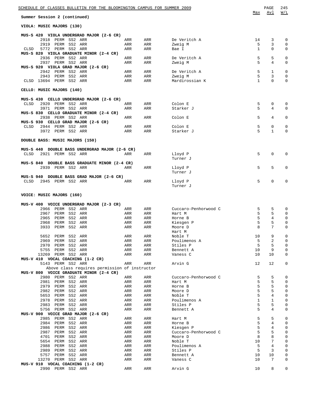| <u>SCHEDULE OF CLASSES BULLETIN FOR THE BLOOMINGTON CAMPUS FOR SUMMER 2009</u> |            |            |                      |              | PAGE         | 245         |
|--------------------------------------------------------------------------------|------------|------------|----------------------|--------------|--------------|-------------|
| Summer Session 2 (continued)                                                   |            |            |                      | Max          | Avl          | W/L         |
| VIOLA: MUSIC MAJORS (130)                                                      |            |            |                      |              |              |             |
| MUS-S 420 VIOLA UNDERGRAD MAJOR (2-6 CR)                                       |            |            |                      |              |              |             |
| 2918 PERM SS2 ARR                                                              | ARR        | ARR        | De Veritch A         | 14           | 3            | 0           |
| 2919<br>PERM SS2 ARR                                                           | ARR        | ARR        | Zweig M              | 5            | 3            | 0           |
| 5772 PERM SS2 ARR<br>CLSD                                                      | ARR        | ARR        | Bae I                | 1            | 0            | 0           |
| MUS-S 820 VIOLA GRADUATE MINOR (2-4 CR)<br>2936 PERM SS2 ARR                   | ARR        | ARR        | De Veritch A         | 5            | 5            | 0           |
| 2937 PERM SS2 ARR                                                              | ARR        | ARR        | Zweig M              | 5            | 4            | 0           |
| MUS-S 920 VIOLA GRAD MAJOR (2-6 CR)                                            |            |            |                      |              |              |             |
| PERM SS2 ARR<br>2942                                                           | ARR        | ARR        | De Veritch A         | 5            | 1            | 0           |
| 2943<br>PERM SS2 ARR                                                           | ARR        | ARR        | Zweig M              | 5            | 3            | 0           |
| CLSD 13694 PERM SS2 ARR                                                        | ARR        | ARR        | Mardirossian K       | $\mathbf{1}$ | $\Omega$     | $\mathbf 0$ |
| CELLO: MUSIC MAJORS (140)                                                      |            |            |                      |              |              |             |
|                                                                                |            |            |                      |              |              |             |
| MUS-S 430 CELLO UNDERGRAD MAJOR (2-6 CR)                                       |            |            |                      |              |              |             |
| PERM SS2 ARR<br>CLSD<br>2920<br>PERM SS2 ARR<br>3971                           | ARR<br>ARR | ARR<br>ARR | Colon E<br>Starker J | 5<br>5       | 0<br>4       | 0<br>0      |
| MUS-S 830 CELLO GRADUATE MINOR (2-4 CR)                                        |            |            |                      |              |              |             |
| 2938 PERM SS2 ARR                                                              | ARR        | ARR        | Colon E              | 5            | 4            | 0           |
| MUS-S 930 CELLO GRAD MAJOR (2-6 CR)                                            |            |            |                      |              |              |             |
| 2944 PERM SS2 ARR<br>CLSD                                                      | ARR        | ARR        | Colon E              | 5            | 0            | 0           |
| 3972 PERM SS2 ARR                                                              | ARR        | ARR        | Starker J            | 5            | $\mathbf{1}$ | 0           |
| DOUBLE BASS: MUSIC MAJORS (150)                                                |            |            |                      |              |              |             |
|                                                                                |            |            |                      |              |              |             |
| MUS-S 440 DOUBLE BASS UNDERGRAD MAJOR (2-6 CR)                                 |            |            |                      |              |              |             |
| 2921 PERM SS2 ARR<br><b>CLSD</b>                                               | ARR        | ARR        | Lloyd P              | 5            | 0            | 0           |
| MUS-S 840 DOUBLE BASS GRADUATE MINOR (2-4 CR)                                  |            |            | Turner J             |              |              |             |
| 2939 PERM SS2 ARR                                                              | ARR        | ARR        | Lloyd P              | 5            | 5            | 0           |
|                                                                                |            |            | Turner J             |              |              |             |
| MUS-S 940 DOUBLE BASS GRAD MAJOR (2-6 CR)                                      |            |            |                      |              |              |             |
| 2945 PERM SS2 ARR<br>CLSD                                                      | ARR        | ARR        | Lloyd P              | 5            | $\Omega$     | 0           |
|                                                                                |            |            | Turner J             |              |              |             |
| VOICE: MUSIC MAJORS (160)                                                      |            |            |                      |              |              |             |
|                                                                                |            |            |                      |              |              |             |
| MUS-V 400 VOICE UNDERGRAD MAJOR (2-3 CR)<br>2966<br>PERM SS2 ARR               | ARR        | ARR        | Cuccaro-Penhorwood C | 5            | 5            | 0           |
| 2967<br>PERM SS2 ARR                                                           | ARR        | ARR        | Hart M               | 5            | 5            | 0           |
| 2965<br>PERM<br>SS2 ARR                                                        | ARR        | ARR        | Horne B              | 5            | 4            | 0           |
| 2968<br>PERM<br>SS2 ARR                                                        | ARR        | ARR        | Kiesgen P            | 5            | 5            | 0           |
| 3933<br>PERM SS2 ARR                                                           | ARR        | ARR        | Moore D              | 8            | 7            | 0           |
|                                                                                |            |            | Hart M               |              |              |             |
| 5652<br>PERM SS2 ARR                                                           | ARR        | ARR        | Noble T              | 10           | 9            | 0           |
| 2969 PERM SS2 ARR                                                              | ARR        | ARR        | Poulimenos A         | 5            | 2            | 0           |
| 2970<br>PERM SS2 ARR                                                           | ARR        | ARR        | Stiles P             | 5            | 5            | $\mathbf 0$ |
| 5755<br>PERM SS2 ARR                                                           | ARR        | ARR        | Bennett A            | 10           | 9            | 0           |
| 13269 PERM SS2 ARR<br>MUS-V 410 VOCAL COACHING (1-2 CR)                        | ARR        | ARR        | Vaness C             | 10           | 10           | 0           |
| 5143 PERM SS2 ARR                                                              | ARR        | ARR        | Arvin G              | 12           | 12           | 0           |
| Above class requires permission of instructor                                  |            |            |                      |              |              |             |
| MUS-V 800 VOICE GRADUATE MINOR (2-4 CR)                                        |            |            |                      |              |              |             |
| 2980 PERM SS2 ARR                                                              | ARR        | ARR        | Cuccaro-Penhorwood C | 5            | 5            | 0           |
| 2981<br>PERM SS2 ARR                                                           | ARR        | ARR        | Hart M               | 5            | 5            | $\mathbf 0$ |
| 2979<br>PERM SS2 ARR                                                           | ARR        | ARR        | Horne B              | 5            | 5            | 0           |
| 2982<br>PERM<br>SS2 ARR                                                        | ARR        | ARR        | Moore D              | 5            | 5            | $\mathbf 0$ |
| 5653<br>PERM SS2 ARR                                                           | ARR        | ARR        | Noble T              | 5            | 4            | 0           |
| 2978<br>PERM SS2 ARR                                                           | ARR        | ARR        | Poulimenos A         | $\mathbf{1}$ | 1            | 0           |
| 2983<br>PERM SS2 ARR                                                           | ARR        | ARR        | Stiles P             | 5            | 5            | 0           |
| 5756 PERM SS2 ARR                                                              | ARR        | ARR        | Bennett A            | 5            | 4            | 0           |
| MUS-V 900 VOICE GRAD MAJOR (2-6 CR)<br>2985<br>PERM SS2 ARR                    | ARR        | ARR        | Hart M               | 5            | 5            | 0           |
| 2984<br>PERM SS2 ARR                                                           | ARR        | ARR        | Horne B              | 5            | 4            | 0           |
| 2986<br>PERM<br>SS2 ARR                                                        | ARR        | ARR        | Kiesgen P            | 5            | 4            | 0           |
| 2987<br>PERM<br>SS2 ARR                                                        | ARR        | ARR        | Cuccaro-Penhorwood C | 5            | 5            | 0           |
| 4701<br>PERM<br>SS2 ARR                                                        | ARR        | ARR        | Moore D              | 8            | 8            | $\mathbf 0$ |
| 5654<br>PERM<br>SS2 ARR                                                        | ARR        | ARR        | Noble T              | 10           | 7            | $\mathbf 0$ |
| 2988<br>PERM<br>SS2 ARR                                                        | ARR        | ARR        | Poulimenos A         | 5            | 4            | $\mathbf 0$ |
| 2989<br>PERM SS2 ARR                                                           | ARR        | ARR        | Stiles P             | 5            | 3            | $\mathbf 0$ |
| 5757<br>PERM SS2 ARR                                                           | ARR        | ARR        | Bennett A            | 10           | 10           | 0           |
| 13270<br>PERM SS2 ARR                                                          | ARR        | ARR        | Vaness C             | 10           | 7            | 0           |
| MUS-V 910 VOCAL COACHING (1-2 CR)                                              |            |            |                      |              |              |             |
| 2990 PERM SS2 ARR                                                              | ARR        | ARR        | Arvin G              | 10           | 8            | 0           |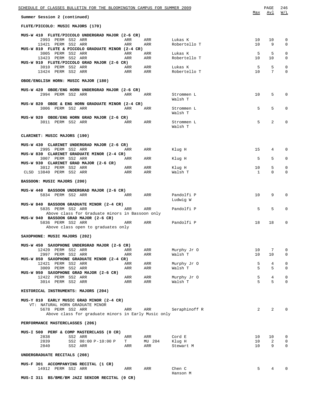| <u>SCHEDULE OF CLASSES BULLETIN FOR THE BLOOMINGTON CAMPUS FOR SUMMER 2009</u>               |                                                                                                                                                                                                                                       |               |                         | Max            | PAGE<br>Avl          | 246<br>W/L                  |
|----------------------------------------------------------------------------------------------|---------------------------------------------------------------------------------------------------------------------------------------------------------------------------------------------------------------------------------------|---------------|-------------------------|----------------|----------------------|-----------------------------|
| Summer Session 2 (continued)                                                                 |                                                                                                                                                                                                                                       |               |                         |                |                      |                             |
| FLUTE/PICCOLO: MUSIC MAJORS (170)                                                            |                                                                                                                                                                                                                                       |               |                         |                |                      |                             |
| MUS-W 410 FLUTE/PICCOLO UNDERGRAD MAJOR (2-6 CR)                                             |                                                                                                                                                                                                                                       |               |                         |                |                      |                             |
| 2993 PERM SS2 ARR<br>13421 PERM SS2 ARR<br>MUS-W 810 FLUTE & PICCOLO GRADUATE MINOR (2-4 CR) | ARR<br>ARR                                                                                                                                                                                                                            | ARR<br>ARR    | Lukas K<br>Robertello T | 10<br>10       | 10<br>9              | 0<br>$\Omega$               |
| 3005 PERM SS2 ARR<br>13423 PERM SS2 ARR                                                      | ARR<br>ARR                                                                                                                                                                                                                            | ARR<br>ARR    | Lukas K<br>Robertello T | 5<br>10        | 5<br>10              | 0<br>0                      |
| MUS-W 910 FLUTE/PICCOLO GRAD MAJOR (2-6 CR)                                                  |                                                                                                                                                                                                                                       |               |                         |                |                      |                             |
| 3010 PERM SS2 ARR<br>13424 PERM SS2 ARR                                                      | ARR<br>ARR                                                                                                                                                                                                                            | ARR<br>ARR    | Lukas K<br>Robertello T | 5<br>10        | 5<br>$7\overline{ }$ | $\mathbf 0$<br>$\Omega$     |
| OBOE/ENGLISH HORN: MUSIC MAJOR (180)                                                         |                                                                                                                                                                                                                                       |               |                         |                |                      |                             |
| MUS-W 420 OBOE/ENG HORN UNDERGRAD MAJOR (2-6 CR)                                             |                                                                                                                                                                                                                                       |               |                         |                |                      |                             |
| 2994 PERM SS2 ARR                                                                            | ARR                                                                                                                                                                                                                                   | ARR           | Strommen L              | 10             | 5                    | 0                           |
| MUS-W 820 OBOE & ENG HORN GRADUATE MINOR (2-4 CR)                                            |                                                                                                                                                                                                                                       |               | Walsh T                 |                |                      |                             |
| 3006 PERM SS2 ARR                                                                            | ARR                                                                                                                                                                                                                                   | ARR           | Strommen L<br>Walsh T   | 5              | 5                    | $\Omega$                    |
| MUS-W 920 OBOE/ENG HORN GRAD MAJOR (2-6 CR)<br>3011 PERM SS2 ARR                             | ARR                                                                                                                                                                                                                                   | ARR           | Strommen L              | 5              | 2                    | 0                           |
|                                                                                              |                                                                                                                                                                                                                                       |               | Walsh T                 |                |                      |                             |
| CLARINET: MUSIC MAJORS (190)                                                                 |                                                                                                                                                                                                                                       |               |                         |                |                      |                             |
| MUS-W 430 CLARINET UNDERGRAD MAJOR (2-6 CR)                                                  |                                                                                                                                                                                                                                       |               |                         |                |                      |                             |
| 2995 PERM SS2 ARR<br>MUS-W 830 CLARINET GRADUATE MINOR (2-4 CR)                              | ARR                                                                                                                                                                                                                                   | ARR           | Kluq H                  | 15             | 4                    | $\Omega$                    |
| 3007 PERM SS2 ARR<br>MUS-W 930 CLARINET GRAD MAJOR (2-6 CR)                                  | ARR                                                                                                                                                                                                                                   | ARR           | Klug H                  | 5              | 5                    | $\mathbf 0$                 |
| 3012 PERM SS2 ARR                                                                            | ARR                                                                                                                                                                                                                                   | ARR           | Klug H                  | 10             | 5                    | $\mathbf 0$                 |
| CLSD 13840 PERM SS2 ARR                                                                      | ARR                                                                                                                                                                                                                                   | ARR           | Walsh T                 | $\mathbf{1}$   | $\Omega$             | $\Omega$                    |
| BASSOON: MUSIC MAJORS (200)                                                                  |                                                                                                                                                                                                                                       |               |                         |                |                      |                             |
| MUS-W 440 BASSOON UNDERGRAD MAJOR (2-6 CR)<br>5834 PERM SS2 ARR                              | ARR                                                                                                                                                                                                                                   | ARR           | Pandolfi P              | 10             | 9                    | 0                           |
| MUS-W 840 BASSOON GRADUATE MINOR (2-4 CR)                                                    |                                                                                                                                                                                                                                       |               | Ludwig W                |                |                      |                             |
| 5835 PERM SS2 ARR<br>Above class for Graduate minors in Bassoon only                         | ARR                                                                                                                                                                                                                                   | ARR           | Pandolfi P              | 5              | 5                    | 0                           |
| MUS-W 940 BASSOON GRAD MAJOR (2-6 CR)                                                        |                                                                                                                                                                                                                                       |               | ARR Pandolfi P          |                | 18                   | 0                           |
| 5836 PERM SS2 ARR<br>Above class open to graduates only                                      | ARR                                                                                                                                                                                                                                   |               |                         | 18             |                      |                             |
| SAXOPHONE: MUSIC MAJORS (202)                                                                |                                                                                                                                                                                                                                       |               |                         |                |                      |                             |
| MUS-W 450 SAXOPHONE UNDERGRAD MAJOR (2-6 CR)                                                 |                                                                                                                                                                                                                                       |               |                         |                |                      |                             |
| 12420 PERM SS2 ARR<br>2997 PERM SS2 ARR                                                      | ARR<br>ARR                                                                                                                                                                                                                            | ARR<br>ARR    | Murphy Jr 0<br>Walsh T  | 10<br>10       | 7<br>10              | $\mathbf 0$<br>$\mathbf 0$  |
| MUS-W 850 SAXOPHONE GRADUATE MINOR (2-4 CR)                                                  |                                                                                                                                                                                                                                       |               |                         |                |                      |                             |
| 12421 PERM SS2 ARR<br>3009 PERM SS2 ARR                                                      | ARR<br>ARR                                                                                                                                                                                                                            | ARR<br>ARR    | Murphy Jr 0<br>Walsh T  | 5<br>5         | 4<br>5               | $\mathbf 0$<br>$\mathbf{0}$ |
| MUS-W 950 SAXOPHONE GRAD MAJOR (2-6 CR)                                                      |                                                                                                                                                                                                                                       |               |                         |                |                      |                             |
| 12422 PERM SS2 ARR                                                                           | ARR<br>ARR                                                                                                                                                                                                                            | ARR<br>ARR    | Murphy Jr 0<br>Walsh T  | 5<br>5         | 4<br>5               | $\mathbf 0$<br>$\Omega$     |
| 3014 PERM SS2 ARR<br>HISTORICAL INSTRUMENTS: MAJORS (204)                                    |                                                                                                                                                                                                                                       |               |                         |                |                      |                             |
|                                                                                              |                                                                                                                                                                                                                                       |               |                         |                |                      |                             |
| MUS-Y 810 EARLY MUSIC GRAD MINOR (2-4 CR)<br>VT: NATURAL HORN GRADUATE MINOR                 |                                                                                                                                                                                                                                       |               |                         |                |                      |                             |
| 5678 PERM SS2 ARR<br>Above class for graduate minors in Early Music only                     | ARR                                                                                                                                                                                                                                   | ARR           | Seraphinoff R           | $\overline{2}$ | $\overline{2}$       | $\Omega$                    |
|                                                                                              |                                                                                                                                                                                                                                       |               |                         |                |                      |                             |
| PERFORMANCE MASTERCLASSES (206)                                                              |                                                                                                                                                                                                                                       |               |                         |                |                      |                             |
| MUS-I 500 PERF & COMP MASTERCLASS (0 CR)<br>2838<br>SS2 ARR                                  | ARR                                                                                                                                                                                                                                   | ARR           | Cord E                  | 10             | 10                   | $\mathbf 0$                 |
| 2839<br>SS2 08:00 P-10:00 P<br>2840<br>SS2 ARR                                               | T and the set of the set of the set of the set of the set of the set of the set of the set of the set of the set of the set of the set of the set of the set of the set of the set of the set of the set of the set of the set<br>ARR | MU 204<br>ARR | Klug H<br>Stewart M     | 10<br>10       | 2<br>9               | 0<br>0                      |
| UNDERGRADUATE RECITALS (208)                                                                 |                                                                                                                                                                                                                                       |               |                         |                |                      |                             |
|                                                                                              |                                                                                                                                                                                                                                       |               |                         |                |                      |                             |
| MUS-F 301 ACCOMPANYING RECITAL (1 CR)<br>14912 PERM SS2 ARR                                  | ARR                                                                                                                                                                                                                                   | ARR           | Chen C                  | 5              | 4                    | $\Omega$                    |
| MUS-I 311 BS/BME/BM JAZZ SENIOR RECITAL (0 CR)                                               |                                                                                                                                                                                                                                       |               | Hanson M                |                |                      |                             |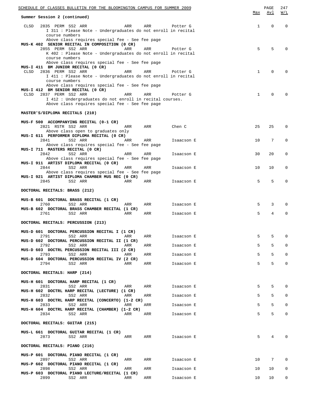| SCHEDULE OF CLASSES BULLETIN FOR THE BLOOMINGTON CAMPUS FOR SUMMER 2009                                                          |     |            |     | PAGE            | 247            |
|----------------------------------------------------------------------------------------------------------------------------------|-----|------------|-----|-----------------|----------------|
| Summer Session 2 (continued)                                                                                                     |     |            | Max | Avl             | W/L            |
| 2835 PERM SS2 ARR<br>CLSD<br>ARR<br>I 311 : Please Note - Undergraduates do not enroll in recital<br>course numbers              | ARR | Potter G   | 1   | $\Omega$        | $\mathbf 0$    |
| Above class requires special fee - See fee page<br>MUS-K 402 SENIOR RECITAL IN COMPOSITION (0 CR)                                |     |            |     |                 |                |
| 2855 PERM SS2 ARR<br>ARR<br>K 402 : Please Note - Undergraduates do not enroll in recital<br>course numbers                      | ARR | Potter G   | 5   | 5               | $\Omega$       |
| Above class requires special fee - See fee page<br>MUS-I 411 BM JUNIOR RECITAL (0 CR)<br>2836 PERM SS2 ARR<br>CLSD<br>ARR        | ARR | Potter G   | 1   | $\Omega$        |                |
| I 411 : Please Note - Undergraduates do not enroll in recital<br>course numbers                                                  |     |            |     |                 |                |
| Above class requires special fee - See fee page<br>MUS-I 412 BM SENIOR RECITAL (0 CR)<br><b>CLSD</b><br>2837 PERM SS2 ARR<br>ARR | ARR | Potter G   | 1   | $\Omega$        |                |
| I 412 : Undergraduates do not enroll in recital courses.<br>Above class requires special fee - See fee page                      |     |            |     |                 |                |
| MASTER'S/DIPLOMA RECITALS (210)                                                                                                  |     |            |     |                 |                |
| MUS-F 500 ACCOMPANYING RECITAL (0-1 CR)                                                                                          |     |            |     |                 |                |
| 2821 RSTR SS2 ARR<br>ARR<br>Above class open to graduates only<br>MUS-I 611 PERFORMER DIPLOMA RECITAL (0 CR)                     | ARR | Chen C     | 25  | 25              | 0              |
| 2841<br>SS2 ARR<br>ARR<br>Above class requires special fee - See fee page                                                        | ARR | Isaacson E | 10  | 7               | 0              |
| MUS-I 711 MASTERS RECITAL (0 CR)<br>2842<br>SS2 ARR<br>ARR                                                                       | ARR | Isaacson E | 30  | 20              | 0              |
| Above class requires special fee - See fee page<br>MUS-I 911 ARTIST DIPLOMA RECITAL (0 CR)                                       |     |            |     |                 |                |
| 2844<br>SS2 ARR<br>ARR<br>Above class requires special fee - See fee page                                                        | ARR | Isaacson E | 10  | 10              | 0              |
| MUS-I 921 ARTIST DIPLOMA CHAMBER MUS REC (0 CR)<br>2845<br>SS2 ARR<br>ARR                                                        | ARR | Isaacson E | 5   | 5               | $\Omega$       |
| DOCTORAL RECITALS: BRASS (212)                                                                                                   |     |            |     |                 |                |
| MUS-B 601 DOCTORAL BRASS RECITAL (1 CR)<br>2760<br>SS2 ARR<br>ARR                                                                | ARR | Isaacson E | 5   | 3               | $\Omega$       |
| MUS-B 602 DOCTORAL BRASS CHAMBER RECITAL (1 CR)<br>2761<br>SS2 ARR<br>ARR                                                        | ARR | Isaacson E | 5   | 4               | $\Omega$       |
| DOCTORAL RECITALS: PERCUSSION (213)                                                                                              |     |            |     |                 |                |
| MUS-D 601 DOCTORAL PERCUSSION RECITAL I (1 CR)<br>2791<br>SS2 ARR<br>ARR                                                         | ARR | Isaacson E | 5   | 5               | $\mathbf{0}$   |
| MUS-D 602 DOCTORAL PERCUSSION RECITAL II (1 CR)<br>2792<br>SS2 ARR<br>ARR                                                        | ARR | Isaacson E | 5   | 5               | 0              |
| MUS-D 603 DOCTRL PERCUSSION RECITAL III (2 CR)<br>2793<br>SS2 ARR<br>ARR                                                         | ARR | Isaacson E | 5   | 5               | $\mathbf{0}$   |
| MUS-D 604 DOCTORAL PERCUSSION RECITAL IV (2 CR)<br>2794<br>SS2 ARR<br>ARR                                                        | ARR | Isaacson E | 5   | 5               | $\mathbf{0}$   |
| DOCTORAL RECITALS: HARP (214)                                                                                                    |     |            |     |                 |                |
| MUS-H 601 DOCTORAL HARP RECITAL (1 CR)<br>2831<br>SS2 ARR<br>ARR                                                                 | ARR | Isaacson E | 5   | 5               | $\circ$        |
| MUS-H 602 DOCTRL HARP RECITAL (LECTURE) (1 CR)<br>2832<br>SS2 ARR<br>ARR                                                         | ARR | Isaacson E | 5   | 5               | $\mathbf{0}$   |
| MUS-H 603 DOCTRL HARP RECITAL (CONCERTO) (1-2 CR)<br>2833<br>SS2 ARR<br>ARR                                                      | ARR | Isaacson E | 5   | 5               | $\mathbf{0}$   |
| MUS-H 604 DOCTRL HARP RECITAL (CHAMBER) (1-2 CR)<br>2834<br>SS2 ARR<br>ARR                                                       | ARR | Isaacson E | 5   | 5               | $\mathbf{0}$   |
| DOCTORAL RECITALS: GUITAR (215)                                                                                                  |     |            |     |                 |                |
| MUS-L 661 DOCTORAL GUITAR RECITAL (1 CR)<br>2873<br>SS2 ARR<br>ARR                                                               | ARR | Isaacson E | 5   | 4               | $\mathbf 0$    |
| DOCTORAL RECITALS: PIANO (216)                                                                                                   |     |            |     |                 |                |
| MUS-P 601 DOCTORAL PIANO RECITAL (1 CR)<br>2897<br>SS2 ARR<br>ARR                                                                | ARR | Isaacson E | 10  | $\overline{7}$  | $\mathbf{0}$   |
| MUS-P 602 DOCTORAL PIANO RECITAL (1 CR)<br>2898<br>SS2 ARR<br>ARR                                                                | ARR | Isaacson E | 10  | 10              | $\mathbf 0$    |
| MUS-P 603 DOCTORAL PIANO LECTURE/RECITAL (1 CR)<br>2899<br>SS2 ARR<br>ARR                                                        | ARR | Isaacson E | 10  | 10 <sub>1</sub> | $\overline{0}$ |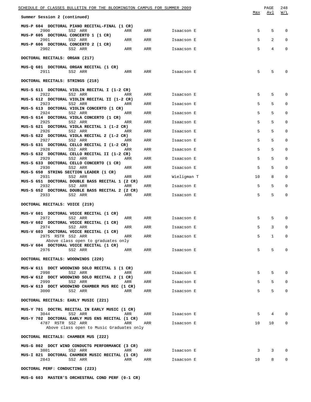| SCHEDULE OF CLASSES BULLETIN FOR THE BLOOMINGTON CAMPUS FOR SUMMER 2009 |     |     |             |     | PAGE            | 248          |
|-------------------------------------------------------------------------|-----|-----|-------------|-----|-----------------|--------------|
| Summer Session 2 (continued)                                            |     |     |             | Max | Avl             | W/L          |
| MUS-P 604 DOCTORAL PIANO RECITAL-FINAL (1 CR)<br>2900<br>SS2 ARR        | ARR | ARR | Isaacson E  | 5   | 5               | 0            |
| MUS-P 605 DOCTORAL CONCERTO 1 (1 CR)<br>SS2 ARR<br>2901                 | ARR | ARR | Isaacson E  | 5   | 2               | 0            |
| MUS-P 606 DOCTORAL CONCERTO 2 (1 CR)<br>2902<br>SS2 ARR                 | ARR | ARR | Isaacson E  | 5   | 4               | 0            |
| DOCTORAL RECITALS: ORGAN (217)                                          |     |     |             |     |                 |              |
| MUS-Q 601 DOCTORAL ORGAN RECITAL (1 CR)                                 |     |     |             |     |                 |              |
| 2911<br>SS2 ARR                                                         | ARR | ARR | Isaacson E  | 5   | 5               | 0            |
| DOCTORAL RECITALS: STRINGS (218)                                        |     |     |             |     |                 |              |
| MUS-S 611 DOCTORAL VIOLIN RECITAL I (1-2 CR)<br>2922<br>SS2 ARR         | ARR | ARR | Isaacson E  | 5   | 5               | 0            |
| MUS-S 612 DOCTORAL VIOLIN RECITAL II (1-2 CR)<br>2923<br>SS2 ARR        | ARR | ARR | Isaacson E  | 5   | 5               | 0            |
| MUS-S 613 DOCTORAL VIOLIN CONCERTO (1 CR)<br>2924<br>SS2 ARR            | ARR | ARR | Isaacson E  | 5   | 5               | 0            |
| MUS-S 614 DOCTORAL VIOLA CONCERTO (1 CR)<br>2925<br>SS2 ARR             | ARR | ARR | Isaacson E  | 5   | 5               | 0            |
| MUS-S 621 DOCTORAL VIOLA RECITAL 1 (1-2 CR)<br>2926<br>SS2 ARR          | ARR | ARR | Isaacson E  | 5   | 5               | 0            |
| MUS-S 622 DOCTORAL VIOLA RECITAL 2 (1-2 CR)<br>2927<br>SS2 ARR          |     |     |             | 5   | 5               | 0            |
| MUS-S 631 DOCTORAL CELLO RECITAL I (1-2 CR)                             | ARR | ARR | Isaacson E  |     |                 |              |
| 2928<br>SS2 ARR<br>MUS-S 632 DOCTORAL CELLO RECITAL II (1-2 CR)         | ARR | ARR | Isaacson E  | 5   | 5               | 0            |
| 2929<br>SS2 ARR<br>MUS-S 633 DOCTORAL CELLO CONCERTO (1 CR)             | ARR | ARR | Isaacson E  | 5   | 5               | 0            |
| 2930<br>SS2 ARR<br>MUS-S 650 STRING SECTION LEADER (1 CR)               | ARR | ARR | Isaacson E  | 5   | 5               | 0            |
| 2931<br>SS2 ARR<br>MUS-S 651 DOCTORAL DOUBLE BASS RECITAL 1 (2 CR)      | ARR | ARR | Wieligman T | 10  | 8               | 0            |
| 2932<br>SS2 ARR<br>MUS-S 652 DOCTORAL DOUBLE BASS RECITAL 2 (2 CR)      | ARR | ARR | Isaacson E  | 5   | 5               | 0            |
| 2933<br>SS2 ARR                                                         | ARR | ARR | Isaacson E  | 5   | 5               | 0            |
| DOCTORAL RECITALS: VOICE (219)                                          |     |     |             |     |                 |              |
| MUS-V 601 DOCTORAL VOICE RECITAL (1 CR)<br>SS2 ARR<br>2972              | ARR | ARR | Isaacson E  | 5   | 5               | 0            |
| MUS-V 602 DOCTORAL VOICE RECITAL (1 CR)                                 |     |     | Isaacson E  | 5   | 3               | $\mathbf 0$  |
| 2974<br>SS2 ARR<br>MUS-V 603 DOCTORAL VOICE RECITAL (1 CR)              | ARR | ARR |             |     |                 |              |
| 2975 RSTR SS2 ARR<br>Above class open to graduates only                 | ARR | ARR | Isaacson E  | 5   | $\mathbf{1}$    | $\mathbf{0}$ |
| MUS-V 604 DOCTORAL VOICE RECITAL (1 CR)<br>2976<br>SS2 ARR              | ARR | ARR | Isaacson E  | 5   | 5               | 0            |
| DOCTORAL RECITALS: WOODWINDS (220)                                      |     |     |             |     |                 |              |
| MUS-W 611 DOCT WOODWIND SOLO RECITAL 1 (1 CR)                           |     |     |             |     |                 |              |
| 2998<br>SS2 ARR<br>MUS-W 612 DOCT WOODWIND SOLO RECITAL 2 (1 CR)        | ARR | ARR | Isaacson E  | 5   | 5               | 0            |
| 2999<br>SS2 ARR<br>MUS-W 613 DOCT WOODWIND CHAMBER MUS REC (1 CR)       | ARR | ARR | Isaacson E  | 5   | 5               | $\mathbf{0}$ |
| SS2 ARR<br>3000                                                         | ARR | ARR | Isaacson E  | 5   | 5               | $\mathbf{0}$ |
| DOCTORAL RECITALS: EARLY MUSIC (221)                                    |     |     |             |     |                 |              |
| MUS-Y 701 DOCTRL RECITAL IN EARLY MUSIC (1 CR)<br>3044<br>SS2 ARR       | ARR | ARR | Isaacson E  | 5   | 4               | 0            |
| MUS-Y 702 DOCTORAL EARLY MUS ENS RECITAL (1 CR)<br>4787 RSTR SS2 ARR    | ARR | ARR | Isaacson E  | 10  | 10 <sup>°</sup> | 0            |
| Above class open to Music Graduates only                                |     |     |             |     |                 |              |
| DOCTORAL RECITALS: CHAMBER MUS (222)                                    |     |     |             |     |                 |              |
| MUS-G 802 DOCT WIND CONDUCTG PERFORMANCE (3 CR)<br>3801<br>SS2 ARR      | ARR | ARR | Isaacson E  | 3   | 3               | 0            |
| MUS-I 821 DOCTORAL CHAMBER MUSIC RECITAL (1 CR)<br>SS2 ARR<br>2843      | ARR | ARR | Isaacson E  | 10  | 8               | 0            |
| DOCTORAL PERF: CONDUCTING (223)                                         |     |     |             |     |                 |              |

**MUS-G 603 MASTER'S ORCHESTRAL COND PERF (0-1 CR)**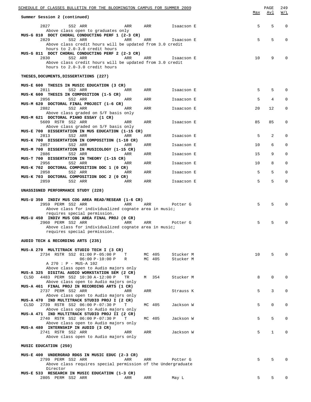| SCHEDULE OF CLASSES BULLETIN FOR THE BLOOMINGTON CAMPUS FOR SUMMER 2009                                                                   |     | PAGE         | 249          |
|-------------------------------------------------------------------------------------------------------------------------------------------|-----|--------------|--------------|
| Summer Session 2 (continued)                                                                                                              | Max | Avl          | W/L          |
| 2827<br>SS2 ARR<br>ARR<br>ARR<br>Isaacson E<br>Above class open to graduates only<br>MUS-G 810 DOCT CHORAL CONDUCTING PERF 1 (2-3 CR)     | 5   | 5            | $\mathbf 0$  |
| 2829<br>SS2 ARR<br>ARR<br>ARR<br>Isaacson E<br>Above class credit hours will be updated from 3.0 credit<br>hours to 2.0-3.0 credit hours  | 5   | 5            | $\Omega$     |
| MUS-G 811 DOCT CHORAL CONDUCTING PERF 2 (2-3 CR)<br>2830<br>SS2 ARR<br>ARR<br>ARR<br>Isaacson E                                           | 10  | 9            | $\Omega$     |
| Above class credit hours will be updated from 3.0 credit<br>hours to 2.0-3.0 credit hours                                                 |     |              |              |
| THESES, DOCUMENTS, DISSERTATIONS (227)                                                                                                    |     |              |              |
| MUS-E 600 THESIS IN MUSIC EDUCATION (3 CR)<br>2811<br>SS2 ARR<br>ARR<br>ARR<br>Isaacson E                                                 | 5   | 5            | $\Omega$     |
| MUS-K 600 THESIS IN COMPOSITION (1-5 CR)<br>2856<br>SS2 ARR<br>ARR<br>ARR<br>Isaacson E                                                   | 5   | 4            | $\Omega$     |
| MUS-M 620 DOCTORAL FINAL PROJECT (1-6 CR)                                                                                                 |     |              |              |
| 2882<br>SS2 ARR<br>ARR<br>ARR<br>Isaacson E<br>Above class graded on S/F basis only<br>MUS-M 621 DOCTORAL PIANO ESSAY (1 CR)              | 20  | 12           | $\mathbf 0$  |
| 5609 RSTR SS2 ARR<br>ARR<br>ARR<br>Isaacson E<br>Above class graded on S/F basis only                                                     | 85  | 85           | 0            |
| MUS-E 700 DISSERTATION IN MUS EDUCATION (1-15 CR)<br>2813<br>SS2 ARR<br>ARR<br>ARR<br>Isaacson E                                          | 5   | 2            | $\Omega$     |
| MUS-K 700 DISSERTATION IN COMPOSITION (1-10 CR)<br>2857<br>SS2 ARR<br>ARR<br>ARR<br>Isaacson E                                            | 10  | 6            | $\mathbf 0$  |
| MUS-M 700 DISSERTATION IN MUSICOLOGY (1-15 CR)<br>2886<br>SS2 ARR<br>ARR<br>ARR<br>Isaacson E                                             | 15  | 9            | $\mathbf 0$  |
| MUS-T 700 DISSERTATION IN THEORY (1-15 CR)                                                                                                | 10  |              | $\mathbf 0$  |
| SS2 ARR<br>2956<br>ARR<br>Isaacson E<br>ARR<br>MUS-K 702 DOCTORAL COMPOSITION DOC 1 (0 CR)<br>SS2 ARR<br>2858<br>ARR<br>ARR<br>Isaacson E | 5   | 8<br>5       | $\Omega$     |
| MUS-K 703 DOCTORAL COMPOSITION DOC 2 (0 CR)<br>2859<br>SS2 ARR<br>ARR<br>ARR<br>Isaacson E                                                | 5   | 5            | 0            |
| UNASSIGNED PERFORMANCE STUDY (228)                                                                                                        |     |              |              |
| MUS-U 350 INDIV MUS COG AREA READ/RESEAR (1-6 CR)                                                                                         |     |              |              |
| 2959 PERM SS2 ARR<br>ARR<br>ARR<br>Potter G<br>Above class for individualized cognate area in music;                                      | 5   | 5            | <sup>0</sup> |
| requires special permission.<br>MUS-U 450 INDIV MUS COG AREA FINAL PROJ (0 CR)<br>2960 PERM SS2 ARR<br>ARR<br>ARR<br>Potter G             | 5   | 5            | $\Omega$     |
| Above class for individualized cognate area in music;<br>requires special permission.                                                     |     |              |              |
| AUDIO TECH & RECORDING ARTS (235)                                                                                                         |     |              |              |
| MUS-A 270 MULTITRACK STUDIO TECH I (3 CR)                                                                                                 |     |              |              |
| 2734 RSTR SS2 01:00 P-05:00 P<br>MC 405<br>Stucker M<br>т<br>$06:00 P-10:00 P$<br>MC 405<br>Stucker M<br>R                                | 10  | 5            | $\Omega$     |
| A 270 : P - MUS-A 102<br>Above class open to Audio majors only                                                                            |     |              |              |
| MUS-A 325 DIGITAL AUDIO WORKSTATION SEM (2 CR)<br>4483 PERM SS2 10:30 A-12:00 P<br>M 354<br>Stucker M<br>CLSD<br>TR                       | 8   | $\mathbf 0$  | $\mathbf 0$  |
| Above class open to Audio majors only<br>MUS-A 461 FINAL PROJ IN RECORDING ARTS (1 CR)                                                    |     |              |              |
| 2737 PERM SS2 ARR<br>Strauss K<br>ARR<br>ARR<br>Above class open to Audio majors only                                                     | 5   | 3            | $\mathbf 0$  |
| MUS-A 470 IND MULTITRACK STUDIO PROJ I (2 CR)<br>2739 RSTR SS2 06:00 P-07:30 P<br>MC 405<br>Jackson W<br>CLSD<br>т                        | 5   | 0            | 0            |
| Above class open to Audio majors only<br>MUS-A 471 IND MULTITRACK STUDIO PROJ II (2 CR)                                                   |     |              |              |
| 2740 RSTR SS2 06:00 P-07:30 P<br>MC 405<br>Jackson W<br>Т<br>Above class open to Audio majors only                                        | 5   | 5            | 0            |
| MUS-A 480 INTERNSHIP IN AUDIO (3 CR)<br>Jackson W                                                                                         | 5   | $\mathbf{1}$ | 0            |
| 2741 RSTR SS2 ARR<br>ARR<br>ARR<br>Above class open to Audio majors only                                                                  |     |              |              |
| MUSIC EDUCATION (250)                                                                                                                     |     |              |              |
| MUS-E 400 UNDERGRAD RDGS IN MUSIC EDUC (2-3 CR)<br>2799 PERM SS2 ARR<br>ARR<br>ARR<br>Potter G                                            | 5   | 5            | $\Omega$     |
| Above class requires special permission of the Undergraduate<br>Director                                                                  |     |              |              |
| MUS-E 533 RESEARCH IN MUSIC EDUCATION (1-3 CR)<br>2805 PERM SS2 ARR<br>ARR<br>ARR<br>May L                                                | 5   | 5            | 0            |
|                                                                                                                                           |     |              |              |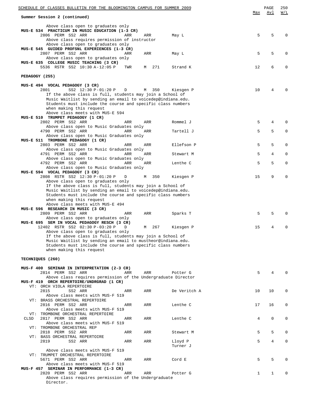| SCHEDULE OF CLASSES BULLETIN FOR THE BLOOMINGTON CAMPUS FOR SUMMER 2009<br>Summer Session 2 (continued)             | Max         | PAGE<br>Avl | 250<br>W/L   |
|---------------------------------------------------------------------------------------------------------------------|-------------|-------------|--------------|
|                                                                                                                     |             |             |              |
| Above class open to graduates only<br>MUS-E 534 PRACTICUM IN MUSIC EDUCATION (1-3 CR)                               |             |             |              |
| 2806 PERM SS2 ARR<br>ARR<br>ARR<br>May L                                                                            | 5           | 5           | 0            |
| Above class requires permission of instructor                                                                       |             |             |              |
| Above class open to graduates only<br>MUS-E 545 GUIDED PROFSNL EXPERIENCES (1-3 CR)                                 |             |             |              |
| 2807 PERM SS2 ARR<br>ARR<br>ARR<br>May L                                                                            | 5           | 5           | 0            |
| Above class open to graduates only                                                                                  |             |             |              |
| MUS-E 635 COLLEGE MUSIC TEACHING (3 CR)                                                                             |             |             |              |
| 5536 RSTR SS2 10:30 A-12:05 P<br>271<br>TWR<br>Strand K<br>M                                                        | 12          | 6           | $\Omega$     |
| PEDAGOGY (255)                                                                                                      |             |             |              |
|                                                                                                                     |             |             |              |
| MUS-E 494 VOCAL PEDAGOGY (3 CR)                                                                                     |             |             |              |
| 2801<br>SS2 12:30 P-01:20 P<br>M 350<br>D<br>Kiesgen P<br>If the above class is full, students may join a School of | 10          | 4           | O            |
| Music Waitlist by sending an email to voicedep@indiana.edu.                                                         |             |             |              |
| Students must include the course and specific class numbers                                                         |             |             |              |
| when making this request                                                                                            |             |             |              |
| Above class meets with MUS-E 594<br>MUS-E 510 TRUMPET PEDAGOGY (1 CR)                                               |             |             |              |
| 2802 PERM SS2 ARR<br>ARR<br>ARR<br>Rommel J                                                                         | 5           | 4           | $\Omega$     |
| Above class open to Music Graduates only                                                                            |             |             |              |
| 4790 PERM SS2 ARR<br>ARR<br>ARR<br>Tartell J                                                                        | 5           | 5           | 0            |
| Above class open to Music Graduates only<br>MUS-E 511 TROMBONE PEDAGOGY (1 CR)                                      |             |             |              |
| 2803 PERM SS2 ARR<br>ARR<br>ARR<br>Ellefson P                                                                       | 5           | 5           | 0            |
| Above class open to Music Graduates only                                                                            |             |             |              |
| 4791 PERM SS2 ARR<br>Stewart M<br>ARR<br>ARR                                                                        | 5           | 4           | 0            |
| Above class open to Music Graduates only<br>4792 PERM SS2 ARR<br>ARR<br>ARR<br>Lenthe C                             | 5           | 5           | 0            |
| Above class open to Music Graduates only                                                                            |             |             |              |
| MUS-E 594 VOCAL PEDAGOGY (3 CR)                                                                                     |             |             |              |
| 2808 RSTR SS2 12:30 P-01:20 P<br>350<br>М<br>Kiesgen P<br>D                                                         | 15          | 9           | 0            |
| Above class open to graduates only<br>If the above class is full, students may join a School of                     |             |             |              |
| Music Waitlist by sending an email to voicedep@indiana.edu.                                                         |             |             |              |
| Students must include the course and specific class numbers                                                         |             |             |              |
| when making this request                                                                                            |             |             |              |
| Above class meets with MUS-E 494<br>MUS-E 596 RESEARCH IN MUSIC (3 CR)                                              |             |             |              |
| 2809 PERM SS2 ARR<br>ARR<br>Sparks T<br>ARR                                                                         | 5           | 5           | $\Omega$     |
| Above class open to graduates only                                                                                  |             |             |              |
| MUS-E 695 SEM IN VOCAL PEDAGOGY RESCH (3 CR)                                                                        |             |             |              |
| 12402 RSTR SS2 02:30 P-03:20 P<br>267<br>Kiesgen P<br>D<br>M<br>Above class open to graduates only                  | 15          | 4           | 0            |
| If the above class is full, students may join a School of                                                           |             |             |              |
| Music Waitlist by sending an email to mustheor@indiana.edu.                                                         |             |             |              |
| Students must include the course and specific class numbers                                                         |             |             |              |
| when making this request                                                                                            |             |             |              |
| TECHNIQUES (260)                                                                                                    |             |             |              |
|                                                                                                                     |             |             |              |
| MUS-F 400 SEMINAR IN INTERPRETATION (2-3 CR)                                                                        |             |             |              |
| 2814 PERM SS2 ARR<br>ARR<br>ARR<br>Potter G                                                                         | 5           | 4           | <sup>0</sup> |
| Above class requires permission of the Undergraduate Director<br>MUS-F 419 ORCH REPERTOIRE/UNDRGRAD (1 CR)          |             |             |              |
| VT: ORCH VIOLA REPERTOIRE                                                                                           |             |             |              |
| 2815<br>SS2 ARR<br>De Veritch A<br>ARR<br>ARR                                                                       | 10          | 10          | 0            |
| Above class meets with MUS-F 519                                                                                    |             |             |              |
| VT: BRASS ORCHESTRAL REPERTOIRE<br>2816 PERM SS2 ARR<br>Lenthe C<br>ARR<br>ARR                                      | 17          | 16          | 0            |
| Above class meets with MUS-F 519                                                                                    |             |             |              |
| VT: TROMBONE ORCHESTRAL REPERTOIRE                                                                                  |             |             |              |
| 2817 PERM SS2 ARR<br>CLSD<br>ARR<br>ARR<br>Lenthe C                                                                 | 4           | $\mathbf 0$ | 0            |
| Above class meets with MUS-F 519<br>VT: TROMBONE ORCHESTRAL REP                                                     |             |             |              |
| 2818 PERM SS2 ARR<br>ARR<br>ARR<br>Stewart M                                                                        | 5           | 5           | $\Omega$     |
| VT: BASS ORCHESTRAL REPERTOIRE                                                                                      |             |             |              |
| 2819<br>SS2 ARR<br>ARR<br>ARR<br>Lloyd P                                                                            | 5           | 4           | 0            |
| Turner J                                                                                                            |             |             |              |
| Above class meets with MUS-F 519<br>VT: TRUMPET ORCHESTRAL REPERTOIRE                                               |             |             |              |
| 5671 PERM SS2 ARR<br>ARR<br>ARR<br>Cord E                                                                           | 5           | 5           | $\Omega$     |
| Above class meets with MUS-F 519                                                                                    |             |             |              |
| MUS-F 457 SEMINAR IN PERFORMANCE (1-3 CR)                                                                           |             |             |              |
| 2820 PERM SS2 ARR<br>ARR<br>ARR<br>Potter G<br>Above class requires permission of the Undergraduate                 | $\mathbf 1$ | 1           | 0            |
| Director.                                                                                                           |             |             |              |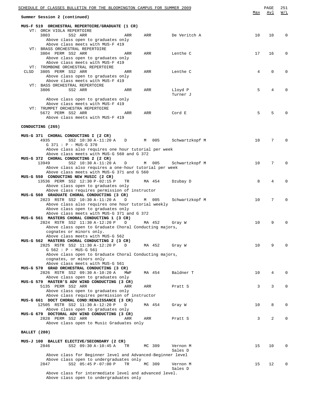|                  | <u>SCHEDULE OF CLASSES BULLETIN FOR THE BLOOMINGTON CAMPUS FOR SUMMER 2009</u>          |     |        |     |                     |                 | PAGE     | 251      |
|------------------|-----------------------------------------------------------------------------------------|-----|--------|-----|---------------------|-----------------|----------|----------|
|                  | Summer Session 2 (continued)                                                            |     |        |     |                     | Max             | Avl      | W/L      |
|                  | MUS-F 519 ORCHESTRAL REPERTOIRE/GRADUATE (1 CR)<br>VT: ORCH VIOLA REPERTOIRE            |     |        |     |                     |                 |          |          |
|                  | 3803<br>SS2 ARR                                                                         | ARR | ARR    |     | De Veritch A        | 10              | 10       | $\Omega$ |
|                  | Above class open to graduates only                                                      |     |        |     |                     |                 |          |          |
|                  | Above class meets with MUS-F 419<br>VT: BRASS ORCHESTRAL REPERTOIRE                     |     |        |     |                     |                 |          |          |
|                  | 3804 PERM SS2 ARR                                                                       | ARR | ARR    |     | Lenthe C            | 17              | 16       | $\Omega$ |
|                  | Above class open to graduates only<br>Above class meets with MUS-F 419                  |     |        |     |                     |                 |          |          |
|                  | VT: TROMBONE ORCHESTRAL REPERTOIRE                                                      |     |        |     |                     |                 |          |          |
| CLSD             | 3805 PERM SS2 ARR                                                                       | ARR | ARR    |     | Lenthe C            | 4               | $\Omega$ | $\Omega$ |
|                  | Above class open to graduates only                                                      |     |        |     |                     |                 |          |          |
|                  | Above class meets with MUS-F 419<br>VT: BASS ORCHESTRAL REPERTOIRE                      |     |        |     |                     |                 |          |          |
|                  | 3806<br>SS2 ARR                                                                         | ARR | ARR    |     | Lloyd P             | 5               | 4        | $\Omega$ |
|                  |                                                                                         |     |        |     | Turner J            |                 |          |          |
|                  | Above class open to graduates only<br>Above class meets with MUS-F 419                  |     |        |     |                     |                 |          |          |
|                  | VT: TRUMPET ORCHESTRA REPERTOIRE                                                        |     |        |     |                     |                 |          |          |
|                  | 5672 PERM SS2 ARR                                                                       | ARR | ARR    |     | Cord E              | 5               | 5        | $\Omega$ |
|                  | Above class meets with MUS-F 419                                                        |     |        |     |                     |                 |          |          |
| CONDUCTING (265) |                                                                                         |     |        |     |                     |                 |          |          |
|                  |                                                                                         |     |        |     |                     |                 |          |          |
|                  | MUS-G 371 CHORAL CONDUCTING I (2 CR)                                                    |     |        |     |                     |                 |          |          |
|                  | 4935<br>SS2 10:30 A-11:20 A<br>G 371 : P - MUS-G 370                                    | D   | M      | 005 | Schwartzkopf M      | 10 <sup>°</sup> | 7        | $\Omega$ |
|                  | Above class also requires one hour tutorial per week                                    |     |        |     |                     |                 |          |          |
|                  | Above class meets with MUS-G 560 and G 372                                              |     |        |     |                     |                 |          |          |
|                  | MUS-G 372 CHORAL CONDUCTING 2 (2 CR)<br>13949<br>SS2 10:30 A-11:20 A                    |     |        |     |                     | 10              | 7        | $\Omega$ |
|                  | Above class also requires a one-hour tutorial per week                                  | D   | M      | 005 | Schwartzkopf M      |                 |          |          |
|                  | Above class meets with MUS-G 371 and G 560                                              |     |        |     |                     |                 |          |          |
|                  | MUS-G 550 CONDUCTING NEW MUSIC (2 CR)                                                   |     |        |     |                     |                 |          | $\Omega$ |
|                  | 13536 PERM SS2 12:30 P-02:15 P<br>Above class open to graduates only                    | TR  | MA 454 |     | Dzubay D            | 8               | 4        |          |
|                  | Above class requires permission of instructor                                           |     |        |     |                     |                 |          |          |
|                  | MUS-G 560 GRADUATE CHORAL CONDUCTING (3 CR)                                             |     |        |     |                     |                 |          |          |
|                  | 2823 RSTR SS2 10:30 A-11:20 A<br>Above class also requires one hour tutorial weekly     | D   | М      | 005 | Schwartzkopf M      | 10              | 7        | $\Omega$ |
|                  | Above class open to graduates only                                                      |     |        |     |                     |                 |          |          |
|                  | Above class meets with MUS-G 371 and G 372                                              |     |        |     |                     |                 |          |          |
|                  | MUS-G 561 MASTERS CHORAL CONDUCTING 1 (3 CR)                                            |     |        |     |                     |                 |          |          |
|                  | 2824 RSTR SS2 11:30 A-12:20 P<br>Above class open to Graduate Choral Conducting majors, | D   | MA 452 |     | Gray W              | 10              | 9        | $\Omega$ |
|                  | cognates or minors only.                                                                |     |        |     |                     |                 |          |          |
|                  | Above class meets with MUS-G 562                                                        |     |        |     |                     |                 |          |          |
|                  | MUS-G 562 MASTERS CHORAL CONDUCTING 2 (3 CR)<br>2825 RSTR SS2 11:30 A-12:20 P           | D   | MA 452 |     | Gray W              | 10              | 9        | $\Omega$ |
|                  | G 562 : P - MUS-G 561                                                                   |     |        |     |                     |                 |          |          |
|                  | Above class open to Graduate Choral Conducting majors,                                  |     |        |     |                     |                 |          |          |
|                  | cognates, or minors only<br>Above class meets with MUS-G 561                            |     |        |     |                     |                 |          |          |
|                  | MUS-G 570 GRAD ORCHESTRAL CONDUCTING (3 CR)                                             |     |        |     |                     |                 |          |          |
|                  | 2826 RSTR SS2 09:30 A-10:20 A                                                           | MWF | MA 454 |     | Baldner T           | 10              | 4        | $\Omega$ |
|                  | Above class open to graduates only                                                      |     |        |     |                     |                 |          |          |
|                  | MUS-G 579 MASTER'S ADV WIND CONDUCTING (3 CR)<br>5135 PERM SS2 ARR                      | ARR | ARR    |     | Pratt S             | 3               | 3        | 0        |
|                  | Above class open to graduates only                                                      |     |        |     |                     |                 |          |          |
|                  | Above class requires permission of instructor                                           |     |        |     |                     |                 |          |          |
|                  | MUS-G 661 DOCT CHORAL COND:RENAISSANCE (3 CR)                                           |     |        |     |                     |                 |          | 0        |
|                  | 12505 RSTR SS2 11:30 A-12:20 P<br>Above class open to graduates only                    | D   | MA 454 |     | Gray W              | 10              | 8        |          |
|                  | MUS-G 679 DOCTORAL ADV WIND CONDUCTING (3 CR)                                           |     |        |     |                     |                 |          |          |
|                  | 2828 PERM SS2 ARR                                                                       | ARR | ARR    |     | Pratt S             | 3               | 2        | $\Omega$ |
|                  | Above class open to Music Graduates only                                                |     |        |     |                     |                 |          |          |
| BALLET (280)     |                                                                                         |     |        |     |                     |                 |          |          |
|                  |                                                                                         |     |        |     |                     |                 |          |          |
|                  | MUS-J 100 BALLET ELECTIVE/SECONDARY (2 CR)                                              |     |        |     |                     |                 |          |          |
|                  | SS2 09:30 A-10:45 A<br>2846                                                             | TR  | MC 309 |     | Vernon M<br>Sales D | 15              | 10       | $\Omega$ |
|                  | Above class for Beginner level and Advanced-Beginner level                              |     |        |     |                     |                 |          |          |
|                  | Above class open to undergraduates only                                                 |     |        |     |                     |                 |          |          |
|                  | SS2 05:45 P-07:00 P<br>2847                                                             | TR  | MC 309 |     | Vernon M<br>Sales D | 15              | 12       | $\Omega$ |
|                  | Above class for intermediate level and advanced level.                                  |     |        |     |                     |                 |          |          |
|                  | Above class open to undergraduates only                                                 |     |        |     |                     |                 |          |          |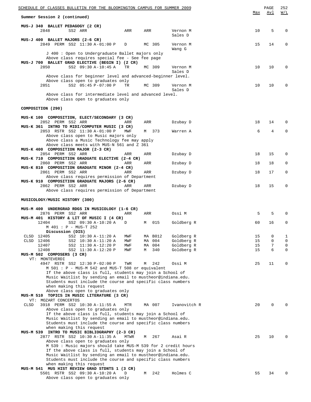| SCHEDULE OF CLASSES BULLETIN FOR THE BLOOMINGTON CAMPUS FOR SUMMER 2009                                                    |                  |                |                          |          | PAGE             | 252              |
|----------------------------------------------------------------------------------------------------------------------------|------------------|----------------|--------------------------|----------|------------------|------------------|
| Summer Session 2 (continued)                                                                                               |                  |                |                          | Max      | Avl              | W/L              |
| MUS-J 340 BALLET PEDAGOGY (2 CR)                                                                                           |                  |                |                          |          |                  |                  |
| SS2 ARR<br>2848                                                                                                            | ARR              | ARR            | Vernon M                 | 10       | 5                | $\mathbf 0$      |
| MUS-J 400 BALLET MAJORS (2-6 CR)                                                                                           |                  |                | Sales D                  |          |                  |                  |
| 2849 PERM SS2 11:30 A-01:00 P<br>D                                                                                         |                  | MC 305         | Vernon M                 | 15       | 14               | $\mathbf 0$      |
|                                                                                                                            |                  |                | Wang G                   |          |                  |                  |
| J 400: Open to Undergraduate Ballet majors only<br>Above class requires special fee - See fee page                         |                  |                |                          |          |                  |                  |
| MUS-J 700 BALLET GRAD ELECTIVE (BEGIN I) (2 CR)                                                                            |                  |                |                          |          |                  |                  |
| 2850<br>SS2 09:30 A-10:45 A                                                                                                | TR               | MC 309         | Vernon M                 | 10       | 10               | $\mathbf 0$      |
|                                                                                                                            |                  |                | Sales D                  |          |                  |                  |
| Above class for beginner level and advanced-beginner level.<br>Above class open to graduates only                          |                  |                |                          |          |                  |                  |
| 2851<br>SS2 05:45 P-07:00 P                                                                                                | TR               | MC 309         | Vernon M                 | 10       | 10               | $\mathbf 0$      |
|                                                                                                                            |                  |                | Sales D                  |          |                  |                  |
| Above class for intermediate level and advanced level.<br>Above class open to graduates only                               |                  |                |                          |          |                  |                  |
|                                                                                                                            |                  |                |                          |          |                  |                  |
| COMPOSITION (290)                                                                                                          |                  |                |                          |          |                  |                  |
|                                                                                                                            |                  |                |                          |          |                  |                  |
| MUS-K 100 COMPOSITION, ELECT/SECONDARY (3 CR)<br>2852 PERM SS2 ARR                                                         | ARR              | ARR            | Dzubay D                 | 18       | 14               | 0                |
| MUS-K 361 INTRO TO MIDI/COMPUTER MUSIC (3 CR)                                                                              |                  |                |                          |          |                  |                  |
| 2853 RSTR SS2 11:30 A-01:00 P                                                                                              | MWF              | M 373          | Warren A                 | 6        | 4                | $\mathbf 0$      |
| Above class open to Music majors only                                                                                      |                  |                |                          |          |                  |                  |
| Above class a Music Technology fee may apply<br>Above class meets with MUS-N 561 and Z 361                                 |                  |                |                          |          |                  |                  |
| MUS-K 400 COMPOSITION MAJOR (2-3 CR)                                                                                       |                  |                |                          |          |                  |                  |
| 2854 PERM SS2 ARR                                                                                                          | ARR              | ARR            | Dzubay D                 | 18       | 15               | $\mathbf 0$      |
| MUS-K 710 COMPOSITION GRADUATE ELECTIVE (2-4 CR)<br>2860 PERM SS2 ARR                                                      | ARR              | ARR            | Dzubay D                 | 18       | 18               | $\mathbf 0$      |
| MUS-K 810 COMPOSITION GRADUATE MINOR (2-4 CR)                                                                              |                  |                |                          |          |                  |                  |
| 2861 PERM SS2 ARR                                                                                                          | ARR              | ARR            | Dzubay D                 | 18       | 17               | $\mathbf 0$      |
| Above class requires permission of Department                                                                              |                  |                |                          |          |                  |                  |
| MUS-K 910 COMPOSITION GRADUATE MAJORS (2-6 CR)<br>2862 PERM SS2 ARR                                                        | ARR              | ARR            | Dzubay D                 | 18       | 15               | $\mathbf 0$      |
| Above class requires permission of Department                                                                              |                  |                |                          |          |                  |                  |
|                                                                                                                            |                  |                |                          |          |                  |                  |
| MUSICOLOGY/MUSIC HISTORY (300)                                                                                             |                  |                |                          |          |                  |                  |
| MUS-M 400 UNDERGRAD RDGS IN MUSICOLOGY (1-6 CR)                                                                            |                  |                |                          |          |                  |                  |
| 2876 PERM SS2 ARR                                                                                                          | ARR              | ARR            | Ossi M                   | 5        | 5                | 0                |
| MUS-M 401 HISTORY & LIT OF MUSIC I (4 CR)<br>12404<br>SS2 09:30 A-10:20 A<br>D                                             | M                | 015            | Goldberg R               | 60       | 16               | 0                |
| M 401 : P - MUS-T 252                                                                                                      |                  |                |                          |          |                  |                  |
| Discussion (DIS)                                                                                                           |                  |                |                          |          |                  |                  |
| CLSD 12405<br>SS2 10:30 A-11:20 A<br>CLSD 12406<br>SS2 10:30 A-11:20 A                                                     | MWF<br>MWF<br>ΜA | MA B012<br>004 | Goldberg R<br>Goldberg R | 15<br>15 | $\mathsf 0$<br>0 | 1<br>$\mathsf 0$ |
| 12407<br>SS2 11:30 A-12:20 P                                                                                               | MWF<br>MA        | 004            | Goldberg R               | 15       | 7                | 0                |
| 12408<br>SS2 11:30 A-12:20 P                                                                                               | MWF<br>М         | 340            | Goldberg R               | 15       | 6                | $\mathbf 0$      |
| MUS-M 502 COMPOSERS (3 CR)                                                                                                 |                  |                |                          |          |                  |                  |
| VT: MONTEVERDI<br>4947 RSTR SS2 12:30 P-02:00 P                                                                            | TWR<br>М         | 242            | Ossi M                   | 25       | 11               | 0                |
| M 501 : P - MUS-M 542 and MUS-T 508 or equivalent                                                                          |                  |                |                          |          |                  |                  |
| If the above class is full, students may join a School of                                                                  |                  |                |                          |          |                  |                  |
| Music Waitlist by sending an email to mustheor@indiana.edu.<br>Students must include the course and specific class numbers |                  |                |                          |          |                  |                  |
| when making this request                                                                                                   |                  |                |                          |          |                  |                  |
| Above class open to graduates only                                                                                         |                  |                |                          |          |                  |                  |
| MUS-M 510 TOPICS IN MUSIC LITERATURE (3 CR)                                                                                |                  |                |                          |          |                  |                  |
| VT: MOZART CONCERTOS<br>3918 PERM SS2 10:30 A-11:55 A<br>CLSD                                                              | MTR              | MA 007         | Ivanovitch R             | 20       | 0                | 0                |
| Above class open to graduates only                                                                                         |                  |                |                          |          |                  |                  |
| If the above class is full, students may join a School of                                                                  |                  |                |                          |          |                  |                  |
| Music Waitlist by sending an email to mustheor@indiana.edu.<br>Students must include the course and specific class numbers |                  |                |                          |          |                  |                  |
| when making this request                                                                                                   |                  |                |                          |          |                  |                  |
| MUS-M 539 INTRO TO MUSIC BIBLIOGRAPHY (2-3 CR)                                                                             |                  |                |                          |          |                  |                  |
| 2877 RSTR SS2 10:30 A-11:35 A                                                                                              | <b>MTWR</b><br>М | 267            | Asai R                   | 25       | 10               | 0                |
| Above class open to graduates only<br>M 539 : Music majors should take MUS-M 539 for 2 credit hours                        |                  |                |                          |          |                  |                  |
| If the above class is full, students may join a School of                                                                  |                  |                |                          |          |                  |                  |
| Music Waitlist by sending an email to mustheor@indiana.edu.                                                                |                  |                |                          |          |                  |                  |
| Students must include the course and specific class numbers                                                                |                  |                |                          |          |                  |                  |
| when making this request<br>MUS-M 541 MUS HIST REVIEW GRAD STDNTS 1 (3 CR)                                                 |                  |                |                          |          |                  |                  |
| 5501 RSTR SS2 09:30 A-10:20 A<br>D                                                                                         | М                | 242            | Holmes C                 | 55       | 34               | $\mathbf 0$      |
| Above class open to graduates only                                                                                         |                  |                |                          |          |                  |                  |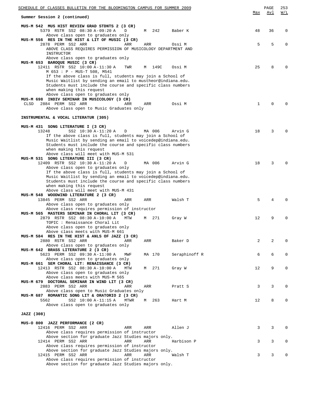| SCHEDULE OF CLASSES BULLETIN FOR THE BLOOMINGTON CAMPUS FOR SUMMER 2009                                                  |           |               |              | PAGE | 253                             |
|--------------------------------------------------------------------------------------------------------------------------|-----------|---------------|--------------|------|---------------------------------|
| Summer Session 2 (continued)                                                                                             |           |               | Max          | Avl  | $\overline{M}$ / $\overline{L}$ |
| MUS-M 542 MUS HIST REVIEW GRAD STDNTS 2 (3 CR)                                                                           |           |               |              |      |                                 |
| 5379 RSTR SS2 08:30 A-09:20 A<br>D<br>Above class open to graduates only                                                 | 242<br>M  | Baber K       | 48           | 36   | 0                               |
| MUS-M 556 RES IN THE HIST & LIT OF MUSIC (3 CR)                                                                          |           |               |              |      |                                 |
| 2878 PERM SS2 ARR<br>ARR                                                                                                 | ARR       | Ossi M        | 5            | 5    | $\Omega$                        |
| ABOVE CLASS REQUIRES PERMISSION OF MUSICOLOGY DEPARTMENT AND<br>INSTRUCTOR                                               |           |               |              |      |                                 |
| Above class open to graduates only                                                                                       |           |               |              |      |                                 |
| MUS-M 653 BAROQUE MUSIC (3 CR)                                                                                           |           |               |              |      |                                 |
| 12411 RSTR SS2 10:00 A-11:30 A<br>TWR                                                                                    | 149C<br>M | Ossi M        | 25           | 8    | $\Omega$                        |
| M 653 : P - MUS-T 508, M541                                                                                              |           |               |              |      |                                 |
| If the above class is full, students may join a School of<br>Music Waitlist by sending an email to mustheor@indiana.edu. |           |               |              |      |                                 |
| Students must include the course and specific class numbers                                                              |           |               |              |      |                                 |
| when making this request                                                                                                 |           |               |              |      |                                 |
| Above class open to graduates only                                                                                       |           |               |              |      |                                 |
| MUS-M 698 INDIV SEMINAR IN MUSICOLOGY (3 CR)<br>2884 PERM SS2 ARR<br>CLSD<br>ARR                                         | ARR       | Ossi M        | $\mathbf{1}$ | 0    | 0                               |
| Above class open to Music Graduates only                                                                                 |           |               |              |      |                                 |
|                                                                                                                          |           |               |              |      |                                 |
| INSTRUMENTAL & VOCAL LITERATUR (305)                                                                                     |           |               |              |      |                                 |
| MUS-M 431 SONG LITERATURE I (3 CR)                                                                                       |           |               |              |      |                                 |
| 13248<br>SS2 10:30 A-11:20 A<br>D                                                                                        | MA 006    | Arvin G       | 18           | 3    | $\Omega$                        |
| If the above class is full, students may join a School of                                                                |           |               |              |      |                                 |
| Music Waitlist by sending an email to voicedep@indiana.edu.                                                              |           |               |              |      |                                 |
| Students must include the course and specific class numbers<br>when making this request                                  |           |               |              |      |                                 |
| Above class will meet with MUS-M 531                                                                                     |           |               |              |      |                                 |
| MUS-M 531 SONG LITERATURE III (3 CR)                                                                                     |           |               |              |      |                                 |
| 12409 RSTR SS2 10:30 A-11:20 A<br>D                                                                                      | MA 006    | Arvin G       | 18           | 3    | $\Omega$                        |
| Above class open to graduates only<br>If the above class is full, students may join a School of                          |           |               |              |      |                                 |
| Music Waitlist by sending an email to voicedep@indiana.edu.                                                              |           |               |              |      |                                 |
| Students must include the course and specific class numbers                                                              |           |               |              |      |                                 |
| when making this request                                                                                                 |           |               |              |      |                                 |
| Above class will meet with MUS-M 431<br>MUS-M 548 WOODWIND LITERATURE 2 (3 CR)                                           |           |               |              |      |                                 |
| 13845 PERM SS2 ARR<br>ARR                                                                                                | ARR       | Walsh T       | 5            | 4    |                                 |
| Above class open to graduates only                                                                                       |           |               |              |      |                                 |
| Above class requires permission of instructor                                                                            |           |               |              |      |                                 |
| MUS-M 565 MASTERS SEMINAR IN CHORAL LIT (3 CR)<br>2879 RSTR SS2 08:30 A-10:00 A                                          |           |               | 12           | 9    | $\Omega$                        |
| MTW<br>TOPIC : Renaissance Choral Lit                                                                                    | 271<br>M  | Gray W        |              |      |                                 |
| Above class open to graduates only                                                                                       |           |               |              |      |                                 |
| Above class meets with MUS-M 661                                                                                         |           |               |              |      |                                 |
| MUS-M 584 RES IN THE HIST & ANLS OF JAZZ (3 CR)                                                                          |           |               |              |      |                                 |
| 2880 RSTR SS2 ARR<br>ARR<br>Above class open to graduates only                                                           | ARR       | Baker D       | 2            | 2    | 0                               |
| MUS-M 642 BRASS LITERATURE 2 (3 CR)                                                                                      |           |               |              |      |                                 |
| 5623 PERM SS2 09:30 A-11:00 A<br>MWF                                                                                     | MA 170    | Seraphinoff R | 6            | 6    | 0                               |
| Above class open to graduates only                                                                                       |           |               |              |      |                                 |
| MUS-M 661 SEM CHORAL LIT: RENAISSANCE (3 CR)<br>12413 RSTR SS2 08:30 A-10:00 A<br>MTW                                    | M 271     | Gray W        | 12           | 9    | 0                               |
| Above class open to graduates only                                                                                       |           |               |              |      |                                 |
| Above class meets with MUS-M 565                                                                                         |           |               |              |      |                                 |
| MUS-M 679 DOCTORAL SEMINAR IN WIND LIT (3 CR)                                                                            |           |               |              |      |                                 |
| 2883 PERM SS2 ARR<br>ARR<br>Above class open to Music Graduates only                                                     | ARR       | Pratt S       | 3            | 3    | 0                               |
| MUS-M 687 ROMANTIC SONG LIT & ORATORIO 2 (3 CR)                                                                          |           |               |              |      |                                 |
| 5562<br>SS2 10:00 A-11:15 A<br>MTWR                                                                                      | M 263     | Hart M        | 12           | 8    | 0                               |
| Above class open to graduates only                                                                                       |           |               |              |      |                                 |
| JAZZ (308)                                                                                                               |           |               |              |      |                                 |
|                                                                                                                          |           |               |              |      |                                 |
| MUS-O 800 JAZZ PERFORMANCE (2 CR)                                                                                        |           |               |              |      |                                 |
| 12416 PERM SS2 ARR<br>ARR                                                                                                | ARR       | Allen J       | 3            | 3    | $\Omega$                        |
| Above class requires permission of instructor                                                                            |           |               |              |      |                                 |
| Above section for graduate Jazz Studies majors only.<br>12414 PERM SS2 ARR<br>ARR                                        | ARR       | Harbison P    | 3            | 3    | 0                               |
| Above class requires permission of instructor                                                                            |           |               |              |      |                                 |
| Above section for graduate Jazz Studies majors only.                                                                     |           |               |              |      |                                 |
| 12415 PERM SS2 ARR<br>ARR                                                                                                | ARR       | Walsh T       | 3            | 3    | $\Omega$                        |
| Above class requires permission of instructor<br>Above section for graduate Jazz Studies majors only.                    |           |               |              |      |                                 |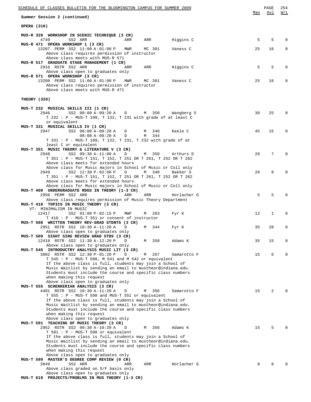| SCHEDULE OF CLASSES BULLETIN FOR THE BLOOMINGTON CAMPUS FOR SUMMER 2009                                                    |     |                  |             |     | PAGE            | 254          |
|----------------------------------------------------------------------------------------------------------------------------|-----|------------------|-------------|-----|-----------------|--------------|
| Summer Session 2 (continued)                                                                                               |     |                  |             | Max | Avl             | W/L          |
| OPERA (310)                                                                                                                |     |                  |             |     |                 |              |
| MUS-R 320 WORKSHOP IN SCENIC TECHNIQUE (3 CR)<br>4749<br>SS2 ARR                                                           | ARR | ARR              | Higgins C   | 5   | 5               | $\Omega$     |
| MUS-R 471 OPERA WORKSHOP 1 (3 CR)                                                                                          |     |                  |             |     |                 |              |
| 13207 PERM SS2 11:00 A-01:00 P                                                                                             | MWR | MC 301           | Vaness C    | 25  | 16              | $\mathbf 0$  |
| Above class requires permission of instructor<br>Above class meets with MUS-R 571                                          |     |                  |             |     |                 |              |
| MUS-R 517 GRADUATE STAGE MANAGEMENT (1 CR)                                                                                 |     |                  |             |     |                 |              |
| 2916 RSTR SS2 ARR<br>Above class open to graduates only                                                                    | ARR | ARR              | Higgins C   | 5   | 5               | 0            |
| MUS-R 571 OPERA WORKSHOP (3 CR)                                                                                            |     |                  |             |     |                 |              |
| 13208 PERM SS2 11:00 A-01:00 P MWR<br>Above class requires permission of instructor                                        |     | MC 301           | Vaness C    | 25  | 16              | 0            |
| Above class meets with MUS-R 471                                                                                           |     |                  |             |     |                 |              |
| THEORY (320)                                                                                                               |     |                  |             |     |                 |              |
| MUS-T 232 MUSICAL SKILLS III (1 CR)                                                                                        |     |                  |             |     |                 |              |
| 2946<br>SS2 08:00 A-09:20 A D                                                                                              |     | M 350 Wangberg S |             | 30  | 25              | $\Omega$     |
| T 232 : P - MUS-T 109, T 132, T 231 with grade of at least C<br>or equivalent                                              |     |                  |             |     |                 |              |
| MUS-T 331 MUSICAL SKILLS IV (1 CR)                                                                                         |     |                  |             |     |                 |              |
| 2947<br>SS2 08:00 A-09:20 A D                                                                                              |     | M 340            | Keele C     | 45  | 15              | $\Omega$     |
| $08:00 A-09:20 A$ D<br>T 331 : P - MUS-T 109, T 132, T 231, T 232 with grade of at                                         |     | M 344            |             |     |                 |              |
| least C or equivalent                                                                                                      |     |                  |             |     |                 |              |
| MUS-T 351 MUSIC THEORY & LITERATURE V (3 CR)<br>2948                                                                       | D   |                  |             | 20  | $7\phantom{.0}$ | $\Omega$     |
| SS2 09:30 A-11:00 A<br>T 351 : P - MUS-T 151, T 152, T 251 OR T 261, T 252 OR T 262                                        |     | M 350            | Arthurs D   |     |                 |              |
| Above class meets for extended hours                                                                                       |     |                  |             |     |                 |              |
| Above class for Music majors in School of Music or Coll only<br>2949                                                       |     |                  | Bakker S    | 20  | 8               | $\Omega$     |
| SS2 12:30 P-02:00 P D M 340<br>T 351 : P - MUS-T 151, T 152, T 251 OR T 261, T 252 OR T 262                                |     |                  |             |     |                 |              |
| Above class meets for extended hours                                                                                       |     |                  |             |     |                 |              |
| Above class for Music majors in School of Music or Coll only                                                               |     |                  |             |     |                 |              |
| MUS-T 400 UNDERGRADUATE RDGS IN THEORY (1-3 CR)<br>2950 PERM SS2 ARR                                                       | ARR | ARR              | Horlacher G | 5   | 5               | $\Omega$     |
| Above class requires permission of Music Theory Department                                                                 |     |                  |             |     |                 |              |
| MUS-T 410 TOPICS IN MUSIC THEORY (3 CR)                                                                                    |     |                  |             |     |                 |              |
| VT: MINIMALISM IN MUSIC<br>12417<br>SS2 01:00 P-02:15 P                                                                    | MWF | 263<br>M         | Fyr K       | 12  | 1               | 0            |
| T 410: P - MUS-T 351 or consent of instructor                                                                              |     |                  |             |     |                 |              |
| MUS-T 508 WRITTEN THEORY REV-GRAD STDNTS (3 CR)                                                                            |     |                  |             |     |                 |              |
| 2951 RSTR SS2 10:30 A-11:20 A<br>Above class open to graduates only                                                        | D   | M 344            | Fyr K       | 35  | 28              | 0            |
| MUS-T 509 SIGHT SING REVIEW GRAD STDS (3 CR)                                                                               |     |                  |             |     |                 |              |
| 12418 RSTR SS2 11:30 A-12:20 P                                                                                             | D   | 350<br>М         | Adams K     | 35  | 15              | $\mathbf 0$  |
| Above class open to graduates only<br>MUS-T 545 INTRODUCTRY ANALYSIS MUSIC LIT (3 CR)                                      |     |                  |             |     |                 |              |
| 3802 RSTR SS2 12:30 P-01:20 P                                                                                              | D   | 267<br>М         | Samarotto F | 15  | 6               | 0            |
| T 545 : P - MUS-T 508, M 541 and M 542 or equivalent                                                                       |     |                  |             |     |                 |              |
| If the above class is full, students may join a School of<br>Music Waitlist by sending an email to mustheor@indiana.edu.   |     |                  |             |     |                 |              |
| Students must include the course and specific class numbers                                                                |     |                  |             |     |                 |              |
| when making this request                                                                                                   |     |                  |             |     |                 |              |
| Above class open to graduates only<br>MUS-T 555 SCHENKERIAN ANALYSIS (3 CR)                                                |     |                  |             |     |                 |              |
| 4481 RSTR SS2 10:30 A-11:20 A                                                                                              | D   | M 356            | Samarotto F | 15  | 2               | $\Omega$     |
| T 555 : P - MUS-T 508 and MUS-T 551 or equivalent                                                                          |     |                  |             |     |                 |              |
| If the above class is full, students may join a School of<br>Music Waitlist by sending an email to mustheor@indiana.edu.   |     |                  |             |     |                 |              |
| Students must include the course and specific class numbers                                                                |     |                  |             |     |                 |              |
| when making this request                                                                                                   |     |                  |             |     |                 |              |
| Above class open to graduates only<br>MUS-T 591 TEACHING OF MUSIC THEORY (3 CR)                                            |     |                  |             |     |                 |              |
| 2952 RSTR SS2 09:30 A-10:20 A                                                                                              | D   | 356<br>M         | Adams K     | 15  | 5               | $\Omega$     |
| T 591 : P - MUS-T 508 or equivalent                                                                                        |     |                  |             |     |                 |              |
| If the above class is full, students may join a School of                                                                  |     |                  |             |     |                 |              |
| Music Waitlist by sending an email to mustheor@indiana.edu.<br>Students must include the course and specific class numbers |     |                  |             |     |                 |              |
| when making this request                                                                                                   |     |                  |             |     |                 |              |
| Above class open to graduates only                                                                                         |     |                  |             |     |                 |              |
| MUS-T 599 MASTER'S DEGREE COMP REVIEW (0 CR)<br>3849<br>SS2 ARR                                                            | ARR | ARR              | Horlacher G | 8   | 8               | <sup>0</sup> |
| Above class graded on S/F basis only                                                                                       |     |                  |             |     |                 |              |
| Above class open to graduates only                                                                                         |     |                  |             |     |                 |              |
| MUS-T 619 PROJECTS/PROBLMS IN MUS THEORY (1-3 CR)                                                                          |     |                  |             |     |                 |              |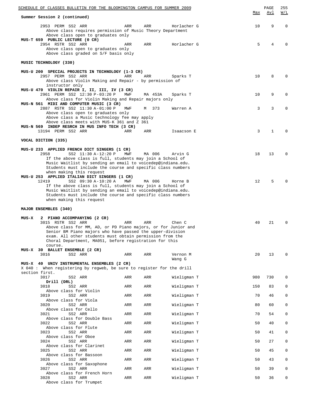| SCHEDULE OF CLASSES BULLETIN FOR THE BLOOMINGTON CAMPUS FOR SUMMER 2009                                                                                                                                                                                                                                                                          |         | PAGE   | 255                             |
|--------------------------------------------------------------------------------------------------------------------------------------------------------------------------------------------------------------------------------------------------------------------------------------------------------------------------------------------------|---------|--------|---------------------------------|
| Summer Session 2 (continued)                                                                                                                                                                                                                                                                                                                     | Max     | Avl    | $\overline{M}$ / $\overline{L}$ |
| 2953 PERM SS2 ARR<br>ARR<br>ARR<br>Horlacher G<br>Above class requires permission of Music Theory Department<br>Above class open to graduates only<br>MUS-T 659 PUBLIC LECTURE (0 CR)<br>2954 RSTR SS2 ARR<br>Horlacher G<br>ARR<br>ARR<br>Above class open to graduates only<br>Above class graded on S/F basis only                            | 10<br>5 | 9<br>4 | $\mathbf 0$<br>$\Omega$         |
| MUSIC TECHNOLOGY (330)                                                                                                                                                                                                                                                                                                                           |         |        |                                 |
| MUS-U 200 SPECIAL PROJECTS IN TECHNOLOGY (1-3 CR)<br>2957 PERM SS2 ARR<br>ARR<br>ARR<br>Sparks T<br>Above class Violin Making and Repair - by permission of<br>instructor only                                                                                                                                                                   | 10      | 8      | $\Omega$                        |
| MUS-U 470 VIOLIN REPAIR I, II, III, IV (3 CR)<br>2961 PERM SS2 12:30 P-03:20 P<br>MWF<br>MA 453A<br>Sparks T<br>Above class for Violin Making and Repair majors only                                                                                                                                                                             | 10      | 9      | 0                               |
| MUS-N 561 MIDI AND COMPUTER MUSIC (3 CR)<br>2887 RSTR SS2 11:30 A-01:00 P<br>MWF<br>M 373<br>Warren A<br>Above class open to graduates only<br>Above class a Music technology fee may apply<br>Above class meets with MUS-K 361 and Z 361                                                                                                        | 3       | 3      | $\Omega$                        |
| MUS-N 569 INDEP RESRCH IN MUS INFO TECH (3 CR)<br>13194 PERM SS2 ARR<br>ARR<br>ARR<br>Isaacson E                                                                                                                                                                                                                                                 | 3       | 1      | $\Omega$                        |
| VOCAL DICTION (335)                                                                                                                                                                                                                                                                                                                              |         |        |                                 |
| MUS-U 233 APPLIED FRENCH DICT SINGERS (1 CR)<br>2958<br>SS2 11:30 A-12:20 P<br>MWF<br>MA 006<br>Arvin G<br>If the above class is full, students may join a School of<br>Music Waitlist by sending an email to voicedep@indiana.edu.<br>Students must include the course and specific class numbers<br>when making this request                   | 18      | 13     | $\Omega$                        |
| MUS-U 253 APPLIED ITALIAN DICT SINGERS (1 CR)<br>SS2 09:30 A-10:20 A<br>MWF<br>12419<br>MA 006<br>Horne B<br>If the above class is full, students may join a School of<br>Music Waitlist by sending an email to voicedep@indiana.edu.<br>Students must include the course and specific class numbers<br>when making this request                 | 12      | 5      |                                 |
| MAJOR ENSEMBLES (340)                                                                                                                                                                                                                                                                                                                            |         |        |                                 |
| MUS-X<br>2 PIANO ACCOMPANYING (2 CR)<br>3015 RSTR SS2 ARR<br>ARR<br>ARR<br>Chen C<br>Above class for MM, AD, or PD Piano majors, or for Junior and<br>Senior BM Piano majors who have passed the upper-division<br>exam. All other students must obtain permission from the<br>Choral Department, MA051, before registration for this<br>course. | 40      | 21     | 0                               |
| MUS-X 30 BALLET ENSEMBLE (2 CR)<br>3016<br>SS2 ARR<br>ARR<br>ARR<br>Vernon M                                                                                                                                                                                                                                                                     | 20      | 13     | 0                               |
| Wang G                                                                                                                                                                                                                                                                                                                                           |         |        |                                 |
| MUS-X 40 UNIV INSTRUMENTAL ENSEMBLES (2 CR)<br>X 040 : When registering by regweb, be sure to register for the drill<br>section first.                                                                                                                                                                                                           |         |        |                                 |
| 3017<br>Wieligman T<br>SS2 ARR<br>ARR<br>ARR<br>Drill (DRL)                                                                                                                                                                                                                                                                                      | 980     | 730    | 0                               |
| Wieligman T<br>3018<br>SS2 ARR<br>ARR<br>ARR                                                                                                                                                                                                                                                                                                     | 150     | 83     | 0                               |
| Above class for Violin<br>3019<br>SS2 ARR<br>Wieligman T<br>ARR<br>ARR                                                                                                                                                                                                                                                                           | 70      | 46     | 0                               |
| Above class for Viola<br>3020<br>SS2 ARR<br>Wieligman T<br>ARR<br>ARR                                                                                                                                                                                                                                                                            | 80      | 60     | 0                               |
| Above class for Cello<br>3021<br>SS2 ARR<br>Wieligman T<br>ARR<br>ARR                                                                                                                                                                                                                                                                            | 70      | 54     | 0                               |
| Above class for Double Bass                                                                                                                                                                                                                                                                                                                      |         |        |                                 |
| 3022<br>Wieligman T<br>SS2 ARR<br>ARR<br>ARR<br>Above class for Flute                                                                                                                                                                                                                                                                            | 50      | 40     | 0                               |
| 3023<br>SS2 ARR<br>Wieligman T<br>ARR<br>ARR<br>Above class for Oboe                                                                                                                                                                                                                                                                             | 50      | 41     | 0                               |
| 3024<br>SS2 ARR<br>Wieligman T<br>ARR<br>ARR<br>Above class for Clarinet                                                                                                                                                                                                                                                                         | 50      | 27     | 0                               |
| 3025<br>SS2 ARR<br>Wieligman T<br>ARR<br>ARR<br>Above class for Bassoon                                                                                                                                                                                                                                                                          | 50      | 45     | 0                               |
| 3026<br>Wieligman T<br>SS2 ARR<br>ARR<br>ARR                                                                                                                                                                                                                                                                                                     | 50      | 43     | 0                               |
| Above class for Saxophone<br>3027<br>SS2 ARR<br>Wieligman T<br>ARR<br>ARR                                                                                                                                                                                                                                                                        | 50      | 39     | 0                               |
| Above class for French Horn<br>3028<br>SS2 ARR<br>Wieligman T<br>ARR<br>ARR<br>Above class for Trumpet                                                                                                                                                                                                                                           | 50      | 36     | 0                               |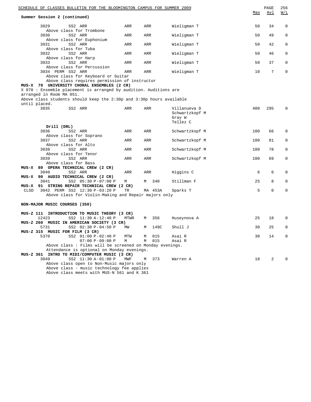| SCHEDULE OF CLASSES BULLETIN FOR THE BLOOMINGTON CAMPUS FOR SUMMER 2009 |          |        |            |                  | Max | PAGE<br>Avl | 256<br><u>W/L</u> |
|-------------------------------------------------------------------------|----------|--------|------------|------------------|-----|-------------|-------------------|
| Summer Session 2 (continued)                                            |          |        |            |                  |     |             |                   |
| 3029<br>SS2 ARR<br>Above class for Trombone                             | ARR      | ARR    |            | Wieligman T      | 50  | 34          | $\mathbf 0$       |
| 3030<br>SS2 ARR                                                         | ARR      | ARR    |            | Wieligman T      | 50  | 49          | 0                 |
| Above class for Euphonium<br>3031<br>SS2 ARR                            | ARR      | ARR    |            | Wieligman T      | 50  | 42          | $\mathbf 0$       |
| Above class for Tuba<br>SS2 ARR<br>3032                                 | ARR      | ARR    |            | Wieligman T      | 50  | 46          | $\mathbf 0$       |
| Above class for Harp<br>3033<br>SS2 ARR                                 | ARR      | ARR    |            | Wieligman T      | 50  | 37          | $\mathbf 0$       |
| Above class for Percussion<br>3034 PERM SS2 ARR                         | ARR      | ARR    |            | Wieligman T      | 10  | 7           | $\mathbf 0$       |
| Above class for Keyboard or Guitar                                      |          |        |            |                  |     |             |                   |
| Above class requires permission of instructor                           |          |        |            |                  |     |             |                   |
| MUS-X 70 UNIVERSITY CHORAL ENSEMBLES (2 CR)                             |          |        |            |                  |     |             |                   |
| X 070 : Ensemble placement is arranged by audition. Auditions are       |          |        |            |                  |     |             |                   |
| arranged in Room MA 051.                                                |          |        |            |                  |     |             |                   |
| Above class students should keep the 2:30p and 3:30p hours available    |          |        |            |                  |     |             |                   |
| until placed.<br>3035                                                   | ARR      | ARR    |            | Villanueva D     | 400 | 295         | 0                 |
| SS2 ARR                                                                 |          |        |            | Schwartzkopf M   |     |             |                   |
|                                                                         |          |        |            | Gray W           |     |             |                   |
|                                                                         |          |        |            | Tellez C         |     |             |                   |
| Drill (DRL)                                                             |          |        |            |                  |     |             |                   |
| 3036<br>SS2 ARR                                                         | ARR      | ARR    |            | Schwartzkopf M   | 100 | 66          | 0                 |
| Above class for Soprano                                                 |          |        |            |                  |     |             |                   |
| 3037<br>SS2 ARR                                                         | ARR      | ARR    |            | Schwartzkopf M   | 100 | 81          | $\mathbf 0$       |
| Above class for Alto                                                    |          |        |            |                  |     |             |                   |
| 3038<br>SS2 ARR                                                         | ARR      | ARR    |            | Schwartzkopf M   | 100 | 78          | 0                 |
| Above class for Tenor                                                   |          |        |            |                  |     |             |                   |
| 3039<br>SS2 ARR                                                         | ARR      | ARR    |            | Schwartzkopf M   | 100 | 69          | $\mathbf 0$       |
| Above class for Bass                                                    |          |        |            |                  |     |             |                   |
| MUS-X 80 OPERA TECHNICAL CREW (2 CR)                                    |          |        |            |                  |     |             |                   |
| 3040<br>SS2 ARR                                                         | ARR      | ARR    |            | Higgins C        | 6   | 6           | 0                 |
| MUS-X 90 AUDIO TECHNICAL CREW (2 CR)<br>3041<br>SS2 05:30 P-07:00 P     | М        | М      | 340        | Stillman F       | 25  | 8           | 0                 |
| MUS-X 91 STRING REPAIR TECHNICAL CREW (2 CR)                            |          |        |            |                  |     |             |                   |
| 3042 PERM SS2 12:30 P-03:20 P<br>CLSD                                   | TR       |        | MA 453A    | Sparks T         | 5   | 0           | $\mathbf 0$       |
| Above class for Violin-Making and Repair majors only                    |          |        |            |                  |     |             |                   |
|                                                                         |          |        |            |                  |     |             |                   |
| NON-MAJOR MUSIC COURSES (350)                                           |          |        |            |                  |     |             |                   |
| MUS-Z 111<br>INTRODUCTION TO MUSIC THEORY (3 CR)                        |          |        |            |                  |     |             |                   |
| 12423<br>SS2 11:30 A-12:40 P                                            | MTWR     | М      | 356        | Huseynova A      | 25  | 18          | $\mathbf 0$       |
| MUS-Z 260 MUSIC IN AMERICAN SOCIETY (3 CR)                              |          |        |            |                  |     |             |                   |
| 5731<br>SS2 02:30 P-04:50 P                                             | MW       | М      | 149C       | Shull J          | 30  | 25          | 0                 |
| MUS-Z 315 MUSIC FOR FILM (3 CR)                                         |          |        |            |                  |     |             |                   |
| SS2 01:00 P-02:40 P<br>5370<br>$07:00 P-09:00 P$                        | MTW<br>М | М<br>М | 015<br>015 | Asai R<br>Asai R | 30  | 14          | 0                 |
| Above class: Films will be screened on Monday evenings.                 |          |        |            |                  |     |             |                   |
| Attendance is optional on Monday evenings.                              |          |        |            |                  |     |             |                   |
| MUS-Z 361 INTRO TO MIDI/COMPUTER MUSIC (3 CR)                           |          |        |            |                  |     |             |                   |
| 3049<br>SS2 11:30 A-01:00 P                                             | MWF      | М      | 373        | Warren A         | 18  | 2           | $\Omega$          |
| Above class open to Non-Music majors only                               |          |        |            |                  |     |             |                   |
| Above class - music technology fee applies                              |          |        |            |                  |     |             |                   |
| Above class meets with MUS-N 561 and K 361                              |          |        |            |                  |     |             |                   |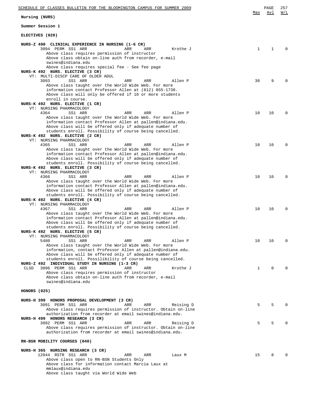| SCHEDULE OF CLASSES BULLETIN FOR THE BLOOMINGTON CAMPUS FOR SUMMER 2009                                                                                                                                                                                                                                                                                                  | <u>Max</u>   | PAGE<br>Avl | 257<br>W/L |
|--------------------------------------------------------------------------------------------------------------------------------------------------------------------------------------------------------------------------------------------------------------------------------------------------------------------------------------------------------------------------|--------------|-------------|------------|
| Nursing (NURS)                                                                                                                                                                                                                                                                                                                                                           |              |             |            |
| Summer Session 1                                                                                                                                                                                                                                                                                                                                                         |              |             |            |
| ELECTIVES (020)                                                                                                                                                                                                                                                                                                                                                          |              |             |            |
| NURS-Z 490 CLINICAL EXPERIENCE IN NURSING (1-6 CR)<br>3094 PERM SS1 ARR<br>ARR<br>ARR<br>Krothe J<br>Above class requires permission of instructor<br>Above class obtain on-line auth from recorder, e-mail<br>swines@indiana.edu<br>Above class requires special fee - See fee page                                                                                     | $\mathbf{1}$ | 1           |            |
| NURS-K 492 NURS. ELECTIVE (3 CR)<br>VT: MULTI-DISCP CARE OF OLDER ADUL<br>3093<br>SS1 ARR<br>ARR<br>ARR<br>Allen P<br>Above class taught over the World Wide Web. For more<br>information contact Professor Allen at (812) 855-1730.<br>Above class will only be offered if 10 or more students                                                                          | 30           | 9           |            |
| enroll in course.<br>NURS-K 492 NURS. ELECTIVE (1 CR)<br>VT: NURSING PHARMACOLOGY<br>4364<br>SS1 ARR<br>ARR<br>ARR<br>Allen P<br>Above class taught over the World Wide Web. For more<br>information contact Professor Allen at pallen@indiana.edu.<br>Above class will be offered only if adequate number of<br>students enroll. Possibility of course being cancelled. | 10           | 10          | $\Omega$   |
| NURS-K 492 NURS. ELECTIVE (2 CR)<br>VT: NURSING PHARMACOLOGY<br>ARR<br>4365<br>SS1 ARR<br>ARR<br>Allen P<br>Above class taught over the World Wide Web. For more<br>information contact Professor Allen at pallen@indiana.edu.<br>Above class will be offered only if adequate number of                                                                                 | 10           | 10          | $\Omega$   |
| students enroll. Possibility of course being cancelled.<br>NURS-K 492 NURS. ELECTIVE (3 CR)<br>VT: NURSING PHARMACOLOGY<br>SS1 ARR<br>4366<br>ARR<br>ARR<br>Allen P<br>Above class taught over the World Wide Web. For more<br>information contact Professor Allen at pallen@indiana.edu.<br>Above class will be offered only if adequate number of                      | 10           | 10          | O          |
| students enroll. Possibility of course being cancelled.<br>NURS-K 492 NURS. ELECTIVE (4 CR)<br>VT: NURSING PHARMACOLOGY<br>4367<br>ARR<br>Allen P<br>SS1 ARR<br>ARR<br>Above class taught over the World Wide Web. For more<br>information contact Professor Allen at pallen@indiana.edu.<br>Above class will be offered only if adequate number of                      | 10           | 10          | $\Omega$   |
| students enroll. Possibility of course being cancelled.<br>NURS-K 492 NURS. ELECTIVE (5 CR)<br>VT: NURSING PHARMACOLOGY<br>5480<br>SS1 ARR<br>ARR<br>ARR<br>Allen P<br>Above class taught over the World Wide Web. For more<br>information, contact Professor Allen at pallen@indiana.edu.<br>Above class will be offered only if adequate number of                     | 10           | 10          | $\Omega$   |
| students enroll. Possilibility of course being cancelled.<br>NURS-Z 492 INDIVIDUAL STUDY IN NURSING (1-3 CR)<br>3096 PERM SS1 ARR<br>CLSD<br>ARR<br>ARR<br>Krothe J<br>Above class requires permission of instructor<br>Above class obtain on-line auth from recorder, e-mail<br>swines@indiana.edu                                                                      | $\mathbf 1$  | $\Omega$    |            |
| HONORS (025)                                                                                                                                                                                                                                                                                                                                                             |              |             |            |
| NURS-H 399 HONORS PROPOSAL DEVELOPMENT (3 CR)<br>3091 PERM SS1 ARR<br>ARR<br>ARR<br>Reising D<br>Above class requires permission of instructor. Obtain on-line<br>authorization from recorder at email swines@indiana.edu.                                                                                                                                               | 5            | 5           |            |
| NURS-H 499 HONORS RESEARCH (3 CR)<br>3092 PERM SS1 ARR<br>ARR<br>ARR<br>Reising D<br>Above class requires permission of instructor. Obtain on-line<br>authorization from recorder at email swines@indiana.edu.                                                                                                                                                           | 5            | 5           |            |
| RN-BSN MOBILITY COURSES (040)                                                                                                                                                                                                                                                                                                                                            |              |             |            |
| NURS-H 365 NURSING RESEARCH (3 CR)<br>12044 RSTR SS1 ARR<br>ARR<br>ARR<br>Laux M<br>Above class open to RN-BSN Students Only<br>Above class for information contact Marcia Laux at<br>mmlaux@indiana.edu<br>Above class taught via World Wide Web                                                                                                                        | 15           | 8           |            |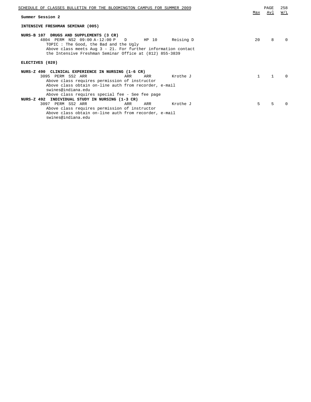| SCHEDULE OF CLASSES BULLETIN FOR THE BLOOMINGTON CAMPUS FOR SUMMER 2009                                                                                                                                                                                                  | Max          | PAGE<br><u>Avl</u> | 258<br>W/L |
|--------------------------------------------------------------------------------------------------------------------------------------------------------------------------------------------------------------------------------------------------------------------------|--------------|--------------------|------------|
| Summer Session 2                                                                                                                                                                                                                                                         |              |                    |            |
| INTENSIVE FRESHMAN SEMINAR (005)                                                                                                                                                                                                                                         |              |                    |            |
| NURS-B 107 DRUGS AND SUPPLEMENTS (3 CR)<br>4804 PERM NS2 09:00 A-12:00 P<br>D HP 10<br>Reising D<br>TOPIC: The Good, the Bad and the Ugly<br>Above class meets Aug $3 - 21$ . For further information contact<br>the Intensive Freshman Seminar Office at (812) 855-3839 | 20           | 8                  |            |
| ELECTIVES (020)                                                                                                                                                                                                                                                          |              |                    |            |
| NURS-Z 490 CLINICAL EXPERIENCE IN NURSING (1-6 CR)                                                                                                                                                                                                                       |              |                    |            |
| 3095 PERM SS2 ARR<br>Krothe J<br>ARR<br>ARR                                                                                                                                                                                                                              | $\mathbf{1}$ | $\mathbf{1}$       |            |
| Above class requires permission of instructor<br>Above class obtain on-line auth from recorder, e-mail<br>swines@indiana.edu                                                                                                                                             |              |                    |            |
| Above class requires special fee - See fee page<br>NURS-Z 492 INDIVIDUAL STUDY IN NURSING (1-3 CR)                                                                                                                                                                       |              |                    |            |
| 3097 PERM SS2 ARR<br>ARR<br>Krothe J<br>ARR<br>Above class requires permission of instructor<br>Above class obtain on-line auth from recorder, e-mail<br>swines@indiana.edu                                                                                              | 5            | 5                  |            |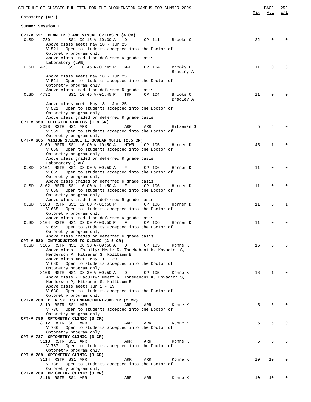|             | SCHEDULE OF CLASSES BULLETIN FOR THE BLOOMINGTON CAMPUS FOR SUMMER 2009                                              |     | PAGE            | 259          |
|-------------|----------------------------------------------------------------------------------------------------------------------|-----|-----------------|--------------|
|             | Optometry (OPT)                                                                                                      | Max | Avl             | W/L          |
|             | Summer Session 1                                                                                                     |     |                 |              |
|             | OPT-V 521 GEOMETRIC AND VISUAL OPTICS 1 (4 CR)                                                                       |     |                 |              |
| <b>CLSD</b> | 4730<br>SS1 09:15 A-10:30 A<br>D<br>OP 111<br>Brooks C<br>Above class meets May 18 - Jun 25                          | 22  | 0               | $\Omega$     |
|             | V 521 : Open to students accepted into the Doctor of                                                                 |     |                 |              |
|             | Optometry program only                                                                                               |     |                 |              |
|             | Above class graded on deferred R grade basis                                                                         |     |                 |              |
| CLSD        | Laboratory (LAB)<br>SS1 10:45 A-01:45 P<br>Brooks C<br>4731<br>MWF<br>OP 104                                         | 11  | $\mathbf 0$     | 3            |
|             | Bradley A                                                                                                            |     |                 |              |
|             | Above class meets May 18 - Jun 25                                                                                    |     |                 |              |
|             | V 521 : Open to students accepted into the Doctor of                                                                 |     |                 |              |
|             | Optometry program only<br>Above class graded on deferred R grade basis                                               |     |                 |              |
| CLSD        | SS1 10:45 A-01:45 P<br>TRF<br>4732<br>OP 104<br>Brooks C                                                             | 11  | $\mathbf 0$     | $\Omega$     |
|             | Bradley A                                                                                                            |     |                 |              |
|             | Above class meets May 18 - Jun 25                                                                                    |     |                 |              |
|             | V 521 : Open to students accepted into the Doctor of                                                                 |     |                 |              |
|             | Optometry program only<br>Above class graded on deferred R grade basis                                               |     |                 |              |
|             | OPT-V 569 SELECTED STUDIES (1-8 CR)                                                                                  |     |                 |              |
|             | 3098 RSTR SS1 ARR<br>ARR<br>ARR<br>Hitzeman S                                                                        | 5   | 5               | $\Omega$     |
|             | V 569 : Open to students accepted into the Doctor of                                                                 |     |                 |              |
|             | Optometry program only<br>OPT-V 665 VISION SCIENCE II OCULAR MOTIL (2.5 CR)                                          |     |                 |              |
|             | 3100 RSTR SS1 10:00 A-10:50 A<br>MTWR<br>OP 105<br>Horner D                                                          | 45  | 1               | 0            |
|             | V 665 : Open to students accepted into the Doctor of                                                                 |     |                 |              |
|             | Optometry program only                                                                                               |     |                 |              |
|             | Above class graded on deferred R grade basis<br>Laboratory (LAB)                                                     |     |                 |              |
| CLSD        | 3101 RSTR SS1 08:00 A-09:50 A<br>OP 106<br>Horner D<br>$\mathbf{F}$                                                  | 11  | $\mathbf 0$     | $\Omega$     |
|             | V 665 : Open to students accepted into the Doctor of                                                                 |     |                 |              |
|             | Optometry program only                                                                                               |     |                 |              |
| CLSD        | Above class graded on deferred R grade basis<br>3102 RSTR SS1 10:00 A-11:50 A<br>F<br>OP 106<br>Horner D             | 11  | 0               | $\mathbf 0$  |
|             | V 665 : Open to students accepted into the Doctor of                                                                 |     |                 |              |
|             | Optometry program only                                                                                               |     |                 |              |
| CLSD        | Above class graded on deferred R grade basis<br>3103 RSTR SS1 12:00 P-01:50 P<br>$\mathbf{F}$<br>OP 106              | 11  | 0               | $\mathbf{1}$ |
|             | Horner D<br>V 665 : Open to students accepted into the Doctor of                                                     |     |                 |              |
|             | Optometry program only                                                                                               |     |                 |              |
|             | Above class graded on deferred R grade basis                                                                         |     |                 |              |
| CLSD        | 3104 RSTR SS1 02:00 P-03:50 P<br>$\mathbf{F}$<br>OP 106<br>Horner D                                                  | 11  | 0               | $\mathbf 0$  |
|             | V 665: Open to students accepted into the Doctor of<br>Optometry program only                                        |     |                 |              |
|             | Above class graded on deferred R grade basis                                                                         |     |                 |              |
|             | OPT-V 680 INTRODUCTION TO CLINIC (2.5 CR)                                                                            |     |                 |              |
| <b>CLSD</b> | 3105 RSTR NS1 08:30 A-09:50 A<br>$\mathbb{D}$<br>OP 105<br>Kohne K                                                   | 16  | 0               | $\Omega$     |
|             | Above class - Faculty: Meetz R, Tonekaboni K, Kovacich S,<br>Henderson P, Hitzeman S, Kollbaum E                     |     |                 |              |
|             | Above class meets May 11 - 29                                                                                        |     |                 |              |
|             | V 680 : Open to students accepted into the Doctor of                                                                 |     |                 |              |
|             | Optometry program only                                                                                               |     |                 |              |
|             | 3106 RSTR NS1 08:30 A-09:50 A<br>D<br>OP 105<br>Kohne K<br>Above class - Faculty: Meetz R, Tonekaboni K, Kovacich S, | 16  | $\mathbf{1}$    | $\Omega$     |
|             | Henderson P, Hitzeman S, Kollbaum E                                                                                  |     |                 |              |
|             | Above class meets Jun 1 - 19                                                                                         |     |                 |              |
|             | V 680 : Open to students accepted into the Doctor of                                                                 |     |                 |              |
|             | Optometry program only<br>OPT-V 780 CLIN SKILLS ENHANCEMENT-3RD YR (2 CR)                                            |     |                 |              |
|             | 3110 RSTR SS1 ARR<br>ARR<br>ARR<br>Kohne K                                                                           | 5   | 5               | $\Omega$     |
|             | V 780 : Open to students accepted into the Doctor of                                                                 |     |                 |              |
|             | Optometry program only                                                                                               |     |                 |              |
|             | OPT-V 786 OPTOMETRY CLINIC (3 CR)<br>3112 RSTR SS1 ARR<br>ARR<br>ARR<br>Kohne K                                      | 5   | 5               | $\Omega$     |
|             | V 786 : Open to students accepted into the Doctor of                                                                 |     |                 |              |
|             | Optometry program only                                                                                               |     |                 |              |
|             | OPT-V 787 OPTOMETRY CLINIC (3 CR)                                                                                    | 5   | 5               | $\mathbf{0}$ |
|             | 3113 RSTR SS1 ARR<br>ARR<br>ARR<br>Kohne K<br>V 787: Open to students accepted into the Doctor of                    |     |                 |              |
|             | Optometry program only                                                                                               |     |                 |              |
|             | OPT-V 788 OPTOMETRY CLINIC (3 CR)                                                                                    |     |                 |              |
|             | 3114 RSTR SS1 ARR<br>ARR<br>ARR<br>Kohne K                                                                           | 10  | 10              | $\mathbf 0$  |
|             | V 788 : Open to students accepted into the Doctor of<br>Optometry program only                                       |     |                 |              |
|             | OPT-V 789 OPTOMETRY CLINIC (3 CR)                                                                                    |     |                 |              |
|             | Kohne K<br>3116 RSTR SS1 ARR<br>ARR<br>ARR                                                                           | 10  | 10 <sup>°</sup> | $\mathbf{0}$ |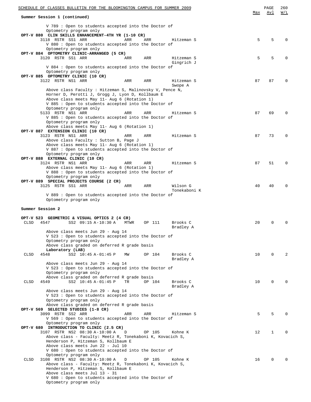| SCHEDULE OF CLASSES BULLETIN FOR THE BLOOMINGTON CAMPUS FOR SUMMER 2009                                           |     | PAGE<br>Avl | 260<br>W/L     |
|-------------------------------------------------------------------------------------------------------------------|-----|-------------|----------------|
| Summer Session 1 (continued)                                                                                      | Max |             |                |
| V 789 : Open to students accepted into the Doctor of                                                              |     |             |                |
| Optometry program only                                                                                            |     |             |                |
| OPT-V 880 CLIN SKILLS ENHANCEMENT-4TH YR (1-10 CR)<br>3118 RSTR SS1 ARR<br>ARR<br>ARR<br>Hitzeman S               | 5   | 5           |                |
| V 880 : Open to students accepted into the Doctor of                                                              |     |             |                |
| Optometry program only                                                                                            |     |             |                |
| OPT-V 884 OPTOMETRY CLINIC-ARRANGED (5 CR)<br>Hitzeman S<br>3120 RSTR SS1 ARR<br>ARR<br>ARR                       | 5   | 5           |                |
| Gingrich J                                                                                                        |     |             |                |
| V 884: Open to students accepted into the Doctor of                                                               |     |             |                |
| Optometry program only<br>OPT-V 885 OPTOMETRY CLINIC (10 CR)                                                      |     |             |                |
| 3122 RSTR NS1 ARR<br>Hitzeman S<br>ARR<br>ARR                                                                     | 87  | 87          |                |
| Swope A                                                                                                           |     |             |                |
| Above class Faculty : Hitzeman S, Malinovsky V, Pence N,                                                          |     |             |                |
| Horner D, Perotti J, Grogg J, Lyon D, Kollbaum E<br>Above class meets May 11- Aug 6 (Rotation 1)                  |     |             |                |
| V 885 : Open to students accepted into the Doctor of                                                              |     |             |                |
| Optometry program only                                                                                            |     |             |                |
| 5133 RSTR NS1 ARR<br>ARR<br>ARR<br>Hitzeman S                                                                     | 87  | 69          |                |
| V 885 : Open to students accepted into the Doctor of<br>Optometry program only                                    |     |             |                |
| Above class meets May 11- Aug 6 (Rotation 1)                                                                      |     |             |                |
| OPT-V 887 EXTENSION CLINIC (10 CR)                                                                                |     |             |                |
| 3123 RSTR NS1 ARR<br>ARR<br>ARR<br>Hitzeman S<br>Above class Faculty : Sutton B, Page J                           | 87  | 73          |                |
| Above class meets May 11- Aug 6 (Rotation 1)                                                                      |     |             |                |
| V 887 : Open to students accepted into the Doctor of                                                              |     |             |                |
| Optometry program only                                                                                            |     |             |                |
| OPT-V 888 EXTERNAL CLINIC (10 CR)<br>3124 RSTR NS1 ARR<br>ARR<br>ARR<br>Hitzeman S                                | 87  | 51          |                |
| Above class meets May 11- Aug 6 (Rotation 1)                                                                      |     |             |                |
| V 888: Open to students accepted into the Doctor of                                                               |     |             |                |
| Optometry program only<br>OPT-V 889 SPECIAL PROJECTS COURSE (2 CR)                                                |     |             |                |
| Wilson G<br>3125 RSTR SS1 ARR<br>ARR<br>ARR                                                                       | 40  | 40          |                |
| Tonekaboni K                                                                                                      |     |             |                |
| V 889: Open to students accepted into the Doctor of                                                               |     |             |                |
| Optometry program only                                                                                            |     |             |                |
| Summer Session 2                                                                                                  |     |             |                |
|                                                                                                                   |     |             |                |
| OPT-V 523 GEOMETRIC & VISUAL OPTICS 2 (4 CR)<br>CLSD<br>4547<br>SS2 09:15 A-10:30 A<br>OP 111<br>Brooks C<br>MTWR | 20  | $\Omega$    |                |
| Bradley A                                                                                                         |     |             |                |
| Above class meets Jun 29 - Aug 14                                                                                 |     |             |                |
| V 523: Open to students accepted into the Doctor of                                                               |     |             |                |
| Optometry program only<br>Above class graded on deferred R grade basis                                            |     |             |                |
| Laboratory (LAB)                                                                                                  |     |             |                |
| CLSD<br>4548<br>SS2 10:45 A-01:45 P<br>OP 104<br>Brooks C<br>MW                                                   | 10  | $\Omega$    | $\mathfrak{D}$ |
| Bradley A<br>Above class meets Jun 29 - Aug 14                                                                    |     |             |                |
| V 523 : Open to students accepted into the Doctor of                                                              |     |             |                |
| Optometry program only                                                                                            |     |             |                |
| Above class graded on deferred R grade basis                                                                      |     |             |                |
| SS2 10:45 A-01:45 P<br>TR<br>Brooks C<br>CLSD<br>4549<br>OP 104<br>Bradley A                                      | 10  | $\Omega$    |                |
| Above class meets Jun 29 - Aug 14                                                                                 |     |             |                |
| V 523 : Open to students accepted into the Doctor of                                                              |     |             |                |
| Optometry program only                                                                                            |     |             |                |
| Above class graded on deferred R grade basis<br>OPT-V 569 SELECTED STUDIES (1-8 CR)                               |     |             |                |
| 3099 RSTR SS2 ARR<br>ARR<br>ARR<br>Hitzeman S                                                                     | 5   | 5           |                |
| V 569 : Open to students accepted into the Doctor of                                                              |     |             |                |
| Optometry program only<br>OPT-V 680 INTRODUCTION TO CLINIC (2.5 CR)                                               |     |             |                |
| 3107 RSTR NS2 08:30 A-10:00 A<br>D<br>OP 105<br>Kohne K                                                           | 12  | 1           | O              |
| Above class - Faculty: Meetz R, Tonekaboni K, Kovacich S,                                                         |     |             |                |
| Henderson P, Hitzeman S, Kollbaum E                                                                               |     |             |                |
| Above class meets Jun 22 - Jul 10<br>V 680 : Open to students accepted into the Doctor of                         |     |             |                |
| Optometry program only                                                                                            |     |             |                |
| 3108 RSTR NS2 08:30 A-10:00 A<br>OP 105<br>CLSD<br>D<br>Kohne K                                                   | 16  | $\mathbf 0$ |                |
| Above class - Faculty: Meetz R, Tonekaboni K, Kovacich S,                                                         |     |             |                |
| Henderson P, Hitzeman S, Kollbaum E<br>Above class meets Jul 13 - 31                                              |     |             |                |
| V 680 : Open to students accepted into the Doctor of                                                              |     |             |                |
| Optometry program only                                                                                            |     |             |                |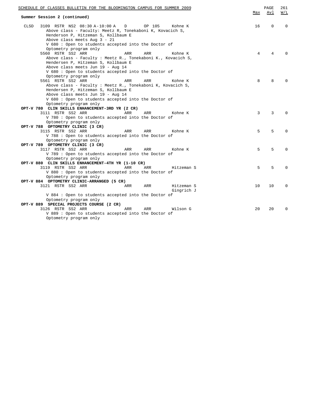| SCHEDULE OF CLASSES BULLETIN FOR THE BLOOMINGTON CAMPUS FOR SUMMER 2009                                                                                                                                                                                                 |     | PAGE        | 261      |
|-------------------------------------------------------------------------------------------------------------------------------------------------------------------------------------------------------------------------------------------------------------------------|-----|-------------|----------|
| Summer Session 2 (continued)                                                                                                                                                                                                                                            | Max | Avl         | W/L      |
| 3109 RSTR NS2 08:30 A-10:00 A<br>OP 105<br>CLSD<br>D<br>Kohne K<br>Above class - Faculty: Meetz R, Tonekaboni K, Kovacich S,<br>Henderson P, Hitzeman S, Kollbaum E<br>Above class meets Aug 3 - 21                                                                     | 16  | $\mathbf 0$ | 0        |
| V 680: Open to students accepted into the Doctor of<br>Optometry program only<br>5560 RSTR SS2 ARR<br>ARR<br>ARR<br>Kohne K<br>Above class - Faculty : Meetz R., Tonekaboni K., Kovacich S,<br>Hendersen P, Hitzeman S, Kollbaum E<br>Above class meets Jun 19 - Aug 14 | 4   | 4           | $\cap$   |
| V 680 : Open to students accepted into the Doctor of<br>Optometry program only<br>5561 RSTR SS2 ARR<br>ARR<br>Kohne K<br>ARR<br>Above class - Faculty : Meetz R., Tonekaboni K, Kovacich S,<br>Hendersen P, Hitzeman S, Kollbaum E                                      | 8   | 8           |          |
| Above class meets Jun 19 - Aug 14<br>V 680: Open to students accepted into the Doctor of<br>Optometry program only                                                                                                                                                      |     |             |          |
| OPT-V 780 CLIN SKILLS ENHANCEMENT-3RD YR (2 CR)<br>3111 RSTR SS2 ARR<br>ARR<br>ARR<br>Kohne K<br>V 780 : Open to students accepted into the Doctor of<br>Optometry program only                                                                                         | 3   | 3           | $\Omega$ |
| OPT-V 788 OPTOMETRY CLINIC (3 CR)<br>3115 RSTR SS2 ARR<br>Kohne K<br>ARR<br>ARR<br>V 788: Open to students accepted into the Doctor of<br>Optometry program only                                                                                                        | 5   | 5           | $\Omega$ |
| OPT-V 789 OPTOMETRY CLINIC (3 CR)<br>3117 RSTR SS2 ARR<br>Kohne K<br>ARR<br>ARR<br>V 789 : Open to students accepted into the Doctor of<br>Optometry program only                                                                                                       | 5   | 5           | $\Omega$ |
| OPT-V 880 CLIN SKILLS ENHANCEMENT-4TH YR (1-10 CR)<br>3119 RSTR SS2 ARR<br>ARR<br>ARR<br>Hitzeman S<br>V 880 : Open to students accepted into the Doctor of<br>Optometry program only                                                                                   | 5   | 5           | $\Omega$ |
| OPT-V 884 OPTOMETRY CLINIC-ARRANGED (5 CR)<br>3121 RSTR SS2 ARR<br>Hitzeman S<br>ARR<br>ARR<br>Gingrich J<br>V 884: Open to students accepted into the Doctor of                                                                                                        | 10  | 10          | $\Omega$ |
| Optometry program only<br>OPT-V 889 SPECIAL PROJECTS COURSE (2 CR)<br>3126 RSTR SS2 ARR<br>Wilson G<br>ARR<br>ARR<br>V 889 : Open to students accepted into the Doctor of<br>Optometry program only                                                                     | 20  | 20          | $\Omega$ |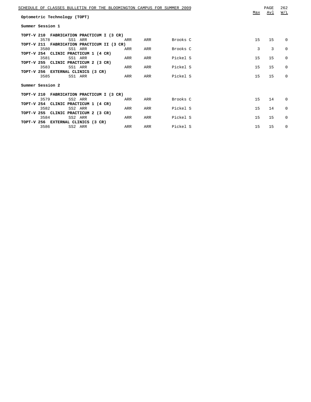| SCHEDULE OF CLASSES BULLETIN FOR THE BLOOMINGTON CAMPUS FOR SUMMER 2009<br>Optometric Technology (TOPT) | Max | PAGE<br>Avl | 262<br>W/L   |
|---------------------------------------------------------------------------------------------------------|-----|-------------|--------------|
| Summer Session 1                                                                                        |     |             |              |
| TOPT-V 210 FABRICATION PRACTICUM I (3 CR)                                                               |     |             |              |
| SS1 ARR<br>Brooks C<br>3578<br>ARR<br>ARR                                                               | 15  | 15          | 0            |
| TOPT-V 211 FABRICATION PRACTICUM II (3 CR)                                                              |     |             |              |
| 3580<br>Brooks C<br>SS1 ARR<br>ARR<br>ARR                                                               | 3   | 3           | $\Omega$     |
| TOPT-V 254 CLINIC PRACTICUM 1 (4 CR)<br>3581<br>Pickel S<br>SS1 ARR<br>ARR<br>ARR                       | 15  | 15          | $\Omega$     |
| TOPT-V 255 CLINIC PRACTICUM 2 (3 CR)                                                                    |     |             |              |
| 3583<br>SS1 ARR<br>ARR<br>Pickel S<br>ARR                                                               | 15  | 15          | $\Omega$     |
| TOPT-V 256 EXTERNAL CLINICS (3 CR)                                                                      |     |             |              |
| Pickel S<br>3585<br>SS1 ARR<br>ARR<br>ARR                                                               | 15  | 15          | <sup>0</sup> |
| Summer Session 2                                                                                        |     |             |              |
| TOPT-V 210 FABRICATION PRACTICUM I (3 CR)                                                               |     |             |              |
| Brooks C<br>3579<br>SS2 ARR<br>ARR<br>ARR                                                               | 15  | 14          | $\Omega$     |
| TOPT-V 254 CLINIC PRACTICUM 1 (4 CR)                                                                    |     |             |              |
| Pickel S<br>3582<br>SS2 ARR<br>ARR<br>ARR                                                               | 15  | 14          | $\Omega$     |
| TOPT-V 255 CLINIC PRACTICUM 2 (3 CR)<br>3584<br>SS2 ARR<br>Pickel S<br>ARR<br>ARR                       | 15  | 15          | $\Omega$     |
| TOPT-V 256 EXTERNAL CLINICS (3 CR)                                                                      |     |             |              |
| Pickel S<br>3586<br>SS2 ARR<br>ARR<br>ARR                                                               | 1.5 | 15          | 0            |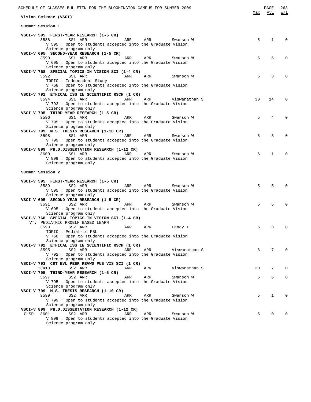| SCHEDULE OF CLASSES BULLETIN FOR THE BLOOMINGTON CAMPUS FOR SUMMER 2009                                  | Max | PAGE<br>Avl | 263<br>W/L   |
|----------------------------------------------------------------------------------------------------------|-----|-------------|--------------|
| Vision Science (VSCI)<br>Summer Session 1                                                                |     |             |              |
|                                                                                                          |     |             |              |
| VSCI-V 595 FIRST-YEAR RESEARCH (1-5 CR)                                                                  |     |             |              |
| 3588<br>SS1 ARR<br>ARR<br>ARR<br>Swanson W<br>V 595 : Open to students accepted into the Graduate Vision | 5   | 1           | $\Omega$     |
| Science program only                                                                                     |     |             |              |
| VSCI-V 695 SECOND-YEAR RESEARCH (1-5 CR)                                                                 |     |             |              |
| 3590<br>SS1 ARR<br>ARR<br>ARR<br>Swanson W                                                               | 5   | 5           | $\Omega$     |
| V 695 : Open to students accepted into the Graduate Vision                                               |     |             |              |
| Science program only                                                                                     |     |             |              |
| VSCI-V 768 SPECIAL TOPICS IN VISION SCI (1-4 CR)                                                         |     |             |              |
| 3592<br>SS1 ARR<br>ARR<br>ARR<br>Swanson W                                                               | 5   | 3           | $\Omega$     |
| TOPIC : Independent Study                                                                                |     |             |              |
| V 768 : Open to students accepted into the Graduate Vision<br>Science program only                       |     |             |              |
| VSCI-V 792 ETHICAL ISS IN SCIENTIFIC RSCH (1 CR)                                                         |     |             |              |
| 3594<br>SS1 ARR<br>ARR<br>ARR<br>Viswanathan S                                                           | 30  | 14          | $\Omega$     |
| V 792 : Open to students accepted into the Graduate Vision                                               |     |             |              |
| Science program only                                                                                     |     |             |              |
| VSCI-V 795 THIRD-YEAR RESEARCH (1-5 CR)                                                                  |     |             |              |
| 3596<br>SS1 ARR<br>ARR<br>ARR<br>Swanson W                                                               | 5   | 4           | $\Omega$     |
| V 795 : Open to students accepted into the Graduate Vision                                               |     |             |              |
| Science program only                                                                                     |     |             |              |
| VSCI-V 799 M.S. THESIS RESEARCH (1-10 CR)<br>3598<br>SS1 ARR<br>ARR<br>ARR<br>Swanson W                  | 6   | 3           | $\Omega$     |
| V 799 : Open to students accepted into the Graduate Vision                                               |     |             |              |
| Science program only                                                                                     |     |             |              |
| VSCI-V 899 PH.D.DISSERTATION RESEARCH (1-12 CR)                                                          |     |             |              |
| 3600<br>SS1 ARR<br>ARR<br>ARR<br>Swanson W                                                               | 6   | 1           | $\Omega$     |
| V 899 : Open to students accepted into the Graduate Vision                                               |     |             |              |
| Science program only                                                                                     |     |             |              |
| Summer Session 2                                                                                         |     |             |              |
|                                                                                                          |     |             |              |
| VSCI-V 595 FIRST-YEAR RESEARCH (1-5 CR)                                                                  |     |             |              |
| 3589<br>SS2 ARR<br>ARR<br>ARR<br>Swanson W                                                               | 5   | 5           | $\Omega$     |
| V 595 : Open to students accepted into the Graduate Vision                                               |     |             |              |
| Science program only                                                                                     |     |             |              |
| VSCI-V 695 SECOND-YEAR RESEARCH (1-5 CR)                                                                 |     |             |              |
| 3591<br>SS2 ARR<br>ARR<br>ARR<br>Swanson W                                                               | 5   | 5           | $\Omega$     |
| V 695 : Open to students accepted into the Graduate Vision<br>Science program only                       |     |             |              |
| VSCI-V 768 SPECIAL TOPICS IN VISION SCI (1-4 CR)                                                         |     |             |              |
| VT: PEDIATRIC PROBLM BASED LEARN                                                                         |     |             |              |
| 3593<br>SS2 ARR<br>ARR<br>ARR<br>Candy T                                                                 | 5   | 3           | $\mathbf 0$  |
| TOPIC : Pediatric PBL                                                                                    |     |             |              |
| V 768 : Open to students accepted into the Graduate Vision                                               |     |             |              |
| Science program only                                                                                     |     |             |              |
| VSCI-V 792 ETHICAL ISS IN SCIENTIFIC RSCH (1 CR)                                                         |     |             |              |
| 3595<br>ARR<br>SS2 ARR<br>ARR<br>Viswanathan S                                                           | 8   | 7           | $\Omega$     |
| V 792 : Open to students accepted into the Graduate Vision<br>Science program only                       |     |             |              |
| VSCI-V 793 CRT EVL PEER REVWD PUB VIS SCI (1 CR)                                                         |     |             |              |
| 13418<br>SS2 ARR<br>ARR<br>ARR<br>Viswanathan S                                                          | 20  | 7           | 0            |
| VSCI-V 795 THIRD-YEAR RESEARCH (1-5 CR)                                                                  |     |             |              |
| 3597<br>SS2 ARR<br>ARR<br>ARR<br>Swanson W                                                               | 5   | 5           | $\mathbf{0}$ |
| V 795 : Open to students accepted into the Graduate Vision                                               |     |             |              |
| Science program only                                                                                     |     |             |              |
| VSCI-V 799 M.S. THESIS RESEARCH (1-10 CR)                                                                |     |             |              |
| 3599<br>SS2 ARR<br>ARR<br>ARR<br>Swanson W                                                               | 5   | $\mathbf 1$ | 0            |
| V 799 : Open to students accepted into the Graduate Vision<br>Science program only                       |     |             |              |
| VSCI-V 899 PH.D.DISSERTATION RESEARCH (1-12 CR)                                                          |     |             |              |
| CLSD<br>3601<br>SS2 ARR<br>ARR<br>ARR<br>Swanson W                                                       | 5   | 0           | 0            |
| V 899 : Open to students accepted into the Graduate Vision                                               |     |             |              |
| Science program only                                                                                     |     |             |              |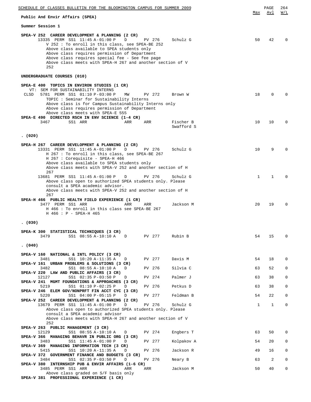| SCHEDULE OF CLASSES BULLETIN FOR THE BLOOMINGTON CAMPUS FOR SUMMER 2009                                                                                                                                                                                                                                                                                                                  | Max          | PAGE<br>Avl  | 264<br>W/L   |
|------------------------------------------------------------------------------------------------------------------------------------------------------------------------------------------------------------------------------------------------------------------------------------------------------------------------------------------------------------------------------------------|--------------|--------------|--------------|
| Public And Envir Affairs (SPEA)                                                                                                                                                                                                                                                                                                                                                          |              |              |              |
| Summer Session 1                                                                                                                                                                                                                                                                                                                                                                         |              |              |              |
| SPEA-V 252 CAREER DEVELOPMENT & PLANNING (2 CR)<br>13335 PERM SS1 11:45 A-01:00 P<br>D<br>PV 276<br>Schulz G<br>V 252 : To enroll in this class, see SPEA-BE 252<br>Above class available to SPEA students only<br>Above class requires permission of Department<br>Above class requires special fee - See fee page<br>Above class meets with SPEA-H 267 and another section of V<br>252 | 50           | 42           | $\Omega$     |
| UNDERGRADUATE COURSES (010)                                                                                                                                                                                                                                                                                                                                                              |              |              |              |
| SPEA-E 400 TOPICS IN ENVIRON STUDIES (1 CR)<br>VT: SEM FOR SUSTAINABILITY INTERNS<br>5781 PERM SS1 01:10 P-03:00 P<br>CLSD<br>МW<br>PV 272<br>Brown W<br>TOPIC: Seminar for Sustainability Interns<br>Above class is for Campus Sustainability Interns only<br>Above class requires permission of Department                                                                             | 18           | 0            | <sup>0</sup> |
| Above class meets with SPEA-E 555                                                                                                                                                                                                                                                                                                                                                        |              |              |              |
| SPEA-E 490 DIRECTED RSCH IN ENV SCIENCE (1-4 CR)<br>Fischer B<br>3467<br>SS1 ARR<br>ARR<br>ARR<br>Swafford S                                                                                                                                                                                                                                                                             | 10           | 10           | $\Omega$     |
| (020)                                                                                                                                                                                                                                                                                                                                                                                    |              |              |              |
| SPEA-H 267 CAREER DEVELOPMENT & PLANNING (2 CR)<br>13331 PERM SS1 11:45 A-01:00 P<br>D<br>PV 276<br>Schulz G<br>H 267 : To enroll in this class, see SPEA-BE 267<br>H 267 : Corequisite - SPEA-H 466<br>Above class available to SPEA students only<br>Above class meets with SPEA-V 252 and another section of H                                                                        | 10           | 9            | <sup>0</sup> |
| 267<br>13681 PERM SS1 11:45 A-01:00 P<br>D<br>PV 276<br>Schulz G<br>Above class open to authorized SPEA students only. Please<br>consult a SPEA academic advisor.<br>Above class meets with SPEA-V 252 and another section of H<br>267                                                                                                                                                   | 1            | 1            |              |
| SPEA-H 466 PUBLIC HEALTH FIELD EXPERIENCE (1 CR)<br>3477 PERM SS1 ARR<br>ARR<br>ARR<br>Jackson M<br>H 466 : To enroll in this class see SPEA-BE 267<br>H 466 : P - SPEA-H 465                                                                                                                                                                                                            | 20           | 19           |              |
| (030)                                                                                                                                                                                                                                                                                                                                                                                    |              |              |              |
| SPEA-K 300 STATISTICAL TECHNIQUES (3 CR)<br>3479<br>SS1 08:55 A-10:10 A<br>PV 277<br>Rubin B<br>D                                                                                                                                                                                                                                                                                        | 54           | 15           | 0            |
| (040)                                                                                                                                                                                                                                                                                                                                                                                    |              |              |              |
| SPEA-V 160 NATIONAL & INTL POLICY (3 CR)<br>SS1 10:20 A-11:35 A<br>PV 277<br>Davis M<br>3481<br>D                                                                                                                                                                                                                                                                                        | 54           | 18           | 0            |
| SPEA-V 161 URBAN PROBLEMS & SOLUTIONS (3 CR)<br>3482<br>PV 276<br>D                                                                                                                                                                                                                                                                                                                      | 63           |              | 0            |
| SS1 08:55 A-10:10 A<br>Silvia C<br>SPEA-V 220 LAW AND PUBLIC AFFAIRS (3 CR)                                                                                                                                                                                                                                                                                                              |              | 52           |              |
| Palmer J<br>12127<br>SS1 02:35 P-03:50 P<br>PV 274<br>D<br>SPEA-V 241 MGMT FOUNDATIONS & APPROACHES (3 CR)                                                                                                                                                                                                                                                                               | 63           | 38           | $\mathbf 0$  |
| 5219<br>SS1 01:10 P-02:25 P<br>PV 276<br>Petkus D<br>D<br>SPEA-V 246 ELEM GOV/NONPRFT FIN ACCT CYC (3 CR)                                                                                                                                                                                                                                                                                | 63           | 38           | 0            |
| Feldman B<br>SS1 04:00 P-05:15 P<br>PV 277<br>5220<br>D<br>SPEA-V 252 CAREER DEVELOPMENT & PLANNING (2 CR)                                                                                                                                                                                                                                                                               | 54           | 22           | $\mathbf 0$  |
| 13679 PERM SS1 11:45 A-01:00 P<br>PV 276<br>Schulz G<br>D<br>Above class open to authorized SPEA students only. Please<br>consult a SPEA academic advisor<br>Above class meets with SPEA-H 267 and another section of V                                                                                                                                                                  | $\mathbf{1}$ | $\mathbf{1}$ | 0            |
| 252<br>SPEA-V 263 PUBLIC MANAGEMENT (3 CR)                                                                                                                                                                                                                                                                                                                                               |              |              |              |
| 12129<br>SS1 08:55 A-10:10 A<br>PV 274<br>Engbers T<br>D<br>SPEA-V 366 MANAGING BEHAVR IN PUBLIC ORG (3 CR)                                                                                                                                                                                                                                                                              | 63           | 50           | $\Omega$     |
| 3483<br>SS1 11:45 A-01:00 P<br>Kolpakov A<br>PV 277<br>D<br>SPEA-V 369 MANAGING INFORMATION TECH (3 CR)                                                                                                                                                                                                                                                                                  | 54           | 20           | 0            |
| SS1 10:20 A-11:35 A<br>PV 276<br>Jackson R<br>5415<br>D<br>SPEA-V 372 GOVERNMENT FINANCE AND BUDGETS (3 CR)                                                                                                                                                                                                                                                                              | 49           | 16           | 0            |
| SS1 02:35 P-03:50 P<br>PV 276<br>Neary B<br>3484<br>D<br>SPEA-V 380 INTERNSHIP PUB & ENVIR AFFAIRS $(1-6 \text{ CR})$                                                                                                                                                                                                                                                                    | 63           | 2            | $\mathbf 0$  |
| 3485 PERM SS1 ARR<br>ARR<br>ARR<br>Jackson M<br>Above class graded on S/F basis only<br>SPEA-V 381 PROFESSIONAL EXPERIENCE (1 CR)                                                                                                                                                                                                                                                        | 50           | 40           | $\mathbf 0$  |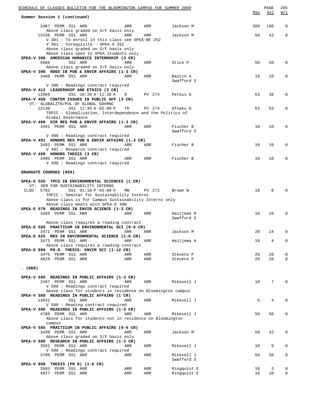| SCHEDULE OF CLASSES BULLETIN FOR THE BLOOMINGTON CAMPUS FOR SUMMER 2009                                                                           |            |            |                            |            | PAGE       | 265              |
|---------------------------------------------------------------------------------------------------------------------------------------------------|------------|------------|----------------------------|------------|------------|------------------|
| Summer Session 1 (continued)                                                                                                                      |            |            |                            | <u>Max</u> | <u>Avl</u> | W/L              |
| 3487 PERM SS1 ARR<br>Above class graded on S/F basis only                                                                                         | ARR        | ARR        | Jackson M                  | 200        | 190        | $\mathbf 0$      |
| 13336 PERM SS1 ARR<br>V 381 : To enroll in this class see SPEA-BE 252<br>V 381 : Corequisite - SPEA-V 252<br>Above class graded on S/F basis only | ARR        | ARR        | Jackson M                  | 50         | 42         | $\mathbf 0$      |
| Above class open to SPEA students only<br>SPEA-V 388 AMERICAN HUMANICS INTERNSHIP (3 CR)<br>5666<br>SS1 ARR                                       | ARR        | ARR        | Stice P                    | 50         | 50         | 0                |
| Above class graded on S/F basis only<br>SPEA-V 390 RDGS IN PUB & ENVIR AFFAIRS (1-3 CR)                                                           |            |            |                            |            |            |                  |
| 3489 PERM SS1 ARR<br>V 390 : Readings contract required                                                                                           | ARR        | ARR        | Bastin A<br>Swafford S     | 10         | 10         | $\mathbf 0$      |
| SPEA-V 412 LEADERSHIP AND ETHICS (3 CR)                                                                                                           |            |            |                            |            |            |                  |
| 12669<br>SS1 10:20 A-11:35 A<br>SPEA-V 450 CONTEM ISSUES IN PUBLIC AFF (3 CR)                                                                     | D          | PV 274     | Petkus D                   | 63         | 38         | $\mathbf 0$      |
| VT: GLOBALZTN/POL OF GLOBAL GOVRNC<br>SS1 11:45 A-02:00 P<br>12130                                                                                | TR         | PV 274     | Afoaku O                   | 63         | 53         | $\Omega$         |
| TOPIC: Globalization, Interdependence and the Politics of<br>Global Governance                                                                    |            |            |                            |            |            |                  |
| SPEA-V 490 DIR RES PUB & ENVIR AFFAIRS (1-3 CR)                                                                                                   |            |            |                            |            |            |                  |
| 3491 PERM SS1 ARR<br>V 490 : Readings contract required                                                                                           | ARR        | ARR        | Fischer B<br>Swafford S    | 10         | 10         | $\mathbf 0$      |
| SPEA-V 491 HONORS RES PUB & ENVIR AFFAIRS (1-3 CR)                                                                                                |            |            |                            |            |            |                  |
| 3493 PERM SS1 ARR<br>V 491 : Research contract required                                                                                           | ARR        | ARR        | Fischer B                  | 10         | 10         | $\mathbf 0$      |
| SPEA-V 499 HONORS THESIS (3 CR)<br>3495 PERM SS1 ARR<br>V 499 : Readings contract required                                                        | ARR        | ARR        | Fischer B                  | 10         | 10         | $\mathbf 0$      |
| GRADUATE COURSES (050)                                                                                                                            |            |            |                            |            |            |                  |
| SPEA-E 555 TPCS IN ENVIRONMENTAL SCIENCES (1 CR)                                                                                                  |            |            |                            |            |            |                  |
| VT: SEM FOR SUSTAINABILITY INTERNS                                                                                                                |            |            |                            |            |            |                  |
| CLSD<br>5782<br>SS1 01:10 P-03:00 P<br>TOPIC: Seminar for Sustainability Interns                                                                  | MW         | PV 272     | Brown W                    | 18         | 0          | $\Omega$         |
| Above class is for Campus Sustainability Interns only<br>Above class meets with SPEA-E 400                                                        |            |            |                            |            |            |                  |
| SPEA-E 579 READINGS IN ENVIR SCIENCE (1-3 CR)<br>3469 PERM SS1 ARR                                                                                | ARR        | ARR        | Haitjema H<br>Swafford S   | 10         | 10         | $\Omega$         |
| Above class requires a reading contract<br>SPEA-E 589 PRACTICUM IN ENVIRONMENTAL SCI (0-6 CR)                                                     |            |            |                            |            |            |                  |
| SPEA-E 625 RES IN ENVIRONMENTAL SCIENCE (1-6 CR)                                                                                                  |            | ARR        | Jackson M                  | 20         | 14         | 0                |
| 3473 PERM SS1 ARR<br>Above class requires a reading contract                                                                                      | ARR        | ARR        | Haitjema H                 | 10         | 4          | $\Omega$         |
| SPEA-E 890 PH.D. THESIS: ENVIR SCI (1-12 CR)                                                                                                      |            |            |                            |            |            |                  |
| 3475 PERM SS1 ARR                                                                                                                                 | ARR        | ARR        | Stevens P                  | 20         | 20         | 0                |
| 4829 PERM SS1 ARR<br>(060)                                                                                                                        | ARR        | ARR        | Stevens P                  | 20         | 20         | $\Omega$         |
| SPEA-V 580 READINGS IN PUBLIC AFFAIRS (1-3 CR)                                                                                                    |            |            |                            |            |            |                  |
| 3497 PERM SS1 ARR                                                                                                                                 | ARR        | ARR        | Mikesell J                 | 10         | 7          | $\Omega$         |
| V 580 : Readings contract required<br>Above class for students in residence on Bloomington campus                                                 |            |            |                            |            |            |                  |
| SPEA-V 580 READINGS IN PUBLIC AFFAIRS (1 CR)<br>13641<br>SS1 ARR<br>V 580 : Reading contract required                                             | ARR        | ARR        | Mikesell J                 | 5          | 4          | $\Omega$         |
| SPEA-V 580 READINGS IN PUBLIC AFFAIRS (1-3 CR)                                                                                                    |            |            |                            |            |            |                  |
| 4708 PERM SS1 ARR<br>Above class for students not in residence on Bloomington                                                                     | ARR        | ARR        | Mikesell J                 | 50         | 50         | $\Omega$         |
| campus                                                                                                                                            |            |            |                            |            |            |                  |
| SPEA-V 585 PRACTICUM IN PUBLIC AFFAIRS (0-6 CR)<br>3499 PERM SS1 ARR<br>Above class graded on S/F basis only                                      | ARR        | ARR        | Jackson M                  | 50         | 32         | $\mathbf 0$      |
| SPEA-V 590 RESEARCH IN PUBLIC AFFAIRS (1-3 CR)<br>3501 PERM SS1 ARR                                                                               | ARR        | ARR        | Mikesell J                 | 10         | 9          | $\mathbf 0$      |
| V 590 : Readings contract required<br>4709 PERM SS1 ARR                                                                                           | ARR        | ARR        | Mikesell J                 | 50         | 50         | $\mathbf 0$      |
|                                                                                                                                                   |            |            | Swafford S                 |            |            |                  |
| SPEA-V 890 THESIS (PH D) (1-6 CR)                                                                                                                 |            |            |                            |            |            |                  |
| 3503 PERM SS1 ARR<br>4827 PERM SS1 ARR                                                                                                            | ARR<br>ARR | ARR<br>ARR | Ringquist E<br>Ringquist E | 10<br>10   | 3<br>10    | 0<br>$\mathbf 0$ |
|                                                                                                                                                   |            |            |                            |            |            |                  |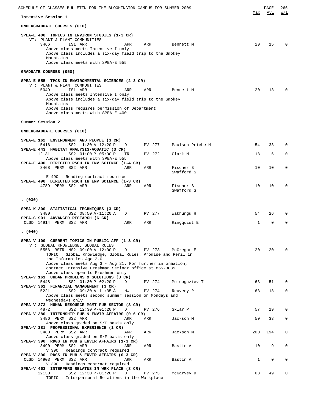| SCHEDULE OF CLASSES BULLETIN FOR THE BLOOMINGTON CAMPUS FOR SUMMER 2009                                                                                                                                                                                                                                                                                                                                    |              | PAGE         | 266         |
|------------------------------------------------------------------------------------------------------------------------------------------------------------------------------------------------------------------------------------------------------------------------------------------------------------------------------------------------------------------------------------------------------------|--------------|--------------|-------------|
| Intensive Session 1                                                                                                                                                                                                                                                                                                                                                                                        | Max          | Avl          | W/L         |
| UNDERGRADUATE COURSES (010)                                                                                                                                                                                                                                                                                                                                                                                |              |              |             |
| SPEA-E 400 TOPICS IN ENVIRON STUDIES (1-3 CR)<br>VT: PLANT & PLANT COMMUNITIES<br>3466<br>IS1 ARR<br>ARR<br>ARR<br>Bennett M<br>Above class meets Intensive I only<br>Above class includes a six-day field trip to the Smokey<br>Mountains<br>Above class meets with SPEA-E 555                                                                                                                            | 20           | 15           | $\Omega$    |
| GRADUATE COURSES (050)                                                                                                                                                                                                                                                                                                                                                                                     |              |              |             |
| SPEA-E 555 TPCS IN ENVIRONMENTAL SCIENCES (2-3 CR)<br>VT: PLANT & PLANT COMMUNITIES<br>5049<br>IS1 ARR<br>ARR<br>ARR<br>Bennett M<br>Above class meets Intensive I only<br>Above class includes a six-day field trip to the Smokey<br>Mountains<br>Above class requires permission of Department<br>Above class meets with SPEA-E 400                                                                      | 20           | 13           | $\Omega$    |
| Summer Session 2                                                                                                                                                                                                                                                                                                                                                                                           |              |              |             |
| UNDERGRADUATE COURSES (010)                                                                                                                                                                                                                                                                                                                                                                                |              |              |             |
| SPEA-E 162 ENVIRONMENT AND PEOPLE (3 CR)<br>SS2 11:30 A-12:20 P<br>Paulson Priebe M<br>5416<br>PV 277<br>D<br>SPEA-E 443 HABITAT ANALYSIS-AQUATIC (3 CR)                                                                                                                                                                                                                                                   | 54           | 33           | $\Omega$    |
| SS2 01:00 P-05:00 P<br>12131<br>Clark M<br>TR.<br>PV 272<br>Above class meets with SPEA-E 555                                                                                                                                                                                                                                                                                                              | 18           | 6            | $\Omega$    |
| SPEA-E 490 DIRECTED RSCH IN ENV SCIENCE (1-4 CR)<br>3468 PERM SS2 ARR<br>Fischer B<br>ARR<br>ARR<br>Swafford S                                                                                                                                                                                                                                                                                             | 10           | 10           | $\Omega$    |
| E 490 : Reading contract required<br>SPEA-E 490 DIRECTED RSCH IN ENV SCIENCE (1-3 CR)<br>4789 PERM SS2 ARR<br>Fischer B<br>ARR<br>ARR<br>Swafford S                                                                                                                                                                                                                                                        | 10           | 10           | $\Omega$    |
| (030)                                                                                                                                                                                                                                                                                                                                                                                                      |              |              |             |
| SPEA-K 300 STATISTICAL TECHNIQUES (3 CR)<br>3480<br>SS2 08:50 A-11:20 A<br>PV 277<br>Wakhungu H<br>D<br>SPEA-G 901 ADVANCED RESEARCH (6 CR)                                                                                                                                                                                                                                                                | 54           | 26           | $\Omega$    |
| Ringquist E<br>CLSD 14914 PERM SS2 ARR<br>ARR<br>ARR                                                                                                                                                                                                                                                                                                                                                       | $\mathbf{1}$ | $\Omega$     | $\Omega$    |
| (040)                                                                                                                                                                                                                                                                                                                                                                                                      |              |              |             |
| SPEA-V 100 CURRENT TOPICS IN PUBLIC AFF (1-3 CR)<br>VT: GLOBAL KNOWLEDGE, GLOBAL RULES<br>5556 RSTR NS2 09:00 A-12:00 P D<br>PV 273<br>McGregor E<br>TOPIC : Global Knowledge, Global Rules: Promise and Peril in<br>the Information Age 2.0<br>Above class meets Aug $3$ - Aug 21. For further information,<br>contact Intensive Freshman Seminar office at 855-3839<br>Above class open to Freshmen only | 20           | 20           | $\Omega$    |
| SPEA-V 161 URBAN PROBLEMS & SOLUTIONS (3 CR)<br>SS2 01:30 P-02:20 P<br>PV 274<br>Moldogaziev T<br>5448<br>D                                                                                                                                                                                                                                                                                                | 63           | 51           | $\mathbf 0$ |
| SPEA-V 361 FINANCIAL MANAGEMENT (3 CR)<br>5221<br>SS2 09:30 A-11:35 A<br>PV 274<br>MW<br>Reuveny R<br>Above class meets second summer session on Mondays and                                                                                                                                                                                                                                               | 63           | 18           | 0           |
| Wednesdays only<br>SPEA-V 373 HUMAN RESOURCE MGMT PUB SECTOR (3 CR)                                                                                                                                                                                                                                                                                                                                        |              |              |             |
| SS2 12:30 P-01:20 P<br>4872<br>D<br>PV 276<br>Sklar P<br>SPEA-V 380 INTERNSHIP PUB & ENVIR AFFAIRS (0-6 CR)                                                                                                                                                                                                                                                                                                | 57           | 19           | $\mathbf 0$ |
| 3486 PERM SS2 ARR<br>Jackson M<br>ARR<br>ARR<br>Above class graded on S/F basis only                                                                                                                                                                                                                                                                                                                       | 50           | 33           | $\mathbf 0$ |
| SPEA-V 381 PROFESSIONAL EXPERIENCE (1 CR)<br>3488 PERM SS2 ARR<br>Jackson M<br>ARR<br>ARR<br>Above class graded on S/F basis only                                                                                                                                                                                                                                                                          | 200          | 194          | 0           |
| SPEA-V 390 RDGS IN PUB & ENVIR AFFAIRS (1-3 CR)<br>3490 PERM SS2 ARR<br>Bastin A<br>ARR<br>ARR<br>V 390 : Readings contract required                                                                                                                                                                                                                                                                       | 10           | 9            | $\mathbf 0$ |
| SPEA-V 390 RDGS IN PUB & ENVIR AFFAIRS (0-3 CR)<br>CLSD 14903 PERM SS2 ARR<br>Bastin A<br>ARR<br>ARR<br>V 390 : Readings contract required                                                                                                                                                                                                                                                                 | $\mathbf{1}$ | $\mathbf{0}$ | $\mathbf 0$ |
| SPEA-V 463 INTERPERS RELATNS IN WRK PLACE (3 CR)<br>12133<br>SS2 12:30 P-01:20 P<br>PV 273<br>D<br>McGarvey D<br>TOPIC: Interpersonal Relations in the Workplace                                                                                                                                                                                                                                           | 63           | 49           | $\mathbf 0$ |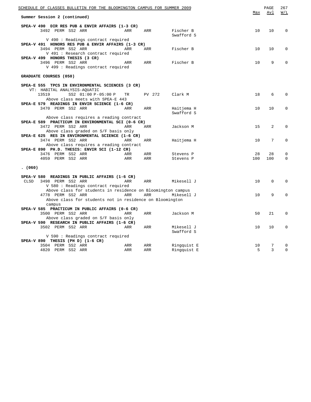| SCHEDULE OF CLASSES BULLETIN FOR THE BLOOMINGTON CAMPUS FOR SUMMER 2009 |     |        |                         | Max | PAGE<br>Avl | 267<br>W/L  |
|-------------------------------------------------------------------------|-----|--------|-------------------------|-----|-------------|-------------|
| Summer Session 2 (continued)                                            |     |        |                         |     |             |             |
| SPEA-V 490 DIR RES PUB & ENVIR AFFAIRS (1-3 CR)                         |     |        |                         |     |             |             |
| 3492 PERM SS2 ARR                                                       | ARR | ARR    | Fischer B<br>Swafford S | 10  | 10          | $\Omega$    |
| V 490 : Readings contract required                                      |     |        |                         |     |             |             |
| SPEA-V 491 HONORS RES PUB & ENVIR AFFAIRS (1-3 CR)                      |     |        |                         |     |             |             |
| 3494 PERM SS2 ARR                                                       | ARR | ARR    | Fischer B               | 10  | 10          | 0           |
| V 491 : Research contract required                                      |     |        |                         |     |             |             |
| SPEA-V 499 HONORS THESIS (3 CR)                                         |     |        |                         |     |             |             |
| 3496 PERM SS2 ARR                                                       | ARR | ARR    | Fischer B               | 10  | 9           | $\Omega$    |
| V 499 : Readings contract required                                      |     |        |                         |     |             |             |
| GRADUATE COURSES (050)                                                  |     |        |                         |     |             |             |
| SPEA-E 555 TPCS IN ENVIRONMENTAL SCIENCES (3 CR)                        |     |        |                         |     |             |             |
| VT: HABITAL ANALYSIS-AQUATIC                                            |     |        |                         |     |             |             |
| 13519<br>SS2 01:00 P-05:00 P                                            | TR  | PV 272 | Clark M                 | 18  | 6           | 0           |
| Above class meets with SPEA-E 443                                       |     |        |                         |     |             |             |
| SPEA-E 579 READINGS IN ENVIR SCIENCE (1-6 CR)                           |     |        |                         |     |             |             |
| 3470 PERM SS2 ARR                                                       | ARR | ARR    | Haitjema H              | 10  | 10          | $\mathbf 0$ |
|                                                                         |     |        | Swafford S              |     |             |             |
| Above class requires a reading contract                                 |     |        |                         |     |             |             |
| SPEA-E 589 PRACTICUM IN ENVIRONMENTAL SCI (0-6 CR)                      |     |        |                         |     |             |             |
| 3472 PERM SS2 ARR                                                       | ARR | ARR    | Jackson M               | 15  | 2           | $\mathbf 0$ |
| Above class graded on S/F basis only                                    |     |        |                         |     |             |             |
| SPEA-E 625 RES IN ENVIRONMENTAL SCIENCE (1-6 CR)                        |     |        |                         |     |             |             |
| 3474 PERM SS2 ARR                                                       | ARR | ARR    | Haitjema H              | 10  | 7           | 0           |
| Above class requires a reading contract                                 |     |        |                         |     |             |             |
| SPEA-E 890 PH.D. THESIS: ENVIR SCI (1-12 CR)                            |     |        |                         |     |             |             |
| 3476 PERM SS2 ARR                                                       | ARR | ARR    | Stevens P               | 28  | 28          | 0           |
| 4059 PERM SS2 ARR                                                       | ARR | ARR    | Stevens P               | 100 | 100         | $\mathbf 0$ |
|                                                                         |     |        |                         |     |             |             |
| (060)                                                                   |     |        |                         |     |             |             |
| SPEA-V 580 READINGS IN PUBLIC AFFAIRS (1-6 CR)                          |     |        |                         |     |             |             |
| 3498 PERM SS2 ARR<br>CLSD                                               | ARR | ARR    | Mikesell J              | 10  | 0           | $\mathbf 0$ |
| V 580 : Readings contract required                                      |     |        |                         |     |             |             |
| Above class for students in residence on Bloomington campus             |     |        |                         |     |             |             |
| 4778 PERM SS2 ARR                                                       | ARR | ARR    | Mikesell J              | 10  | 9           | $\mathbf 0$ |
|                                                                         |     |        |                         |     |             |             |
| Above class for students not in residence on Bloomington                |     |        |                         |     |             |             |
| campus                                                                  |     |        |                         |     |             |             |
| SPEA-V 585 PRACTICUM IN PUBLIC AFFAIRS (0-6 CR)                         |     |        |                         |     |             |             |
| 3500 PERM SS2 ARR                                                       | ARR | ARR    | Jackson M               | 50  | 21          | $\mathbf 0$ |
| Above class graded on S/F basis only                                    |     |        |                         |     |             |             |
| SPEA-V 590 RESEARCH IN PUBLIC AFFAIRS (1-6 CR)                          |     |        |                         |     |             |             |
| 3502 PERM SS2 ARR                                                       | ARR | ARR    | Mikesell J              | 10  | 10          | $\mathbf 0$ |
|                                                                         |     |        | Swafford S              |     |             |             |
| V 590 : Readings contract required                                      |     |        |                         |     |             |             |
| SPEA-V 890 THESIS (PH D) (1-6 CR)                                       |     |        |                         |     |             |             |
| 3504 PERM SS2 ARR                                                       | ARR | ARR    | Ringquist E             | 10  | 7           | $\mathbf 0$ |
| 4820 PERM SS2 ARR                                                       | ARR | ARR    | Ringquist E             | 5   | 3           | $\Omega$    |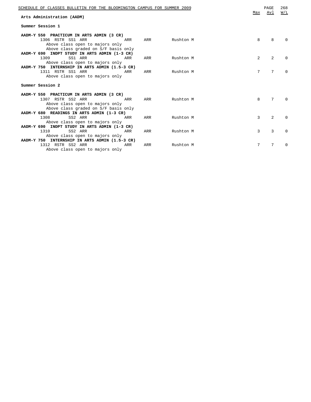| SCHEDULE OF CLASSES BULLETIN FOR THE BLOOMINGTON CAMPUS FOR SUMMER 2009<br>Arts Administration (AADM)                                     |     |     |               | Max | PAGE<br>Avl     | 268<br>W/L   |
|-------------------------------------------------------------------------------------------------------------------------------------------|-----|-----|---------------|-----|-----------------|--------------|
| Summer Session 1                                                                                                                          |     |     |               |     |                 |              |
| AADM-Y 550 PRACTICUM IN ARTS ADMIN (3 CR)<br>1306 RSTR SS1 ARR<br>Above class open to majors only<br>Above class graded on S/F basis only | ARR |     | ARR Rushton M | 8   | 8               |              |
| AADM-Y 690 INDPT STUDY IN ARTS ADMIN (1-3 CR)<br>1309<br>SS1 ARR<br>Above class open to majors only                                       | ARR | ARR | Rushton M     | 2   | $\overline{2}$  |              |
| AADM-Y 750 INTERNSHIP IN ARTS ADMIN (1.5-3 CR)<br>1311 RSTR SS1 ARR<br><b>Example 2018</b> ARR<br>Above class open to majors only         |     | ARR | Rushton M     | 7   | $7\phantom{.0}$ | $\Omega$     |
| Summer Session 2                                                                                                                          |     |     |               |     |                 |              |
| AADM-Y 550 PRACTICUM IN ARTS ADMIN (3 CR)<br>1307 RSTR SS2 ARR<br>Above class open to majors only<br>Above class graded on S/F basis only | ARR | ARR | Rushton M     | 8   | 7               | <sup>n</sup> |
| AADM-Y 680 READINGS IN ARTS ADMIN (1-3 CR)<br>SS2 ARR<br>1308<br><b>Example 2018</b><br>Above class open to majors only                   |     | ARR | Rushton M     | 3   | $\overline{2}$  | <sup>n</sup> |
| AADM-Y 690 INDPT STUDY IN ARTS ADMIN (1-3 CR)<br>SS2 ARR<br>1310<br>Above class open to majors only                                       | ARR | ARR | Rushton M     | 3   | 3               | <sup>0</sup> |
| AADM-Y 750 INTERNSHIP IN ARTS ADMIN (1.5-3 CR)<br>1312 RSTR SS2 ARR<br>Above class open to majors only                                    | ARR | ARR | Rushton M     | 7   | 7               | <sup>0</sup> |